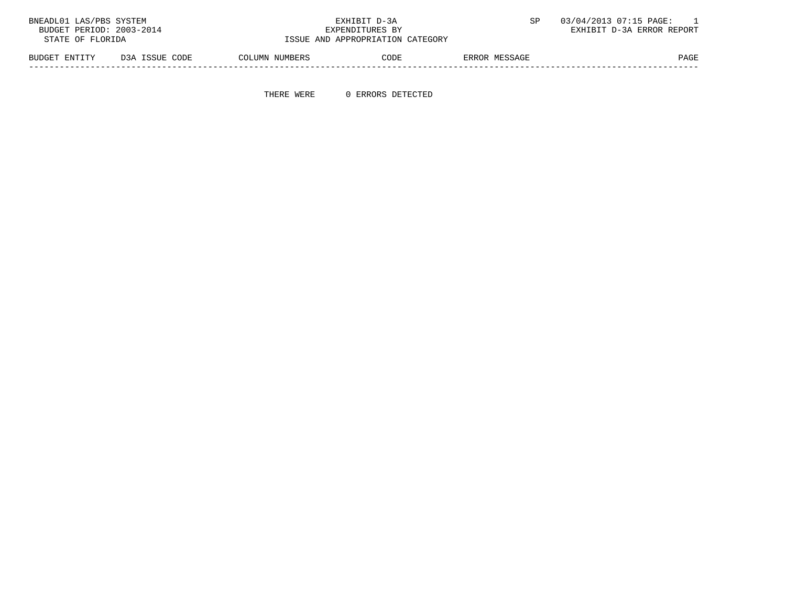| BNEADL01 LAS/PBS SYSTEM  |                |                | EXHIBIT D-3A                     |               | 03/04/2013 07:15 PAGE:    |
|--------------------------|----------------|----------------|----------------------------------|---------------|---------------------------|
| BUDGET PERIOD: 2003-2014 |                |                | EXPENDITURES BY                  |               | EXHIBIT D-3A ERROR REPORT |
| STATE OF FLORIDA         |                |                | ISSUE AND APPROPRIATION CATEGORY |               |                           |
| BUDGET ENTITY            | D3A ISSUE CODE | COLUMN NUMBERS | CODE                             | ERROR MESSAGE | PAGE                      |

THERE WERE 0 ERRORS DETECTED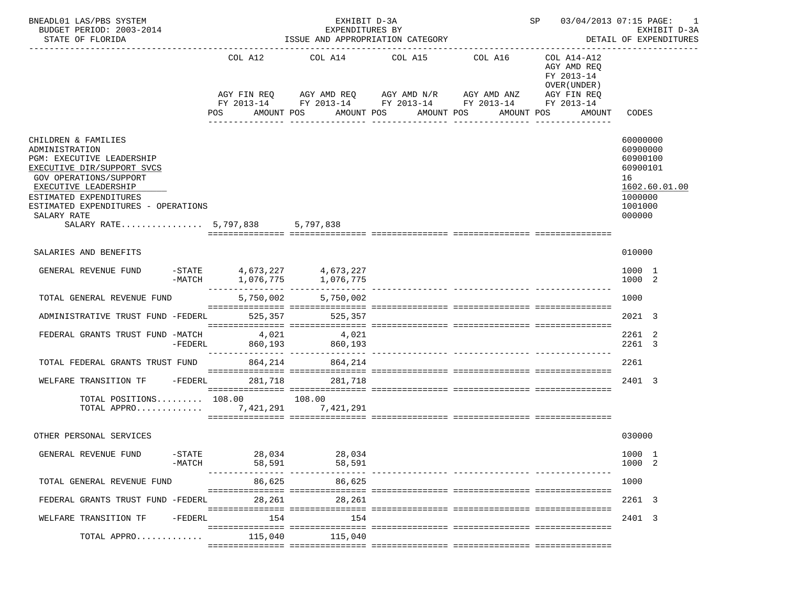| BNEADL01 LAS/PBS SYSTEM<br>BUDGET PERIOD: 2003-2014<br>STATE OF FLORIDA                                                                                                                                                                                               |                                                  | EXHIBIT D-3A<br>EXPENDITURES BY<br>ISSUE AND APPROPRIATION CATEGORY |                                                                                                                                                                           | SP 03/04/2013 07:15 PAGE: | 1<br>EXHIBIT D-3A<br>DETAIL OF EXPENDITURES                                                     |                                                                                                     |
|-----------------------------------------------------------------------------------------------------------------------------------------------------------------------------------------------------------------------------------------------------------------------|--------------------------------------------------|---------------------------------------------------------------------|---------------------------------------------------------------------------------------------------------------------------------------------------------------------------|---------------------------|-------------------------------------------------------------------------------------------------|-----------------------------------------------------------------------------------------------------|
|                                                                                                                                                                                                                                                                       | COL A12<br>POS                                   | AMOUNT POS                                                          | COL A14 COL A15 COL A16<br>AGY FIN REQ AGY AMD REQ AGY AMD N/R AGY AMD ANZ<br>FY 2013-14 FY 2013-14 FY 2013-14 FY 2013-14<br>AMOUNT POS<br>AMOUNT POS<br>________________ | AMOUNT POS                | COL A14-A12<br>AGY AMD REO<br>FY 2013-14<br>OVER (UNDER)<br>AGY FIN REQ<br>FY 2013-14<br>AMOUNT | CODES                                                                                               |
| CHILDREN & FAMILIES<br>ADMINISTRATION<br>PGM: EXECUTIVE LEADERSHIP<br>EXECUTIVE DIR/SUPPORT SVCS<br>GOV OPERATIONS/SUPPORT<br>EXECUTIVE LEADERSHIP<br>ESTIMATED EXPENDITURES<br>ESTIMATED EXPENDITURES - OPERATIONS<br>SALARY RATE<br>SALARY RATE 5,797,838 5,797,838 |                                                  |                                                                     |                                                                                                                                                                           |                           |                                                                                                 | 60000000<br>60900000<br>60900100<br>60900101<br>16<br>1602.60.01.00<br>1000000<br>1001000<br>000000 |
| SALARIES AND BENEFITS                                                                                                                                                                                                                                                 |                                                  |                                                                     |                                                                                                                                                                           |                           |                                                                                                 | 010000                                                                                              |
| GENERAL REVENUE FUND                                                                                                                                                                                                                                                  | $-STATE$ 4,673,227 4,673,227<br>-MATCH 1,076,775 | 1,076,775                                                           |                                                                                                                                                                           |                           |                                                                                                 | 1000 1<br>1000 2                                                                                    |
| TOTAL GENERAL REVENUE FUND                                                                                                                                                                                                                                            | 5,750,002                                        | 5,750,002                                                           |                                                                                                                                                                           |                           |                                                                                                 | 1000                                                                                                |
| ADMINISTRATIVE TRUST FUND -FEDERL                                                                                                                                                                                                                                     | 525,357                                          | 525,357                                                             |                                                                                                                                                                           |                           |                                                                                                 | 2021 3                                                                                              |
| FEDERAL GRANTS TRUST FUND -MATCH<br>$-FEDERL$                                                                                                                                                                                                                         | 4,021<br>860,193                                 | 4,021<br>860,193                                                    |                                                                                                                                                                           |                           |                                                                                                 | 2261 2<br>2261 3                                                                                    |
| TOTAL FEDERAL GRANTS TRUST FUND                                                                                                                                                                                                                                       | 864, 214                                         | 864,214                                                             |                                                                                                                                                                           |                           |                                                                                                 | 2261                                                                                                |
| WELFARE TRANSITION TF<br>$-FEDERL$                                                                                                                                                                                                                                    | 281,718                                          | 281,718                                                             |                                                                                                                                                                           |                           |                                                                                                 | 2401 3                                                                                              |
| TOTAL POSITIONS 108.00 108.00<br>TOTAL APPRO $\ldots \ldots \ldots$                                                                                                                                                                                                   |                                                  | 7,421,291                                                           |                                                                                                                                                                           |                           |                                                                                                 |                                                                                                     |
| OTHER PERSONAL SERVICES                                                                                                                                                                                                                                               |                                                  |                                                                     |                                                                                                                                                                           |                           |                                                                                                 | 030000                                                                                              |
| $-$ STATE<br>GENERAL REVENUE FUND<br>$-MATCH$                                                                                                                                                                                                                         | 28,034<br>58,591                                 | 28,034<br>58,591                                                    |                                                                                                                                                                           |                           |                                                                                                 | 1000 1<br>1000 2                                                                                    |
| TOTAL GENERAL REVENUE FUND                                                                                                                                                                                                                                            | 86,625                                           | 86,625                                                              |                                                                                                                                                                           |                           |                                                                                                 | 1000                                                                                                |
| FEDERAL GRANTS TRUST FUND -FEDERL                                                                                                                                                                                                                                     | 28,261                                           | 28,261                                                              |                                                                                                                                                                           |                           |                                                                                                 | 2261 3                                                                                              |
| WELFARE TRANSITION TF<br>$-FEDERL$                                                                                                                                                                                                                                    | 154                                              | 154                                                                 |                                                                                                                                                                           |                           |                                                                                                 | 2401 3                                                                                              |
| TOTAL APPRO                                                                                                                                                                                                                                                           | 115,040                                          | 115,040                                                             |                                                                                                                                                                           |                           |                                                                                                 |                                                                                                     |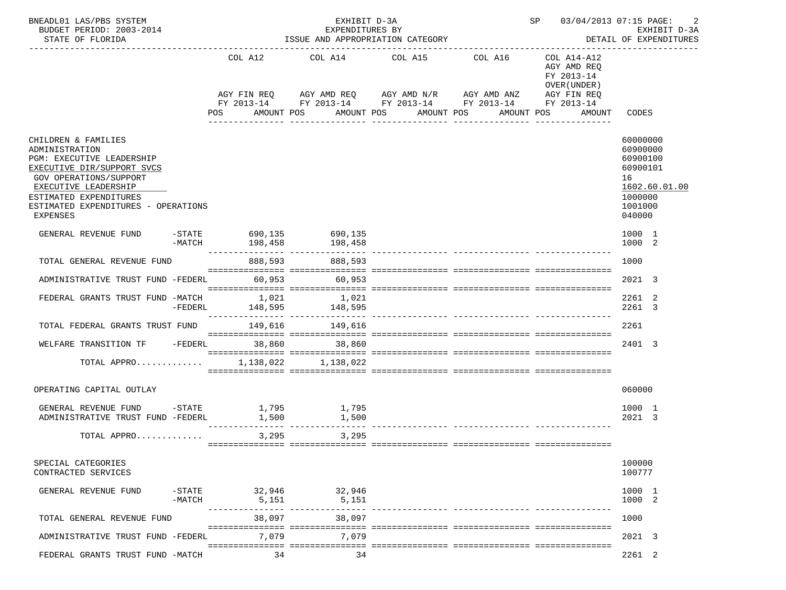| BNEADL01 LAS/PBS SYSTEM<br>BUDGET PERIOD: 2003-2014<br>STATE OF FLORIDA                                                                                                                                                                       |          | EXHIBIT D-3A<br>EXPENDITURES BY<br>ISSUE AND APPROPRIATION CATEGORY |                                                                      |  |                         |                       |  |                                      |            |  |                                                                         |                                                                                    | SP 03/04/2013 07:15 PAGE:<br>2<br>EXHIBIT D-3A<br>DETAIL OF EXPENDITURES |
|-----------------------------------------------------------------------------------------------------------------------------------------------------------------------------------------------------------------------------------------------|----------|---------------------------------------------------------------------|----------------------------------------------------------------------|--|-------------------------|-----------------------|--|--------------------------------------|------------|--|-------------------------------------------------------------------------|------------------------------------------------------------------------------------|--------------------------------------------------------------------------|
|                                                                                                                                                                                                                                               |          |                                                                     | COL A12<br>AGY FIN REQ AGY AMD REQ AGY AMD N/R AGY AMD ANZ           |  | COL A14 COL A15 COL A16 |                       |  |                                      |            |  | COL A14-A12<br>AGY AMD REO<br>FY 2013-14<br>OVER (UNDER)<br>AGY FIN REQ |                                                                                    |                                                                          |
|                                                                                                                                                                                                                                               |          | POS                                                                 | FY 2013-14 FY 2013-14 FY 2013-14 FY 2013-14 FY 2013-14<br>AMOUNT POS |  |                         | AMOUNT POS AMOUNT POS |  |                                      | AMOUNT POS |  | AMOUNT                                                                  | CODES                                                                              |                                                                          |
|                                                                                                                                                                                                                                               |          |                                                                     |                                                                      |  |                         |                       |  | ___________________________________  |            |  |                                                                         |                                                                                    |                                                                          |
| CHILDREN & FAMILIES<br>ADMINISTRATION<br>PGM: EXECUTIVE LEADERSHIP<br>EXECUTIVE DIR/SUPPORT SVCS<br><b>GOV OPERATIONS/SUPPORT</b><br>EXECUTIVE LEADERSHIP<br>ESTIMATED EXPENDITURES<br>ESTIMATED EXPENDITURES - OPERATIONS<br><b>EXPENSES</b> |          |                                                                     |                                                                      |  |                         |                       |  |                                      |            |  |                                                                         | 60000000<br>60900000<br>60900100<br>60900101<br>16<br>1000000<br>1001000<br>040000 | 1602.60.01.00                                                            |
| GENERAL REVENUE FUND                                                                                                                                                                                                                          | $-MATCH$ |                                                                     | $-$ STATE 690,135 690,135<br>198,458                                 |  | 198,458                 |                       |  |                                      |            |  |                                                                         | 1000 1<br>1000 2                                                                   |                                                                          |
| TOTAL GENERAL REVENUE FUND                                                                                                                                                                                                                    |          |                                                                     | 888,593                                                              |  | 888,593                 |                       |  |                                      |            |  |                                                                         | 1000                                                                               |                                                                          |
| ADMINISTRATIVE TRUST FUND -FEDERL 60,953 60,953                                                                                                                                                                                               |          |                                                                     |                                                                      |  |                         |                       |  |                                      |            |  |                                                                         | 2021 3                                                                             |                                                                          |
| FEDERAL GRANTS TRUST FUND -MATCH 1,021                                                                                                                                                                                                        |          |                                                                     |                                                                      |  | 1,021                   |                       |  |                                      |            |  |                                                                         | 2261 2<br>2261 3                                                                   |                                                                          |
| TOTAL FEDERAL GRANTS TRUST FUND 149,616 149,616                                                                                                                                                                                               |          |                                                                     |                                                                      |  |                         |                       |  |                                      |            |  |                                                                         | 2261                                                                               |                                                                          |
| WELFARE TRANSITION TF -FEDERL 38,860 38,860                                                                                                                                                                                                   |          |                                                                     |                                                                      |  |                         |                       |  |                                      |            |  |                                                                         | 2401 3                                                                             |                                                                          |
| TOTAL APPRO 1,138,022 1,138,022                                                                                                                                                                                                               |          |                                                                     |                                                                      |  |                         |                       |  |                                      |            |  |                                                                         |                                                                                    |                                                                          |
| OPERATING CAPITAL OUTLAY                                                                                                                                                                                                                      |          |                                                                     |                                                                      |  |                         |                       |  |                                      |            |  |                                                                         | 060000                                                                             |                                                                          |
| GENERAL REVENUE FUND -STATE<br>ADMINISTRATIVE TRUST FUND -FEDERL                                                                                                                                                                              |          |                                                                     |                                                                      |  |                         |                       |  | ______________ __________________ __ |            |  |                                                                         | 1000 1<br>2021 3                                                                   |                                                                          |
| TOTAL APPRO                                                                                                                                                                                                                                   |          |                                                                     | 3,295                                                                |  | 3,295                   |                       |  |                                      |            |  |                                                                         |                                                                                    |                                                                          |
| SPECIAL CATEGORIES<br>CONTRACTED SERVICES                                                                                                                                                                                                     |          |                                                                     |                                                                      |  |                         |                       |  |                                      |            |  |                                                                         | 100000<br>100777                                                                   |                                                                          |
| GENERAL REVENUE FUND                                                                                                                                                                                                                          | $-MATCH$ |                                                                     | -STATE 32,946 32,946<br>5,151                                        |  | 5,151                   |                       |  |                                      |            |  |                                                                         | 1000 1<br>1000 2                                                                   |                                                                          |
| TOTAL GENERAL REVENUE FUND                                                                                                                                                                                                                    |          |                                                                     | 38,097                                                               |  | 38,097                  |                       |  |                                      |            |  |                                                                         | 1000                                                                               |                                                                          |
| ADMINISTRATIVE TRUST FUND -FEDERL                                                                                                                                                                                                             |          |                                                                     | 7,079                                                                |  | 7.079                   |                       |  |                                      |            |  |                                                                         | 2021 3                                                                             |                                                                          |
| FEDERAL GRANTS TRUST FUND -MATCH                                                                                                                                                                                                              |          |                                                                     | 34                                                                   |  | 34                      |                       |  |                                      |            |  |                                                                         | 2261 2                                                                             |                                                                          |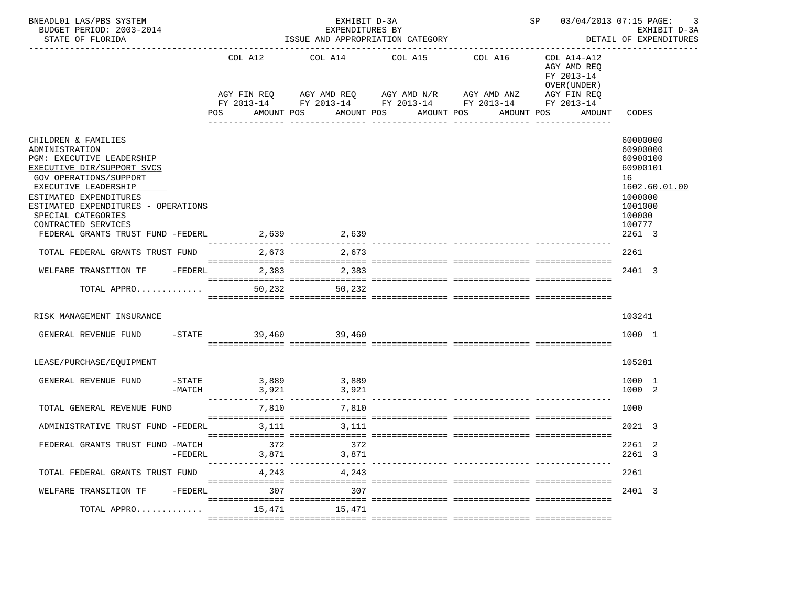| BNEADL01 LAS/PBS SYSTEM<br>BUDGET PERIOD: 2003-2014<br>STATE OF FLORIDA                                                                                                                                                                                                                                                  |           | EXHIBIT D-3A<br>EXPENDITURES BY<br>ISSUE AND APPROPRIATION CATEGORY |              |  |                                                                                                                                                  |              |                                 |             | SP 03/04/2013 07:15 PAGE: |                                                                    | -3<br>EXHIBIT D-3A<br>DETAIL OF EXPENDITURES                                                           |               |
|--------------------------------------------------------------------------------------------------------------------------------------------------------------------------------------------------------------------------------------------------------------------------------------------------------------------------|-----------|---------------------------------------------------------------------|--------------|--|--------------------------------------------------------------------------------------------------------------------------------------------------|--------------|---------------------------------|-------------|---------------------------|--------------------------------------------------------------------|--------------------------------------------------------------------------------------------------------|---------------|
|                                                                                                                                                                                                                                                                                                                          |           | COL A12<br>POS                                                      | AMOUNT POS   |  | COL A14 COL A15 COL A16<br>AGY FIN REQ AGY AMD REQ AGY AMD N/R AGY AMD ANZ AGY FIN REQ<br>FY 2013-14 FY 2013-14 FY 2013-14 FY 2013-14 FY 2013-14 |              | AMOUNT POS AMOUNT POS           |             | AMOUNT POS                | COL A14-A12<br>AGY AMD REQ<br>FY 2013-14<br>OVER (UNDER)<br>AMOUNT | CODES                                                                                                  |               |
|                                                                                                                                                                                                                                                                                                                          |           |                                                                     |              |  |                                                                                                                                                  | ------------ |                                 | ----------- |                           |                                                                    |                                                                                                        |               |
| CHILDREN & FAMILIES<br>ADMINISTRATION<br>PGM: EXECUTIVE LEADERSHIP<br>EXECUTIVE DIR/SUPPORT SVCS<br><b>GOV OPERATIONS/SUPPORT</b><br>EXECUTIVE LEADERSHIP<br>ESTIMATED EXPENDITURES<br>ESTIMATED EXPENDITURES - OPERATIONS<br>SPECIAL CATEGORIES<br>CONTRACTED SERVICES<br>FEDERAL GRANTS TRUST FUND -FEDERL 2,639 2,639 |           |                                                                     |              |  |                                                                                                                                                  |              |                                 |             |                           |                                                                    | 60000000<br>60900000<br>60900100<br>60900101<br>16<br>1000000<br>1001000<br>100000<br>100777<br>2261 3 | 1602.60.01.00 |
| TOTAL FEDERAL GRANTS TRUST FUND                                                                                                                                                                                                                                                                                          |           |                                                                     | 2,673        |  | 2,673                                                                                                                                            |              |                                 |             |                           |                                                                    | 2261                                                                                                   |               |
| WELFARE TRANSITION TF - FEDERL 2,383 2,383                                                                                                                                                                                                                                                                               |           |                                                                     |              |  |                                                                                                                                                  |              |                                 |             |                           |                                                                    | 2401 3                                                                                                 |               |
| TOTAL APPRO                                                                                                                                                                                                                                                                                                              |           |                                                                     |              |  | 50,232 50,232                                                                                                                                    |              |                                 |             |                           |                                                                    |                                                                                                        |               |
| RISK MANAGEMENT INSURANCE                                                                                                                                                                                                                                                                                                |           |                                                                     |              |  |                                                                                                                                                  |              |                                 |             |                           |                                                                    | 103241                                                                                                 |               |
| GENERAL REVENUE FUND                                                                                                                                                                                                                                                                                                     |           |                                                                     |              |  | -STATE 39,460 39,460                                                                                                                             |              |                                 |             |                           |                                                                    | 1000 1                                                                                                 |               |
| LEASE/PURCHASE/EQUIPMENT                                                                                                                                                                                                                                                                                                 |           |                                                                     |              |  |                                                                                                                                                  |              |                                 |             |                           |                                                                    | 105281                                                                                                 |               |
| GENERAL REVENUE FUND                                                                                                                                                                                                                                                                                                     | $-MATCH$  |                                                                     | 3,921        |  | $-$ STATE 3,889 3,889<br>3,921                                                                                                                   |              |                                 |             |                           |                                                                    | 1000 1<br>1000 2                                                                                       |               |
| TOTAL GENERAL REVENUE FUND                                                                                                                                                                                                                                                                                               |           |                                                                     | 7,810        |  | 7,810                                                                                                                                            |              | ------------- ----------------- |             |                           |                                                                    | 1000                                                                                                   |               |
| ADMINISTRATIVE TRUST FUND -FEDERL                                                                                                                                                                                                                                                                                        |           |                                                                     | 3,111        |  | 3,111                                                                                                                                            |              |                                 |             |                           |                                                                    | 2021 3                                                                                                 |               |
| FEDERAL GRANTS TRUST FUND -MATCH                                                                                                                                                                                                                                                                                         | $-FEDERL$ | ---------                                                           | 372<br>3,871 |  | 372<br>3,871                                                                                                                                     |              | ------------- ----------------  |             |                           |                                                                    | 2261 2<br>2261 3                                                                                       |               |
| TOTAL FEDERAL GRANTS TRUST FUND                                                                                                                                                                                                                                                                                          |           |                                                                     | 4,243        |  | 4,243                                                                                                                                            |              |                                 |             |                           |                                                                    | 2261                                                                                                   |               |
| WELFARE TRANSITION TF                                                                                                                                                                                                                                                                                                    | -FEDERL   |                                                                     | 307          |  | 307                                                                                                                                              |              |                                 |             |                           |                                                                    | 2401 3                                                                                                 |               |
| TOTAL APPRO                                                                                                                                                                                                                                                                                                              |           |                                                                     | 15,471       |  | 15,471                                                                                                                                           |              |                                 |             |                           |                                                                    |                                                                                                        |               |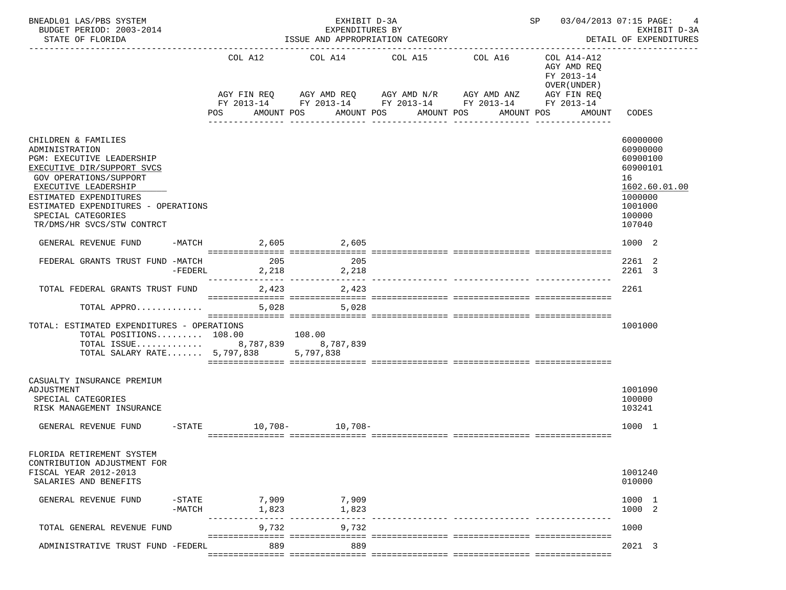| BNEADL01 LAS/PBS SYSTEM<br>BUDGET PERIOD: 2003-2014<br>STATE OF FLORIDA                                                                                                                                                                                                        |                        | EXHIBIT D-3A<br>EXPENDITURES BY | ISSUE AND APPROPRIATION CATEGORY                                                                                                            | SP 03/04/2013 07:15 PAGE:                                               | EXHIBIT D-3A<br>DETAIL OF EXPENDITURES                                                                        |
|--------------------------------------------------------------------------------------------------------------------------------------------------------------------------------------------------------------------------------------------------------------------------------|------------------------|---------------------------------|---------------------------------------------------------------------------------------------------------------------------------------------|-------------------------------------------------------------------------|---------------------------------------------------------------------------------------------------------------|
|                                                                                                                                                                                                                                                                                | COL A12                |                                 | COL A14 COL A15 COL A16<br>AGY FIN REQ 6 AGY AMD REQ 6 AGY AMD N/R 66 AGY AMD ANZ<br>FY 2013-14 FY 2013-14 FY 2013-14 FY 2013-14 FY 2013-14 | COL A14-A12<br>AGY AMD REQ<br>FY 2013-14<br>OVER (UNDER)<br>AGY FIN REQ |                                                                                                               |
|                                                                                                                                                                                                                                                                                | POS                    | AMOUNT POS                      | AMOUNT POS<br>AMOUNT POS<br>-----------<br>-------------                                                                                    | AMOUNT POS<br>AMOUNT                                                    | CODES                                                                                                         |
| CHILDREN & FAMILIES<br>ADMINISTRATION<br>PGM: EXECUTIVE LEADERSHIP<br>EXECUTIVE DIR/SUPPORT SVCS<br><b>GOV OPERATIONS/SUPPORT</b><br>EXECUTIVE LEADERSHIP<br>ESTIMATED EXPENDITURES<br>ESTIMATED EXPENDITURES - OPERATIONS<br>SPECIAL CATEGORIES<br>TR/DMS/HR SVCS/STW CONTRCT |                        |                                 |                                                                                                                                             |                                                                         | 60000000<br>60900000<br>60900100<br>60900101<br>16<br>1602.60.01.00<br>1000000<br>1001000<br>100000<br>107040 |
| GENERAL REVENUE FUND                                                                                                                                                                                                                                                           | -MATCH 2,605 2,605     |                                 |                                                                                                                                             |                                                                         | 1000 2                                                                                                        |
| FEDERAL GRANTS TRUST FUND -MATCH<br>$-FEDERL$                                                                                                                                                                                                                                  | 205                    | 205<br>2, 218 2, 218            |                                                                                                                                             |                                                                         | 2261 2<br>2261 3                                                                                              |
| TOTAL FEDERAL GRANTS TRUST FUND                                                                                                                                                                                                                                                | 2,423                  | 2,423                           |                                                                                                                                             |                                                                         | 2261                                                                                                          |
| TOTAL APPRO                                                                                                                                                                                                                                                                    | 5,028                  | 5,028                           |                                                                                                                                             |                                                                         |                                                                                                               |
| TOTAL: ESTIMATED EXPENDITURES - OPERATIONS<br>TOTAL POSITIONS 108.00 108.00<br>TOTAL ISSUE 8,787,839 8,787,839<br>TOTAL SALARY RATE 5,797,838 5,797,838                                                                                                                        |                        |                                 |                                                                                                                                             |                                                                         | 1001000                                                                                                       |
| CASUALTY INSURANCE PREMIUM<br>ADJUSTMENT<br>SPECIAL CATEGORIES<br>RISK MANAGEMENT INSURANCE                                                                                                                                                                                    |                        |                                 |                                                                                                                                             |                                                                         | 1001090<br>100000<br>103241                                                                                   |
| GENERAL REVENUE FUND                                                                                                                                                                                                                                                           | -STATE 10,708- 10,708- |                                 |                                                                                                                                             |                                                                         | 1000 1                                                                                                        |
| FLORIDA RETIREMENT SYSTEM<br>CONTRIBUTION ADJUSTMENT FOR<br>FISCAL YEAR 2012-2013<br>SALARIES AND BENEFITS                                                                                                                                                                     |                        |                                 |                                                                                                                                             |                                                                         | 1001240<br>010000                                                                                             |
| GENERAL REVENUE FUND<br>$-$ STATE<br>$-MATCH$                                                                                                                                                                                                                                  | 7,909<br>1,823         | 7,909<br>1,823                  |                                                                                                                                             |                                                                         | 1000 1<br>1000 2                                                                                              |
| TOTAL GENERAL REVENUE FUND                                                                                                                                                                                                                                                     | 9,732                  | 9,732                           |                                                                                                                                             |                                                                         | 1000                                                                                                          |
| ADMINISTRATIVE TRUST FUND -FEDERL                                                                                                                                                                                                                                              | 889                    | 889                             |                                                                                                                                             |                                                                         | 2021 3                                                                                                        |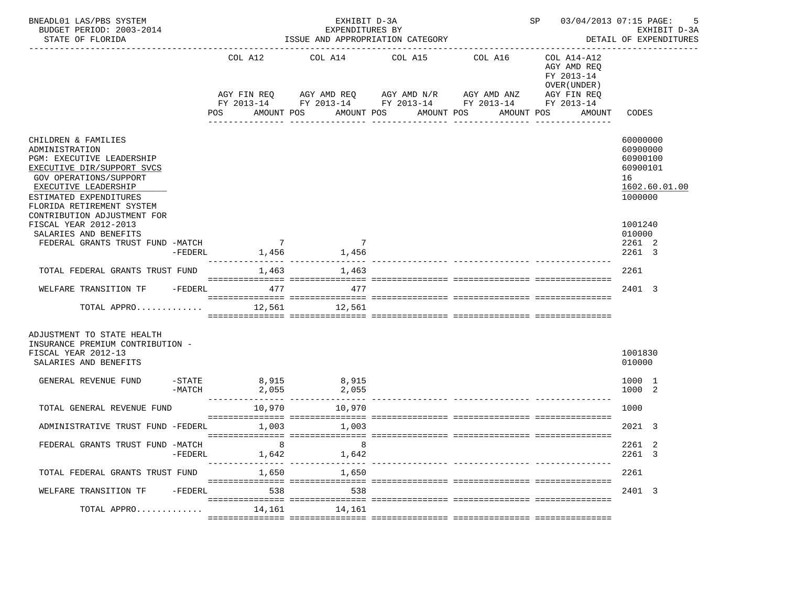| BNEADL01 LAS/PBS SYSTEM<br>BUDGET PERIOD: 2003-2014<br>STATE OF FLORIDA                                                                                      |           |                           | EXHIBIT D-3A<br>EXPENDITURES BY<br>ISSUE AND APPROPRIATION CATEGORY | SP 03/04/2013 07:15 PAGE:                                                                                                                                   | -5<br>EXHIBIT D-3A<br>DETAIL OF EXPENDITURES                                                    |                                                    |
|--------------------------------------------------------------------------------------------------------------------------------------------------------------|-----------|---------------------------|---------------------------------------------------------------------|-------------------------------------------------------------------------------------------------------------------------------------------------------------|-------------------------------------------------------------------------------------------------|----------------------------------------------------|
|                                                                                                                                                              |           | COL A12<br>POS            | COL A14<br>AMOUNT POS                                               | COL A15<br>COL A16<br>AGY FIN REQ AGY AMD REQ AGY AMD N/R AGY AMD ANZ<br>FY 2013-14 FY 2013-14 FY 2013-14 FY 2013-14 FY 2013-14<br>AMOUNT POS<br>AMOUNT POS | COL A14-A12<br>AGY AMD REQ<br>FY 2013-14<br>OVER (UNDER)<br>AGY FIN REQ<br>AMOUNT POS<br>AMOUNT | CODES                                              |
| CHILDREN & FAMILIES<br>ADMINISTRATION<br>PGM: EXECUTIVE LEADERSHIP<br>EXECUTIVE DIR/SUPPORT SVCS<br><b>GOV OPERATIONS/SUPPORT</b>                            |           |                           |                                                                     | ----------<br>------------                                                                                                                                  |                                                                                                 | 60000000<br>60900000<br>60900100<br>60900101<br>16 |
| EXECUTIVE LEADERSHIP<br>ESTIMATED EXPENDITURES<br>FLORIDA RETIREMENT SYSTEM<br>CONTRIBUTION ADJUSTMENT FOR<br>FISCAL YEAR 2012-2013<br>SALARIES AND BENEFITS |           |                           |                                                                     |                                                                                                                                                             |                                                                                                 | 1602.60.01.00<br>1000000<br>1001240<br>010000      |
| FEDERAL GRANTS TRUST FUND -MATCH<br>TOTAL FEDERAL GRANTS TRUST FUND                                                                                          | $-FEDERL$ | $7\overline{ }$           | $\overline{7}$<br>1,456 1,456<br>1,463 1,463                        |                                                                                                                                                             |                                                                                                 | 2261 2<br>2261 3<br>2261                           |
| WELFARE TRANSITION TF - FEDERL 477                                                                                                                           |           |                           | 477                                                                 |                                                                                                                                                             |                                                                                                 | 2401 3                                             |
| TOTAL APPRO                                                                                                                                                  |           | 12,561                    | 12,561                                                              |                                                                                                                                                             |                                                                                                 |                                                    |
| ADJUSTMENT TO STATE HEALTH<br>INSURANCE PREMIUM CONTRIBUTION -<br>FISCAL YEAR 2012-13<br>SALARIES AND BENEFITS                                               |           |                           |                                                                     |                                                                                                                                                             |                                                                                                 | 1001830<br>010000                                  |
| GENERAL REVENUE FUND                                                                                                                                         | -MATCH    | 2,055                     | $-$ STATE 8,915 8,915<br>2,055                                      |                                                                                                                                                             |                                                                                                 | 1000 1<br>1000 2                                   |
| TOTAL GENERAL REVENUE FUND                                                                                                                                   |           | 10,970                    | 10,970                                                              |                                                                                                                                                             |                                                                                                 | 1000                                               |
| ADMINISTRATIVE TRUST FUND -FEDERL                                                                                                                            |           | 1,003                     | 1,003                                                               |                                                                                                                                                             |                                                                                                 | 2021 3                                             |
| FEDERAL GRANTS TRUST FUND -MATCH                                                                                                                             | -FEDERL   | 8<br>1,642<br>----------- | 1,642<br>-----------                                                |                                                                                                                                                             |                                                                                                 | 2261 2<br>2261<br>-3                               |
| TOTAL FEDERAL GRANTS TRUST FUND                                                                                                                              |           | 1,650                     | 1,650                                                               |                                                                                                                                                             |                                                                                                 | 2261                                               |
| WELFARE TRANSITION TF                                                                                                                                        | -FEDERL   | 538                       | 538                                                                 |                                                                                                                                                             |                                                                                                 | 2401 3                                             |
| TOTAL APPRO                                                                                                                                                  |           | 14,161                    | 14,161                                                              |                                                                                                                                                             |                                                                                                 |                                                    |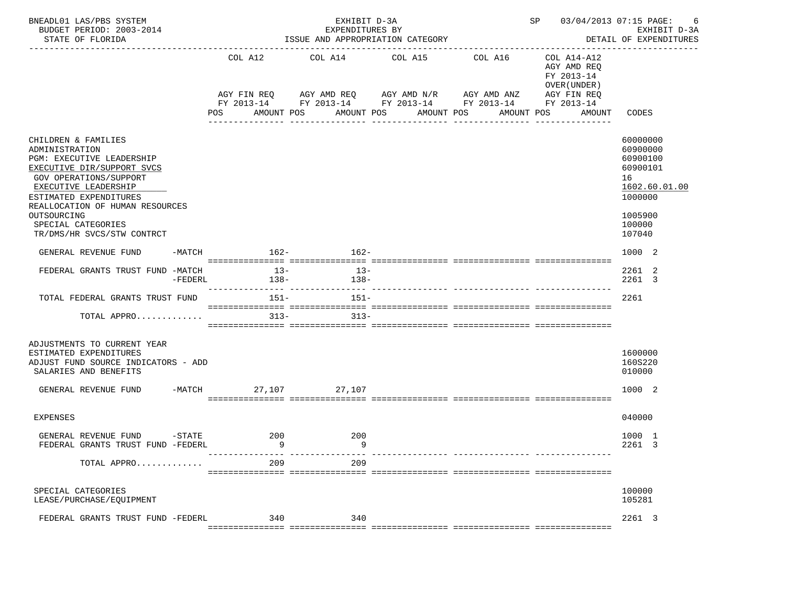| BNEADL01 LAS/PBS SYSTEM<br>BUDGET PERIOD: 2003-2014<br>STATE OF FLORIDA                                                                                                                                                                                                            |           |                               | EXHIBIT D-3A<br>EXPENDITURES BY<br>ISSUE AND APPROPRIATION CATEGORY |                                                                                                                                              | SP 03/04/2013 07:15 PAGE:<br>-6<br>EXHIBIT D-3A<br>DETAIL OF EXPENDITURES |                                                                                                  |                                                                                                               |  |
|------------------------------------------------------------------------------------------------------------------------------------------------------------------------------------------------------------------------------------------------------------------------------------|-----------|-------------------------------|---------------------------------------------------------------------|----------------------------------------------------------------------------------------------------------------------------------------------|---------------------------------------------------------------------------|--------------------------------------------------------------------------------------------------|---------------------------------------------------------------------------------------------------------------|--|
|                                                                                                                                                                                                                                                                                    |           | COL A12<br>AGY FIN REQ<br>POS | COL A14<br>AMOUNT POS                                               | COL A15<br>AGY AMD REQ AGY AMD N/R AGY AMD ANZ<br>FY 2013-14 FY 2013-14 FY 2013-14 FY 2013-14<br>AMOUNT POS<br>AMOUNT POS<br>--------------- | COL A16<br>AMOUNT POS<br>------------                                     | COL A14-A12<br>AGY AMD REQ<br>FY 2013-14<br>OVER (UNDER )<br>AGY FIN REQ<br>FY 2013-14<br>AMOUNT | CODES                                                                                                         |  |
| CHILDREN & FAMILIES<br>ADMINISTRATION<br>PGM: EXECUTIVE LEADERSHIP<br>EXECUTIVE DIR/SUPPORT SVCS<br>GOV OPERATIONS/SUPPORT<br>EXECUTIVE LEADERSHIP<br>ESTIMATED EXPENDITURES<br>REALLOCATION OF HUMAN RESOURCES<br>OUTSOURCING<br>SPECIAL CATEGORIES<br>TR/DMS/HR SVCS/STW CONTRCT |           |                               |                                                                     |                                                                                                                                              |                                                                           |                                                                                                  | 60000000<br>60900000<br>60900100<br>60900101<br>16<br>1602.60.01.00<br>1000000<br>1005900<br>100000<br>107040 |  |
| GENERAL REVENUE FUND                                                                                                                                                                                                                                                               |           | -MATCH 162-                   | $162-$                                                              |                                                                                                                                              |                                                                           |                                                                                                  | 1000 2                                                                                                        |  |
| FEDERAL GRANTS TRUST FUND -MATCH                                                                                                                                                                                                                                                   | $-FEDERL$ | $13-$<br>$138-$               | $13-$<br>$138-$                                                     |                                                                                                                                              |                                                                           |                                                                                                  | 2261 2<br>2261 3                                                                                              |  |
| TOTAL FEDERAL GRANTS TRUST FUND                                                                                                                                                                                                                                                    |           | 151-                          | $151-$                                                              |                                                                                                                                              |                                                                           |                                                                                                  | 2261                                                                                                          |  |
| TOTAL APPRO                                                                                                                                                                                                                                                                        |           | $313-$                        | $313-$                                                              |                                                                                                                                              |                                                                           |                                                                                                  |                                                                                                               |  |
| ADJUSTMENTS TO CURRENT YEAR<br>ESTIMATED EXPENDITURES<br>ADJUST FUND SOURCE INDICATORS - ADD<br>SALARIES AND BENEFITS<br>GENERAL REVENUE FUND                                                                                                                                      |           | $-MATCH$                      | 27,107 27,107                                                       |                                                                                                                                              |                                                                           |                                                                                                  | 1600000<br>160S220<br>010000<br>1000 2                                                                        |  |
| EXPENSES                                                                                                                                                                                                                                                                           |           |                               |                                                                     |                                                                                                                                              |                                                                           |                                                                                                  | 040000                                                                                                        |  |
| GENERAL REVENUE FUND<br>FEDERAL GRANTS TRUST FUND -FEDERL                                                                                                                                                                                                                          |           | $-$ STATE 200<br>9            | 200<br>9                                                            |                                                                                                                                              |                                                                           |                                                                                                  | 1000 1<br>2261 3                                                                                              |  |
| TOTAL APPRO                                                                                                                                                                                                                                                                        |           | 209                           | 209                                                                 |                                                                                                                                              |                                                                           |                                                                                                  |                                                                                                               |  |
| SPECIAL CATEGORIES<br>LEASE/PURCHASE/EQUIPMENT                                                                                                                                                                                                                                     |           |                               |                                                                     |                                                                                                                                              |                                                                           |                                                                                                  | 100000<br>105281                                                                                              |  |
| FEDERAL GRANTS TRUST FUND -FEDERL                                                                                                                                                                                                                                                  |           | 340                           | 340                                                                 |                                                                                                                                              |                                                                           |                                                                                                  | 2261 3                                                                                                        |  |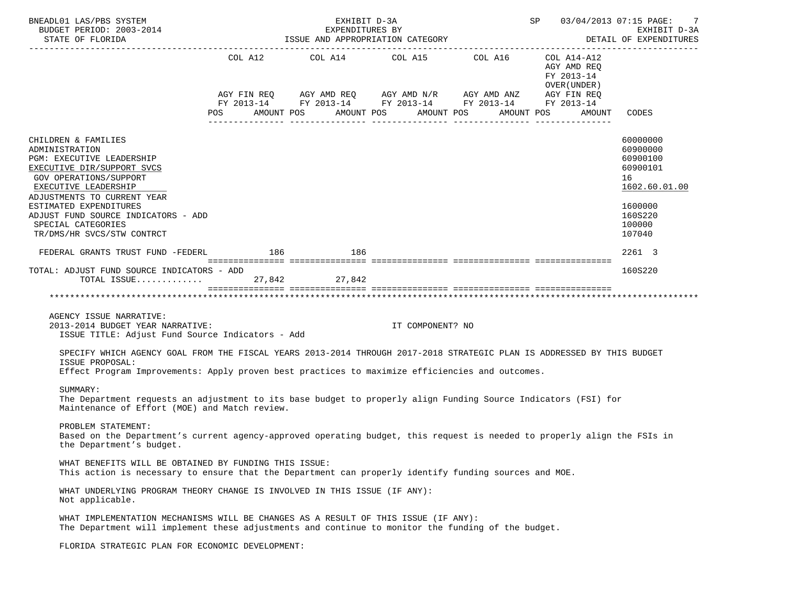| BNEADL01 LAS/PBS SYSTEM<br>BUDGET PERIOD: 2003-2014<br>STATE OF FLORIDA                                                                                                                                                                                                                                |                                                                                                                | EXHIBIT D-3A<br>EXPENDITURES BY | ISSUE AND APPROPRIATION CATEGORY                                                                                      |  |                                                          | SP 03/04/2013 07:15 PAGE:<br>7<br>EXHIBIT D-3A<br>DETAIL OF EXPENDITURES                                      |
|--------------------------------------------------------------------------------------------------------------------------------------------------------------------------------------------------------------------------------------------------------------------------------------------------------|----------------------------------------------------------------------------------------------------------------|---------------------------------|-----------------------------------------------------------------------------------------------------------------------|--|----------------------------------------------------------|---------------------------------------------------------------------------------------------------------------|
|                                                                                                                                                                                                                                                                                                        |                                                                                                                |                                 |                                                                                                                       |  |                                                          |                                                                                                               |
|                                                                                                                                                                                                                                                                                                        |                                                                                                                |                                 | COL A12 COL A14 COL A15 COL A16                                                                                       |  | COL A14-A12<br>AGY AMD REO<br>FY 2013-14<br>OVER (UNDER) |                                                                                                               |
|                                                                                                                                                                                                                                                                                                        |                                                                                                                |                                 | AGY FIN REQ AGY AMD REQ AGY AMD N/R AGY AMD ANZ AGY FIN REQ<br>FY 2013-14 FY 2013-14 FY 2013-14 FY 2013-14 FY 2013-14 |  |                                                          |                                                                                                               |
|                                                                                                                                                                                                                                                                                                        | POS FOR THE POST OF THE STATE STATE STATE STATE STATE STATE STATE STATE STATE STATE STATE STATE STATE STATE ST |                                 | AMOUNT POS AMOUNT POS AMOUNT POS AMOUNT POS                                                                           |  | AMOUNT                                                   | CODES                                                                                                         |
| CHILDREN & FAMILIES<br>ADMINISTRATION<br>PGM: EXECUTIVE LEADERSHIP<br>EXECUTIVE DIR/SUPPORT SVCS<br>GOV OPERATIONS/SUPPORT<br>EXECUTIVE LEADERSHIP<br>ADJUSTMENTS TO CURRENT YEAR<br>ESTIMATED EXPENDITURES<br>ADJUST FUND SOURCE INDICATORS - ADD<br>SPECIAL CATEGORIES<br>TR/DMS/HR SVCS/STW CONTRCT |                                                                                                                |                                 |                                                                                                                       |  |                                                          | 60000000<br>60900000<br>60900100<br>60900101<br>16<br>1602.60.01.00<br>1600000<br>160S220<br>100000<br>107040 |
| FEDERAL GRANTS TRUST FUND -FEDERL 186 186 186                                                                                                                                                                                                                                                          |                                                                                                                |                                 |                                                                                                                       |  |                                                          | 2261 3                                                                                                        |
| TOTAL: ADJUST FUND SOURCE INDICATORS - ADD                                                                                                                                                                                                                                                             |                                                                                                                |                                 |                                                                                                                       |  |                                                          | 160S220                                                                                                       |
|                                                                                                                                                                                                                                                                                                        |                                                                                                                |                                 |                                                                                                                       |  |                                                          |                                                                                                               |
| AGENCY ISSUE NARRATIVE:<br>2013-2014 BUDGET YEAR NARRATIVE:<br>ISSUE TITLE: Adjust Fund Source Indicators - Add                                                                                                                                                                                        |                                                                                                                |                                 | IT COMPONENT? NO                                                                                                      |  |                                                          |                                                                                                               |
| SPECIFY WHICH AGENCY GOAL FROM THE FISCAL YEARS 2013-2014 THROUGH 2017-2018 STRATEGIC PLAN IS ADDRESSED BY THIS BUDGET<br>ISSUE PROPOSAL:<br>Effect Program Improvements: Apply proven best practices to maximize efficiencies and outcomes.                                                           |                                                                                                                |                                 |                                                                                                                       |  |                                                          |                                                                                                               |
| SUMMARY:<br>The Department requests an adjustment to its base budget to properly align Funding Source Indicators (FSI) for                                                                                                                                                                             |                                                                                                                |                                 |                                                                                                                       |  |                                                          |                                                                                                               |
| Maintenance of Effort (MOE) and Match review.                                                                                                                                                                                                                                                          |                                                                                                                |                                 |                                                                                                                       |  |                                                          |                                                                                                               |
| PROBLEM STATEMENT:<br>Based on the Department's current agency-approved operating budget, this request is needed to properly align the FSIs in<br>the Department's budget.                                                                                                                             |                                                                                                                |                                 |                                                                                                                       |  |                                                          |                                                                                                               |
| WHAT BENEFITS WILL BE OBTAINED BY FUNDING THIS ISSUE:<br>This action is necessary to ensure that the Department can properly identify funding sources and MOE.                                                                                                                                         |                                                                                                                |                                 |                                                                                                                       |  |                                                          |                                                                                                               |
| WHAT UNDERLYING PROGRAM THEORY CHANGE IS INVOLVED IN THIS ISSUE (IF ANY):<br>Not applicable.                                                                                                                                                                                                           |                                                                                                                |                                 |                                                                                                                       |  |                                                          |                                                                                                               |
| WHAT IMPLEMENTATION MECHANISMS WILL BE CHANGES AS A RESULT OF THIS ISSUE (IF ANY):<br>The Department will implement these adjustments and continue to monitor the funding of the budget.                                                                                                               |                                                                                                                |                                 |                                                                                                                       |  |                                                          |                                                                                                               |
| FLORIDA STRATEGIC PLAN FOR ECONOMIC DEVELOPMENT:                                                                                                                                                                                                                                                       |                                                                                                                |                                 |                                                                                                                       |  |                                                          |                                                                                                               |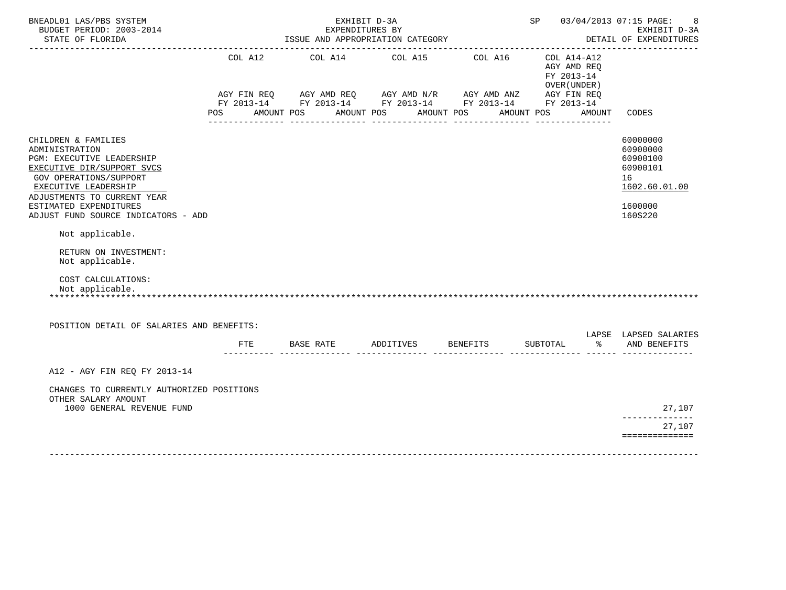| BNEADL01 LAS/PBS SYSTEM<br>BUDGET PERIOD: 2003-2014<br>STATE OF FLORIDA                                                                                                           |     |            | EXHIBIT D-3A<br>EXPENDITURES BY |            | ISSUE AND APPROPRIATION CATEGORY                                                                                                                                                                                                                                                                                                                                                             |            |                           |                                        | SP 03/04/2013 07:15 PAGE:<br>8<br>EXHIBIT D-3A<br>DETAIL OF EXPENDITURES |
|-----------------------------------------------------------------------------------------------------------------------------------------------------------------------------------|-----|------------|---------------------------------|------------|----------------------------------------------------------------------------------------------------------------------------------------------------------------------------------------------------------------------------------------------------------------------------------------------------------------------------------------------------------------------------------------------|------------|---------------------------|----------------------------------------|--------------------------------------------------------------------------|
|                                                                                                                                                                                   | POS | AMOUNT POS |                                 | AMOUNT POS | COL A12 COL A14 COL A15 COL A16<br>$AGY \text{ } \text{FIN } \text{REQ} \text{ } \qquad \text{AGY} \text{ } \text{AMD } \text{REQ} \text{ } \qquad \text{AGY} \text{ } \text{AMD } \text{N/R} \text{ } \qquad \text{AGY} \text{ } \text{AMD } \text{ANZ} \text{ } \qquad \text{AGY} \text{ } \text{FIN } \text{REQ}$<br>FY 2013-14 FY 2013-14 FY 2013-14 FY 2013-14 FY 2013-14<br>AMOUNT POS | AMOUNT POS | COL A14-A12<br>FY 2013-14 | AGY AMD REO<br>OVER (UNDER )<br>AMOUNT | CODES                                                                    |
| CHILDREN & FAMILIES<br>ADMINISTRATION<br>PGM: EXECUTIVE LEADERSHIP<br>EXECUTIVE DIR/SUPPORT SVCS<br>GOV OPERATIONS/SUPPORT<br>EXECUTIVE LEADERSHIP<br>ADJUSTMENTS TO CURRENT YEAR |     |            |                                 |            |                                                                                                                                                                                                                                                                                                                                                                                              |            |                           |                                        | 60000000<br>60900000<br>60900100<br>60900101<br>16<br>1602.60.01.00      |
| ESTIMATED EXPENDITURES<br>ADJUST FUND SOURCE INDICATORS - ADD                                                                                                                     |     |            |                                 |            |                                                                                                                                                                                                                                                                                                                                                                                              |            |                           |                                        | 1600000<br>160S220                                                       |
| Not applicable.<br>RETURN ON INVESTMENT:<br>Not applicable.                                                                                                                       |     |            |                                 |            |                                                                                                                                                                                                                                                                                                                                                                                              |            |                           |                                        |                                                                          |
| COST CALCULATIONS:<br>Not applicable.                                                                                                                                             |     |            |                                 |            |                                                                                                                                                                                                                                                                                                                                                                                              |            |                           |                                        |                                                                          |
| POSITION DETAIL OF SALARIES AND BENEFITS:                                                                                                                                         |     |            |                                 |            |                                                                                                                                                                                                                                                                                                                                                                                              |            |                           |                                        | LAPSE LAPSED SALARIES                                                    |
|                                                                                                                                                                                   |     |            |                                 |            | FTE BASE RATE ADDITIVES BENEFITS                                                                                                                                                                                                                                                                                                                                                             |            | SUBTOTAL                  |                                        | % AND BENEFITS                                                           |
| A12 - AGY FIN REQ FY 2013-14                                                                                                                                                      |     |            |                                 |            |                                                                                                                                                                                                                                                                                                                                                                                              |            |                           |                                        |                                                                          |
| CHANGES TO CURRENTLY AUTHORIZED POSITIONS<br>OTHER SALARY AMOUNT<br>1000 GENERAL REVENUE FUND                                                                                     |     |            |                                 |            |                                                                                                                                                                                                                                                                                                                                                                                              |            |                           |                                        | 27,107                                                                   |
|                                                                                                                                                                                   |     |            |                                 |            |                                                                                                                                                                                                                                                                                                                                                                                              |            |                           |                                        | .<br>27,107<br>==============                                            |
|                                                                                                                                                                                   |     |            |                                 |            |                                                                                                                                                                                                                                                                                                                                                                                              |            |                           |                                        |                                                                          |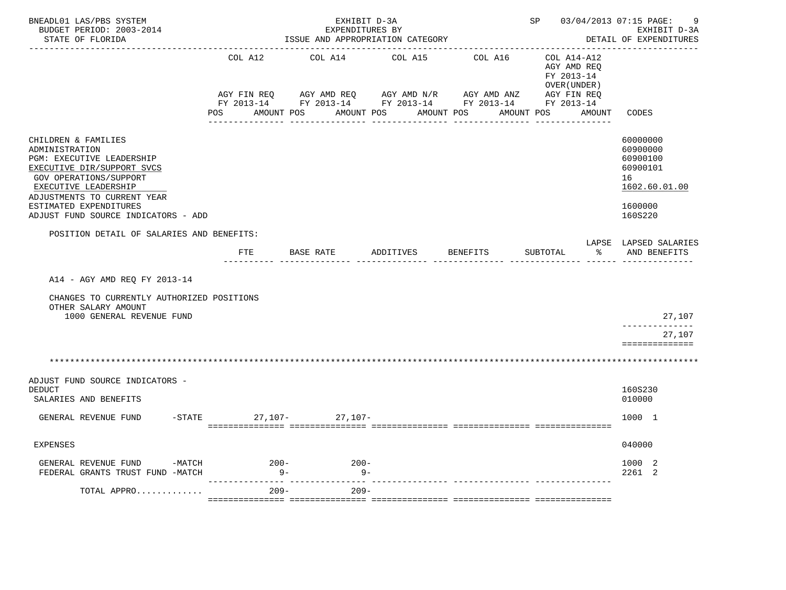| BNEADL01 LAS/PBS SYSTEM<br>BUDGET PERIOD: 2003-2014<br>STATE OF FLORIDA                                                                                                                                                                            |                                 | EXHIBIT D-3A<br>EXPENDITURES BY<br>ISSUE AND APPROPRIATION CATEGORY |               |                                                                                  | SP 03/04/2013 07:15 PAGE:                                               | -9<br>EXHIBIT D-3A<br>DETAIL OF EXPENDITURES                                              |
|----------------------------------------------------------------------------------------------------------------------------------------------------------------------------------------------------------------------------------------------------|---------------------------------|---------------------------------------------------------------------|---------------|----------------------------------------------------------------------------------|-------------------------------------------------------------------------|-------------------------------------------------------------------------------------------|
|                                                                                                                                                                                                                                                    | COL A12<br>AGY FIN REQ          | COL A14<br>AGY AMD REQ AGY AMD N/R                                  | COL A15       | COL A16<br>AGY AMD ANZ<br>FY 2013-14 FY 2013-14 FY 2013-14 FY 2013-14 FY 2013-14 | COL A14-A12<br>AGY AMD REQ<br>FY 2013-14<br>OVER (UNDER)<br>AGY FIN REQ |                                                                                           |
|                                                                                                                                                                                                                                                    |                                 | POS AMOUNT POS AMOUNT POS AMOUNT POS                                | _____________ |                                                                                  | AMOUNT POS AMOUNT                                                       | CODES                                                                                     |
| CHILDREN & FAMILIES<br>ADMINISTRATION<br>PGM: EXECUTIVE LEADERSHIP<br>EXECUTIVE DIR/SUPPORT SVCS<br>GOV OPERATIONS/SUPPORT<br>EXECUTIVE LEADERSHIP<br>ADJUSTMENTS TO CURRENT YEAR<br>ESTIMATED EXPENDITURES<br>ADJUST FUND SOURCE INDICATORS - ADD |                                 |                                                                     |               |                                                                                  |                                                                         | 60000000<br>60900000<br>60900100<br>60900101<br>16<br>1602.60.01.00<br>1600000<br>160S220 |
| POSITION DETAIL OF SALARIES AND BENEFITS:                                                                                                                                                                                                          |                                 |                                                                     |               |                                                                                  |                                                                         | LAPSE LAPSED SALARIES                                                                     |
|                                                                                                                                                                                                                                                    | FTE                             | BASE RATE                                                           | ADDITIVES     | BENEFITS                                                                         | SUBTOTAL<br>ွာ                                                          | AND BENEFITS                                                                              |
| A14 - AGY AMD REO FY 2013-14                                                                                                                                                                                                                       |                                 |                                                                     |               |                                                                                  |                                                                         |                                                                                           |
| CHANGES TO CURRENTLY AUTHORIZED POSITIONS<br>OTHER SALARY AMOUNT<br>1000 GENERAL REVENUE FUND                                                                                                                                                      |                                 |                                                                     |               |                                                                                  |                                                                         | 27,107<br>. _ _ _ _ _ _ _ _ _ _ _ _ _                                                     |
|                                                                                                                                                                                                                                                    |                                 |                                                                     |               |                                                                                  |                                                                         | 27,107<br>==============                                                                  |
|                                                                                                                                                                                                                                                    |                                 |                                                                     |               |                                                                                  |                                                                         |                                                                                           |
| ADJUST FUND SOURCE INDICATORS -<br><b>DEDUCT</b><br>SALARIES AND BENEFITS                                                                                                                                                                          |                                 |                                                                     |               |                                                                                  |                                                                         | 160S230<br>010000                                                                         |
| GENERAL REVENUE FUND                                                                                                                                                                                                                               | $-STATE$                        | $27,107-27,107-$                                                    |               |                                                                                  |                                                                         | 1000 1                                                                                    |
| <b>EXPENSES</b>                                                                                                                                                                                                                                    |                                 |                                                                     |               |                                                                                  |                                                                         | 040000                                                                                    |
| GENERAL REVENUE FUND -MATCH<br>FEDERAL GRANTS TRUST FUND -MATCH                                                                                                                                                                                    | $200-$<br>$9 -$                 | $200-$<br>$9 -$                                                     |               |                                                                                  |                                                                         | 1000 2<br>2261 2                                                                          |
| TOTAL APPRO                                                                                                                                                                                                                                        | --------------- ----<br>$209 -$ | $209 -$                                                             |               |                                                                                  |                                                                         |                                                                                           |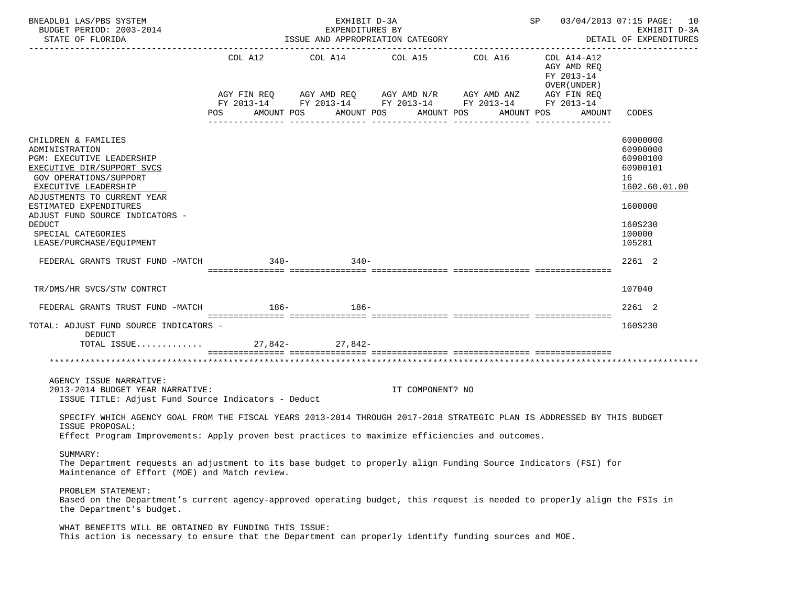| BNEADL01 LAS/PBS SYSTEM<br>BUDGET PERIOD: 2003-2014<br>STATE OF FLORIDA                                                                                                                                                                                                                                           |                | EXHIBIT D-3A<br>EXPENDITURES BY<br>ISSUE AND APPROPRIATION CATEGORY |                  | SP 03/04/2013 07:15 PAGE: 10<br>EXHIBIT D-3A<br>DETAIL OF EXPENDITURES<br>---------------                                                                      |                                                                                  |                                                                                                               |  |  |
|-------------------------------------------------------------------------------------------------------------------------------------------------------------------------------------------------------------------------------------------------------------------------------------------------------------------|----------------|---------------------------------------------------------------------|------------------|----------------------------------------------------------------------------------------------------------------------------------------------------------------|----------------------------------------------------------------------------------|---------------------------------------------------------------------------------------------------------------|--|--|
|                                                                                                                                                                                                                                                                                                                   | COL A12<br>POS | AMOUNT POS                                                          | AMOUNT POS       | COL A14 COL A15 COL A16<br>AGY FIN REQ AGY AMD REQ AGY AMD N/R AGY AMD ANZ AGY FIN REQ<br>FY 2013-14 FY 2013-14 FY 2013-14 FY 2013-14 FY 2013-14<br>AMOUNT POS | COL A14-A12<br>AGY AMD REQ<br>FY 2013-14<br>OVER (UNDER)<br>AMOUNT POS<br>AMOUNT | CODES                                                                                                         |  |  |
| CHILDREN & FAMILIES<br>ADMINISTRATION<br>PGM: EXECUTIVE LEADERSHIP<br>EXECUTIVE DIR/SUPPORT SVCS<br>GOV OPERATIONS/SUPPORT<br>EXECUTIVE LEADERSHIP<br>ADJUSTMENTS TO CURRENT YEAR<br>ESTIMATED EXPENDITURES<br>ADJUST FUND SOURCE INDICATORS -<br><b>DEDUCT</b><br>SPECIAL CATEGORIES<br>LEASE/PURCHASE/EQUIPMENT |                |                                                                     |                  |                                                                                                                                                                |                                                                                  | 60000000<br>60900000<br>60900100<br>60900101<br>16<br>1602.60.01.00<br>1600000<br>160S230<br>100000<br>105281 |  |  |
| FEDERAL GRANTS TRUST FUND -MATCH                                                                                                                                                                                                                                                                                  | $340-$         | $340 -$                                                             |                  |                                                                                                                                                                |                                                                                  | 2261 2                                                                                                        |  |  |
| TR/DMS/HR SVCS/STW CONTRCT                                                                                                                                                                                                                                                                                        |                |                                                                     |                  |                                                                                                                                                                |                                                                                  | 107040                                                                                                        |  |  |
| FEDERAL GRANTS TRUST FUND -MATCH                                                                                                                                                                                                                                                                                  |                | $186 - 186 -$                                                       |                  |                                                                                                                                                                |                                                                                  | 2261 2                                                                                                        |  |  |
| TOTAL: ADJUST FUND SOURCE INDICATORS -<br>DEDUCT<br>TOTAL ISSUE 27,842- 27,842-                                                                                                                                                                                                                                   |                |                                                                     |                  |                                                                                                                                                                |                                                                                  | 160S230                                                                                                       |  |  |
|                                                                                                                                                                                                                                                                                                                   |                |                                                                     |                  |                                                                                                                                                                |                                                                                  |                                                                                                               |  |  |
| AGENCY ISSUE NARRATIVE:<br>2013-2014 BUDGET YEAR NARRATIVE:<br>ISSUE TITLE: Adjust Fund Source Indicators - Deduct                                                                                                                                                                                                |                |                                                                     | IT COMPONENT? NO |                                                                                                                                                                |                                                                                  |                                                                                                               |  |  |
| SPECIFY WHICH AGENCY GOAL FROM THE FISCAL YEARS 2013-2014 THROUGH 2017-2018 STRATEGIC PLAN IS ADDRESSED BY THIS BUDGET<br>ISSUE PROPOSAL:<br>Effect Program Improvements: Apply proven best practices to maximize efficiencies and outcomes.                                                                      |                |                                                                     |                  |                                                                                                                                                                |                                                                                  |                                                                                                               |  |  |
| SUMMARY:<br>The Department requests an adjustment to its base budget to properly align Funding Source Indicators (FSI) for<br>Maintenance of Effort (MOE) and Match review.                                                                                                                                       |                |                                                                     |                  |                                                                                                                                                                |                                                                                  |                                                                                                               |  |  |
| PROBLEM STATEMENT:<br>Based on the Department's current agency-approved operating budget, this request is needed to properly align the FSIs in<br>the Department's budget.                                                                                                                                        |                |                                                                     |                  |                                                                                                                                                                |                                                                                  |                                                                                                               |  |  |
| WHAT BENEFITS WILL BE OBTAINED BY FUNDING THIS ISSUE:<br>This action is necessary to ensure that the Department can properly identify funding sources and MOE.                                                                                                                                                    |                |                                                                     |                  |                                                                                                                                                                |                                                                                  |                                                                                                               |  |  |
|                                                                                                                                                                                                                                                                                                                   |                |                                                                     |                  |                                                                                                                                                                |                                                                                  |                                                                                                               |  |  |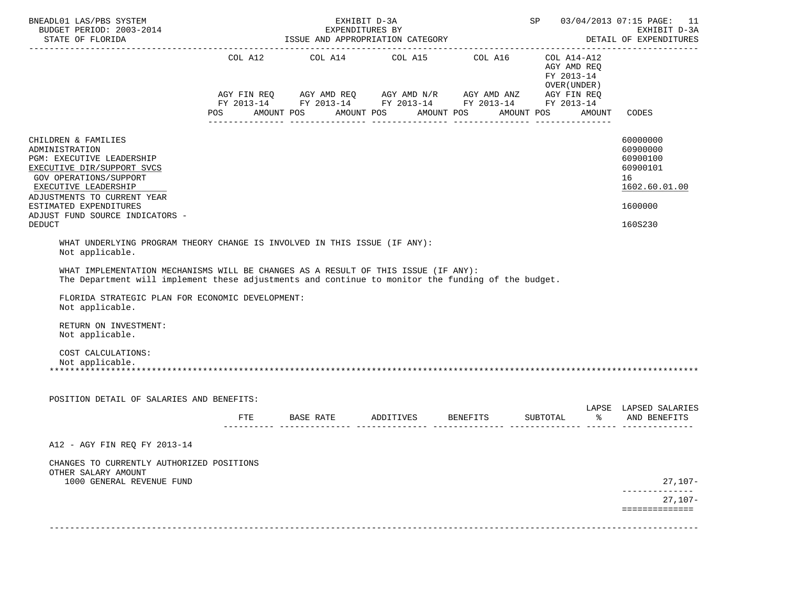| BNEADL01 LAS/PBS SYSTEM<br>BUDGET PERIOD: 2003-2014                                                                                                                                                                                                            |            | EXHIBIT D-3A<br>EXPENDITURES BY                                                                                                                                                                                       |                    | SP 03/04/2013 07:15 PAGE: 11<br>EXHIBIT D-3A |                                                                         |        |                                                                     |
|----------------------------------------------------------------------------------------------------------------------------------------------------------------------------------------------------------------------------------------------------------------|------------|-----------------------------------------------------------------------------------------------------------------------------------------------------------------------------------------------------------------------|--------------------|----------------------------------------------|-------------------------------------------------------------------------|--------|---------------------------------------------------------------------|
| STATE OF FLORIDA                                                                                                                                                                                                                                               |            | ISSUE AND APPROPRIATION CATEGORY                                                                                                                                                                                      |                    |                                              |                                                                         |        | DETAIL OF EXPENDITURES                                              |
|                                                                                                                                                                                                                                                                | <b>POS</b> | $COL A12 \hspace{1.2cm} COL A14 \hspace{1.2cm} COL A15 \hspace{1.2cm} COL A16$<br>AGY FIN REQ AGY AMD REQ AGY AMD N/R AGY AMD ANZ AGY FIN REQ<br>FY 2013-14 FY 2013-14 FY 2013-14 FY 2013-14 FY 2013-14<br>AMOUNT POS | AMOUNT POS         | AMOUNT POS                                   | COL A14-A12<br>AGY AMD REQ<br>FY 2013-14<br>OVER (UNDER )<br>AMOUNT POS | AMOUNT | CODES                                                               |
| CHILDREN & FAMILIES<br>ADMINISTRATION<br>PGM: EXECUTIVE LEADERSHIP<br>EXECUTIVE DIR/SUPPORT SVCS<br>GOV OPERATIONS/SUPPORT<br>EXECUTIVE LEADERSHIP                                                                                                             |            |                                                                                                                                                                                                                       |                    |                                              |                                                                         |        | 60000000<br>60900000<br>60900100<br>60900101<br>16<br>1602.60.01.00 |
| ADJUSTMENTS TO CURRENT YEAR<br>ESTIMATED EXPENDITURES<br>ADJUST FUND SOURCE INDICATORS -                                                                                                                                                                       |            |                                                                                                                                                                                                                       |                    |                                              |                                                                         |        | 1600000                                                             |
| <b>DEDUCT</b>                                                                                                                                                                                                                                                  |            |                                                                                                                                                                                                                       |                    |                                              |                                                                         |        | 160S230                                                             |
| The Department will implement these adjustments and continue to monitor the funding of the budget.<br>FLORIDA STRATEGIC PLAN FOR ECONOMIC DEVELOPMENT:<br>Not applicable.<br>RETURN ON INVESTMENT:<br>Not applicable.<br>COST CALCULATIONS:<br>Not applicable. |            |                                                                                                                                                                                                                       |                    |                                              |                                                                         |        |                                                                     |
| POSITION DETAIL OF SALARIES AND BENEFITS:                                                                                                                                                                                                                      |            |                                                                                                                                                                                                                       |                    |                                              |                                                                         |        | LAPSE LAPSED SALARIES                                               |
|                                                                                                                                                                                                                                                                | FTE        | <b>BASE RATE</b>                                                                                                                                                                                                      | ADDITIVES BENEFITS |                                              | SUBTOTAL                                                                |        | % AND BENEFITS                                                      |
| A12 - AGY FIN REQ FY 2013-14<br>CHANGES TO CURRENTLY AUTHORIZED POSITIONS<br>OTHER SALARY AMOUNT<br>1000 GENERAL REVENUE FUND                                                                                                                                  |            |                                                                                                                                                                                                                       |                    |                                              |                                                                         |        | $27,107-$                                                           |
|                                                                                                                                                                                                                                                                |            |                                                                                                                                                                                                                       |                    |                                              |                                                                         |        | $27,107-$<br>==============                                         |
|                                                                                                                                                                                                                                                                |            |                                                                                                                                                                                                                       |                    |                                              |                                                                         |        |                                                                     |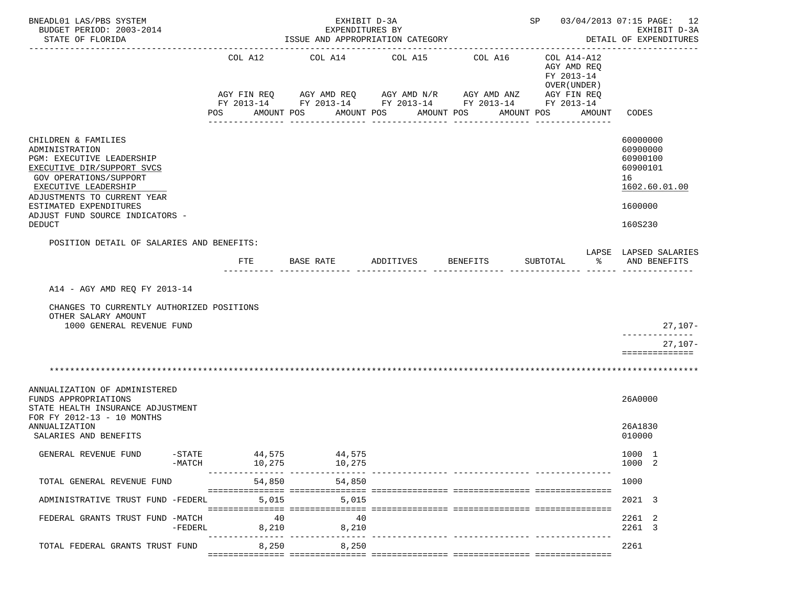| BNEADL01 LAS/PBS SYSTEM<br>BUDGET PERIOD: 2003-2014<br>STATE OF FLORIDA                                                                                                                                                                                         |           |                           | EXHIBIT D-3A<br>EXPENDITURES BY<br>ISSUE AND APPROPRIATION CATEGORY |            |                                                                   | SP 03/04/2013 07:15 PAGE: 12<br>EXHIBIT D-3A<br>DETAIL OF EXPENDITURES  |                                                                                           |
|-----------------------------------------------------------------------------------------------------------------------------------------------------------------------------------------------------------------------------------------------------------------|-----------|---------------------------|---------------------------------------------------------------------|------------|-------------------------------------------------------------------|-------------------------------------------------------------------------|-------------------------------------------------------------------------------------------|
|                                                                                                                                                                                                                                                                 |           | COL A12<br>AGY FIN REQ    | COL A14                                                             | COL A15    | COL A16<br>FY 2013-14 FY 2013-14 FY 2013-14 FY 2013-14 FY 2013-14 | COL A14-A12<br>AGY AMD REQ<br>FY 2013-14<br>OVER (UNDER)<br>AGY FIN REQ |                                                                                           |
|                                                                                                                                                                                                                                                                 | POS       |                           | AMOUNT POS                                                          | AMOUNT POS | AMOUNT POS<br>AMOUNT POS                                          | AMOUNT                                                                  | CODES                                                                                     |
| CHILDREN & FAMILIES<br>ADMINISTRATION<br>PGM: EXECUTIVE LEADERSHIP<br>EXECUTIVE DIR/SUPPORT SVCS<br>GOV OPERATIONS/SUPPORT<br>EXECUTIVE LEADERSHIP<br>ADJUSTMENTS TO CURRENT YEAR<br>ESTIMATED EXPENDITURES<br>ADJUST FUND SOURCE INDICATORS -<br><b>DEDUCT</b> |           |                           |                                                                     |            |                                                                   |                                                                         | 60000000<br>60900000<br>60900100<br>60900101<br>16<br>1602.60.01.00<br>1600000<br>160S230 |
| POSITION DETAIL OF SALARIES AND BENEFITS:                                                                                                                                                                                                                       |           |                           |                                                                     |            |                                                                   |                                                                         |                                                                                           |
|                                                                                                                                                                                                                                                                 |           | FTE                       | BASE RATE                                                           | ADDITIVES  | <b>BENEFITS</b>                                                   | SUBTOTAL<br>ႜ                                                           | LAPSE LAPSED SALARIES<br>AND BENEFITS                                                     |
| A14 - AGY AMD REQ FY 2013-14<br>CHANGES TO CURRENTLY AUTHORIZED POSITIONS<br>OTHER SALARY AMOUNT<br>1000 GENERAL REVENUE FUND                                                                                                                                   |           |                           |                                                                     |            |                                                                   |                                                                         | 27,107-<br>--------------<br>$27,107-$<br>==============                                  |
|                                                                                                                                                                                                                                                                 |           |                           |                                                                     |            |                                                                   |                                                                         |                                                                                           |
| ANNUALIZATION OF ADMINISTERED<br>FUNDS APPROPRIATIONS<br>STATE HEALTH INSURANCE ADJUSTMENT<br>FOR FY 2012-13 - 10 MONTHS<br>ANNUALIZATION<br>SALARIES AND BENEFITS                                                                                              |           |                           |                                                                     |            |                                                                   |                                                                         | 26A0000<br>26A1830<br>010000                                                              |
| -STATE<br>GENERAL REVENUE FUND<br>-MATCH                                                                                                                                                                                                                        |           | 44,575<br>10,275          | 44,575<br>10,275                                                    |            |                                                                   |                                                                         | 1000 1<br>1000 2                                                                          |
| TOTAL GENERAL REVENUE FUND                                                                                                                                                                                                                                      |           | ---------------<br>54,850 | 54,850                                                              |            |                                                                   |                                                                         | 1000                                                                                      |
| ADMINISTRATIVE TRUST FUND -FEDERL                                                                                                                                                                                                                               |           | 5,015                     | 5,015                                                               |            |                                                                   |                                                                         | 2021 3                                                                                    |
| FEDERAL GRANTS TRUST FUND -MATCH                                                                                                                                                                                                                                | $-FEDERL$ | 40<br>8,210               | 40<br>8,210                                                         |            |                                                                   |                                                                         | 2261 2<br>2261 3                                                                          |
| TOTAL FEDERAL GRANTS TRUST FUND                                                                                                                                                                                                                                 |           | 8,250                     | 8,250                                                               |            |                                                                   |                                                                         | 2261                                                                                      |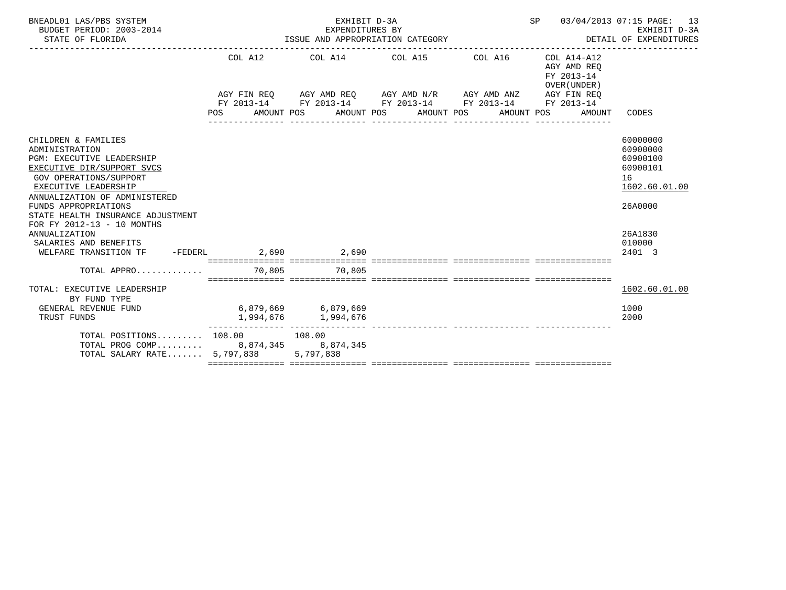| BNEADL01 LAS/PBS SYSTEM<br>BUDGET PERIOD: 2003-2014<br>STATE OF FLORIDA                                                                                                                                                                                                                                                                                                      | ISSUE AND APPROPRIATION CATEGORY | SP 03/04/2013 07:15 PAGE: 13<br>EXHIBIT D-3A<br>DETAIL OF EXPENDITURES |                                                                                                                                                                                   |                  |                                                                                                      |                                                                                                               |
|------------------------------------------------------------------------------------------------------------------------------------------------------------------------------------------------------------------------------------------------------------------------------------------------------------------------------------------------------------------------------|----------------------------------|------------------------------------------------------------------------|-----------------------------------------------------------------------------------------------------------------------------------------------------------------------------------|------------------|------------------------------------------------------------------------------------------------------|---------------------------------------------------------------------------------------------------------------|
|                                                                                                                                                                                                                                                                                                                                                                              | <b>POS</b>                       |                                                                        | COL A12 COL A14 COL A15 COL A16<br>AGY FIN REQ AGY AMD REQ AGY AMD N/R AGY AMD ANZ AGY FIN REQ<br>FY 2013-14 FY 2013-14 FY 2013-14 FY 2013-14<br>AMOUNT POS AMOUNT POS AMOUNT POS | ________________ | COL A14-A12<br>AGY AMD REO<br>FY 2013-14<br>OVER (UNDER)<br>FY 2013-14<br>AMOUNT POS<br>AMOUNT CODES |                                                                                                               |
| CHILDREN & FAMILIES<br>ADMINISTRATION<br>PGM: EXECUTIVE LEADERSHIP<br>EXECUTIVE DIR/SUPPORT SVCS<br><b>GOV OPERATIONS/SUPPORT</b><br>EXECUTIVE LEADERSHIP<br>ANNUALIZATION OF ADMINISTERED<br>FUNDS APPROPRIATIONS<br>STATE HEALTH INSURANCE ADJUSTMENT<br>FOR FY 2012-13 - 10 MONTHS<br>ANNUALIZATION<br>SALARIES AND BENEFITS<br>WELFARE TRANSITION TF -FEDERL 2,690 2,690 |                                  |                                                                        |                                                                                                                                                                                   |                  |                                                                                                      | 60000000<br>60900000<br>60900100<br>60900101<br>16<br>1602.60.01.00<br>26A0000<br>26A1830<br>010000<br>2401 3 |
| TOTAL APPRO 70,805 70,805                                                                                                                                                                                                                                                                                                                                                    |                                  |                                                                        |                                                                                                                                                                                   |                  |                                                                                                      |                                                                                                               |
| TOTAL: EXECUTIVE LEADERSHIP<br>BY FUND TYPE<br>GENERAL REVENUE FUND<br>TRUST FUNDS                                                                                                                                                                                                                                                                                           | $6,879,669$ $6,879,669$          | 1,994,676 1,994,676                                                    |                                                                                                                                                                                   |                  |                                                                                                      | 1602.60.01.00<br>1000<br>2000                                                                                 |
| TOTAL POSITIONS $108.00$ 108.00<br>TOTAL PROG COMP 8,874,345 8,874,345<br>TOTAL SALARY RATE $5,797,838$                                                                                                                                                                                                                                                                      |                                  | --------------- ----------------<br>5,797,838                          |                                                                                                                                                                                   |                  |                                                                                                      |                                                                                                               |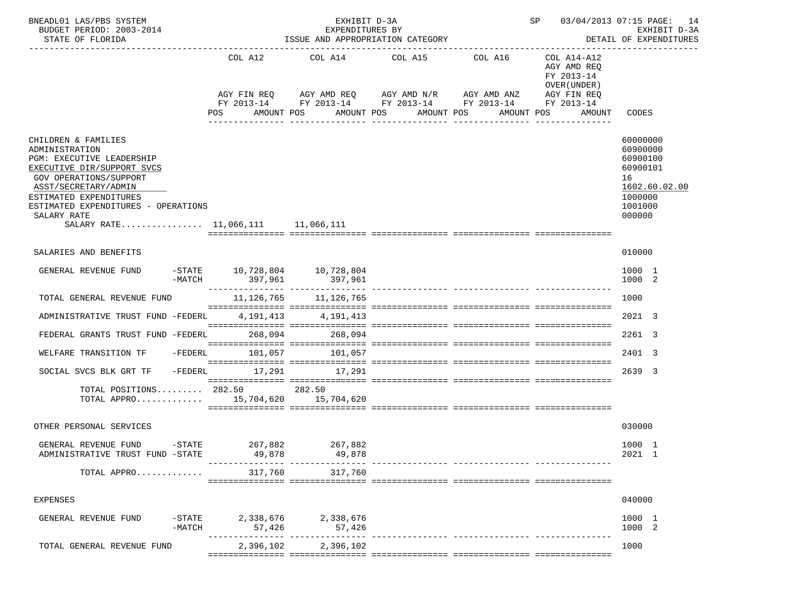| BNEADL01 LAS/PBS SYSTEM<br>BUDGET PERIOD: 2003-2014<br>STATE OF FLORIDA                                                                                                                                                                                                        | ISSUE AND APPROPRIATION CATEGORY                  |                                            | SP 03/04/2013 07:15 PAGE: 14<br>EXHIBIT D-3A<br>DETAIL OF EXPENDITURES                                                                                           |            |                                                                                   |                                                                                                     |
|--------------------------------------------------------------------------------------------------------------------------------------------------------------------------------------------------------------------------------------------------------------------------------|---------------------------------------------------|--------------------------------------------|------------------------------------------------------------------------------------------------------------------------------------------------------------------|------------|-----------------------------------------------------------------------------------|-----------------------------------------------------------------------------------------------------|
|                                                                                                                                                                                                                                                                                | COL A12<br>POS                                    | AMOUNT POS                                 | COL A14 COL A15 COL A16<br>AGY FIN REQ AGY AMD REQ AGY AMD N/R AGY AMD ANZ<br>FY 2013-14 FY 2013-14 FY 2013-14 FY 2013-14 FY 2013-14<br>AMOUNT POS<br>AMOUNT POS | AMOUNT POS | COL A14-A12<br>AGY AMD REO<br>FY 2013-14<br>OVER (UNDER)<br>AGY FIN REQ<br>AMOUNT | CODES                                                                                               |
|                                                                                                                                                                                                                                                                                |                                                   |                                            |                                                                                                                                                                  |            |                                                                                   |                                                                                                     |
| CHILDREN & FAMILIES<br>ADMINISTRATION<br>PGM: EXECUTIVE LEADERSHIP<br>EXECUTIVE DIR/SUPPORT SVCS<br><b>GOV OPERATIONS/SUPPORT</b><br>ASST/SECRETARY/ADMIN<br>ESTIMATED EXPENDITURES<br>ESTIMATED EXPENDITURES - OPERATIONS<br>SALARY RATE<br>SALARY RATE 11,066,111 11,066,111 |                                                   |                                            |                                                                                                                                                                  |            |                                                                                   | 60000000<br>60900000<br>60900100<br>60900101<br>16<br>1602.60.02.00<br>1000000<br>1001000<br>000000 |
| SALARIES AND BENEFITS                                                                                                                                                                                                                                                          |                                                   |                                            |                                                                                                                                                                  |            |                                                                                   | 010000                                                                                              |
| GENERAL REVENUE FUND                                                                                                                                                                                                                                                           | $-$ STATE 10,728,804 10,728,804<br>-MATCH 397,961 | 397,961                                    |                                                                                                                                                                  |            |                                                                                   | 1000 1<br>1000 2                                                                                    |
| TOTAL GENERAL REVENUE FUND                                                                                                                                                                                                                                                     |                                                   | 11, 126, 765 11, 126, 765                  |                                                                                                                                                                  |            |                                                                                   | 1000                                                                                                |
| ADMINISTRATIVE TRUST FUND -FEDERL                                                                                                                                                                                                                                              |                                                   | 4, 191, 413 4, 191, 413                    |                                                                                                                                                                  |            |                                                                                   | 2021 3                                                                                              |
| FEDERAL GRANTS TRUST FUND -FEDERL                                                                                                                                                                                                                                              |                                                   | 268,094 268,094                            |                                                                                                                                                                  |            |                                                                                   | 2261 3                                                                                              |
| -FEDERL<br>WELFARE TRANSITION TF                                                                                                                                                                                                                                               | 101.057                                           | 101,057                                    |                                                                                                                                                                  |            |                                                                                   | 2401 3                                                                                              |
| SOCIAL SVCS BLK GRT TF - FEDERL 17,291 17,291                                                                                                                                                                                                                                  |                                                   |                                            |                                                                                                                                                                  |            |                                                                                   | 2639 3                                                                                              |
| TOTAL POSITIONS $282.50$ 282.50<br>TOTAL APPRO $15,704,620$ $15,704,620$                                                                                                                                                                                                       |                                                   |                                            |                                                                                                                                                                  |            |                                                                                   |                                                                                                     |
| OTHER PERSONAL SERVICES                                                                                                                                                                                                                                                        |                                                   |                                            |                                                                                                                                                                  |            |                                                                                   | 030000                                                                                              |
| GENERAL REVENUE FUND<br>$-$ STATE<br>ADMINISTRATIVE TRUST FUND -STATE                                                                                                                                                                                                          | 267,882<br>49,878<br>---------------- ----------- | 267,882<br>49,878                          |                                                                                                                                                                  |            |                                                                                   | 1000 1<br>2021 1                                                                                    |
| TOTAL APPRO                                                                                                                                                                                                                                                                    | 317,760                                           | 317,760                                    |                                                                                                                                                                  |            |                                                                                   |                                                                                                     |
| <b>EXPENSES</b>                                                                                                                                                                                                                                                                |                                                   |                                            |                                                                                                                                                                  |            |                                                                                   | 040000                                                                                              |
| GENERAL REVENUE FUND<br>$-$ STATE<br>$-MATCH$                                                                                                                                                                                                                                  | 57,426                                            | 2,338,676 2,338,676<br>57,426              |                                                                                                                                                                  |            |                                                                                   | 1000 1<br>1000 2                                                                                    |
| TOTAL GENERAL REVENUE FUND                                                                                                                                                                                                                                                     |                                                   | -- ----------------<br>2,396,102 2,396,102 |                                                                                                                                                                  |            |                                                                                   | 1000                                                                                                |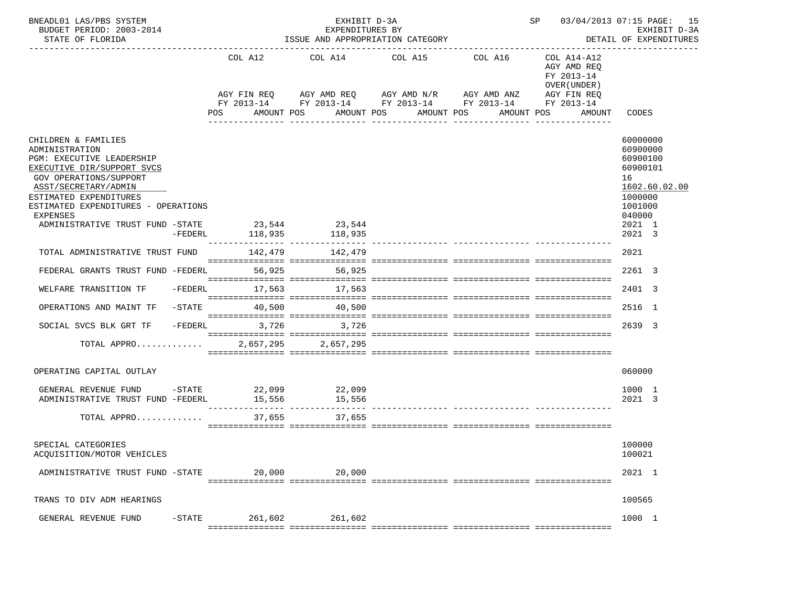| BNEADL01 LAS/PBS SYSTEM<br>BUDGET PERIOD: 2003-2014<br>STATE OF FLORIDA                                       |           | ISSUE AND APPROPRIATION CATEGORY |                       | SP 03/04/2013 07:15 PAGE: 15<br>EXHIBIT D-3A<br>DETAIL OF EXPENDITURES                                                                                        |                                                                                                 |                                            |  |
|---------------------------------------------------------------------------------------------------------------|-----------|----------------------------------|-----------------------|---------------------------------------------------------------------------------------------------------------------------------------------------------------|-------------------------------------------------------------------------------------------------|--------------------------------------------|--|
|                                                                                                               |           | COL A12<br>POS                   | AMOUNT POS            | COL A14 COL A15 COL A16<br>AGY FIN REQ AGY AMD REQ AGY AMD N/R AGY AMD ANZ<br>FY 2013-14 FY 2013-14 FY 2013-14 FY 2013-14 FY 2013-14<br>AMOUNT POS AMOUNT POS | COL A14-A12<br>AGY AMD REO<br>FY 2013-14<br>OVER (UNDER)<br>AGY FIN REQ<br>AMOUNT POS<br>AMOUNT | CODES                                      |  |
| CHILDREN & FAMILIES<br>ADMINISTRATION<br>PGM: EXECUTIVE LEADERSHIP                                            |           |                                  |                       |                                                                                                                                                               |                                                                                                 | 60000000<br>60900000<br>60900100           |  |
| EXECUTIVE DIR/SUPPORT SVCS<br><b>GOV OPERATIONS/SUPPORT</b><br>ASST/SECRETARY/ADMIN<br>ESTIMATED EXPENDITURES |           |                                  |                       |                                                                                                                                                               |                                                                                                 | 60900101<br>16<br>1602.60.02.00<br>1000000 |  |
| ESTIMATED EXPENDITURES - OPERATIONS<br>EXPENSES<br>ADMINISTRATIVE TRUST FUND -STATE 23,544 23,544             | $-FEDERL$ |                                  | 118,935 118,935       |                                                                                                                                                               |                                                                                                 | 1001000<br>040000<br>2021 1<br>$2021 - 3$  |  |
| TOTAL ADMINISTRATIVE TRUST FUND                                                                               |           |                                  | 142.479 142.479       |                                                                                                                                                               |                                                                                                 | 2021                                       |  |
| FEDERAL GRANTS TRUST FUND -FEDERL 56,925 56,925                                                               |           |                                  |                       |                                                                                                                                                               |                                                                                                 | 2261 3                                     |  |
| WELFARE TRANSITION TF                                                                                         |           |                                  | -FEDERL 17,563 17,563 |                                                                                                                                                               |                                                                                                 | 2401 3                                     |  |
| OPERATIONS AND MAINT TF                                                                                       | $-$ STATE |                                  | 40.500 40.500         |                                                                                                                                                               |                                                                                                 | 2516 1                                     |  |
| SOCIAL SVCS BLK GRT TF                                                                                        |           | $-FEDERL$<br>3,726               | 3,726                 |                                                                                                                                                               |                                                                                                 | 2639 3                                     |  |
| TOTAL APPRO 2,657,295 2,657,295                                                                               |           |                                  |                       |                                                                                                                                                               |                                                                                                 |                                            |  |
| OPERATING CAPITAL OUTLAY                                                                                      |           |                                  |                       |                                                                                                                                                               |                                                                                                 | 060000                                     |  |
| GENERAL REVENUE FUND -STATE 22,099 22,099<br>ADMINISTRATIVE TRUST FUND -FEDERL 15,556 15,556                  |           |                                  |                       |                                                                                                                                                               |                                                                                                 | 1000 1<br>2021 3                           |  |
| TOTAL APPRO                                                                                                   |           |                                  | 37,655<br>37,655      |                                                                                                                                                               |                                                                                                 |                                            |  |
| SPECIAL CATEGORIES<br>ACOUISITION/MOTOR VEHICLES                                                              |           |                                  |                       |                                                                                                                                                               |                                                                                                 | 100000<br>100021                           |  |
| ADMINISTRATIVE TRUST FUND -STATE                                                                              |           | 20,000                           | 20,000                |                                                                                                                                                               |                                                                                                 | 2021 1                                     |  |
| TRANS TO DIV ADM HEARINGS                                                                                     |           |                                  |                       |                                                                                                                                                               |                                                                                                 | 100565                                     |  |
| GENERAL REVENUE FUND                                                                                          | $-STATE$  | 261,602                          | 261,602               |                                                                                                                                                               |                                                                                                 | 1000 1                                     |  |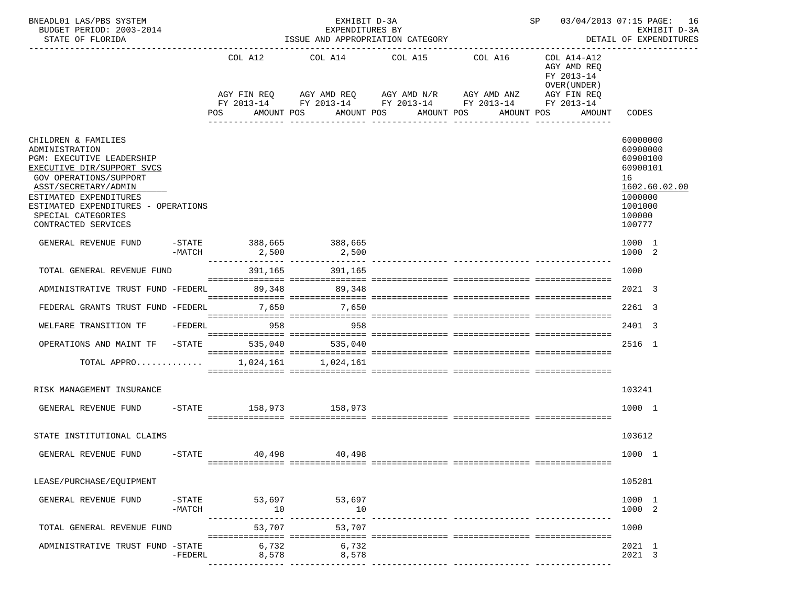| BNEADL01 LAS/PBS SYSTEM<br>BUDGET PERIOD: 2003-2014<br>STATE OF FLORIDA                                                                                                                                                                                          |                       |                | EXHIBIT D-3A<br>EXPENDITURES BY       | ISSUE AND APPROPRIATION CATEGORY                                                                                                                         | SP 03/04/2013 07:15 PAGE: 16                                                                                  | EXHIBIT D-3A<br>DETAIL OF EXPENDITURES                                                                        |
|------------------------------------------------------------------------------------------------------------------------------------------------------------------------------------------------------------------------------------------------------------------|-----------------------|----------------|---------------------------------------|----------------------------------------------------------------------------------------------------------------------------------------------------------|---------------------------------------------------------------------------------------------------------------|---------------------------------------------------------------------------------------------------------------|
|                                                                                                                                                                                                                                                                  |                       | COL A12<br>POS | AMOUNT POS                            | COL A14 COL A15<br>COL A16<br>AGY FIN REQ AGY AMD REQ AGY AMD N/R AGY AMD ANZ<br>FY 2013-14 FY 2013-14 FY 2013-14 FY 2013-14<br>AMOUNT POS<br>AMOUNT POS | COL A14-A12<br>AGY AMD REQ<br>FY 2013-14<br>OVER (UNDER)<br>AGY FIN REQ<br>FY 2013-14<br>AMOUNT POS<br>AMOUNT | CODES                                                                                                         |
|                                                                                                                                                                                                                                                                  |                       |                |                                       | _______________<br>____________                                                                                                                          |                                                                                                               |                                                                                                               |
| CHILDREN & FAMILIES<br>ADMINISTRATION<br>PGM: EXECUTIVE LEADERSHIP<br>EXECUTIVE DIR/SUPPORT SVCS<br>GOV OPERATIONS/SUPPORT<br>ASST/SECRETARY/ADMIN<br>ESTIMATED EXPENDITURES<br>ESTIMATED EXPENDITURES - OPERATIONS<br>SPECIAL CATEGORIES<br>CONTRACTED SERVICES |                       |                |                                       |                                                                                                                                                          |                                                                                                               | 60000000<br>60900000<br>60900100<br>60900101<br>16<br>1602.60.02.00<br>1000000<br>1001000<br>100000<br>100777 |
| GENERAL REVENUE FUND                                                                                                                                                                                                                                             | -MATCH                |                | -STATE 388,665 388,665<br>2,500 2,500 | ____________ _________________ ____                                                                                                                      |                                                                                                               | 1000 1<br>1000 2                                                                                              |
| TOTAL GENERAL REVENUE FUND                                                                                                                                                                                                                                       |                       |                | 391,165<br>391,165                    |                                                                                                                                                          |                                                                                                               | 1000                                                                                                          |
| ADMINISTRATIVE TRUST FUND -FEDERL 89,348 89,348                                                                                                                                                                                                                  |                       |                |                                       |                                                                                                                                                          |                                                                                                               | 2021 3                                                                                                        |
| FEDERAL GRANTS TRUST FUND -FEDERL                                                                                                                                                                                                                                |                       | 7,650          | 7,650                                 |                                                                                                                                                          |                                                                                                               | 2261 3                                                                                                        |
| WELFARE TRANSITION TF -FEDERL                                                                                                                                                                                                                                    |                       | 558 958        | 958                                   |                                                                                                                                                          |                                                                                                               | 2401 3                                                                                                        |
| OPERATIONS AND MAINT TF                                                                                                                                                                                                                                          | -STATE                | 535,040        | 535,040                               |                                                                                                                                                          |                                                                                                               | 2516 1                                                                                                        |
| TOTAL APPRO                                                                                                                                                                                                                                                      |                       |                | 1,024,161 1,024,161                   |                                                                                                                                                          |                                                                                                               |                                                                                                               |
| RISK MANAGEMENT INSURANCE                                                                                                                                                                                                                                        |                       |                |                                       |                                                                                                                                                          |                                                                                                               | 103241                                                                                                        |
| GENERAL REVENUE FUND                                                                                                                                                                                                                                             |                       |                | -STATE 158,973 158,973                |                                                                                                                                                          |                                                                                                               | 1000 1                                                                                                        |
| STATE INSTITUTIONAL CLAIMS                                                                                                                                                                                                                                       |                       |                |                                       |                                                                                                                                                          |                                                                                                               | 103612                                                                                                        |
| GENERAL REVENUE FUND                                                                                                                                                                                                                                             | $-$ STATE             | 40,498         | 40,498                                |                                                                                                                                                          |                                                                                                               | 1000 1                                                                                                        |
| LEASE/PURCHASE/EQUIPMENT                                                                                                                                                                                                                                         |                       |                |                                       |                                                                                                                                                          |                                                                                                               | 105281                                                                                                        |
| GENERAL REVENUE FUND                                                                                                                                                                                                                                             | $-$ STATE<br>$-MATCH$ | 53,697<br>10   | 53,697<br>10                          |                                                                                                                                                          |                                                                                                               | 1000 1<br>1000 2                                                                                              |
| TOTAL GENERAL REVENUE FUND                                                                                                                                                                                                                                       |                       | 53,707         | 53,707                                | ------------ ----------------                                                                                                                            |                                                                                                               | 1000                                                                                                          |
| ADMINISTRATIVE TRUST FUND -STATE                                                                                                                                                                                                                                 | -FEDERL               | 6,732<br>8,578 | 6,732<br>8,578                        |                                                                                                                                                          |                                                                                                               | 2021 1<br>2021 3                                                                                              |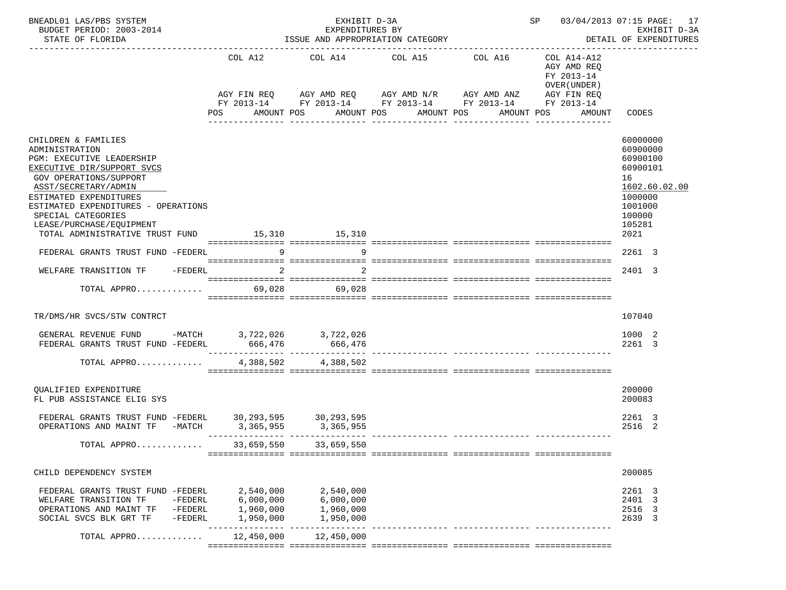| BNEADL01 LAS/PBS SYSTEM<br>BUDGET PERIOD: 2003-2014<br>STATE OF FLORIDA                                                                                                                                                                                                                                                |                      | SP 03/04/2013 07:15 PAGE: 17<br>EXHIBIT D-3A<br>DETAIL OF EXPENDITURES |                                                                                                                                                                |                       |                                                                                  |                                                                                                                       |
|------------------------------------------------------------------------------------------------------------------------------------------------------------------------------------------------------------------------------------------------------------------------------------------------------------------------|----------------------|------------------------------------------------------------------------|----------------------------------------------------------------------------------------------------------------------------------------------------------------|-----------------------|----------------------------------------------------------------------------------|-----------------------------------------------------------------------------------------------------------------------|
|                                                                                                                                                                                                                                                                                                                        |                      | COL A12<br><b>POS</b>                                                  | COL A14 COL A15 COL A16<br>AGY FIN REQ AGY AMD REQ AGY AMD N/R AGY AMD ANZ AGY FIN REQ<br>FY 2013-14 FY 2013-14 FY 2013-14 FY 2013-14 FY 2013-14<br>AMOUNT POS | AMOUNT POS AMOUNT POS | COL A14-A12<br>AGY AMD REO<br>FY 2013-14<br>OVER (UNDER)<br>AMOUNT POS<br>AMOUNT | CODES                                                                                                                 |
| CHILDREN & FAMILIES<br>ADMINISTRATION<br>PGM: EXECUTIVE LEADERSHIP<br>EXECUTIVE DIR/SUPPORT SVCS<br>GOV OPERATIONS/SUPPORT<br>ASST/SECRETARY/ADMIN<br>ESTIMATED EXPENDITURES<br>ESTIMATED EXPENDITURES - OPERATIONS<br>SPECIAL CATEGORIES<br>LEASE/PURCHASE/EQUIPMENT<br>TOTAL ADMINISTRATIVE TRUST FUND 15,310 15,310 |                      |                                                                        |                                                                                                                                                                |                       |                                                                                  | 60000000<br>60900000<br>60900100<br>60900101<br>16<br>1602.60.02.00<br>1000000<br>1001000<br>100000<br>105281<br>2021 |
| FEDERAL GRANTS TRUST FUND -FEDERL                                                                                                                                                                                                                                                                                      |                      |                                                                        | $9 \left( \frac{1}{2} \right)$<br>9                                                                                                                            |                       |                                                                                  | 2261 3                                                                                                                |
| WELFARE TRANSITION TF -FEDERL                                                                                                                                                                                                                                                                                          |                      |                                                                        |                                                                                                                                                                |                       |                                                                                  | 2401 3                                                                                                                |
| TOTAL APPRO                                                                                                                                                                                                                                                                                                            |                      |                                                                        | 69,028 69,028                                                                                                                                                  |                       |                                                                                  |                                                                                                                       |
| TR/DMS/HR SVCS/STW CONTRCT                                                                                                                                                                                                                                                                                             |                      |                                                                        |                                                                                                                                                                |                       |                                                                                  | 107040                                                                                                                |
| GENERAL REVENUE FUND -MATCH 3,722,026 3,722,026<br>FEDERAL GRANTS TRUST FUND -FEDERL 666,476 666,476                                                                                                                                                                                                                   |                      |                                                                        |                                                                                                                                                                |                       |                                                                                  | 1000 2<br>2261 3                                                                                                      |
| TOTAL APPRO                                                                                                                                                                                                                                                                                                            |                      | 4,388,502                                                              | 4,388,502                                                                                                                                                      |                       |                                                                                  |                                                                                                                       |
| OUALIFIED EXPENDITURE<br>FL PUB ASSISTANCE ELIG SYS                                                                                                                                                                                                                                                                    |                      |                                                                        |                                                                                                                                                                |                       |                                                                                  | 200000<br>200083                                                                                                      |
| FEDERAL GRANTS TRUST FUND -FEDERL 30,293,595 30,293,595<br>OPERATIONS AND MAINT TF -MATCH 3,365,955                                                                                                                                                                                                                    |                      |                                                                        | 3, 365, 955                                                                                                                                                    |                       |                                                                                  | 2261 3<br>2516<br>-2                                                                                                  |
| TOTAL APPRO                                                                                                                                                                                                                                                                                                            |                      | 33,659,550                                                             | 33,659,550                                                                                                                                                     |                       |                                                                                  |                                                                                                                       |
| CHILD DEPENDENCY SYSTEM                                                                                                                                                                                                                                                                                                |                      |                                                                        |                                                                                                                                                                |                       |                                                                                  | 200085                                                                                                                |
| FEDERAL GRANTS TRUST FUND -FEDERL 2,540,000<br>WELFARE TRANSITION TF<br>OPERATIONS AND MAINT TF -FEDERL<br>SOCIAL SVCS BLK GRT TF                                                                                                                                                                                      | $-FEDERL$<br>-FEDERL | 6,000,000<br>1,960,000<br>1,950,000                                    | 2,540,000<br>6,000,000<br>1,960,000<br>1,950,000                                                                                                               |                       |                                                                                  | 2261 3<br>2401 3<br>2516 3<br>2639 3                                                                                  |
| TOTAL APPRO                                                                                                                                                                                                                                                                                                            |                      |                                                                        | 12,450,000 12,450,000                                                                                                                                          |                       |                                                                                  |                                                                                                                       |
|                                                                                                                                                                                                                                                                                                                        |                      |                                                                        |                                                                                                                                                                |                       |                                                                                  |                                                                                                                       |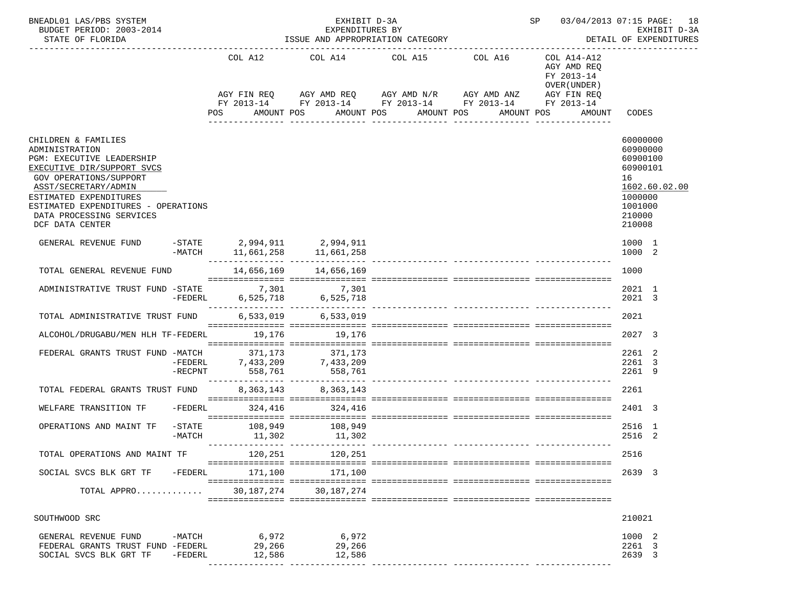| BNEADL01 LAS/PBS SYSTEM<br>BUDGET PERIOD: 2003-2014<br>STATE OF FLORIDA                                                                                                                                                                                            |                    |                                                                                                                                           |                    | EXHIBIT D-3A<br>EXPENDITURES BY<br>ISSUE AND APPROPRIATION CATEGORY |                       |            | SP and the set of the set of the set of the set of the set of the set of the set of the set of the set of the set of the set of the set of the set of the set of the set of the set of the set of the set of the set of the se | 03/04/2013 07:15 PAGE: 18                                                                                                                                                                                                        |                                                                                              | EXHIBIT D-3A<br>DETAIL OF EXPENDITURES |
|--------------------------------------------------------------------------------------------------------------------------------------------------------------------------------------------------------------------------------------------------------------------|--------------------|-------------------------------------------------------------------------------------------------------------------------------------------|--------------------|---------------------------------------------------------------------|-----------------------|------------|--------------------------------------------------------------------------------------------------------------------------------------------------------------------------------------------------------------------------------|----------------------------------------------------------------------------------------------------------------------------------------------------------------------------------------------------------------------------------|----------------------------------------------------------------------------------------------|----------------------------------------|
|                                                                                                                                                                                                                                                                    |                    | COL A12<br>AGY FIN REQ AGY AMD REQ AGY AMD N/R AGY AMD ANZ<br>FY 2013-14 FY 2013-14 FY 2013-14 FY 2013-14 FY 2013-14<br>POS<br>AMOUNT POS |                    | COL A14 COL A15 COL A16                                             | AMOUNT POS AMOUNT POS | AMOUNT POS |                                                                                                                                                                                                                                | COL A14-A12<br>AGY AMD REO<br>FY 2013-14<br>OVER (UNDER)<br>AGY FIN REQ<br>AMOUNT                                                                                                                                                | CODES                                                                                        |                                        |
| CHILDREN & FAMILIES<br>ADMINISTRATION<br>PGM: EXECUTIVE LEADERSHIP<br>EXECUTIVE DIR/SUPPORT SVCS<br>GOV OPERATIONS/SUPPORT<br>ASST/SECRETARY/ADMIN<br>ESTIMATED EXPENDITURES<br>ESTIMATED EXPENDITURES - OPERATIONS<br>DATA PROCESSING SERVICES<br>DCF DATA CENTER |                    |                                                                                                                                           |                    |                                                                     |                       |            |                                                                                                                                                                                                                                |                                                                                                                                                                                                                                  | 60000000<br>60900000<br>60900100<br>60900101<br>16<br>1000000<br>1001000<br>210000<br>210008 | 1602.60.02.00                          |
| GENERAL REVENUE FUND                                                                                                                                                                                                                                               |                    |                                                                                                                                           |                    | $-STATE$ 2,994,911 2,994,911                                        |                       |            |                                                                                                                                                                                                                                | $-MATCH$ 11,661,258 11,661,258 11,000 - 11,000 - 11,000 - 11,000 - 11,000 - 11,000 - 11,000 - 11,000 - 11,000 - 11,000 - 11,000 - 11,000 - 11,000 - 11,000 - 11,000 - 11,000 - 11,000 - 11,000 - 11,000 - 11,000 - 11,000 - 11,0 | 1000 1<br>1000 2                                                                             |                                        |
| TOTAL GENERAL REVENUE FUND                                                                                                                                                                                                                                         |                    |                                                                                                                                           |                    | 14,656,169 14,656,169                                               |                       |            |                                                                                                                                                                                                                                |                                                                                                                                                                                                                                  | 1000                                                                                         |                                        |
| 7,301 7,301 ADMINISTRATIVE TRUST FUND -STATE 7,301 7,301 6,525,718                                                                                                                                                                                                 |                    |                                                                                                                                           |                    |                                                                     |                       |            |                                                                                                                                                                                                                                |                                                                                                                                                                                                                                  | 2021 1<br>2021 3                                                                             |                                        |
| TOTAL ADMINISTRATIVE TRUST FUND                                                                                                                                                                                                                                    |                    |                                                                                                                                           |                    | 6,533,019 6,533,019                                                 |                       |            |                                                                                                                                                                                                                                |                                                                                                                                                                                                                                  | 2021                                                                                         |                                        |
| ALCOHOL/DRUGABU/MEN HLH TF-FEDERL                                                                                                                                                                                                                                  |                    |                                                                                                                                           | 19,176             | 19,176                                                              |                       |            |                                                                                                                                                                                                                                |                                                                                                                                                                                                                                  | 2027 3                                                                                       |                                        |
| FEDERAL GRANTS TRUST FUND -MATCH                                                                                                                                                                                                                                   | $-RECPNT$          |                                                                                                                                           | 371,173<br>558,761 | 371,173<br>-MAICH 371,173<br>-FEDERL 7,433,209 7,433,209<br>558,761 |                       |            |                                                                                                                                                                                                                                |                                                                                                                                                                                                                                  | 2261 2<br>2261 3<br>2261 9                                                                   |                                        |
| TOTAL FEDERAL GRANTS TRUST FUND                                                                                                                                                                                                                                    |                    |                                                                                                                                           |                    | 8, 363, 143 8, 363, 143                                             |                       |            |                                                                                                                                                                                                                                |                                                                                                                                                                                                                                  | 2261                                                                                         |                                        |
| WELFARE TRANSITION TF                                                                                                                                                                                                                                              | -FEDERL            |                                                                                                                                           |                    | 324,416 324,416                                                     |                       |            |                                                                                                                                                                                                                                |                                                                                                                                                                                                                                  | 2401 3                                                                                       |                                        |
| OPERATIONS AND MAINT TF                                                                                                                                                                                                                                            | -STATE<br>$-MATCH$ |                                                                                                                                           | 11,302             | 108,949 108,949<br>11,302 11,302                                    |                       |            |                                                                                                                                                                                                                                |                                                                                                                                                                                                                                  | 2516 1<br>2516 2                                                                             |                                        |
| TOTAL OPERATIONS AND MAINT TF                                                                                                                                                                                                                                      |                    |                                                                                                                                           |                    | 120,251 120,251                                                     |                       |            |                                                                                                                                                                                                                                |                                                                                                                                                                                                                                  | 2516                                                                                         |                                        |
| SOCIAL SVCS BLK GRT TF -FEDERL                                                                                                                                                                                                                                     |                    |                                                                                                                                           | 171,100            | 171,100                                                             |                       |            |                                                                                                                                                                                                                                |                                                                                                                                                                                                                                  | 2639 3                                                                                       |                                        |
| TOTAL APPRO                                                                                                                                                                                                                                                        |                    |                                                                                                                                           | 30,187,274         | 30,187,274                                                          |                       |            |                                                                                                                                                                                                                                |                                                                                                                                                                                                                                  |                                                                                              |                                        |
| SOUTHWOOD SRC                                                                                                                                                                                                                                                      |                    |                                                                                                                                           |                    |                                                                     |                       |            |                                                                                                                                                                                                                                |                                                                                                                                                                                                                                  | 210021                                                                                       |                                        |
| GENERAL REVENUE FUND -MATCH 6,972<br>FEDERAL GRANTS TRUST FUND -FEDERL<br>SOCIAL SVCS BLK GRT TF                                                                                                                                                                   | -FEDERL            |                                                                                                                                           | 29,266<br>12,586   | 6,972<br>29,266<br>12,586                                           |                       |            |                                                                                                                                                                                                                                |                                                                                                                                                                                                                                  | 1000 2<br>2261 3<br>2639 3                                                                   |                                        |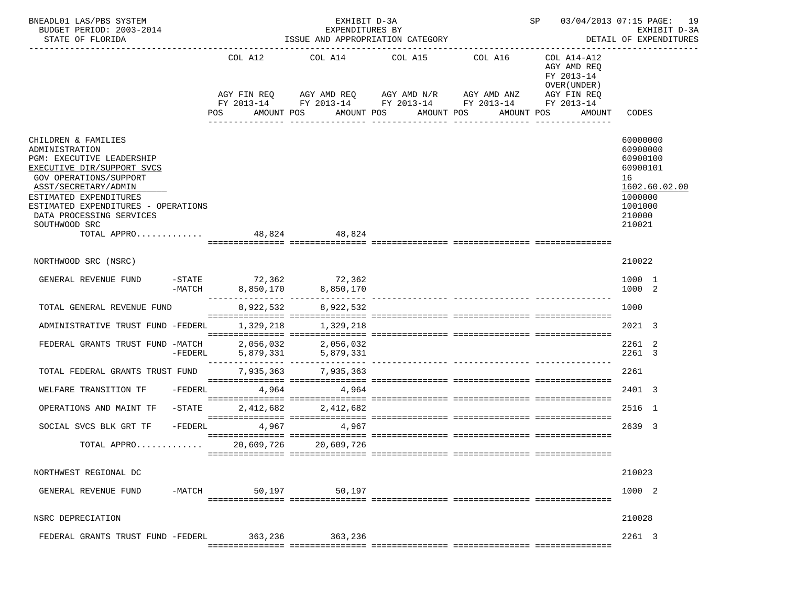| BNEADL01 LAS/PBS SYSTEM<br>BUDGET PERIOD: 2003-2014<br>STATE OF FLORIDA                                                                                                                                                                                                                       |           |     |            | EXHIBIT D-3A<br>EXPENDITURES BY<br>ISSUE AND APPROPRIATION CATEGORY | SP 03/04/2013 07:15 PAGE: 19                     | EXHIBIT D-3A<br>DETAIL OF EXPENDITURES                                                                                              |                                                                                        |                                                                                                               |
|-----------------------------------------------------------------------------------------------------------------------------------------------------------------------------------------------------------------------------------------------------------------------------------------------|-----------|-----|------------|---------------------------------------------------------------------|--------------------------------------------------|-------------------------------------------------------------------------------------------------------------------------------------|----------------------------------------------------------------------------------------|---------------------------------------------------------------------------------------------------------------|
|                                                                                                                                                                                                                                                                                               |           | POS | COL A12    | AMOUNT POS                                                          | COL A14 COL A15 COL A16<br>AMOUNT POS AMOUNT POS | AGY FIN REQ AGY AMD REQ AGY AMD N/R AGY AMD ANZ AGY FIN REQ<br>FY 2013-14 FY 2013-14 FY 2013-14 FY 2013-14 FY 2013-14<br>AMOUNT POS | COL A14-A12<br>AGY AMD REQ<br>FY 2013-14<br>OVER (UNDER)<br>AMOUNT<br>________________ | CODES                                                                                                         |
| CHILDREN & FAMILIES<br>ADMINISTRATION<br>PGM: EXECUTIVE LEADERSHIP<br>EXECUTIVE DIR/SUPPORT SVCS<br>GOV OPERATIONS/SUPPORT<br>ASST/SECRETARY/ADMIN<br>ESTIMATED EXPENDITURES<br>ESTIMATED EXPENDITURES - OPERATIONS<br>DATA PROCESSING SERVICES<br>SOUTHWOOD SRC<br>TOTAL APPRO 48,824 48,824 |           |     |            |                                                                     |                                                  |                                                                                                                                     |                                                                                        | 60000000<br>60900000<br>60900100<br>60900101<br>16<br>1602.60.02.00<br>1000000<br>1001000<br>210000<br>210021 |
| NORTHWOOD SRC (NSRC)                                                                                                                                                                                                                                                                          |           |     |            |                                                                     |                                                  |                                                                                                                                     |                                                                                        | 210022                                                                                                        |
| GENERAL REVENUE FUND                                                                                                                                                                                                                                                                          |           |     |            | 362, 57ATE 72,362 72,362<br>-MATCH 8,850,170 8,850,170              |                                                  |                                                                                                                                     |                                                                                        | 1000 1<br>1000 2                                                                                              |
| TOTAL GENERAL REVENUE FUND                                                                                                                                                                                                                                                                    |           |     |            | 8,922,532 8,922,532                                                 |                                                  |                                                                                                                                     |                                                                                        | 1000                                                                                                          |
| ADMINISTRATIVE TRUST FUND -FEDERL                                                                                                                                                                                                                                                             |           |     |            | 1,329,218 1,329,218                                                 |                                                  |                                                                                                                                     |                                                                                        | 2021 3                                                                                                        |
| FEDERAL GRANTS TRUST FUND -MATCH                                                                                                                                                                                                                                                              | $-FEDERL$ |     |            | 2,056,032 2,056,032                                                 |                                                  |                                                                                                                                     |                                                                                        | 2261 2<br>2261 3                                                                                              |
| TOTAL FEDERAL GRANTS TRUST FUND 7,935,363 7,935,363                                                                                                                                                                                                                                           |           |     |            |                                                                     |                                                  |                                                                                                                                     |                                                                                        | 2261                                                                                                          |
| WELFARE TRANSITION TF                                                                                                                                                                                                                                                                         | -FEDERL   |     |            | 4,964 4,964                                                         |                                                  |                                                                                                                                     |                                                                                        | 2401 3                                                                                                        |
| OPERATIONS AND MAINT TF                                                                                                                                                                                                                                                                       | $-$ STATE |     |            | 2,412,682 2,412,682                                                 |                                                  |                                                                                                                                     |                                                                                        | 2516 1                                                                                                        |
| SOCIAL SVCS BLK GRT TF                                                                                                                                                                                                                                                                        | $-FEDERL$ |     | 4,967      | 4,967                                                               |                                                  |                                                                                                                                     |                                                                                        | 2639 3                                                                                                        |
| TOTAL APPRO                                                                                                                                                                                                                                                                                   |           |     | 20,609,726 | 20,609,726                                                          |                                                  |                                                                                                                                     |                                                                                        |                                                                                                               |
| NORTHWEST REGIONAL DC                                                                                                                                                                                                                                                                         |           |     |            |                                                                     |                                                  |                                                                                                                                     |                                                                                        | 210023                                                                                                        |
| GENERAL REVENUE FUND                                                                                                                                                                                                                                                                          |           |     |            | -MATCH 50,197 50,197                                                |                                                  |                                                                                                                                     |                                                                                        | 1000 2                                                                                                        |
| NSRC DEPRECIATION                                                                                                                                                                                                                                                                             |           |     |            |                                                                     |                                                  |                                                                                                                                     |                                                                                        | 210028                                                                                                        |
| FEDERAL GRANTS TRUST FUND -FEDERL 363,236 363,236                                                                                                                                                                                                                                             |           |     |            |                                                                     |                                                  |                                                                                                                                     |                                                                                        | 2261 3                                                                                                        |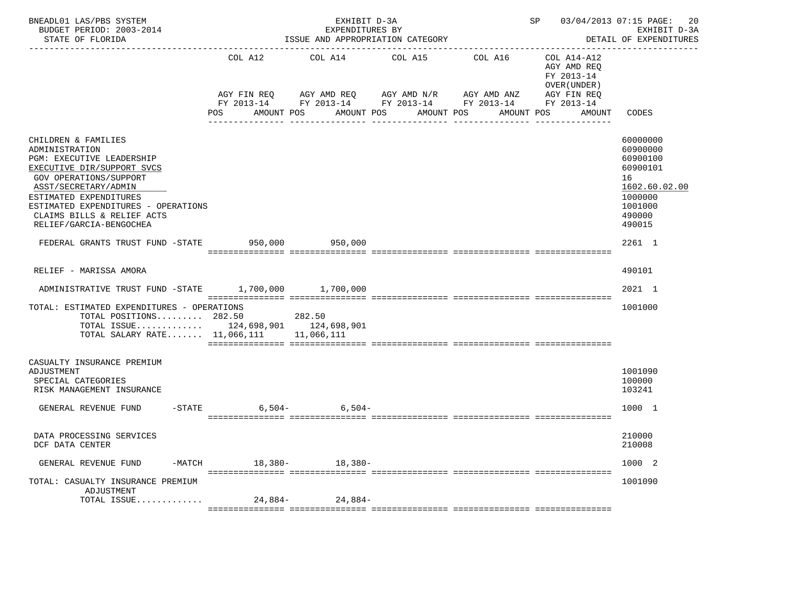| BNEADL01 LAS/PBS SYSTEM<br>BUDGET PERIOD: 2003-2014<br>STATE OF FLORIDA                                                                                                                                                                                                      | ISSUE AND APPROPRIATION CATEGORY | SP 03/04/2013 07:15 PAGE:                                                                                                            | 20<br>EXHIBIT D-3A<br>DETAIL OF EXPENDITURES |            |                                                                                   |                                                                                                               |
|------------------------------------------------------------------------------------------------------------------------------------------------------------------------------------------------------------------------------------------------------------------------------|----------------------------------|--------------------------------------------------------------------------------------------------------------------------------------|----------------------------------------------|------------|-----------------------------------------------------------------------------------|---------------------------------------------------------------------------------------------------------------|
|                                                                                                                                                                                                                                                                              | COL A12<br>POS<br>AMOUNT POS     | COL A14 COL A15 COL A16<br>AGY FIN REQ AGY AMD REQ AGY AMD N/R AGY AMD ANZ<br>FY 2013-14 FY 2013-14 FY 2013-14 FY 2013-14 FY 2013-14 | AMOUNT POS<br>AMOUNT POS                     | AMOUNT POS | COL A14-A12<br>AGY AMD REO<br>FY 2013-14<br>OVER (UNDER)<br>AGY FIN REQ<br>AMOUNT | CODES                                                                                                         |
| CHILDREN & FAMILIES<br>ADMINISTRATION<br>PGM: EXECUTIVE LEADERSHIP<br>EXECUTIVE DIR/SUPPORT SVCS<br>GOV OPERATIONS/SUPPORT<br>ASST/SECRETARY/ADMIN<br>ESTIMATED EXPENDITURES<br>ESTIMATED EXPENDITURES - OPERATIONS<br>CLAIMS BILLS & RELIEF ACTS<br>RELIEF/GARCIA-BENGOCHEA |                                  |                                                                                                                                      |                                              |            |                                                                                   | 60000000<br>60900000<br>60900100<br>60900101<br>16<br>1602.60.02.00<br>1000000<br>1001000<br>490000<br>490015 |
| FEDERAL GRANTS TRUST FUND -STATE 950,000 950,000                                                                                                                                                                                                                             |                                  |                                                                                                                                      |                                              |            |                                                                                   | 2261 1                                                                                                        |
| RELIEF - MARISSA AMORA                                                                                                                                                                                                                                                       |                                  |                                                                                                                                      |                                              |            |                                                                                   | 490101                                                                                                        |
| ADMINISTRATIVE TRUST FUND -STATE 1.700.000 1.700.000                                                                                                                                                                                                                         |                                  |                                                                                                                                      |                                              |            |                                                                                   | 2021 1                                                                                                        |
| TOTAL: ESTIMATED EXPENDITURES - OPERATIONS<br>TOTAL POSITIONS 282.50<br>TOTAL ISSUE 124,698,901 124,698,901<br>TOTAL SALARY RATE 11,066,111 11,066,111                                                                                                                       | 282.50                           |                                                                                                                                      |                                              |            |                                                                                   | 1001000                                                                                                       |
| CASUALTY INSURANCE PREMIUM<br>ADJUSTMENT<br>SPECIAL CATEGORIES<br>RISK MANAGEMENT INSURANCE                                                                                                                                                                                  |                                  |                                                                                                                                      |                                              |            |                                                                                   | 1001090<br>100000<br>103241                                                                                   |
| GENERAL REVENUE FUND                                                                                                                                                                                                                                                         | $-$ STATE                        | $6,504-$ 6,504-                                                                                                                      |                                              |            |                                                                                   | 1000 1                                                                                                        |
| DATA PROCESSING SERVICES<br>DCF DATA CENTER                                                                                                                                                                                                                                  |                                  |                                                                                                                                      |                                              |            |                                                                                   | 210000<br>210008                                                                                              |
| GENERAL REVENUE FUND<br>$-MATCH$                                                                                                                                                                                                                                             | 18,380-                          | 18,380-                                                                                                                              |                                              |            |                                                                                   | 1000 2                                                                                                        |
| TOTAL: CASUALTY INSURANCE PREMIUM<br>ADJUSTMENT<br>TOTAL ISSUE                                                                                                                                                                                                               | $24.884-$                        | 24,884-                                                                                                                              |                                              |            |                                                                                   | 1001090                                                                                                       |
|                                                                                                                                                                                                                                                                              |                                  |                                                                                                                                      |                                              |            |                                                                                   |                                                                                                               |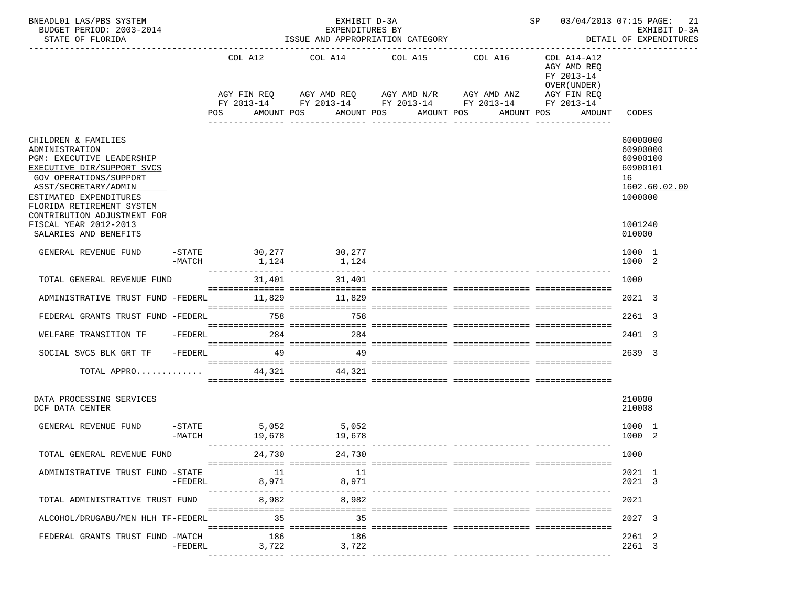| BNEADL01 LAS/PBS SYSTEM<br>BUDGET PERIOD: 2003-2014<br>STATE OF FLORIDA                                                                                                                                                                                                                    |                               |                 |    | EXHIBIT D-3A<br>EXPENDITURES BY<br>ISSUE AND APPROPRIATION CATEGORY |                                                                                 | SP 03/04/2013 07:15 PAGE: | 21<br>EXHIBIT D-3A<br>DETAIL OF EXPENDITURES                             |                                                                                                     |  |  |
|--------------------------------------------------------------------------------------------------------------------------------------------------------------------------------------------------------------------------------------------------------------------------------------------|-------------------------------|-----------------|----|---------------------------------------------------------------------|---------------------------------------------------------------------------------|---------------------------|--------------------------------------------------------------------------|-----------------------------------------------------------------------------------------------------|--|--|
|                                                                                                                                                                                                                                                                                            | COL A12                       |                 |    | COL A14                                                             | COL A15<br>AGY FIN REQ AGY AMD REQ AGY AMD N/R AGY AMD ANZ                      | COL A16                   | COL A14-A12<br>AGY AMD REQ<br>FY 2013-14<br>OVER (UNDER )<br>AGY FIN REQ |                                                                                                     |  |  |
|                                                                                                                                                                                                                                                                                            |                               | POS             |    | AMOUNT POS                                                          | FY 2013-14 FY 2013-14 FY 2013-14 FY 2013-14 FY 2013-14<br>AMOUNT POS AMOUNT POS |                           | AMOUNT POS<br>AMOUNT                                                     | CODES                                                                                               |  |  |
| CHILDREN & FAMILIES<br>ADMINISTRATION<br>PGM: EXECUTIVE LEADERSHIP<br>EXECUTIVE DIR/SUPPORT SVCS<br>GOV OPERATIONS/SUPPORT<br>ASST/SECRETARY/ADMIN<br>ESTIMATED EXPENDITURES<br>FLORIDA RETIREMENT SYSTEM<br>CONTRIBUTION ADJUSTMENT FOR<br>FISCAL YEAR 2012-2013<br>SALARIES AND BENEFITS |                               |                 |    |                                                                     |                                                                                 |                           |                                                                          | 60000000<br>60900000<br>60900100<br>60900101<br>16<br>1602.60.02.00<br>1000000<br>1001240<br>010000 |  |  |
| GENERAL REVENUE FUND                                                                                                                                                                                                                                                                       | $-MATCH$                      | 1,124           |    | -STATE 30,277 30,277<br>1.124                                       |                                                                                 |                           |                                                                          | 1000 1<br>1000 2                                                                                    |  |  |
| TOTAL GENERAL REVENUE FUND                                                                                                                                                                                                                                                                 |                               |                 |    | 31,401 31,401                                                       |                                                                                 |                           |                                                                          | 1000                                                                                                |  |  |
| ADMINISTRATIVE TRUST FUND -FEDERL 11,829 11,829                                                                                                                                                                                                                                            |                               |                 |    |                                                                     |                                                                                 |                           |                                                                          | 2021 3                                                                                              |  |  |
| FEDERAL GRANTS TRUST FUND -FEDERL                                                                                                                                                                                                                                                          |                               | 758             |    | 758                                                                 |                                                                                 |                           |                                                                          | 2261 3                                                                                              |  |  |
| WELFARE TRANSITION TF                                                                                                                                                                                                                                                                      | $-FEDERL$                     | 284             |    | 284                                                                 |                                                                                 |                           |                                                                          | 2401 3                                                                                              |  |  |
| SOCIAL SVCS BLK GRT TF                                                                                                                                                                                                                                                                     | $-FEDERL$                     | 49              |    | 49                                                                  |                                                                                 |                           |                                                                          | 2639 3                                                                                              |  |  |
| TOTAL APPRO                                                                                                                                                                                                                                                                                |                               |                 |    | 44,321 44,321                                                       |                                                                                 |                           |                                                                          |                                                                                                     |  |  |
| DATA PROCESSING SERVICES<br>DCF DATA CENTER                                                                                                                                                                                                                                                |                               |                 |    |                                                                     |                                                                                 |                           |                                                                          | 210000<br>210008                                                                                    |  |  |
| GENERAL REVENUE FUND                                                                                                                                                                                                                                                                       | $-\mathtt{STATE}$<br>$-MATCH$ | 5,052<br>19,678 |    | 5,052<br>19,678                                                     |                                                                                 |                           |                                                                          | 1000 1<br>1000 2                                                                                    |  |  |
| TOTAL GENERAL REVENUE FUND                                                                                                                                                                                                                                                                 |                               | 24,730          |    | 24,730                                                              |                                                                                 |                           |                                                                          | 1000                                                                                                |  |  |
| ADMINISTRATIVE TRUST FUND -STATE                                                                                                                                                                                                                                                           | -FEDERL                       | 8,971           | 11 | -11<br>8,971<br>_______________________________                     |                                                                                 |                           |                                                                          | 2021 1<br>2021 3                                                                                    |  |  |
| TOTAL ADMINISTRATIVE TRUST FUND                                                                                                                                                                                                                                                            |                               | 8,982           |    | 8,982                                                               |                                                                                 |                           |                                                                          | 2021                                                                                                |  |  |
| ALCOHOL/DRUGABU/MEN HLH TF-FEDERL                                                                                                                                                                                                                                                          |                               |                 | 35 | 35                                                                  |                                                                                 |                           |                                                                          | 2027 3                                                                                              |  |  |
| FEDERAL GRANTS TRUST FUND -MATCH                                                                                                                                                                                                                                                           | $-FEDERL$                     | 186<br>3,722    |    | 186<br>3,722<br>---------------- ----------------                   |                                                                                 |                           |                                                                          | 2261 2<br>2261 3                                                                                    |  |  |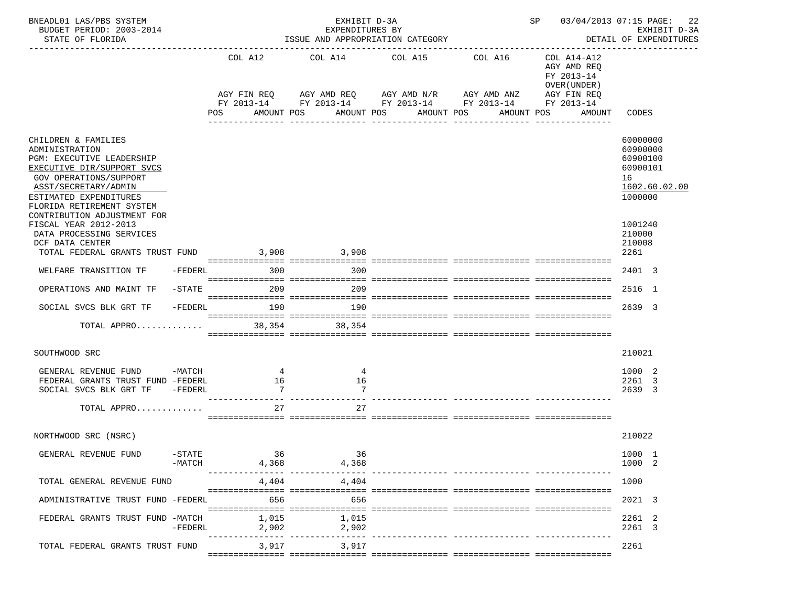| BNEADL01 LAS/PBS SYSTEM<br>BUDGET PERIOD: 2003-2014<br>STATE OF FLORIDA                                                                                                                                                                  | EXHIBIT D-3A<br>EXPENDITURES BY<br>ISSUE AND APPROPRIATION CATEGORY |         |                                       |             |                |                                                                                                                      |                       |              |            |                                                                         | SP 03/04/2013 07:15 PAGE: |                                                               | 22<br>EXHIBIT D-3A<br>DETAIL OF EXPENDITURES |
|------------------------------------------------------------------------------------------------------------------------------------------------------------------------------------------------------------------------------------------|---------------------------------------------------------------------|---------|---------------------------------------|-------------|----------------|----------------------------------------------------------------------------------------------------------------------|-----------------------|--------------|------------|-------------------------------------------------------------------------|---------------------------|---------------------------------------------------------------|----------------------------------------------|
|                                                                                                                                                                                                                                          |                                                                     | COL A12 |                                       | COL A14     |                | COL A15<br>AGY FIN REQ AGY AMD REQ AGY AMD N/R AGY AMD ANZ<br>FY 2013-14 FY 2013-14 FY 2013-14 FY 2013-14 FY 2013-14 |                       | COL A16      |            | COL A14-A12<br>AGY AMD REQ<br>FY 2013-14<br>OVER (UNDER)<br>AGY FIN REQ |                           |                                                               |                                              |
|                                                                                                                                                                                                                                          |                                                                     | POS     |                                       | AMOUNT POS  |                |                                                                                                                      | AMOUNT POS AMOUNT POS |              | AMOUNT POS |                                                                         | AMOUNT                    | CODES                                                         |                                              |
| CHILDREN & FAMILIES<br>ADMINISTRATION<br>PGM: EXECUTIVE LEADERSHIP<br>EXECUTIVE DIR/SUPPORT SVCS<br>GOV OPERATIONS/SUPPORT<br>ASST/SECRETARY/ADMIN<br>ESTIMATED EXPENDITURES<br>FLORIDA RETIREMENT SYSTEM<br>CONTRIBUTION ADJUSTMENT FOR |                                                                     |         |                                       |             |                | -----------                                                                                                          |                       | ------------ |            |                                                                         |                           | 60000000<br>60900000<br>60900100<br>60900101<br>16<br>1000000 | 1602.60.02.00                                |
| FISCAL YEAR 2012-2013<br>DATA PROCESSING SERVICES<br>DCF DATA CENTER<br>TOTAL FEDERAL GRANTS TRUST FUND                                                                                                                                  |                                                                     |         |                                       | 3,908 3,908 |                |                                                                                                                      |                       |              |            |                                                                         |                           | 1001240<br>210000<br>210008<br>2261                           |                                              |
| WELFARE TRANSITION TF                                                                                                                                                                                                                    | -FEDERL                                                             |         | 300                                   |             | 300            |                                                                                                                      |                       |              |            |                                                                         |                           | 2401 3                                                        |                                              |
| OPERATIONS AND MAINT TF                                                                                                                                                                                                                  | $-$ STATE                                                           |         | 209                                   |             | 209            |                                                                                                                      |                       |              |            |                                                                         |                           | 2516 1                                                        |                                              |
| SOCIAL SVCS BLK GRT TF                                                                                                                                                                                                                   | $-FEDERL$                                                           |         | 190                                   |             | 190            |                                                                                                                      |                       |              |            |                                                                         |                           | 2639 3                                                        |                                              |
| TOTAL APPRO                                                                                                                                                                                                                              |                                                                     |         | 38,354                                |             | 38,354         |                                                                                                                      |                       |              |            |                                                                         |                           |                                                               |                                              |
| SOUTHWOOD SRC                                                                                                                                                                                                                            |                                                                     |         |                                       |             |                |                                                                                                                      |                       |              |            |                                                                         |                           | 210021                                                        |                                              |
| GENERAL REVENUE FUND -MATCH<br>FEDERAL GRANTS TRUST FUND -FEDERL<br>SOCIAL SVCS BLK GRT TF -FEDERL                                                                                                                                       |                                                                     |         | $\frac{4}{3}$<br>16<br>$\overline{7}$ |             | 4<br>16        |                                                                                                                      |                       |              |            |                                                                         |                           | 1000 2<br>2261 3<br>2639 3                                    |                                              |
| TOTAL APPRO                                                                                                                                                                                                                              |                                                                     |         | 27                                    |             | 27             |                                                                                                                      |                       |              |            |                                                                         |                           |                                                               |                                              |
| NORTHWOOD SRC (NSRC)                                                                                                                                                                                                                     |                                                                     |         |                                       |             |                |                                                                                                                      |                       |              |            |                                                                         |                           | 210022                                                        |                                              |
| GENERAL REVENUE FUND                                                                                                                                                                                                                     | $-$ STATE<br>$-MATCH$                                               |         | 36<br>4,368                           |             | 36<br>4,368    |                                                                                                                      |                       |              |            |                                                                         |                           | 1000 1<br>1000 2                                              |                                              |
| TOTAL GENERAL REVENUE FUND                                                                                                                                                                                                               |                                                                     |         | 4,404                                 |             | 4,404          |                                                                                                                      |                       |              |            |                                                                         |                           | 1000                                                          |                                              |
| ADMINISTRATIVE TRUST FUND -FEDERL                                                                                                                                                                                                        |                                                                     |         | 656                                   |             | 656            |                                                                                                                      |                       |              |            |                                                                         |                           | 2021 3                                                        |                                              |
| FEDERAL GRANTS TRUST FUND -MATCH                                                                                                                                                                                                         | -FEDERL                                                             |         | 1,015<br>2,902                        |             | 1,015<br>2,902 |                                                                                                                      |                       |              |            |                                                                         |                           | 2261 2<br>2261 3                                              |                                              |
| TOTAL FEDERAL GRANTS TRUST FUND                                                                                                                                                                                                          |                                                                     |         | 3,917                                 |             | 3,917          |                                                                                                                      |                       |              |            |                                                                         |                           | 2261                                                          |                                              |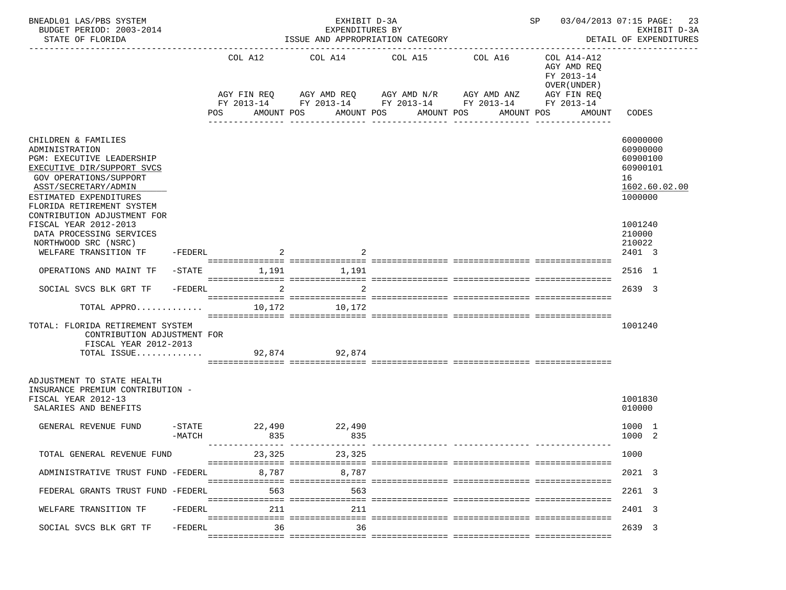| BNEADL01 LAS/PBS SYSTEM<br>BUDGET PERIOD: 2003-2014<br>STATE OF FLORIDA                                                                                                                                   |                               |             |                                                        | ISSUE AND APPROPRIATION CATEGORY |               |                                     | SP 03/04/2013 07:15 PAGE:<br>23<br>EXHIBIT D-3A<br>DETAIL OF EXPENDITURES |                                                                   |                                                                         |                                                                                |
|-----------------------------------------------------------------------------------------------------------------------------------------------------------------------------------------------------------|-------------------------------|-------------|--------------------------------------------------------|----------------------------------|---------------|-------------------------------------|---------------------------------------------------------------------------|-------------------------------------------------------------------|-------------------------------------------------------------------------|--------------------------------------------------------------------------------|
|                                                                                                                                                                                                           |                               | COL A12     |                                                        |                                  | COL A14       | COL A15                             |                                                                           | COL A16<br>AGY FIN REQ 6 AGY AMD REQ 6 AGY AMD N/R 66 AGY AMD ANZ | COL A14-A12<br>AGY AMD REO<br>FY 2013-14<br>OVER (UNDER)<br>AGY FIN REQ |                                                                                |
|                                                                                                                                                                                                           |                               |             | FY 2013-14 FY 2013-14 FY 2013-14 FY 2013-14 FY 2013-14 |                                  |               |                                     |                                                                           |                                                                   |                                                                         |                                                                                |
|                                                                                                                                                                                                           |                               | POS         |                                                        | AMOUNT POS                       |               | AMOUNT POS AMOUNT POS<br>---------- |                                                                           | <u>u du du du du d</u>                                            | AMOUNT POS<br>AMOUNT                                                    | CODES                                                                          |
| CHILDREN & FAMILIES<br>ADMINISTRATION<br>PGM: EXECUTIVE LEADERSHIP<br>EXECUTIVE DIR/SUPPORT SVCS<br>GOV OPERATIONS/SUPPORT<br>ASST/SECRETARY/ADMIN<br>ESTIMATED EXPENDITURES<br>FLORIDA RETIREMENT SYSTEM |                               |             |                                                        |                                  |               |                                     |                                                                           |                                                                   |                                                                         | 60000000<br>60900000<br>60900100<br>60900101<br>16<br>1602.60.02.00<br>1000000 |
| CONTRIBUTION ADJUSTMENT FOR<br>FISCAL YEAR 2012-2013<br>DATA PROCESSING SERVICES<br>NORTHWOOD SRC (NSRC)<br>WELFARE TRANSITION TF                                                                         | -FEDERL                       |             |                                                        |                                  |               |                                     |                                                                           |                                                                   |                                                                         | 1001240<br>210000<br>210022<br>2401 3                                          |
| OPERATIONS AND MAINT TF -STATE                                                                                                                                                                            |                               | 1,191 1,191 |                                                        |                                  |               |                                     |                                                                           |                                                                   |                                                                         | 2516 1                                                                         |
| SOCIAL SVCS BLK GRT TF                                                                                                                                                                                    | -FEDERL                       |             | $\overline{2}$                                         |                                  | 2             |                                     |                                                                           |                                                                   |                                                                         | 2639 3                                                                         |
| TOTAL APPRO                                                                                                                                                                                               |                               |             | 10,172                                                 |                                  | 10,172        |                                     |                                                                           |                                                                   |                                                                         |                                                                                |
| TOTAL: FLORIDA RETIREMENT SYSTEM<br>CONTRIBUTION ADJUSTMENT FOR<br>FISCAL YEAR 2012-2013<br>TOTAL ISSUE                                                                                                   |                               |             |                                                        |                                  | 92,874 92,874 |                                     |                                                                           |                                                                   |                                                                         | 1001240                                                                        |
| ADJUSTMENT TO STATE HEALTH<br>INSURANCE PREMIUM CONTRIBUTION -<br>FISCAL YEAR 2012-13<br>SALARIES AND BENEFITS                                                                                            |                               |             |                                                        |                                  |               |                                     |                                                                           |                                                                   |                                                                         | 1001830<br>010000                                                              |
| GENERAL REVENUE FUND                                                                                                                                                                                      | $-\mathtt{STATE}$<br>$-MATCH$ |             | 22,490<br>835                                          |                                  | 22,490<br>835 |                                     |                                                                           |                                                                   |                                                                         | 1000 1<br>1000 2                                                               |
| TOTAL GENERAL REVENUE FUND                                                                                                                                                                                |                               |             |                                                        | 23,325                           | 23,325        |                                     |                                                                           |                                                                   |                                                                         | 1000                                                                           |
| ADMINISTRATIVE TRUST FUND -FEDERL                                                                                                                                                                         |                               |             | 8,787                                                  |                                  | 8,787         |                                     |                                                                           |                                                                   |                                                                         | 2021 3                                                                         |
| FEDERAL GRANTS TRUST FUND -FEDERL                                                                                                                                                                         |                               |             | 563                                                    |                                  | 563           |                                     |                                                                           |                                                                   |                                                                         | 2261 3                                                                         |
| WELFARE TRANSITION TF                                                                                                                                                                                     | -FEDERL                       |             | 211                                                    |                                  | 211           |                                     |                                                                           |                                                                   |                                                                         | 2401 3                                                                         |
| SOCIAL SVCS BLK GRT TF                                                                                                                                                                                    | -FEDERL                       |             | 36                                                     |                                  | 36            |                                     |                                                                           |                                                                   |                                                                         | 2639 3                                                                         |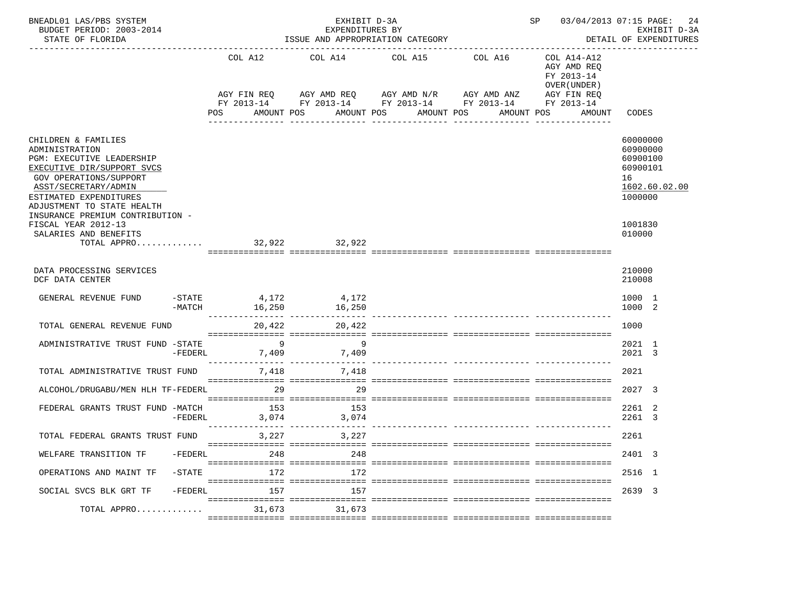| BNEADL01 LAS/PBS SYSTEM<br>BUDGET PERIOD: 2003-2014<br>STATE OF FLORIDA                                                                                                                                    | EXHIBIT D-3A<br>EXPENDITURES BY<br>ISSUE AND APPROPRIATION CATEGORY |                                                     |        |            |                                                                                                                        |         |            |  | SP 03/04/2013 07:15 PAGE:<br>EXHIBIT D-3A<br>DETAIL OF EXPENDITURES |  |                                                                         | 24                                                            |               |
|------------------------------------------------------------------------------------------------------------------------------------------------------------------------------------------------------------|---------------------------------------------------------------------|-----------------------------------------------------|--------|------------|------------------------------------------------------------------------------------------------------------------------|---------|------------|--|---------------------------------------------------------------------|--|-------------------------------------------------------------------------|---------------------------------------------------------------|---------------|
|                                                                                                                                                                                                            |                                                                     | COL A12<br>AGY FIN REQ<br>POS                       |        |            | COL A14<br>AGY AMD REQ AGY AMD N/R AGY AMD ANZ<br>FY 2013-14 FY 2013-14 FY 2013-14 FY 2013-14 FY 2013-14<br>AMOUNT POS | COL A15 |            |  | COL A16                                                             |  | COL A14-A12<br>AGY AMD REQ<br>FY 2013-14<br>OVER (UNDER)<br>AGY FIN REQ |                                                               |               |
|                                                                                                                                                                                                            |                                                                     |                                                     |        | AMOUNT POS |                                                                                                                        |         | AMOUNT POS |  | AMOUNT POS                                                          |  | AMOUNT                                                                  | CODES                                                         |               |
| CHILDREN & FAMILIES<br>ADMINISTRATION<br>PGM: EXECUTIVE LEADERSHIP<br>EXECUTIVE DIR/SUPPORT SVCS<br>GOV OPERATIONS/SUPPORT<br>ASST/SECRETARY/ADMIN<br>ESTIMATED EXPENDITURES<br>ADJUSTMENT TO STATE HEALTH |                                                                     |                                                     |        |            |                                                                                                                        |         |            |  |                                                                     |  |                                                                         | 60000000<br>60900000<br>60900100<br>60900101<br>16<br>1000000 | 1602.60.02.00 |
| INSURANCE PREMIUM CONTRIBUTION -<br>FISCAL YEAR 2012-13<br>SALARIES AND BENEFITS<br>TOTAL APPRO                                                                                                            |                                                                     | 32,922 32,922                                       |        |            |                                                                                                                        |         |            |  |                                                                     |  |                                                                         | 1001830<br>010000                                             |               |
| DATA PROCESSING SERVICES<br>DCF DATA CENTER                                                                                                                                                                |                                                                     |                                                     |        |            |                                                                                                                        |         |            |  |                                                                     |  |                                                                         | 210000<br>210008                                              |               |
| GENERAL REVENUE FUND                                                                                                                                                                                       |                                                                     | $-$ STATE 4, 172                                    |        |            | 4,172                                                                                                                  |         |            |  |                                                                     |  |                                                                         | 1000 1<br>1000 2                                              |               |
| TOTAL GENERAL REVENUE FUND                                                                                                                                                                                 |                                                                     | 20,422                                              |        |            | 20,422                                                                                                                 |         |            |  |                                                                     |  |                                                                         | 1000                                                          |               |
| ADMINISTRATIVE TRUST FUND -STATE                                                                                                                                                                           | $-FEDERL$                                                           | $\overline{9}$<br>---------------- ---------------- |        |            | 9<br>7,409 7,409                                                                                                       |         |            |  |                                                                     |  |                                                                         | 2021 1<br>2021 3                                              |               |
| TOTAL ADMINISTRATIVE TRUST FUND                                                                                                                                                                            |                                                                     |                                                     |        |            | 7,418 7,418                                                                                                            |         |            |  |                                                                     |  |                                                                         | 2021                                                          |               |
| ALCOHOL/DRUGABU/MEN HLH TF-FEDERL                                                                                                                                                                          |                                                                     |                                                     | 29     |            | 29                                                                                                                     |         |            |  |                                                                     |  |                                                                         | 2027 3                                                        |               |
| FEDERAL GRANTS TRUST FUND -MATCH                                                                                                                                                                           | $-FEDERL$                                                           |                                                     | 153    |            | 153<br>3,074 3,074                                                                                                     |         |            |  |                                                                     |  |                                                                         | 2261 2<br>2261 3                                              |               |
| TOTAL FEDERAL GRANTS TRUST FUND                                                                                                                                                                            |                                                                     |                                                     | 3,227  |            | 3,227                                                                                                                  |         |            |  |                                                                     |  |                                                                         | 2261                                                          |               |
| WELFARE TRANSITION TF                                                                                                                                                                                      | -FEDERL                                                             |                                                     | 248    |            | 248                                                                                                                    |         |            |  |                                                                     |  |                                                                         | 2401 3                                                        |               |
| OPERATIONS AND MAINT TF                                                                                                                                                                                    | $-STATE$                                                            |                                                     | 172    |            | 172                                                                                                                    |         |            |  |                                                                     |  |                                                                         | 2516 1                                                        |               |
| SOCIAL SVCS BLK GRT TF                                                                                                                                                                                     | $-FEDERL$                                                           |                                                     | 157    |            | 157                                                                                                                    |         |            |  |                                                                     |  |                                                                         | 2639 3                                                        |               |
| TOTAL APPRO                                                                                                                                                                                                |                                                                     |                                                     | 31,673 |            | 31,673                                                                                                                 |         |            |  |                                                                     |  |                                                                         |                                                               |               |
|                                                                                                                                                                                                            |                                                                     |                                                     |        |            |                                                                                                                        |         |            |  |                                                                     |  |                                                                         |                                                               |               |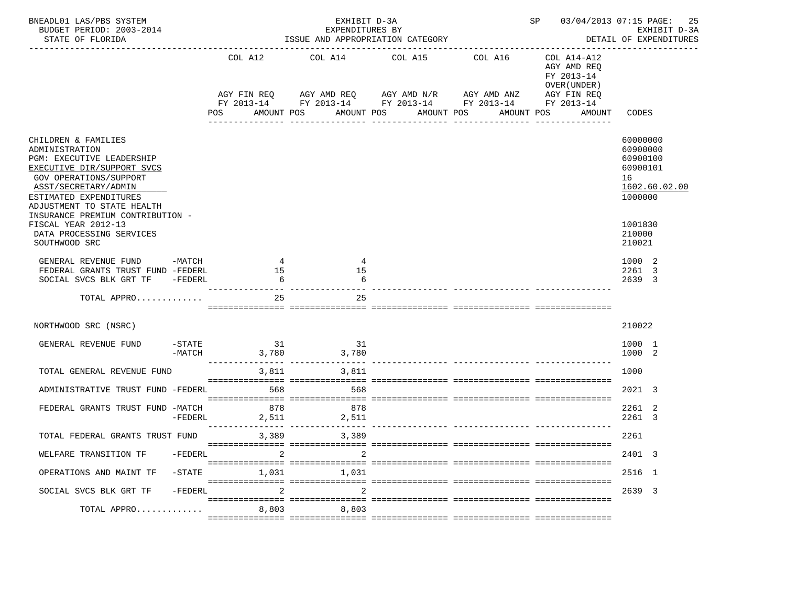| BNEADL01 LAS/PBS SYSTEM<br>BUDGET PERIOD: 2003-2014<br>STATE OF FLORIDA                                                                                                                                    |           | EXHIBIT D-3A<br>EXPENDITURES BY<br>ISSUE AND APPROPRIATION CATEGORY |               |  |                                                                   |    |             |                       |         | SP 03/04/2013 07:15 PAGE:<br>DETAIL OF EXPENDITURES    |                                                                          |  | 25<br>EXHIBIT D-3A |                                                               |               |
|------------------------------------------------------------------------------------------------------------------------------------------------------------------------------------------------------------|-----------|---------------------------------------------------------------------|---------------|--|-------------------------------------------------------------------|----|-------------|-----------------------|---------|--------------------------------------------------------|--------------------------------------------------------------------------|--|--------------------|---------------------------------------------------------------|---------------|
|                                                                                                                                                                                                            |           | COL A12                                                             |               |  | COL A14<br>AGY FIN REQ 6 AGY AMD REQ 6 AGY AMD N/R 66 AGY AMD ANZ |    | COL A15     |                       | COL A16 |                                                        | COL A14-A12<br>AGY AMD REQ<br>FY 2013-14<br>OVER (UNDER )<br>AGY FIN REQ |  |                    |                                                               |               |
|                                                                                                                                                                                                            |           |                                                                     |               |  |                                                                   |    |             |                       |         | FY 2013-14 FY 2013-14 FY 2013-14 FY 2013-14 FY 2013-14 |                                                                          |  |                    |                                                               |               |
|                                                                                                                                                                                                            |           | POS                                                                 | AMOUNT POS    |  |                                                                   |    | ----------- | AMOUNT POS AMOUNT POS |         | AMOUNT POS<br>------------                             |                                                                          |  | AMOUNT             | CODES                                                         |               |
| CHILDREN & FAMILIES<br>ADMINISTRATION<br>PGM: EXECUTIVE LEADERSHIP<br>EXECUTIVE DIR/SUPPORT SVCS<br>GOV OPERATIONS/SUPPORT<br>ASST/SECRETARY/ADMIN<br>ESTIMATED EXPENDITURES<br>ADJUSTMENT TO STATE HEALTH |           |                                                                     |               |  |                                                                   |    |             |                       |         |                                                        |                                                                          |  |                    | 60000000<br>60900000<br>60900100<br>60900101<br>16<br>1000000 | 1602.60.02.00 |
| INSURANCE PREMIUM CONTRIBUTION -<br>FISCAL YEAR 2012-13<br>DATA PROCESSING SERVICES<br>SOUTHWOOD SRC                                                                                                       |           |                                                                     |               |  |                                                                   |    |             |                       |         |                                                        |                                                                          |  |                    | 1001830<br>210000<br>210021                                   |               |
| GENERAL REVENUE FUND<br>FEDERAL GRANTS TRUST FUND -FEDERL<br>SOCIAL SVCS BLK GRT TF -FEDERL                                                                                                                | $-MATCH$  |                                                                     | 4<br>15<br>-6 |  | 4<br>15                                                           | 6  |             |                       |         |                                                        |                                                                          |  |                    | 1000 2<br>2261 3<br>2639 3                                    |               |
| TOTAL APPRO                                                                                                                                                                                                |           |                                                                     | 25            |  |                                                                   | 25 |             |                       |         |                                                        |                                                                          |  |                    |                                                               |               |
| NORTHWOOD SRC (NSRC)                                                                                                                                                                                       |           |                                                                     |               |  |                                                                   |    |             |                       |         |                                                        |                                                                          |  |                    | 210022                                                        |               |
| GENERAL REVENUE FUND                                                                                                                                                                                       |           | $-STATE$ 31<br>$-MATCH$                                             |               |  | 31<br>3,780 3,780                                                 |    |             |                       |         |                                                        |                                                                          |  |                    | 1000 1<br>1000 2                                              |               |
| TOTAL GENERAL REVENUE FUND                                                                                                                                                                                 |           |                                                                     | 3,811         |  | 3,811                                                             |    |             |                       |         | === ================ ==                                |                                                                          |  |                    | 1000                                                          |               |
| ADMINISTRATIVE TRUST FUND -FEDERL                                                                                                                                                                          |           |                                                                     | 568           |  | 568                                                               |    |             |                       |         |                                                        |                                                                          |  |                    | 2021 3                                                        |               |
| FEDERAL GRANTS TRUST FUND -MATCH                                                                                                                                                                           | $-FEDERL$ |                                                                     | 878<br>2,511  |  | 878<br>2,511                                                      |    |             |                       |         |                                                        |                                                                          |  |                    | 2261 2<br>2261 3                                              |               |
| TOTAL FEDERAL GRANTS TRUST FUND                                                                                                                                                                            |           |                                                                     | 3,389         |  | 3,389                                                             |    |             |                       |         |                                                        |                                                                          |  |                    | 2261                                                          |               |
| WELFARE TRANSITION TF                                                                                                                                                                                      | -FEDERL   |                                                                     | 2             |  |                                                                   | 2  |             |                       |         |                                                        |                                                                          |  |                    | 2401 3                                                        |               |
| OPERATIONS AND MAINT TF                                                                                                                                                                                    | $-STATE$  |                                                                     | 1,031         |  | 1,031                                                             |    |             |                       |         |                                                        |                                                                          |  |                    | 2516 1                                                        |               |
| SOCIAL SVCS BLK GRT TF                                                                                                                                                                                     | $-FEDERL$ |                                                                     |               |  |                                                                   | 2  |             |                       |         |                                                        |                                                                          |  |                    | 2639 3                                                        |               |
| TOTAL APPRO                                                                                                                                                                                                |           |                                                                     | 8,803         |  | 8,803                                                             |    |             |                       |         |                                                        |                                                                          |  |                    |                                                               |               |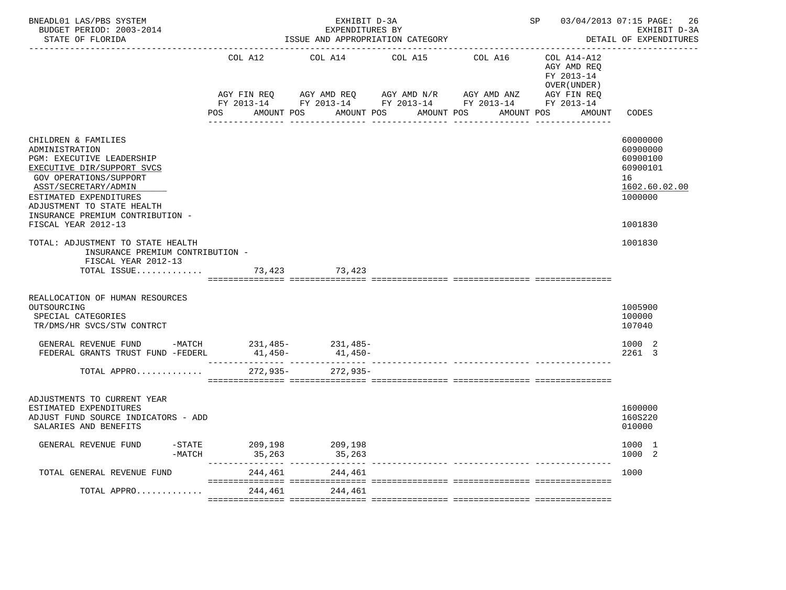| BNEADL01 LAS/PBS SYSTEM<br>BUDGET PERIOD: 2003-2014<br>STATE OF FLORIDA                                                                                                                                                                                                      |                               | EXHIBIT D-3A<br>EXPENDITURES BY<br>ISSUE AND APPROPRIATION CATEGORY               |                       | SP 03/04/2013 07:15 PAGE: | 26<br>EXHIBIT D-3A<br>DETAIL OF EXPENDITURES             |                                                                                           |
|------------------------------------------------------------------------------------------------------------------------------------------------------------------------------------------------------------------------------------------------------------------------------|-------------------------------|-----------------------------------------------------------------------------------|-----------------------|---------------------------|----------------------------------------------------------|-------------------------------------------------------------------------------------------|
|                                                                                                                                                                                                                                                                              | COL A12                       | COL A14                                                                           | COL A15               | COL A16                   | COL A14-A12<br>AGY AMD REQ<br>FY 2013-14<br>OVER (UNDER) |                                                                                           |
|                                                                                                                                                                                                                                                                              | AGY FIN REQ<br>POS AMOUNT POS | AGY AMD REQ AGY AMD N/R<br>FY 2013-14 FY 2013-14 FY 2013-14 FY 2013-14 FY 2013-14 | AMOUNT POS AMOUNT POS | AGY AMD ANZ               | AGY FIN REQ<br>AMOUNT POS<br>AMOUNT                      | CODES                                                                                     |
| CHILDREN & FAMILIES<br>ADMINISTRATION<br>PGM: EXECUTIVE LEADERSHIP<br>EXECUTIVE DIR/SUPPORT SVCS<br><b>GOV OPERATIONS/SUPPORT</b><br>ASST/SECRETARY/ADMIN<br>ESTIMATED EXPENDITURES<br>ADJUSTMENT TO STATE HEALTH<br>INSURANCE PREMIUM CONTRIBUTION -<br>FISCAL YEAR 2012-13 |                               |                                                                                   |                       |                           |                                                          | 60000000<br>60900000<br>60900100<br>60900101<br>16<br>1602.60.02.00<br>1000000<br>1001830 |
| TOTAL: ADJUSTMENT TO STATE HEALTH<br>INSURANCE PREMIUM CONTRIBUTION -<br>FISCAL YEAR 2012-13<br>TOTAL ISSUE                                                                                                                                                                  |                               | 73,423 73,423                                                                     |                       |                           |                                                          | 1001830                                                                                   |
| REALLOCATION OF HUMAN RESOURCES<br>OUTSOURCING<br>SPECIAL CATEGORIES<br>TR/DMS/HR SVCS/STW CONTRCT                                                                                                                                                                           |                               |                                                                                   |                       |                           |                                                          | 1005900<br>100000<br>107040                                                               |
| GENERAL REVENUE FUND -MATCH $231,485$ - $231,485$ - $231,485$ -<br>FEDERAL GRANTS TRUST FUND -FEDERL                                                                                                                                                                         | $41,450-$                     | $41,450-$                                                                         |                       |                           |                                                          | 1000 2<br>2261 3                                                                          |
| TOTAL APPRO                                                                                                                                                                                                                                                                  | 272,935-                      | $272,935-$                                                                        |                       |                           |                                                          |                                                                                           |
| ADJUSTMENTS TO CURRENT YEAR<br>ESTIMATED EXPENDITURES<br>ADJUST FUND SOURCE INDICATORS - ADD<br>SALARIES AND BENEFITS                                                                                                                                                        |                               |                                                                                   |                       |                           |                                                          | 1600000<br>160S220<br>010000                                                              |
| GENERAL REVENUE FUND<br>$-$ STATE<br>$-MATCH$                                                                                                                                                                                                                                | 209,198<br>35,263             | 209,198<br>35,263                                                                 |                       |                           |                                                          | 1000 1<br>1000<br>-2                                                                      |
| TOTAL GENERAL REVENUE FUND                                                                                                                                                                                                                                                   | 244,461                       | 244,461                                                                           |                       |                           |                                                          | 1000                                                                                      |
| TOTAL APPRO                                                                                                                                                                                                                                                                  | 244,461                       | 244,461                                                                           |                       |                           |                                                          |                                                                                           |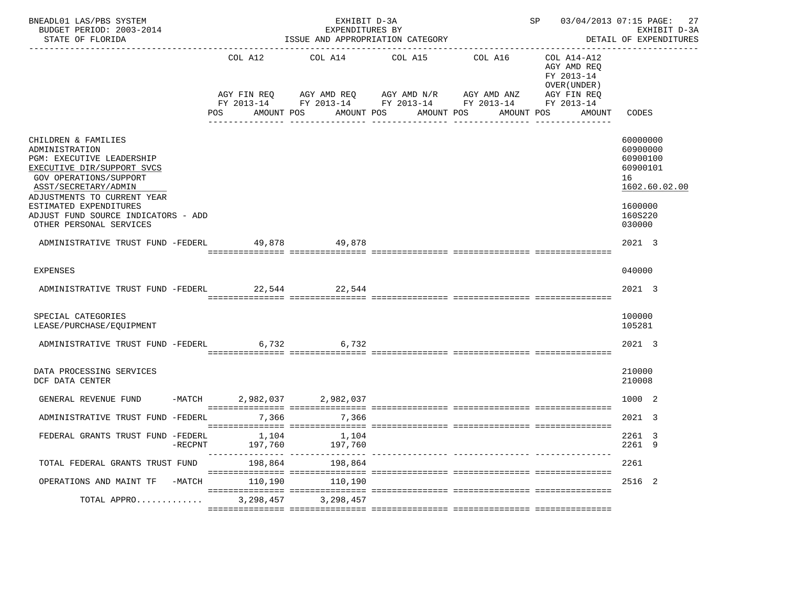| BNEADL01 LAS/PBS SYSTEM<br>BUDGET PERIOD: 2003-2014<br>STATE OF FLORIDA                                                                                                                                                                                                       |                            | EXHIBIT D-3A<br>EXPENDITURES BY | ISSUE AND APPROPRIATION CATEGORY                                                                                                                                        | SP 03/04/2013 07:15 PAGE:                                                                       | 27<br>EXHIBIT D-3A<br>DETAIL OF EXPENDITURES                                                        |
|-------------------------------------------------------------------------------------------------------------------------------------------------------------------------------------------------------------------------------------------------------------------------------|----------------------------|---------------------------------|-------------------------------------------------------------------------------------------------------------------------------------------------------------------------|-------------------------------------------------------------------------------------------------|-----------------------------------------------------------------------------------------------------|
|                                                                                                                                                                                                                                                                               | COL A12<br>POS             | COL A14                         | COL A15 COL A16<br>AGY FIN REQ 6 AGY AMD REQ 6 AGY AMD N/R 66 AGY AMD ANZ<br>FY 2013-14 FY 2013-14 FY 2013-14 FY 2013-14 FY 2013-14<br>AMOUNT POS AMOUNT POS AMOUNT POS | COL A14-A12<br>AGY AMD REQ<br>FY 2013-14<br>OVER (UNDER)<br>AGY FIN REQ<br>AMOUNT POS<br>AMOUNT | CODES                                                                                               |
| CHILDREN & FAMILIES<br>ADMINISTRATION<br>PGM: EXECUTIVE LEADERSHIP<br>EXECUTIVE DIR/SUPPORT SVCS<br>GOV OPERATIONS/SUPPORT<br>ASST/SECRETARY/ADMIN<br>ADJUSTMENTS TO CURRENT YEAR<br>ESTIMATED EXPENDITURES<br>ADJUST FUND SOURCE INDICATORS - ADD<br>OTHER PERSONAL SERVICES |                            |                                 |                                                                                                                                                                         |                                                                                                 | 60000000<br>60900000<br>60900100<br>60900101<br>16<br>1602.60.02.00<br>1600000<br>160S220<br>030000 |
| ADMINISTRATIVE TRUST FUND -FEDERL 49,878 49,878                                                                                                                                                                                                                               |                            |                                 |                                                                                                                                                                         |                                                                                                 | 2021 3                                                                                              |
| <b>EXPENSES</b>                                                                                                                                                                                                                                                               |                            |                                 |                                                                                                                                                                         |                                                                                                 | 040000                                                                                              |
| ADMINISTRATIVE TRUST FUND -FEDERL 22,544 22,544                                                                                                                                                                                                                               |                            |                                 |                                                                                                                                                                         |                                                                                                 | 2021 3                                                                                              |
| SPECIAL CATEGORIES<br>LEASE/PURCHASE/EQUIPMENT                                                                                                                                                                                                                                |                            |                                 |                                                                                                                                                                         |                                                                                                 | 100000<br>105281                                                                                    |
| ADMINISTRATIVE TRUST FUND -FEDERL 6,732 6,732                                                                                                                                                                                                                                 |                            |                                 |                                                                                                                                                                         |                                                                                                 | 2021 3                                                                                              |
| DATA PROCESSING SERVICES<br>DCF DATA CENTER                                                                                                                                                                                                                                   |                            |                                 |                                                                                                                                                                         |                                                                                                 | 210000<br>210008                                                                                    |
| GENERAL REVENUE FUND                                                                                                                                                                                                                                                          | -MATCH 2,982,037 2,982,037 |                                 |                                                                                                                                                                         |                                                                                                 | 1000 2                                                                                              |
| ADMINISTRATIVE TRUST FUND -FEDERL                                                                                                                                                                                                                                             | 7.366                      | 7,366                           |                                                                                                                                                                         |                                                                                                 | 2021 3                                                                                              |
| FEDERAL GRANTS TRUST FUND -FEDERL 1,104 1,104<br>-RECPNT                                                                                                                                                                                                                      | 197,760                    | 197,760                         |                                                                                                                                                                         |                                                                                                 | 2261 3<br>2261 9                                                                                    |
| TOTAL FEDERAL GRANTS TRUST FUND                                                                                                                                                                                                                                               | 198,864                    | 198,864                         | ------------- -----------------                                                                                                                                         |                                                                                                 | 2261                                                                                                |
| OPERATIONS AND MAINT TF<br>$-MATCH$                                                                                                                                                                                                                                           | 110,190                    | 110,190                         |                                                                                                                                                                         |                                                                                                 | 2516 2                                                                                              |
| TOTAL APPRO                                                                                                                                                                                                                                                                   | 3,298,457                  | 3,298,457                       |                                                                                                                                                                         |                                                                                                 |                                                                                                     |
|                                                                                                                                                                                                                                                                               |                            |                                 |                                                                                                                                                                         |                                                                                                 |                                                                                                     |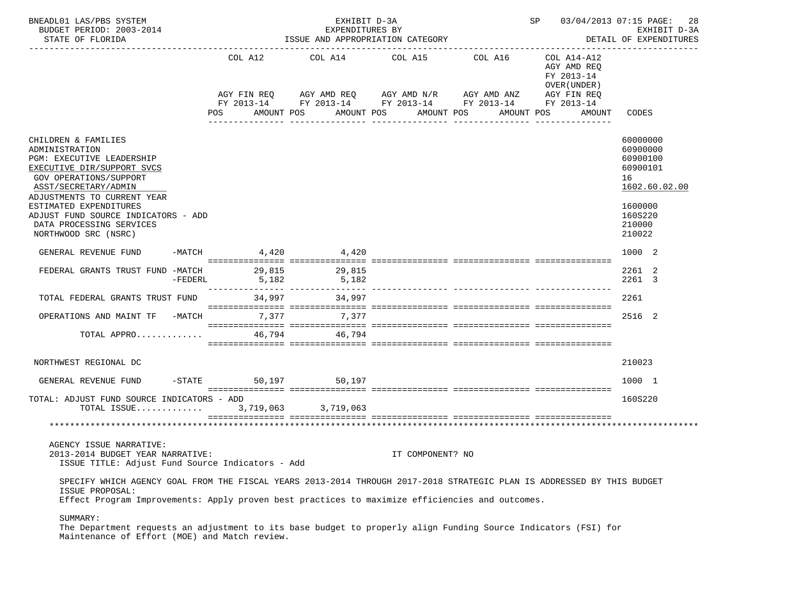| BNEADL01 LAS/PBS SYSTEM<br>BUDGET PERIOD: 2003-2014<br>STATE OF FLORIDA                                                                                                                                                                      | ISSUE AND APPROPRIATION CATEGORY | SP 03/04/2013 07:15 PAGE: | 28<br>EXHIBIT D-3A<br>DETAIL OF EXPENDITURES                                                                                                             |             |                                                                                                 |                                                                     |
|----------------------------------------------------------------------------------------------------------------------------------------------------------------------------------------------------------------------------------------------|----------------------------------|---------------------------|----------------------------------------------------------------------------------------------------------------------------------------------------------|-------------|-------------------------------------------------------------------------------------------------|---------------------------------------------------------------------|
|                                                                                                                                                                                                                                              | COL A12<br>POS                   | COL A14<br>AMOUNT POS     | COL A15 COL A16<br>AGY FIN REQ AGY AMD REQ AGY AMD N/R AGY AMD ANZ<br>FY 2013-14 FY 2013-14 FY 2013-14 FY 2013-14 FY 2013-14<br>AMOUNT POS<br>AMOUNT POS | ----------- | COL A14-A12<br>AGY AMD REO<br>FY 2013-14<br>OVER (UNDER)<br>AGY FIN REQ<br>AMOUNT POS<br>AMOUNT | CODES                                                               |
| CHILDREN & FAMILIES<br>ADMINISTRATION<br>PGM: EXECUTIVE LEADERSHIP<br>EXECUTIVE DIR/SUPPORT SVCS<br>GOV OPERATIONS/SUPPORT<br>ASST/SECRETARY/ADMIN<br>ADJUSTMENTS TO CURRENT YEAR                                                            |                                  |                           |                                                                                                                                                          |             |                                                                                                 | 60000000<br>60900000<br>60900100<br>60900101<br>16<br>1602.60.02.00 |
| ESTIMATED EXPENDITURES<br>ADJUST FUND SOURCE INDICATORS - ADD<br>DATA PROCESSING SERVICES<br>NORTHWOOD SRC (NSRC)                                                                                                                            |                                  |                           |                                                                                                                                                          |             |                                                                                                 | 1600000<br>160S220<br>210000<br>210022                              |
| GENERAL REVENUE FUND                                                                                                                                                                                                                         | $-MATCH$                         | 4,420 4,420               |                                                                                                                                                          |             |                                                                                                 | 1000 2                                                              |
| FEDERAL GRANTS TRUST FUND -MATCH<br>$-FEDERL$                                                                                                                                                                                                | 5,182                            | 29,815 29,815<br>5,182    |                                                                                                                                                          |             |                                                                                                 | 2261 2<br>2261 3                                                    |
| TOTAL FEDERAL GRANTS TRUST FUND                                                                                                                                                                                                              | 34,997                           | 34,997                    |                                                                                                                                                          |             |                                                                                                 | 2261                                                                |
| OPERATIONS AND MAINT TF -MATCH 7,377                                                                                                                                                                                                         |                                  | 7,377                     |                                                                                                                                                          |             |                                                                                                 | 2516 2                                                              |
| TOTAL APPRO                                                                                                                                                                                                                                  |                                  | 46,794 46,794             |                                                                                                                                                          |             |                                                                                                 |                                                                     |
| NORTHWEST REGIONAL DC                                                                                                                                                                                                                        |                                  |                           |                                                                                                                                                          |             |                                                                                                 | 210023                                                              |
| GENERAL REVENUE FUND                                                                                                                                                                                                                         | -STATE 50,197 50,197             |                           |                                                                                                                                                          |             |                                                                                                 | 1000 1                                                              |
| TOTAL: ADJUST FUND SOURCE INDICATORS - ADD<br>TOTAL ISSUE                                                                                                                                                                                    |                                  | 3,719,063 3,719,063       |                                                                                                                                                          |             |                                                                                                 | 160S220                                                             |
|                                                                                                                                                                                                                                              |                                  |                           |                                                                                                                                                          |             |                                                                                                 |                                                                     |
| AGENCY ISSUE NARRATIVE:<br>2013-2014 BUDGET YEAR NARRATIVE:<br>ISSUE TITLE: Adjust Fund Source Indicators - Add                                                                                                                              |                                  |                           | IT COMPONENT? NO                                                                                                                                         |             |                                                                                                 |                                                                     |
| SPECIFY WHICH AGENCY GOAL FROM THE FISCAL YEARS 2013-2014 THROUGH 2017-2018 STRATEGIC PLAN IS ADDRESSED BY THIS BUDGET<br>ISSUE PROPOSAL:<br>Effect Program Improvements: Apply proven best practices to maximize efficiencies and outcomes. |                                  |                           |                                                                                                                                                          |             |                                                                                                 |                                                                     |
| SUMMARY:<br>The Department requests an adjustment to its base budget to properly align Funding Source Indicators (FSI) for<br>Maintenance of Effort (MOE) and Match review.                                                                  |                                  |                           |                                                                                                                                                          |             |                                                                                                 |                                                                     |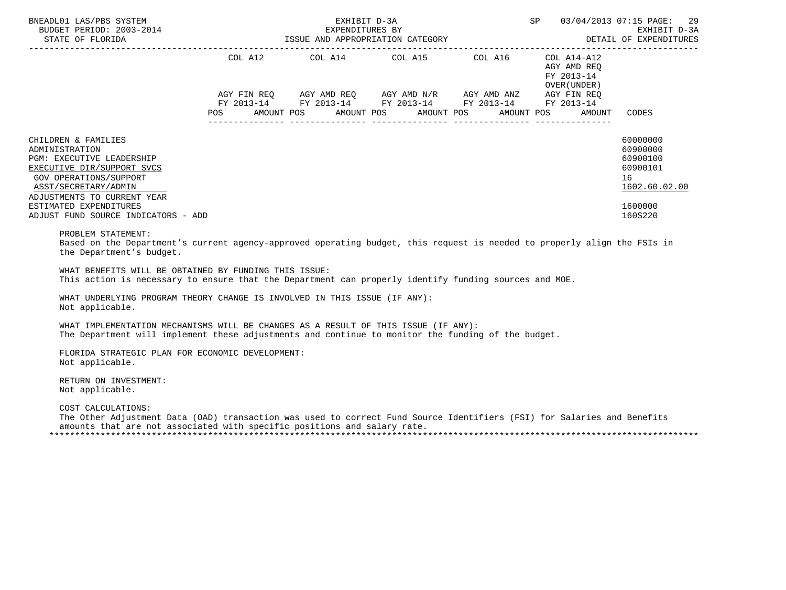| BNEADL01 LAS/PBS SYSTEM<br>BUDGET PERIOD: 2003-2014                                                                                                                                                                                                                                                                                                                                                                                                                                                                                                                                                                                                                                                       |            | EXHIBIT D-3A<br>EXPENDITURES BY | <b>SP</b> SP                                                                                                                                                         | 03/04/2013 07:15 PAGE:<br>29<br>EXHIBIT D-3A<br>DETAIL OF EXPENDITURES |                                            |                                                                                           |
|-----------------------------------------------------------------------------------------------------------------------------------------------------------------------------------------------------------------------------------------------------------------------------------------------------------------------------------------------------------------------------------------------------------------------------------------------------------------------------------------------------------------------------------------------------------------------------------------------------------------------------------------------------------------------------------------------------------|------------|---------------------------------|----------------------------------------------------------------------------------------------------------------------------------------------------------------------|------------------------------------------------------------------------|--------------------------------------------|-------------------------------------------------------------------------------------------|
|                                                                                                                                                                                                                                                                                                                                                                                                                                                                                                                                                                                                                                                                                                           |            |                                 | COL A12 COL A14 COL A15 COL A16 COL A14-A12<br>AGY FIN REQ AGY AMD REQ AGY AMD N/R AGY AMD ANZ AGY FIN REQ<br>FY 2013-14 FY 2013-14 FY 2013-14 FY 2013-14 FY 2013-14 |                                                                        | AGY AMD REO<br>FY 2013-14<br>OVER (UNDER ) |                                                                                           |
|                                                                                                                                                                                                                                                                                                                                                                                                                                                                                                                                                                                                                                                                                                           | <b>POS</b> |                                 | AMOUNT POS AMOUNT POS AMOUNT POS                                                                                                                                     |                                                                        | AMOUNT POS<br>AMOUNT                       | CODES                                                                                     |
| CHILDREN & FAMILIES<br>ADMINISTRATION<br>PGM: EXECUTIVE LEADERSHIP<br>EXECUTIVE DIR/SUPPORT SVCS<br><b>GOV OPERATIONS/SUPPORT</b><br>ASST/SECRETARY/ADMIN<br>ADJUSTMENTS TO CURRENT YEAR<br>ESTIMATED EXPENDITURES<br>ADJUST FUND SOURCE INDICATORS - ADD<br>PROBLEM STATEMENT:<br>Based on the Department's current agency-approved operating budget, this request is needed to properly align the FSIs in<br>the Department's budget.<br>WHAT BENEFITS WILL BE OBTAINED BY FUNDING THIS ISSUE:<br>This action is necessary to ensure that the Department can properly identify funding sources and MOE.<br>WHAT UNDERLYING PROGRAM THEORY CHANGE IS INVOLVED IN THIS ISSUE (IF ANY):<br>Not applicable. |            |                                 |                                                                                                                                                                      |                                                                        |                                            | 60000000<br>60900000<br>60900100<br>60900101<br>16<br>1602.60.02.00<br>1600000<br>160S220 |
| WHAT IMPLEMENTATION MECHANISMS WILL BE CHANGES AS A RESULT OF THIS ISSUE (IF ANY):<br>The Department will implement these adjustments and continue to monitor the funding of the budget.                                                                                                                                                                                                                                                                                                                                                                                                                                                                                                                  |            |                                 |                                                                                                                                                                      |                                                                        |                                            |                                                                                           |
| FLORIDA STRATEGIC PLAN FOR ECONOMIC DEVELOPMENT:<br>Not applicable.                                                                                                                                                                                                                                                                                                                                                                                                                                                                                                                                                                                                                                       |            |                                 |                                                                                                                                                                      |                                                                        |                                            |                                                                                           |
| RETURN ON INVESTMENT:<br>Not applicable.                                                                                                                                                                                                                                                                                                                                                                                                                                                                                                                                                                                                                                                                  |            |                                 |                                                                                                                                                                      |                                                                        |                                            |                                                                                           |
| COST CALCULATIONS:<br>The Other Adjustment Data (OAD) transaction was used to correct Fund Source Identifiers (FSI) for Salaries and Benefits<br>amounts that are not associated with specific positions and salary rate.                                                                                                                                                                                                                                                                                                                                                                                                                                                                                 |            |                                 |                                                                                                                                                                      |                                                                        |                                            |                                                                                           |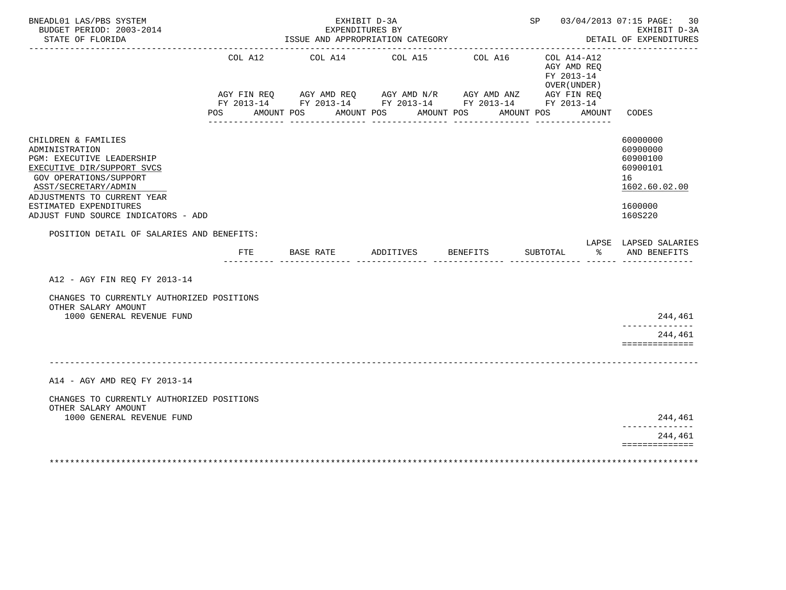| BNEADL01 LAS/PBS SYSTEM<br>BUDGET PERIOD: 2003-2014<br>STATE OF FLORIDA                                                                                                                                                                                                                                |                | EXHIBIT D-3A<br>EXPENDITURES BY<br>ISSUE AND APPROPRIATION CATEGORY |                                                                                                                               | SP 03/04/2013 07:15 PAGE:           | 30<br>EXHIBIT D-3A<br>DETAIL OF EXPENDITURES                          |                                                                                           |
|--------------------------------------------------------------------------------------------------------------------------------------------------------------------------------------------------------------------------------------------------------------------------------------------------------|----------------|---------------------------------------------------------------------|-------------------------------------------------------------------------------------------------------------------------------|-------------------------------------|-----------------------------------------------------------------------|-------------------------------------------------------------------------------------------|
|                                                                                                                                                                                                                                                                                                        | COL A12<br>POS | AMOUNT POS                                                          | COL A14 COL A15<br>AGY FIN REQ AGY AMD REQ AGY AMD N/R AGY AMD ANZ AGY FIN REQ FY 2013-14 FY 2013-14 FY 2013-14<br>AMOUNT POS | COL A16<br>AMOUNT POS<br>AMOUNT POS | $COL A14- A12$<br>AGY AMD REO<br>FY 2013-14<br>OVER (UNDER)<br>AMOUNT | CODES                                                                                     |
| CHILDREN & FAMILIES<br>ADMINISTRATION<br>PGM: EXECUTIVE LEADERSHIP<br>EXECUTIVE DIR/SUPPORT SVCS<br><b>GOV OPERATIONS/SUPPORT</b><br>ASST/SECRETARY/ADMIN<br>ADJUSTMENTS TO CURRENT YEAR<br>ESTIMATED EXPENDITURES<br>ADJUST FUND SOURCE INDICATORS - ADD<br>POSITION DETAIL OF SALARIES AND BENEFITS: |                |                                                                     |                                                                                                                               |                                     |                                                                       | 60000000<br>60900000<br>60900100<br>60900101<br>16<br>1602.60.02.00<br>1600000<br>160S220 |
|                                                                                                                                                                                                                                                                                                        | FTE            | BASE RATE                                                           | ADDITIVES BENEFITS                                                                                                            |                                     | SUBTOTAL<br>ားကို $\sim$                                              | LAPSE LAPSED SALARIES<br>AND BENEFITS                                                     |
| A12 - AGY FIN REO FY 2013-14                                                                                                                                                                                                                                                                           |                |                                                                     |                                                                                                                               |                                     |                                                                       |                                                                                           |
| CHANGES TO CURRENTLY AUTHORIZED POSITIONS<br>OTHER SALARY AMOUNT<br>1000 GENERAL REVENUE FUND                                                                                                                                                                                                          |                |                                                                     |                                                                                                                               |                                     |                                                                       | 244,461                                                                                   |
|                                                                                                                                                                                                                                                                                                        |                |                                                                     |                                                                                                                               |                                     |                                                                       | --------------<br>244,461<br>==============                                               |
|                                                                                                                                                                                                                                                                                                        |                |                                                                     |                                                                                                                               |                                     |                                                                       |                                                                                           |
| A14 - AGY AMD REQ FY 2013-14                                                                                                                                                                                                                                                                           |                |                                                                     |                                                                                                                               |                                     |                                                                       |                                                                                           |
| CHANGES TO CURRENTLY AUTHORIZED POSITIONS<br>OTHER SALARY AMOUNT<br>1000 GENERAL REVENUE FUND                                                                                                                                                                                                          |                |                                                                     |                                                                                                                               |                                     |                                                                       | 244,461                                                                                   |
|                                                                                                                                                                                                                                                                                                        |                |                                                                     |                                                                                                                               |                                     |                                                                       | ----------<br>244,461<br>==============                                                   |
|                                                                                                                                                                                                                                                                                                        |                |                                                                     |                                                                                                                               |                                     |                                                                       |                                                                                           |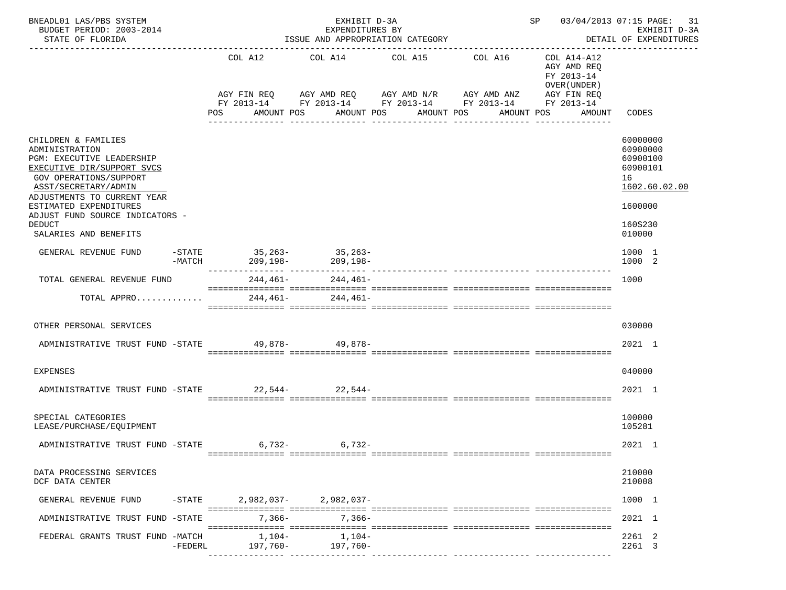| BNEADL01 LAS/PBS SYSTEM<br>BUDGET PERIOD: 2003-2014<br>STATE OF FLORIDA                                                                                                                                                                        |           | EXHIBIT D-3A<br>EXPENDITURES BY<br>ISSUE AND APPROPRIATION CATEGORY |                       |  |                                                                                                                                      |            |                  |               | SP 03/04/2013 07:15 PAGE:<br>DETAIL OF EXPENDITURES |  |                            | 31<br>EXHIBIT D-3A                                  |                                                               |               |
|------------------------------------------------------------------------------------------------------------------------------------------------------------------------------------------------------------------------------------------------|-----------|---------------------------------------------------------------------|-----------------------|--|--------------------------------------------------------------------------------------------------------------------------------------|------------|------------------|---------------|-----------------------------------------------------|--|----------------------------|-----------------------------------------------------|---------------------------------------------------------------|---------------|
|                                                                                                                                                                                                                                                |           | POS                                                                 | COL A12<br>AMOUNT POS |  | COL A14 COL A15 COL A16<br>AGY FIN REQ AGY AMD REQ AGY AMD N/R AGY AMD ANZ<br>FY 2013-14 FY 2013-14 FY 2013-14 FY 2013-14 FY 2013-14 | AMOUNT POS | AMOUNT POS       |               | AMOUNT POS                                          |  | FY 2013-14<br>OVER (UNDER) | COL A14-A12<br>AGY AMD REQ<br>AGY FIN REQ<br>AMOUNT | CODES                                                         |               |
|                                                                                                                                                                                                                                                |           |                                                                     |                       |  | ____________                                                                                                                         |            | ________________ | _____________ |                                                     |  |                            | ---------------                                     |                                                               |               |
| CHILDREN & FAMILIES<br>ADMINISTRATION<br>PGM: EXECUTIVE LEADERSHIP<br>EXECUTIVE DIR/SUPPORT SVCS<br>GOV OPERATIONS/SUPPORT<br>ASST/SECRETARY/ADMIN<br>ADJUSTMENTS TO CURRENT YEAR<br>ESTIMATED EXPENDITURES<br>ADJUST FUND SOURCE INDICATORS - |           |                                                                     |                       |  |                                                                                                                                      |            |                  |               |                                                     |  |                            |                                                     | 60000000<br>60900000<br>60900100<br>60900101<br>16<br>1600000 | 1602.60.02.00 |
| <b>DEDUCT</b><br>SALARIES AND BENEFITS                                                                                                                                                                                                         |           |                                                                     |                       |  |                                                                                                                                      |            |                  |               |                                                     |  |                            |                                                     | 160S230<br>010000                                             |               |
| GENERAL REVENUE FUND                                                                                                                                                                                                                           | $-MATCH$  |                                                                     | 209, 198-             |  | -STATE 35, 263- 35, 263-<br>$209.198 -$                                                                                              |            |                  |               |                                                     |  |                            |                                                     | 1000 1<br>1000 2                                              |               |
| TOTAL GENERAL REVENUE FUND                                                                                                                                                                                                                     |           |                                                                     | 244,461-              |  | 244,461-                                                                                                                             |            |                  |               |                                                     |  |                            |                                                     | 1000                                                          |               |
| TOTAL APPRO                                                                                                                                                                                                                                    |           |                                                                     | $244, 461 -$          |  | 244,461-                                                                                                                             |            |                  |               |                                                     |  |                            |                                                     |                                                               |               |
| OTHER PERSONAL SERVICES                                                                                                                                                                                                                        |           |                                                                     |                       |  |                                                                                                                                      |            |                  |               |                                                     |  |                            |                                                     | 030000                                                        |               |
| ADMINISTRATIVE TRUST FUND -STATE 49,878- 49,878-                                                                                                                                                                                               |           |                                                                     |                       |  |                                                                                                                                      |            |                  |               |                                                     |  |                            |                                                     | 2021 1                                                        |               |
| <b>EXPENSES</b>                                                                                                                                                                                                                                |           |                                                                     |                       |  |                                                                                                                                      |            |                  |               |                                                     |  |                            |                                                     | 040000                                                        |               |
| ADMINISTRATIVE TRUST FUND -STATE 22,544- 22,544-                                                                                                                                                                                               |           |                                                                     |                       |  |                                                                                                                                      |            |                  |               |                                                     |  |                            |                                                     | 2021 1                                                        |               |
| SPECIAL CATEGORIES<br>LEASE/PURCHASE/EOUIPMENT                                                                                                                                                                                                 |           |                                                                     |                       |  |                                                                                                                                      |            |                  |               |                                                     |  |                            |                                                     | 100000<br>105281                                              |               |
| ADMINISTRATIVE TRUST FUND -STATE                                                                                                                                                                                                               |           |                                                                     | 6,732-                |  | $6,732-$                                                                                                                             |            |                  |               |                                                     |  |                            |                                                     | 2021 1                                                        |               |
| DATA PROCESSING SERVICES<br>DCF DATA CENTER                                                                                                                                                                                                    |           |                                                                     |                       |  |                                                                                                                                      |            |                  |               |                                                     |  |                            |                                                     | 210000<br>210008                                              |               |
| GENERAL REVENUE FUND                                                                                                                                                                                                                           | -STATE    |                                                                     |                       |  | $2.982.037 - 2.982.037 -$                                                                                                            |            |                  |               |                                                     |  |                            |                                                     | 1000 1                                                        |               |
| ADMINISTRATIVE TRUST FUND -STATE                                                                                                                                                                                                               |           |                                                                     | $7,366-$              |  | $7,366-$                                                                                                                             |            |                  |               |                                                     |  |                            |                                                     | 2021 1                                                        |               |
| FEDERAL GRANTS TRUST FUND -MATCH                                                                                                                                                                                                               | $-FEDERL$ |                                                                     | 1,104-<br>197,760-    |  | 1,104-<br>197,760-                                                                                                                   |            |                  |               |                                                     |  |                            |                                                     | 2261 2<br>2261 3                                              |               |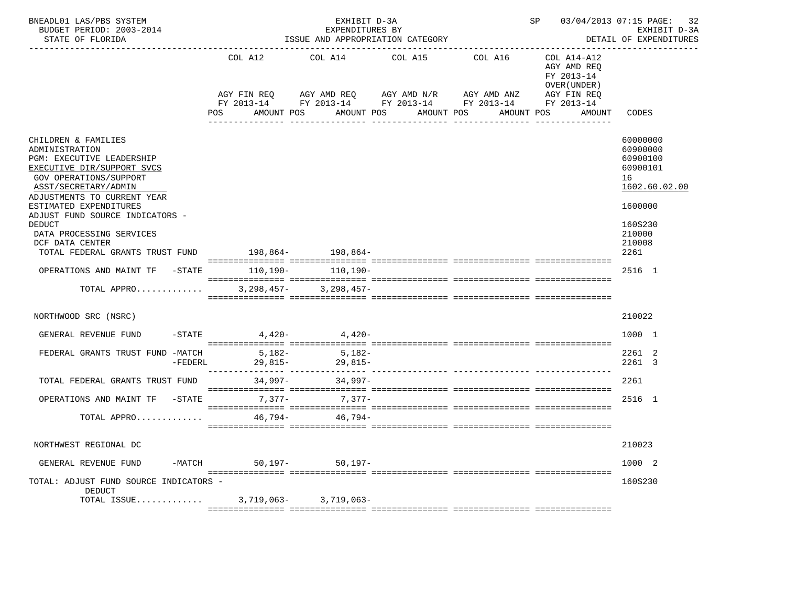| BNEADL01 LAS/PBS SYSTEM<br>BUDGET PERIOD: 2003-2014<br>STATE OF FLORIDA                                                                                                                                                                                                                                                                                             |                                   | EXHIBIT D-3A<br>EXPENDITURES BY<br>ISSUE AND APPROPRIATION CATEGORY |                                                                                                                                                               | SP 03/04/2013 07:15 PAGE:<br>32<br>EXHIBIT D-3A<br>DETAIL OF EXPENDITURES |                                                                                                      |                                                                                                                       |  |
|---------------------------------------------------------------------------------------------------------------------------------------------------------------------------------------------------------------------------------------------------------------------------------------------------------------------------------------------------------------------|-----------------------------------|---------------------------------------------------------------------|---------------------------------------------------------------------------------------------------------------------------------------------------------------|---------------------------------------------------------------------------|------------------------------------------------------------------------------------------------------|-----------------------------------------------------------------------------------------------------------------------|--|
|                                                                                                                                                                                                                                                                                                                                                                     | COL A12<br>POS                    | AMOUNT POS                                                          | COL A14 COL A15 COL A16<br>AGY FIN REQ AGY AMD REQ AGY AMD N/R AGY AMD ANZ<br>FY 2013-14 FY 2013-14 FY 2013-14 FY 2013-14 FY 2013-14<br>AMOUNT POS AMOUNT POS | AMOUNT POS                                                                | COL A14-A12<br>AGY AMD REO<br>FY 2013-14<br>OVER (UNDER)<br>AGY FIN REQ<br>AMOUNT<br>_______________ | CODES                                                                                                                 |  |
| CHILDREN & FAMILIES<br>ADMINISTRATION<br>PGM: EXECUTIVE LEADERSHIP<br>EXECUTIVE DIR/SUPPORT SVCS<br>GOV OPERATIONS/SUPPORT<br>ASST/SECRETARY/ADMIN<br>ADJUSTMENTS TO CURRENT YEAR<br>ESTIMATED EXPENDITURES<br>ADJUST FUND SOURCE INDICATORS -<br><b>DEDUCT</b><br>DATA PROCESSING SERVICES<br>DCF DATA CENTER<br>TOTAL FEDERAL GRANTS TRUST FUND 198,864- 198,864- |                                   |                                                                     |                                                                                                                                                               |                                                                           |                                                                                                      | 60000000<br>60900000<br>60900100<br>60900101<br>16<br>1602.60.02.00<br>1600000<br>160S230<br>210000<br>210008<br>2261 |  |
| OPERATIONS AND MAINT TF -STATE 110,190- 110,190-                                                                                                                                                                                                                                                                                                                    |                                   |                                                                     |                                                                                                                                                               |                                                                           |                                                                                                      | 2516 1                                                                                                                |  |
| TOTAL APPRO                                                                                                                                                                                                                                                                                                                                                         |                                   | $3,298,457-$ 3,298,457-                                             |                                                                                                                                                               |                                                                           |                                                                                                      |                                                                                                                       |  |
| NORTHWOOD SRC (NSRC)                                                                                                                                                                                                                                                                                                                                                |                                   |                                                                     |                                                                                                                                                               |                                                                           |                                                                                                      | 210022                                                                                                                |  |
| GENERAL REVENUE FUND                                                                                                                                                                                                                                                                                                                                                | $-$ STATE 4,420 - 4,420 - 4,420 - |                                                                     |                                                                                                                                                               |                                                                           |                                                                                                      | 1000 1                                                                                                                |  |
| FEDERAL GRANTS TRUST FUND -MATCH<br>$-FEDERL$                                                                                                                                                                                                                                                                                                                       | 5,182-                            | $29,815-$<br>29,815-<br>30.015-                                     |                                                                                                                                                               |                                                                           |                                                                                                      | 2261 2<br>2261 3                                                                                                      |  |
| TOTAL FEDERAL GRANTS TRUST FUND                                                                                                                                                                                                                                                                                                                                     |                                   | $34,997 - 34,997 -$                                                 |                                                                                                                                                               |                                                                           |                                                                                                      | 2261                                                                                                                  |  |
| OPERATIONS AND MAINT TF -STATE                                                                                                                                                                                                                                                                                                                                      |                                   | $7.377 - 7.377 -$                                                   |                                                                                                                                                               |                                                                           |                                                                                                      | 2516 1                                                                                                                |  |
| TOTAL APPRO                                                                                                                                                                                                                                                                                                                                                         |                                   | $46.794 - 46.794 -$                                                 |                                                                                                                                                               |                                                                           |                                                                                                      |                                                                                                                       |  |
| NORTHWEST REGIONAL DC                                                                                                                                                                                                                                                                                                                                               |                                   |                                                                     |                                                                                                                                                               |                                                                           |                                                                                                      | 210023                                                                                                                |  |
| GENERAL REVENUE FUND<br>-MATCH                                                                                                                                                                                                                                                                                                                                      | $50,197-$                         | $50, 197 -$                                                         |                                                                                                                                                               |                                                                           |                                                                                                      | 1000 2                                                                                                                |  |
| TOTAL: ADJUST FUND SOURCE INDICATORS -<br>DEDUCT<br>TOTAL ISSUE                                                                                                                                                                                                                                                                                                     | 3,719,063-                        | 3,719,063-                                                          |                                                                                                                                                               |                                                                           |                                                                                                      | 160S230                                                                                                               |  |
|                                                                                                                                                                                                                                                                                                                                                                     |                                   |                                                                     |                                                                                                                                                               |                                                                           |                                                                                                      |                                                                                                                       |  |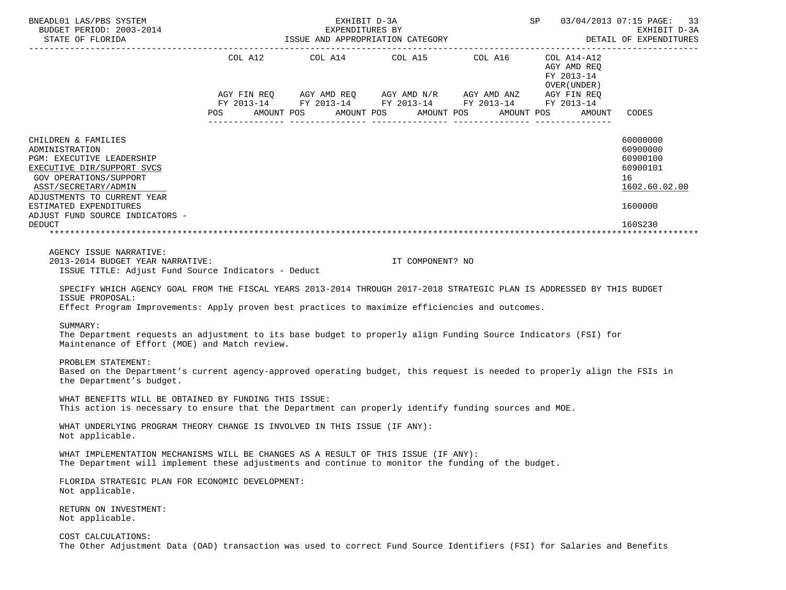| BNEADL01 LAS/PBS SYSTEM<br>BUDGET PERIOD: 2003-2014<br>STATE OF FLORIDA                                                                                                                                                                                                                                                                                                                                                     |            | EXHIBIT D-3A | SP 03/04/2013 07:15 PAGE: 33                                                                                                                              |  |                                                                    |                                                                                           |
|-----------------------------------------------------------------------------------------------------------------------------------------------------------------------------------------------------------------------------------------------------------------------------------------------------------------------------------------------------------------------------------------------------------------------------|------------|--------------|-----------------------------------------------------------------------------------------------------------------------------------------------------------|--|--------------------------------------------------------------------|-------------------------------------------------------------------------------------------|
|                                                                                                                                                                                                                                                                                                                                                                                                                             | <b>POS</b> |              | AGY FIN REQ AGY AMD REQ AGY AMD N/R AGY AMD ANZ AGY FIN REQ<br>FY 2013-14 FY 2013-14 FY 2013-14 FY 2013-14 FY 2013-14<br>AMOUNT POS AMOUNT POS AMOUNT POS |  | AGY AMD REQ<br>FY 2013-14<br>OVER (UNDER )<br>AMOUNT POS<br>AMOUNT | CODES                                                                                     |
| CHILDREN & FAMILIES<br>ADMINISTRATION<br>PGM: EXECUTIVE LEADERSHIP<br>EXECUTIVE DIR/SUPPORT SVCS<br>GOV OPERATIONS/SUPPORT<br>ASST/SECRETARY/ADMIN<br>ADJUSTMENTS TO CURRENT YEAR<br>ESTIMATED EXPENDITURES<br>ADJUST FUND SOURCE INDICATORS -<br><b>DEDUCT</b>                                                                                                                                                             |            |              |                                                                                                                                                           |  |                                                                    | 60000000<br>60900000<br>60900100<br>60900101<br>16<br>1602.60.02.00<br>1600000<br>160S230 |
| AGENCY ISSUE NARRATIVE:<br>2013-2014 BUDGET YEAR NARRATIVE:<br>ISSUE TITLE: Adjust Fund Source Indicators - Deduct                                                                                                                                                                                                                                                                                                          |            |              | IT COMPONENT? NO                                                                                                                                          |  |                                                                    |                                                                                           |
| SPECIFY WHICH AGENCY GOAL FROM THE FISCAL YEARS 2013-2014 THROUGH 2017-2018 STRATEGIC PLAN IS ADDRESSED BY THIS BUDGET<br>ISSUE PROPOSAL:<br>Effect Program Improvements: Apply proven best practices to maximize efficiencies and outcomes.<br>SUMMARY:<br>The Department requests an adjustment to its base budget to properly align Funding Source Indicators (FSI) for<br>Maintenance of Effort (MOE) and Match review. |            |              |                                                                                                                                                           |  |                                                                    |                                                                                           |
| PROBLEM STATEMENT:<br>Based on the Department's current agency-approved operating budget, this request is needed to properly align the FSIs in<br>the Department's budget.                                                                                                                                                                                                                                                  |            |              |                                                                                                                                                           |  |                                                                    |                                                                                           |
| WHAT BENEFITS WILL BE OBTAINED BY FUNDING THIS ISSUE:<br>This action is necessary to ensure that the Department can properly identify funding sources and MOE.                                                                                                                                                                                                                                                              |            |              |                                                                                                                                                           |  |                                                                    |                                                                                           |
| WHAT UNDERLYING PROGRAM THEORY CHANGE IS INVOLVED IN THIS ISSUE (IF ANY):<br>Not applicable.                                                                                                                                                                                                                                                                                                                                |            |              |                                                                                                                                                           |  |                                                                    |                                                                                           |
| WHAT IMPLEMENTATION MECHANISMS WILL BE CHANGES AS A RESULT OF THIS ISSUE (IF ANY):<br>The Department will implement these adjustments and continue to monitor the funding of the budget.                                                                                                                                                                                                                                    |            |              |                                                                                                                                                           |  |                                                                    |                                                                                           |
| FLORIDA STRATEGIC PLAN FOR ECONOMIC DEVELOPMENT:<br>Not applicable.                                                                                                                                                                                                                                                                                                                                                         |            |              |                                                                                                                                                           |  |                                                                    |                                                                                           |
| RETURN ON INVESTMENT:<br>Not applicable.                                                                                                                                                                                                                                                                                                                                                                                    |            |              |                                                                                                                                                           |  |                                                                    |                                                                                           |
| COST CALCULATIONS:<br>The Other Adjustment Data (OAD) transaction was used to correct Fund Source Identifiers (FSI) for Salaries and Benefits                                                                                                                                                                                                                                                                               |            |              |                                                                                                                                                           |  |                                                                    |                                                                                           |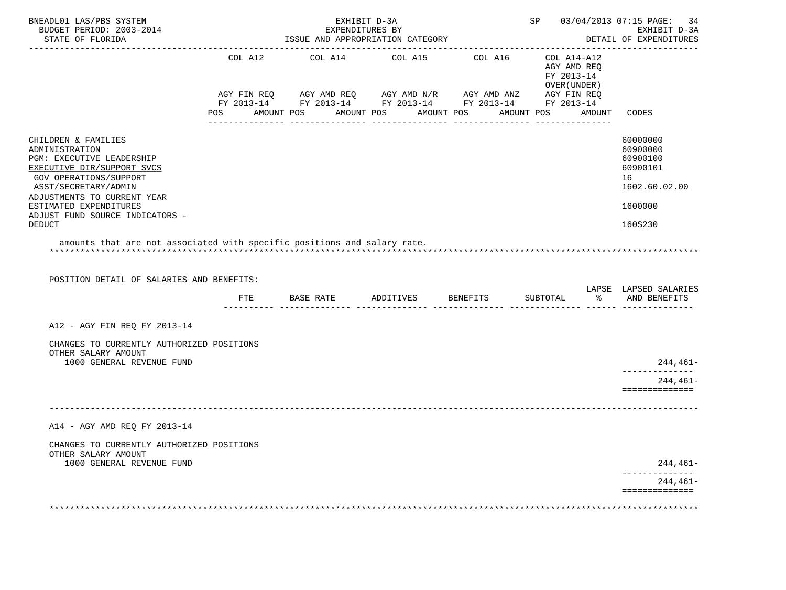| BNEADL01 LAS/PBS SYSTEM<br>BUDGET PERIOD: 2003-2014<br>STATE OF FLORIDA                                                                                                                                                                                         |     | EXHIBIT D-3A<br>EXPENDITURES BY<br>ISSUE AND APPROPRIATION CATEGORY |                                                                                                                       |                                                                 | SP 03/04/2013 07:15 PAGE:<br>34<br>EXHIBIT D-3A<br>DETAIL OF EXPENDITURES                 |
|-----------------------------------------------------------------------------------------------------------------------------------------------------------------------------------------------------------------------------------------------------------------|-----|---------------------------------------------------------------------|-----------------------------------------------------------------------------------------------------------------------|-----------------------------------------------------------------|-------------------------------------------------------------------------------------------|
|                                                                                                                                                                                                                                                                 |     | POS AMOUNT POS AMOUNT POS AMOUNT POS                                | AGY FIN REQ AGY AMD REQ AGY AMD N/R AGY AMD ANZ AGY FIN REQ<br>FY 2013-14 FY 2013-14 FY 2013-14 FY 2013-14 FY 2013-14 | AGY AMD REO<br>FY 2013-14<br>OVER (UNDER )<br>AMOUNT POS AMOUNT | CODES                                                                                     |
| CHILDREN & FAMILIES<br>ADMINISTRATION<br>PGM: EXECUTIVE LEADERSHIP<br>EXECUTIVE DIR/SUPPORT SVCS<br>GOV OPERATIONS/SUPPORT<br>ASST/SECRETARY/ADMIN<br>ADJUSTMENTS TO CURRENT YEAR<br>ESTIMATED EXPENDITURES<br>ADJUST FUND SOURCE INDICATORS -<br><b>DEDUCT</b> |     |                                                                     |                                                                                                                       |                                                                 | 60000000<br>60900000<br>60900100<br>60900101<br>16<br>1602.60.02.00<br>1600000<br>160S230 |
| amounts that are not associated with specific positions and salary rate.                                                                                                                                                                                        |     |                                                                     |                                                                                                                       |                                                                 |                                                                                           |
| POSITION DETAIL OF SALARIES AND BENEFITS:                                                                                                                                                                                                                       | FTE | BASE RATE ADDITIVES BENEFITS                                        |                                                                                                                       |                                                                 | LAPSE LAPSED SALARIES<br>SUBTOTAL % AND BENEFITS                                          |
| A12 - AGY FIN REQ FY 2013-14                                                                                                                                                                                                                                    |     |                                                                     |                                                                                                                       |                                                                 |                                                                                           |
| CHANGES TO CURRENTLY AUTHORIZED POSITIONS<br>OTHER SALARY AMOUNT                                                                                                                                                                                                |     |                                                                     |                                                                                                                       |                                                                 |                                                                                           |
| 1000 GENERAL REVENUE FUND                                                                                                                                                                                                                                       |     |                                                                     |                                                                                                                       |                                                                 | 244,461-<br>--------------                                                                |
|                                                                                                                                                                                                                                                                 |     |                                                                     |                                                                                                                       |                                                                 | 244,461-<br>==============                                                                |
|                                                                                                                                                                                                                                                                 |     |                                                                     |                                                                                                                       |                                                                 |                                                                                           |
| A14 - AGY AMD REQ FY 2013-14                                                                                                                                                                                                                                    |     |                                                                     |                                                                                                                       |                                                                 |                                                                                           |
| CHANGES TO CURRENTLY AUTHORIZED POSITIONS<br>OTHER SALARY AMOUNT                                                                                                                                                                                                |     |                                                                     |                                                                                                                       |                                                                 |                                                                                           |
| 1000 GENERAL REVENUE FUND                                                                                                                                                                                                                                       |     |                                                                     |                                                                                                                       |                                                                 | 244,461-                                                                                  |
|                                                                                                                                                                                                                                                                 |     |                                                                     |                                                                                                                       |                                                                 | $244.461-$<br>==============                                                              |
|                                                                                                                                                                                                                                                                 |     |                                                                     |                                                                                                                       |                                                                 |                                                                                           |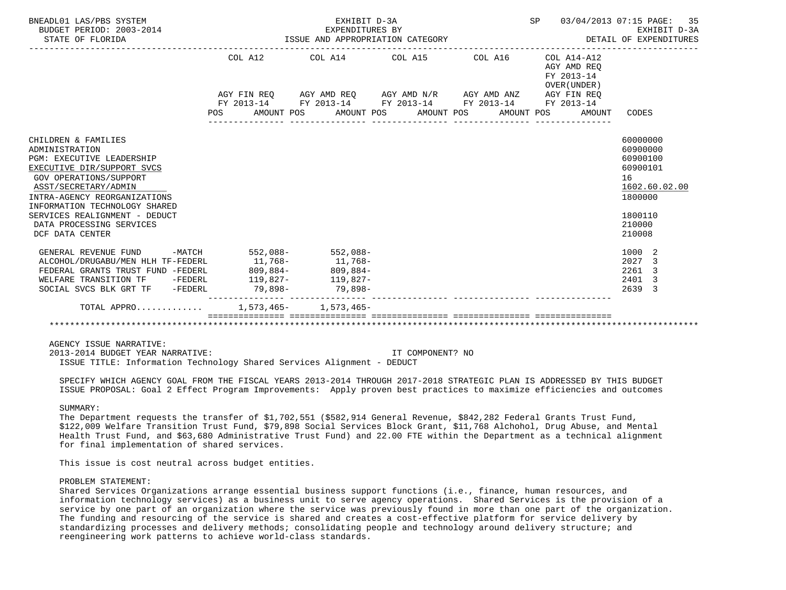| BNEADL01 LAS/PBS SYSTEM<br>BUDGET PERIOD: 2003-2014<br>STATE OF FLORIDA                                                                                                                                                                                                                                    |                                        | EXHIBIT D-3A<br>EXPENDITURES BY<br>ISSUE AND APPROPRIATION CATEGORY                     |                                                                                                                                                                           | SP<br>03/04/2013 07:15 PAGE: | 35<br>EXHIBIT D-3A<br>DETAIL OF EXPENDITURES                          |                                                                                                               |
|------------------------------------------------------------------------------------------------------------------------------------------------------------------------------------------------------------------------------------------------------------------------------------------------------------|----------------------------------------|-----------------------------------------------------------------------------------------|---------------------------------------------------------------------------------------------------------------------------------------------------------------------------|------------------------------|-----------------------------------------------------------------------|---------------------------------------------------------------------------------------------------------------|
|                                                                                                                                                                                                                                                                                                            | COL A12<br>POS<br>AMOUNT POS           |                                                                                         | COL A14 COL A15 COL A16<br>AGY FIN REQ AGY AMD REQ AGY AMD N/R AGY AMD ANZ AGY FIN REQ<br>FY 2013-14 FY 2013-14 FY 2013-14 FY 2013-14 FY 2013-14<br>AMOUNT POS AMOUNT POS | AMOUNT POS                   | $COL A14- A12$<br>AGY AMD REO<br>FY 2013-14<br>OVER (UNDER)<br>AMOUNT | CODES                                                                                                         |
| CHILDREN & FAMILIES<br>ADMINISTRATION<br><b>PGM: EXECUTIVE LEADERSHIP</b><br>EXECUTIVE DIR/SUPPORT SVCS<br>GOV OPERATIONS/SUPPORT<br>ASST/SECRETARY/ADMIN<br>INTRA-AGENCY REORGANIZATIONS<br>INFORMATION TECHNOLOGY SHARED<br>SERVICES REALIGNMENT - DEDUCT<br>DATA PROCESSING SERVICES<br>DCF DATA CENTER |                                        |                                                                                         |                                                                                                                                                                           |                              |                                                                       | 60000000<br>60900000<br>60900100<br>60900101<br>16<br>1602.60.02.00<br>1800000<br>1800110<br>210000<br>210008 |
| GENERAL REVENUE FUND<br>ALCOHOL/DRUGABU/MEN HLH TF-FEDERL<br>FEDERAL GRANTS TRUST FUND -FEDERL<br>WELFARE TRANSITION TF -FEDERL<br>SOCIAL SVCS BLK GRT TF -FEDERL<br>TOTAL APPRO                                                                                                                           | -MATCH 552,088- 552,088-<br>$809,884-$ | $11.768 - 11.768 -$<br>$809,884-$<br>$119,827 - 119,827 -$<br>$1.573.465 - 1.573.465 -$ |                                                                                                                                                                           |                              |                                                                       | 1000<br>-2<br>2027<br>3<br>2261<br>3<br>2401<br>3<br>2639<br>3                                                |
|                                                                                                                                                                                                                                                                                                            |                                        |                                                                                         |                                                                                                                                                                           |                              |                                                                       |                                                                                                               |

AGENCY ISSUE NARRATIVE:

 2013-2014 BUDGET YEAR NARRATIVE: IT COMPONENT? NO ISSUE TITLE: Information Technology Shared Services Alignment - DEDUCT

 SPECIFY WHICH AGENCY GOAL FROM THE FISCAL YEARS 2013-2014 THROUGH 2017-2018 STRATEGIC PLAN IS ADDRESSED BY THIS BUDGET ISSUE PROPOSAL: Goal 2 Effect Program Improvements: Apply proven best practices to maximize efficiencies and outcomes

## SUMMARY:

 The Department requests the transfer of \$1,702,551 (\$582,914 General Revenue, \$842,282 Federal Grants Trust Fund, \$122,009 Welfare Transition Trust Fund, \$79,898 Social Services Block Grant, \$11,768 Alchohol, Drug Abuse, and Mental Health Trust Fund, and \$63,680 Administrative Trust Fund) and 22.00 FTE within the Department as a technical alignment for final implementation of shared services.

This issue is cost neutral across budget entities.

## PROBLEM STATEMENT:

 Shared Services Organizations arrange essential business support functions (i.e., finance, human resources, and information technology services) as a business unit to serve agency operations. Shared Services is the provision of a service by one part of an organization where the service was previously found in more than one part of the organization. The funding and resourcing of the service is shared and creates a cost-effective platform for service delivery by standardizing processes and delivery methods; consolidating people and technology around delivery structure; and reengineering work patterns to achieve world-class standards.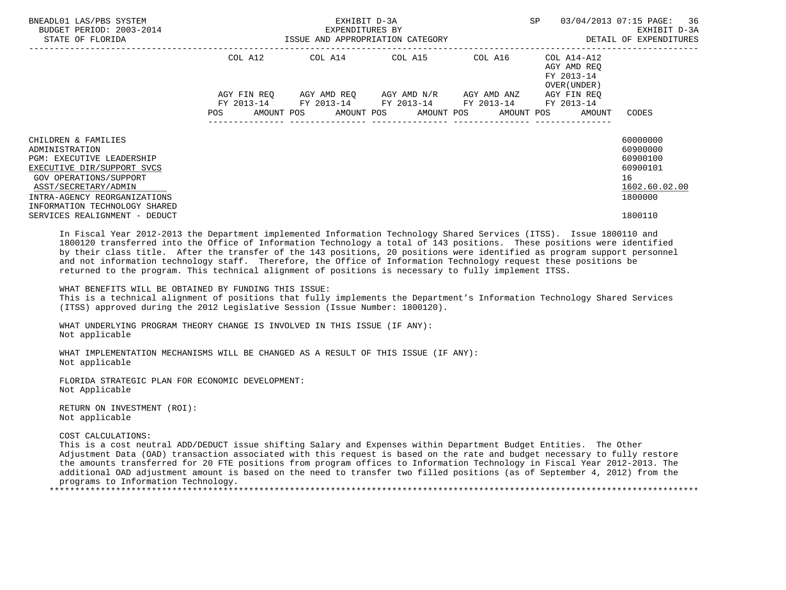| BNEADL01 LAS/PBS SYSTEM<br>BUDGET PERIOD: 2003-2014<br>STATE OF FLORIDA                                                                                                                                             | EXHIBIT D-3A<br>EXPENDITURES BY<br>ISSUE AND APPROPRIATION CATEGORY |  |                                                                                                       |  | <b>SP</b><br>-------------------------------                      | 03/04/2013 07:15 PAGE: 36<br>EXHIBIT D-3A<br>DETAIL OF EXPENDITURES            |
|---------------------------------------------------------------------------------------------------------------------------------------------------------------------------------------------------------------------|---------------------------------------------------------------------|--|-------------------------------------------------------------------------------------------------------|--|-------------------------------------------------------------------|--------------------------------------------------------------------------------|
|                                                                                                                                                                                                                     | COL A12                                                             |  | COL A14 COL A15 COL A16                                                                               |  | COL A14-A12<br>AGY AMD REQ<br>FY 2013-14<br>OVER (UNDER)          |                                                                                |
|                                                                                                                                                                                                                     | AGY FIN REO<br><b>POS</b>                                           |  | AGY AMD REO     AGY AMD N/R     AGY AMD ANZ<br>FY 2013-14 FY 2013-14 FY 2013-14 FY 2013-14 FY 2013-14 |  | AGY FIN REO<br>AMOUNT POS AMOUNT POS AMOUNT POS AMOUNT POS AMOUNT | CODES                                                                          |
| CHILDREN & FAMILIES<br>ADMINISTRATION<br>PGM: EXECUTIVE LEADERSHIP<br>EXECUTIVE DIR/SUPPORT SVCS<br>GOV OPERATIONS/SUPPORT<br>ASST/SECRETARY/ADMIN<br>INTRA-AGENCY REORGANIZATIONS<br>INFORMATION TECHNOLOGY SHARED |                                                                     |  |                                                                                                       |  |                                                                   | 60000000<br>60900000<br>60900100<br>60900101<br>16<br>1602.60.02.00<br>1800000 |
| SERVICES REALIGNMENT - DEDUCT                                                                                                                                                                                       |                                                                     |  |                                                                                                       |  |                                                                   | 1800110                                                                        |

 In Fiscal Year 2012-2013 the Department implemented Information Technology Shared Services (ITSS). Issue 1800110 and 1800120 transferred into the Office of Information Technology a total of 143 positions. These positions were identified by their class title. After the transfer of the 143 positions, 20 positions were identified as program support personnel and not information technology staff. Therefore, the Office of Information Technology request these positions be returned to the program. This technical alignment of positions is necessary to fully implement ITSS.

WHAT BENEFITS WILL BE OBTAINED BY FUNDING THIS ISSUE:

 This is a technical alignment of positions that fully implements the Department's Information Technology Shared Services (ITSS) approved during the 2012 Legislative Session (Issue Number: 1800120).

 WHAT UNDERLYING PROGRAM THEORY CHANGE IS INVOLVED IN THIS ISSUE (IF ANY): Not applicable

 WHAT IMPLEMENTATION MECHANISMS WILL BE CHANGED AS A RESULT OF THIS ISSUE (IF ANY): Not applicable

 FLORIDA STRATEGIC PLAN FOR ECONOMIC DEVELOPMENT: Not Applicable

 RETURN ON INVESTMENT (ROI): Not applicable

### COST CALCULATIONS:

 This is a cost neutral ADD/DEDUCT issue shifting Salary and Expenses within Department Budget Entities. The Other Adjustment Data (OAD) transaction associated with this request is based on the rate and budget necessary to fully restore the amounts transferred for 20 FTE positions from program offices to Information Technology in Fiscal Year 2012-2013. The additional OAD adjustment amount is based on the need to transfer two filled positions (as of September 4, 2012) from the programs to Information Technology. \*\*\*\*\*\*\*\*\*\*\*\*\*\*\*\*\*\*\*\*\*\*\*\*\*\*\*\*\*\*\*\*\*\*\*\*\*\*\*\*\*\*\*\*\*\*\*\*\*\*\*\*\*\*\*\*\*\*\*\*\*\*\*\*\*\*\*\*\*\*\*\*\*\*\*\*\*\*\*\*\*\*\*\*\*\*\*\*\*\*\*\*\*\*\*\*\*\*\*\*\*\*\*\*\*\*\*\*\*\*\*\*\*\*\*\*\*\*\*\*\*\*\*\*\*\*\*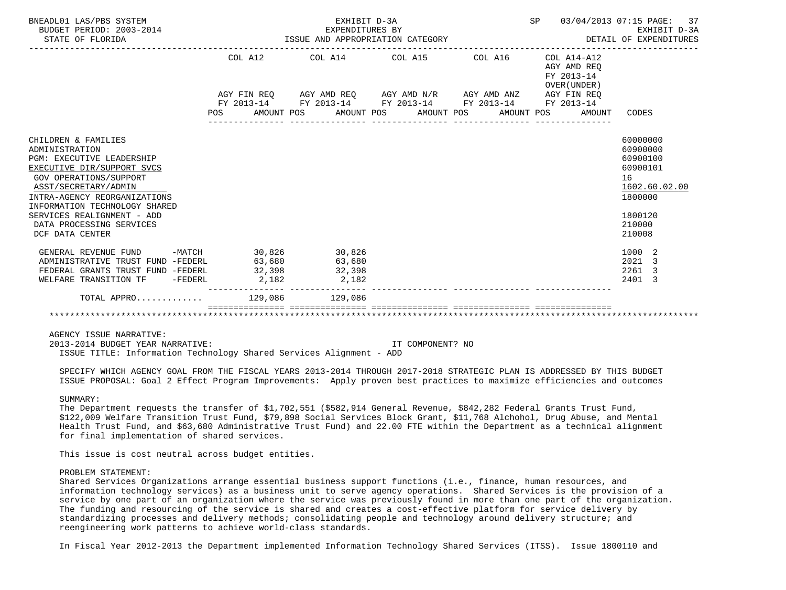| BNEADL01 LAS/PBS SYSTEM<br>BUDGET PERIOD: 2003-2014<br>STATE OF FLORIDA                                                                                                                                                                                                                                        | EXHIBIT D-3A<br>EXPENDITURES BY<br>EXPENDITURES BY<br>ISSUE AND APPROPRIATION CATEGORY |                                                                                                           |  |  | SP 03/04/2013 07:15 PAGE:                                 | 37<br>EXHIBIT D-3A<br>DETAIL OF EXPENDITURES                                                                  |
|----------------------------------------------------------------------------------------------------------------------------------------------------------------------------------------------------------------------------------------------------------------------------------------------------------------|----------------------------------------------------------------------------------------|-----------------------------------------------------------------------------------------------------------|--|--|-----------------------------------------------------------|---------------------------------------------------------------------------------------------------------------|
|                                                                                                                                                                                                                                                                                                                |                                                                                        | COL A12 COL A14 COL A15 COL A16                                                                           |  |  | COL A14-A12<br>AGY AMD REO<br>FY 2013-14<br>OVER (UNDER ) |                                                                                                               |
|                                                                                                                                                                                                                                                                                                                |                                                                                        | AGY FIN REQ AGY AMD REQ AGY AMD N/R AGY AMD ANZ AGY FIN REQ                                               |  |  |                                                           |                                                                                                               |
|                                                                                                                                                                                                                                                                                                                |                                                                                        | FY 2013-14 FY 2013-14 FY 2013-14 FY 2013-14 FY 2013-14<br>POS AMOUNT POS AMOUNT POS AMOUNT POS AMOUNT POS |  |  | AMOUNT                                                    | CODES                                                                                                         |
| CHILDREN & FAMILIES<br>ADMINISTRATION<br><b>PGM: EXECUTIVE LEADERSHIP</b><br>EXECUTIVE DIR/SUPPORT SVCS<br><b>GOV OPERATIONS/SUPPORT</b><br>ASST/SECRETARY/ADMIN<br>INTRA-AGENCY REORGANIZATIONS<br>INFORMATION TECHNOLOGY SHARED<br>SERVICES REALIGNMENT - ADD<br>DATA PROCESSING SERVICES<br>DCF DATA CENTER |                                                                                        |                                                                                                           |  |  |                                                           | 60000000<br>60900000<br>60900100<br>60900101<br>16<br>1602.60.02.00<br>1800000<br>1800120<br>210000<br>210008 |
| GENERAL REVENUE FUND -MATCH 30,826 30,826<br>ADMINISTRATIVE TRUST FUND -FEDERL<br>FEDERAL GRANTS TRUST FUND -FEDERL                                                                                                                                                                                            | 63,680<br>32,398                                                                       | 63,680<br>32,398                                                                                          |  |  |                                                           | 1000 2<br>2021 3<br>2261<br>-3                                                                                |
| WELFARE TRANSITION TF -FEDERL                                                                                                                                                                                                                                                                                  | 2,182                                                                                  | 2,182                                                                                                     |  |  |                                                           | 2401 3                                                                                                        |
| TOTAL APPRO 129,086 129,086                                                                                                                                                                                                                                                                                    |                                                                                        |                                                                                                           |  |  |                                                           |                                                                                                               |
|                                                                                                                                                                                                                                                                                                                |                                                                                        |                                                                                                           |  |  |                                                           |                                                                                                               |

AGENCY ISSUE NARRATIVE:

 2013-2014 BUDGET YEAR NARRATIVE: IT COMPONENT? NO ISSUE TITLE: Information Technology Shared Services Alignment - ADD

 SPECIFY WHICH AGENCY GOAL FROM THE FISCAL YEARS 2013-2014 THROUGH 2017-2018 STRATEGIC PLAN IS ADDRESSED BY THIS BUDGET ISSUE PROPOSAL: Goal 2 Effect Program Improvements: Apply proven best practices to maximize efficiencies and outcomes

### SUMMARY:

 The Department requests the transfer of \$1,702,551 (\$582,914 General Revenue, \$842,282 Federal Grants Trust Fund, \$122,009 Welfare Transition Trust Fund, \$79,898 Social Services Block Grant, \$11,768 Alchohol, Drug Abuse, and Mental Health Trust Fund, and \$63,680 Administrative Trust Fund) and 22.00 FTE within the Department as a technical alignment for final implementation of shared services.

This issue is cost neutral across budget entities.

### PROBLEM STATEMENT:

 Shared Services Organizations arrange essential business support functions (i.e., finance, human resources, and information technology services) as a business unit to serve agency operations. Shared Services is the provision of a service by one part of an organization where the service was previously found in more than one part of the organization. The funding and resourcing of the service is shared and creates a cost-effective platform for service delivery by standardizing processes and delivery methods; consolidating people and technology around delivery structure; and reengineering work patterns to achieve world-class standards.

In Fiscal Year 2012-2013 the Department implemented Information Technology Shared Services (ITSS). Issue 1800110 and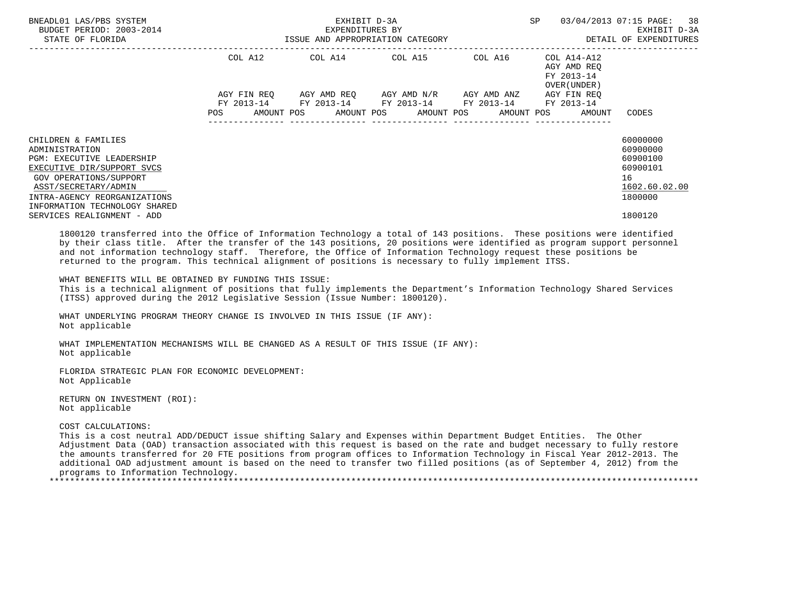| BNEADL01 LAS/PBS SYSTEM<br>BUDGET PERIOD: 2003-2014<br>STATE OF FLORIDA                                                                                                                                                                           | EXHIBIT D-3A<br>EXPENDITURES BY<br>ISSUE AND APPROPRIATION CATEGORY |                                                                                            |                                     |         | SP                                                       | 03/04/2013 07:15 PAGE: 38<br>EXHIBIT D-3A<br>DETAIL OF EXPENDITURES                       |
|---------------------------------------------------------------------------------------------------------------------------------------------------------------------------------------------------------------------------------------------------|---------------------------------------------------------------------|--------------------------------------------------------------------------------------------|-------------------------------------|---------|----------------------------------------------------------|-------------------------------------------------------------------------------------------|
|                                                                                                                                                                                                                                                   | COL A12                                                             |                                                                                            | COL A14 COL A15                     | COL A16 | COL A14-A12<br>AGY AMD REO<br>FY 2013-14<br>OVER (UNDER) |                                                                                           |
|                                                                                                                                                                                                                                                   | AGY FIN REO<br><b>POS</b>                                           | FY 2013-14 FY 2013-14 FY 2013-14 FY 2013-14<br>AMOUNT POS AMOUNT POS AMOUNT POS AMOUNT POS | AGY AMD REO AGY AMD N/R AGY AMD ANZ |         | AGY FIN REO<br>FY 2013-14<br>AMOUNT                      | CODES                                                                                     |
| CHILDREN & FAMILIES<br>ADMINISTRATION<br>PGM: EXECUTIVE LEADERSHIP<br>EXECUTIVE DIR/SUPPORT SVCS<br>GOV OPERATIONS/SUPPORT<br>ASST/SECRETARY/ADMIN<br>INTRA-AGENCY REORGANIZATIONS<br>INFORMATION TECHNOLOGY SHARED<br>SERVICES REALIGNMENT - ADD |                                                                     |                                                                                            |                                     |         |                                                          | 60000000<br>60900000<br>60900100<br>60900101<br>16<br>1602.60.02.00<br>1800000<br>1800120 |
| $\overline{a}$ , and a set of the set of the set of the set of the set of the set of the set of the set of the set of the set of the set of the set of the set of the set of the set of the set of the set of the set of the set of               |                                                                     |                                                                                            |                                     |         | the contract of the contract of the contract of          | .                                                                                         |

 1800120 transferred into the Office of Information Technology a total of 143 positions. These positions were identified by their class title. After the transfer of the 143 positions, 20 positions were identified as program support personnel and not information technology staff. Therefore, the Office of Information Technology request these positions be returned to the program. This technical alignment of positions is necessary to fully implement ITSS.

WHAT BENEFITS WILL BE OBTAINED BY FUNDING THIS ISSUE:

 This is a technical alignment of positions that fully implements the Department's Information Technology Shared Services (ITSS) approved during the 2012 Legislative Session (Issue Number: 1800120).

 WHAT UNDERLYING PROGRAM THEORY CHANGE IS INVOLVED IN THIS ISSUE (IF ANY): Not applicable

 WHAT IMPLEMENTATION MECHANISMS WILL BE CHANGED AS A RESULT OF THIS ISSUE (IF ANY): Not applicable

 FLORIDA STRATEGIC PLAN FOR ECONOMIC DEVELOPMENT: Not Applicable

 RETURN ON INVESTMENT (ROI): Not applicable

#### COST CALCULATIONS:

 This is a cost neutral ADD/DEDUCT issue shifting Salary and Expenses within Department Budget Entities. The Other Adjustment Data (OAD) transaction associated with this request is based on the rate and budget necessary to fully restore the amounts transferred for 20 FTE positions from program offices to Information Technology in Fiscal Year 2012-2013. The additional OAD adjustment amount is based on the need to transfer two filled positions (as of September 4, 2012) from the programs to Information Technology.

\*\*\*\*\*\*\*\*\*\*\*\*\*\*\*\*\*\*\*\*\*\*\*\*\*\*\*\*\*\*\*\*\*\*\*\*\*\*\*\*\*\*\*\*\*\*\*\*\*\*\*\*\*\*\*\*\*\*\*\*\*\*\*\*\*\*\*\*\*\*\*\*\*\*\*\*\*\*\*\*\*\*\*\*\*\*\*\*\*\*\*\*\*\*\*\*\*\*\*\*\*\*\*\*\*\*\*\*\*\*\*\*\*\*\*\*\*\*\*\*\*\*\*\*\*\*\*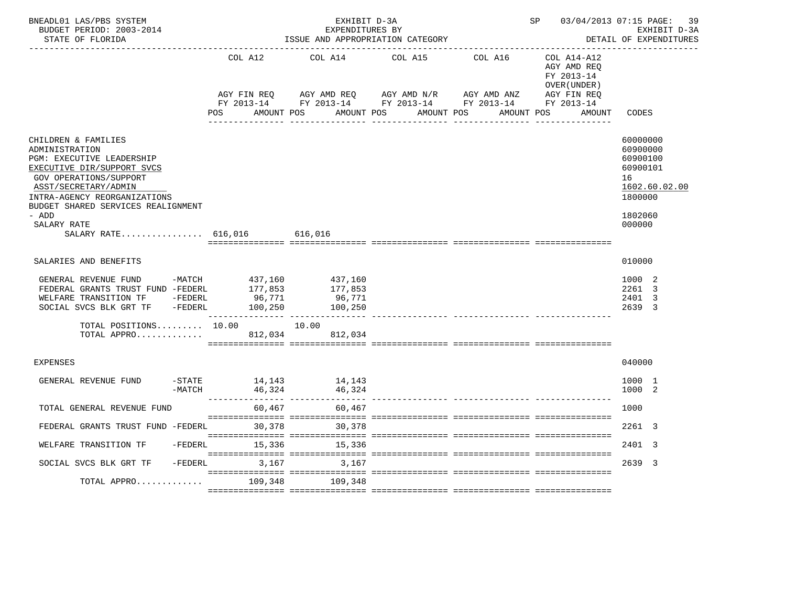| BNEADL01 LAS/PBS SYSTEM<br>BUDGET PERIOD: 2003-2014<br>STATE OF FLORIDA                                                                                                                                                                          |                         | EXHIBIT D-3A<br>EXPENDITURES BY                 | ISSUE AND APPROPRIATION CATEGORY                                                                                                                                                         | SP 03/04/2013 07:15 PAGE:                                 | 39<br>EXHIBIT D-3A<br>DETAIL OF EXPENDITURES                                                        |
|--------------------------------------------------------------------------------------------------------------------------------------------------------------------------------------------------------------------------------------------------|-------------------------|-------------------------------------------------|------------------------------------------------------------------------------------------------------------------------------------------------------------------------------------------|-----------------------------------------------------------|-----------------------------------------------------------------------------------------------------|
|                                                                                                                                                                                                                                                  | COL A12                 | COL A14                                         | COL A15<br>COL A16                                                                                                                                                                       | COL A14-A12<br>AGY AMD REQ<br>FY 2013-14<br>OVER (UNDER ) |                                                                                                     |
|                                                                                                                                                                                                                                                  | POS                     | AMOUNT POS<br>AMOUNT POS                        | AGY FIN REQ       AGY AMD REQ       AGY AMD N/R       AGY AMD ANZ        AGY FIN REQ<br>FY 2013-14         FY 2013-14       FY 2013-14        FY 2013-14        FY 2013-14<br>AMOUNT POS | AGY FIN REQ<br>AMOUNT POS<br>AMOUNT                       | CODES                                                                                               |
|                                                                                                                                                                                                                                                  |                         |                                                 | <u>. Bergeraal bergera</u>                                                                                                                                                               |                                                           |                                                                                                     |
| CHILDREN & FAMILIES<br>ADMINISTRATION<br>PGM: EXECUTIVE LEADERSHIP<br>EXECUTIVE DIR/SUPPORT SVCS<br>GOV OPERATIONS/SUPPORT<br>ASST/SECRETARY/ADMIN<br>INTRA-AGENCY REORGANIZATIONS<br>BUDGET SHARED SERVICES REALIGNMENT<br>- ADD<br>SALARY RATE |                         |                                                 |                                                                                                                                                                                          |                                                           | 60000000<br>60900000<br>60900100<br>60900101<br>16<br>1602.60.02.00<br>1800000<br>1802060<br>000000 |
| SALARY RATE $616,016$                                                                                                                                                                                                                            |                         | 616,016                                         |                                                                                                                                                                                          |                                                           |                                                                                                     |
| SALARIES AND BENEFITS                                                                                                                                                                                                                            |                         |                                                 |                                                                                                                                                                                          |                                                           | 010000                                                                                              |
| GENERAL REVENUE FUND -MATCH 437,160<br>FEDERAL GRANTS TRUST FUND -FEDERL 177,853<br>WELFARE TRANSITION TF -FEDERL<br>SOCIAL SVCS BLK GRT TF -FEDERL                                                                                              | 96,771                  | 437,160<br>177,853<br>96,771<br>100,250 100,250 |                                                                                                                                                                                          |                                                           | 1000 2<br>2261 3<br>2401 3<br>2639 3                                                                |
| TOTAL POSITIONS $10.00$ $10.00$<br>TOTAL APPRO                                                                                                                                                                                                   | 812,034                 | 812,034                                         |                                                                                                                                                                                          |                                                           |                                                                                                     |
|                                                                                                                                                                                                                                                  |                         |                                                 |                                                                                                                                                                                          |                                                           |                                                                                                     |
| <b>EXPENSES</b>                                                                                                                                                                                                                                  |                         |                                                 |                                                                                                                                                                                          |                                                           | 040000                                                                                              |
| GENERAL REVENUE FUND<br>-MATCH                                                                                                                                                                                                                   | -STATE 14,143<br>46,324 | 14,143<br>46,324                                |                                                                                                                                                                                          |                                                           | 1000 1<br>1000 2                                                                                    |
| TOTAL GENERAL REVENUE FUND                                                                                                                                                                                                                       | 60,467                  | 60,467                                          |                                                                                                                                                                                          |                                                           | 1000                                                                                                |
| FEDERAL GRANTS TRUST FUND -FEDERL                                                                                                                                                                                                                | 30,378                  | 30,378                                          |                                                                                                                                                                                          |                                                           | 2261 3                                                                                              |
| WELFARE TRANSITION TF<br>-FEDERL                                                                                                                                                                                                                 | 15,336                  | 15,336                                          |                                                                                                                                                                                          |                                                           | 2401 3                                                                                              |
| $-FEDERL$<br>SOCIAL SVCS BLK GRT TF                                                                                                                                                                                                              | 3,167                   | 3,167                                           |                                                                                                                                                                                          |                                                           | 2639 3                                                                                              |
| TOTAL APPRO                                                                                                                                                                                                                                      | 109,348                 | 109,348                                         |                                                                                                                                                                                          |                                                           |                                                                                                     |
|                                                                                                                                                                                                                                                  |                         |                                                 |                                                                                                                                                                                          |                                                           |                                                                                                     |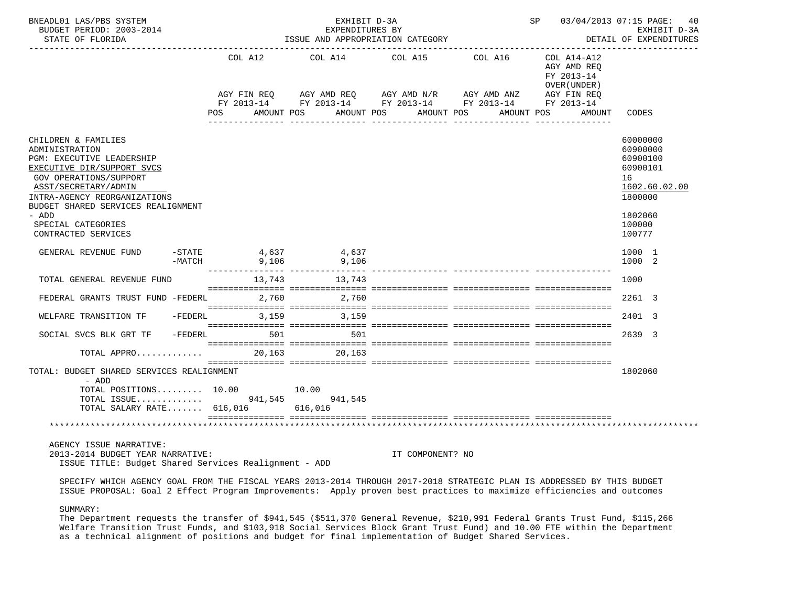| BNEADL01 LAS/PBS SYSTEM<br>BUDGET PERIOD: 2003-2014<br>STATE OF FLORIDA                                                                                                                                                                                                                                         |                                                     | EXHIBIT D-3A    | EXPENDITURES BY<br>ISSUE AND APPROPRIATION CATEGORY                                                                                              |                                                          | SP 03/04/2013 07:15 PAGE: 40<br>EXHIBIT D-3A<br>DETAIL OF EXPENDITURES                                        |
|-----------------------------------------------------------------------------------------------------------------------------------------------------------------------------------------------------------------------------------------------------------------------------------------------------------------|-----------------------------------------------------|-----------------|--------------------------------------------------------------------------------------------------------------------------------------------------|----------------------------------------------------------|---------------------------------------------------------------------------------------------------------------|
|                                                                                                                                                                                                                                                                                                                 | COL A12                                             |                 | COL A14 COL A15 COL A16<br>AGY FIN REQ AGY AMD REQ AGY AMD N/R AGY AMD ANZ AGY FIN REQ<br>FY 2013-14 FY 2013-14 FY 2013-14 FY 2013-14 FY 2013-14 | COL A14-A12<br>AGY AMD REQ<br>FY 2013-14<br>OVER (UNDER) |                                                                                                               |
|                                                                                                                                                                                                                                                                                                                 | <b>POS</b>                                          |                 | AMOUNT POS AMOUNT POS AMOUNT POS                                                                                                                 | AMOUNT POS<br>AMOUNT                                     | CODES                                                                                                         |
| CHILDREN & FAMILIES<br>ADMINISTRATION<br>PGM: EXECUTIVE LEADERSHIP<br>EXECUTIVE DIR/SUPPORT SVCS<br>GOV OPERATIONS/SUPPORT<br>ASST/SECRETARY/ADMIN<br>INTRA-AGENCY REORGANIZATIONS<br>BUDGET SHARED SERVICES REALIGNMENT<br>- ADD<br>SPECIAL CATEGORIES<br>CONTRACTED SERVICES                                  |                                                     |                 |                                                                                                                                                  |                                                          | 60000000<br>60900000<br>60900100<br>60900101<br>16<br>1602.60.02.00<br>1800000<br>1802060<br>100000<br>100777 |
| GENERAL REVENUE FUND                                                                                                                                                                                                                                                                                            | 37, 4 G37 = 77ATE<br>-MATCH = 9,106 = 9,106 = 9,106 |                 |                                                                                                                                                  |                                                          | 1000 1<br>1000 2                                                                                              |
| TOTAL GENERAL REVENUE FUND                                                                                                                                                                                                                                                                                      | 13,743 13,743                                       |                 |                                                                                                                                                  |                                                          | 1000                                                                                                          |
| FEDERAL GRANTS TRUST FUND -FEDERL                                                                                                                                                                                                                                                                               |                                                     | 2,760 2,760     |                                                                                                                                                  |                                                          | 2261 3                                                                                                        |
| WELFARE TRANSITION TF -FEDERL 3,159 3,159                                                                                                                                                                                                                                                                       |                                                     |                 |                                                                                                                                                  |                                                          | 2401 3                                                                                                        |
| SOCIAL SVCS BLK GRT TF                                                                                                                                                                                                                                                                                          | $-FEDERL$                                           | 501 700<br>501  |                                                                                                                                                  |                                                          | 2639 3                                                                                                        |
| TOTAL APPRO                                                                                                                                                                                                                                                                                                     |                                                     | 20, 163 20, 163 |                                                                                                                                                  |                                                          |                                                                                                               |
| TOTAL: BUDGET SHARED SERVICES REALIGNMENT<br>- ADD<br>TOTAL POSITIONS $10.00$                                                                                                                                                                                                                                   |                                                     | 10.00           |                                                                                                                                                  |                                                          | 1802060                                                                                                       |
| TOTAL ISSUE 941,545 941,545<br>TOTAL SALARY RATE 616,016 616,016                                                                                                                                                                                                                                                |                                                     |                 |                                                                                                                                                  |                                                          |                                                                                                               |
|                                                                                                                                                                                                                                                                                                                 |                                                     |                 |                                                                                                                                                  |                                                          |                                                                                                               |
| AGENCY ISSUE NARRATIVE:<br>2013-2014 BUDGET YEAR NARRATIVE:<br>ISSUE TITLE: Budget Shared Services Realignment - ADD<br>$0.010$ $0.010$ $0.010$ $0.011$ $0.011$ $0.011$ $0.010$ $0.011$ $0.010$ $0.010$ $0.010$ $0.010$ $0.010$ $0.010$ $0.010$ $0.010$ $0.010$ $0.010$ $0.010$ $0.010$ $0.010$ $0.010$ $0.010$ |                                                     |                 | IT COMPONENT? NO                                                                                                                                 |                                                          |                                                                                                               |

 SPECIFY WHICH AGENCY GOAL FROM THE FISCAL YEARS 2013-2014 THROUGH 2017-2018 STRATEGIC PLAN IS ADDRESSED BY THIS BUDGET ISSUE PROPOSAL: Goal 2 Effect Program Improvements: Apply proven best practices to maximize efficiencies and outcomes

# SUMMARY:

 The Department requests the transfer of \$941,545 (\$511,370 General Revenue, \$210,991 Federal Grants Trust Fund, \$115,266 Welfare Transition Trust Funds, and \$103,918 Social Services Block Grant Trust Fund) and 10.00 FTE within the Department as a technical alignment of positions and budget for final implementation of Budget Shared Services.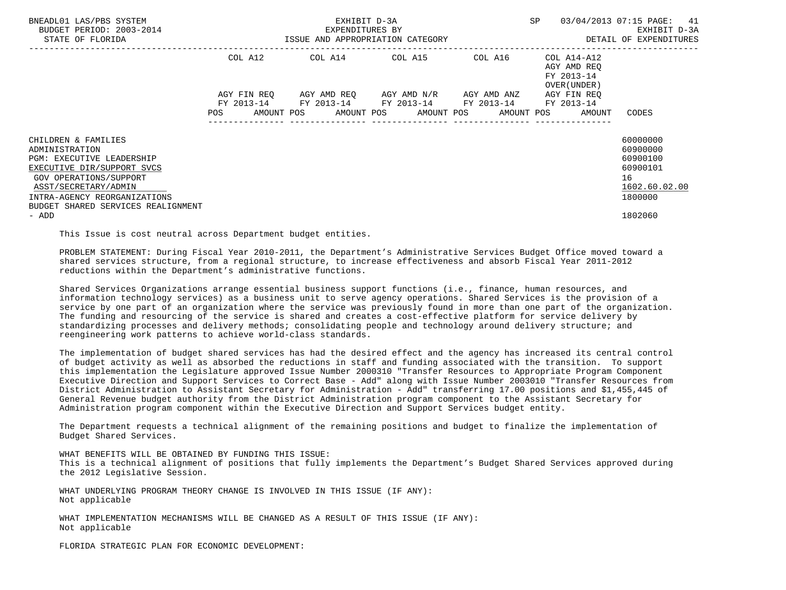| BNEADL01 LAS/PBS SYSTEM<br>BUDGET PERIOD: 2003-2014<br>STATE OF FLORIDA | EXHIBIT D-3A<br>EXPENDITURES BY<br>ISSUE AND APPROPRIATION CATEGORY |                                                                                                           |  |  | SP                                                           | 03/04/2013 07:15 PAGE: 41<br>EXHIBIT D-3A<br>DETAIL OF EXPENDITURES |
|-------------------------------------------------------------------------|---------------------------------------------------------------------|-----------------------------------------------------------------------------------------------------------|--|--|--------------------------------------------------------------|---------------------------------------------------------------------|
|                                                                         | COL A12                                                             | COL A14 COL A15 COL A16                                                                                   |  |  | COL A14-A12<br>AGY AMD REO<br>FY 2013-14<br>OVER (UNDER)     |                                                                     |
|                                                                         |                                                                     | AGY FIN REQ AGY AMD REQ AGY AMD N/R AGY AMD ANZ<br>FY 2013-14 FY 2013-14 FY 2013-14 FY 2013-14 FY 2013-14 |  |  | AGY FIN REO                                                  |                                                                     |
|                                                                         |                                                                     |                                                                                                           |  |  | POS AMOUNT POS AMOUNT POS AMOUNT POS AMOUNT POS AMOUNT CODES |                                                                     |
| CHILDREN & FAMILIES                                                     |                                                                     |                                                                                                           |  |  |                                                              | 60000000                                                            |
| ADMINISTRATION<br><b>PGM: EXECUTIVE LEADERSHIP</b>                      |                                                                     |                                                                                                           |  |  |                                                              | 60900000<br>60900100                                                |
| EXECUTIVE DIR/SUPPORT SVCS                                              |                                                                     |                                                                                                           |  |  |                                                              | 60900101                                                            |
| <b>GOV OPERATIONS/SUPPORT</b>                                           |                                                                     |                                                                                                           |  |  |                                                              | 16                                                                  |
| ASST/SECRETARY/ADMIN<br>INTRA-AGENCY REORGANIZATIONS                    |                                                                     |                                                                                                           |  |  |                                                              | 1602.60.02.00<br>1800000                                            |
| BUDGET SHARED SERVICES REALIGNMENT<br>- ADD                             |                                                                     |                                                                                                           |  |  |                                                              | 1802060                                                             |

This Issue is cost neutral across Department budget entities.

 PROBLEM STATEMENT: During Fiscal Year 2010-2011, the Department's Administrative Services Budget Office moved toward a shared services structure, from a regional structure, to increase effectiveness and absorb Fiscal Year 2011-2012 reductions within the Department's administrative functions.

 Shared Services Organizations arrange essential business support functions (i.e., finance, human resources, and information technology services) as a business unit to serve agency operations. Shared Services is the provision of a service by one part of an organization where the service was previously found in more than one part of the organization. The funding and resourcing of the service is shared and creates a cost-effective platform for service delivery by standardizing processes and delivery methods; consolidating people and technology around delivery structure; and reengineering work patterns to achieve world-class standards.

 The implementation of budget shared services has had the desired effect and the agency has increased its central control of budget activity as well as absorbed the reductions in staff and funding associated with the transition. To support this implementation the Legislature approved Issue Number 2000310 "Transfer Resources to Appropriate Program Component Executive Direction and Support Services to Correct Base - Add" along with Issue Number 2003010 "Transfer Resources from District Administration to Assistant Secretary for Administration - Add" transferring 17.00 positions and \$1,455,445 of General Revenue budget authority from the District Administration program component to the Assistant Secretary for Administration program component within the Executive Direction and Support Services budget entity.

 The Department requests a technical alignment of the remaining positions and budget to finalize the implementation of Budget Shared Services.

 WHAT BENEFITS WILL BE OBTAINED BY FUNDING THIS ISSUE: This is a technical alignment of positions that fully implements the Department's Budget Shared Services approved during the 2012 Legislative Session.

 WHAT UNDERLYING PROGRAM THEORY CHANGE IS INVOLVED IN THIS ISSUE (IF ANY): Not applicable

 WHAT IMPLEMENTATION MECHANISMS WILL BE CHANGED AS A RESULT OF THIS ISSUE (IF ANY): Not applicable

FLORIDA STRATEGIC PLAN FOR ECONOMIC DEVELOPMENT: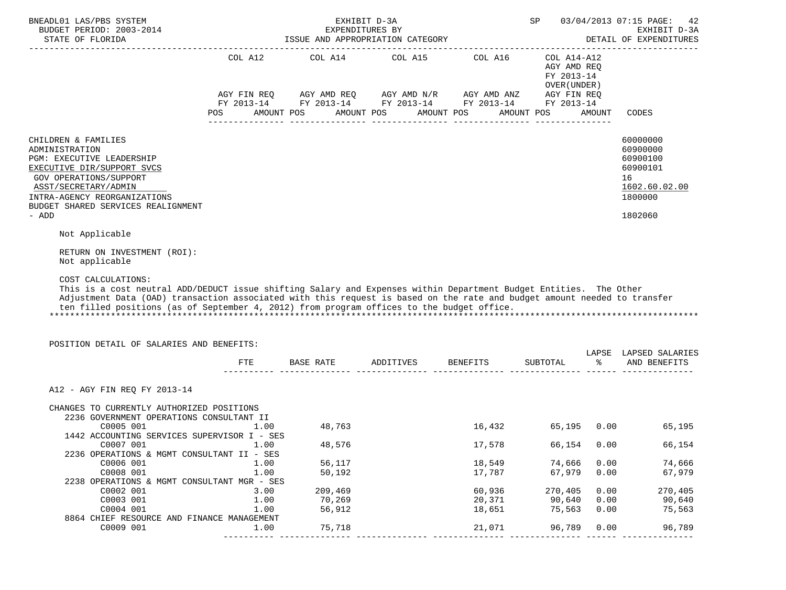| BNEADL01 LAS/PBS SYSTEM<br>BUDGET PERIOD: 2003-2014                                                                                                                                                                                                                                                                                                                                                                                                            |                                                      |                                                                     | EXHIBIT D-3A<br>EXPENDITURES BY<br>ISSUE AND APPROPRIATION CATEGORY                                                                                 |                                                                    | SP                                                                  |                                                      | 03/04/2013 07:15 PAGE:<br>42<br>EXHIBIT D-3A<br>DETAIL OF EXPENDITURES                    |
|----------------------------------------------------------------------------------------------------------------------------------------------------------------------------------------------------------------------------------------------------------------------------------------------------------------------------------------------------------------------------------------------------------------------------------------------------------------|------------------------------------------------------|---------------------------------------------------------------------|-----------------------------------------------------------------------------------------------------------------------------------------------------|--------------------------------------------------------------------|---------------------------------------------------------------------|------------------------------------------------------|-------------------------------------------------------------------------------------------|
|                                                                                                                                                                                                                                                                                                                                                                                                                                                                |                                                      |                                                                     | COL A12 $COL$ A14 $COL$ A15 $COL$ A16 $COL$ A14-A12<br>AGY FIN REQ AGY AMD REQ AGY AMD N/R AGY AMD ANZ AGY FIN REQ FY 2013-14 FY 2013-14 FY 2013-14 |                                                                    | AGY AMD REQ<br>FY 2013-14<br>OVER (UNDER)                           | AMOUNT                                               | CODES                                                                                     |
|                                                                                                                                                                                                                                                                                                                                                                                                                                                                |                                                      |                                                                     |                                                                                                                                                     |                                                                    |                                                                     |                                                      |                                                                                           |
| CHILDREN & FAMILIES<br>ADMINISTRATION<br>PGM: EXECUTIVE LEADERSHIP<br>EXECUTIVE DIR/SUPPORT SVCS<br><b>GOV OPERATIONS/SUPPORT</b><br>ASST/SECRETARY/ADMIN<br>INTRA-AGENCY REORGANIZATIONS<br>BUDGET SHARED SERVICES REALIGNMENT<br>- ADD                                                                                                                                                                                                                       |                                                      |                                                                     |                                                                                                                                                     |                                                                    |                                                                     |                                                      | 60000000<br>60900000<br>60900100<br>60900101<br>16<br>1602.60.02.00<br>1800000<br>1802060 |
| Not Applicable                                                                                                                                                                                                                                                                                                                                                                                                                                                 |                                                      |                                                                     |                                                                                                                                                     |                                                                    |                                                                     |                                                      |                                                                                           |
|                                                                                                                                                                                                                                                                                                                                                                                                                                                                |                                                      |                                                                     |                                                                                                                                                     |                                                                    |                                                                     |                                                      |                                                                                           |
| RETURN ON INVESTMENT (ROI):<br>Not applicable<br>COST CALCULATIONS:<br>This is a cost neutral ADD/DEDUCT issue shifting Salary and Expenses within Department Budget Entities. The Other<br>Adjustment Data (OAD) transaction associated with this request is based on the rate and budget amount needed to transfer<br>ten filled positions (as of September 4, 2012) from program offices to the budget office.<br>POSITION DETAIL OF SALARIES AND BENEFITS: |                                                      |                                                                     |                                                                                                                                                     |                                                                    |                                                                     |                                                      |                                                                                           |
|                                                                                                                                                                                                                                                                                                                                                                                                                                                                | FTE                                                  |                                                                     | BASE RATE ADDITIVES BENEFITS SUBTOTAL<br>______ ______________ _____                                                                                |                                                                    |                                                                     |                                                      | LAPSE LAPSED SALARIES<br>% AND BENEFITS                                                   |
| A12 - AGY FIN REO FY 2013-14<br>CHANGES TO CURRENTLY AUTHORIZED POSITIONS<br>2236 GOVERNMENT OPERATIONS CONSULTANT II<br>C0005 001<br>1442 ACCOUNTING SERVICES SUPERVISOR I - SES<br>C0007 001<br>2236 OPERATIONS & MGMT CONSULTANT II - SES<br>C0006 001<br>C0008 001<br>2238 OPERATIONS & MGMT CONSULTANT MGR - SES<br>C0002 001<br>C0003 001<br>C0004 001                                                                                                   | 1.00<br>1.00<br>1.00<br>1.00<br>3.00<br>1.00<br>1.00 | 48,763<br>48,576<br>56,117<br>50,192<br>209,469<br>70,269<br>56,912 |                                                                                                                                                     | 16,432<br>17,578<br>18,549<br>17,787<br>60,936<br>20,371<br>18,651 | 65,195<br>66,154<br>74,666<br>67,979<br>270,405<br>90,640<br>75,563 | 0.00<br>0.00<br>0.00<br>0.00<br>0.00<br>0.00<br>0.00 | 65,195<br>66,154<br>74,666<br>67,979<br>270,405<br>90,640<br>75,563                       |
| 8864 CHIEF RESOURCE AND FINANCE MANAGEMENT<br>C0009 001                                                                                                                                                                                                                                                                                                                                                                                                        | 1.00                                                 | 75,718                                                              |                                                                                                                                                     | 21,071                                                             | 96,789                                                              | 0.00                                                 | 96,789                                                                                    |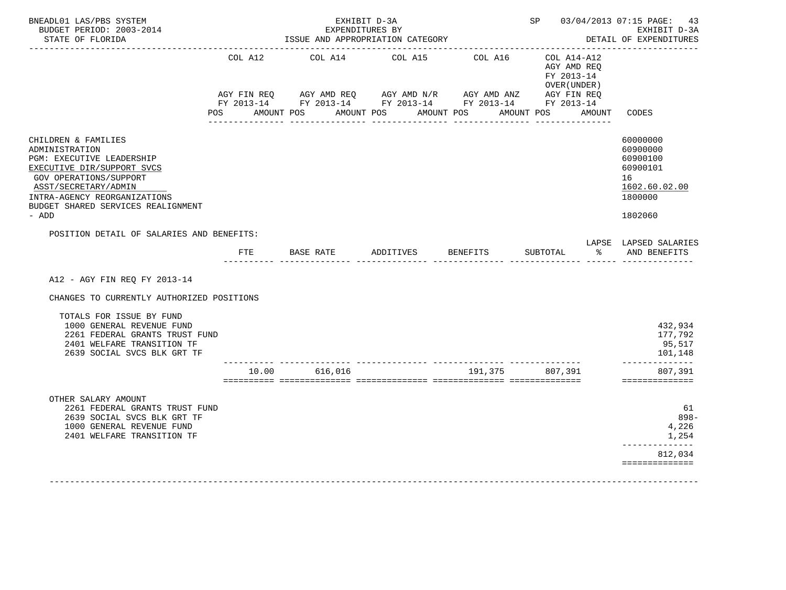| BNEADL01 LAS/PBS SYSTEM<br>BUDGET PERIOD: 2003-2014<br>STATE OF FLORIDA                                                                                                                                                                         |                       | EXPENDITURES BY<br>ISSUE AND APPROPRIATION CATEGORY                                                                                                                                                                                                                                                                                                                                                                                                                                                                                          | EXHIBIT D-3A                  |                       |                                                                           |        | SP 03/04/2013 07:15 PAGE: 43<br>EXHIBIT D-3A<br>DETAIL OF EXPENDITURES                    |
|-------------------------------------------------------------------------------------------------------------------------------------------------------------------------------------------------------------------------------------------------|-----------------------|----------------------------------------------------------------------------------------------------------------------------------------------------------------------------------------------------------------------------------------------------------------------------------------------------------------------------------------------------------------------------------------------------------------------------------------------------------------------------------------------------------------------------------------------|-------------------------------|-----------------------|---------------------------------------------------------------------------|--------|-------------------------------------------------------------------------------------------|
|                                                                                                                                                                                                                                                 | COL A12<br><b>POS</b> | $\verb AGY FIN REQ  \qquad \verb AGY AMD REQ  \qquad \verb AGY AMD N/R  \qquad \verb AGY AMD ANZ  \qquad \verb AGY FIN REQ  \qquad \verb AGY SNR0  \qquad \verb AGY IN REQ  \qquad \verb AGY AMD ANZ  \qquad \verb AGY FIN REQ  \qquad \verb AGY AMD ANZ  \qquad \verb AGY EN REC  \qquad \verb AGY AMD ANZ  \qquad \verb AGY EN REC  \qquad \verb AGY AMD ANZ  \qquad \verb AGY EN REC  \qquad \verb AGY AMD ANZ  \qquad \verb AGY EN REC  \qquad \verb AGY AMD AN$<br>FY 2013-14 FY 2013-14 FY 2013-14 FY 2013-14 FY 2013-14<br>AMOUNT POS | COL A14 COL A15<br>AMOUNT POS | COL A16<br>AMOUNT POS | $COL A14- A12$<br>AGY AMD REO<br>FY 2013-14<br>OVER (UNDER)<br>AMOUNT POS | AMOUNT | CODES                                                                                     |
| CHILDREN & FAMILIES<br>ADMINISTRATION<br><b>PGM: EXECUTIVE LEADERSHIP</b><br>EXECUTIVE DIR/SUPPORT SVCS<br><b>GOV OPERATIONS/SUPPORT</b><br>ASST/SECRETARY/ADMIN<br>INTRA-AGENCY REORGANIZATIONS<br>BUDGET SHARED SERVICES REALIGNMENT<br>- ADD |                       |                                                                                                                                                                                                                                                                                                                                                                                                                                                                                                                                              |                               |                       |                                                                           |        | 60000000<br>60900000<br>60900100<br>60900101<br>16<br>1602.60.02.00<br>1800000<br>1802060 |
| POSITION DETAIL OF SALARIES AND BENEFITS:                                                                                                                                                                                                       |                       |                                                                                                                                                                                                                                                                                                                                                                                                                                                                                                                                              |                               |                       |                                                                           |        |                                                                                           |
|                                                                                                                                                                                                                                                 | FTE                   | BASE RATE ADDITIVES                                                                                                                                                                                                                                                                                                                                                                                                                                                                                                                          |                               | BENEFITS              | SUBTOTAL                                                                  |        | LAPSE LAPSED SALARIES<br>% AND BENEFITS                                                   |
| A12 - AGY FIN REQ FY 2013-14<br>CHANGES TO CURRENTLY AUTHORIZED POSITIONS                                                                                                                                                                       |                       |                                                                                                                                                                                                                                                                                                                                                                                                                                                                                                                                              |                               |                       |                                                                           |        |                                                                                           |
| TOTALS FOR ISSUE BY FUND<br>1000 GENERAL REVENUE FUND<br>2261 FEDERAL GRANTS TRUST FUND<br>2401 WELFARE TRANSITION TF<br>2639 SOCIAL SVCS BLK GRT TF                                                                                            | 10.00                 | 616,016                                                                                                                                                                                                                                                                                                                                                                                                                                                                                                                                      |                               | 191,375               | 807,391                                                                   |        | 432,934<br>177,792<br>95,517<br>101,148<br>--------------<br>807,391                      |
| OTHER SALARY AMOUNT<br>2261 FEDERAL GRANTS TRUST FUND<br>2639 SOCIAL SVCS BLK GRT TF<br>1000 GENERAL REVENUE FUND<br>2401 WELFARE TRANSITION TF                                                                                                 |                       |                                                                                                                                                                                                                                                                                                                                                                                                                                                                                                                                              |                               |                       |                                                                           |        | ==============<br>61<br>$898 -$<br>4,226<br>1,254                                         |
|                                                                                                                                                                                                                                                 |                       |                                                                                                                                                                                                                                                                                                                                                                                                                                                                                                                                              |                               |                       |                                                                           |        | -----------<br>812,034<br>==============                                                  |
|                                                                                                                                                                                                                                                 |                       |                                                                                                                                                                                                                                                                                                                                                                                                                                                                                                                                              |                               |                       |                                                                           |        |                                                                                           |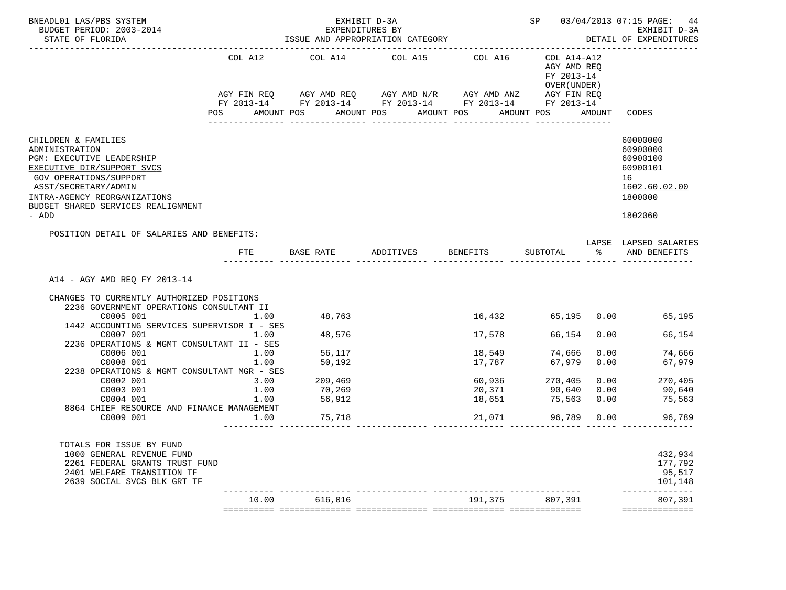| BNEADL01 LAS/PBS SYSTEM<br>BUDGET PERIOD: 2003-2014                                                                                                                                                                               |                |                   | EXHIBIT D-3A<br>EXPENDITURES BY                                                                                                                                                      |                  |                                                                               |              | SP 03/04/2013 07:15 PAGE: 44<br>EXHIBIT D-3A<br>DETAIL OF EXPENDITURES                    |
|-----------------------------------------------------------------------------------------------------------------------------------------------------------------------------------------------------------------------------------|----------------|-------------------|--------------------------------------------------------------------------------------------------------------------------------------------------------------------------------------|------------------|-------------------------------------------------------------------------------|--------------|-------------------------------------------------------------------------------------------|
|                                                                                                                                                                                                                                   | COL A12<br>POS |                   | COL A14 COL A15 COL A16<br>AGY FIN REQ AGY AMD REQ AGY AMD N/R AGY AMD ANZ AGY FIN REQ<br>FY 2013-14 FY 2013-14 FY 2013-14 FY 2013-14 FY 2013-14<br>AMOUNT POS AMOUNT POS AMOUNT POS |                  | COL A14-A12<br>AGY AMD REQ<br>FY 2013-14<br>OVER (UNDER)<br>AMOUNT POS AMOUNT |              | CODES                                                                                     |
|                                                                                                                                                                                                                                   |                | _______________   |                                                                                                                                                                                      |                  |                                                                               |              |                                                                                           |
| CHILDREN & FAMILIES<br>ADMINISTRATION<br>PGM: EXECUTIVE LEADERSHIP<br>EXECUTIVE DIR/SUPPORT SVCS<br>GOV OPERATIONS/SUPPORT<br>ASST/SECRETARY/ADMIN<br>INTRA-AGENCY REORGANIZATIONS<br>BUDGET SHARED SERVICES REALIGNMENT<br>- ADD |                |                   |                                                                                                                                                                                      |                  |                                                                               |              | 60000000<br>60900000<br>60900100<br>60900101<br>16<br>1602.60.02.00<br>1800000<br>1802060 |
| POSITION DETAIL OF SALARIES AND BENEFITS:                                                                                                                                                                                         |                |                   |                                                                                                                                                                                      |                  |                                                                               |              | LAPSE LAPSED SALARIES                                                                     |
|                                                                                                                                                                                                                                   | FTE            |                   | BASE RATE ADDITIVES BENEFITS                                                                                                                                                         |                  |                                                                               |              | SUBTOTAL $\frac{1}{6}$ AND BENEFITS                                                       |
| A14 - AGY AMD REQ FY 2013-14<br>CHANGES TO CURRENTLY AUTHORIZED POSITIONS<br>2236 GOVERNMENT OPERATIONS CONSULTANT II<br>C0005 001<br>1442 ACCOUNTING SERVICES SUPERVISOR I - SES                                                 | 1.00           | 48,763            |                                                                                                                                                                                      | 16,432           |                                                                               |              | 65,195 0.00 65,195                                                                        |
| C0007 001                                                                                                                                                                                                                         | 1.00           | 48,576            |                                                                                                                                                                                      | 17,578           | 66,154                                                                        | 0.00         | 66,154                                                                                    |
| 2236 OPERATIONS & MGMT CONSULTANT II - SES                                                                                                                                                                                        |                |                   |                                                                                                                                                                                      |                  |                                                                               |              |                                                                                           |
| C0006 001<br>C0008 001                                                                                                                                                                                                            | 1.00<br>1.00   | 56,117<br>50,192  |                                                                                                                                                                                      | 18,549<br>17,787 | 74,666<br>67,979                                                              | 0.00<br>0.00 | 74,666<br>67,979                                                                          |
| 2238 OPERATIONS & MGMT CONSULTANT MGR - SES                                                                                                                                                                                       |                |                   |                                                                                                                                                                                      |                  |                                                                               |              |                                                                                           |
| C0002 001                                                                                                                                                                                                                         | 3.00           | 209,469<br>70,269 |                                                                                                                                                                                      |                  | 60,936 270,405<br>20,371 90,640                                               |              | $270, 40$<br>90,640                                                                       |
| C0003 001                                                                                                                                                                                                                         | 1.00           |                   |                                                                                                                                                                                      |                  |                                                                               |              |                                                                                           |
| C0004 001<br>8864 CHIEF RESOURCE AND FINANCE MANAGEMENT                                                                                                                                                                           |                | 1.00 56,912       |                                                                                                                                                                                      |                  | 18,651 75,563                                                                 |              | $0.00$ 75,563                                                                             |
| C0009 001                                                                                                                                                                                                                         | 1.00           | 75,718            |                                                                                                                                                                                      | 21,071           | 96,789                                                                        |              | $0.00$ 96,789                                                                             |
|                                                                                                                                                                                                                                   |                |                   |                                                                                                                                                                                      |                  |                                                                               |              |                                                                                           |
| TOTALS FOR ISSUE BY FUND<br>1000 GENERAL REVENUE FUND<br>2261 FEDERAL GRANTS TRUST FUND<br>2401 WELFARE TRANSITION TF<br>2639 SOCIAL SVCS BLK GRT TF                                                                              |                |                   |                                                                                                                                                                                      |                  |                                                                               |              | 432,934<br>177,792<br>95,517<br>101,148                                                   |
|                                                                                                                                                                                                                                   | 10.00          | 616,016           |                                                                                                                                                                                      | 191,375          | 807,391                                                                       |              | --------<br>807,391<br>==============                                                     |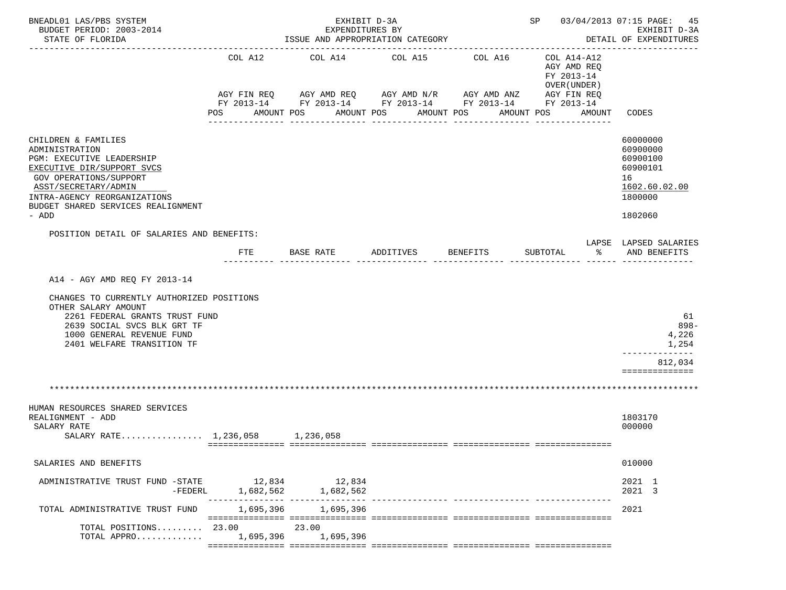| BNEADL01 LAS/PBS SYSTEM<br>BUDGET PERIOD: 2003-2014<br>STATE OF FLORIDA                                                                                                                                                           |                        | EXHIBIT D-3A<br>EXPENDITURES BY | ISSUE AND APPROPRIATION CATEGORY                                                                                     |                            | SP 03/04/2013 07:15 PAGE: 45                              | EXHIBIT D-3A<br>DETAIL OF EXPENDITURES                                                    |
|-----------------------------------------------------------------------------------------------------------------------------------------------------------------------------------------------------------------------------------|------------------------|---------------------------------|----------------------------------------------------------------------------------------------------------------------|----------------------------|-----------------------------------------------------------|-------------------------------------------------------------------------------------------|
|                                                                                                                                                                                                                                   | COL A12<br>AGY FIN REQ | COL A14                         | COL A15<br>AGY AMD REQ AGY AMD N/R AGY AMD ANZ AGY FIN REQ<br>FY 2013-14 FY 2013-14 FY 2013-14 FY 2013-14 FY 2013-14 | COL A16                    | COL A14-A12<br>AGY AMD REQ<br>FY 2013-14<br>OVER (UNDER ) |                                                                                           |
|                                                                                                                                                                                                                                   | POS                    | AMOUNT POS                      | AMOUNT POS<br>------------                                                                                           | AMOUNT POS<br>------------ | AMOUNT POS<br>AMOUNT                                      | CODES                                                                                     |
| CHILDREN & FAMILIES<br>ADMINISTRATION<br>PGM: EXECUTIVE LEADERSHIP<br>EXECUTIVE DIR/SUPPORT SVCS<br>GOV OPERATIONS/SUPPORT<br>ASST/SECRETARY/ADMIN<br>INTRA-AGENCY REORGANIZATIONS<br>BUDGET SHARED SERVICES REALIGNMENT<br>- ADD |                        |                                 |                                                                                                                      |                            |                                                           | 60000000<br>60900000<br>60900100<br>60900101<br>16<br>1602.60.02.00<br>1800000<br>1802060 |
| POSITION DETAIL OF SALARIES AND BENEFITS:                                                                                                                                                                                         |                        |                                 |                                                                                                                      |                            |                                                           |                                                                                           |
|                                                                                                                                                                                                                                   | FTE                    | BASE RATE                       | ADDITIVES BENEFITS                                                                                                   |                            | ိ<br>SUBTOTAL                                             | LAPSE LAPSED SALARIES<br>AND BENEFITS                                                     |
| A14 - AGY AMD REO FY 2013-14<br>CHANGES TO CURRENTLY AUTHORIZED POSITIONS<br>OTHER SALARY AMOUNT<br>2261 FEDERAL GRANTS TRUST FUND<br>2639 SOCIAL SVCS BLK GRT TF<br>1000 GENERAL REVENUE FUND<br>2401 WELFARE TRANSITION TF      |                        |                                 |                                                                                                                      |                            |                                                           | 61<br>$898 -$<br>4,226<br>1,254                                                           |
|                                                                                                                                                                                                                                   |                        |                                 |                                                                                                                      |                            |                                                           | 812,034<br>==============                                                                 |
|                                                                                                                                                                                                                                   |                        |                                 |                                                                                                                      |                            |                                                           |                                                                                           |
| HUMAN RESOURCES SHARED SERVICES<br>REALIGNMENT - ADD<br>SALARY RATE<br>SALARY RATE 1,236,058 1,236,058                                                                                                                            |                        |                                 |                                                                                                                      |                            |                                                           | 1803170<br>000000                                                                         |
| SALARIES AND BENEFITS                                                                                                                                                                                                             |                        |                                 |                                                                                                                      |                            |                                                           | 010000                                                                                    |
| ADMINISTRATIVE TRUST FUND -STATE 12,834 12,834<br>$-FEDERL$                                                                                                                                                                       | 1,682,562              | 1,682,562                       |                                                                                                                      |                            |                                                           | 2021 1<br>2021 3                                                                          |
| TOTAL ADMINISTRATIVE TRUST FUND                                                                                                                                                                                                   |                        | 1,695,396 1,695,396             |                                                                                                                      |                            |                                                           | 2021                                                                                      |
| TOTAL POSITIONS $23.00$<br>TOTAL APPRO                                                                                                                                                                                            | 1,695,396              | 23.00<br>1,695,396              |                                                                                                                      |                            |                                                           |                                                                                           |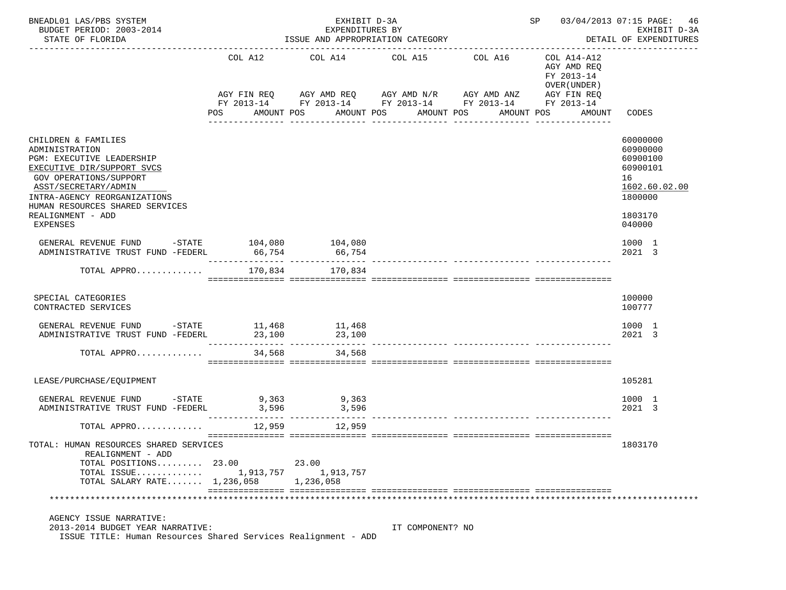| BNEADL01 LAS/PBS SYSTEM<br>BUDGET PERIOD: 2003-2014<br>STATE OF FLORIDA                                                                                                                                                                                       | EXHIBIT D-3A<br>EXPENDITURES BY<br>ISSUE AND APPROPRIATION CATEGORY<br>------------------------------------<br>------------------- |                                                               |                                                              |                                                                                 | 03/04/2013 07:15 PAGE:<br>SP<br>46<br>EXHIBIT D-3A<br>DETAIL OF EXPENDITURES      |                                                                                                     |  |
|---------------------------------------------------------------------------------------------------------------------------------------------------------------------------------------------------------------------------------------------------------------|------------------------------------------------------------------------------------------------------------------------------------|---------------------------------------------------------------|--------------------------------------------------------------|---------------------------------------------------------------------------------|-----------------------------------------------------------------------------------|-----------------------------------------------------------------------------------------------------|--|
|                                                                                                                                                                                                                                                               | COL A12<br>POS                                                                                                                     | AGY FIN REQ AGY AMD REQ AGY AMD N/R AGY AMD ANZ<br>AMOUNT POS | COL A14 COL A15<br>AMOUNT POS AMOUNT POS<br>________________ | COL A16<br>FY 2013-14 FY 2013-14 FY 2013-14 FY 2013-14 FY 2013-14<br>AMOUNT POS | COL A14-A12<br>AGY AMD REO<br>FY 2013-14<br>OVER (UNDER)<br>AGY FIN REQ<br>AMOUNT | CODES                                                                                               |  |
| CHILDREN & FAMILIES<br>ADMINISTRATION<br>PGM: EXECUTIVE LEADERSHIP<br>EXECUTIVE DIR/SUPPORT SVCS<br>GOV OPERATIONS/SUPPORT<br>ASST/SECRETARY/ADMIN<br>INTRA-AGENCY REORGANIZATIONS<br>HUMAN RESOURCES SHARED SERVICES<br>REALIGNMENT - ADD<br><b>EXPENSES</b> |                                                                                                                                    |                                                               |                                                              |                                                                                 |                                                                                   | 60000000<br>60900000<br>60900100<br>60900101<br>16<br>1602.60.02.00<br>1800000<br>1803170<br>040000 |  |
| GENERAL REVENUE FUND -STATE 104,080<br>ADMINISTRATIVE TRUST FUND -FEDERL                                                                                                                                                                                      | 66,754                                                                                                                             | 104,080<br>66,754                                             |                                                              |                                                                                 |                                                                                   | 1000 1<br>2021 3                                                                                    |  |
| TOTAL APPRO                                                                                                                                                                                                                                                   | 170,834                                                                                                                            | 170,834                                                       |                                                              |                                                                                 |                                                                                   |                                                                                                     |  |
| SPECIAL CATEGORIES<br>CONTRACTED SERVICES                                                                                                                                                                                                                     |                                                                                                                                    |                                                               |                                                              |                                                                                 |                                                                                   | 100000<br>100777                                                                                    |  |
| ${\tt GENERAL}\;\; {\tt REVENUE}\;\;{\tt FUND}\;\;\phantom{\star} \texttt{-STATE}\;\;\phantom{\star} \texttt{11,468}\;\;\phantom{\star} \texttt{11,468}$<br>ADMINISTRATIVE TRUST FUND -FEDERL                                                                 | 23,100                                                                                                                             | 23,100                                                        |                                                              |                                                                                 |                                                                                   | 1000 1<br>2021 3                                                                                    |  |
| TOTAL APPRO                                                                                                                                                                                                                                                   | 34,568                                                                                                                             | 34,568                                                        |                                                              |                                                                                 |                                                                                   |                                                                                                     |  |
| LEASE/PURCHASE/EQUIPMENT                                                                                                                                                                                                                                      |                                                                                                                                    |                                                               |                                                              |                                                                                 |                                                                                   | 105281                                                                                              |  |
| GENERAL REVENUE FUND -STATE<br>ADMINISTRATIVE TRUST FUND -FEDERL                                                                                                                                                                                              | 3,596                                                                                                                              | 9,363 9,363<br>3,596                                          |                                                              |                                                                                 |                                                                                   | 1000 1<br>2021 3                                                                                    |  |
| TOTAL APPRO                                                                                                                                                                                                                                                   |                                                                                                                                    | 12,959<br>12,959                                              |                                                              |                                                                                 |                                                                                   |                                                                                                     |  |
| TOTAL: HUMAN RESOURCES SHARED SERVICES<br>REALIGNMENT - ADD<br>TOTAL POSITIONS 23.00<br>TOTAL ISSUE<br>TOTAL SALARY RATE $1.236.058$                                                                                                                          | 1,913,757                                                                                                                          | 23.00<br>1,913,757<br>1,236,058                               |                                                              |                                                                                 |                                                                                   | 1803170                                                                                             |  |
|                                                                                                                                                                                                                                                               |                                                                                                                                    |                                                               |                                                              |                                                                                 |                                                                                   |                                                                                                     |  |
| AGENCY ISSUE NARRATIVE:<br>2013-2014 BUDGET YEAR NARRATIVE:<br>ISSUE TITLE: Human Resources Shared Services Realignment - ADD                                                                                                                                 |                                                                                                                                    |                                                               | IT COMPONENT? NO                                             |                                                                                 |                                                                                   |                                                                                                     |  |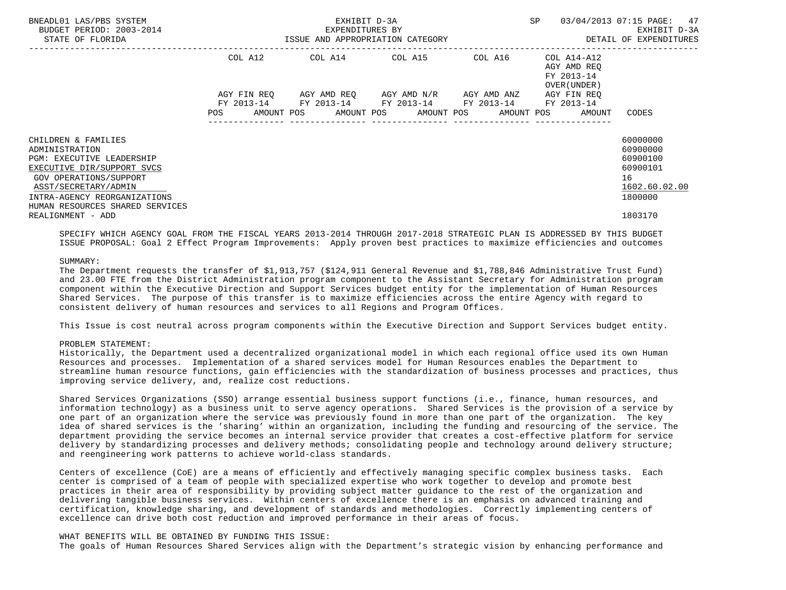| BNEADL01 LAS/PBS SYSTEM<br>BUDGET PERIOD: 2003-2014<br>STATE OF FLORIDA                                                                                   | EXHIBIT D-3A<br>EXPENDITURES BY<br>ISSUE AND APPROPRIATION CATEGORY |  |                                                                                                                                                          |  | <b>SP</b>                                                | 03/04/2013 07:15 PAGE: 47<br>EXHIBIT D-3A<br>DETAIL OF EXPENDITURES |
|-----------------------------------------------------------------------------------------------------------------------------------------------------------|---------------------------------------------------------------------|--|----------------------------------------------------------------------------------------------------------------------------------------------------------|--|----------------------------------------------------------|---------------------------------------------------------------------|
|                                                                                                                                                           | COL A12                                                             |  | COL A14 COL A15 COL A16                                                                                                                                  |  | COL A14-A12<br>AGY AMD REO<br>FY 2013-14<br>OVER (UNDER) |                                                                     |
|                                                                                                                                                           | AGY FIN REO<br><b>POS</b>                                           |  | AGY AMD REQ      AGY AMD N/R      AGY AMD ANZ<br>FY 2013-14 FY 2013-14 FY 2013-14 FY 2013-14<br>AMOUNT POS      AMOUNT POS     AMOUNT POS     AMOUNT POS |  | AGY FIN REO<br>FY 2013-14<br>AMOUNT                      | CODES                                                               |
| CHILDREN & FAMILIES<br>ADMINISTRATION<br><b>PGM: EXECUTIVE LEADERSHIP</b><br>EXECUTIVE DIR/SUPPORT SVCS<br>GOV OPERATIONS/SUPPORT<br>ASST/SECRETARY/ADMIN |                                                                     |  |                                                                                                                                                          |  |                                                          | 60000000<br>60900000<br>60900100<br>60900101<br>16<br>1602.60.02.00 |
| INTRA-AGENCY REORGANIZATIONS<br>HUMAN RESOURCES SHARED SERVICES<br>REALIGNMENT - ADD                                                                      |                                                                     |  |                                                                                                                                                          |  |                                                          | 1800000<br>1803170                                                  |

 SPECIFY WHICH AGENCY GOAL FROM THE FISCAL YEARS 2013-2014 THROUGH 2017-2018 STRATEGIC PLAN IS ADDRESSED BY THIS BUDGET ISSUE PROPOSAL: Goal 2 Effect Program Improvements: Apply proven best practices to maximize efficiencies and outcomes

# SUMMARY:

 The Department requests the transfer of \$1,913,757 (\$124,911 General Revenue and \$1,788,846 Administrative Trust Fund) and 23.00 FTE from the District Administration program component to the Assistant Secretary for Administration program component within the Executive Direction and Support Services budget entity for the implementation of Human Resources Shared Services. The purpose of this transfer is to maximize efficiencies across the entire Agency with regard to consistent delivery of human resources and services to all Regions and Program Offices.

This Issue is cost neutral across program components within the Executive Direction and Support Services budget entity.

#### PROBLEM STATEMENT:

 Historically, the Department used a decentralized organizational model in which each regional office used its own Human Resources and processes. Implementation of a shared services model for Human Resources enables the Department to streamline human resource functions, gain efficiencies with the standardization of business processes and practices, thus improving service delivery, and, realize cost reductions.

 Shared Services Organizations (SSO) arrange essential business support functions (i.e., finance, human resources, and information technology) as a business unit to serve agency operations. Shared Services is the provision of a service by one part of an organization where the service was previously found in more than one part of the organization. The key idea of shared services is the 'sharing' within an organization, including the funding and resourcing of the service. The department providing the service becomes an internal service provider that creates a cost-effective platform for service delivery by standardizing processes and delivery methods; consolidating people and technology around delivery structure; and reengineering work patterns to achieve world-class standards.

 Centers of excellence (CoE) are a means of efficiently and effectively managing specific complex business tasks. Each center is comprised of a team of people with specialized expertise who work together to develop and promote best practices in their area of responsibility by providing subject matter guidance to the rest of the organization and delivering tangible business services. Within centers of excellence there is an emphasis on advanced training and certification, knowledge sharing, and development of standards and methodologies. Correctly implementing centers of excellence can drive both cost reduction and improved performance in their areas of focus.

### WHAT BENEFITS WILL BE OBTAINED BY FUNDING THIS ISSUE:

The goals of Human Resources Shared Services align with the Department's strategic vision by enhancing performance and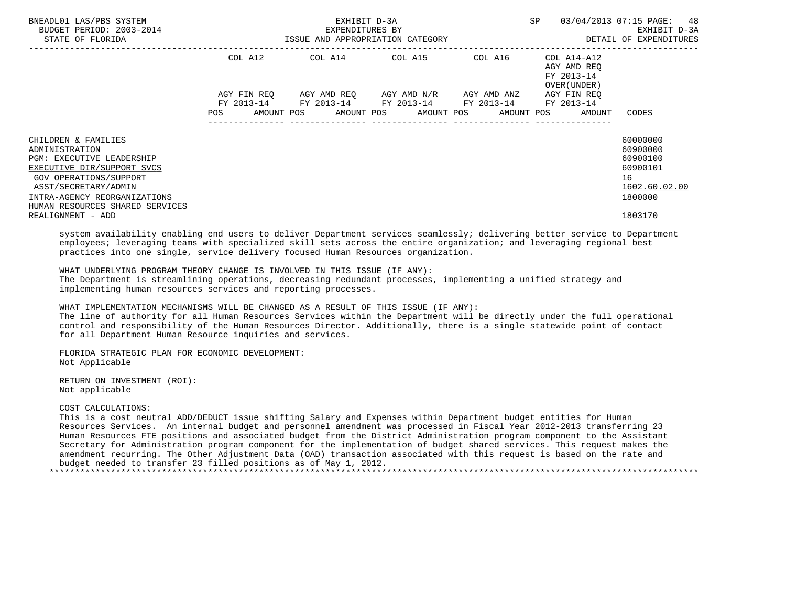| BNEADL01 LAS/PBS SYSTEM<br>BUDGET PERIOD: 2003-2014<br>STATE OF FLORIDA                                                                                   | ISSUE AND APPROPRIATION CATEGORY | EXHIBIT D-3A<br>EXPENDITURES BY | <b>SP</b>                                                                                               | 03/04/2013 07:15 PAGE: 48<br>EXHIBIT D-3A<br>DETAIL OF EXPENDITURES |                                                                   |                                                                     |
|-----------------------------------------------------------------------------------------------------------------------------------------------------------|----------------------------------|---------------------------------|---------------------------------------------------------------------------------------------------------|---------------------------------------------------------------------|-------------------------------------------------------------------|---------------------------------------------------------------------|
|                                                                                                                                                           | COL A12                          |                                 | COL A14 COL A15 COL A16                                                                                 |                                                                     | COL A14-A12<br>AGY AMD REO<br>FY 2013-14<br>OVER (UNDER)          |                                                                     |
|                                                                                                                                                           | AGY FIN REO<br><b>POS</b>        |                                 | AGY AMD REQ      AGY AMD N/R      AGY AMD ANZ<br>FY 2013-14 FY 2013-14 FY 2013-14 FY 2013-14 FY 2013-14 |                                                                     | AGY FIN REO<br>AMOUNT POS AMOUNT POS AMOUNT POS AMOUNT POS AMOUNT | CODES                                                               |
| CHILDREN & FAMILIES<br>ADMINISTRATION<br><b>PGM: EXECUTIVE LEADERSHIP</b><br>EXECUTIVE DIR/SUPPORT SVCS<br>GOV OPERATIONS/SUPPORT<br>ASST/SECRETARY/ADMIN |                                  |                                 |                                                                                                         |                                                                     |                                                                   | 60000000<br>60900000<br>60900100<br>60900101<br>16<br>1602.60.02.00 |
| INTRA-AGENCY REORGANIZATIONS<br>HUMAN RESOURCES SHARED SERVICES<br>REALIGNMENT - ADD                                                                      |                                  |                                 |                                                                                                         |                                                                     |                                                                   | 1800000<br>1803170                                                  |

 system availability enabling end users to deliver Department services seamlessly; delivering better service to Department employees; leveraging teams with specialized skill sets across the entire organization; and leveraging regional best practices into one single, service delivery focused Human Resources organization.

 WHAT UNDERLYING PROGRAM THEORY CHANGE IS INVOLVED IN THIS ISSUE (IF ANY): The Department is streamlining operations, decreasing redundant processes, implementing a unified strategy and implementing human resources services and reporting processes.

WHAT IMPLEMENTATION MECHANISMS WILL BE CHANGED AS A RESULT OF THIS ISSUE (IF ANY):

 The line of authority for all Human Resources Services within the Department will be directly under the full operational control and responsibility of the Human Resources Director. Additionally, there is a single statewide point of contact for all Department Human Resource inquiries and services.

 FLORIDA STRATEGIC PLAN FOR ECONOMIC DEVELOPMENT: Not Applicable

 RETURN ON INVESTMENT (ROI): Not applicable

COST CALCULATIONS:

 This is a cost neutral ADD/DEDUCT issue shifting Salary and Expenses within Department budget entities for Human Resources Services. An internal budget and personnel amendment was processed in Fiscal Year 2012-2013 transferring 23 Human Resources FTE positions and associated budget from the District Administration program component to the Assistant Secretary for Administration program component for the implementation of budget shared services. This request makes the amendment recurring. The Other Adjustment Data (OAD) transaction associated with this request is based on the rate and budget needed to transfer 23 filled positions as of May 1, 2012. \*\*\*\*\*\*\*\*\*\*\*\*\*\*\*\*\*\*\*\*\*\*\*\*\*\*\*\*\*\*\*\*\*\*\*\*\*\*\*\*\*\*\*\*\*\*\*\*\*\*\*\*\*\*\*\*\*\*\*\*\*\*\*\*\*\*\*\*\*\*\*\*\*\*\*\*\*\*\*\*\*\*\*\*\*\*\*\*\*\*\*\*\*\*\*\*\*\*\*\*\*\*\*\*\*\*\*\*\*\*\*\*\*\*\*\*\*\*\*\*\*\*\*\*\*\*\*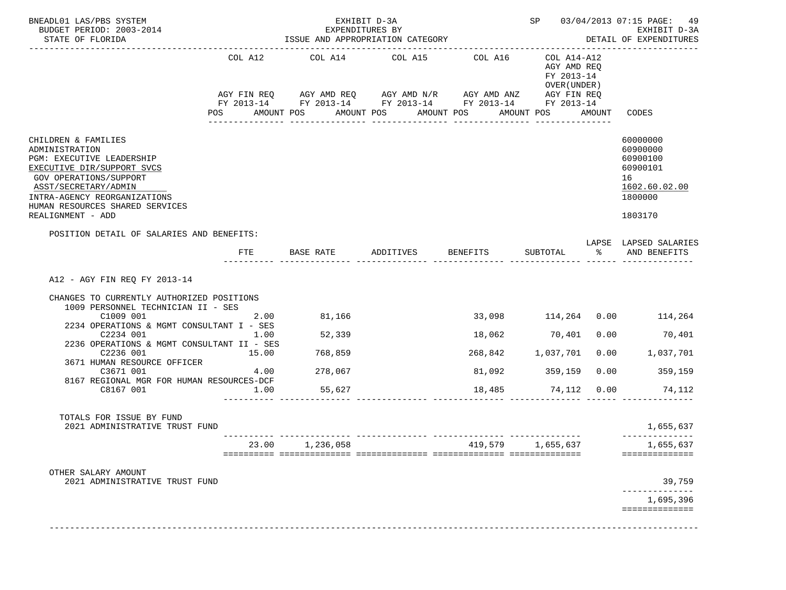| BUDGET PERIOD: 2003-2014<br>STATE OF FLORIDA                                                                                                                                                                                               |                               |                                        | EXHIBIT D-3A<br>EXPENDITURES BY                                                                                                                                                              |                            |                                                                               |      | SP 03/04/2013 07:15 PAGE: 49<br>EXHIBIT D-3A<br>DETAIL OF EXPENDITURES                    |
|--------------------------------------------------------------------------------------------------------------------------------------------------------------------------------------------------------------------------------------------|-------------------------------|----------------------------------------|----------------------------------------------------------------------------------------------------------------------------------------------------------------------------------------------|----------------------------|-------------------------------------------------------------------------------|------|-------------------------------------------------------------------------------------------|
|                                                                                                                                                                                                                                            | COL A12                       | COL A14                                | COL A15<br>AGY FIN REQ AGY AMD REQ AGY AMD N/R AGY AMD ANZ AGY FIN REQ<br>FY 2013-14 FY 2013-14 FY 2013-14 FY 2013-14 FY 2013-14<br>POS AMOUNT POS AMOUNT POS AMOUNT POS<br>________________ | COL A16<br>_______________ | COL A14-A12<br>AGY AMD REQ<br>FY 2013-14<br>OVER (UNDER)<br>AMOUNT POS AMOUNT |      | CODES                                                                                     |
| CHILDREN & FAMILIES<br>ADMINISTRATION<br>PGM: EXECUTIVE LEADERSHIP<br>EXECUTIVE DIR/SUPPORT SVCS<br>GOV OPERATIONS/SUPPORT<br>ASST/SECRETARY/ADMIN<br>INTRA-AGENCY REORGANIZATIONS<br>HUMAN RESOURCES SHARED SERVICES<br>REALIGNMENT - ADD |                               |                                        |                                                                                                                                                                                              |                            |                                                                               |      | 60000000<br>60900000<br>60900100<br>60900101<br>16<br>1602.60.02.00<br>1800000<br>1803170 |
| POSITION DETAIL OF SALARIES AND BENEFITS:                                                                                                                                                                                                  | FTE                           |                                        | BASE RATE ADDITIVES BENEFITS                                                                                                                                                                 |                            |                                                                               |      | LAPSE LAPSED SALARIES<br>SUBTOTAL % AND BENEFITS                                          |
| A12 - AGY FIN REO FY 2013-14<br>CHANGES TO CURRENTLY AUTHORIZED POSITIONS<br>1009 PERSONNEL TECHNICIAN II - SES                                                                                                                            | 2.00                          | 81,166                                 |                                                                                                                                                                                              |                            |                                                                               |      | 33,098 114,264 0.00 114,264<br>70,401                                                     |
| C1009 001<br>2234 OPERATIONS & MGMT CONSULTANT I - SES<br>C2234 001<br>2236 OPERATIONS & MGMT CONSULTANT II - SES<br>C2236 001<br>3671 HUMAN RESOURCE OFFICER<br>C3671 001<br>8167 REGIONAL MGR FOR HUMAN RESOURCES-DCF<br>C8167 001       | 1.00<br>15.00<br>4.00<br>1.00 | 52,339<br>768,859<br>278,067<br>55,627 |                                                                                                                                                                                              | 268,842 1,037,701          | 18,062 70,401<br>81,092 359,159                                               | 0.00 | 0.00 1,037,701<br>$0.00$ 359,159<br>18,485 74,112 0.00 74,112                             |
| TOTALS FOR ISSUE BY FUND<br>2021 ADMINISTRATIVE TRUST FUND                                                                                                                                                                                 |                               |                                        |                                                                                                                                                                                              |                            |                                                                               |      | 1,655,637                                                                                 |
|                                                                                                                                                                                                                                            | 23.00                         | 1,236,058                              |                                                                                                                                                                                              | 419,579                    | 1,655,637                                                                     |      | 1,655,637<br>==============                                                               |
| OTHER SALARY AMOUNT<br>2021 ADMINISTRATIVE TRUST FUND                                                                                                                                                                                      |                               |                                        |                                                                                                                                                                                              |                            |                                                                               |      | 39,759                                                                                    |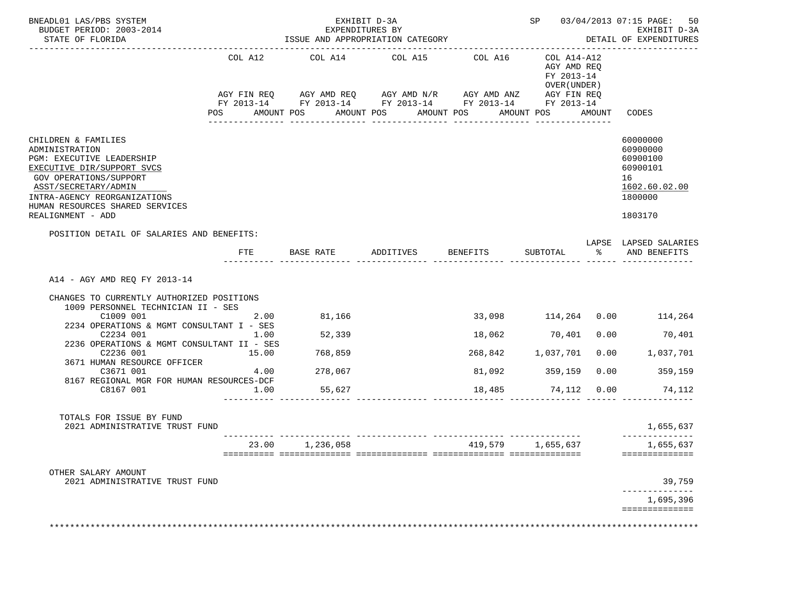| BNEADL01 LAS/PBS SYSTEM<br>BUDGET PERIOD: 2003-2014<br>STATE OF FLORIDA                                                                                                                                                                    |               | EXPENDITURES BY | EXHIBIT D-3A                                                                                                                     |                   |                                                          |      | SP 03/04/2013 07:15 PAGE: 50<br>EXHIBIT D-3A<br>DETAIL OF EXPENDITURES                    |
|--------------------------------------------------------------------------------------------------------------------------------------------------------------------------------------------------------------------------------------------|---------------|-----------------|----------------------------------------------------------------------------------------------------------------------------------|-------------------|----------------------------------------------------------|------|-------------------------------------------------------------------------------------------|
|                                                                                                                                                                                                                                            | COL A12       | COL A14         | COL A15<br>AGY FIN REQ AGY AMD REQ AGY AMD N/R AGY AMD ANZ AGY FIN REQ<br>FY 2013-14 FY 2013-14 FY 2013-14 FY 2013-14 FY 2013-14 | COL A16           | COL A14-A12<br>AGY AMD REQ<br>FY 2013-14<br>OVER (UNDER) |      |                                                                                           |
|                                                                                                                                                                                                                                            |               |                 | POS AMOUNT POS AMOUNT POS AMOUNT POS<br>______________                                                                           | _______________   | AMOUNT POS AMOUNT                                        |      | CODES                                                                                     |
| CHILDREN & FAMILIES<br>ADMINISTRATION<br>PGM: EXECUTIVE LEADERSHIP<br>EXECUTIVE DIR/SUPPORT SVCS<br>GOV OPERATIONS/SUPPORT<br>ASST/SECRETARY/ADMIN<br>INTRA-AGENCY REORGANIZATIONS<br>HUMAN RESOURCES SHARED SERVICES<br>REALIGNMENT - ADD |               |                 |                                                                                                                                  |                   |                                                          |      | 60000000<br>60900000<br>60900100<br>60900101<br>16<br>1602.60.02.00<br>1800000<br>1803170 |
| POSITION DETAIL OF SALARIES AND BENEFITS:                                                                                                                                                                                                  | FTE           |                 | BASE RATE ADDITIVES BENEFITS                                                                                                     |                   |                                                          |      | LAPSE LAPSED SALARIES<br>SUBTOTAL % AND BENEFITS                                          |
| A14 - AGY AMD REQ FY 2013-14<br>CHANGES TO CURRENTLY AUTHORIZED POSITIONS<br>1009 PERSONNEL TECHNICIAN II - SES                                                                                                                            |               | 81,166          |                                                                                                                                  |                   |                                                          |      | 33,098 114,264 0.00 114,264                                                               |
| C1009 001<br>2234 OPERATIONS & MGMT CONSULTANT I - SES                                                                                                                                                                                     | 2.00          |                 |                                                                                                                                  |                   |                                                          |      |                                                                                           |
| C2234 001<br>2236 OPERATIONS & MGMT CONSULTANT II - SES                                                                                                                                                                                    | 1.00          | 52,339          |                                                                                                                                  |                   | 18,062 70,401                                            | 0.00 | 70,401                                                                                    |
| C2236 001<br>3671 HUMAN RESOURCE OFFICER<br>C3671 001                                                                                                                                                                                      | 15.00<br>4.00 | 768,859         |                                                                                                                                  | 268,842 1,037,701 |                                                          |      | 0.00 1,037,701<br>$0.00$ 359,159                                                          |
| 8167 REGIONAL MGR FOR HUMAN RESOURCES-DCF                                                                                                                                                                                                  |               | 278,067         |                                                                                                                                  |                   | 81,092 359,159                                           |      |                                                                                           |
| C8167 001                                                                                                                                                                                                                                  | 1.00          | 55,627          |                                                                                                                                  |                   |                                                          |      | 18,485 74,112 0.00 74,112                                                                 |
| TOTALS FOR ISSUE BY FUND<br>2021 ADMINISTRATIVE TRUST FUND                                                                                                                                                                                 |               |                 |                                                                                                                                  |                   |                                                          |      | 1,655,637                                                                                 |
|                                                                                                                                                                                                                                            | 23.00         | 1,236,058       |                                                                                                                                  | 419,579           | 1,655,637                                                |      | 1,655,637<br>==============                                                               |
| OTHER SALARY AMOUNT<br>2021 ADMINISTRATIVE TRUST FUND                                                                                                                                                                                      |               |                 |                                                                                                                                  |                   |                                                          |      | 39,759                                                                                    |
|                                                                                                                                                                                                                                            |               |                 |                                                                                                                                  |                   |                                                          |      | 1,695,396<br>==============                                                               |
|                                                                                                                                                                                                                                            |               |                 |                                                                                                                                  |                   |                                                          |      |                                                                                           |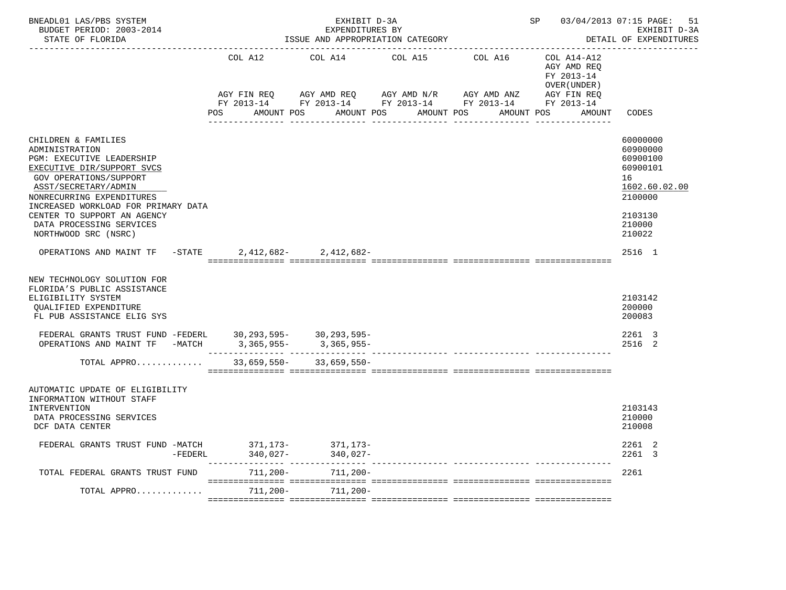| STATE OF FLORIDA                                                                                                                                                                                                                                                                                                 |                        | ISSUE AND APPROPRIATION CATEGORY                                                             | EXPENDITURES BY |                                    |                                                           | EXHIBIT D-3A<br>DETAIL OF EXPENDITURES                                                                        |
|------------------------------------------------------------------------------------------------------------------------------------------------------------------------------------------------------------------------------------------------------------------------------------------------------------------|------------------------|----------------------------------------------------------------------------------------------|-----------------|------------------------------------|-----------------------------------------------------------|---------------------------------------------------------------------------------------------------------------|
|                                                                                                                                                                                                                                                                                                                  | COL A12<br>AGY FIN REQ | COL A14<br>AGY AMD REQ AGY AMD N/R<br>FY 2013-14 FY 2013-14 FY 2013-14 FY 2013-14 FY 2013-14 | COL A15         | COL A16<br>AGY AMD ANZ AGY FIN REQ | COL A14-A12<br>AGY AMD REQ<br>FY 2013-14<br>OVER (UNDER ) |                                                                                                               |
|                                                                                                                                                                                                                                                                                                                  | POS FOR<br>AMOUNT POS  | AMOUNT POS                                                                                   |                 | AMOUNT POS<br>AMOUNT POS           | AMOUNT                                                    | CODES                                                                                                         |
| CHILDREN & FAMILIES<br>ADMINISTRATION<br>PGM: EXECUTIVE LEADERSHIP<br>EXECUTIVE DIR/SUPPORT SVCS<br><b>GOV OPERATIONS/SUPPORT</b><br>ASST/SECRETARY/ADMIN<br>NONRECURRING EXPENDITURES<br>INCREASED WORKLOAD FOR PRIMARY DATA<br>CENTER TO SUPPORT AN AGENCY<br>DATA PROCESSING SERVICES<br>NORTHWOOD SRC (NSRC) |                        |                                                                                              |                 |                                    |                                                           | 60000000<br>60900000<br>60900100<br>60900101<br>16<br>1602.60.02.00<br>2100000<br>2103130<br>210000<br>210022 |
| OPERATIONS AND MAINT TF                                                                                                                                                                                                                                                                                          | $-$ STATE              | $2,412,682 - 2,412,682 -$                                                                    |                 |                                    |                                                           | 2516 1                                                                                                        |
| NEW TECHNOLOGY SOLUTION FOR<br>FLORIDA'S PUBLIC ASSISTANCE<br>ELIGIBILITY SYSTEM<br>QUALIFIED EXPENDITURE<br>FL PUB ASSISTANCE ELIG SYS                                                                                                                                                                          |                        |                                                                                              |                 |                                    |                                                           | 2103142<br>200000<br>200083                                                                                   |
| FEDERAL GRANTS TRUST FUND -FEDERL 30, 293, 595- 30, 293, 595-<br>OPERATIONS AND MAINT TF -MATCH 3,365,955- 3,365,955-                                                                                                                                                                                            |                        |                                                                                              |                 |                                    |                                                           | 2261 3<br>2516 2                                                                                              |
| TOTAL APPRO                                                                                                                                                                                                                                                                                                      | $33,659,550-$          | $33,659,550-$                                                                                |                 |                                    |                                                           |                                                                                                               |
| AUTOMATIC UPDATE OF ELIGIBILITY<br>INFORMATION WITHOUT STAFF<br><b>INTERVENTION</b><br>DATA PROCESSING SERVICES<br>DCF DATA CENTER                                                                                                                                                                               |                        |                                                                                              |                 |                                    |                                                           | 2103143<br>210000<br>210008                                                                                   |
| FEDERAL GRANTS TRUST FUND -MATCH<br>$-FEDERL$                                                                                                                                                                                                                                                                    | 340,027-               | $371, 173 - 371, 173 -$<br>$340,027-$                                                        |                 |                                    |                                                           | 2261 2<br>2261 3                                                                                              |
| TOTAL FEDERAL GRANTS TRUST FUND                                                                                                                                                                                                                                                                                  | 711,200-               | $711,200-$                                                                                   |                 |                                    |                                                           | 2261                                                                                                          |
| TOTAL APPRO                                                                                                                                                                                                                                                                                                      | 711,200-               | $711,200-$                                                                                   |                 |                                    |                                                           |                                                                                                               |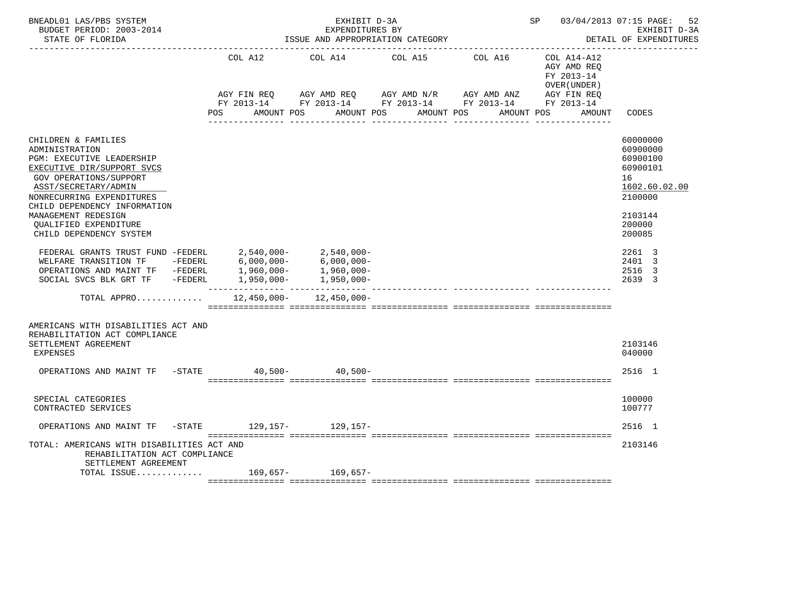| BNEADL01 LAS/PBS SYSTEM<br>BUDGET PERIOD: 2003-2014<br>STATE OF FLORIDA                                                                                                                                                                                                                                                                                                                                                                                                                                                                           |                                  | EXHIBIT D-3A<br>EXPENDITURES BY<br>ISSUE AND APPROPRIATION CATEGORY                                                                            |                       |         | SP 03/04/2013 07:15 PAGE:                                                        | 52<br>EXHIBIT D-3A<br>DETAIL OF EXPENDITURES                                                                                                          |
|---------------------------------------------------------------------------------------------------------------------------------------------------------------------------------------------------------------------------------------------------------------------------------------------------------------------------------------------------------------------------------------------------------------------------------------------------------------------------------------------------------------------------------------------------|----------------------------------|------------------------------------------------------------------------------------------------------------------------------------------------|-----------------------|---------|----------------------------------------------------------------------------------|-------------------------------------------------------------------------------------------------------------------------------------------------------|
|                                                                                                                                                                                                                                                                                                                                                                                                                                                                                                                                                   | COL A12<br>AMOUNT POS<br>POS FOR | COL A14<br>AGY FIN REQ AGY AMD REQ AGY AMD N/R AGY AMD ANZ AGY FIN REQ<br>FY 2013-14 FY 2013-14 FY 2013-14 FY 2013-14 FY 2013-14<br>AMOUNT POS | COL A15<br>AMOUNT POS | COL A16 | COL A14-A12<br>AGY AMD REO<br>FY 2013-14<br>OVER (UNDER)<br>AMOUNT POS<br>AMOUNT | CODES                                                                                                                                                 |
| CHILDREN & FAMILIES<br>ADMINISTRATION<br><b>PGM: EXECUTIVE LEADERSHIP</b><br>EXECUTIVE DIR/SUPPORT SVCS<br><b>GOV OPERATIONS/SUPPORT</b><br>ASST/SECRETARY/ADMIN<br>NONRECURRING EXPENDITURES<br>CHILD DEPENDENCY INFORMATION<br>MANAGEMENT REDESIGN<br>OUALIFIED EXPENDITURE<br>CHILD DEPENDENCY SYSTEM<br>FEDERAL GRANTS TRUST FUND -FEDERL $2,540,000 2,540,000-$<br>WELFARE TRANSITION TF -FEDERL $6,000,000 6,000,000-$<br>OPERATIONS AND MAINT TF -FEDERL 1,960,000-<br>SOCIAL SVCS BLK GRT TF -FEDERL 1,950,000- 1,950,000-<br>TOTAL APPRO |                                  | $12,450,000 - 12,450,000 -$                                                                                                                    |                       |         |                                                                                  | 60000000<br>60900000<br>60900100<br>60900101<br>16<br>1602.60.02.00<br>2100000<br>2103144<br>200000<br>200085<br>2261 3<br>2401 3<br>2516 3<br>2639 3 |
| AMERICANS WITH DISABILITIES ACT AND<br>REHABILITATION ACT COMPLIANCE<br>SETTLEMENT AGREEMENT<br>EXPENSES                                                                                                                                                                                                                                                                                                                                                                                                                                          |                                  |                                                                                                                                                |                       |         |                                                                                  | 2103146<br>040000                                                                                                                                     |
| OPERATIONS AND MAINT TF -STATE 40,500- 40,500-                                                                                                                                                                                                                                                                                                                                                                                                                                                                                                    |                                  |                                                                                                                                                |                       |         |                                                                                  | 2516 1                                                                                                                                                |
| SPECIAL CATEGORIES<br>CONTRACTED SERVICES                                                                                                                                                                                                                                                                                                                                                                                                                                                                                                         |                                  |                                                                                                                                                |                       |         |                                                                                  | 100000<br>100777                                                                                                                                      |
| OPERATIONS AND MAINT TF -STATE 129,157- 129,157-                                                                                                                                                                                                                                                                                                                                                                                                                                                                                                  |                                  |                                                                                                                                                |                       |         |                                                                                  | 2516 1                                                                                                                                                |
| TOTAL: AMERICANS WITH DISABILITIES ACT AND<br>REHABILITATION ACT COMPLIANCE<br>SETTLEMENT AGREEMENT                                                                                                                                                                                                                                                                                                                                                                                                                                               |                                  |                                                                                                                                                |                       |         |                                                                                  | 2103146                                                                                                                                               |
| TOTAL ISSUE 169,657- 169,657-                                                                                                                                                                                                                                                                                                                                                                                                                                                                                                                     |                                  |                                                                                                                                                |                       |         |                                                                                  |                                                                                                                                                       |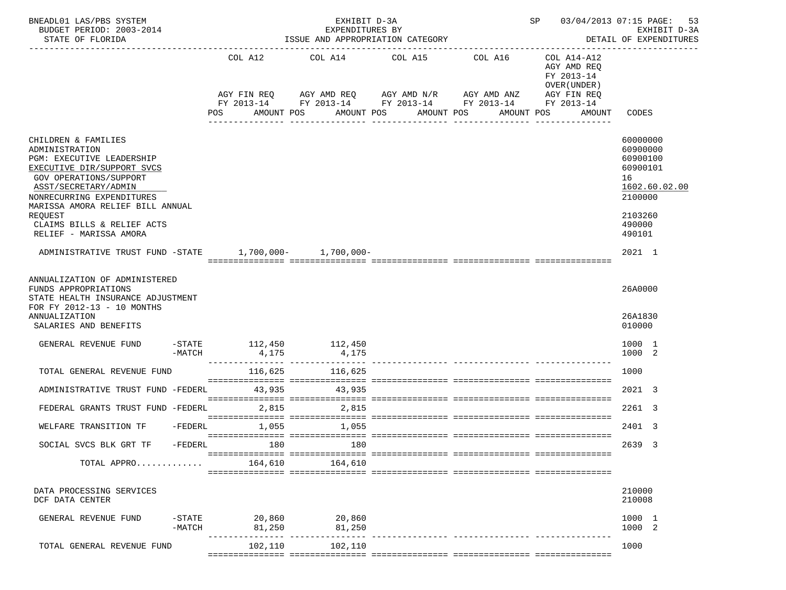| BNEADL01 LAS/PBS SYSTEM<br>BUDGET PERIOD: 2003-2014<br>STATE OF FLORIDA                                                                                                                                                        |                       |                    |     | EXHIBIT D-3A<br>EXPENDITURES BY<br>-------------------------------------- | ISSUE AND APPROPRIATION CATEGORY                                                                                                                       |                                          | SP 03/04/2013 07:15 PAGE:                                                                       | 53<br>EXHIBIT D-3A<br>DETAIL OF EXPENDITURES                                              |
|--------------------------------------------------------------------------------------------------------------------------------------------------------------------------------------------------------------------------------|-----------------------|--------------------|-----|---------------------------------------------------------------------------|--------------------------------------------------------------------------------------------------------------------------------------------------------|------------------------------------------|-------------------------------------------------------------------------------------------------|-------------------------------------------------------------------------------------------|
|                                                                                                                                                                                                                                |                       | COL A12<br>POS     |     | COL A14<br>AMOUNT POS                                                     | COL A15<br>AGY FIN REQ AGY AMD REQ AGY AMD N/R AGY AMD ANZ<br>FY 2013-14 FY 2013-14 FY 2013-14 FY 2013-14 FY 2013-14<br>AMOUNT POS<br>---------------- | COL A16<br>AMOUNT POS<br>_______________ | COL A14-A12<br>AGY AMD REQ<br>FY 2013-14<br>OVER (UNDER)<br>AGY FIN REQ<br>AMOUNT POS<br>AMOUNT | CODES                                                                                     |
| CHILDREN & FAMILIES<br>ADMINISTRATION<br>PGM: EXECUTIVE LEADERSHIP<br>EXECUTIVE DIR/SUPPORT SVCS<br>GOV OPERATIONS/SUPPORT<br>ASST/SECRETARY/ADMIN<br>NONRECURRING EXPENDITURES<br>MARISSA AMORA RELIEF BILL ANNUAL<br>REQUEST |                       |                    |     |                                                                           |                                                                                                                                                        |                                          |                                                                                                 | 60000000<br>60900000<br>60900100<br>60900101<br>16<br>1602.60.02.00<br>2100000<br>2103260 |
| CLAIMS BILLS & RELIEF ACTS<br>RELIEF - MARISSA AMORA<br>ADMINISTRATIVE TRUST FUND -STATE 1,700,000- 1,700,000-                                                                                                                 |                       |                    |     |                                                                           |                                                                                                                                                        |                                          |                                                                                                 | 490000<br>490101<br>2021 1                                                                |
| ANNUALIZATION OF ADMINISTERED<br>FUNDS APPROPRIATIONS<br>STATE HEALTH INSURANCE ADJUSTMENT<br>FOR FY 2012-13 - 10 MONTHS<br>ANNUALIZATION<br>SALARIES AND BENEFITS                                                             |                       |                    |     |                                                                           |                                                                                                                                                        |                                          |                                                                                                 | 26A0000<br>26A1830<br>010000                                                              |
| GENERAL REVENUE FUND                                                                                                                                                                                                           | -MATCH                | 4,175              |     | -STATE 112,450 112,450<br>4,175                                           |                                                                                                                                                        |                                          |                                                                                                 | 1000 1<br>1000 2                                                                          |
| TOTAL GENERAL REVENUE FUND                                                                                                                                                                                                     |                       |                    |     | 116,625 116,625                                                           |                                                                                                                                                        |                                          |                                                                                                 | 1000                                                                                      |
| ADMINISTRATIVE TRUST FUND -FEDERL                                                                                                                                                                                              |                       |                    |     | 43,935 43,935                                                             |                                                                                                                                                        |                                          |                                                                                                 | 2021 3                                                                                    |
| FEDERAL GRANTS TRUST FUND -FEDERL                                                                                                                                                                                              |                       | 2,815              |     | 2,815                                                                     |                                                                                                                                                        |                                          |                                                                                                 | 2261 3                                                                                    |
| WELFARE TRANSITION TF<br>SOCIAL SVCS BLK GRT TF                                                                                                                                                                                | -FEDERL               | $-FEDERL$<br>1,055 | 180 | 1,055<br>180                                                              |                                                                                                                                                        |                                          |                                                                                                 | $2401$ 3<br>2639<br>$\overline{3}$                                                        |
| TOTAL APPRO                                                                                                                                                                                                                    |                       | 164,610            |     | 164,610                                                                   |                                                                                                                                                        |                                          |                                                                                                 |                                                                                           |
| DATA PROCESSING SERVICES<br>DCF DATA CENTER                                                                                                                                                                                    |                       |                    |     |                                                                           |                                                                                                                                                        |                                          |                                                                                                 | 210000<br>210008                                                                          |
| GENERAL REVENUE FUND                                                                                                                                                                                                           | $-$ STATE<br>$-MATCH$ | 20,860<br>81,250   |     | 20,860<br>81,250                                                          |                                                                                                                                                        |                                          |                                                                                                 | 1000 1<br>1000 2                                                                          |
| TOTAL GENERAL REVENUE FUND                                                                                                                                                                                                     |                       | 102,110            |     | ----------- -----------------<br>102,110                                  |                                                                                                                                                        |                                          |                                                                                                 | 1000                                                                                      |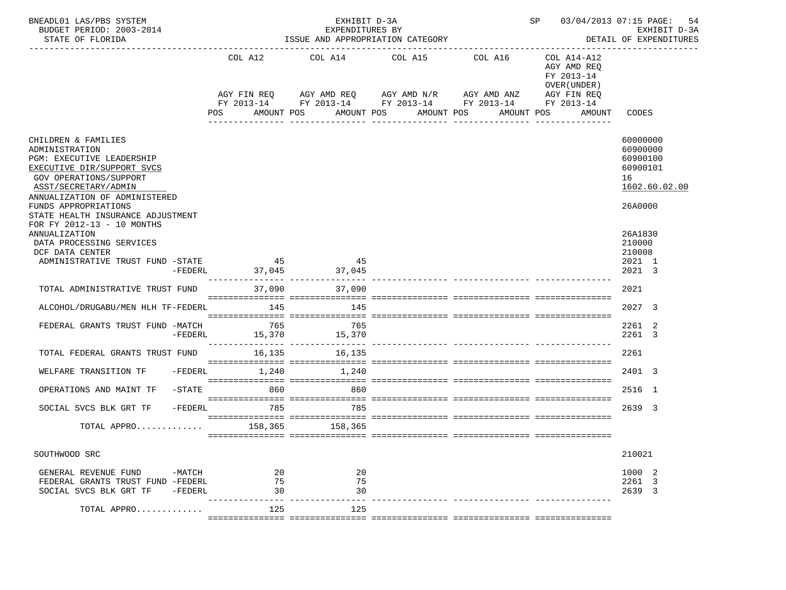| BNEADL01 LAS/PBS SYSTEM<br>BUDGET PERIOD: 2003-2014<br>STATE OF FLORIDA                                                                                                                                                                          |                     | EXHIBIT D-3A<br>EXPENDITURES BY<br>ISSUE AND APPROPRIATION CATEGORY |  |                     |                                                                                                                             |                                |  | SP 03/04/2013 07:15 PAGE:<br>54<br>EXHIBIT D-3A<br>DETAIL OF EXPENDITURES |                                                                                |  |
|--------------------------------------------------------------------------------------------------------------------------------------------------------------------------------------------------------------------------------------------------|---------------------|---------------------------------------------------------------------|--|---------------------|-----------------------------------------------------------------------------------------------------------------------------|--------------------------------|--|---------------------------------------------------------------------------|--------------------------------------------------------------------------------|--|
|                                                                                                                                                                                                                                                  |                     | COL A12                                                             |  | COL A14             | COL A15<br>AGY FIN REQ 6 AGY AMD REQ 6 AGY AMD N/R 66 AGY AMD ANZ<br>FY 2013-14 FY 2013-14 FY 2013-14 FY 2013-14 FY 2013-14 | COL A16                        |  | COL A14-A12<br>AGY AMD REQ<br>FY 2013-14<br>OVER (UNDER)<br>AGY FIN REQ   |                                                                                |  |
|                                                                                                                                                                                                                                                  |                     | POS<br>AMOUNT POS                                                   |  |                     | AMOUNT POS<br>AMOUNT POS<br>----------------                                                                                | AMOUNT POS<br>---------------- |  | AMOUNT                                                                    | CODES                                                                          |  |
| CHILDREN & FAMILIES<br>ADMINISTRATION<br>PGM: EXECUTIVE LEADERSHIP<br>EXECUTIVE DIR/SUPPORT SVCS<br>GOV OPERATIONS/SUPPORT<br>ASST/SECRETARY/ADMIN<br>ANNUALIZATION OF ADMINISTERED<br>FUNDS APPROPRIATIONS<br>STATE HEALTH INSURANCE ADJUSTMENT |                     |                                                                     |  |                     |                                                                                                                             |                                |  |                                                                           | 60000000<br>60900000<br>60900100<br>60900101<br>16<br>1602.60.02.00<br>26A0000 |  |
| FOR FY 2012-13 - 10 MONTHS<br>ANNUALIZATION<br>DATA PROCESSING SERVICES<br>DCF DATA CENTER<br>ADMINISTRATIVE TRUST FUND -STATE                                                                                                                   | $-FEDERL$           | 45                                                                  |  | 45<br>37,045 37,045 |                                                                                                                             |                                |  |                                                                           | 26A1830<br>210000<br>210008<br>2021 1<br>2021 3                                |  |
| TOTAL ADMINISTRATIVE TRUST FUND                                                                                                                                                                                                                  |                     | 37,090                                                              |  | 37,090              |                                                                                                                             |                                |  |                                                                           | 2021                                                                           |  |
| ALCOHOL/DRUGABU/MEN HLH TF-FEDERL                                                                                                                                                                                                                |                     | 145                                                                 |  | 145                 |                                                                                                                             |                                |  |                                                                           | 2027 3                                                                         |  |
| FEDERAL GRANTS TRUST FUND -MATCH                                                                                                                                                                                                                 | $-FEDERL$           | 765<br>15,370                                                       |  | 765<br>15,370       |                                                                                                                             |                                |  |                                                                           | 2261 2<br>2261 3                                                               |  |
| TOTAL FEDERAL GRANTS TRUST FUND                                                                                                                                                                                                                  |                     | 16,135                                                              |  | 16,135              |                                                                                                                             |                                |  |                                                                           | 2261                                                                           |  |
| WELFARE TRANSITION TF                                                                                                                                                                                                                            | -FEDERL             | 1,240                                                               |  | 1,240               |                                                                                                                             |                                |  |                                                                           | 2401 3                                                                         |  |
| OPERATIONS AND MAINT TF                                                                                                                                                                                                                          | $ STATE$            | 860                                                                 |  | 860                 |                                                                                                                             |                                |  |                                                                           | 2516 1                                                                         |  |
| SOCIAL SVCS BLK GRT TF                                                                                                                                                                                                                           | $-FEDERL$           | 785                                                                 |  | 785                 |                                                                                                                             |                                |  |                                                                           | 2639 3                                                                         |  |
| TOTAL APPRO                                                                                                                                                                                                                                      |                     |                                                                     |  | 158,365 158,365     |                                                                                                                             |                                |  |                                                                           |                                                                                |  |
| SOUTHWOOD SRC                                                                                                                                                                                                                                    |                     |                                                                     |  |                     |                                                                                                                             |                                |  |                                                                           | 210021                                                                         |  |
| GENERAL REVENUE FUND<br>FEDERAL GRANTS TRUST FUND -FEDERL<br>SOCIAL SVCS BLK GRT TF                                                                                                                                                              | $-MATCH$<br>-FEDERL | 20<br>75<br>30                                                      |  | 20<br>75<br>30      |                                                                                                                             |                                |  |                                                                           | 1000 2<br>2261 3<br>2639 3                                                     |  |
| TOTAL APPRO                                                                                                                                                                                                                                      |                     | 125                                                                 |  | 125                 |                                                                                                                             |                                |  |                                                                           |                                                                                |  |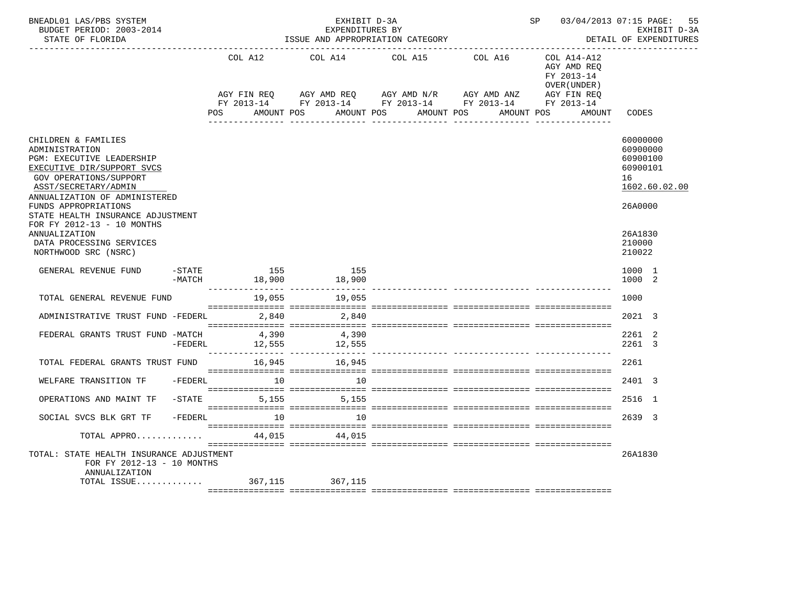| BNEADL01 LAS/PBS SYSTEM<br>BUDGET PERIOD: 2003-2014<br>STATE OF FLORIDA                                                                                                                                                                          |                 | EXHIBIT D-3A<br>EXPENDITURES BY | ISSUE AND APPROPRIATION CATEGORY                                                                                   |              | SP 03/04/2013 07:15 PAGE:                                   | 55<br>EXHIBIT D-3A<br>DETAIL OF EXPENDITURES                                   |
|--------------------------------------------------------------------------------------------------------------------------------------------------------------------------------------------------------------------------------------------------|-----------------|---------------------------------|--------------------------------------------------------------------------------------------------------------------|--------------|-------------------------------------------------------------|--------------------------------------------------------------------------------|
|                                                                                                                                                                                                                                                  | COL A12         | COL A14                         | COL A15<br>AGY FIN REQ AGY AMD REQ AGY AMD N/R AGY AMD ANZ AGY FIN REQ FIN REQ AGY AMD N/R AGY AMD ANZ AGY FIN REQ | COL A16      | $COL A14- A12$<br>AGY AMD REO<br>FY 2013-14<br>OVER (UNDER) |                                                                                |
|                                                                                                                                                                                                                                                  | POS             | AMOUNT POS                      | AMOUNT POS AMOUNT POS<br>----------------                                                                          | ____________ | AMOUNT POS<br>AMOUNT                                        | CODES                                                                          |
| CHILDREN & FAMILIES<br>ADMINISTRATION<br>PGM: EXECUTIVE LEADERSHIP<br>EXECUTIVE DIR/SUPPORT SVCS<br>GOV OPERATIONS/SUPPORT<br>ASST/SECRETARY/ADMIN<br>ANNUALIZATION OF ADMINISTERED<br>FUNDS APPROPRIATIONS<br>STATE HEALTH INSURANCE ADJUSTMENT |                 |                                 |                                                                                                                    |              |                                                             | 60000000<br>60900000<br>60900100<br>60900101<br>16<br>1602.60.02.00<br>26A0000 |
| FOR FY 2012-13 - 10 MONTHS<br>ANNUALIZATION<br>DATA PROCESSING SERVICES<br>NORTHWOOD SRC (NSRC)                                                                                                                                                  |                 |                                 |                                                                                                                    |              |                                                             | 26A1830<br>210000<br>210022                                                    |
| GENERAL REVENUE FUND<br>$-$ STATE<br>$-MATCH$                                                                                                                                                                                                    | 155<br>18,900   | 155<br>18,900                   |                                                                                                                    |              |                                                             | 1000 1<br>1000 2                                                               |
| TOTAL GENERAL REVENUE FUND                                                                                                                                                                                                                       | 19,055          | 19,055                          |                                                                                                                    |              |                                                             | 1000                                                                           |
| ADMINISTRATIVE TRUST FUND -FEDERL                                                                                                                                                                                                                | 2,840           | 2,840                           |                                                                                                                    |              |                                                             | 2021 3                                                                         |
| FEDERAL GRANTS TRUST FUND -MATCH<br>$-FEDERL$                                                                                                                                                                                                    | 4,390<br>12,555 | 4,390<br>12,555                 |                                                                                                                    |              |                                                             | 2261 2<br>2261 3                                                               |
| TOTAL FEDERAL GRANTS TRUST FUND                                                                                                                                                                                                                  | 16,945          | 16,945                          |                                                                                                                    |              |                                                             | 2261                                                                           |
| -FEDERL<br>WELFARE TRANSITION TF                                                                                                                                                                                                                 | $\sim$ 10       | 10                              |                                                                                                                    |              |                                                             | 2401 3                                                                         |
| $-$ STATE<br>OPERATIONS AND MAINT TF                                                                                                                                                                                                             | 5,155           | 5,155                           |                                                                                                                    |              |                                                             | 2516 1                                                                         |
| $-FEDERL$<br>SOCIAL SVCS BLK GRT TF                                                                                                                                                                                                              | 10              | 10                              |                                                                                                                    |              |                                                             | 2639 3                                                                         |
| TOTAL APPRO                                                                                                                                                                                                                                      | 44,015          | 44,015                          |                                                                                                                    |              |                                                             |                                                                                |
| TOTAL: STATE HEALTH INSURANCE ADJUSTMENT<br>FOR FY 2012-13 - 10 MONTHS<br>ANNUALIZATION<br>TOTAL ISSUE                                                                                                                                           |                 | 367,115 367,115                 |                                                                                                                    |              |                                                             | 26A1830                                                                        |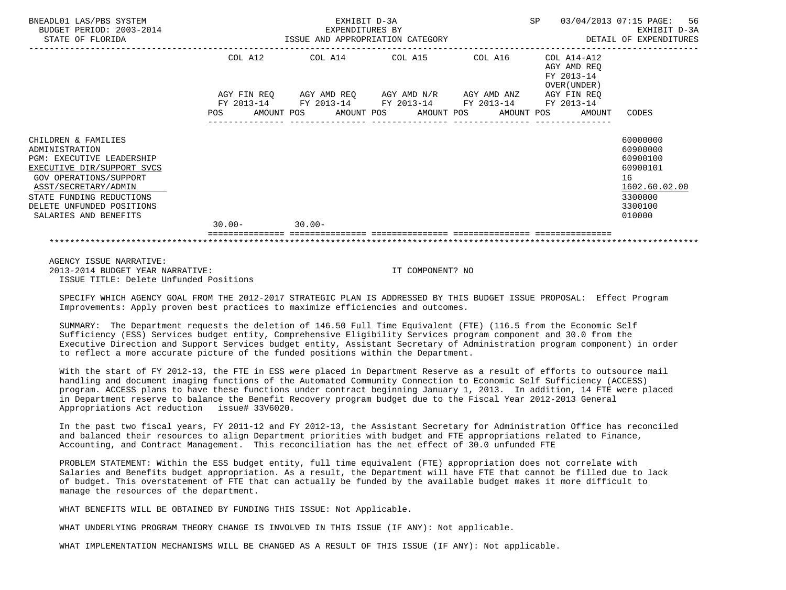| BNEADL01 LAS/PBS SYSTEM<br>BUDGET PERIOD: 2003-2014<br>STATE OF FLORIDA                                                                                                                                                                     |                          | EXHIBIT D-3A<br>EXPENDITURES BY<br>ISSUE AND APPROPRIATION CATEGORY | SP                    | 56<br>03/04/2013 07:15 PAGE:<br>EXHIBIT D-3A<br>DETAIL OF EXPENDITURES |                                                          |                                                                                                     |
|---------------------------------------------------------------------------------------------------------------------------------------------------------------------------------------------------------------------------------------------|--------------------------|---------------------------------------------------------------------|-----------------------|------------------------------------------------------------------------|----------------------------------------------------------|-----------------------------------------------------------------------------------------------------|
|                                                                                                                                                                                                                                             | COL A12                  | COL A14                                                             | COL A15               | COL A16                                                                | COL A14-A12<br>AGY AMD REO<br>FY 2013-14<br>OVER (UNDER) |                                                                                                     |
|                                                                                                                                                                                                                                             | FY 2013-14<br><b>POS</b> | AGY FIN REQ AGY AMD REQ AGY AMD N/R AGY AMD ANZ<br>AMOUNT POS       | AMOUNT POS AMOUNT POS | FY 2013-14 FY 2013-14 FY 2013-14                                       | AGY FIN REO<br>FY 2013-14<br>AMOUNT POS<br>AMOUNT        | CODES                                                                                               |
| CHILDREN & FAMILIES<br>ADMINISTRATION<br><b>PGM: EXECUTIVE LEADERSHIP</b><br>EXECUTIVE DIR/SUPPORT SVCS<br>GOV OPERATIONS/SUPPORT<br>ASST/SECRETARY/ADMIN<br>STATE FUNDING REDUCTIONS<br>DELETE UNFUNDED POSITIONS<br>SALARIES AND BENEFITS |                          |                                                                     |                       |                                                                        |                                                          | 60000000<br>60900000<br>60900100<br>60900101<br>16<br>1602.60.02.00<br>3300000<br>3300100<br>010000 |
|                                                                                                                                                                                                                                             | $30.00 -$                | $30.00 -$                                                           |                       |                                                                        |                                                          |                                                                                                     |
|                                                                                                                                                                                                                                             |                          |                                                                     |                       |                                                                        |                                                          |                                                                                                     |

 AGENCY ISSUE NARRATIVE: 2013-2014 BUDGET YEAR NARRATIVE: IT COMPONENT? NO ISSUE TITLE: Delete Unfunded Positions

 SPECIFY WHICH AGENCY GOAL FROM THE 2012-2017 STRATEGIC PLAN IS ADDRESSED BY THIS BUDGET ISSUE PROPOSAL: Effect Program Improvements: Apply proven best practices to maximize efficiencies and outcomes.

 SUMMARY: The Department requests the deletion of 146.50 Full Time Equivalent (FTE) (116.5 from the Economic Self Sufficiency (ESS) Services budget entity, Comprehensive Eligibility Services program component and 30.0 from the Executive Direction and Support Services budget entity, Assistant Secretary of Administration program component) in order to reflect a more accurate picture of the funded positions within the Department.

 With the start of FY 2012-13, the FTE in ESS were placed in Department Reserve as a result of efforts to outsource mail handling and document imaging functions of the Automated Community Connection to Economic Self Sufficiency (ACCESS) program. ACCESS plans to have these functions under contract beginning January 1, 2013. In addition, 14 FTE were placed in Department reserve to balance the Benefit Recovery program budget due to the Fiscal Year 2012-2013 General Appropriations Act reduction issue# 33V6020.

 In the past two fiscal years, FY 2011-12 and FY 2012-13, the Assistant Secretary for Administration Office has reconciled and balanced their resources to align Department priorities with budget and FTE appropriations related to Finance, Accounting, and Contract Management. This reconciliation has the net effect of 30.0 unfunded FTE

 PROBLEM STATEMENT: Within the ESS budget entity, full time equivalent (FTE) appropriation does not correlate with Salaries and Benefits budget appropriation. As a result, the Department will have FTE that cannot be filled due to lack of budget. This overstatement of FTE that can actually be funded by the available budget makes it more difficult to manage the resources of the department.

WHAT BENEFITS WILL BE OBTAINED BY FUNDING THIS ISSUE: Not Applicable.

WHAT UNDERLYING PROGRAM THEORY CHANGE IS INVOLVED IN THIS ISSUE (IF ANY): Not applicable.

WHAT IMPLEMENTATION MECHANISMS WILL BE CHANGED AS A RESULT OF THIS ISSUE (IF ANY): Not applicable.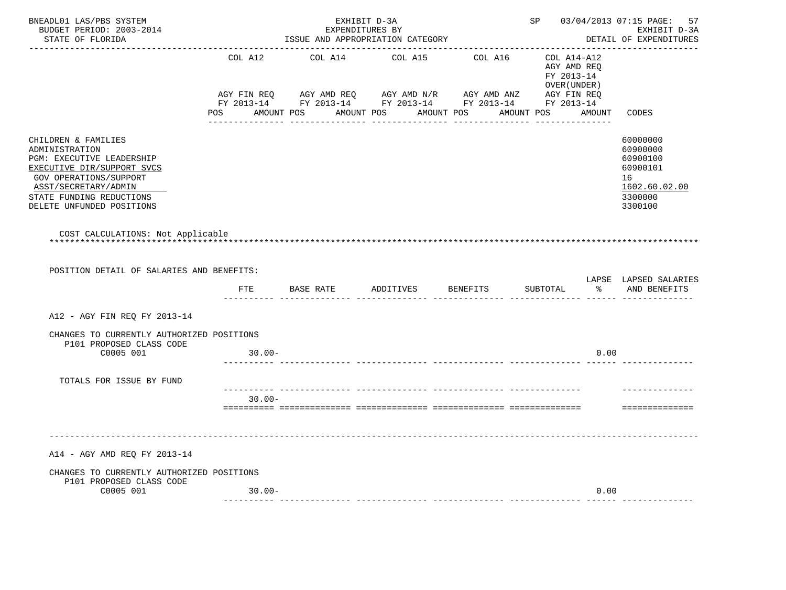| BNEADL01 LAS/PBS SYSTEM<br>BUDGET PERIOD: 2003-2014<br>STATE OF FLORIDA<br>----------------                                                                                                                        |           | EXHIBIT D-3A<br>EXPENDITURES BY<br>ISSUE AND APPROPRIATION CATEGORY                                                                                                                 |         |                 | SP 03/04/2013 07:15 PAGE:                                    | 57<br>EXHIBIT D-3A<br>DETAIL OF EXPENDITURES                                              |
|--------------------------------------------------------------------------------------------------------------------------------------------------------------------------------------------------------------------|-----------|-------------------------------------------------------------------------------------------------------------------------------------------------------------------------------------|---------|-----------------|--------------------------------------------------------------|-------------------------------------------------------------------------------------------|
|                                                                                                                                                                                                                    | COL A12   | COL A14                                                                                                                                                                             | COL A15 | COL A16         | COL A14-A12<br>AGY AMD REQ<br>FY 2013-14<br>OVER (UNDER )    |                                                                                           |
|                                                                                                                                                                                                                    |           | AGY FIN REQ       AGY AMD REQ        AGY AMD N/R        AGY AMD ANZ          AGY FIN REQ<br>FY 2013-14         FY 2013-14         FY 2013-14          FY 2013-14         FY 2013-14 |         |                 | POS AMOUNT POS AMOUNT POS AMOUNT POS AMOUNT POS AMOUNT CODES |                                                                                           |
| CHILDREN & FAMILIES<br>ADMINISTRATION<br>PGM: EXECUTIVE LEADERSHIP<br>EXECUTIVE DIR/SUPPORT SVCS<br><b>GOV OPERATIONS/SUPPORT</b><br>ASST/SECRETARY/ADMIN<br>STATE FUNDING REDUCTIONS<br>DELETE UNFUNDED POSITIONS |           |                                                                                                                                                                                     |         |                 |                                                              | 60000000<br>60900000<br>60900100<br>60900101<br>16<br>1602.60.02.00<br>3300000<br>3300100 |
| COST CALCULATIONS: Not Applicable<br>POSITION DETAIL OF SALARIES AND BENEFITS:                                                                                                                                     |           |                                                                                                                                                                                     |         |                 |                                                              |                                                                                           |
|                                                                                                                                                                                                                    | FTE       | BASE RATE ADDITIVES                                                                                                                                                                 |         | <b>BENEFITS</b> | SUBTOTAL                                                     | LAPSE LAPSED SALARIES<br>8 AND BENEFITS                                                   |
| A12 - AGY FIN REO FY 2013-14                                                                                                                                                                                       |           |                                                                                                                                                                                     |         |                 |                                                              |                                                                                           |
| CHANGES TO CURRENTLY AUTHORIZED POSITIONS<br>P101 PROPOSED CLASS CODE                                                                                                                                              |           |                                                                                                                                                                                     |         |                 |                                                              |                                                                                           |
| C0005 001                                                                                                                                                                                                          | $30.00 -$ |                                                                                                                                                                                     |         |                 | 0.00                                                         |                                                                                           |
| TOTALS FOR ISSUE BY FUND                                                                                                                                                                                           |           |                                                                                                                                                                                     |         |                 |                                                              |                                                                                           |
|                                                                                                                                                                                                                    | $30.00 -$ |                                                                                                                                                                                     |         |                 |                                                              | -----------------                                                                         |
| A14 - AGY AMD REQ FY 2013-14                                                                                                                                                                                       |           |                                                                                                                                                                                     |         |                 |                                                              |                                                                                           |
| CHANGES TO CURRENTLY AUTHORIZED POSITIONS<br>P101 PROPOSED CLASS CODE                                                                                                                                              |           |                                                                                                                                                                                     |         |                 |                                                              |                                                                                           |
| C0005 001                                                                                                                                                                                                          | $30.00 -$ |                                                                                                                                                                                     |         |                 | 0.00                                                         |                                                                                           |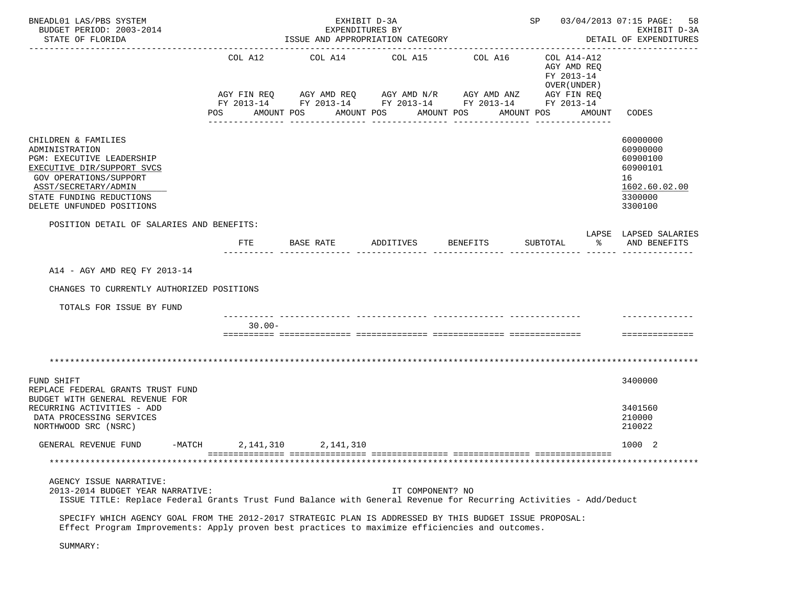| BNEADL01 LAS/PBS SYSTEM<br>BUDGET PERIOD: 2003-2014<br>STATE OF FLORIDA                                                                                                                                     |           | EXHIBIT D-3A<br>EXPENDITURES BY<br>ISSUE AND APPROPRIATION CATEGORY |                  |                                                                                                                       | SP 03/04/2013 07:15 PAGE:                                | 58<br>EXHIBIT D-3A<br>DETAIL OF EXPENDITURES                                              |
|-------------------------------------------------------------------------------------------------------------------------------------------------------------------------------------------------------------|-----------|---------------------------------------------------------------------|------------------|-----------------------------------------------------------------------------------------------------------------------|----------------------------------------------------------|-------------------------------------------------------------------------------------------|
|                                                                                                                                                                                                             |           | COL A12 COL A14 COL A15 COL A16                                     |                  | AGY FIN REQ AGY AMD REQ AGY AMD N/R AGY AMD ANZ AGY FIN REQ<br>FY 2013-14 FY 2013-14 FY 2013-14 FY 2013-14 FY 2013-14 | COL A14-A12<br>AGY AMD REQ<br>FY 2013-14<br>OVER (UNDER) |                                                                                           |
|                                                                                                                                                                                                             | POS       | AMOUNT POS                                                          | AMOUNT POS       | AMOUNT POS                                                                                                            | AMOUNT POS                                               | AMOUNT CODES                                                                              |
| CHILDREN & FAMILIES<br>ADMINISTRATION<br>PGM: EXECUTIVE LEADERSHIP<br>EXECUTIVE DIR/SUPPORT SVCS<br>GOV OPERATIONS/SUPPORT<br>ASST/SECRETARY/ADMIN<br>STATE FUNDING REDUCTIONS<br>DELETE UNFUNDED POSITIONS |           |                                                                     |                  |                                                                                                                       |                                                          | 60000000<br>60900000<br>60900100<br>60900101<br>16<br>1602.60.02.00<br>3300000<br>3300100 |
| POSITION DETAIL OF SALARIES AND BENEFITS:                                                                                                                                                                   |           |                                                                     |                  |                                                                                                                       |                                                          | LAPSE LAPSED SALARIES                                                                     |
|                                                                                                                                                                                                             | FTE       | BASE RATE ADDITIVES                                                 |                  | BENEFITS                                                                                                              | SUBTOTAL                                                 | % AND BENEFITS                                                                            |
| A14 - AGY AMD REQ FY 2013-14<br>CHANGES TO CURRENTLY AUTHORIZED POSITIONS<br>TOTALS FOR ISSUE BY FUND                                                                                                       |           |                                                                     |                  |                                                                                                                       |                                                          |                                                                                           |
|                                                                                                                                                                                                             | $30.00 -$ |                                                                     |                  |                                                                                                                       |                                                          | ==============                                                                            |
|                                                                                                                                                                                                             |           |                                                                     |                  |                                                                                                                       |                                                          |                                                                                           |
| FUND SHIFT<br>REPLACE FEDERAL GRANTS TRUST FUND<br>BUDGET WITH GENERAL REVENUE FOR                                                                                                                          |           |                                                                     |                  |                                                                                                                       |                                                          | 3400000                                                                                   |
| RECURRING ACTIVITIES - ADD<br>DATA PROCESSING SERVICES<br>NORTHWOOD SRC (NSRC)                                                                                                                              |           |                                                                     |                  |                                                                                                                       |                                                          | 3401560<br>210000<br>210022                                                               |
| $-MATCH$<br>GENERAL REVENUE FUND                                                                                                                                                                            | 2,141,310 | 2,141,310                                                           |                  |                                                                                                                       |                                                          | 1000 2                                                                                    |
|                                                                                                                                                                                                             |           |                                                                     |                  |                                                                                                                       |                                                          |                                                                                           |
| AGENCY ISSUE NARRATIVE:<br>2013-2014 BUDGET YEAR NARRATIVE:<br>ISSUE TITLE: Replace Federal Grants Trust Fund Balance with General Revenue for Recurring Activities - Add/Deduct                            |           |                                                                     | IT COMPONENT? NO |                                                                                                                       |                                                          |                                                                                           |
| SPECIFY WHICH AGENCY GOAL FROM THE 2012-2017 STRATEGIC PLAN IS ADDRESSED BY THIS BUDGET ISSUE PROPOSAL:<br>Effect Program Improvements: Apply proven best practices to maximize efficiencies and outcomes.  |           |                                                                     |                  |                                                                                                                       |                                                          |                                                                                           |
| SUMMARY:                                                                                                                                                                                                    |           |                                                                     |                  |                                                                                                                       |                                                          |                                                                                           |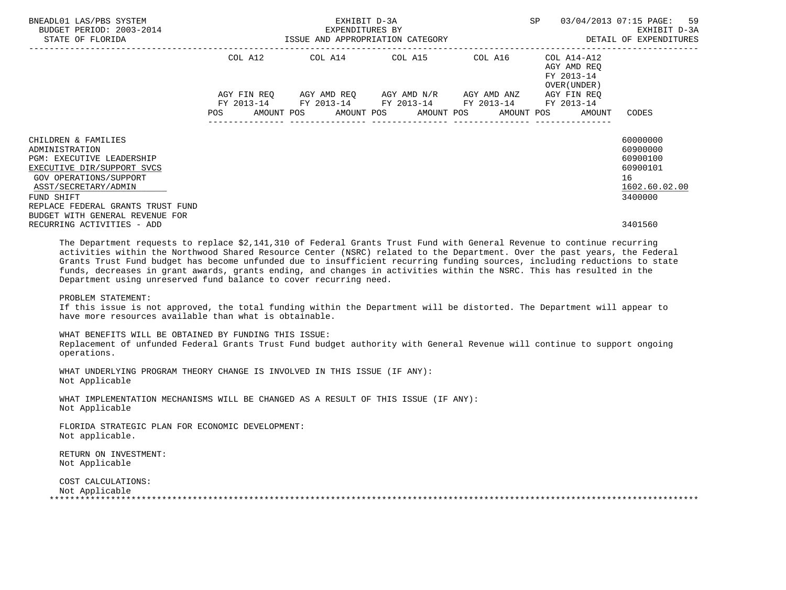| BNEADL01 LAS/PBS SYSTEM<br>BUDGET PERIOD: 2003-2014<br>STATE OF FLORIDA                                                                                                                                                                         |                                  | EXHIBIT D-3A<br>EXPENDITURES BY<br>ISSUE AND APPROPRIATION CATEGORY |                                             | SP                             | 03/04/2013 07:15 PAGE: 59<br>EXHIBIT D-3A<br>DETAIL OF EXPENDITURES             |                                                                                |
|-------------------------------------------------------------------------------------------------------------------------------------------------------------------------------------------------------------------------------------------------|----------------------------------|---------------------------------------------------------------------|---------------------------------------------|--------------------------------|---------------------------------------------------------------------------------|--------------------------------------------------------------------------------|
|                                                                                                                                                                                                                                                 | COL A12                          | COL A14 COL A15                                                     |                                             | COL A16                        | COL A14-A12<br>AGY AMD REO<br>FY 2013-14<br>OVER (UNDER )                       |                                                                                |
|                                                                                                                                                                                                                                                 | AGY FIN REO<br>FY 2013-14<br>POS | FY 2013-14 FY 2013-14 FY 2013-14                                    | AGY AMD REO AGY AMD N/R<br>---------------- | AGY AMD ANZ<br>--------------- | AGY FIN REO<br>FY 2013-14<br>AMOUNT POS AMOUNT POS AMOUNT POS AMOUNT POS AMOUNT | CODES                                                                          |
| CHILDREN & FAMILIES<br>ADMINISTRATION<br><b>PGM: EXECUTIVE LEADERSHIP</b><br>EXECUTIVE DIR/SUPPORT SVCS<br>GOV OPERATIONS/SUPPORT<br>ASST/SECRETARY/ADMIN<br>FUND SHIFT<br>REPLACE FEDERAL GRANTS TRUST FUND<br>BUDGET WITH GENERAL REVENUE FOR |                                  |                                                                     |                                             |                                |                                                                                 | 60000000<br>60900000<br>60900100<br>60900101<br>16<br>1602.60.02.00<br>3400000 |
| RECURRING ACTIVITIES - ADD                                                                                                                                                                                                                      |                                  |                                                                     |                                             |                                |                                                                                 | 3401560                                                                        |

 The Department requests to replace \$2,141,310 of Federal Grants Trust Fund with General Revenue to continue recurring activities within the Northwood Shared Resource Center (NSRC) related to the Department. Over the past years, the Federal Grants Trust Fund budget has become unfunded due to insufficient recurring funding sources, including reductions to state funds, decreases in grant awards, grants ending, and changes in activities within the NSRC. This has resulted in the Department using unreserved fund balance to cover recurring need.

# PROBLEM STATEMENT:

 If this issue is not approved, the total funding within the Department will be distorted. The Department will appear to have more resources available than what is obtainable.

 WHAT BENEFITS WILL BE OBTAINED BY FUNDING THIS ISSUE: Replacement of unfunded Federal Grants Trust Fund budget authority with General Revenue will continue to support ongoing operations.

 WHAT UNDERLYING PROGRAM THEORY CHANGE IS INVOLVED IN THIS ISSUE (IF ANY): Not Applicable

 WHAT IMPLEMENTATION MECHANISMS WILL BE CHANGED AS A RESULT OF THIS ISSUE (IF ANY): Not Applicable

 FLORIDA STRATEGIC PLAN FOR ECONOMIC DEVELOPMENT: Not applicable.

 RETURN ON INVESTMENT: Not Applicable

 COST CALCULATIONS: Not Applicable \*\*\*\*\*\*\*\*\*\*\*\*\*\*\*\*\*\*\*\*\*\*\*\*\*\*\*\*\*\*\*\*\*\*\*\*\*\*\*\*\*\*\*\*\*\*\*\*\*\*\*\*\*\*\*\*\*\*\*\*\*\*\*\*\*\*\*\*\*\*\*\*\*\*\*\*\*\*\*\*\*\*\*\*\*\*\*\*\*\*\*\*\*\*\*\*\*\*\*\*\*\*\*\*\*\*\*\*\*\*\*\*\*\*\*\*\*\*\*\*\*\*\*\*\*\*\*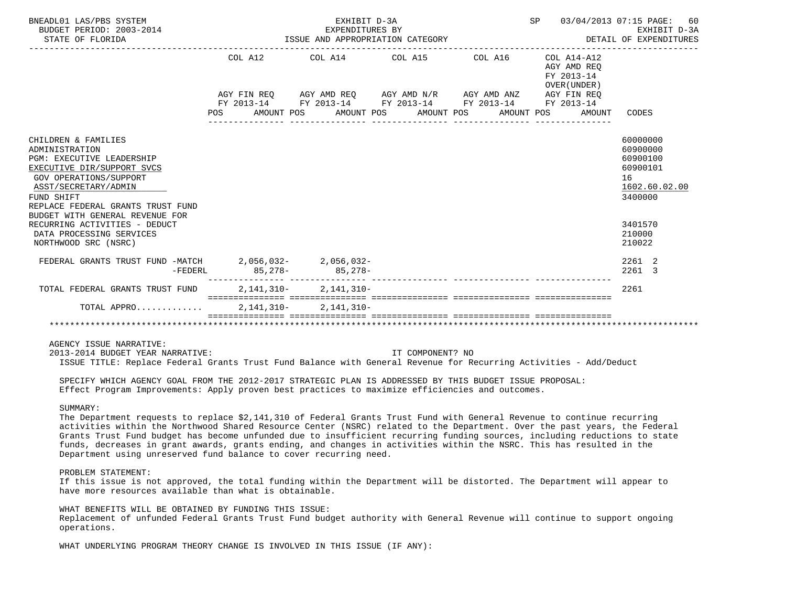| BNEADL01 LAS/PBS SYSTEM<br>BUDGET PERIOD: 2003-2014<br>STATE OF FLORIDA                                                                                                                                                                         | ISSUE AND APPROPRIATION CATEGORY | SP 03/04/2013 07:15 PAGE:<br>60<br>EXHIBIT D-3A<br>DETAIL OF EXPENDITURES |                                                                                                                                                                          |                                                                       |                                                                                |
|-------------------------------------------------------------------------------------------------------------------------------------------------------------------------------------------------------------------------------------------------|----------------------------------|---------------------------------------------------------------------------|--------------------------------------------------------------------------------------------------------------------------------------------------------------------------|-----------------------------------------------------------------------|--------------------------------------------------------------------------------|
|                                                                                                                                                                                                                                                 | COL A12                          |                                                                           | COL A14 COL A15 COL A16                                                                                                                                                  | COL A14-A12<br>AGY AMD REO<br>FY 2013-14<br>OVER (UNDER)              |                                                                                |
|                                                                                                                                                                                                                                                 |                                  |                                                                           | AGY FIN REQ AGY AMD REQ AGY AMD N/R AGY AMD ANZ AGY FIN REQ<br>FY 2013-14 FY 2013-14 FY 2013-14 FY 2013-14 FY 2013-14<br>POS AMOUNT POS AMOUNT POS AMOUNT POS AMOUNT POS |                                                                       | AMOUNT CODES                                                                   |
| CHILDREN & FAMILIES<br>ADMINISTRATION<br>PGM: EXECUTIVE LEADERSHIP<br>EXECUTIVE DIR/SUPPORT SVCS<br><b>GOV OPERATIONS/SUPPORT</b><br>ASST/SECRETARY/ADMIN<br>FUND SHIFT<br>REPLACE FEDERAL GRANTS TRUST FUND<br>BUDGET WITH GENERAL REVENUE FOR |                                  |                                                                           |                                                                                                                                                                          |                                                                       | 60000000<br>60900000<br>60900100<br>60900101<br>16<br>1602.60.02.00<br>3400000 |
| RECURRING ACTIVITIES - DEDUCT<br>DATA PROCESSING SERVICES<br>NORTHWOOD SRC (NSRC)                                                                                                                                                               |                                  |                                                                           |                                                                                                                                                                          |                                                                       | 3401570<br>210000<br>210022                                                    |
| FEDERAL GRANTS TRUST FUND -MATCH 2, 056, 032-2, 056, 032-<br>$-FEDERL$                                                                                                                                                                          |                                  | $85,278-$ 85,278-                                                         |                                                                                                                                                                          |                                                                       | 2261 2<br>2261 3                                                               |
| TOTAL FEDERAL GRANTS TRUST FUND                                                                                                                                                                                                                 |                                  | $2.141.310 - 2.141.310 -$                                                 |                                                                                                                                                                          | soccorrectare concerrectare concerrectare concerrectare concerrectare | 2261                                                                           |
| TOTAL APPRO                                                                                                                                                                                                                                     |                                  | 2, 141, 310 - 2, 141, 310 -                                               |                                                                                                                                                                          |                                                                       |                                                                                |
|                                                                                                                                                                                                                                                 |                                  |                                                                           |                                                                                                                                                                          |                                                                       |                                                                                |

AGENCY ISSUE NARRATIVE:

 2013-2014 BUDGET YEAR NARRATIVE: IT COMPONENT? NO ISSUE TITLE: Replace Federal Grants Trust Fund Balance with General Revenue for Recurring Activities - Add/Deduct

 SPECIFY WHICH AGENCY GOAL FROM THE 2012-2017 STRATEGIC PLAN IS ADDRESSED BY THIS BUDGET ISSUE PROPOSAL: Effect Program Improvements: Apply proven best practices to maximize efficiencies and outcomes.

# SUMMARY:

 The Department requests to replace \$2,141,310 of Federal Grants Trust Fund with General Revenue to continue recurring activities within the Northwood Shared Resource Center (NSRC) related to the Department. Over the past years, the Federal Grants Trust Fund budget has become unfunded due to insufficient recurring funding sources, including reductions to state funds, decreases in grant awards, grants ending, and changes in activities within the NSRC. This has resulted in the Department using unreserved fund balance to cover recurring need.

# PROBLEM STATEMENT:

 If this issue is not approved, the total funding within the Department will be distorted. The Department will appear to have more resources available than what is obtainable.

 WHAT BENEFITS WILL BE OBTAINED BY FUNDING THIS ISSUE: Replacement of unfunded Federal Grants Trust Fund budget authority with General Revenue will continue to support ongoing operations.

WHAT UNDERLYING PROGRAM THEORY CHANGE IS INVOLVED IN THIS ISSUE (IF ANY):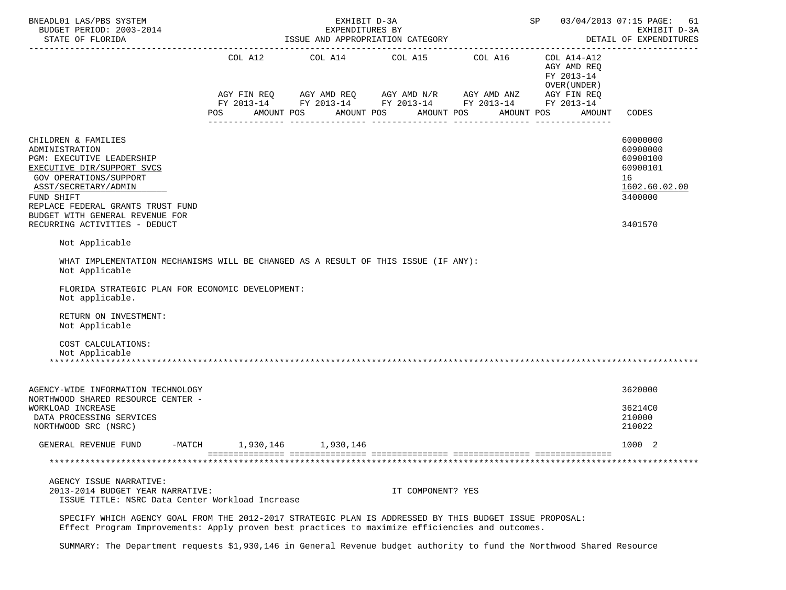| BNEADL01 LAS/PBS SYSTEM<br>BUDGET PERIOD: 2003-2014                                                                                                                                                                                                                              |           | EXHIBIT D-3A<br>EXPENDITURES BY |                                                                                                                                                                        | SP 03/04/2013 07:15 PAGE: | 61<br>EXHIBIT D-3A<br>DETAIL OF EXPENDITURES                                     |                                                                                           |
|----------------------------------------------------------------------------------------------------------------------------------------------------------------------------------------------------------------------------------------------------------------------------------|-----------|---------------------------------|------------------------------------------------------------------------------------------------------------------------------------------------------------------------|---------------------------|----------------------------------------------------------------------------------|-------------------------------------------------------------------------------------------|
|                                                                                                                                                                                                                                                                                  | POS       | AMOUNT POS                      | COL A12 COL A14 COL A15 COL A16<br>AGY FIN REQ AGY AMD REQ AGY AMD N/R AGY AMD ANZ AGY FIN REQ<br>FY 2013-14 FY 2013-14 FY 2013-14 FY 2013-14 FY 2013-14<br>AMOUNT POS | AMOUNT POS                | COL A14-A12<br>AGY AMD REQ<br>FY 2013-14<br>OVER (UNDER)<br>AMOUNT POS<br>AMOUNT | CODES                                                                                     |
| CHILDREN & FAMILIES<br>ADMINISTRATION<br>PGM: EXECUTIVE LEADERSHIP<br>EXECUTIVE DIR/SUPPORT SVCS<br>GOV OPERATIONS/SUPPORT<br>ASST/SECRETARY/ADMIN<br>FUND SHIFT<br>REPLACE FEDERAL GRANTS TRUST FUND<br>BUDGET WITH GENERAL REVENUE FOR<br>RECURRING ACTIVITIES - DEDUCT        |           |                                 |                                                                                                                                                                        |                           |                                                                                  | 60000000<br>60900000<br>60900100<br>60900101<br>16<br>1602.60.02.00<br>3400000<br>3401570 |
| Not Applicable<br>WHAT IMPLEMENTATION MECHANISMS WILL BE CHANGED AS A RESULT OF THIS ISSUE (IF ANY):<br>Not Applicable<br>FLORIDA STRATEGIC PLAN FOR ECONOMIC DEVELOPMENT:<br>Not applicable.<br>RETURN ON INVESTMENT:<br>Not Applicable<br>COST CALCULATIONS:<br>Not Applicable |           |                                 |                                                                                                                                                                        |                           |                                                                                  |                                                                                           |
| AGENCY-WIDE INFORMATION TECHNOLOGY<br>NORTHWOOD SHARED RESOURCE CENTER -<br>WORKLOAD INCREASE<br>DATA PROCESSING SERVICES<br>NORTHWOOD SRC (NSRC)                                                                                                                                |           |                                 |                                                                                                                                                                        |                           |                                                                                  | 3620000<br>36214C0<br>210000<br>210022                                                    |
| GENERAL REVENUE FUND<br>$-MATCH$<br>AGENCY ISSUE NARRATIVE:<br>2013-2014 BUDGET YEAR NARRATIVE:<br>ISSUE TITLE: NSRC Data Center Workload Increase                                                                                                                               | 1,930,146 | 1,930,146                       | IT COMPONENT? YES                                                                                                                                                      |                           |                                                                                  | 1000 2                                                                                    |
| SPECIFY WHICH AGENCY GOAL FROM THE 2012-2017 STRATEGIC PLAN IS ADDRESSED BY THIS BUDGET ISSUE PROPOSAL:<br>Effect Program Improvements: Apply proven best practices to maximize efficiencies and outcomes.                                                                       |           |                                 |                                                                                                                                                                        |                           |                                                                                  |                                                                                           |

SUMMARY: The Department requests \$1,930,146 in General Revenue budget authority to fund the Northwood Shared Resource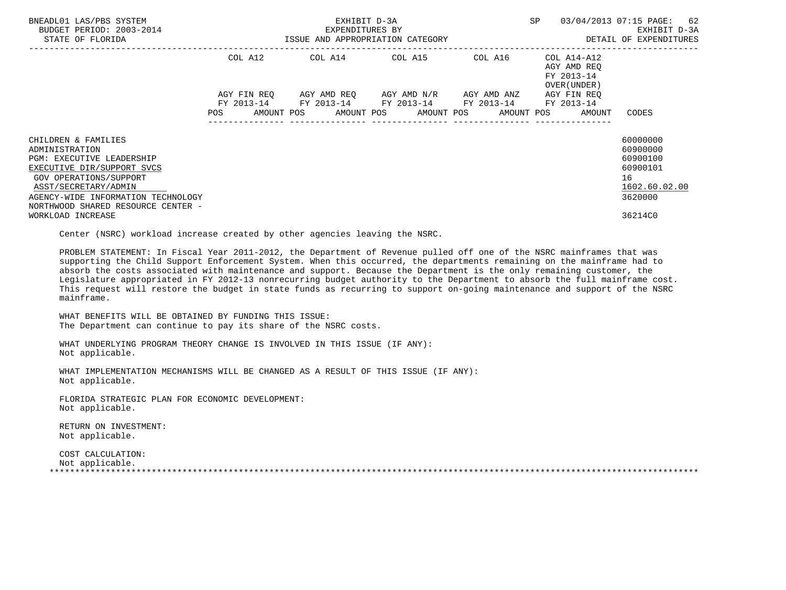| BNEADL01 LAS/PBS SYSTEM<br>BUDGET PERIOD: 2003-2014<br>STATE OF FLORIDA                                                                                                                                                               |                    | EXHIBIT D-3A<br>EXPENDITURES BY<br>ISSUE AND APPROPRIATION CATEGORY | SP                                                                                                                                           | 03/04/2013 07:15 PAGE: 62<br>EXHIBIT D-3A<br>DETAIL OF EXPENDITURES |                                           |                                                                                |
|---------------------------------------------------------------------------------------------------------------------------------------------------------------------------------------------------------------------------------------|--------------------|---------------------------------------------------------------------|----------------------------------------------------------------------------------------------------------------------------------------------|---------------------------------------------------------------------|-------------------------------------------|--------------------------------------------------------------------------------|
|                                                                                                                                                                                                                                       | COL A12            |                                                                     | COL A14 COL A15 COL A16 COL A14-A12                                                                                                          |                                                                     | AGY AMD REO<br>FY 2013-14<br>OVER (UNDER) |                                                                                |
|                                                                                                                                                                                                                                       | AGY FIN REO<br>POS |                                                                     | AGY AMD REO AGY AMD N/R AGY AMD ANZ<br>FY 2013-14 FY 2013-14 FY 2013-14 FY 2013-14 FY 2013-14<br>AMOUNT POS AMOUNT POS AMOUNT POS AMOUNT POS |                                                                     | AGY FIN REO<br>AMOUNT                     | CODES                                                                          |
| CHILDREN & FAMILIES<br>ADMINISTRATION<br><b>PGM: EXECUTIVE LEADERSHIP</b><br>EXECUTIVE DIR/SUPPORT SVCS<br>GOV OPERATIONS/SUPPORT<br>ASST/SECRETARY/ADMIN<br>AGENCY-WIDE INFORMATION TECHNOLOGY<br>NORTHWOOD SHARED RESOURCE CENTER - |                    |                                                                     |                                                                                                                                              |                                                                     |                                           | 60000000<br>60900000<br>60900100<br>60900101<br>16<br>1602.60.02.00<br>3620000 |
| WORKLOAD INCREASE                                                                                                                                                                                                                     |                    |                                                                     |                                                                                                                                              |                                                                     |                                           | 36214C0                                                                        |

Center (NSRC) workload increase created by other agencies leaving the NSRC.

 PROBLEM STATEMENT: In Fiscal Year 2011-2012, the Department of Revenue pulled off one of the NSRC mainframes that was supporting the Child Support Enforcement System. When this occurred, the departments remaining on the mainframe had to absorb the costs associated with maintenance and support. Because the Department is the only remaining customer, the Legislature appropriated in FY 2012-13 nonrecurring budget authority to the Department to absorb the full mainframe cost. This request will restore the budget in state funds as recurring to support on-going maintenance and support of the NSRC mainframe.

 WHAT BENEFITS WILL BE OBTAINED BY FUNDING THIS ISSUE: The Department can continue to pay its share of the NSRC costs.

 WHAT UNDERLYING PROGRAM THEORY CHANGE IS INVOLVED IN THIS ISSUE (IF ANY): Not applicable.

 WHAT IMPLEMENTATION MECHANISMS WILL BE CHANGED AS A RESULT OF THIS ISSUE (IF ANY): Not applicable.

 FLORIDA STRATEGIC PLAN FOR ECONOMIC DEVELOPMENT: Not applicable.

 RETURN ON INVESTMENT: Not applicable.

 COST CALCULATION: Not applicable. \*\*\*\*\*\*\*\*\*\*\*\*\*\*\*\*\*\*\*\*\*\*\*\*\*\*\*\*\*\*\*\*\*\*\*\*\*\*\*\*\*\*\*\*\*\*\*\*\*\*\*\*\*\*\*\*\*\*\*\*\*\*\*\*\*\*\*\*\*\*\*\*\*\*\*\*\*\*\*\*\*\*\*\*\*\*\*\*\*\*\*\*\*\*\*\*\*\*\*\*\*\*\*\*\*\*\*\*\*\*\*\*\*\*\*\*\*\*\*\*\*\*\*\*\*\*\*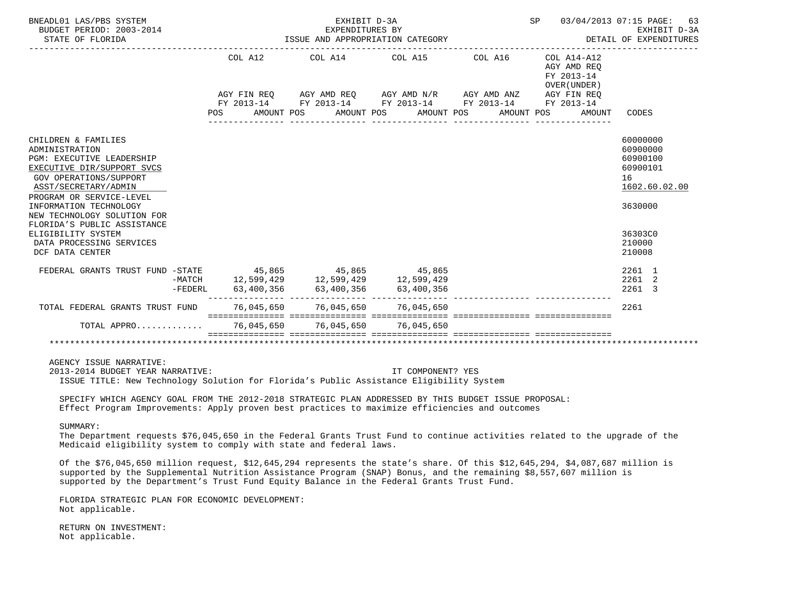| BNEADL01 LAS/PBS SYSTEM<br>BUDGET PERIOD: 2003-2014<br>STATE OF FLORIDA                                                                                                                                | EXHIBIT D-3A<br>SP<br>03/04/2013 07:15 PAGE:<br>EXPENDITURES BY<br>ISSUE AND APPROPRIATION CATEGORY<br>DETAIL OF EXPENDITURES |                 |                                                                                                                                                                                                                                              |            |                                                                    |                                                                     |  |  |  |  |  |
|--------------------------------------------------------------------------------------------------------------------------------------------------------------------------------------------------------|-------------------------------------------------------------------------------------------------------------------------------|-----------------|----------------------------------------------------------------------------------------------------------------------------------------------------------------------------------------------------------------------------------------------|------------|--------------------------------------------------------------------|---------------------------------------------------------------------|--|--|--|--|--|
|                                                                                                                                                                                                        | COL A12<br>AMOUNT POS<br>POS                                                                                                  |                 | COL A14 COL A15 COL A16 COL A14-A12<br>AGY FIN REQ       AGY AMD REQ       AGY AMD N/R       AGY AMD ANZ        AGY FIN REQ<br>FY 2013-14        FY 2013-14       FY 2013-14        FY 2013-14        FY 2013-14<br>AMOUNT POS<br>AMOUNT POS | AMOUNT POS | AGY AMD REO<br>FY 2013-14<br>OVER (UNDER)<br>AGY FIN REQ<br>AMOUNT | CODES                                                               |  |  |  |  |  |
| CHILDREN & FAMILIES<br>ADMINISTRATION<br>PGM: EXECUTIVE LEADERSHIP<br>EXECUTIVE DIR/SUPPORT SVCS<br><b>GOV OPERATIONS/SUPPORT</b><br>ASST/SECRETARY/ADMIN                                              |                                                                                                                               | _______________ | _____________________________________                                                                                                                                                                                                        |            |                                                                    | 60000000<br>60900000<br>60900100<br>60900101<br>16<br>1602.60.02.00 |  |  |  |  |  |
| PROGRAM OR SERVICE-LEVEL<br>INFORMATION TECHNOLOGY<br>NEW TECHNOLOGY SOLUTION FOR<br>FLORIDA'S PUBLIC ASSISTANCE<br>ELIGIBILITY SYSTEM<br>DATA PROCESSING SERVICES<br>DCF DATA CENTER                  |                                                                                                                               |                 |                                                                                                                                                                                                                                              |            |                                                                    | 3630000<br>36303C0<br>210000<br>210008                              |  |  |  |  |  |
| FEDERAL GRANTS TRUST FUND -STATE 45,865 45,865 45,865 -MATCH 12,599,429 12,599,429 -FEDERL 63,400,356 5<br>FEDERL 63,400,356 53,400,356 63,400,356 53,400,356 -FEDERL 63,400,356 63,400,356 63,400,356 |                                                                                                                               |                 |                                                                                                                                                                                                                                              |            |                                                                    | 2261 1<br>2261<br>2<br>2261 3                                       |  |  |  |  |  |
| TOTAL FEDERAL GRANTS TRUST FUND 76.045.650 76.045.650 76.045.650                                                                                                                                       |                                                                                                                               |                 |                                                                                                                                                                                                                                              |            |                                                                    | 2261                                                                |  |  |  |  |  |
| TOTAL APPRO 76,045,650 76,045,650 76,045,650                                                                                                                                                           |                                                                                                                               |                 |                                                                                                                                                                                                                                              |            |                                                                    |                                                                     |  |  |  |  |  |
|                                                                                                                                                                                                        |                                                                                                                               |                 |                                                                                                                                                                                                                                              |            |                                                                    |                                                                     |  |  |  |  |  |
| AGENCY ISSUE NARRATIVE:<br>2013-2014 BUDGET YEAR NARRATIVE:<br>ISSUE TITLE: New Technology Solution for Florida's Public Assistance Eligibility System                                                 |                                                                                                                               |                 | IT COMPONENT? YES                                                                                                                                                                                                                            |            |                                                                    |                                                                     |  |  |  |  |  |

 SPECIFY WHICH AGENCY GOAL FROM THE 2012-2018 STRATEGIC PLAN ADDRESSED BY THIS BUDGET ISSUE PROPOSAL: Effect Program Improvements: Apply proven best practices to maximize efficiencies and outcomes

#### SUMMARY:

 The Department requests \$76,045,650 in the Federal Grants Trust Fund to continue activities related to the upgrade of the Medicaid eligibility system to comply with state and federal laws.

 Of the \$76,045,650 million request, \$12,645,294 represents the state's share. Of this \$12,645,294, \$4,087,687 million is supported by the Supplemental Nutrition Assistance Program (SNAP) Bonus, and the remaining \$8,557,607 million is supported by the Department's Trust Fund Equity Balance in the Federal Grants Trust Fund.

 FLORIDA STRATEGIC PLAN FOR ECONOMIC DEVELOPMENT: Not applicable.

 RETURN ON INVESTMENT: Not applicable.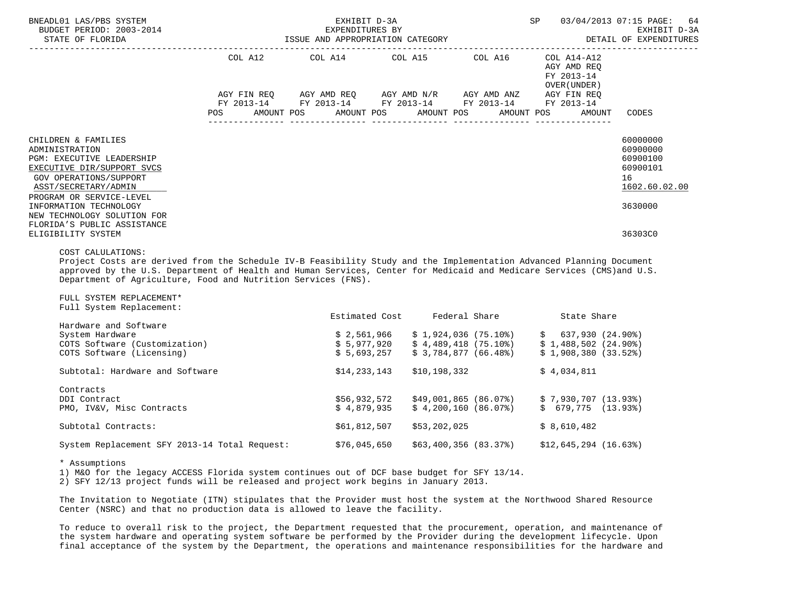| BNEADL01 LAS/PBS SYSTEM<br>BUDGET PERIOD: 2003-2014<br>STATE OF FLORIDA                                                                                                                                                                                                                                                                                                                                                                                                                                                                                            |            | EXHIBIT D-3A<br>EXPENDITURES BY | SP 03/04/2013 07:15 PAGE:<br>ISSUE AND APPROPRIATION CATEGORY <b>EXPENDITURES</b>                          | 64<br>EXHIBIT D-3A   |                                                                                                                                                                                                                                                                                                                          |                                                                                           |
|--------------------------------------------------------------------------------------------------------------------------------------------------------------------------------------------------------------------------------------------------------------------------------------------------------------------------------------------------------------------------------------------------------------------------------------------------------------------------------------------------------------------------------------------------------------------|------------|---------------------------------|------------------------------------------------------------------------------------------------------------|----------------------|--------------------------------------------------------------------------------------------------------------------------------------------------------------------------------------------------------------------------------------------------------------------------------------------------------------------------|-------------------------------------------------------------------------------------------|
|                                                                                                                                                                                                                                                                                                                                                                                                                                                                                                                                                                    |            |                                 | COL A12 COL A14 COL A15 COL A16 COL A14-A12<br>AGY FIN REQ AGY AMD REQ AGY AMD N/R AGY AMD ANZ AGY FIN REQ |                      | AGY AMD REO<br>FY 2013-14<br>OVER (UNDER )                                                                                                                                                                                                                                                                               |                                                                                           |
|                                                                                                                                                                                                                                                                                                                                                                                                                                                                                                                                                                    | <b>POS</b> |                                 | FY 2013-14 FY 2013-14 FY 2013-14 FY 2013-14 FY 2013-14<br>AMOUNT POS AMOUNT POS AMOUNT POS AMOUNT POS      |                      | AMOUNT                                                                                                                                                                                                                                                                                                                   | CODES                                                                                     |
| CHILDREN & FAMILIES<br>ADMINISTRATION<br>PGM: EXECUTIVE LEADERSHIP<br>EXECUTIVE DIR/SUPPORT SVCS<br>GOV OPERATIONS/SUPPORT<br>ASST/SECRETARY/ADMIN<br>PROGRAM OR SERVICE-LEVEL<br>INFORMATION TECHNOLOGY<br>NEW TECHNOLOGY SOLUTION FOR<br>FLORIDA'S PUBLIC ASSISTANCE<br>ELIGIBILITY SYSTEM<br>COST CALULATIONS:<br>Project Costs are derived from the Schedule IV-B Feasibility Study and the Implementation Advanced Planning Document<br>approved by the U.S. Department of Health and Human Services, Center for Medicaid and Medicare Services (CMS)and U.S. |            |                                 |                                                                                                            |                      |                                                                                                                                                                                                                                                                                                                          | 60000000<br>60900000<br>60900100<br>60900101<br>16<br>1602.60.02.00<br>3630000<br>36303C0 |
| Department of Agriculture, Food and Nutrition Services (FNS).<br>FULL SYSTEM REPLACEMENT*<br>Full System Replacement:                                                                                                                                                                                                                                                                                                                                                                                                                                              |            |                                 |                                                                                                            |                      |                                                                                                                                                                                                                                                                                                                          |                                                                                           |
| Hardware and Software                                                                                                                                                                                                                                                                                                                                                                                                                                                                                                                                              |            |                                 | Estimated Cost Federal Share                                                                               |                      | State Share                                                                                                                                                                                                                                                                                                              |                                                                                           |
| System Hardware<br>COTS Software (Customization)<br>COTS Software (Licensing)                                                                                                                                                                                                                                                                                                                                                                                                                                                                                      |            | \$5,693,257                     |                                                                                                            | \$3,784,877 (66.48%) | $\begin{array}{ccccccccc} \xi & 2,561,966 & & \xi & 1,924,036 & & (75.108) & & \xi & 637,930 & & (24.908) \\ \xi & 5,977,920 & & \xi & 4,489,418 & & (75.108) & & \xi & 1,488,502 & & (24.908) \\ \xi & \xi & 693,257 & & \xi & 2,794,937 & & (56.498) & & & 2,1,000,290 & & (23.508) \end{array}$<br>\$1,908,380(33.52) |                                                                                           |
| Subtotal: Hardware and Software                                                                                                                                                                                                                                                                                                                                                                                                                                                                                                                                    |            |                                 | $$14,233,143$ $$10,198,332$                                                                                |                      | \$4,034,811                                                                                                                                                                                                                                                                                                              |                                                                                           |

| Contracts                                     |              |                                                        |                       |
|-----------------------------------------------|--------------|--------------------------------------------------------|-----------------------|
| DDI Contract                                  | \$56,932,572 | \$49,001,865 (86.07%)                                  | \$7,930,707 (13.93%)  |
| PMO, IV&V, Misc Contracts                     |              | $\texttt{S}$ 4.879.935 $\texttt{S}$ 4.200.160 (86.07%) | \$ 679,775 (13.93%)   |
| Subtotal Contracts:                           | \$61,812,507 | \$53,202,025                                           | \$ 8,610,482          |
| System Replacement SFY 2013-14 Total Request: | \$76,045,650 | \$63,400,356 (83.37%)                                  | \$12,645,294 (16.63%) |

\* Assumptions

1) M&O for the legacy ACCESS Florida system continues out of DCF base budget for SFY 13/14.

2) SFY 12/13 project funds will be released and project work begins in January 2013.

 The Invitation to Negotiate (ITN) stipulates that the Provider must host the system at the Northwood Shared Resource Center (NSRC) and that no production data is allowed to leave the facility.

 To reduce to overall risk to the project, the Department requested that the procurement, operation, and maintenance of the system hardware and operating system software be performed by the Provider during the development lifecycle. Upon final acceptance of the system by the Department, the operations and maintenance responsibilities for the hardware and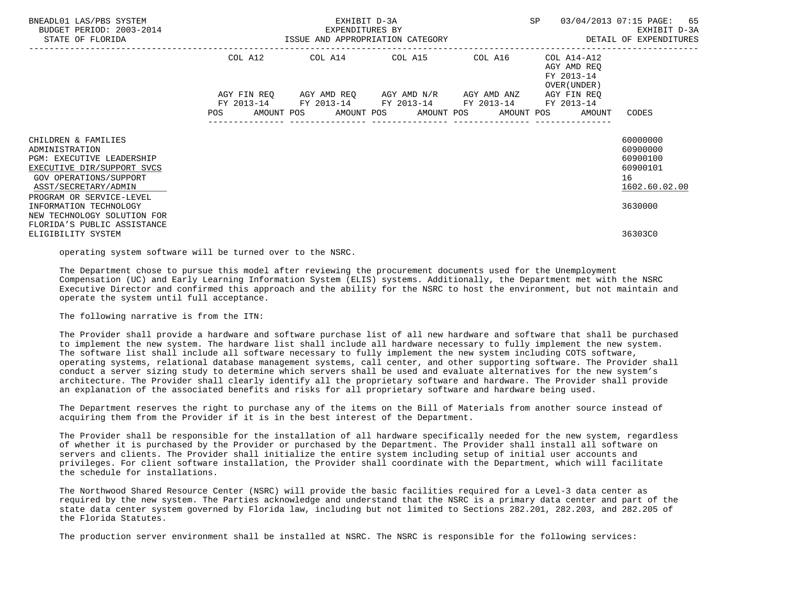| BNEADL01 LAS/PBS SYSTEM<br>BUDGET PERIOD: 2003-2014<br>STATE OF FLORIDA                                                                            |                    | EXHIBIT D-3A<br>EXPENDITURES BY<br>ISSUE AND APPROPRIATION CATEGORY             | SP                                                | 03/04/2013 07:15 PAGE:<br>65<br>EXHIBIT D-3A<br>DETAIL OF EXPENDITURES |                                                             |                                                                     |
|----------------------------------------------------------------------------------------------------------------------------------------------------|--------------------|---------------------------------------------------------------------------------|---------------------------------------------------|------------------------------------------------------------------------|-------------------------------------------------------------|---------------------------------------------------------------------|
|                                                                                                                                                    | COL A12            |                                                                                 | COL A14 COL A15                                   | COL A16                                                                | $COL A14- A12$<br>AGY AMD REQ<br>FY 2013-14<br>OVER (UNDER) |                                                                     |
|                                                                                                                                                    | AGY FIN REO<br>POS | FY 2013-14 FY 2013-14 FY 2013-14 FY 2013-14<br>AMOUNT POS AMOUNT POS AMOUNT POS | AGY AMD REQ        AGY AMD N/R        AGY AMD ANZ |                                                                        | AGY FIN REO<br>FY 2013-14<br>AMOUNT POS<br>AMOUNT           | CODES                                                               |
| CHILDREN & FAMILIES<br>ADMINISTRATION<br>PGM: EXECUTIVE LEADERSHIP<br>EXECUTIVE DIR/SUPPORT SVCS<br>GOV OPERATIONS/SUPPORT<br>ASST/SECRETARY/ADMIN |                    |                                                                                 |                                                   |                                                                        |                                                             | 60000000<br>60900000<br>60900100<br>60900101<br>16<br>1602.60.02.00 |
| PROGRAM OR SERVICE-LEVEL<br>INFORMATION TECHNOLOGY<br>NEW TECHNOLOGY SOLUTION FOR<br>FLORIDA'S PUBLIC ASSISTANCE<br>ELIGIBILITY SYSTEM             |                    |                                                                                 |                                                   |                                                                        |                                                             | 3630000<br>36303C0                                                  |

operating system software will be turned over to the NSRC.

 The Department chose to pursue this model after reviewing the procurement documents used for the Unemployment Compensation (UC) and Early Learning Information System (ELIS) systems. Additionally, the Department met with the NSRC Executive Director and confirmed this approach and the ability for the NSRC to host the environment, but not maintain and operate the system until full acceptance.

The following narrative is from the ITN:

 The Provider shall provide a hardware and software purchase list of all new hardware and software that shall be purchased to implement the new system. The hardware list shall include all hardware necessary to fully implement the new system. The software list shall include all software necessary to fully implement the new system including COTS software, operating systems, relational database management systems, call center, and other supporting software. The Provider shall conduct a server sizing study to determine which servers shall be used and evaluate alternatives for the new system's architecture. The Provider shall clearly identify all the proprietary software and hardware. The Provider shall provide an explanation of the associated benefits and risks for all proprietary software and hardware being used.

 The Department reserves the right to purchase any of the items on the Bill of Materials from another source instead of acquiring them from the Provider if it is in the best interest of the Department.

 The Provider shall be responsible for the installation of all hardware specifically needed for the new system, regardless of whether it is purchased by the Provider or purchased by the Department. The Provider shall install all software on servers and clients. The Provider shall initialize the entire system including setup of initial user accounts and privileges. For client software installation, the Provider shall coordinate with the Department, which will facilitate the schedule for installations.

 The Northwood Shared Resource Center (NSRC) will provide the basic facilities required for a Level-3 data center as required by the new system. The Parties acknowledge and understand that the NSRC is a primary data center and part of the state data center system governed by Florida law, including but not limited to Sections 282.201, 282.203, and 282.205 of the Florida Statutes.

The production server environment shall be installed at NSRC. The NSRC is responsible for the following services: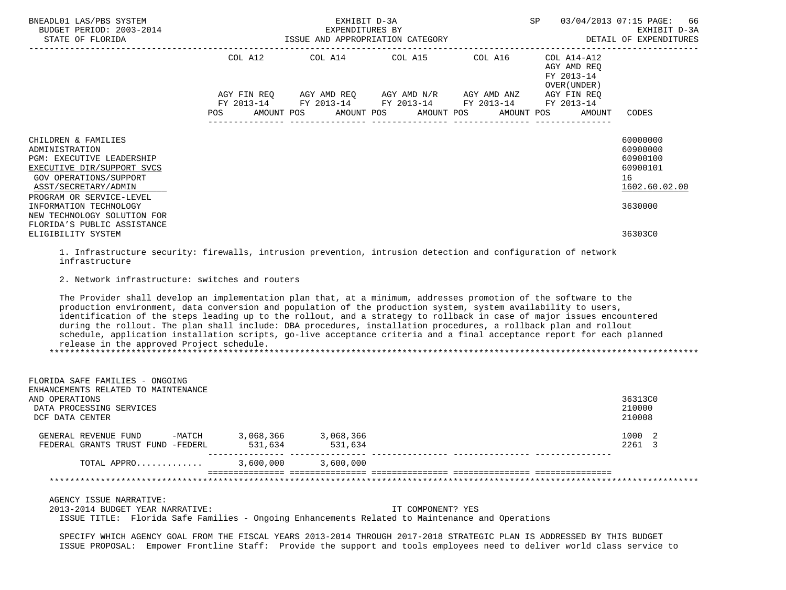| BNEADL01 LAS/PBS SYSTEM<br>BUDGET PERIOD: 2003-2014<br>STATE OF FLORIDA                                                                                                        | ISSUE AND APPROPRIATION CATEGORY | SP                                                                              | 66<br>03/04/2013 07:15 PAGE:<br>EXHIBIT D-3A<br>DETAIL OF EXPENDITURES |         |                                                          |                                                                     |
|--------------------------------------------------------------------------------------------------------------------------------------------------------------------------------|----------------------------------|---------------------------------------------------------------------------------|------------------------------------------------------------------------|---------|----------------------------------------------------------|---------------------------------------------------------------------|
|                                                                                                                                                                                | COL A12                          |                                                                                 | COL A14 COL A15                                                        | COL A16 | COL A14-A12<br>AGY AMD REO<br>FY 2013-14<br>OVER (UNDER) |                                                                     |
|                                                                                                                                                                                | AGY FIN REO<br>POS               | FY 2013-14 FY 2013-14 FY 2013-14 FY 2013-14<br>AMOUNT POS AMOUNT POS AMOUNT POS | AGY AMD REQ       AGY AMD N/R       AGY AMD ANZ                        |         | AGY FIN REO<br>FY 2013-14<br>AMOUNT POS<br>AMOUNT        | CODES                                                               |
| CHILDREN & FAMILIES<br>ADMINISTRATION<br>PGM: EXECUTIVE LEADERSHIP<br>EXECUTIVE DIR/SUPPORT SVCS<br>GOV OPERATIONS/SUPPORT<br>ASST/SECRETARY/ADMIN<br>PROGRAM OR SERVICE-LEVEL |                                  |                                                                                 |                                                                        |         |                                                          | 60000000<br>60900000<br>60900100<br>60900101<br>16<br>1602.60.02.00 |
| INFORMATION TECHNOLOGY<br>NEW TECHNOLOGY SOLUTION FOR<br>FLORIDA'S PUBLIC ASSISTANCE<br>ELIGIBILITY SYSTEM                                                                     |                                  |                                                                                 |                                                                        |         |                                                          | 3630000<br>36303C0                                                  |

 1. Infrastructure security: firewalls, intrusion prevention, intrusion detection and configuration of network infrastructure

2. Network infrastructure: switches and routers

 The Provider shall develop an implementation plan that, at a minimum, addresses promotion of the software to the production environment, data conversion and population of the production system, system availability to users, identification of the steps leading up to the rollout, and a strategy to rollback in case of major issues encountered during the rollout. The plan shall include: DBA procedures, installation procedures, a rollback plan and rollout schedule, application installation scripts, go-live acceptance criteria and a final acceptance report for each planned release in the approved Project schedule. \*\*\*\*\*\*\*\*\*\*\*\*\*\*\*\*\*\*\*\*\*\*\*\*\*\*\*\*\*\*\*\*\*\*\*\*\*\*\*\*\*\*\*\*\*\*\*\*\*\*\*\*\*\*\*\*\*\*\*\*\*\*\*\*\*\*\*\*\*\*\*\*\*\*\*\*\*\*\*\*\*\*\*\*\*\*\*\*\*\*\*\*\*\*\*\*\*\*\*\*\*\*\*\*\*\*\*\*\*\*\*\*\*\*\*\*\*\*\*\*\*\*\*\*\*\*\*

| FLORIDA SAFE FAMILIES - ONGOING<br>ENHANCEMENTS RELATED TO MAINTENANCE<br>AND OPERATIONS<br>DATA PROCESSING SERVICES<br>DCF DATA CENTER |                      |                      |                                                                                                                      | 36313C0<br>210000<br>210008 |
|-----------------------------------------------------------------------------------------------------------------------------------------|----------------------|----------------------|----------------------------------------------------------------------------------------------------------------------|-----------------------------|
| -MATCH<br>GENERAL REVENUE FUND<br>FEDERAL GRANTS TRUST FUND -FEDERL                                                                     | 3,068,366<br>531,634 | 3,068,366<br>531,634 |                                                                                                                      | 1000<br>- 2<br>2261<br>- 3  |
| TOTAL APPRO                                                                                                                             | 3,600,000            | 3,600,000            |                                                                                                                      |                             |
|                                                                                                                                         |                      |                      |                                                                                                                      |                             |
| AGENCY ISSUE NARRATIVE:<br>2013-2014 BUDGET YEAR NARRATIVE:                                                                             |                      |                      | IT COMPONENT? YES<br>ISSUE TITLE: Florida Safe Families - Ongoing Enhancements Related to Maintenance and Operations |                             |

 SPECIFY WHICH AGENCY GOAL FROM THE FISCAL YEARS 2013-2014 THROUGH 2017-2018 STRATEGIC PLAN IS ADDRESSED BY THIS BUDGET ISSUE PROPOSAL: Empower Frontline Staff: Provide the support and tools employees need to deliver world class service to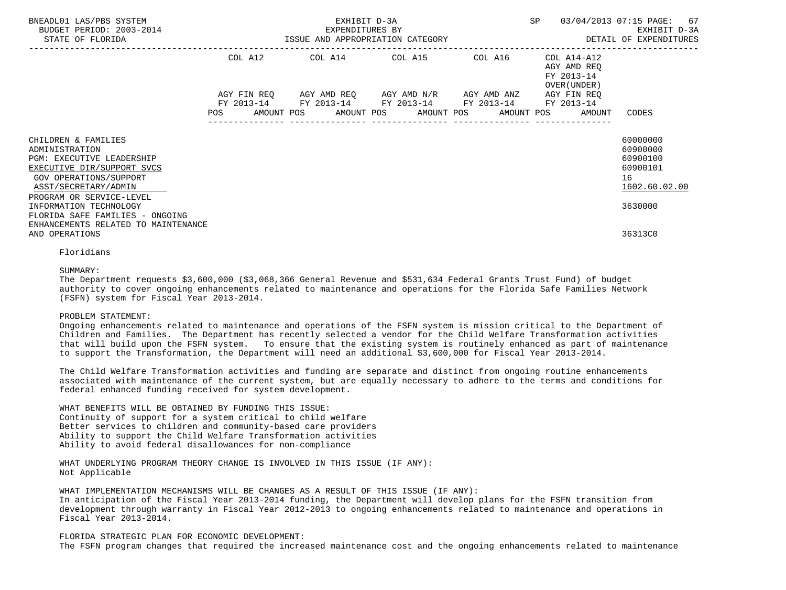| BNEADL01 LAS/PBS SYSTEM<br>BUDGET PERIOD: 2003-2014<br>STATE OF FLORIDA                                                                                                        | EXHIBIT D-3A<br><b>SP</b><br>EXPENDITURES BY<br>ISSUE AND APPROPRIATION CATEGORY |         |  |                                                                                                                                                          |  |  |  |         |  |                                                          | 03/04/2013 07:15 PAGE: 67<br>EXHIBIT D-3A<br>DETAIL OF EXPENDITURES |  |
|--------------------------------------------------------------------------------------------------------------------------------------------------------------------------------|----------------------------------------------------------------------------------|---------|--|----------------------------------------------------------------------------------------------------------------------------------------------------------|--|--|--|---------|--|----------------------------------------------------------|---------------------------------------------------------------------|--|
|                                                                                                                                                                                |                                                                                  | COL A12 |  | COL A14 COL A15                                                                                                                                          |  |  |  | COL A16 |  | COL A14-A12<br>AGY AMD REO<br>FY 2013-14<br>OVER (UNDER) |                                                                     |  |
|                                                                                                                                                                                | POS                                                                              |         |  | AGY FIN REQ AGY AMD REQ AGY AMD N/R AGY AMD ANZ<br>FY 2013-14 FY 2013-14 FY 2013-14 FY 2013-14 FY 2013-14<br>AMOUNT POS AMOUNT POS AMOUNT POS AMOUNT POS |  |  |  |         |  | AGY FIN REO<br>AMOUNT                                    | CODES                                                               |  |
| CHILDREN & FAMILIES<br>ADMINISTRATION<br>PGM: EXECUTIVE LEADERSHIP<br>EXECUTIVE DIR/SUPPORT SVCS<br>GOV OPERATIONS/SUPPORT<br>ASST/SECRETARY/ADMIN<br>PROGRAM OR SERVICE-LEVEL |                                                                                  |         |  |                                                                                                                                                          |  |  |  |         |  |                                                          | 60000000<br>60900000<br>60900100<br>60900101<br>16<br>1602.60.02.00 |  |
| INFORMATION TECHNOLOGY<br>FLORIDA SAFE FAMILIES - ONGOING<br>ENHANCEMENTS RELATED TO MAINTENANCE<br>AND OPERATIONS                                                             |                                                                                  |         |  |                                                                                                                                                          |  |  |  |         |  |                                                          | 3630000<br>36313C0                                                  |  |

# Floridians

### SUMMARY:

 The Department requests \$3,600,000 (\$3,068,366 General Revenue and \$531,634 Federal Grants Trust Fund) of budget authority to cover ongoing enhancements related to maintenance and operations for the Florida Safe Families Network (FSFN) system for Fiscal Year 2013-2014.

# PROBLEM STATEMENT:

 Ongoing enhancements related to maintenance and operations of the FSFN system is mission critical to the Department of Children and Families. The Department has recently selected a vendor for the Child Welfare Transformation activities that will build upon the FSFN system. To ensure that the existing system is routinely enhanced as part of maintenance to support the Transformation, the Department will need an additional \$3,600,000 for Fiscal Year 2013-2014.

 The Child Welfare Transformation activities and funding are separate and distinct from ongoing routine enhancements associated with maintenance of the current system, but are equally necessary to adhere to the terms and conditions for federal enhanced funding received for system development.

 WHAT BENEFITS WILL BE OBTAINED BY FUNDING THIS ISSUE: Continuity of support for a system critical to child welfare Better services to children and community-based care providers Ability to support the Child Welfare Transformation activities Ability to avoid federal disallowances for non-compliance

 WHAT UNDERLYING PROGRAM THEORY CHANGE IS INVOLVED IN THIS ISSUE (IF ANY): Not Applicable

WHAT IMPLEMENTATION MECHANISMS WILL BE CHANGES AS A RESULT OF THIS ISSUE (IF ANY):

 In anticipation of the Fiscal Year 2013-2014 funding, the Department will develop plans for the FSFN transition from development through warranty in Fiscal Year 2012-2013 to ongoing enhancements related to maintenance and operations in Fiscal Year 2013-2014.

# FLORIDA STRATEGIC PLAN FOR ECONOMIC DEVELOPMENT:

The FSFN program changes that required the increased maintenance cost and the ongoing enhancements related to maintenance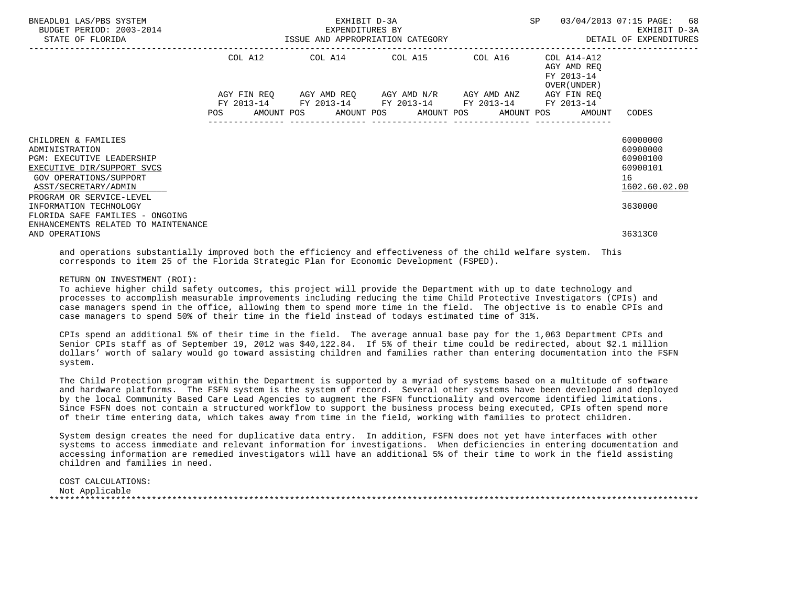| BNEADL01 LAS/PBS SYSTEM<br>BUDGET PERIOD: 2003-2014<br>STATE OF FLORIDA                                                                                                                                         | SP<br>EXHIBIT D-3A<br>EXPENDITURES BY<br>ISSUE AND APPROPRIATION CATEGORY |  |  |                                                                                                                       |  |  |  |         |  |                                                           | 03/04/2013 07:15 PAGE: 68<br>EXHIBIT D-3A<br>DETAIL OF EXPENDITURES            |
|-----------------------------------------------------------------------------------------------------------------------------------------------------------------------------------------------------------------|---------------------------------------------------------------------------|--|--|-----------------------------------------------------------------------------------------------------------------------|--|--|--|---------|--|-----------------------------------------------------------|--------------------------------------------------------------------------------|
|                                                                                                                                                                                                                 |                                                                           |  |  | COL A12 COL A14 COL A15                                                                                               |  |  |  | COL A16 |  | COL A14-A12<br>AGY AMD REO<br>FY 2013-14<br>OVER (UNDER ) |                                                                                |
|                                                                                                                                                                                                                 | <b>POS</b>                                                                |  |  | AGY FIN REQ AGY AMD REQ AGY AMD N/R AGY AMD ANZ AGY FIN REQ<br>FY 2013-14 FY 2013-14 FY 2013-14 FY 2013-14 FY 2013-14 |  |  |  |         |  | AMOUNT POS AMOUNT POS AMOUNT POS AMOUNT POS AMOUNT        | CODES                                                                          |
| CHILDREN & FAMILIES<br>ADMINISTRATION<br><b>PGM: EXECUTIVE LEADERSHIP</b><br>EXECUTIVE DIR/SUPPORT SVCS<br>GOV OPERATIONS/SUPPORT<br>ASST/SECRETARY/ADMIN<br>PROGRAM OR SERVICE-LEVEL<br>INFORMATION TECHNOLOGY |                                                                           |  |  |                                                                                                                       |  |  |  |         |  |                                                           | 60000000<br>60900000<br>60900100<br>60900101<br>16<br>1602.60.02.00<br>3630000 |
| FLORIDA SAFE FAMILIES - ONGOING<br>ENHANCEMENTS RELATED TO MAINTENANCE<br>AND OPERATIONS                                                                                                                        |                                                                           |  |  |                                                                                                                       |  |  |  |         |  |                                                           | 36313C0                                                                        |

 and operations substantially improved both the efficiency and effectiveness of the child welfare system. This corresponds to item 25 of the Florida Strategic Plan for Economic Development (FSPED).

### RETURN ON INVESTMENT (ROI):

 To achieve higher child safety outcomes, this project will provide the Department with up to date technology and processes to accomplish measurable improvements including reducing the time Child Protective Investigators (CPIs) and case managers spend in the office, allowing them to spend more time in the field. The objective is to enable CPIs and case managers to spend 50% of their time in the field instead of todays estimated time of 31%.

 CPIs spend an additional 5% of their time in the field. The average annual base pay for the 1,063 Department CPIs and Senior CPIs staff as of September 19, 2012 was \$40,122.84. If 5% of their time could be redirected, about \$2.1 million dollars' worth of salary would go toward assisting children and families rather than entering documentation into the FSFN system.

 The Child Protection program within the Department is supported by a myriad of systems based on a multitude of software and hardware platforms. The FSFN system is the system of record. Several other systems have been developed and deployed by the local Community Based Care Lead Agencies to augment the FSFN functionality and overcome identified limitations. Since FSFN does not contain a structured workflow to support the business process being executed, CPIs often spend more of their time entering data, which takes away from time in the field, working with families to protect children.

 System design creates the need for duplicative data entry. In addition, FSFN does not yet have interfaces with other systems to access immediate and relevant information for investigations. When deficiencies in entering documentation and accessing information are remedied investigators will have an additional 5% of their time to work in the field assisting children and families in need.

 COST CALCULATIONS: Not Applicable \*\*\*\*\*\*\*\*\*\*\*\*\*\*\*\*\*\*\*\*\*\*\*\*\*\*\*\*\*\*\*\*\*\*\*\*\*\*\*\*\*\*\*\*\*\*\*\*\*\*\*\*\*\*\*\*\*\*\*\*\*\*\*\*\*\*\*\*\*\*\*\*\*\*\*\*\*\*\*\*\*\*\*\*\*\*\*\*\*\*\*\*\*\*\*\*\*\*\*\*\*\*\*\*\*\*\*\*\*\*\*\*\*\*\*\*\*\*\*\*\*\*\*\*\*\*\*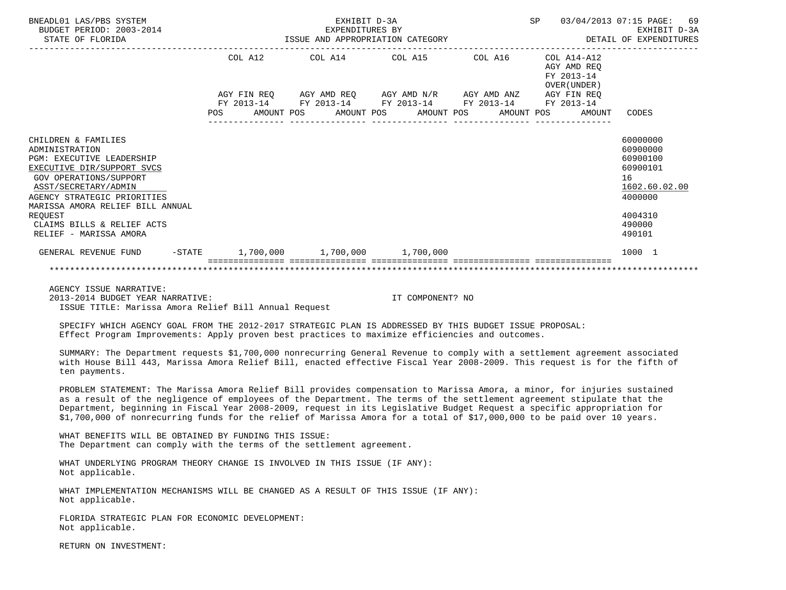| BNEADL01 LAS/PBS SYSTEM<br>BUDGET PERIOD: 2003-2014<br>STATE OF FLORIDA |     | EXPENDITURES BY<br>ISSUE AND APPROPRIATION CATEGORY    |  | SP |  | 69<br>03/04/2013 07:15 PAGE:<br>EXHIBIT D-3A<br>DETAIL OF EXPENDITURES |  |              |                                          |                      |
|-------------------------------------------------------------------------|-----|--------------------------------------------------------|--|----|--|------------------------------------------------------------------------|--|--------------|------------------------------------------|----------------------|
|                                                                         |     |                                                        |  |    |  | COL A12 COL A14 COL A15 COL A16                                        |  |              | COL A14-A12<br>AGY AMD REO<br>FY 2013-14 |                      |
|                                                                         |     |                                                        |  |    |  | AGY FIN REQ AGY AMD REQ AGY AMD N/R AGY AMD ANZ AGY FIN REQ            |  | OVER (UNDER) |                                          |                      |
|                                                                         |     | FY 2013-14 FY 2013-14 FY 2013-14 FY 2013-14 FY 2013-14 |  |    |  |                                                                        |  |              |                                          |                      |
|                                                                         | POS |                                                        |  |    |  | AMOUNT POS AMOUNT POS AMOUNT POS AMOUNT POS                            |  |              | AMOUNT                                   | CODES                |
| CHILDREN & FAMILIES                                                     |     |                                                        |  |    |  |                                                                        |  |              |                                          | 60000000             |
| ADMINISTRATION<br><b>PGM: EXECUTIVE LEADERSHIP</b>                      |     |                                                        |  |    |  |                                                                        |  |              |                                          | 60900000<br>60900100 |
| EXECUTIVE DIR/SUPPORT SVCS                                              |     |                                                        |  |    |  |                                                                        |  |              |                                          | 60900101             |
| GOV OPERATIONS/SUPPORT                                                  |     |                                                        |  |    |  |                                                                        |  |              |                                          | 16                   |
| ASST/SECRETARY/ADMIN                                                    |     |                                                        |  |    |  |                                                                        |  |              |                                          | 1602.60.02.00        |
| AGENCY STRATEGIC PRIORITIES                                             |     |                                                        |  |    |  |                                                                        |  |              |                                          | 4000000              |
| MARISSA AMORA RELIEF BILL ANNUAL                                        |     |                                                        |  |    |  |                                                                        |  |              |                                          |                      |
| REQUEST<br>CLAIMS BILLS & RELIEF ACTS                                   |     |                                                        |  |    |  |                                                                        |  |              |                                          | 4004310<br>490000    |
| RELIEF - MARISSA AMORA                                                  |     |                                                        |  |    |  |                                                                        |  |              |                                          | 490101               |
| GENERAL REVENUE FUND -STATE 1,700,000 1,700,000 1,700,000               |     |                                                        |  |    |  |                                                                        |  |              |                                          | 1000 1               |
|                                                                         |     |                                                        |  |    |  |                                                                        |  |              |                                          |                      |
| AGENCY ISSUE NARRATIVE:                                                 |     |                                                        |  |    |  |                                                                        |  |              |                                          |                      |

 2013-2014 BUDGET YEAR NARRATIVE: IT COMPONENT? NO ISSUE TITLE: Marissa Amora Relief Bill Annual Request

SPECIFY WHICH AGENCY GOAL FROM THE 2012-2017 STRATEGIC PLAN IS ADDRESSED BY THIS BUDGET ISSUE PROPOSAL:

Effect Program Improvements: Apply proven best practices to maximize efficiencies and outcomes.

 SUMMARY: The Department requests \$1,700,000 nonrecurring General Revenue to comply with a settlement agreement associated with House Bill 443, Marissa Amora Relief Bill, enacted effective Fiscal Year 2008-2009. This request is for the fifth of ten payments.

 PROBLEM STATEMENT: The Marissa Amora Relief Bill provides compensation to Marissa Amora, a minor, for injuries sustained as a result of the negligence of employees of the Department. The terms of the settlement agreement stipulate that the Department, beginning in Fiscal Year 2008-2009, request in its Legislative Budget Request a specific appropriation for \$1,700,000 of nonrecurring funds for the relief of Marissa Amora for a total of \$17,000,000 to be paid over 10 years.

 WHAT BENEFITS WILL BE OBTAINED BY FUNDING THIS ISSUE: The Department can comply with the terms of the settlement agreement.

 WHAT UNDERLYING PROGRAM THEORY CHANGE IS INVOLVED IN THIS ISSUE (IF ANY): Not applicable.

 WHAT IMPLEMENTATION MECHANISMS WILL BE CHANGED AS A RESULT OF THIS ISSUE (IF ANY): Not applicable.

 FLORIDA STRATEGIC PLAN FOR ECONOMIC DEVELOPMENT: Not applicable.

RETURN ON INVESTMENT: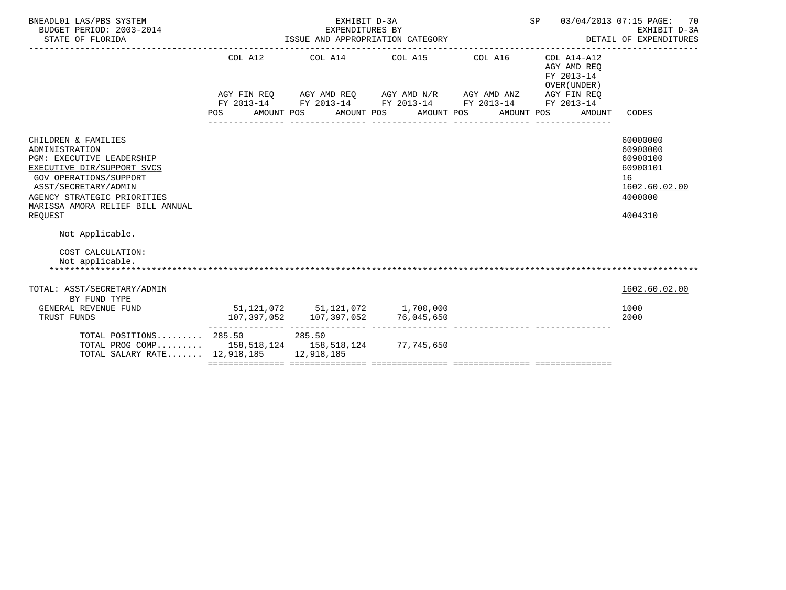| BNEADL01 LAS/PBS SYSTEM<br>BUDGET PERIOD: 2003-2014<br>STATE OF FLORIDA                                                                                                                                                                 | EXHIBIT D-3A<br>EXPENDITURES BY<br>ISSUE AND APPROPRIATION CATEGORY |                                                                 |                                                                                                                                                                   |                       | SP<br>03/04/2013 07:15 PAGE:<br>70<br>EXHIBIT D-3A<br>DETAIL OF EXPENDITURES |                                                                                           |  |
|-----------------------------------------------------------------------------------------------------------------------------------------------------------------------------------------------------------------------------------------|---------------------------------------------------------------------|-----------------------------------------------------------------|-------------------------------------------------------------------------------------------------------------------------------------------------------------------|-----------------------|------------------------------------------------------------------------------|-------------------------------------------------------------------------------------------|--|
|                                                                                                                                                                                                                                         | COL A12<br>POS                                                      | AMOUNT POS                                                      | COL A14 COL A15<br>AGY FIN REQ AGY AMD REQ AGY AMD N/R AGY AMD ANZ AGY FIN REQ<br>FY 2013-14 FY 2013-14 FY 2013-14 FY 2013-14 FY 2013-14<br>AMOUNT POS AMOUNT POS | COL A16<br>AMOUNT POS | COL A14-A12<br>AGY AMD REO<br>FY 2013-14<br>OVER (UNDER)<br>AMOUNT           | CODES                                                                                     |  |
| CHILDREN & FAMILIES<br>ADMINISTRATION<br><b>PGM: EXECUTIVE LEADERSHIP</b><br>EXECUTIVE DIR/SUPPORT SVCS<br>GOV OPERATIONS/SUPPORT<br>ASST/SECRETARY/ADMIN<br>AGENCY STRATEGIC PRIORITIES<br>MARISSA AMORA RELIEF BILL ANNUAL<br>REOUEST |                                                                     |                                                                 |                                                                                                                                                                   |                       |                                                                              | 60000000<br>60900000<br>60900100<br>60900101<br>16<br>1602.60.02.00<br>4000000<br>4004310 |  |
| Not Applicable.<br>COST CALCULATION:<br>Not applicable.                                                                                                                                                                                 |                                                                     |                                                                 |                                                                                                                                                                   |                       |                                                                              |                                                                                           |  |
| TOTAL: ASST/SECRETARY/ADMIN<br>BY FUND TYPE                                                                                                                                                                                             |                                                                     |                                                                 |                                                                                                                                                                   |                       |                                                                              | 1602.60.02.00                                                                             |  |
| GENERAL REVENUE FUND<br>TRUST FUNDS                                                                                                                                                                                                     |                                                                     | 107,397,052 107,397,052<br>-------------- --------------- ----- | 51,121,072 51,121,072 1,700,000<br>76,045,650                                                                                                                     |                       |                                                                              | 1000<br>2000                                                                              |  |
| TOTAL POSITIONS 285.50 285.50<br>TOTAL PROG COMP 158,518,124 158,518,124 77,745,650<br>TOTAL SALARY RATE 12,918,185 12,918,185                                                                                                          |                                                                     |                                                                 |                                                                                                                                                                   |                       |                                                                              |                                                                                           |  |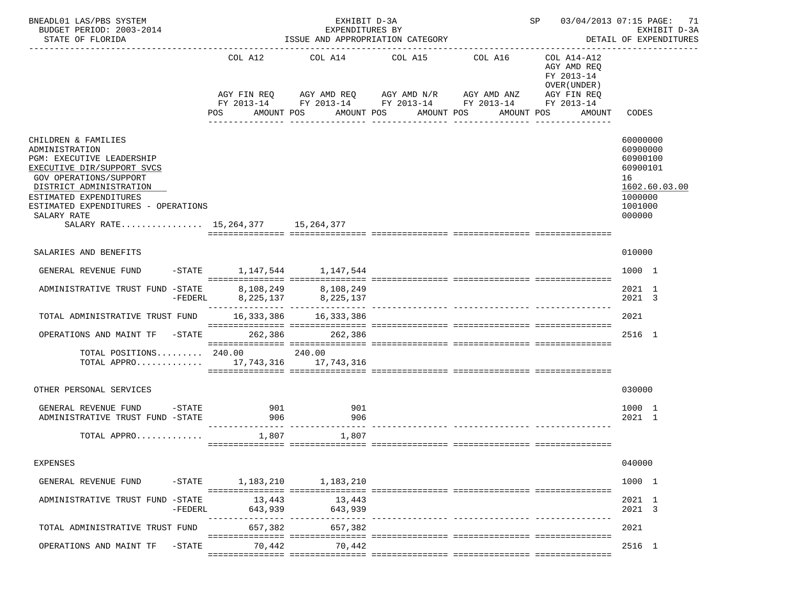| BNEADL01 LAS/PBS SYSTEM<br>BUDGET PERIOD: 2003-2014<br>STATE OF FLORIDA                                                                                                                                                                                                               |                                   | EXHIBIT D-3A<br>EXPENDITURES BY | ISSUE AND APPROPRIATION CATEGORY                                                                                                                                                  | SP 03/04/2013 07:15 PAGE: 71                                                                                  | EXHIBIT D-3A<br>DETAIL OF EXPENDITURES                                                              |
|---------------------------------------------------------------------------------------------------------------------------------------------------------------------------------------------------------------------------------------------------------------------------------------|-----------------------------------|---------------------------------|-----------------------------------------------------------------------------------------------------------------------------------------------------------------------------------|---------------------------------------------------------------------------------------------------------------|-----------------------------------------------------------------------------------------------------|
|                                                                                                                                                                                                                                                                                       | COL A12<br>POS                    | COL A14<br>AMOUNT POS           | COL A15 COL A16<br>AGY FIN REQ 6 AGY AMD REQ 6 AGY AMD N/R 66 AGY AMD ANZ<br>FY 2013-14 FY 2013-14 FY 2013-14 FY 2013-14<br>AMOUNT POS<br>AMOUNT POS<br>-----------<br>---------- | COL A14-A12<br>AGY AMD REQ<br>FY 2013-14<br>OVER (UNDER)<br>AGY FIN REQ<br>FY 2013-14<br>AMOUNT POS<br>AMOUNT | CODES                                                                                               |
| CHILDREN & FAMILIES<br>ADMINISTRATION<br>PGM: EXECUTIVE LEADERSHIP<br>EXECUTIVE DIR/SUPPORT SVCS<br><b>GOV OPERATIONS/SUPPORT</b><br>DISTRICT ADMINISTRATION<br>ESTIMATED EXPENDITURES<br>ESTIMATED EXPENDITURES - OPERATIONS<br>SALARY RATE<br>SALARY RATE 15, 264, 377 15, 264, 377 |                                   |                                 |                                                                                                                                                                                   |                                                                                                               | 60000000<br>60900000<br>60900100<br>60900101<br>16<br>1602.60.03.00<br>1000000<br>1001000<br>000000 |
| SALARIES AND BENEFITS                                                                                                                                                                                                                                                                 |                                   |                                 |                                                                                                                                                                                   |                                                                                                               | 010000                                                                                              |
| GENERAL REVENUE FUND                                                                                                                                                                                                                                                                  | $-$ STATE 1, 147, 544 1, 147, 544 |                                 |                                                                                                                                                                                   |                                                                                                               | 1000 1                                                                                              |
| 8,108,249 8,108,249 ADMINISTRATIVE TRUST FUND -STATE 8,108,249 8,225,137                                                                                                                                                                                                              |                                   |                                 |                                                                                                                                                                                   |                                                                                                               | 2021 1<br>2021 3                                                                                    |
| TOTAL ADMINISTRATIVE TRUST FUND                                                                                                                                                                                                                                                       |                                   | 16,333,386 16,333,386           |                                                                                                                                                                                   |                                                                                                               | 2021                                                                                                |
| OPERATIONS AND MAINT TF -STATE 262,386                                                                                                                                                                                                                                                |                                   | 262,386                         |                                                                                                                                                                                   |                                                                                                               | 2516 1                                                                                              |
| TOTAL POSITIONS $240.00$<br>TOTAL APPRO 17,743,316 17,743,316                                                                                                                                                                                                                         |                                   | 240.00                          |                                                                                                                                                                                   |                                                                                                               |                                                                                                     |
| OTHER PERSONAL SERVICES                                                                                                                                                                                                                                                               |                                   |                                 |                                                                                                                                                                                   |                                                                                                               | 030000                                                                                              |
| GENERAL REVENUE FUND<br>$-\mathtt{STATE}$<br>ADMINISTRATIVE TRUST FUND -STATE                                                                                                                                                                                                         | 901<br>906                        | 901<br>906                      |                                                                                                                                                                                   |                                                                                                               | 1000 1<br>2021 1                                                                                    |
| TOTAL APPRO                                                                                                                                                                                                                                                                           | 1,807                             | 1,807                           |                                                                                                                                                                                   |                                                                                                               |                                                                                                     |
| <b>EXPENSES</b>                                                                                                                                                                                                                                                                       |                                   |                                 |                                                                                                                                                                                   |                                                                                                               | 040000                                                                                              |
| GENERAL REVENUE FUND                                                                                                                                                                                                                                                                  | -STATE 1, 183, 210 1, 183, 210    |                                 |                                                                                                                                                                                   |                                                                                                               | 1000 1                                                                                              |
| ADMINISTRATIVE TRUST FUND -STATE<br>-FEDERL                                                                                                                                                                                                                                           | 13,443<br>643,939                 | 13,443<br>643,939               |                                                                                                                                                                                   |                                                                                                               | 2021 1<br>2021 3                                                                                    |
| TOTAL ADMINISTRATIVE TRUST FUND                                                                                                                                                                                                                                                       | 657,382                           | 657,382                         |                                                                                                                                                                                   |                                                                                                               | 2021                                                                                                |
| OPERATIONS AND MAINT TF<br>$-STATE$                                                                                                                                                                                                                                                   | 70,442                            | 70,442                          |                                                                                                                                                                                   |                                                                                                               | 2516 1                                                                                              |
|                                                                                                                                                                                                                                                                                       |                                   |                                 |                                                                                                                                                                                   |                                                                                                               |                                                                                                     |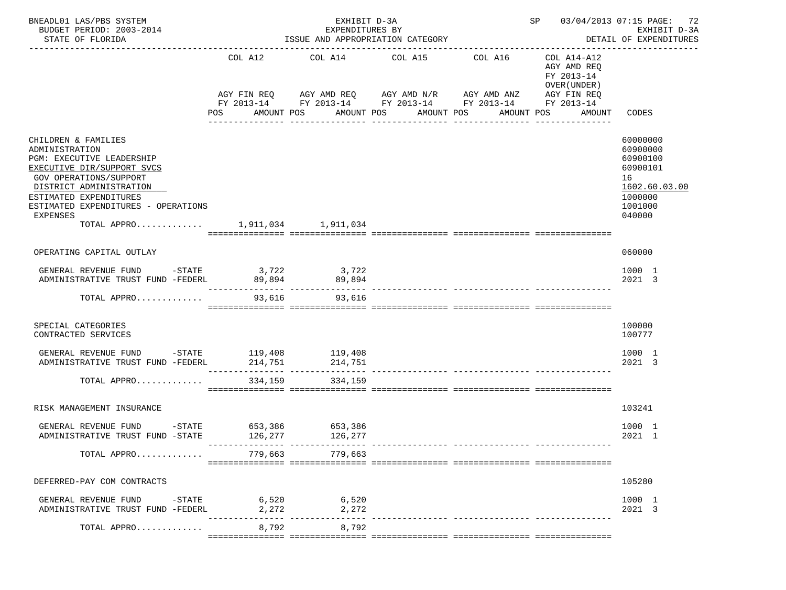| BNEADL01 LAS/PBS SYSTEM<br>BUDGET PERIOD: 2003-2014<br>STATE OF FLORIDA                                                                                                                                                                                                      |                       | EXHIBIT D-3A<br>EXPENDITURES BY<br>ISSUE AND APPROPRIATION CATEGORY                                                     | SP 03/04/2013 07:15 PAGE: 72                                                              | EXHIBIT D-3A<br>DETAIL OF EXPENDITURES |                                                                                                 |                                                                                                     |
|------------------------------------------------------------------------------------------------------------------------------------------------------------------------------------------------------------------------------------------------------------------------------|-----------------------|-------------------------------------------------------------------------------------------------------------------------|-------------------------------------------------------------------------------------------|----------------------------------------|-------------------------------------------------------------------------------------------------|-----------------------------------------------------------------------------------------------------|
|                                                                                                                                                                                                                                                                              | COL A12<br><b>POS</b> | AGY FIN REQ AGY AMD REQ AGY AMD N/R AGY AMD ANZ<br>FY 2013-14 FY 2013-14 FY 2013-14 FY 2013-14 FY 2013-14<br>AMOUNT POS | COL A14 COL A15 COL A16<br>AMOUNT POS AMOUNT POS<br>_____________________________________ | _______________                        | COL A14-A12<br>AGY AMD REQ<br>FY 2013-14<br>OVER (UNDER)<br>AGY FIN REQ<br>AMOUNT POS<br>AMOUNT | CODES                                                                                               |
| CHILDREN & FAMILIES<br>ADMINISTRATION<br>PGM: EXECUTIVE LEADERSHIP<br>EXECUTIVE DIR/SUPPORT SVCS<br>GOV OPERATIONS/SUPPORT<br>DISTRICT ADMINISTRATION<br>ESTIMATED EXPENDITURES<br>ESTIMATED EXPENDITURES - OPERATIONS<br><b>EXPENSES</b><br>TOTAL APPRO 1,911,034 1,911,034 |                       |                                                                                                                         |                                                                                           |                                        |                                                                                                 | 60000000<br>60900000<br>60900100<br>60900101<br>16<br>1602.60.03.00<br>1000000<br>1001000<br>040000 |
| OPERATING CAPITAL OUTLAY                                                                                                                                                                                                                                                     |                       |                                                                                                                         |                                                                                           |                                        |                                                                                                 | 060000                                                                                              |
| GENERAL REVENUE FUND -STATE 3,722 3,722<br>ADMINISTRATIVE TRUST FUND -FEDERL                                                                                                                                                                                                 |                       | 89,894 89,894                                                                                                           |                                                                                           |                                        |                                                                                                 | 1000 1<br>2021 3                                                                                    |
| TOTAL APPRO                                                                                                                                                                                                                                                                  | 93,616                | 93,616                                                                                                                  |                                                                                           |                                        |                                                                                                 |                                                                                                     |
| SPECIAL CATEGORIES<br>CONTRACTED SERVICES                                                                                                                                                                                                                                    |                       |                                                                                                                         |                                                                                           |                                        |                                                                                                 | 100000<br>100777                                                                                    |
|                                                                                                                                                                                                                                                                              |                       |                                                                                                                         |                                                                                           |                                        |                                                                                                 | 1000 1<br>2021 3                                                                                    |
| TOTAL APPRO                                                                                                                                                                                                                                                                  | 334,159               | 334,159                                                                                                                 |                                                                                           |                                        |                                                                                                 |                                                                                                     |
| RISK MANAGEMENT INSURANCE                                                                                                                                                                                                                                                    |                       |                                                                                                                         |                                                                                           |                                        |                                                                                                 | 103241                                                                                              |
| $ STATE$<br>GENERAL REVENUE FUND<br>ADMINISTRATIVE TRUST FUND -STATE                                                                                                                                                                                                         | 126,277               |                                                                                                                         |                                                                                           |                                        |                                                                                                 | 1000 1<br>2021 1                                                                                    |
| TOTAL APPRO                                                                                                                                                                                                                                                                  |                       | 779,663 779,663                                                                                                         |                                                                                           |                                        |                                                                                                 |                                                                                                     |
| DEFERRED-PAY COM CONTRACTS                                                                                                                                                                                                                                                   |                       |                                                                                                                         |                                                                                           |                                        |                                                                                                 | 105280                                                                                              |
| GENERAL REVENUE FUND -STATE<br>ADMINISTRATIVE TRUST FUND -FEDERL                                                                                                                                                                                                             | 2,272                 | 6,520 6,520<br>2,272                                                                                                    |                                                                                           | ____________ _____________             |                                                                                                 | 1000 1<br>2021 3                                                                                    |
| TOTAL APPRO                                                                                                                                                                                                                                                                  | 8,792                 | 8,792                                                                                                                   |                                                                                           |                                        |                                                                                                 |                                                                                                     |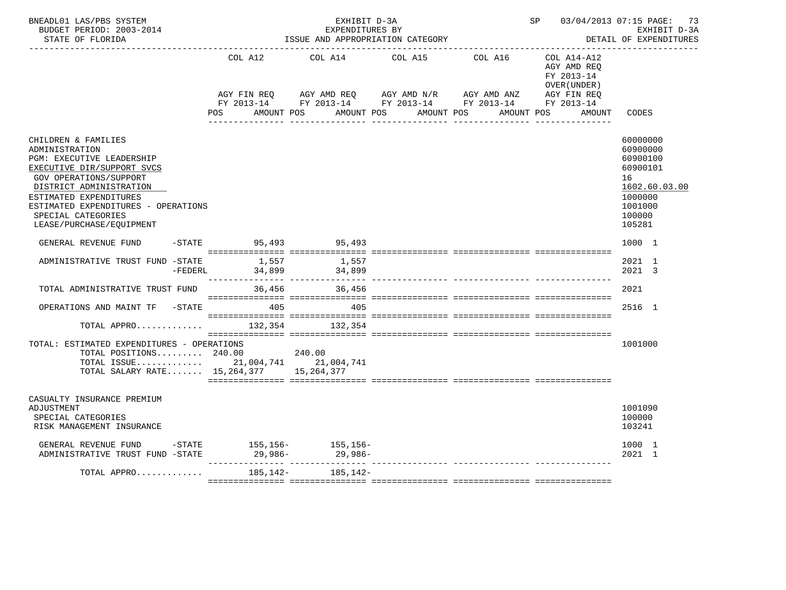| BNEADL01 LAS/PBS SYSTEM<br>BUDGET PERIOD: 2003-2014<br>STATE OF FLORIDA                                                                                                                                                                                                                | SP 03/04/2013 07:15 PAGE: 73<br>EXHIBIT D-3A<br>EXPENDITURES BY<br>ISSUE AND APPROPRIATION CATEGORY<br>DETAIL OF EXPENDITURES |          |                                                                                    |         |                                                              |                                                                                                               |  |  |
|----------------------------------------------------------------------------------------------------------------------------------------------------------------------------------------------------------------------------------------------------------------------------------------|-------------------------------------------------------------------------------------------------------------------------------|----------|------------------------------------------------------------------------------------|---------|--------------------------------------------------------------|---------------------------------------------------------------------------------------------------------------|--|--|
|                                                                                                                                                                                                                                                                                        | COL A12                                                                                                                       | COL A14  | COL A15<br>AGY FIN REQ AGY AMD REQ AGY AMD N/R AGY AMD ANZ AGY FIN REQ             | COL A16 | $COL A14 - A12$<br>AGY AMD REQ<br>FY 2013-14<br>OVER (UNDER) |                                                                                                               |  |  |
|                                                                                                                                                                                                                                                                                        | AMOUNT POS<br>POS                                                                                                             |          | FY 2013-14 FY 2013-14 FY 2013-14 FY 2013-14 FY 2013-14<br>AMOUNT POS<br>AMOUNT POS |         | AMOUNT POS<br>AMOUNT                                         | CODES                                                                                                         |  |  |
| CHILDREN & FAMILIES<br>ADMINISTRATION<br><b>PGM: EXECUTIVE LEADERSHIP</b><br>EXECUTIVE DIR/SUPPORT SVCS<br><b>GOV OPERATIONS/SUPPORT</b><br>DISTRICT ADMINISTRATION<br>ESTIMATED EXPENDITURES<br>ESTIMATED EXPENDITURES - OPERATIONS<br>SPECIAL CATEGORIES<br>LEASE/PURCHASE/EQUIPMENT |                                                                                                                               |          |                                                                                    |         |                                                              | 60000000<br>60900000<br>60900100<br>60900101<br>16<br>1602.60.03.00<br>1000000<br>1001000<br>100000<br>105281 |  |  |
| GENERAL REVENUE FUND                                                                                                                                                                                                                                                                   | -STATE 95,493 95,493                                                                                                          |          |                                                                                    |         |                                                              | 1000 1                                                                                                        |  |  |
| ADMINISTRATIVE TRUST FUND -STATE<br>$-FEDERL$                                                                                                                                                                                                                                          | 1,557<br>$34,899$ $34,899$<br>._____________________________________                                                          | 1,557    |                                                                                    |         |                                                              | 2021 1<br>2021 3                                                                                              |  |  |
| TOTAL ADMINISTRATIVE TRUST FUND                                                                                                                                                                                                                                                        | 36,456                                                                                                                        | 36,456   |                                                                                    |         |                                                              | 2021                                                                                                          |  |  |
| OPERATIONS AND MAINT TF -STATE                                                                                                                                                                                                                                                         | 405                                                                                                                           | 405      |                                                                                    |         |                                                              | 2516 1                                                                                                        |  |  |
| TOTAL APPRO                                                                                                                                                                                                                                                                            | 132,354                                                                                                                       | 132,354  |                                                                                    |         |                                                              |                                                                                                               |  |  |
| TOTAL: ESTIMATED EXPENDITURES - OPERATIONS<br>TOTAL POSITIONS 240.00 240.00<br>TOTAL ISSUE 21,004,741 21,004,741<br>TOTAL SALARY RATE 15,264,377 15,264,377                                                                                                                            |                                                                                                                               |          |                                                                                    |         |                                                              | 1001000                                                                                                       |  |  |
| CASUALTY INSURANCE PREMIUM<br>ADJUSTMENT<br>SPECIAL CATEGORIES<br>RISK MANAGEMENT INSURANCE                                                                                                                                                                                            |                                                                                                                               |          |                                                                                    |         |                                                              | 1001090<br>100000<br>103241                                                                                   |  |  |
| GENERAL REVENUE FUND $-$ STATE 155,156- 155,156-<br>ADMINISTRATIVE TRUST FUND $-$ STATE 29,986- 29,986-                                                                                                                                                                                |                                                                                                                               |          |                                                                                    |         |                                                              | 1000 1<br>2021 1                                                                                              |  |  |
| TOTAL APPRO                                                                                                                                                                                                                                                                            | 185,142-                                                                                                                      | 185,142- |                                                                                    |         |                                                              |                                                                                                               |  |  |
|                                                                                                                                                                                                                                                                                        |                                                                                                                               |          |                                                                                    |         |                                                              |                                                                                                               |  |  |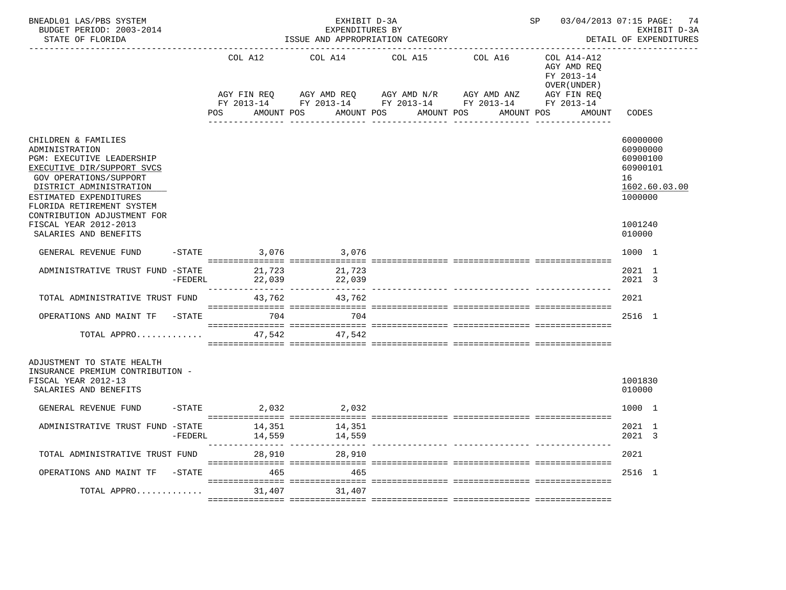| BNEADL01 LAS/PBS SYSTEM<br>BUDGET PERIOD: 2003-2014<br>STATE OF FLORIDA                                                                                                                                                                            | EXHIBIT D-3A<br>SP<br>EXPENDITURES BY<br>ISSUE AND APPROPRIATION CATEGORY |                        |                  |                                                                                                                           |            |                                                          | 03/04/2013 07:15 PAGE: 74<br>EXHIBIT D-3A<br>DETAIL OF EXPENDITURES            |
|----------------------------------------------------------------------------------------------------------------------------------------------------------------------------------------------------------------------------------------------------|---------------------------------------------------------------------------|------------------------|------------------|---------------------------------------------------------------------------------------------------------------------------|------------|----------------------------------------------------------|--------------------------------------------------------------------------------|
|                                                                                                                                                                                                                                                    |                                                                           | COL A12                | COL A14          | COL A15                                                                                                                   | COL A16    | COL A14-A12<br>AGY AMD REQ<br>FY 2013-14<br>OVER (UNDER) |                                                                                |
|                                                                                                                                                                                                                                                    |                                                                           | AGY FIN REO<br>POS FOR | AMOUNT POS       | AGY AMD REQ AGY AMD N/R AGY AMD ANZ<br>FY 2013-14 FY 2013-14 FY 2013-14 FY 2013-14 FY 2013-14<br>AMOUNT POS<br>AMOUNT POS | AMOUNT POS | AGY FIN REQ<br>AMOUNT                                    | CODES                                                                          |
| CHILDREN & FAMILIES<br>ADMINISTRATION<br>PGM: EXECUTIVE LEADERSHIP<br>EXECUTIVE DIR/SUPPORT SVCS<br><b>GOV OPERATIONS/SUPPORT</b><br>DISTRICT ADMINISTRATION<br>ESTIMATED EXPENDITURES<br>FLORIDA RETIREMENT SYSTEM<br>CONTRIBUTION ADJUSTMENT FOR |                                                                           |                        |                  |                                                                                                                           |            |                                                          | 60000000<br>60900000<br>60900100<br>60900101<br>16<br>1602.60.03.00<br>1000000 |
| FISCAL YEAR 2012-2013<br>SALARIES AND BENEFITS                                                                                                                                                                                                     |                                                                           |                        |                  |                                                                                                                           |            |                                                          | 1001240<br>010000                                                              |
| GENERAL REVENUE FUND                                                                                                                                                                                                                               |                                                                           | $-STATE$               | 3,076 3,076      |                                                                                                                           |            |                                                          | 1000 1                                                                         |
| ADMINISTRATIVE TRUST FUND -STATE                                                                                                                                                                                                                   | $-FEDERL$                                                                 | 21,723<br>22,039       | 21,723<br>22,039 |                                                                                                                           |            |                                                          | 2021 1<br>2021 3                                                               |
| TOTAL ADMINISTRATIVE TRUST FUND                                                                                                                                                                                                                    |                                                                           | 43,762                 | 43,762           |                                                                                                                           |            |                                                          | 2021                                                                           |
| OPERATIONS AND MAINT TF                                                                                                                                                                                                                            | $-$ STATE                                                                 |                        | 704 704          |                                                                                                                           |            |                                                          | 2516 1                                                                         |
| TOTAL APPRO                                                                                                                                                                                                                                        |                                                                           | 47,542                 | 47,542           |                                                                                                                           |            |                                                          |                                                                                |
| ADJUSTMENT TO STATE HEALTH<br>INSURANCE PREMIUM CONTRIBUTION -<br>FISCAL YEAR 2012-13<br>SALARIES AND BENEFITS                                                                                                                                     |                                                                           |                        |                  |                                                                                                                           |            |                                                          | 1001830<br>010000                                                              |
| GENERAL REVENUE FUND                                                                                                                                                                                                                               |                                                                           | $-STATE$ 2,032 2,032   |                  |                                                                                                                           |            |                                                          | 1000 1                                                                         |
| ADMINISTRATIVE TRUST FUND -STATE                                                                                                                                                                                                                   | -FEDERL                                                                   | 14,351<br>14,559       | 14,351<br>14,559 |                                                                                                                           |            |                                                          | 2021 1<br>2021 3                                                               |
| TOTAL ADMINISTRATIVE TRUST FUND                                                                                                                                                                                                                    |                                                                           | 28,910                 | 28,910           |                                                                                                                           |            |                                                          | 2021                                                                           |
| OPERATIONS AND MAINT TF                                                                                                                                                                                                                            | $-$ STATE                                                                 | 465                    | 465              |                                                                                                                           |            |                                                          | 2516 1                                                                         |
| TOTAL APPRO                                                                                                                                                                                                                                        |                                                                           |                        | 31,407 31,407    |                                                                                                                           |            |                                                          |                                                                                |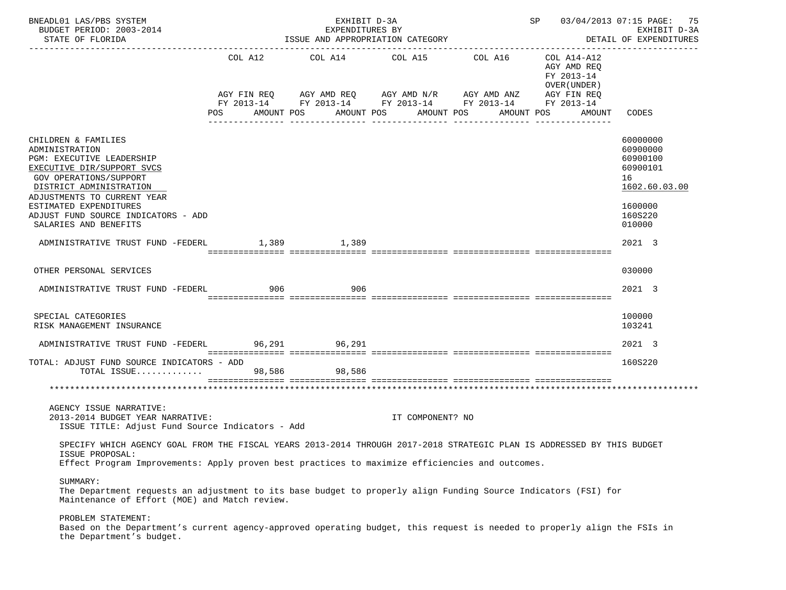| BNEADL01 LAS/PBS SYSTEM<br>BUDGET PERIOD: 2003-2014<br>STATE OF FLORIDA                                                                                                                                                                                                        |     | EXHIBIT D-3A<br>EXPENDITURES BY<br>ISSUE AND APPROPRIATION CATEGORY | SP 03/04/2013 07:15 PAGE: 75 | EXHIBIT D-3A<br>DETAIL OF EXPENDITURES                                                                                              |                                                          |                                                                                                     |
|--------------------------------------------------------------------------------------------------------------------------------------------------------------------------------------------------------------------------------------------------------------------------------|-----|---------------------------------------------------------------------|------------------------------|-------------------------------------------------------------------------------------------------------------------------------------|----------------------------------------------------------|-----------------------------------------------------------------------------------------------------|
|                                                                                                                                                                                                                                                                                | POS | AMOUNT POS                                                          | AMOUNT POS AMOUNT POS        | AGY FIN REQ AGY AMD REQ AGY AMD N/R AGY AMD ANZ AGY FIN REQ<br>FY 2013-14 FY 2013-14 FY 2013-14 FY 2013-14 FY 2013-14<br>AMOUNT POS | COL A14-A12<br>AGY AMD REQ<br>FY 2013-14<br>OVER (UNDER) | AMOUNT CODES                                                                                        |
| CHILDREN & FAMILIES<br>ADMINISTRATION<br>PGM: EXECUTIVE LEADERSHIP<br>EXECUTIVE DIR/SUPPORT SVCS<br>GOV OPERATIONS/SUPPORT<br>DISTRICT ADMINISTRATION<br>ADJUSTMENTS TO CURRENT YEAR<br>ESTIMATED EXPENDITURES<br>ADJUST FUND SOURCE INDICATORS - ADD<br>SALARIES AND BENEFITS |     |                                                                     |                              |                                                                                                                                     |                                                          | 60000000<br>60900000<br>60900100<br>60900101<br>16<br>1602.60.03.00<br>1600000<br>160S220<br>010000 |
| ADMINISTRATIVE TRUST FUND -FEDERL 1,389 1,389                                                                                                                                                                                                                                  |     |                                                                     |                              |                                                                                                                                     |                                                          | 2021 3                                                                                              |
| OTHER PERSONAL SERVICES                                                                                                                                                                                                                                                        |     |                                                                     |                              |                                                                                                                                     |                                                          | 030000                                                                                              |
| ADMINISTRATIVE TRUST FUND -FEDERL 906                                                                                                                                                                                                                                          |     | 906                                                                 |                              |                                                                                                                                     |                                                          | 2021 3                                                                                              |
| SPECIAL CATEGORIES<br>RISK MANAGEMENT INSURANCE                                                                                                                                                                                                                                |     |                                                                     |                              |                                                                                                                                     |                                                          | 100000<br>103241                                                                                    |
| ADMINISTRATIVE TRUST FUND -FEDERL 96,291 96,291                                                                                                                                                                                                                                |     |                                                                     |                              |                                                                                                                                     |                                                          | 2021 3                                                                                              |
| TOTAL: ADJUST FUND SOURCE INDICATORS - ADD<br>TOTAL ISSUE                                                                                                                                                                                                                      |     | 98,586 98,586                                                       |                              |                                                                                                                                     |                                                          | 160S220                                                                                             |
|                                                                                                                                                                                                                                                                                |     |                                                                     |                              |                                                                                                                                     |                                                          |                                                                                                     |
| AGENCY ISSUE NARRATIVE:<br>2013-2014 BUDGET YEAR NARRATIVE:<br>ISSUE TITLE: Adjust Fund Source Indicators - Add                                                                                                                                                                |     |                                                                     | IT COMPONENT? NO             |                                                                                                                                     |                                                          |                                                                                                     |
| SPECIFY WHICH AGENCY GOAL FROM THE FISCAL YEARS 2013-2014 THROUGH 2017-2018 STRATEGIC PLAN IS ADDRESSED BY THIS BUDGET<br>ISSUE PROPOSAL:<br>Effect Program Improvements: Apply proven best practices to maximize efficiencies and outcomes.                                   |     |                                                                     |                              |                                                                                                                                     |                                                          |                                                                                                     |
| SUMMARY:<br>The Department requests an adjustment to its base budget to properly align Funding Source Indicators (FSI) for<br>Maintenance of Effort (MOE) and Match review.<br>PROBLEM STATEMENT:                                                                              |     |                                                                     |                              |                                                                                                                                     |                                                          |                                                                                                     |
| Based on the Department's current agency-approved operating budget, this request is needed to properly align the FSIs in<br>the Department's budget.                                                                                                                           |     |                                                                     |                              |                                                                                                                                     |                                                          |                                                                                                     |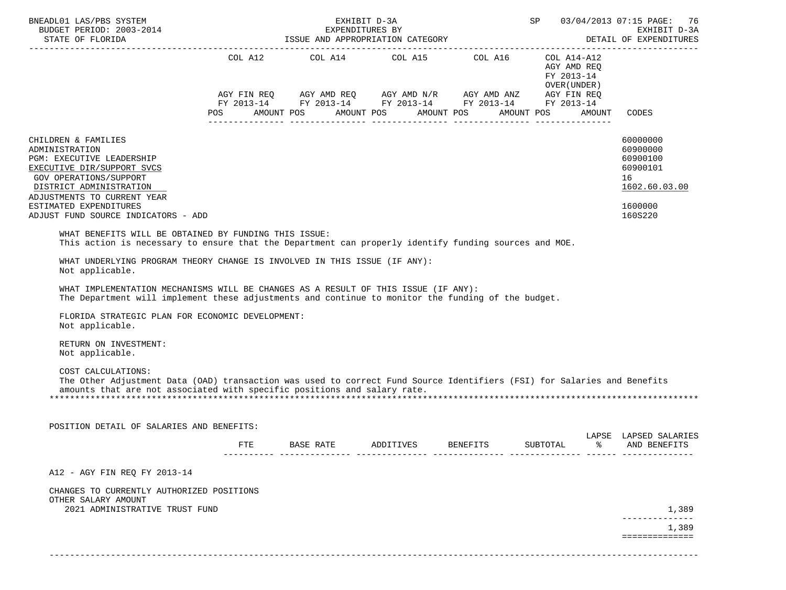| BNEADL01 LAS/PBS SYSTEM<br>BUDGET PERIOD: 2003-2014                                                                                                                                                                                                   |     | EXHIBIT D-3A<br>EXPENDITURES BY                                                                                                                                                                                                                                                                                                                                                                                                                                                                                                                                                                                | SP        |                 | 03/04/2013 07:15 PAGE: 76<br>EXHIBIT D-3A<br>DETAIL OF EXPENDITURES |                                                              |                                       |
|-------------------------------------------------------------------------------------------------------------------------------------------------------------------------------------------------------------------------------------------------------|-----|----------------------------------------------------------------------------------------------------------------------------------------------------------------------------------------------------------------------------------------------------------------------------------------------------------------------------------------------------------------------------------------------------------------------------------------------------------------------------------------------------------------------------------------------------------------------------------------------------------------|-----------|-----------------|---------------------------------------------------------------------|--------------------------------------------------------------|---------------------------------------|
|                                                                                                                                                                                                                                                       | POS | $\begin{tabular}{lllllllllll} \multicolumn{2}{l}{{\text{COL A14}} } & \multicolumn{2}{c}{\text{COL A15}} & \multicolumn{2}{c}{\text{COL A16}} & \multicolumn{2}{c}{\text{COL A14}--\text{A12}}\\ \multicolumn{2}{c}{\text{COL A14}} & \multicolumn{2}{c}{\text{COL A15}} & \multicolumn{2}{c}{\text{COL A16}} & \multicolumn{2}{c}{\text{COL A14}--\text{A12}}\\ \end{tabular}$<br>$AGY \text{ FIN REQ} \qquad \text{AGY AMD REQ} \qquad \text{AGY AMD N/R} \qquad \text{AGY AMD ANZ} \qquad \text{AGY FIN REQ}$<br>FY 2013-14 FY 2013-14 FY 2013-14 FY 2013-14 FY 2013-14<br>AMOUNT POS AMOUNT POS AMOUNT POS |           |                 | AGY AMD REQ<br>FY 2013-14<br>OVER (UNDER)<br>AMOUNT POS             | AMOUNT<br>CODES                                              |                                       |
| CHILDREN & FAMILIES<br>ADMINISTRATION<br>PGM: EXECUTIVE LEADERSHIP<br>EXECUTIVE DIR/SUPPORT SVCS<br>GOV OPERATIONS/SUPPORT<br>DISTRICT ADMINISTRATION<br>ADJUSTMENTS TO CURRENT YEAR<br>ESTIMATED EXPENDITURES<br>ADJUST FUND SOURCE INDICATORS - ADD |     |                                                                                                                                                                                                                                                                                                                                                                                                                                                                                                                                                                                                                |           |                 |                                                                     | 60000000<br>60900000<br>60900101<br>16<br>1600000<br>160S220 | 60900100<br>1602.60.03.00             |
| WHAT BENEFITS WILL BE OBTAINED BY FUNDING THIS ISSUE:<br>This action is necessary to ensure that the Department can properly identify funding sources and MOE.<br>WHAT UNDERLYING PROGRAM THEORY CHANGE IS INVOLVED IN THIS ISSUE (IF ANY):           |     |                                                                                                                                                                                                                                                                                                                                                                                                                                                                                                                                                                                                                |           |                 |                                                                     |                                                              |                                       |
| Not applicable.                                                                                                                                                                                                                                       |     |                                                                                                                                                                                                                                                                                                                                                                                                                                                                                                                                                                                                                |           |                 |                                                                     |                                                              |                                       |
| WHAT IMPLEMENTATION MECHANISMS WILL BE CHANGES AS A RESULT OF THIS ISSUE (IF ANY):<br>The Department will implement these adjustments and continue to monitor the funding of the budget.                                                              |     |                                                                                                                                                                                                                                                                                                                                                                                                                                                                                                                                                                                                                |           |                 |                                                                     |                                                              |                                       |
| FLORIDA STRATEGIC PLAN FOR ECONOMIC DEVELOPMENT:<br>Not applicable.                                                                                                                                                                                   |     |                                                                                                                                                                                                                                                                                                                                                                                                                                                                                                                                                                                                                |           |                 |                                                                     |                                                              |                                       |
| RETURN ON INVESTMENT:<br>Not applicable.                                                                                                                                                                                                              |     |                                                                                                                                                                                                                                                                                                                                                                                                                                                                                                                                                                                                                |           |                 |                                                                     |                                                              |                                       |
| COST CALCULATIONS:<br>The Other Adjustment Data (OAD) transaction was used to correct Fund Source Identifiers (FSI) for Salaries and Benefits<br>amounts that are not associated with specific positions and salary rate.                             |     |                                                                                                                                                                                                                                                                                                                                                                                                                                                                                                                                                                                                                |           |                 |                                                                     |                                                              |                                       |
| POSITION DETAIL OF SALARIES AND BENEFITS:                                                                                                                                                                                                             |     |                                                                                                                                                                                                                                                                                                                                                                                                                                                                                                                                                                                                                |           |                 |                                                                     |                                                              |                                       |
|                                                                                                                                                                                                                                                       | FTE | BASE RATE                                                                                                                                                                                                                                                                                                                                                                                                                                                                                                                                                                                                      | ADDITIVES | <b>BENEFITS</b> | SUBTOTAL                                                            |                                                              | LAPSE LAPSED SALARIES<br>AND BENEFITS |
| A12 - AGY FIN REQ FY 2013-14                                                                                                                                                                                                                          |     |                                                                                                                                                                                                                                                                                                                                                                                                                                                                                                                                                                                                                |           |                 |                                                                     |                                                              |                                       |
| CHANGES TO CURRENTLY AUTHORIZED POSITIONS<br>OTHER SALARY AMOUNT<br>2021 ADMINISTRATIVE TRUST FUND                                                                                                                                                    |     |                                                                                                                                                                                                                                                                                                                                                                                                                                                                                                                                                                                                                |           |                 |                                                                     |                                                              | 1,389                                 |
|                                                                                                                                                                                                                                                       |     |                                                                                                                                                                                                                                                                                                                                                                                                                                                                                                                                                                                                                |           |                 |                                                                     |                                                              | 1,389                                 |
|                                                                                                                                                                                                                                                       |     |                                                                                                                                                                                                                                                                                                                                                                                                                                                                                                                                                                                                                |           |                 |                                                                     |                                                              | ==============                        |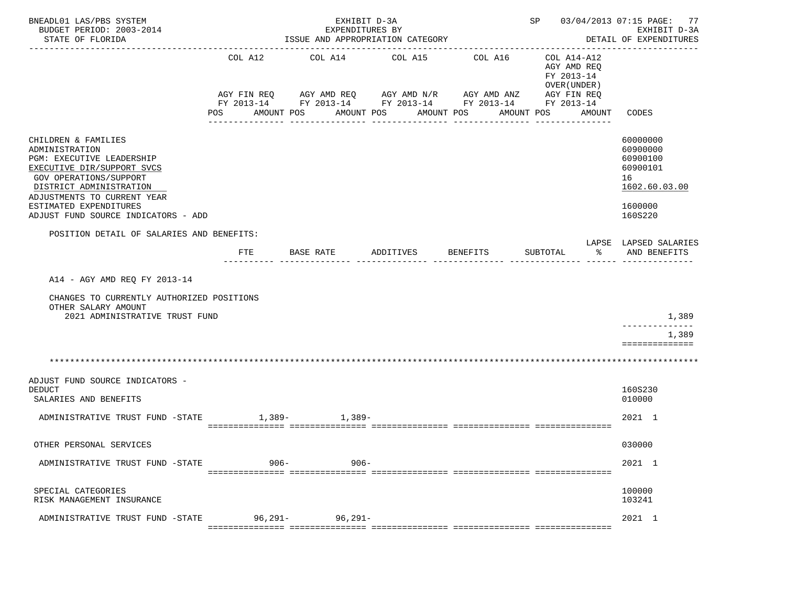| BNEADL01 LAS/PBS SYSTEM<br>BUDGET PERIOD: 2003-2014<br>STATE OF FLORIDA                                                                                                                                                                                                                            | SP 03/04/2013 07:15 PAGE: 77<br>------------------------------- | EXHIBIT D-3A<br>DETAIL OF EXPENDITURES |                                                                                                                                               |                              |                                                                                               |                                                                                                                                    |
|----------------------------------------------------------------------------------------------------------------------------------------------------------------------------------------------------------------------------------------------------------------------------------------------------|-----------------------------------------------------------------|----------------------------------------|-----------------------------------------------------------------------------------------------------------------------------------------------|------------------------------|-----------------------------------------------------------------------------------------------|------------------------------------------------------------------------------------------------------------------------------------|
|                                                                                                                                                                                                                                                                                                    | COL A12<br>AMOUNT POS<br>POS                                    | COL A14                                | COL A15<br>AGY FIN REQ AGY AMD REQ AGY AMD N/R AGY AMD ANZ<br>FY 2013-14 FY 2013-14 FY 2013-14 FY 2013-14 FY 2013-14<br>AMOUNT POS AMOUNT POS | COL A16                      | COL A14-A12<br>AGY AMD REO<br>FY 2013-14<br>OVER (UNDER )<br>AGY FIN REQ<br>AMOUNT POS AMOUNT | CODES                                                                                                                              |
| CHILDREN & FAMILIES<br>ADMINISTRATION<br>PGM: EXECUTIVE LEADERSHIP<br>EXECUTIVE DIR/SUPPORT SVCS<br>GOV OPERATIONS/SUPPORT<br>DISTRICT ADMINISTRATION<br>ADJUSTMENTS TO CURRENT YEAR<br>ESTIMATED EXPENDITURES<br>ADJUST FUND SOURCE INDICATORS - ADD<br>POSITION DETAIL OF SALARIES AND BENEFITS: | FTE                                                             | BASE RATE                              | $- - - - - - - - - -$<br>ADDITIVES                                                                                                            | ----------------<br>BENEFITS | န္က<br>SUBTOTAL                                                                               | 60000000<br>60900000<br>60900100<br>60900101<br>16<br>1602.60.03.00<br>1600000<br>160S220<br>LAPSE LAPSED SALARIES<br>AND BENEFITS |
| A14 - AGY AMD REO FY 2013-14<br>CHANGES TO CURRENTLY AUTHORIZED POSITIONS<br>OTHER SALARY AMOUNT<br>2021 ADMINISTRATIVE TRUST FUND                                                                                                                                                                 |                                                                 |                                        |                                                                                                                                               |                              |                                                                                               | 1,389                                                                                                                              |
|                                                                                                                                                                                                                                                                                                    |                                                                 |                                        |                                                                                                                                               |                              |                                                                                               | 1,389<br>==============                                                                                                            |
|                                                                                                                                                                                                                                                                                                    |                                                                 |                                        |                                                                                                                                               |                              |                                                                                               |                                                                                                                                    |
| ADJUST FUND SOURCE INDICATORS -<br><b>DEDUCT</b><br>SALARIES AND BENEFITS                                                                                                                                                                                                                          |                                                                 |                                        |                                                                                                                                               |                              |                                                                                               | 160S230<br>010000                                                                                                                  |
| ADMINISTRATIVE TRUST FUND -STATE                                                                                                                                                                                                                                                                   |                                                                 | $1,389-1,389-$                         |                                                                                                                                               |                              |                                                                                               | 2021 1                                                                                                                             |
| OTHER PERSONAL SERVICES                                                                                                                                                                                                                                                                            |                                                                 |                                        |                                                                                                                                               |                              |                                                                                               | 030000                                                                                                                             |
| ADMINISTRATIVE TRUST FUND -STATE                                                                                                                                                                                                                                                                   | $906 -$                                                         | $906 -$                                |                                                                                                                                               |                              |                                                                                               | 2021 1                                                                                                                             |
| SPECIAL CATEGORIES<br>RISK MANAGEMENT INSURANCE                                                                                                                                                                                                                                                    |                                                                 |                                        |                                                                                                                                               |                              |                                                                                               | 100000<br>103241                                                                                                                   |
| ADMINISTRATIVE TRUST FUND -STATE                                                                                                                                                                                                                                                                   | $96,291 -$                                                      | $96, 291 -$                            |                                                                                                                                               |                              |                                                                                               | 2021 1                                                                                                                             |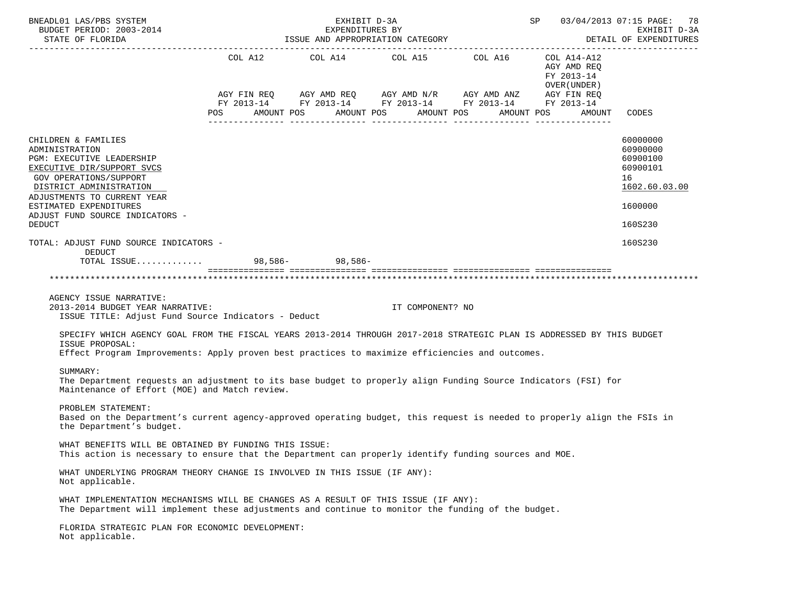| BNEADL01 LAS/PBS SYSTEM<br>BUDGET PERIOD: 2003-2014<br>STATE OF FLORIDA                                                                                                                                                                                                   | EXHIBIT D-3A<br>SP 03/04/2013 07:15 PAGE: 78<br>EXPENDITURES BY<br>ISSUE AND APPROPRIATION CATEGORY<br>DETAIL OF EXPENDITURES                                                          |  |                                  |                                                     |                                                           |                                                                                           |  |
|---------------------------------------------------------------------------------------------------------------------------------------------------------------------------------------------------------------------------------------------------------------------------|----------------------------------------------------------------------------------------------------------------------------------------------------------------------------------------|--|----------------------------------|-----------------------------------------------------|-----------------------------------------------------------|-------------------------------------------------------------------------------------------|--|
|                                                                                                                                                                                                                                                                           | AGY FIN REQ       AGY AMD REQ      AGY AMD N/R       AGY AMD ANZ        AGY FIN REQ<br>FY 2013-14        FY 2013-14       FY 2013-14        FY 2013-14        FY 2013-14<br><b>POS</b> |  | AMOUNT POS AMOUNT POS AMOUNT POS | COL A12 $COL$ A14 $COL$ A15 $COL$ A16 $COL$ A14-A12 | AGY AMD REQ<br>FY 2013-14<br>OVER ( UNDER )<br>AMOUNT POS | AMOUNT CODES                                                                              |  |
| CHILDREN & FAMILIES<br>ADMINISTRATION<br>PGM: EXECUTIVE LEADERSHIP<br>EXECUTIVE DIR/SUPPORT SVCS<br><b>GOV OPERATIONS/SUPPORT</b><br>DISTRICT ADMINISTRATION<br>ADJUSTMENTS TO CURRENT YEAR<br>ESTIMATED EXPENDITURES<br>ADJUST FUND SOURCE INDICATORS -<br><b>DEDUCT</b> |                                                                                                                                                                                        |  |                                  |                                                     |                                                           | 60000000<br>60900000<br>60900100<br>60900101<br>16<br>1602.60.03.00<br>1600000<br>160S230 |  |
| TOTAL: ADJUST FUND SOURCE INDICATORS -<br>DEDUCT                                                                                                                                                                                                                          |                                                                                                                                                                                        |  |                                  |                                                     |                                                           | 160S230                                                                                   |  |
| TOTAL ISSUE 98,586- 98,586-                                                                                                                                                                                                                                               |                                                                                                                                                                                        |  |                                  |                                                     |                                                           |                                                                                           |  |
|                                                                                                                                                                                                                                                                           |                                                                                                                                                                                        |  |                                  |                                                     |                                                           |                                                                                           |  |
| AGENCY ISSUE NARRATIVE:<br>2013-2014 BUDGET YEAR NARRATIVE:<br>ISSUE TITLE: Adjust Fund Source Indicators - Deduct                                                                                                                                                        |                                                                                                                                                                                        |  | IT COMPONENT? NO                 |                                                     |                                                           |                                                                                           |  |
| SPECIFY WHICH AGENCY GOAL FROM THE FISCAL YEARS 2013-2014 THROUGH 2017-2018 STRATEGIC PLAN IS ADDRESSED BY THIS BUDGET<br>ISSUE PROPOSAL:<br>Effect Program Improvements: Apply proven best practices to maximize efficiencies and outcomes.                              |                                                                                                                                                                                        |  |                                  |                                                     |                                                           |                                                                                           |  |
|                                                                                                                                                                                                                                                                           |                                                                                                                                                                                        |  |                                  |                                                     |                                                           |                                                                                           |  |
| SUMMARY:<br>The Department requests an adjustment to its base budget to properly align Funding Source Indicators (FSI) for<br>Maintenance of Effort (MOE) and Match review.                                                                                               |                                                                                                                                                                                        |  |                                  |                                                     |                                                           |                                                                                           |  |
| PROBLEM STATEMENT:<br>Based on the Department's current agency-approved operating budget, this request is needed to properly align the FSIs in<br>the Department's budget.                                                                                                |                                                                                                                                                                                        |  |                                  |                                                     |                                                           |                                                                                           |  |
| WHAT BENEFITS WILL BE OBTAINED BY FUNDING THIS ISSUE:<br>This action is necessary to ensure that the Department can properly identify funding sources and MOE.                                                                                                            |                                                                                                                                                                                        |  |                                  |                                                     |                                                           |                                                                                           |  |
| WHAT UNDERLYING PROGRAM THEORY CHANGE IS INVOLVED IN THIS ISSUE (IF ANY):<br>Not applicable.                                                                                                                                                                              |                                                                                                                                                                                        |  |                                  |                                                     |                                                           |                                                                                           |  |
| WHAT IMPLEMENTATION MECHANISMS WILL BE CHANGES AS A RESULT OF THIS ISSUE (IF ANY):<br>The Department will implement these adjustments and continue to monitor the funding of the budget.                                                                                  |                                                                                                                                                                                        |  |                                  |                                                     |                                                           |                                                                                           |  |
| FLORIDA STRATEGIC PLAN FOR ECONOMIC DEVELOPMENT:<br>Not applicable.                                                                                                                                                                                                       |                                                                                                                                                                                        |  |                                  |                                                     |                                                           |                                                                                           |  |
|                                                                                                                                                                                                                                                                           |                                                                                                                                                                                        |  |                                  |                                                     |                                                           |                                                                                           |  |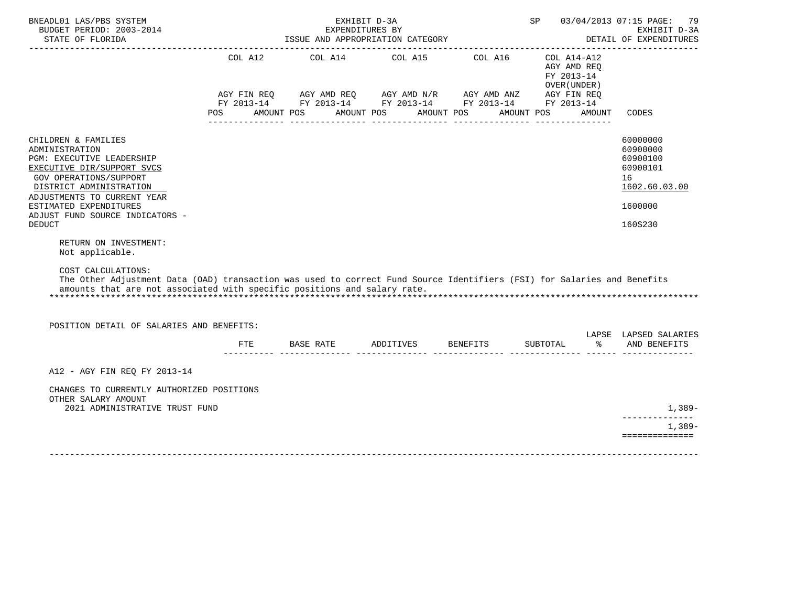| BNEADL01 LAS/PBS SYSTEM<br>BUDGET PERIOD: 2003-2014<br>STATE OF FLORIDA                                                                                                                                                                                                   |     | EXPENDITURES BY<br>ISSUE AND APPROPRIATION CATEGORY                                                                                                                                                                                                                                                                                                                                                                       | EXHIBIT D-3A          |            | SP                                                       |        | 03/04/2013 07:15 PAGE:<br>79<br>EXHIBIT D-3A<br>DETAIL OF EXPENDITURES<br>------------------------------------ |
|---------------------------------------------------------------------------------------------------------------------------------------------------------------------------------------------------------------------------------------------------------------------------|-----|---------------------------------------------------------------------------------------------------------------------------------------------------------------------------------------------------------------------------------------------------------------------------------------------------------------------------------------------------------------------------------------------------------------------------|-----------------------|------------|----------------------------------------------------------|--------|----------------------------------------------------------------------------------------------------------------|
|                                                                                                                                                                                                                                                                           | POS | COL A12 COL A14 COL A15 COL A16<br>$\begin{array}{lllllll} \text{AGY}\ \text{FIN}\ \text{REQ} & \text{AGY}\ \text{AMD}\ \text{REQ} & \text{AGY}\ \text{AMD}\ \text{N/R} & \text{AGY}\ \text{AMD}\ \text{ANZ} & \text{AGY}\ \text{FIN}\ \text{REQ} \\ \text{FY}\ 2013\text{-}14 & \text{FY}\ 2013\text{-}14 & \text{FY}\ 2013\text{-}14 & \text{FY}\ 2013\text{-}14 & \text{FY}\ 2013\text{-}14 \end{array}$<br>AMOUNT POS | AMOUNT POS AMOUNT POS | AMOUNT POS | COL A14-A12<br>AGY AMD REO<br>FY 2013-14<br>OVER (UNDER) | AMOUNT | CODES                                                                                                          |
| CHILDREN & FAMILIES<br>ADMINISTRATION<br>PGM: EXECUTIVE LEADERSHIP<br>EXECUTIVE DIR/SUPPORT SVCS<br><b>GOV OPERATIONS/SUPPORT</b><br>DISTRICT ADMINISTRATION<br>ADJUSTMENTS TO CURRENT YEAR<br>ESTIMATED EXPENDITURES<br>ADJUST FUND SOURCE INDICATORS -<br><b>DEDUCT</b> |     |                                                                                                                                                                                                                                                                                                                                                                                                                           |                       |            |                                                          |        | 60000000<br>60900000<br>60900100<br>60900101<br>16<br>1602.60.03.00<br>1600000<br>160S230                      |
| RETURN ON INVESTMENT:<br>Not applicable.<br>COST CALCULATIONS:<br>The Other Adjustment Data (OAD) transaction was used to correct Fund Source Identifiers (FSI) for Salaries and Benefits<br>amounts that are not associated with specific positions and salary rate.     |     |                                                                                                                                                                                                                                                                                                                                                                                                                           |                       |            |                                                          |        |                                                                                                                |
| POSITION DETAIL OF SALARIES AND BENEFITS:                                                                                                                                                                                                                                 |     | FTE BASE RATE ADDITIVES BENEFITS SUBTOTAL                                                                                                                                                                                                                                                                                                                                                                                 |                       |            |                                                          | န္က    | LAPSE LAPSED SALARIES<br>AND BENEFITS                                                                          |
|                                                                                                                                                                                                                                                                           |     |                                                                                                                                                                                                                                                                                                                                                                                                                           |                       |            |                                                          |        |                                                                                                                |
| A12 - AGY FIN REO FY 2013-14                                                                                                                                                                                                                                              |     |                                                                                                                                                                                                                                                                                                                                                                                                                           |                       |            |                                                          |        |                                                                                                                |
| CHANGES TO CURRENTLY AUTHORIZED POSITIONS<br>OTHER SALARY AMOUNT<br>2021 ADMINISTRATIVE TRUST FUND                                                                                                                                                                        |     |                                                                                                                                                                                                                                                                                                                                                                                                                           |                       |            |                                                          |        | 1,389-<br>-------------<br>$1,389-$<br>==============                                                          |
|                                                                                                                                                                                                                                                                           |     |                                                                                                                                                                                                                                                                                                                                                                                                                           |                       |            |                                                          |        |                                                                                                                |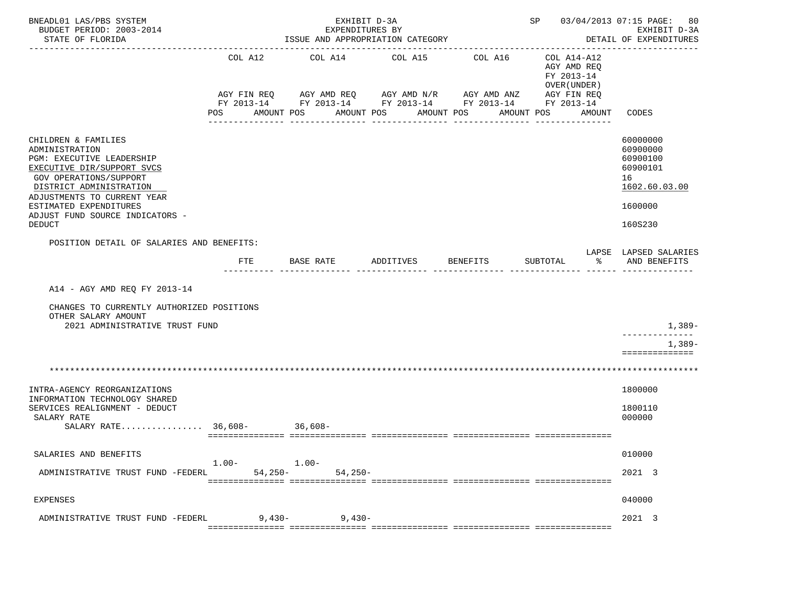| BNEADL01 LAS/PBS SYSTEM<br>BUDGET PERIOD: 2003-2014<br>STATE OF FLORIDA                                                                                                                                                                                            |                               | EXHIBIT D-3A<br>EXPENDITURES BY<br>ISSUE AND APPROPRIATION CATEGORY | SP 03/04/2013 07:15 PAGE:<br>--------------------------------                                                                         | 80<br>EXHIBIT D-3A<br>DETAIL OF EXPENDITURES       |                                                                                   |                                                                                           |
|--------------------------------------------------------------------------------------------------------------------------------------------------------------------------------------------------------------------------------------------------------------------|-------------------------------|---------------------------------------------------------------------|---------------------------------------------------------------------------------------------------------------------------------------|----------------------------------------------------|-----------------------------------------------------------------------------------|-------------------------------------------------------------------------------------------|
|                                                                                                                                                                                                                                                                    | COL A12<br>AGY FIN REQ<br>POS | COL A14<br>AMOUNT POS                                               | COL A15<br>AGY AMD REQ AGY AMD N/R AGY AMD ANZ<br>FY 2013-14 FY 2013-14 FY 2013-14 FY 2013-14 FY 2013-14<br>AMOUNT POS<br>___________ | COL A16<br>AMOUNT POS<br>AMOUNT POS<br>----------- | COL A14-A12<br>AGY AMD REO<br>FY 2013-14<br>OVER (UNDER)<br>AGY FIN REQ<br>AMOUNT | CODES                                                                                     |
| CHILDREN & FAMILIES<br>ADMINISTRATION<br>PGM: EXECUTIVE LEADERSHIP<br>EXECUTIVE DIR/SUPPORT SVCS<br>GOV OPERATIONS/SUPPORT<br>DISTRICT ADMINISTRATION<br>ADJUSTMENTS TO CURRENT YEAR<br>ESTIMATED EXPENDITURES<br>ADJUST FUND SOURCE INDICATORS -<br><b>DEDUCT</b> |                               |                                                                     |                                                                                                                                       |                                                    |                                                                                   | 60000000<br>60900000<br>60900100<br>60900101<br>16<br>1602.60.03.00<br>1600000<br>160S230 |
| POSITION DETAIL OF SALARIES AND BENEFITS:                                                                                                                                                                                                                          |                               |                                                                     |                                                                                                                                       |                                                    |                                                                                   | LAPSE LAPSED SALARIES                                                                     |
|                                                                                                                                                                                                                                                                    | <b>FTE</b>                    | BASE RATE                                                           | ADDITIVES                                                                                                                             | <b>BENEFITS</b>                                    | SUBTOTAL<br>ిన                                                                    | AND BENEFITS                                                                              |
| A14 - AGY AMD REQ FY 2013-14<br>CHANGES TO CURRENTLY AUTHORIZED POSITIONS<br>OTHER SALARY AMOUNT<br>2021 ADMINISTRATIVE TRUST FUND                                                                                                                                 |                               |                                                                     |                                                                                                                                       |                                                    |                                                                                   | 1,389-<br>$1,389-$<br>==============                                                      |
|                                                                                                                                                                                                                                                                    |                               |                                                                     |                                                                                                                                       |                                                    |                                                                                   |                                                                                           |
| INTRA-AGENCY REORGANIZATIONS<br>INFORMATION TECHNOLOGY SHARED<br>SERVICES REALIGNMENT - DEDUCT<br>SALARY RATE<br>SALARY RATE $36.608 -$                                                                                                                            |                               | $36.608 -$                                                          |                                                                                                                                       |                                                    |                                                                                   | 1800000<br>1800110<br>000000                                                              |
| SALARIES AND BENEFITS<br>ADMINISTRATIVE TRUST FUND -FEDERL                                                                                                                                                                                                         | $1.00 -$<br>$54,250-$         | $1.00 -$<br>$54.250 -$                                              |                                                                                                                                       |                                                    |                                                                                   | 010000<br>2021 3                                                                          |
| <b>EXPENSES</b>                                                                                                                                                                                                                                                    |                               |                                                                     |                                                                                                                                       |                                                    |                                                                                   | 040000                                                                                    |
| ADMINISTRATIVE TRUST FUND -FEDERL                                                                                                                                                                                                                                  | $9,430-$                      | $9,430-$                                                            |                                                                                                                                       |                                                    |                                                                                   | 2021 3                                                                                    |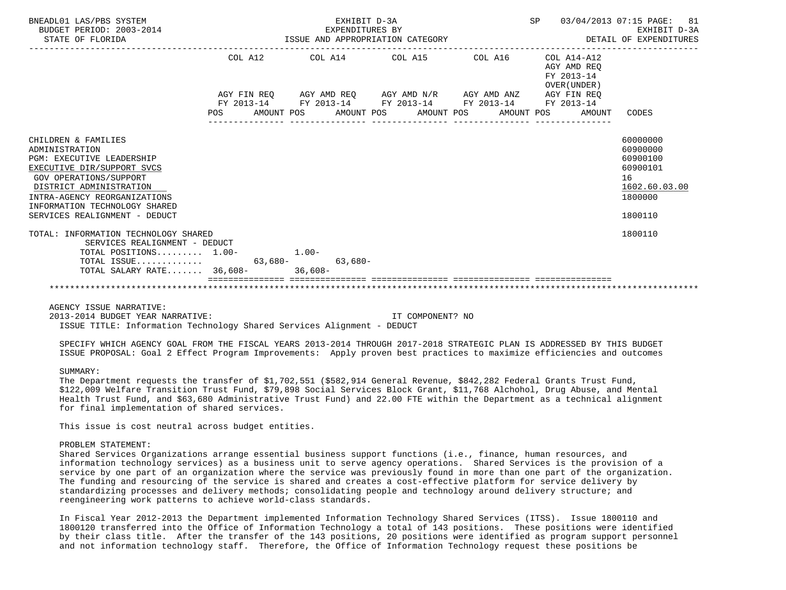| BNEADL01 LAS/PBS SYSTEM<br>BUDGET PERIOD: 2003-2014<br>STATE OF FLORIDA                                                                                                                                                                                               |  |                     | EXHIBIT D-3A<br>EXPENDITURES BY |  | ISSUE AND APPROPRIATION CATEGORY                | SP |                                                                                                                       | 03/04/2013 07:15 PAGE:<br>81<br>EXHIBIT D-3A<br>DETAIL OF EXPENDITURES                    |
|-----------------------------------------------------------------------------------------------------------------------------------------------------------------------------------------------------------------------------------------------------------------------|--|---------------------|---------------------------------|--|-------------------------------------------------|----|-----------------------------------------------------------------------------------------------------------------------|-------------------------------------------------------------------------------------------|
|                                                                                                                                                                                                                                                                       |  |                     |                                 |  |                                                 |    | COL A12 COL A14 COL A15 COL A16 COL A14-A12<br>AGY AMD REO<br>FY 2013-14<br>OVER (UNDER)                              |                                                                                           |
|                                                                                                                                                                                                                                                                       |  |                     |                                 |  |                                                 |    | AGY FIN REQ AGY AMD REQ AGY AMD N/R AGY AMD ANZ AGY FIN REQ<br>FY 2013-14 FY 2013-14 FY 2013-14 FY 2013-14 FY 2013-14 |                                                                                           |
|                                                                                                                                                                                                                                                                       |  |                     |                                 |  | POS AMOUNT POS AMOUNT POS AMOUNT POS AMOUNT POS |    | AMOUNT                                                                                                                | CODES                                                                                     |
| CHILDREN & FAMILIES<br>ADMINISTRATION<br><b>PGM: EXECUTIVE LEADERSHIP</b><br>EXECUTIVE DIR/SUPPORT SVCS<br><b>GOV OPERATIONS/SUPPORT</b><br>DISTRICT ADMINISTRATION<br>INTRA-AGENCY REORGANIZATIONS<br>INFORMATION TECHNOLOGY SHARED<br>SERVICES REALIGNMENT - DEDUCT |  |                     |                                 |  |                                                 |    |                                                                                                                       | 60000000<br>60900000<br>60900100<br>60900101<br>16<br>1602.60.03.00<br>1800000<br>1800110 |
| TOTAL: INFORMATION TECHNOLOGY SHARED<br>SERVICES REALIGNMENT - DEDUCT<br>TOTAL POSITIONS 1.00-<br>TOTAL ISSUE                                                                                                                                                         |  | $1.00 -$<br>63,680- | $63,680-$                       |  |                                                 |    |                                                                                                                       | 1800110                                                                                   |
| TOTAL SALARY RATE 36,608- 36,608-                                                                                                                                                                                                                                     |  |                     |                                 |  |                                                 |    |                                                                                                                       |                                                                                           |

AGENCY ISSUE NARRATIVE:

 2013-2014 BUDGET YEAR NARRATIVE: IT COMPONENT? NO ISSUE TITLE: Information Technology Shared Services Alignment - DEDUCT

 SPECIFY WHICH AGENCY GOAL FROM THE FISCAL YEARS 2013-2014 THROUGH 2017-2018 STRATEGIC PLAN IS ADDRESSED BY THIS BUDGET ISSUE PROPOSAL: Goal 2 Effect Program Improvements: Apply proven best practices to maximize efficiencies and outcomes

# SUMMARY:

 The Department requests the transfer of \$1,702,551 (\$582,914 General Revenue, \$842,282 Federal Grants Trust Fund, \$122,009 Welfare Transition Trust Fund, \$79,898 Social Services Block Grant, \$11,768 Alchohol, Drug Abuse, and Mental Health Trust Fund, and \$63,680 Administrative Trust Fund) and 22.00 FTE within the Department as a technical alignment for final implementation of shared services.

This issue is cost neutral across budget entities.

## PROBLEM STATEMENT:

 Shared Services Organizations arrange essential business support functions (i.e., finance, human resources, and information technology services) as a business unit to serve agency operations. Shared Services is the provision of a service by one part of an organization where the service was previously found in more than one part of the organization. The funding and resourcing of the service is shared and creates a cost-effective platform for service delivery by standardizing processes and delivery methods; consolidating people and technology around delivery structure; and reengineering work patterns to achieve world-class standards.

 In Fiscal Year 2012-2013 the Department implemented Information Technology Shared Services (ITSS). Issue 1800110 and 1800120 transferred into the Office of Information Technology a total of 143 positions. These positions were identified by their class title. After the transfer of the 143 positions, 20 positions were identified as program support personnel and not information technology staff. Therefore, the Office of Information Technology request these positions be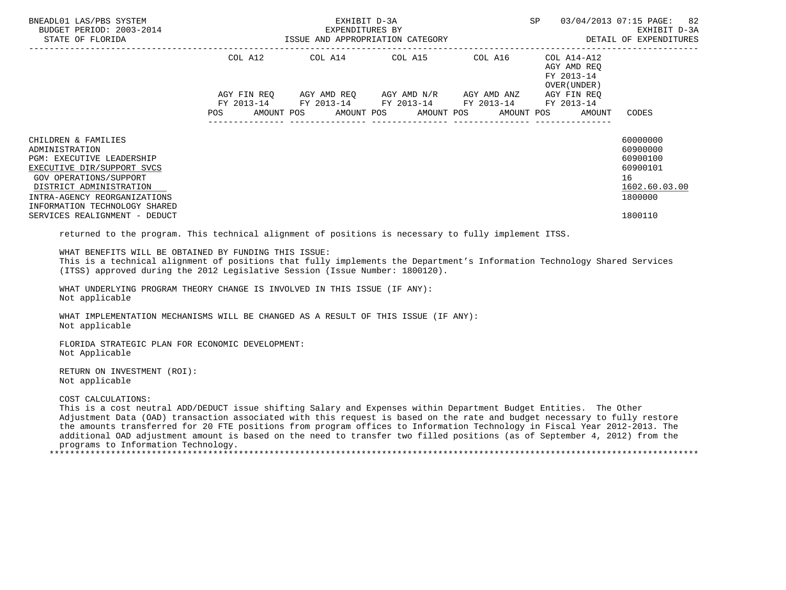| BNEADL01 LAS/PBS SYSTEM                                                                                                                                                                                                                                                                                                                                                                                                                                                                                                                                               | EXHIBIT D-3A |  | SP                                                                                                                                                                   | 03/04/2013 07:15 PAGE: 82<br>EXHIBIT D-3A<br>DETAIL OF EXPENDITURES                                   |                                                                                           |
|-----------------------------------------------------------------------------------------------------------------------------------------------------------------------------------------------------------------------------------------------------------------------------------------------------------------------------------------------------------------------------------------------------------------------------------------------------------------------------------------------------------------------------------------------------------------------|--------------|--|----------------------------------------------------------------------------------------------------------------------------------------------------------------------|-------------------------------------------------------------------------------------------------------|-------------------------------------------------------------------------------------------|
|                                                                                                                                                                                                                                                                                                                                                                                                                                                                                                                                                                       |              |  | COL A12 COL A14 COL A15 COL A16 COL A14-A12<br>AGY FIN REQ AGY AMD REQ AGY AMD N/R AGY AMD ANZ AGY FIN REQ<br>FY 2013-14 FY 2013-14 FY 2013-14 FY 2013-14 FY 2013-14 | AGY AMD REQ<br>FY 2013-14<br>OVER ( UNDER )<br>POS AMOUNT POS AMOUNT POS AMOUNT POS AMOUNT POS AMOUNT | CODES                                                                                     |
| CHILDREN & FAMILIES<br>ADMINISTRATION<br>PGM: EXECUTIVE LEADERSHIP<br>EXECUTIVE DIR/SUPPORT SVCS<br>GOV OPERATIONS/SUPPORT<br>DISTRICT ADMINISTRATION<br>INTRA-AGENCY REORGANIZATIONS<br>INFORMATION TECHNOLOGY SHARED<br>SERVICES REALIGNMENT - DEDUCT                                                                                                                                                                                                                                                                                                               |              |  |                                                                                                                                                                      |                                                                                                       | 60000000<br>60900000<br>60900100<br>60900101<br>16<br>1602.60.03.00<br>1800000<br>1800110 |
| returned to the program. This technical alignment of positions is necessary to fully implement ITSS.<br>WHAT BENEFITS WILL BE OBTAINED BY FUNDING THIS ISSUE:<br>This is a technical alignment of positions that fully implements the Department's Information Technology Shared Services<br>(ITSS) approved during the 2012 Legislative Session (Issue Number: 1800120).                                                                                                                                                                                             |              |  |                                                                                                                                                                      |                                                                                                       |                                                                                           |
| WHAT UNDERLYING PROGRAM THEORY CHANGE IS INVOLVED IN THIS ISSUE (IF ANY):<br>Not applicable<br>WHAT IMPLEMENTATION MECHANISMS WILL BE CHANGED AS A RESULT OF THIS ISSUE (IF ANY):                                                                                                                                                                                                                                                                                                                                                                                     |              |  |                                                                                                                                                                      |                                                                                                       |                                                                                           |
| Not applicable<br>FLORIDA STRATEGIC PLAN FOR ECONOMIC DEVELOPMENT:<br>Not Applicable                                                                                                                                                                                                                                                                                                                                                                                                                                                                                  |              |  |                                                                                                                                                                      |                                                                                                       |                                                                                           |
| RETURN ON INVESTMENT (ROI):<br>Not applicable                                                                                                                                                                                                                                                                                                                                                                                                                                                                                                                         |              |  |                                                                                                                                                                      |                                                                                                       |                                                                                           |
| COST CALCULATIONS:<br>This is a cost neutral ADD/DEDUCT issue shifting Salary and Expenses within Department Budget Entities. The Other<br>Adjustment Data (OAD) transaction associated with this request is based on the rate and budget necessary to fully restore<br>the amounts transferred for 20 FTE positions from program offices to Information Technology in Fiscal Year 2012-2013. The<br>additional OAD adjustment amount is based on the need to transfer two filled positions (as of September 4, 2012) from the<br>programs to Information Technology. |              |  |                                                                                                                                                                      |                                                                                                       |                                                                                           |

\*\*\*\*\*\*\*\*\*\*\*\*\*\*\*\*\*\*\*\*\*\*\*\*\*\*\*\*\*\*\*\*\*\*\*\*\*\*\*\*\*\*\*\*\*\*\*\*\*\*\*\*\*\*\*\*\*\*\*\*\*\*\*\*\*\*\*\*\*\*\*\*\*\*\*\*\*\*\*\*\*\*\*\*\*\*\*\*\*\*\*\*\*\*\*\*\*\*\*\*\*\*\*\*\*\*\*\*\*\*\*\*\*\*\*\*\*\*\*\*\*\*\*\*\*\*\*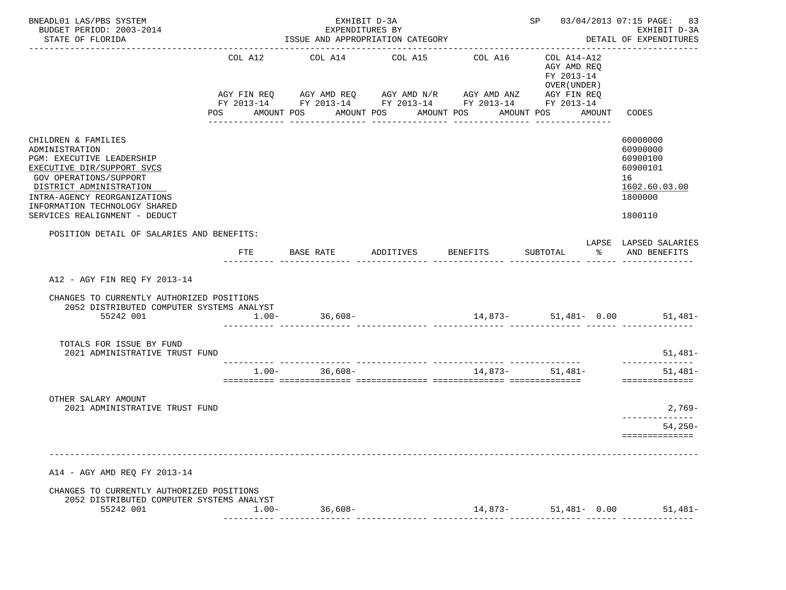| BNEADL01 LAS/PBS SYSTEM<br>BUDGET PERIOD: 2003-2014<br>STATE OF FLORIDA                                                                                                                                                                                 |                | EXHIBIT D-3A<br>EXPENDITURES BY<br>ISSUE AND APPROPRIATION CATEGORY                                                                            | SP 03/04/2013 07:15 PAGE: 83<br>EXHIBIT D-3A<br>DETAIL OF EXPENDITURES |                            |                                                                               |                                                                                           |
|---------------------------------------------------------------------------------------------------------------------------------------------------------------------------------------------------------------------------------------------------------|----------------|------------------------------------------------------------------------------------------------------------------------------------------------|------------------------------------------------------------------------|----------------------------|-------------------------------------------------------------------------------|-------------------------------------------------------------------------------------------|
|                                                                                                                                                                                                                                                         | COL A12<br>POS | COL A14<br>AGY FIN REQ AGY AMD REQ AGY AMD N/R AGY AMD ANZ AGY FIN REQ<br>FY 2013-14 FY 2013-14 FY 2013-14 FY 2013-14 FY 2013-14<br>AMOUNT POS | COL A15<br>AMOUNT POS AMOUNT POS<br>_______________                    | COL A16<br>_______________ | COL A14-A12<br>AGY AMD REQ<br>FY 2013-14<br>OVER (UNDER)<br>AMOUNT POS AMOUNT | CODES                                                                                     |
| CHILDREN & FAMILIES<br>ADMINISTRATION<br>PGM: EXECUTIVE LEADERSHIP<br>EXECUTIVE DIR/SUPPORT SVCS<br>GOV OPERATIONS/SUPPORT<br>DISTRICT ADMINISTRATION<br>INTRA-AGENCY REORGANIZATIONS<br>INFORMATION TECHNOLOGY SHARED<br>SERVICES REALIGNMENT - DEDUCT |                |                                                                                                                                                |                                                                        |                            |                                                                               | 60000000<br>60900000<br>60900100<br>60900101<br>16<br>1602.60.03.00<br>1800000<br>1800110 |
| POSITION DETAIL OF SALARIES AND BENEFITS:                                                                                                                                                                                                               | FTE            | BASE RATE ADDITIVES BENEFITS                                                                                                                   |                                                                        |                            | ွေ<br>SUBTOTAL                                                                | LAPSE LAPSED SALARIES<br>AND BENEFITS                                                     |
| A12 - AGY FIN REO FY 2013-14<br>CHANGES TO CURRENTLY AUTHORIZED POSITIONS<br>2052 DISTRIBUTED COMPUTER SYSTEMS ANALYST<br>55242 001                                                                                                                     |                | $1.00 - 36,608 -$                                                                                                                              |                                                                        |                            |                                                                               | $14,873-51,481-0.00$ 51,481-                                                              |
| TOTALS FOR ISSUE BY FUND<br>2021 ADMINISTRATIVE TRUST FUND                                                                                                                                                                                              |                |                                                                                                                                                |                                                                        |                            |                                                                               | $51,481-$                                                                                 |
|                                                                                                                                                                                                                                                         |                | $1.00 - 36,608 -$                                                                                                                              |                                                                        | 14,873-                    | 51,481-                                                                       | $51,481-$<br>==============                                                               |
| OTHER SALARY AMOUNT<br>2021 ADMINISTRATIVE TRUST FUND                                                                                                                                                                                                   |                |                                                                                                                                                |                                                                        |                            |                                                                               | 2,769-<br>______________<br>54,250-<br>==============                                     |
| A14 - AGY AMD REQ FY 2013-14                                                                                                                                                                                                                            |                |                                                                                                                                                |                                                                        |                            |                                                                               |                                                                                           |
| CHANGES TO CURRENTLY AUTHORIZED POSITIONS<br>2052 DISTRIBUTED COMPUTER SYSTEMS ANALYST<br>55242 001                                                                                                                                                     | $1.00-$        | $36,608-$                                                                                                                                      |                                                                        | 14,873-                    | $51.481 - 0.00$                                                               | $51.481-$                                                                                 |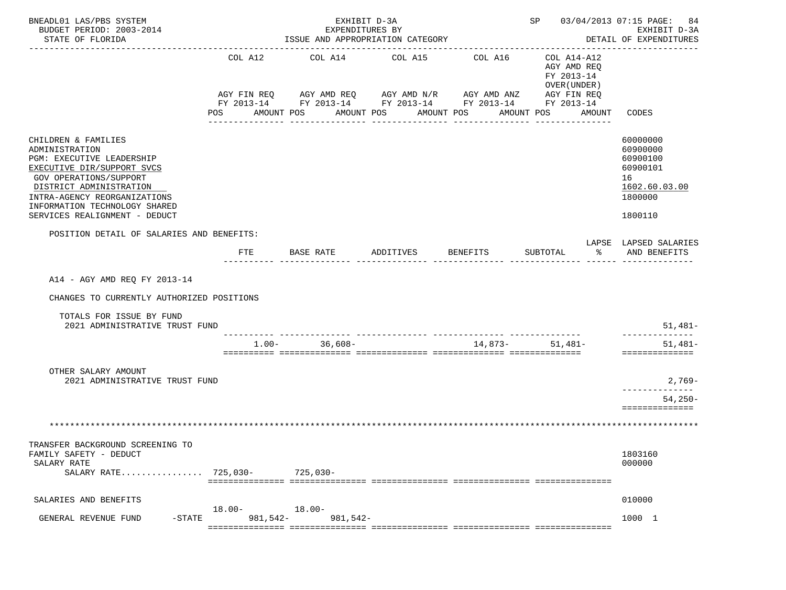| BNEADL01 LAS/PBS SYSTEM<br>BUDGET PERIOD: 2003-2014<br>STATE OF FLORIDA                                                                                                                                                                                        |                    | EXHIBIT D-3A<br>EXPENDITURES BY<br>---------------------- | ISSUE AND APPROPRIATION CATEGORY                                                                                                                     |                 | SP 03/04/2013 07:15 PAGE: 84                                                                  | EXHIBIT D-3A<br>DETAIL OF EXPENDITURES                                                    |
|----------------------------------------------------------------------------------------------------------------------------------------------------------------------------------------------------------------------------------------------------------------|--------------------|-----------------------------------------------------------|------------------------------------------------------------------------------------------------------------------------------------------------------|-----------------|-----------------------------------------------------------------------------------------------|-------------------------------------------------------------------------------------------|
|                                                                                                                                                                                                                                                                | COL A12<br>POS     | COL A14<br>AMOUNT POS                                     | COL A15<br>AGY FIN REQ 6 AGY AMD REQ 6 AGY AMD N/R 66 AGY AMD ANZ<br>FY 2013-14 FY 2013-14 FY 2013-14 FY 2013-14 FY 2013-14<br>AMOUNT POS AMOUNT POS | COL A16         | COL A14-A12<br>AGY AMD REO<br>FY 2013-14<br>OVER (UNDER )<br>AGY FIN REQ<br>AMOUNT POS AMOUNT | CODES                                                                                     |
|                                                                                                                                                                                                                                                                |                    |                                                           | -----------                                                                                                                                          |                 |                                                                                               |                                                                                           |
| CHILDREN & FAMILIES<br>ADMINISTRATION<br>PGM: EXECUTIVE LEADERSHIP<br>EXECUTIVE DIR/SUPPORT SVCS<br><b>GOV OPERATIONS/SUPPORT</b><br>DISTRICT ADMINISTRATION<br>INTRA-AGENCY REORGANIZATIONS<br>INFORMATION TECHNOLOGY SHARED<br>SERVICES REALIGNMENT - DEDUCT |                    |                                                           |                                                                                                                                                      |                 |                                                                                               | 60000000<br>60900000<br>60900100<br>60900101<br>16<br>1602.60.03.00<br>1800000<br>1800110 |
| POSITION DETAIL OF SALARIES AND BENEFITS:                                                                                                                                                                                                                      |                    |                                                           |                                                                                                                                                      |                 |                                                                                               | LAPSE LAPSED SALARIES                                                                     |
|                                                                                                                                                                                                                                                                | FTE                | BASE RATE ADDITIVES                                       |                                                                                                                                                      | <b>BENEFITS</b> | န္မွ ေ<br>SUBTOTAL                                                                            | AND BENEFITS                                                                              |
| A14 - AGY AMD REQ FY 2013-14<br>CHANGES TO CURRENTLY AUTHORIZED POSITIONS<br>TOTALS FOR ISSUE BY FUND<br>2021 ADMINISTRATIVE TRUST FUND                                                                                                                        |                    |                                                           |                                                                                                                                                      |                 |                                                                                               | 51,481-                                                                                   |
|                                                                                                                                                                                                                                                                |                    | $1.00 - 36,608 -$                                         |                                                                                                                                                      | 14,873- 51,481- |                                                                                               | --------------<br>$51,481-$                                                               |
|                                                                                                                                                                                                                                                                |                    |                                                           |                                                                                                                                                      |                 |                                                                                               | ==============                                                                            |
| OTHER SALARY AMOUNT<br>2021 ADMINISTRATIVE TRUST FUND                                                                                                                                                                                                          |                    |                                                           |                                                                                                                                                      |                 |                                                                                               | 2,769-                                                                                    |
|                                                                                                                                                                                                                                                                |                    |                                                           |                                                                                                                                                      |                 |                                                                                               | $54,250-$                                                                                 |
|                                                                                                                                                                                                                                                                |                    |                                                           |                                                                                                                                                      |                 |                                                                                               | ==============                                                                            |
|                                                                                                                                                                                                                                                                |                    |                                                           |                                                                                                                                                      |                 |                                                                                               |                                                                                           |
| TRANSFER BACKGROUND SCREENING TO<br>FAMILY SAFETY - DEDUCT<br>SALARY RATE<br>SALARY RATE 725,030-                                                                                                                                                              |                    | $725,030-$                                                |                                                                                                                                                      |                 |                                                                                               | 1803160<br>000000                                                                         |
| SALARIES AND BENEFITS                                                                                                                                                                                                                                          |                    |                                                           |                                                                                                                                                      |                 |                                                                                               | 010000                                                                                    |
| GENERAL REVENUE FUND<br>$-$ STATE                                                                                                                                                                                                                              | 18.00-<br>981,542- | $18.00 -$<br>981,542-                                     |                                                                                                                                                      |                 |                                                                                               | 1000 1                                                                                    |
|                                                                                                                                                                                                                                                                |                    |                                                           |                                                                                                                                                      |                 |                                                                                               |                                                                                           |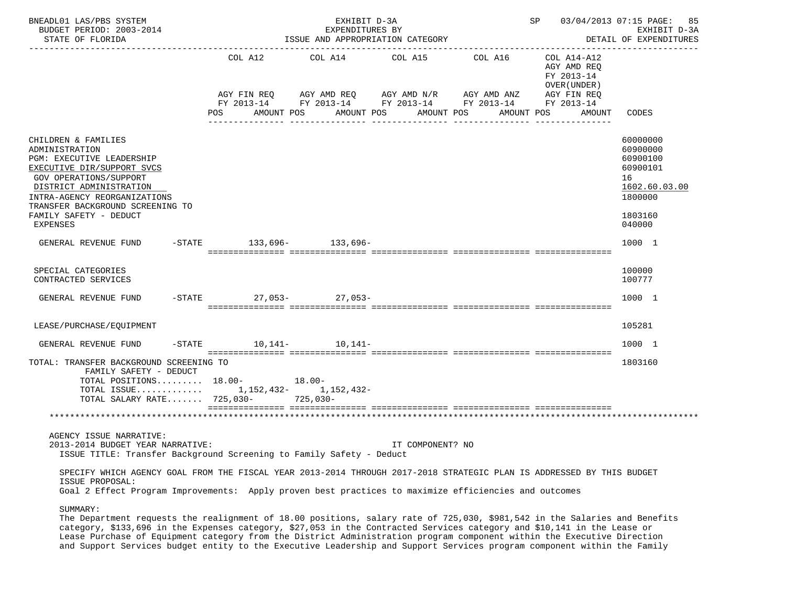| BNEADL01 LAS/PBS SYSTEM<br>BUDGET PERIOD: 2003-2014<br>STATE OF FLORIDA                                                                                                                                                                                         |           |     |                        | EXHIBIT D-3A<br>EXPENDITURES BY<br>ISSUE AND APPROPRIATION CATEGORY                                           |                                |                                           |                                                                                       | SP 03/04/2013 07:15 PAGE:<br>85<br>EXHIBIT D-3A<br>DETAIL OF EXPENDITURES                           |
|-----------------------------------------------------------------------------------------------------------------------------------------------------------------------------------------------------------------------------------------------------------------|-----------|-----|------------------------|---------------------------------------------------------------------------------------------------------------|--------------------------------|-------------------------------------------|---------------------------------------------------------------------------------------|-----------------------------------------------------------------------------------------------------|
|                                                                                                                                                                                                                                                                 |           |     | COL A12<br>AGY FIN REQ | COL A14 COL A15 COL A16<br>AGY AMD REQ AGY AMD N/R AGY AMD ANZ<br>FY 2013-14 FY 2013-14 FY 2013-14 FY 2013-14 |                                |                                           | COL A14-A12<br>AGY AMD REQ<br>FY 2013-14<br>OVER (UNDER)<br>AGY FIN REQ<br>FY 2013-14 |                                                                                                     |
|                                                                                                                                                                                                                                                                 |           | POS | AMOUNT POS             | AMOUNT POS                                                                                                    | AMOUNT POS<br>________________ | AMOUNT POS<br><u>. Bergericher Berger</u> | AMOUNT                                                                                | CODES                                                                                               |
| CHILDREN & FAMILIES<br>ADMINISTRATION<br>PGM: EXECUTIVE LEADERSHIP<br>EXECUTIVE DIR/SUPPORT SVCS<br>GOV OPERATIONS/SUPPORT<br>DISTRICT ADMINISTRATION<br>INTRA-AGENCY REORGANIZATIONS<br>TRANSFER BACKGROUND SCREENING TO<br>FAMILY SAFETY - DEDUCT<br>EXPENSES |           |     |                        |                                                                                                               |                                |                                           |                                                                                       | 60000000<br>60900000<br>60900100<br>60900101<br>16<br>1602.60.03.00<br>1800000<br>1803160<br>040000 |
| GENERAL REVENUE FUND                                                                                                                                                                                                                                            |           |     |                        | $-STATE$ 133.696- 133.696-                                                                                    |                                |                                           |                                                                                       | 1000 1                                                                                              |
| SPECIAL CATEGORIES<br>CONTRACTED SERVICES                                                                                                                                                                                                                       |           |     |                        |                                                                                                               |                                |                                           |                                                                                       | 100000<br>100777                                                                                    |
| GENERAL REVENUE FUND                                                                                                                                                                                                                                            |           |     |                        | -STATE 27,053-27,053-                                                                                         |                                |                                           |                                                                                       | 1000 1                                                                                              |
| LEASE/PURCHASE/EQUIPMENT                                                                                                                                                                                                                                        |           |     |                        |                                                                                                               |                                |                                           |                                                                                       | 105281                                                                                              |
| GENERAL REVENUE FUND                                                                                                                                                                                                                                            | $-$ STATE |     |                        | $10,141-10,141-$                                                                                              |                                |                                           |                                                                                       | 1000 1                                                                                              |
| TOTAL: TRANSFER BACKGROUND SCREENING TO<br>FAMILY SAFETY - DEDUCT<br>TOTAL POSITIONS $18.00-18.00-$<br>TOTAL ISSUE 1,152,432- 1,152,432-<br>TOTAL SALARY RATE 725,030-                                                                                          |           |     |                        | 725,030-                                                                                                      |                                |                                           |                                                                                       | 1803160                                                                                             |
|                                                                                                                                                                                                                                                                 |           |     |                        |                                                                                                               |                                |                                           |                                                                                       |                                                                                                     |
| AGENCY ISSUE NARRATIVE:<br>2013-2014 BUDGET YEAR NARRATIVE:<br>ISSUE TITLE: Transfer Background Screening to Family Safety - Deduct                                                                                                                             |           |     |                        |                                                                                                               | IT COMPONENT? NO               |                                           |                                                                                       |                                                                                                     |
| SPECIFY WHICH AGENCY GOAL FROM THE FISCAL YEAR 2013-2014 THROUGH 2017-2018 STRATEGIC PLAN IS ADDRESSED BY THIS BUDGET<br>ISSUE PROPOSAL:<br>Goal 2 Effect Program Improvements: Apply proven best practices to maximize efficiencies and outcomes               |           |     |                        |                                                                                                               |                                |                                           |                                                                                       |                                                                                                     |
| SUMMARY:<br>The Department requests the realignment of 18.00 positions, salary rate of 725,030, \$981,542 in the Salaries and Benefits                                                                                                                          |           |     |                        |                                                                                                               |                                |                                           |                                                                                       |                                                                                                     |

 category, \$133,696 in the Expenses category, \$27,053 in the Contracted Services category and \$10,141 in the Lease or Lease Purchase of Equipment category from the District Administration program component within the Executive Direction and Support Services budget entity to the Executive Leadership and Support Services program component within the Family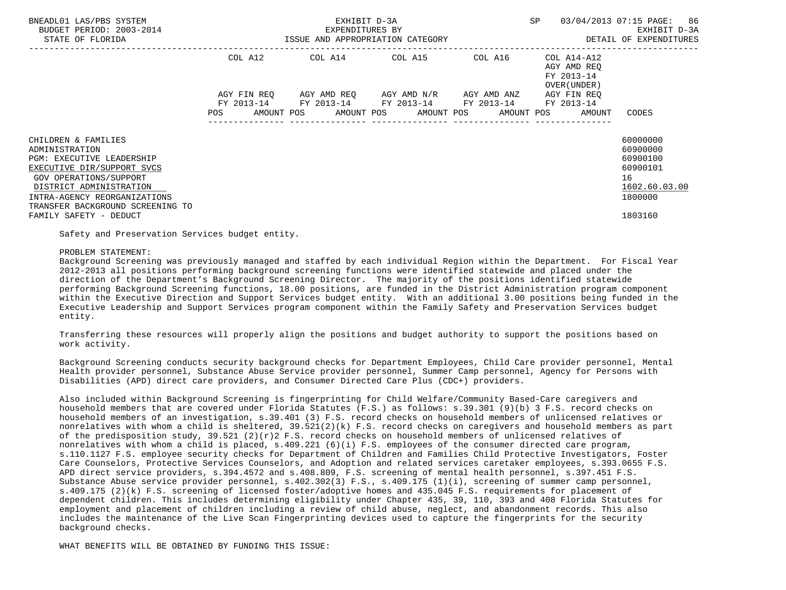| BNEADL01 LAS/PBS SYSTEM<br>BUDGET PERIOD: 2003-2014<br>STATE OF FLORIDA                                                                                                                                                   |             | EXHIBIT D-3A<br>EXPENDITURES BY<br>ISSUE AND APPROPRIATION CATEGORY | SP                                                                                                    | 03/04/2013 07:15 PAGE: 86<br>EXHIBIT D-3A<br>DETAIL OF EXPENDITURES |                                                          |                                                                                |
|---------------------------------------------------------------------------------------------------------------------------------------------------------------------------------------------------------------------------|-------------|---------------------------------------------------------------------|-------------------------------------------------------------------------------------------------------|---------------------------------------------------------------------|----------------------------------------------------------|--------------------------------------------------------------------------------|
|                                                                                                                                                                                                                           | COL A12     |                                                                     | COL A14 COL A15 COL A16                                                                               |                                                                     | COL A14-A12<br>AGY AMD REO<br>FY 2013-14<br>OVER (UNDER) |                                                                                |
|                                                                                                                                                                                                                           | AGY FIN REO |                                                                     | AGY AMD REO     AGY AMD N/R     AGY AMD ANZ<br>FY 2013-14 FY 2013-14 FY 2013-14 FY 2013-14 FY 2013-14 |                                                                     | AGY FIN REO                                              |                                                                                |
|                                                                                                                                                                                                                           | <b>POS</b>  |                                                                     |                                                                                                       |                                                                     | AMOUNT POS AMOUNT POS AMOUNT POS AMOUNT POS AMOUNT       | CODES                                                                          |
| CHILDREN & FAMILIES<br>ADMINISTRATION<br>PGM: EXECUTIVE LEADERSHIP<br>EXECUTIVE DIR/SUPPORT SVCS<br>GOV OPERATIONS/SUPPORT<br>DISTRICT ADMINISTRATION<br>INTRA-AGENCY REORGANIZATIONS<br>TRANSFER BACKGROUND SCREENING TO |             |                                                                     |                                                                                                       |                                                                     |                                                          | 60000000<br>60900000<br>60900100<br>60900101<br>16<br>1602.60.03.00<br>1800000 |
| FAMILY SAFETY - DEDUCT                                                                                                                                                                                                    |             |                                                                     |                                                                                                       |                                                                     |                                                          | 1803160                                                                        |

Safety and Preservation Services budget entity.

## PROBLEM STATEMENT:

 Background Screening was previously managed and staffed by each individual Region within the Department. For Fiscal Year 2012-2013 all positions performing background screening functions were identified statewide and placed under the direction of the Department's Background Screening Director. The majority of the positions identified statewide performing Background Screening functions, 18.00 positions, are funded in the District Administration program component within the Executive Direction and Support Services budget entity. With an additional 3.00 positions being funded in the Executive Leadership and Support Services program component within the Family Safety and Preservation Services budget entity.

 Transferring these resources will properly align the positions and budget authority to support the positions based on work activity.

 Background Screening conducts security background checks for Department Employees, Child Care provider personnel, Mental Health provider personnel, Substance Abuse Service provider personnel, Summer Camp personnel, Agency for Persons with Disabilities (APD) direct care providers, and Consumer Directed Care Plus (CDC+) providers.

 Also included within Background Screening is fingerprinting for Child Welfare/Community Based-Care caregivers and household members that are covered under Florida Statutes (F.S.) as follows: s.39.301 (9)(b) 3 F.S. record checks on household members of an investigation, s.39.401 (3) F.S. record checks on household members of unlicensed relatives or nonrelatives with whom a child is sheltered, 39.521(2)(k) F.S. record checks on caregivers and household members as part of the predisposition study,  $39.521$  (2)(r)2 F.S. record checks on household members of unlicensed relatives of nonrelatives with whom a child is placed, s.409.221 (6)(i) F.S. employees of the consumer directed care program, s.110.1127 F.S. employee security checks for Department of Children and Families Child Protective Investigators, Foster Care Counselors, Protective Services Counselors, and Adoption and related services caretaker employees, s.393.0655 F.S. APD direct service providers, s.394.4572 and s.408.809, F.S. screening of mental health personnel, s.397.451 F.S. Substance Abuse service provider personnel, s.402.302(3) F.S., s.409.175 (1)(i), screening of summer camp personnel, s.409.175 (2)(k) F.S. screening of licensed foster/adoptive homes and 435.045 F.S. requirements for placement of dependent children. This includes determining eligibility under Chapter 435, 39, 110, 393 and 408 Florida Statutes for employment and placement of children including a review of child abuse, neglect, and abandonment records. This also includes the maintenance of the Live Scan Fingerprinting devices used to capture the fingerprints for the security background checks.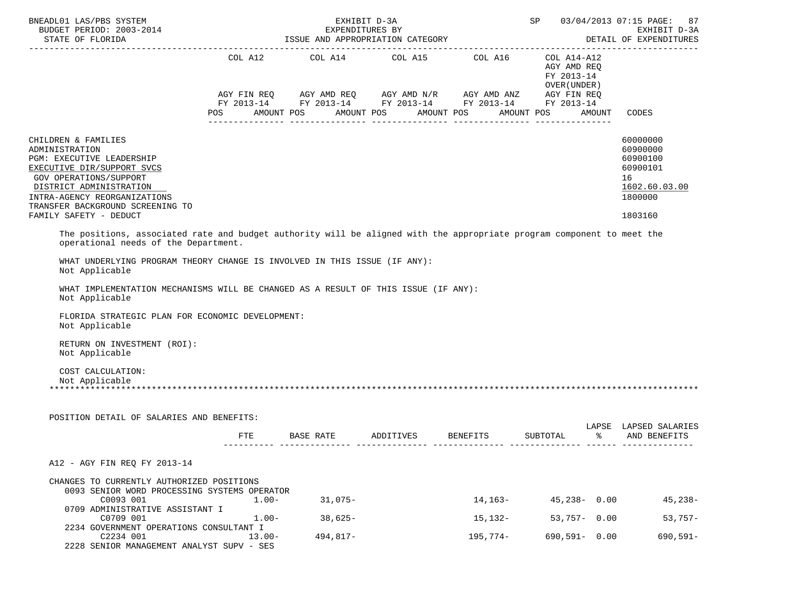| BNEADL01 LAS/PBS SYSTEM<br>BUDGET PERIOD: 2003-2014                                                                                                                                                                                                 |            | 03/04/2013 07:15 PAGE:<br>SP<br>87<br>EXHIBIT D-3A                                                                                               |            |                 |                                                           |            |                                                                                           |
|-----------------------------------------------------------------------------------------------------------------------------------------------------------------------------------------------------------------------------------------------------|------------|--------------------------------------------------------------------------------------------------------------------------------------------------|------------|-----------------|-----------------------------------------------------------|------------|-------------------------------------------------------------------------------------------|
| STATE OF FLORIDA                                                                                                                                                                                                                                    |            | EXPENDITURES BY<br>ISSUE AND APPROPRIATION CATEGORY                                                                                              |            |                 | DETAIL OF EXPENDITURES                                    |            |                                                                                           |
|                                                                                                                                                                                                                                                     | COL A12    | COL A14 COL A15 COL A16<br>AGY FIN REQ AGY AMD REQ AGY AMD N/R AGY AMD ANZ AGY FIN REQ<br>FY 2013-14 FY 2013-14 FY 2013-14 FY 2013-14 FY 2013-14 |            |                 | COL A14-A12<br>AGY AMD REQ<br>FY 2013-14<br>OVER (UNDER ) |            |                                                                                           |
|                                                                                                                                                                                                                                                     | POS        | AMOUNT POS                                                                                                                                       | AMOUNT POS | AMOUNT POS      | AMOUNT POS                                                | AMOUNT     | CODES                                                                                     |
| CHILDREN & FAMILIES<br>ADMINISTRATION<br>PGM: EXECUTIVE LEADERSHIP<br>EXECUTIVE DIR/SUPPORT SVCS<br>GOV OPERATIONS/SUPPORT<br>DISTRICT ADMINISTRATION<br>INTRA-AGENCY REORGANIZATIONS<br>TRANSFER BACKGROUND SCREENING TO<br>FAMILY SAFETY - DEDUCT |            |                                                                                                                                                  |            |                 |                                                           |            | 60000000<br>60900000<br>60900100<br>60900101<br>16<br>1602.60.03.00<br>1800000<br>1803160 |
| The positions, associated rate and budget authority will be aligned with the appropriate program component to meet the                                                                                                                              |            |                                                                                                                                                  |            |                 |                                                           |            |                                                                                           |
| operational needs of the Department.                                                                                                                                                                                                                |            |                                                                                                                                                  |            |                 |                                                           |            |                                                                                           |
| WHAT UNDERLYING PROGRAM THEORY CHANGE IS INVOLVED IN THIS ISSUE (IF ANY):<br>Not Applicable                                                                                                                                                         |            |                                                                                                                                                  |            |                 |                                                           |            |                                                                                           |
| WHAT IMPLEMENTATION MECHANISMS WILL BE CHANGED AS A RESULT OF THIS ISSUE (IF ANY):<br>Not Applicable                                                                                                                                                |            |                                                                                                                                                  |            |                 |                                                           |            |                                                                                           |
| FLORIDA STRATEGIC PLAN FOR ECONOMIC DEVELOPMENT:<br>Not Applicable                                                                                                                                                                                  |            |                                                                                                                                                  |            |                 |                                                           |            |                                                                                           |
| RETURN ON INVESTMENT (ROI):<br>Not Applicable                                                                                                                                                                                                       |            |                                                                                                                                                  |            |                 |                                                           |            |                                                                                           |
| COST CALCULATION:<br>Not Applicable                                                                                                                                                                                                                 |            |                                                                                                                                                  |            |                 |                                                           |            |                                                                                           |
| POSITION DETAIL OF SALARIES AND BENEFITS:                                                                                                                                                                                                           |            |                                                                                                                                                  |            |                 |                                                           |            |                                                                                           |
|                                                                                                                                                                                                                                                     | <b>FTE</b> | BASE RATE                                                                                                                                        | ADDITIVES  | <b>BENEFITS</b> | SUBTOTAL                                                  | LAPSE<br>ႜ | LAPSED SALARIES<br>AND BENEFITS                                                           |
| A12 - AGY FIN REQ FY 2013-14                                                                                                                                                                                                                        |            |                                                                                                                                                  |            |                 |                                                           |            |                                                                                           |
| CHANGES TO CURRENTLY AUTHORIZED POSITIONS<br>0093 SENIOR WORD PROCESSING SYSTEMS OPERATOR                                                                                                                                                           |            |                                                                                                                                                  |            |                 |                                                           |            |                                                                                           |
| C0093 001                                                                                                                                                                                                                                           | $1.00-$    | 31,075-                                                                                                                                          |            |                 | $14, 163 - 45, 238 - 0.00$                                |            | 45,238-                                                                                   |
| 0709 ADMINISTRATIVE ASSISTANT I<br>C0709 001                                                                                                                                                                                                        | $1.00 -$   | $38,625-$                                                                                                                                        |            | 15,132-         | $53,757 - 0.00$                                           |            | $53,757-$                                                                                 |
| 2234 GOVERNMENT OPERATIONS CONSULTANT I<br>C2234 001<br>2228 SENIOR MANAGEMENT ANALYST SUPV - SES                                                                                                                                                   | $13.00 -$  | $494,817-$                                                                                                                                       |            | 195,774-        | 690,591- 0.00                                             |            | $690, 591 -$                                                                              |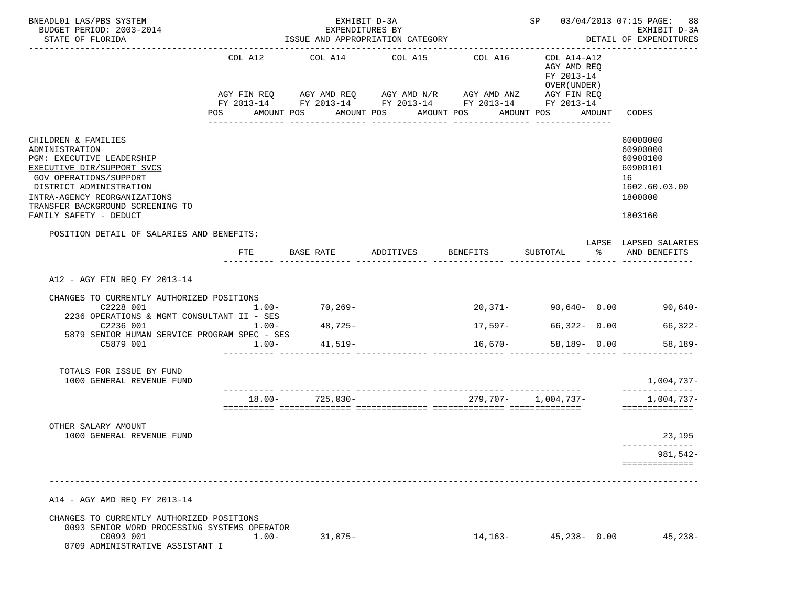| BNEADL01 LAS/PBS SYSTEM                                                                                                                                                                                                                             | EXHIBIT D-3A<br>EXPENDITURES BY  |                                                                                                                                  |                                  |                                        |                                                                               | SP 03/04/2013 07:15 PAGE: 88                                                              |
|-----------------------------------------------------------------------------------------------------------------------------------------------------------------------------------------------------------------------------------------------------|----------------------------------|----------------------------------------------------------------------------------------------------------------------------------|----------------------------------|----------------------------------------|-------------------------------------------------------------------------------|-------------------------------------------------------------------------------------------|
| BUDGET PERIOD: 2003-2014<br>STATE OF FLORIDA                                                                                                                                                                                                        |                                  | ISSUE AND APPROPRIATION CATEGORY                                                                                                 |                                  | EXHIBIT D-3A<br>DETAIL OF EXPENDITURES |                                                                               |                                                                                           |
|                                                                                                                                                                                                                                                     | COL A12<br>POS AMOUNT POS        | COL A14<br>AGY FIN REQ AGY AMD REQ AGY AMD N/R AGY AMD ANZ AGY FIN REQ<br>FY 2013-14 FY 2013-14 FY 2013-14 FY 2013-14 FY 2013-14 | COL A15<br>AMOUNT POS AMOUNT POS | COL A16                                | COL A14-A12<br>AGY AMD REQ<br>FY 2013-14<br>OVER (UNDER)<br>AMOUNT POS AMOUNT | CODES                                                                                     |
| CHILDREN & FAMILIES<br>ADMINISTRATION<br>PGM: EXECUTIVE LEADERSHIP<br>EXECUTIVE DIR/SUPPORT SVCS<br>GOV OPERATIONS/SUPPORT<br>DISTRICT ADMINISTRATION<br>INTRA-AGENCY REORGANIZATIONS<br>TRANSFER BACKGROUND SCREENING TO<br>FAMILY SAFETY - DEDUCT |                                  | -------------                                                                                                                    | ________________                 | ---------------                        | ________________                                                              | 60000000<br>60900000<br>60900100<br>60900101<br>16<br>1602.60.03.00<br>1800000<br>1803160 |
| POSITION DETAIL OF SALARIES AND BENEFITS:                                                                                                                                                                                                           | FTE                              | BASE RATE                                                                                                                        | ADDITIVES BENEFITS               |                                        | SUBTOTAL %                                                                    | LAPSE LAPSED SALARIES<br>AND BENEFITS                                                     |
| A12 - AGY FIN REO FY 2013-14<br>CHANGES TO CURRENTLY AUTHORIZED POSITIONS<br>C2228 001<br>2236 OPERATIONS & MGMT CONSULTANT II - SES<br>C2236 001<br>5879 SENIOR HUMAN SERVICE PROGRAM SPEC - SES<br>C5879 001                                      | $1.00 -$<br>$1.00 -$<br>$1.00 -$ | $70, 269-$<br>$48,725-$<br>41,519–                                                                                               |                                  | 17,597-<br>$16,670-$                   | $20,371 - 90,640 - 0.00$<br>66,322- 0.00<br>58,189- 0.00                      | 90,640-<br>66,322-<br>$58,189-$                                                           |
| TOTALS FOR ISSUE BY FUND<br>1000 GENERAL REVENUE FUND                                                                                                                                                                                               |                                  |                                                                                                                                  |                                  |                                        |                                                                               | 1,004,737-<br>--------------                                                              |
|                                                                                                                                                                                                                                                     |                                  | $18.00 - 725.030 -$                                                                                                              |                                  | 279,707- 1,004,737-                    |                                                                               | $1,004,737-$<br>==============                                                            |
| OTHER SALARY AMOUNT<br>1000 GENERAL REVENUE FUND                                                                                                                                                                                                    |                                  |                                                                                                                                  |                                  |                                        |                                                                               | 23,195<br>--------------<br>981,542-<br>==============                                    |
| A14 - AGY AMD REQ FY 2013-14                                                                                                                                                                                                                        |                                  |                                                                                                                                  |                                  |                                        |                                                                               |                                                                                           |
| CHANGES TO CURRENTLY AUTHORIZED POSITIONS<br>0093 SENIOR WORD PROCESSING SYSTEMS OPERATOR<br>C0093 001<br>0709 ADMINISTRATIVE ASSISTANT I                                                                                                           | $1.00-$                          | $31,075-$                                                                                                                        |                                  | 14,163-                                | $45,238 - 0.00$                                                               | $45,238-$                                                                                 |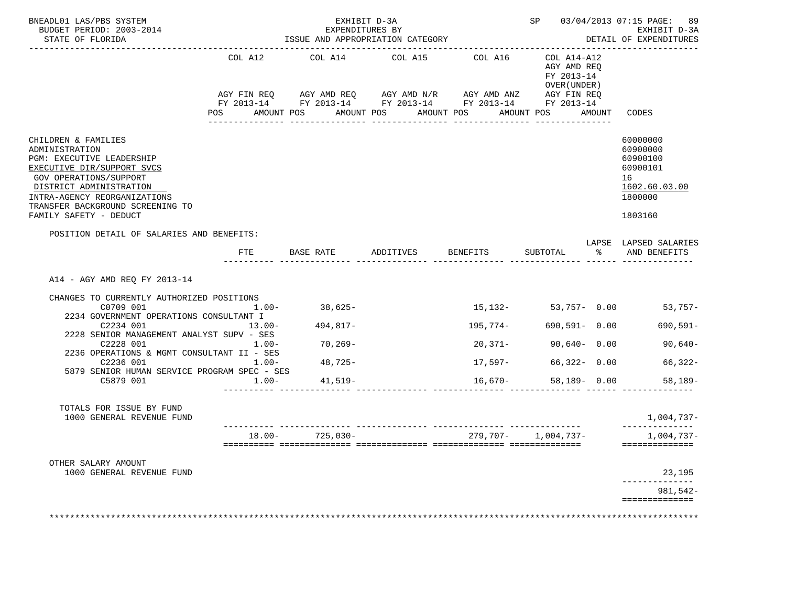| BNEADL01 LAS/PBS SYSTEM<br>BUDGET PERIOD: 2003-2014<br>STATE OF FLORIDA                                                                                                                                                                                                                                                                                                                   |                                                          | EXPENDITURES BY                                         | EXHIBIT D-3A                                                                                                                             |                                             |                                                                        | SP 03/04/2013 07:15 PAGE: 89<br>EXHIBIT D-3A<br>DETAIL OF EXPENDITURES                      |
|-------------------------------------------------------------------------------------------------------------------------------------------------------------------------------------------------------------------------------------------------------------------------------------------------------------------------------------------------------------------------------------------|----------------------------------------------------------|---------------------------------------------------------|------------------------------------------------------------------------------------------------------------------------------------------|---------------------------------------------|------------------------------------------------------------------------|---------------------------------------------------------------------------------------------|
|                                                                                                                                                                                                                                                                                                                                                                                           | COL A12                                                  | COL A14                                                 | COL A15 COL A16<br>AGY FIN REQ AGY AMD REQ AGY AMD N/R AGY AMD ANZ AGY FIN REQ<br>FY 2013-14 FY 2013-14 FY 2013-14 FY 2013-14 FY 2013-14 |                                             | COL A14-A12<br>AGY AMD REO<br>FY 2013-14<br>OVER (UNDER )              |                                                                                             |
|                                                                                                                                                                                                                                                                                                                                                                                           | POS AMOUNT POS                                           |                                                         | AMOUNT POS AMOUNT POS<br>_______________                                                                                                 | _______________                             | AMOUNT POS AMOUNT                                                      | CODES                                                                                       |
| CHILDREN & FAMILIES<br>ADMINISTRATION<br>PGM: EXECUTIVE LEADERSHIP<br>EXECUTIVE DIR/SUPPORT SVCS<br>GOV OPERATIONS/SUPPORT<br>DISTRICT ADMINISTRATION<br>INTRA-AGENCY REORGANIZATIONS<br>TRANSFER BACKGROUND SCREENING TO<br>FAMILY SAFETY - DEDUCT                                                                                                                                       |                                                          |                                                         |                                                                                                                                          |                                             |                                                                        | 60000000<br>60900000<br>60900100<br>60900101<br>16<br>1602.60.03.00<br>1800000<br>1803160   |
| POSITION DETAIL OF SALARIES AND BENEFITS:                                                                                                                                                                                                                                                                                                                                                 | FTE                                                      |                                                         | BASE RATE ADDITIVES BENEFITS SUBTOTAL % AND BENEFITS                                                                                     |                                             |                                                                        | LAPSE LAPSED SALARIES                                                                       |
| A14 - AGY AMD REO FY 2013-14<br>CHANGES TO CURRENTLY AUTHORIZED POSITIONS<br>C0709 001<br>2234 GOVERNMENT OPERATIONS CONSULTANT I<br>C2234 001<br>2228 SENIOR MANAGEMENT ANALYST SUPV - SES<br>C2228 001<br>2236 OPERATIONS & MGMT CONSULTANT II - SES<br>C2236 001<br>5879 SENIOR HUMAN SERVICE PROGRAM SPEC - SES<br>C5879 001<br>TOTALS FOR ISSUE BY FUND<br>1000 GENERAL REVENUE FUND | $1.00 -$<br>$13.00 -$<br>$1.00-$<br>$1.00 -$<br>$1.00 -$ | 38,625-<br>494,817-<br>$70, 269-$<br>48,725-<br>41,519- |                                                                                                                                          | 195,774-<br>20,371-<br>17,597–<br>$16,670-$ | 690,591- 0.00<br>$90,640 - 0.00$<br>$66,322 - 0.00$<br>$58,189 - 0.00$ | $15,132-53,757-0.00$ 53,757-<br>690,591-<br>$90,640-$<br>66,322-<br>$58,189-$<br>1,004,737- |
|                                                                                                                                                                                                                                                                                                                                                                                           |                                                          | $18.00 - 725,030 -$                                     |                                                                                                                                          | 279,707-1,004,737-                          |                                                                        | 1,004,737-                                                                                  |
| OTHER SALARY AMOUNT<br>1000 GENERAL REVENUE FUND                                                                                                                                                                                                                                                                                                                                          |                                                          |                                                         |                                                                                                                                          |                                             |                                                                        | ==============<br>23,195<br>981,542-<br>==============                                      |
|                                                                                                                                                                                                                                                                                                                                                                                           |                                                          |                                                         |                                                                                                                                          |                                             |                                                                        |                                                                                             |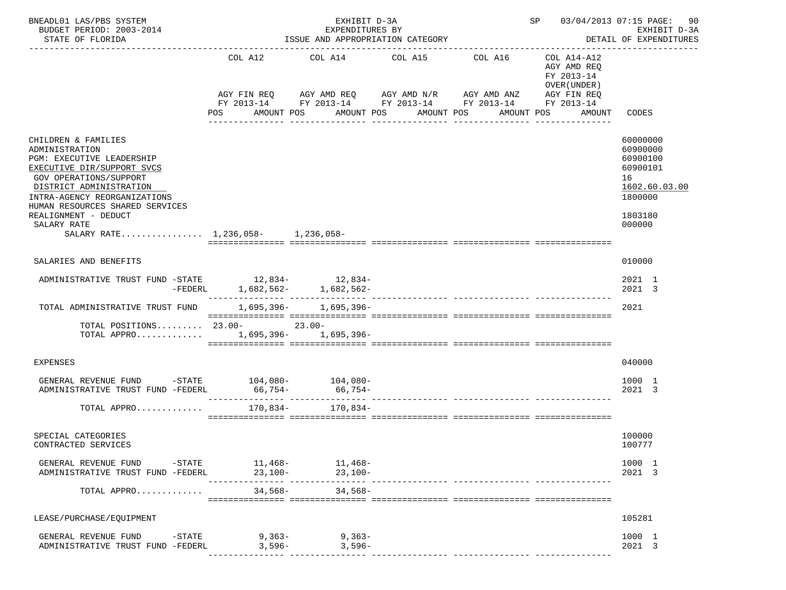| BNEADL01 LAS/PBS SYSTEM<br>BUDGET PERIOD: 2003-2014<br>STATE OF FLORIDA                                                                                                                                                  |                                                   | EXHIBIT D-3A<br>EXPENDITURES BY<br>ISSUE AND APPROPRIATION CATEGORY |                                     |                                                                      | SP 03/04/2013 07:15 PAGE:                                                                       | 90<br>EXHIBIT D-3A<br>DETAIL OF EXPENDITURES                                   |
|--------------------------------------------------------------------------------------------------------------------------------------------------------------------------------------------------------------------------|---------------------------------------------------|---------------------------------------------------------------------|-------------------------------------|----------------------------------------------------------------------|-------------------------------------------------------------------------------------------------|--------------------------------------------------------------------------------|
|                                                                                                                                                                                                                          | COL A12<br>AGY FIN REQ<br>POS                     | COL A14<br>AGY AMD REQ AGY AMD N/R AGY AMD ANZ<br>AMOUNT POS        | COL A15<br>AMOUNT POS<br>AMOUNT POS | COL A16<br>FY 2013-14 FY 2013-14 FY 2013-14 FY 2013-14<br>AMOUNT POS | COL A14-A12<br>AGY AMD REQ<br>FY 2013-14<br>OVER (UNDER)<br>AGY FIN REQ<br>FY 2013-14<br>AMOUNT | CODES                                                                          |
| CHILDREN & FAMILIES<br>ADMINISTRATION<br>PGM: EXECUTIVE LEADERSHIP<br>EXECUTIVE DIR/SUPPORT SVCS<br>GOV OPERATIONS/SUPPORT<br>DISTRICT ADMINISTRATION<br>INTRA-AGENCY REORGANIZATIONS<br>HUMAN RESOURCES SHARED SERVICES |                                                   |                                                                     |                                     |                                                                      |                                                                                                 | 60000000<br>60900000<br>60900100<br>60900101<br>16<br>1602.60.03.00<br>1800000 |
| REALIGNMENT - DEDUCT<br>SALARY RATE<br>SALARY RATE 1,236,058- 1,236,058-                                                                                                                                                 |                                                   |                                                                     |                                     |                                                                      |                                                                                                 | 1803180<br>000000                                                              |
| SALARIES AND BENEFITS                                                                                                                                                                                                    |                                                   |                                                                     |                                     |                                                                      |                                                                                                 | 010000                                                                         |
| ADMINISTRATIVE TRUST FUND -STATE 12,834-<br>12,834-<br>$-FEDERL$                                                                                                                                                         |                                                   | $1,682,562-1,682,562-$                                              |                                     |                                                                      |                                                                                                 | 2021 1<br>2021 3                                                               |
| TOTAL ADMINISTRATIVE TRUST FUND                                                                                                                                                                                          |                                                   | $1,695,396 - 1,695,396 -$                                           |                                     |                                                                      |                                                                                                 | 2021                                                                           |
| TOTAL POSITIONS 23.00-<br>23.00-<br>TOTAL APPRO 1,695,396- 1,695,396-                                                                                                                                                    |                                                   |                                                                     |                                     |                                                                      |                                                                                                 |                                                                                |
| <b>EXPENSES</b>                                                                                                                                                                                                          |                                                   |                                                                     |                                     |                                                                      |                                                                                                 | 040000                                                                         |
| GENERAL REVENUE FUND $-$ STATE $104,080 104,080-$<br>ADMINISTRATIVE TRUST FUND -FEDERL                                                                                                                                   | $66,754-$<br>____________________________________ | 66,754-                                                             |                                     |                                                                      |                                                                                                 | 1000 1<br>2021 3                                                               |
| TOTAL APPRO                                                                                                                                                                                                              | 170,834-                                          | 170,834-                                                            |                                     |                                                                      |                                                                                                 |                                                                                |
| SPECIAL CATEGORIES<br>CONTRACTED SERVICES                                                                                                                                                                                |                                                   |                                                                     |                                     |                                                                      |                                                                                                 | 100000<br>100777                                                               |
| GENERAL REVENUE FUND -STATE 11,468- 11,468-<br>ADMINISTRATIVE TRUST FUND -FEDERL                                                                                                                                         | $23,100-$                                         | $23.100 -$                                                          |                                     |                                                                      |                                                                                                 | 1000 1<br>2021 3                                                               |
| TOTAL APPRO 34,568-<br>34,568-                                                                                                                                                                                           |                                                   |                                                                     |                                     |                                                                      |                                                                                                 |                                                                                |
| LEASE/PURCHASE/EQUIPMENT                                                                                                                                                                                                 |                                                   |                                                                     |                                     |                                                                      |                                                                                                 | 105281                                                                         |
| GENERAL REVENUE FUND -STATE 9,363-9,363-<br>ADMINISTRATIVE TRUST FUND -FEDERL                                                                                                                                            | 3,596-                                            | $3,596-$                                                            |                                     |                                                                      |                                                                                                 | 1000 1<br>2021 3                                                               |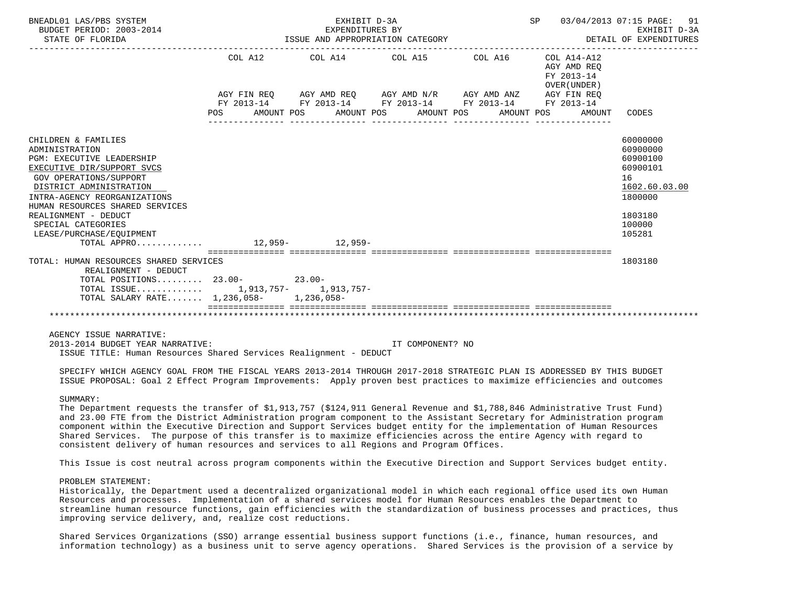| BNEADL01 LAS/PBS SYSTEM<br>BUDGET PERIOD: 2003-2014<br>STATE OF FLORIDA                                                                                                                                                                                                                                                                            |         | EXHIBIT D-3A<br>EXPENDITURES BY | ISSUE AND APPROPRIATION CATEGORY                            | SP 03/04/2013 07:15 PAGE: 91                                 | EXHIBIT D-3A<br>DETAIL OF EXPENDITURES                                                                        |
|----------------------------------------------------------------------------------------------------------------------------------------------------------------------------------------------------------------------------------------------------------------------------------------------------------------------------------------------------|---------|---------------------------------|-------------------------------------------------------------|--------------------------------------------------------------|---------------------------------------------------------------------------------------------------------------|
|                                                                                                                                                                                                                                                                                                                                                    | COL A12 |                                 | COL A14 COL A15 COL A16                                     | COL A14-A12<br>AGY AMD REO<br>FY 2013-14<br>OVER (UNDER)     |                                                                                                               |
|                                                                                                                                                                                                                                                                                                                                                    |         |                                 | AGY FIN REO AGY AMD REO AGY AMD N/R AGY AMD ANZ AGY FIN REO |                                                              |                                                                                                               |
|                                                                                                                                                                                                                                                                                                                                                    |         |                                 | FY 2013-14 FY 2013-14 FY 2013-14 FY 2013-14 FY 2013-14      | POS AMOUNT POS AMOUNT POS AMOUNT POS AMOUNT POS AMOUNT CODES |                                                                                                               |
| CHILDREN & FAMILIES<br>ADMINISTRATION<br><b>PGM: EXECUTIVE LEADERSHIP</b><br>EXECUTIVE DIR/SUPPORT SVCS<br><b>GOV OPERATIONS/SUPPORT</b><br>DISTRICT ADMINISTRATION<br>INTRA-AGENCY REORGANIZATIONS<br>HUMAN RESOURCES SHARED SERVICES<br>REALIGNMENT - DEDUCT<br>SPECIAL CATEGORIES<br>LEASE/PURCHASE/EOUIPMENT<br>TOTAL APPRO 12,959-<br>12,959- |         |                                 |                                                             |                                                              | 60000000<br>60900000<br>60900100<br>60900101<br>16<br>1602.60.03.00<br>1800000<br>1803180<br>100000<br>105281 |
| TOTAL: HUMAN RESOURCES SHARED SERVICES<br>REALIGNMENT - DEDUCT                                                                                                                                                                                                                                                                                     |         |                                 |                                                             |                                                              | 1803180                                                                                                       |
| TOTAL POSITIONS 23.00-<br>23.00-<br>TOTAL ISSUE 1,913,757- 1,913,757-<br>TOTAL SALARY RATE $1,236,058-1,236,058-$                                                                                                                                                                                                                                  |         |                                 |                                                             |                                                              |                                                                                                               |
|                                                                                                                                                                                                                                                                                                                                                    |         |                                 |                                                             |                                                              |                                                                                                               |

AGENCY ISSUE NARRATIVE:

 2013-2014 BUDGET YEAR NARRATIVE: IT COMPONENT? NO ISSUE TITLE: Human Resources Shared Services Realignment - DEDUCT

 SPECIFY WHICH AGENCY GOAL FROM THE FISCAL YEARS 2013-2014 THROUGH 2017-2018 STRATEGIC PLAN IS ADDRESSED BY THIS BUDGET ISSUE PROPOSAL: Goal 2 Effect Program Improvements: Apply proven best practices to maximize efficiencies and outcomes

## SUMMARY:

 The Department requests the transfer of \$1,913,757 (\$124,911 General Revenue and \$1,788,846 Administrative Trust Fund) and 23.00 FTE from the District Administration program component to the Assistant Secretary for Administration program component within the Executive Direction and Support Services budget entity for the implementation of Human Resources Shared Services. The purpose of this transfer is to maximize efficiencies across the entire Agency with regard to consistent delivery of human resources and services to all Regions and Program Offices.

This Issue is cost neutral across program components within the Executive Direction and Support Services budget entity.

# PROBLEM STATEMENT:

 Historically, the Department used a decentralized organizational model in which each regional office used its own Human Resources and processes. Implementation of a shared services model for Human Resources enables the Department to streamline human resource functions, gain efficiencies with the standardization of business processes and practices, thus improving service delivery, and, realize cost reductions.

 Shared Services Organizations (SSO) arrange essential business support functions (i.e., finance, human resources, and information technology) as a business unit to serve agency operations. Shared Services is the provision of a service by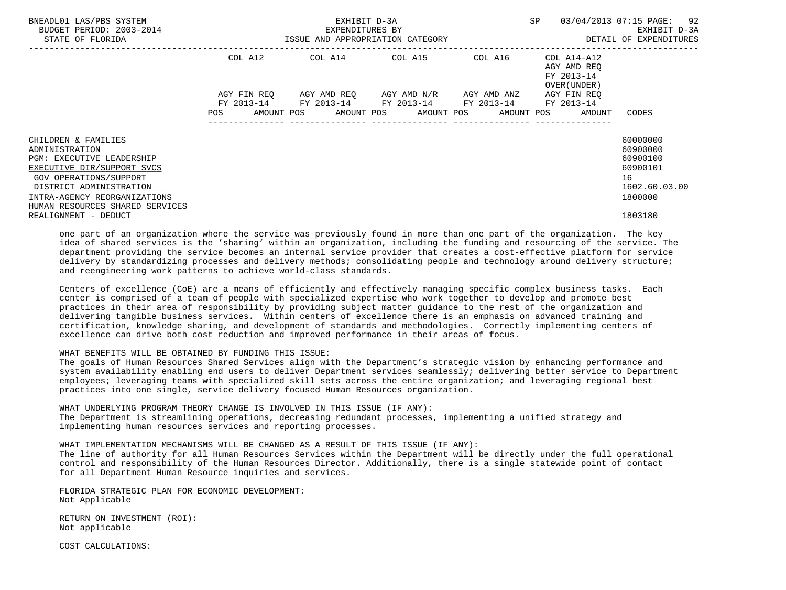| BNEADL01 LAS/PBS SYSTEM<br>BUDGET PERIOD: 2003-2014<br>STATE OF FLORIDA                                                                                                                                                         | ISSUE AND APPROPRIATION CATEGORY        | EXHIBIT D-3A<br>EXPENDITURES BY | <b>SP</b><br>---------------------------------              | 03/04/2013 07:15 PAGE: 92<br>EXHIBIT D-3A<br>DETAIL OF EXPENDITURES |                                                                                       |                                                                                |
|---------------------------------------------------------------------------------------------------------------------------------------------------------------------------------------------------------------------------------|-----------------------------------------|---------------------------------|-------------------------------------------------------------|---------------------------------------------------------------------|---------------------------------------------------------------------------------------|--------------------------------------------------------------------------------|
|                                                                                                                                                                                                                                 | COL A12                                 |                                 | COL A14 COL A15 COL A16                                     |                                                                     | COL A14-A12<br>AGY AMD REO<br>FY 2013-14<br>OVER (UNDER)                              |                                                                                |
|                                                                                                                                                                                                                                 | AGY FIN REO<br>FY 2013-14<br><b>POS</b> |                                 | AGY AMD REO AGY AMD N/R<br>FY 2013-14 FY 2013-14 FY 2013-14 | AGY AMD ANZ                                                         | AGY FIN REO<br>FY 2013-14<br>AMOUNT POS AMOUNT POS AMOUNT POS AMOUNT POS AMOUNT CODES |                                                                                |
| CHILDREN & FAMILIES<br>ADMINISTRATION<br><b>PGM: EXECUTIVE LEADERSHIP</b><br>EXECUTIVE DIR/SUPPORT SVCS<br>GOV OPERATIONS/SUPPORT<br>DISTRICT ADMINISTRATION<br>INTRA-AGENCY REORGANIZATIONS<br>HUMAN RESOURCES SHARED SERVICES |                                         |                                 |                                                             |                                                                     |                                                                                       | 60000000<br>60900000<br>60900100<br>60900101<br>16<br>1602.60.03.00<br>1800000 |
| REALIGNMENT - DEDUCT                                                                                                                                                                                                            |                                         |                                 |                                                             |                                                                     |                                                                                       | 1803180                                                                        |

 one part of an organization where the service was previously found in more than one part of the organization. The key idea of shared services is the 'sharing' within an organization, including the funding and resourcing of the service. The department providing the service becomes an internal service provider that creates a cost-effective platform for service delivery by standardizing processes and delivery methods; consolidating people and technology around delivery structure; and reengineering work patterns to achieve world-class standards.

 Centers of excellence (CoE) are a means of efficiently and effectively managing specific complex business tasks. Each center is comprised of a team of people with specialized expertise who work together to develop and promote best practices in their area of responsibility by providing subject matter guidance to the rest of the organization and delivering tangible business services. Within centers of excellence there is an emphasis on advanced training and certification, knowledge sharing, and development of standards and methodologies. Correctly implementing centers of excellence can drive both cost reduction and improved performance in their areas of focus.

# WHAT BENEFITS WILL BE OBTAINED BY FUNDING THIS ISSUE:

 The goals of Human Resources Shared Services align with the Department's strategic vision by enhancing performance and system availability enabling end users to deliver Department services seamlessly; delivering better service to Department employees; leveraging teams with specialized skill sets across the entire organization; and leveraging regional best practices into one single, service delivery focused Human Resources organization.

 WHAT UNDERLYING PROGRAM THEORY CHANGE IS INVOLVED IN THIS ISSUE (IF ANY): The Department is streamlining operations, decreasing redundant processes, implementing a unified strategy and implementing human resources services and reporting processes.

 WHAT IMPLEMENTATION MECHANISMS WILL BE CHANGED AS A RESULT OF THIS ISSUE (IF ANY): The line of authority for all Human Resources Services within the Department will be directly under the full operational control and responsibility of the Human Resources Director. Additionally, there is a single statewide point of contact for all Department Human Resource inquiries and services.

 FLORIDA STRATEGIC PLAN FOR ECONOMIC DEVELOPMENT: Not Applicable

 RETURN ON INVESTMENT (ROI): Not applicable

COST CALCULATIONS: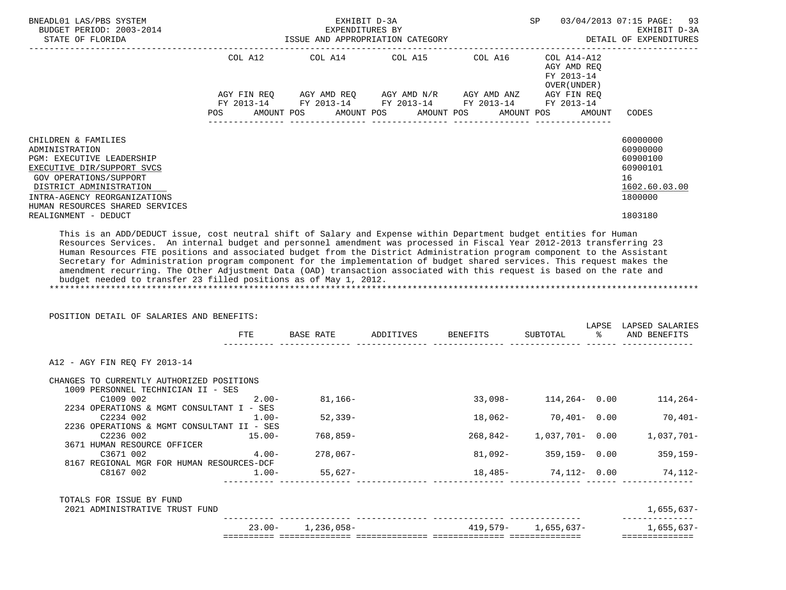| BNEADL01 LAS/PBS SYSTEM<br>BUDGET PERIOD: 2003-2014<br>STATE OF FLORIDA                                                                                                                                                                                                                                                                                                                                                                                                                                                                                                                                                   |               |                              | EXHIBIT D-3A<br>EXPENDITURES BY<br>ISSUE AND APPROPRIATION CATEGORY                                                                                                                                                                             |            | SP                                                       |        | 03/04/2013 07:15 PAGE:<br>93<br>EXHIBIT D-3A<br>DETAIL OF EXPENDITURES                    |
|---------------------------------------------------------------------------------------------------------------------------------------------------------------------------------------------------------------------------------------------------------------------------------------------------------------------------------------------------------------------------------------------------------------------------------------------------------------------------------------------------------------------------------------------------------------------------------------------------------------------------|---------------|------------------------------|-------------------------------------------------------------------------------------------------------------------------------------------------------------------------------------------------------------------------------------------------|------------|----------------------------------------------------------|--------|-------------------------------------------------------------------------------------------|
|                                                                                                                                                                                                                                                                                                                                                                                                                                                                                                                                                                                                                           | COL A12       |                              | COL A14 COL A15 COL A16                                                                                                                                                                                                                         |            | COL A14-A12<br>AGY AMD REQ<br>FY 2013-14<br>OVER (UNDER) |        |                                                                                           |
|                                                                                                                                                                                                                                                                                                                                                                                                                                                                                                                                                                                                                           |               |                              | $AGY \text{ } FIN \text{ } REQ \text{ } \hspace{5mm} AGY \text{ } AMD \text{ } REQ \text{ } \hspace{5mm} AGY \text{ } AMD \text{ } N/R \text{ } \hspace{5mm} AGY \text{ } AMD \text{ } ANZ \text{ } \hspace{5mm} AGY \text{ } FIN \text{ } REQ$ |            |                                                          |        |                                                                                           |
|                                                                                                                                                                                                                                                                                                                                                                                                                                                                                                                                                                                                                           | <b>POS</b>    | AMOUNT POS AMOUNT POS        | FY 2013-14 FY 2013-14 FY 2013-14 FY 2013-14 FY 2013-14                                                                                                                                                                                          | AMOUNT POS | AMOUNT POS                                               | AMOUNT | CODES                                                                                     |
|                                                                                                                                                                                                                                                                                                                                                                                                                                                                                                                                                                                                                           |               |                              |                                                                                                                                                                                                                                                 |            |                                                          |        |                                                                                           |
| CHILDREN & FAMILIES<br>ADMINISTRATION<br>PGM: EXECUTIVE LEADERSHIP<br>EXECUTIVE DIR/SUPPORT SVCS<br>GOV OPERATIONS/SUPPORT<br>DISTRICT ADMINISTRATION<br>INTRA-AGENCY REORGANIZATIONS<br>HUMAN RESOURCES SHARED SERVICES<br>REALIGNMENT - DEDUCT<br>This is an ADD/DEDUCT issue, cost neutral shift of Salary and Expense within Department budget entities for Human<br>Resources Services. An internal budget and personnel amendment was processed in Fiscal Year 2012-2013 transferring 23<br>Human Resources FTE positions and associated budget from the District Administration program component to the Assistant |               |                              |                                                                                                                                                                                                                                                 |            |                                                          |        | 60000000<br>60900000<br>60900100<br>60900101<br>16<br>1602.60.03.00<br>1800000<br>1803180 |
| Secretary for Administration program component for the implementation of budget shared services. This request makes the<br>amendment recurring. The Other Adjustment Data (OAD) transaction associated with this request is based on the rate and<br>budget needed to transfer 23 filled positions as of May 1, 2012.<br>POSITION DETAIL OF SALARIES AND BENEFITS:                                                                                                                                                                                                                                                        |               |                              | BASE RATE ADDITIVES BENEFITS SUBTOTAL                                                                                                                                                                                                           |            |                                                          |        | LAPSE LAPSED SALARIES<br>% AND BENEFITS                                                   |
|                                                                                                                                                                                                                                                                                                                                                                                                                                                                                                                                                                                                                           | FTE           |                              |                                                                                                                                                                                                                                                 |            |                                                          |        |                                                                                           |
| A12 - AGY FIN REQ FY 2013-14<br>CHANGES TO CURRENTLY AUTHORIZED POSITIONS                                                                                                                                                                                                                                                                                                                                                                                                                                                                                                                                                 |               |                              |                                                                                                                                                                                                                                                 |            |                                                          |        |                                                                                           |
| 1009 PERSONNEL TECHNICIAN II - SES                                                                                                                                                                                                                                                                                                                                                                                                                                                                                                                                                                                        |               |                              |                                                                                                                                                                                                                                                 |            |                                                          |        |                                                                                           |
| C1009 002<br>2234 OPERATIONS & MGMT CONSULTANT I - SES                                                                                                                                                                                                                                                                                                                                                                                                                                                                                                                                                                    | $2 \,$ . 00 – | $81,166-$                    |                                                                                                                                                                                                                                                 |            | $33,098 - 114,264 - 0.00$                                |        | $114, 264-$                                                                               |
| C2234 002<br>2236 OPERATIONS & MGMT CONSULTANT II - SES                                                                                                                                                                                                                                                                                                                                                                                                                                                                                                                                                                   | $1.00 -$      | 52,339-                      |                                                                                                                                                                                                                                                 |            | $18,062-70,401-0.00$                                     |        | 70,401-                                                                                   |
| C2236 002 15.00-<br>3671 HUMAN RESOURCE OFFICER                                                                                                                                                                                                                                                                                                                                                                                                                                                                                                                                                                           |               | $768,859-$                   |                                                                                                                                                                                                                                                 |            |                                                          |        | 268,842- 1,037,701- 0.00 1,037,701-                                                       |
| C3671 002                                                                                                                                                                                                                                                                                                                                                                                                                                                                                                                                                                                                                 | $4.00-$       | $278,067-$                   |                                                                                                                                                                                                                                                 |            | $81,092 - 359,159 - 0.00$                                |        | 359,159-                                                                                  |
| 8167 REGIONAL MGR FOR HUMAN RESOURCES-DCF<br>C8167 002                                                                                                                                                                                                                                                                                                                                                                                                                                                                                                                                                                    | $1.00 -$      | 55,627-<br>------ ---------- |                                                                                                                                                                                                                                                 |            | 18,485- 74,112- 0.00                                     |        | 74,112-                                                                                   |
| TOTALS FOR ISSUE BY FUND<br>2021 ADMINISTRATIVE TRUST FUND                                                                                                                                                                                                                                                                                                                                                                                                                                                                                                                                                                |               |                              |                                                                                                                                                                                                                                                 |            |                                                          |        | 1,655,637-                                                                                |
|                                                                                                                                                                                                                                                                                                                                                                                                                                                                                                                                                                                                                           |               | $23.00 - 1,236,058 -$        |                                                                                                                                                                                                                                                 |            | $419.579 - 1.655.637 -$                                  |        | --------------<br>$1,655,637-$                                                            |
|                                                                                                                                                                                                                                                                                                                                                                                                                                                                                                                                                                                                                           |               |                              |                                                                                                                                                                                                                                                 |            |                                                          |        |                                                                                           |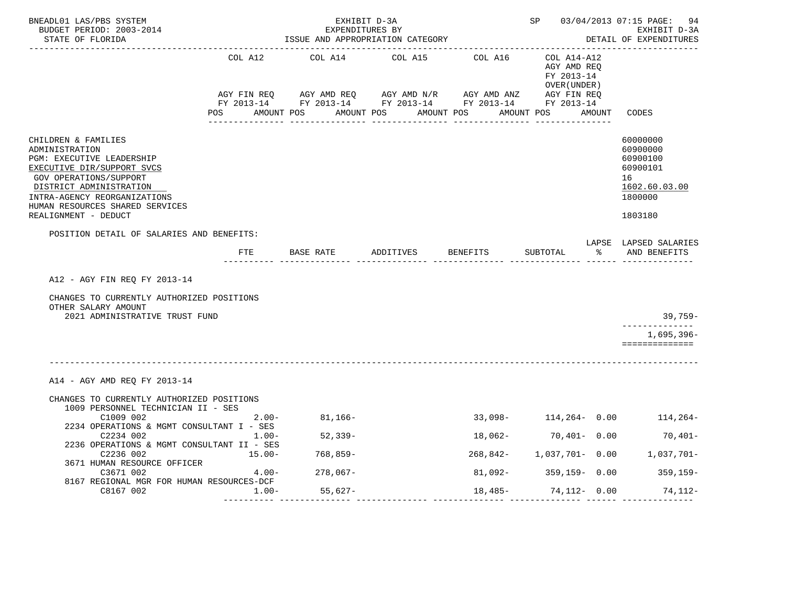| BNEADL01 LAS/PBS SYSTEM<br>BUDGET PERIOD: 2003-2014<br>STATE OF FLORIDA                                                                                                                                                                                 |          | EXHIBIT D-3A<br>EXPENDITURES BY | ISSUE AND APPROPRIATION CATEGORY     |                                                            |        | SP 03/04/2013 07:15 PAGE: 94<br>EXHIBIT D-3A<br>DETAIL OF EXPENDITURES                    |
|---------------------------------------------------------------------------------------------------------------------------------------------------------------------------------------------------------------------------------------------------------|----------|---------------------------------|--------------------------------------|------------------------------------------------------------|--------|-------------------------------------------------------------------------------------------|
|                                                                                                                                                                                                                                                         | COL A12  |                                 | COL A14 COL A15 COL A16              | COL A14-A12<br>AGY AMD REQ<br>FY 2013-14<br>OVER ( UNDER ) |        |                                                                                           |
|                                                                                                                                                                                                                                                         |          |                                 | POS AMOUNT POS AMOUNT POS AMOUNT POS | AMOUNT POS                                                 | AMOUNT | CODES                                                                                     |
| CHILDREN & FAMILIES<br>ADMINISTRATION<br>PGM: EXECUTIVE LEADERSHIP<br>EXECUTIVE DIR/SUPPORT SVCS<br><b>GOV OPERATIONS/SUPPORT</b><br>DISTRICT ADMINISTRATION<br>INTRA-AGENCY REORGANIZATIONS<br>HUMAN RESOURCES SHARED SERVICES<br>REALIGNMENT - DEDUCT |          |                                 |                                      |                                                            |        | 60000000<br>60900000<br>60900100<br>60900101<br>16<br>1602.60.03.00<br>1800000<br>1803180 |
| POSITION DETAIL OF SALARIES AND BENEFITS:                                                                                                                                                                                                               | FTE      |                                 | BASE RATE ADDITIVES BENEFITS         | SUBTOTAL                                                   | ိ      | LAPSE LAPSED SALARIES<br>AND BENEFITS                                                     |
|                                                                                                                                                                                                                                                         |          |                                 |                                      |                                                            |        |                                                                                           |
| A12 - AGY FIN REO FY 2013-14                                                                                                                                                                                                                            |          |                                 |                                      |                                                            |        |                                                                                           |
| CHANGES TO CURRENTLY AUTHORIZED POSITIONS<br>OTHER SALARY AMOUNT<br>2021 ADMINISTRATIVE TRUST FUND                                                                                                                                                      |          |                                 |                                      |                                                            |        | 39,759-                                                                                   |
|                                                                                                                                                                                                                                                         |          |                                 |                                      |                                                            |        | ______________<br>$1.695.396 -$<br>==============                                         |
| A14 - AGY AMD REQ FY 2013-14                                                                                                                                                                                                                            |          |                                 |                                      |                                                            |        |                                                                                           |
| CHANGES TO CURRENTLY AUTHORIZED POSITIONS<br>1009 PERSONNEL TECHNICIAN II - SES                                                                                                                                                                         |          |                                 |                                      |                                                            |        |                                                                                           |
| C1009 002<br>2234 OPERATIONS & MGMT CONSULTANT I - SES                                                                                                                                                                                                  | $2.00 -$ | $81,166-$                       |                                      |                                                            |        | $33,098 - 114,264 - 0.00$ 114,264-                                                        |
| C2234 002<br>2236 OPERATIONS & MGMT CONSULTANT II - SES                                                                                                                                                                                                 | $1.00 -$ | $52,339-$                       |                                      | $18,062-70,401-0.00$                                       |        | $70,401-$                                                                                 |
| C2236 002<br>3671 HUMAN RESOURCE OFFICER                                                                                                                                                                                                                | 15.00-   | 768,859-                        |                                      |                                                            |        | 268,842- 1,037,701- 0.00 1,037,701-                                                       |
| C3671 002<br>8167 REGIONAL MGR FOR HUMAN RESOURCES-DCF                                                                                                                                                                                                  | $4.00 -$ | $278,067-$                      |                                      |                                                            |        | $81,092 - 359,159 - 0.00$ 359,159-                                                        |
| C8167 002                                                                                                                                                                                                                                               | 1.00-    | 55,627-                         | --------------- -------------        |                                                            |        | $18,485-74,112-0.00$ 74,112-                                                              |
|                                                                                                                                                                                                                                                         |          |                                 |                                      |                                                            |        |                                                                                           |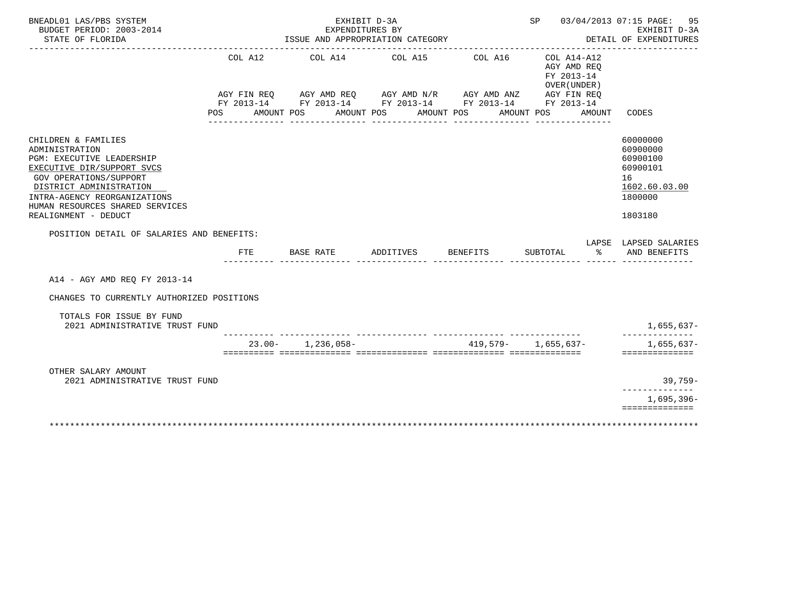| BNEADL01 LAS/PBS SYSTEM<br>BUDGET PERIOD: 2003-2014                                                                                                                                                                             |                | EXPENDITURES BY       | EXHIBIT D-3A                                                                                                                  |                       | SP 03/04/2013 07:15 PAGE: 95                                                         | EXHIBIT D-3A                                                                   |
|---------------------------------------------------------------------------------------------------------------------------------------------------------------------------------------------------------------------------------|----------------|-----------------------|-------------------------------------------------------------------------------------------------------------------------------|-----------------------|--------------------------------------------------------------------------------------|--------------------------------------------------------------------------------|
| STATE OF FLORIDA                                                                                                                                                                                                                |                |                       | ISSUE AND APPROPRIATION CATEGORY                                                                                              |                       |                                                                                      | DETAIL OF EXPENDITURES                                                         |
|                                                                                                                                                                                                                                 | COL A12<br>POS | AMOUNT POS            | COL A14 COL A15<br>AGY FIN REQ AGY AMD REQ AGY AMD N/R AGY AMD ANZ AGY FIN REQ FY 2013-14 FY 2013-14 FY 2013-14<br>AMOUNT POS | COL A16<br>AMOUNT POS | $COL A14 - A12$<br>AGY AMD REQ<br>FY 2013-14<br>OVER (UNDER)<br>AMOUNT POS<br>AMOUNT | CODES                                                                          |
|                                                                                                                                                                                                                                 |                |                       |                                                                                                                               |                       |                                                                                      |                                                                                |
| CHILDREN & FAMILIES<br>ADMINISTRATION<br>PGM: EXECUTIVE LEADERSHIP<br>EXECUTIVE DIR/SUPPORT SVCS<br><b>GOV OPERATIONS/SUPPORT</b><br>DISTRICT ADMINISTRATION<br>INTRA-AGENCY REORGANIZATIONS<br>HUMAN RESOURCES SHARED SERVICES |                |                       |                                                                                                                               |                       |                                                                                      | 60000000<br>60900000<br>60900100<br>60900101<br>16<br>1602.60.03.00<br>1800000 |
| REALIGNMENT - DEDUCT                                                                                                                                                                                                            |                |                       |                                                                                                                               |                       |                                                                                      | 1803180                                                                        |
| POSITION DETAIL OF SALARIES AND BENEFITS:                                                                                                                                                                                       |                |                       |                                                                                                                               |                       |                                                                                      |                                                                                |
|                                                                                                                                                                                                                                 | <b>FTE</b>     | BASE RATE             | ADDITIVES                                                                                                                     | <b>BENEFITS</b>       | ႜ<br>SUBTOTAL                                                                        | LAPSE LAPSED SALARIES<br>AND BENEFITS                                          |
| A14 - AGY AMD REO FY 2013-14                                                                                                                                                                                                    |                |                       |                                                                                                                               |                       |                                                                                      |                                                                                |
| CHANGES TO CURRENTLY AUTHORIZED POSITIONS                                                                                                                                                                                       |                |                       |                                                                                                                               |                       |                                                                                      |                                                                                |
| TOTALS FOR ISSUE BY FUND<br>2021 ADMINISTRATIVE TRUST FUND                                                                                                                                                                      |                |                       |                                                                                                                               |                       |                                                                                      | $1,655,637-$                                                                   |
|                                                                                                                                                                                                                                 |                | $23.00 - 1,236,058 -$ |                                                                                                                               |                       | $419,579 - 1,655,637 -$                                                              | --------------<br>$1,655,637-$                                                 |
|                                                                                                                                                                                                                                 |                |                       |                                                                                                                               |                       |                                                                                      | ==============                                                                 |
| OTHER SALARY AMOUNT<br>2021 ADMINISTRATIVE TRUST FUND                                                                                                                                                                           |                |                       |                                                                                                                               |                       |                                                                                      | 39,759-                                                                        |
|                                                                                                                                                                                                                                 |                |                       |                                                                                                                               |                       |                                                                                      | ______________<br>$1,695,396-$<br>==============                               |
|                                                                                                                                                                                                                                 |                |                       |                                                                                                                               |                       |                                                                                      |                                                                                |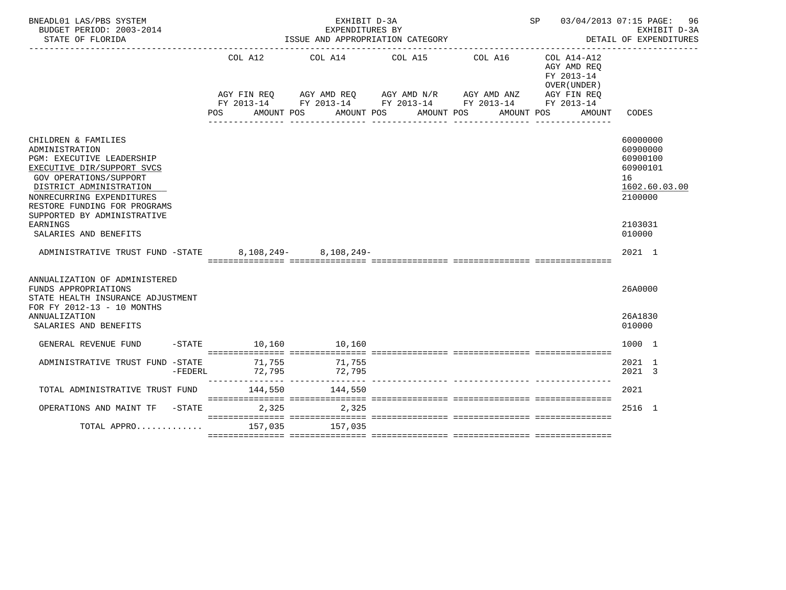| BNEADL01 LAS/PBS SYSTEM<br>BUDGET PERIOD: 2003-2014<br>STATE OF FLORIDA                                                                                                                                         |                      | EXHIBIT D-3A<br>EXPENDITURES BY | ISSUE AND APPROPRIATION CATEGORY                                                                                                   |                       |                                                                                                 | SP 03/04/2013 07:15 PAGE: 96<br>EXHIBIT D-3A<br>DETAIL OF EXPENDITURES |
|-----------------------------------------------------------------------------------------------------------------------------------------------------------------------------------------------------------------|----------------------|---------------------------------|------------------------------------------------------------------------------------------------------------------------------------|-----------------------|-------------------------------------------------------------------------------------------------|------------------------------------------------------------------------|
|                                                                                                                                                                                                                 | COL A12<br>POS       | COL A14<br>AMOUNT POS           | COL A15<br>AGY FIN REQ AGY AMD REQ AGY AMD N/R AGY AMD ANZ<br>FY 2013-14 FY 2013-14 FY 2013-14 FY 2013-14 FY 2013-14<br>AMOUNT POS | COL A16<br>AMOUNT POS | COL A14-A12<br>AGY AMD REO<br>FY 2013-14<br>OVER (UNDER)<br>AGY FIN REO<br>AMOUNT POS<br>AMOUNT | CODES                                                                  |
| CHILDREN & FAMILIES<br>ADMINISTRATION                                                                                                                                                                           |                      |                                 |                                                                                                                                    | ----------            |                                                                                                 | 60000000<br>60900000                                                   |
| PGM: EXECUTIVE LEADERSHIP<br>EXECUTIVE DIR/SUPPORT SVCS<br><b>GOV OPERATIONS/SUPPORT</b><br>DISTRICT ADMINISTRATION<br>NONRECURRING EXPENDITURES<br>RESTORE FUNDING FOR PROGRAMS<br>SUPPORTED BY ADMINISTRATIVE |                      |                                 |                                                                                                                                    |                       |                                                                                                 | 60900100<br>60900101<br>16<br>1602.60.03.00<br>2100000                 |
| EARNINGS<br>SALARIES AND BENEFITS                                                                                                                                                                               |                      |                                 |                                                                                                                                    |                       |                                                                                                 | 2103031<br>010000                                                      |
| ADMINISTRATIVE TRUST FUND -STATE 8.108.249- 8.108.249-                                                                                                                                                          |                      |                                 |                                                                                                                                    |                       |                                                                                                 | 2021 1                                                                 |
| ANNUALIZATION OF ADMINISTERED<br>FUNDS APPROPRIATIONS<br>STATE HEALTH INSURANCE ADJUSTMENT<br>FOR FY 2012-13 - 10 MONTHS                                                                                        |                      |                                 |                                                                                                                                    |                       |                                                                                                 | 26A0000                                                                |
| ANNUALIZATION<br>SALARIES AND BENEFITS                                                                                                                                                                          |                      |                                 |                                                                                                                                    |                       |                                                                                                 | 26A1830<br>010000                                                      |
| GENERAL REVENUE FUND                                                                                                                                                                                            | -STATE 10,160 10,160 |                                 |                                                                                                                                    |                       |                                                                                                 | 1000 1                                                                 |
| ADMINISTRATIVE TRUST FUND -STATE<br>$-FEDERL$                                                                                                                                                                   | 71,755<br>72,795     | 71,755<br>72,795                |                                                                                                                                    |                       |                                                                                                 | 2021 1<br>2021 3                                                       |
| TOTAL ADMINISTRATIVE TRUST FUND                                                                                                                                                                                 | 144,550              | 144,550                         |                                                                                                                                    |                       |                                                                                                 | 2021                                                                   |
| OPERATIONS AND MAINT TF -STATE                                                                                                                                                                                  | 2,325                | 2,325                           |                                                                                                                                    |                       |                                                                                                 | 2516 1                                                                 |
| TOTAL APPRO                                                                                                                                                                                                     | 157,035              | 157,035                         |                                                                                                                                    |                       |                                                                                                 |                                                                        |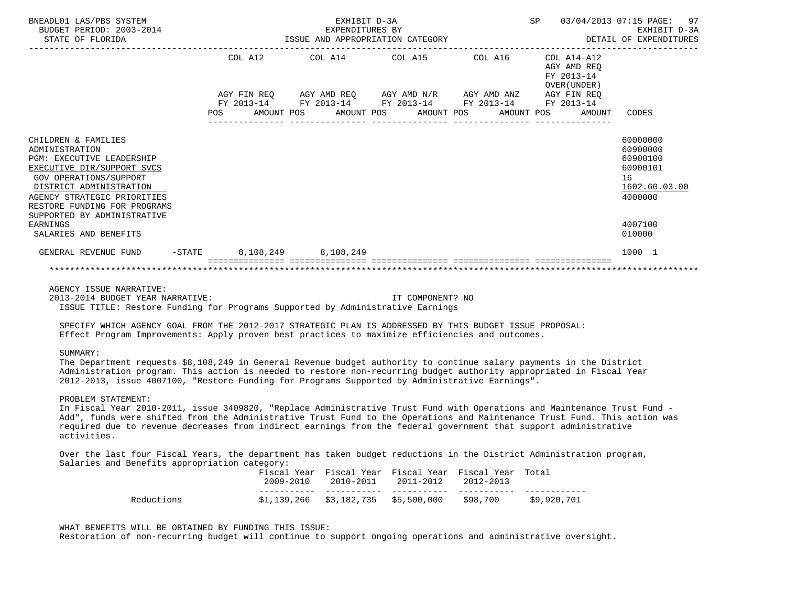| BNEADL01 LAS/PBS SYSTEM<br>BUDGET PERIOD: 2003-2014<br>STATE OF FLORIDA                                                                                                                                                                                    |            |         | EXHIBIT D-3A<br>EXPENDITURES BY<br>ISSUE AND APPROPRIATION CATEGORY                                                                           |  |            | SP          |                                                             | 97<br>03/04/2013 07:15 PAGE:<br>EXHIBIT D-3A<br>DETAIL OF EXPENDITURES         |
|------------------------------------------------------------------------------------------------------------------------------------------------------------------------------------------------------------------------------------------------------------|------------|---------|-----------------------------------------------------------------------------------------------------------------------------------------------|--|------------|-------------|-------------------------------------------------------------|--------------------------------------------------------------------------------|
|                                                                                                                                                                                                                                                            |            | COL A12 | COL A14 COL A15 COL A16                                                                                                                       |  |            |             | $COL A14- A12$<br>AGY AMD REO<br>FY 2013-14<br>OVER (UNDER) |                                                                                |
|                                                                                                                                                                                                                                                            | <b>POS</b> |         | AGY FIN REO AGY AMD REO AGY AMD N/R AGY AMD ANZ<br>FY 2013-14 FY 2013-14 FY 2013-14 FY 2013-14 FY 2013-14<br>AMOUNT POS AMOUNT POS AMOUNT POS |  | AMOUNT POS | AGY FIN REO | AMOUNT                                                      | CODES                                                                          |
| CHILDREN & FAMILIES<br>ADMINISTRATION<br><b>PGM: EXECUTIVE LEADERSHIP</b><br>EXECUTIVE DIR/SUPPORT SVCS<br>GOV OPERATIONS/SUPPORT<br>DISTRICT ADMINISTRATION<br>AGENCY STRATEGIC PRIORITIES<br>RESTORE FUNDING FOR PROGRAMS<br>SUPPORTED BY ADMINISTRATIVE |            |         |                                                                                                                                               |  |            |             |                                                             | 60000000<br>60900000<br>60900100<br>60900101<br>16<br>1602.60.03.00<br>4000000 |
| EARNINGS<br>SALARIES AND BENEFITS                                                                                                                                                                                                                          |            |         |                                                                                                                                               |  |            |             |                                                             | 4007100<br>010000                                                              |
| $-\mathtt{STATE}$<br>GENERAL REVENUE FUND                                                                                                                                                                                                                  |            |         | 8,108,249 8,108,249                                                                                                                           |  |            |             |                                                             | 1000 1                                                                         |
|                                                                                                                                                                                                                                                            |            |         |                                                                                                                                               |  |            |             |                                                             |                                                                                |

AGENCY ISSUE NARRATIVE:

 2013-2014 BUDGET YEAR NARRATIVE: IT COMPONENT? NO ISSUE TITLE: Restore Funding for Programs Supported by Administrative Earnings

 SPECIFY WHICH AGENCY GOAL FROM THE 2012-2017 STRATEGIC PLAN IS ADDRESSED BY THIS BUDGET ISSUE PROPOSAL: Effect Program Improvements: Apply proven best practices to maximize efficiencies and outcomes.

# SUMMARY:

 The Department requests \$8,108,249 in General Revenue budget authority to continue salary payments in the District Administration program. This action is needed to restore non-recurring budget authority appropriated in Fiscal Year 2012-2013, issue 4007100, "Restore Funding for Programs Supported by Administrative Earnings".

## PROBLEM STATEMENT:

 In Fiscal Year 2010-2011, issue 3409820, "Replace Administrative Trust Fund with Operations and Maintenance Trust Fund - Add", funds were shifted from the Administrative Trust Fund to the Operations and Maintenance Trust Fund. This action was required due to revenue decreases from indirect earnings from the federal government that support administrative activities.

 Over the last four Fiscal Years, the department has taken budget reductions in the District Administration program, Salaries and Benefits appropriation category:

|            | 2009-2010 | 2010-2011 2011-2012                 | Fiscal Year Fiscal Year Fiscal Year Fiscal Year Total<br>2012-2013 |             |
|------------|-----------|-------------------------------------|--------------------------------------------------------------------|-------------|
|            |           |                                     |                                                                    |             |
| Reductions |           | \$1,139,266 \$3,182,735 \$5,500,000 | \$98,700                                                           | \$9,920,701 |

# WHAT BENEFITS WILL BE OBTAINED BY FUNDING THIS ISSUE:

Restoration of non-recurring budget will continue to support ongoing operations and administrative oversight.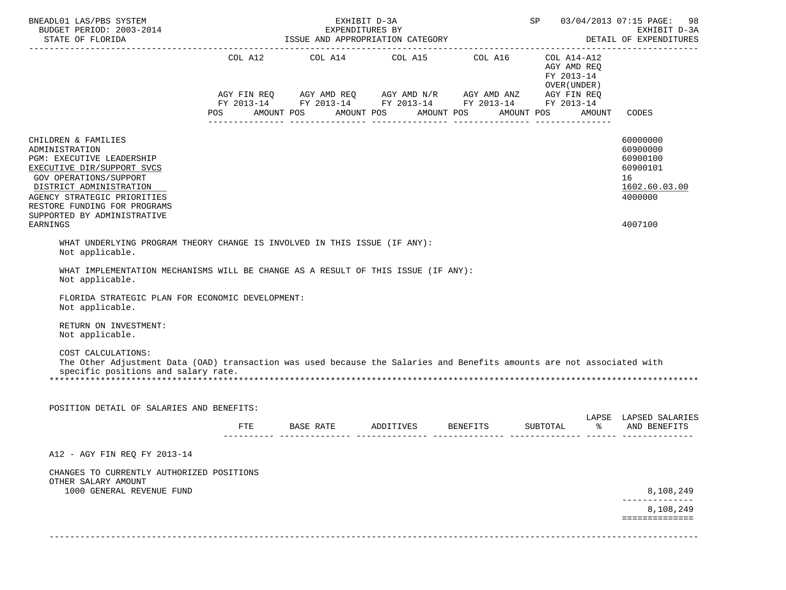| BNEADL01 LAS/PBS SYSTEM<br>BUDGET PERIOD: 2003-2014                                                                                                                                                                                                                                                                                                                                                                                                                                                            |                                                 | EXHIBIT D-3A<br>EXPENDITURES BY                                                                                                                                                                                                                                                                                                                                                                                                                                                                                                                                                                                                                      | SP 03/04/2013 07:15 PAGE: 98<br>EXHIBIT D-3A<br>DETAIL OF EXPENDITURES |                                                       |                                                                                           |
|----------------------------------------------------------------------------------------------------------------------------------------------------------------------------------------------------------------------------------------------------------------------------------------------------------------------------------------------------------------------------------------------------------------------------------------------------------------------------------------------------------------|-------------------------------------------------|------------------------------------------------------------------------------------------------------------------------------------------------------------------------------------------------------------------------------------------------------------------------------------------------------------------------------------------------------------------------------------------------------------------------------------------------------------------------------------------------------------------------------------------------------------------------------------------------------------------------------------------------------|------------------------------------------------------------------------|-------------------------------------------------------|-------------------------------------------------------------------------------------------|
|                                                                                                                                                                                                                                                                                                                                                                                                                                                                                                                | POS AMOUNT POS AMOUNT POS AMOUNT POS AMOUNT POS | $\begin{tabular}{lllllllllll} \multicolumn{2}{l}{{\text{COL}}}\  \  \, & \multicolumn{2}{l}{\text{COL}}\  \  \, & \multicolumn{2}{l}{\text{COL}}\  \  \, & \multicolumn{2}{l}{\text{COL}}\  \  \, & \multicolumn{2}{l}{\text{COL}}\  \  \, & \multicolumn{2}{l}{\text{COL}}\  \  \, & \multicolumn{2}{l}{\text{COL}}\  \  \, & \multicolumn{2}{l}{\text{COL}}\  \  \, & \multicolumn{2}{l}{\text{COL}}\  \  \, & \multicolumn{2}{l}{\text{COL}}\  \$<br>$AGY \text{ FIN REQ} \qquad AGY \text{ AMD REQ} \qquad AGY \text{ AMD } N/R \qquad AGY \text{ AMD ANZ} \qquad AGY \text{ FIN REQ}$<br>FY 2013-14 FY 2013-14 FY 2013-14 FY 2013-14 FY 2013-14 |                                                                        | AGY AMD REQ<br>FY 2013-14<br>OVER ( UNDER )<br>AMOUNT | CODES                                                                                     |
| CHILDREN & FAMILIES<br>ADMINISTRATION<br>PGM: EXECUTIVE LEADERSHIP<br>EXECUTIVE DIR/SUPPORT SVCS<br>GOV OPERATIONS/SUPPORT<br>DISTRICT ADMINISTRATION<br>AGENCY STRATEGIC PRIORITIES<br>RESTORE FUNDING FOR PROGRAMS<br>SUPPORTED BY ADMINISTRATIVE<br><b>EARNINGS</b>                                                                                                                                                                                                                                         |                                                 |                                                                                                                                                                                                                                                                                                                                                                                                                                                                                                                                                                                                                                                      |                                                                        |                                                       | 60000000<br>60900000<br>60900100<br>60900101<br>16<br>1602.60.03.00<br>4000000<br>4007100 |
| WHAT UNDERLYING PROGRAM THEORY CHANGE IS INVOLVED IN THIS ISSUE (IF ANY):<br>Not applicable.<br>WHAT IMPLEMENTATION MECHANISMS WILL BE CHANGE AS A RESULT OF THIS ISSUE (IF ANY):<br>Not applicable.<br>FLORIDA STRATEGIC PLAN FOR ECONOMIC DEVELOPMENT:<br>Not applicable.<br>RETURN ON INVESTMENT:<br>Not applicable.<br>COST CALCULATIONS:<br>The Other Adjustment Data (OAD) transaction was used because the Salaries and Benefits amounts are not associated with<br>specific positions and salary rate. |                                                 |                                                                                                                                                                                                                                                                                                                                                                                                                                                                                                                                                                                                                                                      |                                                                        |                                                       |                                                                                           |
| POSITION DETAIL OF SALARIES AND BENEFITS:                                                                                                                                                                                                                                                                                                                                                                                                                                                                      |                                                 |                                                                                                                                                                                                                                                                                                                                                                                                                                                                                                                                                                                                                                                      |                                                                        |                                                       | LAPSE LAPSED SALARIES                                                                     |
|                                                                                                                                                                                                                                                                                                                                                                                                                                                                                                                | FTE                                             |                                                                                                                                                                                                                                                                                                                                                                                                                                                                                                                                                                                                                                                      | BASE RATE ADDITIVES BENEFITS SUBTOTAL                                  |                                                       | % AND BENEFITS                                                                            |
| A12 - AGY FIN REQ FY 2013-14<br>CHANGES TO CURRENTLY AUTHORIZED POSITIONS                                                                                                                                                                                                                                                                                                                                                                                                                                      |                                                 |                                                                                                                                                                                                                                                                                                                                                                                                                                                                                                                                                                                                                                                      |                                                                        |                                                       |                                                                                           |
| OTHER SALARY AMOUNT<br>1000 GENERAL REVENUE FUND                                                                                                                                                                                                                                                                                                                                                                                                                                                               |                                                 |                                                                                                                                                                                                                                                                                                                                                                                                                                                                                                                                                                                                                                                      |                                                                        |                                                       | 8,108,249<br>8,108,249<br>==============                                                  |
|                                                                                                                                                                                                                                                                                                                                                                                                                                                                                                                |                                                 |                                                                                                                                                                                                                                                                                                                                                                                                                                                                                                                                                                                                                                                      |                                                                        |                                                       |                                                                                           |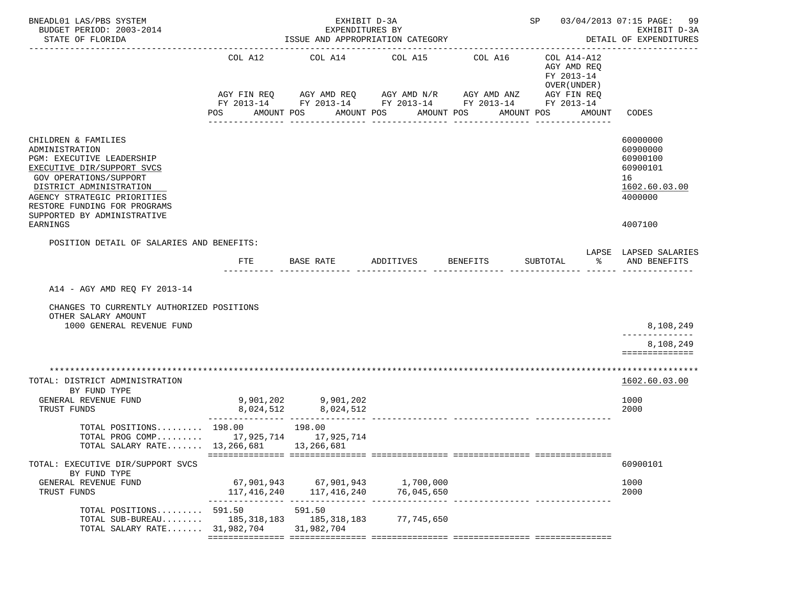| BNEADL01 LAS/PBS SYSTEM<br>BUDGET PERIOD: 2003-2014<br>STATE OF FLORIDA                                                                                                                                                                                                |                               | EXHIBIT D-3A<br>EXPENDITURES BY<br>ISSUE AND APPROPRIATION CATEGORY<br>____________________________________ | SP 03/04/2013 07:15 PAGE: 99<br>EXHIBIT D-3A<br>DETAIL OF EXPENDITURES          |                                      |                                                                                   |                                                                                           |
|------------------------------------------------------------------------------------------------------------------------------------------------------------------------------------------------------------------------------------------------------------------------|-------------------------------|-------------------------------------------------------------------------------------------------------------|---------------------------------------------------------------------------------|--------------------------------------|-----------------------------------------------------------------------------------|-------------------------------------------------------------------------------------------|
|                                                                                                                                                                                                                                                                        | COL A12<br>AGY FIN REQ<br>POS | COL A14<br>AGY AMD REQ AGY AMD N/R<br>AMOUNT POS<br>AMOUNT POS                                              | COL A15<br>FY 2013-14 FY 2013-14 FY 2013-14 FY 2013-14 FY 2013-14<br>AMOUNT POS | COL A16<br>AGY AMD ANZ<br>AMOUNT POS | COL A14-A12<br>AGY AMD REQ<br>FY 2013-14<br>OVER (UNDER)<br>AGY FIN REQ<br>AMOUNT | CODES                                                                                     |
| CHILDREN & FAMILIES<br>ADMINISTRATION<br><b>PGM: EXECUTIVE LEADERSHIP</b><br>EXECUTIVE DIR/SUPPORT SVCS<br>GOV OPERATIONS/SUPPORT<br>DISTRICT ADMINISTRATION<br>AGENCY STRATEGIC PRIORITIES<br>RESTORE FUNDING FOR PROGRAMS<br>SUPPORTED BY ADMINISTRATIVE<br>EARNINGS |                               |                                                                                                             |                                                                                 |                                      |                                                                                   | 60000000<br>60900000<br>60900100<br>60900101<br>16<br>1602.60.03.00<br>4000000<br>4007100 |
| POSITION DETAIL OF SALARIES AND BENEFITS:                                                                                                                                                                                                                              |                               |                                                                                                             |                                                                                 |                                      |                                                                                   |                                                                                           |
|                                                                                                                                                                                                                                                                        | <b>FTE</b>                    | BASE RATE                                                                                                   | ADDITIVES                                                                       | <b>BENEFITS</b>                      | SUBTOTAL<br>ిన                                                                    | LAPSE LAPSED SALARIES<br>AND BENEFITS                                                     |
| A14 - AGY AMD REQ FY 2013-14<br>CHANGES TO CURRENTLY AUTHORIZED POSITIONS<br>OTHER SALARY AMOUNT<br>1000 GENERAL REVENUE FUND                                                                                                                                          |                               |                                                                                                             |                                                                                 |                                      |                                                                                   | 8,108,249<br>8,108,249<br>==============                                                  |
| TOTAL: DISTRICT ADMINISTRATION<br>BY FUND TYPE<br>GENERAL REVENUE FUND<br>TRUST FUNDS                                                                                                                                                                                  | 8,024,512                     | 9,901,202 9,901,202<br>8,024,512                                                                            |                                                                                 |                                      |                                                                                   | 1602.60.03.00<br>1000<br>2000                                                             |
| TOTAL POSITIONS 198.00<br>TOTAL PROG COMP 17,925,714 17,925,714<br>TOTAL SALARY RATE 13,266,681                                                                                                                                                                        | 198.00                        | 13,266,681                                                                                                  |                                                                                 |                                      |                                                                                   |                                                                                           |
| TOTAL: EXECUTIVE DIR/SUPPORT SVCS                                                                                                                                                                                                                                      |                               |                                                                                                             |                                                                                 |                                      |                                                                                   | 60900101                                                                                  |
| BY FUND TYPE<br>GENERAL REVENUE FUND<br>TRUST FUNDS                                                                                                                                                                                                                    | 117,416,240                   | 117,416,240                                                                                                 | 67,901,943 67,901,943 1,700,000<br>76,045,650                                   |                                      |                                                                                   | 1000<br>2000                                                                              |
| TOTAL POSITIONS 591.50<br>TOTAL SUB-BUREAU $185,318,183$<br>TOTAL SALARY RATE 31,982,704                                                                                                                                                                               |                               | 591.50<br>185,318,183<br>31,982,704                                                                         | 77,745,650                                                                      |                                      |                                                                                   |                                                                                           |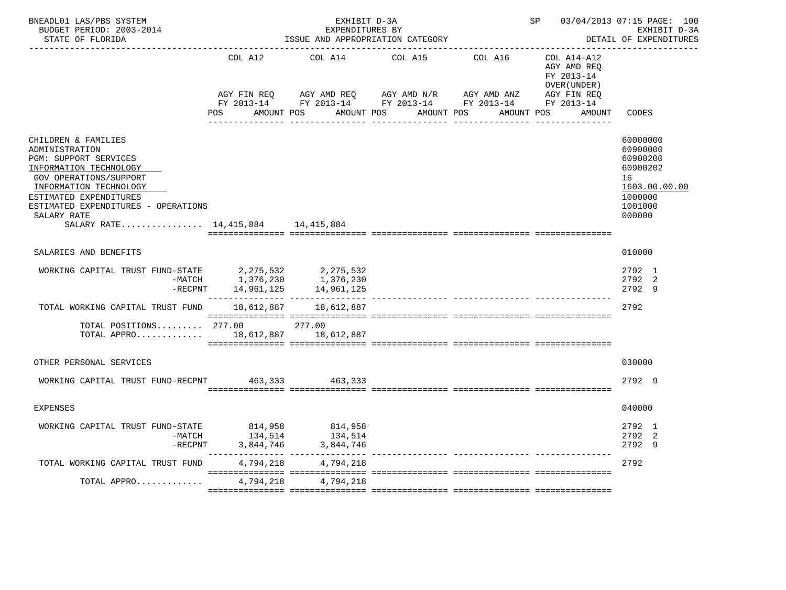| BNEADL01 LAS/PBS SYSTEM<br>BUDGET PERIOD: 2003-2014<br>STATE OF FLORIDA                                                                                                                                                                                                  |                                            | EXHIBIT D-3A<br>EXPENDITURES BY | ISSUE AND APPROPRIATION CATEGORY                                                                                                                  |            | SP 03/04/2013 07:15 PAGE: 100                            | EXHIBIT D-3A<br>DETAIL OF EXPENDITURES                                                              |
|--------------------------------------------------------------------------------------------------------------------------------------------------------------------------------------------------------------------------------------------------------------------------|--------------------------------------------|---------------------------------|---------------------------------------------------------------------------------------------------------------------------------------------------|------------|----------------------------------------------------------|-----------------------------------------------------------------------------------------------------|
|                                                                                                                                                                                                                                                                          | COL A12                                    | COL A14                         | COL A15                                                                                                                                           | COL A16    | COL A14-A12<br>AGY AMD REO<br>FY 2013-14<br>OVER (UNDER) |                                                                                                     |
|                                                                                                                                                                                                                                                                          | POS                                        | AMOUNT POS                      | AGY FIN REQ AGY AMD REQ AGY AMD N/R AGY AMD ANZ AGY FIN REQ FY 2013-14 FY 2013-14 FY 2013-14<br>AMOUNT POS AMOUNT POS<br><u> Ludwaldulu alala</u> | AMOUNT POS | AMOUNT                                                   | CODES                                                                                               |
| CHILDREN & FAMILIES<br>ADMINISTRATION<br>PGM: SUPPORT SERVICES<br>INFORMATION TECHNOLOGY<br><b>GOV OPERATIONS/SUPPORT</b><br>INFORMATION TECHNOLOGY<br>ESTIMATED EXPENDITURES<br>ESTIMATED EXPENDITURES - OPERATIONS<br>SALARY RATE<br>SALARY RATE 14,415,884 14,415,884 |                                            |                                 |                                                                                                                                                   |            |                                                          | 60000000<br>60900000<br>60900200<br>60900202<br>16<br>1603.00.00.00<br>1000000<br>1001000<br>000000 |
| SALARIES AND BENEFITS                                                                                                                                                                                                                                                    |                                            |                                 |                                                                                                                                                   |            |                                                          | 010000                                                                                              |
| WORKING CAPITAL TRUST FUND-STATE 2,275,532 2,275,532<br>-MATCH 1,376,230 1,376,230<br>$-RECPNT$                                                                                                                                                                          | 14,961,125                                 | 14,961,125                      |                                                                                                                                                   |            |                                                          | 2792 1<br>2792 2<br>2792 9                                                                          |
| TOTAL WORKING CAPITAL TRUST FUND                                                                                                                                                                                                                                         | 18,612,887                                 | 18,612,887                      |                                                                                                                                                   |            |                                                          | 2792                                                                                                |
| TOTAL POSITIONS $277.00$<br>TOTAL APPRO 18,612,887 18,612,887                                                                                                                                                                                                            |                                            | 277.00                          |                                                                                                                                                   |            |                                                          |                                                                                                     |
| OTHER PERSONAL SERVICES                                                                                                                                                                                                                                                  |                                            |                                 |                                                                                                                                                   |            |                                                          | 030000                                                                                              |
| WORKING CAPITAL TRUST FUND-RECPNT 463.333 463.333                                                                                                                                                                                                                        |                                            |                                 |                                                                                                                                                   |            |                                                          | 2792 9                                                                                              |
| <b>EXPENSES</b>                                                                                                                                                                                                                                                          |                                            |                                 |                                                                                                                                                   |            |                                                          | 040000                                                                                              |
| WORKING CAPITAL TRUST FUND-STATE<br>-MATCH                                                                                                                                                                                                                               | 814,958<br>134,514<br>$-$ RECPNT 3,844,746 | 814,958<br>134,514<br>3,844,746 |                                                                                                                                                   |            |                                                          | 2792 1<br>2792 2<br>2792 9                                                                          |
| TOTAL WORKING CAPITAL TRUST FUND                                                                                                                                                                                                                                         | 4,794,218                                  | 4,794,218                       |                                                                                                                                                   |            |                                                          | 2792                                                                                                |
| TOTAL APPRO                                                                                                                                                                                                                                                              |                                            | 4,794,218 4,794,218             |                                                                                                                                                   |            |                                                          |                                                                                                     |
|                                                                                                                                                                                                                                                                          |                                            |                                 |                                                                                                                                                   |            |                                                          |                                                                                                     |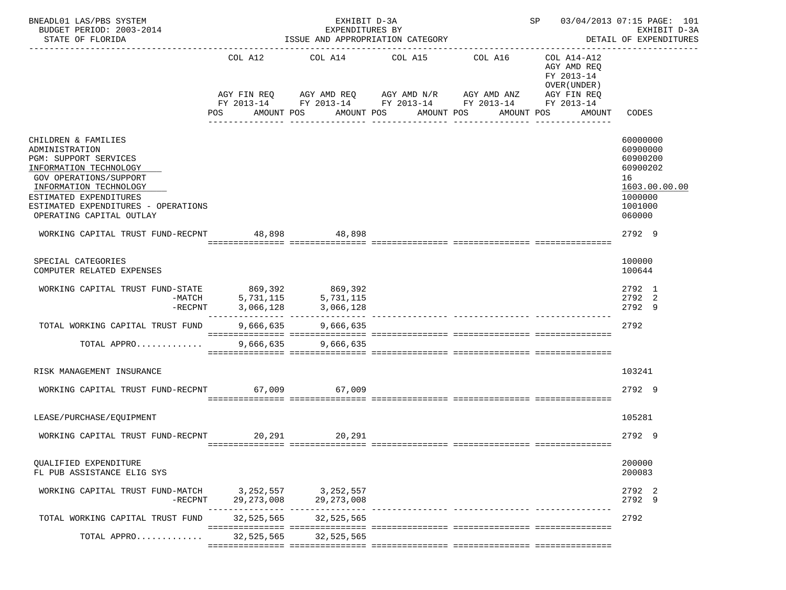| BNEADL01 LAS/PBS SYSTEM<br>BUDGET PERIOD: 2003-2014<br>STATE OF FLORIDA                                                                                                                                                                   |              | EXHIBIT D-3A<br>EXPENDITURES BY<br>ISSUE AND APPROPRIATION CATEGORY        |                                | SP 03/04/2013 07:15 PAGE: 101<br>EXHIBIT D-3A<br>DETAIL OF EXPENDITURES |                                                                         |                                                                                                     |
|-------------------------------------------------------------------------------------------------------------------------------------------------------------------------------------------------------------------------------------------|--------------|----------------------------------------------------------------------------|--------------------------------|-------------------------------------------------------------------------|-------------------------------------------------------------------------|-----------------------------------------------------------------------------------------------------|
|                                                                                                                                                                                                                                           | COL A12      | COL A14 COL A15 COL A16<br>AGY FIN REQ AGY AMD REQ AGY AMD N/R AGY AMD ANZ |                                | FY 2013-14 FY 2013-14 FY 2013-14 FY 2013-14 FY 2013-14                  | COL A14-A12<br>AGY AMD REQ<br>FY 2013-14<br>OVER (UNDER)<br>AGY FIN REQ |                                                                                                     |
|                                                                                                                                                                                                                                           | POS          | AMOUNT POS                                                                 | AMOUNT POS<br>---------------- | AMOUNT POS<br>AMOUNT POS                                                | AMOUNT                                                                  | CODES                                                                                               |
| CHILDREN & FAMILIES<br>ADMINISTRATION<br>PGM: SUPPORT SERVICES<br>INFORMATION TECHNOLOGY<br>GOV OPERATIONS/SUPPORT<br>INFORMATION TECHNOLOGY<br>ESTIMATED EXPENDITURES<br>ESTIMATED EXPENDITURES - OPERATIONS<br>OPERATING CAPITAL OUTLAY |              |                                                                            |                                |                                                                         |                                                                         | 60000000<br>60900000<br>60900200<br>60900202<br>16<br>1603.00.00.00<br>1000000<br>1001000<br>060000 |
| WORKING CAPITAL TRUST FUND-RECPNT 48,898 48,898                                                                                                                                                                                           |              |                                                                            |                                |                                                                         |                                                                         | 2792 9                                                                                              |
| SPECIAL CATEGORIES<br>COMPUTER RELATED EXPENSES                                                                                                                                                                                           |              |                                                                            |                                |                                                                         |                                                                         | 100000<br>100644                                                                                    |
| WORKING CAPITAL TRUST FUND-STATE 869,392 869,392<br>MATCH 5,731,115 5,731,115<br>$-$ RECPNT                                                                                                                                               | 3,066,128    | 3,066,128                                                                  |                                |                                                                         |                                                                         | 2792 1<br>2792 2<br>2792 9                                                                          |
| TOTAL WORKING CAPITAL TRUST FUND                                                                                                                                                                                                          |              | 9,666,635 9,666,635                                                        |                                |                                                                         |                                                                         | 2792                                                                                                |
| TOTAL APPRO                                                                                                                                                                                                                               |              | 9,666,635 9,666,635                                                        |                                |                                                                         |                                                                         |                                                                                                     |
| RISK MANAGEMENT INSURANCE                                                                                                                                                                                                                 |              |                                                                            |                                |                                                                         |                                                                         | 103241                                                                                              |
| WORKING CAPITAL TRUST FUND-RECPNT 67,009 67,009                                                                                                                                                                                           |              |                                                                            |                                |                                                                         |                                                                         | 2792 9                                                                                              |
| LEASE/PURCHASE/EOUIPMENT                                                                                                                                                                                                                  |              |                                                                            |                                |                                                                         |                                                                         | 105281                                                                                              |
| WORKING CAPITAL TRUST FUND-RECPNT                                                                                                                                                                                                         |              | 20,291 20,291                                                              |                                |                                                                         |                                                                         | 2792 9                                                                                              |
| OUALIFIED EXPENDITURE<br>FL PUB ASSISTANCE ELIG SYS                                                                                                                                                                                       |              |                                                                            |                                |                                                                         |                                                                         | 200000<br>200083                                                                                    |
| WORKING CAPITAL TRUST FUND-MATCH 3, 252, 557 3, 252, 557<br>-RECPNT                                                                                                                                                                       | 29, 273, 008 | 29, 273, 008                                                               |                                |                                                                         |                                                                         | 2792 2<br>2792 9                                                                                    |
| TOTAL WORKING CAPITAL TRUST FUND                                                                                                                                                                                                          | 32,525,565   | 32,525,565                                                                 |                                |                                                                         |                                                                         | 2792                                                                                                |
| TOTAL APPRO                                                                                                                                                                                                                               | 32,525,565   | 32,525,565                                                                 |                                |                                                                         |                                                                         |                                                                                                     |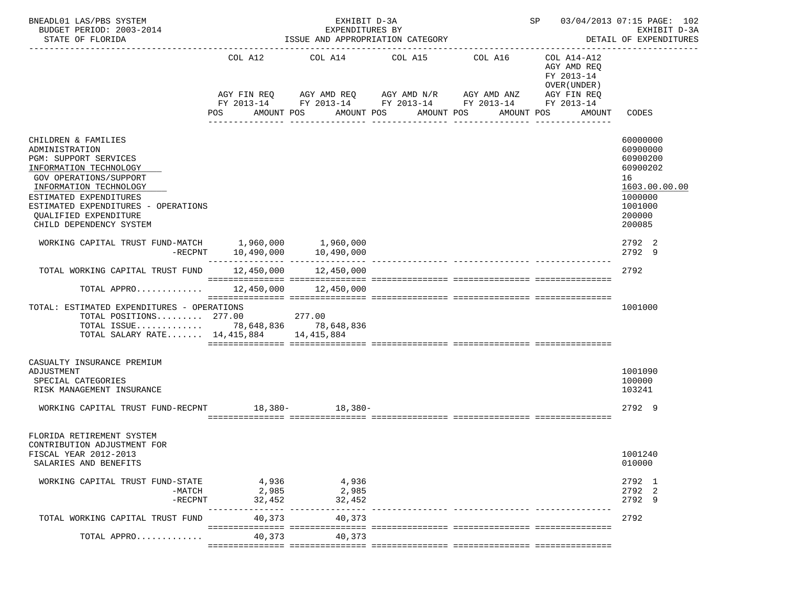| BNEADL01 LAS/PBS SYSTEM<br>EXHIBIT D-3A<br>BUDGET PERIOD: 2003-2014<br>EXPENDITURES BY<br>STATE OF FLORIDA<br>ISSUE AND APPROPRIATION CATEGORY                                                                                                                           |                                 |                                                                                                  |                                              |                                                                              |                                                                                                 | SP 03/04/2013 07:15 PAGE: 102<br>EXHIBIT D-3A<br>DETAIL OF EXPENDITURES                                       |  |
|--------------------------------------------------------------------------------------------------------------------------------------------------------------------------------------------------------------------------------------------------------------------------|---------------------------------|--------------------------------------------------------------------------------------------------|----------------------------------------------|------------------------------------------------------------------------------|-------------------------------------------------------------------------------------------------|---------------------------------------------------------------------------------------------------------------|--|
|                                                                                                                                                                                                                                                                          | POS                             | COL A12 COL A14 COL A15 COL A16<br>AGY FIN REQ AGY AMD REQ AGY AMD N/R AGY AMD ANZ<br>AMOUNT POS | AMOUNT POS<br>AMOUNT POS<br>________________ | FY 2013-14 FY 2013-14 FY 2013-14 FY 2013-14<br>AMOUNT POS<br>_______________ | COL A14-A12<br>AGY AMD REQ<br>FY 2013-14<br>OVER (UNDER)<br>AGY FIN REQ<br>FY 2013-14<br>AMOUNT | CODES                                                                                                         |  |
| CHILDREN & FAMILIES<br>ADMINISTRATION<br>PGM: SUPPORT SERVICES<br>INFORMATION TECHNOLOGY<br><b>GOV OPERATIONS/SUPPORT</b><br>INFORMATION TECHNOLOGY<br>ESTIMATED EXPENDITURES<br>ESTIMATED EXPENDITURES - OPERATIONS<br>QUALIFIED EXPENDITURE<br>CHILD DEPENDENCY SYSTEM |                                 |                                                                                                  |                                              |                                                                              |                                                                                                 | 60000000<br>60900000<br>60900200<br>60900202<br>16<br>1603.00.00.00<br>1000000<br>1001000<br>200000<br>200085 |  |
| WORKING CAPITAL TRUST FUND-MATCH 1,960,000 1,960,000                                                                                                                                                                                                                     | $-RECPNT$ 10,490,000 10,490,000 |                                                                                                  |                                              |                                                                              |                                                                                                 | 2792 2<br>2792 9                                                                                              |  |
| TOTAL WORKING CAPITAL TRUST FUND 12,450,000 12,450,000                                                                                                                                                                                                                   |                                 |                                                                                                  |                                              |                                                                              |                                                                                                 | 2792                                                                                                          |  |
| TOTAL APPRO $12,450,000$ $12,450,000$                                                                                                                                                                                                                                    |                                 |                                                                                                  |                                              |                                                                              |                                                                                                 |                                                                                                               |  |
| TOTAL: ESTIMATED EXPENDITURES - OPERATIONS<br>TOTAL POSITIONS 277.00<br>TOTAL ISSUE 78,648,836 78,648,836<br>TOTAL SALARY RATE 14,415,884 14,415,884                                                                                                                     |                                 | 277.00                                                                                           |                                              |                                                                              |                                                                                                 | 1001000                                                                                                       |  |
| CASUALTY INSURANCE PREMIUM<br>ADJUSTMENT<br>SPECIAL CATEGORIES<br>RISK MANAGEMENT INSURANCE                                                                                                                                                                              |                                 |                                                                                                  |                                              |                                                                              |                                                                                                 | 1001090<br>100000<br>103241                                                                                   |  |
| WORKING CAPITAL TRUST FUND-RECPNT 18,380-<br>18,380-                                                                                                                                                                                                                     |                                 |                                                                                                  |                                              |                                                                              |                                                                                                 | 2792 9                                                                                                        |  |
| FLORIDA RETIREMENT SYSTEM<br>CONTRIBUTION ADJUSTMENT FOR<br>FISCAL YEAR 2012-2013<br>SALARIES AND BENEFITS                                                                                                                                                               |                                 |                                                                                                  |                                              |                                                                              |                                                                                                 | 1001240<br>010000                                                                                             |  |
| WORKING CAPITAL TRUST FUND-STATE<br>-MATCH<br>$-$ RECPNT                                                                                                                                                                                                                 | 2,985<br>32,452                 | 4,936 4,936<br>2,985<br>32,452                                                                   |                                              |                                                                              |                                                                                                 | 2792 1<br>2792 2<br>2792 9                                                                                    |  |
| TOTAL WORKING CAPITAL TRUST FUND                                                                                                                                                                                                                                         | ------------<br>40,373          | --- ------------<br>40,373                                                                       |                                              |                                                                              |                                                                                                 | 2792                                                                                                          |  |
| TOTAL APPRO                                                                                                                                                                                                                                                              | 40,373                          | 40,373                                                                                           |                                              |                                                                              |                                                                                                 |                                                                                                               |  |
|                                                                                                                                                                                                                                                                          |                                 |                                                                                                  |                                              |                                                                              |                                                                                                 |                                                                                                               |  |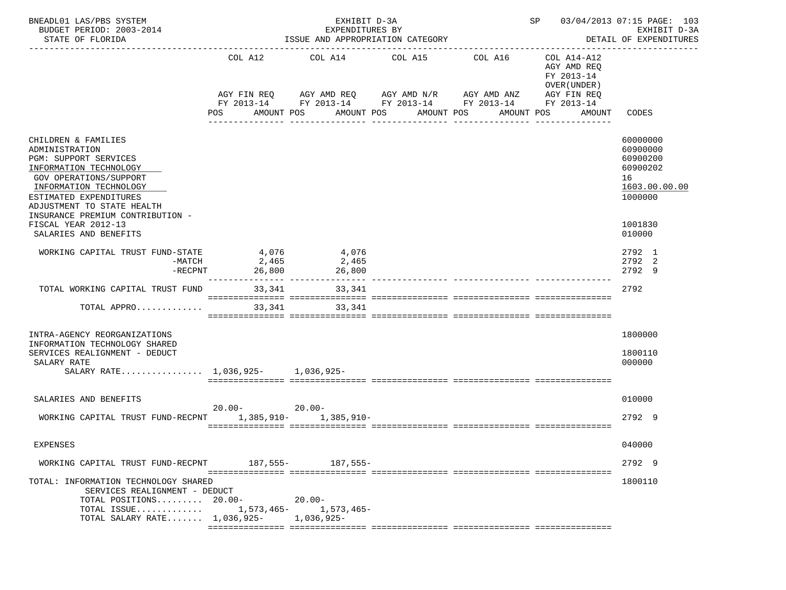| BNEADL01 LAS/PBS SYSTEM<br>BUDGET PERIOD: 2003-2014<br>STATE OF FLORIDA                                                                                                                                                                         |                          | EXHIBIT D-3A<br>EXPENDITURES BY<br>ISSUE AND APPROPRIATION CATEGORY |                                                                                                        | SP 03/04/2013 07:15 PAGE: 103<br>EXHIBIT D-3A<br>DETAIL OF EXPENDITURES |                                                                         |                                                                                |
|-------------------------------------------------------------------------------------------------------------------------------------------------------------------------------------------------------------------------------------------------|--------------------------|---------------------------------------------------------------------|--------------------------------------------------------------------------------------------------------|-------------------------------------------------------------------------|-------------------------------------------------------------------------|--------------------------------------------------------------------------------|
|                                                                                                                                                                                                                                                 | COL A12                  |                                                                     | COL A14 COL A15<br>AGY FIN REQ 6 AGY AMD REQ 6 AGY AMD N/R 66 AGY AMD ANZ                              | COL A16                                                                 | COL A14-A12<br>AGY AMD REO<br>FY 2013-14<br>OVER (UNDER)<br>AGY FIN REQ |                                                                                |
|                                                                                                                                                                                                                                                 | AMOUNT POS<br>POS        |                                                                     | FY 2013-14 FY 2013-14 FY 2013-14 FY 2013-14 FY 2013-14<br>AMOUNT POS<br>AMOUNT POS<br>---------------- | ---------------                                                         | AMOUNT POS<br>AMOUNT                                                    | CODES                                                                          |
| CHILDREN & FAMILIES<br>ADMINISTRATION<br>PGM: SUPPORT SERVICES<br>INFORMATION TECHNOLOGY<br><b>GOV OPERATIONS/SUPPORT</b><br>INFORMATION TECHNOLOGY<br>ESTIMATED EXPENDITURES<br>ADJUSTMENT TO STATE HEALTH<br>INSURANCE PREMIUM CONTRIBUTION - |                          |                                                                     |                                                                                                        |                                                                         |                                                                         | 60000000<br>60900000<br>60900200<br>60900202<br>16<br>1603.00.00.00<br>1000000 |
| FISCAL YEAR 2012-13<br>SALARIES AND BENEFITS                                                                                                                                                                                                    |                          |                                                                     |                                                                                                        |                                                                         |                                                                         | 1001830<br>010000                                                              |
| WORKING CAPITAL TRUST FUND-STATE<br>-MATCH<br>$-RECPNT$                                                                                                                                                                                         | 4,076<br>2,465<br>26,800 | 4,076<br>2,465<br>26,800<br>_____________________________           |                                                                                                        |                                                                         |                                                                         | 2792 1<br>2792 2<br>2792 9                                                     |
| TOTAL WORKING CAPITAL TRUST FUND                                                                                                                                                                                                                | 33,341                   | 33,341                                                              |                                                                                                        |                                                                         |                                                                         | 2792                                                                           |
| TOTAL APPRO                                                                                                                                                                                                                                     | 33,341                   | 33, 341                                                             |                                                                                                        |                                                                         |                                                                         |                                                                                |
| INTRA-AGENCY REORGANIZATIONS<br>INFORMATION TECHNOLOGY SHARED                                                                                                                                                                                   |                          |                                                                     |                                                                                                        |                                                                         |                                                                         | 1800000                                                                        |
| SERVICES REALIGNMENT - DEDUCT<br>SALARY RATE<br>SALARY RATE 1,036,925- 1,036,925-                                                                                                                                                               |                          |                                                                     |                                                                                                        |                                                                         |                                                                         | 1800110<br>000000                                                              |
| SALARIES AND BENEFITS                                                                                                                                                                                                                           |                          |                                                                     |                                                                                                        |                                                                         |                                                                         | 010000                                                                         |
| WORKING CAPITAL TRUST FUND-RECPNT 1,385,910- 1,385,910-                                                                                                                                                                                         | $20.00 - 20.00 -$        |                                                                     |                                                                                                        |                                                                         |                                                                         | 2792 9                                                                         |
| <b>EXPENSES</b>                                                                                                                                                                                                                                 |                          |                                                                     |                                                                                                        |                                                                         |                                                                         | 040000                                                                         |
| WORKING CAPITAL TRUST FUND-RECPNT                                                                                                                                                                                                               |                          | 187,555 - 187,555 -                                                 |                                                                                                        |                                                                         |                                                                         | 2792 9                                                                         |
| TOTAL: INFORMATION TECHNOLOGY SHARED<br>SERVICES REALIGNMENT - DEDUCT<br>TOTAL POSITIONS $20.00 -$<br>TOTAL ISSUE<br>TOTAL SALARY RATE 1,036,925-                                                                                               |                          | $20.00 -$<br>1,573,465- 1,573,465-<br>1,036,925-                    |                                                                                                        |                                                                         |                                                                         | 1800110                                                                        |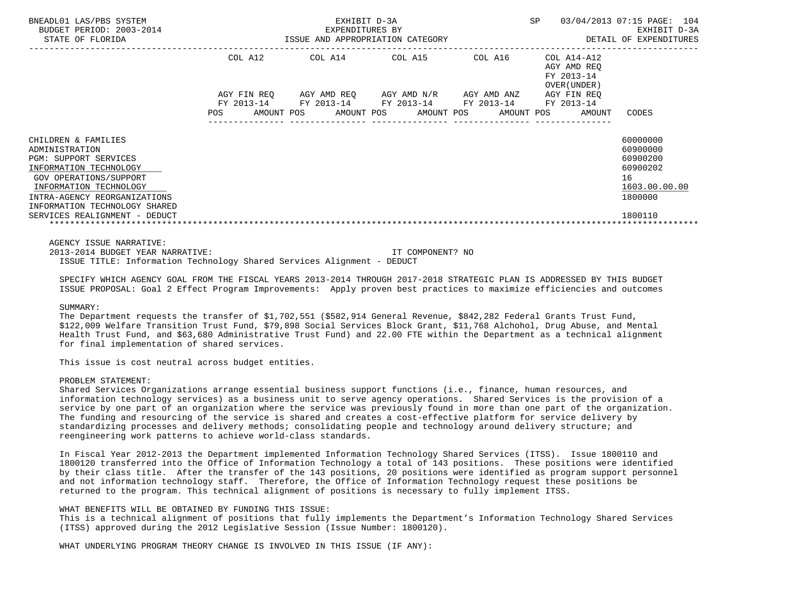| BNEADL01 LAS/PBS SYSTEM<br>BUDGET PERIOD: 2003-2014<br>STATE OF FLORIDA                                                | EXPENDITURES BY<br>ISSUE AND APPROPRIATION CATEGORY |                                                             | SP 03/04/2013 07:15 PAGE: 104<br>EXHIBIT D-3A<br>DETAIL OF EXPENDITURES |                                           |               |
|------------------------------------------------------------------------------------------------------------------------|-----------------------------------------------------|-------------------------------------------------------------|-------------------------------------------------------------------------|-------------------------------------------|---------------|
|                                                                                                                        |                                                     | COL A12 COL A14 COL A15 COL A16 COL A14-A12                 |                                                                         | AGY AMD REO<br>FY 2013-14<br>OVER (UNDER) |               |
|                                                                                                                        |                                                     | AGY FIN REQ AGY AMD REQ AGY AMD N/R AGY AMD ANZ AGY FIN REQ |                                                                         |                                           |               |
|                                                                                                                        |                                                     | FY 2013-14 FY 2013-14 FY 2013-14 FY 2013-14 FY 2013-14      |                                                                         |                                           |               |
|                                                                                                                        | POS                                                 | AMOUNT POS AMOUNT POS AMOUNT POS                            |                                                                         | AMOUNT POS<br>AMOUNT                      | CODES         |
|                                                                                                                        |                                                     |                                                             |                                                                         |                                           | 60000000      |
| CHILDREN & FAMILIES<br>ADMINISTRATION                                                                                  |                                                     |                                                             |                                                                         |                                           | 60900000      |
| <b>PGM: SUPPORT SERVICES</b>                                                                                           |                                                     |                                                             |                                                                         |                                           | 60900200      |
| INFORMATION TECHNOLOGY                                                                                                 |                                                     |                                                             |                                                                         |                                           | 60900202      |
| GOV OPERATIONS/SUPPORT                                                                                                 |                                                     |                                                             |                                                                         |                                           | 16            |
| INFORMATION TECHNOLOGY                                                                                                 |                                                     |                                                             |                                                                         |                                           | 1603.00.00.00 |
| INTRA-AGENCY REORGANIZATIONS                                                                                           |                                                     |                                                             |                                                                         |                                           | 1800000       |
| INFORMATION TECHNOLOGY SHARED                                                                                          |                                                     |                                                             |                                                                         |                                           |               |
| SERVICES REALIGNMENT - DEDUCT                                                                                          |                                                     |                                                             |                                                                         |                                           | 1800110       |
|                                                                                                                        |                                                     |                                                             |                                                                         |                                           |               |
| AGENCY ISSUE NARRATIVE:                                                                                                |                                                     |                                                             |                                                                         |                                           |               |
| 2013-2014 BUDGET YEAR NARRATIVE:                                                                                       |                                                     | IT COMPONENT? NO                                            |                                                                         |                                           |               |
| ISSUE TITLE: Information Technology Shared Services Alignment - DEDUCT                                                 |                                                     |                                                             |                                                                         |                                           |               |
| SPECIFY WHICH AGENCY GOAL FROM THE FISCAL YEARS 2013-2014 THROUGH 2017-2018 STRATEGIC PLAN IS ADDRESSED BY THIS BUDGET |                                                     |                                                             |                                                                         |                                           |               |
| ISSUE PROPOSAL: Goal 2 Effect Program Improvements: Apply proven best practices to maximize efficiencies and outcomes  |                                                     |                                                             |                                                                         |                                           |               |

#### SIIMMARY:

 The Department requests the transfer of \$1,702,551 (\$582,914 General Revenue, \$842,282 Federal Grants Trust Fund, \$122,009 Welfare Transition Trust Fund, \$79,898 Social Services Block Grant, \$11,768 Alchohol, Drug Abuse, and Mental Health Trust Fund, and \$63,680 Administrative Trust Fund) and 22.00 FTE within the Department as a technical alignment for final implementation of shared services.

This issue is cost neutral across budget entities.

#### PROBLEM STATEMENT:

 Shared Services Organizations arrange essential business support functions (i.e., finance, human resources, and information technology services) as a business unit to serve agency operations. Shared Services is the provision of a service by one part of an organization where the service was previously found in more than one part of the organization. The funding and resourcing of the service is shared and creates a cost-effective platform for service delivery by standardizing processes and delivery methods; consolidating people and technology around delivery structure; and reengineering work patterns to achieve world-class standards.

 In Fiscal Year 2012-2013 the Department implemented Information Technology Shared Services (ITSS). Issue 1800110 and 1800120 transferred into the Office of Information Technology a total of 143 positions. These positions were identified by their class title. After the transfer of the 143 positions, 20 positions were identified as program support personnel and not information technology staff. Therefore, the Office of Information Technology request these positions be returned to the program. This technical alignment of positions is necessary to fully implement ITSS.

# WHAT BENEFITS WILL BE OBTAINED BY FUNDING THIS ISSUE:

 This is a technical alignment of positions that fully implements the Department's Information Technology Shared Services (ITSS) approved during the 2012 Legislative Session (Issue Number: 1800120).

WHAT UNDERLYING PROGRAM THEORY CHANGE IS INVOLVED IN THIS ISSUE (IF ANY):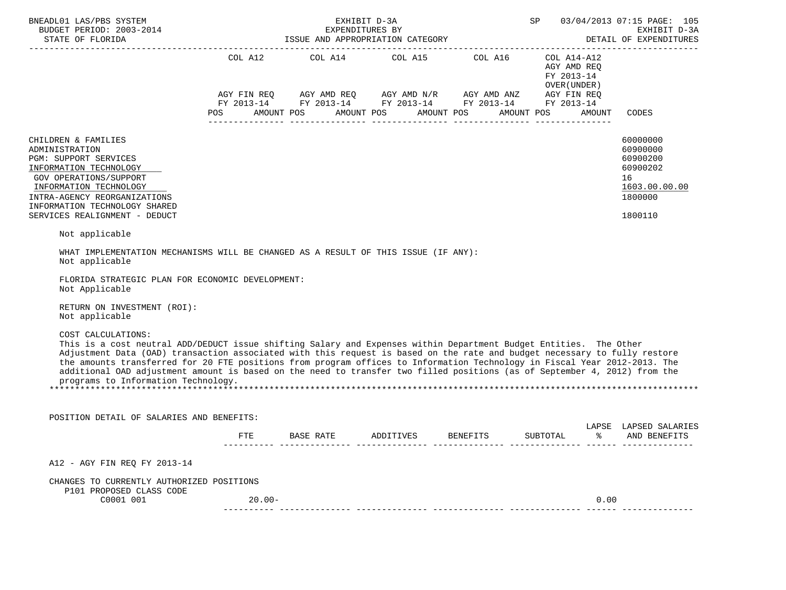| BNEADL01 LAS/PBS SYSTEM<br>BUDGET PERIOD: 2003-2014<br>STATE OF FLORIDA                                                                                                                                                                                                                                                                                                                                                                                                                                                                                               | 03/04/2013 07:15 PAGE: 105<br>EXHIBIT D-3A<br><b>SP</b> SP<br>EXPENDITURES BY<br>DETAIL OF EXPENDITURES |                                                                                                                                                                                                                                                                                                                                                                                                                            |  |  |                                     |                                                                                           |  |
|-----------------------------------------------------------------------------------------------------------------------------------------------------------------------------------------------------------------------------------------------------------------------------------------------------------------------------------------------------------------------------------------------------------------------------------------------------------------------------------------------------------------------------------------------------------------------|---------------------------------------------------------------------------------------------------------|----------------------------------------------------------------------------------------------------------------------------------------------------------------------------------------------------------------------------------------------------------------------------------------------------------------------------------------------------------------------------------------------------------------------------|--|--|-------------------------------------|-------------------------------------------------------------------------------------------|--|
|                                                                                                                                                                                                                                                                                                                                                                                                                                                                                                                                                                       | POS                                                                                                     | $\begin{array}{lllllll} \text{AGY}\ \text{FIN}\ \text{REQ} & \text{AGY}\ \text{AMD}\ \text{REQ} & \text{AGY}\ \text{AMD}\ \text{N/R} & \text{AGY}\ \text{AMD}\ \text{ANZ} & \text{AGY}\ \text{FIN}\ \text{REQ} \\ \text{FY}\ 2013\text{-}14 & \text{FY}\ 2013\text{-}14 & \text{FY}\ 2013\text{-}14 & \text{FY}\ 2013\text{-}14 & \text{FY}\ 2013\text{-}14 \\ \end{array}$<br>AMOUNT POS AMOUNT POS AMOUNT POS AMOUNT POS |  |  | FY 2013-14<br>OVER(UNDER)<br>AMOUNT | CODES                                                                                     |  |
| CHILDREN & FAMILIES<br>ADMINISTRATION<br>PGM: SUPPORT SERVICES<br>INFORMATION TECHNOLOGY<br>GOV OPERATIONS/SUPPORT<br>INFORMATION TECHNOLOGY<br>INTRA-AGENCY REORGANIZATIONS<br>INFORMATION TECHNOLOGY SHARED<br>SERVICES REALIGNMENT - DEDUCT                                                                                                                                                                                                                                                                                                                        |                                                                                                         |                                                                                                                                                                                                                                                                                                                                                                                                                            |  |  |                                     | 60000000<br>60900000<br>60900200<br>60900202<br>16<br>1603.00.00.00<br>1800000<br>1800110 |  |
| Not applicable<br>WHAT IMPLEMENTATION MECHANISMS WILL BE CHANGED AS A RESULT OF THIS ISSUE (IF ANY):                                                                                                                                                                                                                                                                                                                                                                                                                                                                  |                                                                                                         |                                                                                                                                                                                                                                                                                                                                                                                                                            |  |  |                                     |                                                                                           |  |
| Not applicable<br>FLORIDA STRATEGIC PLAN FOR ECONOMIC DEVELOPMENT:<br>Not Applicable<br>RETURN ON INVESTMENT (ROI):<br>Not applicable                                                                                                                                                                                                                                                                                                                                                                                                                                 |                                                                                                         |                                                                                                                                                                                                                                                                                                                                                                                                                            |  |  |                                     |                                                                                           |  |
| COST CALCULATIONS:<br>This is a cost neutral ADD/DEDUCT issue shifting Salary and Expenses within Department Budget Entities. The Other<br>Adjustment Data (OAD) transaction associated with this request is based on the rate and budget necessary to fully restore<br>the amounts transferred for 20 FTE positions from program offices to Information Technology in Fiscal Year 2012-2013. The<br>additional OAD adjustment amount is based on the need to transfer two filled positions (as of September 4, 2012) from the<br>programs to Information Technology. |                                                                                                         |                                                                                                                                                                                                                                                                                                                                                                                                                            |  |  |                                     |                                                                                           |  |
| POSITION DETAIL OF SALARIES AND BENEFITS:                                                                                                                                                                                                                                                                                                                                                                                                                                                                                                                             |                                                                                                         |                                                                                                                                                                                                                                                                                                                                                                                                                            |  |  |                                     |                                                                                           |  |
|                                                                                                                                                                                                                                                                                                                                                                                                                                                                                                                                                                       |                                                                                                         | FTE BASE RATE ADDITIVES BENEFITS SUBTOTAL                                                                                                                                                                                                                                                                                                                                                                                  |  |  |                                     | LAPSE LAPSED SALARIES<br>% AND BENEFITS                                                   |  |
| A12 - AGY FIN REQ FY 2013-14                                                                                                                                                                                                                                                                                                                                                                                                                                                                                                                                          |                                                                                                         |                                                                                                                                                                                                                                                                                                                                                                                                                            |  |  |                                     |                                                                                           |  |
| CHANGES TO CURRENTLY AUTHORIZED POSITIONS<br>P101 PROPOSED CLASS CODE                                                                                                                                                                                                                                                                                                                                                                                                                                                                                                 |                                                                                                         |                                                                                                                                                                                                                                                                                                                                                                                                                            |  |  |                                     |                                                                                           |  |
| C0001 001                                                                                                                                                                                                                                                                                                                                                                                                                                                                                                                                                             | 20.00-                                                                                                  |                                                                                                                                                                                                                                                                                                                                                                                                                            |  |  | 0.00                                |                                                                                           |  |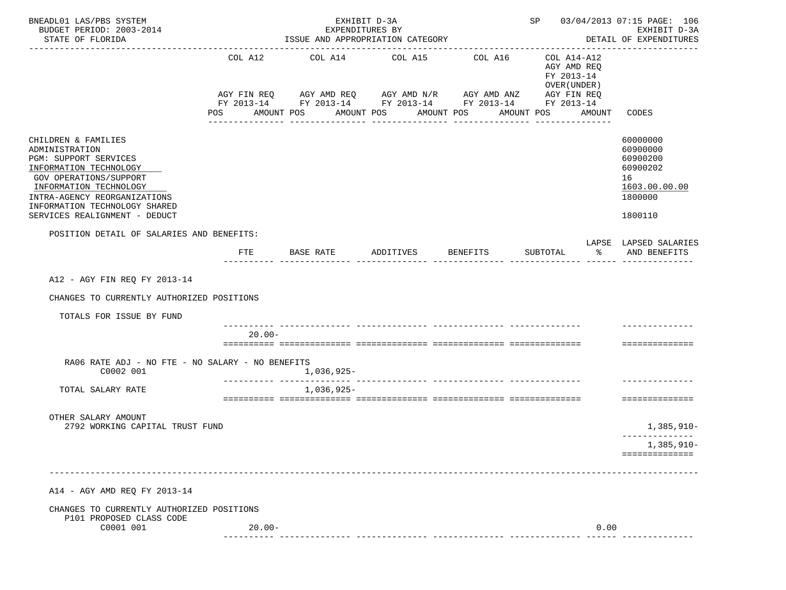| BNEADL01 LAS/PBS SYSTEM<br>BUDGET PERIOD: 2003-2014<br>STATE OF FLORIDA<br>------------------------                                                                                                                                            |                              | EXHIBIT D-3A<br>EXPENDITURES BY<br>ISSUE AND APPROPRIATION CATEGORY                                                                              |                       |                  | SP 03/04/2013 07:15 PAGE: 106<br>EXHIBIT D-3A<br>DETAIL OF EXPENDITURES        |      |                                                                                           |
|------------------------------------------------------------------------------------------------------------------------------------------------------------------------------------------------------------------------------------------------|------------------------------|--------------------------------------------------------------------------------------------------------------------------------------------------|-----------------------|------------------|--------------------------------------------------------------------------------|------|-------------------------------------------------------------------------------------------|
|                                                                                                                                                                                                                                                | COL A12<br>AMOUNT POS<br>POS | COL A14 COL A15 COL A16<br>AGY FIN REQ AGY AMD REQ AGY AMD N/R AGY AMD ANZ AGY FIN REQ<br>FY 2013-14 FY 2013-14 FY 2013-14 FY 2013-14 FY 2013-14 | AMOUNT POS AMOUNT POS |                  | COL A14-A12<br>AGY AMD REO<br>FY 2013-14<br>OVER (UNDER )<br>AMOUNT POS AMOUNT |      | CODES                                                                                     |
|                                                                                                                                                                                                                                                |                              | ________________                                                                                                                                 | ________________      | ________________ |                                                                                |      |                                                                                           |
| CHILDREN & FAMILIES<br>ADMINISTRATION<br>PGM: SUPPORT SERVICES<br>INFORMATION TECHNOLOGY<br>GOV OPERATIONS/SUPPORT<br>INFORMATION TECHNOLOGY<br>INTRA-AGENCY REORGANIZATIONS<br>INFORMATION TECHNOLOGY SHARED<br>SERVICES REALIGNMENT - DEDUCT |                              |                                                                                                                                                  |                       |                  |                                                                                |      | 60000000<br>60900000<br>60900200<br>60900202<br>16<br>1603.00.00.00<br>1800000<br>1800110 |
| POSITION DETAIL OF SALARIES AND BENEFITS:                                                                                                                                                                                                      |                              |                                                                                                                                                  |                       |                  |                                                                                |      |                                                                                           |
|                                                                                                                                                                                                                                                | FTE                          | BASE RATE ADDITIVES BENEFITS                                                                                                                     |                       |                  | SUBTOTAL                                                                       |      | LAPSE LAPSED SALARIES<br>% AND BENEFITS                                                   |
|                                                                                                                                                                                                                                                |                              |                                                                                                                                                  |                       |                  |                                                                                |      |                                                                                           |
| A12 - AGY FIN REO FY 2013-14                                                                                                                                                                                                                   |                              |                                                                                                                                                  |                       |                  |                                                                                |      |                                                                                           |
| CHANGES TO CURRENTLY AUTHORIZED POSITIONS                                                                                                                                                                                                      |                              |                                                                                                                                                  |                       |                  |                                                                                |      |                                                                                           |
| TOTALS FOR ISSUE BY FUND                                                                                                                                                                                                                       |                              |                                                                                                                                                  |                       |                  |                                                                                |      |                                                                                           |
|                                                                                                                                                                                                                                                | 20.00-                       |                                                                                                                                                  |                       |                  |                                                                                |      | ==============                                                                            |
| RA06 RATE ADJ - NO FTE - NO SALARY - NO BENEFITS<br>C0002 001                                                                                                                                                                                  |                              | 1,036,925-                                                                                                                                       |                       |                  |                                                                                |      |                                                                                           |
| TOTAL SALARY RATE                                                                                                                                                                                                                              |                              | 1,036,925-                                                                                                                                       |                       |                  |                                                                                |      |                                                                                           |
|                                                                                                                                                                                                                                                |                              |                                                                                                                                                  |                       |                  |                                                                                |      | ==============                                                                            |
| OTHER SALARY AMOUNT<br>2792 WORKING CAPITAL TRUST FUND                                                                                                                                                                                         |                              |                                                                                                                                                  |                       |                  |                                                                                |      | $1,385,910-$                                                                              |
|                                                                                                                                                                                                                                                |                              |                                                                                                                                                  |                       |                  |                                                                                |      | $1,385,910-$                                                                              |
|                                                                                                                                                                                                                                                |                              |                                                                                                                                                  |                       |                  |                                                                                |      | ==============                                                                            |
| A14 - AGY AMD REQ FY 2013-14                                                                                                                                                                                                                   |                              |                                                                                                                                                  |                       |                  |                                                                                |      |                                                                                           |
| CHANGES TO CURRENTLY AUTHORIZED POSITIONS                                                                                                                                                                                                      |                              |                                                                                                                                                  |                       |                  |                                                                                |      |                                                                                           |
| P101 PROPOSED CLASS CODE<br>C0001 001                                                                                                                                                                                                          | $20.00 -$                    |                                                                                                                                                  |                       |                  |                                                                                | 0.00 |                                                                                           |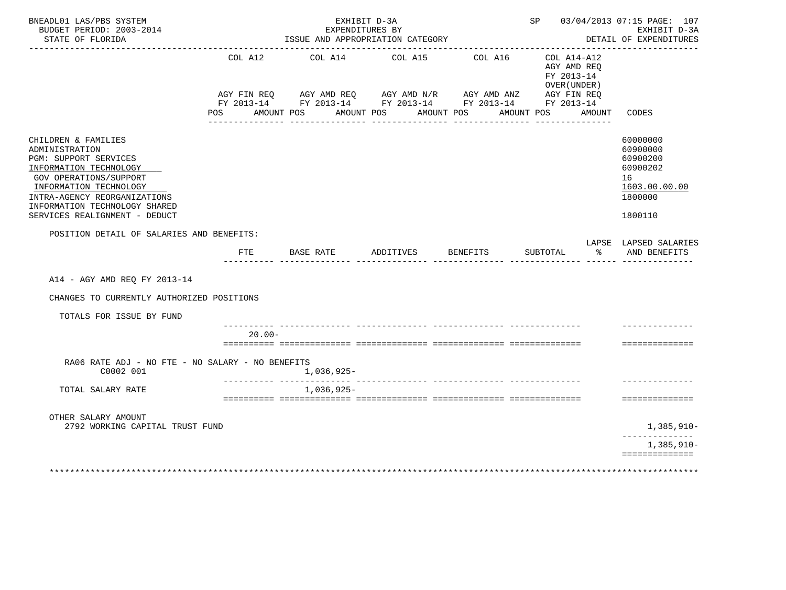| BNEADL01 LAS/PBS SYSTEM<br>BUDGET PERIOD: 2003-2014<br>STATE OF FLORIDA                                                                                                                                                                               |           | EXHIBIT D-3A<br>EXPENDITURES BY<br>ISSUE AND APPROPRIATION CATEGORY |                         |            | SP 03/04/2013 07:15 PAGE: 107                             | EXHIBIT D-3A<br>DETAIL OF EXPENDITURES                                                    |
|-------------------------------------------------------------------------------------------------------------------------------------------------------------------------------------------------------------------------------------------------------|-----------|---------------------------------------------------------------------|-------------------------|------------|-----------------------------------------------------------|-------------------------------------------------------------------------------------------|
|                                                                                                                                                                                                                                                       | COL A12   | AGY FIN REQ AGY AMD REQ AGY AMD N/R AGY AMD ANZ AGY FIN REQ         | COL A14 COL A15 COL A16 |            | COL A14-A12<br>AGY AMD REO<br>FY 2013-14<br>OVER (UNDER ) |                                                                                           |
|                                                                                                                                                                                                                                                       |           | FY 2013-14 FY 2013-14 FY 2013-14 FY 2013-14 FY 2013-14              |                         |            |                                                           |                                                                                           |
|                                                                                                                                                                                                                                                       | POS DO    | AMOUNT POS<br>AMOUNT POS                                            |                         | AMOUNT POS | AMOUNT POS<br>AMOUNT                                      | CODES                                                                                     |
| CHILDREN & FAMILIES<br>ADMINISTRATION<br>PGM: SUPPORT SERVICES<br>INFORMATION TECHNOLOGY<br><b>GOV OPERATIONS/SUPPORT</b><br>INFORMATION TECHNOLOGY<br>INTRA-AGENCY REORGANIZATIONS<br>INFORMATION TECHNOLOGY SHARED<br>SERVICES REALIGNMENT - DEDUCT |           |                                                                     |                         |            |                                                           | 60000000<br>60900000<br>60900200<br>60900202<br>16<br>1603.00.00.00<br>1800000<br>1800110 |
| POSITION DETAIL OF SALARIES AND BENEFITS:                                                                                                                                                                                                             |           |                                                                     |                         |            |                                                           | LAPSE LAPSED SALARIES                                                                     |
|                                                                                                                                                                                                                                                       | FTE       | BASE RATE                                                           | ADDITIVES               | BENEFITS   | SUBTOTAL<br>ႜ                                             | AND BENEFITS                                                                              |
| A14 - AGY AMD REO FY 2013-14<br>CHANGES TO CURRENTLY AUTHORIZED POSITIONS<br>TOTALS FOR ISSUE BY FUND                                                                                                                                                 |           |                                                                     |                         |            |                                                           |                                                                                           |
|                                                                                                                                                                                                                                                       |           |                                                                     |                         |            |                                                           |                                                                                           |
|                                                                                                                                                                                                                                                       | $20.00 -$ |                                                                     |                         |            |                                                           | ==============                                                                            |
| RA06 RATE ADJ - NO FTE - NO SALARY - NO BENEFITS<br>C0002 001                                                                                                                                                                                         |           | 1,036,925-                                                          |                         |            |                                                           |                                                                                           |
| TOTAL SALARY RATE                                                                                                                                                                                                                                     |           | 1,036,925-                                                          |                         |            |                                                           |                                                                                           |
|                                                                                                                                                                                                                                                       |           |                                                                     |                         |            |                                                           | ==============                                                                            |
| OTHER SALARY AMOUNT<br>2792 WORKING CAPITAL TRUST FUND                                                                                                                                                                                                |           |                                                                     |                         |            |                                                           | 1,385,910-                                                                                |
|                                                                                                                                                                                                                                                       |           |                                                                     |                         |            |                                                           | 1,385,910-                                                                                |
|                                                                                                                                                                                                                                                       |           |                                                                     |                         |            |                                                           | ==============                                                                            |
|                                                                                                                                                                                                                                                       |           |                                                                     |                         |            |                                                           |                                                                                           |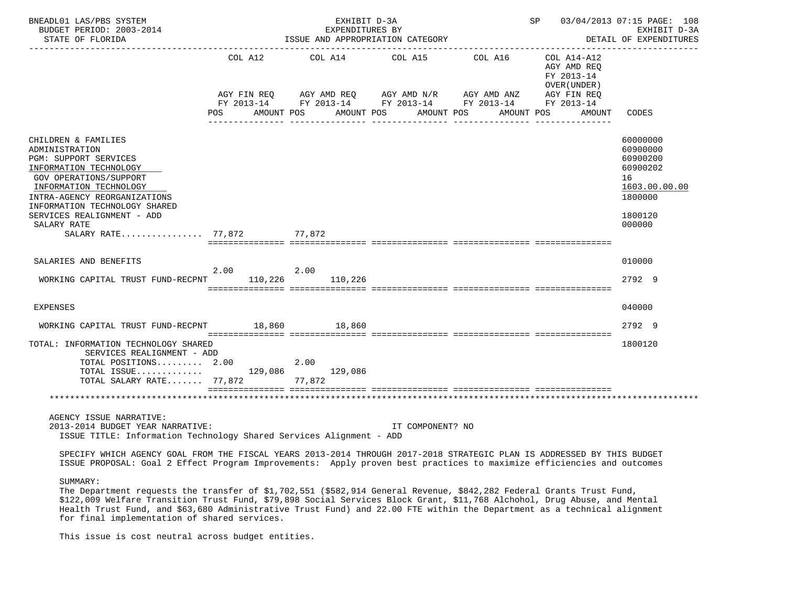| BNEADL01 LAS/PBS SYSTEM<br>BUDGET PERIOD: 2003-2014<br>STATE OF FLORIDA                                                                                                                                                                                                          |                 | EXHIBIT D-3A<br>EXPENDITURES BY<br>ISSUE AND APPROPRIATION CATEGORY |                                                                                                             | SP 03/04/2013 07:15 PAGE: 108<br>EXHIBIT D-3A<br>DETAIL OF EXPENDITURES |                                                                                                     |
|----------------------------------------------------------------------------------------------------------------------------------------------------------------------------------------------------------------------------------------------------------------------------------|-----------------|---------------------------------------------------------------------|-------------------------------------------------------------------------------------------------------------|-------------------------------------------------------------------------|-----------------------------------------------------------------------------------------------------|
|                                                                                                                                                                                                                                                                                  | COL A12         | COL A14 COL A15 COL A16 COL A14-A12                                 |                                                                                                             | AGY AMD REO<br>FY 2013-14<br>OVER (UNDER )                              |                                                                                                     |
|                                                                                                                                                                                                                                                                                  | POS             | AMOUNT POS                                                          | AMOUNT POS AMOUNT POS                                                                                       | AMOUNT POS<br>AMOUNT                                                    | CODES                                                                                               |
| CHILDREN & FAMILIES<br>ADMINISTRATION<br>PGM: SUPPORT SERVICES<br>INFORMATION TECHNOLOGY<br>GOV OPERATIONS/SUPPORT<br>INFORMATION TECHNOLOGY<br>INTRA-AGENCY REORGANIZATIONS<br>INFORMATION TECHNOLOGY SHARED<br>SERVICES REALIGNMENT - ADD<br>SALARY RATE<br>SALARY RATE 77,872 |                 | 77,872                                                              |                                                                                                             |                                                                         | 60000000<br>60900000<br>60900200<br>60900202<br>16<br>1603.00.00.00<br>1800000<br>1800120<br>000000 |
| SALARIES AND BENEFITS                                                                                                                                                                                                                                                            |                 |                                                                     |                                                                                                             |                                                                         | 010000                                                                                              |
| WORKING CAPITAL TRUST FUND-RECPNT                                                                                                                                                                                                                                                | 2.00<br>110,226 | 2.00<br>110,226                                                     |                                                                                                             |                                                                         | 2792 9                                                                                              |
| EXPENSES                                                                                                                                                                                                                                                                         |                 |                                                                     |                                                                                                             |                                                                         | 040000                                                                                              |
| WORKING CAPITAL TRUST FUND-RECPNT                                                                                                                                                                                                                                                |                 | 18,860 18,860                                                       |                                                                                                             |                                                                         | 2792 9                                                                                              |
| TOTAL: INFORMATION TECHNOLOGY SHARED<br>SERVICES REALIGNMENT - ADD<br>TOTAL POSITIONS 2.00<br>TOTAL ISSUE 129,086 129,086<br>TOTAL SALARY RATE 77,872 77,872                                                                                                                     |                 | 2.00                                                                |                                                                                                             |                                                                         | 1800120                                                                                             |
|                                                                                                                                                                                                                                                                                  |                 |                                                                     |                                                                                                             |                                                                         |                                                                                                     |
| AGENCY ISSUE NARRATIVE:<br>2013-2014 BUDGET YEAR NARRATIVE:<br>ISSUE TITLE: Information Technology Shared Services Alignment - ADD                                                                                                                                               |                 |                                                                     | IT COMPONENT? NO                                                                                            |                                                                         |                                                                                                     |
| SPECIFY WHICH AGENCY GOAL FROM THE FISCAL YEARS 2013-2014 THROUGH 2017-2018 STRATEGIC PLAN IS ADDRESSED BY THIS BUDGET<br>ISSUE PROPOSAL: Goal 2 Effect Program Improvements: Apply proven best practices to maximize efficiencies and outcomes                                  |                 |                                                                     |                                                                                                             |                                                                         |                                                                                                     |
| SUMMARY:<br>The Department requests the transfer of \$1,702,551 (\$582,914 General Revenue, \$842,282 Federal Grants Trust Fund,                                                                                                                                                 |                 |                                                                     | $\mathbf{a}$ , and $\mathbf{a}$ , and $\mathbf{a}$ , and $\mathbf{a}$ , and $\mathbf{a}$ , and $\mathbf{a}$ |                                                                         |                                                                                                     |

 \$122,009 Welfare Transition Trust Fund, \$79,898 Social Services Block Grant, \$11,768 Alchohol, Drug Abuse, and Mental Health Trust Fund, and \$63,680 Administrative Trust Fund) and 22.00 FTE within the Department as a technical alignment for final implementation of shared services.

This issue is cost neutral across budget entities.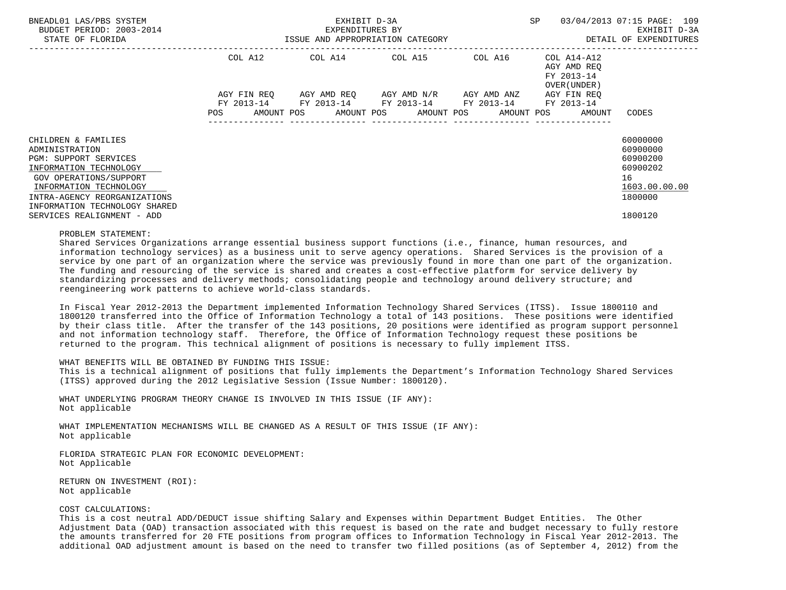| BNEADL01 LAS/PBS SYSTEM<br>BUDGET PERIOD: 2003-2014<br>STATE OF FLORIDA                                                                                                                                       | ISSUE AND APPROPRIATION CATEGORY | EXHIBIT D-3A<br>EXPENDITURES BY             | SP                                  | 03/04/2013 07:15 PAGE: 109<br>EXHIBIT D-3A<br>DETAIL OF EXPENDITURES |                                                                   |                                                                                |
|---------------------------------------------------------------------------------------------------------------------------------------------------------------------------------------------------------------|----------------------------------|---------------------------------------------|-------------------------------------|----------------------------------------------------------------------|-------------------------------------------------------------------|--------------------------------------------------------------------------------|
|                                                                                                                                                                                                               | COL A12                          | COL A14 COL A15 COL A16                     |                                     |                                                                      | COL A14-A12<br>AGY AMD REO<br>FY 2013-14<br>OVER (UNDER)          |                                                                                |
|                                                                                                                                                                                                               | AGY FIN REO<br>FY 2013-14<br>POS | FY 2013-14 FY 2013-14 FY 2013-14 FY 2013-14 | AGY AMD REO AGY AMD N/R AGY AMD ANZ |                                                                      | AGY FIN REO<br>AMOUNT POS AMOUNT POS AMOUNT POS AMOUNT POS AMOUNT | CODES                                                                          |
| CHILDREN & FAMILIES<br>ADMINISTRATION<br>PGM: SUPPORT SERVICES<br>INFORMATION TECHNOLOGY<br>GOV OPERATIONS/SUPPORT<br>INFORMATION TECHNOLOGY<br>INTRA-AGENCY REORGANIZATIONS<br>INFORMATION TECHNOLOGY SHARED |                                  |                                             |                                     |                                                                      |                                                                   | 60000000<br>60900000<br>60900200<br>60900202<br>16<br>1603.00.00.00<br>1800000 |
| SERVICES REALIGNMENT - ADD                                                                                                                                                                                    |                                  |                                             |                                     |                                                                      |                                                                   | 1800120                                                                        |

#### PROBLEM STATEMENT:

 Shared Services Organizations arrange essential business support functions (i.e., finance, human resources, and information technology services) as a business unit to serve agency operations. Shared Services is the provision of a service by one part of an organization where the service was previously found in more than one part of the organization. The funding and resourcing of the service is shared and creates a cost-effective platform for service delivery by standardizing processes and delivery methods; consolidating people and technology around delivery structure; and reengineering work patterns to achieve world-class standards.

 In Fiscal Year 2012-2013 the Department implemented Information Technology Shared Services (ITSS). Issue 1800110 and 1800120 transferred into the Office of Information Technology a total of 143 positions. These positions were identified by their class title. After the transfer of the 143 positions, 20 positions were identified as program support personnel and not information technology staff. Therefore, the Office of Information Technology request these positions be returned to the program. This technical alignment of positions is necessary to fully implement ITSS.

### WHAT BENEFITS WILL BE OBTAINED BY FUNDING THIS ISSUE:

 This is a technical alignment of positions that fully implements the Department's Information Technology Shared Services (ITSS) approved during the 2012 Legislative Session (Issue Number: 1800120).

 WHAT UNDERLYING PROGRAM THEORY CHANGE IS INVOLVED IN THIS ISSUE (IF ANY): Not applicable

 WHAT IMPLEMENTATION MECHANISMS WILL BE CHANGED AS A RESULT OF THIS ISSUE (IF ANY): Not applicable

 FLORIDA STRATEGIC PLAN FOR ECONOMIC DEVELOPMENT: Not Applicable

 RETURN ON INVESTMENT (ROI): Not applicable

# COST CALCULATIONS:

 This is a cost neutral ADD/DEDUCT issue shifting Salary and Expenses within Department Budget Entities. The Other Adjustment Data (OAD) transaction associated with this request is based on the rate and budget necessary to fully restore the amounts transferred for 20 FTE positions from program offices to Information Technology in Fiscal Year 2012-2013. The additional OAD adjustment amount is based on the need to transfer two filled positions (as of September 4, 2012) from the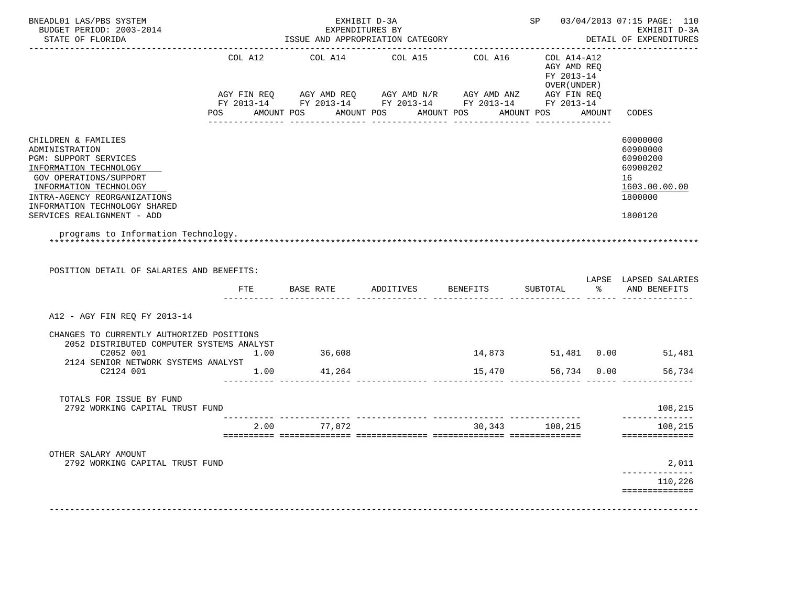| BNEADL01 LAS/PBS SYSTEM<br>BUDGET PERIOD: 2003-2014<br>STATE OF FLORIDA                                                                                                                                                                     |         |                 | EXHIBIT D-3A<br>EXPENDITURES BY<br>ISSUE AND APPROPRIATION CATEGORY                                                |                  |                                                          | SP 03/04/2013 07:15 PAGE: 110<br>EXHIBIT D-3A<br>DETAIL OF EXPENDITURES                   |  |
|---------------------------------------------------------------------------------------------------------------------------------------------------------------------------------------------------------------------------------------------|---------|-----------------|--------------------------------------------------------------------------------------------------------------------|------------------|----------------------------------------------------------|-------------------------------------------------------------------------------------------|--|
|                                                                                                                                                                                                                                             | COL A12 | COL A14         | COL A15<br>AGY FIN REQ AGY AMD REQ AGY AMD N/R AGY AMD ANZ AGY FIN REQ                                             | COL A16          | COL A14-A12<br>AGY AMD REO<br>FY 2013-14<br>OVER (UNDER) |                                                                                           |  |
|                                                                                                                                                                                                                                             |         |                 | FY 2013-14 FY 2013-14 FY 2013-14 FY 2013-14 FY 2013-14<br>POS AMOUNT POS AMOUNT POS AMOUNT POS<br>________________ | ________________ | AMOUNT POS AMOUNT                                        | CODES                                                                                     |  |
| CHILDREN & FAMILIES<br>ADMINISTRATION<br>PGM: SUPPORT SERVICES<br>INFORMATION TECHNOLOGY<br>GOV OPERATIONS/SUPPORT<br>INFORMATION TECHNOLOGY<br>INTRA-AGENCY REORGANIZATIONS<br>INFORMATION TECHNOLOGY SHARED<br>SERVICES REALIGNMENT - ADD |         |                 |                                                                                                                    |                  |                                                          | 60000000<br>60900000<br>60900200<br>60900202<br>16<br>1603.00.00.00<br>1800000<br>1800120 |  |
| programs to Information Technology.                                                                                                                                                                                                         |         |                 |                                                                                                                    |                  |                                                          |                                                                                           |  |
|                                                                                                                                                                                                                                             |         |                 |                                                                                                                    |                  |                                                          |                                                                                           |  |
| POSITION DETAIL OF SALARIES AND BENEFITS:                                                                                                                                                                                                   | FTE     | BASE RATE       | ADDITIVES BENEFITS                                                                                                 |                  | SUBTOTAL                                                 | % AND BENEFITS                                                                            |  |
| A12 - AGY FIN REQ FY 2013-14                                                                                                                                                                                                                |         |                 |                                                                                                                    |                  |                                                          |                                                                                           |  |
| CHANGES TO CURRENTLY AUTHORIZED POSITIONS<br>2052 DISTRIBUTED COMPUTER SYSTEMS ANALYST<br>C2052 001                                                                                                                                         | 1.00    | 36,608          |                                                                                                                    | 14,873           |                                                          | 51,481  0.00  51,481                                                                      |  |
| 2124 SENIOR NETWORK SYSTEMS ANALYST<br>C2124 001                                                                                                                                                                                            |         | $1.00$ $41,264$ |                                                                                                                    | 15,470           |                                                          | 56,734 0.00<br>56,734                                                                     |  |
| TOTALS FOR ISSUE BY FUND<br>2792 WORKING CAPITAL TRUST FUND                                                                                                                                                                                 |         |                 |                                                                                                                    |                  |                                                          | LAPSE LAPSED SALARIES<br>108,215                                                          |  |
|                                                                                                                                                                                                                                             |         | 2.00 77,872     |                                                                                                                    |                  | 30,343 108,215                                           | 108,215<br>==============                                                                 |  |
| OTHER SALARY AMOUNT<br>2792 WORKING CAPITAL TRUST FUND                                                                                                                                                                                      |         |                 |                                                                                                                    |                  |                                                          | 2,011                                                                                     |  |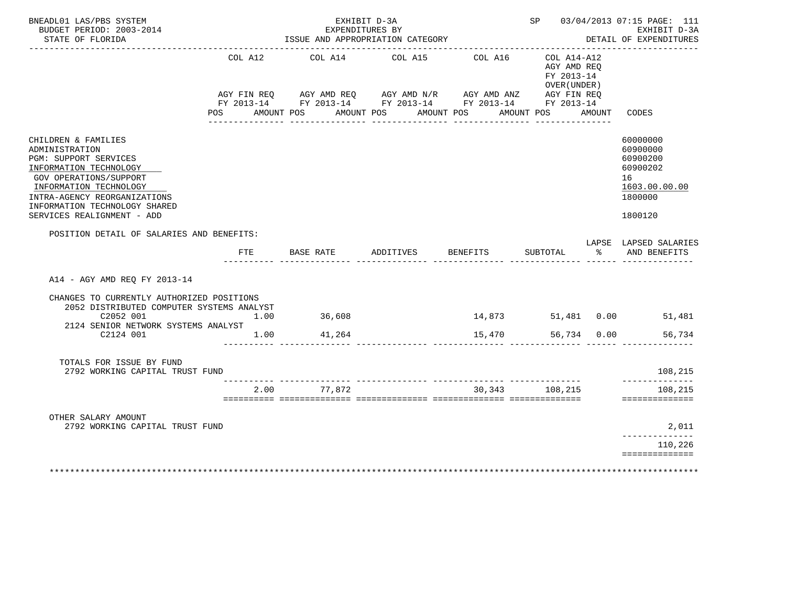| BNEADL01 LAS/PBS SYSTEM<br>BUDGET PERIOD: 2003-2014<br>STATE OF FLORIDA                                                                                                                                                                     |         | EXHIBIT D-3A<br>EXPENDITURES BY<br>ISSUE AND APPROPRIATION CATEGORY                                                                                           |                 | SP 03/04/2013 07:15 PAGE: 111<br>EXHIBIT D-3A<br>DETAIL OF EXPENDITURES |                                                                         |        |                                                                                           |
|---------------------------------------------------------------------------------------------------------------------------------------------------------------------------------------------------------------------------------------------|---------|---------------------------------------------------------------------------------------------------------------------------------------------------------------|-----------------|-------------------------------------------------------------------------|-------------------------------------------------------------------------|--------|-------------------------------------------------------------------------------------------|
|                                                                                                                                                                                                                                             | COL A12 | AGY FIN REQ AGY AMD REQ AGY AMD N/R AGY AMD ANZ AGY FIN REQ<br>FY 2013-14 FY 2013-14 FY 2013-14 FY 2013-14 FY 2013-14<br>POS AMOUNT POS AMOUNT POS AMOUNT POS | COL A14 COL A15 | COL A16                                                                 | COL A14-A12<br>AGY AMD REO<br>FY 2013-14<br>OVER (UNDER )<br>AMOUNT POS | AMOUNT | CODES                                                                                     |
|                                                                                                                                                                                                                                             |         |                                                                                                                                                               |                 |                                                                         |                                                                         |        |                                                                                           |
| CHILDREN & FAMILIES<br>ADMINISTRATION<br>PGM: SUPPORT SERVICES<br>INFORMATION TECHNOLOGY<br>GOV OPERATIONS/SUPPORT<br>INFORMATION TECHNOLOGY<br>INTRA-AGENCY REORGANIZATIONS<br>INFORMATION TECHNOLOGY SHARED<br>SERVICES REALIGNMENT - ADD |         |                                                                                                                                                               |                 |                                                                         |                                                                         |        | 60000000<br>60900000<br>60900200<br>60900202<br>16<br>1603.00.00.00<br>1800000<br>1800120 |
| POSITION DETAIL OF SALARIES AND BENEFITS:                                                                                                                                                                                                   |         |                                                                                                                                                               |                 |                                                                         |                                                                         |        | LAPSE LAPSED SALARIES                                                                     |
|                                                                                                                                                                                                                                             |         | FTE BASE RATE ADDITIVES BENEFITS                                                                                                                              |                 |                                                                         | SUBTOTAL                                                                |        | % AND BENEFITS                                                                            |
| A14 - AGY AMD REO FY 2013-14                                                                                                                                                                                                                |         |                                                                                                                                                               |                 |                                                                         |                                                                         |        |                                                                                           |
| CHANGES TO CURRENTLY AUTHORIZED POSITIONS<br>2052 DISTRIBUTED COMPUTER SYSTEMS ANALYST<br>C2052 001                                                                                                                                         | 1.00    | 36,608                                                                                                                                                        |                 |                                                                         |                                                                         |        | 14,873 51,481 0.00 51,481                                                                 |
| 2124 SENIOR NETWORK SYSTEMS ANALYST<br>C2124 001                                                                                                                                                                                            | 1.00    | 41,264                                                                                                                                                        |                 | 15,470                                                                  | 56,734 0.00                                                             |        | 56,734                                                                                    |
| TOTALS FOR ISSUE BY FUND<br>2792 WORKING CAPITAL TRUST FUND                                                                                                                                                                                 |         |                                                                                                                                                               |                 |                                                                         |                                                                         |        | 108,215<br>______________                                                                 |
|                                                                                                                                                                                                                                             | 2.00    | 77.872                                                                                                                                                        |                 | 30,343                                                                  | 108,215                                                                 |        | 108,215<br>==============                                                                 |
| OTHER SALARY AMOUNT                                                                                                                                                                                                                         |         |                                                                                                                                                               |                 |                                                                         |                                                                         |        |                                                                                           |
| 2792 WORKING CAPITAL TRUST FUND                                                                                                                                                                                                             |         |                                                                                                                                                               |                 |                                                                         |                                                                         |        | 2,011<br>--------------                                                                   |
|                                                                                                                                                                                                                                             |         |                                                                                                                                                               |                 |                                                                         |                                                                         |        | 110,226                                                                                   |
| ********************                                                                                                                                                                                                                        |         |                                                                                                                                                               |                 |                                                                         |                                                                         |        | ==============                                                                            |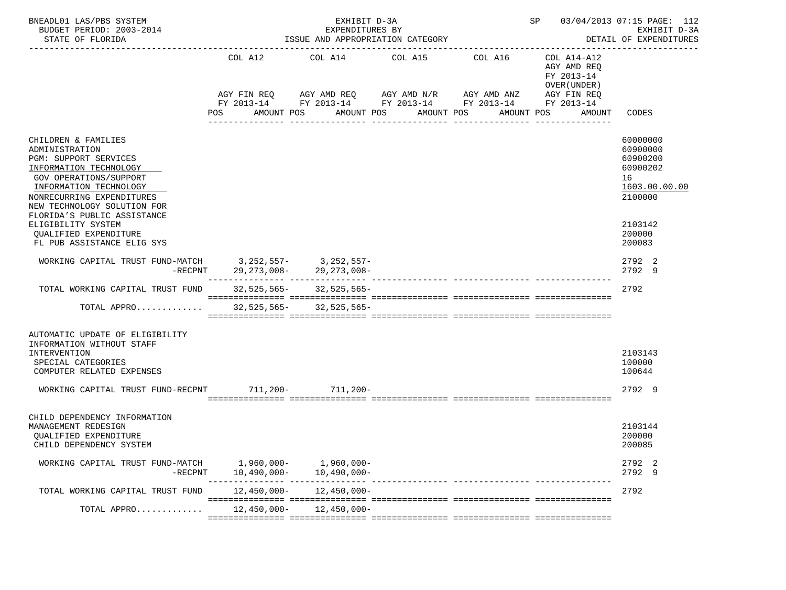| BNEADL01 LAS/PBS SYSTEM<br>BUDGET PERIOD: 2003-2014<br>STATE OF FLORIDA                                                                                                                                                        |                              | EXHIBIT D-3A<br>EXPENDITURES BY<br>ISSUE AND APPROPRIATION CATEGORY                                              |                                             | SP 03/04/2013 07:15 PAGE: 112<br>EXHIBIT D-3A<br>DETAIL OF EXPENDITURES |                                                                                   |                                                                    |  |
|--------------------------------------------------------------------------------------------------------------------------------------------------------------------------------------------------------------------------------|------------------------------|------------------------------------------------------------------------------------------------------------------|---------------------------------------------|-------------------------------------------------------------------------|-----------------------------------------------------------------------------------|--------------------------------------------------------------------|--|
|                                                                                                                                                                                                                                | COL A12<br>AMOUNT POS<br>POS | AGY FIN REQ 6 AGY AMD REQ 6 AGY AMD N/R 66 AGY AMD ANZ<br>FY 2013-14 FY 2013-14 FY 2013-14 FY 2013-14 FY 2013-14 | COL A14 COL A15<br>AMOUNT POS<br>AMOUNT POS | COL A16<br>AMOUNT POS                                                   | COL A14-A12<br>AGY AMD REQ<br>FY 2013-14<br>OVER (UNDER)<br>AGY FIN REQ<br>AMOUNT | CODES                                                              |  |
| CHILDREN & FAMILIES                                                                                                                                                                                                            |                              |                                                                                                                  | ---------------                             | ------------                                                            |                                                                                   | 60000000                                                           |  |
| ADMINISTRATION<br><b>PGM: SUPPORT SERVICES</b><br>INFORMATION TECHNOLOGY<br><b>GOV OPERATIONS/SUPPORT</b><br>INFORMATION TECHNOLOGY<br>NONRECURRING EXPENDITURES<br>NEW TECHNOLOGY SOLUTION FOR<br>FLORIDA'S PUBLIC ASSISTANCE |                              |                                                                                                                  |                                             |                                                                         |                                                                                   | 60900000<br>60900200<br>60900202<br>16<br>1603.00.00.00<br>2100000 |  |
| ELIGIBILITY SYSTEM<br>QUALIFIED EXPENDITURE<br>FL PUB ASSISTANCE ELIG SYS                                                                                                                                                      |                              |                                                                                                                  |                                             |                                                                         |                                                                                   | 2103142<br>200000<br>200083                                        |  |
| WORKING CAPITAL TRUST FUND-MATCH 3, 252, 557- 3, 252, 557-<br>-RECPNT 29, 273, 008- 29, 273, 008-                                                                                                                              |                              |                                                                                                                  |                                             |                                                                         |                                                                                   | 2792 2<br>2792 9                                                   |  |
| TOTAL WORKING CAPITAL TRUST FUND                                                                                                                                                                                               |                              | $32,525,565 - 32,525,565 -$                                                                                      |                                             |                                                                         |                                                                                   | 2792                                                               |  |
| TOTAL APPRO                                                                                                                                                                                                                    |                              | $32,525,565 - 32,525,565 -$                                                                                      |                                             |                                                                         |                                                                                   |                                                                    |  |
| AUTOMATIC UPDATE OF ELIGIBILITY<br>INFORMATION WITHOUT STAFF<br>INTERVENTION<br>SPECIAL CATEGORIES<br>COMPUTER RELATED EXPENSES                                                                                                |                              |                                                                                                                  |                                             |                                                                         |                                                                                   | 2103143<br>100000<br>100644                                        |  |
| WORKING CAPITAL TRUST FUND-RECPNT 711,200- 711,200-                                                                                                                                                                            |                              |                                                                                                                  |                                             |                                                                         |                                                                                   | 2792 9                                                             |  |
| CHILD DEPENDENCY INFORMATION                                                                                                                                                                                                   |                              |                                                                                                                  |                                             |                                                                         |                                                                                   |                                                                    |  |
| MANAGEMENT REDESIGN<br>QUALIFIED EXPENDITURE<br>CHILD DEPENDENCY SYSTEM                                                                                                                                                        |                              |                                                                                                                  |                                             |                                                                         |                                                                                   | 2103144<br>200000<br>200085                                        |  |
| WORKING CAPITAL TRUST FUND-MATCH<br>-RECPNT                                                                                                                                                                                    | 10,490,000-                  | 1,960,000- 1,960,000-<br>10,490,000-                                                                             |                                             |                                                                         |                                                                                   | 2792 2<br>2792 9                                                   |  |
| TOTAL WORKING CAPITAL TRUST FUND                                                                                                                                                                                               |                              | $12,450,000 - 12,450,000 -$                                                                                      |                                             |                                                                         |                                                                                   | 2792                                                               |  |
| TOTAL APPRO                                                                                                                                                                                                                    | 12,450,000-                  | 12,450,000-                                                                                                      |                                             |                                                                         |                                                                                   |                                                                    |  |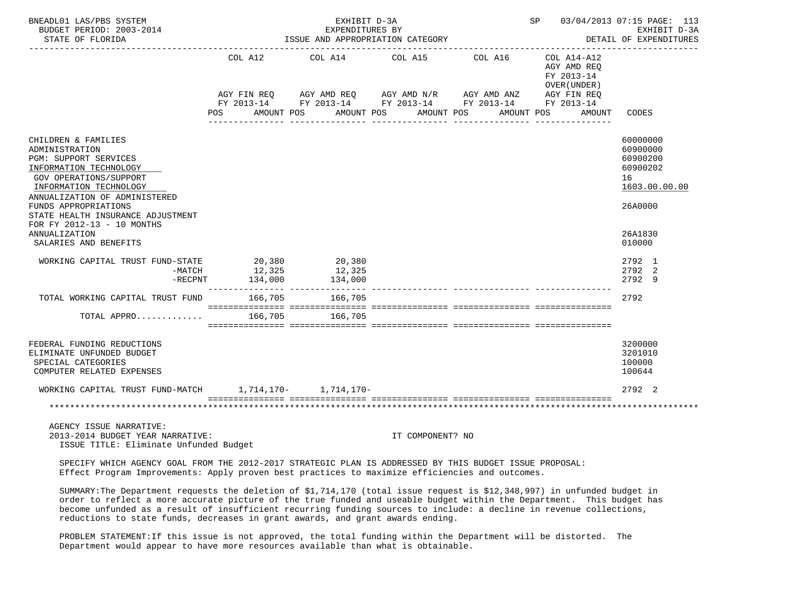| BNEADL01 LAS/PBS SYSTEM<br>BUDGET PERIOD: 2003-2014<br>STATE OF FLORIDA                                                                                                                                                                                                                                            | ISSUE AND APPROPRIATION CATEGORY | __________________________________                                                                                                                           | SP 03/04/2013 07:15 PAGE: 113<br>EXHIBIT D-3A<br>DETAIL OF EXPENDITURES |            |                                                                         |                                                                                                     |
|--------------------------------------------------------------------------------------------------------------------------------------------------------------------------------------------------------------------------------------------------------------------------------------------------------------------|----------------------------------|--------------------------------------------------------------------------------------------------------------------------------------------------------------|-------------------------------------------------------------------------|------------|-------------------------------------------------------------------------|-----------------------------------------------------------------------------------------------------|
|                                                                                                                                                                                                                                                                                                                    | COL A12<br><b>POS</b>            | COL A14<br>AGY FIN REQ AGY AMD REQ AGY AMD N/R AGY AMD ANZ AGY FIN REQ<br>FY 2013-14 FY 2013-14 FY 2013-14 FY 2013-14 FY 2013-14<br>AMOUNT POS<br>AMOUNT POS | COL A15 COL A16<br>AMOUNT POS                                           | AMOUNT POS | $COL A14 - A12$<br>AGY AMD REO<br>FY 2013-14<br>OVER (UNDER )<br>AMOUNT | CODES                                                                                               |
| CHILDREN & FAMILIES<br>ADMINISTRATION<br>PGM: SUPPORT SERVICES<br>INFORMATION TECHNOLOGY<br>GOV OPERATIONS/SUPPORT<br>INFORMATION TECHNOLOGY<br>ANNUALIZATION OF ADMINISTERED<br>FUNDS APPROPRIATIONS<br>STATE HEALTH INSURANCE ADJUSTMENT<br>FOR FY 2012-13 - 10 MONTHS<br>ANNUALIZATION<br>SALARIES AND BENEFITS |                                  |                                                                                                                                                              |                                                                         |            |                                                                         | 60000000<br>60900000<br>60900200<br>60900202<br>16<br>1603.00.00.00<br>26A0000<br>26A1830<br>010000 |
| WORKING CAPITAL TRUST FUND-STATE 20,380 20,380<br>$-MATCH$<br>$-$ RECPNT                                                                                                                                                                                                                                           | 12,325<br>134,000                | 12,325<br>134,000                                                                                                                                            |                                                                         |            |                                                                         | 2792 1<br>2792 2<br>2792 9                                                                          |
| TOTAL WORKING CAPITAL TRUST FUND<br>TOTAL APPRO                                                                                                                                                                                                                                                                    | 166,705<br>166,705               | 166,705<br>166,705                                                                                                                                           |                                                                         |            |                                                                         | 2792                                                                                                |
| FEDERAL FUNDING REDUCTIONS<br>ELIMINATE UNFUNDED BUDGET<br>SPECIAL CATEGORIES<br>COMPUTER RELATED EXPENSES<br>WORKING CAPITAL TRUST FUND-MATCH 1,714,170- 1,714,170-                                                                                                                                               |                                  |                                                                                                                                                              |                                                                         |            |                                                                         | 3200000<br>3201010<br>100000<br>100644<br>2792 2                                                    |
| AGENCY ISSUE NARRATIVE:<br>2013-2014 BUDGET YEAR NARRATIVE:<br>ISSUE TITLE: Eliminate Unfunded Budget                                                                                                                                                                                                              |                                  |                                                                                                                                                              | IT COMPONENT? NO                                                        |            |                                                                         |                                                                                                     |

 SPECIFY WHICH AGENCY GOAL FROM THE 2012-2017 STRATEGIC PLAN IS ADDRESSED BY THIS BUDGET ISSUE PROPOSAL: Effect Program Improvements: Apply proven best practices to maximize efficiencies and outcomes.

 SUMMARY:The Department requests the deletion of \$1,714,170 (total issue request is \$12,348,997) in unfunded budget in order to reflect a more accurate picture of the true funded and useable budget within the Department. This budget has become unfunded as a result of insufficient recurring funding sources to include: a decline in revenue collections, reductions to state funds, decreases in grant awards, and grant awards ending.

 PROBLEM STATEMENT:If this issue is not approved, the total funding within the Department will be distorted. The Department would appear to have more resources available than what is obtainable.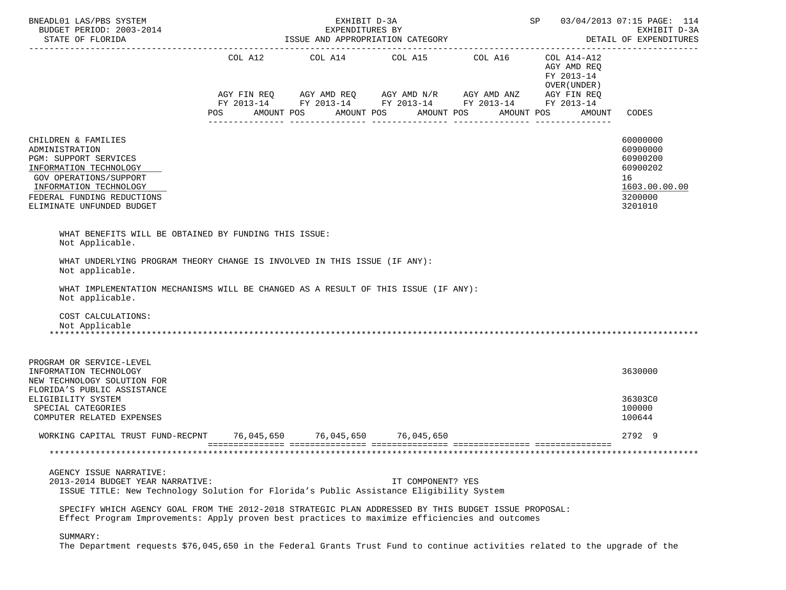| BNEADL01 LAS/PBS SYSTEM<br>BUDGET PERIOD: 2003-2014<br>STATE OF FLORIDA                                                                                                                                 |                | EXHIBIT D-3A<br>EXPENDITURES BY | ISSUE AND APPROPRIATION CATEGORY                                                                                                                               |            | SP                                                                                | 03/04/2013 07:15 PAGE: 114<br>EXHIBIT D-3A<br>DETAIL OF EXPENDITURES                      |  |  |
|---------------------------------------------------------------------------------------------------------------------------------------------------------------------------------------------------------|----------------|---------------------------------|----------------------------------------------------------------------------------------------------------------------------------------------------------------|------------|-----------------------------------------------------------------------------------|-------------------------------------------------------------------------------------------|--|--|
|                                                                                                                                                                                                         | COL A12<br>POS | AMOUNT POS                      | COL A14 COL A15 COL A16<br>AGY FIN REQ AGY AMD REQ AGY AMD N/R AGY AMD ANZ AGY FIN REQ<br>FY 2013-14 FY 2013-14 FY 2013-14 FY 2013-14 FY 2013-14<br>AMOUNT POS | AMOUNT POS | COL A14-A12<br>AGY AMD REO<br>FY 2013-14<br>OVER (UNDER )<br>AMOUNT POS<br>AMOUNT | CODES                                                                                     |  |  |
| CHILDREN & FAMILIES<br>ADMINISTRATION<br>PGM: SUPPORT SERVICES<br>INFORMATION TECHNOLOGY<br>GOV OPERATIONS/SUPPORT<br>INFORMATION TECHNOLOGY<br>FEDERAL FUNDING REDUCTIONS<br>ELIMINATE UNFUNDED BUDGET |                |                                 |                                                                                                                                                                |            |                                                                                   | 60000000<br>60900000<br>60900200<br>60900202<br>16<br>1603.00.00.00<br>3200000<br>3201010 |  |  |
| WHAT BENEFITS WILL BE OBTAINED BY FUNDING THIS ISSUE:<br>Not Applicable.                                                                                                                                |                |                                 |                                                                                                                                                                |            |                                                                                   |                                                                                           |  |  |
| WHAT UNDERLYING PROGRAM THEORY CHANGE IS INVOLVED IN THIS ISSUE (IF ANY):<br>Not applicable.                                                                                                            |                |                                 |                                                                                                                                                                |            |                                                                                   |                                                                                           |  |  |
| WHAT IMPLEMENTATION MECHANISMS WILL BE CHANGED AS A RESULT OF THIS ISSUE (IF ANY):<br>Not applicable.                                                                                                   |                |                                 |                                                                                                                                                                |            |                                                                                   |                                                                                           |  |  |
| COST CALCULATIONS:<br>Not Applicable                                                                                                                                                                    |                |                                 |                                                                                                                                                                |            |                                                                                   |                                                                                           |  |  |
| PROGRAM OR SERVICE-LEVEL<br>INFORMATION TECHNOLOGY<br>NEW TECHNOLOGY SOLUTION FOR<br>FLORIDA'S PUBLIC ASSISTANCE<br>ELIGIBILITY SYSTEM                                                                  |                |                                 |                                                                                                                                                                |            |                                                                                   | 3630000<br>36303C0                                                                        |  |  |
| SPECIAL CATEGORIES<br>COMPUTER RELATED EXPENSES                                                                                                                                                         |                |                                 |                                                                                                                                                                |            |                                                                                   | 100000<br>100644                                                                          |  |  |
| WORKING CAPITAL TRUST FUND-RECPNT                                                                                                                                                                       | 76,045,650     |                                 | 76,045,650 76,045,650                                                                                                                                          |            |                                                                                   | 2792 9                                                                                    |  |  |
|                                                                                                                                                                                                         |                |                                 |                                                                                                                                                                |            |                                                                                   |                                                                                           |  |  |
| AGENCY ISSUE NARRATIVE:<br>2013-2014 BUDGET YEAR NARRATIVE:<br>ISSUE TITLE: New Technology Solution for Florida's Public Assistance Eligibility System                                                  |                |                                 | IT COMPONENT? YES                                                                                                                                              |            |                                                                                   |                                                                                           |  |  |
| SPECIFY WHICH AGENCY GOAL FROM THE 2012-2018 STRATEGIC PLAN ADDRESSED BY THIS BUDGET ISSUE PROPOSAL:<br>Effect Program Improvements: Apply proven best practices to maximize efficiencies and outcomes  |                |                                 |                                                                                                                                                                |            |                                                                                   |                                                                                           |  |  |
| SUMMARY:                                                                                                                                                                                                |                |                                 |                                                                                                                                                                |            |                                                                                   |                                                                                           |  |  |

The Department requests \$76,045,650 in the Federal Grants Trust Fund to continue activities related to the upgrade of the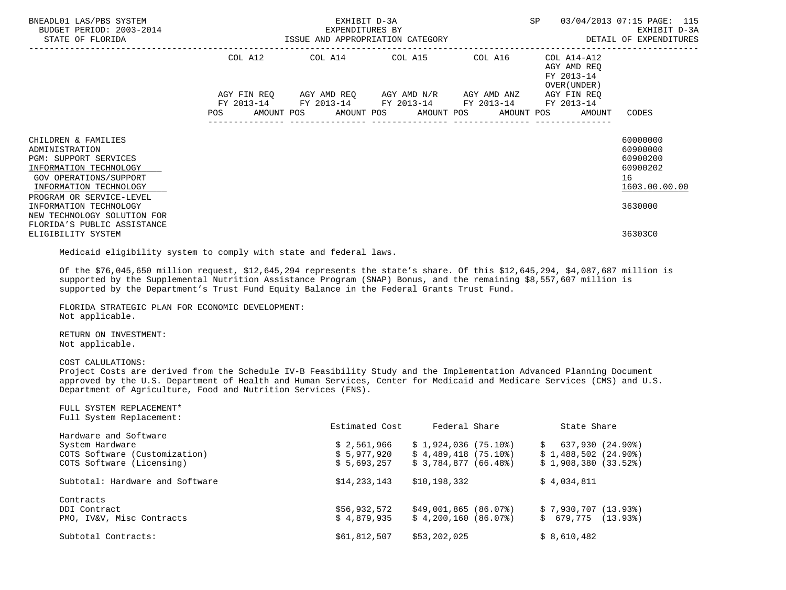| BNEADL01 LAS/PBS SYSTEM<br>BUDGET PERIOD: 2003-2014<br>STATE OF FLORIDA                                                                                                  |         | EXHIBIT D-3A                                                                                         | SP | 03/04/2013 07:15 PAGE: 115                                                          |                                                                     |
|--------------------------------------------------------------------------------------------------------------------------------------------------------------------------|---------|------------------------------------------------------------------------------------------------------|----|-------------------------------------------------------------------------------------|---------------------------------------------------------------------|
|                                                                                                                                                                          | COL A12 | COL A14 COL A15 COL A16                                                                              |    | COL A14-A12<br>AGY AMD REO<br>FY 2013-14<br>OVER (UNDER )                           |                                                                     |
|                                                                                                                                                                          |         | AGY FIN REQ 6 AGY AMD REQ 6 AGY AMD N/R 6 AGY AMD ANZ<br>FY 2013-14 FY 2013-14 FY 2013-14 FY 2013-14 |    | AGY FIN REQ<br>FY 2013-14<br>POS AMOUNT POS AMOUNT POS AMOUNT POS AMOUNT POS AMOUNT | CODES                                                               |
| CHILDREN & FAMILIES<br>ADMINISTRATION<br>PGM: SUPPORT SERVICES<br>INFORMATION TECHNOLOGY<br>GOV OPERATIONS/SUPPORT<br>INFORMATION TECHNOLOGY<br>PROGRAM OR SERVICE-LEVEL |         |                                                                                                      |    |                                                                                     | 60000000<br>60900000<br>60900200<br>60900202<br>16<br>1603.00.00.00 |
| INFORMATION TECHNOLOGY<br>NEW TECHNOLOGY SOLUTION FOR<br>FLORIDA'S PUBLIC ASSISTANCE<br>ELIGIBILITY SYSTEM                                                               |         |                                                                                                      |    |                                                                                     | 3630000<br>36303C0                                                  |

Medicaid eligibility system to comply with state and federal laws.

 Of the \$76,045,650 million request, \$12,645,294 represents the state's share. Of this \$12,645,294, \$4,087,687 million is supported by the Supplemental Nutrition Assistance Program (SNAP) Bonus, and the remaining \$8,557,607 million is supported by the Department's Trust Fund Equity Balance in the Federal Grants Trust Fund.

 FLORIDA STRATEGIC PLAN FOR ECONOMIC DEVELOPMENT: Not applicable.

 RETURN ON INVESTMENT: Not applicable.

COST CALULATIONS:

 Project Costs are derived from the Schedule IV-B Feasibility Study and the Implementation Advanced Planning Document approved by the U.S. Department of Health and Human Services, Center for Medicaid and Medicare Services (CMS) and U.S. Department of Agriculture, Food and Nutrition Services (FNS).

| FULL SYSTEM REPLACEMENT*<br>Full System Replacement: |                |                        |                         |
|------------------------------------------------------|----------------|------------------------|-------------------------|
|                                                      | Estimated Cost | Federal Share          | State Share             |
| Hardware and Software                                |                |                        |                         |
| System Hardware                                      | \$2,561,966    | \$1,924,036(75.10)     | 637,930 (24.90%)<br>S.  |
| COTS Software (Customization)                        | \$5,977,920    | $$4,489,418$ (75.10%)  | $$1,488,502$ $(24.90*)$ |
| COTS Software (Licensing)                            | \$5,693,257    | \$3.784.877(66.48)     | \$1,908,380(33.52)      |
| Subtotal: Hardware and Software                      | \$14, 233, 143 | \$10,198,332           | \$4,034,811             |
| Contracts                                            |                |                        |                         |
| DDI Contract                                         | \$56,932,572   | $$49,001,865$ (86.07%) | \$7,930,707(13.93)      |
| PMO, IV&V, Misc Contracts                            | \$4.879.935    | \$4,200,160(86.07)     | $$679.775$ $(13.93)$    |
| Subtotal Contracts:                                  | \$61,812,507   | \$53,202,025           | \$8,610,482             |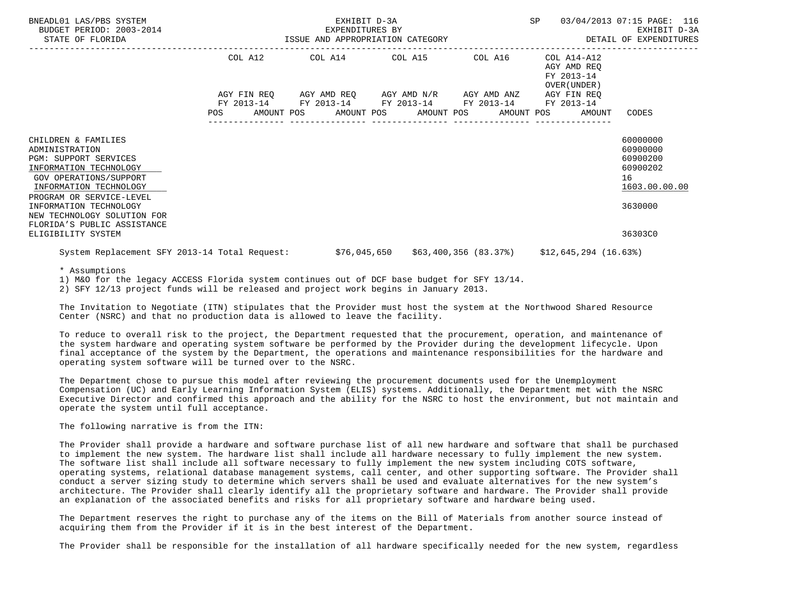| BNEADL01 LAS/PBS SYSTEM<br>BUDGET PERIOD: 2003-2014<br>STATE OF FLORIDA                                                                                                                                                                                                                       |         | EXHIBIT D-3A<br>EXPENDITURES BY<br>ISSUE AND APPROPRIATION CATEGORY | <b>SP</b>                                                                                                                 | 03/04/2013 07:15 PAGE: 116<br>EXHIBIT D-3A<br>DETAIL OF EXPENDITURES |                                                                                        |                                                                                           |
|-----------------------------------------------------------------------------------------------------------------------------------------------------------------------------------------------------------------------------------------------------------------------------------------------|---------|---------------------------------------------------------------------|---------------------------------------------------------------------------------------------------------------------------|----------------------------------------------------------------------|----------------------------------------------------------------------------------------|-------------------------------------------------------------------------------------------|
|                                                                                                                                                                                                                                                                                               | COL A12 |                                                                     | COL A14 COL A15 COL A16<br>AGY FIN REQ AGY AMD REQ AGY AMD N/R AGY AMD ANZ<br>FY 2013-14 FY 2013-14 FY 2013-14 FY 2013-14 |                                                                      | COL A14-A12<br>AGY AMD REQ<br>FY 2013-14<br>OVER (UNDER )<br>AGY FIN REQ<br>FY 2013-14 |                                                                                           |
|                                                                                                                                                                                                                                                                                               | POS     | AMOUNT POS                                                          | AMOUNT POS AMOUNT POS                                                                                                     | AMOUNT POS                                                           | AMOUNT                                                                                 | CODES                                                                                     |
| CHILDREN & FAMILIES<br>ADMINISTRATION<br><b>PGM: SUPPORT SERVICES</b><br>INFORMATION TECHNOLOGY<br>GOV OPERATIONS/SUPPORT<br>INFORMATION TECHNOLOGY<br>PROGRAM OR SERVICE-LEVEL<br>INFORMATION TECHNOLOGY<br>NEW TECHNOLOGY SOLUTION FOR<br>FLORIDA'S PUBLIC ASSISTANCE<br>ELIGIBILITY SYSTEM |         |                                                                     |                                                                                                                           |                                                                      |                                                                                        | 60000000<br>60900000<br>60900200<br>60900202<br>16<br>1603.00.00.00<br>3630000<br>36303C0 |
| System Replacement SFY 2013-14 Total Request:                                                                                                                                                                                                                                                 |         |                                                                     |                                                                                                                           |                                                                      | \$76,045,650    \$63,400,356    (83.37%)    \$12,645,294    (16.63%)                   |                                                                                           |

\* Assumptions

1) M&O for the legacy ACCESS Florida system continues out of DCF base budget for SFY 13/14.

2) SFY 12/13 project funds will be released and project work begins in January 2013.

 The Invitation to Negotiate (ITN) stipulates that the Provider must host the system at the Northwood Shared Resource Center (NSRC) and that no production data is allowed to leave the facility.

 To reduce to overall risk to the project, the Department requested that the procurement, operation, and maintenance of the system hardware and operating system software be performed by the Provider during the development lifecycle. Upon final acceptance of the system by the Department, the operations and maintenance responsibilities for the hardware and operating system software will be turned over to the NSRC.

 The Department chose to pursue this model after reviewing the procurement documents used for the Unemployment Compensation (UC) and Early Learning Information System (ELIS) systems. Additionally, the Department met with the NSRC Executive Director and confirmed this approach and the ability for the NSRC to host the environment, but not maintain and operate the system until full acceptance.

The following narrative is from the ITN:

 The Provider shall provide a hardware and software purchase list of all new hardware and software that shall be purchased to implement the new system. The hardware list shall include all hardware necessary to fully implement the new system. The software list shall include all software necessary to fully implement the new system including COTS software, operating systems, relational database management systems, call center, and other supporting software. The Provider shall conduct a server sizing study to determine which servers shall be used and evaluate alternatives for the new system's architecture. The Provider shall clearly identify all the proprietary software and hardware. The Provider shall provide an explanation of the associated benefits and risks for all proprietary software and hardware being used.

 The Department reserves the right to purchase any of the items on the Bill of Materials from another source instead of acquiring them from the Provider if it is in the best interest of the Department.

The Provider shall be responsible for the installation of all hardware specifically needed for the new system, regardless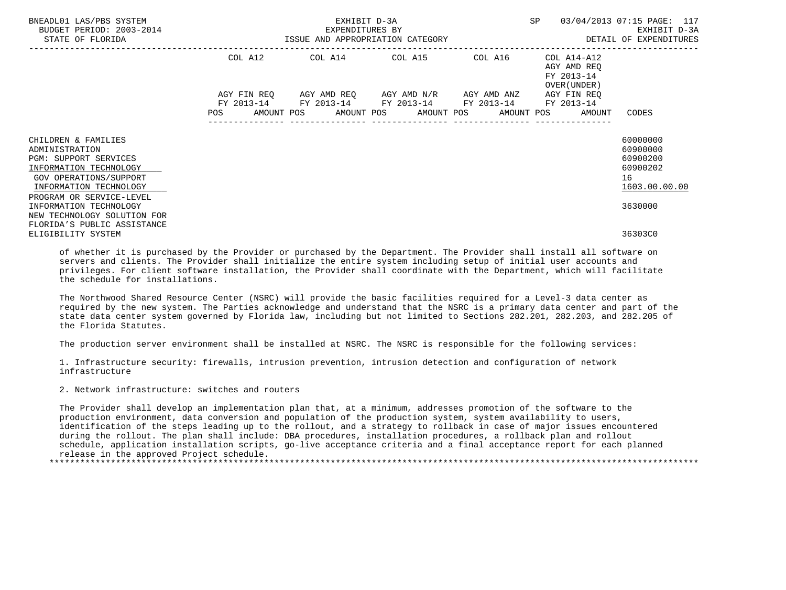| BNEADL01 LAS/PBS SYSTEM<br>BUDGET PERIOD: 2003-2014<br>STATE OF FLORIDA                                                                                                         |            | EXHIBIT D-3A<br>EXPENDITURES BY<br>ISSUE AND APPROPRIATION CATEGORY                            | SP | 03/04/2013 07:15 PAGE: 117<br>EXHIBIT D-3A<br>DETAIL OF EXPENDITURES            |                                                                     |
|---------------------------------------------------------------------------------------------------------------------------------------------------------------------------------|------------|------------------------------------------------------------------------------------------------|----|---------------------------------------------------------------------------------|---------------------------------------------------------------------|
|                                                                                                                                                                                 | COL A12    | COL A14 COL A15 COL A16                                                                        |    | COL A14-A12<br>AGY AMD REO<br>FY 2013-14<br>OVER (UNDER )                       |                                                                     |
|                                                                                                                                                                                 | <b>POS</b> | AGY FIN REO AGY AMD REO AGY AMD N/R AGY AMD ANZ<br>FY 2013-14 FY 2013-14 FY 2013-14 FY 2013-14 |    | AGY FIN REO<br>FY 2013-14<br>AMOUNT POS AMOUNT POS AMOUNT POS AMOUNT POS AMOUNT | CODES                                                               |
| CHILDREN & FAMILIES<br>ADMINISTRATION<br><b>PGM: SUPPORT SERVICES</b><br>INFORMATION TECHNOLOGY<br>GOV OPERATIONS/SUPPORT<br>INFORMATION TECHNOLOGY<br>PROGRAM OR SERVICE-LEVEL |            |                                                                                                |    |                                                                                 | 60000000<br>60900000<br>60900200<br>60900202<br>16<br>1603.00.00.00 |
| INFORMATION TECHNOLOGY<br>NEW TECHNOLOGY SOLUTION FOR<br>FLORIDA'S PUBLIC ASSISTANCE<br>ELIGIBILITY SYSTEM                                                                      |            |                                                                                                |    |                                                                                 | 3630000<br>36303C0                                                  |

 of whether it is purchased by the Provider or purchased by the Department. The Provider shall install all software on servers and clients. The Provider shall initialize the entire system including setup of initial user accounts and privileges. For client software installation, the Provider shall coordinate with the Department, which will facilitate the schedule for installations.

 The Northwood Shared Resource Center (NSRC) will provide the basic facilities required for a Level-3 data center as required by the new system. The Parties acknowledge and understand that the NSRC is a primary data center and part of the state data center system governed by Florida law, including but not limited to Sections 282.201, 282.203, and 282.205 of the Florida Statutes.

The production server environment shall be installed at NSRC. The NSRC is responsible for the following services:

 1. Infrastructure security: firewalls, intrusion prevention, intrusion detection and configuration of network infrastructure

2. Network infrastructure: switches and routers

 The Provider shall develop an implementation plan that, at a minimum, addresses promotion of the software to the production environment, data conversion and population of the production system, system availability to users, identification of the steps leading up to the rollout, and a strategy to rollback in case of major issues encountered during the rollout. The plan shall include: DBA procedures, installation procedures, a rollback plan and rollout schedule, application installation scripts, go-live acceptance criteria and a final acceptance report for each planned release in the approved Project schedule. \*\*\*\*\*\*\*\*\*\*\*\*\*\*\*\*\*\*\*\*\*\*\*\*\*\*\*\*\*\*\*\*\*\*\*\*\*\*\*\*\*\*\*\*\*\*\*\*\*\*\*\*\*\*\*\*\*\*\*\*\*\*\*\*\*\*\*\*\*\*\*\*\*\*\*\*\*\*\*\*\*\*\*\*\*\*\*\*\*\*\*\*\*\*\*\*\*\*\*\*\*\*\*\*\*\*\*\*\*\*\*\*\*\*\*\*\*\*\*\*\*\*\*\*\*\*\*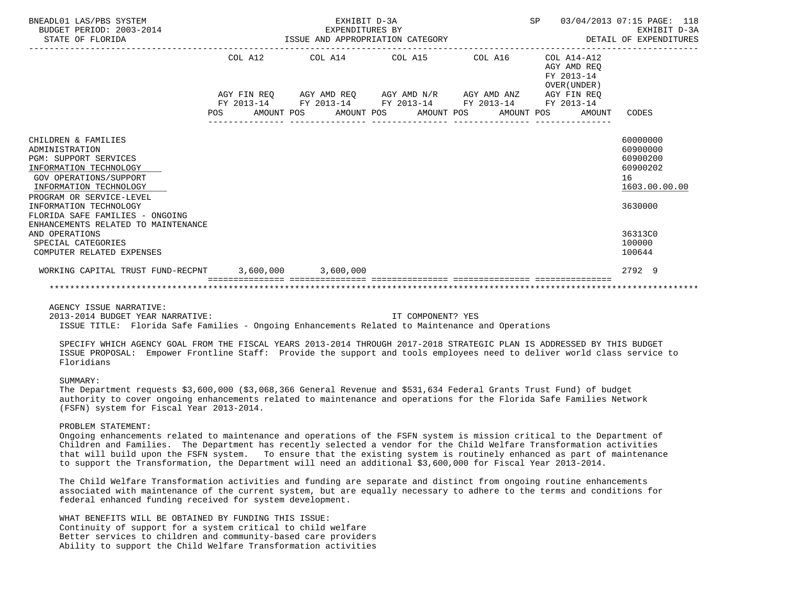| BNEADL01 LAS/PBS SYSTEM<br>BUDGET PERIOD: 2003-2014<br>STATE OF FLORIDA | EXHIBIT D-3A<br>EXPENDITURES BY<br>ISSUE AND APPROPRIATION CATEGORY |  |  |                                                             |  |  | <b>SP</b>  |  | 03/04/2013 07:15 PAGE: 118<br>EXHIBIT D-3A<br>DETAIL OF EXPENDITURES |               |
|-------------------------------------------------------------------------|---------------------------------------------------------------------|--|--|-------------------------------------------------------------|--|--|------------|--|----------------------------------------------------------------------|---------------|
|                                                                         |                                                                     |  |  | COL A12 COL A14 COL A15 COL A16                             |  |  |            |  | $COL A14- A12$<br>AGY AMD REO<br>FY 2013-14<br>OVER (UNDER)          |               |
|                                                                         |                                                                     |  |  | AGY FIN REQ AGY AMD REQ AGY AMD N/R AGY AMD ANZ AGY FIN REQ |  |  |            |  |                                                                      |               |
|                                                                         |                                                                     |  |  | FY 2013-14 FY 2013-14 FY 2013-14 FY 2013-14 FY 2013-14      |  |  |            |  |                                                                      |               |
|                                                                         | <b>POS</b>                                                          |  |  | AMOUNT POS AMOUNT POS AMOUNT POS                            |  |  | AMOUNT POS |  | AMOUNT                                                               | CODES         |
|                                                                         |                                                                     |  |  |                                                             |  |  |            |  |                                                                      |               |
| CHILDREN & FAMILIES                                                     |                                                                     |  |  |                                                             |  |  |            |  |                                                                      | 60000000      |
| ADMINISTRATION                                                          |                                                                     |  |  |                                                             |  |  |            |  |                                                                      | 60900000      |
| <b>PGM: SUPPORT SERVICES</b>                                            |                                                                     |  |  |                                                             |  |  |            |  |                                                                      | 60900200      |
| INFORMATION TECHNOLOGY                                                  |                                                                     |  |  |                                                             |  |  |            |  |                                                                      | 60900202      |
| <b>GOV OPERATIONS/SUPPORT</b>                                           |                                                                     |  |  |                                                             |  |  |            |  |                                                                      | 16            |
| INFORMATION TECHNOLOGY                                                  |                                                                     |  |  |                                                             |  |  |            |  |                                                                      | 1603.00.00.00 |
| PROGRAM OR SERVICE-LEVEL                                                |                                                                     |  |  |                                                             |  |  |            |  |                                                                      |               |
| INFORMATION TECHNOLOGY                                                  |                                                                     |  |  |                                                             |  |  |            |  |                                                                      | 3630000       |
| FLORIDA SAFE FAMILIES - ONGOING<br>ENHANCEMENTS RELATED TO MAINTENANCE  |                                                                     |  |  |                                                             |  |  |            |  |                                                                      |               |
| AND OPERATIONS                                                          |                                                                     |  |  |                                                             |  |  |            |  |                                                                      | 36313C0       |
| SPECIAL CATEGORIES                                                      |                                                                     |  |  |                                                             |  |  |            |  |                                                                      | 100000        |
| COMPUTER RELATED EXPENSES                                               |                                                                     |  |  |                                                             |  |  |            |  |                                                                      | 100644        |
|                                                                         |                                                                     |  |  |                                                             |  |  |            |  |                                                                      |               |
| WORKING CAPITAL TRUST FUND-RECPNT 3,600,000 3,600,000                   |                                                                     |  |  |                                                             |  |  |            |  |                                                                      | 2792 9        |
|                                                                         |                                                                     |  |  |                                                             |  |  |            |  |                                                                      |               |

AGENCY ISSUE NARRATIVE:

2013-2014 BUDGET YEAR NARRATIVE: IT COMPONENT? YES

ISSUE TITLE: Florida Safe Families - Ongoing Enhancements Related to Maintenance and Operations

 SPECIFY WHICH AGENCY GOAL FROM THE FISCAL YEARS 2013-2014 THROUGH 2017-2018 STRATEGIC PLAN IS ADDRESSED BY THIS BUDGET ISSUE PROPOSAL: Empower Frontline Staff: Provide the support and tools employees need to deliver world class service to Floridians

### SUMMARY:

 The Department requests \$3,600,000 (\$3,068,366 General Revenue and \$531,634 Federal Grants Trust Fund) of budget authority to cover ongoing enhancements related to maintenance and operations for the Florida Safe Families Network (FSFN) system for Fiscal Year 2013-2014.

#### PROBLEM STATEMENT:

 Ongoing enhancements related to maintenance and operations of the FSFN system is mission critical to the Department of Children and Families. The Department has recently selected a vendor for the Child Welfare Transformation activities that will build upon the FSFN system. To ensure that the existing system is routinely enhanced as part of maintenance to support the Transformation, the Department will need an additional \$3,600,000 for Fiscal Year 2013-2014.

 The Child Welfare Transformation activities and funding are separate and distinct from ongoing routine enhancements associated with maintenance of the current system, but are equally necessary to adhere to the terms and conditions for federal enhanced funding received for system development.

 WHAT BENEFITS WILL BE OBTAINED BY FUNDING THIS ISSUE: Continuity of support for a system critical to child welfare Better services to children and community-based care providers Ability to support the Child Welfare Transformation activities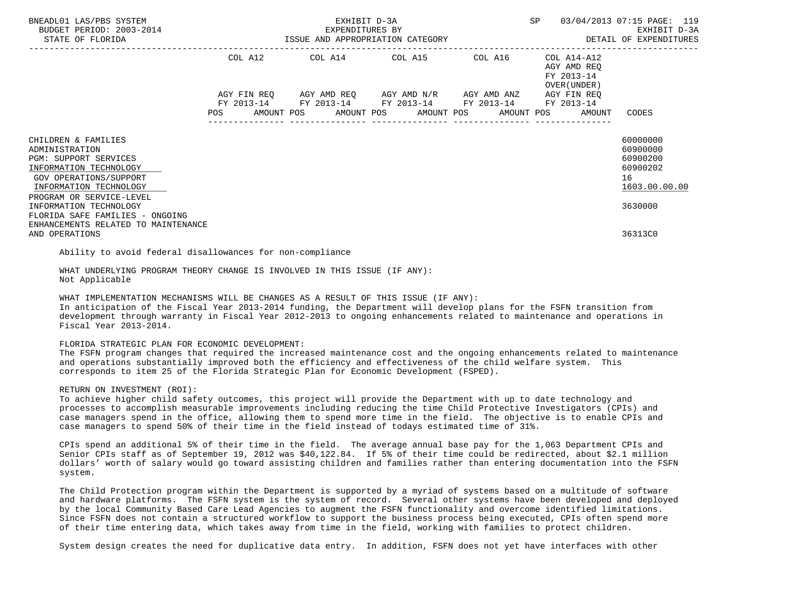| BNEADL01 LAS/PBS SYSTEM<br>BUDGET PERIOD: 2003-2014<br>STATE OF FLORIDA                                                                                                                            | EXHIBIT D-3A<br>EXPENDITURES BY<br>ISSUE AND APPROPRIATION CATEGORY |         |  |  |  |  |  | SP                                                                                                                                                                       |  | 03/04/2013 07:15 PAGE: 119<br>EXHIBIT D-3A<br>DETAIL OF EXPENDITURES |                                                                                |  |
|----------------------------------------------------------------------------------------------------------------------------------------------------------------------------------------------------|---------------------------------------------------------------------|---------|--|--|--|--|--|--------------------------------------------------------------------------------------------------------------------------------------------------------------------------|--|----------------------------------------------------------------------|--------------------------------------------------------------------------------|--|
|                                                                                                                                                                                                    |                                                                     | COL A12 |  |  |  |  |  | COL A14 COL A15 COL A16                                                                                                                                                  |  | COL A14-A12<br>AGY AMD REQ<br>FY 2013-14<br>OVER (UNDER)             |                                                                                |  |
|                                                                                                                                                                                                    |                                                                     |         |  |  |  |  |  | AGY FIN REQ AGY AMD REQ AGY AMD N/R AGY AMD ANZ AGY FIN REQ<br>FY 2013-14 FY 2013-14 FY 2013-14 FY 2013-14 FY 2013-14<br>POS AMOUNT POS AMOUNT POS AMOUNT POS AMOUNT POS |  | AMOUNT                                                               | CODES                                                                          |  |
| CHILDREN & FAMILIES<br>ADMINISTRATION<br>PGM: SUPPORT SERVICES<br>INFORMATION TECHNOLOGY<br>GOV OPERATIONS/SUPPORT<br>INFORMATION TECHNOLOGY<br>PROGRAM OR SERVICE-LEVEL<br>INFORMATION TECHNOLOGY |                                                                     |         |  |  |  |  |  |                                                                                                                                                                          |  |                                                                      | 60000000<br>60900000<br>60900200<br>60900202<br>16<br>1603.00.00.00<br>3630000 |  |
| FLORIDA SAFE FAMILIES - ONGOING<br>ENHANCEMENTS RELATED TO MAINTENANCE<br>AND OPERATIONS                                                                                                           |                                                                     |         |  |  |  |  |  |                                                                                                                                                                          |  |                                                                      | 36313C0                                                                        |  |

Ability to avoid federal disallowances for non-compliance

 WHAT UNDERLYING PROGRAM THEORY CHANGE IS INVOLVED IN THIS ISSUE (IF ANY): Not Applicable

WHAT IMPLEMENTATION MECHANISMS WILL BE CHANGES AS A RESULT OF THIS ISSUE (IF ANY):

 In anticipation of the Fiscal Year 2013-2014 funding, the Department will develop plans for the FSFN transition from development through warranty in Fiscal Year 2012-2013 to ongoing enhancements related to maintenance and operations in Fiscal Year 2013-2014.

# FLORIDA STRATEGIC PLAN FOR ECONOMIC DEVELOPMENT:

 The FSFN program changes that required the increased maintenance cost and the ongoing enhancements related to maintenance and operations substantially improved both the efficiency and effectiveness of the child welfare system. This corresponds to item 25 of the Florida Strategic Plan for Economic Development (FSPED).

### RETURN ON INVESTMENT (ROI):

 To achieve higher child safety outcomes, this project will provide the Department with up to date technology and processes to accomplish measurable improvements including reducing the time Child Protective Investigators (CPIs) and case managers spend in the office, allowing them to spend more time in the field. The objective is to enable CPIs and case managers to spend 50% of their time in the field instead of todays estimated time of 31%.

 CPIs spend an additional 5% of their time in the field. The average annual base pay for the 1,063 Department CPIs and Senior CPIs staff as of September 19, 2012 was \$40,122.84. If 5% of their time could be redirected, about \$2.1 million dollars' worth of salary would go toward assisting children and families rather than entering documentation into the FSFN system.

 The Child Protection program within the Department is supported by a myriad of systems based on a multitude of software and hardware platforms. The FSFN system is the system of record. Several other systems have been developed and deployed by the local Community Based Care Lead Agencies to augment the FSFN functionality and overcome identified limitations. Since FSFN does not contain a structured workflow to support the business process being executed, CPIs often spend more of their time entering data, which takes away from time in the field, working with families to protect children.

System design creates the need for duplicative data entry. In addition, FSFN does not yet have interfaces with other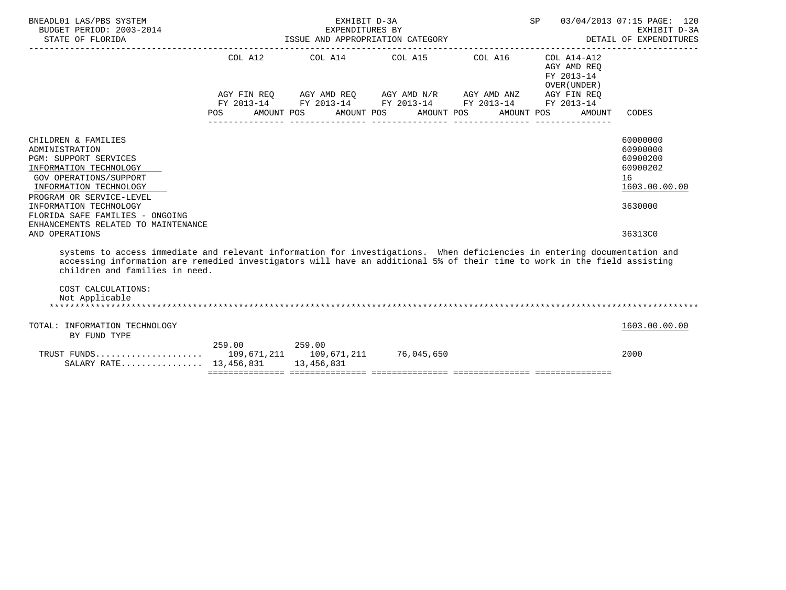| BNEADL01 LAS/PBS SYSTEM<br>BUDGET PERIOD: 2003-2014<br>STATE OF FLORIDA                                                                                                                                                                                                                                      | SP<br>03/04/2013 07:15 PAGE: 120<br>EXHIBIT D-3A<br>EXPENDITURES BY<br>ISSUE AND APPROPRIATION CATEGORY<br>DETAIL OF EXPENDITURES |  |                                                                                                                                                                                                                     |  |                                                     |                                                                                |  |  |
|--------------------------------------------------------------------------------------------------------------------------------------------------------------------------------------------------------------------------------------------------------------------------------------------------------------|-----------------------------------------------------------------------------------------------------------------------------------|--|---------------------------------------------------------------------------------------------------------------------------------------------------------------------------------------------------------------------|--|-----------------------------------------------------|--------------------------------------------------------------------------------|--|--|
|                                                                                                                                                                                                                                                                                                              | <b>POS</b>                                                                                                                        |  | COL A12 COL A14 COL A15 COL A16 COL A14-A12<br>AGY FIN REQ AGY AMD REQ AGY AMD N/R AGY AMD ANZ AGY FIN REQ<br>FY 2013-14 FY 2013-14 FY 2013-14 FY 2013-14 FY 2013-14<br>AMOUNT POS AMOUNT POS AMOUNT POS AMOUNT POS |  | AGY AMD REO<br>FY 2013-14<br>OVER (UNDER)<br>AMOUNT | CODES                                                                          |  |  |
| CHILDREN & FAMILIES<br>ADMINISTRATION<br>PGM: SUPPORT SERVICES<br>INFORMATION TECHNOLOGY<br>GOV OPERATIONS/SUPPORT<br>INFORMATION TECHNOLOGY<br>PROGRAM OR SERVICE-LEVEL<br>INFORMATION TECHNOLOGY<br>FLORIDA SAFE FAMILIES - ONGOING                                                                        |                                                                                                                                   |  |                                                                                                                                                                                                                     |  |                                                     | 60000000<br>60900000<br>60900200<br>60900202<br>16<br>1603.00.00.00<br>3630000 |  |  |
| ENHANCEMENTS RELATED TO MAINTENANCE<br>AND OPERATIONS                                                                                                                                                                                                                                                        |                                                                                                                                   |  |                                                                                                                                                                                                                     |  |                                                     | 36313C0                                                                        |  |  |
| systems to access immediate and relevant information for investigations. When deficiencies in entering documentation and<br>accessing information are remedied investigators will have an additional 5% of their time to work in the field assisting<br>children and families in need.<br>COST CALCULATIONS: |                                                                                                                                   |  |                                                                                                                                                                                                                     |  |                                                     |                                                                                |  |  |
| Not Applicable                                                                                                                                                                                                                                                                                               |                                                                                                                                   |  |                                                                                                                                                                                                                     |  |                                                     |                                                                                |  |  |
| TOTAL: INFORMATION TECHNOLOGY<br>BY FUND TYPE                                                                                                                                                                                                                                                                |                                                                                                                                   |  |                                                                                                                                                                                                                     |  |                                                     | 1603.00.00.00                                                                  |  |  |
| SALARY RATE 13,456,831 13,456,831                                                                                                                                                                                                                                                                            | 259.00 259.00                                                                                                                     |  |                                                                                                                                                                                                                     |  |                                                     | 2000                                                                           |  |  |
|                                                                                                                                                                                                                                                                                                              |                                                                                                                                   |  |                                                                                                                                                                                                                     |  |                                                     |                                                                                |  |  |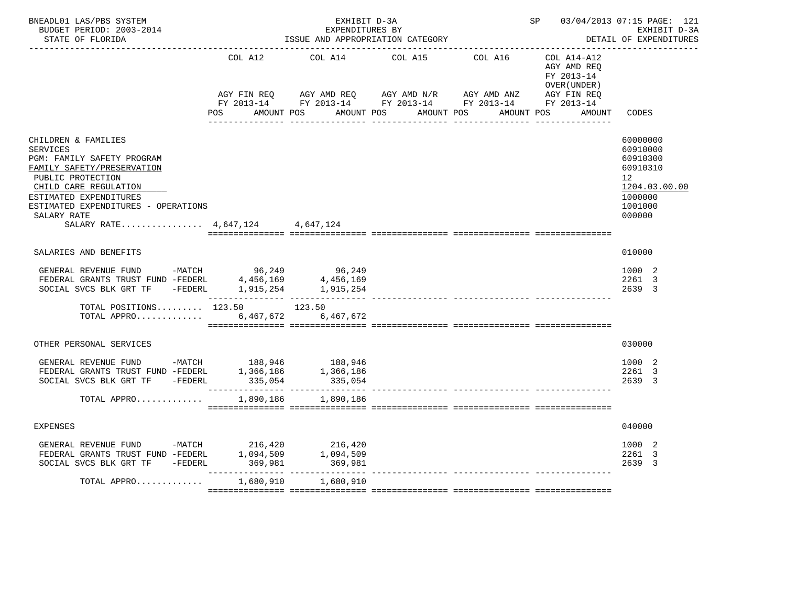| BNEADL01 LAS/PBS SYSTEM<br>BUDGET PERIOD: 2003-2014<br>STATE OF FLORIDA                                                                                                                                                                                             |                      | EXHIBIT D-3A<br>EXPENDITURES BY<br>ISSUE AND APPROPRIATION CATEGORY |                                                                                                                                                   | SP 03/04/2013 07:15 PAGE: 121<br>EXHIBIT D-3A<br>DETAIL OF EXPENDITURES |                                                                                                     |
|---------------------------------------------------------------------------------------------------------------------------------------------------------------------------------------------------------------------------------------------------------------------|----------------------|---------------------------------------------------------------------|---------------------------------------------------------------------------------------------------------------------------------------------------|-------------------------------------------------------------------------|-----------------------------------------------------------------------------------------------------|
|                                                                                                                                                                                                                                                                     | COL A12              | COL A14                                                             | COL A15<br>COL A16                                                                                                                                | $COL A14 - A12$<br>AGY AMD REO<br>FY 2013-14<br>OVER (UNDER)            |                                                                                                     |
|                                                                                                                                                                                                                                                                     | POS                  | AMOUNT POS                                                          | AGY FIN REQ AGY AMD REQ AGY AMD N/R AGY AMD ANZ AGY FIN REQ<br>FY 2013-14 FY 2013-14 FY 2013-14 FY 2013-14 FY 2013-14<br>AMOUNT POS<br>AMOUNT POS | AMOUNT POS<br>AMOUNT                                                    | CODES                                                                                               |
|                                                                                                                                                                                                                                                                     |                      |                                                                     | ---------------                                                                                                                                   |                                                                         |                                                                                                     |
| CHILDREN & FAMILIES<br>SERVICES<br><b>PGM: FAMILY SAFETY PROGRAM</b><br>FAMILY SAFETY/PRESERVATION<br>PUBLIC PROTECTION<br>CHILD CARE REGULATION<br>ESTIMATED EXPENDITURES<br>ESTIMATED EXPENDITURES - OPERATIONS<br>SALARY RATE<br>SALARY RATE 4,647,124 4,647,124 |                      |                                                                     |                                                                                                                                                   |                                                                         | 60000000<br>60910000<br>60910300<br>60910310<br>12<br>1204.03.00.00<br>1000000<br>1001000<br>000000 |
| SALARIES AND BENEFITS                                                                                                                                                                                                                                               |                      |                                                                     |                                                                                                                                                   |                                                                         | 010000                                                                                              |
| GENERAL REVENUE FUND -MATCH 96,249<br>FEDERAL GRANTS TRUST FUND -FEDERL 4,456,169<br>SOCIAL SVCS BLK GRT TF -FEDERL 1,915,254                                                                                                                                       |                      | 96,249<br>4,456,169<br>1,915,254                                    |                                                                                                                                                   |                                                                         | 1000 2<br>2261 3<br>2639 3                                                                          |
| TOTAL POSITIONS $123.50$ 123.50<br>TOTAL APPRO $\ldots \ldots \ldots \ldots$ 6,467,672                                                                                                                                                                              |                      | 6,467,672                                                           |                                                                                                                                                   |                                                                         |                                                                                                     |
| OTHER PERSONAL SERVICES                                                                                                                                                                                                                                             |                      |                                                                     |                                                                                                                                                   |                                                                         | 030000                                                                                              |
| GENERAL REVENUE FUND -MATCH 188,946 188,946<br>FEDERAL GRANTS TRUST FUND -FEDERL 1,366,186<br>SOCIAL SVCS BLK GRT TF -FEDERL                                                                                                                                        | 335,054              | 1,366,186<br>335,054                                                |                                                                                                                                                   |                                                                         | 1000 2<br>2261 3<br>2639 3                                                                          |
| TOTAL APPRO                                                                                                                                                                                                                                                         | 1,890,186            | 1,890,186                                                           |                                                                                                                                                   |                                                                         |                                                                                                     |
| EXPENSES                                                                                                                                                                                                                                                            |                      |                                                                     |                                                                                                                                                   |                                                                         | 040000                                                                                              |
| GENERAL REVENUE FUND -MATCH 216,420<br>FEDERAL GRANTS TRUST FUND -FEDERL<br>SOCIAL SVCS BLK GRT TF -FEDERL                                                                                                                                                          | 1,094,509<br>369,981 | 216,420<br>1,094,509<br>369,981                                     |                                                                                                                                                   |                                                                         | 1000 2<br>2261 3<br>2639 3                                                                          |
| TOTAL APPRO                                                                                                                                                                                                                                                         | 1,680,910            | 1,680,910                                                           |                                                                                                                                                   |                                                                         |                                                                                                     |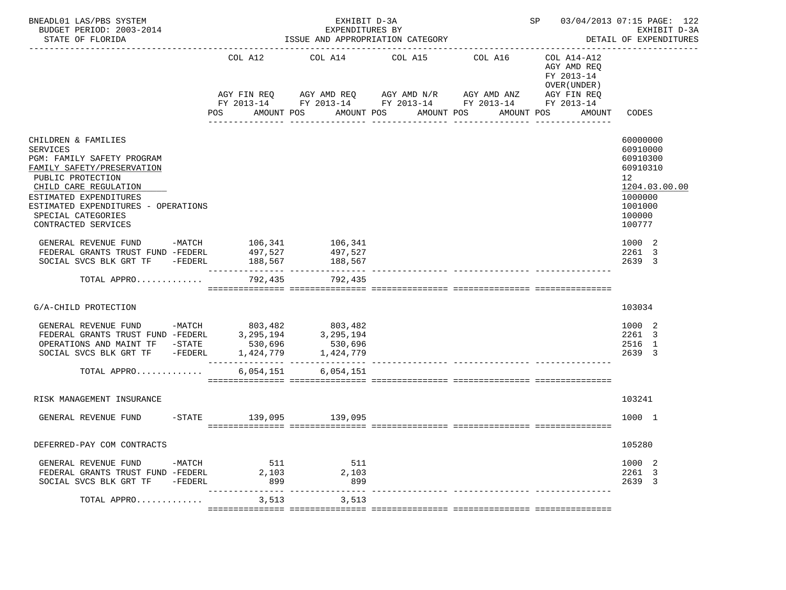| BNEADL01 LAS/PBS SYSTEM<br>BUDGET PERIOD: 2003-2014<br>STATE OF FLORIDA                                                                                                                                                                                        |                       | EXHIBIT D-3A<br>EXPENDITURES BY<br>ISSUE AND APPROPRIATION CATEGORY                                                                                            | SP 03/04/2013 07:15 PAGE: 122<br>EXHIBIT D-3A<br>DETAIL OF EXPENDITURES |                                                                                  |                                                                                                               |
|----------------------------------------------------------------------------------------------------------------------------------------------------------------------------------------------------------------------------------------------------------------|-----------------------|----------------------------------------------------------------------------------------------------------------------------------------------------------------|-------------------------------------------------------------------------|----------------------------------------------------------------------------------|---------------------------------------------------------------------------------------------------------------|
|                                                                                                                                                                                                                                                                | COL A12<br><b>POS</b> | COL A14 COL A15 COL A16<br>AGY FIN REQ AGY AMD REQ AGY AMD N/R AGY AMD ANZ AGY FIN REQ<br>FY 2013-14 FY 2013-14 FY 2013-14 FY 2013-14 FY 2013-14<br>AMOUNT POS | AMOUNT POS AMOUNT POS                                                   | COL A14-A12<br>AGY AMD REO<br>FY 2013-14<br>OVER (UNDER)<br>AMOUNT POS<br>AMOUNT | CODES                                                                                                         |
| CHILDREN & FAMILIES<br><b>SERVICES</b><br>PGM: FAMILY SAFETY PROGRAM<br>FAMILY SAFETY/PRESERVATION<br>PUBLIC PROTECTION<br>CHILD CARE REGULATION<br>ESTIMATED EXPENDITURES<br>ESTIMATED EXPENDITURES - OPERATIONS<br>SPECIAL CATEGORIES<br>CONTRACTED SERVICES |                       |                                                                                                                                                                |                                                                         |                                                                                  | 60000000<br>60910000<br>60910300<br>60910310<br>12<br>1204.03.00.00<br>1000000<br>1001000<br>100000<br>100777 |
| GENERAL REVENUE FUND -MATCH 106,341 106,341<br>FEDERAL GRANTS TRUST FUND -FEDERL 497,527<br>SOCIAL SVCS BLK GRT TF -FEDERL                                                                                                                                     | 188,567               | 497,527<br>188,567                                                                                                                                             |                                                                         |                                                                                  | 1000 2<br>2261 3<br>2639 3                                                                                    |
| TOTAL APPRO 792,435 792,435                                                                                                                                                                                                                                    |                       |                                                                                                                                                                |                                                                         |                                                                                  |                                                                                                               |
| G/A-CHILD PROTECTION                                                                                                                                                                                                                                           |                       |                                                                                                                                                                |                                                                         |                                                                                  | 103034                                                                                                        |
| GENERAL REVENUE FUND -MATCH $803,482$ 803,482<br>FEDERAL GRANTS TRUST FUND -FEDERL 3,295,194 3,295,194<br>OPERATIONS AND MAINT TF -STATE 530,696<br>SOCIAL SVCS BLK GRT TF -FEDERL 1,424,779<br>TOTAL APPRO                                                    |                       | 530,696<br>6,054,151 6,054,151                                                                                                                                 |                                                                         |                                                                                  | 1000 2<br>2261 3<br>2516 1<br>2639 3                                                                          |
|                                                                                                                                                                                                                                                                |                       |                                                                                                                                                                |                                                                         |                                                                                  |                                                                                                               |
| RISK MANAGEMENT INSURANCE                                                                                                                                                                                                                                      |                       |                                                                                                                                                                |                                                                         |                                                                                  | 103241                                                                                                        |
| GENERAL REVENUE FUND                                                                                                                                                                                                                                           |                       | -STATE 139,095 139,095                                                                                                                                         |                                                                         |                                                                                  | 1000 1                                                                                                        |
| DEFERRED-PAY COM CONTRACTS                                                                                                                                                                                                                                     |                       |                                                                                                                                                                |                                                                         |                                                                                  | 105280                                                                                                        |
| GENERAL REVENUE FUND<br>$-MATCH$<br>FEDERAL GRANTS TRUST FUND -FEDERL<br>SOCIAL SVCS BLK GRT TF<br>-FEDERL                                                                                                                                                     | 511<br>2,103<br>899   | 511<br>2,103<br>899                                                                                                                                            |                                                                         |                                                                                  | 1000 2<br>2261 3<br>2639 3                                                                                    |
| TOTAL APPRO                                                                                                                                                                                                                                                    | 3,513                 | -------------<br>3,513                                                                                                                                         |                                                                         |                                                                                  |                                                                                                               |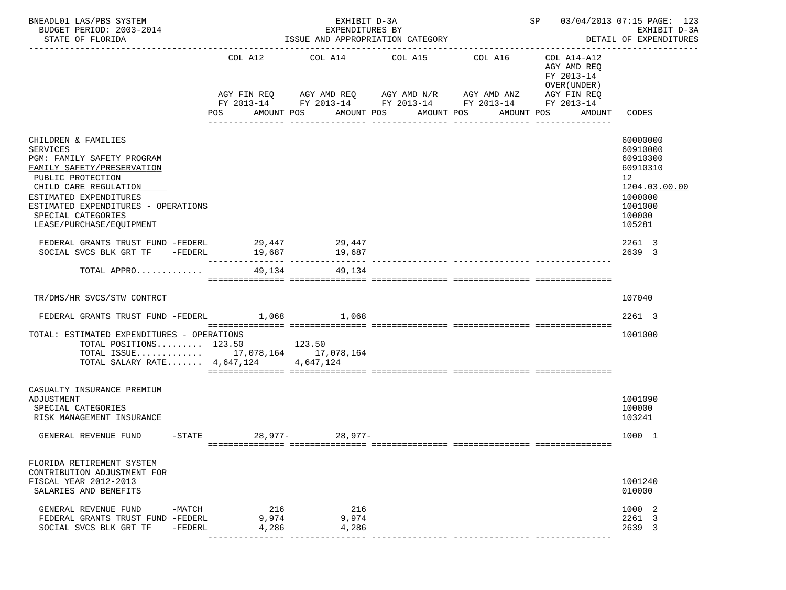| BNEADL01 LAS/PBS SYSTEM<br>BUDGET PERIOD: 2003-2014<br>STATE OF FLORIDA                                                                                                                                                                                             |                                                            | EXHIBIT D-3A<br>EXPENDITURES BY<br>ISSUE AND APPROPRIATION CATEGORY |                                                                                               | SP 03/04/2013 07:15 PAGE: 123<br>EXHIBIT D-3A<br>DETAIL OF EXPENDITURES |                                                                                                 |                                                                                                               |
|---------------------------------------------------------------------------------------------------------------------------------------------------------------------------------------------------------------------------------------------------------------------|------------------------------------------------------------|---------------------------------------------------------------------|-----------------------------------------------------------------------------------------------|-------------------------------------------------------------------------|-------------------------------------------------------------------------------------------------|---------------------------------------------------------------------------------------------------------------|
|                                                                                                                                                                                                                                                                     | COL A12<br>AGY FIN REQ<br>POS                              | COL A14<br>AMOUNT POS                                               | COL A15<br>AGY AMD REQ AGY AMD N/R AGY AMD ANZ<br>AMOUNT POS<br>AMOUNT POS<br>--------------- | COL A16<br>FY 2013-14 FY 2013-14 FY 2013-14 FY 2013-14<br>AMOUNT POS    | COL A14-A12<br>AGY AMD REQ<br>FY 2013-14<br>OVER (UNDER)<br>AGY FIN REQ<br>FY 2013-14<br>AMOUNT | CODES                                                                                                         |
| CHILDREN & FAMILIES<br><b>SERVICES</b><br>PGM: FAMILY SAFETY PROGRAM<br>FAMILY SAFETY/PRESERVATION<br>PUBLIC PROTECTION<br>CHILD CARE REGULATION<br>ESTIMATED EXPENDITURES<br>ESTIMATED EXPENDITURES - OPERATIONS<br>SPECIAL CATEGORIES<br>LEASE/PURCHASE/EQUIPMENT |                                                            |                                                                     |                                                                                               |                                                                         |                                                                                                 | 60000000<br>60910000<br>60910300<br>60910310<br>12<br>1204.03.00.00<br>1000000<br>1001000<br>100000<br>105281 |
| FEDERAL GRANTS TRUST FUND -FEDERL 29,447<br>SOCIAL SVCS BLK GRT TF                                                                                                                                                                                                  | $-FEDERL$ 19,687                                           | 29,447<br>19,687                                                    |                                                                                               |                                                                         |                                                                                                 | 2261 3<br>2639 3                                                                                              |
| TOTAL APPRO                                                                                                                                                                                                                                                         | 49,134                                                     | 49,134                                                              |                                                                                               |                                                                         |                                                                                                 |                                                                                                               |
| TR/DMS/HR SVCS/STW CONTRCT                                                                                                                                                                                                                                          |                                                            |                                                                     |                                                                                               |                                                                         |                                                                                                 | 107040                                                                                                        |
| FEDERAL GRANTS TRUST FUND -FEDERL 1,068 1,068                                                                                                                                                                                                                       |                                                            |                                                                     |                                                                                               |                                                                         |                                                                                                 | 2261 3                                                                                                        |
| TOTAL: ESTIMATED EXPENDITURES - OPERATIONS<br>TOTAL POSITIONS 123.50<br>TOTAL ISSUE 17,078,164 17,078,164<br>TOTAL SALARY RATE $4,647,124$                                                                                                                          |                                                            | 123.50<br>4,647,124                                                 |                                                                                               |                                                                         |                                                                                                 | 1001000                                                                                                       |
| CASUALTY INSURANCE PREMIUM<br>ADJUSTMENT<br>SPECIAL CATEGORIES<br>RISK MANAGEMENT INSURANCE                                                                                                                                                                         |                                                            |                                                                     |                                                                                               |                                                                         |                                                                                                 | 1001090<br>100000<br>103241                                                                                   |
| GENERAL REVENUE FUND                                                                                                                                                                                                                                                | -STATE 28,977- 28,977-                                     |                                                                     |                                                                                               |                                                                         |                                                                                                 | 1000 1                                                                                                        |
| FLORIDA RETIREMENT SYSTEM<br>CONTRIBUTION ADJUSTMENT FOR<br>FISCAL YEAR 2012-2013<br>SALARIES AND BENEFITS                                                                                                                                                          |                                                            |                                                                     |                                                                                               |                                                                         |                                                                                                 | 1001240<br>010000                                                                                             |
| GENERAL REVENUE FUND<br>-MATCH<br>FEDERAL GRANTS TRUST FUND -FEDERL<br>SOCIAL SVCS BLK GRT TF<br>-FEDERL                                                                                                                                                            | 216<br>9,974<br>4,286<br>---------------- ---------------- | 216<br>9,974<br>4,286                                               |                                                                                               |                                                                         |                                                                                                 | 1000 2<br>2261 3<br>2639 3                                                                                    |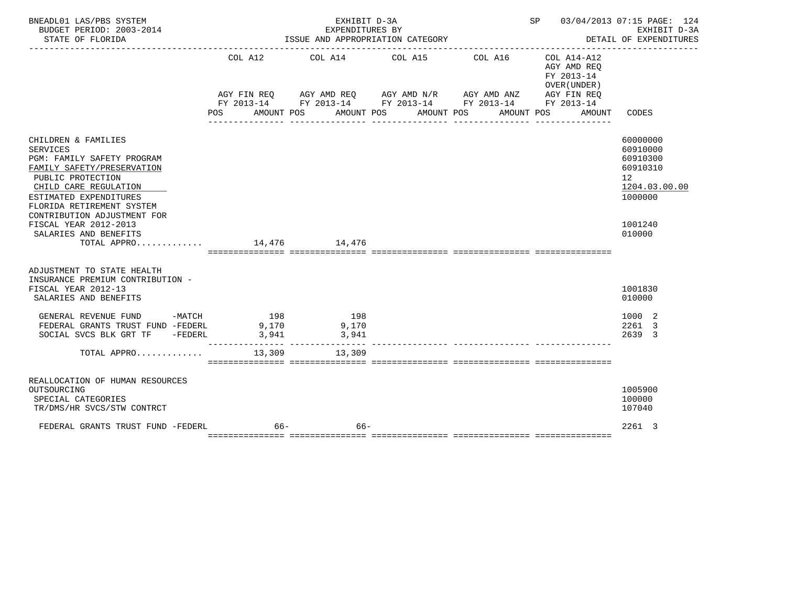| BNEADL01 LAS/PBS SYSTEM<br>BUDGET PERIOD: 2003-2014<br>STATE OF FLORIDA                                                                                                                                                                |                               | EXHIBIT D-3A<br>EXPENDITURES BY<br>ISSUE AND APPROPRIATION CATEGORY                                                                      |                                  | ____________________________________ | SP 03/04/2013 07:15 PAGE: 124                                                     | EXHIBIT D-3A<br>DETAIL OF EXPENDITURES                                                      |
|----------------------------------------------------------------------------------------------------------------------------------------------------------------------------------------------------------------------------------------|-------------------------------|------------------------------------------------------------------------------------------------------------------------------------------|----------------------------------|--------------------------------------|-----------------------------------------------------------------------------------|---------------------------------------------------------------------------------------------|
|                                                                                                                                                                                                                                        | COL A12<br>AGY FIN REO<br>POS | COL A14<br>AGY AMD REQ 6 AGY AMD N/R 6 AGY AMD ANZ 6 AGY FIN REQ<br>FY 2013-14 FY 2013-14 FY 2013-14 FY 2013-14 FY 2013-14<br>AMOUNT POS | COL A15<br>AMOUNT POS AMOUNT POS | COL A16                              | COL A14-A12<br>AGY AMD REO<br>FY 2013-14<br>OVER (UNDER )<br>AMOUNT POS<br>AMOUNT | CODES                                                                                       |
|                                                                                                                                                                                                                                        |                               |                                                                                                                                          |                                  |                                      |                                                                                   |                                                                                             |
| CHILDREN & FAMILIES<br><b>SERVICES</b><br>PGM: FAMILY SAFETY PROGRAM<br>FAMILY SAFETY/PRESERVATION<br>PUBLIC PROTECTION<br>CHILD CARE REGULATION<br>ESTIMATED EXPENDITURES<br>FLORIDA RETIREMENT SYSTEM<br>CONTRIBUTION ADJUSTMENT FOR |                               |                                                                                                                                          |                                  |                                      |                                                                                   | 60000000<br>60910000<br>60910300<br>60910310<br>12 <sup>°</sup><br>1204.03.00.00<br>1000000 |
| FISCAL YEAR 2012-2013<br>SALARIES AND BENEFITS                                                                                                                                                                                         |                               |                                                                                                                                          |                                  |                                      |                                                                                   | 1001240<br>010000                                                                           |
| TOTAL APPRO 14,476 14,476                                                                                                                                                                                                              |                               |                                                                                                                                          |                                  |                                      |                                                                                   |                                                                                             |
| ADJUSTMENT TO STATE HEALTH<br>INSURANCE PREMIUM CONTRIBUTION -<br>FISCAL YEAR 2012-13<br>SALARIES AND BENEFITS                                                                                                                         |                               |                                                                                                                                          |                                  |                                      |                                                                                   | 1001830<br>010000                                                                           |
| GENERAL REVENUE FUND<br>$-MATCH$<br>FEDERAL GRANTS TRUST FUND -FEDERL 9,170<br>SOCIAL SVCS BLK GRT TF -FEDERL                                                                                                                          | 198<br>3,941                  | 198<br>9,170<br>3,941                                                                                                                    |                                  |                                      |                                                                                   | 1000 2<br>2261 3<br>2639 3                                                                  |
| TOTAL APPRO                                                                                                                                                                                                                            | 13,309                        | 13,309                                                                                                                                   |                                  |                                      |                                                                                   |                                                                                             |
| REALLOCATION OF HUMAN RESOURCES<br>OUTSOURCING<br>SPECIAL CATEGORIES<br>TR/DMS/HR SVCS/STW CONTRCT                                                                                                                                     |                               |                                                                                                                                          |                                  |                                      |                                                                                   | 1005900<br>100000<br>107040                                                                 |
| FEDERAL GRANTS TRUST FUND -FEDERL                                                                                                                                                                                                      | $66-$                         | $66-$                                                                                                                                    |                                  |                                      |                                                                                   | 2261 3                                                                                      |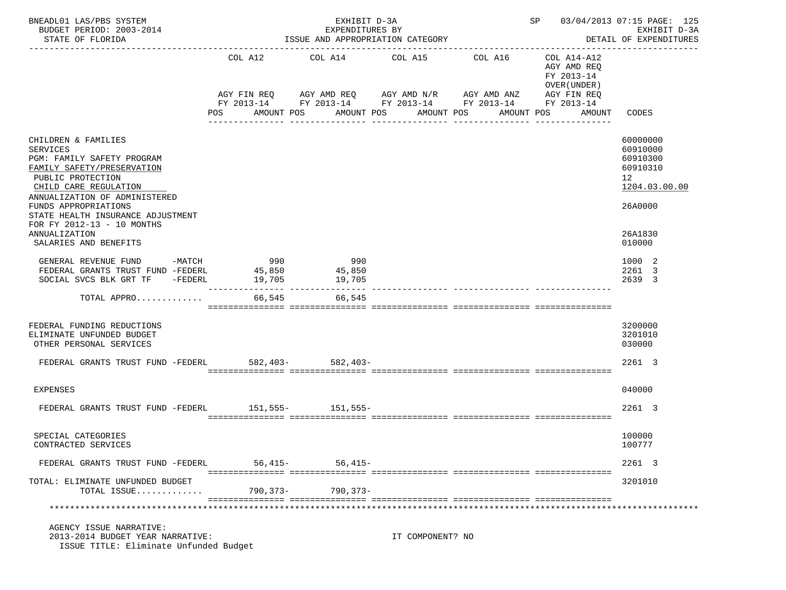| BNEADL01 LAS/PBS SYSTEM<br>BUDGET PERIOD: 2003-2014<br>STATE OF FLORIDA                                                                   |               | EXHIBIT D-3A<br>EXPENDITURES BY<br>ISSUE AND APPROPRIATION CATEGORY                                                   |                               |                          | SP 03/04/2013 07:15 PAGE: 125<br>EXHIBIT D-3A<br>DETAIL OF EXPENDITURES<br>---------------- |                                                                     |
|-------------------------------------------------------------------------------------------------------------------------------------------|---------------|-----------------------------------------------------------------------------------------------------------------------|-------------------------------|--------------------------|---------------------------------------------------------------------------------------------|---------------------------------------------------------------------|
|                                                                                                                                           | COL A12       |                                                                                                                       | COL A14 COL A15 COL A16       |                          | COL A14-A12<br>AGY AMD REQ<br>FY 2013-14<br>OVER (UNDER)                                    |                                                                     |
|                                                                                                                                           |               | AGY FIN REQ AGY AMD REQ AGY AMD N/R AGY AMD ANZ AGY FIN REQ<br>FY 2013-14 FY 2013-14 FY 2013-14 FY 2013-14 FY 2013-14 |                               |                          |                                                                                             |                                                                     |
|                                                                                                                                           | POS           | AMOUNT POS                                                                                                            | AMOUNT POS<br>--------------- | AMOUNT POS<br>AMOUNT POS | AMOUNT                                                                                      | CODES                                                               |
| CHILDREN & FAMILIES<br>SERVICES<br>PGM: FAMILY SAFETY PROGRAM<br>FAMILY SAFETY/PRESERVATION<br>PUBLIC PROTECTION<br>CHILD CARE REGULATION |               |                                                                                                                       |                               |                          |                                                                                             | 60000000<br>60910000<br>60910300<br>60910310<br>12<br>1204.03.00.00 |
| ANNUALIZATION OF ADMINISTERED<br>FUNDS APPROPRIATIONS<br>STATE HEALTH INSURANCE ADJUSTMENT<br>FOR FY 2012-13 - 10 MONTHS<br>ANNUALIZATION |               |                                                                                                                       |                               |                          |                                                                                             | 26A0000<br>26A1830                                                  |
| SALARIES AND BENEFITS                                                                                                                     |               |                                                                                                                       |                               |                          |                                                                                             | 010000                                                              |
| $-MATCH$<br>GENERAL REVENUE FUND<br>FEDERAL GRANTS TRUST FUND -FEDERL 45,850<br>SOCIAL SVCS BLK GRT TF -FEDERL                            | 990<br>19,705 | 990<br>45,850<br>19,705                                                                                               |                               |                          |                                                                                             | 1000 2<br>2261 3<br>2639 3                                          |
| TOTAL APPRO                                                                                                                               |               | 66,545<br>66,545                                                                                                      |                               |                          |                                                                                             |                                                                     |
| FEDERAL FUNDING REDUCTIONS<br>ELIMINATE UNFUNDED BUDGET<br>OTHER PERSONAL SERVICES                                                        |               |                                                                                                                       |                               |                          |                                                                                             | 3200000<br>3201010<br>030000                                        |
| FEDERAL GRANTS TRUST FUND -FEDERL 582,403- 582,403-                                                                                       |               |                                                                                                                       |                               |                          |                                                                                             | 2261 3                                                              |
| EXPENSES                                                                                                                                  |               |                                                                                                                       |                               |                          |                                                                                             | 040000                                                              |
| FEDERAL GRANTS TRUST FUND -FEDERL 151,555- 151,555-                                                                                       |               |                                                                                                                       |                               |                          |                                                                                             | 2261 3                                                              |
| SPECIAL CATEGORIES<br>CONTRACTED SERVICES                                                                                                 |               |                                                                                                                       |                               |                          |                                                                                             | 100000<br>100777                                                    |
| FEDERAL GRANTS TRUST FUND -FEDERL                                                                                                         |               | $56,415-$<br>56,415–                                                                                                  |                               |                          |                                                                                             | 2261 3                                                              |
| TOTAL: ELIMINATE UNFUNDED BUDGET<br>TOTAL ISSUE                                                                                           |               | 790,373-<br>790,373-                                                                                                  |                               |                          |                                                                                             | 3201010                                                             |
|                                                                                                                                           |               |                                                                                                                       |                               |                          |                                                                                             |                                                                     |
| AGENCY ISSUE NARRATIVE:<br>2013-2014 BUDGET YEAR NARRATIVE:<br>ISSUE TITLE: Eliminate Unfunded Budget                                     |               |                                                                                                                       | IT COMPONENT? NO              |                          |                                                                                             |                                                                     |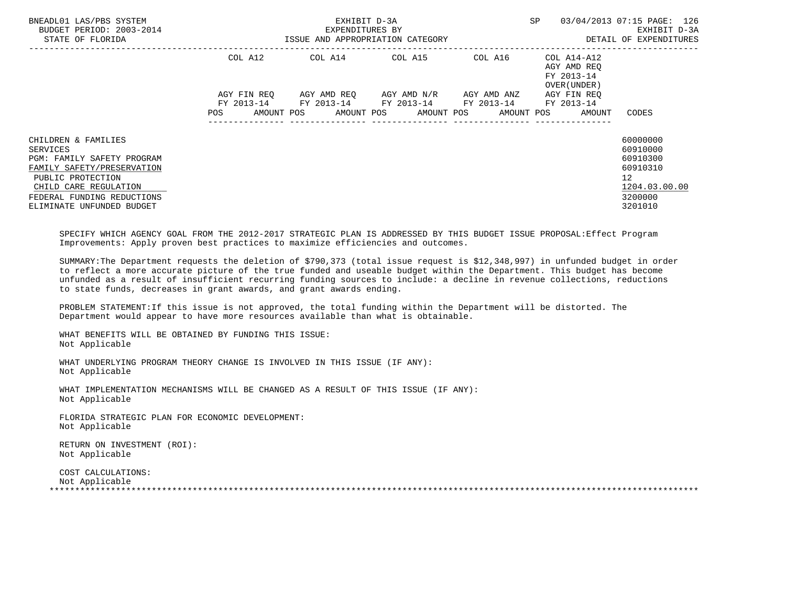| BNEADL01 LAS/PBS SYSTEM<br>BUDGET PERIOD: 2003-2014<br>STATE OF FLORIDA                                                                                                                              | ISSUE AND APPROPRIATION CATEGORY | EXHIBIT D-3A<br>EXPENDITURES BY | SP                                                                                                                       | 03/04/2013 07:15 PAGE: 126<br>EXHIBIT D-3A<br>DETAIL OF EXPENDITURES |                                                                   |                                                                                                        |
|------------------------------------------------------------------------------------------------------------------------------------------------------------------------------------------------------|----------------------------------|---------------------------------|--------------------------------------------------------------------------------------------------------------------------|----------------------------------------------------------------------|-------------------------------------------------------------------|--------------------------------------------------------------------------------------------------------|
|                                                                                                                                                                                                      |                                  |                                 | COL A12 COL A14 COL A15                                                                                                  | COL A16                                                              | COL A14-A12<br>AGY AMD REO<br>FY 2013-14<br>OVER (UNDER)          |                                                                                                        |
|                                                                                                                                                                                                      | POS                              |                                 | AGY FIN REQ      AGY AMD REQ      AGY AMD N/R      AGY AMD ANZ<br>FY 2013-14 FY 2013-14 FY 2013-14 FY 2013-14 FY 2013-14 | ----------------                                                     | AGY FIN REO<br>AMOUNT POS AMOUNT POS AMOUNT POS AMOUNT POS AMOUNT | CODES                                                                                                  |
| CHILDREN & FAMILIES<br>SERVICES<br>PGM: FAMILY SAFETY PROGRAM<br>FAMILY SAFETY/PRESERVATION<br>PUBLIC PROTECTION<br>CHILD CARE REGULATION<br>FEDERAL FUNDING REDUCTIONS<br>ELIMINATE UNFUNDED BUDGET |                                  |                                 |                                                                                                                          |                                                                      |                                                                   | 60000000<br>60910000<br>60910300<br>60910310<br>12 <sup>°</sup><br>1204.03.00.00<br>3200000<br>3201010 |

 SPECIFY WHICH AGENCY GOAL FROM THE 2012-2017 STRATEGIC PLAN IS ADDRESSED BY THIS BUDGET ISSUE PROPOSAL:Effect Program Improvements: Apply proven best practices to maximize efficiencies and outcomes.

 SUMMARY:The Department requests the deletion of \$790,373 (total issue request is \$12,348,997) in unfunded budget in order to reflect a more accurate picture of the true funded and useable budget within the Department. This budget has become unfunded as a result of insufficient recurring funding sources to include: a decline in revenue collections, reductions to state funds, decreases in grant awards, and grant awards ending.

 PROBLEM STATEMENT:If this issue is not approved, the total funding within the Department will be distorted. The Department would appear to have more resources available than what is obtainable.

 WHAT BENEFITS WILL BE OBTAINED BY FUNDING THIS ISSUE: Not Applicable

 WHAT UNDERLYING PROGRAM THEORY CHANGE IS INVOLVED IN THIS ISSUE (IF ANY): Not Applicable

 WHAT IMPLEMENTATION MECHANISMS WILL BE CHANGED AS A RESULT OF THIS ISSUE (IF ANY): Not Applicable

 FLORIDA STRATEGIC PLAN FOR ECONOMIC DEVELOPMENT: Not Applicable

 RETURN ON INVESTMENT (ROI): Not Applicable

 COST CALCULATIONS: Not Applicable \*\*\*\*\*\*\*\*\*\*\*\*\*\*\*\*\*\*\*\*\*\*\*\*\*\*\*\*\*\*\*\*\*\*\*\*\*\*\*\*\*\*\*\*\*\*\*\*\*\*\*\*\*\*\*\*\*\*\*\*\*\*\*\*\*\*\*\*\*\*\*\*\*\*\*\*\*\*\*\*\*\*\*\*\*\*\*\*\*\*\*\*\*\*\*\*\*\*\*\*\*\*\*\*\*\*\*\*\*\*\*\*\*\*\*\*\*\*\*\*\*\*\*\*\*\*\*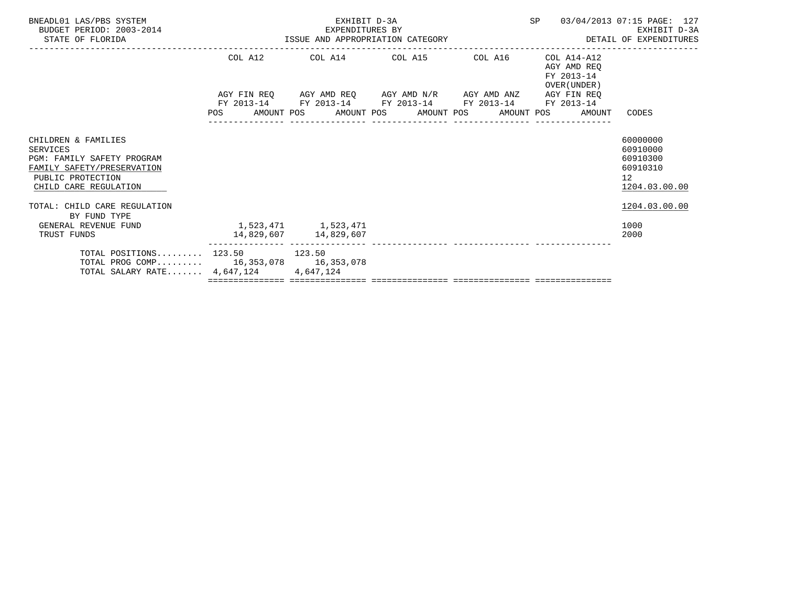| BNEADL01 LAS/PBS SYSTEM<br>BUDGET PERIOD: 2003-2014<br>STATE OF FLORIDA                                                                          | EXHIBIT D-3A        | EXPENDITURES BY<br>ISSUE AND APPROPRIATION CATEGORY                                                                   | SP 03/04/2013 07:15 PAGE: 127                                | EXHIBIT D-3A<br>DETAIL OF EXPENDITURES                                           |
|--------------------------------------------------------------------------------------------------------------------------------------------------|---------------------|-----------------------------------------------------------------------------------------------------------------------|--------------------------------------------------------------|----------------------------------------------------------------------------------|
|                                                                                                                                                  |                     | COL A12 COL A14 COL A15 COL A16                                                                                       | COL A14-A12<br>AGY AMD REO<br>FY 2013-14<br>OVER (UNDER)     |                                                                                  |
|                                                                                                                                                  |                     | AGY FIN REQ AGY AMD REQ AGY AMD N/R AGY AMD ANZ AGY FIN REQ<br>FY 2013-14 FY 2013-14 FY 2013-14 FY 2013-14 FY 2013-14 |                                                              |                                                                                  |
|                                                                                                                                                  |                     |                                                                                                                       | POS AMOUNT POS AMOUNT POS AMOUNT POS AMOUNT POS AMOUNT CODES |                                                                                  |
| CHILDREN & FAMILIES<br>SERVICES<br><b>PGM: FAMILY SAFETY PROGRAM</b><br>FAMILY SAFETY/PRESERVATION<br>PUBLIC PROTECTION<br>CHILD CARE REGULATION |                     |                                                                                                                       |                                                              | 60000000<br>60910000<br>60910300<br>60910310<br>12 <sup>°</sup><br>1204.03.00.00 |
| TOTAL: CHILD CARE REGULATION<br>BY FUND TYPE                                                                                                     |                     |                                                                                                                       |                                                              | 1204.03.00.00                                                                    |
| GENERAL REVENUE FUND<br>TRUST FUNDS                                                                                                              | 1,523,471 1,523,471 |                                                                                                                       |                                                              | 1000<br>2000                                                                     |
| TOTAL POSITIONS $123.50$ 123.50<br>TOTAL PROG COMP 16,353,078 16,353,078<br>TOTAL SALARY RATE $4,647,124$                                        | 4,647,124           |                                                                                                                       |                                                              |                                                                                  |
|                                                                                                                                                  |                     |                                                                                                                       |                                                              |                                                                                  |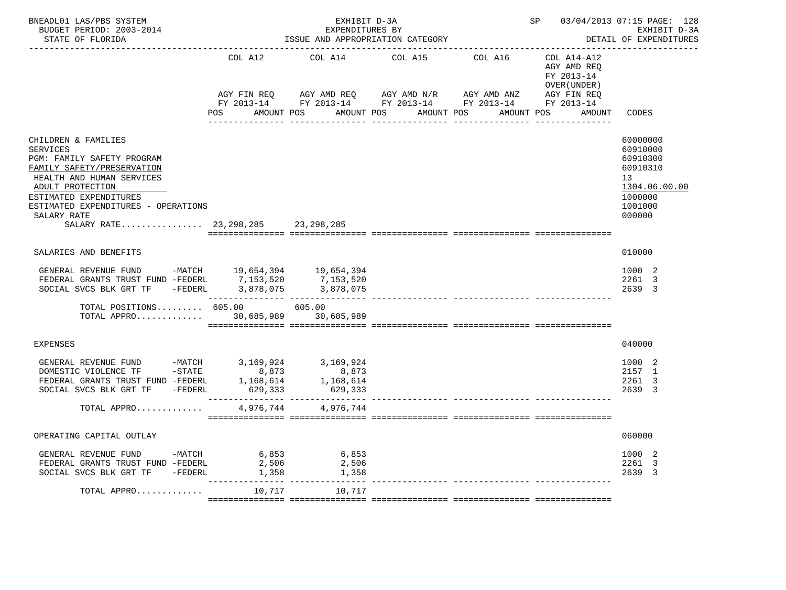| BNEADL01 LAS/PBS SYSTEM<br>BUDGET PERIOD: 2003-2014<br>STATE OF FLORIDA                                                                                                                                                                                                      |                                   | EXHIBIT D-3A<br>EXPENDITURES BY<br>ISSUE AND APPROPRIATION CATEGORY |                                                                                                                                      | SP 03/04/2013 07:15 PAGE: 128<br>EXHIBIT D-3A<br>DETAIL OF EXPENDITURES |                                                                                    |                                                                                                     |
|------------------------------------------------------------------------------------------------------------------------------------------------------------------------------------------------------------------------------------------------------------------------------|-----------------------------------|---------------------------------------------------------------------|--------------------------------------------------------------------------------------------------------------------------------------|-------------------------------------------------------------------------|------------------------------------------------------------------------------------|-----------------------------------------------------------------------------------------------------|
|                                                                                                                                                                                                                                                                              | COL A12<br>AGY FIN REQ<br>POS FOR | COL A14<br>AMOUNT POS                                               | COL A15<br>AGY AMD REQ AGY AMD N/R AGY AMD ANZ<br>FY 2013-14 FY 2013-14 FY 2013-14 FY 2013-14 FY 2013-14<br>AMOUNT POS<br>AMOUNT POS | COL A16<br>AMOUNT POS                                                   | COL A14-A12<br>AGY AMD REO<br>FY 2013-14<br>OVER (UNDER )<br>AGY FIN REQ<br>AMOUNT | CODES                                                                                               |
| CHILDREN & FAMILIES<br><b>SERVICES</b><br>PGM: FAMILY SAFETY PROGRAM<br>FAMILY SAFETY/PRESERVATION<br>HEALTH AND HUMAN SERVICES<br>ADULT PROTECTION<br>ESTIMATED EXPENDITURES<br>ESTIMATED EXPENDITURES - OPERATIONS<br>SALARY RATE<br>SALARY RATE 23, 298, 285 23, 298, 285 |                                   |                                                                     |                                                                                                                                      |                                                                         |                                                                                    | 60000000<br>60910000<br>60910300<br>60910310<br>13<br>1304.06.00.00<br>1000000<br>1001000<br>000000 |
| SALARIES AND BENEFITS                                                                                                                                                                                                                                                        |                                   |                                                                     |                                                                                                                                      |                                                                         |                                                                                    | 010000                                                                                              |
| GENERAL REVENUE FUND -MATCH 19,654,394 19,654,394                                                                                                                                                                                                                            |                                   | 7,153,520<br>3,878,075                                              |                                                                                                                                      |                                                                         |                                                                                    | 1000 2<br>2261 3<br>2639 3                                                                          |
| TOTAL POSITIONS $605.00$ 605.00<br>TOTAL APPRO 30,685,989 30,685,989                                                                                                                                                                                                         |                                   |                                                                     |                                                                                                                                      |                                                                         |                                                                                    |                                                                                                     |
| EXPENSES                                                                                                                                                                                                                                                                     |                                   |                                                                     |                                                                                                                                      |                                                                         |                                                                                    | 040000                                                                                              |
| GENERAL REVENUE FUND -MATCH 3, 169, 924 3, 169, 924<br>SOCIAL SVCS BLK GRT TF -FEDERL                                                                                                                                                                                        | 629,333                           | 8,873<br>1,168,614<br>629,333                                       |                                                                                                                                      |                                                                         |                                                                                    | 1000 2<br>2157 1<br>2261 3<br>2639 3                                                                |
| TOTAL APPRO                                                                                                                                                                                                                                                                  | 4,976,744                         | 4,976,744                                                           |                                                                                                                                      |                                                                         |                                                                                    |                                                                                                     |
| OPERATING CAPITAL OUTLAY                                                                                                                                                                                                                                                     |                                   |                                                                     |                                                                                                                                      |                                                                         |                                                                                    | 060000                                                                                              |
| GENERAL REVENUE FUND -MATCH 6,853<br>FEDERAL GRANTS TRUST FUND -FEDERL<br>SOCIAL SVCS BLK GRT TF -FEDERL                                                                                                                                                                     | 2,506<br>1,358                    | 6,853<br>2,506<br>1,358                                             |                                                                                                                                      |                                                                         |                                                                                    | 1000 2<br>2261 3<br>2639 3                                                                          |
| TOTAL APPRO                                                                                                                                                                                                                                                                  | 10,717                            | 10,717                                                              |                                                                                                                                      |                                                                         |                                                                                    |                                                                                                     |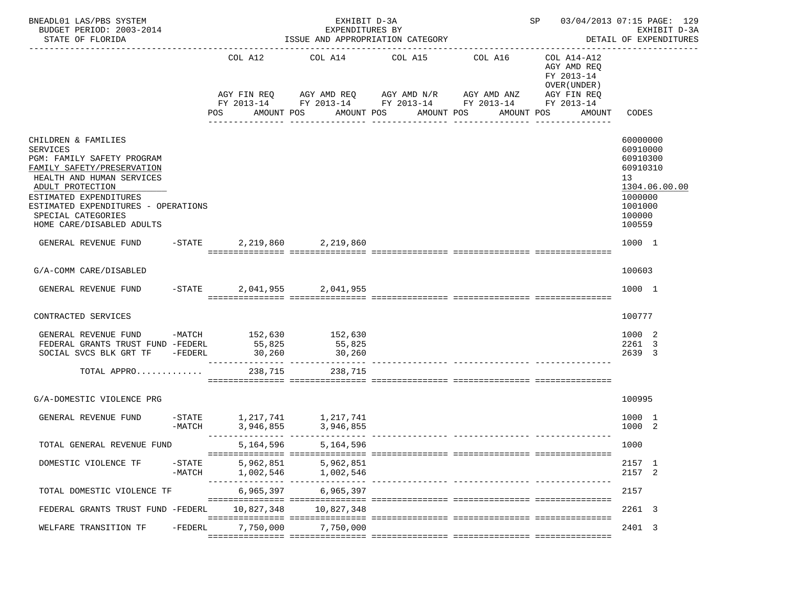| BNEADL01 LAS/PBS SYSTEM<br>BUDGET PERIOD: 2003-2014<br>STATE OF FLORIDA                                                                                                                                                                                                 |                       |                        | EXHIBIT D-3A<br>EXPENDITURES BY<br>ISSUE AND APPROPRIATION CATEGORY                                                                                            |                       | SP 03/04/2013 07:15 PAGE: 129<br>EXHIBIT D-3A<br>DETAIL OF EXPENDITURES |                                                                                                     |                                                                                                               |
|-------------------------------------------------------------------------------------------------------------------------------------------------------------------------------------------------------------------------------------------------------------------------|-----------------------|------------------------|----------------------------------------------------------------------------------------------------------------------------------------------------------------|-----------------------|-------------------------------------------------------------------------|-----------------------------------------------------------------------------------------------------|---------------------------------------------------------------------------------------------------------------|
|                                                                                                                                                                                                                                                                         |                       | COL A12<br><b>POS</b>  | COL A14 COL A15 COL A16<br>AGY FIN REQ AGY AMD REQ AGY AMD N/R AGY AMD ANZ AGY FIN REQ<br>FY 2013-14 FY 2013-14 FY 2013-14 FY 2013-14 FY 2013-14<br>AMOUNT POS | AMOUNT POS AMOUNT POS |                                                                         | COL A14-A12<br>AGY AMD REO<br>FY 2013-14<br>OVER (UNDER)<br>AMOUNT POS<br>AMOUNT<br>_______________ | CODES                                                                                                         |
| CHILDREN & FAMILIES<br><b>SERVICES</b><br>PGM: FAMILY SAFETY PROGRAM<br>FAMILY SAFETY/PRESERVATION<br>HEALTH AND HUMAN SERVICES<br>ADULT PROTECTION<br>ESTIMATED EXPENDITURES<br>ESTIMATED EXPENDITURES - OPERATIONS<br>SPECIAL CATEGORIES<br>HOME CARE/DISABLED ADULTS |                       |                        |                                                                                                                                                                |                       |                                                                         |                                                                                                     | 60000000<br>60910000<br>60910300<br>60910310<br>13<br>1304.06.00.00<br>1000000<br>1001000<br>100000<br>100559 |
| GENERAL REVENUE FUND                                                                                                                                                                                                                                                    |                       |                        | $-$ STATE 2,219,860 2,219,860                                                                                                                                  |                       |                                                                         |                                                                                                     | 1000 1                                                                                                        |
| G/A-COMM CARE/DISABLED                                                                                                                                                                                                                                                  |                       |                        |                                                                                                                                                                |                       |                                                                         |                                                                                                     | 100603                                                                                                        |
| GENERAL REVENUE FUND                                                                                                                                                                                                                                                    |                       |                        | -STATE 2,041,955 2,041,955                                                                                                                                     |                       |                                                                         |                                                                                                     | 1000 1                                                                                                        |
| CONTRACTED SERVICES                                                                                                                                                                                                                                                     |                       |                        |                                                                                                                                                                |                       |                                                                         |                                                                                                     | 100777                                                                                                        |
| GENERAL REVENUE FUND -MATCH 152,630 152,630<br>FEDERAL GRANTS TRUST FUND -FEDERL 55,825<br>SOCIAL SVCS BLK GRT TF -FEDERL<br>TOTAL APPRO                                                                                                                                |                       |                        | 55,825<br>238,715<br>238,715                                                                                                                                   |                       |                                                                         |                                                                                                     | 1000 2<br>2261 3<br>2639 3                                                                                    |
| G/A-DOMESTIC VIOLENCE PRG                                                                                                                                                                                                                                               |                       |                        |                                                                                                                                                                |                       |                                                                         |                                                                                                     | 100995                                                                                                        |
| GENERAL REVENUE FUND                                                                                                                                                                                                                                                    | -MATCH                | 3,946,855              | -STATE 1, 217, 741 1, 217, 741<br>3,946,855                                                                                                                    |                       | ii iliiliiliiliilii tittiiliiliilii tittiiliiliili                      |                                                                                                     | 1000 1<br>1000 2                                                                                              |
| TOTAL GENERAL REVENUE FUND                                                                                                                                                                                                                                              |                       | 5,164,596              | 5,164,596                                                                                                                                                      |                       |                                                                         |                                                                                                     | 1000                                                                                                          |
| DOMESTIC VIOLENCE TF                                                                                                                                                                                                                                                    | $-$ STATE<br>$-MATCH$ | 5,962,851<br>1,002,546 | 5,962,851<br>1,002,546<br>------ ---------------- ---                                                                                                          |                       |                                                                         |                                                                                                     | 2157 1<br>2157 2                                                                                              |
| TOTAL DOMESTIC VIOLENCE TF                                                                                                                                                                                                                                              |                       | 6,965,397              | 6,965,397                                                                                                                                                      |                       |                                                                         |                                                                                                     | 2157                                                                                                          |
| FEDERAL GRANTS TRUST FUND -FEDERL                                                                                                                                                                                                                                       |                       | 10,827,348             | 10,827,348                                                                                                                                                     |                       |                                                                         |                                                                                                     | 2261 3                                                                                                        |
| WELFARE TRANSITION TF                                                                                                                                                                                                                                                   | -FEDERL               | 7,750,000              | 7,750,000                                                                                                                                                      |                       |                                                                         |                                                                                                     | 2401 3                                                                                                        |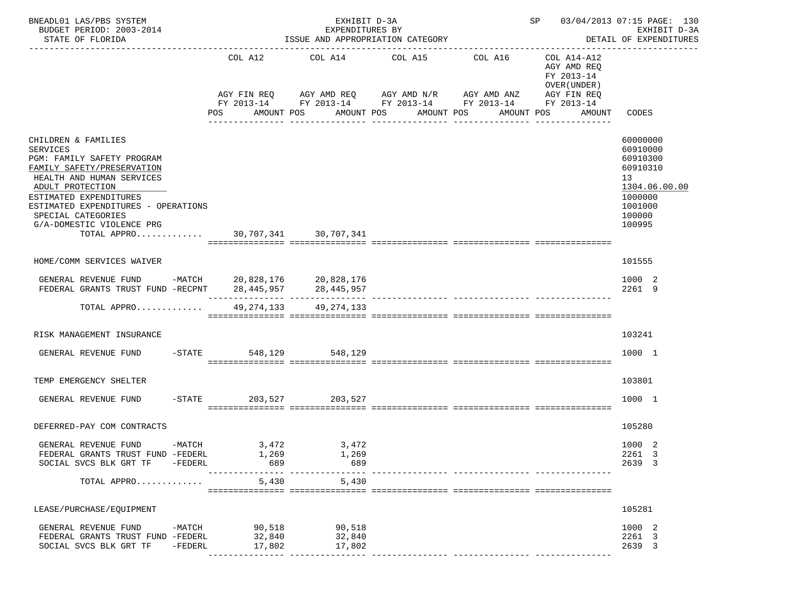| BNEADL01 LAS/PBS SYSTEM<br>BUDGET PERIOD: 2003-2014<br>STATE OF FLORIDA                                                                                                                                                                                                                                      |                     |            | ISSUE AND APPROPRIATION CATEGORY |                            | SP 03/04/2013 07:15 PAGE: 130<br>EXHIBIT D-3A<br>DETAIL OF EXPENDITURES<br>__________________                           |                                                                                          |                                                                                   |                                                                                                               |
|--------------------------------------------------------------------------------------------------------------------------------------------------------------------------------------------------------------------------------------------------------------------------------------------------------------|---------------------|------------|----------------------------------|----------------------------|-------------------------------------------------------------------------------------------------------------------------|------------------------------------------------------------------------------------------|-----------------------------------------------------------------------------------|---------------------------------------------------------------------------------------------------------------|
|                                                                                                                                                                                                                                                                                                              |                     | <b>POS</b> | COL A12                          | AMOUNT POS                 | COL A14 COL A15 COL A16<br>AGY FIN REQ AGY AMD REQ AGY AMD N/R AGY AMD ANZ<br>AMOUNT POS AMOUNT POS<br>________________ | FY 2013-14 FY 2013-14 FY 2013-14 FY 2013-14 FY 2013-14<br>AMOUNT POS<br>________________ | COL A14-A12<br>AGY AMD REO<br>FY 2013-14<br>OVER (UNDER)<br>AGY FIN REQ<br>AMOUNT | CODES                                                                                                         |
| CHILDREN & FAMILIES<br><b>SERVICES</b><br>PGM: FAMILY SAFETY PROGRAM<br>FAMILY SAFETY/PRESERVATION<br>HEALTH AND HUMAN SERVICES<br>ADULT PROTECTION<br>ESTIMATED EXPENDITURES<br>ESTIMATED EXPENDITURES - OPERATIONS<br>SPECIAL CATEGORIES<br>G/A-DOMESTIC VIOLENCE PRG<br>TOTAL APPRO 30,707,341 30,707,341 |                     |            |                                  |                            |                                                                                                                         |                                                                                          |                                                                                   | 60000000<br>60910000<br>60910300<br>60910310<br>13<br>1304.06.00.00<br>1000000<br>1001000<br>100000<br>100995 |
| HOME/COMM SERVICES WAIVER                                                                                                                                                                                                                                                                                    |                     |            |                                  |                            |                                                                                                                         |                                                                                          |                                                                                   | 101555                                                                                                        |
| GENERAL REVENUE FUND -MATCH 20,828,176 20,828,176<br>FEDERAL GRANTS TRUST FUND -RECPNT 28,445,957 28,445,957                                                                                                                                                                                                 |                     |            |                                  |                            |                                                                                                                         |                                                                                          |                                                                                   | 1000 2<br>2261 9                                                                                              |
| TOTAL APPRO                                                                                                                                                                                                                                                                                                  |                     |            |                                  | 49, 274, 133 49, 274, 133  |                                                                                                                         |                                                                                          |                                                                                   |                                                                                                               |
| RISK MANAGEMENT INSURANCE                                                                                                                                                                                                                                                                                    |                     |            |                                  |                            |                                                                                                                         |                                                                                          |                                                                                   | 103241                                                                                                        |
| GENERAL REVENUE FUND                                                                                                                                                                                                                                                                                         |                     |            |                                  | -STATE 548,129 548,129     |                                                                                                                         |                                                                                          |                                                                                   | 1000 1                                                                                                        |
| TEMP EMERGENCY SHELTER                                                                                                                                                                                                                                                                                       |                     |            |                                  |                            |                                                                                                                         |                                                                                          |                                                                                   | 103801                                                                                                        |
| GENERAL REVENUE FUND                                                                                                                                                                                                                                                                                         | $-$ STATE           |            |                                  | 203,527 203,527            |                                                                                                                         |                                                                                          |                                                                                   | 1000 1                                                                                                        |
| DEFERRED-PAY COM CONTRACTS                                                                                                                                                                                                                                                                                   |                     |            |                                  |                            |                                                                                                                         |                                                                                          |                                                                                   | 105280                                                                                                        |
| GENERAL REVENUE FUND<br>FEDERAL GRANTS TRUST FUND -FEDERL<br>SOCIAL SVCS BLK GRT TF                                                                                                                                                                                                                          | -MATCH<br>$-FEDERL$ |            | 3,472<br>1,269<br>689            | 3,472<br>1,269<br>689      |                                                                                                                         |                                                                                          |                                                                                   | 1000 2<br>2261 3<br>2639 3                                                                                    |
| TOTAL APPRO                                                                                                                                                                                                                                                                                                  |                     |            | 5,430                            | 5,430                      |                                                                                                                         |                                                                                          |                                                                                   |                                                                                                               |
| LEASE/PURCHASE/EQUIPMENT                                                                                                                                                                                                                                                                                     |                     |            |                                  |                            |                                                                                                                         |                                                                                          |                                                                                   | 105281                                                                                                        |
| GENERAL REVENUE FUND<br>FEDERAL GRANTS TRUST FUND -FEDERL<br>SOCIAL SVCS BLK GRT TF                                                                                                                                                                                                                          | $-MATCH$<br>-FEDERL |            | 90,518<br>32,840<br>17,802       | 90,518<br>32,840<br>17,802 |                                                                                                                         |                                                                                          |                                                                                   | 1000 2<br>2261 3<br>2639 3                                                                                    |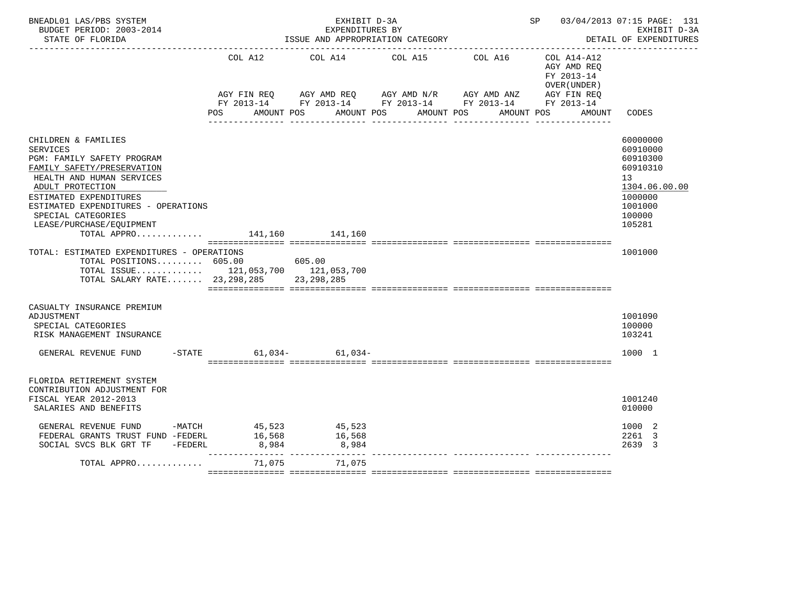| BNEADL01 LAS/PBS SYSTEM<br>BUDGET PERIOD: 2003-2014<br>STATE OF FLORIDA                                                                                                                                                                                                                                                                                                                                                                                                     |                    | EXHIBIT D-3A<br>EXPENDITURES BY         | ISSUE AND APPROPRIATION CATEGORY                                                                                                                                                |            |                                                                    | SP 03/04/2013 07:15 PAGE: 131<br>EXHIBIT D-3A<br>DETAIL OF EXPENDITURES                                                  |
|-----------------------------------------------------------------------------------------------------------------------------------------------------------------------------------------------------------------------------------------------------------------------------------------------------------------------------------------------------------------------------------------------------------------------------------------------------------------------------|--------------------|-----------------------------------------|---------------------------------------------------------------------------------------------------------------------------------------------------------------------------------|------------|--------------------------------------------------------------------|--------------------------------------------------------------------------------------------------------------------------|
|                                                                                                                                                                                                                                                                                                                                                                                                                                                                             | COL A12<br>POS FOR | AMOUNT POS                              | COL A14 COL A15<br>COL A16<br>AGY FIN REQ AGY AMD REQ AGY AMD N/R AGY AMD ANZ AGY FIN REQ<br>FY 2013-14 FY 2013-14 FY 2013-14 FY 2013-14 FY 2013-14<br>AMOUNT POS<br>AMOUNT POS | AMOUNT POS | COL A14-A12<br>AGY AMD REQ<br>FY 2013-14<br>OVER (UNDER)<br>AMOUNT | CODES                                                                                                                    |
| CHILDREN & FAMILIES<br><b>SERVICES</b><br>PGM: FAMILY SAFETY PROGRAM<br>FAMILY SAFETY/PRESERVATION<br>HEALTH AND HUMAN SERVICES<br>ADULT PROTECTION<br>ESTIMATED EXPENDITURES<br>ESTIMATED EXPENDITURES - OPERATIONS<br>SPECIAL CATEGORIES<br>LEASE/PURCHASE/EOUIPMENT<br>TOTAL APPRO $\ldots \ldots \ldots$ 141,160 141,160<br>TOTAL: ESTIMATED EXPENDITURES - OPERATIONS<br>TOTAL POSITIONS 605.00<br>TOTAL ISSUE 121,053,700 121,053,700<br>TOTAL SALARY RATE 23,298,285 |                    | 605.00<br>23, 298, 285                  |                                                                                                                                                                                 |            |                                                                    | 60000000<br>60910000<br>60910300<br>60910310<br>13<br>1304.06.00.00<br>1000000<br>1001000<br>100000<br>105281<br>1001000 |
| CASUALTY INSURANCE PREMIUM<br>ADJUSTMENT<br>SPECIAL CATEGORIES<br>RISK MANAGEMENT INSURANCE<br>GENERAL REVENUE FUND                                                                                                                                                                                                                                                                                                                                                         |                    | $-STATE$ 61,034- 61,034-                |                                                                                                                                                                                 |            |                                                                    | 1001090<br>100000<br>103241<br>1000 1                                                                                    |
| FLORIDA RETIREMENT SYSTEM<br>CONTRIBUTION ADJUSTMENT FOR<br>FISCAL YEAR 2012-2013<br>SALARIES AND BENEFITS                                                                                                                                                                                                                                                                                                                                                                  |                    |                                         |                                                                                                                                                                                 |            |                                                                    | 1001240<br>010000                                                                                                        |
| GENERAL REVENUE FUND -MATCH<br>FEDERAL GRANTS TRUST FUND -FEDERL<br>SOCIAL SVCS BLK GRT TF -FEDERL                                                                                                                                                                                                                                                                                                                                                                          | 8,984              | 45,523 45,523<br>16,568 16,568<br>8,984 |                                                                                                                                                                                 |            |                                                                    | 1000 2<br>2261 3<br>2639 3                                                                                               |
| TOTAL APPRO                                                                                                                                                                                                                                                                                                                                                                                                                                                                 | 71,075             | ____________________________<br>71,075  |                                                                                                                                                                                 |            |                                                                    |                                                                                                                          |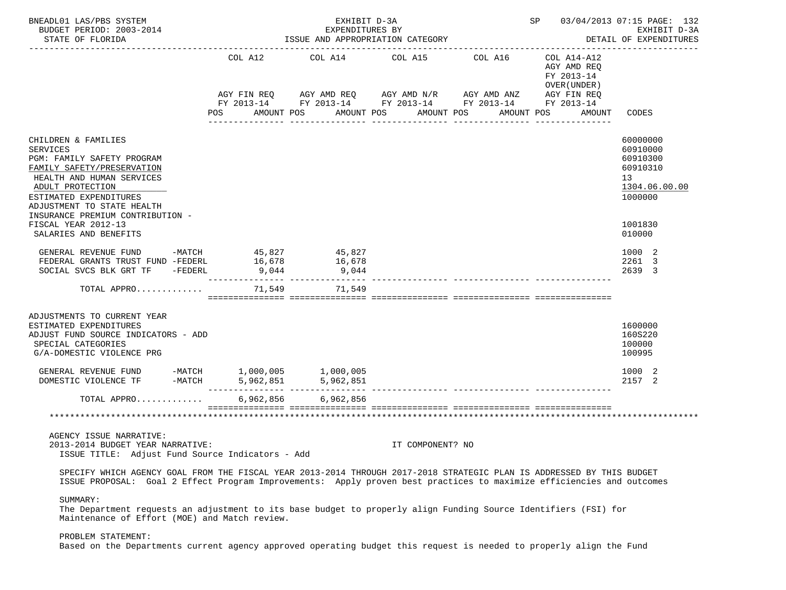| BNEADL01 LAS/PBS SYSTEM<br>BUDGET PERIOD: 2003-2014<br>STATE OF FLORIDA                                                                                                                                                                                                                         | SP 03/04/2013 07:15 PAGE: 132<br>EXHIBIT D-3A<br>EXPENDITURES BY<br>ISSUE AND APPROPRIATION CATEGORY<br>DETAIL OF EXPENDITURES |                                                                                                                        |                       |                                     |                                                                                   |                                                                                                     |  |  |
|-------------------------------------------------------------------------------------------------------------------------------------------------------------------------------------------------------------------------------------------------------------------------------------------------|--------------------------------------------------------------------------------------------------------------------------------|------------------------------------------------------------------------------------------------------------------------|-----------------------|-------------------------------------|-----------------------------------------------------------------------------------|-----------------------------------------------------------------------------------------------------|--|--|
|                                                                                                                                                                                                                                                                                                 | COL A12<br>AGY FIN REQ<br>POS                                                                                                  | COL A14<br>AGY AMD REQ AGY AMD N/R AGY AMD ANZ<br>FY 2013-14 FY 2013-14 FY 2013-14 FY 2013-14 FY 2013-14<br>AMOUNT POS | COL A15<br>AMOUNT POS | COL A16<br>AMOUNT POS<br>AMOUNT POS | COL A14-A12<br>AGY AMD REQ<br>FY 2013-14<br>OVER (UNDER)<br>AGY FIN REQ<br>AMOUNT | CODES                                                                                               |  |  |
| CHILDREN & FAMILIES<br><b>SERVICES</b><br>PGM: FAMILY SAFETY PROGRAM<br>FAMILY SAFETY/PRESERVATION<br>HEALTH AND HUMAN SERVICES<br>ADULT PROTECTION<br>ESTIMATED EXPENDITURES<br>ADJUSTMENT TO STATE HEALTH<br>INSURANCE PREMIUM CONTRIBUTION -<br>FISCAL YEAR 2012-13<br>SALARIES AND BENEFITS |                                                                                                                                |                                                                                                                        |                       |                                     |                                                                                   | 60000000<br>60910000<br>60910300<br>60910310<br>13<br>1304.06.00.00<br>1000000<br>1001830<br>010000 |  |  |
| GENERAL REVENUE FUND<br>FEDERAL GRANTS TRUST FUND -FEDERL<br>-FEDERL<br>SOCIAL SVCS BLK GRT TF                                                                                                                                                                                                  | $-MATCH$ 45,827<br>16,678<br>9,044<br>--------- --                                                                             | 45,827<br>16,678<br>9,044                                                                                              |                       |                                     |                                                                                   | 1000 2<br>2261 3<br>2639 3                                                                          |  |  |
| TOTAL APPRO                                                                                                                                                                                                                                                                                     | 71,549                                                                                                                         | 71,549                                                                                                                 |                       |                                     |                                                                                   |                                                                                                     |  |  |
| ADJUSTMENTS TO CURRENT YEAR<br>ESTIMATED EXPENDITURES<br>ADJUST FUND SOURCE INDICATORS - ADD<br>SPECIAL CATEGORIES<br>G/A-DOMESTIC VIOLENCE PRG<br>GENERAL REVENUE FUND                                                                                                                         | $-MATCH$ 1,000,005 1,000,005                                                                                                   |                                                                                                                        |                       |                                     |                                                                                   | 1600000<br>160S220<br>100000<br>100995<br>1000 2                                                    |  |  |
| $-MATCH$<br>DOMESTIC VIOLENCE TF                                                                                                                                                                                                                                                                | 5,962,851                                                                                                                      | 5,962,851                                                                                                              |                       |                                     |                                                                                   | 2157 2                                                                                              |  |  |
| TOTAL APPRO                                                                                                                                                                                                                                                                                     | 6,962,856                                                                                                                      | 6,962,856<br>=================================                                                                         |                       |                                     |                                                                                   |                                                                                                     |  |  |
|                                                                                                                                                                                                                                                                                                 |                                                                                                                                |                                                                                                                        |                       |                                     |                                                                                   |                                                                                                     |  |  |
| AGENCY ISSUE NARRATIVE:<br>2013-2014 BUDGET YEAR NARRATIVE:<br>ISSUE TITLE: Adjust Fund Source Indicators - Add                                                                                                                                                                                 |                                                                                                                                |                                                                                                                        | IT COMPONENT? NO      |                                     |                                                                                   |                                                                                                     |  |  |
| SPECIFY WHICH AGENCY GOAL FROM THE FISCAL YEAR 2013-2014 THROUGH 2017-2018 STRATEGIC PLAN IS ADDRESSED BY THIS BUDGET<br>ISSUE PROPOSAL: Goal 2 Effect Program Improvements: Apply proven best practices to maximize efficiencies and outcomes                                                  |                                                                                                                                |                                                                                                                        |                       |                                     |                                                                                   |                                                                                                     |  |  |
| SUMMARY:<br>The Department requests an adjustment to its base budget to properly align Funding Source Identifiers (FSI) for<br>Maintenance of Effort (MOE) and Match review.                                                                                                                    |                                                                                                                                |                                                                                                                        |                       |                                     |                                                                                   |                                                                                                     |  |  |

# PROBLEM STATEMENT:

Based on the Departments current agency approved operating budget this request is needed to properly align the Fund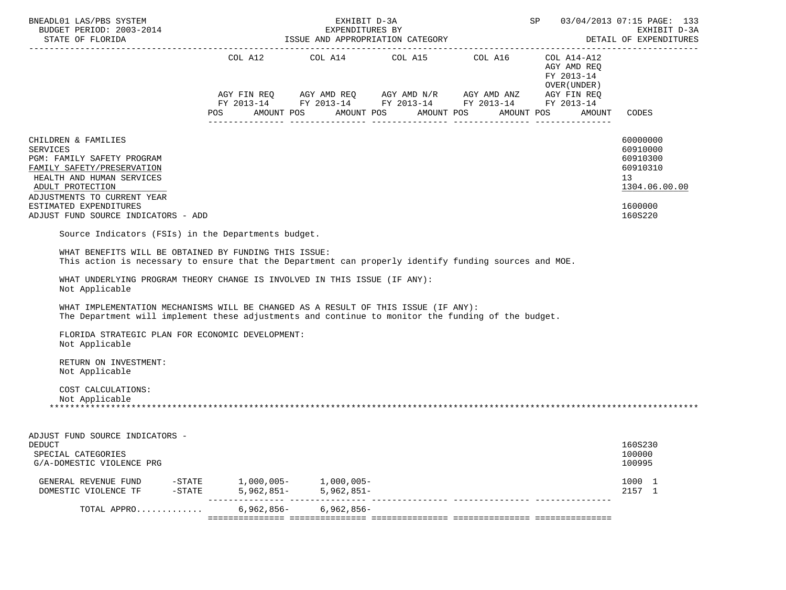| COL A12 COL A14 COL A15 COL A16 COL A14-A12                                                                                                                                                                                                                                                                      |                                                                          |
|------------------------------------------------------------------------------------------------------------------------------------------------------------------------------------------------------------------------------------------------------------------------------------------------------------------|--------------------------------------------------------------------------|
| AGY AMD REQ<br>FY 2013-14<br>OVER (UNDER )<br>$AGY \text{ FIN REQ} \qquad AGY \text{ AMD REQ} \qquad AGY \text{ AMD } N/R \qquad AGY \text{ AMD ANZ} \qquad AGY \text{ FIN REQ}$<br>FY 2013-14 FY 2013-14 FY 2013-14 FY 2013-14 FY 2013-14<br>POS AMOUNT POS AMOUNT POS AMOUNT POS<br>AMOUNT POS<br>AMOUNT CODES |                                                                          |
| CHILDREN & FAMILIES<br><b>SERVICES</b><br>PGM: FAMILY SAFETY PROGRAM<br>FAMILY SAFETY/PRESERVATION<br>HEALTH AND HUMAN SERVICES<br>13<br>ADULT PROTECTION<br>ADJUSTMENTS TO CURRENT YEAR<br>ESTIMATED EXPENDITURES                                                                                               | 60000000<br>60910000<br>60910300<br>60910310<br>1304.06.00.00<br>1600000 |
| ADJUST FUND SOURCE INDICATORS - ADD                                                                                                                                                                                                                                                                              | 160S220                                                                  |
| Source Indicators (FSIs) in the Departments budget.                                                                                                                                                                                                                                                              |                                                                          |
| WHAT BENEFITS WILL BE OBTAINED BY FUNDING THIS ISSUE:<br>This action is necessary to ensure that the Department can properly identify funding sources and MOE.                                                                                                                                                   |                                                                          |
| WHAT UNDERLYING PROGRAM THEORY CHANGE IS INVOLVED IN THIS ISSUE (IF ANY):<br>Not Applicable<br>WHAT IMPLEMENTATION MECHANISMS WILL BE CHANGED AS A RESULT OF THIS ISSUE (IF ANY):                                                                                                                                |                                                                          |
| The Department will implement these adjustments and continue to monitor the funding of the budget.                                                                                                                                                                                                               |                                                                          |
| FLORIDA STRATEGIC PLAN FOR ECONOMIC DEVELOPMENT:<br>Not Applicable                                                                                                                                                                                                                                               |                                                                          |
| RETURN ON INVESTMENT:<br>Not Applicable                                                                                                                                                                                                                                                                          |                                                                          |
| COST CALCULATIONS:<br>Not Applicable                                                                                                                                                                                                                                                                             |                                                                          |
| ADJUST FUND SOURCE INDICATORS -<br><b>DEDUCT</b><br>SPECIAL CATEGORIES<br>G/A-DOMESTIC VIOLENCE PRG                                                                                                                                                                                                              | 160S230<br>100000<br>100995                                              |
| $-STATE$ 1,000,005- 1,000,005-<br>GENERAL REVENUE FUND<br>$-STATE$<br>$5,962,851 - 5,962,851 -$<br>DOMESTIC VIOLENCE TF                                                                                                                                                                                          | 1000 1<br>2157 1                                                         |
| $6,962,856-$<br>$6,962,856-$<br>TOTAL APPRO                                                                                                                                                                                                                                                                      |                                                                          |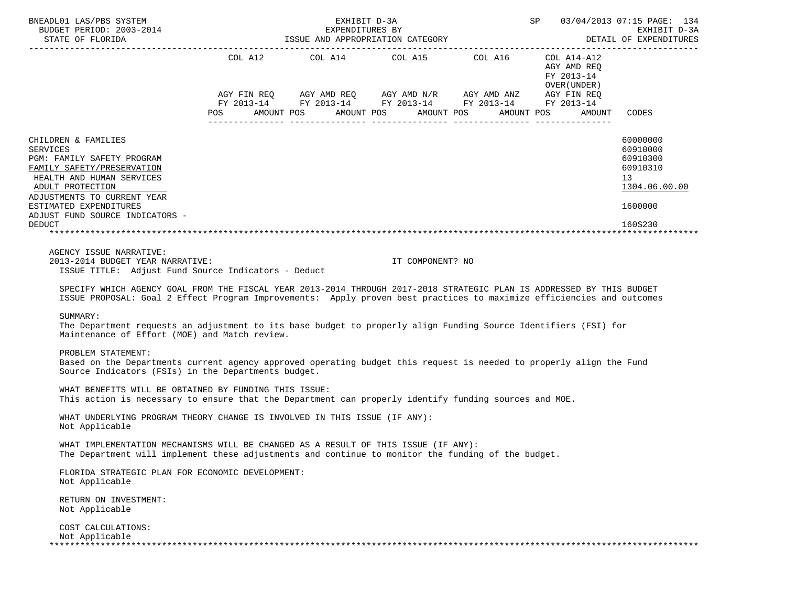| BNEADL01 LAS/PBS SYSTEM<br>BUDGET PERIOD: 2003-2014                                                                                                                                                                                                                                                                                                                                                                                                                                                         |            | EXHIBIT D-3A | SP 03/04/2013 07:15 PAGE: 134                                                                                                                                                                                       | EXHIBIT D-3A<br>DETAIL OF EXPENDITURES |                                                             |                                                                                |
|-------------------------------------------------------------------------------------------------------------------------------------------------------------------------------------------------------------------------------------------------------------------------------------------------------------------------------------------------------------------------------------------------------------------------------------------------------------------------------------------------------------|------------|--------------|---------------------------------------------------------------------------------------------------------------------------------------------------------------------------------------------------------------------|----------------------------------------|-------------------------------------------------------------|--------------------------------------------------------------------------------|
|                                                                                                                                                                                                                                                                                                                                                                                                                                                                                                             | <b>POS</b> |              | COL A12 COL A14 COL A15 COL A16 COL A14-A12<br>AGY FIN REQ AGY AMD REQ AGY AMD N/R AGY AMD ANZ AGY FIN REQ<br>FY 2013-14 FY 2013-14 FY 2013-14 FY 2013-14 FY 2013-14<br>AMOUNT POS AMOUNT POS AMOUNT POS AMOUNT POS |                                        | AGY AMD REQ<br>FY 2013-14<br>OVER ( UNDER )<br>AMOUNT CODES |                                                                                |
| CHILDREN & FAMILIES<br><b>SERVICES</b><br>PGM: FAMILY SAFETY PROGRAM<br>FAMILY SAFETY/PRESERVATION<br>HEALTH AND HUMAN SERVICES<br>ADULT PROTECTION<br>ADJUSTMENTS TO CURRENT YEAR<br>ESTIMATED EXPENDITURES<br>ADJUST FUND SOURCE INDICATORS -                                                                                                                                                                                                                                                             |            |              |                                                                                                                                                                                                                     |                                        |                                                             | 60000000<br>60910000<br>60910300<br>60910310<br>13<br>1304.06.00.00<br>1600000 |
| <b>DEDUCT</b>                                                                                                                                                                                                                                                                                                                                                                                                                                                                                               |            |              |                                                                                                                                                                                                                     |                                        |                                                             | 160S230                                                                        |
| ISSUE TITLE: Adjust Fund Source Indicators - Deduct<br>SPECIFY WHICH AGENCY GOAL FROM THE FISCAL YEAR 2013-2014 THROUGH 2017-2018 STRATEGIC PLAN IS ADDRESSED BY THIS BUDGET<br>ISSUE PROPOSAL: Goal 2 Effect Program Improvements: Apply proven best practices to maximize efficiencies and outcomes<br>SUMMARY:<br>The Department requests an adjustment to its base budget to properly align Funding Source Identifiers (FSI) for<br>Maintenance of Effort (MOE) and Match review.<br>PROBLEM STATEMENT: |            |              |                                                                                                                                                                                                                     |                                        |                                                             |                                                                                |
| Based on the Departments current agency approved operating budget this request is needed to properly align the Fund<br>Source Indicators (FSIs) in the Departments budget.                                                                                                                                                                                                                                                                                                                                  |            |              |                                                                                                                                                                                                                     |                                        |                                                             |                                                                                |
| WHAT BENEFITS WILL BE OBTAINED BY FUNDING THIS ISSUE:<br>This action is necessary to ensure that the Department can properly identify funding sources and MOE.                                                                                                                                                                                                                                                                                                                                              |            |              |                                                                                                                                                                                                                     |                                        |                                                             |                                                                                |
| WHAT UNDERLYING PROGRAM THEORY CHANGE IS INVOLVED IN THIS ISSUE (IF ANY):<br>Not Applicable                                                                                                                                                                                                                                                                                                                                                                                                                 |            |              |                                                                                                                                                                                                                     |                                        |                                                             |                                                                                |
| WHAT IMPLEMENTATION MECHANISMS WILL BE CHANGED AS A RESULT OF THIS ISSUE (IF ANY):<br>The Department will implement these adjustments and continue to monitor the funding of the budget.                                                                                                                                                                                                                                                                                                                    |            |              |                                                                                                                                                                                                                     |                                        |                                                             |                                                                                |
| FLORIDA STRATEGIC PLAN FOR ECONOMIC DEVELOPMENT:<br>Not Applicable                                                                                                                                                                                                                                                                                                                                                                                                                                          |            |              |                                                                                                                                                                                                                     |                                        |                                                             |                                                                                |
| RETURN ON INVESTMENT:<br>Not Applicable                                                                                                                                                                                                                                                                                                                                                                                                                                                                     |            |              |                                                                                                                                                                                                                     |                                        |                                                             |                                                                                |
| COST CALCULATIONS:<br>Not Applicable                                                                                                                                                                                                                                                                                                                                                                                                                                                                        |            |              |                                                                                                                                                                                                                     |                                        |                                                             |                                                                                |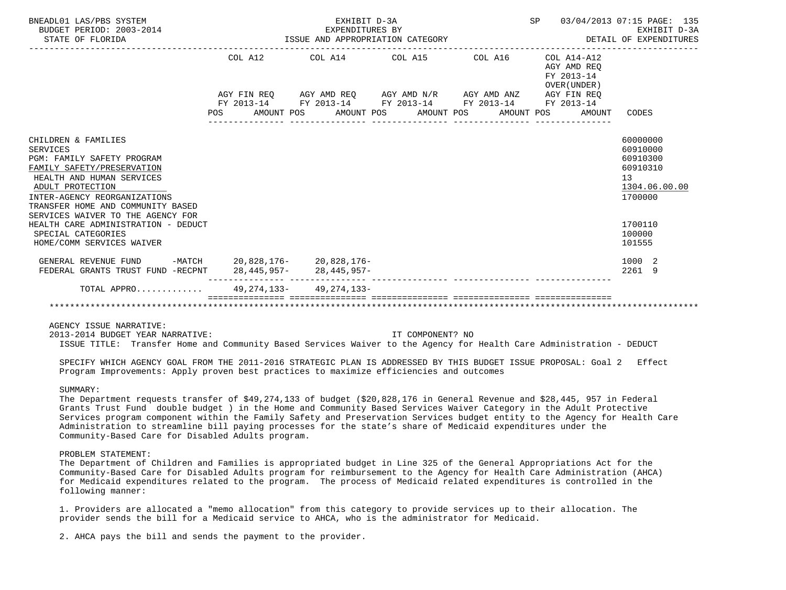| BNEADL01 LAS/PBS SYSTEM<br>BUDGET PERIOD: 2003-2014<br>STATE OF FLORIDA                                                                                                                                                                                       | EXPENDITURES BY<br>ISSUE AND APPROPRIATION CATEGORY | SP 03/04/2013 07:15 PAGE: 135<br>EARLBII D-3A<br>DETAIL OF EXPENDITURES                                                                                       | EXHIBIT D-3A |                                                          |                                                                                |
|---------------------------------------------------------------------------------------------------------------------------------------------------------------------------------------------------------------------------------------------------------------|-----------------------------------------------------|---------------------------------------------------------------------------------------------------------------------------------------------------------------|--------------|----------------------------------------------------------|--------------------------------------------------------------------------------|
|                                                                                                                                                                                                                                                               |                                                     | COL A12 COL A14 COL A15 COL A16                                                                                                                               |              | COL A14-A12<br>AGY AMD REO<br>FY 2013-14<br>OVER (UNDER) |                                                                                |
|                                                                                                                                                                                                                                                               |                                                     | AGY FIN REQ AGY AMD REQ AGY AMD N/R AGY AMD ANZ AGY FIN REQ<br>FY 2013-14 FY 2013-14 FY 2013-14 FY 2013-14 FY 2013-14<br>POS AMOUNT POS AMOUNT POS AMOUNT POS |              | AMOUNT POS AMOUNT CODES                                  |                                                                                |
| CHILDREN & FAMILIES<br><b>SERVICES</b><br>PGM: FAMILY SAFETY PROGRAM<br>FAMILY SAFETY/PRESERVATION<br>HEALTH AND HUMAN SERVICES<br>ADULT PROTECTION<br>INTER-AGENCY REORGANIZATIONS<br>TRANSFER HOME AND COMMUNITY BASED<br>SERVICES WAIVER TO THE AGENCY FOR |                                                     |                                                                                                                                                               |              |                                                          | 60000000<br>60910000<br>60910300<br>60910310<br>13<br>1304.06.00.00<br>1700000 |
| HEALTH CARE ADMINISTRATION - DEDUCT<br>SPECIAL CATEGORIES<br>HOME/COMM SERVICES WAIVER                                                                                                                                                                        |                                                     |                                                                                                                                                               |              |                                                          | 1700110<br>100000<br>101555                                                    |
| GENERAL REVENUE FUND -MATCH 20,828,176- 20,828,176-<br>FEDERAL GRANTS TRUST FUND -RECPNT 28,445,957- 28,445,957-                                                                                                                                              |                                                     |                                                                                                                                                               |              |                                                          | 1000 2<br>2261 9                                                               |
| TOTAL APPRO 49, 274, 133- 49, 274, 133-                                                                                                                                                                                                                       |                                                     |                                                                                                                                                               |              |                                                          |                                                                                |
| AGENCY ISSUE NARRATIVE:                                                                                                                                                                                                                                       |                                                     |                                                                                                                                                               |              |                                                          |                                                                                |
| 2013-2014 BUDGET YEAR NARRATIVE:                                                                                                                                                                                                                              |                                                     | IT COMPONENT? NO                                                                                                                                              |              |                                                          |                                                                                |
| ISSUE TITLE: Transfer Home and Community Based Services Waiver to the Agency for Health Care Administration - DEDUCT<br>SPECIFY WHICH AGENCY GOAL FROM THE 2011-2016 STRATEGIC PLAN IS ADDRESSED BY THIS BUDGET ISSUE PROPOSAL: Goal 2 Effect                 |                                                     |                                                                                                                                                               |              |                                                          |                                                                                |

SUMMARY:

 The Department requests transfer of \$49,274,133 of budget (\$20,828,176 in General Revenue and \$28,445, 957 in Federal Grants Trust Fund double budget ) in the Home and Community Based Services Waiver Category in the Adult Protective Services program component within the Family Safety and Preservation Services budget entity to the Agency for Health Care Administration to streamline bill paying processes for the state's share of Medicaid expenditures under the Community-Based Care for Disabled Adults program.

### PROBLEM STATEMENT:

 The Department of Children and Families is appropriated budget in Line 325 of the General Appropriations Act for the Community-Based Care for Disabled Adults program for reimbursement to the Agency for Health Care Administration (AHCA) for Medicaid expenditures related to the program. The process of Medicaid related expenditures is controlled in the following manner:

 1. Providers are allocated a "memo allocation" from this category to provide services up to their allocation. The provider sends the bill for a Medicaid service to AHCA, who is the administrator for Medicaid.

Program Improvements: Apply proven best practices to maximize efficiencies and outcomes

2. AHCA pays the bill and sends the payment to the provider.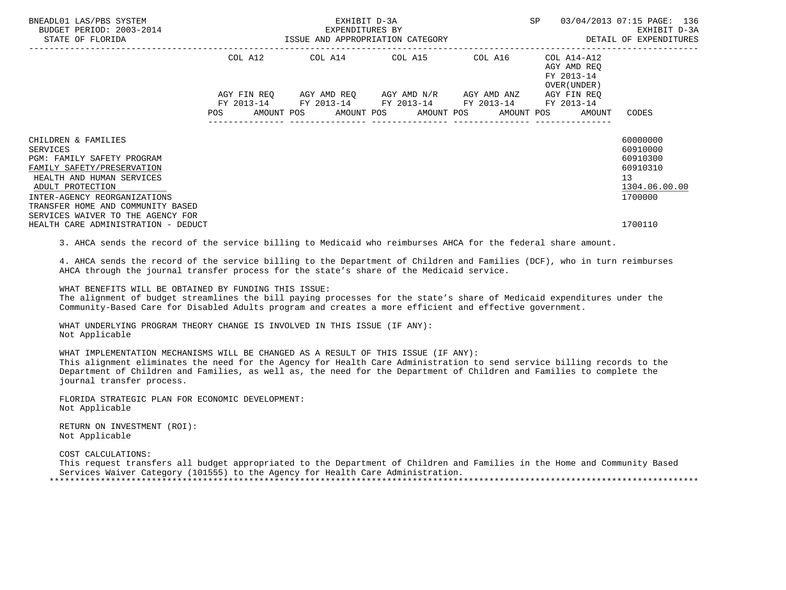| BNEADL01 LAS/PBS SYSTEM<br>BUDGET PERIOD: 2003-2014<br>STATE OF FLORIDA                                | EXHIBIT D-3A<br>EXPENDITURES BY<br>ISSUE AND APPROPRIATION CATEGORY |            |  |                                                                                                                         |  |  | SP |                               | 03/04/2013 07:15 PAGE: 136<br>EXHIBIT D-3A<br>DETAIL OF EXPENDITURES |                                                          |                      |
|--------------------------------------------------------------------------------------------------------|---------------------------------------------------------------------|------------|--|-------------------------------------------------------------------------------------------------------------------------|--|--|----|-------------------------------|----------------------------------------------------------------------|----------------------------------------------------------|----------------------|
|                                                                                                        |                                                                     | COL A12    |  | COL A14 COL A15 COL A16                                                                                                 |  |  |    | ----------------------------- |                                                                      | COL A14-A12<br>AGY AMD REO<br>FY 2013-14<br>OVER (UNDER) |                      |
|                                                                                                        | POS                                                                 | FY 2013-14 |  | AGY FIN REQ AGY AMD REQ AGY AMD N/R AGY AMD ANZ<br>FY 2013-14 FY 2013-14 FY 2013-14<br>AMOUNT POS AMOUNT POS AMOUNT POS |  |  |    | AMOUNT POS                    |                                                                      | AGY FIN REQ<br>FY 2013-14<br>AMOUNT                      | CODES                |
| CHILDREN & FAMILIES                                                                                    |                                                                     |            |  |                                                                                                                         |  |  |    |                               |                                                                      |                                                          | 60000000             |
| SERVICES                                                                                               |                                                                     |            |  |                                                                                                                         |  |  |    |                               |                                                                      |                                                          | 60910000             |
| <b>PGM: FAMILY SAFETY PROGRAM</b>                                                                      |                                                                     |            |  |                                                                                                                         |  |  |    |                               |                                                                      |                                                          | 60910300<br>60910310 |
| FAMILY SAFETY/PRESERVATION<br>HEALTH AND HUMAN SERVICES                                                |                                                                     |            |  |                                                                                                                         |  |  |    |                               |                                                                      |                                                          | 13                   |
| ADULT PROTECTION                                                                                       |                                                                     |            |  |                                                                                                                         |  |  |    |                               |                                                                      |                                                          | 1304.06.00.00        |
| INTER-AGENCY REORGANIZATIONS<br>TRANSFER HOME AND COMMUNITY BASED<br>SERVICES WAIVER TO THE AGENCY FOR |                                                                     |            |  |                                                                                                                         |  |  |    |                               |                                                                      |                                                          | 1700000              |
| HEALTH CARE ADMINISTRATION - DEDUCT                                                                    |                                                                     |            |  |                                                                                                                         |  |  |    |                               |                                                                      |                                                          | 1700110              |

3. AHCA sends the record of the service billing to Medicaid who reimburses AHCA for the federal share amount.

 4. AHCA sends the record of the service billing to the Department of Children and Families (DCF), who in turn reimburses AHCA through the journal transfer process for the state's share of the Medicaid service.

 WHAT BENEFITS WILL BE OBTAINED BY FUNDING THIS ISSUE: The alignment of budget streamlines the bill paying processes for the state's share of Medicaid expenditures under the Community-Based Care for Disabled Adults program and creates a more efficient and effective government.

 WHAT UNDERLYING PROGRAM THEORY CHANGE IS INVOLVED IN THIS ISSUE (IF ANY): Not Applicable

 WHAT IMPLEMENTATION MECHANISMS WILL BE CHANGED AS A RESULT OF THIS ISSUE (IF ANY): This alignment eliminates the need for the Agency for Health Care Administration to send service billing records to the Department of Children and Families, as well as, the need for the Department of Children and Families to complete the journal transfer process.

 FLORIDA STRATEGIC PLAN FOR ECONOMIC DEVELOPMENT: Not Applicable

 RETURN ON INVESTMENT (ROI): Not Applicable

COST CALCULATIONS:

 This request transfers all budget appropriated to the Department of Children and Families in the Home and Community Based Services Waiver Category (101555) to the Agency for Health Care Administration. \*\*\*\*\*\*\*\*\*\*\*\*\*\*\*\*\*\*\*\*\*\*\*\*\*\*\*\*\*\*\*\*\*\*\*\*\*\*\*\*\*\*\*\*\*\*\*\*\*\*\*\*\*\*\*\*\*\*\*\*\*\*\*\*\*\*\*\*\*\*\*\*\*\*\*\*\*\*\*\*\*\*\*\*\*\*\*\*\*\*\*\*\*\*\*\*\*\*\*\*\*\*\*\*\*\*\*\*\*\*\*\*\*\*\*\*\*\*\*\*\*\*\*\*\*\*\*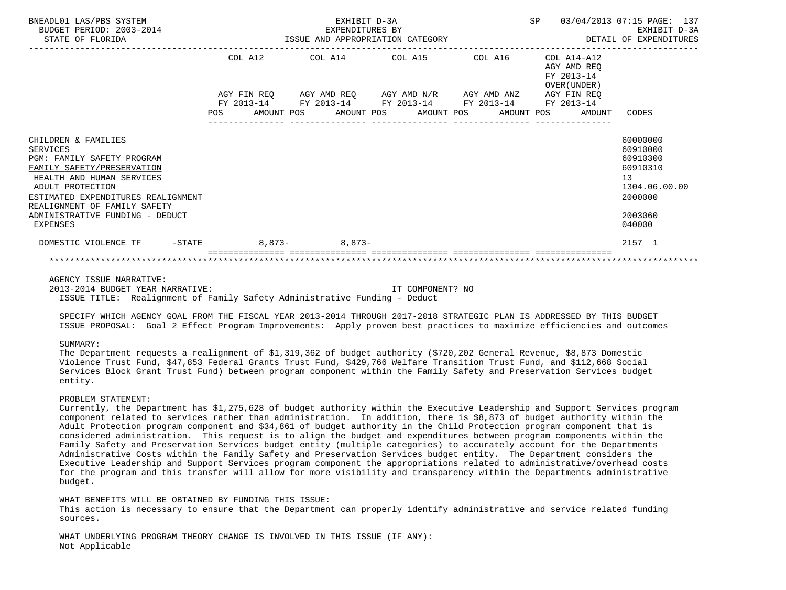| BNEADL01 LAS/PBS SYSTEM<br>BUDGET PERIOD: 2003-2014<br>STATE OF FLORIDA STATE OF STATE OF STATE OF STATE OF STATE OF STATE OF STATE OF STATE OF STATE OF STATE OF STATE OF STATE OF STATE OF STATE OF STATE OF STATE OF STATE OF STATE OF STATE OF STATE OF STATE OF STATE OF STATE O |  | EXPENDITURES BY | EXHIBIT D-3A                                                                                                                                                    |  |                                                              | SP 03/04/2013 07:15 PAGE: 137<br>EXHIBIT D-3A<br>DETAIL OF EXPENDITURES                             |
|---------------------------------------------------------------------------------------------------------------------------------------------------------------------------------------------------------------------------------------------------------------------------------------|--|-----------------|-----------------------------------------------------------------------------------------------------------------------------------------------------------------|--|--------------------------------------------------------------|-----------------------------------------------------------------------------------------------------|
|                                                                                                                                                                                                                                                                                       |  |                 | COL A12 COL A14 COL A15 COL A16 COL A14-A12                                                                                                                     |  | AGY AMD REO<br>FY 2013-14<br>OVER (UNDER)                    |                                                                                                     |
|                                                                                                                                                                                                                                                                                       |  |                 | AGY FIN REQ AGY AMD REQ AGY AMD N/R AGY AMD ANZ AGY FIN REQ<br>FY 2013-14 FY 2013-14 FY 2013-14 FY 2013-14 FY 2013-14<br>______________________________________ |  | POS AMOUNT POS AMOUNT POS AMOUNT POS AMOUNT POS AMOUNT CODES |                                                                                                     |
| CHILDREN & FAMILIES<br><b>SERVICES</b><br>PGM: FAMILY SAFETY PROGRAM<br>FAMILY SAFETY/PRESERVATION<br>HEALTH AND HUMAN SERVICES<br>ADULT PROTECTION<br>ESTIMATED EXPENDITURES REALIGNMENT<br>REALIGNMENT OF FAMILY SAFETY<br>ADMINISTRATIVE FUNDING - DEDUCT<br>EXPENSES              |  |                 |                                                                                                                                                                 |  |                                                              | 60000000<br>60910000<br>60910300<br>60910310<br>13<br>1304.06.00.00<br>2000000<br>2003060<br>040000 |
| DOMESTIC VIOLENCE TF -STATE 8,873-<br>8,873-                                                                                                                                                                                                                                          |  |                 |                                                                                                                                                                 |  |                                                              | 2157 1                                                                                              |
|                                                                                                                                                                                                                                                                                       |  |                 |                                                                                                                                                                 |  |                                                              |                                                                                                     |

 AGENCY ISSUE NARRATIVE: 2013-2014 BUDGET YEAR NARRATIVE: IT COMPONENT? NO ISSUE TITLE: Realignment of Family Safety Administrative Funding - Deduct

 SPECIFY WHICH AGENCY GOAL FROM THE FISCAL YEAR 2013-2014 THROUGH 2017-2018 STRATEGIC PLAN IS ADDRESSED BY THIS BUDGET ISSUE PROPOSAL: Goal 2 Effect Program Improvements: Apply proven best practices to maximize efficiencies and outcomes

#### SUMMARY:

 The Department requests a realignment of \$1,319,362 of budget authority (\$720,202 General Revenue, \$8,873 Domestic Violence Trust Fund, \$47,853 Federal Grants Trust Fund, \$429,766 Welfare Transition Trust Fund, and \$112,668 Social Services Block Grant Trust Fund) between program component within the Family Safety and Preservation Services budget entity.

### PROBLEM STATEMENT:

 Currently, the Department has \$1,275,628 of budget authority within the Executive Leadership and Support Services program component related to services rather than administration. In addition, there is \$8,873 of budget authority within the Adult Protection program component and \$34,861 of budget authority in the Child Protection program component that is considered administration. This request is to align the budget and expenditures between program components within the Family Safety and Preservation Services budget entity (multiple categories) to accurately account for the Departments Administrative Costs within the Family Safety and Preservation Services budget entity. The Department considers the Executive Leadership and Support Services program component the appropriations related to administrative/overhead costs for the program and this transfer will allow for more visibility and transparency within the Departments administrative budget.

WHAT BENEFITS WILL BE OBTAINED BY FUNDING THIS ISSUE: This action is necessary to ensure that the Department can properly identify administrative and service related funding sources.

 WHAT UNDERLYING PROGRAM THEORY CHANGE IS INVOLVED IN THIS ISSUE (IF ANY): Not Applicable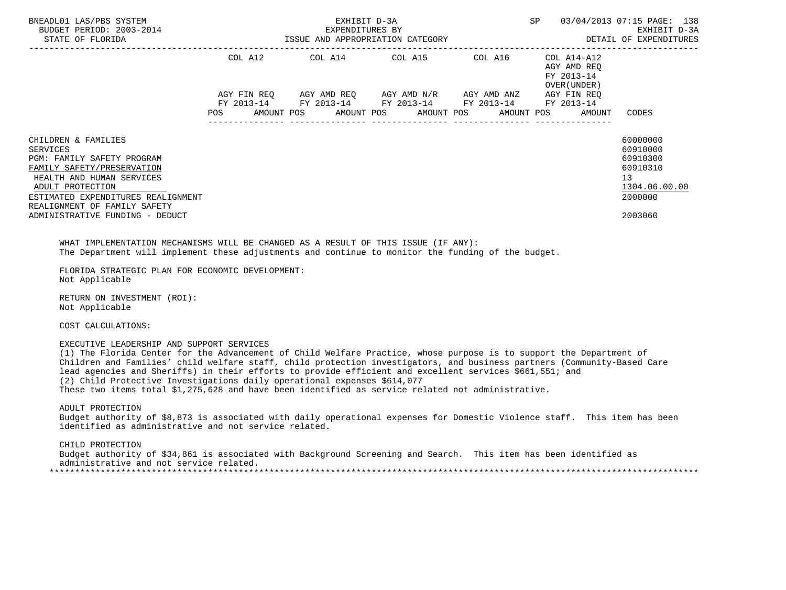| BNEADL01 LAS/PBS SYSTEM<br>BUDGET PERIOD: 2003-2014<br>STATE OF FLORIDA                                                                                                                                                                                                                     |         | EXHIBIT D-3A<br>EXPENDITURES BY<br>ISSUE AND APPROPRIATION CATEGORY                                                                                                                                      | SP<br>03/04/2013 07:15 PAGE: 138<br>EXHIBIT D-3A<br>DETAIL OF EXPENDITURES |                                                                   |                                                                                           |
|---------------------------------------------------------------------------------------------------------------------------------------------------------------------------------------------------------------------------------------------------------------------------------------------|---------|----------------------------------------------------------------------------------------------------------------------------------------------------------------------------------------------------------|----------------------------------------------------------------------------|-------------------------------------------------------------------|-------------------------------------------------------------------------------------------|
|                                                                                                                                                                                                                                                                                             | POS FOR | COL A12 COL A14 COL A15 COL A16 COL A14-A12<br>AGY FIN REQ AGY AMD REQ AGY AMD N/R AGY AMD ANZ AGY FIN REQ<br>FY 2013-14 FY 2013-14 FY 2013-14 FY 2013-14 FY 2013-14<br>AMOUNT POS AMOUNT POS AMOUNT POS |                                                                            | AGY AMD REO<br>FY 2013-14<br>OVER (UNDER)<br>AMOUNT POS<br>AMOUNT | CODES                                                                                     |
| CHILDREN & FAMILIES<br><b>SERVICES</b><br>PGM: FAMILY SAFETY PROGRAM<br>FAMILY SAFETY/PRESERVATION<br>HEALTH AND HUMAN SERVICES<br>ADULT PROTECTION<br>ESTIMATED EXPENDITURES REALIGNMENT<br>REALIGNMENT OF FAMILY SAFETY<br>ADMINISTRATIVE FUNDING - DEDUCT                                |         |                                                                                                                                                                                                          |                                                                            |                                                                   | 60000000<br>60910000<br>60910300<br>60910310<br>13<br>1304.06.00.00<br>2000000<br>2003060 |
| WHAT IMPLEMENTATION MECHANISMS WILL BE CHANGED AS A RESULT OF THIS ISSUE (IF ANY):<br>The Department will implement these adjustments and continue to monitor the funding of the budget.<br>FLORIDA STRATEGIC PLAN FOR ECONOMIC DEVELOPMENT:<br>Not Applicable                              |         |                                                                                                                                                                                                          |                                                                            |                                                                   |                                                                                           |
| RETURN ON INVESTMENT (ROI):<br>Not Applicable                                                                                                                                                                                                                                               |         |                                                                                                                                                                                                          |                                                                            |                                                                   |                                                                                           |
| COST CALCULATIONS:                                                                                                                                                                                                                                                                          |         |                                                                                                                                                                                                          |                                                                            |                                                                   |                                                                                           |
| EXECUTIVE LEADERSHIP AND SUPPORT SERVICES<br>(1) The Florida Center for the Advancement of Child Welfare Practice, whose purpose is to support the Department of<br>Children and Families' child welfare staff, child protection investigators, and business partners (Community-Based Care |         |                                                                                                                                                                                                          |                                                                            |                                                                   |                                                                                           |

 lead agencies and Sheriffs) in their efforts to provide efficient and excellent services \$661,551; and (2) Child Protective Investigations daily operational expenses \$614,077

These two items total \$1,275,628 and have been identified as service related not administrative.

 ADULT PROTECTION Budget authority of \$8,873 is associated with daily operational expenses for Domestic Violence staff. This item has been identified as administrative and not service related.

 CHILD PROTECTION Budget authority of \$34,861 is associated with Background Screening and Search. This item has been identified as administrative and not service related. \*\*\*\*\*\*\*\*\*\*\*\*\*\*\*\*\*\*\*\*\*\*\*\*\*\*\*\*\*\*\*\*\*\*\*\*\*\*\*\*\*\*\*\*\*\*\*\*\*\*\*\*\*\*\*\*\*\*\*\*\*\*\*\*\*\*\*\*\*\*\*\*\*\*\*\*\*\*\*\*\*\*\*\*\*\*\*\*\*\*\*\*\*\*\*\*\*\*\*\*\*\*\*\*\*\*\*\*\*\*\*\*\*\*\*\*\*\*\*\*\*\*\*\*\*\*\*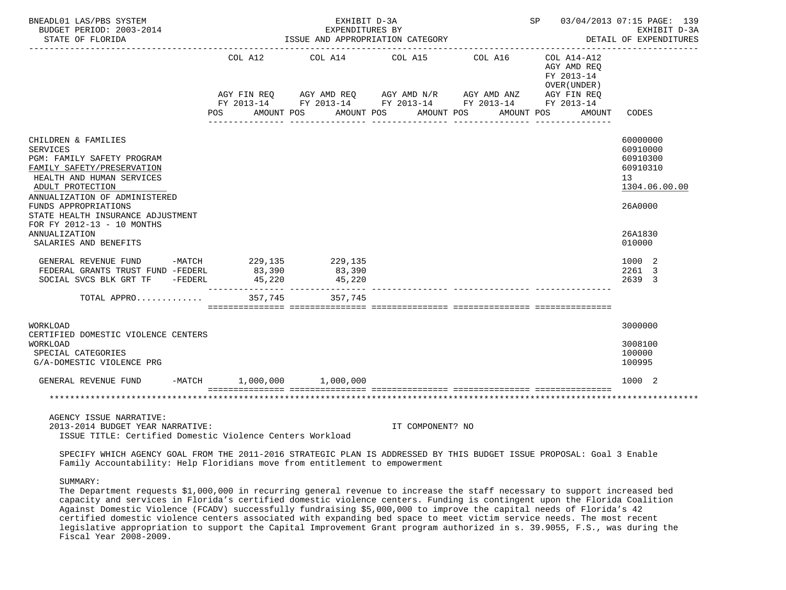| BNEADL01 LAS/PBS SYSTEM<br>BUDGET PERIOD: 2003-2014<br>STATE OF FLORIDA                                                                                                                                                                                                                | ISSUE AND APPROPRIATION CATEGORY | SP 03/04/2013 07:15 PAGE: 139<br>EXHIBIT D-3A<br>DETAIL OF EXPENDITURES |                                                                                                                                                                      |                                                                                  |                                                                                             |
|----------------------------------------------------------------------------------------------------------------------------------------------------------------------------------------------------------------------------------------------------------------------------------------|----------------------------------|-------------------------------------------------------------------------|----------------------------------------------------------------------------------------------------------------------------------------------------------------------|----------------------------------------------------------------------------------|---------------------------------------------------------------------------------------------|
|                                                                                                                                                                                                                                                                                        | COL A12<br>POS FOR               | COL A14<br>AMOUNT POS                                                   | COL A15 COL A16<br>AGY FIN REQ AGY AMD REQ AGY AMD N/R AGY AMD ANZ AGY FIN REQ<br>FY 2013-14 FY 2013-14 FY 2013-14 FY 2013-14 FY 2013-14<br>AMOUNT POS<br>AMOUNT POS | COL A14-A12<br>AGY AMD REO<br>FY 2013-14<br>OVER (UNDER)<br>AMOUNT POS<br>AMOUNT | CODES                                                                                       |
| CHILDREN & FAMILIES<br><b>SERVICES</b><br><b>PGM: FAMILY SAFETY PROGRAM</b><br>FAMILY SAFETY/PRESERVATION<br>HEALTH AND HUMAN SERVICES<br>ADULT PROTECTION<br>ANNUALIZATION OF ADMINISTERED<br>FUNDS APPROPRIATIONS<br>STATE HEALTH INSURANCE ADJUSTMENT<br>FOR FY 2012-13 - 10 MONTHS |                                  |                                                                         |                                                                                                                                                                      |                                                                                  | 60000000<br>60910000<br>60910300<br>60910310<br>13 <sup>°</sup><br>1304.06.00.00<br>26A0000 |
| ANNUALIZATION<br>SALARIES AND BENEFITS                                                                                                                                                                                                                                                 |                                  |                                                                         |                                                                                                                                                                      |                                                                                  | 26A1830<br>010000                                                                           |
| GENERAL REVENUE FUND -MATCH 229,135<br>FEDERAL GRANTS TRUST FUND -FEDERL<br>SOCIAL SVCS BLK GRT TF -FEDERL                                                                                                                                                                             | 83,390<br>45,220                 | 229,135<br>83,390<br>45,220                                             |                                                                                                                                                                      |                                                                                  | 1000 2<br>2261 3<br>2639 3                                                                  |
| TOTAL APPRO                                                                                                                                                                                                                                                                            | 357,745                          | 357,745                                                                 |                                                                                                                                                                      |                                                                                  |                                                                                             |
| <b>WORKLOAD</b><br>CERTIFIED DOMESTIC VIOLENCE CENTERS<br><b>WORKLOAD</b><br>SPECIAL CATEGORIES<br>G/A-DOMESTIC VIOLENCE PRG                                                                                                                                                           |                                  |                                                                         |                                                                                                                                                                      |                                                                                  | 3000000<br>3008100<br>100000<br>100995                                                      |
| GENERAL REVENUE FUND                                                                                                                                                                                                                                                                   | $-MATCH$ 1,000,000 1,000,000     |                                                                         |                                                                                                                                                                      |                                                                                  | 1000 2                                                                                      |
|                                                                                                                                                                                                                                                                                        |                                  |                                                                         |                                                                                                                                                                      |                                                                                  |                                                                                             |
| AGENCY ISSUE NARRATIVE:<br>2013-2014 BUDGET YEAR NARRATIVE:<br>ISSUE TITLE: Certified Domestic Violence Centers Workload                                                                                                                                                               |                                  |                                                                         | IT COMPONENT? NO                                                                                                                                                     |                                                                                  |                                                                                             |

 SPECIFY WHICH AGENCY GOAL FROM THE 2011-2016 STRATEGIC PLAN IS ADDRESSED BY THIS BUDGET ISSUE PROPOSAL: Goal 3 Enable Family Accountability: Help Floridians move from entitlement to empowerment

# SUMMARY:

 The Department requests \$1,000,000 in recurring general revenue to increase the staff necessary to support increased bed capacity and services in Florida's certified domestic violence centers. Funding is contingent upon the Florida Coalition Against Domestic Violence (FCADV) successfully fundraising \$5,000,000 to improve the capital needs of Florida's 42 certified domestic violence centers associated with expanding bed space to meet victim service needs. The most recent legislative appropriation to support the Capital Improvement Grant program authorized in s. 39.9055, F.S., was during the Fiscal Year 2008-2009.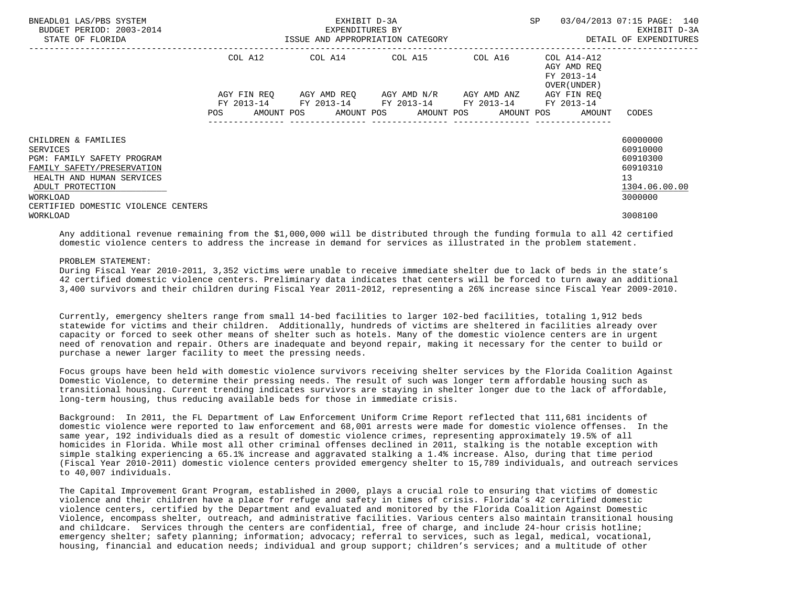| BNEADL01 LAS/PBS SYSTEM<br>BUDGET PERIOD: 2003-2014<br>STATE OF FLORIDA                                                                                                                         | ISSUE AND APPROPRIATION CATEGORY | EXHIBIT D-3A<br>EXPENDITURES BY | SP                                                                                                                                   | 03/04/2013 07:15 PAGE: 140<br>EXHIBIT D-3A<br>DETAIL OF EXPENDITURES |                                                                         |                                                                                |
|-------------------------------------------------------------------------------------------------------------------------------------------------------------------------------------------------|----------------------------------|---------------------------------|--------------------------------------------------------------------------------------------------------------------------------------|----------------------------------------------------------------------|-------------------------------------------------------------------------|--------------------------------------------------------------------------------|
|                                                                                                                                                                                                 | COL A12                          |                                 | COL A14 COL A15 COL A16<br>AGY FIN REO AGY AMD REO AGY AMD N/R AGY AMD ANZ<br>FY 2013-14 FY 2013-14 FY 2013-14 FY 2013-14 FY 2013-14 |                                                                      | COL A14-A12<br>AGY AMD REO<br>FY 2013-14<br>OVER (UNDER)<br>AGY FIN REO |                                                                                |
|                                                                                                                                                                                                 | <b>POS</b>                       |                                 |                                                                                                                                      |                                                                      | AMOUNT POS AMOUNT POS AMOUNT POS AMOUNT POS AMOUNT CODES                |                                                                                |
| CHILDREN & FAMILIES<br>SERVICES<br>PGM: FAMILY SAFETY PROGRAM<br>FAMILY SAFETY/PRESERVATION<br>HEALTH AND HUMAN SERVICES<br>ADULT PROTECTION<br>WORKLOAD<br>CERTIFIED DOMESTIC VIOLENCE CENTERS |                                  |                                 |                                                                                                                                      |                                                                      |                                                                         | 60000000<br>60910000<br>60910300<br>60910310<br>13<br>1304.06.00.00<br>3000000 |
| WORKLOAD                                                                                                                                                                                        |                                  |                                 |                                                                                                                                      |                                                                      |                                                                         | 3008100                                                                        |

 Any additional revenue remaining from the \$1,000,000 will be distributed through the funding formula to all 42 certified domestic violence centers to address the increase in demand for services as illustrated in the problem statement.

### PROBLEM STATEMENT:

 During Fiscal Year 2010-2011, 3,352 victims were unable to receive immediate shelter due to lack of beds in the state's 42 certified domestic violence centers. Preliminary data indicates that centers will be forced to turn away an additional 3,400 survivors and their children during Fiscal Year 2011-2012, representing a 26% increase since Fiscal Year 2009-2010.

 Currently, emergency shelters range from small 14-bed facilities to larger 102-bed facilities, totaling 1,912 beds statewide for victims and their children. Additionally, hundreds of victims are sheltered in facilities already over capacity or forced to seek other means of shelter such as hotels. Many of the domestic violence centers are in urgent need of renovation and repair. Others are inadequate and beyond repair, making it necessary for the center to build or purchase a newer larger facility to meet the pressing needs.

 Focus groups have been held with domestic violence survivors receiving shelter services by the Florida Coalition Against Domestic Violence, to determine their pressing needs. The result of such was longer term affordable housing such as transitional housing. Current trending indicates survivors are staying in shelter longer due to the lack of affordable, long-term housing, thus reducing available beds for those in immediate crisis.

 Background: In 2011, the FL Department of Law Enforcement Uniform Crime Report reflected that 111,681 incidents of domestic violence were reported to law enforcement and 68,001 arrests were made for domestic violence offenses. In the same year, 192 individuals died as a result of domestic violence crimes, representing approximately 19.5% of all homicides in Florida. While most all other criminal offenses declined in 2011, stalking is the notable exception with simple stalking experiencing a 65.1% increase and aggravated stalking a 1.4% increase. Also, during that time period (Fiscal Year 2010-2011) domestic violence centers provided emergency shelter to 15,789 individuals, and outreach services to 40,007 individuals.

 The Capital Improvement Grant Program, established in 2000, plays a crucial role to ensuring that victims of domestic violence and their children have a place for refuge and safety in times of crisis. Florida's 42 certified domestic violence centers, certified by the Department and evaluated and monitored by the Florida Coalition Against Domestic Violence, encompass shelter, outreach, and administrative facilities. Various centers also maintain transitional housing and childcare. Services through the centers are confidential, free of charge, and include 24-hour crisis hotline; emergency shelter; safety planning; information; advocacy; referral to services, such as legal, medical, vocational, housing, financial and education needs; individual and group support; children's services; and a multitude of other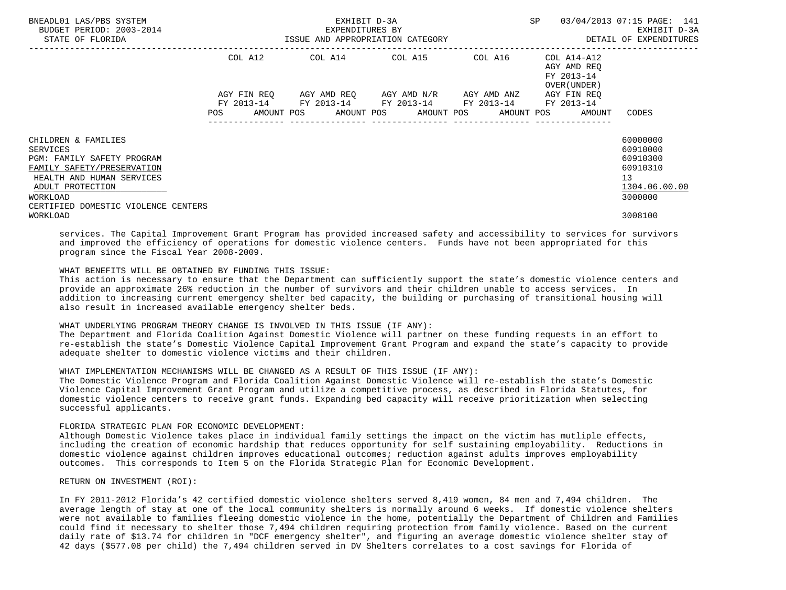| BNEADL01 LAS/PBS SYSTEM<br>BUDGET PERIOD: 2003-2014<br>STATE OF FLORIDA                                                                                                                                | ISSUE AND APPROPRIATION CATEGORY | EXHIBIT D-3A<br>EXPENDITURES BY                        |                                               | ------------------------------ | SP                                                                      | 03/04/2013 07:15 PAGE: 141<br>EXHIBIT D-3A<br>DETAIL OF EXPENDITURES           |
|--------------------------------------------------------------------------------------------------------------------------------------------------------------------------------------------------------|----------------------------------|--------------------------------------------------------|-----------------------------------------------|--------------------------------|-------------------------------------------------------------------------|--------------------------------------------------------------------------------|
|                                                                                                                                                                                                        | COL A12                          | COL A14 COL A15 COL A16                                |                                               |                                | COL A14-A12<br>AGY AMD REQ<br>FY 2013-14<br>OVER (UNDER)                |                                                                                |
|                                                                                                                                                                                                        | AGY FIN REO<br>POS               | FY 2013-14 FY 2013-14 FY 2013-14 FY 2013-14 FY 2013-14 | AGY AMD REO      AGY AMD N/R      AGY AMD ANZ |                                | AGY FIN REO<br>AMOUNT POS AMOUNT POS AMOUNT POS AMOUNT POS AMOUNT CODES |                                                                                |
| CHILDREN & FAMILIES<br>SERVICES<br><b>PGM: FAMILY SAFETY PROGRAM</b><br>FAMILY SAFETY/PRESERVATION<br>HEALTH AND HUMAN SERVICES<br>ADULT PROTECTION<br>WORKLOAD<br>CERTIFIED DOMESTIC VIOLENCE CENTERS |                                  |                                                        |                                               |                                |                                                                         | 60000000<br>60910000<br>60910300<br>60910310<br>13<br>1304.06.00.00<br>3000000 |
| WORKLOAD                                                                                                                                                                                               |                                  |                                                        |                                               |                                |                                                                         | 3008100                                                                        |

 services. The Capital Improvement Grant Program has provided increased safety and accessibility to services for survivors and improved the efficiency of operations for domestic violence centers. Funds have not been appropriated for this program since the Fiscal Year 2008-2009.

# WHAT BENEFITS WILL BE OBTAINED BY FUNDING THIS ISSUE:

 This action is necessary to ensure that the Department can sufficiently support the state's domestic violence centers and provide an approximate 26% reduction in the number of survivors and their children unable to access services. In addition to increasing current emergency shelter bed capacity, the building or purchasing of transitional housing will also result in increased available emergency shelter beds.

# WHAT UNDERLYING PROGRAM THEORY CHANGE IS INVOLVED IN THIS ISSUE (IF ANY):

 The Department and Florida Coalition Against Domestic Violence will partner on these funding requests in an effort to re-establish the state's Domestic Violence Capital Improvement Grant Program and expand the state's capacity to provide adequate shelter to domestic violence victims and their children.

## WHAT IMPLEMENTATION MECHANISMS WILL BE CHANGED AS A RESULT OF THIS ISSUE (IF ANY):

 The Domestic Violence Program and Florida Coalition Against Domestic Violence will re-establish the state's Domestic Violence Capital Improvement Grant Program and utilize a competitive process, as described in Florida Statutes, for domestic violence centers to receive grant funds. Expanding bed capacity will receive prioritization when selecting successful applicants.

### FLORIDA STRATEGIC PLAN FOR ECONOMIC DEVELOPMENT:

 Although Domestic Violence takes place in individual family settings the impact on the victim has mutliple effects, including the creation of economic hardship that reduces opportunity for self sustaining employability. Reductions in domestic violence against children improves educational outcomes; reduction against adults improves employability outcomes. This corresponds to Item 5 on the Florida Strategic Plan for Economic Development.

RETURN ON INVESTMENT (ROI):

 In FY 2011-2012 Florida's 42 certified domestic violence shelters served 8,419 women, 84 men and 7,494 children. The average length of stay at one of the local community shelters is normally around 6 weeks. If domestic violence shelters were not available to families fleeing domestic violence in the home, potentially the Department of Children and Families could find it necessary to shelter those 7,494 children requiring protection from family violence. Based on the current daily rate of \$13.74 for children in "DCF emergency shelter", and figuring an average domestic violence shelter stay of 42 days (\$577.08 per child) the 7,494 children served in DV Shelters correlates to a cost savings for Florida of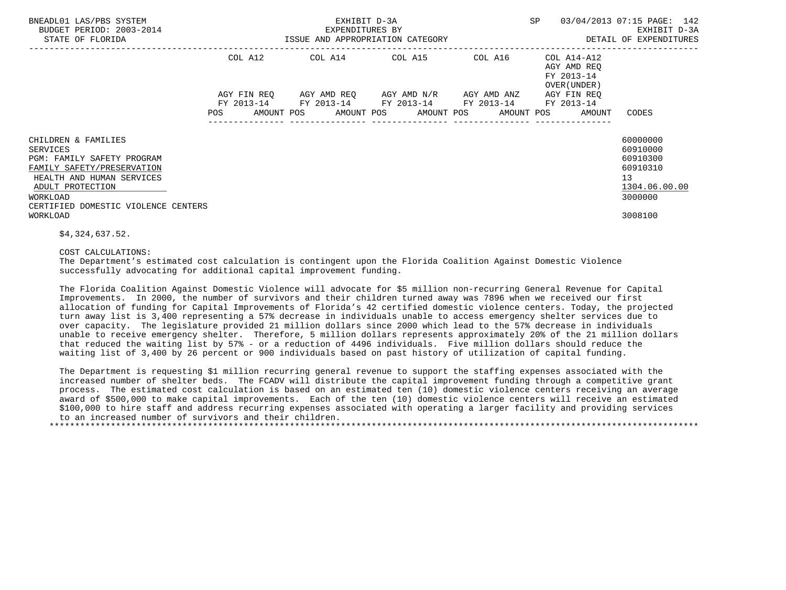| BNEADL01 LAS/PBS SYSTEM<br>BUDGET PERIOD: 2003-2014<br>STATE OF FLORIDA                                                                                                                                | ISSUE AND APPROPRIATION CATEGORY | SP                                                                                            | 03/04/2013 07:15 PAGE: 142<br>EXHIBIT D-3A<br>DETAIL OF EXPENDITURES |                                                                   |                                                                                |
|--------------------------------------------------------------------------------------------------------------------------------------------------------------------------------------------------------|----------------------------------|-----------------------------------------------------------------------------------------------|----------------------------------------------------------------------|-------------------------------------------------------------------|--------------------------------------------------------------------------------|
|                                                                                                                                                                                                        | COL A12                          | $COL A14$ $COL A15$ $COL A16$ $COL A14-A12$                                                   |                                                                      | AGY AMD REO<br>FY 2013-14<br>OVER (UNDER)                         |                                                                                |
|                                                                                                                                                                                                        | AGY FIN REO<br><b>POS</b>        | AGY AMD REO AGY AMD N/R AGY AMD ANZ<br>FY 2013-14 FY 2013-14 FY 2013-14 FY 2013-14 FY 2013-14 | ---------------                                                      | AGY FIN REQ<br>AMOUNT POS AMOUNT POS AMOUNT POS AMOUNT POS AMOUNT | CODES                                                                          |
| CHILDREN & FAMILIES<br><b>SERVICES</b><br>PGM: FAMILY SAFETY PROGRAM<br>FAMILY SAFETY/PRESERVATION<br>HEALTH AND HUMAN SERVICES<br>ADULT PROTECTION<br>WORKLOAD<br>CERTIFIED DOMESTIC VIOLENCE CENTERS |                                  |                                                                                               |                                                                      |                                                                   | 60000000<br>60910000<br>60910300<br>60910310<br>13<br>1304.06.00.00<br>3000000 |
| WORKLOAD                                                                                                                                                                                               |                                  |                                                                                               |                                                                      |                                                                   | 3008100                                                                        |

\$4,324,637.52.

COST CALCULATIONS:

 The Department's estimated cost calculation is contingent upon the Florida Coalition Against Domestic Violence successfully advocating for additional capital improvement funding.

 The Florida Coalition Against Domestic Violence will advocate for \$5 million non-recurring General Revenue for Capital Improvements. In 2000, the number of survivors and their children turned away was 7896 when we received our first allocation of funding for Capital Improvements of Florida's 42 certified domestic violence centers. Today, the projected turn away list is 3,400 representing a 57% decrease in individuals unable to access emergency shelter services due to over capacity. The legislature provided 21 million dollars since 2000 which lead to the 57% decrease in individuals unable to receive emergency shelter. Therefore, 5 million dollars represents approximately 20% of the 21 million dollars that reduced the waiting list by 57% - or a reduction of 4496 individuals. Five million dollars should reduce the waiting list of 3,400 by 26 percent or 900 individuals based on past history of utilization of capital funding.

 The Department is requesting \$1 million recurring general revenue to support the staffing expenses associated with the increased number of shelter beds. The FCADV will distribute the capital improvement funding through a competitive grant process. The estimated cost calculation is based on an estimated ten (10) domestic violence centers receiving an average award of \$500,000 to make capital improvements. Each of the ten (10) domestic violence centers will receive an estimated \$100,000 to hire staff and address recurring expenses associated with operating a larger facility and providing services to an increased number of survivors and their children.

\*\*\*\*\*\*\*\*\*\*\*\*\*\*\*\*\*\*\*\*\*\*\*\*\*\*\*\*\*\*\*\*\*\*\*\*\*\*\*\*\*\*\*\*\*\*\*\*\*\*\*\*\*\*\*\*\*\*\*\*\*\*\*\*\*\*\*\*\*\*\*\*\*\*\*\*\*\*\*\*\*\*\*\*\*\*\*\*\*\*\*\*\*\*\*\*\*\*\*\*\*\*\*\*\*\*\*\*\*\*\*\*\*\*\*\*\*\*\*\*\*\*\*\*\*\*\*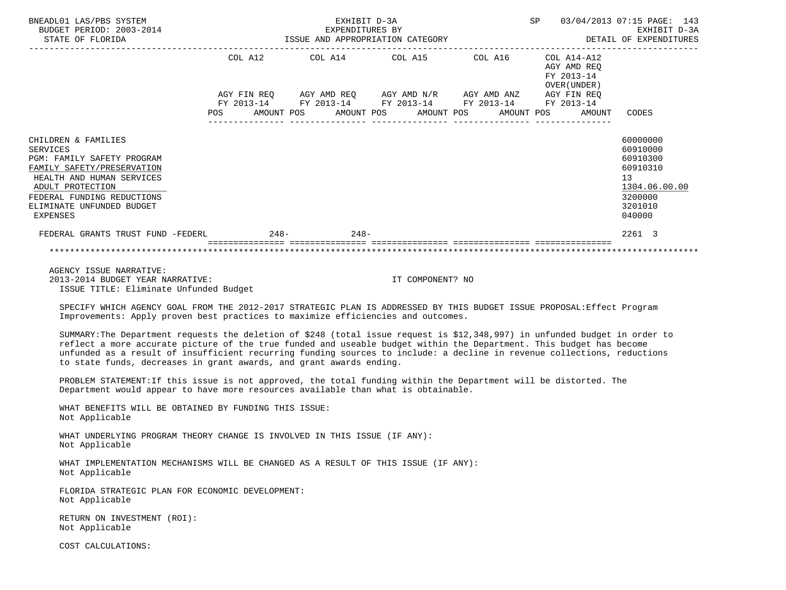| BNEADL01 LAS/PBS SYSTEM<br>BUDGET PERIOD: 2003-2014<br>STATE OF FLORIDA                                                                                                                                                    | EXHIBIT D-3A<br>EXPENDITURES BY<br>ISSUE AND APPROPRIATION CATEGORY |        |                                                                                        |                                                                                            |  |  |  |  | SP                                                       |                      | 03/04/2013 07:15 PAGE: 143<br>EXHIBIT D-3A<br>DETAIL OF EXPENDITURES                                |  |
|----------------------------------------------------------------------------------------------------------------------------------------------------------------------------------------------------------------------------|---------------------------------------------------------------------|--------|----------------------------------------------------------------------------------------|--------------------------------------------------------------------------------------------|--|--|--|--|----------------------------------------------------------|----------------------|-----------------------------------------------------------------------------------------------------|--|
|                                                                                                                                                                                                                            | COL A12                                                             |        | COL A14 COL A15 COL A16<br>AGY FIN REQ AGY AMD REQ AGY AMD N/R AGY AMD ANZ AGY FIN REQ |                                                                                            |  |  |  |  | COL A14-A12<br>AGY AMD REO<br>FY 2013-14<br>OVER (UNDER) |                      |                                                                                                     |  |
|                                                                                                                                                                                                                            | <b>POS</b>                                                          |        |                                                                                        | FY 2013-14 FY 2013-14 FY 2013-14 FY 2013-14<br>AMOUNT POS AMOUNT POS AMOUNT POS AMOUNT POS |  |  |  |  |                                                          | FY 2013-14<br>AMOUNT | CODES                                                                                               |  |
| CHILDREN & FAMILIES<br>SERVICES<br><b>PGM: FAMILY SAFETY PROGRAM</b><br>FAMILY SAFETY/PRESERVATION<br>HEALTH AND HUMAN SERVICES<br>ADULT PROTECTION<br>FEDERAL FUNDING REDUCTIONS<br>ELIMINATE UNFUNDED BUDGET<br>EXPENSES |                                                                     |        |                                                                                        |                                                                                            |  |  |  |  |                                                          |                      | 60000000<br>60910000<br>60910300<br>60910310<br>13<br>1304.06.00.00<br>3200000<br>3201010<br>040000 |  |
| FEDERAL GRANTS TRUST FUND -FEDERL                                                                                                                                                                                          |                                                                     | $248-$ |                                                                                        | $248-$                                                                                     |  |  |  |  |                                                          |                      | 2261 3                                                                                              |  |
|                                                                                                                                                                                                                            |                                                                     |        |                                                                                        |                                                                                            |  |  |  |  |                                                          |                      |                                                                                                     |  |
| AGENCY ISSUE NARRATIVE:                                                                                                                                                                                                    |                                                                     |        |                                                                                        |                                                                                            |  |  |  |  |                                                          |                      |                                                                                                     |  |

 2013-2014 BUDGET YEAR NARRATIVE: IT COMPONENT? NO ISSUE TITLE: Eliminate Unfunded Budget

 SPECIFY WHICH AGENCY GOAL FROM THE 2012-2017 STRATEGIC PLAN IS ADDRESSED BY THIS BUDGET ISSUE PROPOSAL:Effect Program Improvements: Apply proven best practices to maximize efficiencies and outcomes.

 SUMMARY:The Department requests the deletion of \$248 (total issue request is \$12,348,997) in unfunded budget in order to reflect a more accurate picture of the true funded and useable budget within the Department. This budget has become unfunded as a result of insufficient recurring funding sources to include: a decline in revenue collections, reductions to state funds, decreases in grant awards, and grant awards ending.

 PROBLEM STATEMENT:If this issue is not approved, the total funding within the Department will be distorted. The Department would appear to have more resources available than what is obtainable.

 WHAT BENEFITS WILL BE OBTAINED BY FUNDING THIS ISSUE: Not Applicable

 WHAT UNDERLYING PROGRAM THEORY CHANGE IS INVOLVED IN THIS ISSUE (IF ANY): Not Applicable

 WHAT IMPLEMENTATION MECHANISMS WILL BE CHANGED AS A RESULT OF THIS ISSUE (IF ANY): Not Applicable

 FLORIDA STRATEGIC PLAN FOR ECONOMIC DEVELOPMENT: Not Applicable

 RETURN ON INVESTMENT (ROI): Not Applicable

COST CALCULATIONS: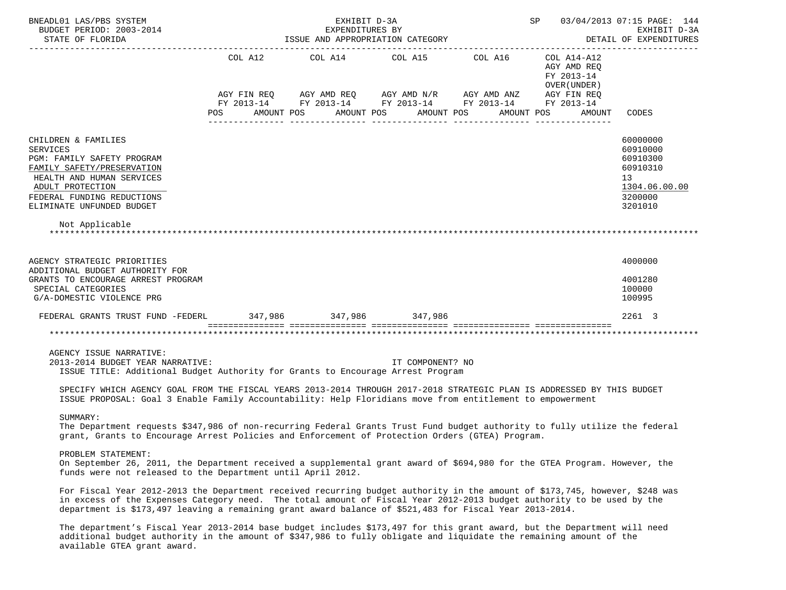| BNEADL01 LAS/PBS SYSTEM<br>BUDGET PERIOD: 2003-2014                                                                                                                                                                                                                                                                                                                                   | SP 03/04/2013 07:15 PAGE: 144<br>EXHIBIT D-3A<br>EXPENDITURES BY<br>DETAIL OF EXPENDITURES |                                                                                                                                                                |                                           |  |                                                           |                                                                                           |  |  |
|---------------------------------------------------------------------------------------------------------------------------------------------------------------------------------------------------------------------------------------------------------------------------------------------------------------------------------------------------------------------------------------|--------------------------------------------------------------------------------------------|----------------------------------------------------------------------------------------------------------------------------------------------------------------|-------------------------------------------|--|-----------------------------------------------------------|-------------------------------------------------------------------------------------------|--|--|
|                                                                                                                                                                                                                                                                                                                                                                                       | COL A12                                                                                    | COL A14 COL A15 COL A16<br>AGY FIN REQ AGY AMD REQ AGY AMD N/R AGY AMD ANZ AGY FIN REQ<br>FY 2013-14 FY 2013-14 FY 2013-14 FY 2013-14 FY 2013-14<br>AMOUNT POS |                                           |  | COL A14-A12<br>AGY AMD REQ<br>FY 2013-14<br>OVER (UNDER ) |                                                                                           |  |  |
|                                                                                                                                                                                                                                                                                                                                                                                       | POS                                                                                        |                                                                                                                                                                | AMOUNT POS AMOUNT POS<br>________________ |  | AMOUNT POS<br>AMOUNT                                      | CODES                                                                                     |  |  |
| CHILDREN & FAMILIES<br><b>SERVICES</b><br>PGM: FAMILY SAFETY PROGRAM<br>FAMILY SAFETY/PRESERVATION<br>HEALTH AND HUMAN SERVICES<br>ADULT PROTECTION<br>FEDERAL FUNDING REDUCTIONS<br>ELIMINATE UNFUNDED BUDGET                                                                                                                                                                        |                                                                                            |                                                                                                                                                                |                                           |  |                                                           | 60000000<br>60910000<br>60910300<br>60910310<br>13<br>1304.06.00.00<br>3200000<br>3201010 |  |  |
| Not Applicable                                                                                                                                                                                                                                                                                                                                                                        |                                                                                            |                                                                                                                                                                |                                           |  |                                                           |                                                                                           |  |  |
| AGENCY STRATEGIC PRIORITIES<br>ADDITIONAL BUDGET AUTHORITY FOR<br>GRANTS TO ENCOURAGE ARREST PROGRAM<br>SPECIAL CATEGORIES<br>G/A-DOMESTIC VIOLENCE PRG                                                                                                                                                                                                                               |                                                                                            |                                                                                                                                                                |                                           |  |                                                           | 4000000<br>4001280<br>100000<br>100995                                                    |  |  |
| FEDERAL GRANTS TRUST FUND -FEDERL 347,986 347,986 347,986                                                                                                                                                                                                                                                                                                                             |                                                                                            |                                                                                                                                                                |                                           |  |                                                           | 2261 3                                                                                    |  |  |
|                                                                                                                                                                                                                                                                                                                                                                                       |                                                                                            |                                                                                                                                                                |                                           |  |                                                           |                                                                                           |  |  |
| AGENCY ISSUE NARRATIVE:<br>2013-2014 BUDGET YEAR NARRATIVE:<br>ISSUE TITLE: Additional Budget Authority for Grants to Encourage Arrest Program<br>SPECIFY WHICH AGENCY GOAL FROM THE FISCAL YEARS 2013-2014 THROUGH 2017-2018 STRATEGIC PLAN IS ADDRESSED BY THIS BUDGET<br>ISSUE PROPOSAL: Goal 3 Enable Family Accountability: Help Floridians move from entitlement to empowerment |                                                                                            |                                                                                                                                                                | IT COMPONENT? NO                          |  |                                                           |                                                                                           |  |  |
| SUMMARY:<br>The Department requests \$347,986 of non-recurring Federal Grants Trust Fund budget authority to fully utilize the federal<br>grant, Grants to Encourage Arrest Policies and Enforcement of Protection Orders (GTEA) Program.                                                                                                                                             |                                                                                            |                                                                                                                                                                |                                           |  |                                                           |                                                                                           |  |  |
| PROBLEM STATEMENT:<br>On September 26, 2011, the Department received a supplemental grant award of \$694,980 for the GTEA Program. However, the<br>funds were not released to the Department until April 2012.                                                                                                                                                                        |                                                                                            |                                                                                                                                                                |                                           |  |                                                           |                                                                                           |  |  |
| For Fiscal Year 2012-2013 the Department received recurring budget authority in the amount of \$173,745, however, \$248 was<br>in excess of the Expenses Category need. The total amount of Fiscal Year 2012-2013 budget authority to be used by the<br>department is \$173,497 leaving a remaining grant award balance of \$521,483 for Fiscal Year 2013-2014.                       |                                                                                            |                                                                                                                                                                |                                           |  |                                                           |                                                                                           |  |  |
| The department's Fiscal Year 2013-2014 base budget includes \$173,497 for this grant award, but the Department will need<br>additional budget authority in the amount of \$347,986 to fully obligate and liquidate the remaining amount of the<br>available GTEA grant award.                                                                                                         |                                                                                            |                                                                                                                                                                |                                           |  |                                                           |                                                                                           |  |  |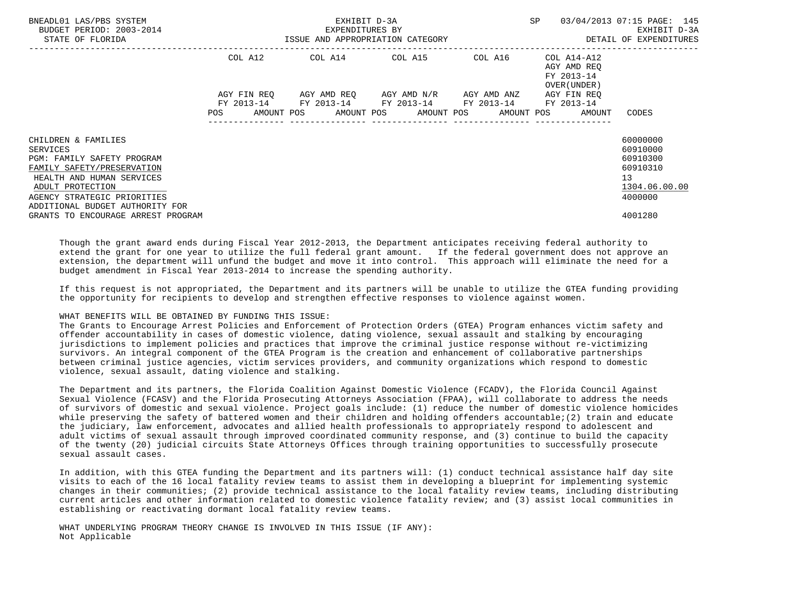| BNEADL01 LAS/PBS SYSTEM<br>BUDGET PERIOD: 2003-2014<br>STATE OF FLORIDA                                                                                                                                               |                                                                                                                               | EXHIBIT D-3A<br>EXPENDITURES BY<br>ISSUE AND APPROPRIATION CATEGORY                                          | SP                                  | 03/04/2013 07:15 PAGE: 145<br>EXHIBIT D-3A<br>DETAIL OF EXPENDITURES |                                                           |                                                                                |
|-----------------------------------------------------------------------------------------------------------------------------------------------------------------------------------------------------------------------|-------------------------------------------------------------------------------------------------------------------------------|--------------------------------------------------------------------------------------------------------------|-------------------------------------|----------------------------------------------------------------------|-----------------------------------------------------------|--------------------------------------------------------------------------------|
|                                                                                                                                                                                                                       | COL A12                                                                                                                       | COL A14 COL A15 COL A16                                                                                      |                                     |                                                                      | COL A14-A12<br>AGY AMD REO<br>FY 2013-14<br>OVER (UNDER ) |                                                                                |
|                                                                                                                                                                                                                       | AGY FIN REO<br>POS FOR THE POST OF THE STATE STATE STATE STATE STATE STATE STATE STATE STATE STATE STATE STATE STATE STATE ST | FY 2013-14 FY 2013-14 FY 2013-14 FY 2013-14 FY 2013-14<br>AMOUNT POS AMOUNT POS AMOUNT POS AMOUNT POS AMOUNT | AGY AMD REO AGY AMD N/R AGY AMD ANZ |                                                                      | AGY FIN REO                                               | CODES                                                                          |
| CHILDREN & FAMILIES<br><b>SERVICES</b><br>PGM: FAMILY SAFETY PROGRAM<br>FAMILY SAFETY/PRESERVATION<br>HEALTH AND HUMAN SERVICES<br>ADULT PROTECTION<br>AGENCY STRATEGIC PRIORITIES<br>ADDITIONAL BUDGET AUTHORITY FOR |                                                                                                                               |                                                                                                              |                                     |                                                                      |                                                           | 60000000<br>60910000<br>60910300<br>60910310<br>13<br>1304.06.00.00<br>4000000 |
| GRANTS TO ENCOURAGE ARREST PROGRAM                                                                                                                                                                                    |                                                                                                                               |                                                                                                              |                                     |                                                                      |                                                           | 4001280                                                                        |

 Though the grant award ends during Fiscal Year 2012-2013, the Department anticipates receiving federal authority to extend the grant for one year to utilize the full federal grant amount. If the federal government does not approve an extension, the department will unfund the budget and move it into control. This approach will eliminate the need for a budget amendment in Fiscal Year 2013-2014 to increase the spending authority.

 If this request is not appropriated, the Department and its partners will be unable to utilize the GTEA funding providing the opportunity for recipients to develop and strengthen effective responses to violence against women.

## WHAT BENEFITS WILL BE OBTAINED BY FUNDING THIS ISSUE:

 The Grants to Encourage Arrest Policies and Enforcement of Protection Orders (GTEA) Program enhances victim safety and offender accountability in cases of domestic violence, dating violence, sexual assault and stalking by encouraging jurisdictions to implement policies and practices that improve the criminal justice response without re-victimizing survivors. An integral component of the GTEA Program is the creation and enhancement of collaborative partnerships between criminal justice agencies, victim services providers, and community organizations which respond to domestic violence, sexual assault, dating violence and stalking.

 The Department and its partners, the Florida Coalition Against Domestic Violence (FCADV), the Florida Council Against Sexual Violence (FCASV) and the Florida Prosecuting Attorneys Association (FPAA), will collaborate to address the needs of survivors of domestic and sexual violence. Project goals include: (1) reduce the number of domestic violence homicides while preserving the safety of battered women and their children and holding offenders accountable;(2) train and educate the judiciary, law enforcement, advocates and allied health professionals to appropriately respond to adolescent and adult victims of sexual assault through improved coordinated community response, and (3) continue to build the capacity of the twenty (20) judicial circuits State Attorneys Offices through training opportunities to successfully prosecute sexual assault cases.

 In addition, with this GTEA funding the Department and its partners will: (1) conduct technical assistance half day site visits to each of the 16 local fatality review teams to assist them in developing a blueprint for implementing systemic changes in their communities; (2) provide technical assistance to the local fatality review teams, including distributing current articles and other information related to domestic violence fatality review; and (3) assist local communities in establishing or reactivating dormant local fatality review teams.

 WHAT UNDERLYING PROGRAM THEORY CHANGE IS INVOLVED IN THIS ISSUE (IF ANY): Not Applicable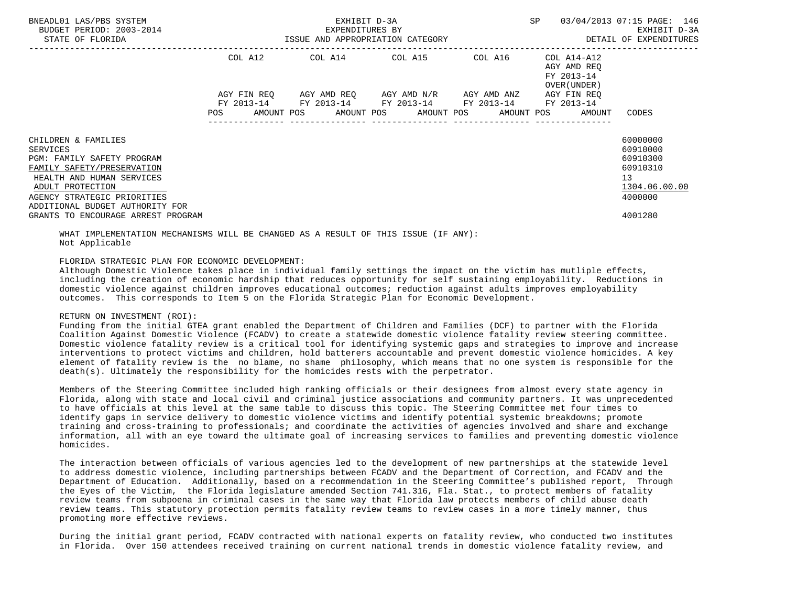| BNEADL01 LAS/PBS SYSTEM<br>BUDGET PERIOD: 2003-2014<br>STATE OF FLORIDA                                                                                                                                        |            | EXHIBIT D-3A<br>EXPENDITURES BY<br>ISSUE AND APPROPRIATION CATEGORY | SP                                                                                                    | 03/04/2013 07:15 PAGE: 146<br>EXHIBIT D-3A<br>DETAIL OF EXPENDITURES |                                                          |                                                                                             |
|----------------------------------------------------------------------------------------------------------------------------------------------------------------------------------------------------------------|------------|---------------------------------------------------------------------|-------------------------------------------------------------------------------------------------------|----------------------------------------------------------------------|----------------------------------------------------------|---------------------------------------------------------------------------------------------|
|                                                                                                                                                                                                                |            |                                                                     | COL A12 COL A14 COL A15 COL A16 COL A14-A12<br>AGY FIN REQ 6GY AMD REQ 6GY AMD N/R 6GY AMD ANZ        |                                                                      | AGY AMD REO<br>FY 2013-14<br>OVER (UNDER)<br>AGY FIN REO |                                                                                             |
|                                                                                                                                                                                                                | <b>POS</b> |                                                                     | FY 2013-14 FY 2013-14 FY 2013-14 FY 2013-14 FY 2013-14<br>AMOUNT POS AMOUNT POS AMOUNT POS AMOUNT POS |                                                                      | AMOUNT                                                   | CODES                                                                                       |
| CHILDREN & FAMILIES<br>SERVICES<br>PGM: FAMILY SAFETY PROGRAM<br>FAMILY SAFETY/PRESERVATION<br>HEALTH AND HUMAN SERVICES<br>ADULT PROTECTION<br>AGENCY STRATEGIC PRIORITIES<br>ADDITIONAL BUDGET AUTHORITY FOR |            |                                                                     |                                                                                                       |                                                                      |                                                          | 60000000<br>60910000<br>60910300<br>60910310<br>13 <sup>7</sup><br>1304.06.00.00<br>4000000 |
| GRANTS TO ENCOURAGE ARREST PROGRAM                                                                                                                                                                             |            |                                                                     |                                                                                                       |                                                                      |                                                          | 4001280                                                                                     |

 WHAT IMPLEMENTATION MECHANISMS WILL BE CHANGED AS A RESULT OF THIS ISSUE (IF ANY): Not Applicable

FLORIDA STRATEGIC PLAN FOR ECONOMIC DEVELOPMENT:

 Although Domestic Violence takes place in individual family settings the impact on the victim has mutliple effects, including the creation of economic hardship that reduces opportunity for self sustaining employability. Reductions in domestic violence against children improves educational outcomes; reduction against adults improves employability outcomes. This corresponds to Item 5 on the Florida Strategic Plan for Economic Development.

## RETURN ON INVESTMENT (ROI):

 Funding from the initial GTEA grant enabled the Department of Children and Families (DCF) to partner with the Florida Coalition Against Domestic Violence (FCADV) to create a statewide domestic violence fatality review steering committee. Domestic violence fatality review is a critical tool for identifying systemic gaps and strategies to improve and increase interventions to protect victims and children, hold batterers accountable and prevent domestic violence homicides. A key element of fatality review is the no blame, no shame philosophy, which means that no one system is responsible for the death(s). Ultimately the responsibility for the homicides rests with the perpetrator.

 Members of the Steering Committee included high ranking officials or their designees from almost every state agency in Florida, along with state and local civil and criminal justice associations and community partners. It was unprecedented to have officials at this level at the same table to discuss this topic. The Steering Committee met four times to identify gaps in service delivery to domestic violence victims and identify potential systemic breakdowns; promote training and cross-training to professionals; and coordinate the activities of agencies involved and share and exchange information, all with an eye toward the ultimate goal of increasing services to families and preventing domestic violence homicides.

 The interaction between officials of various agencies led to the development of new partnerships at the statewide level to address domestic violence, including partnerships between FCADV and the Department of Correction, and FCADV and the Department of Education. Additionally, based on a recommendation in the Steering Committee's published report, Through the Eyes of the Victim, the Florida legislature amended Section 741.316, Fla. Stat., to protect members of fatality review teams from subpoena in criminal cases in the same way that Florida law protects members of child abuse death review teams. This statutory protection permits fatality review teams to review cases in a more timely manner, thus promoting more effective reviews.

 During the initial grant period, FCADV contracted with national experts on fatality review, who conducted two institutes in Florida. Over 150 attendees received training on current national trends in domestic violence fatality review, and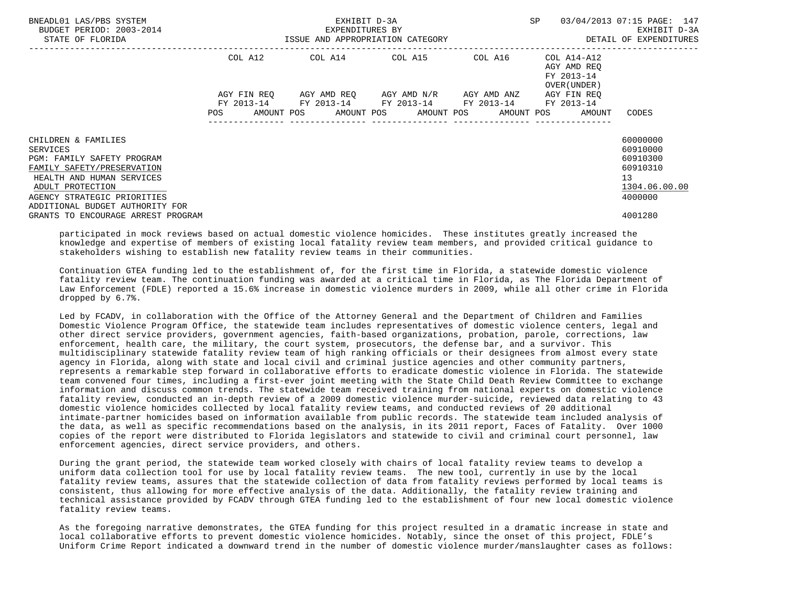| BNEADL01 LAS/PBS SYSTEM<br>BUDGET PERIOD: 2003-2014<br>STATE OF FLORIDA                                                                                                                                               |             | EXHIBIT D-3A<br>-2014 EXPENDITURES BY<br>ISSUE AND APPROPRIATION CATEGORY | SP                                  | 03/04/2013 07:15 PAGE: 147<br>EXHIBIT D-3A<br>DETAIL OF EXPENDITURES |                                                                       |                                                                                |
|-----------------------------------------------------------------------------------------------------------------------------------------------------------------------------------------------------------------------|-------------|---------------------------------------------------------------------------|-------------------------------------|----------------------------------------------------------------------|-----------------------------------------------------------------------|--------------------------------------------------------------------------------|
|                                                                                                                                                                                                                       | COL A12     | COL A14 COL A15 COL A16                                                   |                                     |                                                                      | COL A14-A12<br>AGY AMD REO<br>FY 2013-14<br>OVER (UNDER )             |                                                                                |
|                                                                                                                                                                                                                       | AGY FIN REO | FY 2013-14 FY 2013-14 FY 2013-14 FY 2013-14 FY 2013-14                    | AGY AMD REO AGY AMD N/R AGY AMD ANZ |                                                                      | AGY FIN REO<br>POS AMOUNT POS AMOUNT POS AMOUNT POS AMOUNT POS AMOUNT | CODES                                                                          |
| CHILDREN & FAMILIES<br><b>SERVICES</b><br>PGM: FAMILY SAFETY PROGRAM<br>FAMILY SAFETY/PRESERVATION<br>HEALTH AND HUMAN SERVICES<br>ADULT PROTECTION<br>AGENCY STRATEGIC PRIORITIES<br>ADDITIONAL BUDGET AUTHORITY FOR |             |                                                                           |                                     |                                                                      |                                                                       | 60000000<br>60910000<br>60910300<br>60910310<br>13<br>1304.06.00.00<br>4000000 |
| GRANTS TO ENCOURAGE ARREST PROGRAM                                                                                                                                                                                    |             |                                                                           |                                     |                                                                      |                                                                       | 4001280                                                                        |

 participated in mock reviews based on actual domestic violence homicides. These institutes greatly increased the knowledge and expertise of members of existing local fatality review team members, and provided critical guidance to stakeholders wishing to establish new fatality review teams in their communities.

 Continuation GTEA funding led to the establishment of, for the first time in Florida, a statewide domestic violence fatality review team. The continuation funding was awarded at a critical time in Florida, as The Florida Department of Law Enforcement (FDLE) reported a 15.6% increase in domestic violence murders in 2009, while all other crime in Florida dropped by 6.7%.

 Led by FCADV, in collaboration with the Office of the Attorney General and the Department of Children and Families Domestic Violence Program Office, the statewide team includes representatives of domestic violence centers, legal and other direct service providers, government agencies, faith-based organizations, probation, parole, corrections, law enforcement, health care, the military, the court system, prosecutors, the defense bar, and a survivor. This multidisciplinary statewide fatality review team of high ranking officials or their designees from almost every state agency in Florida, along with state and local civil and criminal justice agencies and other community partners, represents a remarkable step forward in collaborative efforts to eradicate domestic violence in Florida. The statewide team convened four times, including a first-ever joint meeting with the State Child Death Review Committee to exchange information and discuss common trends. The statewide team received training from national experts on domestic violence fatality review, conducted an in-depth review of a 2009 domestic violence murder-suicide, reviewed data relating to 43 domestic violence homicides collected by local fatality review teams, and conducted reviews of 20 additional intimate-partner homicides based on information available from public records. The statewide team included analysis of the data, as well as specific recommendations based on the analysis, in its 2011 report, Faces of Fatality. Over 1000 copies of the report were distributed to Florida legislators and statewide to civil and criminal court personnel, law enforcement agencies, direct service providers, and others.

 During the grant period, the statewide team worked closely with chairs of local fatality review teams to develop a uniform data collection tool for use by local fatality review teams. The new tool, currently in use by the local fatality review teams, assures that the statewide collection of data from fatality reviews performed by local teams is consistent, thus allowing for more effective analysis of the data. Additionally, the fatality review training and technical assistance provided by FCADV through GTEA funding led to the establishment of four new local domestic violence fatality review teams.

 As the foregoing narrative demonstrates, the GTEA funding for this project resulted in a dramatic increase in state and local collaborative efforts to prevent domestic violence homicides. Notably, since the onset of this project, FDLE's Uniform Crime Report indicated a downward trend in the number of domestic violence murder/manslaughter cases as follows: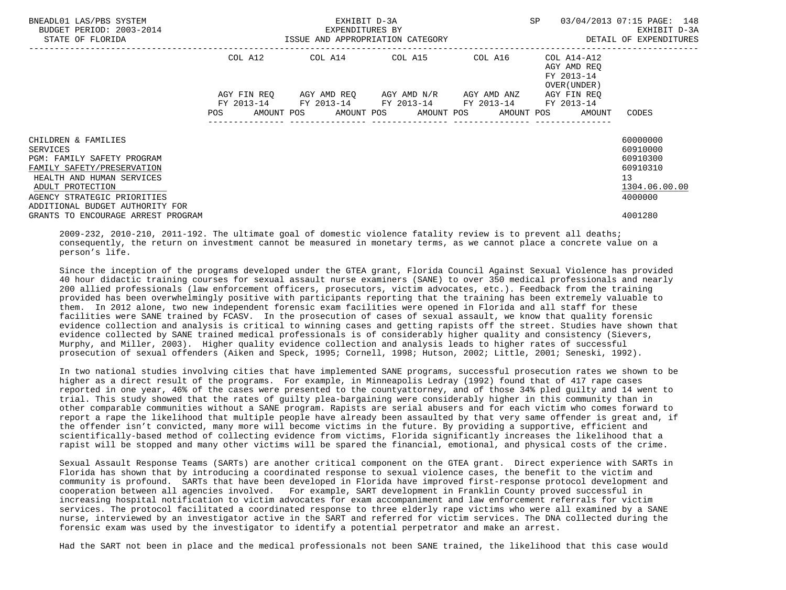| BNEADL01 LAS/PBS SYSTEM<br>BUDGET PERIOD: 2003-2014<br>STATE OF FLORIDA                                                                                                                                               | ISSUE AND APPROPRIATION CATEGORY | EXHIBIT D-3A<br>EXPENDITURES BY | SP 03/04/2013 07:15 PAGE: 148                                                                             | EXHIBIT D-3A<br>DETAIL OF EXPENDITURES |                                                              |                                                                                |
|-----------------------------------------------------------------------------------------------------------------------------------------------------------------------------------------------------------------------|----------------------------------|---------------------------------|-----------------------------------------------------------------------------------------------------------|----------------------------------------|--------------------------------------------------------------|--------------------------------------------------------------------------------|
|                                                                                                                                                                                                                       | COL A12                          |                                 | $COL A14$ $COL A15$ $COL A16$ $COL A14-A12$                                                               |                                        | AGY AMD REO<br>FY 2013-14<br>OVER (UNDER)                    |                                                                                |
|                                                                                                                                                                                                                       |                                  |                                 | AGY FIN REO AGY AMD REO AGY AMD N/R AGY AMD ANZ<br>FY 2013-14 FY 2013-14 FY 2013-14 FY 2013-14 FY 2013-14 |                                        | AGY FIN REO                                                  |                                                                                |
|                                                                                                                                                                                                                       |                                  |                                 |                                                                                                           |                                        | POS AMOUNT POS AMOUNT POS AMOUNT POS AMOUNT POS AMOUNT CODES |                                                                                |
| CHILDREN & FAMILIES<br><b>SERVICES</b><br>PGM: FAMILY SAFETY PROGRAM<br>FAMILY SAFETY/PRESERVATION<br>HEALTH AND HUMAN SERVICES<br>ADULT PROTECTION<br>AGENCY STRATEGIC PRIORITIES<br>ADDITIONAL BUDGET AUTHORITY FOR |                                  |                                 |                                                                                                           |                                        |                                                              | 60000000<br>60910000<br>60910300<br>60910310<br>13<br>1304.06.00.00<br>4000000 |
| GRANTS TO ENCOURAGE ARREST PROGRAM                                                                                                                                                                                    |                                  |                                 |                                                                                                           |                                        |                                                              | 4001280                                                                        |

 2009-232, 2010-210, 2011-192. The ultimate goal of domestic violence fatality review is to prevent all deaths; consequently, the return on investment cannot be measured in monetary terms, as we cannot place a concrete value on a person's life.

 Since the inception of the programs developed under the GTEA grant, Florida Council Against Sexual Violence has provided 40 hour didactic training courses for sexual assault nurse examiners (SANE) to over 350 medical professionals and nearly 200 allied professionals (law enforcement officers, prosecutors, victim advocates, etc.). Feedback from the training provided has been overwhelmingly positive with participants reporting that the training has been extremely valuable to them. In 2012 alone, two new independent forensic exam facilities were opened in Florida and all staff for these facilities were SANE trained by FCASV. In the prosecution of cases of sexual assault, we know that quality forensic evidence collection and analysis is critical to winning cases and getting rapists off the street. Studies have shown that evidence collected by SANE trained medical professionals is of considerably higher quality and consistency (Sievers, Murphy, and Miller, 2003). Higher quality evidence collection and analysis leads to higher rates of successful prosecution of sexual offenders (Aiken and Speck, 1995; Cornell, 1998; Hutson, 2002; Little, 2001; Seneski, 1992).

 In two national studies involving cities that have implemented SANE programs, successful prosecution rates we shown to be higher as a direct result of the programs. For example, in Minneapolis Ledray (1992) found that of 417 rape cases reported in one year, 46% of the cases were presented to the countyattorney, and of those 34% pled guilty and 14 went to trial. This study showed that the rates of guilty plea-bargaining were considerably higher in this community than in other comparable communities without a SANE program. Rapists are serial abusers and for each victim who comes forward to report a rape the likelihood that multiple people have already been assaulted by that very same offender is great and, if the offender isn't convicted, many more will become victims in the future. By providing a supportive, efficient and scientifically-based method of collecting evidence from victims, Florida significantly increases the likelihood that a rapist will be stopped and many other victims will be spared the financial, emotional, and physical costs of the crime.

 Sexual Assault Response Teams (SARTs) are another critical component on the GTEA grant. Direct experience with SARTs in Florida has shown that by introducing a coordinated response to sexual violence cases, the benefit to the victim and community is profound. SARTs that have been developed in Florida have improved first-response protocol development and cooperation between all agencies involved. For example, SART development in Franklin County proved successful in increasing hospital notification to victim advocates for exam accompaniment and law enforcement referrals for victim services. The protocol facilitated a coordinated response to three elderly rape victims who were all examined by a SANE nurse, interviewed by an investigator active in the SART and referred for victim services. The DNA collected during the forensic exam was used by the investigator to identify a potential perpetrator and make an arrest.

Had the SART not been in place and the medical professionals not been SANE trained, the likelihood that this case would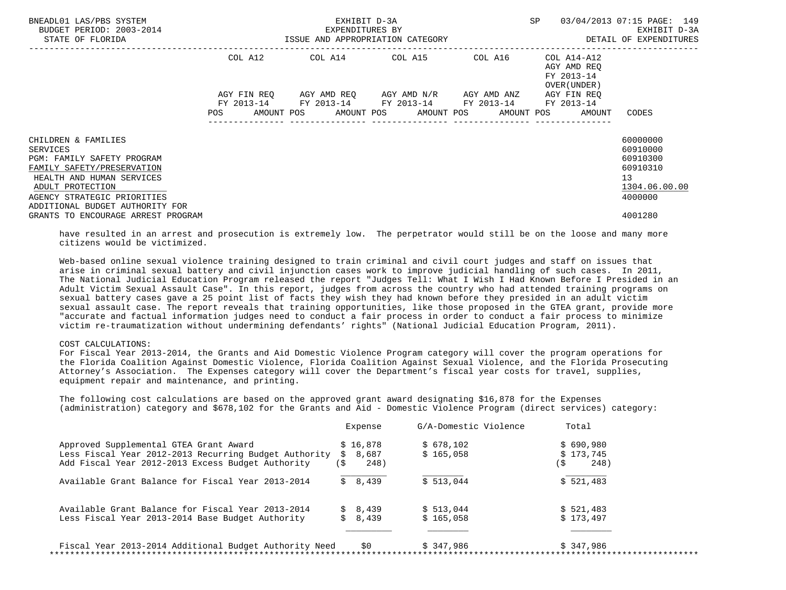| BNEADL01 LAS/PBS SYSTEM<br>BUDGET PERIOD: 2003-2014<br>STATE OF FLORIDA                                                                                                                                               | ISSUE AND APPROPRIATION CATEGORY | EXHIBIT D-3A<br>EXPENDITURES BY | SP<br>--------------------------------                                                        | 03/04/2013 07:15 PAGE: 149<br>EXHIBIT D-3A<br>DETAIL OF EXPENDITURES |                                                                         |                                                                                |
|-----------------------------------------------------------------------------------------------------------------------------------------------------------------------------------------------------------------------|----------------------------------|---------------------------------|-----------------------------------------------------------------------------------------------|----------------------------------------------------------------------|-------------------------------------------------------------------------|--------------------------------------------------------------------------------|
|                                                                                                                                                                                                                       | COL A12                          |                                 | $COL A14$ $COL A15$ $COL A16$ $COL A14-A12$                                                   |                                                                      | AGY AMD REO<br>FY 2013-14<br>OVER (UNDER)                               |                                                                                |
|                                                                                                                                                                                                                       | AGY FIN REO<br>POS               |                                 | AGY AMD REQ AGY AMD N/R AGY AMD ANZ<br>FY 2013-14 FY 2013-14 FY 2013-14 FY 2013-14 FY 2013-14 |                                                                      | AGY FIN REO<br>AMOUNT POS AMOUNT POS AMOUNT POS AMOUNT POS AMOUNT CODES |                                                                                |
| CHILDREN & FAMILIES<br>SERVICES<br><b>PGM: FAMILY SAFETY PROGRAM</b><br>FAMILY SAFETY/PRESERVATION<br>HEALTH AND HUMAN SERVICES<br>ADULT PROTECTION<br>AGENCY STRATEGIC PRIORITIES<br>ADDITIONAL BUDGET AUTHORITY FOR |                                  |                                 |                                                                                               |                                                                      |                                                                         | 60000000<br>60910000<br>60910300<br>60910310<br>13<br>1304.06.00.00<br>4000000 |
| GRANTS TO ENCOURAGE ARREST PROGRAM                                                                                                                                                                                    |                                  |                                 |                                                                                               |                                                                      |                                                                         | 4001280                                                                        |

 have resulted in an arrest and prosecution is extremely low. The perpetrator would still be on the loose and many more citizens would be victimized.

 Web-based online sexual violence training designed to train criminal and civil court judges and staff on issues that arise in criminal sexual battery and civil injunction cases work to improve judicial handling of such cases. In 2011, The National Judicial Education Program released the report "Judges Tell: What I Wish I Had Known Before I Presided in an Adult Victim Sexual Assault Case". In this report, judges from across the country who had attended training programs on sexual battery cases gave a 25 point list of facts they wish they had known before they presided in an adult victim sexual assault case. The report reveals that training opportunities, like those proposed in the GTEA grant, provide more "accurate and factual information judges need to conduct a fair process in order to conduct a fair process to minimize victim re-traumatization without undermining defendants' rights" (National Judicial Education Program, 2011).

#### COST CALCULATIONS:

 For Fiscal Year 2013-2014, the Grants and Aid Domestic Violence Program category will cover the program operations for the Florida Coalition Against Domestic Violence, Florida Coalition Against Sexual Violence, and the Florida Prosecuting Attorney's Association. The Expenses category will cover the Department's fiscal year costs for travel, supplies, equipment repair and maintenance, and printing.

 The following cost calculations are based on the approved grant award designating \$16,878 for the Expenses (administration) category and \$678,102 for the Grants and Aid - Domestic Violence Program (direct services) category:

|                                                        |     | Expense  | G/A-Domestic Violence |     | Total     |
|--------------------------------------------------------|-----|----------|-----------------------|-----|-----------|
| Approved Supplemental GTEA Grant Award                 |     | \$16.878 | \$678,102             |     | \$690,980 |
| Less Fiscal Year 2012-2013 Recurring Budget Authority  |     | \$8.687  | \$165.058             |     | \$173.745 |
| Add Fiscal Year 2012-2013 Excess Budget Authority      | (\$ | 248)     |                       | ( S | 248)      |
| Available Grant Balance for Fiscal Year 2013-2014      |     | \$8,439  | \$513.044             |     | \$521,483 |
| Available Grant Balance for Fiscal Year 2013-2014      |     | \$8,439  | \$513.044             |     | \$521.483 |
| Less Fiscal Year 2013-2014 Base Budget Authority       |     | \$8,439  | \$165.058             |     | \$173.497 |
| Fiscal Year 2013-2014 Additional Budget Authority Need |     | \$0      | \$347.986             |     | \$347.986 |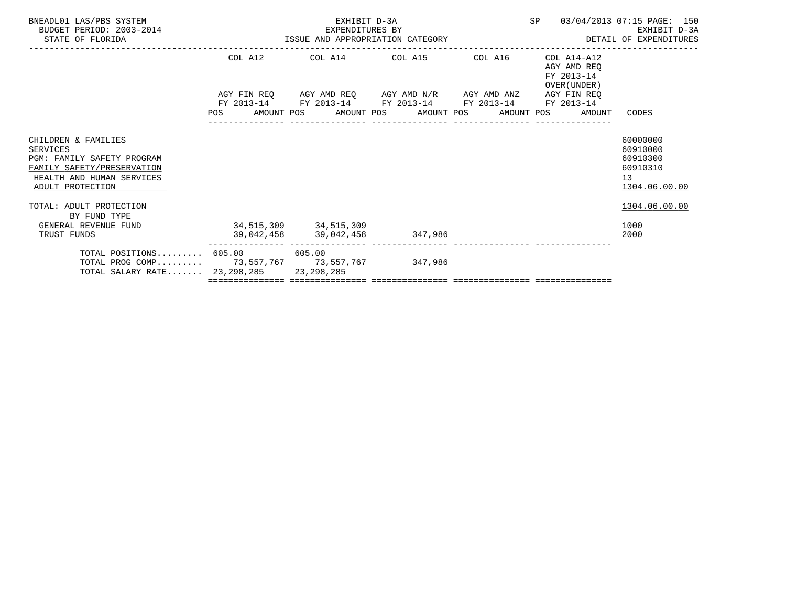| SP 03/04/2013 07:15 PAGE: 150<br>EXHIBIT D-3A<br>DETAIL OF EXPENDITURES |
|-------------------------------------------------------------------------|
|                                                                         |
|                                                                         |
| POS AMOUNT POS AMOUNT POS AMOUNT POS AMOUNT POS AMOUNT CODES            |
| 60000000<br>60910000<br>60910300<br>60910310<br>13<br>1304.06.00.00     |
| 1304.06.00.00                                                           |
| 1000<br>2000                                                            |
|                                                                         |
|                                                                         |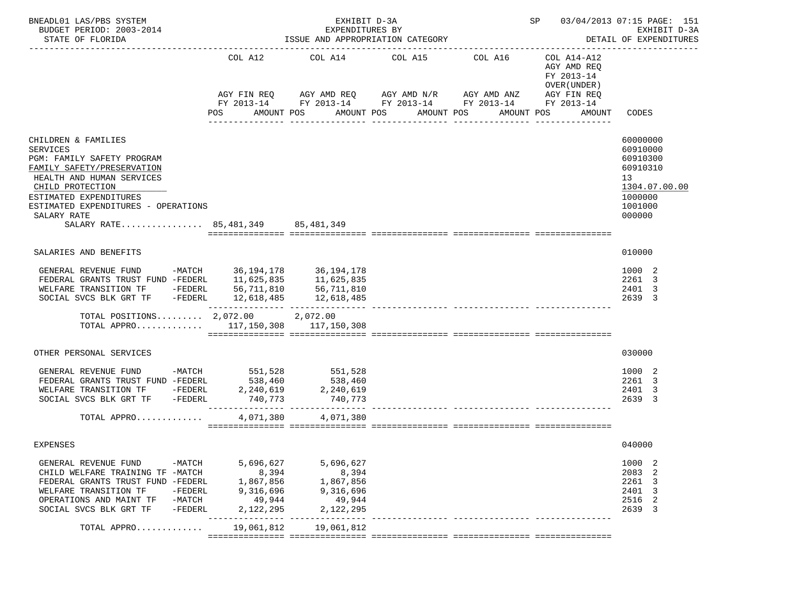| BNEADL01 LAS/PBS SYSTEM<br>BUDGET PERIOD: 2003-2014<br>STATE OF FLORIDA                                                                                                                                                                                                  | EXHIBIT D-3A<br>EXPENDITURES BY<br>ISSUE AND APPROPRIATION CATEGORY |                                                                                                                         |                                                                         |                                        |                                                                                                 |                                                                                                     |  |  |
|--------------------------------------------------------------------------------------------------------------------------------------------------------------------------------------------------------------------------------------------------------------------------|---------------------------------------------------------------------|-------------------------------------------------------------------------------------------------------------------------|-------------------------------------------------------------------------|----------------------------------------|-------------------------------------------------------------------------------------------------|-----------------------------------------------------------------------------------------------------|--|--|
|                                                                                                                                                                                                                                                                          | COL A12<br>POS                                                      | AGY FIN REQ AGY AMD REQ AGY AMD N/R AGY AMD ANZ<br>FY 2013-14 FY 2013-14 FY 2013-14 FY 2013-14 FY 2013-14<br>AMOUNT POS | COL A14 COL A15 COL A16<br>AMOUNT POS<br>AMOUNT POS<br>________________ | ---------------                        | COL A14-A12<br>AGY AMD REO<br>FY 2013-14<br>OVER (UNDER)<br>AGY FIN REO<br>AMOUNT POS<br>AMOUNT | CODES                                                                                               |  |  |
| CHILDREN & FAMILIES<br><b>SERVICES</b><br>PGM: FAMILY SAFETY PROGRAM<br>FAMILY SAFETY/PRESERVATION<br>HEALTH AND HUMAN SERVICES<br>CHILD PROTECTION<br>ESTIMATED EXPENDITURES<br>ESTIMATED EXPENDITURES - OPERATIONS<br>SALARY RATE<br>SALARY RATE 85,481,349 85,481,349 |                                                                     |                                                                                                                         |                                                                         |                                        |                                                                                                 | 60000000<br>60910000<br>60910300<br>60910310<br>13<br>1304.07.00.00<br>1000000<br>1001000<br>000000 |  |  |
| SALARIES AND BENEFITS                                                                                                                                                                                                                                                    |                                                                     |                                                                                                                         |                                                                         |                                        |                                                                                                 | 010000                                                                                              |  |  |
| GENERAL REVENUE FUND -MATCH 36, 194, 178 36, 194, 178<br>FEDERAL GRANTS TRUST FUND -FEDERL 11,625,835<br>WELFARE TRANSITION TF -FEDERL<br>SOCIAL SVCS BLK GRT TF -FEDERL                                                                                                 | 56,711,810                                                          | 11,625,835<br>56,711,810<br>12,618,485 12,618,485                                                                       |                                                                         | --------------- --------------- ------ |                                                                                                 | 1000 2<br>2261 3<br>2401 3<br>2639 3                                                                |  |  |
| TOTAL POSITIONS 2,072.00 2,072.00<br>TOTAL APPRO $117,150,308$ $117,150,308$                                                                                                                                                                                             |                                                                     |                                                                                                                         |                                                                         |                                        |                                                                                                 |                                                                                                     |  |  |
| OTHER PERSONAL SERVICES                                                                                                                                                                                                                                                  |                                                                     |                                                                                                                         |                                                                         |                                        |                                                                                                 | 030000                                                                                              |  |  |
| GENERAL REVENUE FUND -MATCH 551,528<br>FEDERAL GRANTS TRUST FUND -FEDERL 538,460<br>WELFARE TRANSITION TF -FEDERL 2,240,619<br>SOCIAL SVCS BLK GRT TF -FEDERL                                                                                                            | 740,773                                                             | 551,528<br>538,460<br>2,240,619<br>740,773                                                                              |                                                                         |                                        |                                                                                                 | 1000 2<br>2261 3<br>2401 3<br>2639 3                                                                |  |  |
| TOTAL APPRO                                                                                                                                                                                                                                                              | 4,071,380                                                           | 4,071,380                                                                                                               |                                                                         |                                        |                                                                                                 |                                                                                                     |  |  |
| EXPENSES                                                                                                                                                                                                                                                                 |                                                                     |                                                                                                                         |                                                                         |                                        |                                                                                                 | 040000                                                                                              |  |  |
| GENERAL REVENUE FUND<br>-MATCH<br>CHILD WELFARE TRAINING TF -MATCH<br>FEDERAL GRANTS TRUST FUND -FEDERL<br>WELFARE TRANSITION TF<br>-FEDERL<br>OPERATIONS AND MAINT TF<br>-MATCH<br>SOCIAL SVCS BLK GRT TF<br>$-FEDERL$                                                  | 5,696,627<br>8,394<br>1,867,856<br>9,316,696<br>49,944<br>2,122,295 | 5,696,627<br>8,394<br>1,867,856<br>9,316,696<br>49,944<br>2,122,295                                                     |                                                                         |                                        |                                                                                                 | 1000 2<br>2083<br>-2<br>2261 3<br>2401<br>-3<br>2<br>2516<br>2639<br>-3                             |  |  |
| TOTAL APPRO                                                                                                                                                                                                                                                              | 19,061,812                                                          | 19,061,812                                                                                                              |                                                                         |                                        |                                                                                                 |                                                                                                     |  |  |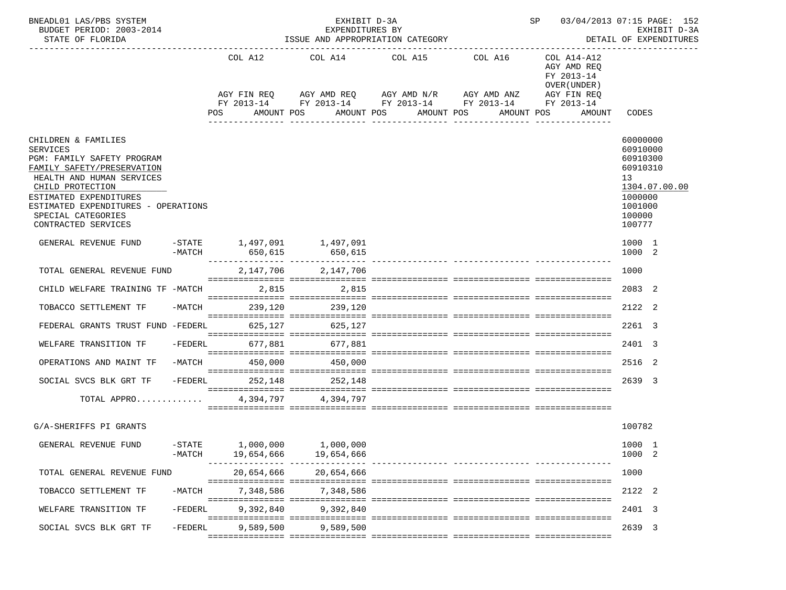| BNEADL01 LAS/PBS SYSTEM<br>BUDGET PERIOD: 2003-2014<br>STATE OF FLORIDA                                                                                                                                                                                           |           |                                                                            | EXHIBIT D-3A<br>EXPENDITURES BY<br>ISSUE AND APPROPRIATION CATEGORY |                                                          | SP 03/04/2013 07:15 PAGE: 152<br>EXHIBIT D-3A<br>DETAIL OF EXPENDITURES                                               |                                                                        |                                                                                                               |
|-------------------------------------------------------------------------------------------------------------------------------------------------------------------------------------------------------------------------------------------------------------------|-----------|----------------------------------------------------------------------------|---------------------------------------------------------------------|----------------------------------------------------------|-----------------------------------------------------------------------------------------------------------------------|------------------------------------------------------------------------|---------------------------------------------------------------------------------------------------------------|
|                                                                                                                                                                                                                                                                   |           | POS                                                                        | AMOUNT POS                                                          | COL A12 COL A14 COL A15 COL A16<br>AMOUNT POS AMOUNT POS | AGY FIN REQ AGY AMD REQ AGY AMD N/R AGY AMD ANZ AGY FIN REQ<br>FY 2013-14 FY 2013-14 FY 2013-14 FY 2013-14 FY 2013-14 | COL A14-A12<br>AGY AMD REO<br>FY 2013-14<br>OVER (UNDER)<br>AMOUNT POS | AMOUNT CODES                                                                                                  |
| CHILDREN & FAMILIES<br><b>SERVICES</b><br>PGM: FAMILY SAFETY PROGRAM<br>FAMILY SAFETY/PRESERVATION<br>HEALTH AND HUMAN SERVICES<br>CHILD PROTECTION<br>ESTIMATED EXPENDITURES<br>ESTIMATED EXPENDITURES - OPERATIONS<br>SPECIAL CATEGORIES<br>CONTRACTED SERVICES |           |                                                                            |                                                                     |                                                          |                                                                                                                       |                                                                        | 60000000<br>60910000<br>60910300<br>60910310<br>13<br>1304.07.00.00<br>1000000<br>1001000<br>100000<br>100777 |
| GENERAL REVENUE FUND                                                                                                                                                                                                                                              |           |                                                                            | $-STATE$ 1,497,091 1,497,091                                        |                                                          |                                                                                                                       |                                                                        | 1000 1<br>1000 2                                                                                              |
| TOTAL GENERAL REVENUE FUND                                                                                                                                                                                                                                        |           |                                                                            | 2,147,706 2,147,706                                                 |                                                          |                                                                                                                       |                                                                        | 1000                                                                                                          |
| CHILD WELFARE TRAINING TF -MATCH                                                                                                                                                                                                                                  |           |                                                                            | 2,815 2,815                                                         |                                                          |                                                                                                                       |                                                                        | 2083 2                                                                                                        |
| TOBACCO SETTLEMENT TF                                                                                                                                                                                                                                             | -MATCH    |                                                                            | 239,120 239,120                                                     |                                                          |                                                                                                                       |                                                                        | 2122 2                                                                                                        |
| FEDERAL GRANTS TRUST FUND -FEDERL                                                                                                                                                                                                                                 |           |                                                                            | 625,127 625,127                                                     |                                                          |                                                                                                                       |                                                                        | 2261 3                                                                                                        |
| WELFARE TRANSITION TF                                                                                                                                                                                                                                             | $-FEDERL$ | 677,881                                                                    | 677,881                                                             |                                                          |                                                                                                                       |                                                                        | 2401 3                                                                                                        |
| OPERATIONS AND MAINT TF                                                                                                                                                                                                                                           | -MATCH    | 450,000                                                                    | 450,000                                                             |                                                          |                                                                                                                       |                                                                        | 2516 2                                                                                                        |
| SOCIAL SVCS BLK GRT TF                                                                                                                                                                                                                                            |           |                                                                            | -FEDERL 252,148 252,148                                             |                                                          |                                                                                                                       |                                                                        | 2639 3                                                                                                        |
| TOTAL APPRO                                                                                                                                                                                                                                                       |           |                                                                            | 4, 394, 797 4, 394, 797                                             |                                                          |                                                                                                                       |                                                                        |                                                                                                               |
| G/A-SHERIFFS PI GRANTS                                                                                                                                                                                                                                            |           |                                                                            |                                                                     |                                                          |                                                                                                                       |                                                                        | 100782                                                                                                        |
| GENERAL REVENUE FUND                                                                                                                                                                                                                                              | $-MATCH$  | ${\tt -STATE} \qquad {\tt 1,000,000} \qquad {\tt 1,000,000}$<br>19,654,666 | 19,654,666                                                          |                                                          |                                                                                                                       |                                                                        | 1000 1<br>1000 2                                                                                              |
| TOTAL GENERAL REVENUE FUND                                                                                                                                                                                                                                        |           | 20,654,666                                                                 | 20,654,666                                                          |                                                          |                                                                                                                       |                                                                        | 1000                                                                                                          |
| TOBACCO SETTLEMENT TF                                                                                                                                                                                                                                             | $-MATCH$  | 7,348,586                                                                  | 7,348,586                                                           |                                                          |                                                                                                                       |                                                                        | 2122 2                                                                                                        |
| WELFARE TRANSITION TF                                                                                                                                                                                                                                             | $-FEDERL$ | 9,392,840                                                                  | 9,392,840                                                           |                                                          |                                                                                                                       |                                                                        | 2401 3                                                                                                        |
| SOCIAL SVCS BLK GRT TF                                                                                                                                                                                                                                            | $-FEDERL$ | 9,589,500                                                                  | 9.589.500                                                           |                                                          |                                                                                                                       |                                                                        | 2639 3                                                                                                        |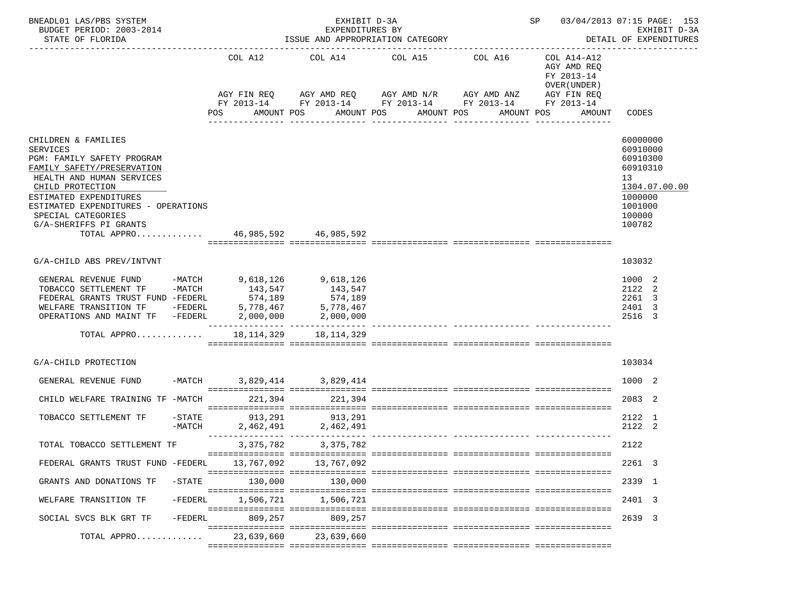| BNEADL01 LAS/PBS SYSTEM<br>BUDGET PERIOD: 2003-2014<br>STATE OF FLORIDA<br>--------------------------                                                                                                                                                                |                    |             | EXHIBIT D-3A<br>EXPENDITURES BY          | ISSUE AND APPROPRIATION CATEGORY |                                                                                                                       | SP 03/04/2013 07:15 PAGE: 153                            | EXHIBIT D-3A<br>DETAIL OF EXPENDITURES                                                                        |
|----------------------------------------------------------------------------------------------------------------------------------------------------------------------------------------------------------------------------------------------------------------------|--------------------|-------------|------------------------------------------|----------------------------------|-----------------------------------------------------------------------------------------------------------------------|----------------------------------------------------------|---------------------------------------------------------------------------------------------------------------|
|                                                                                                                                                                                                                                                                      |                    | COL A12     |                                          | COL A14 COL A15 COL A16          | AGY FIN REQ AGY AMD REQ AGY AMD N/R AGY AMD ANZ AGY FIN REQ<br>FY 2013-14 FY 2013-14 FY 2013-14 FY 2013-14 FY 2013-14 | COL A14-A12<br>AGY AMD REQ<br>FY 2013-14<br>OVER (UNDER) |                                                                                                               |
|                                                                                                                                                                                                                                                                      |                    |             | AMOUNT POS                               | AMOUNT POS AMOUNT POS            | _______________                                                                                                       | AMOUNT POS<br>AMOUNT                                     | CODES                                                                                                         |
| CHILDREN & FAMILIES<br><b>SERVICES</b><br>PGM: FAMILY SAFETY PROGRAM<br>FAMILY SAFETY/PRESERVATION<br>HEALTH AND HUMAN SERVICES<br>CHILD PROTECTION<br>ESTIMATED EXPENDITURES<br>ESTIMATED EXPENDITURES - OPERATIONS<br>SPECIAL CATEGORIES<br>G/A-SHERIFFS PI GRANTS |                    |             |                                          |                                  |                                                                                                                       |                                                          | 60000000<br>60910000<br>60910300<br>60910310<br>13<br>1304.07.00.00<br>1000000<br>1001000<br>100000<br>100782 |
| TOTAL APPRO 46,985,592 46,985,592                                                                                                                                                                                                                                    |                    |             |                                          |                                  |                                                                                                                       |                                                          |                                                                                                               |
|                                                                                                                                                                                                                                                                      |                    |             |                                          |                                  |                                                                                                                       |                                                          |                                                                                                               |
| G/A-CHILD ABS PREV/INTVNT                                                                                                                                                                                                                                            |                    |             |                                          |                                  |                                                                                                                       |                                                          | 103032                                                                                                        |
| FEDERAL GRANTS TRUST FUND -FEDERL 574,189<br>WELFARE TRANSITION TF -FEDERL<br>OPERATIONS AND MAINT TF -FEDERL<br>TOTAL APPRO                                                                                                                                         |                    |             | 574,189<br>18, 114, 329 18, 114, 329     |                                  |                                                                                                                       |                                                          | 1000 2<br>2122 2<br>2261 3<br>2401 3<br>2516 3                                                                |
|                                                                                                                                                                                                                                                                      |                    |             |                                          |                                  |                                                                                                                       |                                                          |                                                                                                               |
| G/A-CHILD PROTECTION                                                                                                                                                                                                                                                 |                    |             |                                          |                                  |                                                                                                                       |                                                          | 103034                                                                                                        |
| GENERAL REVENUE FUND -MATCH 3,829,414 3,829,414                                                                                                                                                                                                                      |                    |             |                                          |                                  |                                                                                                                       |                                                          | 1000 2                                                                                                        |
| CHILD WELFARE TRAINING TF -MATCH                                                                                                                                                                                                                                     |                    | 221,394     | 221,394                                  |                                  |                                                                                                                       |                                                          | 2083 2                                                                                                        |
| TOBACCO SETTLEMENT TF                                                                                                                                                                                                                                                | -STATE<br>$-MATCH$ |             | 913, 291 913, 291<br>2,462,491 2,462,491 |                                  |                                                                                                                       |                                                          | 2122 1<br>2122 2                                                                                              |
| TOTAL TOBACCO SETTLEMENT TF                                                                                                                                                                                                                                          |                    | 3, 375, 782 | 3,375,782                                |                                  |                                                                                                                       |                                                          | 2122                                                                                                          |
| FEDERAL GRANTS TRUST FUND -FEDERL                                                                                                                                                                                                                                    |                    | 13,767,092  | 13,767,092                               |                                  |                                                                                                                       |                                                          | 2261 3                                                                                                        |
| GRANTS AND DONATIONS TF                                                                                                                                                                                                                                              | $-$ STATE          | 130,000     | 130,000                                  |                                  |                                                                                                                       |                                                          | 2339 1                                                                                                        |
| WELFARE TRANSITION TF                                                                                                                                                                                                                                                | $-FEDERL$          | 1,506,721   | 1,506,721                                |                                  |                                                                                                                       |                                                          | 2401 3                                                                                                        |
| SOCIAL SVCS BLK GRT TF                                                                                                                                                                                                                                               | $-FEDERL$          | 809,257     | 809,257                                  |                                  |                                                                                                                       |                                                          | 2639 3                                                                                                        |
| TOTAL APPRO                                                                                                                                                                                                                                                          |                    | 23,639,660  | 23,639,660                               |                                  |                                                                                                                       |                                                          |                                                                                                               |
|                                                                                                                                                                                                                                                                      |                    |             |                                          |                                  |                                                                                                                       |                                                          |                                                                                                               |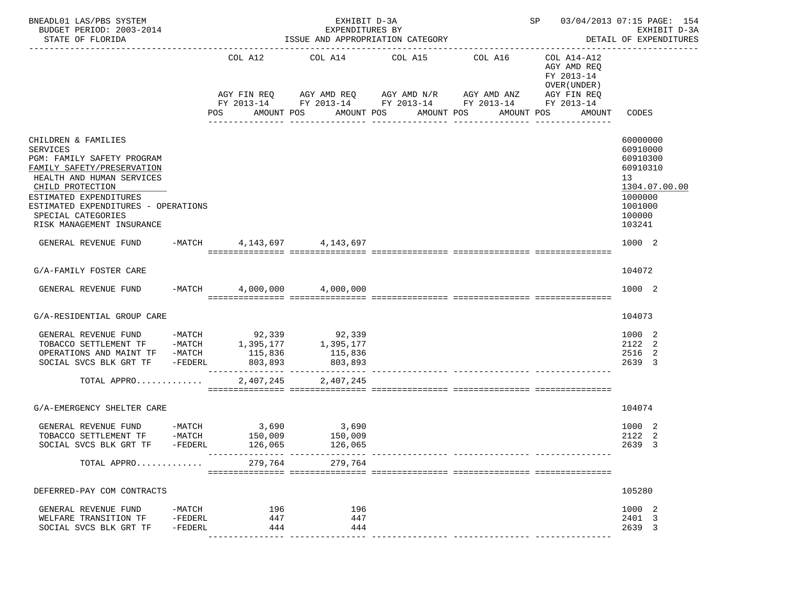| BNEADL01 LAS/PBS SYSTEM<br>BUDGET PERIOD: 2003-2014<br>STATE OF FLORIDA<br>-----------------------                                                                |                              |                    |                   | EXHIBIT D-3A<br>EXPENDITURES BY<br>ISSUE AND APPROPRIATION CATEGORY |                                           |                                                                                                                       | SP 03/04/2013 07:15 PAGE: 154                            | EXHIBIT D-3A<br>DETAIL OF EXPENDITURES                              |
|-------------------------------------------------------------------------------------------------------------------------------------------------------------------|------------------------------|--------------------|-------------------|---------------------------------------------------------------------|-------------------------------------------|-----------------------------------------------------------------------------------------------------------------------|----------------------------------------------------------|---------------------------------------------------------------------|
|                                                                                                                                                                   |                              |                    |                   | COL A12 COL A14 COL A15 COL A16                                     |                                           | AGY FIN REQ AGY AMD REQ AGY AMD N/R AGY AMD ANZ AGY FIN REQ<br>FY 2013-14 FY 2013-14 FY 2013-14 FY 2013-14 FY 2013-14 | COL A14-A12<br>AGY AMD REQ<br>FY 2013-14<br>OVER (UNDER) |                                                                     |
|                                                                                                                                                                   |                              | POS                |                   | AMOUNT POS                                                          | AMOUNT POS AMOUNT POS<br>________________ | ---------------                                                                                                       | AMOUNT POS                                               | AMOUNT CODES                                                        |
| CHILDREN & FAMILIES<br><b>SERVICES</b><br>PGM: FAMILY SAFETY PROGRAM<br>FAMILY SAFETY/PRESERVATION<br>HEALTH AND HUMAN SERVICES<br>CHILD PROTECTION               |                              |                    |                   |                                                                     |                                           |                                                                                                                       |                                                          | 60000000<br>60910000<br>60910300<br>60910310<br>13<br>1304.07.00.00 |
| ESTIMATED EXPENDITURES<br>ESTIMATED EXPENDITURES - OPERATIONS<br>SPECIAL CATEGORIES<br>RISK MANAGEMENT INSURANCE                                                  |                              |                    |                   |                                                                     |                                           |                                                                                                                       |                                                          | 1000000<br>1001000<br>100000<br>103241                              |
| GENERAL REVENUE FUND                                                                                                                                              | $-MATCH$                     |                    |                   | 4, 143, 697 4, 143, 697                                             |                                           |                                                                                                                       |                                                          | 1000 2                                                              |
| G/A-FAMILY FOSTER CARE                                                                                                                                            |                              |                    |                   |                                                                     |                                           |                                                                                                                       |                                                          | 104072                                                              |
| GENERAL REVENUE FUND                                                                                                                                              | $-MATCH$                     |                    |                   | 4,000,000 4,000,000                                                 |                                           |                                                                                                                       |                                                          | 1000 2                                                              |
| G/A-RESIDENTIAL GROUP CARE                                                                                                                                        |                              |                    |                   |                                                                     |                                           |                                                                                                                       |                                                          | 104073                                                              |
| GENERAL REVENUE FUND -MATCH 92,339 92,339<br>TOBACCO SETTLEMENT TF -MATCH 1,395,177 1,395,177<br>OPERATIONS AND MAINT TF -MATCH<br>SOCIAL SVCS BLK GRT TF -FEDERL |                              | 115,836<br>803,893 |                   | 115,836<br>803,893                                                  |                                           |                                                                                                                       |                                                          | 1000 2<br>2122 2<br>2516 2<br>2639 3                                |
| TOTAL APPRO                                                                                                                                                       |                              |                    |                   | 2,407,245 2,407,245                                                 |                                           |                                                                                                                       |                                                          |                                                                     |
| G/A-EMERGENCY SHELTER CARE                                                                                                                                        |                              |                    |                   |                                                                     |                                           |                                                                                                                       |                                                          | 104074                                                              |
| GENERAL REVENUE FUND -MATCH<br>TOBACCO SETTLEMENT TF<br>SOCIAL SVCS BLK GRT TF -FEDERL                                                                            | $-MATCH$                     |                    | 3,690<br>126,065  | 3,690<br>$150,009$ 150,009<br>126,065                               |                                           |                                                                                                                       |                                                          | 1000 2<br>2122 2<br>2639 3                                          |
| TOTAL APPRO                                                                                                                                                       |                              |                    | 279,764           | 279,764                                                             |                                           |                                                                                                                       |                                                          |                                                                     |
| DEFERRED-PAY COM CONTRACTS                                                                                                                                        |                              |                    |                   |                                                                     |                                           |                                                                                                                       |                                                          | 105280                                                              |
| GENERAL REVENUE FUND<br>WELFARE TRANSITION TF<br>SOCIAL SVCS BLK GRT TF                                                                                           | -MATCH<br>-FEDERL<br>-FEDERL |                    | 196<br>447<br>444 | 196<br>447<br>444                                                   |                                           |                                                                                                                       |                                                          | 1000 2<br>2401 3<br>2639 3                                          |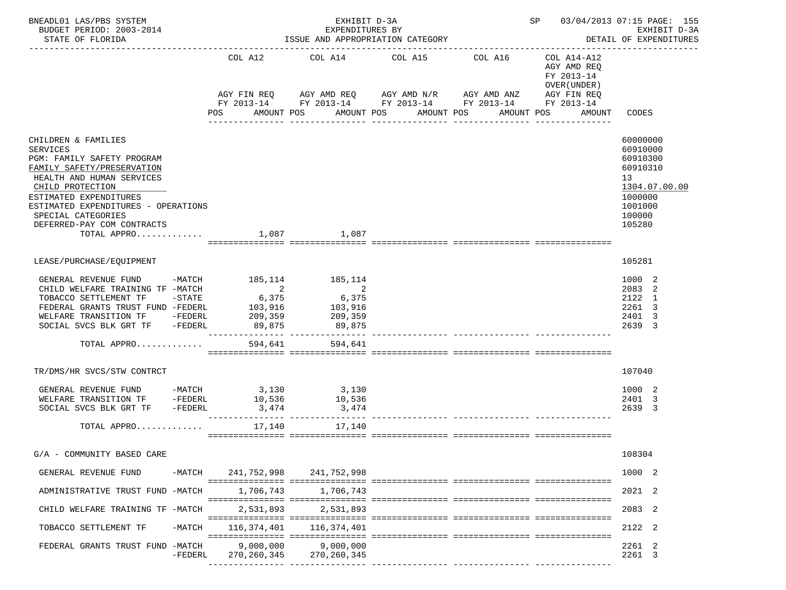| BNEADL01 LAS/PBS SYSTEM<br>EXHIBIT D-3A<br>BUDGET PERIOD: 2003-2014<br>EXPENDITURES BY<br>STATE OF FLORIDA<br>ISSUE AND APPROPRIATION CATEGORY                                                                                                                                                                                                    |          |  |                                                                             |  |                                                                                                           |                                      |  |                 |            |                                                          | SP 03/04/2013 07:15 PAGE: 155<br>EXHIBIT D-3A<br>DETAIL OF EXPENDITURES |                                                                                              |               |
|---------------------------------------------------------------------------------------------------------------------------------------------------------------------------------------------------------------------------------------------------------------------------------------------------------------------------------------------------|----------|--|-----------------------------------------------------------------------------|--|-----------------------------------------------------------------------------------------------------------|--------------------------------------|--|-----------------|------------|----------------------------------------------------------|-------------------------------------------------------------------------|----------------------------------------------------------------------------------------------|---------------|
|                                                                                                                                                                                                                                                                                                                                                   |          |  | COL A12                                                                     |  | COL A14                                                                                                   |                                      |  | COL A15 COL A16 |            | COL A14-A12<br>AGY AMD REQ<br>FY 2013-14<br>OVER (UNDER) |                                                                         |                                                                                              |               |
|                                                                                                                                                                                                                                                                                                                                                   |          |  | AMOUNT POS                                                                  |  | AGY FIN REQ AGY AMD REQ AGY AMD N/R AGY AMD ANZ<br>FY 2013-14 FY 2013-14 FY 2013-14 FY 2013-14 FY 2013-14 | AMOUNT POS AMOUNT POS<br>----------- |  |                 | AMOUNT POS |                                                          | AGY FIN REQ<br>AMOUNT                                                   | CODES                                                                                        |               |
| CHILDREN & FAMILIES<br><b>SERVICES</b><br>PGM: FAMILY SAFETY PROGRAM<br>FAMILY SAFETY/PRESERVATION<br>HEALTH AND HUMAN SERVICES<br>CHILD PROTECTION<br>ESTIMATED EXPENDITURES<br>ESTIMATED EXPENDITURES - OPERATIONS<br>SPECIAL CATEGORIES<br>DEFERRED-PAY COM CONTRACTS<br>TOTAL APPRO $\ldots \ldots \ldots \ldots$ 1,087 $\qquad \qquad$ 1,087 |          |  |                                                                             |  |                                                                                                           |                                      |  |                 |            |                                                          |                                                                         | 60000000<br>60910000<br>60910300<br>60910310<br>13<br>1000000<br>1001000<br>100000<br>105280 | 1304.07.00.00 |
| LEASE/PURCHASE/EQUIPMENT                                                                                                                                                                                                                                                                                                                          |          |  |                                                                             |  |                                                                                                           |                                      |  |                 |            |                                                          |                                                                         | 105281                                                                                       |               |
| GENERAL REVENUE FUND -MATCH 185,114 185,114<br>CHILD WELFARE TRAINING TF -MATCH<br>TOBACCO SETTLEMENT TF -STATE<br>FEDERAL GRANTS TRUST FUND -FEDERL<br>WELFARE TRANSITION TF -FEDERL<br>SOCIAL SVCS BLK GRT TF -FEDERL<br>TOTAL APPRO                                                                                                            |          |  | $\overline{\mathbf{c}}$<br>6,375<br>103,916<br>209,359<br>89,875<br>594,641 |  | 2<br>6,375<br>103,916<br>209,359<br>89,875<br>594,641                                                     |                                      |  |                 |            |                                                          |                                                                         | 1000 2<br>2083 2<br>2122 1<br>2261 3<br>2401 3<br>2639 3                                     |               |
| TR/DMS/HR SVCS/STW CONTRCT                                                                                                                                                                                                                                                                                                                        |          |  |                                                                             |  |                                                                                                           |                                      |  |                 |            |                                                          |                                                                         | 107040                                                                                       |               |
| GENERAL REVENUE FUND -MATCH 3,130 3,130<br>WELFARE TRANSITION TF -FEDERL<br>SOCIAL SVCS BLK GRT TF -FEDERL<br>TOTAL APPRO                                                                                                                                                                                                                         |          |  | 10,536<br>3,474<br>17,140                                                   |  | 10,536<br>3,474<br>____________ ________________<br>17,140                                                |                                      |  |                 |            |                                                          |                                                                         | 1000 2<br>2401 3<br>2639 3                                                                   |               |
| G/A - COMMUNITY BASED CARE                                                                                                                                                                                                                                                                                                                        |          |  |                                                                             |  |                                                                                                           |                                      |  |                 |            |                                                          |                                                                         | 108304                                                                                       |               |
| GENERAL REVENUE FUND                                                                                                                                                                                                                                                                                                                              |          |  | -MATCH 241,752,998                                                          |  | 241,752,998                                                                                               |                                      |  |                 |            |                                                          |                                                                         | 1000 2                                                                                       |               |
| ADMINISTRATIVE TRUST FUND -MATCH                                                                                                                                                                                                                                                                                                                  |          |  | 1,706,743                                                                   |  | 1,706,743                                                                                                 |                                      |  |                 |            |                                                          |                                                                         | 2021 2                                                                                       |               |
| CHILD WELFARE TRAINING TF -MATCH                                                                                                                                                                                                                                                                                                                  |          |  | 2,531,893                                                                   |  | 2,531,893                                                                                                 |                                      |  |                 |            |                                                          |                                                                         | 2083 2                                                                                       |               |
| TOBACCO SETTLEMENT TF                                                                                                                                                                                                                                                                                                                             | $-MATCH$ |  | 116,374,401                                                                 |  | 116,374,401                                                                                               |                                      |  |                 |            |                                                          |                                                                         | 2122 2                                                                                       |               |
| FEDERAL GRANTS TRUST FUND -MATCH                                                                                                                                                                                                                                                                                                                  | -FEDERL  |  | 9,000,000<br>270,260,345                                                    |  | 9,000,000<br>270,260,345                                                                                  |                                      |  |                 |            |                                                          |                                                                         | 2261 2<br>2261 3                                                                             |               |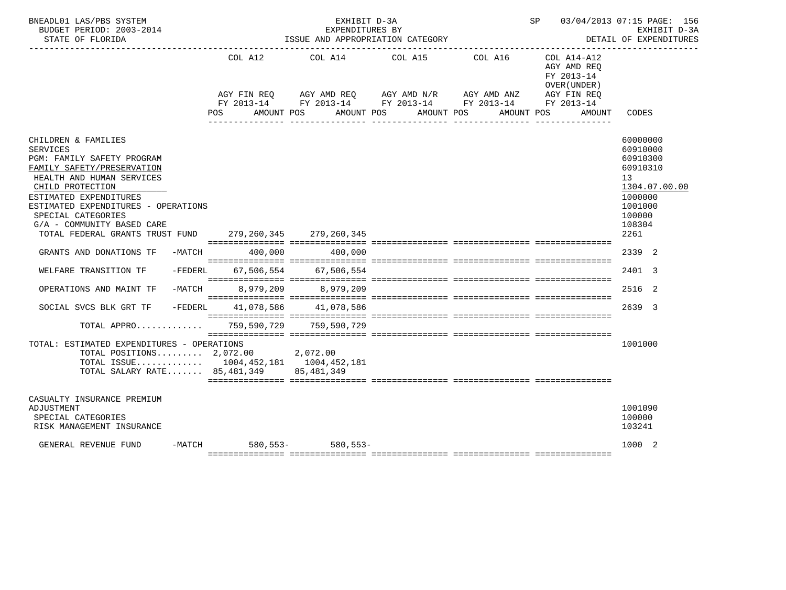| BNEADL01 LAS/PBS SYSTEM<br>BUDGET PERIOD: 2003-2014<br>STATE OF FLORIDA                                                                                                                                                                                                                                                                    | ISSUE AND APPROPRIATION CATEGORY | SP 03/04/2013 07:15 PAGE: 156<br>EXHIBIT D-3A<br>DETAIL OF EXPENDITURES                                                         |            |                                                                      |                                                                         |                                                                                                                       |
|--------------------------------------------------------------------------------------------------------------------------------------------------------------------------------------------------------------------------------------------------------------------------------------------------------------------------------------------|----------------------------------|---------------------------------------------------------------------------------------------------------------------------------|------------|----------------------------------------------------------------------|-------------------------------------------------------------------------|-----------------------------------------------------------------------------------------------------------------------|
|                                                                                                                                                                                                                                                                                                                                            | AGY FIN REO                      | COL A12 COL A14 COL A15 COL A16<br>$AGY \text{ AMD } REQ \qquad \qquad AGY \text{ AMD } N/R \qquad \qquad AGY \text{ AMD } ANZ$ |            |                                                                      | COL A14-A12<br>AGY AMD REO<br>FY 2013-14<br>OVER (UNDER)<br>AGY FIN REQ |                                                                                                                       |
|                                                                                                                                                                                                                                                                                                                                            | AMOUNT POS<br>POS                | AMOUNT POS                                                                                                                      | AMOUNT POS | FY 2013-14 FY 2013-14 FY 2013-14 FY 2013-14 FY 2013-14<br>AMOUNT POS | AMOUNT                                                                  | CODES                                                                                                                 |
| CHILDREN & FAMILIES<br><b>SERVICES</b><br><b>PGM: FAMILY SAFETY PROGRAM</b><br>FAMILY SAFETY/PRESERVATION<br>HEALTH AND HUMAN SERVICES<br>CHILD PROTECTION<br>ESTIMATED EXPENDITURES<br>ESTIMATED EXPENDITURES - OPERATIONS<br>SPECIAL CATEGORIES<br>G/A - COMMUNITY BASED CARE<br>TOTAL FEDERAL GRANTS TRUST FUND 279,260,345 279,260,345 |                                  |                                                                                                                                 |            |                                                                      |                                                                         | 60000000<br>60910000<br>60910300<br>60910310<br>13<br>1304.07.00.00<br>1000000<br>1001000<br>100000<br>108304<br>2261 |
| GRANTS AND DONATIONS TF<br>-MATCH                                                                                                                                                                                                                                                                                                          | 400,000                          | 400,000                                                                                                                         |            |                                                                      |                                                                         | 2339 2                                                                                                                |
| $-FEDERL$<br>WELFARE TRANSITION TF                                                                                                                                                                                                                                                                                                         | 67,506,554                       | 67,506,554                                                                                                                      |            |                                                                      |                                                                         | 2401 3                                                                                                                |
| -MATCH<br>OPERATIONS AND MAINT TF                                                                                                                                                                                                                                                                                                          |                                  | 8,979,209 8,979,209                                                                                                             |            |                                                                      |                                                                         | 2516 2                                                                                                                |
| $-FEDERL$<br>SOCIAL SVCS BLK GRT TF                                                                                                                                                                                                                                                                                                        |                                  | 41,078,586 41,078,586                                                                                                           |            | $\blacksquare$                                                       |                                                                         | 2639 3                                                                                                                |
| TOTAL APPRO                                                                                                                                                                                                                                                                                                                                |                                  | 759,590,729 759,590,729                                                                                                         |            |                                                                      |                                                                         |                                                                                                                       |
| TOTAL: ESTIMATED EXPENDITURES - OPERATIONS<br>TOTAL POSITIONS $2,072.00$ 2,072.00<br>TOTAL ISSUE 1004,452,181 1004,452,181<br>TOTAL SALARY RATE 85,481,349 85,481,349                                                                                                                                                                      |                                  |                                                                                                                                 |            |                                                                      |                                                                         | 1001000                                                                                                               |
| CASUALTY INSURANCE PREMIUM<br>ADJUSTMENT<br>SPECIAL CATEGORIES<br>RISK MANAGEMENT INSURANCE                                                                                                                                                                                                                                                |                                  |                                                                                                                                 |            |                                                                      |                                                                         | 1001090<br>100000<br>103241                                                                                           |
| GENERAL REVENUE FUND<br>-MATCH                                                                                                                                                                                                                                                                                                             |                                  | $580.553 - 580.553 -$                                                                                                           |            |                                                                      |                                                                         | 1000 2                                                                                                                |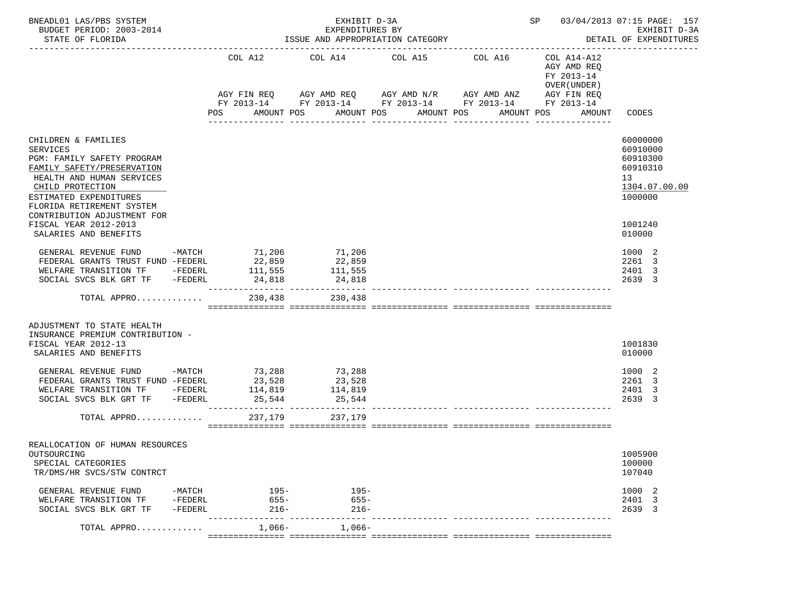| BNEADL01 LAS/PBS SYSTEM<br>BUDGET PERIOD: 2003-2014<br>STATE OF FLORIDA                                                                                                                             |                        |                                                                 | SP 03/04/2013 07:15 PAGE: 157<br>EXHIBIT D-3A<br>DETAIL OF EXPENDITURES |                                                                        |                                                          |                                                                                |
|-----------------------------------------------------------------------------------------------------------------------------------------------------------------------------------------------------|------------------------|-----------------------------------------------------------------|-------------------------------------------------------------------------|------------------------------------------------------------------------|----------------------------------------------------------|--------------------------------------------------------------------------------|
|                                                                                                                                                                                                     | COL A12                | COL A14 COL A15                                                 |                                                                         | COL A16<br>AGY FIN REQ AGY AMD REQ AGY AMD N/R AGY AMD ANZ AGY FIN REQ | COL A14-A12<br>AGY AMD REQ<br>FY 2013-14<br>OVER (UNDER) |                                                                                |
|                                                                                                                                                                                                     | POS                    | AMOUNT POS                                                      | AMOUNT POS                                                              | FY 2013-14 FY 2013-14 FY 2013-14 FY 2013-14 FY 2013-14<br>AMOUNT POS   | AMOUNT POS AMOUNT CODES                                  |                                                                                |
|                                                                                                                                                                                                     |                        |                                                                 | ----------------                                                        | _______________                                                        |                                                          |                                                                                |
| CHILDREN & FAMILIES<br>SERVICES<br>PGM: FAMILY SAFETY PROGRAM<br>FAMILY SAFETY/PRESERVATION<br>HEALTH AND HUMAN SERVICES<br>CHILD PROTECTION<br>ESTIMATED EXPENDITURES<br>FLORIDA RETIREMENT SYSTEM |                        |                                                                 |                                                                         |                                                                        |                                                          | 60000000<br>60910000<br>60910300<br>60910310<br>13<br>1304.07.00.00<br>1000000 |
| CONTRIBUTION ADJUSTMENT FOR<br>FISCAL YEAR 2012-2013<br>SALARIES AND BENEFITS                                                                                                                       |                        |                                                                 |                                                                         |                                                                        |                                                          | 1001240<br>010000                                                              |
| GENERAL REVENUE FUND -MATCH 71,206<br>FEDERAL GRANTS TRUST FUND -FEDERL 22,859<br>WELFARE TRANSITION TF -FEDERL 111,555<br>SOCIAL SVCS BLK GRT TF -FEDERL                                           | 24,818                 | 71,206<br>22,859<br>$\frac{22}{111}, \frac{555}{510}$<br>24,818 |                                                                         |                                                                        |                                                          | 1000 2<br>2261 3<br>2401 3<br>2639 3                                           |
| TOTAL APPRO                                                                                                                                                                                         |                        | 230,438<br>230,438                                              |                                                                         |                                                                        |                                                          |                                                                                |
| ADJUSTMENT TO STATE HEALTH<br>INSURANCE PREMIUM CONTRIBUTION -<br>FISCAL YEAR 2012-13<br>SALARIES AND BENEFITS                                                                                      |                        |                                                                 |                                                                         |                                                                        |                                                          | 1001830<br>010000                                                              |
| GENERAL REVENUE FUND -MATCH 73,288 73,288<br>FEDERAL GRANTS TRUST FUND -FEDERL 23,528<br>WELFARE TRANSITION TF -FEDERL 114,819<br>SOCIAL SVCS BLK GRT TF -FEDERL                                    | 25,544                 | 23,528<br>114,819<br>25,544                                     |                                                                         |                                                                        |                                                          | 1000 2<br>2261 3<br>2401 3<br>2639 3                                           |
| TOTAL APPRO                                                                                                                                                                                         | 237,179                | 237,179                                                         |                                                                         |                                                                        |                                                          |                                                                                |
| REALLOCATION OF HUMAN RESOURCES<br>OUTSOURCING<br>SPECIAL CATEGORIES<br>TR/DMS/HR SVCS/STW CONTRCT                                                                                                  |                        |                                                                 |                                                                         |                                                                        |                                                          | 1005900<br>100000<br>107040                                                    |
| GENERAL REVENUE FUND<br>-MATCH<br>WELFARE TRANSITION TF<br>-FEDERL<br>SOCIAL SVCS BLK GRT TF<br>-FEDERL                                                                                             | $195-$<br>655-<br>216- | 195-<br>$655 -$<br>$216-$                                       |                                                                         |                                                                        |                                                          | 1000 2<br>2401 3<br>2639 3                                                     |
| TOTAL APPRO                                                                                                                                                                                         | $1.066 -$              | $1,066-$                                                        |                                                                         |                                                                        |                                                          |                                                                                |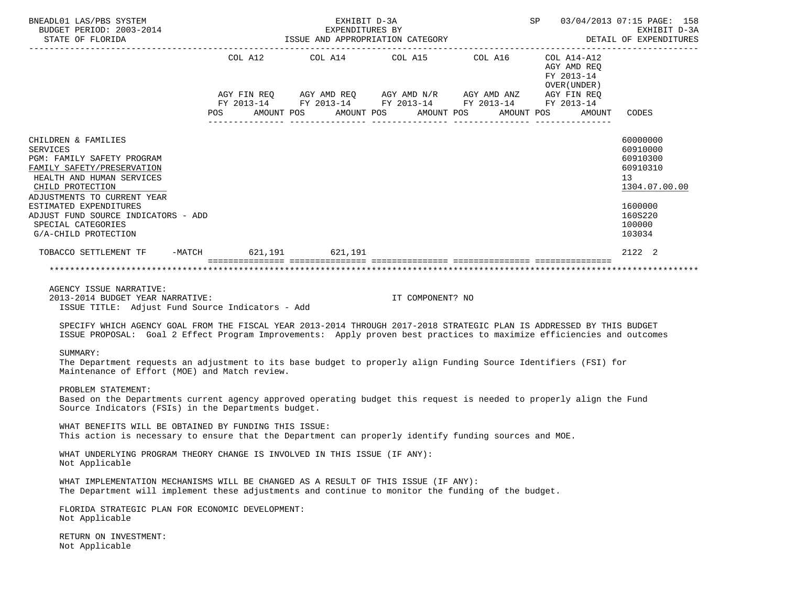| BNEADL01 LAS/PBS SYSTEM<br>BUDGET PERIOD: 2003-2014<br>STATE OF FLORIDA                                                                                                                                                                        |     | EXHIBIT D-3A<br>EXPENDITURES BY<br>ISSUE AND APPROPRIATION CATEGORY |                       | SP 03/04/2013 07:15 PAGE: 158<br>EXHIBIT D-3A<br>DETAIL OF EXPENDITURES                                                                                              |                                            |                                                                     |
|------------------------------------------------------------------------------------------------------------------------------------------------------------------------------------------------------------------------------------------------|-----|---------------------------------------------------------------------|-----------------------|----------------------------------------------------------------------------------------------------------------------------------------------------------------------|--------------------------------------------|---------------------------------------------------------------------|
|                                                                                                                                                                                                                                                |     |                                                                     |                       | COL A12 COL A14 COL A15 COL A16 COL A14-A12<br>AGY FIN REQ AGY AMD REQ AGY AMD N/R AGY AMD ANZ AGY FIN REQ<br>FY 2013-14 FY 2013-14 FY 2013-14 FY 2013-14 FY 2013-14 | AGY AMD REQ<br>FY 2013-14<br>OVER (UNDER ) |                                                                     |
|                                                                                                                                                                                                                                                | POS | AMOUNT POS                                                          | AMOUNT POS AMOUNT POS |                                                                                                                                                                      | AMOUNT POS<br>AMOUNT                       | CODES                                                               |
| CHILDREN & FAMILIES<br><b>SERVICES</b><br>PGM: FAMILY SAFETY PROGRAM<br>FAMILY SAFETY/PRESERVATION<br>HEALTH AND HUMAN SERVICES<br>CHILD PROTECTION                                                                                            |     |                                                                     |                       |                                                                                                                                                                      |                                            | 60000000<br>60910000<br>60910300<br>60910310<br>13<br>1304.07.00.00 |
| ADJUSTMENTS TO CURRENT YEAR<br>ESTIMATED EXPENDITURES<br>ADJUST FUND SOURCE INDICATORS - ADD<br>SPECIAL CATEGORIES<br>G/A-CHILD PROTECTION                                                                                                     |     |                                                                     |                       |                                                                                                                                                                      |                                            | 1600000<br>160S220<br>100000<br>103034                              |
| TOBACCO SETTLEMENT TF -MATCH 621, 191 621, 191                                                                                                                                                                                                 |     |                                                                     |                       |                                                                                                                                                                      |                                            | 2122 2                                                              |
|                                                                                                                                                                                                                                                |     |                                                                     |                       |                                                                                                                                                                      |                                            |                                                                     |
| AGENCY ISSUE NARRATIVE:<br>2013-2014 BUDGET YEAR NARRATIVE:<br>ISSUE TITLE: Adjust Fund Source Indicators - Add                                                                                                                                |     |                                                                     | IT COMPONENT? NO      |                                                                                                                                                                      |                                            |                                                                     |
| SPECIFY WHICH AGENCY GOAL FROM THE FISCAL YEAR 2013-2014 THROUGH 2017-2018 STRATEGIC PLAN IS ADDRESSED BY THIS BUDGET<br>ISSUE PROPOSAL: Goal 2 Effect Program Improvements: Apply proven best practices to maximize efficiencies and outcomes |     |                                                                     |                       |                                                                                                                                                                      |                                            |                                                                     |
| SUMMARY:<br>The Department requests an adjustment to its base budget to properly align Funding Source Identifiers (FSI) for<br>Maintenance of Effort (MOE) and Match review.                                                                   |     |                                                                     |                       |                                                                                                                                                                      |                                            |                                                                     |
| PROBLEM STATEMENT:<br>Based on the Departments current agency approved operating budget this request is needed to properly align the Fund<br>Source Indicators (FSIs) in the Departments budget.                                               |     |                                                                     |                       |                                                                                                                                                                      |                                            |                                                                     |
| WHAT BENEFITS WILL BE OBTAINED BY FUNDING THIS ISSUE:<br>This action is necessary to ensure that the Department can properly identify funding sources and MOE.                                                                                 |     |                                                                     |                       |                                                                                                                                                                      |                                            |                                                                     |
| WHAT UNDERLYING PROGRAM THEORY CHANGE IS INVOLVED IN THIS ISSUE (IF ANY):<br>Not Applicable                                                                                                                                                    |     |                                                                     |                       |                                                                                                                                                                      |                                            |                                                                     |
| WHAT IMPLEMENTATION MECHANISMS WILL BE CHANGED AS A RESULT OF THIS ISSUE (IF ANY):<br>The Department will implement these adjustments and continue to monitor the funding of the budget.                                                       |     |                                                                     |                       |                                                                                                                                                                      |                                            |                                                                     |
| FLORIDA STRATEGIC PLAN FOR ECONOMIC DEVELOPMENT:<br>Not Applicable                                                                                                                                                                             |     |                                                                     |                       |                                                                                                                                                                      |                                            |                                                                     |
| RETURN ON INVESTMENT:<br>Not Applicable                                                                                                                                                                                                        |     |                                                                     |                       |                                                                                                                                                                      |                                            |                                                                     |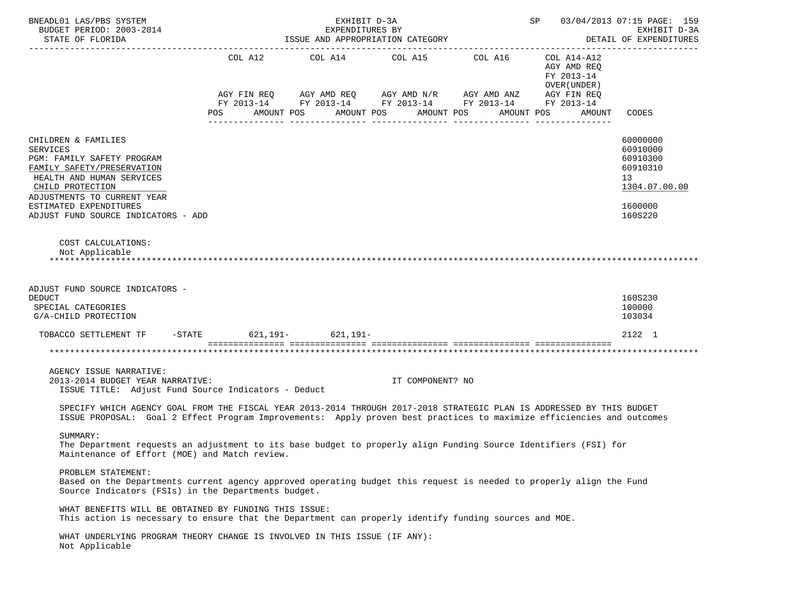| BNEADL01 LAS/PBS SYSTEM<br>BUDGET PERIOD: 2003-2014<br>STATE OF FLORIDA                                                                                                                                                                             | SP 03/04/2013 07:15 PAGE: 159 | EXHIBIT D-3A<br>DETAIL OF EXPENDITURES |                                                                                                                       |                                                          |                                                                                           |
|-----------------------------------------------------------------------------------------------------------------------------------------------------------------------------------------------------------------------------------------------------|-------------------------------|----------------------------------------|-----------------------------------------------------------------------------------------------------------------------|----------------------------------------------------------|-------------------------------------------------------------------------------------------|
|                                                                                                                                                                                                                                                     | COL A12                       | COL A14 COL A15 COL A16                | AGY FIN REQ AGY AMD REQ AGY AMD N/R AGY AMD ANZ AGY FIN REQ<br>FY 2013-14 FY 2013-14 FY 2013-14 FY 2013-14 FY 2013-14 | COL A14-A12<br>AGY AMD REQ<br>FY 2013-14<br>OVER (UNDER) |                                                                                           |
|                                                                                                                                                                                                                                                     | AMOUNT POS<br>POS             | AMOUNT POS                             | AMOUNT POS<br>AMOUNT POS                                                                                              | AMOUNT                                                   | CODES                                                                                     |
| CHILDREN & FAMILIES<br><b>SERVICES</b><br>PGM: FAMILY SAFETY PROGRAM<br>FAMILY SAFETY/PRESERVATION<br>HEALTH AND HUMAN SERVICES<br>CHILD PROTECTION<br>ADJUSTMENTS TO CURRENT YEAR<br>ESTIMATED EXPENDITURES<br>ADJUST FUND SOURCE INDICATORS - ADD |                               |                                        |                                                                                                                       |                                                          | 60000000<br>60910000<br>60910300<br>60910310<br>13<br>1304.07.00.00<br>1600000<br>160S220 |
| COST CALCULATIONS:<br>Not Applicable                                                                                                                                                                                                                |                               |                                        |                                                                                                                       |                                                          |                                                                                           |
| ADJUST FUND SOURCE INDICATORS -<br><b>DEDUCT</b><br>SPECIAL CATEGORIES<br>G/A-CHILD PROTECTION                                                                                                                                                      |                               |                                        |                                                                                                                       |                                                          | 160S230<br>100000<br>103034                                                               |
| TOBACCO SETTLEMENT TF -STATE 621, 191- 621, 191-                                                                                                                                                                                                    |                               |                                        |                                                                                                                       |                                                          | 2122 1                                                                                    |
|                                                                                                                                                                                                                                                     |                               |                                        |                                                                                                                       |                                                          |                                                                                           |
| AGENCY ISSUE NARRATIVE:<br>2013-2014 BUDGET YEAR NARRATIVE:<br>ISSUE TITLE: Adjust Fund Source Indicators - Deduct                                                                                                                                  |                               | IT COMPONENT? NO                       |                                                                                                                       |                                                          |                                                                                           |
| SPECIFY WHICH AGENCY GOAL FROM THE FISCAL YEAR 2013-2014 THROUGH 2017-2018 STRATEGIC PLAN IS ADDRESSED BY THIS BUDGET<br>ISSUE PROPOSAL: Goal 2 Effect Program Improvements: Apply proven best practices to maximize efficiencies and outcomes      |                               |                                        |                                                                                                                       |                                                          |                                                                                           |
| SUMMARY:<br>The Department requests an adjustment to its base budget to properly align Funding Source Identifiers (FSI) for<br>Maintenance of Effort (MOE) and Match review.                                                                        |                               |                                        |                                                                                                                       |                                                          |                                                                                           |
| PROBLEM STATEMENT:<br>Based on the Departments current agency approved operating budget this request is needed to properly align the Fund<br>Source Indicators (FSIs) in the Departments budget.                                                    |                               |                                        |                                                                                                                       |                                                          |                                                                                           |
| WHAT BENEFITS WILL BE OBTAINED BY FUNDING THIS ISSUE:<br>This action is necessary to ensure that the Department can properly identify funding sources and MOE.                                                                                      |                               |                                        |                                                                                                                       |                                                          |                                                                                           |
| WHAT UNDERLYING PROGRAM THEORY CHANGE IS INVOLVED IN THIS ISSUE (IF ANY):<br>Not Applicable                                                                                                                                                         |                               |                                        |                                                                                                                       |                                                          |                                                                                           |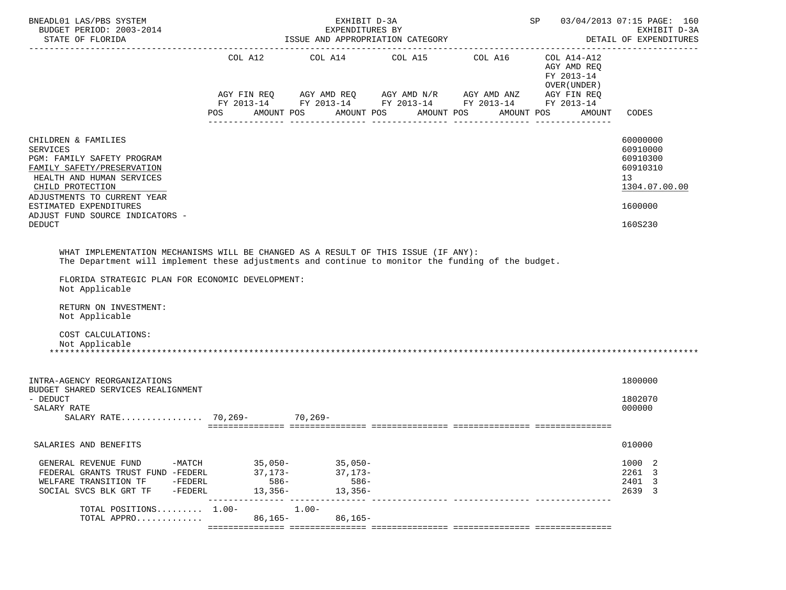| BNEADL01 LAS/PBS SYSTEM<br>BUDGET PERIOD: 2003-2014<br>STATE OF FLORIDA                                                                                                                                                                                                                                                                           |                                                      | EXHIBIT D-3A<br>EXPENDITURES BY<br>ISSUE AND APPROPRIATION CATEGORY                                                                                                                           |            | 03/04/2013 07:15 PAGE: 160<br>SP and the set of the set of the set of the set of the set of the set of the set of the set of the set of the set of the set of the set of the set of the set of the set of the set of the set of the set of the set of the se<br>EXHIBIT D-3A<br>DETAIL OF EXPENDITURES |                                                                                           |  |  |  |
|---------------------------------------------------------------------------------------------------------------------------------------------------------------------------------------------------------------------------------------------------------------------------------------------------------------------------------------------------|------------------------------------------------------|-----------------------------------------------------------------------------------------------------------------------------------------------------------------------------------------------|------------|--------------------------------------------------------------------------------------------------------------------------------------------------------------------------------------------------------------------------------------------------------------------------------------------------------|-------------------------------------------------------------------------------------------|--|--|--|
|                                                                                                                                                                                                                                                                                                                                                   | POS FOR                                              | COL A12 COL A14 COL A15 COL A16 COL A14-A12<br>AGY FIN REQ AGY AMD REQ AGY AMD N/R AGY AMD ANZ AGY FIN REQ<br>FY 2013-14 FY 2013-14 FY 2013-14 FY 2013-14 FY 2013-14<br>AMOUNT POS AMOUNT POS | AMOUNT POS | AGY AMD REQ<br>FY 2013-14<br>OVER (UNDER )<br>AMOUNT POS<br>AMOUNT                                                                                                                                                                                                                                     | CODES                                                                                     |  |  |  |
| CHILDREN & FAMILIES<br><b>SERVICES</b><br>PGM: FAMILY SAFETY PROGRAM<br>FAMILY SAFETY/PRESERVATION<br>HEALTH AND HUMAN SERVICES<br>CHILD PROTECTION<br>ADJUSTMENTS TO CURRENT YEAR<br>ESTIMATED EXPENDITURES<br>ADJUST FUND SOURCE INDICATORS -<br><b>DEDUCT</b>                                                                                  |                                                      |                                                                                                                                                                                               |            |                                                                                                                                                                                                                                                                                                        | 60000000<br>60910000<br>60910300<br>60910310<br>13<br>1304.07.00.00<br>1600000<br>160S230 |  |  |  |
| WHAT IMPLEMENTATION MECHANISMS WILL BE CHANGED AS A RESULT OF THIS ISSUE (IF ANY):<br>The Department will implement these adjustments and continue to monitor the funding of the budget.<br>FLORIDA STRATEGIC PLAN FOR ECONOMIC DEVELOPMENT:<br>Not Applicable<br>RETURN ON INVESTMENT:<br>Not Applicable<br>COST CALCULATIONS:<br>Not Applicable |                                                      |                                                                                                                                                                                               |            |                                                                                                                                                                                                                                                                                                        |                                                                                           |  |  |  |
| INTRA-AGENCY REORGANIZATIONS<br>BUDGET SHARED SERVICES REALIGNMENT<br>- DEDUCT<br>SALARY RATE                                                                                                                                                                                                                                                     |                                                      |                                                                                                                                                                                               |            |                                                                                                                                                                                                                                                                                                        | 1800000<br>1802070<br>000000                                                              |  |  |  |
| SALARIES AND BENEFITS                                                                                                                                                                                                                                                                                                                             |                                                      |                                                                                                                                                                                               |            |                                                                                                                                                                                                                                                                                                        | 010000                                                                                    |  |  |  |
| GENERAL REVENUE FUND<br>FEDERAL GRANTS TRUST FUND -FEDERL<br>WELFARE TRANSITION TF<br>-FEDERL<br>SOCIAL SVCS BLK GRT TF -FEDERL                                                                                                                                                                                                                   | -MATCH 35,050- 35,050-<br>37,173-<br>586-<br>13,356- | 37,173-<br>586-<br>13,356-                                                                                                                                                                    |            |                                                                                                                                                                                                                                                                                                        | 1000 2<br>2261 3<br>2401 3<br>2639 3                                                      |  |  |  |
| TOTAL POSITIONS 1.00-<br>TOTAL APPRO                                                                                                                                                                                                                                                                                                              | $1.00 -$<br>86,165-                                  | $86,165-$                                                                                                                                                                                     |            |                                                                                                                                                                                                                                                                                                        |                                                                                           |  |  |  |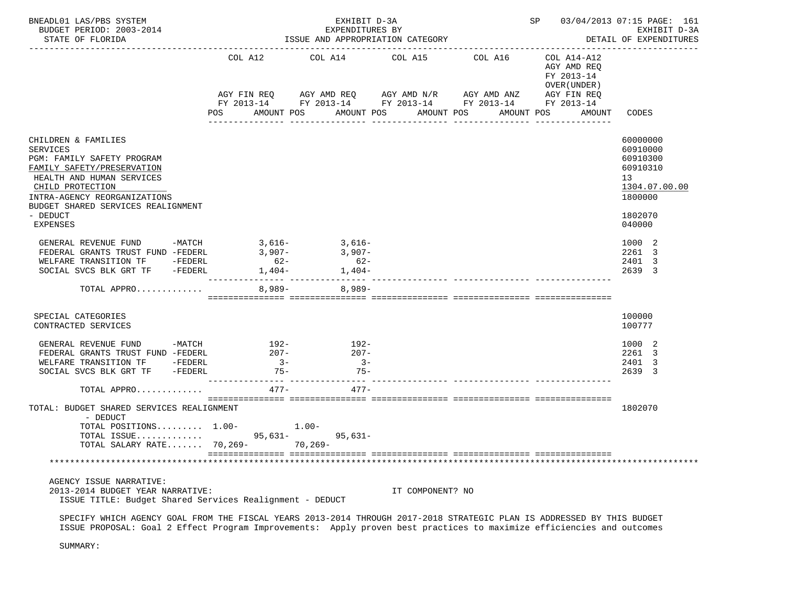| BNEADL01 LAS/PBS SYSTEM<br>BUDGET PERIOD: 2003-2014<br>STATE OF FLORIDA                                                                                                                                                                           | ISSUE AND APPROPRIATION CATEGORY                      | SP 03/04/2013 07:15 PAGE: 161<br>EXHIBIT D-3A<br>DETAIL OF EXPENDITURES |                                                                                                                                                          |                                     |                                                          |                                                                                                     |
|---------------------------------------------------------------------------------------------------------------------------------------------------------------------------------------------------------------------------------------------------|-------------------------------------------------------|-------------------------------------------------------------------------|----------------------------------------------------------------------------------------------------------------------------------------------------------|-------------------------------------|----------------------------------------------------------|-----------------------------------------------------------------------------------------------------|
|                                                                                                                                                                                                                                                   |                                                       |                                                                         | COL A12 COL A14 COL A15 COL A16<br>AGY FIN REQ AGY AMD REQ AGY AMD N/R AGY AMD ANZ AGY FIN REQ<br>FY 2013-14 FY 2013-14 FY 2013-14 FY 2013-14 FY 2013-14 |                                     | COL A14-A12<br>AGY AMD REQ<br>FY 2013-14<br>OVER (UNDER) |                                                                                                     |
|                                                                                                                                                                                                                                                   | AMOUNT POS<br>POS                                     |                                                                         | AMOUNT POS AMOUNT POS<br>________________                                                                                                                | AMOUNT POS<br><u> -------------</u> | AMOUNT                                                   | CODES                                                                                               |
| CHILDREN & FAMILIES<br><b>SERVICES</b><br>PGM: FAMILY SAFETY PROGRAM<br>FAMILY SAFETY/PRESERVATION<br>HEALTH AND HUMAN SERVICES<br>CHILD PROTECTION<br>INTRA-AGENCY REORGANIZATIONS<br>BUDGET SHARED SERVICES REALIGNMENT<br>- DEDUCT<br>EXPENSES |                                                       |                                                                         |                                                                                                                                                          |                                     |                                                          | 60000000<br>60910000<br>60910300<br>60910310<br>13<br>1304.07.00.00<br>1800000<br>1802070<br>040000 |
| GENERAL REVENUE FUND -MATCH<br>FEDERAL GRANTS TRUST FUND -FEDERL<br>WELFARE TRANSITION TF -FEDERL<br>SOCIAL SVCS BLK GRT TF -FEDERL                                                                                                               | $62-$                                                 | $3,616 3,616-$<br>$3,907 - 3,907 -$<br>$62-$<br>$1,404 1,404-$          |                                                                                                                                                          |                                     |                                                          | 1000 2<br>2261 3<br>2401 3<br>2639 3                                                                |
| TOTAL APPRO                                                                                                                                                                                                                                       |                                                       | $8,989-$ 8,989-                                                         |                                                                                                                                                          |                                     |                                                          |                                                                                                     |
| SPECIAL CATEGORIES<br>CONTRACTED SERVICES                                                                                                                                                                                                         |                                                       |                                                                         |                                                                                                                                                          |                                     |                                                          | 100000<br>100777                                                                                    |
| GENERAL REVENUE FUND<br>FEDERAL GRANTS TRUST FUND -FEDERL<br>WELFARE TRANSITION TF -FEDERL<br>SOCIAL SVCS BLK GRT TF -FEDERL<br>TOTAL APPRO                                                                                                       | $-MATCH$ 192-<br>$207 -$<br>$3 -$<br>$75-$<br>$477 -$ | $192-$<br>$207 -$<br>$3 -$<br>$75-$<br>$477-$                           |                                                                                                                                                          |                                     |                                                          | 1000 2<br>2261 3<br>2401 3<br>2639 3                                                                |
| TOTAL: BUDGET SHARED SERVICES REALIGNMENT<br>- DEDUCT<br>TOTAL POSITIONS $1.00-1.00-$<br>TOTAL ISSUE 95, 631- 95, 631-<br>TOTAL SALARY RATE 70,269-                                                                                               |                                                       | $70, 269 -$                                                             |                                                                                                                                                          |                                     |                                                          | 1802070                                                                                             |
|                                                                                                                                                                                                                                                   |                                                       |                                                                         |                                                                                                                                                          |                                     |                                                          |                                                                                                     |
| AGENCY ISSUE NARRATIVE:<br>2013-2014 BUDGET YEAR NARRATIVE:<br>ISSUE TITLE: Budget Shared Services Realignment - DEDUCT                                                                                                                           |                                                       |                                                                         | IT COMPONENT? NO                                                                                                                                         |                                     |                                                          |                                                                                                     |

 SPECIFY WHICH AGENCY GOAL FROM THE FISCAL YEARS 2013-2014 THROUGH 2017-2018 STRATEGIC PLAN IS ADDRESSED BY THIS BUDGET ISSUE PROPOSAL: Goal 2 Effect Program Improvements: Apply proven best practices to maximize efficiencies and outcomes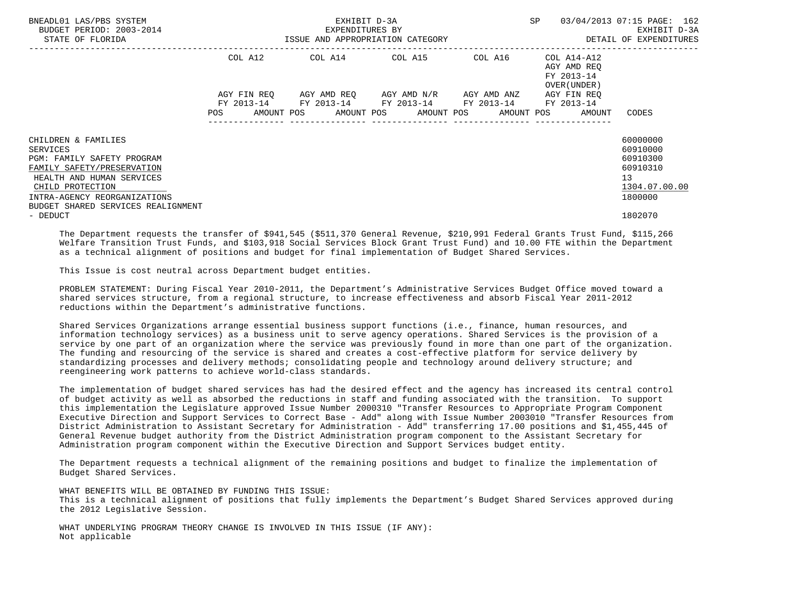| BNEADL01 LAS/PBS SYSTEM<br>BUDGET PERIOD: 2003-2014<br>STATE OF FLORIDA                | EXHIBIT D-3A<br>EXPENDITURES BY<br>ISSUE AND APPROPRIATION CATEGORY |            |  |                                                                                                |  |  |  | SP |  | 03/04/2013 07:15 PAGE: 162<br>EXHIBIT D-3A<br>DETAIL OF EXPENDITURES |                          |
|----------------------------------------------------------------------------------------|---------------------------------------------------------------------|------------|--|------------------------------------------------------------------------------------------------|--|--|--|----|--|----------------------------------------------------------------------|--------------------------|
|                                                                                        |                                                                     | COL A12    |  | COL A14 COL A15 COL A16                                                                        |  |  |  |    |  | COL A14-A12<br>AGY AMD REO<br>FY 2013-14<br>OVER (UNDER)             |                          |
|                                                                                        |                                                                     | FY 2013-14 |  | AGY FIN REO AGY AMD REO AGY AMD N/R AGY AMD ANZ<br>FY 2013-14 FY 2013-14 FY 2013-14 FY 2013-14 |  |  |  |    |  | AGY FIN REO                                                          |                          |
|                                                                                        | <b>POS</b>                                                          |            |  | AMOUNT POS AMOUNT POS AMOUNT POS AMOUNT POS AMOUNT                                             |  |  |  |    |  |                                                                      | CODES                    |
| CHILDREN & FAMILIES                                                                    |                                                                     |            |  |                                                                                                |  |  |  |    |  |                                                                      | 60000000                 |
| SERVICES                                                                               |                                                                     |            |  |                                                                                                |  |  |  |    |  |                                                                      | 60910000                 |
| PGM: FAMILY SAFETY PROGRAM                                                             |                                                                     |            |  |                                                                                                |  |  |  |    |  |                                                                      | 60910300                 |
| FAMILY SAFETY/PRESERVATION                                                             |                                                                     |            |  |                                                                                                |  |  |  |    |  |                                                                      | 60910310                 |
| HEALTH AND HUMAN SERVICES                                                              |                                                                     |            |  |                                                                                                |  |  |  |    |  |                                                                      | 13                       |
| CHILD PROTECTION<br>INTRA-AGENCY REORGANIZATIONS<br>BUDGET SHARED SERVICES REALIGNMENT |                                                                     |            |  |                                                                                                |  |  |  |    |  |                                                                      | 1304.07.00.00<br>1800000 |
| - DEDUCT                                                                               |                                                                     |            |  |                                                                                                |  |  |  |    |  |                                                                      | 1802070                  |

 The Department requests the transfer of \$941,545 (\$511,370 General Revenue, \$210,991 Federal Grants Trust Fund, \$115,266 Welfare Transition Trust Funds, and \$103,918 Social Services Block Grant Trust Fund) and 10.00 FTE within the Department as a technical alignment of positions and budget for final implementation of Budget Shared Services.

This Issue is cost neutral across Department budget entities.

 PROBLEM STATEMENT: During Fiscal Year 2010-2011, the Department's Administrative Services Budget Office moved toward a shared services structure, from a regional structure, to increase effectiveness and absorb Fiscal Year 2011-2012 reductions within the Department's administrative functions.

 Shared Services Organizations arrange essential business support functions (i.e., finance, human resources, and information technology services) as a business unit to serve agency operations. Shared Services is the provision of a service by one part of an organization where the service was previously found in more than one part of the organization. The funding and resourcing of the service is shared and creates a cost-effective platform for service delivery by standardizing processes and delivery methods; consolidating people and technology around delivery structure; and reengineering work patterns to achieve world-class standards.

 The implementation of budget shared services has had the desired effect and the agency has increased its central control of budget activity as well as absorbed the reductions in staff and funding associated with the transition. To support this implementation the Legislature approved Issue Number 2000310 "Transfer Resources to Appropriate Program Component Executive Direction and Support Services to Correct Base - Add" along with Issue Number 2003010 "Transfer Resources from District Administration to Assistant Secretary for Administration - Add" transferring 17.00 positions and \$1,455,445 of General Revenue budget authority from the District Administration program component to the Assistant Secretary for Administration program component within the Executive Direction and Support Services budget entity.

 The Department requests a technical alignment of the remaining positions and budget to finalize the implementation of Budget Shared Services.

 WHAT BENEFITS WILL BE OBTAINED BY FUNDING THIS ISSUE: This is a technical alignment of positions that fully implements the Department's Budget Shared Services approved during the 2012 Legislative Session.

 WHAT UNDERLYING PROGRAM THEORY CHANGE IS INVOLVED IN THIS ISSUE (IF ANY): Not applicable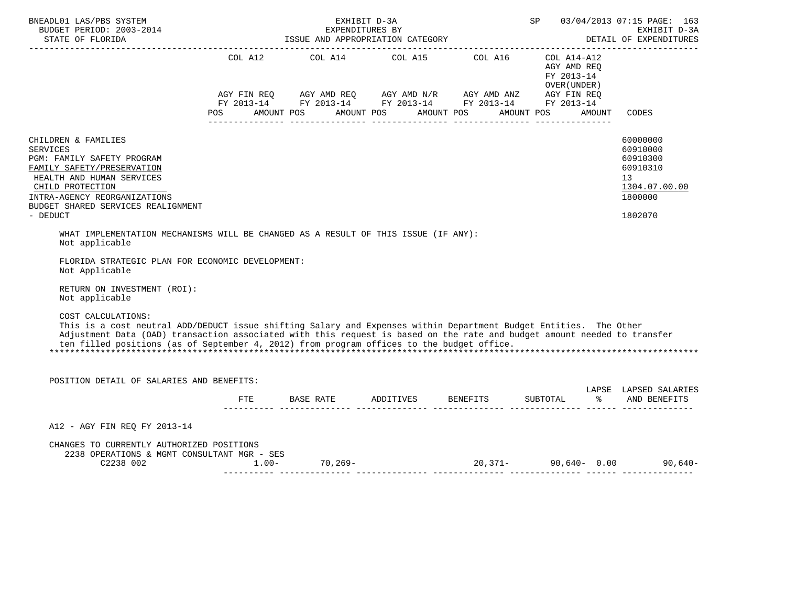| BNEADL01 LAS/PBS SYSTEM                                                                                                                                                                                                                                                                                                                                          | EXHIBIT D-3A                                                                                                                                                                                                                                                                                                                                                                                                                                               |  | SP 03/04/2013 07:15 PAGE: 163             |                                                                                                        |
|------------------------------------------------------------------------------------------------------------------------------------------------------------------------------------------------------------------------------------------------------------------------------------------------------------------------------------------------------------------|------------------------------------------------------------------------------------------------------------------------------------------------------------------------------------------------------------------------------------------------------------------------------------------------------------------------------------------------------------------------------------------------------------------------------------------------------------|--|-------------------------------------------|--------------------------------------------------------------------------------------------------------|
|                                                                                                                                                                                                                                                                                                                                                                  | COL A12 $COL$ A14 $COL$ A15 $COL$ A16 $COL$ A14-A12<br>$\begin{array}{lllllll} \text{AGY}\ \text{FIN}\ \text{REQ} & \text{AGY}\ \text{AMD}\ \text{REQ} & \text{AGY}\ \text{AMD}\ \text{N/R} & \text{AGY}\ \text{AMD}\ \text{AND} & \text{ANZ} & \text{AGY}\ \text{FIN}\ \text{REQ} & \text{BY}\ \text{Y}\ 2013\text{--}14 & \text{FY}\ 2013\text{--}14 & \text{FY}\ 2013\text{--}14 & \text{FY}\ 2013\text{--}14 & \text{YY}\ 2013\text{--}14 \end{array}$ |  | AGY AMD REQ<br>FY 2013-14<br>OVER (UNDER) |                                                                                                        |
|                                                                                                                                                                                                                                                                                                                                                                  | POS AMOUNT POS AMOUNT POS AMOUNT POS AMOUNT POS AMOUNT                                                                                                                                                                                                                                                                                                                                                                                                     |  |                                           | CODES                                                                                                  |
| CHILDREN & FAMILIES<br><b>SERVICES</b><br>PGM: FAMILY SAFETY PROGRAM<br>FAMILY SAFETY/PRESERVATION<br>HEALTH AND HUMAN SERVICES<br>CHILD PROTECTION<br>INTRA-AGENCY REORGANIZATIONS<br>BUDGET SHARED SERVICES REALIGNMENT<br>- DEDUCT                                                                                                                            |                                                                                                                                                                                                                                                                                                                                                                                                                                                            |  |                                           | 60000000<br>60910000<br>60910300<br>60910310<br>13 <sup>°</sup><br>1304.07.00.00<br>1800000<br>1802070 |
| WHAT IMPLEMENTATION MECHANISMS WILL BE CHANGED AS A RESULT OF THIS ISSUE (IF ANY):<br>Not applicable                                                                                                                                                                                                                                                             |                                                                                                                                                                                                                                                                                                                                                                                                                                                            |  |                                           |                                                                                                        |
| FLORIDA STRATEGIC PLAN FOR ECONOMIC DEVELOPMENT:<br>Not Applicable<br>RETURN ON INVESTMENT (ROI):                                                                                                                                                                                                                                                                |                                                                                                                                                                                                                                                                                                                                                                                                                                                            |  |                                           |                                                                                                        |
| Not applicable                                                                                                                                                                                                                                                                                                                                                   |                                                                                                                                                                                                                                                                                                                                                                                                                                                            |  |                                           |                                                                                                        |
| COST CALCULATIONS:<br>This is a cost neutral ADD/DEDUCT issue shifting Salary and Expenses within Department Budget Entities. The Other<br>Adjustment Data (OAD) transaction associated with this request is based on the rate and budget amount needed to transfer<br>ten filled positions (as of September 4, 2012) from program offices to the budget office. |                                                                                                                                                                                                                                                                                                                                                                                                                                                            |  |                                           |                                                                                                        |
| POSITION DETAIL OF SALARIES AND BENEFITS:                                                                                                                                                                                                                                                                                                                        |                                                                                                                                                                                                                                                                                                                                                                                                                                                            |  |                                           | LAPSE LAPSED SALARIES                                                                                  |
|                                                                                                                                                                                                                                                                                                                                                                  | FTE BASE RATE ADDITIVES BENEFITS SUBTOTAL % AND BENEFITS                                                                                                                                                                                                                                                                                                                                                                                                   |  |                                           |                                                                                                        |
| A12 - AGY FIN REO FY 2013-14                                                                                                                                                                                                                                                                                                                                     |                                                                                                                                                                                                                                                                                                                                                                                                                                                            |  |                                           |                                                                                                        |
| CHANGES TO CURRENTLY AUTHORIZED POSITIONS<br>2238 OPERATIONS & MGMT CONSULTANT MGR - SES<br>C2238 002                                                                                                                                                                                                                                                            |                                                                                                                                                                                                                                                                                                                                                                                                                                                            |  |                                           |                                                                                                        |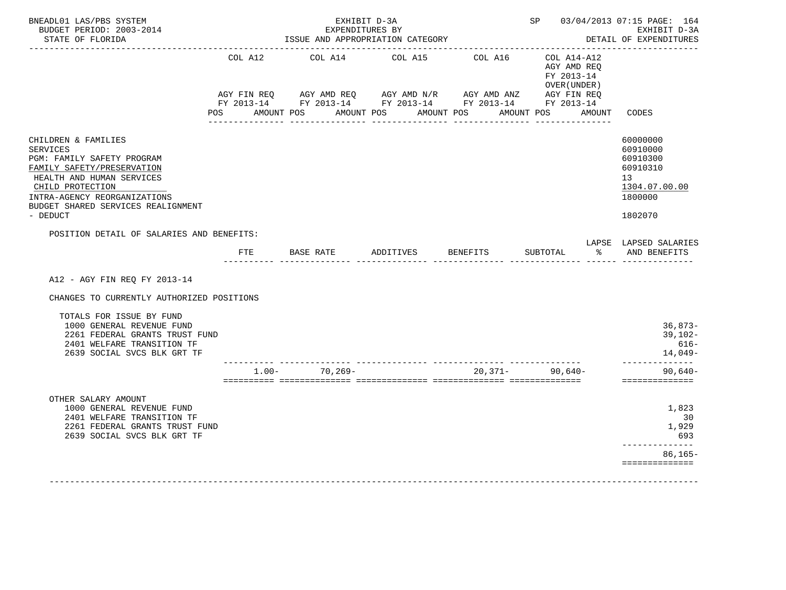| BNEADL01 LAS/PBS SYSTEM<br>BUDGET PERIOD: 2003-2014<br>STATE OF FLORIDA                                                                                                                                                               |                    | EXHIBIT D-3A<br>EXPENDITURES BY<br>ISSUE AND APPROPRIATION CATEGORY                                                                                                                   |                                  | SP 03/04/2013 07:15 PAGE: 164<br>EXHIBIT D-3A<br>DETAIL OF EXPENDITURES |                                                                                     |                                                                                           |
|---------------------------------------------------------------------------------------------------------------------------------------------------------------------------------------------------------------------------------------|--------------------|---------------------------------------------------------------------------------------------------------------------------------------------------------------------------------------|----------------------------------|-------------------------------------------------------------------------|-------------------------------------------------------------------------------------|-------------------------------------------------------------------------------------------|
| <u> De Belede Belede Belede</u>                                                                                                                                                                                                       | COL A12<br>POS FOR | _________________________________<br>COL A14<br>AGY FIN REQ AGY AMD REQ AGY AMD $N/R$ AGY AMD ANZ AGY FIN REQ<br>FY 2013-14 FY 2013-14 FY 2013-14 FY 2013-14 FY 2013-14<br>AMOUNT POS | COL A15<br>AMOUNT POS AMOUNT POS | COL A16                                                                 | $COL A14- A12$<br>AGY AMD REO<br>FY 2013-14<br>OVER (UNDER)<br>AMOUNT POS<br>AMOUNT | _________________________<br>CODES                                                        |
| CHILDREN & FAMILIES<br><b>SERVICES</b><br>PGM: FAMILY SAFETY PROGRAM<br>FAMILY SAFETY/PRESERVATION<br>HEALTH AND HUMAN SERVICES<br>CHILD PROTECTION<br>INTRA-AGENCY REORGANIZATIONS<br>BUDGET SHARED SERVICES REALIGNMENT<br>- DEDUCT |                    |                                                                                                                                                                                       |                                  |                                                                         |                                                                                     | 60000000<br>60910000<br>60910300<br>60910310<br>13<br>1304.07.00.00<br>1800000<br>1802070 |
| POSITION DETAIL OF SALARIES AND BENEFITS:                                                                                                                                                                                             |                    |                                                                                                                                                                                       |                                  |                                                                         |                                                                                     | LAPSE LAPSED SALARIES                                                                     |
|                                                                                                                                                                                                                                       | FTE                | BASE RATE                                                                                                                                                                             | ADDITIVES                        | BENEFITS                                                                | SUBTOTAL                                                                            | 8 AND BENEFITS                                                                            |
| A12 - AGY FIN REO FY 2013-14<br>CHANGES TO CURRENTLY AUTHORIZED POSITIONS                                                                                                                                                             |                    |                                                                                                                                                                                       |                                  |                                                                         |                                                                                     |                                                                                           |
| TOTALS FOR ISSUE BY FUND<br>1000 GENERAL REVENUE FUND<br>2261 FEDERAL GRANTS TRUST FUND<br>2401 WELFARE TRANSITION TF<br>2639 SOCIAL SVCS BLK GRT TF                                                                                  |                    |                                                                                                                                                                                       |                                  |                                                                         |                                                                                     | $36,873-$<br>$39,102-$<br>$616-$<br>14,049-                                               |
|                                                                                                                                                                                                                                       |                    | $1.00 - 70,269 -$                                                                                                                                                                     |                                  | $20.371 -$                                                              | 90.640-                                                                             | ______________<br>$90.640 -$<br>==============                                            |
| OTHER SALARY AMOUNT<br>1000 GENERAL REVENUE FUND<br>2401 WELFARE TRANSITION TF<br>2261 FEDERAL GRANTS TRUST FUND<br>2639 SOCIAL SVCS BLK GRT TF                                                                                       |                    |                                                                                                                                                                                       |                                  |                                                                         |                                                                                     | 1,823<br>30<br>1,929<br>693<br>. _ _ _ _ _ _ _ _ _ _ _ _<br>86,165-<br>==============     |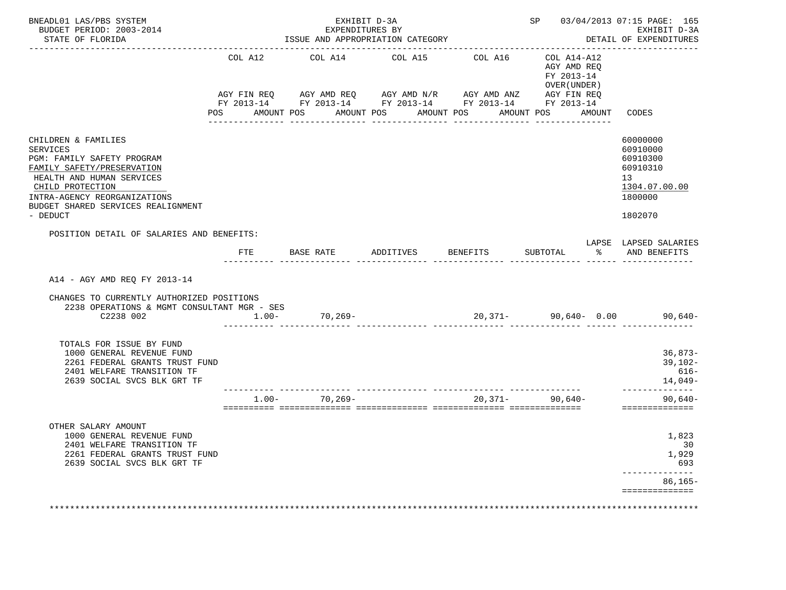| BNEADL01 LAS/PBS SYSTEM<br>BUDGET PERIOD: 2003-2014<br>STATE OF FLORIDA                                                                                                                                                        |                                          | EXHIBIT D-3A<br>EXPENDITURES BY<br>ISSUE AND APPROPRIATION CATEGORY |                                                                                                                                               | SP 03/04/2013 07:15 PAGE: 165<br>EXHIBIT D-3A<br>DETAIL OF EXPENDITURES |                                                                                |                                                                                           |  |
|--------------------------------------------------------------------------------------------------------------------------------------------------------------------------------------------------------------------------------|------------------------------------------|---------------------------------------------------------------------|-----------------------------------------------------------------------------------------------------------------------------------------------|-------------------------------------------------------------------------|--------------------------------------------------------------------------------|-------------------------------------------------------------------------------------------|--|
|                                                                                                                                                                                                                                | COL A12<br>AGY FIN REO<br>POS AMOUNT POS | COL A14                                                             | COL A15<br>AGY AMD REQ AGY AMD N/R AGY AMD ANZ AGY FIN REQ<br>FY 2013-14 FY 2013-14 FY 2013-14 FY 2013-14 FY 2013-14<br>AMOUNT POS AMOUNT POS | COL A16                                                                 | COL A14-A12<br>AGY AMD REO<br>FY 2013-14<br>OVER (UNDER )<br>AMOUNT POS AMOUNT | CODES                                                                                     |  |
| CHILDREN & FAMILIES<br>SERVICES<br>PGM: FAMILY SAFETY PROGRAM<br>FAMILY SAFETY/PRESERVATION<br>HEALTH AND HUMAN SERVICES<br>CHILD PROTECTION<br>INTRA-AGENCY REORGANIZATIONS<br>BUDGET SHARED SERVICES REALIGNMENT<br>- DEDUCT |                                          |                                                                     |                                                                                                                                               |                                                                         |                                                                                | 60000000<br>60910000<br>60910300<br>60910310<br>13<br>1304.07.00.00<br>1800000<br>1802070 |  |
| POSITION DETAIL OF SALARIES AND BENEFITS:                                                                                                                                                                                      | ETE                                      |                                                                     | BASE RATE           ADDITIVES         BENEFITS           SUBTOTAL                                                                             |                                                                         |                                                                                | LAPSE LAPSED SALARIES<br>% AND BENEFITS                                                   |  |
| A14 - AGY AMD REO FY 2013-14<br>CHANGES TO CURRENTLY AUTHORIZED POSITIONS<br>2238 OPERATIONS & MGMT CONSULTANT MGR - SES<br>C2238 002                                                                                          |                                          | $1.00 - 70,269 -$                                                   |                                                                                                                                               |                                                                         |                                                                                | $20,371-$ 90,640- 0.00 90,640-                                                            |  |
| TOTALS FOR ISSUE BY FUND<br>1000 GENERAL REVENUE FUND<br>2261 FEDERAL GRANTS TRUST FUND<br>2401 WELFARE TRANSITION TF<br>2639 SOCIAL SVCS BLK GRT TF                                                                           |                                          |                                                                     |                                                                                                                                               |                                                                         |                                                                                | 36,873-<br>39,102-<br>616-<br>14,049-                                                     |  |
|                                                                                                                                                                                                                                |                                          | $1.00 - 70,269 -$                                                   |                                                                                                                                               |                                                                         | $20,371 - 90,640 -$                                                            | ______________<br>$90,640-$<br>==============                                             |  |
| OTHER SALARY AMOUNT<br>1000 GENERAL REVENUE FUND                                                                                                                                                                               |                                          |                                                                     |                                                                                                                                               |                                                                         |                                                                                | 1,823<br>30<br>1,929                                                                      |  |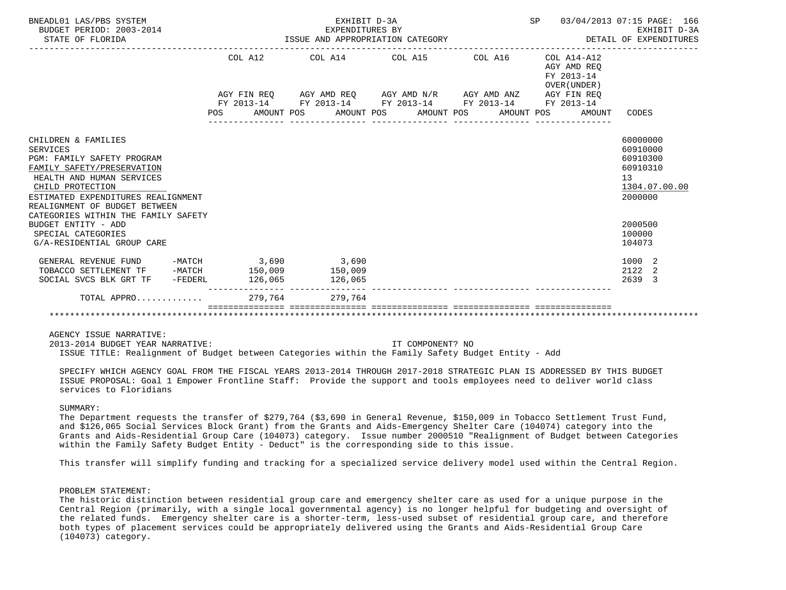| BNEADL01 LAS/PBS SYSTEM<br>BUDGET PERIOD: 2003-2014<br>STATE OF FLORIDA                                                                                                                                                                                                                                        |                                                                                                           | EXHIBIT D-3A<br>EXPENDITURES BY |  |                         |                                                           | SP 03/04/2013 07:15 PAGE: 166<br>EXHIBIT D-3A                                                       |
|----------------------------------------------------------------------------------------------------------------------------------------------------------------------------------------------------------------------------------------------------------------------------------------------------------------|-----------------------------------------------------------------------------------------------------------|---------------------------------|--|-------------------------|-----------------------------------------------------------|-----------------------------------------------------------------------------------------------------|
|                                                                                                                                                                                                                                                                                                                | COL A12                                                                                                   |                                 |  | COL A14 COL A15 COL A16 | COL A14-A12<br>AGY AMD REO<br>FY 2013-14<br>OVER (UNDER ) |                                                                                                     |
|                                                                                                                                                                                                                                                                                                                | AGY FIN REQ AGY AMD REQ AGY AMD N/R AGY AMD ANZ AGY FIN REQ                                               |                                 |  |                         |                                                           |                                                                                                     |
|                                                                                                                                                                                                                                                                                                                | FY 2013-14 FY 2013-14 FY 2013-14 FY 2013-14 FY 2013-14<br>POS AMOUNT POS AMOUNT POS AMOUNT POS AMOUNT POS |                                 |  |                         | AMOUNT                                                    | CODES                                                                                               |
| CHILDREN & FAMILIES<br><b>SERVICES</b><br>PGM: FAMILY SAFETY PROGRAM<br>FAMILY SAFETY/PRESERVATION<br>HEALTH AND HUMAN SERVICES<br>CHILD PROTECTION<br>ESTIMATED EXPENDITURES REALIGNMENT<br>REALIGNMENT OF BUDGET BETWEEN<br>CATEGORIES WITHIN THE FAMILY SAFETY<br>BUDGET ENTITY - ADD<br>SPECIAL CATEGORIES |                                                                                                           |                                 |  |                         |                                                           | 60000000<br>60910000<br>60910300<br>60910310<br>13<br>1304.07.00.00<br>2000000<br>2000500<br>100000 |
| G/A-RESIDENTIAL GROUP CARE                                                                                                                                                                                                                                                                                     |                                                                                                           |                                 |  |                         |                                                           | 104073                                                                                              |
| GENERAL REVENUE FUND -MATCH 3,690 3,690<br>TOBACCO SETTLEMENT TF -MATCH 150,009<br>SOCIAL SVCS BLK GRT TF - FEDERL 126,065 126,065                                                                                                                                                                             |                                                                                                           | 150,009                         |  |                         |                                                           | 1000 2<br>2122 2<br>2639 3                                                                          |
| TOTAL APPRO $\ldots \ldots \ldots$ 279.764 279.764                                                                                                                                                                                                                                                             |                                                                                                           |                                 |  |                         |                                                           |                                                                                                     |
|                                                                                                                                                                                                                                                                                                                |                                                                                                           |                                 |  |                         |                                                           |                                                                                                     |

AGENCY ISSUE NARRATIVE:

 2013-2014 BUDGET YEAR NARRATIVE: IT COMPONENT? NO ISSUE TITLE: Realignment of Budget between Categories within the Family Safety Budget Entity - Add

 SPECIFY WHICH AGENCY GOAL FROM THE FISCAL YEARS 2013-2014 THROUGH 2017-2018 STRATEGIC PLAN IS ADDRESSED BY THIS BUDGET ISSUE PROPOSAL: Goal 1 Empower Frontline Staff: Provide the support and tools employees need to deliver world class services to Floridians

# SUMMARY:

 The Department requests the transfer of \$279,764 (\$3,690 in General Revenue, \$150,009 in Tobacco Settlement Trust Fund, and \$126,065 Social Services Block Grant) from the Grants and Aids-Emergency Shelter Care (104074) category into the Grants and Aids-Residential Group Care (104073) category. Issue number 2000510 "Realignment of Budget between Categories within the Family Safety Budget Entity - Deduct" is the corresponding side to this issue.

This transfer will simplify funding and tracking for a specialized service delivery model used within the Central Region.

# PROBLEM STATEMENT:

 The historic distinction between residential group care and emergency shelter care as used for a unique purpose in the Central Region (primarily, with a single local governmental agency) is no longer helpful for budgeting and oversight of the related funds. Emergency shelter care is a shorter-term, less-used subset of residential group care, and therefore both types of placement services could be appropriately delivered using the Grants and Aids-Residential Group Care (104073) category.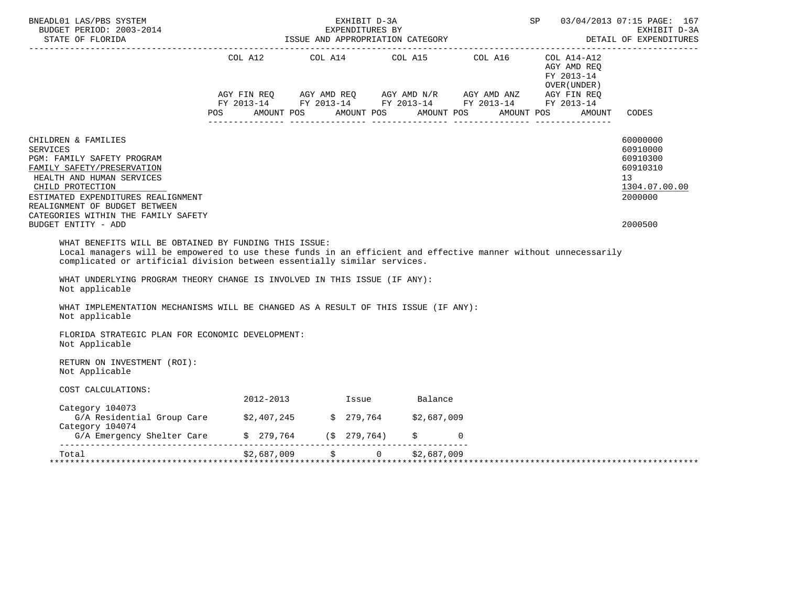| BNEADL01 LAS/PBS SYSTEM                                                                                                                                                                                                                                                                                                                                                                           |     |                         | EXHIBIT D-3A |            | <b>SP</b>                                                                                                                                                                                               |                                                                     | 03/04/2013 07:15 PAGE: 167<br>EXHIBIT D-3A<br>DETAIL OF EXPENDITURES<br>-------------------- |
|---------------------------------------------------------------------------------------------------------------------------------------------------------------------------------------------------------------------------------------------------------------------------------------------------------------------------------------------------------------------------------------------------|-----|-------------------------|--------------|------------|---------------------------------------------------------------------------------------------------------------------------------------------------------------------------------------------------------|---------------------------------------------------------------------|----------------------------------------------------------------------------------------------|
| CHILDREN & FAMILIES                                                                                                                                                                                                                                                                                                                                                                               | POS |                         |              |            | COL A12 COL A14 COL A15 COL A16<br>AGY FIN REQ AGY AMD REQ AGY AMD N/R AGY AMD ANZ AGY FIN REQ<br>FY 2013-14 FY 2013-14 FY 2013-14 FY 2013-14 FY 2013-14<br>AMOUNT POS AMOUNT POS AMOUNT POS AMOUNT POS | COL A14-A12<br>AGY AMD REO<br>FY 2013-14<br>OVER (UNDER )<br>AMOUNT | CODES                                                                                        |
| <b>SERVICES</b><br>PGM: FAMILY SAFETY PROGRAM<br>FAMILY SAFETY/PRESERVATION<br>HEALTH AND HUMAN SERVICES<br>CHILD PROTECTION<br>ESTIMATED EXPENDITURES REALIGNMENT<br>REALIGNMENT OF BUDGET BETWEEN                                                                                                                                                                                               |     |                         |              |            |                                                                                                                                                                                                         |                                                                     | 60000000<br>60910000<br>60910300<br>60910310<br>13<br>1304.07.00.00<br>2000000               |
| CATEGORIES WITHIN THE FAMILY SAFETY<br>BUDGET ENTITY - ADD                                                                                                                                                                                                                                                                                                                                        |     |                         |              |            |                                                                                                                                                                                                         |                                                                     | 2000500                                                                                      |
| Local managers will be empowered to use these funds in an efficient and effective manner without unnecessarily<br>complicated or artificial division between essentially similar services.<br>WHAT UNDERLYING PROGRAM THEORY CHANGE IS INVOLVED IN THIS ISSUE (IF ANY):<br>Not applicable<br>WHAT IMPLEMENTATION MECHANISMS WILL BE CHANGED AS A RESULT OF THIS ISSUE (IF ANY):<br>Not applicable |     |                         |              |            |                                                                                                                                                                                                         |                                                                     |                                                                                              |
| FLORIDA STRATEGIC PLAN FOR ECONOMIC DEVELOPMENT:<br>Not Applicable                                                                                                                                                                                                                                                                                                                                |     |                         |              |            |                                                                                                                                                                                                         |                                                                     |                                                                                              |
| RETURN ON INVESTMENT (ROI):<br>Not Applicable                                                                                                                                                                                                                                                                                                                                                     |     |                         |              |            |                                                                                                                                                                                                         |                                                                     |                                                                                              |
| COST CALCULATIONS:                                                                                                                                                                                                                                                                                                                                                                                |     |                         |              |            |                                                                                                                                                                                                         |                                                                     |                                                                                              |
| Category 104073                                                                                                                                                                                                                                                                                                                                                                                   |     | 2012-2013 Issue Balance |              |            |                                                                                                                                                                                                         |                                                                     |                                                                                              |
| G/A Residential Group Care \$2,407,245 \$ 279,764 \$2,687,009<br>Category 104074                                                                                                                                                                                                                                                                                                                  |     |                         |              | $\ddot{S}$ | $\Omega$                                                                                                                                                                                                |                                                                     |                                                                                              |
| G/A Emergency Shelter Care \$ 279,764 (\$ 279,764)                                                                                                                                                                                                                                                                                                                                                |     |                         |              |            |                                                                                                                                                                                                         |                                                                     |                                                                                              |
| $\substack{52,687,009\\ \texttt{****}} 52,687,009 \qquad 5 \qquad 0 \qquad 52,687,009$                                                                                                                                                                                                                                                                                                            |     |                         |              |            |                                                                                                                                                                                                         |                                                                     |                                                                                              |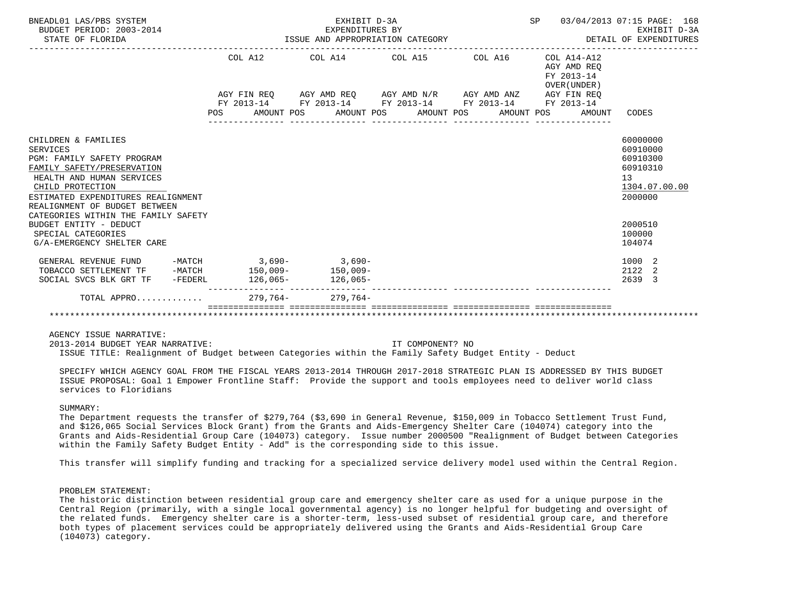| BNEADL01 LAS/PBS SYSTEM<br>BUDGET PERIOD: 2003-2014<br>STATE OF FLORIDA                                                                                                                                                                                                                                                                         | EXHIBIT D-3A<br>EXPENDITURES BY<br>EXPENDITURES BY<br>ISSUE AND APPROPRIATION CATEGORY<br>DETAIL OF EXPENDITURES |  |  |  |  |  |                         |  |                                                           | SP 03/04/2013 07:15 PAGE: 168<br>EXHIBIT D-3A                                                                 |  |
|-------------------------------------------------------------------------------------------------------------------------------------------------------------------------------------------------------------------------------------------------------------------------------------------------------------------------------------------------|------------------------------------------------------------------------------------------------------------------|--|--|--|--|--|-------------------------|--|-----------------------------------------------------------|---------------------------------------------------------------------------------------------------------------|--|
|                                                                                                                                                                                                                                                                                                                                                 | COL A12                                                                                                          |  |  |  |  |  | COL A14 COL A15 COL A16 |  | COL A14-A12<br>AGY AMD REO<br>FY 2013-14<br>OVER (UNDER ) |                                                                                                               |  |
|                                                                                                                                                                                                                                                                                                                                                 | AGY FIN REQ AGY AMD REQ AGY AMD N/R AGY AMD ANZ AGY FIN REQ                                                      |  |  |  |  |  |                         |  |                                                           |                                                                                                               |  |
|                                                                                                                                                                                                                                                                                                                                                 | FY 2013-14 FY 2013-14 FY 2013-14 FY 2013-14 FY 2013-14<br>POS AMOUNT POS AMOUNT POS AMOUNT POS                   |  |  |  |  |  | AMOUNT POS              |  | AMOUNT                                                    | CODES                                                                                                         |  |
| CHILDREN & FAMILIES<br><b>SERVICES</b><br>PGM: FAMILY SAFETY PROGRAM<br>FAMILY SAFETY/PRESERVATION<br>HEALTH AND HUMAN SERVICES<br>CHILD PROTECTION<br>ESTIMATED EXPENDITURES REALIGNMENT<br>REALIGNMENT OF BUDGET BETWEEN<br>CATEGORIES WITHIN THE FAMILY SAFETY<br>BUDGET ENTITY - DEDUCT<br>SPECIAL CATEGORIES<br>G/A-EMERGENCY SHELTER CARE |                                                                                                                  |  |  |  |  |  |                         |  |                                                           | 60000000<br>60910000<br>60910300<br>60910310<br>13<br>1304.07.00.00<br>2000000<br>2000510<br>100000<br>104074 |  |
|                                                                                                                                                                                                                                                                                                                                                 |                                                                                                                  |  |  |  |  |  |                         |  |                                                           |                                                                                                               |  |
| GENERAL REVENUE FUND -MATCH 3,690-3,690-3,690-<br>TOBACCO SETTLEMENT TF -MATCH 150,009- 150,009-                                                                                                                                                                                                                                                |                                                                                                                  |  |  |  |  |  |                         |  |                                                           | 1000 2<br>2122 2                                                                                              |  |
| SOCIAL SVCS BLK GRT TF -FEDERL 126,065- 126,065-                                                                                                                                                                                                                                                                                                |                                                                                                                  |  |  |  |  |  |                         |  |                                                           | 2639 3                                                                                                        |  |
| TOTAL APPRO 279.764- 279.764-                                                                                                                                                                                                                                                                                                                   |                                                                                                                  |  |  |  |  |  |                         |  |                                                           |                                                                                                               |  |
|                                                                                                                                                                                                                                                                                                                                                 |                                                                                                                  |  |  |  |  |  |                         |  |                                                           |                                                                                                               |  |

AGENCY ISSUE NARRATIVE:

 2013-2014 BUDGET YEAR NARRATIVE: IT COMPONENT? NO ISSUE TITLE: Realignment of Budget between Categories within the Family Safety Budget Entity - Deduct

 SPECIFY WHICH AGENCY GOAL FROM THE FISCAL YEARS 2013-2014 THROUGH 2017-2018 STRATEGIC PLAN IS ADDRESSED BY THIS BUDGET ISSUE PROPOSAL: Goal 1 Empower Frontline Staff: Provide the support and tools employees need to deliver world class services to Floridians

# SUMMARY:

 The Department requests the transfer of \$279,764 (\$3,690 in General Revenue, \$150,009 in Tobacco Settlement Trust Fund, and \$126,065 Social Services Block Grant) from the Grants and Aids-Emergency Shelter Care (104074) category into the Grants and Aids-Residential Group Care (104073) category. Issue number 2000500 "Realignment of Budget between Categories within the Family Safety Budget Entity - Add" is the corresponding side to this issue.

This transfer will simplify funding and tracking for a specialized service delivery model used within the Central Region.

#### PROBLEM STATEMENT:

 The historic distinction between residential group care and emergency shelter care as used for a unique purpose in the Central Region (primarily, with a single local governmental agency) is no longer helpful for budgeting and oversight of the related funds. Emergency shelter care is a shorter-term, less-used subset of residential group care, and therefore both types of placement services could be appropriately delivered using the Grants and Aids-Residential Group Care (104073) category.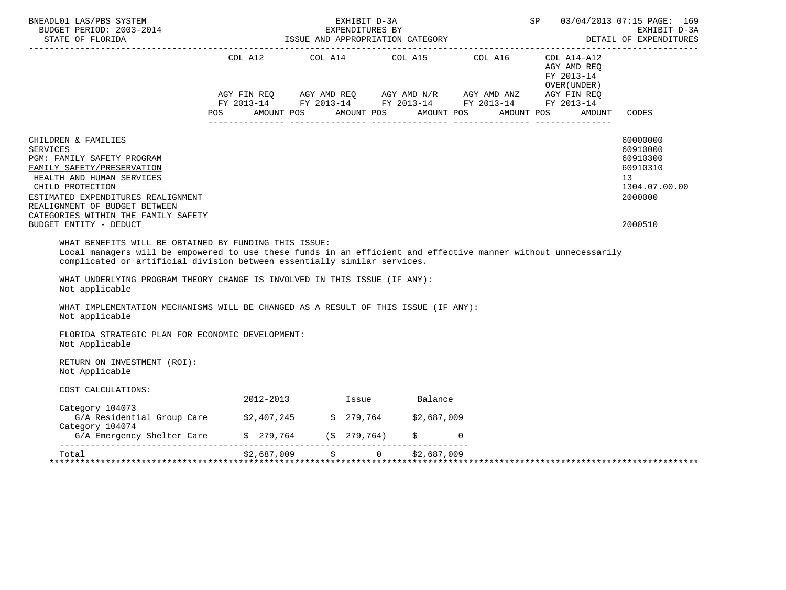| BNEADL01 LAS/PBS SYSTEM                                                                                                                                                                                                                                                                                                                                                                           |     |  | EXHIBIT D-3A                                                                                                                                                                                            |                        | <b>SP</b> |                                                           |        | 03/04/2013 07:15 PAGE: 169<br>EXHIBIT D-3A<br>DETAIL OF EXPENDITURES<br>-------------------- |
|---------------------------------------------------------------------------------------------------------------------------------------------------------------------------------------------------------------------------------------------------------------------------------------------------------------------------------------------------------------------------------------------------|-----|--|---------------------------------------------------------------------------------------------------------------------------------------------------------------------------------------------------------|------------------------|-----------|-----------------------------------------------------------|--------|----------------------------------------------------------------------------------------------|
|                                                                                                                                                                                                                                                                                                                                                                                                   | POS |  | COL A12 COL A14 COL A15 COL A16<br>AGY FIN REQ AGY AMD REQ AGY AMD N/R AGY AMD ANZ AGY FIN REQ<br>FY 2013-14 FY 2013-14 FY 2013-14 FY 2013-14 FY 2013-14<br>AMOUNT POS AMOUNT POS AMOUNT POS AMOUNT POS |                        |           | COL A14-A12<br>AGY AMD REO<br>FY 2013-14<br>OVER (UNDER ) | AMOUNT | CODES                                                                                        |
| CHILDREN & FAMILIES<br><b>SERVICES</b><br>PGM: FAMILY SAFETY PROGRAM<br>FAMILY SAFETY/PRESERVATION<br>HEALTH AND HUMAN SERVICES<br>CHILD PROTECTION<br>ESTIMATED EXPENDITURES REALIGNMENT<br>REALIGNMENT OF BUDGET BETWEEN                                                                                                                                                                        |     |  |                                                                                                                                                                                                         |                        |           |                                                           |        | 60000000<br>60910000<br>60910300<br>60910310<br>13<br>1304.07.00.00<br>2000000               |
| CATEGORIES WITHIN THE FAMILY SAFETY<br>BUDGET ENTITY - DEDUCT                                                                                                                                                                                                                                                                                                                                     |     |  |                                                                                                                                                                                                         |                        |           |                                                           |        | 2000510                                                                                      |
| Local managers will be empowered to use these funds in an efficient and effective manner without unnecessarily<br>complicated or artificial division between essentially similar services.<br>WHAT UNDERLYING PROGRAM THEORY CHANGE IS INVOLVED IN THIS ISSUE (IF ANY):<br>Not applicable<br>WHAT IMPLEMENTATION MECHANISMS WILL BE CHANGED AS A RESULT OF THIS ISSUE (IF ANY):<br>Not applicable |     |  |                                                                                                                                                                                                         |                        |           |                                                           |        |                                                                                              |
| FLORIDA STRATEGIC PLAN FOR ECONOMIC DEVELOPMENT:<br>Not Applicable                                                                                                                                                                                                                                                                                                                                |     |  |                                                                                                                                                                                                         |                        |           |                                                           |        |                                                                                              |
| RETURN ON INVESTMENT (ROI):<br>Not Applicable                                                                                                                                                                                                                                                                                                                                                     |     |  |                                                                                                                                                                                                         |                        |           |                                                           |        |                                                                                              |
| COST CALCULATIONS:                                                                                                                                                                                                                                                                                                                                                                                |     |  |                                                                                                                                                                                                         |                        |           |                                                           |        |                                                                                              |
| Category 104073                                                                                                                                                                                                                                                                                                                                                                                   |     |  | 2012-2013 Issue Balance                                                                                                                                                                                 |                        |           |                                                           |        |                                                                                              |
| G/A Residential Group Care \$2,407,245 \$ 279,764 \$2,687,009<br>Category 104074                                                                                                                                                                                                                                                                                                                  |     |  |                                                                                                                                                                                                         | $\ddot{S}$<br>$\Omega$ |           |                                                           |        |                                                                                              |
| G/A Emergency Shelter Care \$ 279,764 (\$ 279,764)                                                                                                                                                                                                                                                                                                                                                |     |  |                                                                                                                                                                                                         |                        |           |                                                           |        |                                                                                              |
| $\substack{52,687,009\\ \texttt{****}} 52,687,009 \qquad 5 \qquad 0 \qquad 52,687,009$                                                                                                                                                                                                                                                                                                            |     |  |                                                                                                                                                                                                         |                        |           |                                                           |        |                                                                                              |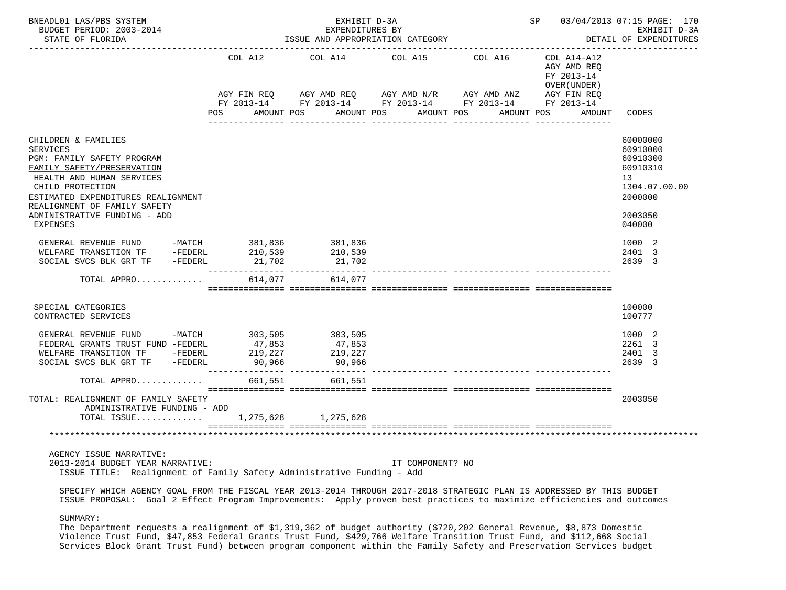| BNEADL01 LAS/PBS SYSTEM<br>BUDGET PERIOD: 2003-2014<br>STATE OF FLORIDA                                                                                                                                                                                                      |                             | EXHIBIT D-3A<br>EXPENDITURES BY<br>ISSUE AND APPROPRIATION CATEGORY                                                                                                                            | SP 03/04/2013 07:15 PAGE: 170 | EXHIBIT D-3A<br>DETAIL OF EXPENDITURES |                                                          |                                                                                                                  |
|------------------------------------------------------------------------------------------------------------------------------------------------------------------------------------------------------------------------------------------------------------------------------|-----------------------------|------------------------------------------------------------------------------------------------------------------------------------------------------------------------------------------------|-------------------------------|----------------------------------------|----------------------------------------------------------|------------------------------------------------------------------------------------------------------------------|
|                                                                                                                                                                                                                                                                              | COL A12                     | COL A14<br>AGY FIN REQ        AGY AMD REQ        AGY AMD N/R        AGY AMD ANZ         AGY FIN REQ<br>FY 2013-14         FY 2013-14         FY 2013-14          FY 2013-14         FY 2013-14 | COL A15                       | COL A16                                | COL A14-A12<br>AGY AMD REQ<br>FY 2013-14<br>OVER (UNDER) |                                                                                                                  |
|                                                                                                                                                                                                                                                                              | POS                         | AMOUNT POS AMOUNT POS AMOUNT POS                                                                                                                                                               |                               |                                        | AMOUNT POS<br>AMOUNT                                     | CODES                                                                                                            |
| CHILDREN & FAMILIES<br><b>SERVICES</b><br>PGM: FAMILY SAFETY PROGRAM<br>FAMILY SAFETY/PRESERVATION<br>HEALTH AND HUMAN SERVICES<br>CHILD PROTECTION<br>ESTIMATED EXPENDITURES REALIGNMENT<br>REALIGNMENT OF FAMILY SAFETY<br>ADMINISTRATIVE FUNDING - ADD<br><b>EXPENSES</b> |                             |                                                                                                                                                                                                |                               |                                        |                                                          | 60000000<br>60910000<br>60910300<br>60910310<br>13 <sup>°</sup><br>1304.07.00.00<br>2000000<br>2003050<br>040000 |
| GENERAL REVENUE FUND -MATCH 381,836<br>WELFARE TRANSITION TF -FEDERL<br>SOCIAL SVCS BLK GRT TF - FEDERL                                                                                                                                                                      | 210,539<br>21,702           | 381,836<br>210,539<br>21,702                                                                                                                                                                   |                               |                                        |                                                          | 1000 2<br>2401 3<br>2639 3                                                                                       |
| TOTAL APPRO                                                                                                                                                                                                                                                                  | 614,077                     | 614,077                                                                                                                                                                                        |                               |                                        |                                                          |                                                                                                                  |
| SPECIAL CATEGORIES<br>CONTRACTED SERVICES                                                                                                                                                                                                                                    |                             |                                                                                                                                                                                                |                               |                                        |                                                          | 100000<br>100777                                                                                                 |
| GENERAL REVENUE FUND -MATCH 303,505<br>FEDERAL GRANTS TRUST FUND -FEDERL<br>WELFARE TRANSITION TF -FEDERL<br>SOCIAL SVCS BLK GRT TF -FEDERL                                                                                                                                  | 47,853<br>219,227<br>90,966 | 303,505<br>47,853<br>219 227<br>219,227<br>90,966                                                                                                                                              |                               |                                        |                                                          | 1000 2<br>2261 3<br>2401 3<br>2639 3                                                                             |
| TOTAL APPRO                                                                                                                                                                                                                                                                  |                             | 661,551 661,551                                                                                                                                                                                |                               |                                        |                                                          |                                                                                                                  |
| TOTAL: REALIGNMENT OF FAMILY SAFETY<br>ADMINISTRATIVE FUNDING - ADD<br>TOTAL ISSUE 1,275,628 1,275,628                                                                                                                                                                       |                             |                                                                                                                                                                                                |                               |                                        |                                                          | 2003050                                                                                                          |
|                                                                                                                                                                                                                                                                              |                             |                                                                                                                                                                                                |                               |                                        |                                                          |                                                                                                                  |
| AGENCY ISSUE NARRATIVE:<br>2013-2014 BUDGET YEAR NARRATIVE:<br>ISSUE TITLE: Realignment of Family Safety Administrative Funding - Add                                                                                                                                        |                             |                                                                                                                                                                                                | IT COMPONENT? NO              |                                        |                                                          |                                                                                                                  |
| SPECIFY WHICH AGENCY GOAL FROM THE FISCAL YEAR 2013-2014 THROUGH 2017-2018 STRATEGIC PLAN IS ADDRESSED BY THIS BUDGET                                                                                                                                                        |                             |                                                                                                                                                                                                |                               |                                        |                                                          |                                                                                                                  |

ISSUE PROPOSAL: Goal 2 Effect Program Improvements: Apply proven best practices to maximize efficiencies and outcomes

SUMMARY:

 The Department requests a realignment of \$1,319,362 of budget authority (\$720,202 General Revenue, \$8,873 Domestic Violence Trust Fund, \$47,853 Federal Grants Trust Fund, \$429,766 Welfare Transition Trust Fund, and \$112,668 Social Services Block Grant Trust Fund) between program component within the Family Safety and Preservation Services budget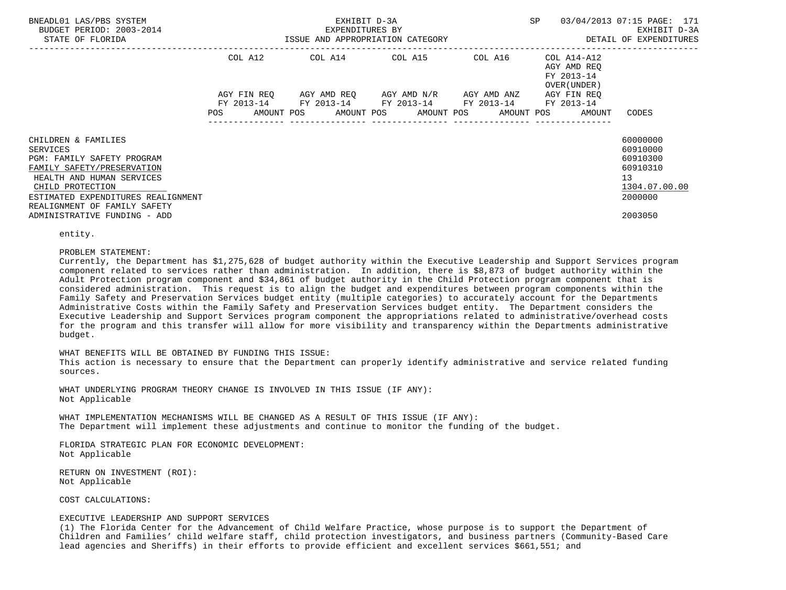| BNEADL01 LAS/PBS SYSTEM<br>BUDGET PERIOD: 2003-2014<br>STATE OF FLORIDA                                                                                                                                            |             | EXHIBIT D-3A<br>EXPENDITURES BY<br>ISSUE AND APPROPRIATION CATEGORY | SP                                  | 03/04/2013 07:15 PAGE: 171<br>EXHIBIT D-3A<br>DETAIL OF EXPENDITURES |                                                          |                                                                                |
|--------------------------------------------------------------------------------------------------------------------------------------------------------------------------------------------------------------------|-------------|---------------------------------------------------------------------|-------------------------------------|----------------------------------------------------------------------|----------------------------------------------------------|--------------------------------------------------------------------------------|
|                                                                                                                                                                                                                    | COL A12     | COL A14 COL A15 COL A16                                             |                                     |                                                                      | COL A14-A12<br>AGY AMD REO<br>FY 2013-14<br>OVER (UNDER) |                                                                                |
|                                                                                                                                                                                                                    | AGY FIN REO | FY 2013-14 FY 2013-14 FY 2013-14 FY 2013-14 FY 2013-14              | AGY AMD REO AGY AMD N/R AGY AMD ANZ |                                                                      | AGY FIN REO                                              |                                                                                |
|                                                                                                                                                                                                                    |             | POS AMOUNT POS AMOUNT POS AMOUNT POS AMOUNT POS AMOUNT              |                                     |                                                                      |                                                          | CODES                                                                          |
| CHILDREN & FAMILIES<br>SERVICES<br>PGM: FAMILY SAFETY PROGRAM<br>FAMILY SAFETY/PRESERVATION<br>HEALTH AND HUMAN SERVICES<br>CHILD PROTECTION<br>ESTIMATED EXPENDITURES REALIGNMENT<br>REALIGNMENT OF FAMILY SAFETY |             |                                                                     |                                     |                                                                      |                                                          | 60000000<br>60910000<br>60910300<br>60910310<br>13<br>1304.07.00.00<br>2000000 |
| ADMINISTRATIVE FUNDING - ADD                                                                                                                                                                                       |             |                                                                     |                                     |                                                                      |                                                          | 2003050                                                                        |

entity.

#### PROBLEM STATEMENT:

 Currently, the Department has \$1,275,628 of budget authority within the Executive Leadership and Support Services program component related to services rather than administration. In addition, there is \$8,873 of budget authority within the Adult Protection program component and \$34,861 of budget authority in the Child Protection program component that is considered administration. This request is to align the budget and expenditures between program components within the Family Safety and Preservation Services budget entity (multiple categories) to accurately account for the Departments Administrative Costs within the Family Safety and Preservation Services budget entity. The Department considers the Executive Leadership and Support Services program component the appropriations related to administrative/overhead costs for the program and this transfer will allow for more visibility and transparency within the Departments administrative budget.

### WHAT BENEFITS WILL BE OBTAINED BY FUNDING THIS ISSUE:

 This action is necessary to ensure that the Department can properly identify administrative and service related funding sources.

 WHAT UNDERLYING PROGRAM THEORY CHANGE IS INVOLVED IN THIS ISSUE (IF ANY): Not Applicable

 WHAT IMPLEMENTATION MECHANISMS WILL BE CHANGED AS A RESULT OF THIS ISSUE (IF ANY): The Department will implement these adjustments and continue to monitor the funding of the budget.

 FLORIDA STRATEGIC PLAN FOR ECONOMIC DEVELOPMENT: Not Applicable

 RETURN ON INVESTMENT (ROI): Not Applicable

## COST CALCULATIONS:

## EXECUTIVE LEADERSHIP AND SUPPORT SERVICES

 (1) The Florida Center for the Advancement of Child Welfare Practice, whose purpose is to support the Department of Children and Families' child welfare staff, child protection investigators, and business partners (Community-Based Care lead agencies and Sheriffs) in their efforts to provide efficient and excellent services \$661,551; and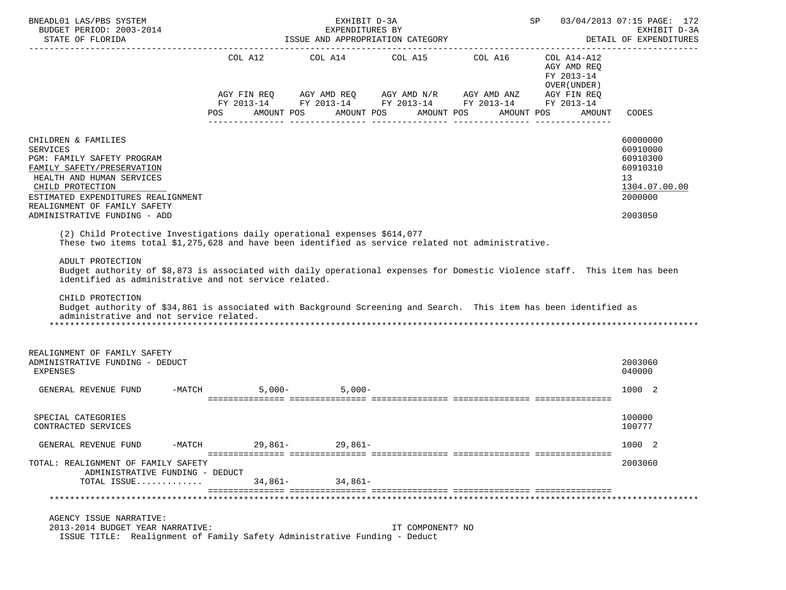| BNEADL01 LAS/PBS SYSTEM                                                                                                                                                                                                                                                                                                                                                                                                                                                                                                                                                                                     |                   | EXHIBIT D-3A                                        |                  |                                                                                                            | SP and the set of the set of the set of the set of the set of the set of the set of the set of the set of the set of the set of the set of the set of the set of the set of the set of the set of the set of the set of the se | 03/04/2013 07:15 PAGE: 172                                                     |
|-------------------------------------------------------------------------------------------------------------------------------------------------------------------------------------------------------------------------------------------------------------------------------------------------------------------------------------------------------------------------------------------------------------------------------------------------------------------------------------------------------------------------------------------------------------------------------------------------------------|-------------------|-----------------------------------------------------|------------------|------------------------------------------------------------------------------------------------------------|--------------------------------------------------------------------------------------------------------------------------------------------------------------------------------------------------------------------------------|--------------------------------------------------------------------------------|
| BUDGET PERIOD: 2003-2014<br>STATE OF FLORIDA                                                                                                                                                                                                                                                                                                                                                                                                                                                                                                                                                                |                   | EXPENDITURES BY<br>ISSUE AND APPROPRIATION CATEGORY |                  |                                                                                                            |                                                                                                                                                                                                                                | EXHIBIT D-3A<br>DETAIL OF EXPENDITURES                                         |
|                                                                                                                                                                                                                                                                                                                                                                                                                                                                                                                                                                                                             |                   | COL A12 COL A14 COL A15 COL A16                     |                  | AGY FIN REQ AGY AMD REQ AGY AMD N/R AGY AMD ANZ AGY FIN REQ<br>FY 2013-14 FY 2013-14 FY 2013-14 FY 2013-14 | COL A14-A12<br>AGY AMD REO<br>FY 2013-14<br>OVER (UNDER )<br>FY 2013-14                                                                                                                                                        |                                                                                |
|                                                                                                                                                                                                                                                                                                                                                                                                                                                                                                                                                                                                             | POS<br>AMOUNT POS |                                                     | AMOUNT POS       | AMOUNT POS<br>AMOUNT POS                                                                                   | AMOUNT                                                                                                                                                                                                                         | CODES                                                                          |
| CHILDREN & FAMILIES<br><b>SERVICES</b><br>PGM: FAMILY SAFETY PROGRAM<br>FAMILY SAFETY/PRESERVATION<br>HEALTH AND HUMAN SERVICES<br>CHILD PROTECTION<br>ESTIMATED EXPENDITURES REALIGNMENT<br>REALIGNMENT OF FAMILY SAFETY                                                                                                                                                                                                                                                                                                                                                                                   |                   |                                                     |                  |                                                                                                            |                                                                                                                                                                                                                                | 60000000<br>60910000<br>60910300<br>60910310<br>13<br>1304.07.00.00<br>2000000 |
| ADMINISTRATIVE FUNDING - ADD                                                                                                                                                                                                                                                                                                                                                                                                                                                                                                                                                                                |                   |                                                     |                  |                                                                                                            |                                                                                                                                                                                                                                | 2003050                                                                        |
| (2) Child Protective Investigations daily operational expenses \$614,077<br>These two items total \$1,275,628 and have been identified as service related not administrative.<br>ADULT PROTECTION<br>Budget authority of \$8,873 is associated with daily operational expenses for Domestic Violence staff. This item has been<br>identified as administrative and not service related.<br>CHILD PROTECTION<br>Budget authority of \$34,861 is associated with Background Screening and Search. This item has been identified as<br>administrative and not service related.<br>REALIGNMENT OF FAMILY SAFETY |                   |                                                     |                  |                                                                                                            |                                                                                                                                                                                                                                |                                                                                |
| ADMINISTRATIVE FUNDING - DEDUCT<br><b>EXPENSES</b>                                                                                                                                                                                                                                                                                                                                                                                                                                                                                                                                                          |                   |                                                     |                  |                                                                                                            |                                                                                                                                                                                                                                | 2003060<br>040000                                                              |
| GENERAL REVENUE FUND                                                                                                                                                                                                                                                                                                                                                                                                                                                                                                                                                                                        | $-MATCH$          | $5,000 - 5,000 -$                                   |                  |                                                                                                            |                                                                                                                                                                                                                                | 1000 2                                                                         |
| SPECIAL CATEGORIES<br>CONTRACTED SERVICES                                                                                                                                                                                                                                                                                                                                                                                                                                                                                                                                                                   |                   |                                                     |                  |                                                                                                            |                                                                                                                                                                                                                                | 100000<br>100777                                                               |
| GENERAL REVENUE FUND<br>$-MATCH$                                                                                                                                                                                                                                                                                                                                                                                                                                                                                                                                                                            | 29,861-           | 29,861–                                             |                  |                                                                                                            |                                                                                                                                                                                                                                | 1000 2                                                                         |
| TOTAL: REALIGNMENT OF FAMILY SAFETY<br>ADMINISTRATIVE FUNDING - DEDUCT<br>TOTAL ISSUE                                                                                                                                                                                                                                                                                                                                                                                                                                                                                                                       | $34,861-$         | 34,861-                                             |                  |                                                                                                            |                                                                                                                                                                                                                                | 2003060                                                                        |
|                                                                                                                                                                                                                                                                                                                                                                                                                                                                                                                                                                                                             |                   |                                                     |                  |                                                                                                            |                                                                                                                                                                                                                                |                                                                                |
| AGENCY ISSUE NARRATIVE:<br>2013-2014 BUDGET YEAR NARRATIVE:<br>ISSUE TITLE: Realignment of Family Safety Administrative Funding - Deduct                                                                                                                                                                                                                                                                                                                                                                                                                                                                    |                   |                                                     | IT COMPONENT? NO |                                                                                                            |                                                                                                                                                                                                                                |                                                                                |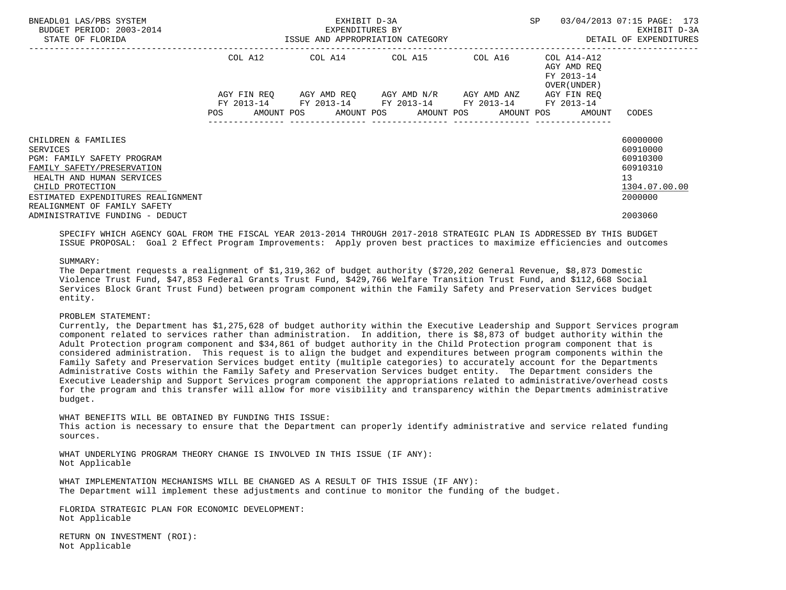| BNEADL01 LAS/PBS SYSTEM<br>BUDGET PERIOD: 2003-2014<br>STATE OF FLORIDA                                                                                                                                            |                                         | EXHIBIT D-3A<br>EXPENDITURES BY<br>ISSUE AND APPROPRIATION CATEGORY | SP                                                                                 | 03/04/2013 07:15 PAGE: 173<br>EXHIBIT D-3A<br>DETAIL OF EXPENDITURES |                                                                   |                                                                                |
|--------------------------------------------------------------------------------------------------------------------------------------------------------------------------------------------------------------------|-----------------------------------------|---------------------------------------------------------------------|------------------------------------------------------------------------------------|----------------------------------------------------------------------|-------------------------------------------------------------------|--------------------------------------------------------------------------------|
|                                                                                                                                                                                                                    | COL A12                                 |                                                                     |                                                                                    |                                                                      | AGY AMD REO<br>FY 2013-14<br>OVER (UNDER)                         |                                                                                |
|                                                                                                                                                                                                                    | AGY FIN REO<br>FY 2013-14<br><b>POS</b> |                                                                     | AGY AMD REO AGY AMD N/R AGY AMD ANZ<br>FY 2013-14 FY 2013-14 FY 2013-14 FY 2013-14 |                                                                      | AGY FIN REO<br>AMOUNT POS AMOUNT POS AMOUNT POS AMOUNT POS AMOUNT | CODES                                                                          |
| CHILDREN & FAMILIES<br>SERVICES<br>PGM: FAMILY SAFETY PROGRAM<br>FAMILY SAFETY/PRESERVATION<br>HEALTH AND HUMAN SERVICES<br>CHILD PROTECTION<br>ESTIMATED EXPENDITURES REALIGNMENT<br>REALIGNMENT OF FAMILY SAFETY |                                         |                                                                     |                                                                                    |                                                                      |                                                                   | 60000000<br>60910000<br>60910300<br>60910310<br>13<br>1304.07.00.00<br>2000000 |
| ADMINISTRATIVE FUNDING - DEDUCT                                                                                                                                                                                    |                                         |                                                                     |                                                                                    |                                                                      |                                                                   | 2003060                                                                        |

 SPECIFY WHICH AGENCY GOAL FROM THE FISCAL YEAR 2013-2014 THROUGH 2017-2018 STRATEGIC PLAN IS ADDRESSED BY THIS BUDGET ISSUE PROPOSAL: Goal 2 Effect Program Improvements: Apply proven best practices to maximize efficiencies and outcomes

### SUMMARY:

 The Department requests a realignment of \$1,319,362 of budget authority (\$720,202 General Revenue, \$8,873 Domestic Violence Trust Fund, \$47,853 Federal Grants Trust Fund, \$429,766 Welfare Transition Trust Fund, and \$112,668 Social Services Block Grant Trust Fund) between program component within the Family Safety and Preservation Services budget entity.

## PROBLEM STATEMENT:

 Currently, the Department has \$1,275,628 of budget authority within the Executive Leadership and Support Services program component related to services rather than administration. In addition, there is \$8,873 of budget authority within the Adult Protection program component and \$34,861 of budget authority in the Child Protection program component that is considered administration. This request is to align the budget and expenditures between program components within the Family Safety and Preservation Services budget entity (multiple categories) to accurately account for the Departments Administrative Costs within the Family Safety and Preservation Services budget entity. The Department considers the Executive Leadership and Support Services program component the appropriations related to administrative/overhead costs for the program and this transfer will allow for more visibility and transparency within the Departments administrative budget.

 WHAT BENEFITS WILL BE OBTAINED BY FUNDING THIS ISSUE: This action is necessary to ensure that the Department can properly identify administrative and service related funding sources.

 WHAT UNDERLYING PROGRAM THEORY CHANGE IS INVOLVED IN THIS ISSUE (IF ANY): Not Applicable

 WHAT IMPLEMENTATION MECHANISMS WILL BE CHANGED AS A RESULT OF THIS ISSUE (IF ANY): The Department will implement these adjustments and continue to monitor the funding of the budget.

 FLORIDA STRATEGIC PLAN FOR ECONOMIC DEVELOPMENT: Not Applicable

 RETURN ON INVESTMENT (ROI): Not Applicable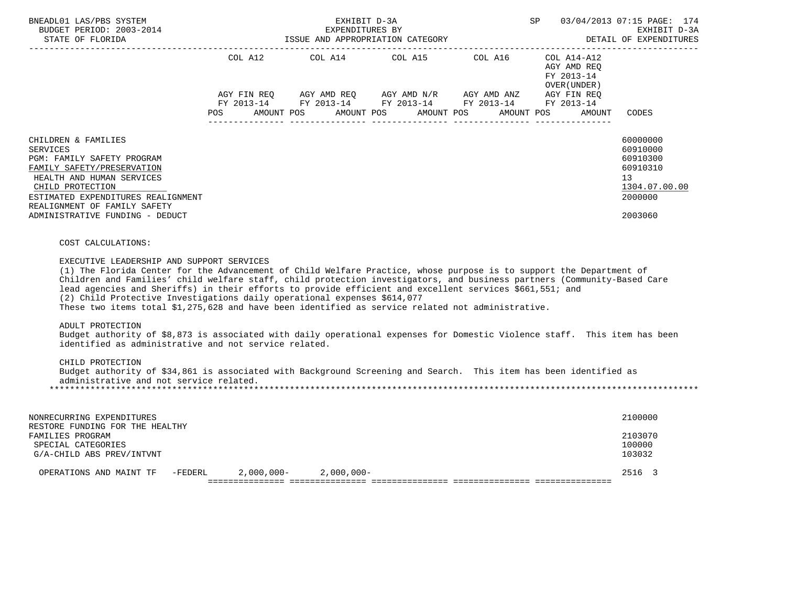| BNEADL01 LAS/PBS SYSTEM<br>BUDGET PERIOD: 2003-2014<br>STATE OF FLORIDA                                                                                                                                                                                                                                                                                                                                                                                                                                                                                                                                                                                                                                                                                                                                                                                                                                                                                                                                     |                                      | EXHIBIT D-3A<br>EXPENDITURES BY<br>ISSUE AND APPROPRIATION CATEGORY | SP 03/04/2013 07:15 PAGE: 174                                                                                                                                                                                                                                                                                                                | EXHIBIT D-3A<br>DETAIL OF EXPENDITURES                   |                                                                                                        |
|-------------------------------------------------------------------------------------------------------------------------------------------------------------------------------------------------------------------------------------------------------------------------------------------------------------------------------------------------------------------------------------------------------------------------------------------------------------------------------------------------------------------------------------------------------------------------------------------------------------------------------------------------------------------------------------------------------------------------------------------------------------------------------------------------------------------------------------------------------------------------------------------------------------------------------------------------------------------------------------------------------------|--------------------------------------|---------------------------------------------------------------------|----------------------------------------------------------------------------------------------------------------------------------------------------------------------------------------------------------------------------------------------------------------------------------------------------------------------------------------------|----------------------------------------------------------|--------------------------------------------------------------------------------------------------------|
|                                                                                                                                                                                                                                                                                                                                                                                                                                                                                                                                                                                                                                                                                                                                                                                                                                                                                                                                                                                                             |                                      |                                                                     | COL A12 COL A14 COL A15 COL A16<br>$AGY \text{ } FIN \text{ } REQ \text{ } \hspace{5mm} AGY \text{ } AMD \text{ } REQ \text{ } \hspace{5mm} AGY \text{ } AMD \text{ } N/R \text{ } \hspace{5mm} AGY \text{ } AND \text{ } ANZ \text{ } \hspace{5mm} AGY \text{ } FIN \text{ } REQ$<br>FY 2013-14 FY 2013-14 FY 2013-14 FY 2013-14 FY 2013-14 | COL A14-A12<br>AGY AMD REQ<br>FY 2013-14<br>OVER (UNDER) |                                                                                                        |
|                                                                                                                                                                                                                                                                                                                                                                                                                                                                                                                                                                                                                                                                                                                                                                                                                                                                                                                                                                                                             | POS AMOUNT POS AMOUNT POS AMOUNT POS |                                                                     |                                                                                                                                                                                                                                                                                                                                              | AMOUNT POS<br><b>AMOUNT</b>                              | CODES                                                                                                  |
| CHILDREN & FAMILIES<br><b>SERVICES</b><br>PGM: FAMILY SAFETY PROGRAM<br>FAMILY SAFETY/PRESERVATION<br>HEALTH AND HUMAN SERVICES<br>CHILD PROTECTION<br>ESTIMATED EXPENDITURES REALIGNMENT<br>REALIGNMENT OF FAMILY SAFETY<br>ADMINISTRATIVE FUNDING - DEDUCT                                                                                                                                                                                                                                                                                                                                                                                                                                                                                                                                                                                                                                                                                                                                                |                                      |                                                                     |                                                                                                                                                                                                                                                                                                                                              |                                                          | 60000000<br>60910000<br>60910300<br>60910310<br>13 <sup>°</sup><br>1304.07.00.00<br>2000000<br>2003060 |
| COST CALCULATIONS:<br>EXECUTIVE LEADERSHIP AND SUPPORT SERVICES<br>(1) The Florida Center for the Advancement of Child Welfare Practice, whose purpose is to support the Department of<br>Children and Families' child welfare staff, child protection investigators, and business partners (Community-Based Care<br>lead agencies and Sheriffs) in their efforts to provide efficient and excellent services \$661,551; and<br>(2) Child Protective Investigations daily operational expenses \$614,077<br>These two items total \$1,275,628 and have been identified as service related not administrative.<br>ADULT PROTECTION<br>Budget authority of \$8,873 is associated with daily operational expenses for Domestic Violence staff. This item has been<br>identified as administrative and not service related.<br>CHILD PROTECTION<br>Budget authority of \$34,861 is associated with Background Screening and Search. This item has been identified as<br>administrative and not service related. |                                      |                                                                     |                                                                                                                                                                                                                                                                                                                                              |                                                          |                                                                                                        |
| NONRECURRING EXPENDITURES<br>RESTORE FUNDING FOR THE HEALTHY<br>FAMILIES PROGRAM<br>SPECIAL CATEGORIES<br>G/A-CHILD ABS PREV/INTVNT                                                                                                                                                                                                                                                                                                                                                                                                                                                                                                                                                                                                                                                                                                                                                                                                                                                                         |                                      |                                                                     |                                                                                                                                                                                                                                                                                                                                              |                                                          | 2100000<br>2103070<br>100000<br>103032                                                                 |
| $-FEDERL$<br>OPERATIONS AND MAINT TF                                                                                                                                                                                                                                                                                                                                                                                                                                                                                                                                                                                                                                                                                                                                                                                                                                                                                                                                                                        |                                      | $2,000,000 - 2,000,000 -$                                           |                                                                                                                                                                                                                                                                                                                                              |                                                          | 2516 3                                                                                                 |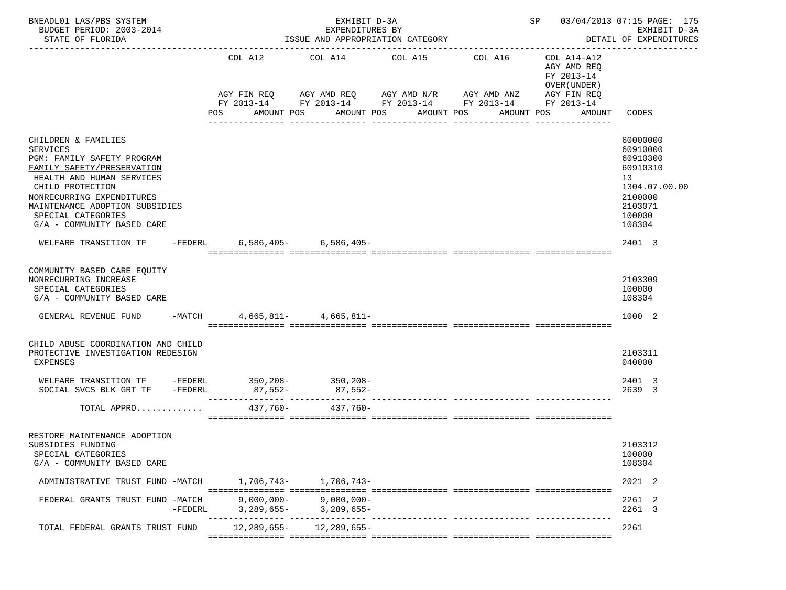| BUDGET PERIOD: 2003-2014<br>STATE OF FLORIDA                                                                                                                                                                                                                           |                | EXPENDITURES BY<br>ISSUE AND APPROPRIATION CATEGORY                                      |                               | SP 03/04/2013 07:15 PAGE: 175<br>EXHIBIT D-3A<br>DETAIL OF EXPENDITURES                                |                                                                                   |                                                                                                               |
|------------------------------------------------------------------------------------------------------------------------------------------------------------------------------------------------------------------------------------------------------------------------|----------------|------------------------------------------------------------------------------------------|-------------------------------|--------------------------------------------------------------------------------------------------------|-----------------------------------------------------------------------------------|---------------------------------------------------------------------------------------------------------------|
|                                                                                                                                                                                                                                                                        | COL A12<br>POS | COL A14 COL A15 COL A16<br>AGY FIN REQ AGY AMD REQ AGY AMD N/R AGY AMD ANZ<br>AMOUNT POS | AMOUNT POS<br>_______________ | FY 2013-14 FY 2013-14 FY 2013-14 FY 2013-14 FY 2013-14<br>AMOUNT POS<br>AMOUNT POS<br>---------------- | COL A14-A12<br>AGY AMD REQ<br>FY 2013-14<br>OVER (UNDER)<br>AGY FIN REQ<br>AMOUNT | CODES                                                                                                         |
| CHILDREN & FAMILIES<br><b>SERVICES</b><br>PGM: FAMILY SAFETY PROGRAM<br>FAMILY SAFETY/PRESERVATION<br>HEALTH AND HUMAN SERVICES<br>CHILD PROTECTION<br>NONRECURRING EXPENDITURES<br>MAINTENANCE ADOPTION SUBSIDIES<br>SPECIAL CATEGORIES<br>G/A - COMMUNITY BASED CARE |                |                                                                                          |                               |                                                                                                        |                                                                                   | 60000000<br>60910000<br>60910300<br>60910310<br>13<br>1304.07.00.00<br>2100000<br>2103071<br>100000<br>108304 |
| WELFARE TRANSITION TF - FEDERL                                                                                                                                                                                                                                         |                | $6,586,405-$ 6,586,405-                                                                  |                               |                                                                                                        |                                                                                   | 2401 3                                                                                                        |
| COMMUNITY BASED CARE EOUITY<br>NONRECURRING INCREASE<br>SPECIAL CATEGORIES<br>G/A - COMMUNITY BASED CARE<br>GENERAL REVENUE FUND -MATCH 4,665,811- 4,665,811-                                                                                                          |                |                                                                                          |                               |                                                                                                        |                                                                                   | 2103309<br>100000<br>108304<br>1000 2                                                                         |
|                                                                                                                                                                                                                                                                        |                |                                                                                          |                               |                                                                                                        |                                                                                   |                                                                                                               |
| CHILD ABUSE COORDINATION AND CHILD<br>PROTECTIVE INVESTIGATION REDESIGN<br>EXPENSES                                                                                                                                                                                    |                |                                                                                          |                               |                                                                                                        |                                                                                   | 2103311<br>040000                                                                                             |
|                                                                                                                                                                                                                                                                        |                |                                                                                          |                               |                                                                                                        |                                                                                   | 2401 3<br>2639 3                                                                                              |
| TOTAL APPRO                                                                                                                                                                                                                                                            | 437,760-       | $437.760 -$                                                                              |                               |                                                                                                        |                                                                                   |                                                                                                               |
| RESTORE MAINTENANCE ADOPTION<br>SUBSIDIES FUNDING<br>SPECIAL CATEGORIES<br>G/A - COMMUNITY BASED CARE                                                                                                                                                                  |                |                                                                                          |                               |                                                                                                        |                                                                                   | 2103312<br>100000<br>108304                                                                                   |
| ADMINISTRATIVE TRUST FUND -MATCH 1,706,743- 1,706,743-                                                                                                                                                                                                                 |                |                                                                                          |                               |                                                                                                        |                                                                                   | 2021 2                                                                                                        |
| FEDERAL GRANTS TRUST FUND -MATCH<br>$-FEDERL$                                                                                                                                                                                                                          | $9,000,000-$   | 9,000,000-<br>$3,289,655 3,289,655-$                                                     |                               |                                                                                                        |                                                                                   | 2261 2<br>2261 3                                                                                              |
| TOTAL FEDERAL GRANTS TRUST FUND                                                                                                                                                                                                                                        |                | $12.289.655 - 12.289.655 -$                                                              |                               |                                                                                                        |                                                                                   | 2261                                                                                                          |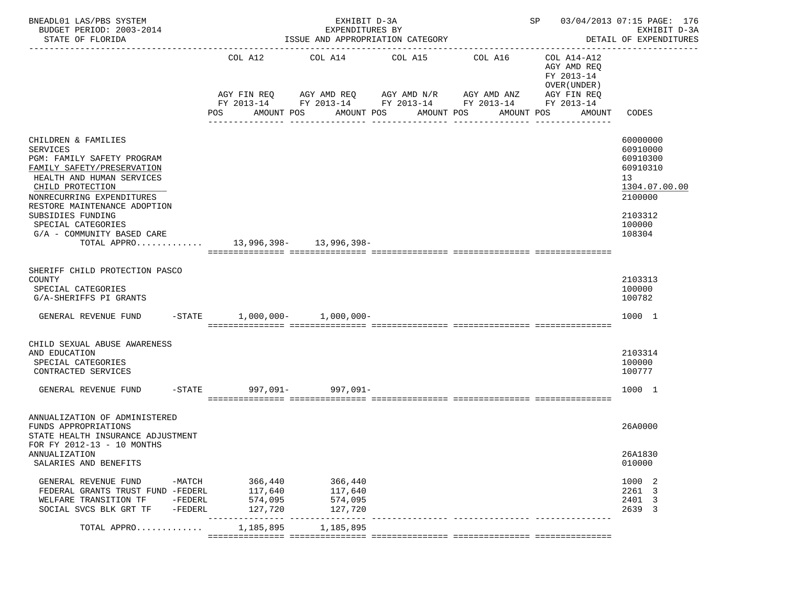| COL A12<br>COL A14-A12<br>COL A14<br>COL A15<br>COL A16<br>AGY AMD REQ<br>FY 2013-14<br>OVER (UNDER)<br>AGY AMD REQ      AGY AMD N/R     AGY AMD ANZ<br>AGY FIN REQ<br>AGY FIN REQ<br>FY 2013-14 FY 2013-14 FY 2013-14 FY 2013-14 FY 2013-14<br>POS<br>AMOUNT POS<br>AMOUNT POS<br>AMOUNT POS<br>AMOUNT POS<br>AMOUNT<br>CODES<br>CHILDREN & FAMILIES<br>60000000<br>60910000<br><b>SERVICES</b><br>PGM: FAMILY SAFETY PROGRAM<br>60910300<br>FAMILY SAFETY/PRESERVATION<br>60910310<br>HEALTH AND HUMAN SERVICES<br>13<br>CHILD PROTECTION<br>1304.07.00.00<br>NONRECURRING EXPENDITURES<br>2100000<br>RESTORE MAINTENANCE ADOPTION<br>SUBSIDIES FUNDING<br>2103312<br>100000<br>SPECIAL CATEGORIES<br>G/A - COMMUNITY BASED CARE<br>108304<br>13,996,398- 13,996,398-<br>TOTAL APPRO<br>SHERIFF CHILD PROTECTION PASCO<br>2103313<br>COUNTY<br>100000<br>SPECIAL CATEGORIES<br>100782<br>G/A-SHERIFFS PI GRANTS<br>$-STATE$ 1,000,000- 1,000,000-<br>1000 1<br>GENERAL REVENUE FUND<br>CHILD SEXUAL ABUSE AWARENESS<br>AND EDUCATION<br>2103314<br>SPECIAL CATEGORIES<br>100000<br>100777<br>CONTRACTED SERVICES<br>-STATE 997,091- 997,091-<br>1000 1<br>GENERAL REVENUE FUND<br>ANNUALIZATION OF ADMINISTERED<br>26A0000<br>FUNDS APPROPRIATIONS<br>STATE HEALTH INSURANCE ADJUSTMENT<br>FOR FY 2012-13 - 10 MONTHS<br>ANNUALIZATION<br>26A1830<br>SALARIES AND BENEFITS<br>010000<br>GENERAL REVENUE FUND<br>$-MATCH$<br>366,440<br>366,440<br>1000 2<br>117,640<br>FEDERAL GRANTS TRUST FUND -FEDERL<br>117,640<br>2261 3<br>574,095<br>574,095<br>2401 3<br>WELFARE TRANSITION TF<br>-FEDERL<br>127,720<br>127,720<br>2639 3<br>SOCIAL SVCS BLK GRT TF<br>-FEDERL<br>1,185,895<br>1,185,895<br>TOTAL APPRO | BNEADL01 LAS/PBS SYSTEM<br>BUDGET PERIOD: 2003-2014<br>STATE OF FLORIDA | EXHIBIT D-3A<br>EXPENDITURES BY<br>ISSUE AND APPROPRIATION CATEGORY | SP 03/04/2013 07:15 PAGE: 176<br>EXHIBIT D-3A<br>DETAIL OF EXPENDITURES |  |  |
|-------------------------------------------------------------------------------------------------------------------------------------------------------------------------------------------------------------------------------------------------------------------------------------------------------------------------------------------------------------------------------------------------------------------------------------------------------------------------------------------------------------------------------------------------------------------------------------------------------------------------------------------------------------------------------------------------------------------------------------------------------------------------------------------------------------------------------------------------------------------------------------------------------------------------------------------------------------------------------------------------------------------------------------------------------------------------------------------------------------------------------------------------------------------------------------------------------------------------------------------------------------------------------------------------------------------------------------------------------------------------------------------------------------------------------------------------------------------------------------------------------------------------------------------------------------------------------------------------------------------------------------------------------------------------------------------------------------------|-------------------------------------------------------------------------|---------------------------------------------------------------------|-------------------------------------------------------------------------|--|--|
|                                                                                                                                                                                                                                                                                                                                                                                                                                                                                                                                                                                                                                                                                                                                                                                                                                                                                                                                                                                                                                                                                                                                                                                                                                                                                                                                                                                                                                                                                                                                                                                                                                                                                                                   |                                                                         |                                                                     |                                                                         |  |  |
|                                                                                                                                                                                                                                                                                                                                                                                                                                                                                                                                                                                                                                                                                                                                                                                                                                                                                                                                                                                                                                                                                                                                                                                                                                                                                                                                                                                                                                                                                                                                                                                                                                                                                                                   |                                                                         |                                                                     |                                                                         |  |  |
|                                                                                                                                                                                                                                                                                                                                                                                                                                                                                                                                                                                                                                                                                                                                                                                                                                                                                                                                                                                                                                                                                                                                                                                                                                                                                                                                                                                                                                                                                                                                                                                                                                                                                                                   |                                                                         |                                                                     |                                                                         |  |  |
|                                                                                                                                                                                                                                                                                                                                                                                                                                                                                                                                                                                                                                                                                                                                                                                                                                                                                                                                                                                                                                                                                                                                                                                                                                                                                                                                                                                                                                                                                                                                                                                                                                                                                                                   |                                                                         |                                                                     |                                                                         |  |  |
|                                                                                                                                                                                                                                                                                                                                                                                                                                                                                                                                                                                                                                                                                                                                                                                                                                                                                                                                                                                                                                                                                                                                                                                                                                                                                                                                                                                                                                                                                                                                                                                                                                                                                                                   |                                                                         |                                                                     |                                                                         |  |  |
|                                                                                                                                                                                                                                                                                                                                                                                                                                                                                                                                                                                                                                                                                                                                                                                                                                                                                                                                                                                                                                                                                                                                                                                                                                                                                                                                                                                                                                                                                                                                                                                                                                                                                                                   |                                                                         |                                                                     |                                                                         |  |  |
|                                                                                                                                                                                                                                                                                                                                                                                                                                                                                                                                                                                                                                                                                                                                                                                                                                                                                                                                                                                                                                                                                                                                                                                                                                                                                                                                                                                                                                                                                                                                                                                                                                                                                                                   |                                                                         |                                                                     |                                                                         |  |  |
|                                                                                                                                                                                                                                                                                                                                                                                                                                                                                                                                                                                                                                                                                                                                                                                                                                                                                                                                                                                                                                                                                                                                                                                                                                                                                                                                                                                                                                                                                                                                                                                                                                                                                                                   |                                                                         |                                                                     |                                                                         |  |  |
|                                                                                                                                                                                                                                                                                                                                                                                                                                                                                                                                                                                                                                                                                                                                                                                                                                                                                                                                                                                                                                                                                                                                                                                                                                                                                                                                                                                                                                                                                                                                                                                                                                                                                                                   |                                                                         |                                                                     |                                                                         |  |  |
|                                                                                                                                                                                                                                                                                                                                                                                                                                                                                                                                                                                                                                                                                                                                                                                                                                                                                                                                                                                                                                                                                                                                                                                                                                                                                                                                                                                                                                                                                                                                                                                                                                                                                                                   |                                                                         |                                                                     |                                                                         |  |  |
|                                                                                                                                                                                                                                                                                                                                                                                                                                                                                                                                                                                                                                                                                                                                                                                                                                                                                                                                                                                                                                                                                                                                                                                                                                                                                                                                                                                                                                                                                                                                                                                                                                                                                                                   |                                                                         |                                                                     |                                                                         |  |  |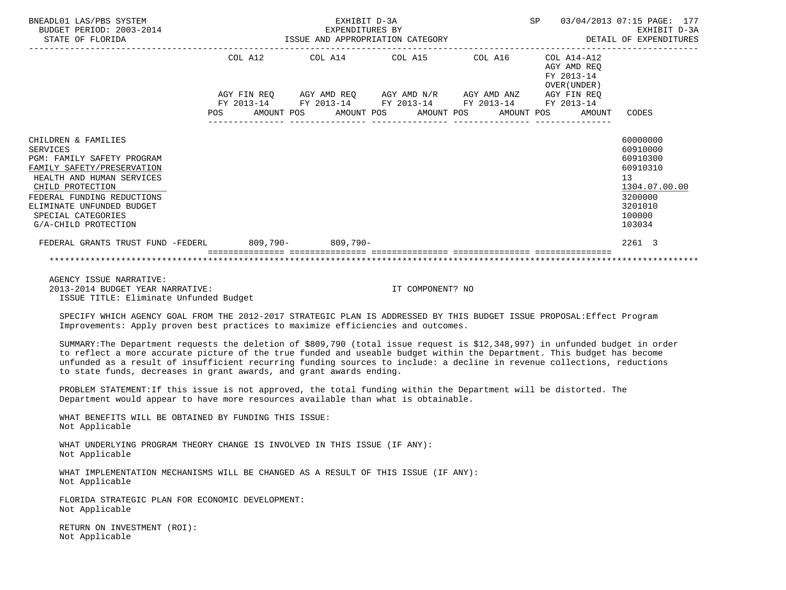| BNEADL01 LAS/PBS SYSTEM<br>BUDGET PERIOD: 2003-2014<br>STATE OF FLORIDA                                                                                                                                                                               | EXHIBIT D-3A |  |  |                                      |                                                       |                                                             |  |  |                                            |  | SP 03/04/2013 07:15 PAGE: 177                                                                                 |  |
|-------------------------------------------------------------------------------------------------------------------------------------------------------------------------------------------------------------------------------------------------------|--------------|--|--|--------------------------------------|-------------------------------------------------------|-------------------------------------------------------------|--|--|--------------------------------------------|--|---------------------------------------------------------------------------------------------------------------|--|
|                                                                                                                                                                                                                                                       |              |  |  |                                      | $COL A12$ $COL A14$ $COL A15$ $COL A16$ $COL A14-A12$ |                                                             |  |  | AGY AMD REO<br>FY 2013-14<br>OVER (UNDER ) |  |                                                                                                               |  |
|                                                                                                                                                                                                                                                       |              |  |  |                                      |                                                       | AGY FIN REQ AGY AMD REQ AGY AMD N/R AGY AMD ANZ AGY FIN REQ |  |  |                                            |  |                                                                                                               |  |
|                                                                                                                                                                                                                                                       |              |  |  |                                      |                                                       | FY 2013-14 FY 2013-14 FY 2013-14 FY 2013-14 FY 2013-14      |  |  |                                            |  |                                                                                                               |  |
|                                                                                                                                                                                                                                                       |              |  |  | ____________________________________ |                                                       | POS AMOUNT POS AMOUNT POS AMOUNT POS AMOUNT POS AMOUNT      |  |  |                                            |  | CODES                                                                                                         |  |
| CHILDREN & FAMILIES<br>SERVICES<br>PGM: FAMILY SAFETY PROGRAM<br>FAMILY SAFETY/PRESERVATION<br>HEALTH AND HUMAN SERVICES<br>CHILD PROTECTION<br>FEDERAL FUNDING REDUCTIONS<br>ELIMINATE UNFUNDED BUDGET<br>SPECIAL CATEGORIES<br>G/A-CHILD PROTECTION |              |  |  |                                      |                                                       |                                                             |  |  |                                            |  | 60000000<br>60910000<br>60910300<br>60910310<br>13<br>1304.07.00.00<br>3200000<br>3201010<br>100000<br>103034 |  |
| FEDERAL GRANTS TRUST FUND -FEDERL 809,790- 809,790-                                                                                                                                                                                                   |              |  |  |                                      |                                                       |                                                             |  |  |                                            |  | 2261 3                                                                                                        |  |
|                                                                                                                                                                                                                                                       |              |  |  |                                      |                                                       |                                                             |  |  |                                            |  |                                                                                                               |  |
| AGENCY ISSUE NARRATIVE:                                                                                                                                                                                                                               |              |  |  |                                      |                                                       |                                                             |  |  |                                            |  |                                                                                                               |  |

 2013-2014 BUDGET YEAR NARRATIVE: IT COMPONENT? NO ISSUE TITLE: Eliminate Unfunded Budget

 SPECIFY WHICH AGENCY GOAL FROM THE 2012-2017 STRATEGIC PLAN IS ADDRESSED BY THIS BUDGET ISSUE PROPOSAL:Effect Program Improvements: Apply proven best practices to maximize efficiencies and outcomes.

 SUMMARY:The Department requests the deletion of \$809,790 (total issue request is \$12,348,997) in unfunded budget in order to reflect a more accurate picture of the true funded and useable budget within the Department. This budget has become unfunded as a result of insufficient recurring funding sources to include: a decline in revenue collections, reductions to state funds, decreases in grant awards, and grant awards ending.

 PROBLEM STATEMENT:If this issue is not approved, the total funding within the Department will be distorted. The Department would appear to have more resources available than what is obtainable.

 WHAT BENEFITS WILL BE OBTAINED BY FUNDING THIS ISSUE: Not Applicable

 WHAT UNDERLYING PROGRAM THEORY CHANGE IS INVOLVED IN THIS ISSUE (IF ANY): Not Applicable

 WHAT IMPLEMENTATION MECHANISMS WILL BE CHANGED AS A RESULT OF THIS ISSUE (IF ANY): Not Applicable

 FLORIDA STRATEGIC PLAN FOR ECONOMIC DEVELOPMENT: Not Applicable

 RETURN ON INVESTMENT (ROI): Not Applicable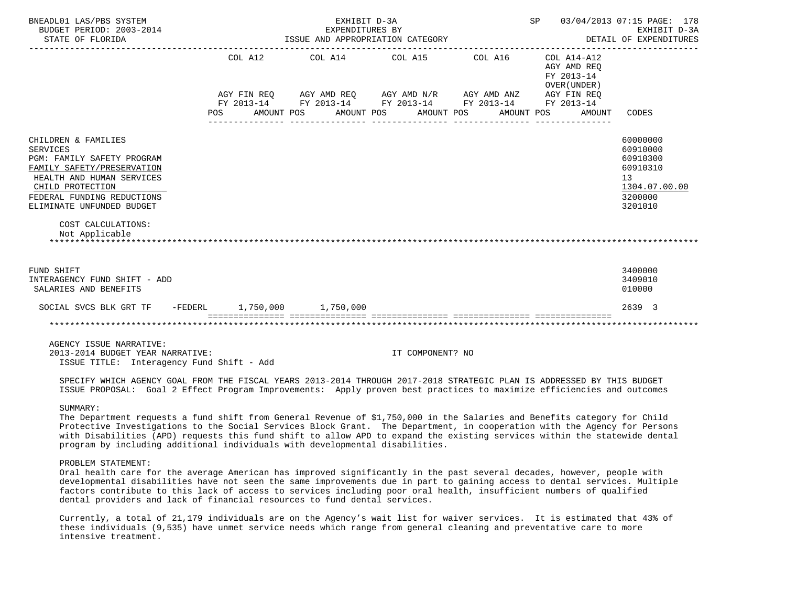| BNEADL01 LAS/PBS SYSTEM<br>BUDGET PERIOD: 2003-2014<br>STATE OF FLORIDA                                                                                                                                                                                       | SP 03/04/2013 07:15 PAGE: 178<br>EXHIBIT D-3A<br>EXPENDITURES BY<br>ISSUE AND APPROPRIATION CATEGORY<br>DETAIL OF EXPENDITURES |                                                                                                                                                        |                       |         |                                                                                  |                                                                                           |  |  |  |  |  |  |
|---------------------------------------------------------------------------------------------------------------------------------------------------------------------------------------------------------------------------------------------------------------|--------------------------------------------------------------------------------------------------------------------------------|--------------------------------------------------------------------------------------------------------------------------------------------------------|-----------------------|---------|----------------------------------------------------------------------------------|-------------------------------------------------------------------------------------------|--|--|--|--|--|--|
|                                                                                                                                                                                                                                                               | COL A12<br>POS                                                                                                                 | COL A14 COL A15<br>AGY FIN REQ AGY AMD REQ AGY AMD N/R AGY AMD ANZ AGY FIN REQ<br>FY 2013-14 FY 2013-14 FY 2013-14 FY 2013-14 FY 2013-14<br>AMOUNT POS | AMOUNT POS AMOUNT POS | COL A16 | COL A14-A12<br>AGY AMD REO<br>FY 2013-14<br>OVER (UNDER)<br>AMOUNT POS<br>AMOUNT | CODES                                                                                     |  |  |  |  |  |  |
| CHILDREN & FAMILIES<br><b>SERVICES</b><br><b>PGM: FAMILY SAFETY PROGRAM</b><br>FAMILY SAFETY/PRESERVATION<br>HEALTH AND HUMAN SERVICES<br>CHILD PROTECTION<br>FEDERAL FUNDING REDUCTIONS<br>ELIMINATE UNFUNDED BUDGET<br>COST CALCULATIONS:<br>Not Applicable |                                                                                                                                |                                                                                                                                                        |                       |         |                                                                                  | 60000000<br>60910000<br>60910300<br>60910310<br>13<br>1304.07.00.00<br>3200000<br>3201010 |  |  |  |  |  |  |
| FUND SHIFT<br>INTERAGENCY FUND SHIFT - ADD<br>SALARIES AND BENEFITS                                                                                                                                                                                           |                                                                                                                                |                                                                                                                                                        |                       |         |                                                                                  | 3400000<br>3409010<br>010000                                                              |  |  |  |  |  |  |
| SOCIAL SVCS BLK GRT TF -FEDERL 1,750,000 1,750,000                                                                                                                                                                                                            |                                                                                                                                |                                                                                                                                                        |                       |         |                                                                                  | 2639 3                                                                                    |  |  |  |  |  |  |
|                                                                                                                                                                                                                                                               |                                                                                                                                |                                                                                                                                                        |                       |         |                                                                                  |                                                                                           |  |  |  |  |  |  |
| AGENCY ISSUE NARRATIVE:<br>2013-2014 BUDGET YEAR NARRATIVE:<br>ISSUE TITLE: Interagency Fund Shift - Add                                                                                                                                                      |                                                                                                                                |                                                                                                                                                        | IT COMPONENT? NO      |         |                                                                                  |                                                                                           |  |  |  |  |  |  |
| SPECIFY WHICH AGENCY GOAL FROM THE FISCAL YEARS 2013-2014 THROUGH 2017-2018 STRATEGIC PLAN IS ADDRESSED BY THIS BUDGET<br>ISSUE PROPOSAL: Goal 2 Effect Program Improvements: Apply proven best practices to maximize efficiencies and outcomes               |                                                                                                                                |                                                                                                                                                        |                       |         |                                                                                  |                                                                                           |  |  |  |  |  |  |

#### SUMMARY:

 The Department requests a fund shift from General Revenue of \$1,750,000 in the Salaries and Benefits category for Child Protective Investigations to the Social Services Block Grant. The Department, in cooperation with the Agency for Persons with Disabilities (APD) requests this fund shift to allow APD to expand the existing services within the statewide dental program by including additional individuals with developmental disabilities.

# PROBLEM STATEMENT:

 Oral health care for the average American has improved significantly in the past several decades, however, people with developmental disabilities have not seen the same improvements due in part to gaining access to dental services. Multiple factors contribute to this lack of access to services including poor oral health, insufficient numbers of qualified dental providers and lack of financial resources to fund dental services.

 Currently, a total of 21,179 individuals are on the Agency's wait list for waiver services. It is estimated that 43% of these individuals (9,535) have unmet service needs which range from general cleaning and preventative care to more intensive treatment.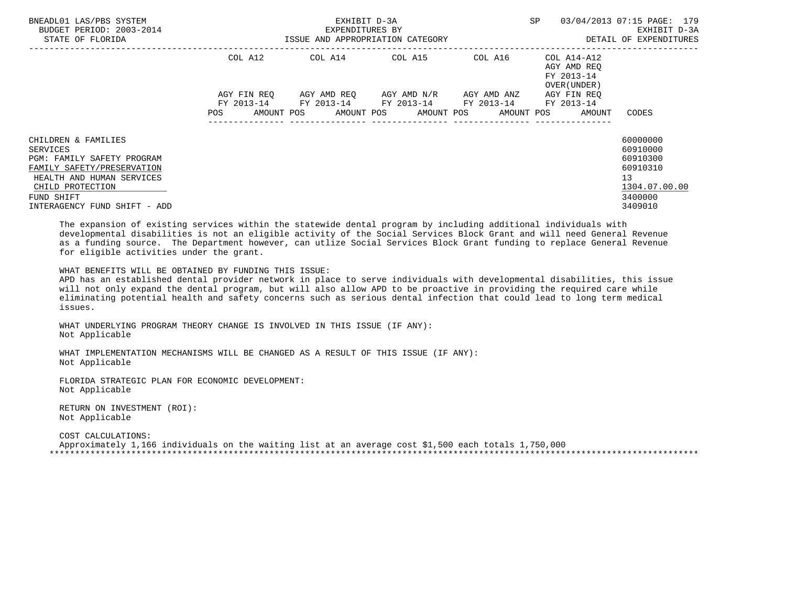| BNEADL01 LAS/PBS SYSTEM<br>BUDGET PERIOD: 2003-2014<br>STATE OF FLORIDA                                                                                                                    | EXHIBIT D-3A<br>EXPENDITURES BY<br>ISSUE AND APPROPRIATION CATEGORY                                                           |                                                        |                                                 | <b>SP</b><br>03/04/2013 07:15 PAGE: 179<br>EXHIBIT D-3A<br>DETAIL OF EXPENDITURES |                                                                   |                                                                                                        |
|--------------------------------------------------------------------------------------------------------------------------------------------------------------------------------------------|-------------------------------------------------------------------------------------------------------------------------------|--------------------------------------------------------|-------------------------------------------------|-----------------------------------------------------------------------------------|-------------------------------------------------------------------|--------------------------------------------------------------------------------------------------------|
|                                                                                                                                                                                            | COL A12                                                                                                                       | COL A14 COL A15                                        |                                                 | COL A16                                                                           | COL A14-A12<br>AGY AMD REO<br>FY 2013-14<br>OVER (UNDER)          |                                                                                                        |
|                                                                                                                                                                                            | AGY FIN REO<br>POS FOR THE POST OF THE STATE STATE STATE STATE STATE STATE STATE STATE STATE STATE STATE STATE STATE STATE ST | FY 2013-14 FY 2013-14 FY 2013-14 FY 2013-14 FY 2013-14 | AGY AMD REQ       AGY AMD N/R       AGY AMD ANZ | ----------------                                                                  | AGY FIN REO<br>AMOUNT POS AMOUNT POS AMOUNT POS AMOUNT POS AMOUNT | CODES                                                                                                  |
| CHILDREN & FAMILIES<br>SERVICES<br>PGM: FAMILY SAFETY PROGRAM<br>FAMILY SAFETY/PRESERVATION<br>HEALTH AND HUMAN SERVICES<br>CHILD PROTECTION<br>FUND SHIFT<br>INTERAGENCY FUND SHIFT - ADD |                                                                                                                               |                                                        |                                                 |                                                                                   |                                                                   | 60000000<br>60910000<br>60910300<br>60910310<br>13 <sup>°</sup><br>1304.07.00.00<br>3400000<br>3409010 |

 The expansion of existing services within the statewide dental program by including additional individuals with developmental disabilities is not an eligible activity of the Social Services Block Grant and will need General Revenue as a funding source. The Department however, can utlize Social Services Block Grant funding to replace General Revenue for eligible activities under the grant.

WHAT BENEFITS WILL BE OBTAINED BY FUNDING THIS ISSUE:

 APD has an established dental provider network in place to serve individuals with developmental disabilities, this issue will not only expand the dental program, but will also allow APD to be proactive in providing the required care while eliminating potential health and safety concerns such as serious dental infection that could lead to long term medical issues.

 WHAT UNDERLYING PROGRAM THEORY CHANGE IS INVOLVED IN THIS ISSUE (IF ANY): Not Applicable

 WHAT IMPLEMENTATION MECHANISMS WILL BE CHANGED AS A RESULT OF THIS ISSUE (IF ANY): Not Applicable

 FLORIDA STRATEGIC PLAN FOR ECONOMIC DEVELOPMENT: Not Applicable

 RETURN ON INVESTMENT (ROI): Not Applicable

 COST CALCULATIONS: Approximately 1,166 individuals on the waiting list at an average cost \$1,500 each totals 1,750,000 \*\*\*\*\*\*\*\*\*\*\*\*\*\*\*\*\*\*\*\*\*\*\*\*\*\*\*\*\*\*\*\*\*\*\*\*\*\*\*\*\*\*\*\*\*\*\*\*\*\*\*\*\*\*\*\*\*\*\*\*\*\*\*\*\*\*\*\*\*\*\*\*\*\*\*\*\*\*\*\*\*\*\*\*\*\*\*\*\*\*\*\*\*\*\*\*\*\*\*\*\*\*\*\*\*\*\*\*\*\*\*\*\*\*\*\*\*\*\*\*\*\*\*\*\*\*\*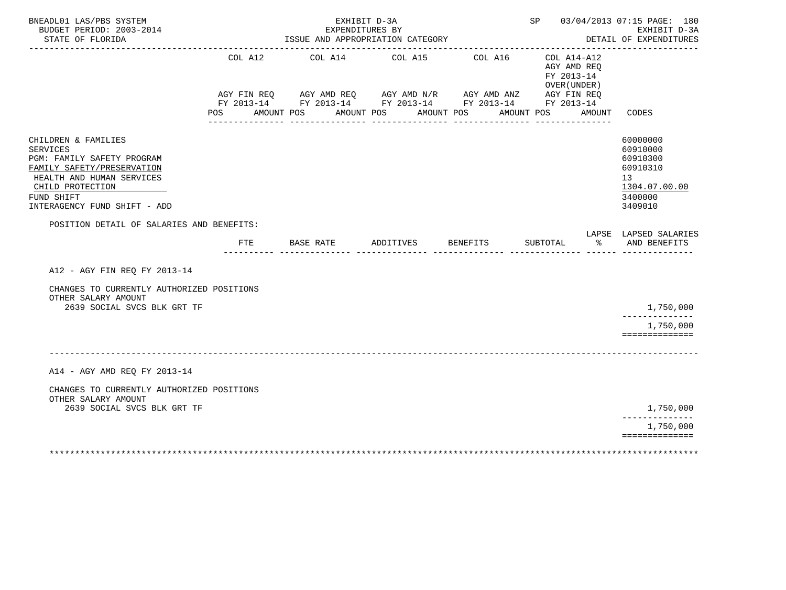| BNEADL01 LAS/PBS SYSTEM<br>BUDGET PERIOD: 2003-2014<br>STATE OF FLORIDA<br>_______________________                                                                                                                                             |                       |            | EXPENDITURES BY<br>ISSUE AND APPROPRIATION CATEGORY |                       |            | SP 03/04/2013 07:15 PAGE: 180<br>EXHIBIT D-3A<br>DETAIL OF EXPENDITURES |            |                                                                                                                                                                                   |        |                                                                                                        |
|------------------------------------------------------------------------------------------------------------------------------------------------------------------------------------------------------------------------------------------------|-----------------------|------------|-----------------------------------------------------|-----------------------|------------|-------------------------------------------------------------------------|------------|-----------------------------------------------------------------------------------------------------------------------------------------------------------------------------------|--------|--------------------------------------------------------------------------------------------------------|
|                                                                                                                                                                                                                                                | COL A12<br><b>POS</b> | AMOUNT POS | COL A14                                             | COL A15<br>AMOUNT POS | AMOUNT POS | COL A16                                                                 | AMOUNT POS | COL A14-A12<br>AGY AMD REQ<br>FY 2013-14<br>OVER (UNDER)<br>AGY FIN REQ AGY AMD REQ AGY AMD N/R AGY AMD ANZ AGY FIN REQ<br>FY 2013-14 FY 2013-14 FY 2013-14 FY 2013-14 FY 2013-14 | AMOUNT | CODES                                                                                                  |
| CHILDREN & FAMILIES<br><b>SERVICES</b><br>PGM: FAMILY SAFETY PROGRAM<br>FAMILY SAFETY/PRESERVATION<br>HEALTH AND HUMAN SERVICES<br>CHILD PROTECTION<br>FUND SHIFT<br>INTERAGENCY FUND SHIFT - ADD<br>POSITION DETAIL OF SALARIES AND BENEFITS: |                       |            |                                                     |                       |            |                                                                         |            |                                                                                                                                                                                   |        | 60000000<br>60910000<br>60910300<br>60910310<br>13 <sup>°</sup><br>1304.07.00.00<br>3400000<br>3409010 |
|                                                                                                                                                                                                                                                |                       |            | FTE BASE RATE                                       | ADDITIVES             |            | <b>BENEFITS</b>                                                         |            | SUBTOTAL                                                                                                                                                                          | နွ     | LAPSE LAPSED SALARIES<br>AND BENEFITS                                                                  |
| A12 - AGY FIN REQ FY 2013-14                                                                                                                                                                                                                   |                       |            |                                                     |                       |            |                                                                         |            |                                                                                                                                                                                   |        |                                                                                                        |
| CHANGES TO CURRENTLY AUTHORIZED POSITIONS<br>OTHER SALARY AMOUNT<br>2639 SOCIAL SVCS BLK GRT TF                                                                                                                                                |                       |            |                                                     |                       |            |                                                                         |            |                                                                                                                                                                                   |        | 1,750,000                                                                                              |
|                                                                                                                                                                                                                                                |                       |            |                                                     |                       |            |                                                                         |            |                                                                                                                                                                                   |        | 1,750,000<br>==============                                                                            |
| A14 - AGY AMD REQ FY 2013-14                                                                                                                                                                                                                   |                       |            |                                                     |                       |            |                                                                         |            |                                                                                                                                                                                   |        |                                                                                                        |
| CHANGES TO CURRENTLY AUTHORIZED POSITIONS<br>OTHER SALARY AMOUNT                                                                                                                                                                               |                       |            |                                                     |                       |            |                                                                         |            |                                                                                                                                                                                   |        |                                                                                                        |
| 2639 SOCIAL SVCS BLK GRT TF                                                                                                                                                                                                                    |                       |            |                                                     |                       |            |                                                                         |            |                                                                                                                                                                                   |        | 1,750,000<br>-------------<br>1,750,000                                                                |
|                                                                                                                                                                                                                                                |                       |            |                                                     |                       |            |                                                                         |            |                                                                                                                                                                                   |        | ==============                                                                                         |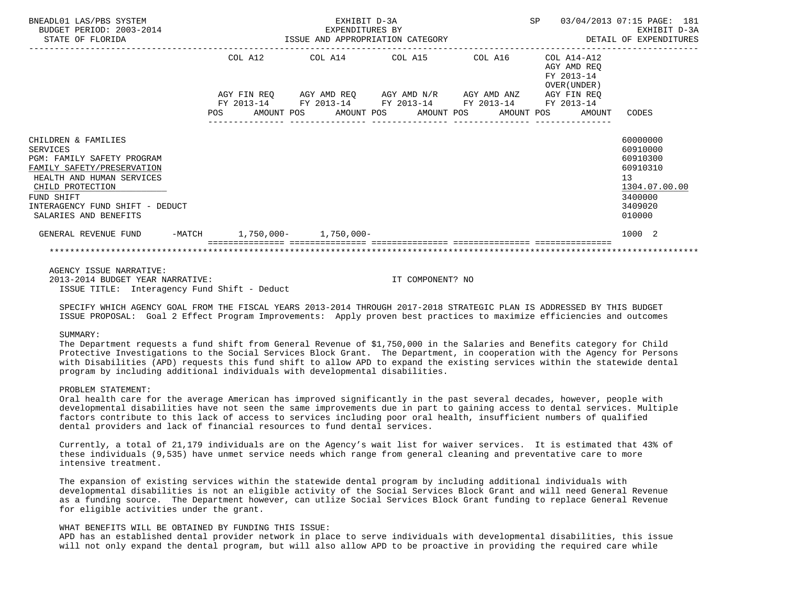| BNEADL01 LAS/PBS SYSTEM<br>BUDGET PERIOD: 2003-2014<br>STATE OF FLORIDA                                                                                                                                                |         | EXPENDITURES BY<br>ISSUE AND APPROPRIATION CATEGORY                                                                           | EXHIBIT D-3A | SP 03/04/2013 07:15 PAGE: 181                            | EXHIBIT D-3A<br>DETAIL OF EXPENDITURES                                                              |
|------------------------------------------------------------------------------------------------------------------------------------------------------------------------------------------------------------------------|---------|-------------------------------------------------------------------------------------------------------------------------------|--------------|----------------------------------------------------------|-----------------------------------------------------------------------------------------------------|
|                                                                                                                                                                                                                        | COL A12 | COL A14 COL A15 COL A16                                                                                                       |              | COL A14-A12<br>AGY AMD REO<br>FY 2013-14<br>OVER (UNDER) |                                                                                                     |
|                                                                                                                                                                                                                        |         | AGY FIN REQ 6 AGY AMD REQ 6 AGY AMD N/R 6 AGY AMD ANZ 6 AGY FIN REQ<br>FY 2013-14 FY 2013-14 FY 2013-14 FY 2013-14 FY 2013-14 |              |                                                          |                                                                                                     |
|                                                                                                                                                                                                                        |         | POS AMOUNT POS AMOUNT POS AMOUNT POS AMOUNT POS AMOUNT CODES                                                                  |              |                                                          |                                                                                                     |
| CHILDREN & FAMILIES<br>SERVICES<br>PGM: FAMILY SAFETY PROGRAM<br>FAMILY SAFETY/PRESERVATION<br>HEALTH AND HUMAN SERVICES<br>CHILD PROTECTION<br>FUND SHIFT<br>INTERAGENCY FUND SHIFT - DEDUCT<br>SALARIES AND BENEFITS |         |                                                                                                                               |              |                                                          | 60000000<br>60910000<br>60910300<br>60910310<br>13<br>1304.07.00.00<br>3400000<br>3409020<br>010000 |
| GENERAL REVENUE FUND                                                                                                                                                                                                   |         | -MATCH 1,750,000- 1,750,000-                                                                                                  |              |                                                          | 1000 2                                                                                              |
|                                                                                                                                                                                                                        |         |                                                                                                                               |              |                                                          |                                                                                                     |

 AGENCY ISSUE NARRATIVE: 2013-2014 BUDGET YEAR NARRATIVE: IT COMPONENT? NO ISSUE TITLE: Interagency Fund Shift - Deduct

 SPECIFY WHICH AGENCY GOAL FROM THE FISCAL YEARS 2013-2014 THROUGH 2017-2018 STRATEGIC PLAN IS ADDRESSED BY THIS BUDGET ISSUE PROPOSAL: Goal 2 Effect Program Improvements: Apply proven best practices to maximize efficiencies and outcomes

### SUMMARY:

 The Department requests a fund shift from General Revenue of \$1,750,000 in the Salaries and Benefits category for Child Protective Investigations to the Social Services Block Grant. The Department, in cooperation with the Agency for Persons with Disabilities (APD) requests this fund shift to allow APD to expand the existing services within the statewide dental program by including additional individuals with developmental disabilities.

### PROBLEM STATEMENT:

 Oral health care for the average American has improved significantly in the past several decades, however, people with developmental disabilities have not seen the same improvements due in part to gaining access to dental services. Multiple factors contribute to this lack of access to services including poor oral health, insufficient numbers of qualified dental providers and lack of financial resources to fund dental services.

 Currently, a total of 21,179 individuals are on the Agency's wait list for waiver services. It is estimated that 43% of these individuals (9,535) have unmet service needs which range from general cleaning and preventative care to more intensive treatment.

 The expansion of existing services within the statewide dental program by including additional individuals with developmental disabilities is not an eligible activity of the Social Services Block Grant and will need General Revenue as a funding source. The Department however, can utlize Social Services Block Grant funding to replace General Revenue for eligible activities under the grant.

### WHAT BENEFITS WILL BE OBTAINED BY FUNDING THIS ISSUE:

 APD has an established dental provider network in place to serve individuals with developmental disabilities, this issue will not only expand the dental program, but will also allow APD to be proactive in providing the required care while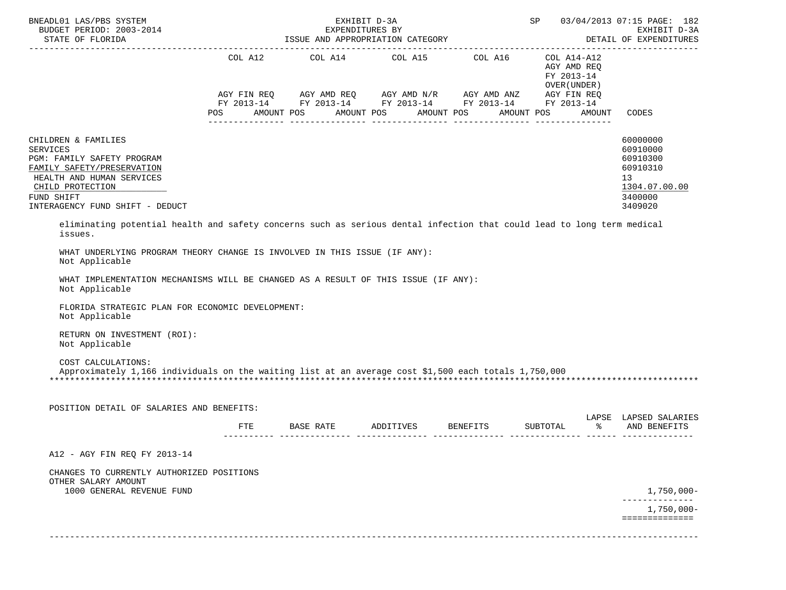| BNEADL01 LAS/PBS SYSTEM<br>BUDGET PERIOD: 2003-2014                                                                                                                                                  |     | EXHIBIT D-3A<br>EXPENDITURES BY                                                                                                                                                                                                                                                                                                                                                                                                                                                                          |  | SP 03/04/2013 07:15 PAGE: 182<br>EXHIBIT D-3A<br>DETAIL OF EXPENDITURES |                                                                                           |
|------------------------------------------------------------------------------------------------------------------------------------------------------------------------------------------------------|-----|----------------------------------------------------------------------------------------------------------------------------------------------------------------------------------------------------------------------------------------------------------------------------------------------------------------------------------------------------------------------------------------------------------------------------------------------------------------------------------------------------------|--|-------------------------------------------------------------------------|-------------------------------------------------------------------------------------------|
|                                                                                                                                                                                                      |     | $\begin{tabular}{lllllllllll} \multicolumn{2}{l}{{\text{COL A14}} } & \multicolumn{2}{c}{\text{COL A15}} & \multicolumn{2}{c}{\text{COL A16}} & \multicolumn{2}{c}{\text{COL A14}--\text{A12}}\\ \multicolumn{2}{c}{\text{COL A14}} & \multicolumn{2}{c}{\text{COL A15}} & \multicolumn{2}{c}{\text{COL A16}} & \multicolumn{2}{c}{\text{COL A14}--\text{A12}}\\ \end{tabular}$<br>AGY FIN REQ AGY AMD REQ AGY AMD N/R AGY AMD ANZ AGY FIN REQ<br>FY 2013-14 FY 2013-14 FY 2013-14 FY 2013-14 FY 2013-14 |  | AGY AMD REQ<br>FY 2013-14<br>OVER (UNDER )                              |                                                                                           |
|                                                                                                                                                                                                      |     | POS AMOUNT POS AMOUNT POS AMOUNT POS                                                                                                                                                                                                                                                                                                                                                                                                                                                                     |  | AMOUNT POS<br>AMOUNT                                                    | CODES                                                                                     |
| CHILDREN & FAMILIES<br><b>SERVICES</b><br>PGM: FAMILY SAFETY PROGRAM<br>FAMILY SAFETY/PRESERVATION<br>HEALTH AND HUMAN SERVICES<br>CHILD PROTECTION<br>FUND SHIFT<br>INTERAGENCY FUND SHIFT - DEDUCT |     |                                                                                                                                                                                                                                                                                                                                                                                                                                                                                                          |  |                                                                         | 60000000<br>60910000<br>60910300<br>60910310<br>13<br>1304.07.00.00<br>3400000<br>3409020 |
| eliminating potential health and safety concerns such as serious dental infection that could lead to long term medical<br>issues.                                                                    |     |                                                                                                                                                                                                                                                                                                                                                                                                                                                                                                          |  |                                                                         |                                                                                           |
| WHAT UNDERLYING PROGRAM THEORY CHANGE IS INVOLVED IN THIS ISSUE (IF ANY):<br>Not Applicable                                                                                                          |     |                                                                                                                                                                                                                                                                                                                                                                                                                                                                                                          |  |                                                                         |                                                                                           |
| WHAT IMPLEMENTATION MECHANISMS WILL BE CHANGED AS A RESULT OF THIS ISSUE (IF ANY):<br>Not Applicable                                                                                                 |     |                                                                                                                                                                                                                                                                                                                                                                                                                                                                                                          |  |                                                                         |                                                                                           |
| FLORIDA STRATEGIC PLAN FOR ECONOMIC DEVELOPMENT:<br>Not Applicable                                                                                                                                   |     |                                                                                                                                                                                                                                                                                                                                                                                                                                                                                                          |  |                                                                         |                                                                                           |
| RETURN ON INVESTMENT (ROI):<br>Not Applicable                                                                                                                                                        |     |                                                                                                                                                                                                                                                                                                                                                                                                                                                                                                          |  |                                                                         |                                                                                           |
| COST CALCULATIONS:<br>Approximately 1,166 individuals on the waiting list at an average cost \$1,500 each totals 1,750,000                                                                           |     |                                                                                                                                                                                                                                                                                                                                                                                                                                                                                                          |  |                                                                         |                                                                                           |
| POSITION DETAIL OF SALARIES AND BENEFITS:                                                                                                                                                            |     |                                                                                                                                                                                                                                                                                                                                                                                                                                                                                                          |  |                                                                         | LAPSE LAPSED SALARIES                                                                     |
|                                                                                                                                                                                                      | FTE | BASE RATE ADDITIVES BENEFITS SUBTOTAL                                                                                                                                                                                                                                                                                                                                                                                                                                                                    |  |                                                                         | % AND BENEFITS                                                                            |
| A12 - AGY FIN REQ FY 2013-14                                                                                                                                                                         |     |                                                                                                                                                                                                                                                                                                                                                                                                                                                                                                          |  |                                                                         |                                                                                           |
| CHANGES TO CURRENTLY AUTHORIZED POSITIONS<br>OTHER SALARY AMOUNT                                                                                                                                     |     |                                                                                                                                                                                                                                                                                                                                                                                                                                                                                                          |  |                                                                         |                                                                                           |
| 1000 GENERAL REVENUE FUND                                                                                                                                                                            |     |                                                                                                                                                                                                                                                                                                                                                                                                                                                                                                          |  |                                                                         | $1,750,000-$<br>$1,750,000 -$                                                             |
|                                                                                                                                                                                                      |     |                                                                                                                                                                                                                                                                                                                                                                                                                                                                                                          |  |                                                                         | ==============                                                                            |
|                                                                                                                                                                                                      |     |                                                                                                                                                                                                                                                                                                                                                                                                                                                                                                          |  |                                                                         |                                                                                           |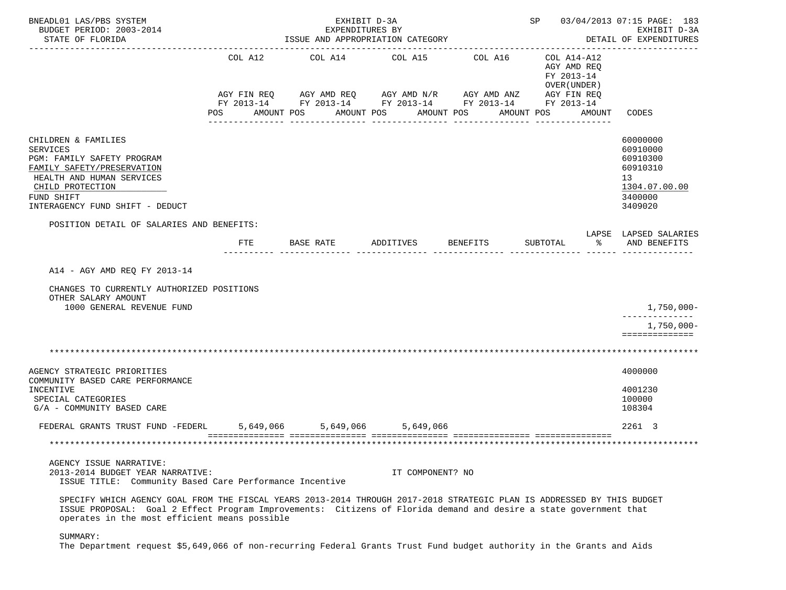| BNEADL01 LAS/PBS SYSTEM<br>BUDGET PERIOD: 2003-2014<br>STATE OF FLORIDA                                                                                                                                                                                                                      |                               | EXHIBIT D-3A<br>EXPENDITURES BY<br>ISSUE AND APPROPRIATION CATEGORY                                                                      |                       |                       | SP 03/04/2013 07:15 PAGE: 183<br>EXHIBIT D-3A<br>DETAIL OF EXPENDITURES |        |                                                                                           |
|----------------------------------------------------------------------------------------------------------------------------------------------------------------------------------------------------------------------------------------------------------------------------------------------|-------------------------------|------------------------------------------------------------------------------------------------------------------------------------------|-----------------------|-----------------------|-------------------------------------------------------------------------|--------|-------------------------------------------------------------------------------------------|
|                                                                                                                                                                                                                                                                                              | COL A12<br>AGY FIN REQ<br>POS | COL A14<br>AGY AMD REQ 6 AGY AMD N/R 6 AGY AMD ANZ 6 AGY FIN REQ<br>FY 2013-14 FY 2013-14 FY 2013-14 FY 2013-14 FY 2013-14<br>AMOUNT POS | COL A15<br>AMOUNT POS | COL A16<br>AMOUNT POS | COL A14-A12<br>AGY AMD REO<br>FY 2013-14<br>OVER (UNDER )<br>AMOUNT POS | AMOUNT | CODES                                                                                     |
| CHILDREN & FAMILIES<br><b>SERVICES</b><br>PGM: FAMILY SAFETY PROGRAM<br>FAMILY SAFETY/PRESERVATION<br>HEALTH AND HUMAN SERVICES<br>CHILD PROTECTION<br>FUND SHIFT<br>INTERAGENCY FUND SHIFT - DEDUCT                                                                                         |                               |                                                                                                                                          |                       |                       |                                                                         |        | 60000000<br>60910000<br>60910300<br>60910310<br>13<br>1304.07.00.00<br>3400000<br>3409020 |
| POSITION DETAIL OF SALARIES AND BENEFITS:                                                                                                                                                                                                                                                    | FTE                           | BASE RATE                                                                                                                                | ADDITIVES             | BENEFITS              | SUBTOTAL                                                                | ႜႂ     | LAPSE LAPSED SALARIES<br>AND BENEFITS                                                     |
| A14 - AGY AMD REQ FY 2013-14<br>CHANGES TO CURRENTLY AUTHORIZED POSITIONS<br>OTHER SALARY AMOUNT<br>1000 GENERAL REVENUE FUND                                                                                                                                                                |                               |                                                                                                                                          |                       |                       |                                                                         |        | $1,750,000-$                                                                              |
|                                                                                                                                                                                                                                                                                              |                               |                                                                                                                                          |                       |                       |                                                                         |        | 1,750,000-<br>==============                                                              |
|                                                                                                                                                                                                                                                                                              |                               |                                                                                                                                          |                       |                       |                                                                         |        |                                                                                           |
| AGENCY STRATEGIC PRIORITIES<br>COMMUNITY BASED CARE PERFORMANCE<br>INCENTIVE<br>SPECIAL CATEGORIES<br>G/A - COMMUNITY BASED CARE                                                                                                                                                             |                               |                                                                                                                                          |                       |                       |                                                                         |        | 4000000<br>4001230<br>100000<br>108304                                                    |
| FEDERAL GRANTS TRUST FUND -FEDERL 5,649,066 5,649,066 5,649,066                                                                                                                                                                                                                              |                               |                                                                                                                                          |                       |                       |                                                                         |        | 2261 3                                                                                    |
|                                                                                                                                                                                                                                                                                              |                               |                                                                                                                                          |                       |                       |                                                                         |        |                                                                                           |
| AGENCY ISSUE NARRATIVE:<br>2013-2014 BUDGET YEAR NARRATIVE:<br>ISSUE TITLE: Community Based Care Performance Incentive                                                                                                                                                                       |                               |                                                                                                                                          | IT COMPONENT? NO      |                       |                                                                         |        |                                                                                           |
| SPECIFY WHICH AGENCY GOAL FROM THE FISCAL YEARS 2013-2014 THROUGH 2017-2018 STRATEGIC PLAN IS ADDRESSED BY THIS BUDGET<br>ISSUE PROPOSAL: Goal 2 Effect Program Improvements: Citizens of Florida demand and desire a state government that<br>operates in the most efficient means possible |                               |                                                                                                                                          |                       |                       |                                                                         |        |                                                                                           |

SUMMARY:

The Department request \$5,649,066 of non-recurring Federal Grants Trust Fund budget authority in the Grants and Aids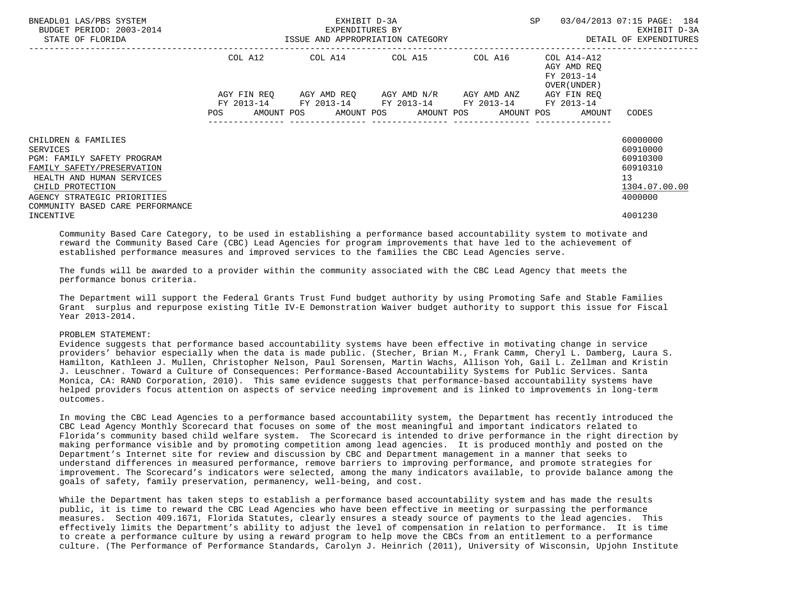| BNEADL01 LAS/PBS SYSTEM<br>BUDGET PERIOD: 2003-2014<br>STATE OF FLORIDA                                                                                                                                         | ISSUE AND APPROPRIATION CATEGORY | EXHIBIT D-3A<br>EXPENDITURES BY | SP                                                                                                        | 03/04/2013 07:15 PAGE: 184<br>EXHIBIT D-3A<br>DETAIL OF EXPENDITURES |                                                                       |                                                                                |
|-----------------------------------------------------------------------------------------------------------------------------------------------------------------------------------------------------------------|----------------------------------|---------------------------------|-----------------------------------------------------------------------------------------------------------|----------------------------------------------------------------------|-----------------------------------------------------------------------|--------------------------------------------------------------------------------|
|                                                                                                                                                                                                                 | COL A12                          |                                 | COL A14 COL A15 COL A16                                                                                   |                                                                      | COL A14-A12<br>AGY AMD REO<br>FY 2013-14<br>OVER (UNDER)              |                                                                                |
|                                                                                                                                                                                                                 |                                  |                                 | AGY FIN REQ 6GY AMD REQ 6GY AMD N/R 6GY AMD ANZ<br>FY 2013-14 FY 2013-14 FY 2013-14 FY 2013-14 FY 2013-14 |                                                                      | AGY FIN REO<br>POS AMOUNT POS AMOUNT POS AMOUNT POS AMOUNT POS AMOUNT | CODES                                                                          |
| CHILDREN & FAMILIES<br>SERVICES<br>PGM: FAMILY SAFETY PROGRAM<br>FAMILY SAFETY/PRESERVATION<br>HEALTH AND HUMAN SERVICES<br>CHILD PROTECTION<br>AGENCY STRATEGIC PRIORITIES<br>COMMUNITY BASED CARE PERFORMANCE |                                  |                                 |                                                                                                           |                                                                      |                                                                       | 60000000<br>60910000<br>60910300<br>60910310<br>13<br>1304.07.00.00<br>4000000 |
| INCENTIVE                                                                                                                                                                                                       |                                  |                                 |                                                                                                           |                                                                      |                                                                       | 4001230                                                                        |

 Community Based Care Category, to be used in establishing a performance based accountability system to motivate and reward the Community Based Care (CBC) Lead Agencies for program improvements that have led to the achievement of established performance measures and improved services to the families the CBC Lead Agencies serve.

 The funds will be awarded to a provider within the community associated with the CBC Lead Agency that meets the performance bonus criteria.

 The Department will support the Federal Grants Trust Fund budget authority by using Promoting Safe and Stable Families Grant surplus and repurpose existing Title IV-E Demonstration Waiver budget authority to support this issue for Fiscal Year 2013-2014.

## PROBLEM STATEMENT:

 Evidence suggests that performance based accountability systems have been effective in motivating change in service providers' behavior especially when the data is made public. (Stecher, Brian M., Frank Camm, Cheryl L. Damberg, Laura S. Hamilton, Kathleen J. Mullen, Christopher Nelson, Paul Sorensen, Martin Wachs, Allison Yoh, Gail L. Zellman and Kristin J. Leuschner. Toward a Culture of Consequences: Performance-Based Accountability Systems for Public Services. Santa Monica, CA: RAND Corporation, 2010). This same evidence suggests that performance-based accountability systems have helped providers focus attention on aspects of service needing improvement and is linked to improvements in long-term outcomes.

 In moving the CBC Lead Agencies to a performance based accountability system, the Department has recently introduced the CBC Lead Agency Monthly Scorecard that focuses on some of the most meaningful and important indicators related to Florida's community based child welfare system. The Scorecard is intended to drive performance in the right direction by making performance visible and by promoting competition among lead agencies. It is produced monthly and posted on the Department's Internet site for review and discussion by CBC and Department management in a manner that seeks to understand differences in measured performance, remove barriers to improving performance, and promote strategies for improvement. The Scorecard's indicators were selected, among the many indicators available, to provide balance among the goals of safety, family preservation, permanency, well-being, and cost.

 While the Department has taken steps to establish a performance based accountability system and has made the results public, it is time to reward the CBC Lead Agencies who have been effective in meeting or surpassing the performance measures. Section 409.1671, Florida Statutes, clearly ensures a steady source of payments to the lead agencies. This effectively limits the Department's ability to adjust the level of compensation in relation to performance. It is time to create a performance culture by using a reward program to help move the CBCs from an entitlement to a performance culture. (The Performance of Performance Standards, Carolyn J. Heinrich (2011), University of Wisconsin, Upjohn Institute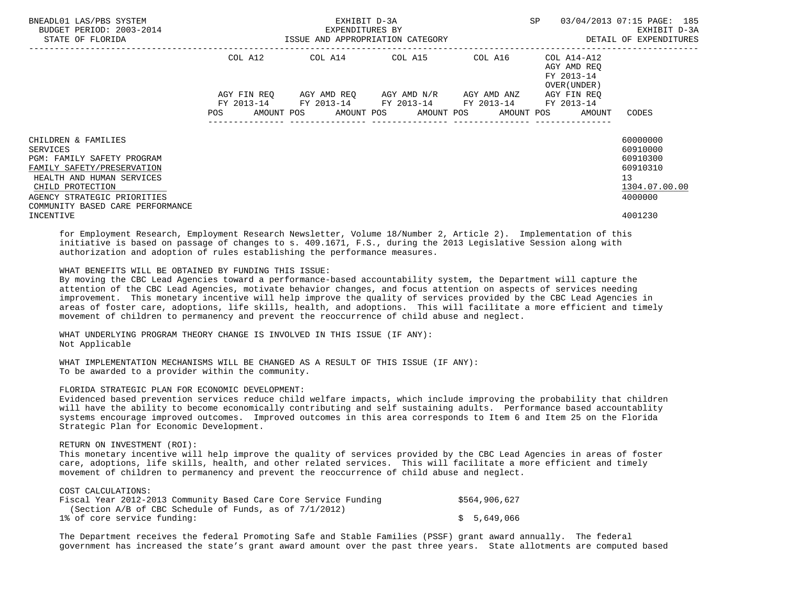| BNEADL01 LAS/PBS SYSTEM<br>BUDGET PERIOD: 2003-2014<br>STATE OF FLORIDA                                                                                                                                                | ISSUE AND APPROPRIATION CATEGORY | EXHIBIT D-3A<br>EXPENDITURES BY | SP                                                                                                        | 03/04/2013 07:15 PAGE: 185<br>EXHIBIT D-3A<br>DETAIL OF EXPENDITURES |                                                                             |                                                                                |
|------------------------------------------------------------------------------------------------------------------------------------------------------------------------------------------------------------------------|----------------------------------|---------------------------------|-----------------------------------------------------------------------------------------------------------|----------------------------------------------------------------------|-----------------------------------------------------------------------------|--------------------------------------------------------------------------------|
|                                                                                                                                                                                                                        |                                  |                                 | COL A12 COL A14 COL A15 COL A16                                                                           |                                                                      | COL A14-A12<br>AGY AMD REO<br>FY 2013-14<br>OVER (UNDER)                    |                                                                                |
|                                                                                                                                                                                                                        |                                  |                                 | AGY FIN REO AGY AMD REO AGY AMD N/R AGY AMD ANZ<br>FY 2013-14 FY 2013-14 FY 2013-14 FY 2013-14 FY 2013-14 |                                                                      | AGY FIN REO<br>POS AMOUNT POS AMOUNT POS AMOUNT POS AMOUNT POS AMOUNT CODES |                                                                                |
| CHILDREN & FAMILIES<br>SERVICES<br><b>PGM: FAMILY SAFETY PROGRAM</b><br>FAMILY SAFETY/PRESERVATION<br>HEALTH AND HUMAN SERVICES<br>CHILD PROTECTION<br>AGENCY STRATEGIC PRIORITIES<br>COMMUNITY BASED CARE PERFORMANCE |                                  |                                 |                                                                                                           |                                                                      |                                                                             | 60000000<br>60910000<br>60910300<br>60910310<br>13<br>1304.07.00.00<br>4000000 |
| INCENTIVE                                                                                                                                                                                                              |                                  |                                 |                                                                                                           |                                                                      |                                                                             | 4001230                                                                        |

 for Employment Research, Employment Research Newsletter, Volume 18/Number 2, Article 2). Implementation of this initiative is based on passage of changes to s. 409.1671, F.S., during the 2013 Legislative Session along with authorization and adoption of rules establishing the performance measures.

## WHAT BENEFITS WILL BE OBTAINED BY FUNDING THIS ISSUE:

 By moving the CBC Lead Agencies toward a performance-based accountability system, the Department will capture the attention of the CBC Lead Agencies, motivate behavior changes, and focus attention on aspects of services needing improvement. This monetary incentive will help improve the quality of services provided by the CBC Lead Agencies in areas of foster care, adoptions, life skills, health, and adoptions. This will facilitate a more efficient and timely movement of children to permanency and prevent the reoccurrence of child abuse and neglect.

 WHAT UNDERLYING PROGRAM THEORY CHANGE IS INVOLVED IN THIS ISSUE (IF ANY): Not Applicable

 WHAT IMPLEMENTATION MECHANISMS WILL BE CHANGED AS A RESULT OF THIS ISSUE (IF ANY): To be awarded to a provider within the community.

### FLORIDA STRATEGIC PLAN FOR ECONOMIC DEVELOPMENT:

 Evidenced based prevention services reduce child welfare impacts, which include improving the probability that children will have the ability to become economically contributing and self sustaining adults. Performance based accountablity systems encourage improved outcomes. Improved outcomes in this area corresponds to Item 6 and Item 25 on the Florida Strategic Plan for Economic Development.

## RETURN ON INVESTMENT (ROI):

 This monetary incentive will help improve the quality of services provided by the CBC Lead Agencies in areas of foster care, adoptions, life skills, health, and other related services. This will facilitate a more efficient and timely movement of children to permanency and prevent the reoccurrence of child abuse and neglect.

| COST CALCULATIONS:                                              |               |
|-----------------------------------------------------------------|---------------|
| Fiscal Year 2012-2013 Community Based Care Core Service Funding | \$564,906,627 |
| (Section $A/B$ of CBC Schedule of Funds, as of $7/1/2012$ )     |               |
| 1% of core service funding:                                     | \$5,649,066   |

 The Department receives the federal Promoting Safe and Stable Families (PSSF) grant award annually. The federal government has increased the state's grant award amount over the past three years. State allotments are computed based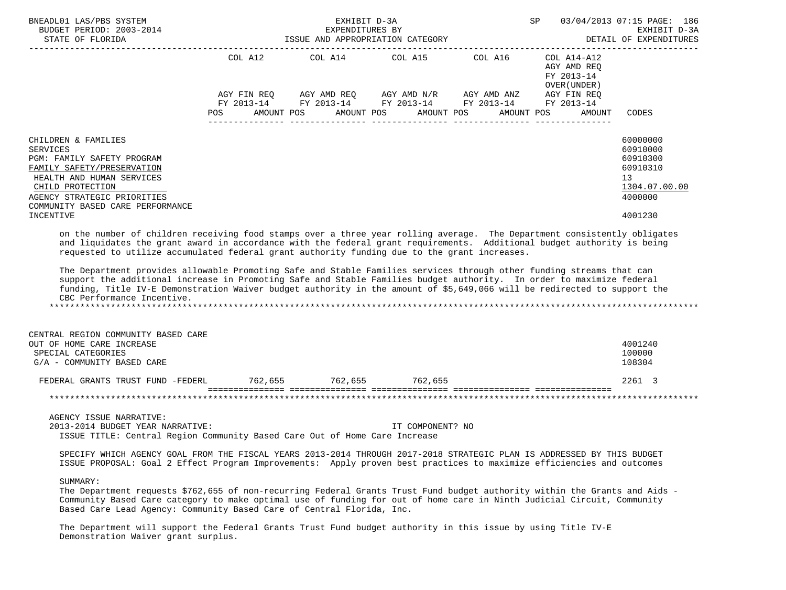| BNEADL01 LAS/PBS SYSTEM<br>BUDGET PERIOD: 2003-2014<br>STATE OF FLORIDA                                                                                                                                                                                                                                                                                                                                                                                                                                                                                                                                                                                                                                                                                                                                                                                                                                                                                                                             | EXHIBIT D-3A<br>SP 03/04/2013 07:15 PAGE: 186<br>EXPENDITURES BY<br>ISSUE AND APPROPRIATION CATEGORY |            |  |                                                                                                                                                                                               |  |  |            |  |                                                     |       | EXHIBIT D-3A<br>DETAIL OF EXPENDITURES                                                    |
|-----------------------------------------------------------------------------------------------------------------------------------------------------------------------------------------------------------------------------------------------------------------------------------------------------------------------------------------------------------------------------------------------------------------------------------------------------------------------------------------------------------------------------------------------------------------------------------------------------------------------------------------------------------------------------------------------------------------------------------------------------------------------------------------------------------------------------------------------------------------------------------------------------------------------------------------------------------------------------------------------------|------------------------------------------------------------------------------------------------------|------------|--|-----------------------------------------------------------------------------------------------------------------------------------------------------------------------------------------------|--|--|------------|--|-----------------------------------------------------|-------|-------------------------------------------------------------------------------------------|
|                                                                                                                                                                                                                                                                                                                                                                                                                                                                                                                                                                                                                                                                                                                                                                                                                                                                                                                                                                                                     | POS                                                                                                  | AMOUNT POS |  | COL A12 COL A14 COL A15 COL A16 COL A14-A12<br>AGY FIN REQ AGY AMD REQ AGY AMD N/R AGY AMD ANZ AGY FIN REQ<br>FY 2013-14 FY 2013-14 FY 2013-14 FY 2013-14 FY 2013-14<br>AMOUNT POS AMOUNT POS |  |  | AMOUNT POS |  | AGY AMD REO<br>FY 2013-14<br>OVER (UNDER)<br>AMOUNT | CODES |                                                                                           |
| CHILDREN & FAMILIES<br><b>SERVICES</b><br>PGM: FAMILY SAFETY PROGRAM<br>FAMILY SAFETY/PRESERVATION<br>HEALTH AND HUMAN SERVICES<br>CHILD PROTECTION<br>AGENCY STRATEGIC PRIORITIES<br>COMMUNITY BASED CARE PERFORMANCE<br>INCENTIVE<br>on the number of children receiving food stamps over a three year rolling average. The Department consistently obligates<br>and liquidates the grant award in accordance with the federal grant requirements. Additional budget authority is being<br>requested to utilize accumulated federal grant authority funding due to the grant increases.<br>The Department provides allowable Promoting Safe and Stable Families services through other funding streams that can<br>support the additional increase in Promoting Safe and Stable Families budget authority. In order to maximize federal<br>funding, Title IV-E Demonstration Waiver budget authority in the amount of \$5,649,066 will be redirected to support the<br>CBC Performance Incentive. |                                                                                                      |            |  |                                                                                                                                                                                               |  |  |            |  |                                                     |       | 60000000<br>60910000<br>60910300<br>60910310<br>13<br>1304.07.00.00<br>4000000<br>4001230 |
| CENTRAL REGION COMMUNITY BASED CARE<br>OUT OF HOME CARE INCREASE<br>SPECIAL CATEGORIES<br>G/A - COMMUNITY BASED CARE                                                                                                                                                                                                                                                                                                                                                                                                                                                                                                                                                                                                                                                                                                                                                                                                                                                                                |                                                                                                      |            |  |                                                                                                                                                                                               |  |  |            |  |                                                     |       | 4001240<br>100000<br>108304                                                               |

 FEDERAL GRANTS TRUST FUND -FEDERL 762,655 762,655 762,655 2261 3 =============== =============== =============== =============== =============== \*\*\*\*\*\*\*\*\*\*\*\*\*\*\*\*\*\*\*\*\*\*\*\*\*\*\*\*\*\*\*\*\*\*\*\*\*\*\*\*\*\*\*\*\*\*\*\*\*\*\*\*\*\*\*\*\*\*\*\*\*\*\*\*\*\*\*\*\*\*\*\*\*\*\*\*\*\*\*\*\*\*\*\*\*\*\*\*\*\*\*\*\*\*\*\*\*\*\*\*\*\*\*\*\*\*\*\*\*\*\*\*\*\*\*\*\*\*\*\*\*\*\*\*\*\*\*

 AGENCY ISSUE NARRATIVE: 2013-2014 BUDGET YEAR NARRATIVE: IT COMPONENT? NO ISSUE TITLE: Central Region Community Based Care Out of Home Care Increase

 SPECIFY WHICH AGENCY GOAL FROM THE FISCAL YEARS 2013-2014 THROUGH 2017-2018 STRATEGIC PLAN IS ADDRESSED BY THIS BUDGET ISSUE PROPOSAL: Goal 2 Effect Program Improvements: Apply proven best practices to maximize efficiencies and outcomes

## SUMMARY:

 The Department requests \$762,655 of non-recurring Federal Grants Trust Fund budget authority within the Grants and Aids - Community Based Care category to make optimal use of funding for out of home care in Ninth Judicial Circuit, Community Based Care Lead Agency: Community Based Care of Central Florida, Inc.

 The Department will support the Federal Grants Trust Fund budget authority in this issue by using Title IV-E Demonstration Waiver grant surplus.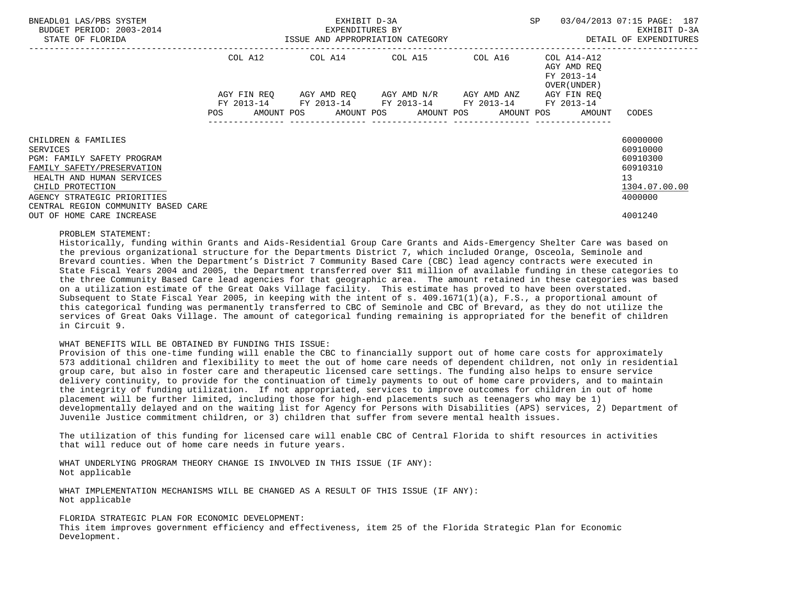| BNEADL01 LAS/PBS SYSTEM<br>BUDGET PERIOD: 2003-2014                                                       | SP<br>EXHIBIT D-3A<br>EXPENDITURES BY |             |  |                                                                                                           |  |  |  |  |  |                                                                       | 03/04/2013 07:15 PAGE: 187<br>EXHIBIT D-3A               |
|-----------------------------------------------------------------------------------------------------------|---------------------------------------|-------------|--|-----------------------------------------------------------------------------------------------------------|--|--|--|--|--|-----------------------------------------------------------------------|----------------------------------------------------------|
| STATE OF FLORIDA                                                                                          | ISSUE AND APPROPRIATION CATEGORY      |             |  |                                                                                                           |  |  |  |  |  |                                                                       | DETAIL OF EXPENDITURES                                   |
|                                                                                                           |                                       | COL A12     |  | COL A14 COL A15 COL A16                                                                                   |  |  |  |  |  | COL A14-A12<br>AGY AMD REO<br>FY 2013-14<br>OVER (UNDER )             |                                                          |
|                                                                                                           |                                       | AGY FIN REO |  | AGY AMD REQ       AGY AMD N/R       AGY AMD ANZ<br>FY 2013-14 FY 2013-14 FY 2013-14 FY 2013-14 FY 2013-14 |  |  |  |  |  | AGY FIN REO<br>POS AMOUNT POS AMOUNT POS AMOUNT POS AMOUNT POS AMOUNT | CODES                                                    |
|                                                                                                           |                                       |             |  |                                                                                                           |  |  |  |  |  |                                                                       |                                                          |
| CHILDREN & FAMILIES<br>SERVICES                                                                           |                                       |             |  |                                                                                                           |  |  |  |  |  |                                                                       | 60000000<br>60910000                                     |
| PGM: FAMILY SAFETY PROGRAM<br>FAMILY SAFETY/PRESERVATION<br>HEALTH AND HUMAN SERVICES<br>CHILD PROTECTION |                                       |             |  |                                                                                                           |  |  |  |  |  |                                                                       | 60910300<br>60910310<br>13 <sup>°</sup><br>1304.07.00.00 |
| AGENCY STRATEGIC PRIORITIES                                                                               |                                       |             |  |                                                                                                           |  |  |  |  |  |                                                                       | 4000000                                                  |
| CENTRAL REGION COMMUNITY BASED CARE<br>OUT OF HOME CARE INCREASE                                          |                                       |             |  |                                                                                                           |  |  |  |  |  |                                                                       | 4001240                                                  |

#### PROBLEM STATEMENT:

 Historically, funding within Grants and Aids-Residential Group Care Grants and Aids-Emergency Shelter Care was based on the previous organizational structure for the Departments District 7, which included Orange, Osceola, Seminole and Brevard counties. When the Department's District 7 Community Based Care (CBC) lead agency contracts were executed in State Fiscal Years 2004 and 2005, the Department transferred over \$11 million of available funding in these categories to the three Community Based Care lead agencies for that geographic area. The amount retained in these categories was based on a utilization estimate of the Great Oaks Village facility. This estimate has proved to have been overstated. Subsequent to State Fiscal Year 2005, in keeping with the intent of s. 409.1671(1)(a), F.S., a proportional amount of this categorical funding was permanently transferred to CBC of Seminole and CBC of Brevard, as they do not utilize the services of Great Oaks Village. The amount of categorical funding remaining is appropriated for the benefit of children in Circuit 9.

#### WHAT BENEFITS WILL BE OBTAINED BY FUNDING THIS ISSUE:

 Provision of this one-time funding will enable the CBC to financially support out of home care costs for approximately 573 additional children and flexibility to meet the out of home care needs of dependent children, not only in residential group care, but also in foster care and therapeutic licensed care settings. The funding also helps to ensure service delivery continuity, to provide for the continuation of timely payments to out of home care providers, and to maintain the integrity of funding utilization. If not appropriated, services to improve outcomes for children in out of home placement will be further limited, including those for high-end placements such as teenagers who may be 1) developmentally delayed and on the waiting list for Agency for Persons with Disabilities (APS) services, 2) Department of Juvenile Justice commitment children, or 3) children that suffer from severe mental health issues.

 The utilization of this funding for licensed care will enable CBC of Central Florida to shift resources in activities that will reduce out of home care needs in future years.

 WHAT UNDERLYING PROGRAM THEORY CHANGE IS INVOLVED IN THIS ISSUE (IF ANY): Not applicable

 WHAT IMPLEMENTATION MECHANISMS WILL BE CHANGED AS A RESULT OF THIS ISSUE (IF ANY): Not applicable

FLORIDA STRATEGIC PLAN FOR ECONOMIC DEVELOPMENT:

 This item improves government efficiency and effectiveness, item 25 of the Florida Strategic Plan for Economic Development.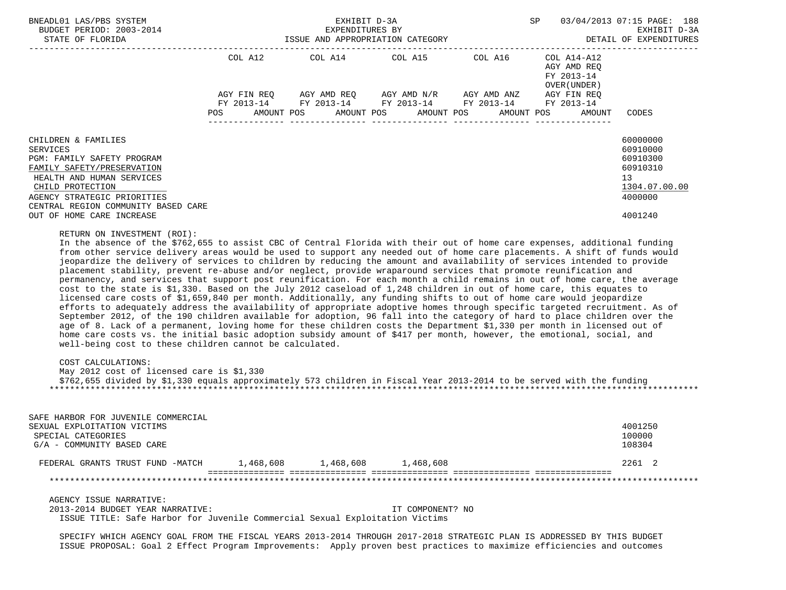| BNEADL01 LAS/PBS SYSTEM<br>BUDGET PERIOD: 2003-2014                                                                                                                                                                                                                                                                                                                                                                                                                                                                                                                                                                                                                                                                                                                                                                                                                                                                                                                                                                                                                                                                                                                                                                                                                                                                                                                                                                                                                                                                                                                                                                                                   |           | SP         | 03/04/2013 07:15 PAGE: 188<br>EXHIBIT D-3A<br>DETAIL OF EXPENDITURES |                                                                                                                         |                                                          |                                                                                           |
|-------------------------------------------------------------------------------------------------------------------------------------------------------------------------------------------------------------------------------------------------------------------------------------------------------------------------------------------------------------------------------------------------------------------------------------------------------------------------------------------------------------------------------------------------------------------------------------------------------------------------------------------------------------------------------------------------------------------------------------------------------------------------------------------------------------------------------------------------------------------------------------------------------------------------------------------------------------------------------------------------------------------------------------------------------------------------------------------------------------------------------------------------------------------------------------------------------------------------------------------------------------------------------------------------------------------------------------------------------------------------------------------------------------------------------------------------------------------------------------------------------------------------------------------------------------------------------------------------------------------------------------------------------|-----------|------------|----------------------------------------------------------------------|-------------------------------------------------------------------------------------------------------------------------|----------------------------------------------------------|-------------------------------------------------------------------------------------------|
|                                                                                                                                                                                                                                                                                                                                                                                                                                                                                                                                                                                                                                                                                                                                                                                                                                                                                                                                                                                                                                                                                                                                                                                                                                                                                                                                                                                                                                                                                                                                                                                                                                                       |           |            |                                                                      | COL A12 COL A14 COL A15 COL A16                                                                                         | COL A14-A12<br>AGY AMD REQ<br>FY 2013-14<br>OVER (UNDER) |                                                                                           |
|                                                                                                                                                                                                                                                                                                                                                                                                                                                                                                                                                                                                                                                                                                                                                                                                                                                                                                                                                                                                                                                                                                                                                                                                                                                                                                                                                                                                                                                                                                                                                                                                                                                       | POS       | AMOUNT POS | AMOUNT POS AMOUNT POS                                                | AGY FIN REQ AGY AMD REQ AGY AMD N/R AGY AMD ANZ<br>FY 2013-14 FY 2013-14 FY 2013-14 FY 2013-14 FY 2013-14<br>AMOUNT POS | AGY FIN REQ<br>AMOUNT                                    | CODES                                                                                     |
| CHILDREN & FAMILIES<br><b>SERVICES</b><br>PGM: FAMILY SAFETY PROGRAM<br>FAMILY SAFETY/PRESERVATION<br>HEALTH AND HUMAN SERVICES<br>CHILD PROTECTION<br>AGENCY STRATEGIC PRIORITIES<br>CENTRAL REGION COMMUNITY BASED CARE<br>OUT OF HOME CARE INCREASE                                                                                                                                                                                                                                                                                                                                                                                                                                                                                                                                                                                                                                                                                                                                                                                                                                                                                                                                                                                                                                                                                                                                                                                                                                                                                                                                                                                                |           |            |                                                                      |                                                                                                                         |                                                          | 60000000<br>60910000<br>60910300<br>60910310<br>13<br>1304.07.00.00<br>4000000<br>4001240 |
| In the absence of the \$762,655 to assist CBC of Central Florida with their out of home care expenses, additional funding<br>from other service delivery areas would be used to support any needed out of home care placements. A shift of funds would<br>jeopardize the delivery of services to children by reducing the amount and availability of services intended to provide<br>placement stability, prevent re-abuse and/or neglect, provide wraparound services that promote reunification and<br>permanency, and services that support post reunification. For each month a child remains in out of home care, the average<br>cost to the state is \$1,330. Based on the July 2012 caseload of 1,248 children in out of home care, this equates to<br>licensed care costs of \$1,659,840 per month. Additionally, any funding shifts to out of home care would jeopardize<br>efforts to adequately address the availability of appropriate adoptive homes through specific targeted recruitment. As of<br>September 2012, of the 190 children available for adoption, 96 fall into the category of hard to place children over the<br>age of 8. Lack of a permanent, loving home for these children costs the Department \$1,330 per month in licensed out of<br>home care costs vs. the initial basic adoption subsidy amount of \$417 per month, however, the emotional, social, and<br>well-being cost to these children cannot be calculated.<br>COST CALCULATIONS:<br>May 2012 cost of licensed care is \$1,330<br>\$762,655 divided by \$1,330 equals approximately 573 children in Fiscal Year 2013-2014 to be served with the funding |           |            |                                                                      |                                                                                                                         |                                                          |                                                                                           |
| SAFE HARBOR FOR JUVENILE COMMERCIAL<br>SEXUAL EXPLOITATION VICTIMS<br>SPECIAL CATEGORIES<br>G/A - COMMUNITY BASED CARE                                                                                                                                                                                                                                                                                                                                                                                                                                                                                                                                                                                                                                                                                                                                                                                                                                                                                                                                                                                                                                                                                                                                                                                                                                                                                                                                                                                                                                                                                                                                |           |            |                                                                      |                                                                                                                         |                                                          | 4001250<br>100000<br>108304                                                               |
| FEDERAL GRANTS TRUST FUND -MATCH                                                                                                                                                                                                                                                                                                                                                                                                                                                                                                                                                                                                                                                                                                                                                                                                                                                                                                                                                                                                                                                                                                                                                                                                                                                                                                                                                                                                                                                                                                                                                                                                                      | 1,468,608 | 1,468,608  | 1,468,608                                                            |                                                                                                                         |                                                          | 2261 2                                                                                    |
|                                                                                                                                                                                                                                                                                                                                                                                                                                                                                                                                                                                                                                                                                                                                                                                                                                                                                                                                                                                                                                                                                                                                                                                                                                                                                                                                                                                                                                                                                                                                                                                                                                                       |           |            |                                                                      |                                                                                                                         |                                                          |                                                                                           |
| AGENCY ISSUE NARRATIVE:<br>2013-2014 BUDGET YEAR NARRATIVE:                                                                                                                                                                                                                                                                                                                                                                                                                                                                                                                                                                                                                                                                                                                                                                                                                                                                                                                                                                                                                                                                                                                                                                                                                                                                                                                                                                                                                                                                                                                                                                                           |           |            | IT COMPONENT? NO                                                     |                                                                                                                         |                                                          |                                                                                           |

ISSUE TITLE: Safe Harbor for Juvenile Commercial Sexual Exploitation Victims

 SPECIFY WHICH AGENCY GOAL FROM THE FISCAL YEARS 2013-2014 THROUGH 2017-2018 STRATEGIC PLAN IS ADDRESSED BY THIS BUDGET ISSUE PROPOSAL: Goal 2 Effect Program Improvements: Apply proven best practices to maximize efficiencies and outcomes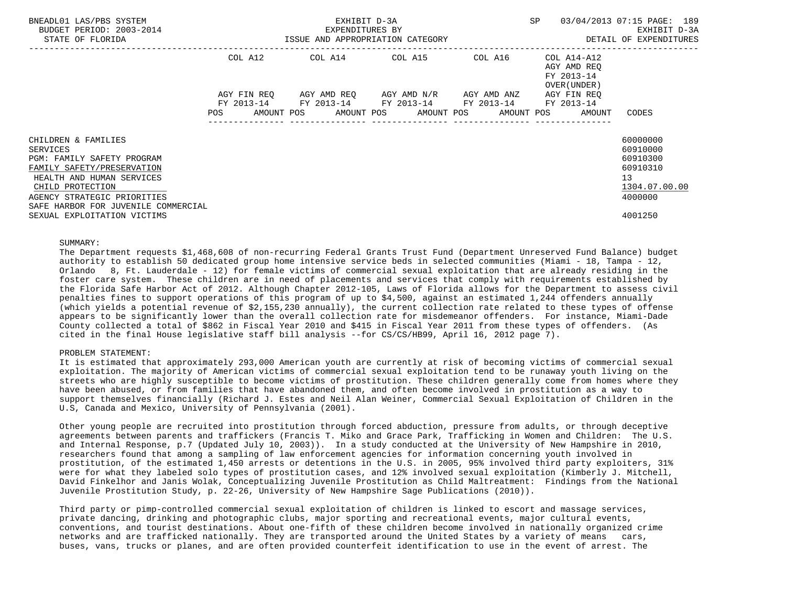| BNEADL01 LAS/PBS SYSTEM<br>BUDGET PERIOD: 2003-2014<br>STATE OF FLORIDA     | EXHIBIT D-3A<br>EXPENDITURES BY<br>ISSUE AND APPROPRIATION CATEGORY |             |  |                                                                                        |  |  |  |  | SP |                                                          | 03/04/2013 07:15 PAGE: 189<br>EXHIBIT D-3A<br>DETAIL OF EXPENDITURES |  |
|-----------------------------------------------------------------------------|---------------------------------------------------------------------|-------------|--|----------------------------------------------------------------------------------------|--|--|--|--|----|----------------------------------------------------------|----------------------------------------------------------------------|--|
|                                                                             | COL A12                                                             |             |  | COL A14 COL A15 COL A16                                                                |  |  |  |  |    | COL A14-A12<br>AGY AMD REO<br>FY 2013-14<br>OVER (UNDER) |                                                                      |  |
|                                                                             |                                                                     | AGY FIN REO |  | AGY AMD REO     AGY AMD N/R     AGY AMD ANZ                                            |  |  |  |  |    | AGY FIN REO                                              |                                                                      |  |
|                                                                             | FY 2013-14<br><b>POS</b>                                            |             |  | FY 2013-14 FY 2013-14 FY 2013-14<br>AMOUNT POS AMOUNT POS AMOUNT POS AMOUNT POS AMOUNT |  |  |  |  |    | FY 2013-14                                               | CODES                                                                |  |
| CHILDREN & FAMILIES<br><b>SERVICES</b>                                      |                                                                     |             |  |                                                                                        |  |  |  |  |    |                                                          | 60000000<br>60910000                                                 |  |
| PGM: FAMILY SAFETY PROGRAM                                                  |                                                                     |             |  |                                                                                        |  |  |  |  |    |                                                          | 60910300                                                             |  |
| FAMILY SAFETY/PRESERVATION<br>HEALTH AND HUMAN SERVICES<br>CHILD PROTECTION |                                                                     |             |  |                                                                                        |  |  |  |  |    |                                                          | 60910310<br>13 <sup>°</sup><br>1304.07.00.00                         |  |
| AGENCY STRATEGIC PRIORITIES                                                 |                                                                     |             |  |                                                                                        |  |  |  |  |    |                                                          | 4000000                                                              |  |
| SAFE HARBOR FOR JUVENILE COMMERCIAL<br>SEXUAL EXPLOITATION VICTIMS          |                                                                     |             |  |                                                                                        |  |  |  |  |    |                                                          | 4001250                                                              |  |

#### SUMMARY:

 The Department requests \$1,468,608 of non-recurring Federal Grants Trust Fund (Department Unreserved Fund Balance) budget authority to establish 50 dedicated group home intensive service beds in selected communities (Miami - 18, Tampa - 12, Orlando 8, Ft. Lauderdale - 12) for female victims of commercial sexual exploitation that are already residing in the foster care system. These children are in need of placements and services that comply with requirements established by the Florida Safe Harbor Act of 2012. Although Chapter 2012-105, Laws of Florida allows for the Department to assess civil penalties fines to support operations of this program of up to \$4,500, against an estimated 1,244 offenders annually (which yields a potential revenue of \$2,155,230 annually), the current collection rate related to these types of offense appears to be significantly lower than the overall collection rate for misdemeanor offenders. For instance, Miami-Dade County collected a total of \$862 in Fiscal Year 2010 and \$415 in Fiscal Year 2011 from these types of offenders. (As cited in the final House legislative staff bill analysis --for CS/CS/HB99, April 16, 2012 page 7).

## PROBLEM STATEMENT:

 It is estimated that approximately 293,000 American youth are currently at risk of becoming victims of commercial sexual exploitation. The majority of American victims of commercial sexual exploitation tend to be runaway youth living on the streets who are highly susceptible to become victims of prostitution. These children generally come from homes where they have been abused, or from families that have abandoned them, and often become involved in prostitution as a way to support themselves financially (Richard J. Estes and Neil Alan Weiner, Commercial Sexual Exploitation of Children in the U.S, Canada and Mexico, University of Pennsylvania (2001).

 Other young people are recruited into prostitution through forced abduction, pressure from adults, or through deceptive agreements between parents and traffickers (Francis T. Miko and Grace Park, Trafficking in Women and Children: The U.S. and Internal Response, p.7 (Updated July 10, 2003)). In a study conducted at the University of New Hampshire in 2010, researchers found that among a sampling of law enforcement agencies for information concerning youth involved in prostitution, of the estimated 1,450 arrests or detentions in the U.S. in 2005, 95% involved third party exploiters, 31% were for what they labeled solo types of prostitution cases, and 12% involved sexual exploitation (Kimberly J. Mitchell, David Finkelhor and Janis Wolak, Conceptualizing Juvenile Prostitution as Child Maltreatment: Findings from the National Juvenile Prostitution Study, p. 22-26, University of New Hampshire Sage Publications (2010)).

 Third party or pimp-controlled commercial sexual exploitation of children is linked to escort and massage services, private dancing, drinking and photographic clubs, major sporting and recreational events, major cultural events, conventions, and tourist destinations. About one-fifth of these children become involved in nationally organized crime networks and are trafficked nationally. They are transported around the United States by a variety of means cars, buses, vans, trucks or planes, and are often provided counterfeit identification to use in the event of arrest. The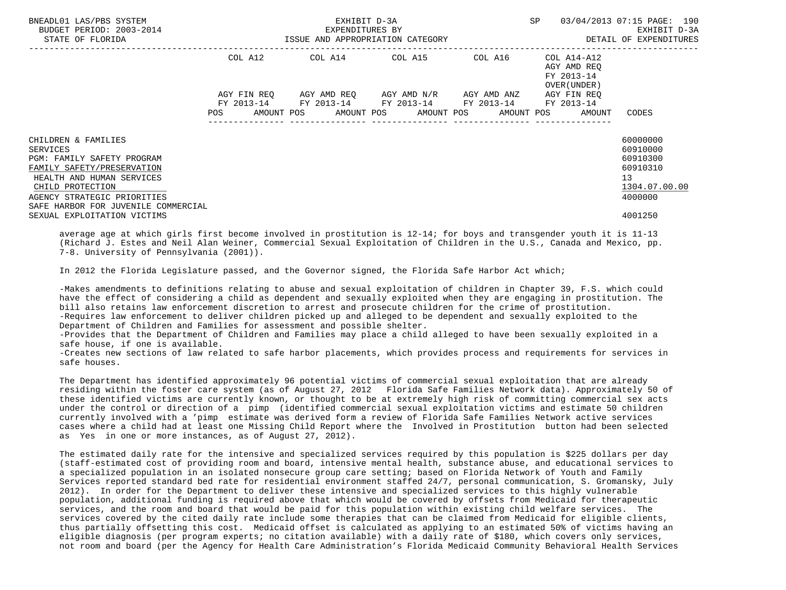| BNEADL01 LAS/PBS SYSTEM<br>BUDGET PERIOD: 2003-2014<br>STATE OF FLORIDA                                                                             |                                                                                                                                             | EXHIBIT D-3A<br>EXPENDITURES BY<br>ISSUE AND APPROPRIATION CATEGORY | <b>SP</b>                           | 03/04/2013 07:15 PAGE: 190<br>EXHIBIT D-3A<br>DETAIL OF EXPENDITURES |                                                                   |                                                                     |
|-----------------------------------------------------------------------------------------------------------------------------------------------------|---------------------------------------------------------------------------------------------------------------------------------------------|---------------------------------------------------------------------|-------------------------------------|----------------------------------------------------------------------|-------------------------------------------------------------------|---------------------------------------------------------------------|
|                                                                                                                                                     | COL A12                                                                                                                                     | COL A14 COL A15 COL A16                                             |                                     |                                                                      | COL A14-A12<br>AGY AMD REO<br>FY 2013-14<br>OVER (UNDER )         |                                                                     |
|                                                                                                                                                     | AGY FIN REO<br>FY 2013-14<br>POS FOR THE POST OF THE STATE STATE STATE STATE STATE STATE STATE STATE STATE STATE STATE STATE STATE STATE ST | FY 2013-14 FY 2013-14 FY 2013-14 FY 2013-14                         | AGY AMD REO AGY AMD N/R AGY AMD ANZ |                                                                      | AGY FIN REO<br>AMOUNT POS AMOUNT POS AMOUNT POS AMOUNT POS AMOUNT | CODES                                                               |
| CHILDREN & FAMILIES<br><b>SERVICES</b><br>PGM: FAMILY SAFETY PROGRAM<br>FAMILY SAFETY/PRESERVATION<br>HEALTH AND HUMAN SERVICES<br>CHILD PROTECTION |                                                                                                                                             |                                                                     |                                     |                                                                      |                                                                   | 60000000<br>60910000<br>60910300<br>60910310<br>13<br>1304.07.00.00 |
| AGENCY STRATEGIC PRIORITIES<br>SAFE HARBOR FOR JUVENILE COMMERCIAL<br>SEXUAL EXPLOITATION VICTIMS                                                   |                                                                                                                                             |                                                                     |                                     |                                                                      |                                                                   | 4000000<br>4001250                                                  |

 average age at which girls first become involved in prostitution is 12-14; for boys and transgender youth it is 11-13 (Richard J. Estes and Neil Alan Weiner, Commercial Sexual Exploitation of Children in the U.S., Canada and Mexico, pp. 7-8. University of Pennsylvania (2001)).

In 2012 the Florida Legislature passed, and the Governor signed, the Florida Safe Harbor Act which;

 -Makes amendments to definitions relating to abuse and sexual exploitation of children in Chapter 39, F.S. which could have the effect of considering a child as dependent and sexually exploited when they are engaging in prostitution. The bill also retains law enforcement discretion to arrest and prosecute children for the crime of prostitution. -Requires law enforcement to deliver children picked up and alleged to be dependent and sexually exploited to the Department of Children and Families for assessment and possible shelter.

 -Provides that the Department of Children and Families may place a child alleged to have been sexually exploited in a safe house, if one is available.

 -Creates new sections of law related to safe harbor placements, which provides process and requirements for services in safe houses.

 The Department has identified approximately 96 potential victims of commercial sexual exploitation that are already residing within the foster care system (as of August 27, 2012 Florida Safe Families Network data). Approximately 50 of these identified victims are currently known, or thought to be at extremely high risk of committing commercial sex acts under the control or direction of a pimp (identified commercial sexual exploitation victims and estimate 50 children currently involved with a 'pimp estimate was derived form a review of Florida Safe Families Network active services cases where a child had at least one Missing Child Report where the Involved in Prostitution button had been selected as Yes in one or more instances, as of August 27, 2012).

 The estimated daily rate for the intensive and specialized services required by this population is \$225 dollars per day (staff-estimated cost of providing room and board, intensive mental health, substance abuse, and educational services to a specialized population in an isolated nonsecure group care setting; based on Florida Network of Youth and Family Services reported standard bed rate for residential environment staffed 24/7, personal communication, S. Gromansky, July 2012). In order for the Department to deliver these intensive and specialized services to this highly vulnerable population, additional funding is required above that which would be covered by offsets from Medicaid for therapeutic services, and the room and board that would be paid for this population within existing child welfare services. The services covered by the cited daily rate include some therapies that can be claimed from Medicaid for eligible clients, thus partially offsetting this cost. Medicaid offset is calculated as applying to an estimated 50% of victims having an eligible diagnosis (per program experts; no citation available) with a daily rate of \$180, which covers only services, not room and board (per the Agency for Health Care Administration's Florida Medicaid Community Behavioral Health Services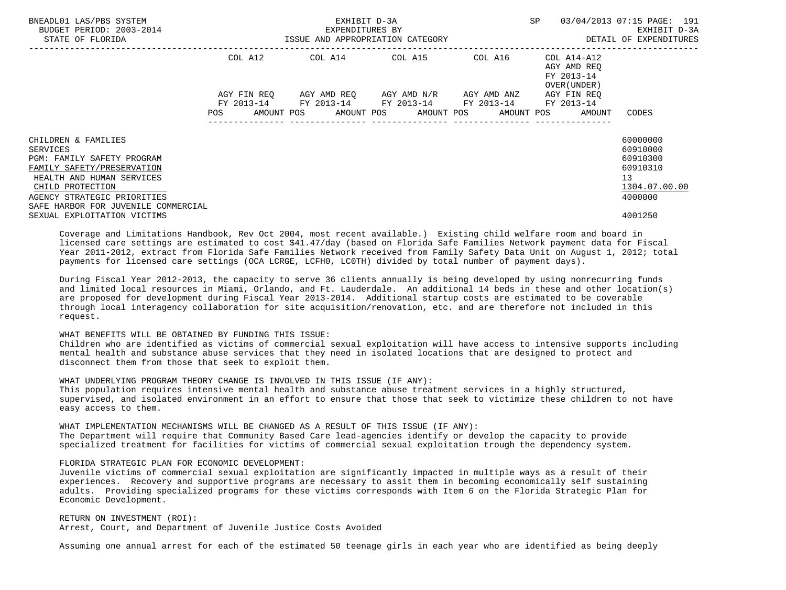| BNEADL01 LAS/PBS SYSTEM<br>BUDGET PERIOD: 2003-2014<br>STATE OF FLORIDA                                                                                                                                                   | EXHIBIT D-3A<br>EXPENDITURES BY<br>ISSUE AND APPROPRIATION CATEGORY |         |  |                                                                                                                                                                     |  |  |  | SP |  | 03/04/2013 07:15 PAGE: 191<br>EXHIBIT D-3A<br>DETAIL OF EXPENDITURES |                                                                                |
|---------------------------------------------------------------------------------------------------------------------------------------------------------------------------------------------------------------------------|---------------------------------------------------------------------|---------|--|---------------------------------------------------------------------------------------------------------------------------------------------------------------------|--|--|--|----|--|----------------------------------------------------------------------|--------------------------------------------------------------------------------|
|                                                                                                                                                                                                                           |                                                                     | COL A12 |  |                                                                                                                                                                     |  |  |  |    |  | AGY AMD REO<br>FY 2013-14<br>OVER (UNDER )                           |                                                                                |
|                                                                                                                                                                                                                           |                                                                     |         |  | AGY FIN REO AGY AMD REO AGY AMD N/R AGY AMD ANZ<br>FY 2013-14 FY 2013-14 FY 2013-14 FY 2013-14 FY 2013-14<br>POS AMOUNT POS AMOUNT POS AMOUNT POS AMOUNT POS AMOUNT |  |  |  |    |  | AGY FIN REO                                                          | CODES                                                                          |
| CHILDREN & FAMILIES<br><b>SERVICES</b><br>PGM: FAMILY SAFETY PROGRAM<br>FAMILY SAFETY/PRESERVATION<br>HEALTH AND HUMAN SERVICES<br>CHILD PROTECTION<br>AGENCY STRATEGIC PRIORITIES<br>SAFE HARBOR FOR JUVENILE COMMERCIAL |                                                                     |         |  |                                                                                                                                                                     |  |  |  |    |  |                                                                      | 60000000<br>60910000<br>60910300<br>60910310<br>13<br>1304.07.00.00<br>4000000 |
| SEXUAL EXPLOITATION VICTIMS                                                                                                                                                                                               |                                                                     |         |  |                                                                                                                                                                     |  |  |  |    |  |                                                                      | 4001250                                                                        |

 Coverage and Limitations Handbook, Rev Oct 2004, most recent available.) Existing child welfare room and board in licensed care settings are estimated to cost \$41.47/day (based on Florida Safe Families Network payment data for Fiscal Year 2011-2012, extract from Florida Safe Families Network received from Family Safety Data Unit on August 1, 2012; total payments for licensed care settings (OCA LCRGE, LCFH0, LC0TH) divided by total number of payment days).

 During Fiscal Year 2012-2013, the capacity to serve 36 clients annually is being developed by using nonrecurring funds and limited local resources in Miami, Orlando, and Ft. Lauderdale. An additional 14 beds in these and other location(s) are proposed for development during Fiscal Year 2013-2014. Additional startup costs are estimated to be coverable through local interagency collaboration for site acquisition/renovation, etc. and are therefore not included in this request.

## WHAT BENEFITS WILL BE OBTAINED BY FUNDING THIS ISSUE:

 Children who are identified as victims of commercial sexual exploitation will have access to intensive supports including mental health and substance abuse services that they need in isolated locations that are designed to protect and disconnect them from those that seek to exploit them.

 WHAT UNDERLYING PROGRAM THEORY CHANGE IS INVOLVED IN THIS ISSUE (IF ANY): This population requires intensive mental health and substance abuse treatment services in a highly structured, supervised, and isolated environment in an effort to ensure that those that seek to victimize these children to not have

 easy access to them. WHAT IMPLEMENTATION MECHANISMS WILL BE CHANGED AS A RESULT OF THIS ISSUE (IF ANY): The Department will require that Community Based Care lead-agencies identify or develop the capacity to provide

specialized treatment for facilities for victims of commercial sexual exploitation trough the dependency system.

### FLORIDA STRATEGIC PLAN FOR ECONOMIC DEVELOPMENT:

 Juvenile victims of commercial sexual exploitation are significantly impacted in multiple ways as a result of their experiences. Recovery and supportive programs are necessary to assit them in becoming economically self sustaining adults. Providing specialized programs for these victims corresponds with Item 6 on the Florida Strategic Plan for Economic Development.

 RETURN ON INVESTMENT (ROI): Arrest, Court, and Department of Juvenile Justice Costs Avoided

Assuming one annual arrest for each of the estimated 50 teenage girls in each year who are identified as being deeply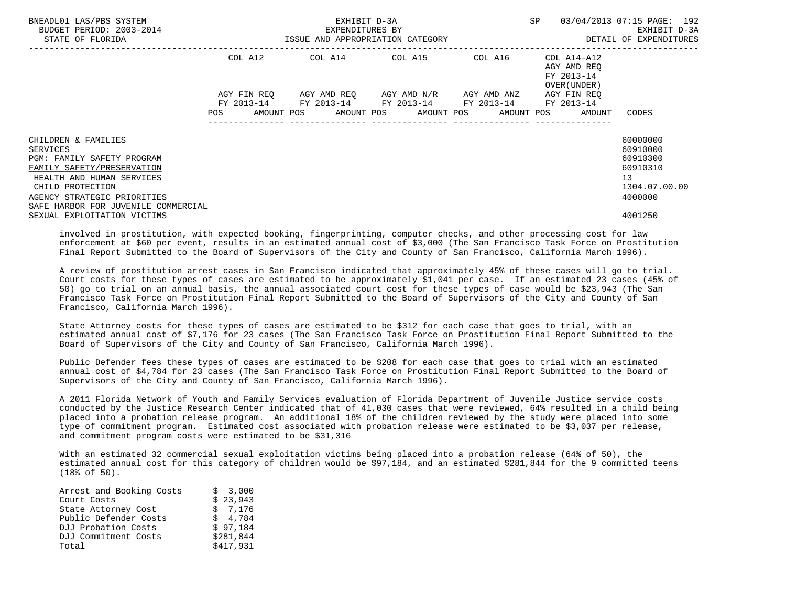| BNEADL01 LAS/PBS SYSTEM<br>BUDGET PERIOD: 2003-2014<br>STATE OF FLORIDA                                                                                                            | ISSUE AND APPROPRIATION CATEGORY | EXHIBIT D-3A<br>EXPENDITURES BY                                                                           | SP | 03/04/2013 07:15 PAGE: 192<br>EXHIBIT D-3A<br>DETAIL OF EXPENDITURES  |                                                                                |
|------------------------------------------------------------------------------------------------------------------------------------------------------------------------------------|----------------------------------|-----------------------------------------------------------------------------------------------------------|----|-----------------------------------------------------------------------|--------------------------------------------------------------------------------|
|                                                                                                                                                                                    |                                  | COL A12 COL A14 COL A15 COL A16 COL A14-A12                                                               |    | AGY AMD REO<br>FY 2013-14<br>OVER (UNDER )                            |                                                                                |
|                                                                                                                                                                                    |                                  | AGY FIN REQ AGY AMD REQ AGY AMD N/R AGY AMD ANZ<br>FY 2013-14 FY 2013-14 FY 2013-14 FY 2013-14 FY 2013-14 |    | AGY FIN REO<br>POS AMOUNT POS AMOUNT POS AMOUNT POS AMOUNT POS AMOUNT | CODES                                                                          |
| CHILDREN & FAMILIES<br><b>SERVICES</b><br>PGM: FAMILY SAFETY PROGRAM<br>FAMILY SAFETY/PRESERVATION<br>HEALTH AND HUMAN SERVICES<br>CHILD PROTECTION<br>AGENCY STRATEGIC PRIORITIES |                                  |                                                                                                           |    |                                                                       | 60000000<br>60910000<br>60910300<br>60910310<br>13<br>1304.07.00.00<br>4000000 |
| SAFE HARBOR FOR JUVENILE COMMERCIAL<br>SEXUAL EXPLOITATION VICTIMS                                                                                                                 |                                  |                                                                                                           |    |                                                                       | 4001250                                                                        |

 involved in prostitution, with expected booking, fingerprinting, computer checks, and other processing cost for law enforcement at \$60 per event, results in an estimated annual cost of \$3,000 (The San Francisco Task Force on Prostitution Final Report Submitted to the Board of Supervisors of the City and County of San Francisco, California March 1996).

 A review of prostitution arrest cases in San Francisco indicated that approximately 45% of these cases will go to trial. Court costs for these types of cases are estimated to be approximately \$1,041 per case. If an estimated 23 cases (45% of 50) go to trial on an annual basis, the annual associated court cost for these types of case would be \$23,943 (The San Francisco Task Force on Prostitution Final Report Submitted to the Board of Supervisors of the City and County of San Francisco, California March 1996).

 State Attorney costs for these types of cases are estimated to be \$312 for each case that goes to trial, with an estimated annual cost of \$7,176 for 23 cases (The San Francisco Task Force on Prostitution Final Report Submitted to the Board of Supervisors of the City and County of San Francisco, California March 1996).

 Public Defender fees these types of cases are estimated to be \$208 for each case that goes to trial with an estimated annual cost of \$4,784 for 23 cases (The San Francisco Task Force on Prostitution Final Report Submitted to the Board of Supervisors of the City and County of San Francisco, California March 1996).

 A 2011 Florida Network of Youth and Family Services evaluation of Florida Department of Juvenile Justice service costs conducted by the Justice Research Center indicated that of 41,030 cases that were reviewed, 64% resulted in a child being placed into a probation release program. An additional 18% of the children reviewed by the study were placed into some type of commitment program. Estimated cost associated with probation release were estimated to be \$3,037 per release, and commitment program costs were estimated to be \$31,316

 With an estimated 32 commercial sexual exploitation victims being placed into a probation release (64% of 50), the estimated annual cost for this category of children would be \$97,184, and an estimated \$281,844 for the 9 committed teens (18% of 50).

| Arrest and Booking Costs | \$3.000   |
|--------------------------|-----------|
| Court Costs              | \$23,943  |
| State Attorney Cost      | \$7.176   |
| Public Defender Costs    | \$4.784   |
| DJJ Probation Costs      | \$97.184  |
| DJJ Commitment Costs     | \$281,844 |
| Total                    | \$417,931 |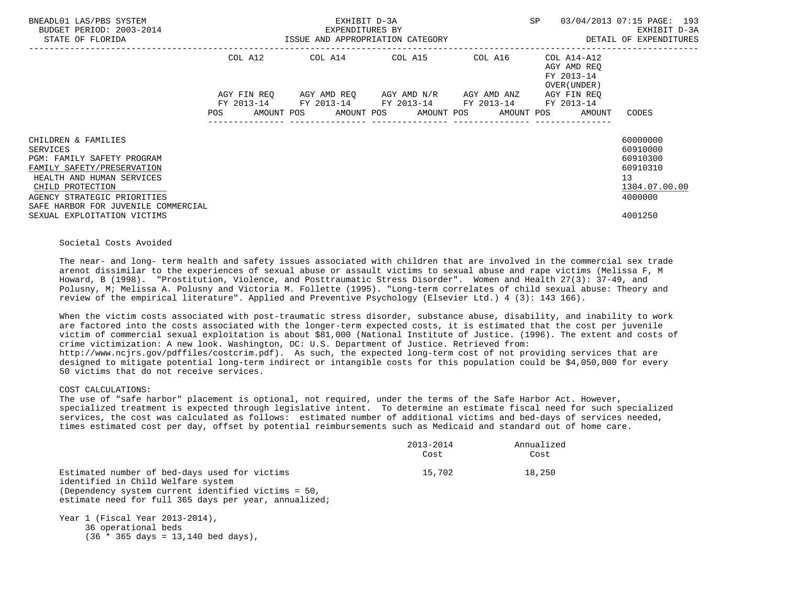| BNEADL01 LAS/PBS SYSTEM<br>BUDGET PERIOD: 2003-2014<br>STATE OF FLORIDA                                                                                                                                                   |             | EXHIBIT D-3A<br>EXPENDITURES BY<br>ISSUE AND APPROPRIATION CATEGORY                           |  |  | <b>SP</b> |                                                          | 03/04/2013 07:15 PAGE: 193<br>EXHIBIT D-3A<br>DETAIL OF EXPENDITURES           |
|---------------------------------------------------------------------------------------------------------------------------------------------------------------------------------------------------------------------------|-------------|-----------------------------------------------------------------------------------------------|--|--|-----------|----------------------------------------------------------|--------------------------------------------------------------------------------|
|                                                                                                                                                                                                                           | COL A12     | COL A14 COL A15 COL A16                                                                       |  |  |           | COL A14-A12<br>AGY AMD REO<br>FY 2013-14<br>OVER (UNDER) |                                                                                |
|                                                                                                                                                                                                                           | AGY FIN REO | AGY AMD REO AGY AMD N/R AGY AMD ANZ<br>FY 2013-14 FY 2013-14 FY 2013-14 FY 2013-14 FY 2013-14 |  |  |           | AGY FIN REO                                              |                                                                                |
|                                                                                                                                                                                                                           |             | POS AMOUNT POS AMOUNT POS AMOUNT POS AMOUNT POS AMOUNT                                        |  |  |           |                                                          | CODES                                                                          |
| CHILDREN & FAMILIES<br><b>SERVICES</b><br>PGM: FAMILY SAFETY PROGRAM<br>FAMILY SAFETY/PRESERVATION<br>HEALTH AND HUMAN SERVICES<br>CHILD PROTECTION<br>AGENCY STRATEGIC PRIORITIES<br>SAFE HARBOR FOR JUVENILE COMMERCIAL |             |                                                                                               |  |  |           |                                                          | 60000000<br>60910000<br>60910300<br>60910310<br>13<br>1304.07.00.00<br>4000000 |
| SEXUAL EXPLOITATION VICTIMS                                                                                                                                                                                               |             |                                                                                               |  |  |           |                                                          | 4001250                                                                        |

### Societal Costs Avoided

 The near- and long- term health and safety issues associated with children that are involved in the commercial sex trade arenot dissimilar to the experiences of sexual abuse or assault victims to sexual abuse and rape victims (Melissa F, M Howard, B (1998). "Prostitution, Violence, and Posttraumatic Stress Disorder". Women and Health 27(3): 37-49, and Polusny, M; Melissa A. Polusny and Victoria M. Follette (1995). "Long-term correlates of child sexual abuse: Theory and review of the empirical literature". Applied and Preventive Psychology (Elsevier Ltd.) 4 (3): 143 166).

 When the victim costs associated with post-traumatic stress disorder, substance abuse, disability, and inability to work are factored into the costs associated with the longer-term expected costs, it is estimated that the cost per juvenile victim of commercial sexual exploitation is about \$81,000 (National Institute of Justice. (1996). The extent and costs of crime victimization: A new look. Washington, DC: U.S. Department of Justice. Retrieved from: http://www.ncjrs.gov/pdffiles/costcrim.pdf). As such, the expected long-term cost of not providing services that are designed to mitigate potential long-term indirect or intangible costs for this population could be \$4,050,000 for every 50 victims that do not receive services.

## COST CALCULATIONS:

 The use of "safe harbor" placement is optional, not required, under the terms of the Safe Harbor Act. However, specialized treatment is expected through legislative intent. To determine an estimate fiscal need for such specialized services, the cost was calculated as follows: estimated number of additional victims and bed-days of services needed, times estimated cost per day, offset by potential reimbursements such as Medicaid and standard out of home care.

|                                                       | 2013-2014 | Annualized |
|-------------------------------------------------------|-----------|------------|
|                                                       | Cost      | Cost       |
| Estimated number of bed-days used for victims         | 15,702    | 18,250     |
| identified in Child Welfare system                    |           |            |
| (Dependency system current identified victims = 50,   |           |            |
| estimate need for full 365 days per year, annualized; |           |            |

 Year 1 (Fiscal Year 2013-2014), 36 operational beds  $(36 * 365 \text{ days} = 13,140 \text{ bed days})$ ,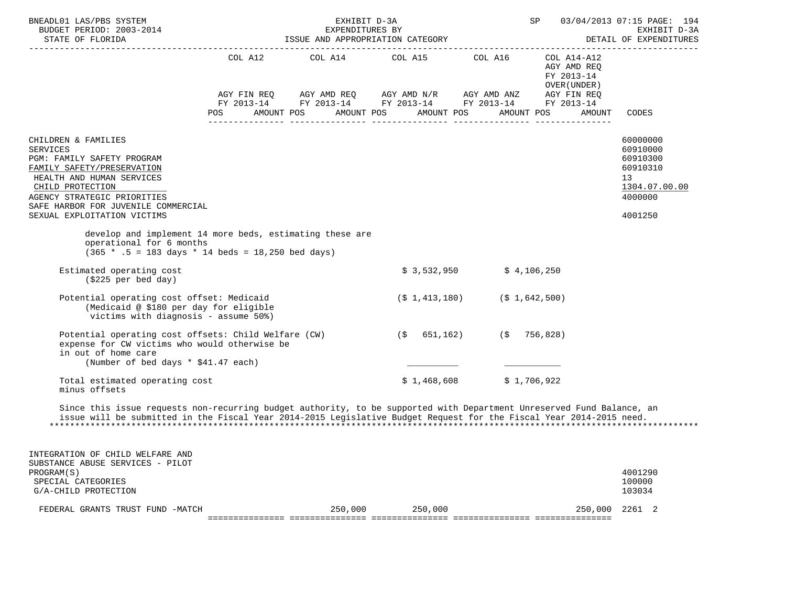| BNEADL01 LAS/PBS SYSTEM<br>BUDGET PERIOD: 2003-2014<br>STATE OF FLORIDA                                                                                                                                                                                  | EXHIBIT D-3A<br>EXPENDITURES BY | ISSUE AND APPROPRIATION CATEGORY                                                                                                                                                                                                                                                                                                                                                         |                                                           | SP                                                       | 03/04/2013 07:15 PAGE: 194<br>EXHIBIT D-3A<br>DETAIL OF EXPENDITURES                      |
|----------------------------------------------------------------------------------------------------------------------------------------------------------------------------------------------------------------------------------------------------------|---------------------------------|------------------------------------------------------------------------------------------------------------------------------------------------------------------------------------------------------------------------------------------------------------------------------------------------------------------------------------------------------------------------------------------|-----------------------------------------------------------|----------------------------------------------------------|-------------------------------------------------------------------------------------------|
|                                                                                                                                                                                                                                                          |                                 | $\begin{tabular}{lllllllllll} \multicolumn{2}{l}{{\text{COL}}}\  \, \texttt{A14} & \multicolumn{2}{l}{\text{COL}}\  \, \texttt{A15} & \multicolumn{2}{l}{\text{COL}}\  \, \texttt{A16} \end{tabular}$<br>AGY FIN REQ AGY AMD REQ AGY AMD N/R AGY AMD ANZ AGY FIN REQ<br>FY 2013-14 FY 2013-14 FY 2013-14 FY 2013-14 FY 2013-14<br>POS AMOUNT POS AMOUNT POS AMOUNT POS AMOUNT POS AMOUNT |                                                           | COL A14-A12<br>AGY AMD REQ<br>FY 2013-14<br>OVER (UNDER) | CODES                                                                                     |
| CHILDREN & FAMILIES<br><b>SERVICES</b><br>PGM: FAMILY SAFETY PROGRAM<br>FAMILY SAFETY/PRESERVATION<br>HEALTH AND HUMAN SERVICES<br>CHILD PROTECTION<br>AGENCY STRATEGIC PRIORITIES<br>SAFE HARBOR FOR JUVENILE COMMERCIAL<br>SEXUAL EXPLOITATION VICTIMS |                                 |                                                                                                                                                                                                                                                                                                                                                                                          |                                                           |                                                          | 60000000<br>60910000<br>60910300<br>60910310<br>13<br>1304.07.00.00<br>4000000<br>4001250 |
| develop and implement 14 more beds, estimating these are<br>operational for 6 months<br>$(365 * .5 = 183 \text{ days} * 14 \text{ beds} = 18,250 \text{ bed days})$                                                                                      |                                 |                                                                                                                                                                                                                                                                                                                                                                                          |                                                           |                                                          |                                                                                           |
| Estimated operating cost<br>$(\$225\text{ per bed day})$                                                                                                                                                                                                 |                                 |                                                                                                                                                                                                                                                                                                                                                                                          | $$3,532,950$ $$4,106,250$                                 |                                                          |                                                                                           |
| Potential operating cost offset: Medicaid<br>(Medicaid @ \$180 per day for eligible<br>victims with diagnosis - assume 50%)                                                                                                                              |                                 |                                                                                                                                                                                                                                                                                                                                                                                          | $(\frac{1}{2}, 1, 413, 180)$ $(\frac{1}{2}, 1, 642, 500)$ |                                                          |                                                                                           |
| Potential operating cost offsets: Child Welfare (CW)<br>expense for CW victims who would otherwise be<br>in out of home care<br>(Number of bed days * \$41.47 each)                                                                                      |                                 |                                                                                                                                                                                                                                                                                                                                                                                          | $(\$ 651,162)$ $(\$ 756,828)$                             |                                                          |                                                                                           |
| Total estimated operating cost<br>minus offsets                                                                                                                                                                                                          |                                 |                                                                                                                                                                                                                                                                                                                                                                                          | $$1,468,608$ $$1,706,922$                                 |                                                          |                                                                                           |
| Since this issue requests non-recurring budget authority, to be supported with Department Unreserved Fund Balance, an<br>issue will be submitted in the Fiscal Year 2014-2015 Legislative Budget Request for the Fiscal Year 2014-2015 need.             |                                 |                                                                                                                                                                                                                                                                                                                                                                                          |                                                           |                                                          |                                                                                           |
| INTEGRATION OF CHILD WELFARE AND<br>SUBSTANCE ABUSE SERVICES - PILOT                                                                                                                                                                                     |                                 |                                                                                                                                                                                                                                                                                                                                                                                          |                                                           |                                                          |                                                                                           |
| PROGRAM(S)<br>SPECIAL CATEGORIES                                                                                                                                                                                                                         |                                 |                                                                                                                                                                                                                                                                                                                                                                                          |                                                           |                                                          | 4001290<br>100000                                                                         |

 FEDERAL GRANTS TRUST FUND -MATCH 250,000 250,000 250,000 2261 2 =============== =============== =============== =============== ===============

G/A-CHILD PROTECTION 103034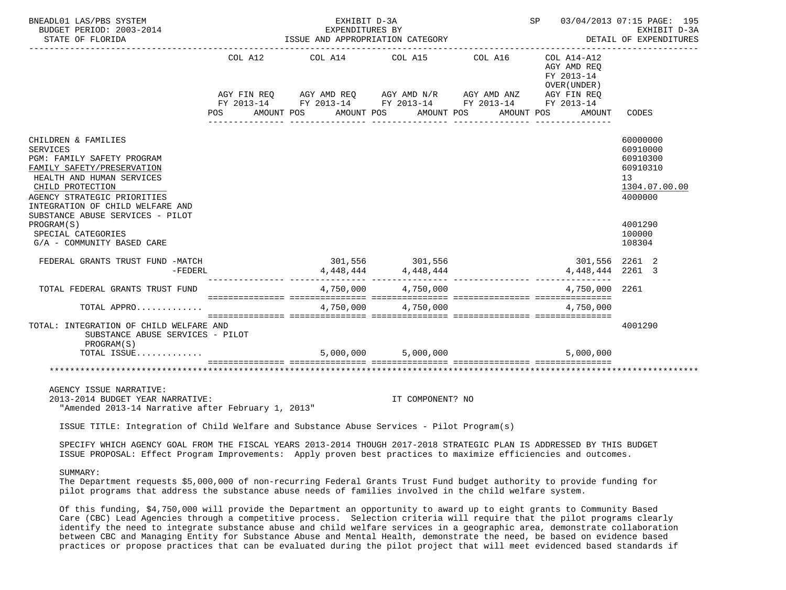| BNEADL01 LAS/PBS SYSTEM<br>BUDGET PERIOD: 2003-2014<br>STATE OF FLORIDA                                                                                                                                                                                    |  | EXHIBIT D-3A<br>EXPENDITURES BY<br>ISSUE AND APPROPRIATION CATEGORY                                                                                      | EXPENDITURES BY         |  |                                                                                                                      | SP 03/04/2013 07:15 PAGE: 195<br>EXHIBIT D-3A<br>DETAIL OF EXPENDITURES        |
|------------------------------------------------------------------------------------------------------------------------------------------------------------------------------------------------------------------------------------------------------------|--|----------------------------------------------------------------------------------------------------------------------------------------------------------|-------------------------|--|----------------------------------------------------------------------------------------------------------------------|--------------------------------------------------------------------------------|
|                                                                                                                                                                                                                                                            |  | COL A12 COL A14 COL A15 COL A16<br>AGY FIN REQ AGY AMD REQ AGY AMD N/R AGY AMD ANZ AGY FIN REQ<br>FY 2013-14 FY 2013-14 FY 2013-14 FY 2013-14 FY 2013-14 |                         |  | COL A14-A12<br>AGY AMD REO<br>FY 2013-14<br>OVER ( UNDER )<br>POS AMOUNT POS AMOUNT POS AMOUNT POS AMOUNT POS AMOUNT | CODES                                                                          |
| CHILDREN & FAMILIES<br><b>SERVICES</b><br>PGM: FAMILY SAFETY PROGRAM<br>FAMILY SAFETY/PRESERVATION<br>HEALTH AND HUMAN SERVICES<br>CHILD PROTECTION<br>AGENCY STRATEGIC PRIORITIES<br>INTEGRATION OF CHILD WELFARE AND<br>SUBSTANCE ABUSE SERVICES - PILOT |  |                                                                                                                                                          |                         |  |                                                                                                                      | 60000000<br>60910000<br>60910300<br>60910310<br>13<br>1304.07.00.00<br>4000000 |
| PROGRAM(S)<br>SPECIAL CATEGORIES<br>G/A - COMMUNITY BASED CARE                                                                                                                                                                                             |  |                                                                                                                                                          |                         |  |                                                                                                                      | 4001290<br>100000<br>108304                                                    |
| FEDERAL GRANTS TRUST FUND -MATCH<br>$-FEDERL$                                                                                                                                                                                                              |  |                                                                                                                                                          |                         |  | 301,556 2261 2<br>4, 448, 444 2261 3                                                                                 |                                                                                |
| TOTAL FEDERAL GRANTS TRUST FUND                                                                                                                                                                                                                            |  |                                                                                                                                                          | $4,750,000$ $4,750,000$ |  | 4,750,000 2261                                                                                                       |                                                                                |
| TOTAL APPRO                                                                                                                                                                                                                                                |  |                                                                                                                                                          | 4,750,000 4,750,000     |  | 4,750,000                                                                                                            |                                                                                |
| TOTAL: INTEGRATION OF CHILD WELFARE AND<br>SUBSTANCE ABUSE SERVICES - PILOT<br>PROGRAM(S)<br>TOTAL ISSUE                                                                                                                                                   |  | $5,000,000$ $5,000,000$                                                                                                                                  |                         |  | 5,000,000                                                                                                            | 4001290                                                                        |
|                                                                                                                                                                                                                                                            |  |                                                                                                                                                          |                         |  |                                                                                                                      |                                                                                |
| AGENCY ISSUE NARRATIVE:<br>2013-2014 BUDGET YEAR NARRATIVE:<br>"Amended 2013-14 Narrative after February 1, 2013"                                                                                                                                          |  |                                                                                                                                                          | IT COMPONENT? NO        |  |                                                                                                                      |                                                                                |
| ISSUE TITLE: Integration of Child Welfare and Substance Abuse Services - Pilot Program(s)                                                                                                                                                                  |  |                                                                                                                                                          |                         |  |                                                                                                                      |                                                                                |
| SPECIFY WHICH AGENCY GOAL FROM THE FISCAL YEARS 2013-2014 THOUGH 2017-2018 STRATEGIC PLAN IS ADDRESSED BY THIS BUDGET<br>ISSUE PROPOSAL: Effect Program Improvements: Apply proven best practices to maximize efficiencies and outcomes.                   |  |                                                                                                                                                          |                         |  |                                                                                                                      |                                                                                |
| SUMMARY:                                                                                                                                                                                                                                                   |  |                                                                                                                                                          |                         |  |                                                                                                                      |                                                                                |

 The Department requests \$5,000,000 of non-recurring Federal Grants Trust Fund budget authority to provide funding for pilot programs that address the substance abuse needs of families involved in the child welfare system.

 Of this funding, \$4,750,000 will provide the Department an opportunity to award up to eight grants to Community Based Care (CBC) Lead Agencies through a competitive process. Selection criteria will require that the pilot programs clearly identify the need to integrate substance abuse and child welfare services in a geographic area, demonstrate collaboration between CBC and Managing Entity for Substance Abuse and Mental Health, demonstrate the need, be based on evidence based practices or propose practices that can be evaluated during the pilot project that will meet evidenced based standards if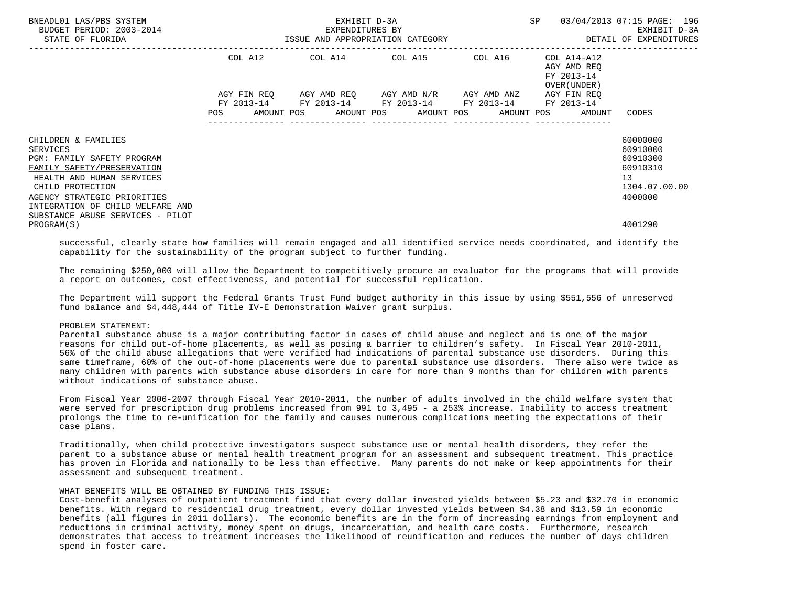| BNEADL01 LAS/PBS SYSTEM<br>BUDGET PERIOD: 2003-2014<br>STATE OF FLORIDA |            | EXHIBIT D-3A<br>EXPENDITURES BY<br>ISSUE AND APPROPRIATION CATEGORY | SP                                                                                                                                            | 03/04/2013 07:15 PAGE: 196<br>EXHIBIT D-3A<br>DETAIL OF EXPENDITURES |                                                          |               |
|-------------------------------------------------------------------------|------------|---------------------------------------------------------------------|-----------------------------------------------------------------------------------------------------------------------------------------------|----------------------------------------------------------------------|----------------------------------------------------------|---------------|
|                                                                         | COL A12    |                                                                     | COL A14 COL A15 COL A16                                                                                                                       |                                                                      | COL A14-A12<br>AGY AMD REO<br>FY 2013-14<br>OVER (UNDER) |               |
|                                                                         | <b>POS</b> |                                                                     | AGY FIN REQ 6GY AMD REQ 6GY AMD N/R 6GY AMD ANZ<br>FY 2013-14 FY 2013-14 FY 2013-14 FY 2013-14 FY 2013-14<br>AMOUNT POS AMOUNT POS AMOUNT POS |                                                                      | AGY FIN REO<br>AMOUNT POS<br>AMOUNT                      | CODES         |
| CHILDREN & FAMILIES                                                     |            |                                                                     |                                                                                                                                               |                                                                      |                                                          | 60000000      |
| SERVICES                                                                |            |                                                                     |                                                                                                                                               |                                                                      |                                                          | 60910000      |
| PGM: FAMILY SAFETY PROGRAM                                              |            |                                                                     |                                                                                                                                               |                                                                      |                                                          | 60910300      |
| FAMILY SAFETY/PRESERVATION                                              |            |                                                                     |                                                                                                                                               |                                                                      |                                                          | 60910310      |
| HEALTH AND HUMAN SERVICES                                               |            |                                                                     |                                                                                                                                               |                                                                      |                                                          | 13            |
| CHILD PROTECTION                                                        |            |                                                                     |                                                                                                                                               |                                                                      |                                                          | 1304.07.00.00 |
| AGENCY STRATEGIC PRIORITIES                                             |            |                                                                     |                                                                                                                                               |                                                                      |                                                          | 4000000       |
| INTEGRATION OF CHILD WELFARE AND                                        |            |                                                                     |                                                                                                                                               |                                                                      |                                                          |               |
| SUBSTANCE ABUSE SERVICES - PILOT                                        |            |                                                                     |                                                                                                                                               |                                                                      |                                                          |               |
| PROGRAM(S)                                                              |            |                                                                     |                                                                                                                                               |                                                                      |                                                          | 4001290       |

 successful, clearly state how families will remain engaged and all identified service needs coordinated, and identify the capability for the sustainability of the program subject to further funding.

 The remaining \$250,000 will allow the Department to competitively procure an evaluator for the programs that will provide a report on outcomes, cost effectiveness, and potential for successful replication.

 The Department will support the Federal Grants Trust Fund budget authority in this issue by using \$551,556 of unreserved fund balance and \$4,448,444 of Title IV-E Demonstration Waiver grant surplus.

### PROBLEM STATEMENT:

 Parental substance abuse is a major contributing factor in cases of child abuse and neglect and is one of the major reasons for child out-of-home placements, as well as posing a barrier to children's safety. In Fiscal Year 2010-2011, 56% of the child abuse allegations that were verified had indications of parental substance use disorders. During this same timeframe, 60% of the out-of-home placements were due to parental substance use disorders. There also were twice as many children with parents with substance abuse disorders in care for more than 9 months than for children with parents without indications of substance abuse.

 From Fiscal Year 2006-2007 through Fiscal Year 2010-2011, the number of adults involved in the child welfare system that were served for prescription drug problems increased from 991 to 3,495 - a 253% increase. Inability to access treatment prolongs the time to re-unification for the family and causes numerous complications meeting the expectations of their case plans.

 Traditionally, when child protective investigators suspect substance use or mental health disorders, they refer the parent to a substance abuse or mental health treatment program for an assessment and subsequent treatment. This practice has proven in Florida and nationally to be less than effective. Many parents do not make or keep appointments for their assessment and subsequent treatment.

# WHAT BENEFITS WILL BE OBTAINED BY FUNDING THIS ISSUE:

 Cost-benefit analyses of outpatient treatment find that every dollar invested yields between \$5.23 and \$32.70 in economic benefits. With regard to residential drug treatment, every dollar invested yields between \$4.38 and \$13.59 in economic benefits (all figures in 2011 dollars). The economic benefits are in the form of increasing earnings from employment and reductions in criminal activity, money spent on drugs, incarceration, and health care costs. Furthermore, research demonstrates that access to treatment increases the likelihood of reunification and reduces the number of days children spend in foster care.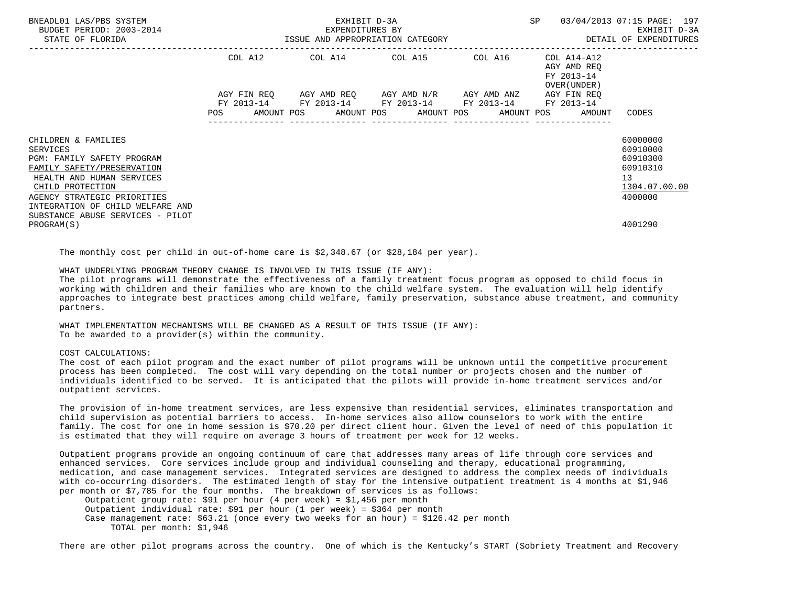| BNEADL01 LAS/PBS SYSTEM<br>BUDGET PERIOD: 2003-2014 |                           | EXHIBIT D-3A<br>EXPENDITURES BY | SP                                                                                                                                 | 03/04/2013 07:15 PAGE: 197<br>EXHIBIT D-3A |                                                          |                        |
|-----------------------------------------------------|---------------------------|---------------------------------|------------------------------------------------------------------------------------------------------------------------------------|--------------------------------------------|----------------------------------------------------------|------------------------|
| STATE OF FLORIDA                                    |                           |                                 | ISSUE AND APPROPRIATION CATEGORY                                                                                                   |                                            |                                                          | DETAIL OF EXPENDITURES |
|                                                     | COL A12                   |                                 | COL A14 COL A15 COL A16                                                                                                            |                                            | COL A14-A12<br>AGY AMD REQ<br>FY 2013-14<br>OVER (UNDER) |                        |
|                                                     | AGY FIN REO<br><b>POS</b> |                                 | AGY AMD REQ       AGY AMD N/R       AGY AMD ANZ<br>FY 2013-14 FY 2013-14 FY 2013-14 FY 2013-14<br>AMOUNT POS AMOUNT POS AMOUNT POS | AMOUNT POS                                 | AGY FIN REO<br>FY 2013-14<br>AMOUNT                      | CODES                  |
|                                                     |                           |                                 |                                                                                                                                    |                                            |                                                          |                        |
| CHILDREN & FAMILIES                                 |                           |                                 |                                                                                                                                    |                                            |                                                          | 60000000               |
| SERVICES                                            |                           |                                 |                                                                                                                                    |                                            |                                                          | 60910000               |
| <b>PGM: FAMILY SAFETY PROGRAM</b>                   |                           |                                 |                                                                                                                                    |                                            |                                                          | 60910300               |
| FAMILY SAFETY/PRESERVATION                          |                           |                                 |                                                                                                                                    |                                            |                                                          | 60910310               |
| HEALTH AND HUMAN SERVICES                           |                           |                                 |                                                                                                                                    |                                            |                                                          | 13                     |
| CHILD PROTECTION                                    |                           |                                 |                                                                                                                                    |                                            |                                                          | 1304.07.00.00          |
| AGENCY STRATEGIC PRIORITIES                         |                           |                                 |                                                                                                                                    |                                            |                                                          | 4000000                |
| INTEGRATION OF CHILD WELFARE AND                    |                           |                                 |                                                                                                                                    |                                            |                                                          |                        |
| SUBSTANCE ABUSE SERVICES - PILOT                    |                           |                                 |                                                                                                                                    |                                            |                                                          |                        |
| PROGRAM(S)                                          |                           |                                 |                                                                                                                                    |                                            |                                                          | 4001290                |

The monthly cost per child in out-of-home care is \$2,348.67 (or \$28,184 per year).

WHAT UNDERLYING PROGRAM THEORY CHANGE IS INVOLVED IN THIS ISSUE (IF ANY):

 The pilot programs will demonstrate the effectiveness of a family treatment focus program as opposed to child focus in working with children and their families who are known to the child welfare system. The evaluation will help identify approaches to integrate best practices among child welfare, family preservation, substance abuse treatment, and community partners.

 WHAT IMPLEMENTATION MECHANISMS WILL BE CHANGED AS A RESULT OF THIS ISSUE (IF ANY): To be awarded to a provider(s) within the community.

# COST CALCULATIONS:

 The cost of each pilot program and the exact number of pilot programs will be unknown until the competitive procurement process has been completed. The cost will vary depending on the total number or projects chosen and the number of individuals identified to be served. It is anticipated that the pilots will provide in-home treatment services and/or outpatient services.

 The provision of in-home treatment services, are less expensive than residential services, eliminates transportation and child supervision as potential barriers to access. In-home services also allow counselors to work with the entire family. The cost for one in home session is \$70.20 per direct client hour. Given the level of need of this population it is estimated that they will require on average 3 hours of treatment per week for 12 weeks.

 Outpatient programs provide an ongoing continuum of care that addresses many areas of life through core services and enhanced services. Core services include group and individual counseling and therapy, educational programming, medication, and case management services. Integrated services are designed to address the complex needs of individuals with co-occurring disorders. The estimated length of stay for the intensive outpatient treatment is 4 months at \$1,946 per month or \$7,785 for the four months. The breakdown of services is as follows:

 Outpatient group rate: \$91 per hour (4 per week) = \$1,456 per month Outpatient individual rate: \$91 per hour (1 per week) = \$364 per month Case management rate:  $$63.21$  (once every two weeks for an hour) =  $$126.42$  per month TOTAL per month: \$1,946

There are other pilot programs across the country. One of which is the Kentucky's START (Sobriety Treatment and Recovery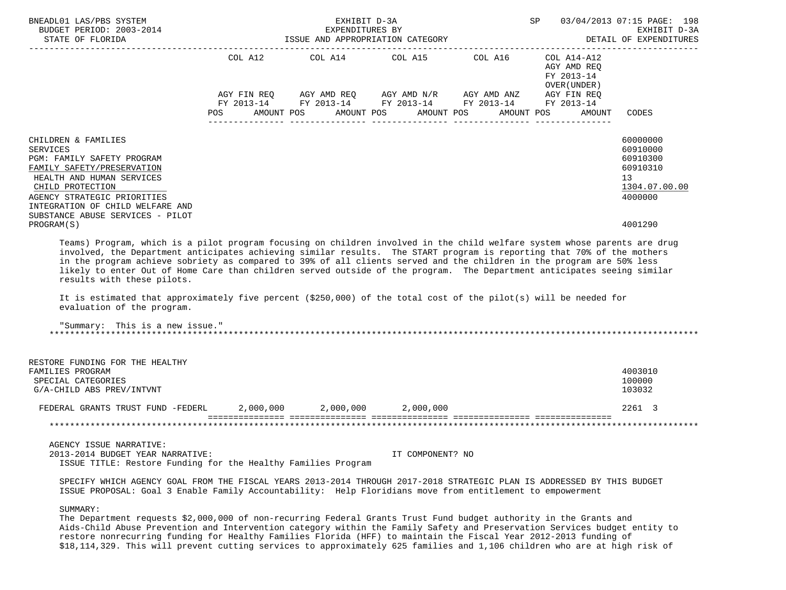| BNEADL01 LAS/PBS SYSTEM<br>BUDGET PERIOD: 2003-2014<br>STATE OF FLORIDA                                                                                                                                                                                                                                                                                                                                                                                                                                                                                                                                                                                                                               |                                                 | EXHIBIT D-3A | EXPENDITURES BY<br>ISSUE AND APPROPRIATION CATEGORY                                                                                                                                     | SP 03/04/2013 07:15 PAGE: 198                            | EXHIBIT D-3A<br>DETAIL OF EXPENDITURES                                         |
|-------------------------------------------------------------------------------------------------------------------------------------------------------------------------------------------------------------------------------------------------------------------------------------------------------------------------------------------------------------------------------------------------------------------------------------------------------------------------------------------------------------------------------------------------------------------------------------------------------------------------------------------------------------------------------------------------------|-------------------------------------------------|--------------|-----------------------------------------------------------------------------------------------------------------------------------------------------------------------------------------|----------------------------------------------------------|--------------------------------------------------------------------------------|
|                                                                                                                                                                                                                                                                                                                                                                                                                                                                                                                                                                                                                                                                                                       |                                                 |              | COL A12 COL A14 COL A15 COL A16                                                                                                                                                         | COL A14-A12<br>AGY AMD REQ<br>FY 2013-14<br>OVER (UNDER) |                                                                                |
|                                                                                                                                                                                                                                                                                                                                                                                                                                                                                                                                                                                                                                                                                                       | POS AMOUNT POS AMOUNT POS AMOUNT POS AMOUNT POS |              | $AGY \text{ FIN REQ} \qquad \text{AGY AMD REQ} \qquad \text{AGY AMD N/R} \qquad \text{AGY AMD ANZ} \qquad \text{AGY FIN REQ}$<br>FY 2013-14 FY 2013-14 FY 2013-14 FY 2013-14 FY 2013-14 | AMOUNT                                                   | CODES                                                                          |
| CHILDREN & FAMILIES<br><b>SERVICES</b><br>PGM: FAMILY SAFETY PROGRAM<br>FAMILY SAFETY/PRESERVATION<br>HEALTH AND HUMAN SERVICES<br>CHILD PROTECTION<br>AGENCY STRATEGIC PRIORITIES<br>INTEGRATION OF CHILD WELFARE AND<br>SUBSTANCE ABUSE SERVICES - PILOT                                                                                                                                                                                                                                                                                                                                                                                                                                            |                                                 |              |                                                                                                                                                                                         |                                                          | 60000000<br>60910000<br>60910300<br>60910310<br>13<br>1304.07.00.00<br>4000000 |
| PROGRAM(S)<br>Teams) Program, which is a pilot program focusing on children involved in the child welfare system whose parents are drug<br>involved, the Department anticipates achieving similar results. The START program is reporting that 70% of the mothers<br>in the program achieve sobriety as compared to 39% of all clients served and the children in the program are 50% less<br>likely to enter Out of Home Care than children served outside of the program. The Department anticipates seeing similar<br>results with these pilots.<br>It is estimated that approximately five percent (\$250,000) of the total cost of the pilot(s) will be needed for<br>evaluation of the program. |                                                 |              |                                                                                                                                                                                         |                                                          | 4001290                                                                        |
| "Summary: This is a new issue."                                                                                                                                                                                                                                                                                                                                                                                                                                                                                                                                                                                                                                                                       |                                                 |              |                                                                                                                                                                                         |                                                          |                                                                                |
| RESTORE FUNDING FOR THE HEALTHY<br>FAMILIES PROGRAM<br>SPECIAL CATEGORIES<br>G/A-CHILD ABS PREV/INTVNT                                                                                                                                                                                                                                                                                                                                                                                                                                                                                                                                                                                                |                                                 |              |                                                                                                                                                                                         |                                                          | 4003010<br>100000<br>103032                                                    |
| FEDERAL GRANTS TRUST FUND -FEDERL 2,000,000 2,000,000 2,000,000                                                                                                                                                                                                                                                                                                                                                                                                                                                                                                                                                                                                                                       |                                                 |              |                                                                                                                                                                                         |                                                          | 2261 3                                                                         |
|                                                                                                                                                                                                                                                                                                                                                                                                                                                                                                                                                                                                                                                                                                       |                                                 |              |                                                                                                                                                                                         |                                                          |                                                                                |
| AGENCY ISSUE NARRATIVE:<br>2013-2014 BUDGET YEAR NARRATIVE:<br>ISSUE TITLE: Restore Funding for the Healthy Families Program                                                                                                                                                                                                                                                                                                                                                                                                                                                                                                                                                                          |                                                 |              | IT COMPONENT? NO                                                                                                                                                                        |                                                          |                                                                                |
| SPECIFY WHICH AGENCY GOAL FROM THE FISCAL YEARS 2013-2014 THROUGH 2017-2018 STRATEGIC PLAN IS ADDRESSED BY THIS BUDGET<br>ISSUE PROPOSAL: Goal 3 Enable Family Accountability: Help Floridians move from entitlement to empowerment                                                                                                                                                                                                                                                                                                                                                                                                                                                                   |                                                 |              |                                                                                                                                                                                         |                                                          |                                                                                |

SUMMARY:

 The Department requests \$2,000,000 of non-recurring Federal Grants Trust Fund budget authority in the Grants and Aids-Child Abuse Prevention and Intervention category within the Family Safety and Preservation Services budget entity to restore nonrecurring funding for Healthy Families Florida (HFF) to maintain the Fiscal Year 2012-2013 funding of \$18,114,329. This will prevent cutting services to approximately 625 families and 1,106 children who are at high risk of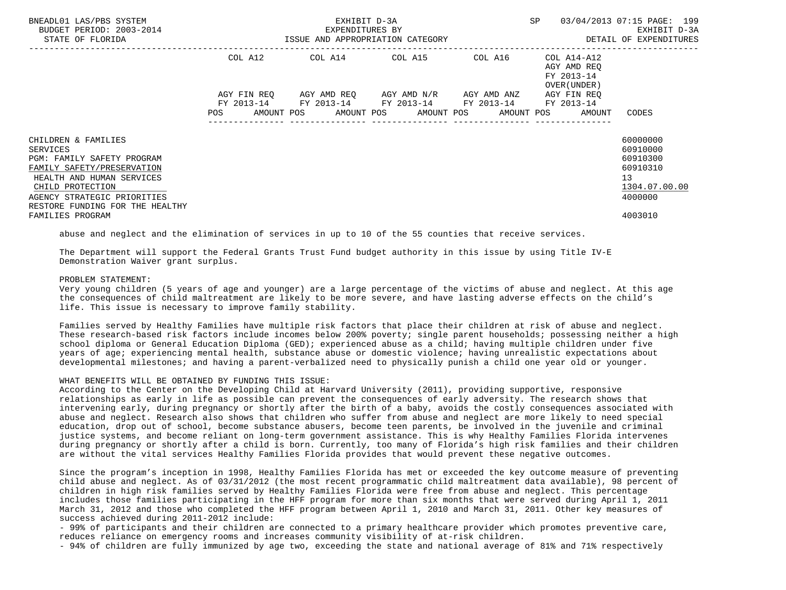| BNEADL01 LAS/PBS SYSTEM<br>BUDGET PERIOD: 2003-2014<br>STATE OF FLORIDA                                                                                                                                               | ISSUE AND APPROPRIATION CATEGORY | EXHIBIT D-3A<br>EXPENDITURES BY                        | SP<br>---------------------------------       | 03/04/2013 07:15 PAGE: 199<br>EXHIBIT D-3A<br>DETAIL OF EXPENDITURES |                                                                       |                                                                                |
|-----------------------------------------------------------------------------------------------------------------------------------------------------------------------------------------------------------------------|----------------------------------|--------------------------------------------------------|-----------------------------------------------|----------------------------------------------------------------------|-----------------------------------------------------------------------|--------------------------------------------------------------------------------|
|                                                                                                                                                                                                                       | COL A12                          | COL A14 COL A15 COL A16                                |                                               |                                                                      | COL A14-A12<br>AGY AMD REO<br>FY 2013-14<br>OVER (UNDER)              |                                                                                |
|                                                                                                                                                                                                                       | AGY FIN REO                      | FY 2013-14 FY 2013-14 FY 2013-14 FY 2013-14 FY 2013-14 | AGY AMD REO      AGY AMD N/R      AGY AMD ANZ |                                                                      | AGY FIN REO<br>POS AMOUNT POS AMOUNT POS AMOUNT POS AMOUNT POS AMOUNT | CODES                                                                          |
| CHILDREN & FAMILIES<br><b>SERVICES</b><br>PGM: FAMILY SAFETY PROGRAM<br>FAMILY SAFETY/PRESERVATION<br>HEALTH AND HUMAN SERVICES<br>CHILD PROTECTION<br>AGENCY STRATEGIC PRIORITIES<br>RESTORE FUNDING FOR THE HEALTHY |                                  |                                                        |                                               |                                                                      |                                                                       | 60000000<br>60910000<br>60910300<br>60910310<br>13<br>1304.07.00.00<br>4000000 |
| FAMILIES PROGRAM                                                                                                                                                                                                      |                                  |                                                        |                                               |                                                                      |                                                                       | 4003010                                                                        |

abuse and neglect and the elimination of services in up to 10 of the 55 counties that receive services.

 The Department will support the Federal Grants Trust Fund budget authority in this issue by using Title IV-E Demonstration Waiver grant surplus.

### PROBLEM STATEMENT:

 Very young children (5 years of age and younger) are a large percentage of the victims of abuse and neglect. At this age the consequences of child maltreatment are likely to be more severe, and have lasting adverse effects on the child's life. This issue is necessary to improve family stability.

 Families served by Healthy Families have multiple risk factors that place their children at risk of abuse and neglect. These research-based risk factors include incomes below 200% poverty; single parent households; possessing neither a high school diploma or General Education Diploma (GED); experienced abuse as a child; having multiple children under five years of age; experiencing mental health, substance abuse or domestic violence; having unrealistic expectations about developmental milestones; and having a parent-verbalized need to physically punish a child one year old or younger.

### WHAT BENEFITS WILL BE OBTAINED BY FUNDING THIS ISSUE:

 According to the Center on the Developing Child at Harvard University (2011), providing supportive, responsive relationships as early in life as possible can prevent the consequences of early adversity. The research shows that intervening early, during pregnancy or shortly after the birth of a baby, avoids the costly consequences associated with abuse and neglect. Research also shows that children who suffer from abuse and neglect are more likely to need special education, drop out of school, become substance abusers, become teen parents, be involved in the juvenile and criminal justice systems, and become reliant on long-term government assistance. This is why Healthy Families Florida intervenes during pregnancy or shortly after a child is born. Currently, too many of Florida's high risk families and their children are without the vital services Healthy Families Florida provides that would prevent these negative outcomes.

 Since the program's inception in 1998, Healthy Families Florida has met or exceeded the key outcome measure of preventing child abuse and neglect. As of 03/31/2012 (the most recent programmatic child maltreatment data available), 98 percent of children in high risk families served by Healthy Families Florida were free from abuse and neglect. This percentage includes those families participating in the HFF program for more than six months that were served during April 1, 2011 March 31, 2012 and those who completed the HFF program between April 1, 2010 and March 31, 2011. Other key measures of success achieved during 2011-2012 include:

 - 99% of participants and their children are connected to a primary healthcare provider which promotes preventive care, reduces reliance on emergency rooms and increases community visibility of at-risk children.

- 94% of children are fully immunized by age two, exceeding the state and national average of 81% and 71% respectively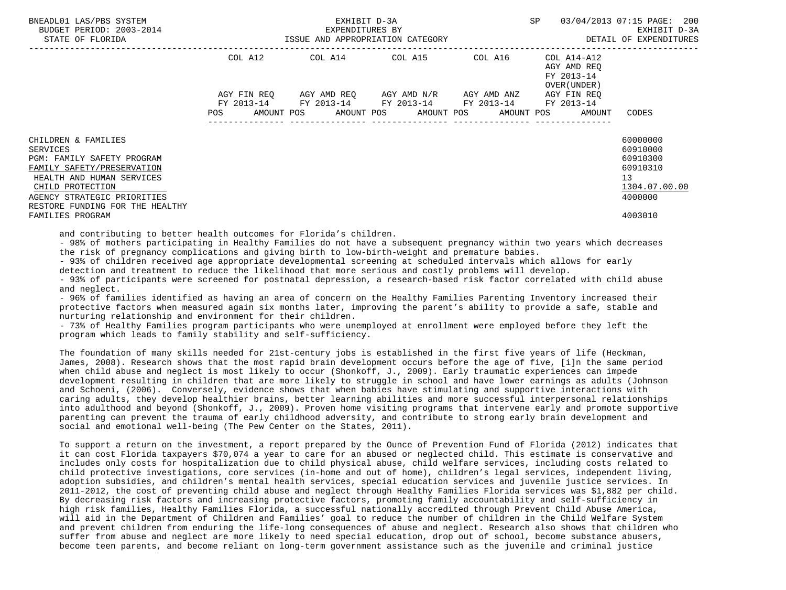| BNEADL01 LAS/PBS SYSTEM<br>BUDGET PERIOD: 2003-2014                                                                                                                                |                                  | EXHIBIT D-3A<br>EXPENDITURES BY                                                                                                    |  | <b>SP</b>                                                 | 03/04/2013 07:15 PAGE: 200<br>EXHIBIT D-3A                                     |
|------------------------------------------------------------------------------------------------------------------------------------------------------------------------------------|----------------------------------|------------------------------------------------------------------------------------------------------------------------------------|--|-----------------------------------------------------------|--------------------------------------------------------------------------------|
| STATE OF FLORIDA                                                                                                                                                                   | ISSUE AND APPROPRIATION CATEGORY |                                                                                                                                    |  |                                                           | DETAIL OF EXPENDITURES                                                         |
|                                                                                                                                                                                    | COL A12                          | COL A14 COL A15 COL A16                                                                                                            |  | COL A14-A12<br>AGY AMD REO<br>FY 2013-14<br>OVER (UNDER ) |                                                                                |
|                                                                                                                                                                                    | FY 2013-14<br><b>POS</b>         | AGY FIN REQ AGY AMD REQ AGY AMD N/R AGY AMD ANZ<br>FY 2013-14 FY 2013-14 FY 2013-14<br>AMOUNT POS AMOUNT POS AMOUNT POS AMOUNT POS |  | AGY FIN REO<br>FY 2013-14<br>AMOUNT                       | CODES                                                                          |
| CHILDREN & FAMILIES<br>SERVICES<br><b>PGM: FAMILY SAFETY PROGRAM</b><br>FAMILY SAFETY/PRESERVATION<br>HEALTH AND HUMAN SERVICES<br>CHILD PROTECTION<br>AGENCY STRATEGIC PRIORITIES |                                  |                                                                                                                                    |  |                                                           | 60000000<br>60910000<br>60910300<br>60910310<br>13<br>1304.07.00.00<br>4000000 |
| RESTORE FUNDING FOR THE HEALTHY<br>FAMILIES PROGRAM                                                                                                                                |                                  |                                                                                                                                    |  |                                                           | 4003010                                                                        |

and contributing to better health outcomes for Florida's children.

 - 98% of mothers participating in Healthy Families do not have a subsequent pregnancy within two years which decreases the risk of pregnancy complications and giving birth to low-birth-weight and premature babies.

 - 93% of children received age appropriate developmental screening at scheduled intervals which allows for early detection and treatment to reduce the likelihood that more serious and costly problems will develop.

 - 93% of participants were screened for postnatal depression, a research-based risk factor correlated with child abuse and neglect.

 - 96% of families identified as having an area of concern on the Healthy Families Parenting Inventory increased their protective factors when measured again six months later, improving the parent's ability to provide a safe, stable and nurturing relationship and environment for their children.

 - 73% of Healthy Families program participants who were unemployed at enrollment were employed before they left the program which leads to family stability and self-sufficiency.

 The foundation of many skills needed for 21st-century jobs is established in the first five years of life (Heckman, James, 2008). Research shows that the most rapid brain development occurs before the age of five, [i]n the same period when child abuse and neglect is most likely to occur (Shonkoff, J., 2009). Early traumatic experiences can impede development resulting in children that are more likely to struggle in school and have lower earnings as adults (Johnson and Schoeni, (2006). Conversely, evidence shows that when babies have stimulating and supportive interactions with caring adults, they develop healthier brains, better learning abilities and more successful interpersonal relationships into adulthood and beyond (Shonkoff, J., 2009). Proven home visiting programs that intervene early and promote supportive parenting can prevent the trauma of early childhood adversity, and contribute to strong early brain development and social and emotional well-being (The Pew Center on the States, 2011).

 To support a return on the investment, a report prepared by the Ounce of Prevention Fund of Florida (2012) indicates that it can cost Florida taxpayers \$70,074 a year to care for an abused or neglected child. This estimate is conservative and includes only costs for hospitalization due to child physical abuse, child welfare services, including costs related to child protective investigations, core services (in-home and out of home), children's legal services, independent living, adoption subsidies, and children's mental health services, special education services and juvenile justice services. In 2011-2012, the cost of preventing child abuse and neglect through Healthy Families Florida services was \$1,882 per child. By decreasing risk factors and increasing protective factors, promoting family accountability and self-sufficiency in high risk families, Healthy Families Florida, a successful nationally accredited through Prevent Child Abuse America, will aid in the Department of Children and Families' goal to reduce the number of children in the Child Welfare System and prevent children from enduring the life-long consequences of abuse and neglect. Research also shows that children who suffer from abuse and neglect are more likely to need special education, drop out of school, become substance abusers, become teen parents, and become reliant on long-term government assistance such as the juvenile and criminal justice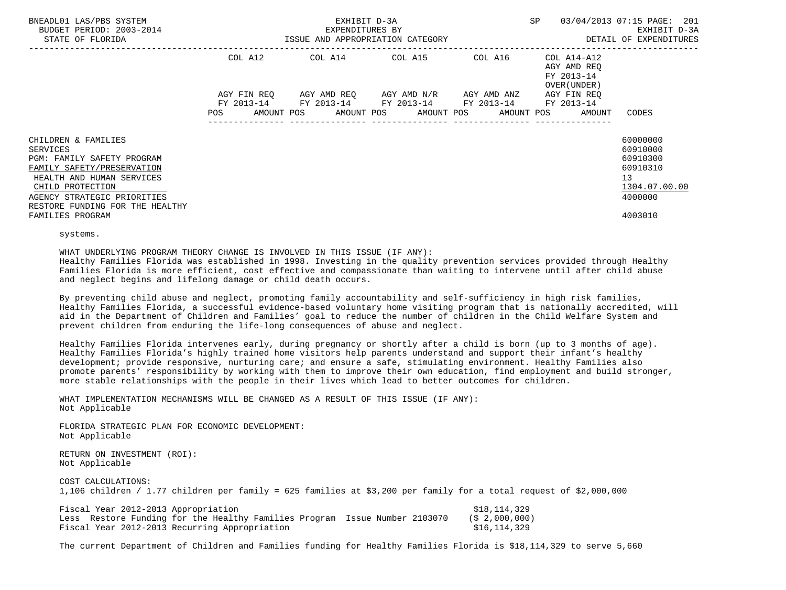| BNEADL01 LAS/PBS SYSTEM<br>BUDGET PERIOD: 2003-2014<br>STATE OF FLORIDA                                                                                                                                               | ISSUE AND APPROPRIATION CATEGORY | EXHIBIT D-3A<br>EXPENDITURES BY                                                                           | SP | 03/04/2013 07:15 PAGE: 201<br>EXHIBIT D-3A<br>DETAIL OF EXPENDITURES  |                                                                                |
|-----------------------------------------------------------------------------------------------------------------------------------------------------------------------------------------------------------------------|----------------------------------|-----------------------------------------------------------------------------------------------------------|----|-----------------------------------------------------------------------|--------------------------------------------------------------------------------|
|                                                                                                                                                                                                                       |                                  | COL A12 COL A14 COL A15 COL A16 COL A14-A12                                                               |    | AGY AMD REO<br>FY 2013-14<br>OVER (UNDER )                            |                                                                                |
|                                                                                                                                                                                                                       |                                  | AGY FIN REO AGY AMD REO AGY AMD N/R AGY AMD ANZ<br>FY 2013-14 FY 2013-14 FY 2013-14 FY 2013-14 FY 2013-14 |    | AGY FIN REO<br>POS AMOUNT POS AMOUNT POS AMOUNT POS AMOUNT POS AMOUNT | CODES                                                                          |
| CHILDREN & FAMILIES<br><b>SERVICES</b><br>PGM: FAMILY SAFETY PROGRAM<br>FAMILY SAFETY/PRESERVATION<br>HEALTH AND HUMAN SERVICES<br>CHILD PROTECTION<br>AGENCY STRATEGIC PRIORITIES<br>RESTORE FUNDING FOR THE HEALTHY |                                  |                                                                                                           |    |                                                                       | 60000000<br>60910000<br>60910300<br>60910310<br>13<br>1304.07.00.00<br>4000000 |
| FAMILIES PROGRAM                                                                                                                                                                                                      |                                  |                                                                                                           |    |                                                                       | 4003010                                                                        |

systems.

WHAT UNDERLYING PROGRAM THEORY CHANGE IS INVOLVED IN THIS ISSUE (IF ANY):

 Healthy Families Florida was established in 1998. Investing in the quality prevention services provided through Healthy Families Florida is more efficient, cost effective and compassionate than waiting to intervene until after child abuse and neglect begins and lifelong damage or child death occurs.

 By preventing child abuse and neglect, promoting family accountability and self-sufficiency in high risk families, Healthy Families Florida, a successful evidence-based voluntary home visiting program that is nationally accredited, will aid in the Department of Children and Families' goal to reduce the number of children in the Child Welfare System and prevent children from enduring the life-long consequences of abuse and neglect.

 Healthy Families Florida intervenes early, during pregnancy or shortly after a child is born (up to 3 months of age). Healthy Families Florida's highly trained home visitors help parents understand and support their infant's healthy development; provide responsive, nurturing care; and ensure a safe, stimulating environment. Healthy Families also promote parents' responsibility by working with them to improve their own education, find employment and build stronger, more stable relationships with the people in their lives which lead to better outcomes for children.

 WHAT IMPLEMENTATION MECHANISMS WILL BE CHANGED AS A RESULT OF THIS ISSUE (IF ANY): Not Applicable

 FLORIDA STRATEGIC PLAN FOR ECONOMIC DEVELOPMENT: Not Applicable

 RETURN ON INVESTMENT (ROI): Not Applicable

COST CALCULATIONS:

1,106 children / 1.77 children per family = 625 families at \$3,200 per family for a total request of \$2,000,000

| Fiscal Year 2012-2013 Appropriation |                                                                            | \$18,114,329      |
|-------------------------------------|----------------------------------------------------------------------------|-------------------|
|                                     | Less Restore Funding for the Healthy Families Program Issue Number 2103070 | $($ \$ 2,000,000) |
|                                     | Fiscal Year 2012-2013 Recurring Appropriation                              | \$16,114,329      |

The current Department of Children and Families funding for Healthy Families Florida is \$18,114,329 to serve 5,660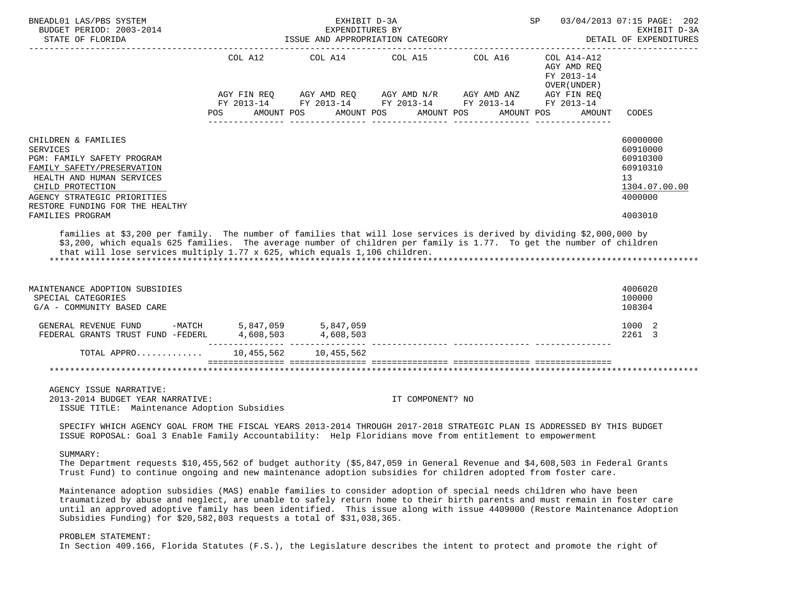| BNEADL01 LAS/PBS SYSTEM<br>BUDGET PERIOD: 2003-2014<br>STATE OF FLORIDA                                                                                                                                                                                                                                                                       |         | EXHIBIT D-3A<br>EXPENDITURES BY<br>ISSUE AND APPROPRIATION CATEGORY | SP               | 03/04/2013 07:15 PAGE: 202<br>EXHIBIT D-3A<br>DETAIL OF EXPENDITURES<br><u>_________________</u> |                                                              |                                                                                |
|-----------------------------------------------------------------------------------------------------------------------------------------------------------------------------------------------------------------------------------------------------------------------------------------------------------------------------------------------|---------|---------------------------------------------------------------------|------------------|--------------------------------------------------------------------------------------------------|--------------------------------------------------------------|--------------------------------------------------------------------------------|
|                                                                                                                                                                                                                                                                                                                                               | COL A12 | COL A14 COL A15 COL A16                                             |                  |                                                                                                  | $COL A14- A12$<br>AGY AMD REQ<br>FY 2013-14<br>OVER (UNDER ) |                                                                                |
|                                                                                                                                                                                                                                                                                                                                               | POS DO  | AMOUNT POS AMOUNT POS AMOUNT POS                                    |                  |                                                                                                  | AMOUNT POS<br>AMOUNT                                         | CODES                                                                          |
| CHILDREN & FAMILIES<br><b>SERVICES</b><br>PGM: FAMILY SAFETY PROGRAM<br>FAMILY SAFETY/PRESERVATION<br>HEALTH AND HUMAN SERVICES<br>CHILD PROTECTION<br>AGENCY STRATEGIC PRIORITIES<br>RESTORE FUNDING FOR THE HEALTHY                                                                                                                         |         |                                                                     |                  |                                                                                                  |                                                              | 60000000<br>60910000<br>60910300<br>60910310<br>13<br>1304.07.00.00<br>4000000 |
| FAMILIES PROGRAM<br>families at \$3,200 per family. The number of families that will lose services is derived by dividing \$2,000,000 by<br>\$3,200, which equals 625 families. The average number of children per family is 1.77. To get the number of children<br>that will lose services multiply 1.77 x 625, which equals 1,106 children. |         |                                                                     |                  |                                                                                                  |                                                              | 4003010                                                                        |
| MAINTENANCE ADOPTION SUBSIDIES<br>SPECIAL CATEGORIES<br>G/A - COMMUNITY BASED CARE                                                                                                                                                                                                                                                            |         |                                                                     |                  |                                                                                                  |                                                              | 4006020<br>100000<br>108304                                                    |
| GENERAL REVENUE FUND -MATCH $5,847,059$ 5,847,059<br>FEDERAL GRANTS TRUST FUND -FEDERL $4,608,503$ 4,608,503                                                                                                                                                                                                                                  |         |                                                                     |                  |                                                                                                  |                                                              | 1000 2<br>2261 3                                                               |
| TOTAL APPRO 10,455,562 10,455,562                                                                                                                                                                                                                                                                                                             |         |                                                                     |                  |                                                                                                  |                                                              |                                                                                |
|                                                                                                                                                                                                                                                                                                                                               |         |                                                                     |                  |                                                                                                  |                                                              |                                                                                |
| AGENCY ISSUE NARRATIVE:<br>2013-2014 BUDGET YEAR NARRATIVE:<br>ISSUE TITLE: Maintenance Adoption Subsidies                                                                                                                                                                                                                                    |         |                                                                     | IT COMPONENT? NO |                                                                                                  |                                                              |                                                                                |
| SPECIFY WHICH AGENCY GOAL FROM THE FISCAL YEARS 2013-2014 THROUGH 2017-2018 STRATEGIC PLAN IS ADDRESSED BY THIS BUDGET<br>ISSUE ROPOSAL: Goal 3 Enable Family Accountability: Help Floridians move from entitlement to empowerment                                                                                                            |         |                                                                     |                  |                                                                                                  |                                                              |                                                                                |
| SUMMARY:<br>The Department requests \$10,455,562 of budget authority (\$5,847,059 in General Revenue and \$4,608,503 in Federal Grants<br>Trust Fund) to continue ongoing and new maintenance adoption subsidies for children adopted from foster care.                                                                                       |         |                                                                     |                  |                                                                                                  |                                                              |                                                                                |
| Maintenance adoption subsidies (MAS) enable families to consider adoption of special needs children who have been                                                                                                                                                                                                                             |         |                                                                     |                  |                                                                                                  |                                                              |                                                                                |

 traumatized by abuse and neglect, are unable to safely return home to their birth parents and must remain in foster care until an approved adoptive family has been identified. This issue along with issue 4409000 (Restore Maintenance Adoption Subsidies Funding) for \$20,582,803 requests a total of \$31,038,365.

# PROBLEM STATEMENT:

In Section 409.166, Florida Statutes (F.S.), the Legislature describes the intent to protect and promote the right of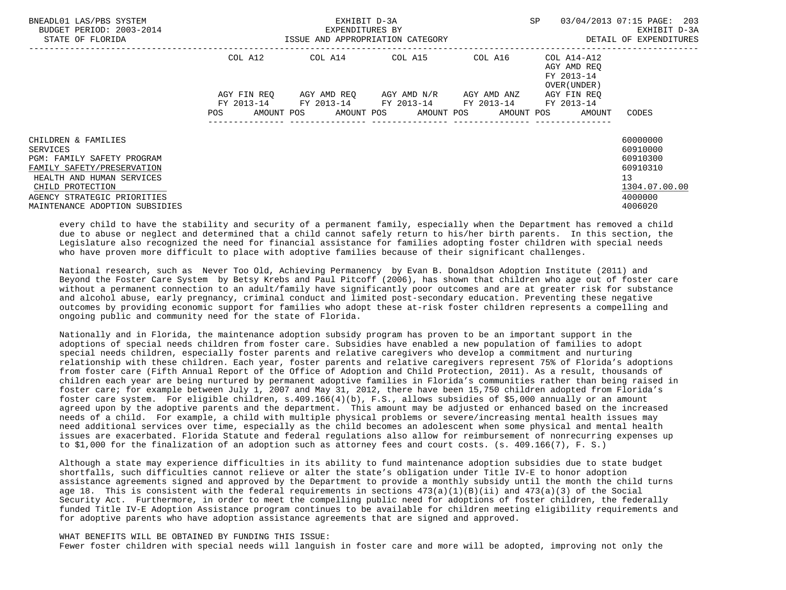| BNEADL01 LAS/PBS SYSTEM<br>BUDGET PERIOD: 2003-2014<br>STATE OF FLORIDA                                                                                                                                              |                                                | EXHIBIT D-3A<br>EXPENDITURES BY<br>ISSUE AND APPROPRIATION CATEGORY | SP                                                                                                                    | 03/04/2013 07:15 PAGE:<br>203<br>EXHIBIT D-3A<br>DETAIL OF EXPENDITURES |                                                          |                                                                                                        |
|----------------------------------------------------------------------------------------------------------------------------------------------------------------------------------------------------------------------|------------------------------------------------|---------------------------------------------------------------------|-----------------------------------------------------------------------------------------------------------------------|-------------------------------------------------------------------------|----------------------------------------------------------|--------------------------------------------------------------------------------------------------------|
|                                                                                                                                                                                                                      | COL A12                                        |                                                                     | COL A14 COL A15                                                                                                       | COL A16                                                                 | COL A14-A12<br>AGY AMD REO<br>FY 2013-14<br>OVER (UNDER) |                                                                                                        |
|                                                                                                                                                                                                                      | AGY FIN REO<br>FY 2013-14<br>AMOUNT POS<br>POS |                                                                     | AGY AMD REO      AGY AMD N/R      AGY AMD ANZ<br>FY 2013-14 FY 2013-14 FY 2013-14<br>AMOUNT POS AMOUNT POS AMOUNT POS |                                                                         | AGY FIN REO<br>FY 2013-14<br>AMOUNT                      | CODES                                                                                                  |
| CHILDREN & FAMILIES<br><b>SERVICES</b><br>PGM: FAMILY SAFETY PROGRAM<br>FAMILY SAFETY/PRESERVATION<br>HEALTH AND HUMAN SERVICES<br>CHILD PROTECTION<br>AGENCY STRATEGIC PRIORITIES<br>MAINTENANCE ADOPTION SUBSIDIES |                                                |                                                                     |                                                                                                                       |                                                                         |                                                          | 60000000<br>60910000<br>60910300<br>60910310<br>13 <sup>°</sup><br>1304.07.00.00<br>4000000<br>4006020 |

 every child to have the stability and security of a permanent family, especially when the Department has removed a child due to abuse or neglect and determined that a child cannot safely return to his/her birth parents. In this section, the Legislature also recognized the need for financial assistance for families adopting foster children with special needs who have proven more difficult to place with adoptive families because of their significant challenges.

 National research, such as Never Too Old, Achieving Permanency by Evan B. Donaldson Adoption Institute (2011) and Beyond the Foster Care System by Betsy Krebs and Paul Pitcoff (2006), has shown that children who age out of foster care without a permanent connection to an adult/family have significantly poor outcomes and are at greater risk for substance and alcohol abuse, early pregnancy, criminal conduct and limited post-secondary education. Preventing these negative outcomes by providing economic support for families who adopt these at-risk foster children represents a compelling and ongoing public and community need for the state of Florida.

 Nationally and in Florida, the maintenance adoption subsidy program has proven to be an important support in the adoptions of special needs children from foster care. Subsidies have enabled a new population of families to adopt special needs children, especially foster parents and relative caregivers who develop a commitment and nurturing relationship with these children. Each year, foster parents and relative caregivers represent 75% of Florida's adoptions from foster care (Fifth Annual Report of the Office of Adoption and Child Protection, 2011). As a result, thousands of children each year are being nurtured by permanent adoptive families in Florida's communities rather than being raised in foster care; for example between July 1, 2007 and May 31, 2012, there have been 15,750 children adopted from Florida's foster care system. For eligible children, s.409.166(4)(b), F.S., allows subsidies of \$5,000 annually or an amount agreed upon by the adoptive parents and the department. This amount may be adjusted or enhanced based on the increased needs of a child. For example, a child with multiple physical problems or severe/increasing mental health issues may need additional services over time, especially as the child becomes an adolescent when some physical and mental health issues are exacerbated. Florida Statute and federal regulations also allow for reimbursement of nonrecurring expenses up to \$1,000 for the finalization of an adoption such as attorney fees and court costs. (s. 409.166(7), F. S.)

 Although a state may experience difficulties in its ability to fund maintenance adoption subsidies due to state budget shortfalls, such difficulties cannot relieve or alter the state's obligation under Title IV-E to honor adoption assistance agreements signed and approved by the Department to provide a monthly subsidy until the month the child turns age 18. This is consistent with the federal requirements in sections 473(a)(1)(B)(ii) and 473(a)(3) of the Social Security Act. Furthermore, in order to meet the compelling public need for adoptions of foster children, the federally funded Title IV-E Adoption Assistance program continues to be available for children meeting eligibility requirements and for adoptive parents who have adoption assistance agreements that are signed and approved.

### WHAT BENEFITS WILL BE OBTAINED BY FUNDING THIS ISSUE: Fewer foster children with special needs will languish in foster care and more will be adopted, improving not only the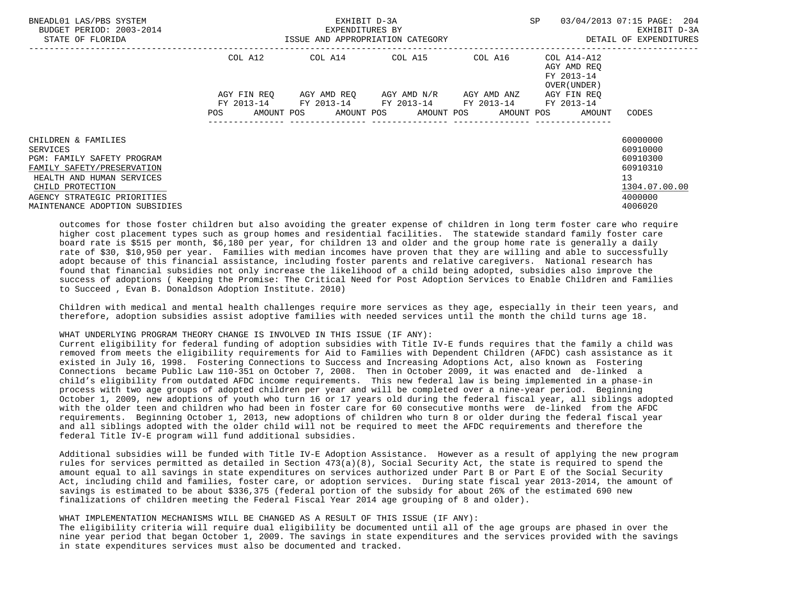| BNEADL01 LAS/PBS SYSTEM<br>BUDGET PERIOD: 2003-2014<br>STATE OF FLORIDA                                                                                                                                       | ISSUE AND APPROPRIATION CATEGORY | EXHIBIT D-3A<br>EXPENDITURES BY                        | SP                                                | 03/04/2013 07:15 PAGE: 204<br>EXHIBIT D-3A<br>DETAIL OF EXPENDITURES |                                                                   |                                                                                                        |
|---------------------------------------------------------------------------------------------------------------------------------------------------------------------------------------------------------------|----------------------------------|--------------------------------------------------------|---------------------------------------------------|----------------------------------------------------------------------|-------------------------------------------------------------------|--------------------------------------------------------------------------------------------------------|
|                                                                                                                                                                                                               | COL A12                          | COL A14 COL A15                                        |                                                   | COL A16                                                              | COL A14-A12<br>AGY AMD REO<br>FY 2013-14<br>OVER (UNDER)          |                                                                                                        |
|                                                                                                                                                                                                               | AGY FIN REO<br>POS               | FY 2013-14 FY 2013-14 FY 2013-14 FY 2013-14 FY 2013-14 | AGY AMD REQ        AGY AMD N/R        AGY AMD ANZ |                                                                      | AGY FIN REO<br>AMOUNT POS AMOUNT POS AMOUNT POS AMOUNT POS AMOUNT | CODES                                                                                                  |
| CHILDREN & FAMILIES<br>SERVICES<br>PGM: FAMILY SAFETY PROGRAM<br>FAMILY SAFETY/PRESERVATION<br>HEALTH AND HUMAN SERVICES<br>CHILD PROTECTION<br>AGENCY STRATEGIC PRIORITIES<br>MAINTENANCE ADOPTION SUBSIDIES |                                  |                                                        |                                                   |                                                                      |                                                                   | 60000000<br>60910000<br>60910300<br>60910310<br>13 <sup>°</sup><br>1304.07.00.00<br>4000000<br>4006020 |

 outcomes for those foster children but also avoiding the greater expense of children in long term foster care who require higher cost placement types such as group homes and residential facilities. The statewide standard family foster care board rate is \$515 per month, \$6,180 per year, for children 13 and older and the group home rate is generally a daily rate of \$30, \$10,950 per year. Families with median incomes have proven that they are willing and able to successfully adopt because of this financial assistance, including foster parents and relative caregivers. National research has found that financial subsidies not only increase the likelihood of a child being adopted, subsidies also improve the success of adoptions ( Keeping the Promise: The Critical Need for Post Adoption Services to Enable Children and Families to Succeed , Evan B. Donaldson Adoption Institute. 2010)

 Children with medical and mental health challenges require more services as they age, especially in their teen years, and therefore, adoption subsidies assist adoptive families with needed services until the month the child turns age 18.

## WHAT UNDERLYING PROGRAM THEORY CHANGE IS INVOLVED IN THIS ISSUE (IF ANY):

 Current eligibility for federal funding of adoption subsidies with Title IV-E funds requires that the family a child was removed from meets the eligibility requirements for Aid to Families with Dependent Children (AFDC) cash assistance as it existed in July 16, 1998. Fostering Connections to Success and Increasing Adoptions Act, also known as Fostering Connections became Public Law 110-351 on October 7, 2008. Then in October 2009, it was enacted and de-linked a child's eligibility from outdated AFDC income requirements. This new federal law is being implemented in a phase-in process with two age groups of adopted children per year and will be completed over a nine-year period. Beginning October 1, 2009, new adoptions of youth who turn 16 or 17 years old during the federal fiscal year, all siblings adopted with the older teen and children who had been in foster care for 60 consecutive months were de-linked from the AFDC requirements. Beginning October 1, 2013, new adoptions of children who turn 8 or older during the federal fiscal year and all siblings adopted with the older child will not be required to meet the AFDC requirements and therefore the federal Title IV-E program will fund additional subsidies.

 Additional subsidies will be funded with Title IV-E Adoption Assistance. However as a result of applying the new program rules for services permitted as detailed in Section 473(a)(8), Social Security Act, the state is required to spend the amount equal to all savings in state expenditures on services authorized under Part B or Part E of the Social Security Act, including child and families, foster care, or adoption services. During state fiscal year 2013-2014, the amount of savings is estimated to be about \$336,375 (federal portion of the subsidy for about 26% of the estimated 690 new finalizations of children meeting the Federal Fiscal Year 2014 age grouping of 8 and older).

## WHAT IMPLEMENTATION MECHANISMS WILL BE CHANGED AS A RESULT OF THIS ISSUE (IF ANY):

 The eligibility criteria will require dual eligibility be documented until all of the age groups are phased in over the nine year period that began October 1, 2009. The savings in state expenditures and the services provided with the savings in state expenditures services must also be documented and tracked.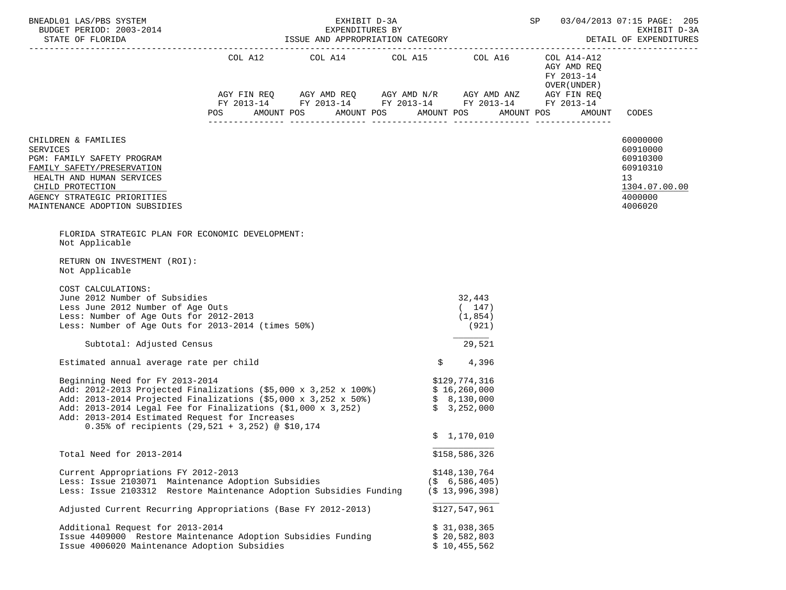| BNEADL01 LAS/PBS SYSTEM<br>BUDGET PERIOD: 2003-2014                                                                                                                                                                                                                                                                                                                        | SP 03/04/2013 07:15 PAGE: 205<br>EXHIBIT D-3A<br>EXPENDITURES BY<br>DETAIL OF EXPENDITURES |  |                                                                                                                                                                                                                                                                                                                                                                                                                                                                                                        |                                                         |                                            |                                                                                           |  |  |  |
|----------------------------------------------------------------------------------------------------------------------------------------------------------------------------------------------------------------------------------------------------------------------------------------------------------------------------------------------------------------------------|--------------------------------------------------------------------------------------------|--|--------------------------------------------------------------------------------------------------------------------------------------------------------------------------------------------------------------------------------------------------------------------------------------------------------------------------------------------------------------------------------------------------------------------------------------------------------------------------------------------------------|---------------------------------------------------------|--------------------------------------------|-------------------------------------------------------------------------------------------|--|--|--|
|                                                                                                                                                                                                                                                                                                                                                                            |                                                                                            |  | $\begin{tabular}{lllllllllll} \multicolumn{2}{l}{{\text{COL A14}} } & \multicolumn{2}{c}{\text{COL A15}} & \multicolumn{2}{c}{\text{COL A16}} & \multicolumn{2}{c}{\text{COL A14}-\text{A12}}\\ \multicolumn{2}{c}{\text{COL A14}} & \multicolumn{2}{c}{\text{COL A15}} & \multicolumn{2}{c}{\text{COL A16}} & \multicolumn{2}{c}{\text{COL A14}-\text{A12}}\\ \end{tabular}$<br>AGY FIN REQ AGY AMD REQ AGY AMD N/R AGY AMD ANZ AGY FIN REQ<br>FY 2013-14 FY 2013-14 FY 2013-14 FY 2013-14 FY 2013-14 |                                                         | AGY AMD REQ<br>FY 2013-14<br>OVER (UNDER ) |                                                                                           |  |  |  |
|                                                                                                                                                                                                                                                                                                                                                                            | AMOUNT POS<br><b>POS</b>                                                                   |  | AMOUNT POS                                                                                                                                                                                                                                                                                                                                                                                                                                                                                             | AMOUNT POS                                              | AMOUNT POS<br>AMOUNT                       | CODES                                                                                     |  |  |  |
| CHILDREN & FAMILIES<br><b>SERVICES</b><br>PGM: FAMILY SAFETY PROGRAM<br>FAMILY SAFETY/PRESERVATION<br>HEALTH AND HUMAN SERVICES<br>CHILD PROTECTION<br>AGENCY STRATEGIC PRIORITIES<br>MAINTENANCE ADOPTION SUBSIDIES                                                                                                                                                       |                                                                                            |  |                                                                                                                                                                                                                                                                                                                                                                                                                                                                                                        |                                                         |                                            | 60000000<br>60910000<br>60910300<br>60910310<br>13<br>1304.07.00.00<br>4000000<br>4006020 |  |  |  |
| FLORIDA STRATEGIC PLAN FOR ECONOMIC DEVELOPMENT:<br>Not Applicable                                                                                                                                                                                                                                                                                                         |                                                                                            |  |                                                                                                                                                                                                                                                                                                                                                                                                                                                                                                        |                                                         |                                            |                                                                                           |  |  |  |
| RETURN ON INVESTMENT (ROI):<br>Not Applicable                                                                                                                                                                                                                                                                                                                              |                                                                                            |  |                                                                                                                                                                                                                                                                                                                                                                                                                                                                                                        |                                                         |                                            |                                                                                           |  |  |  |
| COST CALCULATIONS:<br>June 2012 Number of Subsidies<br>Less June 2012 Number of Age Outs<br>Less: Number of Age Outs for 2012-2013<br>Less: Number of Age Outs for 2013-2014 (times 50%)                                                                                                                                                                                   |                                                                                            |  |                                                                                                                                                                                                                                                                                                                                                                                                                                                                                                        | 32,443<br>(147)<br>(1, 854)<br>(921)                    |                                            |                                                                                           |  |  |  |
| Subtotal: Adjusted Census                                                                                                                                                                                                                                                                                                                                                  |                                                                                            |  |                                                                                                                                                                                                                                                                                                                                                                                                                                                                                                        | 29,521                                                  |                                            |                                                                                           |  |  |  |
| Estimated annual average rate per child                                                                                                                                                                                                                                                                                                                                    |                                                                                            |  | \$                                                                                                                                                                                                                                                                                                                                                                                                                                                                                                     | 4,396                                                   |                                            |                                                                                           |  |  |  |
| Beginning Need for FY 2013-2014<br>Add: 2012-2013 Projected Finalizations (\$5,000 x 3,252 x 100%) \$ 16,260,000<br>Add: 2013-2014 Projected Finalizations (\$5,000 x 3,252 x 50%) \$ 8,130,000<br>Add: 2013-2014 Legal Fee for Finalizations $(51,000 \times 3,252)$<br>Add: 2013-2014 Estimated Request for Increases<br>0.35% of recipients (29,521 + 3,252) @ \$10,174 |                                                                                            |  |                                                                                                                                                                                                                                                                                                                                                                                                                                                                                                        | \$129,774,316<br>\$3,252,000                            |                                            |                                                                                           |  |  |  |
|                                                                                                                                                                                                                                                                                                                                                                            |                                                                                            |  |                                                                                                                                                                                                                                                                                                                                                                                                                                                                                                        | \$1,170,010                                             |                                            |                                                                                           |  |  |  |
| Total Need for 2013-2014                                                                                                                                                                                                                                                                                                                                                   |                                                                                            |  |                                                                                                                                                                                                                                                                                                                                                                                                                                                                                                        | \$158,586,326                                           |                                            |                                                                                           |  |  |  |
| Current Appropriations FY 2012-2013<br>Less: Issue 2103071 Maintenance Adoption Subsidies<br>Less: Issue 2103312 Restore Maintenance Adoption Subsidies Funding                                                                                                                                                                                                            |                                                                                            |  |                                                                                                                                                                                                                                                                                                                                                                                                                                                                                                        | \$148,130,764<br>(S, 6, 586, 405)<br>$($ \$ 13,996,398) |                                            |                                                                                           |  |  |  |
| Adjusted Current Recurring Appropriations (Base FY 2012-2013)                                                                                                                                                                                                                                                                                                              |                                                                                            |  |                                                                                                                                                                                                                                                                                                                                                                                                                                                                                                        | \$127,547,961                                           |                                            |                                                                                           |  |  |  |
| Additional Request for 2013-2014<br>Issue 4409000 Restore Maintenance Adoption Subsidies Funding<br>Issue 4006020 Maintenance Adoption Subsidies                                                                                                                                                                                                                           |                                                                                            |  |                                                                                                                                                                                                                                                                                                                                                                                                                                                                                                        | \$31,038,365<br>\$20,582,803<br>\$10,455,562            |                                            |                                                                                           |  |  |  |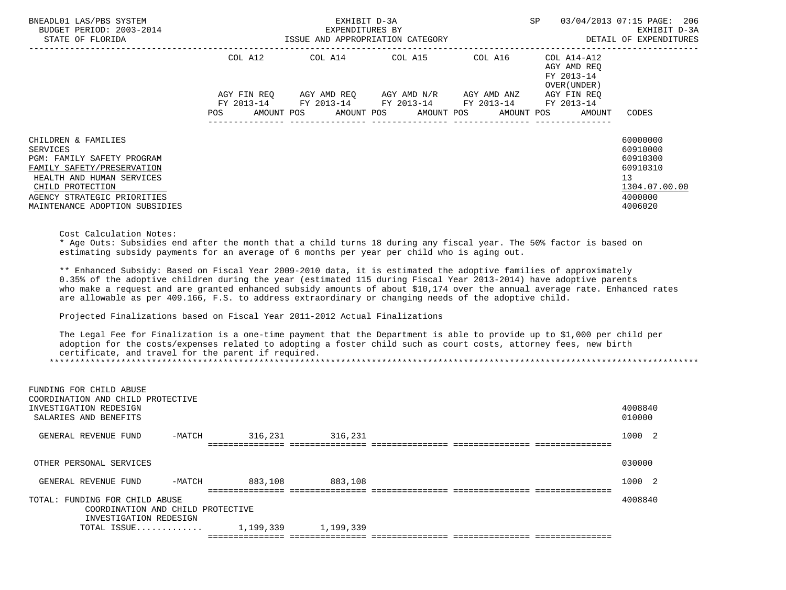| BNEADL01 LAS/PBS SYSTEM<br>BUDGET PERIOD: 2003-2014<br>STATE OF FLORIDA                                                                                                                                                                                                                                                                                                                                                                                                | EXHIBIT D-3A<br>SP<br>-2014 EXPENDITURES BY<br>ISSUE AND APPROPRIATION CATEGORY |                                             |                         |  |  |                                               |            |            |             | 03/04/2013 07:15 PAGE: 206<br>EXHIBIT D-3A<br>DETAIL OF EXPENDITURES |                                                                                           |
|------------------------------------------------------------------------------------------------------------------------------------------------------------------------------------------------------------------------------------------------------------------------------------------------------------------------------------------------------------------------------------------------------------------------------------------------------------------------|---------------------------------------------------------------------------------|---------------------------------------------|-------------------------|--|--|-----------------------------------------------|------------|------------|-------------|----------------------------------------------------------------------|-------------------------------------------------------------------------------------------|
|                                                                                                                                                                                                                                                                                                                                                                                                                                                                        |                                                                                 | COL A12                                     | COL A14 COL A15 COL A16 |  |  |                                               |            |            |             | COL A14-A12<br>AGY AMD REO<br>FY 2013-14<br>OVER (UNDER)             |                                                                                           |
|                                                                                                                                                                                                                                                                                                                                                                                                                                                                        |                                                                                 | AGY FIN REO                                 |                         |  |  | AGY AMD REO      AGY AMD N/R      AGY AMD ANZ |            |            | AGY FIN REO |                                                                      |                                                                                           |
|                                                                                                                                                                                                                                                                                                                                                                                                                                                                        | POS                                                                             | FY 2013-14 FY 2013-14 FY 2013-14 FY 2013-14 | AMOUNT POS AMOUNT POS   |  |  |                                               | AMOUNT POS | AMOUNT POS |             | FY 2013-14<br>AMOUNT                                                 | CODES                                                                                     |
| CHILDREN & FAMILIES<br><b>SERVICES</b><br>PGM: FAMILY SAFETY PROGRAM<br>FAMILY SAFETY/PRESERVATION<br>HEALTH AND HUMAN SERVICES<br>CHILD PROTECTION<br>AGENCY STRATEGIC PRIORITIES<br>MAINTENANCE ADOPTION SUBSIDIES                                                                                                                                                                                                                                                   |                                                                                 |                                             |                         |  |  |                                               |            |            |             |                                                                      | 60000000<br>60910000<br>60910300<br>60910310<br>13<br>1304.07.00.00<br>4000000<br>4006020 |
| Cost Calculation Notes:<br>* Age Outs: Subsidies end after the month that a child turns 18 during any fiscal year. The 50% factor is based on<br>estimating subsidy payments for an average of 6 months per year per child who is aging out.                                                                                                                                                                                                                           |                                                                                 |                                             |                         |  |  |                                               |            |            |             |                                                                      |                                                                                           |
| ** Enhanced Subsidy: Based on Fiscal Year 2009-2010 data, it is estimated the adoptive families of approximately<br>0.35% of the adoptive children during the year (estimated 115 during Fiscal Year 2013-2014) have adoptive parents<br>side actually a composition and contract and contract and about a claim and all the compositions of a select official solid and solid and solid and solid and solid and solid solid solid solid solid solid solid solid solid |                                                                                 |                                             |                         |  |  |                                               |            |            |             |                                                                      |                                                                                           |

 who make a request and are granted enhanced subsidy amounts of about \$10,174 over the annual average rate. Enhanced rates are allowable as per 409.166, F.S. to address extraordinary or changing needs of the adoptive child.

Projected Finalizations based on Fiscal Year 2011-2012 Actual Finalizations

 The Legal Fee for Finalization is a one-time payment that the Department is able to provide up to \$1,000 per child per adoption for the costs/expenses related to adopting a foster child such as court costs, attorney fees, new birth certificate, and travel for the parent if required. \*\*\*\*\*\*\*\*\*\*\*\*\*\*\*\*\*\*\*\*\*\*\*\*\*\*\*\*\*\*\*\*\*\*\*\*\*\*\*\*\*\*\*\*\*\*\*\*\*\*\*\*\*\*\*\*\*\*\*\*\*\*\*\*\*\*\*\*\*\*\*\*\*\*\*\*\*\*\*\*\*\*\*\*\*\*\*\*\*\*\*\*\*\*\*\*\*\*\*\*\*\*\*\*\*\*\*\*\*\*\*\*\*\*\*\*\*\*\*\*\*\*\*\*\*\*\*

| FUNDING FOR CHILD ABUSE<br>COORDINATION AND CHILD PROTECTIVE<br>INVESTIGATION REDESIGN<br>SALARIES AND BENEFITS |          |           |           |  | 4008840<br>010000 |  |
|-----------------------------------------------------------------------------------------------------------------|----------|-----------|-----------|--|-------------------|--|
| GENERAL REVENUE FUND                                                                                            | $-MATCH$ | 316,231   | 316,231   |  | 1000 2            |  |
|                                                                                                                 |          |           |           |  |                   |  |
| OTHER PERSONAL SERVICES                                                                                         |          |           |           |  | 030000            |  |
| GENERAL REVENUE FUND                                                                                            | $-MATCH$ | 883,108   | 883,108   |  | 1000 2            |  |
| TOTAL: FUNDING FOR CHILD ABUSE                                                                                  |          |           |           |  | 4008840           |  |
| COORDINATION AND CHILD PROTECTIVE                                                                               |          |           |           |  |                   |  |
| INVESTIGATION REDESIGN                                                                                          |          |           |           |  |                   |  |
| TOTAL ISSUE                                                                                                     |          | 1,199,339 | 1,199,339 |  |                   |  |
|                                                                                                                 |          |           |           |  |                   |  |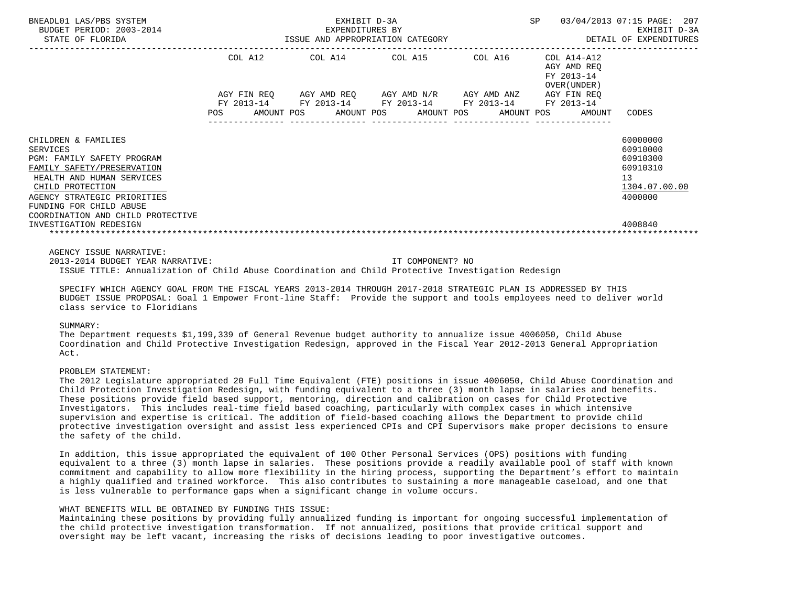| BNEADL01 LAS/PBS SYSTEM<br>BUDGET PERIOD: 2003-2014<br>STATE OF FLORIDA                                                                                                                                                                                                      | SP<br>EXHIBIT D-3A<br>EXPENDITURES BY<br>ISSUE AND APPROPRIATION CATEGORY |         |  |  |  |                                                                                            |  |            |  |                                                          | 03/04/2013 07:15 PAGE: 207<br>EXHIBIT D-3A<br>DETAIL OF EXPENDITURES                      |  |
|------------------------------------------------------------------------------------------------------------------------------------------------------------------------------------------------------------------------------------------------------------------------------|---------------------------------------------------------------------------|---------|--|--|--|--------------------------------------------------------------------------------------------|--|------------|--|----------------------------------------------------------|-------------------------------------------------------------------------------------------|--|
|                                                                                                                                                                                                                                                                              |                                                                           | COL A12 |  |  |  | COL A14 COL A15 COL A16<br>AGY FIN REQ AGY AMD REQ AGY AMD N/R AGY AMD ANZ AGY FIN REQ     |  |            |  | COL A14-A12<br>AGY AMD REQ<br>FY 2013-14<br>OVER (UNDER) |                                                                                           |  |
|                                                                                                                                                                                                                                                                              | POS                                                                       |         |  |  |  | FY 2013-14 FY 2013-14 FY 2013-14 FY 2013-14 FY 2013-14<br>AMOUNT POS AMOUNT POS AMOUNT POS |  | AMOUNT POS |  | AMOUNT                                                   | CODES                                                                                     |  |
| CHILDREN & FAMILIES<br><b>SERVICES</b><br>PGM: FAMILY SAFETY PROGRAM<br>FAMILY SAFETY/PRESERVATION<br>HEALTH AND HUMAN SERVICES<br>CHILD PROTECTION<br>AGENCY STRATEGIC PRIORITIES<br>FUNDING FOR CHILD ABUSE<br>COORDINATION AND CHILD PROTECTIVE<br>INVESTIGATION REDESIGN |                                                                           |         |  |  |  |                                                                                            |  |            |  |                                                          | 60000000<br>60910000<br>60910300<br>60910310<br>13<br>1304.07.00.00<br>4000000<br>4008840 |  |
| AGENCY ISSUE NARRATIVE:                                                                                                                                                                                                                                                      |                                                                           |         |  |  |  |                                                                                            |  |            |  |                                                          |                                                                                           |  |

 2013-2014 BUDGET YEAR NARRATIVE: IT COMPONENT? NO ISSUE TITLE: Annualization of Child Abuse Coordination and Child Protective Investigation Redesign

 SPECIFY WHICH AGENCY GOAL FROM THE FISCAL YEARS 2013-2014 THROUGH 2017-2018 STRATEGIC PLAN IS ADDRESSED BY THIS BUDGET ISSUE PROPOSAL: Goal 1 Empower Front-line Staff: Provide the support and tools employees need to deliver world class service to Floridians

### SUMMARY:

 The Department requests \$1,199,339 of General Revenue budget authority to annualize issue 4006050, Child Abuse Coordination and Child Protective Investigation Redesign, approved in the Fiscal Year 2012-2013 General Appropriation Act.

### PROBLEM STATEMENT:

 The 2012 Legislature appropriated 20 Full Time Equivalent (FTE) positions in issue 4006050, Child Abuse Coordination and Child Protection Investigation Redesign, with funding equivalent to a three (3) month lapse in salaries and benefits. These positions provide field based support, mentoring, direction and calibration on cases for Child Protective Investigators. This includes real-time field based coaching, particularly with complex cases in which intensive supervision and expertise is critical. The addition of field-based coaching allows the Department to provide child protective investigation oversight and assist less experienced CPIs and CPI Supervisors make proper decisions to ensure the safety of the child.

 In addition, this issue appropriated the equivalent of 100 Other Personal Services (OPS) positions with funding equivalent to a three (3) month lapse in salaries. These positions provide a readily available pool of staff with known commitment and capability to allow more flexibility in the hiring process, supporting the Department's effort to maintain a highly qualified and trained workforce. This also contributes to sustaining a more manageable caseload, and one that is less vulnerable to performance gaps when a significant change in volume occurs.

## WHAT BENEFITS WILL BE OBTAINED BY FUNDING THIS ISSUE:

 Maintaining these positions by providing fully annualized funding is important for ongoing successful implementation of the child protective investigation transformation. If not annualized, positions that provide critical support and oversight may be left vacant, increasing the risks of decisions leading to poor investigative outcomes.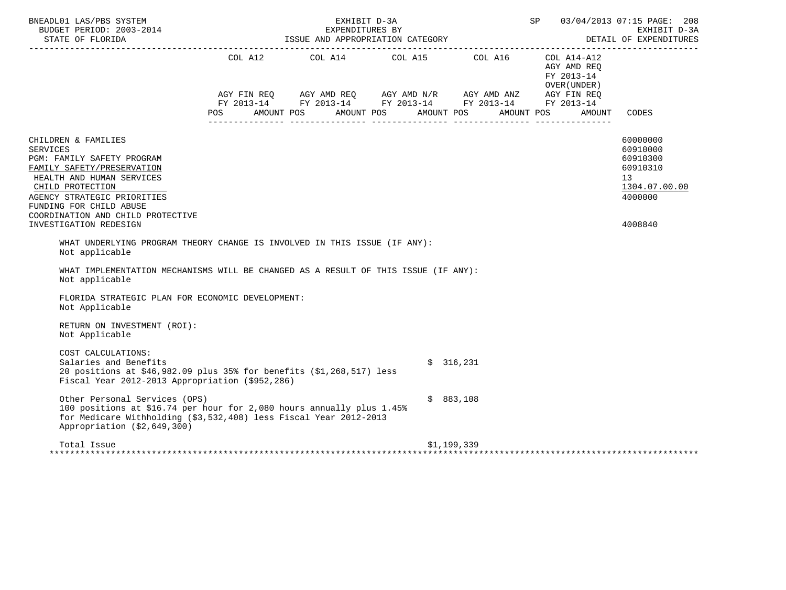| BNEADL01 LAS/PBS SYSTEM<br>BUDGET PERIOD: 2003-2014<br>STATE OF FLORIDA                                                                                                                                                                                                      |                   | EXHIBIT D-3A<br>EXPENDITURES BY<br>ISSUE AND APPROPRIATION CATEGORY | SP 03/04/2013 07:15 PAGE: 208                                                                                                                                                                                                                                                                                                                                                                                                                                                                                                                                                                                                                                                                                                                                                                                                                                                                        | EXHIBIT D-3A<br>DETAIL OF EXPENDITURES |                                                       |                                                                                           |
|------------------------------------------------------------------------------------------------------------------------------------------------------------------------------------------------------------------------------------------------------------------------------|-------------------|---------------------------------------------------------------------|------------------------------------------------------------------------------------------------------------------------------------------------------------------------------------------------------------------------------------------------------------------------------------------------------------------------------------------------------------------------------------------------------------------------------------------------------------------------------------------------------------------------------------------------------------------------------------------------------------------------------------------------------------------------------------------------------------------------------------------------------------------------------------------------------------------------------------------------------------------------------------------------------|----------------------------------------|-------------------------------------------------------|-------------------------------------------------------------------------------------------|
|                                                                                                                                                                                                                                                                              | AMOUNT POS<br>POS |                                                                     | $\begin{tabular}{lllllllllll} \multicolumn{2}{l}{{\text{COL A14}} } & \multicolumn{2}{c}{{\text{COL A15}} } & \multicolumn{2}{c}{{\text{COL A16}} } & \multicolumn{2}{c}{{\text{COL A14} - A12}}\\ \multicolumn{2}{c}{{\text{COL A14}} } & \multicolumn{2}{c}{{\text{COL A14} - A12}} & \multicolumn{2}{c}{{\text{COL A14} - A12}} & \multicolumn{2}{c}{{\text{COL A14} - A12}} & \multicolumn{2}{c}{{\text{COL A14} - A12}} & \multicolumn{2}{$<br>$\begin{array}{lllllll} \text{AGY}\ \text{FIN}\ \text{REQ} & \text{AGY}\ \text{AMD}\ \text{REQ} & \text{AGY}\ \text{AMD}\ \text{N/R} & \text{AGY}\ \text{AMD}\ \text{AND} & \text{ANZ} & \text{AGY}\ \text{FIN}\ \text{REQ} & \text{FY}\ 2013\text{-}14 & \text{FY}\ 2013\text{-}14 & \text{FY}\ 2013\text{-}14 & \text{FY}\ 2013\text{-}14 & \text{FY}\ 2013\text{-}14 & \text{FY}\ 2013\text{-}14 & \text{FY}\ 2013\$<br>AMOUNT POS AMOUNT POS | AMOUNT POS                             | AGY AMD REO<br>FY 2013-14<br>OVER ( UNDER )<br>AMOUNT | CODES                                                                                     |
| CHILDREN & FAMILIES<br><b>SERVICES</b><br>PGM: FAMILY SAFETY PROGRAM<br>FAMILY SAFETY/PRESERVATION<br>HEALTH AND HUMAN SERVICES<br>CHILD PROTECTION<br>AGENCY STRATEGIC PRIORITIES<br>FUNDING FOR CHILD ABUSE<br>COORDINATION AND CHILD PROTECTIVE<br>INVESTIGATION REDESIGN |                   |                                                                     |                                                                                                                                                                                                                                                                                                                                                                                                                                                                                                                                                                                                                                                                                                                                                                                                                                                                                                      |                                        |                                                       | 60000000<br>60910000<br>60910300<br>60910310<br>13<br>1304.07.00.00<br>4000000<br>4008840 |
| WHAT UNDERLYING PROGRAM THEORY CHANGE IS INVOLVED IN THIS ISSUE (IF ANY):<br>Not applicable                                                                                                                                                                                  |                   |                                                                     |                                                                                                                                                                                                                                                                                                                                                                                                                                                                                                                                                                                                                                                                                                                                                                                                                                                                                                      |                                        |                                                       |                                                                                           |
| WHAT IMPLEMENTATION MECHANISMS WILL BE CHANGED AS A RESULT OF THIS ISSUE (IF ANY):<br>Not applicable                                                                                                                                                                         |                   |                                                                     |                                                                                                                                                                                                                                                                                                                                                                                                                                                                                                                                                                                                                                                                                                                                                                                                                                                                                                      |                                        |                                                       |                                                                                           |
| FLORIDA STRATEGIC PLAN FOR ECONOMIC DEVELOPMENT:<br>Not Applicable                                                                                                                                                                                                           |                   |                                                                     |                                                                                                                                                                                                                                                                                                                                                                                                                                                                                                                                                                                                                                                                                                                                                                                                                                                                                                      |                                        |                                                       |                                                                                           |
| RETURN ON INVESTMENT (ROI):<br>Not Applicable                                                                                                                                                                                                                                |                   |                                                                     |                                                                                                                                                                                                                                                                                                                                                                                                                                                                                                                                                                                                                                                                                                                                                                                                                                                                                                      |                                        |                                                       |                                                                                           |
| COST CALCULATIONS:<br>Salaries and Benefits<br>20 positions at \$46,982.09 plus 35% for benefits (\$1,268,517) less<br>Fiscal Year 2012-2013 Appropriation (\$952,286)                                                                                                       |                   |                                                                     |                                                                                                                                                                                                                                                                                                                                                                                                                                                                                                                                                                                                                                                                                                                                                                                                                                                                                                      | \$316,231                              |                                                       |                                                                                           |
| Other Personal Services (OPS)<br>100 positions at \$16.74 per hour for 2,080 hours annually plus 1.45%<br>for Medicare Withholding (\$3,532,408) less Fiscal Year 2012-2013<br>Appropriation (\$2,649,300)                                                                   |                   |                                                                     |                                                                                                                                                                                                                                                                                                                                                                                                                                                                                                                                                                                                                                                                                                                                                                                                                                                                                                      | \$883,108                              |                                                       |                                                                                           |
| Total Issue                                                                                                                                                                                                                                                                  |                   |                                                                     |                                                                                                                                                                                                                                                                                                                                                                                                                                                                                                                                                                                                                                                                                                                                                                                                                                                                                                      | \$1,199,339                            |                                                       |                                                                                           |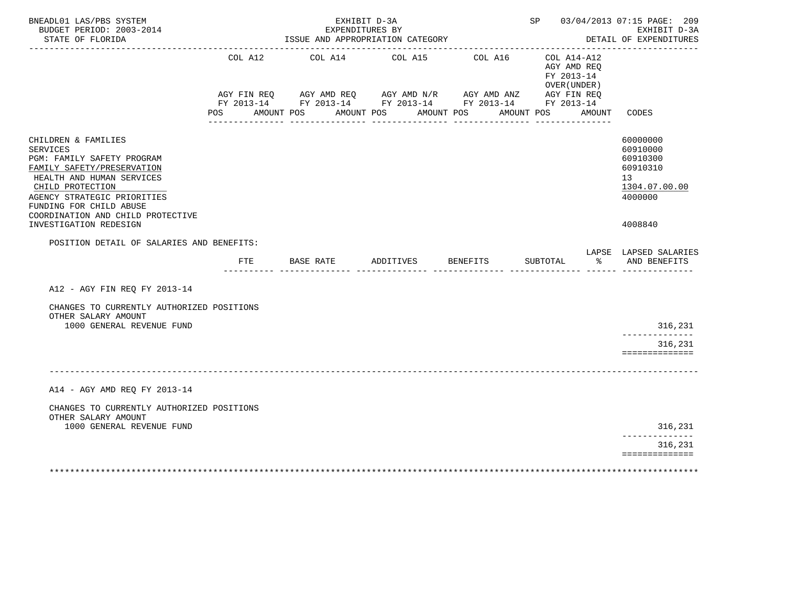| BNEADL01 LAS/PBS SYSTEM<br>BUDGET PERIOD: 2003-2014<br>STATE OF FLORIDA                                                                                                                                                                            | EXHIBIT D-3A<br>EXPENDITURES BY<br>ISSUE AND APPROPRIATION CATEGORY |            |                  |                                                                                                                                          |           |            |                 |            |          |                                                             | SP 03/04/2013 07:15 PAGE: 209<br>EXHIBIT D-3A<br>DETAIL OF EXPENDITURES                     |  |
|----------------------------------------------------------------------------------------------------------------------------------------------------------------------------------------------------------------------------------------------------|---------------------------------------------------------------------|------------|------------------|------------------------------------------------------------------------------------------------------------------------------------------|-----------|------------|-----------------|------------|----------|-------------------------------------------------------------|---------------------------------------------------------------------------------------------|--|
|                                                                                                                                                                                                                                                    | COL A12                                                             |            |                  | COL A14 COL A15<br>AGY FIN REQ AGY AMD REQ AGY AMD N/R AGY AMD ANZ AGY FIN REQ<br>FY 2013-14 FY 2013-14 FY 2013-14 FY 2013-14 FY 2013-14 |           |            | COL A16         |            |          | $COL A14- A12$<br>AGY AMD REO<br>FY 2013-14<br>OVER (UNDER) |                                                                                             |  |
|                                                                                                                                                                                                                                                    | POS DO                                                              | AMOUNT POS |                  | AMOUNT POS                                                                                                                               |           | AMOUNT POS |                 | AMOUNT POS |          | AMOUNT                                                      | CODES                                                                                       |  |
| CHILDREN & FAMILIES<br><b>SERVICES</b><br>PGM: FAMILY SAFETY PROGRAM<br>FAMILY SAFETY/PRESERVATION<br>HEALTH AND HUMAN SERVICES<br>CHILD PROTECTION<br>AGENCY STRATEGIC PRIORITIES<br>FUNDING FOR CHILD ABUSE<br>COORDINATION AND CHILD PROTECTIVE |                                                                     |            |                  |                                                                                                                                          |           |            |                 |            |          |                                                             | 60000000<br>60910000<br>60910300<br>60910310<br>13 <sup>°</sup><br>1304.07.00.00<br>4000000 |  |
| INVESTIGATION REDESIGN                                                                                                                                                                                                                             |                                                                     |            |                  |                                                                                                                                          |           |            |                 |            |          |                                                             | 4008840                                                                                     |  |
| POSITION DETAIL OF SALARIES AND BENEFITS:                                                                                                                                                                                                          | FTE                                                                 |            | <b>BASE RATE</b> |                                                                                                                                          | ADDITIVES |            | <b>BENEFITS</b> |            | SUBTOTAL | ৡ                                                           | LAPSE LAPSED SALARIES<br>AND BENEFITS                                                       |  |
| A12 - AGY FIN REQ FY 2013-14                                                                                                                                                                                                                       |                                                                     |            |                  |                                                                                                                                          |           |            |                 |            |          |                                                             |                                                                                             |  |
| CHANGES TO CURRENTLY AUTHORIZED POSITIONS<br>OTHER SALARY AMOUNT<br>1000 GENERAL REVENUE FUND                                                                                                                                                      |                                                                     |            |                  |                                                                                                                                          |           |            |                 |            |          |                                                             | 316,231                                                                                     |  |
|                                                                                                                                                                                                                                                    |                                                                     |            |                  |                                                                                                                                          |           |            |                 |            |          |                                                             | ______________<br>316,231<br>==============                                                 |  |
|                                                                                                                                                                                                                                                    |                                                                     |            |                  |                                                                                                                                          |           |            |                 |            |          |                                                             |                                                                                             |  |
| A14 - AGY AMD REO FY 2013-14                                                                                                                                                                                                                       |                                                                     |            |                  |                                                                                                                                          |           |            |                 |            |          |                                                             |                                                                                             |  |
| CHANGES TO CURRENTLY AUTHORIZED POSITIONS<br>OTHER SALARY AMOUNT<br>1000 GENERAL REVENUE FUND                                                                                                                                                      |                                                                     |            |                  |                                                                                                                                          |           |            |                 |            |          |                                                             | 316,231                                                                                     |  |
|                                                                                                                                                                                                                                                    |                                                                     |            |                  |                                                                                                                                          |           |            |                 |            |          |                                                             | ______________<br>316,231                                                                   |  |
|                                                                                                                                                                                                                                                    |                                                                     |            |                  |                                                                                                                                          |           |            |                 |            |          |                                                             | ==============                                                                              |  |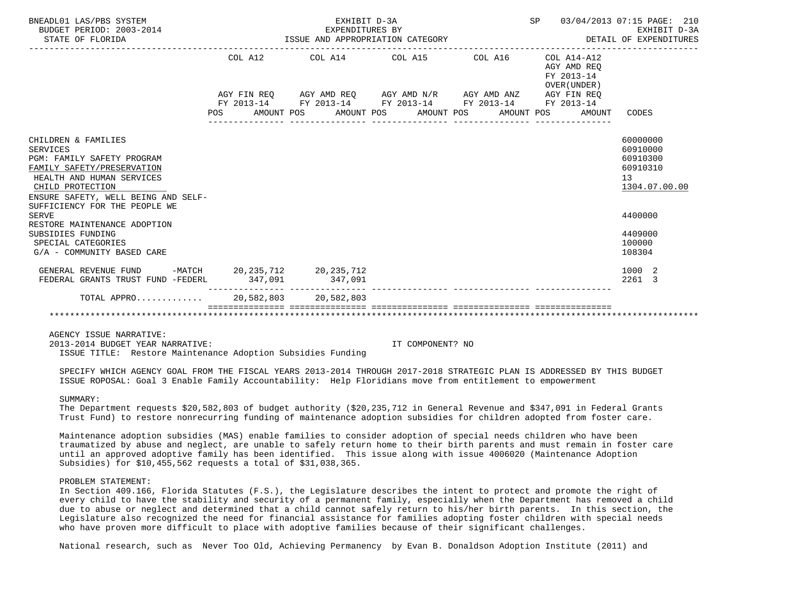| BNEADL01 LAS/PBS SYSTEM<br>BUDGET PERIOD: 2003-2014<br>STATE OF FLORIDA                                                                                                                                                     | ISSUE AND APPROPRIATION CATEGORY | SP 03/04/2013 07:15 PAGE: 210<br>DETAIL OF EXPENDITURES     | EXHIBIT D-3A |                                                          |                                                                     |
|-----------------------------------------------------------------------------------------------------------------------------------------------------------------------------------------------------------------------------|----------------------------------|-------------------------------------------------------------|--------------|----------------------------------------------------------|---------------------------------------------------------------------|
|                                                                                                                                                                                                                             | COL A12                          | COL A14 COL A15 COL A16                                     |              | COL A14-A12<br>AGY AMD REO<br>FY 2013-14<br>OVER (UNDER) |                                                                     |
|                                                                                                                                                                                                                             |                                  | AGY FIN REQ AGY AMD REQ AGY AMD N/R AGY AMD ANZ AGY FIN REQ |              |                                                          |                                                                     |
|                                                                                                                                                                                                                             |                                  | FY 2013-14 FY 2013-14 FY 2013-14 FY 2013-14 FY 2013-14      |              | POS AMOUNT POS AMOUNT POS AMOUNT POS AMOUNT POS AMOUNT   | CODES                                                               |
| CHILDREN & FAMILIES<br>SERVICES<br><b>PGM: FAMILY SAFETY PROGRAM</b><br>FAMILY SAFETY/PRESERVATION<br>HEALTH AND HUMAN SERVICES<br>CHILD PROTECTION<br>ENSURE SAFETY, WELL BEING AND SELF-<br>SUFFICIENCY FOR THE PEOPLE WE |                                  |                                                             |              |                                                          | 60000000<br>60910000<br>60910300<br>60910310<br>13<br>1304.07.00.00 |
| <b>SERVE</b><br>RESTORE MAINTENANCE ADOPTION                                                                                                                                                                                |                                  |                                                             |              |                                                          | 4400000                                                             |
| SUBSIDIES FUNDING<br>SPECIAL CATEGORIES<br>G/A - COMMUNITY BASED CARE                                                                                                                                                       |                                  |                                                             |              |                                                          | 4409000<br>100000<br>108304                                         |
| GENERAL REVENUE FUND -MATCH 20,235,712 20,235,712<br>FEDERAL GRANTS TRUST FUND -FEDERL                                                                                                                                      |                                  | 347,091 347,091                                             |              |                                                          | 1000 2<br>2261 3                                                    |
| TOTAL APPRO 20,582,803 20,582,803                                                                                                                                                                                           |                                  |                                                             |              |                                                          |                                                                     |
|                                                                                                                                                                                                                             |                                  |                                                             |              |                                                          |                                                                     |

AGENCY ISSUE NARRATIVE:

 2013-2014 BUDGET YEAR NARRATIVE: IT COMPONENT? NO ISSUE TITLE: Restore Maintenance Adoption Subsidies Funding

 SPECIFY WHICH AGENCY GOAL FROM THE FISCAL YEARS 2013-2014 THROUGH 2017-2018 STRATEGIC PLAN IS ADDRESSED BY THIS BUDGET ISSUE ROPOSAL: Goal 3 Enable Family Accountability: Help Floridians move from entitlement to empowerment

### SUMMARY:

 The Department requests \$20,582,803 of budget authority (\$20,235,712 in General Revenue and \$347,091 in Federal Grants Trust Fund) to restore nonrecurring funding of maintenance adoption subsidies for children adopted from foster care.

 Maintenance adoption subsidies (MAS) enable families to consider adoption of special needs children who have been traumatized by abuse and neglect, are unable to safely return home to their birth parents and must remain in foster care until an approved adoptive family has been identified. This issue along with issue 4006020 (Maintenance Adoption Subsidies) for \$10,455,562 requests a total of \$31,038,365.

## PROBLEM STATEMENT:

 In Section 409.166, Florida Statutes (F.S.), the Legislature describes the intent to protect and promote the right of every child to have the stability and security of a permanent family, especially when the Department has removed a child due to abuse or neglect and determined that a child cannot safely return to his/her birth parents. In this section, the Legislature also recognized the need for financial assistance for families adopting foster children with special needs who have proven more difficult to place with adoptive families because of their significant challenges.

National research, such as Never Too Old, Achieving Permanency by Evan B. Donaldson Adoption Institute (2011) and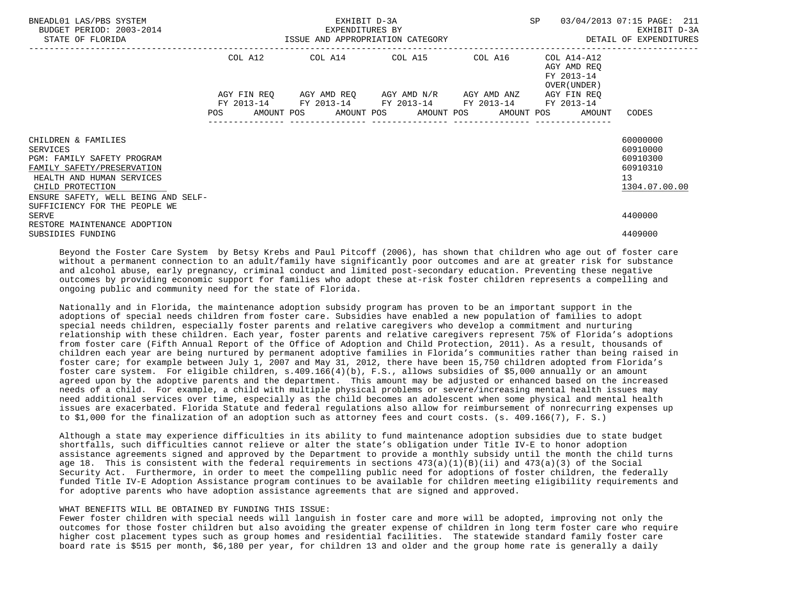| BNEADL01 LAS/PBS SYSTEM<br>BUDGET PERIOD: 2003-2014<br>STATE OF FLORIDA                                                                                                             |            |                 | EXHIBIT D-3A<br>EXPENDITURES BY                                                                                                                          | SP<br>EXPENDITURES BY EXELENT D-3A EXHIBIT D-3A EXELENT D-3A EXELENT D-3A EXELENT D-3A EXELENT D-3A EXERENDITURES | 03/04/2013 07:15 PAGE: 211                                          |
|-------------------------------------------------------------------------------------------------------------------------------------------------------------------------------------|------------|-----------------|----------------------------------------------------------------------------------------------------------------------------------------------------------|-------------------------------------------------------------------------------------------------------------------|---------------------------------------------------------------------|
|                                                                                                                                                                                     |            |                 | COL A12 COL A14 COL A15 COL A16                                                                                                                          | COL A14-A12<br>AGY AMD REO<br>FY 2013-14<br>OVER (UNDER )                                                         |                                                                     |
|                                                                                                                                                                                     | <b>POS</b> | --------------- | AGY FIN REQ AGY AMD REQ AGY AMD N/R AGY AMD ANZ<br>FY 2013-14 FY 2013-14 FY 2013-14 FY 2013-14 FY 2013-14<br>AMOUNT POS AMOUNT POS AMOUNT POS AMOUNT POS | AGY FIN REO<br>AMOUNT                                                                                             | CODES                                                               |
| CHILDREN & FAMILIES<br>SERVICES<br>PGM: FAMILY SAFETY PROGRAM<br>FAMILY SAFETY/PRESERVATION<br>HEALTH AND HUMAN SERVICES<br>CHILD PROTECTION<br>ENSURE SAFETY, WELL BEING AND SELF- |            |                 |                                                                                                                                                          |                                                                                                                   | 60000000<br>60910000<br>60910300<br>60910310<br>13<br>1304.07.00.00 |
| SUFFICIENCY FOR THE PEOPLE WE<br><b>SERVE</b><br>RESTORE MAINTENANCE ADOPTION<br>SUBSIDIES FUNDING                                                                                  |            |                 |                                                                                                                                                          |                                                                                                                   | 4400000<br>4409000                                                  |

 Beyond the Foster Care System by Betsy Krebs and Paul Pitcoff (2006), has shown that children who age out of foster care without a permanent connection to an adult/family have significantly poor outcomes and are at greater risk for substance and alcohol abuse, early pregnancy, criminal conduct and limited post-secondary education. Preventing these negative outcomes by providing economic support for families who adopt these at-risk foster children represents a compelling and ongoing public and community need for the state of Florida.

 Nationally and in Florida, the maintenance adoption subsidy program has proven to be an important support in the adoptions of special needs children from foster care. Subsidies have enabled a new population of families to adopt special needs children, especially foster parents and relative caregivers who develop a commitment and nurturing relationship with these children. Each year, foster parents and relative caregivers represent 75% of Florida's adoptions from foster care (Fifth Annual Report of the Office of Adoption and Child Protection, 2011). As a result, thousands of children each year are being nurtured by permanent adoptive families in Florida's communities rather than being raised in foster care; for example between July 1, 2007 and May 31, 2012, there have been 15,750 children adopted from Florida's foster care system. For eligible children, s.409.166(4)(b), F.S., allows subsidies of \$5,000 annually or an amount agreed upon by the adoptive parents and the department. This amount may be adjusted or enhanced based on the increased needs of a child. For example, a child with multiple physical problems or severe/increasing mental health issues may need additional services over time, especially as the child becomes an adolescent when some physical and mental health issues are exacerbated. Florida Statute and federal regulations also allow for reimbursement of nonrecurring expenses up to \$1,000 for the finalization of an adoption such as attorney fees and court costs. (s. 409.166(7), F. S.)

 Although a state may experience difficulties in its ability to fund maintenance adoption subsidies due to state budget shortfalls, such difficulties cannot relieve or alter the state's obligation under Title IV-E to honor adoption assistance agreements signed and approved by the Department to provide a monthly subsidy until the month the child turns age 18. This is consistent with the federal requirements in sections  $473(a)(1)(B)(ii)$  and  $473(a)(3)$  of the Social Security Act. Furthermore, in order to meet the compelling public need for adoptions of foster children, the federally funded Title IV-E Adoption Assistance program continues to be available for children meeting eligibility requirements and for adoptive parents who have adoption assistance agreements that are signed and approved.

### WHAT BENEFITS WILL BE OBTAINED BY FUNDING THIS ISSUE:

 Fewer foster children with special needs will languish in foster care and more will be adopted, improving not only the outcomes for those foster children but also avoiding the greater expense of children in long term foster care who require higher cost placement types such as group homes and residential facilities. The statewide standard family foster care board rate is \$515 per month, \$6,180 per year, for children 13 and older and the group home rate is generally a daily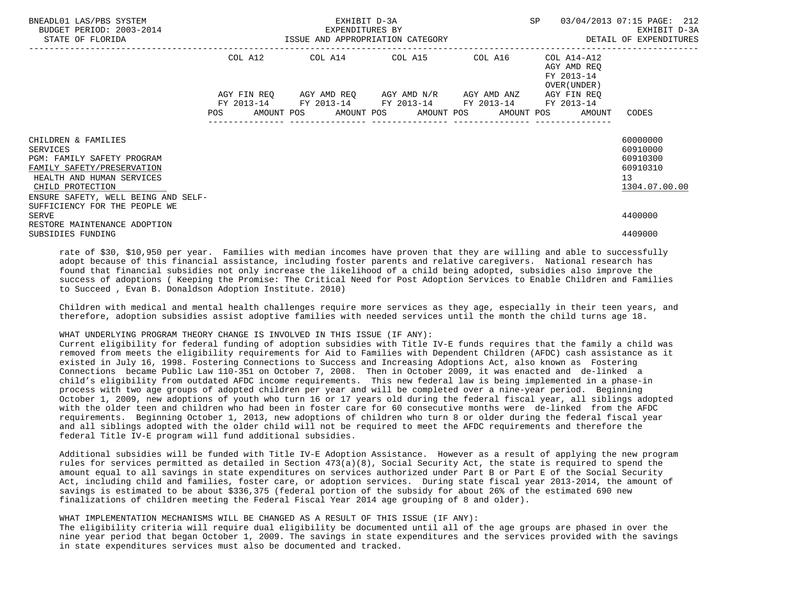| BNEADL01 LAS/PBS SYSTEM<br>BUDGET PERIOD: 2003-2014<br>STATE OF FLORIDA                                                                                                             |            | EXPENDITURES BY<br>ISSUE AND APPROPRIATION CATEGORY                                                       | EXHIBIT D-3A<br>EXPENDITURES BY | SP                                                                | 03/04/2013 07:15 PAGE: 212<br>EXHIBIT D-3A<br>DETAIL OF EXPENDITURES |
|-------------------------------------------------------------------------------------------------------------------------------------------------------------------------------------|------------|-----------------------------------------------------------------------------------------------------------|---------------------------------|-------------------------------------------------------------------|----------------------------------------------------------------------|
|                                                                                                                                                                                     |            | COL A12 COL A14 COL A15 COL A16                                                                           |                                 | COL A14-A12<br>AGY AMD REQ<br>FY 2013-14<br>OVER (UNDER )         |                                                                      |
|                                                                                                                                                                                     | <b>POS</b> | AGY FIN REQ AGY AMD REQ AGY AMD N/R AGY AMD ANZ<br>FY 2013-14 FY 2013-14 FY 2013-14 FY 2013-14 FY 2013-14 |                                 | AGY FIN REO<br>AMOUNT POS AMOUNT POS AMOUNT POS AMOUNT POS AMOUNT | CODES                                                                |
| CHILDREN & FAMILIES<br>SERVICES<br>PGM: FAMILY SAFETY PROGRAM<br>FAMILY SAFETY/PRESERVATION<br>HEALTH AND HUMAN SERVICES<br>CHILD PROTECTION<br>ENSURE SAFETY, WELL BEING AND SELF- |            |                                                                                                           |                                 |                                                                   | 60000000<br>60910000<br>60910300<br>60910310<br>13<br>1304.07.00.00  |
| SUFFICIENCY FOR THE PEOPLE WE<br>SERVE<br>RESTORE MAINTENANCE ADOPTION<br>SUBSIDIES FUNDING                                                                                         |            |                                                                                                           |                                 |                                                                   | 4400000<br>4409000                                                   |

 rate of \$30, \$10,950 per year. Families with median incomes have proven that they are willing and able to successfully adopt because of this financial assistance, including foster parents and relative caregivers. National research has found that financial subsidies not only increase the likelihood of a child being adopted, subsidies also improve the success of adoptions ( Keeping the Promise: The Critical Need for Post Adoption Services to Enable Children and Families to Succeed , Evan B. Donaldson Adoption Institute. 2010)

 Children with medical and mental health challenges require more services as they age, especially in their teen years, and therefore, adoption subsidies assist adoptive families with needed services until the month the child turns age 18.

## WHAT UNDERLYING PROGRAM THEORY CHANGE IS INVOLVED IN THIS ISSUE (IF ANY):

 Current eligibility for federal funding of adoption subsidies with Title IV-E funds requires that the family a child was removed from meets the eligibility requirements for Aid to Families with Dependent Children (AFDC) cash assistance as it existed in July 16, 1998. Fostering Connections to Success and Increasing Adoptions Act, also known as Fostering Connections became Public Law 110-351 on October 7, 2008. Then in October 2009, it was enacted and de-linked a child's eligibility from outdated AFDC income requirements. This new federal law is being implemented in a phase-in process with two age groups of adopted children per year and will be completed over a nine-year period. Beginning October 1, 2009, new adoptions of youth who turn 16 or 17 years old during the federal fiscal year, all siblings adopted with the older teen and children who had been in foster care for 60 consecutive months were de-linked from the AFDC requirements. Beginning October 1, 2013, new adoptions of children who turn 8 or older during the federal fiscal year and all siblings adopted with the older child will not be required to meet the AFDC requirements and therefore the federal Title IV-E program will fund additional subsidies.

 Additional subsidies will be funded with Title IV-E Adoption Assistance. However as a result of applying the new program rules for services permitted as detailed in Section 473(a)(8), Social Security Act, the state is required to spend the amount equal to all savings in state expenditures on services authorized under Part B or Part E of the Social Security Act, including child and families, foster care, or adoption services. During state fiscal year 2013-2014, the amount of savings is estimated to be about \$336,375 (federal portion of the subsidy for about 26% of the estimated 690 new finalizations of children meeting the Federal Fiscal Year 2014 age grouping of 8 and older).

## WHAT IMPLEMENTATION MECHANISMS WILL BE CHANGED AS A RESULT OF THIS ISSUE (IF ANY):

 The eligibility criteria will require dual eligibility be documented until all of the age groups are phased in over the nine year period that began October 1, 2009. The savings in state expenditures and the services provided with the savings in state expenditures services must also be documented and tracked.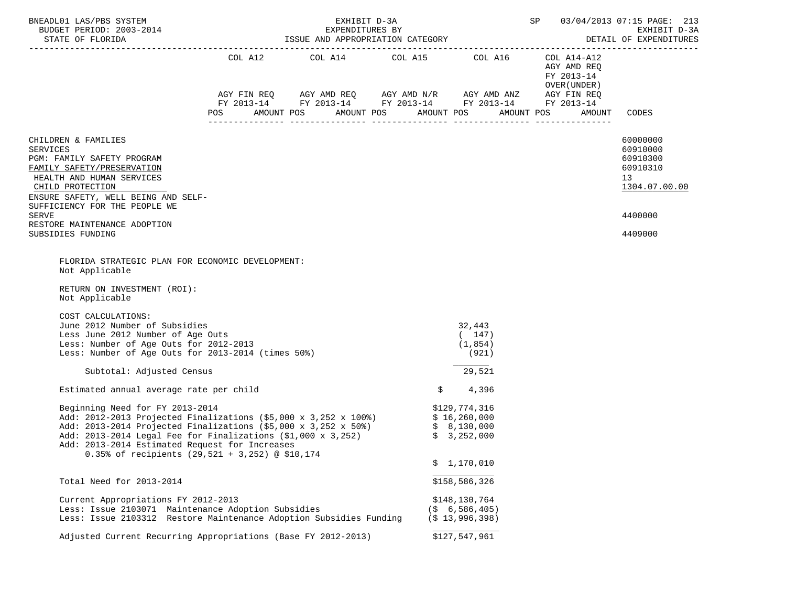| BNEADL01 LAS/PBS SYSTEM<br>BUDGET PERIOD: 2003-2014                                                                                                                                                                                                                                                                                                                  |            | EXHIBIT D-3A<br>EXPENDITURES BY  | 03/04/2013 07:15 PAGE: 213<br>SP<br>EXHIBIT D-3A            |                                            |                                              |
|----------------------------------------------------------------------------------------------------------------------------------------------------------------------------------------------------------------------------------------------------------------------------------------------------------------------------------------------------------------------|------------|----------------------------------|-------------------------------------------------------------|--------------------------------------------|----------------------------------------------|
|                                                                                                                                                                                                                                                                                                                                                                      |            |                                  | AGY FIN REQ AGY AMD REQ AGY AMD N/R AGY AMD ANZ AGY FIN REQ | AGY AMD REQ<br>FY 2013-14<br>OVER (UNDER ) |                                              |
|                                                                                                                                                                                                                                                                                                                                                                      |            |                                  | FY 2013-14 FY 2013-14 FY 2013-14 FY 2013-14 FY 2013-14      |                                            |                                              |
|                                                                                                                                                                                                                                                                                                                                                                      | <b>POS</b> | AMOUNT POS AMOUNT POS AMOUNT POS |                                                             | AMOUNT POS<br>AMOUNT                       | CODES                                        |
| CHILDREN & FAMILIES<br><b>SERVICES</b><br>PGM: FAMILY SAFETY PROGRAM<br>FAMILY SAFETY/PRESERVATION                                                                                                                                                                                                                                                                   |            |                                  |                                                             |                                            | 60000000<br>60910000<br>60910300<br>60910310 |
| HEALTH AND HUMAN SERVICES                                                                                                                                                                                                                                                                                                                                            |            |                                  |                                                             |                                            | 13                                           |
| CHILD PROTECTION<br>ENSURE SAFETY, WELL BEING AND SELF-<br>SUFFICIENCY FOR THE PEOPLE WE                                                                                                                                                                                                                                                                             |            |                                  |                                                             |                                            | 1304.07.00.00                                |
| SERVE<br>RESTORE MAINTENANCE ADOPTION                                                                                                                                                                                                                                                                                                                                |            |                                  |                                                             |                                            | 4400000                                      |
| SUBSIDIES FUNDING                                                                                                                                                                                                                                                                                                                                                    |            |                                  |                                                             |                                            | 4409000                                      |
| Not Applicable<br>RETURN ON INVESTMENT (ROI):<br>Not Applicable<br>COST CALCULATIONS:<br>June 2012 Number of Subsidies<br>Less June 2012 Number of Age Outs<br>Less: Number of Age Outs for 2012-2013<br>Less: Number of Age Outs for 2013-2014 (times 50%)                                                                                                          |            |                                  | 32,443<br>(147)<br>(1, 854)<br>(921)                        |                                            |                                              |
| Subtotal: Adjusted Census                                                                                                                                                                                                                                                                                                                                            |            |                                  | 29,521                                                      |                                            |                                              |
| Estimated annual average rate per child                                                                                                                                                                                                                                                                                                                              |            |                                  | \$<br>4,396                                                 |                                            |                                              |
| Beginning Need for FY 2013-2014<br>Add: 2012-2013 Projected Finalizations (\$5,000 x 3,252 x 100%) \$ 16,260,000<br>Add: 2013-2014 Projected Finalizations (\$5,000 x 3,252 x 50%) \$ 8,130,000<br>Add: 2013-2014 Legal Fee for Finalizations (\$1,000 x 3,252)<br>Add: 2013-2014 Estimated Request for Increases<br>0.35% of recipients (29,521 + 3,252) @ \$10,174 |            |                                  | \$129,774,316<br>\$3,252,000<br>\$1,170,010                 |                                            |                                              |
| Total Need for 2013-2014                                                                                                                                                                                                                                                                                                                                             |            |                                  | \$158,586,326                                               |                                            |                                              |
| Current Appropriations FY 2012-2013<br>Less: Issue 2103071 Maintenance Adoption Subsidies<br>Less: Issue 2103312 Restore Maintenance Adoption Subsidies Funding                                                                                                                                                                                                      |            |                                  | \$148,130,764<br>$($ \$ 6,586,405)<br>$($ \$13,996,398)     |                                            |                                              |
| Adjusted Current Recurring Appropriations (Base FY 2012-2013)                                                                                                                                                                                                                                                                                                        |            |                                  | \$127,547,961                                               |                                            |                                              |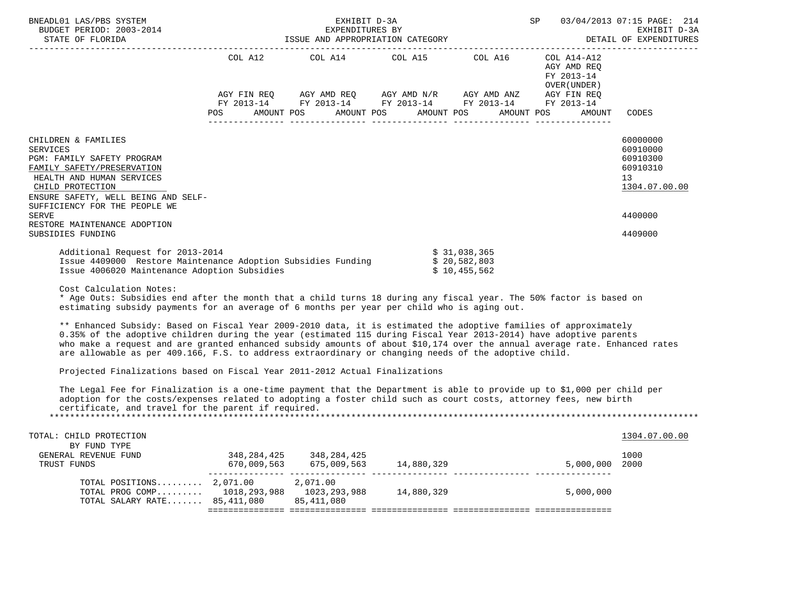| BNEADL01 LAS/PBS SYSTEM<br>BUDGET PERIOD: 2003-2014<br>STATE OF FLORIDA                                                                                                                                                     |            | EXHIBIT D-3A                                                                                                                                   |                                              | SP 03/04/2013 07:15 PAGE: 214                             | EXPENDITURES BY EXPENDITURES BY EXHIBIT D-3A EXPENDITURES BY EXPENDITURES BY EXPENDITURES |
|-----------------------------------------------------------------------------------------------------------------------------------------------------------------------------------------------------------------------------|------------|------------------------------------------------------------------------------------------------------------------------------------------------|----------------------------------------------|-----------------------------------------------------------|-------------------------------------------------------------------------------------------|
|                                                                                                                                                                                                                             |            | COL A12 COL A14 COL A15 COL A16                                                                                                                |                                              | COL A14-A12<br>AGY AMD REO<br>FY 2013-14<br>OVER (UNDER ) |                                                                                           |
|                                                                                                                                                                                                                             | <b>POS</b> | AGY FIN REQ AGY AMD REQ AGY AMD N/R AGY AMD ANZ AGY FIN REQ<br>FY 2013-14 FY 2013-14 FY 2013-14 FY 2013-14<br>AMOUNT POS AMOUNT POS AMOUNT POS |                                              | FY 2013-14<br>AMOUNT POS<br>AMOUNT                        | CODES                                                                                     |
| CHILDREN & FAMILIES<br>SERVICES<br><b>PGM: FAMILY SAFETY PROGRAM</b><br>FAMILY SAFETY/PRESERVATION<br>HEALTH AND HUMAN SERVICES<br>CHILD PROTECTION<br>ENSURE SAFETY, WELL BEING AND SELF-<br>SUFFICIENCY FOR THE PEOPLE WE |            |                                                                                                                                                |                                              |                                                           | 60000000<br>60910000<br>60910300<br>60910310<br>13<br>1304.07.00.00                       |
| SERVE<br>RESTORE MAINTENANCE ADOPTION                                                                                                                                                                                       |            |                                                                                                                                                |                                              |                                                           | 4400000                                                                                   |
| SUBSIDIES FUNDING                                                                                                                                                                                                           |            |                                                                                                                                                |                                              |                                                           | 4409000                                                                                   |
| Additional Request for 2013-2014<br>Issue 4409000 Restore Maintenance Adoption Subsidies Funding<br>Issue 4006020 Maintenance Adoption Subsidies                                                                            |            |                                                                                                                                                | \$31,038,365<br>\$20,582,803<br>\$10,455,562 |                                                           |                                                                                           |

Cost Calculation Notes:

 \* Age Outs: Subsidies end after the month that a child turns 18 during any fiscal year. The 50% factor is based on estimating subsidy payments for an average of 6 months per year per child who is aging out.

 \*\* Enhanced Subsidy: Based on Fiscal Year 2009-2010 data, it is estimated the adoptive families of approximately 0.35% of the adoptive children during the year (estimated 115 during Fiscal Year 2013-2014) have adoptive parents who make a request and are granted enhanced subsidy amounts of about \$10,174 over the annual average rate. Enhanced rates are allowable as per 409.166, F.S. to address extraordinary or changing needs of the adoptive child.

Projected Finalizations based on Fiscal Year 2011-2012 Actual Finalizations

 The Legal Fee for Finalization is a one-time payment that the Department is able to provide up to \$1,000 per child per adoption for the costs/expenses related to adopting a foster child such as court costs, attorney fees, new birth certificate, and travel for the parent if required. \*\*\*\*\*\*\*\*\*\*\*\*\*\*\*\*\*\*\*\*\*\*\*\*\*\*\*\*\*\*\*\*\*\*\*\*\*\*\*\*\*\*\*\*\*\*\*\*\*\*\*\*\*\*\*\*\*\*\*\*\*\*\*\*\*\*\*\*\*\*\*\*\*\*\*\*\*\*\*\*\*\*\*\*\*\*\*\*\*\*\*\*\*\*\*\*\*\*\*\*\*\*\*\*\*\*\*\*\*\*\*\*\*\*\*\*\*\*\*\*\*\*\*\*\*\*\*

| TOTAL: CHILD PROTECTION        |              |              |            |           | 1304.07.00.00 |
|--------------------------------|--------------|--------------|------------|-----------|---------------|
| BY FUND TYPE                   |              |              |            |           |               |
| GENERAL REVENUE FUND           | 348,284,425  | 348,284,425  |            |           | 1000          |
| TRUST FUNDS                    | 670,009,563  | 675,009,563  | 14,880,329 | 5,000,000 | 2000          |
|                                |              |              |            |           |               |
| TOTAL POSITIONS $2,071.00$     |              | 2,071.00     |            |           |               |
| TOTAL PROG COMP                | 1018,293,988 | 1023,293,988 | 14,880,329 | 5,000,000 |               |
| TOTAL SALARY RATE $85,411,080$ |              | 85,411,080   |            |           |               |
|                                |              |              |            |           |               |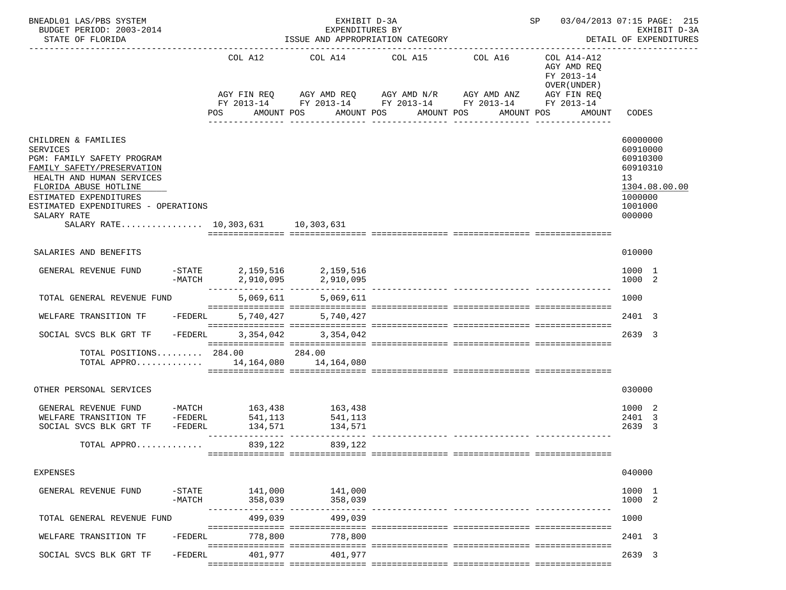| BNEADL01 LAS/PBS SYSTEM<br>BUDGET PERIOD: 2003-2014<br>STATE OF FLORIDA                                                                                                                                                                                                       |           |                           | EXHIBIT D-3A<br>EXPENDITURES BY                          | ISSUE AND APPROPRIATION CATEGORY<br>___________________________________                                                                                  | SP 03/04/2013 07:15 PAGE: 215                                                                   | EXHIBIT D-3A<br>DETAIL OF EXPENDITURES                                                              |
|-------------------------------------------------------------------------------------------------------------------------------------------------------------------------------------------------------------------------------------------------------------------------------|-----------|---------------------------|----------------------------------------------------------|----------------------------------------------------------------------------------------------------------------------------------------------------------|-------------------------------------------------------------------------------------------------|-----------------------------------------------------------------------------------------------------|
|                                                                                                                                                                                                                                                                               |           | COL A12<br>POS AMOUNT POS | COL A14                                                  | COL A16<br>COL A15<br>AGY FIN REQ AGY AMD REQ AGY AMD N/R AGY AMD ANZ<br>FY 2013-14 FY 2013-14 FY 2013-14 FY 2013-14 FY 2013-14<br>AMOUNT POS AMOUNT POS | COL A14-A12<br>AGY AMD REO<br>FY 2013-14<br>OVER (UNDER)<br>AGY FIN REQ<br>AMOUNT POS<br>AMOUNT | CODES                                                                                               |
|                                                                                                                                                                                                                                                                               |           |                           |                                                          |                                                                                                                                                          |                                                                                                 |                                                                                                     |
| CHILDREN & FAMILIES<br><b>SERVICES</b><br>PGM: FAMILY SAFETY PROGRAM<br>FAMILY SAFETY/PRESERVATION<br>HEALTH AND HUMAN SERVICES<br>FLORIDA ABUSE HOTLINE<br>ESTIMATED EXPENDITURES<br>ESTIMATED EXPENDITURES - OPERATIONS<br>SALARY RATE<br>SALARY RATE 10.303.631 10.303.631 |           |                           |                                                          |                                                                                                                                                          |                                                                                                 | 60000000<br>60910000<br>60910300<br>60910310<br>13<br>1304.08.00.00<br>1000000<br>1001000<br>000000 |
| SALARIES AND BENEFITS                                                                                                                                                                                                                                                         |           |                           |                                                          |                                                                                                                                                          |                                                                                                 | 010000                                                                                              |
| GENERAL REVENUE FUND                                                                                                                                                                                                                                                          |           |                           | -STATE 2,159,516 2,159,516<br>-MATCH 2,910,095 2,910,095 |                                                                                                                                                          |                                                                                                 | 1000 1<br>1000 2                                                                                    |
| TOTAL GENERAL REVENUE FUND                                                                                                                                                                                                                                                    |           |                           | 5,069,611 5,069,611                                      |                                                                                                                                                          |                                                                                                 | 1000                                                                                                |
| WELFARE TRANSITION TF                                                                                                                                                                                                                                                         | -FEDERL   |                           | 5,740,427 5,740,427                                      |                                                                                                                                                          |                                                                                                 | 2401 3                                                                                              |
| SOCIAL SVCS BLK GRT TF                                                                                                                                                                                                                                                        | $-FEDERL$ |                           | 3, 354, 042 3, 354, 042                                  |                                                                                                                                                          |                                                                                                 | 2639 3                                                                                              |
| TOTAL POSITIONS 284.00 284.00<br>TOTAL APPRO 14,164,080 14,164,080                                                                                                                                                                                                            |           |                           |                                                          |                                                                                                                                                          |                                                                                                 |                                                                                                     |
| OTHER PERSONAL SERVICES                                                                                                                                                                                                                                                       |           |                           |                                                          |                                                                                                                                                          |                                                                                                 | 030000                                                                                              |
| GENERAL REVENUE FUND -MATCH 163,438 163,438<br>WELFARE TRANSITION TF -FEDERL 541,113 541,113<br>SOCIAL SVCS BLK GRT TF                                                                                                                                                        | -FEDERL   | 134,571                   | 134,571                                                  |                                                                                                                                                          |                                                                                                 | 1000 2<br>2401 3<br>2639<br>-3                                                                      |
| TOTAL APPRO                                                                                                                                                                                                                                                                   |           | 839,122                   | 839,122                                                  |                                                                                                                                                          |                                                                                                 |                                                                                                     |
| EXPENSES                                                                                                                                                                                                                                                                      |           |                           |                                                          |                                                                                                                                                          |                                                                                                 | 040000                                                                                              |
| GENERAL REVENUE FUND                                                                                                                                                                                                                                                          | $-MATCH$  | 358,039                   | -STATE 141,000 141,000<br>358,039                        |                                                                                                                                                          |                                                                                                 | 1000 1<br>1000 2                                                                                    |
| TOTAL GENERAL REVENUE FUND                                                                                                                                                                                                                                                    |           | 499,039                   | 499,039                                                  |                                                                                                                                                          |                                                                                                 | 1000                                                                                                |
| WELFARE TRANSITION TF                                                                                                                                                                                                                                                         | $-FEDERL$ | 778,800                   | 778,800                                                  |                                                                                                                                                          |                                                                                                 | 2401 3                                                                                              |
| SOCIAL SVCS BLK GRT TF                                                                                                                                                                                                                                                        | -FEDERL   | 401,977                   | 401,977                                                  |                                                                                                                                                          |                                                                                                 | 2639 3                                                                                              |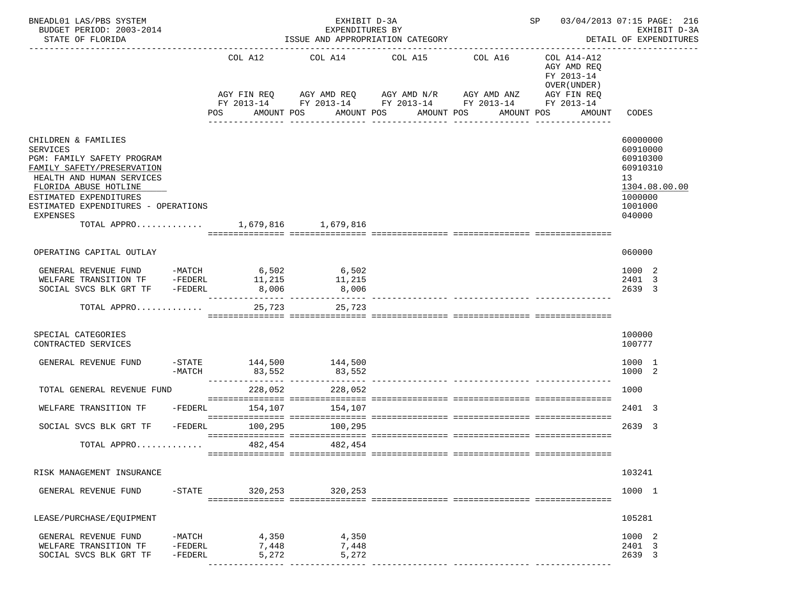| BNEADL01 LAS/PBS SYSTEM<br>BUDGET PERIOD: 2003-2014<br>STATE OF FLORIDA                                                                                                            |                                  |                    |                         | EXHIBIT D-3A<br>EXPENDITURES BY<br>ISSUE AND APPROPRIATION CATEGORY |                                                            | SP 03/04/2013 07:15 PAGE: 216                                        | EXHIBIT D-3A<br>DETAIL OF EXPENDITURES                   |                                                                                |
|------------------------------------------------------------------------------------------------------------------------------------------------------------------------------------|----------------------------------|--------------------|-------------------------|---------------------------------------------------------------------|------------------------------------------------------------|----------------------------------------------------------------------|----------------------------------------------------------|--------------------------------------------------------------------------------|
|                                                                                                                                                                                    |                                  | COL A12            |                         | COL A14                                                             | COL A15                                                    | COL A16                                                              | COL A14-A12<br>AGY AMD REQ<br>FY 2013-14<br>OVER (UNDER) |                                                                                |
|                                                                                                                                                                                    |                                  | AGY FIN REQ<br>POS |                         | AMOUNT POS                                                          | AGY AMD REQ      AGY AMD N/R     AGY AMD ANZ<br>AMOUNT POS | FY 2013-14 FY 2013-14 FY 2013-14 FY 2013-14 FY 2013-14<br>AMOUNT POS | AGY FIN REQ<br>AMOUNT POS<br>AMOUNT                      | CODES                                                                          |
|                                                                                                                                                                                    |                                  |                    |                         |                                                                     | ----------                                                 | -----------                                                          |                                                          |                                                                                |
| CHILDREN & FAMILIES<br><b>SERVICES</b><br>PGM: FAMILY SAFETY PROGRAM<br>FAMILY SAFETY/PRESERVATION<br>HEALTH AND HUMAN SERVICES<br>FLORIDA ABUSE HOTLINE<br>ESTIMATED EXPENDITURES |                                  |                    |                         |                                                                     |                                                            |                                                                      |                                                          | 60000000<br>60910000<br>60910300<br>60910310<br>13<br>1304.08.00.00<br>1000000 |
| ESTIMATED EXPENDITURES - OPERATIONS<br>EXPENSES                                                                                                                                    |                                  |                    |                         |                                                                     |                                                            |                                                                      |                                                          | 1001000<br>040000                                                              |
| TOTAL APPRO 1,679,816 1,679,816                                                                                                                                                    |                                  |                    |                         |                                                                     |                                                            |                                                                      |                                                          |                                                                                |
| OPERATING CAPITAL OUTLAY                                                                                                                                                           |                                  |                    |                         |                                                                     |                                                            |                                                                      |                                                          | 060000                                                                         |
| GENERAL REVENUE FUND -MATCH 6,502 6,502<br>WELFARE TRANSITION TF -FEDERL 11,215<br>SOCIAL SVCS BLK GRT TF -FEDERL                                                                  |                                  | 8,006              |                         | 11,215<br>8,006                                                     |                                                            |                                                                      |                                                          | 1000 2<br>2401 3<br>2639 3                                                     |
| TOTAL APPRO                                                                                                                                                                        |                                  |                    | 25,723                  | ---------------- ---------------<br>25,723                          |                                                            |                                                                      |                                                          |                                                                                |
| SPECIAL CATEGORIES<br>CONTRACTED SERVICES                                                                                                                                          |                                  |                    |                         |                                                                     |                                                            |                                                                      |                                                          | 100000<br>100777                                                               |
| GENERAL REVENUE FUND                                                                                                                                                               | -MATCH                           | 83,552             |                         | -STATE 144,500 144,500<br>83,552                                    |                                                            |                                                                      |                                                          | 1000 1<br>1000 2                                                               |
| TOTAL GENERAL REVENUE FUND                                                                                                                                                         |                                  |                    | 228,052                 | 228,052                                                             |                                                            |                                                                      |                                                          | 1000                                                                           |
| WELFARE TRANSITION TF                                                                                                                                                              | $-FEDERL$                        |                    | 154,107                 | 154,107                                                             |                                                            |                                                                      |                                                          | 2401 3                                                                         |
| SOCIAL SVCS BLK GRT TF                                                                                                                                                             | $-FEDERL$                        | 100,295            |                         | 100,295                                                             |                                                            |                                                                      |                                                          | 2639 3                                                                         |
| TOTAL APPRO                                                                                                                                                                        |                                  |                    |                         | 482,454<br>482,454                                                  |                                                            |                                                                      |                                                          |                                                                                |
| RISK MANAGEMENT INSURANCE                                                                                                                                                          |                                  |                    |                         |                                                                     |                                                            |                                                                      |                                                          | 103241                                                                         |
| GENERAL REVENUE FUND                                                                                                                                                               |                                  |                    |                         | -STATE 320,253 320,253                                              |                                                            |                                                                      |                                                          | 1000 1                                                                         |
| LEASE/PURCHASE/EQUIPMENT                                                                                                                                                           |                                  |                    |                         |                                                                     |                                                            |                                                                      |                                                          | 105281                                                                         |
| GENERAL REVENUE FUND<br>WELFARE TRANSITION TF<br>SOCIAL SVCS BLK GRT TF                                                                                                            | -MATCH<br>$-FEDERL$<br>$-FEDERL$ |                    | 4,350<br>7,448<br>5,272 | 4,350<br>7,448<br>5,272                                             |                                                            |                                                                      |                                                          | 1000 2<br>2401 3<br>2639 3                                                     |
|                                                                                                                                                                                    |                                  |                    |                         | ---------------- -------------                                      |                                                            |                                                                      |                                                          |                                                                                |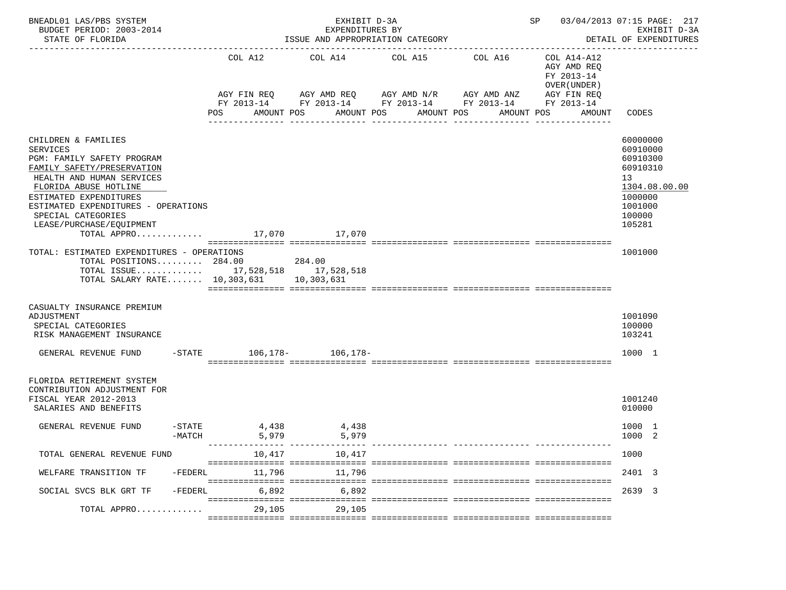| BNEADL01 LAS/PBS SYSTEM<br>BUDGET PERIOD: 2003-2014<br>STATE OF FLORIDA                                                                                                                                                                                                                                  |                    |                          | EXHIBIT D-3A<br>EXPENDITURES BY<br>ISSUE AND APPROPRIATION CATEGORY                                           |                                | SP 03/04/2013 07:15 PAGE: 217               | EXHIBIT D-3A<br>DETAIL OF EXPENDITURES                                                |                                                                                                               |  |
|----------------------------------------------------------------------------------------------------------------------------------------------------------------------------------------------------------------------------------------------------------------------------------------------------------|--------------------|--------------------------|---------------------------------------------------------------------------------------------------------------|--------------------------------|---------------------------------------------|---------------------------------------------------------------------------------------|---------------------------------------------------------------------------------------------------------------|--|
|                                                                                                                                                                                                                                                                                                          |                    | COL A12<br>AGY FIN REQ   | COL A14 COL A15 COL A16<br>AGY AMD REQ AGY AMD N/R AGY AMD ANZ<br>FY 2013-14 FY 2013-14 FY 2013-14 FY 2013-14 |                                |                                             | COL A14-A12<br>AGY AMD REQ<br>FY 2013-14<br>OVER (UNDER)<br>AGY FIN REQ<br>FY 2013-14 |                                                                                                               |  |
|                                                                                                                                                                                                                                                                                                          |                    | POS                      | AMOUNT POS                                                                                                    | AMOUNT POS<br>________________ | AMOUNT POS<br>AMOUNT POS<br>_______________ | AMOUNT                                                                                | CODES                                                                                                         |  |
| CHILDREN & FAMILIES<br><b>SERVICES</b><br>PGM: FAMILY SAFETY PROGRAM<br>FAMILY SAFETY/PRESERVATION<br>HEALTH AND HUMAN SERVICES<br>FLORIDA ABUSE HOTLINE<br>ESTIMATED EXPENDITURES<br>ESTIMATED EXPENDITURES - OPERATIONS<br>SPECIAL CATEGORIES<br>LEASE/PURCHASE/EOUIPMENT<br>TOTAL APPRO 17,070 17,070 |                    |                          |                                                                                                               |                                |                                             |                                                                                       | 60000000<br>60910000<br>60910300<br>60910310<br>13<br>1304.08.00.00<br>1000000<br>1001000<br>100000<br>105281 |  |
| TOTAL: ESTIMATED EXPENDITURES - OPERATIONS<br>TOTAL POSITIONS 284.00<br>TOTAL ISSUE 17,528,518 17,528,518<br>TOTAL SALARY RATE 10,303,631 10,303,631                                                                                                                                                     |                    | 284.00                   |                                                                                                               |                                |                                             |                                                                                       | 1001000                                                                                                       |  |
| CASUALTY INSURANCE PREMIUM<br>ADJUSTMENT<br>SPECIAL CATEGORIES<br>RISK MANAGEMENT INSURANCE                                                                                                                                                                                                              |                    |                          |                                                                                                               |                                |                                             |                                                                                       | 1001090<br>100000<br>103241                                                                                   |  |
| GENERAL REVENUE FUND                                                                                                                                                                                                                                                                                     |                    | -STATE 106,178- 106,178- |                                                                                                               |                                |                                             |                                                                                       | 1000 1                                                                                                        |  |
| FLORIDA RETIREMENT SYSTEM<br>CONTRIBUTION ADJUSTMENT FOR<br>FISCAL YEAR 2012-2013<br>SALARIES AND BENEFITS                                                                                                                                                                                               |                    |                          |                                                                                                               |                                |                                             |                                                                                       | 1001240<br>010000                                                                                             |  |
| GENERAL REVENUE FUND                                                                                                                                                                                                                                                                                     | -STATE<br>$-MATCH$ | 4,438<br>5,979           | 4,438<br>5,979                                                                                                |                                |                                             |                                                                                       | 1000 1<br>1000 2                                                                                              |  |
| TOTAL GENERAL REVENUE FUND                                                                                                                                                                                                                                                                               |                    | 10,417                   | 10,417                                                                                                        |                                |                                             |                                                                                       | 1000                                                                                                          |  |
| WELFARE TRANSITION TF                                                                                                                                                                                                                                                                                    | $-FEDERL$          | 11.796                   | 11,796                                                                                                        |                                |                                             |                                                                                       | 2401 3                                                                                                        |  |
| SOCIAL SVCS BLK GRT TF                                                                                                                                                                                                                                                                                   | -FEDERL            | 6,892                    | 6,892                                                                                                         |                                |                                             |                                                                                       | 2639 3                                                                                                        |  |
| TOTAL APPRO                                                                                                                                                                                                                                                                                              |                    | 29,105                   | 29,105                                                                                                        |                                |                                             |                                                                                       |                                                                                                               |  |
|                                                                                                                                                                                                                                                                                                          |                    |                          |                                                                                                               |                                |                                             |                                                                                       |                                                                                                               |  |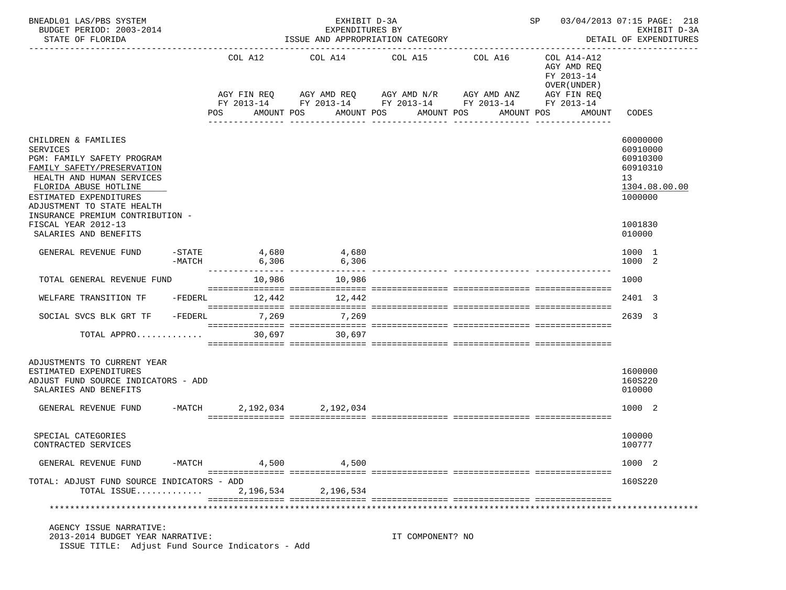| BNEADL01 LAS/PBS SYSTEM<br>BUDGET PERIOD: 2003-2014<br>STATE OF FLORIDA                                                                                                                                          |                       |     |                                                           | EXHIBIT D-3A<br>EXPENDITURES BY<br>ISSUE AND APPROPRIATION CATEGORY |            |                               |                               | SP 03/04/2013 07:15 PAGE: 218                                           | EXHIBIT D-3A<br>DETAIL OF EXPENDITURES                                         |
|------------------------------------------------------------------------------------------------------------------------------------------------------------------------------------------------------------------|-----------------------|-----|-----------------------------------------------------------|---------------------------------------------------------------------|------------|-------------------------------|-------------------------------|-------------------------------------------------------------------------|--------------------------------------------------------------------------------|
|                                                                                                                                                                                                                  |                       |     | COL A12<br>AGY FIN REQ                                    | COL A14 COL A15 COL A16<br>AGY AMD REQ AGY AMD N/R AGY AMD ANZ      |            |                               |                               | COL A14-A12<br>AGY AMD REQ<br>FY 2013-14<br>OVER (UNDER)<br>AGY FIN REQ |                                                                                |
|                                                                                                                                                                                                                  |                       | POS | FY 2013-14 FY 2013-14 FY 2013-14 FY 2013-14<br>AMOUNT POS |                                                                     | AMOUNT POS | AMOUNT POS<br>_______________ | AMOUNT POS<br>_______________ | FY 2013-14<br>AMOUNT                                                    | CODES                                                                          |
| CHILDREN & FAMILIES<br><b>SERVICES</b><br>PGM: FAMILY SAFETY PROGRAM<br>FAMILY SAFETY/PRESERVATION<br>HEALTH AND HUMAN SERVICES<br>FLORIDA ABUSE HOTLINE<br>ESTIMATED EXPENDITURES<br>ADJUSTMENT TO STATE HEALTH |                       |     |                                                           |                                                                     |            |                               |                               |                                                                         | 60000000<br>60910000<br>60910300<br>60910310<br>13<br>1304.08.00.00<br>1000000 |
| INSURANCE PREMIUM CONTRIBUTION -<br>FISCAL YEAR 2012-13<br>SALARIES AND BENEFITS                                                                                                                                 |                       |     |                                                           |                                                                     |            |                               |                               |                                                                         | 1001830<br>010000                                                              |
| GENERAL REVENUE FUND                                                                                                                                                                                             | $-$ STATE<br>$-MATCH$ |     | 4,680<br>6,306                                            | 4.680<br>6,306                                                      |            |                               |                               |                                                                         | 1000 1<br>1000 2                                                               |
| TOTAL GENERAL REVENUE FUND                                                                                                                                                                                       |                       |     |                                                           | 10,986 10,986                                                       |            |                               |                               |                                                                         | 1000                                                                           |
| WELFARE TRANSITION TF                                                                                                                                                                                            | -FEDERL               |     | 12,442                                                    | 12,442                                                              |            |                               |                               |                                                                         | 2401 3                                                                         |
| SOCIAL SVCS BLK GRT TF                                                                                                                                                                                           | $-FEDERL$             |     | 7,269                                                     | 7,269                                                               |            |                               |                               |                                                                         | 2639 3                                                                         |
| TOTAL APPRO                                                                                                                                                                                                      |                       |     | 30,697                                                    | 30,697                                                              |            |                               |                               |                                                                         |                                                                                |
| ADJUSTMENTS TO CURRENT YEAR<br>ESTIMATED EXPENDITURES<br>ADJUST FUND SOURCE INDICATORS - ADD<br>SALARIES AND BENEFITS                                                                                            |                       |     |                                                           |                                                                     |            |                               |                               |                                                                         | 1600000<br>160S220<br>010000                                                   |
| GENERAL REVENUE FUND                                                                                                                                                                                             | $-MATCH$              |     | 2, 192, 034 2, 192, 034                                   |                                                                     |            |                               |                               |                                                                         | 1000 2                                                                         |
| SPECIAL CATEGORIES<br>CONTRACTED SERVICES                                                                                                                                                                        |                       |     |                                                           |                                                                     |            |                               |                               |                                                                         | 100000<br>100777                                                               |
| GENERAL REVENUE FUND                                                                                                                                                                                             | -MATCH                |     | 4,500                                                     | 4,500                                                               |            |                               |                               |                                                                         | 1000 2                                                                         |
| TOTAL: ADJUST FUND SOURCE INDICATORS - ADD<br>TOTAL ISSUE                                                                                                                                                        |                       |     | 2,196,534                                                 | 2,196,534                                                           |            |                               |                               |                                                                         | 160S220                                                                        |
| AGENCY ISSUE NARRATIVE:                                                                                                                                                                                          |                       |     |                                                           |                                                                     |            |                               |                               |                                                                         |                                                                                |
| 2013-2014 BUDGET YEAR NARRATIVE:<br>ISSUE TITLE: Adjust Fund Source Indicators - Add                                                                                                                             |                       |     |                                                           |                                                                     |            | IT COMPONENT? NO              |                               |                                                                         |                                                                                |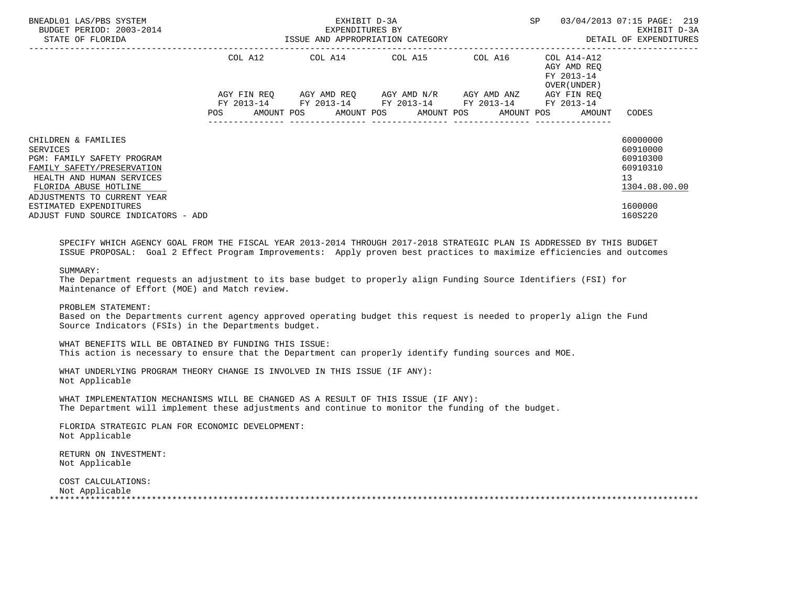| BNEADL01 LAS/PBS SYSTEM<br>BUDGET PERIOD: 2003-2014<br>STATE OF FLORIDA                                                                                                                                                                           | EXHIBIT D-3A<br>--<br>-2014 EXPENDITURES BY EXHIBIT D-3A<br>ISSUE AND APPROPRIATION CATEGORY SAND AND TRINGLES |  |  |  |  |                                                                                                           |  |  |  |                                                                   | 03/04/2013 07:15 PAGE: 219                                                                |
|---------------------------------------------------------------------------------------------------------------------------------------------------------------------------------------------------------------------------------------------------|----------------------------------------------------------------------------------------------------------------|--|--|--|--|-----------------------------------------------------------------------------------------------------------|--|--|--|-------------------------------------------------------------------|-------------------------------------------------------------------------------------------|
|                                                                                                                                                                                                                                                   |                                                                                                                |  |  |  |  | COL A12 COL A14 COL A15 COL A16 COL A14-A12                                                               |  |  |  | AGY AMD REO<br>FY 2013-14<br>OVER (UNDER )                        |                                                                                           |
|                                                                                                                                                                                                                                                   | <b>POS</b>                                                                                                     |  |  |  |  | AGY FIN REQ AGY AMD REQ AGY AMD N/R AGY AMD ANZ<br>FY 2013-14 FY 2013-14 FY 2013-14 FY 2013-14 FY 2013-14 |  |  |  | AGY FIN REO<br>AMOUNT POS AMOUNT POS AMOUNT POS AMOUNT POS AMOUNT | CODES                                                                                     |
| CHILDREN & FAMILIES<br>SERVICES<br>PGM: FAMILY SAFETY PROGRAM<br>FAMILY SAFETY/PRESERVATION<br>HEALTH AND HUMAN SERVICES<br>FLORIDA ABUSE HOTLINE<br>ADJUSTMENTS TO CURRENT YEAR<br>ESTIMATED EXPENDITURES<br>ADJUST FUND SOURCE INDICATORS - ADD |                                                                                                                |  |  |  |  |                                                                                                           |  |  |  |                                                                   | 60000000<br>60910000<br>60910300<br>60910310<br>13<br>1304.08.00.00<br>1600000<br>160S220 |

 SPECIFY WHICH AGENCY GOAL FROM THE FISCAL YEAR 2013-2014 THROUGH 2017-2018 STRATEGIC PLAN IS ADDRESSED BY THIS BUDGET ISSUE PROPOSAL: Goal 2 Effect Program Improvements: Apply proven best practices to maximize efficiencies and outcomes

SUMMARY:

 The Department requests an adjustment to its base budget to properly align Funding Source Identifiers (FSI) for Maintenance of Effort (MOE) and Match review.

PROBLEM STATEMENT:

 Based on the Departments current agency approved operating budget this request is needed to properly align the Fund Source Indicators (FSIs) in the Departments budget.

 WHAT BENEFITS WILL BE OBTAINED BY FUNDING THIS ISSUE: This action is necessary to ensure that the Department can properly identify funding sources and MOE.

 WHAT UNDERLYING PROGRAM THEORY CHANGE IS INVOLVED IN THIS ISSUE (IF ANY): Not Applicable

 WHAT IMPLEMENTATION MECHANISMS WILL BE CHANGED AS A RESULT OF THIS ISSUE (IF ANY): The Department will implement these adjustments and continue to monitor the funding of the budget.

 FLORIDA STRATEGIC PLAN FOR ECONOMIC DEVELOPMENT: Not Applicable

 RETURN ON INVESTMENT: Not Applicable

 COST CALCULATIONS: Not Applicable \*\*\*\*\*\*\*\*\*\*\*\*\*\*\*\*\*\*\*\*\*\*\*\*\*\*\*\*\*\*\*\*\*\*\*\*\*\*\*\*\*\*\*\*\*\*\*\*\*\*\*\*\*\*\*\*\*\*\*\*\*\*\*\*\*\*\*\*\*\*\*\*\*\*\*\*\*\*\*\*\*\*\*\*\*\*\*\*\*\*\*\*\*\*\*\*\*\*\*\*\*\*\*\*\*\*\*\*\*\*\*\*\*\*\*\*\*\*\*\*\*\*\*\*\*\*\*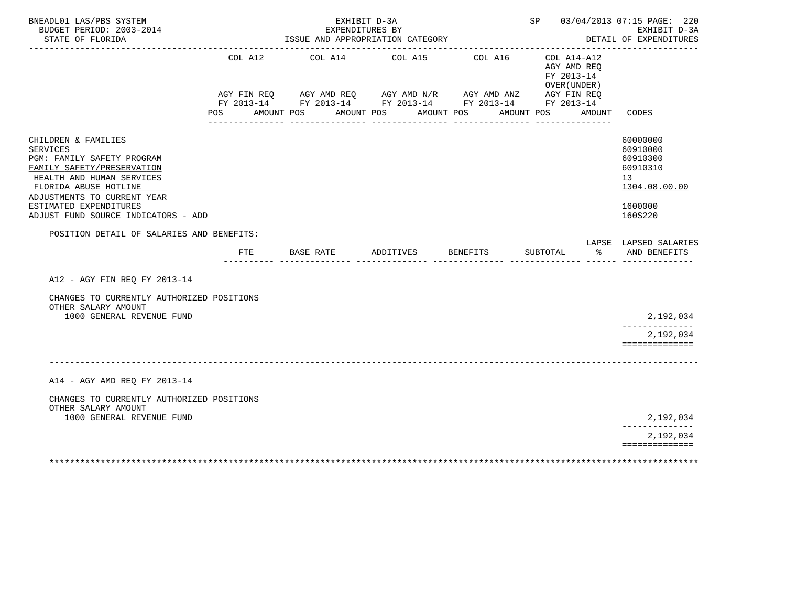| BNEADL01 LAS/PBS SYSTEM<br>BUDGET PERIOD: 2003-2014<br>STATE OF FLORIDA                                                                                                                                                                                                                               |                       | EXHIBIT D-3A<br>EXPENDITURES BY<br>ISSUE AND APPROPRIATION CATEGORY                                                                 |                    |                                     | -----------------                                                   | SP 03/04/2013 07:15 PAGE: 220<br>EXHIBIT D-3A<br>DETAIL OF EXPENDITURES<br>---------------------- |
|-------------------------------------------------------------------------------------------------------------------------------------------------------------------------------------------------------------------------------------------------------------------------------------------------------|-----------------------|-------------------------------------------------------------------------------------------------------------------------------------|--------------------|-------------------------------------|---------------------------------------------------------------------|---------------------------------------------------------------------------------------------------|
|                                                                                                                                                                                                                                                                                                       | COL A12<br><b>POS</b> | COL A14<br>AGY FIN REQ AGY AMD REQ AGY AMD N/R AGY AMD ANZ AGY FIN REQ FY 2013-14 FY 2013-14 FY 2013-14<br>AMOUNT POS<br>AMOUNT POS | COL A15            | COL A16<br>AMOUNT POS<br>AMOUNT POS | COL A14-A12<br>AGY AMD REQ<br>FY 2013-14<br>OVER (UNDER )<br>AMOUNT | CODES                                                                                             |
| CHILDREN & FAMILIES<br><b>SERVICES</b><br>PGM: FAMILY SAFETY PROGRAM<br>FAMILY SAFETY/PRESERVATION<br>HEALTH AND HUMAN SERVICES<br>FLORIDA ABUSE HOTLINE<br>ADJUSTMENTS TO CURRENT YEAR<br>ESTIMATED EXPENDITURES<br>ADJUST FUND SOURCE INDICATORS - ADD<br>POSITION DETAIL OF SALARIES AND BENEFITS: |                       |                                                                                                                                     |                    |                                     |                                                                     | 60000000<br>60910000<br>60910300<br>60910310<br>13<br>1304.08.00.00<br>1600000<br>160S220         |
|                                                                                                                                                                                                                                                                                                       | FTE                   | BASE RATE                                                                                                                           | ADDITIVES BENEFITS |                                     | SUBTOTAL<br>ွာ အား                                                  | LAPSE LAPSED SALARIES<br>AND BENEFITS                                                             |
| A12 - AGY FIN REO FY 2013-14                                                                                                                                                                                                                                                                          |                       |                                                                                                                                     |                    |                                     |                                                                     |                                                                                                   |
| CHANGES TO CURRENTLY AUTHORIZED POSITIONS<br>OTHER SALARY AMOUNT<br>1000 GENERAL REVENUE FUND                                                                                                                                                                                                         |                       |                                                                                                                                     |                    |                                     |                                                                     | 2,192,034<br>2,192,034<br>==============                                                          |
| A14 - AGY AMD REO FY 2013-14                                                                                                                                                                                                                                                                          |                       |                                                                                                                                     |                    |                                     |                                                                     |                                                                                                   |
| CHANGES TO CURRENTLY AUTHORIZED POSITIONS<br>OTHER SALARY AMOUNT<br>1000 GENERAL REVENUE FUND                                                                                                                                                                                                         |                       |                                                                                                                                     |                    |                                     |                                                                     | 2,192,034                                                                                         |
|                                                                                                                                                                                                                                                                                                       |                       |                                                                                                                                     |                    |                                     |                                                                     | --------------<br>2,192,034<br>==============                                                     |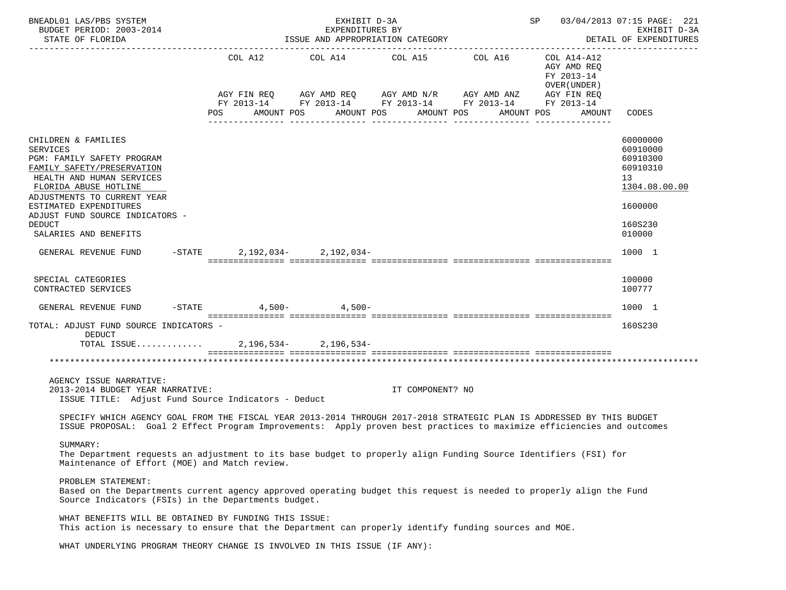| BNEADL01 LAS/PBS SYSTEM<br>BUDGET PERIOD: 2003-2014<br>STATE OF FLORIDA                                                                                                                                                                                                                        |           | EXHIBIT D-3A<br>EXPENDITURES BY<br>ISSUE AND APPROPRIATION CATEGORY                                                                  |                               |                                          | SP 03/04/2013 07:15 PAGE: 221                                           | EXHIBIT D-3A<br>DETAIL OF EXPENDITURES                                                              |
|------------------------------------------------------------------------------------------------------------------------------------------------------------------------------------------------------------------------------------------------------------------------------------------------|-----------|--------------------------------------------------------------------------------------------------------------------------------------|-------------------------------|------------------------------------------|-------------------------------------------------------------------------|-----------------------------------------------------------------------------------------------------|
|                                                                                                                                                                                                                                                                                                | COL A12   | COL A14 COL A15 COL A16<br>AGY FIN REQ AGY AMD REQ AGY AMD N/R AGY AMD ANZ<br>FY 2013-14 FY 2013-14 FY 2013-14 FY 2013-14 FY 2013-14 |                               |                                          | COL A14-A12<br>AGY AMD REQ<br>FY 2013-14<br>OVER (UNDER)<br>AGY FIN REQ |                                                                                                     |
|                                                                                                                                                                                                                                                                                                | POS       | AMOUNT POS                                                                                                                           | AMOUNT POS<br>_______________ | AMOUNT POS<br><u>. Bergeraal Bergera</u> | AMOUNT POS<br>AMOUNT                                                    | CODES                                                                                               |
| CHILDREN & FAMILIES<br><b>SERVICES</b><br>PGM: FAMILY SAFETY PROGRAM<br>FAMILY SAFETY/PRESERVATION<br>HEALTH AND HUMAN SERVICES<br>FLORIDA ABUSE HOTLINE<br>ADJUSTMENTS TO CURRENT YEAR<br>ESTIMATED EXPENDITURES<br>ADJUST FUND SOURCE INDICATORS -<br><b>DEDUCT</b><br>SALARIES AND BENEFITS |           |                                                                                                                                      |                               |                                          |                                                                         | 60000000<br>60910000<br>60910300<br>60910310<br>13<br>1304.08.00.00<br>1600000<br>160S230<br>010000 |
| GENERAL REVENUE FUND                                                                                                                                                                                                                                                                           | $-$ STATE | 2, 192, 034 - 2, 192, 034 -                                                                                                          |                               |                                          |                                                                         | 1000 1                                                                                              |
| SPECIAL CATEGORIES<br>CONTRACTED SERVICES                                                                                                                                                                                                                                                      |           |                                                                                                                                      |                               |                                          |                                                                         | 100000<br>100777                                                                                    |
| GENERAL REVENUE FUND                                                                                                                                                                                                                                                                           |           | -STATE 4,500- 4,500-                                                                                                                 |                               |                                          |                                                                         | 1000 1                                                                                              |
| TOTAL: ADJUST FUND SOURCE INDICATORS -<br>DEDUCT<br>TOTAL ISSUE                                                                                                                                                                                                                                |           | $2,196,534-2,196,534-$                                                                                                               |                               |                                          |                                                                         | 160S230                                                                                             |
|                                                                                                                                                                                                                                                                                                |           |                                                                                                                                      |                               |                                          |                                                                         |                                                                                                     |
| AGENCY ISSUE NARRATIVE:<br>2013-2014 BUDGET YEAR NARRATIVE:<br>ISSUE TITLE: Adjust Fund Source Indicators - Deduct                                                                                                                                                                             |           |                                                                                                                                      | IT COMPONENT? NO              |                                          |                                                                         |                                                                                                     |
| SPECIFY WHICH AGENCY GOAL FROM THE FISCAL YEAR 2013-2014 THROUGH 2017-2018 STRATEGIC PLAN IS ADDRESSED BY THIS BUDGET<br>ISSUE PROPOSAL: Goal 2 Effect Program Improvements: Apply proven best practices to maximize efficiencies and outcomes                                                 |           |                                                                                                                                      |                               |                                          |                                                                         |                                                                                                     |
| SUMMARY:<br>The Department requests an adjustment to its base budget to properly align Funding Source Identifiers (FSI) for<br>Maintenance of Effort (MOE) and Match review.                                                                                                                   |           |                                                                                                                                      |                               |                                          |                                                                         |                                                                                                     |
| PROBLEM STATEMENT:<br>Based on the Departments current agency approved operating budget this request is needed to properly align the Fund<br>Source Indicators (FSIs) in the Departments budget.                                                                                               |           |                                                                                                                                      |                               |                                          |                                                                         |                                                                                                     |
| WHAT BENEFITS WILL BE OBTAINED BY FUNDING THIS ISSUE:<br>This action is necessary to ensure that the Department can properly identify funding sources and MOE.                                                                                                                                 |           |                                                                                                                                      |                               |                                          |                                                                         |                                                                                                     |
| WHAT UNDERLYING PROGRAM THEORY CHANGE IS INVOLVED IN THIS ISSUE (IF ANY):                                                                                                                                                                                                                      |           |                                                                                                                                      |                               |                                          |                                                                         |                                                                                                     |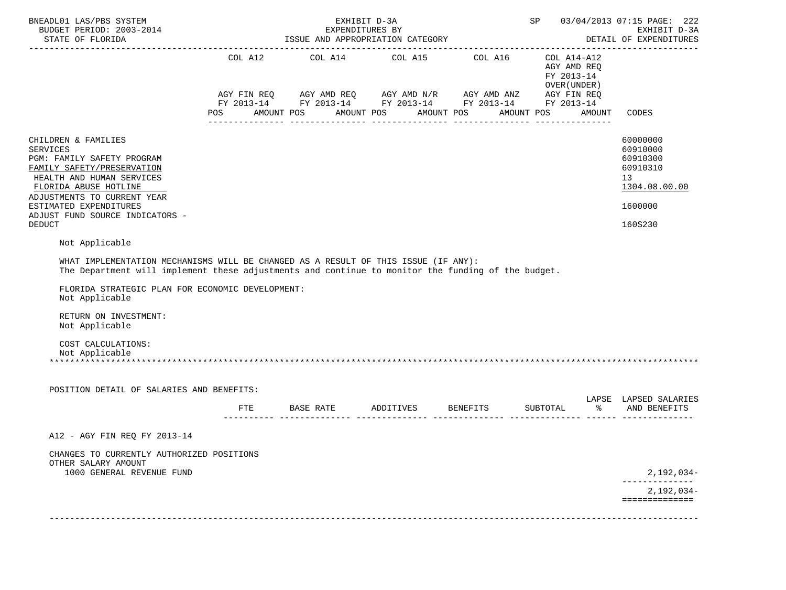| BNEADL01 LAS/PBS SYSTEM<br>BUDGET PERIOD: 2003-2014<br>STATE OF FLORIDA                                                                                                                                                                                               |     | EXHIBIT D-3A<br>EXPENDITURES BY<br>ISSUE AND APPROPRIATION CATEGORY |                                                                                                                       |                                                         |               | SP 03/04/2013 07:15 PAGE: 222<br>EXHIBIT D-3A<br>DETAIL OF EXPENDITURES                   |
|-----------------------------------------------------------------------------------------------------------------------------------------------------------------------------------------------------------------------------------------------------------------------|-----|---------------------------------------------------------------------|-----------------------------------------------------------------------------------------------------------------------|---------------------------------------------------------|---------------|-------------------------------------------------------------------------------------------|
|                                                                                                                                                                                                                                                                       | POS | AMOUNT POS AMOUNT POS AMOUNT POS                                    | AGY FIN REQ AGY AMD REQ AGY AMD N/R AGY AMD ANZ AGY FIN REQ<br>FY 2013-14 FY 2013-14 FY 2013-14 FY 2013-14 FY 2013-14 | AGY AMD REQ<br>FY 2013-14<br>OVER (UNDER)<br>AMOUNT POS | AMOUNT        | CODES                                                                                     |
|                                                                                                                                                                                                                                                                       |     |                                                                     |                                                                                                                       |                                                         |               |                                                                                           |
| CHILDREN & FAMILIES<br><b>SERVICES</b><br>PGM: FAMILY SAFETY PROGRAM<br>FAMILY SAFETY/PRESERVATION<br>HEALTH AND HUMAN SERVICES<br>FLORIDA ABUSE HOTLINE<br>ADJUSTMENTS TO CURRENT YEAR<br>ESTIMATED EXPENDITURES<br>ADJUST FUND SOURCE INDICATORS -<br><b>DEDUCT</b> |     |                                                                     |                                                                                                                       |                                                         |               | 60000000<br>60910000<br>60910300<br>60910310<br>13<br>1304.08.00.00<br>1600000<br>160S230 |
| Not Applicable                                                                                                                                                                                                                                                        |     |                                                                     |                                                                                                                       |                                                         |               |                                                                                           |
| The Department will implement these adjustments and continue to monitor the funding of the budget.<br>FLORIDA STRATEGIC PLAN FOR ECONOMIC DEVELOPMENT:<br>Not Applicable<br>RETURN ON INVESTMENT:<br>Not Applicable<br>COST CALCULATIONS:<br>Not Applicable           |     |                                                                     |                                                                                                                       |                                                         |               |                                                                                           |
| POSITION DETAIL OF SALARIES AND BENEFITS:                                                                                                                                                                                                                             |     |                                                                     |                                                                                                                       |                                                         |               |                                                                                           |
|                                                                                                                                                                                                                                                                       | FTE |                                                                     | BASE RATE             ADDITIVES             BENEFITS             SUBTOTAL<br>________ ______________ _____ ____       |                                                         | $\frac{1}{6}$ | LAPSE LAPSED SALARIES<br>AND BENEFITS                                                     |
| A12 - AGY FIN REO FY 2013-14                                                                                                                                                                                                                                          |     |                                                                     |                                                                                                                       |                                                         |               |                                                                                           |
| CHANGES TO CURRENTLY AUTHORIZED POSITIONS<br>OTHER SALARY AMOUNT<br>1000 GENERAL REVENUE FUND                                                                                                                                                                         |     |                                                                     |                                                                                                                       |                                                         |               | 2,192,034-                                                                                |
|                                                                                                                                                                                                                                                                       |     |                                                                     |                                                                                                                       |                                                         |               | 2,192,034-                                                                                |
|                                                                                                                                                                                                                                                                       |     |                                                                     |                                                                                                                       |                                                         |               | ==============                                                                            |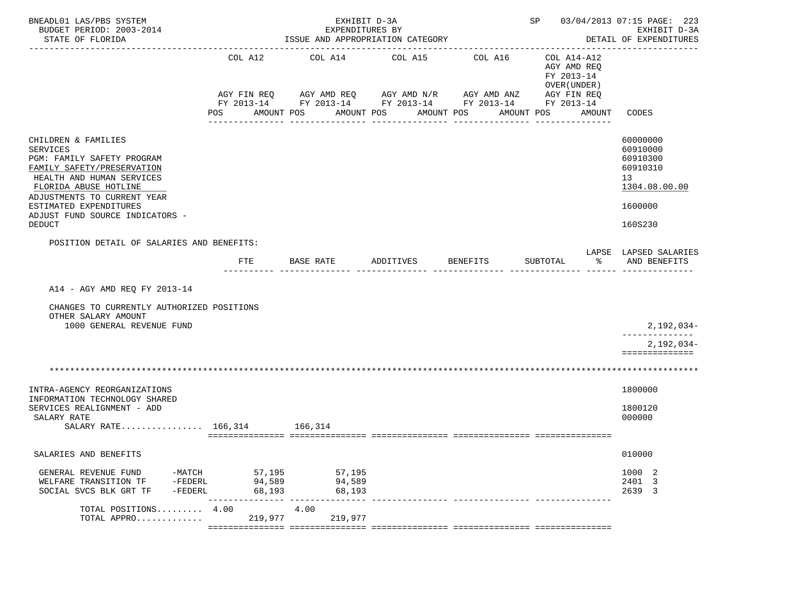| BNEADL01 LAS/PBS SYSTEM<br>BUDGET PERIOD: 2003-2014<br>STATE OF FLORIDA                                                                                                                                                                                               |                                   | EXHIBIT D-3A<br>EXPENDITURES BY                               | ISSUE AND APPROPRIATION CATEGORY                                                              |                       | SP 03/04/2013 07:15 PAGE: 223                                                     | EXHIBIT D-3A<br>DETAIL OF EXPENDITURES                                                    |
|-----------------------------------------------------------------------------------------------------------------------------------------------------------------------------------------------------------------------------------------------------------------------|-----------------------------------|---------------------------------------------------------------|-----------------------------------------------------------------------------------------------|-----------------------|-----------------------------------------------------------------------------------|-------------------------------------------------------------------------------------------|
|                                                                                                                                                                                                                                                                       | COL A12<br>AGY FIN REQ<br>POS     | COL A14<br>AMOUNT POS                                         | COL A15<br>FY 2013-14 FY 2013-14 FY 2013-14 FY 2013-14 FY 2013-14<br>AMOUNT POS<br>AMOUNT POS | COL A16<br>AMOUNT POS | COL A14-A12<br>AGY AMD REO<br>FY 2013-14<br>OVER (UNDER)<br>AGY FIN REQ<br>AMOUNT | CODES                                                                                     |
| CHILDREN & FAMILIES<br><b>SERVICES</b><br>PGM: FAMILY SAFETY PROGRAM<br>FAMILY SAFETY/PRESERVATION<br>HEALTH AND HUMAN SERVICES<br>FLORIDA ABUSE HOTLINE<br>ADJUSTMENTS TO CURRENT YEAR<br>ESTIMATED EXPENDITURES<br>ADJUST FUND SOURCE INDICATORS -<br><b>DEDUCT</b> |                                   |                                                               |                                                                                               |                       |                                                                                   | 60000000<br>60910000<br>60910300<br>60910310<br>13<br>1304.08.00.00<br>1600000<br>160S230 |
| POSITION DETAIL OF SALARIES AND BENEFITS:                                                                                                                                                                                                                             | FTE                               | BASE RATE                                                     | ADDITIVES                                                                                     | <b>BENEFITS</b>       | SUBTOTAL<br>ႜ                                                                     | LAPSE LAPSED SALARIES<br>AND BENEFITS                                                     |
| A14 - AGY AMD REQ FY 2013-14<br>CHANGES TO CURRENTLY AUTHORIZED POSITIONS<br>OTHER SALARY AMOUNT<br>1000 GENERAL REVENUE FUND                                                                                                                                         |                                   |                                                               |                                                                                               |                       |                                                                                   | $2,192,034-$                                                                              |
|                                                                                                                                                                                                                                                                       |                                   |                                                               |                                                                                               |                       |                                                                                   | $2,192,034-$<br>==============                                                            |
| INTRA-AGENCY REORGANIZATIONS                                                                                                                                                                                                                                          |                                   |                                                               |                                                                                               |                       |                                                                                   | 1800000                                                                                   |
| INFORMATION TECHNOLOGY SHARED<br>SERVICES REALIGNMENT - ADD<br>SALARY RATE<br>SALARY RATE 166.314 166.314                                                                                                                                                             |                                   |                                                               |                                                                                               |                       |                                                                                   | 1800120<br>000000                                                                         |
| SALARIES AND BENEFITS                                                                                                                                                                                                                                                 |                                   |                                                               |                                                                                               |                       |                                                                                   | 010000                                                                                    |
| GENERAL REVENUE FUND<br>WELFARE TRANSITION TF<br>$-FEDERL$<br>SOCIAL SVCS BLK GRT TF<br>-FEDERL                                                                                                                                                                       | -MATCH 57,195<br>94,589<br>68,193 | 57,195<br>94,589<br>68,193<br>--------------- --------------- | -------------- -------------                                                                  |                       |                                                                                   | 1000 2<br>2401 3<br>2639 3                                                                |
| TOTAL POSITIONS 4.00<br>TOTAL APPRO                                                                                                                                                                                                                                   | 219,977                           | 4.00<br>219,977                                               |                                                                                               |                       |                                                                                   |                                                                                           |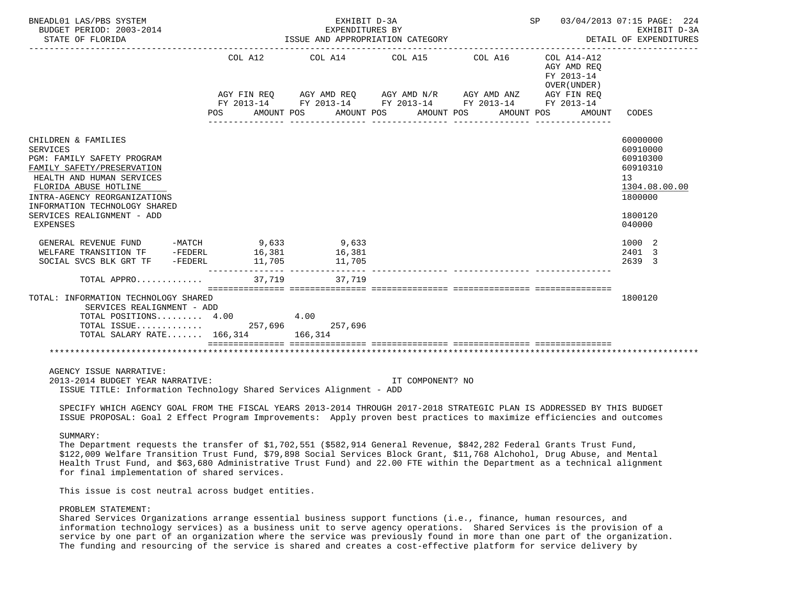| BNEADL01 LAS/PBS SYSTEM<br>BUDGET PERIOD: 2003-2014<br>STATE OF FLORIDA                                                                                                                                                                                      |                                      | EXHIBIT D-3A<br>EXPENDITURES BY | ISSUE AND APPROPRIATION CATEGORY                                                                                                         |                     | SP 03/04/2013 07:15 PAGE: 224<br>DETAIL OF EXPENDITURES           | EXHIBIT D-3A                                                                                        |
|--------------------------------------------------------------------------------------------------------------------------------------------------------------------------------------------------------------------------------------------------------------|--------------------------------------|---------------------------------|------------------------------------------------------------------------------------------------------------------------------------------|---------------------|-------------------------------------------------------------------|-----------------------------------------------------------------------------------------------------|
|                                                                                                                                                                                                                                                              | POS AMOUNT POS AMOUNT POS AMOUNT POS | COL A12 COL A14 COL A15         | AGY FIN REQ AGY AMD REQ AGY AMD N/R AGY AMD ANZ AGY FIN REQ<br>FY 2013-14 FY 2013-14 FY 2013-14 FY 2013-14 FY 2013-14<br>_______________ | COL A16 COL A14-A12 | AGY AMD REO<br>FY 2013-14<br>OVER (UNDER)<br>AMOUNT POS<br>AMOUNT | CODES                                                                                               |
| CHILDREN & FAMILIES<br>SERVICES<br>PGM: FAMILY SAFETY PROGRAM<br>FAMILY SAFETY/PRESERVATION<br>HEALTH AND HUMAN SERVICES<br>FLORIDA ABUSE HOTLINE<br>INTRA-AGENCY REORGANIZATIONS<br>INFORMATION TECHNOLOGY SHARED<br>SERVICES REALIGNMENT - ADD<br>EXPENSES |                                      |                                 |                                                                                                                                          |                     |                                                                   | 60000000<br>60910000<br>60910300<br>60910310<br>13<br>1304.08.00.00<br>1800000<br>1800120<br>040000 |
| GENERAL REVENUE FUND - MATCH 9,633 9,633<br>WELFARE TRANSITION TF - FEDERL 16,381 16,381<br>SOCIAL SVCS BLK GRT TF - FEDERL 11 705 11 705<br>SOCIAL SVCS BLK GRT TF -FEDERL                                                                                  | 11,705                               | $16,381$<br>$11,705$<br>11,705  |                                                                                                                                          |                     |                                                                   | 1000 2<br>2401 3<br>2639 3                                                                          |
| $\texttt{TOTAL}$ APPRO $\dots\dots\dots\dots\dots$ 37,719                                                                                                                                                                                                    |                                      | 37.719                          |                                                                                                                                          |                     |                                                                   |                                                                                                     |
| TOTAL: INFORMATION TECHNOLOGY SHARED<br>SERVICES REALIGNMENT - ADD<br>TOTAL POSITIONS $4.00$<br>TOTAL ISSUE 257,696 257,696<br>TOTAL SALARY RATE 166,314 166,314                                                                                             |                                      | 4.00                            |                                                                                                                                          |                     |                                                                   | 1800120                                                                                             |
| AGENCY ISSUE NARRATIVE:<br>2013-2014 BUDGET YEAR NARRATIVE:<br>ISSUE TITLE: Information Technology Shared Services Alignment - ADD                                                                                                                           |                                      |                                 | IT COMPONENT? NO                                                                                                                         |                     |                                                                   |                                                                                                     |

 SPECIFY WHICH AGENCY GOAL FROM THE FISCAL YEARS 2013-2014 THROUGH 2017-2018 STRATEGIC PLAN IS ADDRESSED BY THIS BUDGET ISSUE PROPOSAL: Goal 2 Effect Program Improvements: Apply proven best practices to maximize efficiencies and outcomes

#### SUMMARY:

 The Department requests the transfer of \$1,702,551 (\$582,914 General Revenue, \$842,282 Federal Grants Trust Fund, \$122,009 Welfare Transition Trust Fund, \$79,898 Social Services Block Grant, \$11,768 Alchohol, Drug Abuse, and Mental Health Trust Fund, and \$63,680 Administrative Trust Fund) and 22.00 FTE within the Department as a technical alignment for final implementation of shared services.

This issue is cost neutral across budget entities.

## PROBLEM STATEMENT:

 Shared Services Organizations arrange essential business support functions (i.e., finance, human resources, and information technology services) as a business unit to serve agency operations. Shared Services is the provision of a service by one part of an organization where the service was previously found in more than one part of the organization. The funding and resourcing of the service is shared and creates a cost-effective platform for service delivery by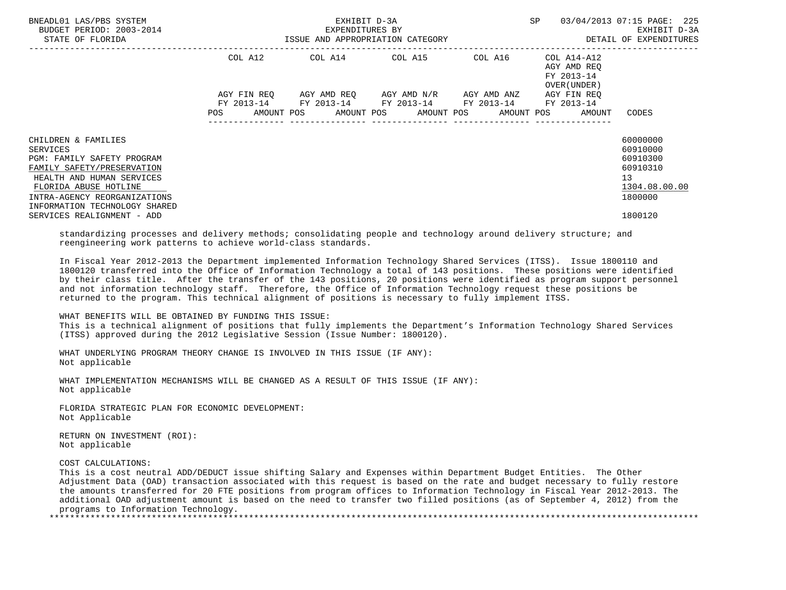| BNEADL01 LAS/PBS SYSTEM<br>BUDGET PERIOD: 2003-2014<br>STATE OF FLORIDA |         | EXHIBIT D-3A<br>EXPENDITURES BY<br>ISSUE AND APPROPRIATION CATEGORY | SP                                                                                                                                            | 03/04/2013 07:15 PAGE: 225<br>EXHIBIT D-3A<br>DETAIL OF EXPENDITURES |                                           |                      |
|-------------------------------------------------------------------------|---------|---------------------------------------------------------------------|-----------------------------------------------------------------------------------------------------------------------------------------------|----------------------------------------------------------------------|-------------------------------------------|----------------------|
|                                                                         | COL A12 |                                                                     | COL A14 COL A15 COL A16 COL A14-A12                                                                                                           |                                                                      | AGY AMD REO<br>FY 2013-14<br>OVER (UNDER) |                      |
|                                                                         | POS     |                                                                     | AGY FIN REQ 6GY AMD REQ 6GY AMD N/R 6GY AMD ANZ<br>FY 2013-14 FY 2013-14 FY 2013-14 FY 2013-14 FY 2013-14<br>AMOUNT POS AMOUNT POS AMOUNT POS |                                                                      | AGY FIN REO<br>AMOUNT POS<br>AMOUNT       | CODES                |
| CHILDREN & FAMILIES                                                     |         |                                                                     |                                                                                                                                               |                                                                      |                                           | 60000000<br>60910000 |
| SERVICES<br>PGM: FAMILY SAFETY PROGRAM                                  |         |                                                                     |                                                                                                                                               |                                                                      |                                           | 60910300             |
| FAMILY SAFETY/PRESERVATION                                              |         |                                                                     |                                                                                                                                               |                                                                      |                                           | 60910310             |
| HEALTH AND HUMAN SERVICES                                               |         |                                                                     |                                                                                                                                               |                                                                      |                                           | 13                   |
| FLORIDA ABUSE HOTLINE                                                   |         |                                                                     |                                                                                                                                               |                                                                      |                                           | 1304.08.00.00        |
| INTRA-AGENCY REORGANIZATIONS                                            |         |                                                                     |                                                                                                                                               |                                                                      |                                           | 1800000              |
| INFORMATION TECHNOLOGY SHARED<br>SERVICES REALIGNMENT - ADD             |         |                                                                     |                                                                                                                                               |                                                                      |                                           | 1800120              |

 standardizing processes and delivery methods; consolidating people and technology around delivery structure; and reengineering work patterns to achieve world-class standards.

 In Fiscal Year 2012-2013 the Department implemented Information Technology Shared Services (ITSS). Issue 1800110 and 1800120 transferred into the Office of Information Technology a total of 143 positions. These positions were identified by their class title. After the transfer of the 143 positions, 20 positions were identified as program support personnel and not information technology staff. Therefore, the Office of Information Technology request these positions be returned to the program. This technical alignment of positions is necessary to fully implement ITSS.

### WHAT BENEFITS WILL BE OBTAINED BY FUNDING THIS ISSUE:

 This is a technical alignment of positions that fully implements the Department's Information Technology Shared Services (ITSS) approved during the 2012 Legislative Session (Issue Number: 1800120).

 WHAT UNDERLYING PROGRAM THEORY CHANGE IS INVOLVED IN THIS ISSUE (IF ANY): Not applicable

 WHAT IMPLEMENTATION MECHANISMS WILL BE CHANGED AS A RESULT OF THIS ISSUE (IF ANY): Not applicable

 FLORIDA STRATEGIC PLAN FOR ECONOMIC DEVELOPMENT: Not Applicable

 RETURN ON INVESTMENT (ROI): Not applicable

COST CALCULATIONS:

 This is a cost neutral ADD/DEDUCT issue shifting Salary and Expenses within Department Budget Entities. The Other Adjustment Data (OAD) transaction associated with this request is based on the rate and budget necessary to fully restore the amounts transferred for 20 FTE positions from program offices to Information Technology in Fiscal Year 2012-2013. The additional OAD adjustment amount is based on the need to transfer two filled positions (as of September 4, 2012) from the programs to Information Technology.

\*\*\*\*\*\*\*\*\*\*\*\*\*\*\*\*\*\*\*\*\*\*\*\*\*\*\*\*\*\*\*\*\*\*\*\*\*\*\*\*\*\*\*\*\*\*\*\*\*\*\*\*\*\*\*\*\*\*\*\*\*\*\*\*\*\*\*\*\*\*\*\*\*\*\*\*\*\*\*\*\*\*\*\*\*\*\*\*\*\*\*\*\*\*\*\*\*\*\*\*\*\*\*\*\*\*\*\*\*\*\*\*\*\*\*\*\*\*\*\*\*\*\*\*\*\*\*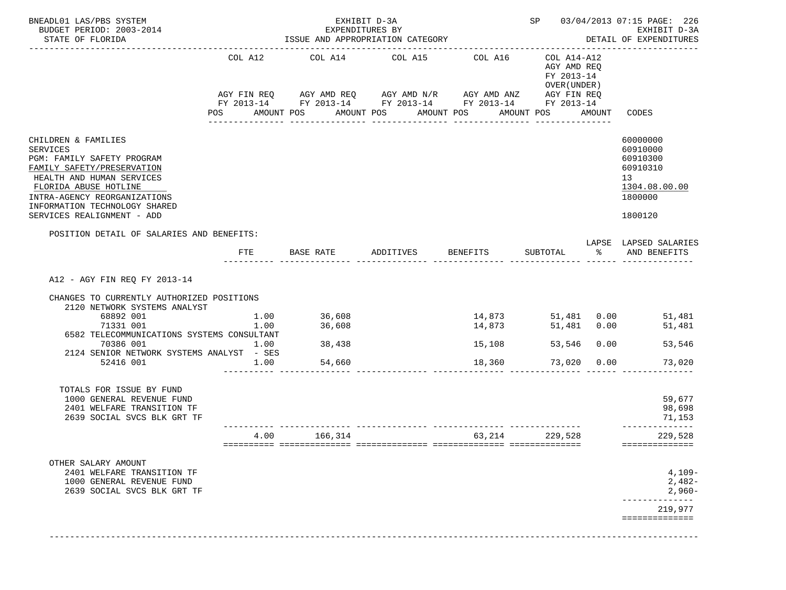| STATE OF FLORIDA                                                                                                                                                                                                                                                 |                |                      |                                      | EXHIBIT D-3A<br>EXPENDITURES BY<br>ISSUE AND APPROPRIATION CATEGORY |                                      |                                                                                                                                                                                                         |      | SP 03/04/2013 07:15 PAGE: 226<br>EXHIBIT D-3A<br>DETAIL OF EXPENDITURES                   |
|------------------------------------------------------------------------------------------------------------------------------------------------------------------------------------------------------------------------------------------------------------------|----------------|----------------------|--------------------------------------|---------------------------------------------------------------------|--------------------------------------|---------------------------------------------------------------------------------------------------------------------------------------------------------------------------------------------------------|------|-------------------------------------------------------------------------------------------|
|                                                                                                                                                                                                                                                                  | COL A12<br>POS | AMOUNT POS           | COL A14                              | COL A15<br>AMOUNT POS AMOUNT POS                                    | COL A16                              | COL A14-A12<br>AGY AMD REQ<br>FY 2013-14<br>OVER (UNDER )<br>AGY FIN REQ AGY AMD REQ AGY AMD N/R AGY AMD ANZ AGY FIN REQ<br>FY 2013-14 FY 2013-14 FY 2013-14 FY 2013-14 FY 2013-14<br>AMOUNT POS AMOUNT |      | CODES                                                                                     |
| CHILDREN & FAMILIES<br><b>SERVICES</b><br>PGM: FAMILY SAFETY PROGRAM<br>FAMILY SAFETY/PRESERVATION<br>HEALTH AND HUMAN SERVICES<br>FLORIDA ABUSE HOTLINE<br>INTRA-AGENCY REORGANIZATIONS<br>INFORMATION TECHNOLOGY SHARED<br>SERVICES REALIGNMENT - ADD          |                |                      |                                      |                                                                     |                                      |                                                                                                                                                                                                         |      | 60000000<br>60910000<br>60910300<br>60910310<br>13<br>1304.08.00.00<br>1800000<br>1800120 |
| POSITION DETAIL OF SALARIES AND BENEFITS:                                                                                                                                                                                                                        | FTE            |                      | BASE RATE                            | ADDITIVES                                                           | BENEFITS                             | SUBTOTAL                                                                                                                                                                                                | ႜႜႜ႙ | LAPSE LAPSED SALARIES<br>AND BENEFITS                                                     |
| A12 - AGY FIN REO FY 2013-14<br>CHANGES TO CURRENTLY AUTHORIZED POSITIONS<br>2120 NETWORK SYSTEMS ANALYST<br>68892 001<br>71331 001<br>6582 TELECOMMUNICATIONS SYSTEMS CONSULTANT<br>70386 001<br>1.00<br>2124 SENIOR NETWORK SYSTEMS ANALYST - SES<br>52416 001 |                | 1.00<br>1.00<br>1.00 | 36,608<br>36,608<br>38,438<br>54,660 |                                                                     | 14,873<br>14,873<br>15,108<br>18,360 | 51,481 0.00<br>53,546<br>73,020 0.00                                                                                                                                                                    | 0.00 | 51,481 0.00 51,481<br>51,481<br>53,546<br>73,020                                          |
| TOTALS FOR ISSUE BY FUND<br>1000 GENERAL REVENUE FUND<br>2401 WELFARE TRANSITION TF<br>2639 SOCIAL SVCS BLK GRT TF                                                                                                                                               |                |                      |                                      |                                                                     |                                      |                                                                                                                                                                                                         |      | 59,677<br>98,698<br>71,153<br>------------                                                |
|                                                                                                                                                                                                                                                                  |                | 4.00                 | 166,314                              |                                                                     |                                      | 63, 214 229, 528                                                                                                                                                                                        |      | 229,528<br>==============                                                                 |
| OTHER SALARY AMOUNT<br>2401 WELFARE TRANSITION TF<br>1000 GENERAL REVENUE FUND<br>2639 SOCIAL SVCS BLK GRT TF                                                                                                                                                    |                |                      |                                      |                                                                     |                                      |                                                                                                                                                                                                         |      | $4,109-$<br>$2,482-$<br>$2,960-$                                                          |
|                                                                                                                                                                                                                                                                  |                |                      |                                      |                                                                     |                                      |                                                                                                                                                                                                         |      | --------------<br>219,977<br>==============                                               |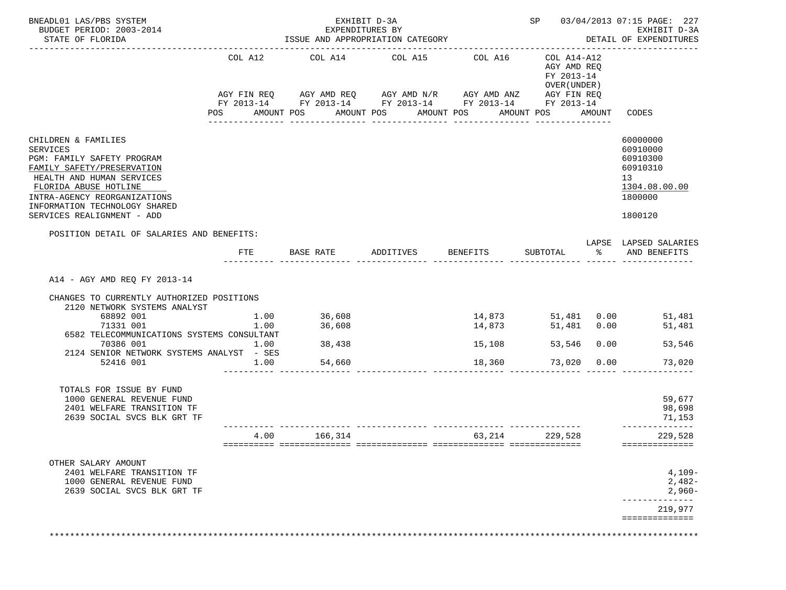| BNEADL01 LAS/PBS SYSTEM<br>BUDGET PERIOD: 2003-2014<br>STATE OF FLORIDA                                                                                                                                                                                  |                |                      |                                      | EXHIBIT D-3A<br>EXPENDITURES BY<br>ISSUE AND APPROPRIATION CATEGORY |                                                                                                                                                   |                                                                               |               | SP 03/04/2013 07:15 PAGE: 227<br>EXHIBIT D-3A<br>DETAIL OF EXPENDITURES                   |
|----------------------------------------------------------------------------------------------------------------------------------------------------------------------------------------------------------------------------------------------------------|----------------|----------------------|--------------------------------------|---------------------------------------------------------------------|---------------------------------------------------------------------------------------------------------------------------------------------------|-------------------------------------------------------------------------------|---------------|-------------------------------------------------------------------------------------------|
|                                                                                                                                                                                                                                                          | COL A12<br>POS |                      | COL A14<br>AMOUNT POS                | COL A15<br>AMOUNT POS AMOUNT POS<br>_____________                   | COL A16<br>AGY FIN REQ AGY AMD REQ AGY AMD N/R AGY AMD ANZ AGY FIN REQ<br>FY 2013-14 FY 2013-14 FY 2013-14 FY 2013-14 FY 2013-14<br>------------- | COL A14-A12<br>AGY AMD REO<br>FY 2013-14<br>OVER (UNDER)<br>AMOUNT POS AMOUNT |               | CODES                                                                                     |
| CHILDREN & FAMILIES<br><b>SERVICES</b><br>PGM: FAMILY SAFETY PROGRAM<br>FAMILY SAFETY/PRESERVATION<br>HEALTH AND HUMAN SERVICES<br>FLORIDA ABUSE HOTLINE<br>INTRA-AGENCY REORGANIZATIONS<br>INFORMATION TECHNOLOGY SHARED<br>SERVICES REALIGNMENT - ADD  |                |                      |                                      |                                                                     |                                                                                                                                                   |                                                                               |               | 60000000<br>60910000<br>60910300<br>60910310<br>13<br>1304.08.00.00<br>1800000<br>1800120 |
| POSITION DETAIL OF SALARIES AND BENEFITS:                                                                                                                                                                                                                | FTE            |                      |                                      | BASE RATE ADDITIVES BENEFITS                                        |                                                                                                                                                   | SUBTOTAL                                                                      | $\frac{1}{2}$ | LAPSE LAPSED SALARIES<br>AND BENEFITS                                                     |
| A14 - AGY AMD REQ FY 2013-14<br>CHANGES TO CURRENTLY AUTHORIZED POSITIONS<br>2120 NETWORK SYSTEMS ANALYST<br>68892 001<br>71331 001<br>6582 TELECOMMUNICATIONS SYSTEMS CONSULTANT<br>70386 001<br>2124 SENIOR NETWORK SYSTEMS ANALYST - SES<br>52416 001 | 1.00           | 1.00<br>1.00<br>1.00 | 36,608<br>36,608<br>38,438<br>54,660 |                                                                     | 14,873<br>14,873<br>15,108                                                                                                                        | 51,481 0.00<br>53,546<br>18,360<br>73,020 0.00                                | 0.00          | 51,481 0.00 51,481<br>51,481<br>53,546<br>73,020                                          |
| TOTALS FOR ISSUE BY FUND<br>1000 GENERAL REVENUE FUND<br>2401 WELFARE TRANSITION TF<br>2639 SOCIAL SVCS BLK GRT TF                                                                                                                                       |                |                      |                                      |                                                                     |                                                                                                                                                   |                                                                               |               | 59,677<br>98,698<br>71,153<br>______________                                              |
|                                                                                                                                                                                                                                                          |                |                      | 4.00 166,314                         |                                                                     |                                                                                                                                                   | 63, 214 229, 528                                                              |               | 229,528<br>==============                                                                 |
|                                                                                                                                                                                                                                                          |                |                      |                                      |                                                                     |                                                                                                                                                   |                                                                               |               |                                                                                           |
| OTHER SALARY AMOUNT<br>2401 WELFARE TRANSITION TF<br>1000 GENERAL REVENUE FUND<br>2639 SOCIAL SVCS BLK GRT TF                                                                                                                                            |                |                      |                                      |                                                                     |                                                                                                                                                   |                                                                               |               | $4,109-$<br>$2,482-$<br>$2,960-$                                                          |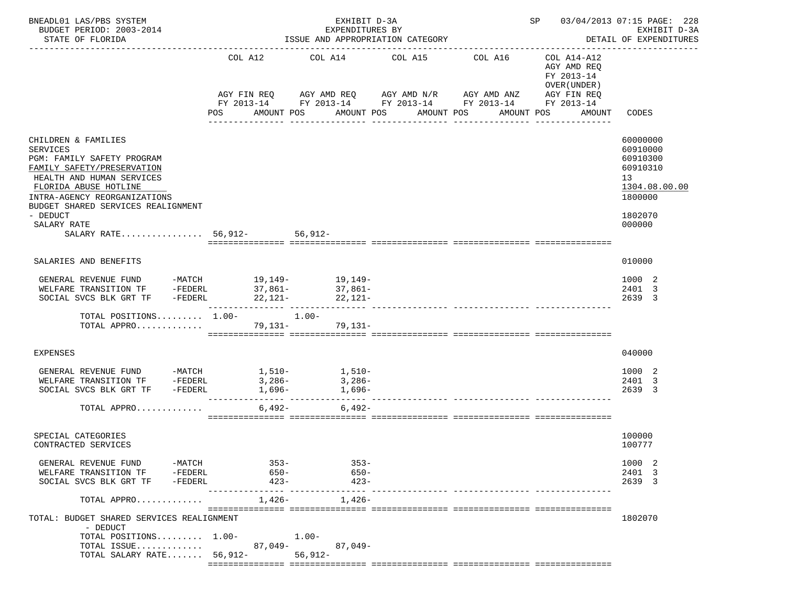| BNEADL01 LAS/PBS SYSTEM<br>BUDGET PERIOD: 2003-2014<br>STATE OF FLORIDA                                                                                                                                                                                                                  |                               | EXHIBIT D-3A<br>EXPENDITURES BY<br>ISSUE AND APPROPRIATION CATEGORY |                                                                                                                                                              | SP 03/04/2013 07:15 PAGE: 228<br>EXHIBIT D-3A<br>DETAIL OF EXPENDITURES |                                                                                                 |                                                                                                     |
|------------------------------------------------------------------------------------------------------------------------------------------------------------------------------------------------------------------------------------------------------------------------------------------|-------------------------------|---------------------------------------------------------------------|--------------------------------------------------------------------------------------------------------------------------------------------------------------|-------------------------------------------------------------------------|-------------------------------------------------------------------------------------------------|-----------------------------------------------------------------------------------------------------|
|                                                                                                                                                                                                                                                                                          | COL A12<br>AGY FIN REQ<br>POS | AMOUNT POS                                                          | COL A14 COL A15<br>AGY AMD REQ      AGY AMD N/R      AGY AMD ANZ<br>FY 2013-14 FY 2013-14 FY 2013-14 FY 2013-14<br>AMOUNT POS<br>AMOUNT POS<br>------------- | COL A16<br>AMOUNT POS                                                   | COL A14-A12<br>AGY AMD REQ<br>FY 2013-14<br>OVER (UNDER)<br>AGY FIN REQ<br>FY 2013-14<br>AMOUNT | CODES                                                                                               |
| CHILDREN & FAMILIES<br><b>SERVICES</b><br>PGM: FAMILY SAFETY PROGRAM<br>FAMILY SAFETY/PRESERVATION<br>HEALTH AND HUMAN SERVICES<br>FLORIDA ABUSE HOTLINE<br>INTRA-AGENCY REORGANIZATIONS<br>BUDGET SHARED SERVICES REALIGNMENT<br>- DEDUCT<br>SALARY RATE<br>SALARY RATE 56,912- 56,912- |                               |                                                                     |                                                                                                                                                              |                                                                         |                                                                                                 | 60000000<br>60910000<br>60910300<br>60910310<br>13<br>1304.08.00.00<br>1800000<br>1802070<br>000000 |
| SALARIES AND BENEFITS                                                                                                                                                                                                                                                                    |                               |                                                                     |                                                                                                                                                              |                                                                         |                                                                                                 | 010000                                                                                              |
| GENERAL REVENUE FUND -MATCH 19,149-<br>19,149-<br>WELFARE TRANSITION TF -FEDERL<br>SOCIAL SVCS BLK GRT TF                                                                                                                                                                                | 37,861-<br>$-FEDERL$ 22, 121- | 37,861-<br>22,121-                                                  |                                                                                                                                                              | _____________ ________________                                          |                                                                                                 | 1000 2<br>2401 3<br>2639 3                                                                          |
| TOTAL POSITIONS 1.00-<br>1.00-<br>TOTAL APPRO                                                                                                                                                                                                                                            |                               | 79,131- 79,131-                                                     |                                                                                                                                                              |                                                                         |                                                                                                 |                                                                                                     |
| EXPENSES                                                                                                                                                                                                                                                                                 |                               |                                                                     |                                                                                                                                                              |                                                                         |                                                                                                 | 040000                                                                                              |
| GENERAL REVENUE FUND $-MATCH$ 1,510- 1,510-<br>WELFARE TRANSITION TF -FEDERL<br>SOCIAL SVCS BLK GRT TF<br>-FEDERL                                                                                                                                                                        | 3,286-<br>1,696-              | $3,286-$<br>1,696-                                                  |                                                                                                                                                              |                                                                         |                                                                                                 | 1000 2<br>2401 3<br>2639 3                                                                          |
| TOTAL APPRO                                                                                                                                                                                                                                                                              | $6,492-$                      | $6,492-$                                                            |                                                                                                                                                              |                                                                         |                                                                                                 |                                                                                                     |
| SPECIAL CATEGORIES<br>CONTRACTED SERVICES                                                                                                                                                                                                                                                |                               |                                                                     |                                                                                                                                                              |                                                                         |                                                                                                 | 100000<br>100777                                                                                    |
| GENERAL REVENUE FUND<br>$-MATCH$<br>-FEDERL<br>WELFARE TRANSITION TF<br>SOCIAL SVCS BLK GRT TF<br>-FEDERL                                                                                                                                                                                | $353-$<br>650-<br>423-        | $353 -$<br>650-<br>$423 -$                                          |                                                                                                                                                              |                                                                         |                                                                                                 | 1000 2<br>2401 3<br>2639 3                                                                          |
| TOTAL APPRO                                                                                                                                                                                                                                                                              | 1,426-                        | $1,426-$                                                            |                                                                                                                                                              |                                                                         |                                                                                                 |                                                                                                     |
| TOTAL: BUDGET SHARED SERVICES REALIGNMENT<br>- DEDUCT<br>TOTAL POSITIONS $1.00-$<br>TOTAL ISSUE<br>TOTAL SALARY RATE $56,912-$                                                                                                                                                           | 87,049-                       | $1.00-$<br>87,049-<br>$56, 912 -$                                   |                                                                                                                                                              |                                                                         |                                                                                                 | 1802070                                                                                             |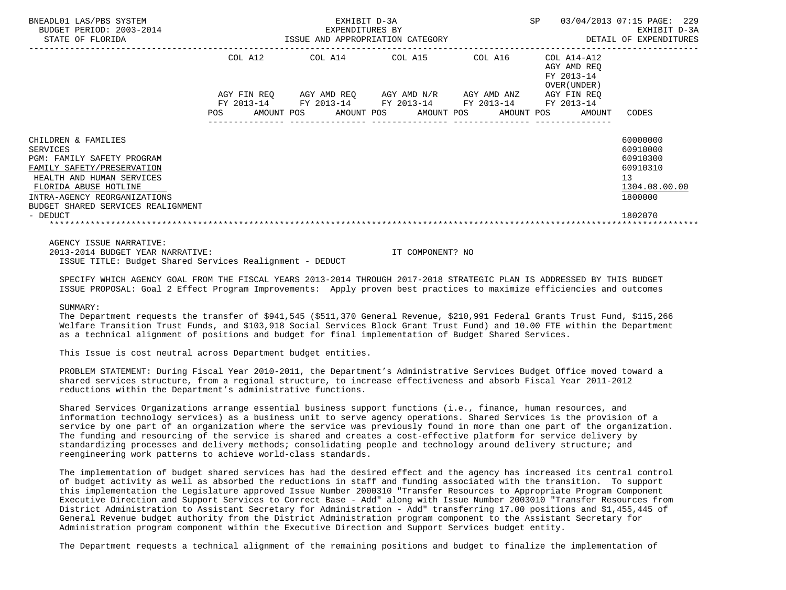| BNEADL01 LAS/PBS SYSTEM<br>BUDGET PERIOD: 2003-2014<br>STATE OF FLORIDA | EXHIBIT D-3A<br>EXPENDITURES BY<br>ISSUE AND APPROPRIATION CATEGORY |         |  |                                                                                                                  |  |  |  | SP |                                                           | 03/04/2013 07:15 PAGE: 229<br>EXHIBIT D-3A<br>DETAIL OF EXPENDITURES |  |
|-------------------------------------------------------------------------|---------------------------------------------------------------------|---------|--|------------------------------------------------------------------------------------------------------------------|--|--|--|----|-----------------------------------------------------------|----------------------------------------------------------------------|--|
|                                                                         |                                                                     | COL A12 |  | COL A14 COL A15 COL A16                                                                                          |  |  |  |    | COL A14-A12<br>AGY AMD REO<br>FY 2013-14<br>OVER (UNDER ) |                                                                      |  |
|                                                                         |                                                                     |         |  | AGY FIN REQ      AGY AMD REQ     AGY AMD N/R     AGY AMD ANZ                                                     |  |  |  |    | AGY FIN REO                                               |                                                                      |  |
|                                                                         |                                                                     |         |  | FY 2013-14 FY 2013-14 FY 2013-14 FY 2013-14 FY 2013-14<br>POS AMOUNT POS AMOUNT POS AMOUNT POS AMOUNT POS AMOUNT |  |  |  |    |                                                           | CODES                                                                |  |
| CHILDREN & FAMILIES                                                     |                                                                     |         |  |                                                                                                                  |  |  |  |    |                                                           | 60000000                                                             |  |
| SERVICES                                                                |                                                                     |         |  |                                                                                                                  |  |  |  |    |                                                           | 60910000                                                             |  |
| PGM: FAMILY SAFETY PROGRAM                                              |                                                                     |         |  |                                                                                                                  |  |  |  |    |                                                           | 60910300                                                             |  |
| FAMILY SAFETY/PRESERVATION                                              |                                                                     |         |  |                                                                                                                  |  |  |  |    |                                                           | 60910310                                                             |  |
| HEALTH AND HUMAN SERVICES                                               |                                                                     |         |  |                                                                                                                  |  |  |  |    |                                                           | 13                                                                   |  |
| FLORIDA ABUSE HOTLINE                                                   |                                                                     |         |  |                                                                                                                  |  |  |  |    |                                                           | 1304.08.00.00                                                        |  |
| INTRA-AGENCY REORGANIZATIONS<br>BUDGET SHARED SERVICES REALIGNMENT      |                                                                     |         |  |                                                                                                                  |  |  |  |    |                                                           | 1800000                                                              |  |
| - DEDUCT                                                                |                                                                     |         |  |                                                                                                                  |  |  |  |    |                                                           | 1802070                                                              |  |
|                                                                         |                                                                     |         |  |                                                                                                                  |  |  |  |    |                                                           |                                                                      |  |
| AGENCY ISSUE NARRATIVE:                                                 |                                                                     |         |  |                                                                                                                  |  |  |  |    |                                                           |                                                                      |  |

 2013-2014 BUDGET YEAR NARRATIVE: IT COMPONENT? NO ISSUE TITLE: Budget Shared Services Realignment - DEDUCT

 SPECIFY WHICH AGENCY GOAL FROM THE FISCAL YEARS 2013-2014 THROUGH 2017-2018 STRATEGIC PLAN IS ADDRESSED BY THIS BUDGET ISSUE PROPOSAL: Goal 2 Effect Program Improvements: Apply proven best practices to maximize efficiencies and outcomes

#### SIIMMARY:

 The Department requests the transfer of \$941,545 (\$511,370 General Revenue, \$210,991 Federal Grants Trust Fund, \$115,266 Welfare Transition Trust Funds, and \$103,918 Social Services Block Grant Trust Fund) and 10.00 FTE within the Department as a technical alignment of positions and budget for final implementation of Budget Shared Services.

This Issue is cost neutral across Department budget entities.

 PROBLEM STATEMENT: During Fiscal Year 2010-2011, the Department's Administrative Services Budget Office moved toward a shared services structure, from a regional structure, to increase effectiveness and absorb Fiscal Year 2011-2012 reductions within the Department's administrative functions.

 Shared Services Organizations arrange essential business support functions (i.e., finance, human resources, and information technology services) as a business unit to serve agency operations. Shared Services is the provision of a service by one part of an organization where the service was previously found in more than one part of the organization. The funding and resourcing of the service is shared and creates a cost-effective platform for service delivery by standardizing processes and delivery methods; consolidating people and technology around delivery structure; and reengineering work patterns to achieve world-class standards.

 The implementation of budget shared services has had the desired effect and the agency has increased its central control of budget activity as well as absorbed the reductions in staff and funding associated with the transition. To support this implementation the Legislature approved Issue Number 2000310 "Transfer Resources to Appropriate Program Component Executive Direction and Support Services to Correct Base - Add" along with Issue Number 2003010 "Transfer Resources from District Administration to Assistant Secretary for Administration - Add" transferring 17.00 positions and \$1,455,445 of General Revenue budget authority from the District Administration program component to the Assistant Secretary for Administration program component within the Executive Direction and Support Services budget entity.

The Department requests a technical alignment of the remaining positions and budget to finalize the implementation of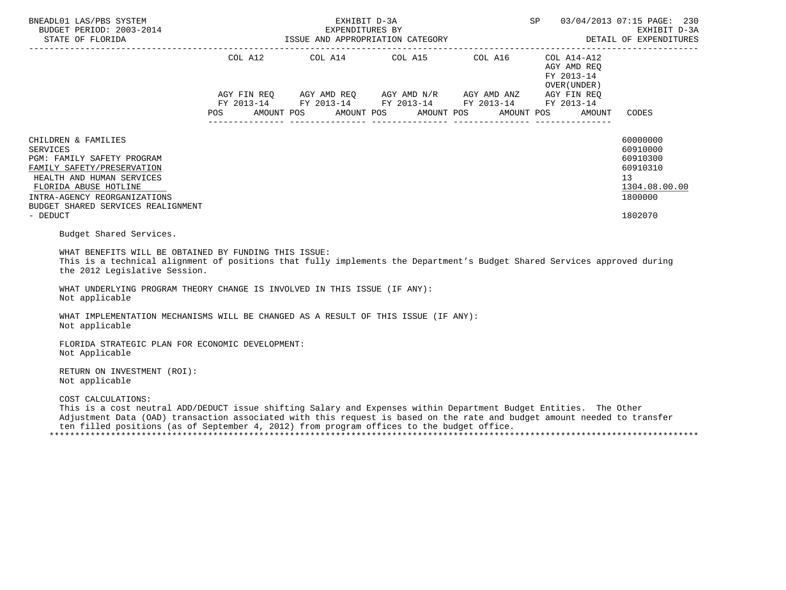| BNEADL01 LAS/PBS SYSTEM<br>BUDGET PERIOD: 2003-2014<br>DETAIL OF ELORIDA 1SSUE AND APPROPRIATION CATEGORY DETAIL OF EXPENDITURES                                                                                                                                                                                                                                                   |            | EXHIBIT D-3A<br>EXPENDITURES BY  |                                                                                                                                                                      | SP                                                                 | 03/04/2013 07:15 PAGE: 230<br>EXHIBIT D-3A<br>DETAIL OF EXPENDITURES                      |
|------------------------------------------------------------------------------------------------------------------------------------------------------------------------------------------------------------------------------------------------------------------------------------------------------------------------------------------------------------------------------------|------------|----------------------------------|----------------------------------------------------------------------------------------------------------------------------------------------------------------------|--------------------------------------------------------------------|-------------------------------------------------------------------------------------------|
|                                                                                                                                                                                                                                                                                                                                                                                    | <b>POS</b> | AMOUNT POS AMOUNT POS AMOUNT POS | COL A12 COL A14 COL A15 COL A16 COL A14-A12<br>AGY FIN REQ AGY AMD REQ AGY AMD N/R AGY AMD ANZ AGY FIN REQ<br>FY 2013-14 FY 2013-14 FY 2013-14 FY 2013-14 FY 2013-14 | AGY AMD REQ<br>FY 2013-14<br>OVER (UNDER )<br>AMOUNT POS<br>AMOUNT | CODES                                                                                     |
| CHILDREN & FAMILIES<br><b>SERVICES</b><br>PGM: FAMILY SAFETY PROGRAM<br>FAMILY SAFETY/PRESERVATION<br>HEALTH AND HUMAN SERVICES<br>FLORIDA ABUSE HOTLINE<br>INTRA-AGENCY REORGANIZATIONS<br>BUDGET SHARED SERVICES REALIGNMENT<br>- DEDUCT                                                                                                                                         |            |                                  |                                                                                                                                                                      |                                                                    | 60000000<br>60910000<br>60910300<br>60910310<br>13<br>1304.08.00.00<br>1800000<br>1802070 |
| Budget Shared Services.<br>WHAT BENEFITS WILL BE OBTAINED BY FUNDING THIS ISSUE:<br>This is a technical alignment of positions that fully implements the Department's Budget Shared Services approved during<br>the 2012 Legislative Session.<br>WHAT UNDERLYING PROGRAM THEORY CHANGE IS INVOLVED IN THIS ISSUE (IF ANY):<br>Not applicable                                       |            |                                  |                                                                                                                                                                      |                                                                    |                                                                                           |
| WHAT IMPLEMENTATION MECHANISMS WILL BE CHANGED AS A RESULT OF THIS ISSUE (IF ANY):<br>Not applicable<br>FLORIDA STRATEGIC PLAN FOR ECONOMIC DEVELOPMENT:<br>Not Applicable<br>RETURN ON INVESTMENT (ROI):                                                                                                                                                                          |            |                                  |                                                                                                                                                                      |                                                                    |                                                                                           |
| Not applicable<br>COST CALCULATIONS:<br>This is a cost neutral ADD/DEDUCT issue shifting Salary and Expenses within Department Budget Entities. The Other<br>Adjustment Data (OAD) transaction associated with this request is based on the rate and budget amount needed to transfer<br>ten filled positions (as of September 4, 2012) from program offices to the budget office. |            |                                  |                                                                                                                                                                      |                                                                    |                                                                                           |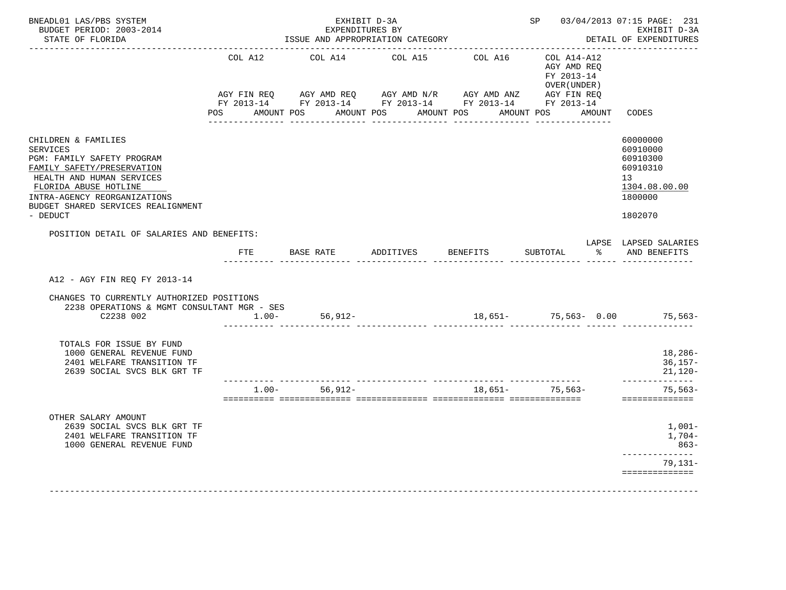| COL A12 | --------------------<br>COL A14<br>POS AMOUNT POS AMOUNT POS AMOUNT POS                                                                      | COL A15               | COL A16 | COL A14-A12<br>AGY AMD REQ<br>FY 2013-14<br>OVER (UNDER)<br>AMOUNT POS AMOUNT | CODES                                                                                                                                              |
|---------|----------------------------------------------------------------------------------------------------------------------------------------------|-----------------------|---------|-------------------------------------------------------------------------------|----------------------------------------------------------------------------------------------------------------------------------------------------|
|         |                                                                                                                                              |                       |         |                                                                               |                                                                                                                                                    |
|         |                                                                                                                                              |                       |         |                                                                               |                                                                                                                                                    |
|         |                                                                                                                                              |                       |         |                                                                               | 60000000<br>60910000<br>60910300<br>60910310<br>13<br>1304.08.00.00<br>1800000<br>1802070                                                          |
|         |                                                                                                                                              |                       |         |                                                                               | LAPSE LAPSED SALARIES<br>AND BENEFITS                                                                                                              |
|         |                                                                                                                                              |                       |         |                                                                               |                                                                                                                                                    |
| $1.00-$ | 56,912-                                                                                                                                      |                       |         |                                                                               |                                                                                                                                                    |
|         |                                                                                                                                              |                       |         |                                                                               | 18,286-<br>$36,157-$<br>$21,120-$<br>______________                                                                                                |
|         | $56.912 -$                                                                                                                                   |                       |         |                                                                               | $75.563-$<br>==============                                                                                                                        |
|         |                                                                                                                                              |                       |         |                                                                               | 1,001-<br>1,704-<br>863-<br>___________<br>79,131–                                                                                                 |
|         | POSITION DETAIL OF SALARIES AND BENEFITS:<br>FTE<br>CHANGES TO CURRENTLY AUTHORIZED POSITIONS<br>2238 OPERATIONS & MGMT CONSULTANT MGR - SES | BASE RATE<br>$1.00 -$ |         | ADDITIVES BENEFITS                                                            | $\sim$ $\approx$<br>SUBTOTAL<br>. And the continuum continuum and continuum and the control<br>18,651- 75,563- 0.00 75,563-<br>$18.651 - 75.563 -$ |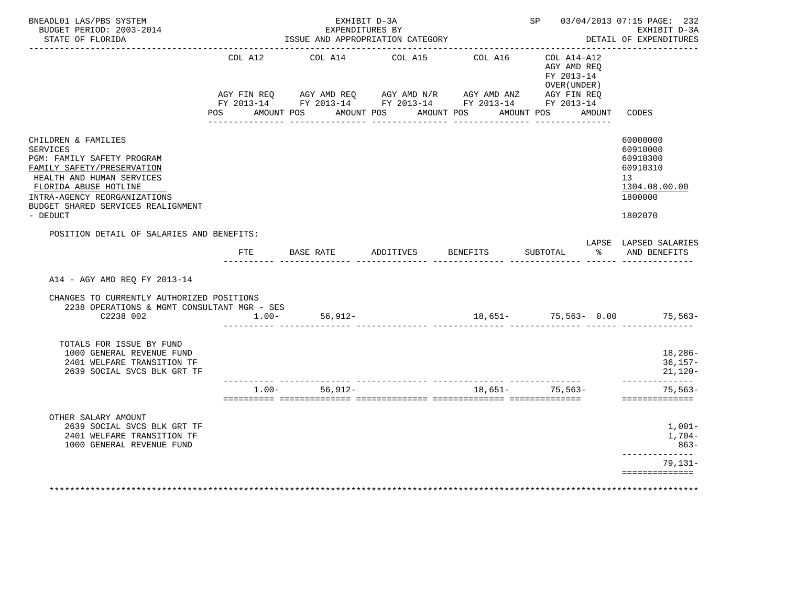| BNEADL01 LAS/PBS SYSTEM<br>BUDGET PERIOD: 2003-2014<br>STATE OF FLORIDA                                                                                                                                                                    |                                                                                                                | EXHIBIT D-3A<br>EXPENDITURES BY<br>ISSUE AND APPROPRIATION CATEGORY                                                |                  |                                | SP 03/04/2013 07:15 PAGE: 232                            | EXHIBIT D-3A<br>DETAIL OF EXPENDITURES                                                                 |
|--------------------------------------------------------------------------------------------------------------------------------------------------------------------------------------------------------------------------------------------|----------------------------------------------------------------------------------------------------------------|--------------------------------------------------------------------------------------------------------------------|------------------|--------------------------------|----------------------------------------------------------|--------------------------------------------------------------------------------------------------------|
|                                                                                                                                                                                                                                            | COL A12                                                                                                        | COL A14<br>AGY FIN REQ AGY AMD REQ AGY AMD N/R AGY AMD ANZ AGY FIN REQ FIN REQ AGY AMD N/R AGY AMD ANZ AGY FIN REQ | COL A15          | COL A16                        | COL A14-A12<br>AGY AMD REQ<br>FY 2013-14<br>OVER (UNDER) |                                                                                                        |
|                                                                                                                                                                                                                                            | POS FOR THE POST OF THE POST OF THE POST OF THE POST OF THE POST OF THE POST OF THE POST OF THE POST OF THE PO | AMOUNT POS AMOUNT POS AMOUNT POS<br><u>. 2222222222222</u>                                                         | ________________ | <u>. Liste Liste Liste Lis</u> | AMOUNT POS<br>AMOUNT<br><u>. Les ses ses ses ses se</u>  | CODES                                                                                                  |
| CHILDREN & FAMILIES<br><b>SERVICES</b><br>PGM: FAMILY SAFETY PROGRAM<br>FAMILY SAFETY/PRESERVATION<br>HEALTH AND HUMAN SERVICES<br>FLORIDA ABUSE HOTLINE<br>INTRA-AGENCY REORGANIZATIONS<br>BUDGET SHARED SERVICES REALIGNMENT<br>- DEDUCT |                                                                                                                |                                                                                                                    |                  |                                |                                                          | 60000000<br>60910000<br>60910300<br>60910310<br>13 <sup>°</sup><br>1304.08.00.00<br>1800000<br>1802070 |
| POSITION DETAIL OF SALARIES AND BENEFITS:                                                                                                                                                                                                  |                                                                                                                |                                                                                                                    |                  |                                |                                                          | LAPSE LAPSED SALARIES                                                                                  |
|                                                                                                                                                                                                                                            | FTE                                                                                                            | BASE RATE                                                                                                          | ADDITIVES        | BENEFITS                       | $\frac{1}{6}$<br>SUBTOTAL                                | AND BENEFITS                                                                                           |
| A14 - AGY AMD REQ FY 2013-14                                                                                                                                                                                                               |                                                                                                                |                                                                                                                    |                  |                                |                                                          |                                                                                                        |
| CHANGES TO CURRENTLY AUTHORIZED POSITIONS<br>2238 OPERATIONS & MGMT CONSULTANT MGR - SES<br>C2238 002                                                                                                                                      | $1.00-$                                                                                                        | 56,912-                                                                                                            |                  |                                | 18,651- 75,563- 0.00 75,563-                             |                                                                                                        |
| TOTALS FOR ISSUE BY FUND<br>1000 GENERAL REVENUE FUND<br>2401 WELFARE TRANSITION TF<br>2639 SOCIAL SVCS BLK GRT TF                                                                                                                         |                                                                                                                |                                                                                                                    |                  |                                |                                                          | 18,286-<br>$36,157-$<br>$21,120-$                                                                      |
|                                                                                                                                                                                                                                            | $1.00 -$                                                                                                       | $56.912 -$                                                                                                         |                  | $18.651-$                      | $75.563-$                                                | --------------<br>$75,563-$<br>==============                                                          |
| OTHER SALARY AMOUNT<br>2639 SOCIAL SVCS BLK GRT TF<br>2401 WELFARE TRANSITION TF<br>1000 GENERAL REVENUE FUND                                                                                                                              |                                                                                                                |                                                                                                                    |                  |                                |                                                          | 1,001-<br>1,704-<br>863-                                                                               |
|                                                                                                                                                                                                                                            |                                                                                                                |                                                                                                                    |                  |                                |                                                          | 79,131-                                                                                                |
|                                                                                                                                                                                                                                            |                                                                                                                |                                                                                                                    |                  |                                |                                                          | ------------<br>==============                                                                         |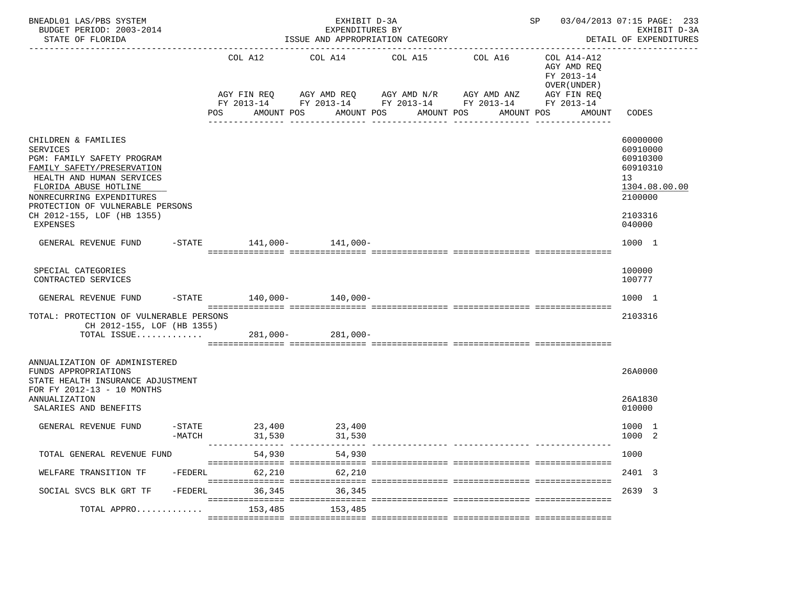| BNEADL01 LAS/PBS SYSTEM<br>BUDGET PERIOD: 2003-2014<br>STATE OF FLORIDA                                                                                                                                                                                                                            |                    |                |                  | EXHIBIT D-3A<br>EXPENDITURES BY<br>ISSUE AND APPROPRIATION CATEGORY                                                                |             |                 |            |            |                                                                                    | SP 03/04/2013 07:15 PAGE: 233<br>EXHIBIT D-3A<br>DETAIL OF EXPENDITURES                                       |
|----------------------------------------------------------------------------------------------------------------------------------------------------------------------------------------------------------------------------------------------------------------------------------------------------|--------------------|----------------|------------------|------------------------------------------------------------------------------------------------------------------------------------|-------------|-----------------|------------|------------|------------------------------------------------------------------------------------|---------------------------------------------------------------------------------------------------------------|
|                                                                                                                                                                                                                                                                                                    |                    | COL A12<br>POS | AMOUNT POS       | COL A14<br>AGY FIN REQ AGY AMD REQ AGY AMD N/R AGY AMD ANZ<br>FY 2013-14 FY 2013-14 FY 2013-14 FY 2013-14 FY 2013-14<br>AMOUNT POS |             | COL A15 COL A16 | AMOUNT POS | AMOUNT POS | COL A14-A12<br>AGY AMD REQ<br>FY 2013-14<br>OVER (UNDER )<br>AGY FIN REQ<br>AMOUNT | CODES                                                                                                         |
| CHILDREN & FAMILIES<br><b>SERVICES</b><br>PGM: FAMILY SAFETY PROGRAM<br>FAMILY SAFETY/PRESERVATION<br>HEALTH AND HUMAN SERVICES<br>FLORIDA ABUSE HOTLINE<br>NONRECURRING EXPENDITURES<br>PROTECTION OF VULNERABLE PERSONS<br>CH 2012-155, LOF (HB 1355)<br><b>EXPENSES</b><br>GENERAL REVENUE FUND |                    |                |                  | -STATE 141,000- 141,000-                                                                                                           | ----------- |                 | ---------- |            |                                                                                    | 60000000<br>60910000<br>60910300<br>60910310<br>13<br>1304.08.00.00<br>2100000<br>2103316<br>040000<br>1000 1 |
| SPECIAL CATEGORIES<br>CONTRACTED SERVICES<br>GENERAL REVENUE FUND                                                                                                                                                                                                                                  |                    |                |                  | $-STATE$ 140,000- 140,000-                                                                                                         |             |                 |            |            |                                                                                    | 100000<br>100777<br>1000 1                                                                                    |
| TOTAL: PROTECTION OF VULNERABLE PERSONS<br>CH 2012-155, LOF (HB 1355)<br>TOTAL ISSUE 281,000- 281,000-                                                                                                                                                                                             |                    |                |                  |                                                                                                                                    |             |                 |            |            |                                                                                    | 2103316                                                                                                       |
| ANNUALIZATION OF ADMINISTERED<br>FUNDS APPROPRIATIONS<br>STATE HEALTH INSURANCE ADJUSTMENT<br>FOR FY 2012-13 - 10 MONTHS<br>ANNUALIZATION<br>SALARIES AND BENEFITS                                                                                                                                 |                    |                |                  |                                                                                                                                    |             |                 |            |            |                                                                                    | 26A0000<br>26A1830<br>010000                                                                                  |
| GENERAL REVENUE FUND                                                                                                                                                                                                                                                                               | -STATE<br>$-MATCH$ |                | 23,400<br>31,530 | 23,400<br>31,530                                                                                                                   |             |                 |            |            |                                                                                    | 1000 1<br>1000 2                                                                                              |
| TOTAL GENERAL REVENUE FUND                                                                                                                                                                                                                                                                         |                    |                | 54,930           | 54,930                                                                                                                             |             |                 |            |            |                                                                                    | 1000                                                                                                          |
| WELFARE TRANSITION TF                                                                                                                                                                                                                                                                              | -FEDERL            |                | 62,210           | 62,210                                                                                                                             |             |                 |            |            |                                                                                    | 2401 3                                                                                                        |
| SOCIAL SVCS BLK GRT TF                                                                                                                                                                                                                                                                             | -FEDERL            |                | 36,345           | 36,345                                                                                                                             |             |                 |            |            |                                                                                    | 2639 3                                                                                                        |
| TOTAL APPRO                                                                                                                                                                                                                                                                                        |                    |                | 153,485          | 153,485                                                                                                                            |             |                 |            |            |                                                                                    |                                                                                                               |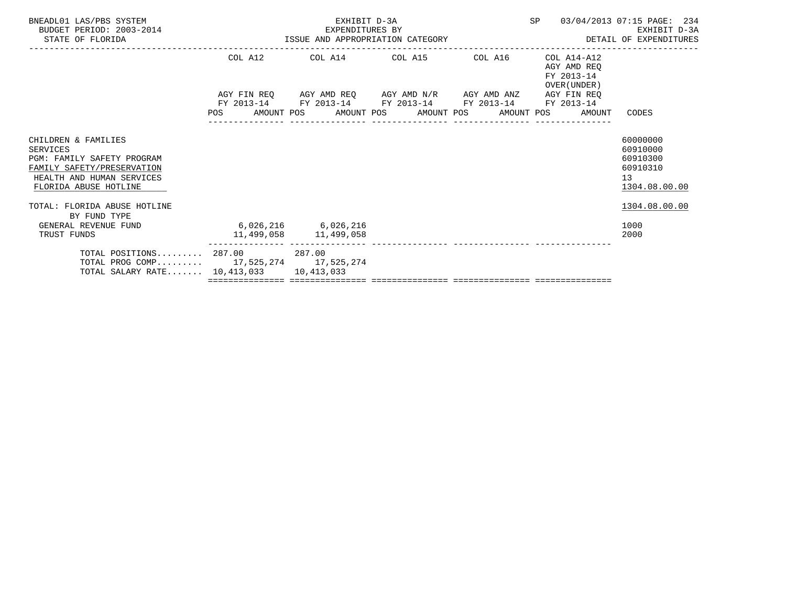| BNEADL01 LAS/PBS SYSTEM<br>BUDGET PERIOD: 2003-2014<br>STATE OF FLORIDA                                                                                  | EXHIBIT D-3A<br>EXPENDITURES BY<br>ISSUE AND APPROPRIATION CATEGORY | SP 03/04/2013 07:15 PAGE: 234                                                                  | EXHIBIT D-3A<br>DETAIL OF EXPENDITURES                       |                                                                     |
|----------------------------------------------------------------------------------------------------------------------------------------------------------|---------------------------------------------------------------------|------------------------------------------------------------------------------------------------|--------------------------------------------------------------|---------------------------------------------------------------------|
|                                                                                                                                                          |                                                                     | COL A12 COL A14 COL A15 COL A16<br>AGY FIN REQ AGY AMD REQ AGY AMD N/R AGY AMD ANZ AGY FIN REQ | COL A14-A12<br>AGY AMD REO<br>FY 2013-14<br>OVER (UNDER)     |                                                                     |
|                                                                                                                                                          |                                                                     | FY 2013-14 FY 2013-14 FY 2013-14 FY 2013-14 FY 2013-14                                         |                                                              |                                                                     |
|                                                                                                                                                          |                                                                     |                                                                                                | POS AMOUNT POS AMOUNT POS AMOUNT POS AMOUNT POS AMOUNT CODES |                                                                     |
| CHILDREN & FAMILIES<br>SERVICES<br><b>PGM: FAMILY SAFETY PROGRAM</b><br>FAMILY SAFETY/PRESERVATION<br>HEALTH AND HUMAN SERVICES<br>FLORIDA ABUSE HOTLINE |                                                                     |                                                                                                |                                                              | 60000000<br>60910000<br>60910300<br>60910310<br>13<br>1304.08.00.00 |
| TOTAL: FLORIDA ABUSE HOTLINE<br>BY FUND TYPE                                                                                                             |                                                                     |                                                                                                |                                                              | 1304.08.00.00                                                       |
| GENERAL REVENUE FUND<br>TRUST FUNDS                                                                                                                      | 6,026,216 6,026,216                                                 |                                                                                                |                                                              | 1000<br>2000                                                        |
| TOTAL POSITIONS $287.00$ 287.00<br>TOTAL PROG COMP 17,525,274 17,525,274<br>TOTAL SALARY RATE 10, 413, 033 10, 413, 033                                  |                                                                     |                                                                                                |                                                              |                                                                     |
|                                                                                                                                                          |                                                                     |                                                                                                |                                                              |                                                                     |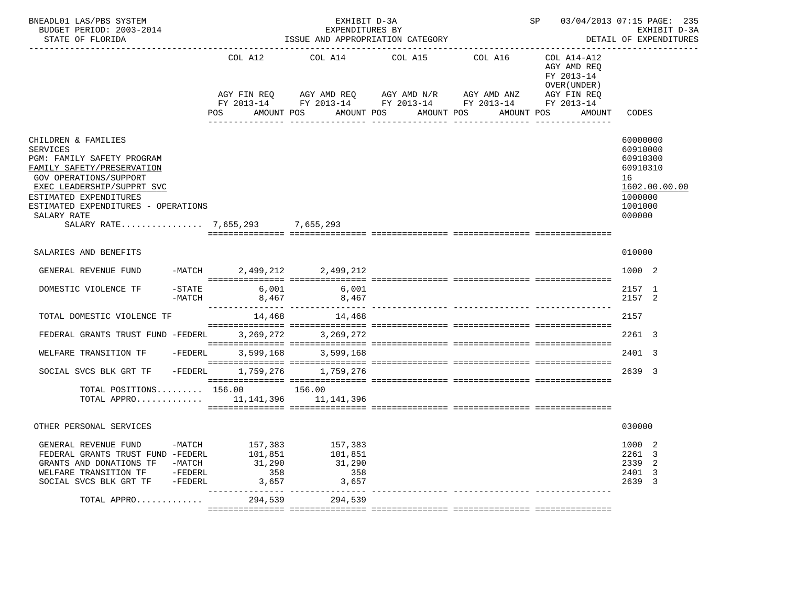| BNEADL01 LAS/PBS SYSTEM<br>BUDGET PERIOD: 2003-2014<br>STATE OF FLORIDA                                                                                                                                                                                                              |                                              |                                              | EXHIBIT D-3A<br>EXPENDITURES BY<br>ISSUE AND APPROPRIATION CATEGORY                                                                                |                                              |                               | SP 03/04/2013 07:15 PAGE: 235                                                     | EXHIBIT D-3A<br>DETAIL OF EXPENDITURES                                                              |
|--------------------------------------------------------------------------------------------------------------------------------------------------------------------------------------------------------------------------------------------------------------------------------------|----------------------------------------------|----------------------------------------------|----------------------------------------------------------------------------------------------------------------------------------------------------|----------------------------------------------|-------------------------------|-----------------------------------------------------------------------------------|-----------------------------------------------------------------------------------------------------|
|                                                                                                                                                                                                                                                                                      |                                              | COL A12<br>POS                               | COL A14 COL A15 COL A16<br>AGY FIN REQ AGY AMD REQ AGY AMD N/R AGY AMD ANZ<br>FY 2013-14 FY 2013-14 FY 2013-14 FY 2013-14 FY 2013-14<br>AMOUNT POS | AMOUNT POS<br>AMOUNT POS<br>________________ | AMOUNT POS<br>--------------- | COL A14-A12<br>AGY AMD REO<br>FY 2013-14<br>OVER (UNDER)<br>AGY FIN REQ<br>AMOUNT | CODES                                                                                               |
| CHILDREN & FAMILIES<br><b>SERVICES</b><br>PGM: FAMILY SAFETY PROGRAM<br>FAMILY SAFETY/PRESERVATION<br><b>GOV OPERATIONS/SUPPORT</b><br>EXEC LEADERSHIP/SUPPRT SVC<br>ESTIMATED EXPENDITURES<br>ESTIMATED EXPENDITURES - OPERATIONS<br>SALARY RATE<br>SALARY RATE 7.655.293 7.655.293 |                                              |                                              |                                                                                                                                                    |                                              |                               |                                                                                   | 60000000<br>60910000<br>60910300<br>60910310<br>16<br>1602.00.00.00<br>1000000<br>1001000<br>000000 |
| SALARIES AND BENEFITS                                                                                                                                                                                                                                                                |                                              |                                              |                                                                                                                                                    |                                              |                               |                                                                                   | 010000                                                                                              |
| GENERAL REVENUE FUND                                                                                                                                                                                                                                                                 |                                              |                                              | -MATCH 2,499,212 2,499,212                                                                                                                         |                                              |                               |                                                                                   | 1000 2                                                                                              |
| DOMESTIC VIOLENCE TF                                                                                                                                                                                                                                                                 | $-$ STATE<br>-MATCH                          | 6,001                                        | 6,001<br>8,467 8,467                                                                                                                               |                                              |                               |                                                                                   | 2157 1<br>2157 2                                                                                    |
| TOTAL DOMESTIC VIOLENCE TF                                                                                                                                                                                                                                                           |                                              | 14,468                                       | 14,468                                                                                                                                             |                                              |                               |                                                                                   | 2157                                                                                                |
| FEDERAL GRANTS TRUST FUND -FEDERL                                                                                                                                                                                                                                                    |                                              |                                              | 3, 269, 272 3, 269, 272                                                                                                                            |                                              |                               |                                                                                   | 2261 3                                                                                              |
| WELFARE TRANSITION TF                                                                                                                                                                                                                                                                | -FEDERL                                      | 3,599,168                                    | 3,599,168                                                                                                                                          |                                              |                               |                                                                                   | 2401 3                                                                                              |
| SOCIAL SVCS BLK GRT TF                                                                                                                                                                                                                                                               | $-FEDERL$                                    |                                              | 1,759,276 1,759,276                                                                                                                                |                                              |                               |                                                                                   | 2639 3                                                                                              |
| TOTAL POSITIONS $156.00$ 156.00<br>TOTAL APPRO 11,141,396 11,141,396                                                                                                                                                                                                                 |                                              |                                              |                                                                                                                                                    |                                              |                               |                                                                                   |                                                                                                     |
| OTHER PERSONAL SERVICES                                                                                                                                                                                                                                                              |                                              |                                              |                                                                                                                                                    |                                              |                               |                                                                                   | 030000                                                                                              |
| GENERAL REVENUE FUND<br>FEDERAL GRANTS TRUST FUND -FEDERL<br>GRANTS AND DONATIONS TF<br>WELFARE TRANSITION TF<br>SOCIAL SVCS BLK GRT TF                                                                                                                                              | $-MATCH$<br>-MATCH<br>$-FEDERL$<br>$-FEDERL$ | 157,383<br>101,851<br>31,290<br>358<br>3,657 | 157,383<br>101,851<br>31,290<br>358<br>3,657                                                                                                       |                                              |                               |                                                                                   | 1000<br>-2<br>2261 3<br>2339<br>-2<br>2401 3<br>2639 3                                              |
| TOTAL APPRO                                                                                                                                                                                                                                                                          |                                              | 294,539                                      | 294,539                                                                                                                                            |                                              |                               |                                                                                   |                                                                                                     |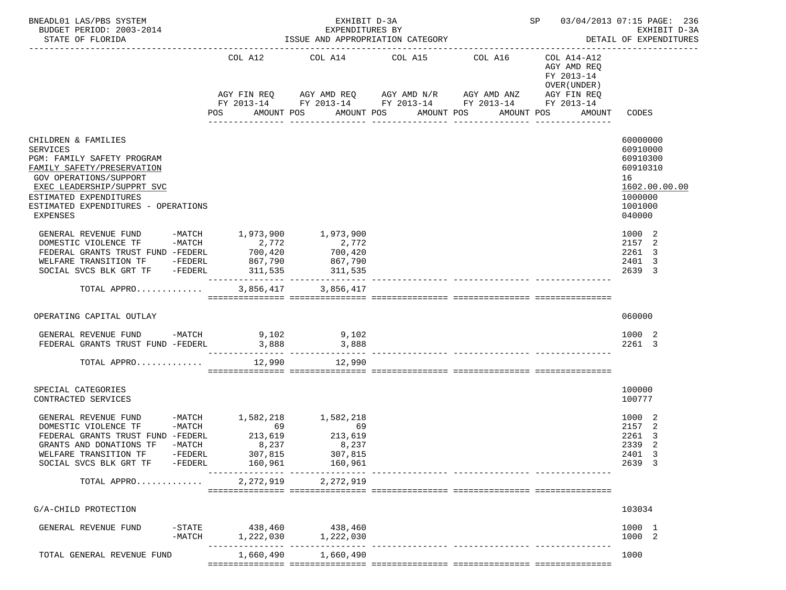| BNEADL01 LAS/PBS SYSTEM<br>BUDGET PERIOD: 2003-2014<br>STATE OF FLORIDA                                                                                                                                                                        |                                            |                                              | EXHIBIT D-3A<br>EXPENDITURES BY                                            | ISSUE AND APPROPRIATION CATEGORY                                                                                    | SP 03/04/2013 07:15 PAGE: 236                            | EXHIBIT D-3A<br>DETAIL OF EXPENDITURES                                                              |
|------------------------------------------------------------------------------------------------------------------------------------------------------------------------------------------------------------------------------------------------|--------------------------------------------|----------------------------------------------|----------------------------------------------------------------------------|---------------------------------------------------------------------------------------------------------------------|----------------------------------------------------------|-----------------------------------------------------------------------------------------------------|
|                                                                                                                                                                                                                                                |                                            | COL A12                                      |                                                                            | COL A14 COL A15 COL A16<br>AGY FIN REQ AGY AMD REQ AGY AMD N/R AGY AMD ANZ AGY FIN REQ                              | COL A14-A12<br>AGY AMD REQ<br>FY 2013-14<br>OVER (UNDER) |                                                                                                     |
|                                                                                                                                                                                                                                                |                                            |                                              | AMOUNT POS                                                                 | FY 2013-14 FY 2013-14 FY 2013-14 FY 2013-14 FY 2013-14<br>AMOUNT POS<br>AMOUNT POS<br>-----------<br>-------------- | AMOUNT POS<br>AMOUNT                                     | CODES                                                                                               |
| CHILDREN & FAMILIES<br><b>SERVICES</b><br>PGM: FAMILY SAFETY PROGRAM<br>FAMILY SAFETY/PRESERVATION<br><b>GOV OPERATIONS/SUPPORT</b><br>EXEC LEADERSHIP/SUPPRT SVC<br>ESTIMATED EXPENDITURES<br>ESTIMATED EXPENDITURES - OPERATIONS<br>EXPENSES |                                            |                                              |                                                                            |                                                                                                                     |                                                          | 60000000<br>60910000<br>60910300<br>60910310<br>16<br>1602.00.00.00<br>1000000<br>1001000<br>040000 |
| GENERAL REVENUE FUND -MATCH 1,973,900<br>DOMESTIC VIOLENCE TF -MATCH<br>FEDERAL GRANTS TRUST FUND -FEDERL<br>WELFARE TRANSITION TF -FEDERL<br>SOCIAL SVCS BLK GRT TF -FEDERL                                                                   |                                            | 2,772<br>700, 420<br>867,790<br>311,535      | 1,973,900<br>2,772<br>700,420<br>867,790<br>311,535                        |                                                                                                                     |                                                          | 1000 2<br>2157<br>-2<br>2261 3<br>2401 3<br>2639 3                                                  |
| TOTAL APPRO                                                                                                                                                                                                                                    |                                            |                                              | 3,856,417 3,856,417                                                        |                                                                                                                     |                                                          |                                                                                                     |
| OPERATING CAPITAL OUTLAY                                                                                                                                                                                                                       |                                            |                                              |                                                                            |                                                                                                                     |                                                          | 060000                                                                                              |
| GENERAL REVENUE FUND -MATCH $9,102$<br>FEDERAL GRANTS TRUST FUND -FEDERL $3,888$<br>3,888                                                                                                                                                      |                                            |                                              |                                                                            |                                                                                                                     |                                                          | 1000 2<br>2261 3                                                                                    |
| TOTAL APPRO                                                                                                                                                                                                                                    |                                            | 12,990                                       | 12,990                                                                     |                                                                                                                     |                                                          |                                                                                                     |
| SPECIAL CATEGORIES<br>CONTRACTED SERVICES                                                                                                                                                                                                      |                                            |                                              |                                                                            |                                                                                                                     |                                                          | 100000<br>100777                                                                                    |
| GENERAL REVENUE FUND<br>DOMESTIC VIOLENCE TF<br>FEDERAL GRANTS TRUST FUND -FEDERL<br>GRANTS AND DONATIONS TF<br>WELFARE TRANSITION TF<br>SOCIAL SVCS BLK GRT TF                                                                                | $-MATCH$<br>-MATCH<br>-FEDERL<br>$-FEDERL$ | 69<br>213,619<br>8,237<br>307,815<br>160,961 | -MATCH 1,582,218 1,582,218<br>69<br>213,619<br>8,237<br>307,815<br>160,961 | ------------- ----------------                                                                                      |                                                          | 1000 2<br>2157<br>-2<br>2261 3<br>2339<br>2<br>2401 3<br>2639 3                                     |
| TOTAL APPRO                                                                                                                                                                                                                                    |                                            | 2,272,919                                    | 2,272,919                                                                  |                                                                                                                     |                                                          |                                                                                                     |
| G/A-CHILD PROTECTION                                                                                                                                                                                                                           |                                            |                                              |                                                                            |                                                                                                                     |                                                          | 103034                                                                                              |
| GENERAL REVENUE FUND                                                                                                                                                                                                                           | $-$ STATE<br>$-MATCH$                      | 1,222,030                                    | 438,460 438,460<br>1,222,030                                               |                                                                                                                     |                                                          | 1000 1<br>1000 2                                                                                    |
| TOTAL GENERAL REVENUE FUND                                                                                                                                                                                                                     |                                            | 1,660,490                                    | 1,660,490                                                                  |                                                                                                                     |                                                          | 1000                                                                                                |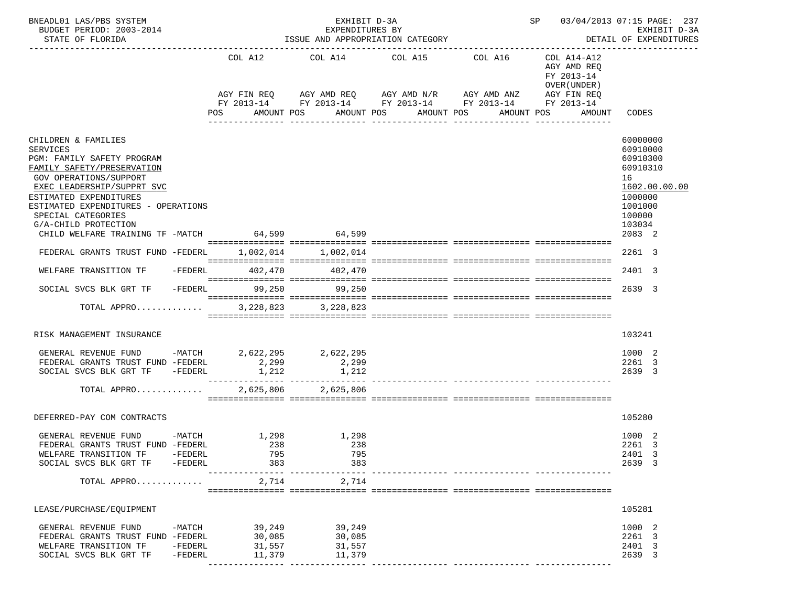| BNEADL01 LAS/PBS SYSTEM<br>BUDGET PERIOD: 2003-2014<br>STATE OF FLORIDA                                                                                                                                                                                                                                                                                          |                    |                                                | EXHIBIT D-3A<br>EXPENDITURES BY<br>--------------- | ISSUE AND APPROPRIATION CATEGORY                                                                                                                                                                                                      |            |                                                          | SP 03/04/2013 07:15 PAGE: 237<br>EXHIBIT D-3A<br>DETAIL OF EXPENDITURES                                                           |
|------------------------------------------------------------------------------------------------------------------------------------------------------------------------------------------------------------------------------------------------------------------------------------------------------------------------------------------------------------------|--------------------|------------------------------------------------|----------------------------------------------------|---------------------------------------------------------------------------------------------------------------------------------------------------------------------------------------------------------------------------------------|------------|----------------------------------------------------------|-----------------------------------------------------------------------------------------------------------------------------------|
|                                                                                                                                                                                                                                                                                                                                                                  |                    |                                                |                                                    | COL A12 COL A14 COL A15 COL A16                                                                                                                                                                                                       |            | COL A14-A12<br>AGY AMD REQ<br>FY 2013-14<br>OVER (UNDER) |                                                                                                                                   |
|                                                                                                                                                                                                                                                                                                                                                                  |                    | POS                                            | AMOUNT POS                                         | AGY FIN REQ AGY AMD REQ AGY AMD N/R AGY AMD ANZ<br>FY 2013-14 FY 2013-14 FY 2013-14 FY 2013-14 FY 2013-14<br>AMOUNT POS<br>AMOUNT POS                                                                                                 | AMOUNT POS | AGY FIN REQ<br>AMOUNT CODES                              |                                                                                                                                   |
| CHILDREN & FAMILIES<br><b>SERVICES</b><br>PGM: FAMILY SAFETY PROGRAM<br>FAMILY SAFETY/PRESERVATION<br>GOV OPERATIONS/SUPPORT<br>EXEC LEADERSHIP/SUPPRT SVC<br>ESTIMATED EXPENDITURES<br>ESTIMATED EXPENDITURES - OPERATIONS<br>SPECIAL CATEGORIES<br>G/A-CHILD PROTECTION<br>CHILD WELFARE TRAINING TF -MATCH 64,599 64,599<br>FEDERAL GRANTS TRUST FUND -FEDERL |                    |                                                | 1,002,014 1,002,014                                | $\blacksquare$ . The contract construction of the contract of the contract of the construction of the contract of the contract of the contract of the contract of the contract of the contract of the contract of the contract of the |            |                                                          | 60000000<br>60910000<br>60910300<br>60910310<br>16<br>1602.00.00.00<br>1000000<br>1001000<br>100000<br>103034<br>2083 2<br>2261 3 |
| WELFARE TRANSITION TF - FEDERL 402,470 402,470                                                                                                                                                                                                                                                                                                                   |                    |                                                |                                                    |                                                                                                                                                                                                                                       |            |                                                          | 2401 3                                                                                                                            |
| SOCIAL SVCS BLK GRT TF                                                                                                                                                                                                                                                                                                                                           |                    |                                                | -FEDERL 99,250 99,250                              |                                                                                                                                                                                                                                       |            |                                                          | 2639 3                                                                                                                            |
| TOTAL APPRO                                                                                                                                                                                                                                                                                                                                                      |                    |                                                | 3, 228, 823 3, 228, 823                            |                                                                                                                                                                                                                                       |            |                                                          |                                                                                                                                   |
| RISK MANAGEMENT INSURANCE                                                                                                                                                                                                                                                                                                                                        |                    |                                                |                                                    |                                                                                                                                                                                                                                       |            |                                                          | 103241                                                                                                                            |
| GENERAL REVENUE FUND -MATCH $2,622,295$ $2,622,295$<br>FEDERAL GRANTS TRUST FUND -FEDERL $2,299$ $2,299$<br>SOCIAL SVCS BLK GRT TF -FEDERL                                                                                                                                                                                                                       |                    | 1,212                                          | 1,212<br>2,625,806 2,625,806                       |                                                                                                                                                                                                                                       |            |                                                          | 1000 2<br>2261 3<br>2639 3                                                                                                        |
| TOTAL APPRO                                                                                                                                                                                                                                                                                                                                                      |                    |                                                |                                                    |                                                                                                                                                                                                                                       |            |                                                          |                                                                                                                                   |
| DEFERRED-PAY COM CONTRACTS                                                                                                                                                                                                                                                                                                                                       |                    |                                                |                                                    |                                                                                                                                                                                                                                       |            |                                                          | 105280                                                                                                                            |
| GENERAL REVENUE FUND -MATCH<br>FEDERAL GRANTS TRUST FUND -FEDERL<br>WELFARE TRANSITION TF<br>SOCIAL SVCS BLK GRT TF -FEDERL                                                                                                                                                                                                                                      | -FEDERL            | 1,298<br>238<br>795<br>383<br>-------------    | 1,298<br>238<br>795<br>383                         |                                                                                                                                                                                                                                       |            |                                                          | 1000 2<br>2261 3<br>2401 3<br>2639 3                                                                                              |
| TOTAL APPRO                                                                                                                                                                                                                                                                                                                                                      |                    | 2,714                                          | 2,714                                              |                                                                                                                                                                                                                                       |            |                                                          |                                                                                                                                   |
| LEASE/PURCHASE/EQUIPMENT                                                                                                                                                                                                                                                                                                                                         |                    |                                                |                                                    |                                                                                                                                                                                                                                       |            |                                                          | 105281                                                                                                                            |
| GENERAL REVENUE FUND<br>FEDERAL GRANTS TRUST FUND -FEDERL<br>WELFARE TRANSITION TF<br>SOCIAL SVCS BLK GRT TF                                                                                                                                                                                                                                                     | -FEDERL<br>-FEDERL | $-MATCH$ 39, 249<br>30,085<br>31,557<br>11,379 | 39,249<br>30,085<br>31,557<br>11,379               |                                                                                                                                                                                                                                       |            |                                                          | 1000 2<br>2261 3<br>2401 3<br>2639 3                                                                                              |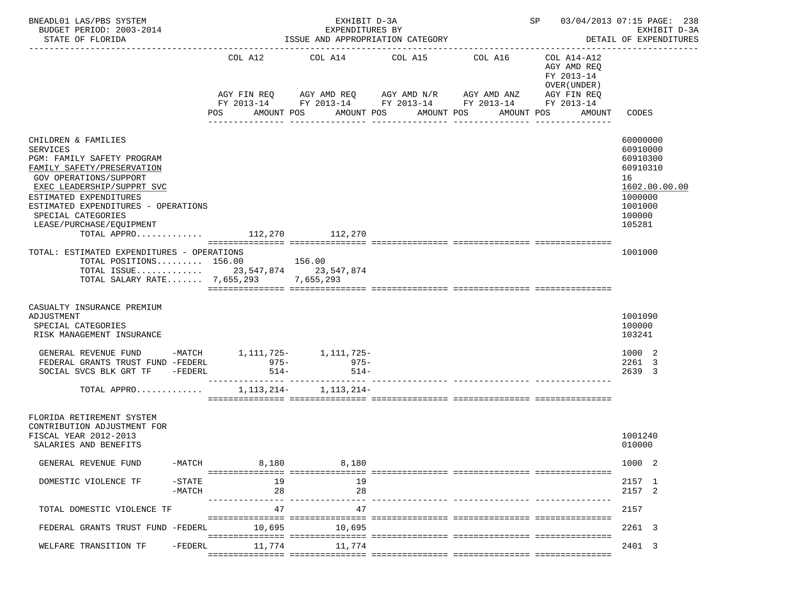| BNEADL01 LAS/PBS SYSTEM<br>BUDGET PERIOD: 2003-2014<br>STATE OF FLORIDA                                                                                                                                                                                                                                      |                       |                   | EXHIBIT D-3A<br>EXPENDITURES BY<br>ISSUE AND APPROPRIATION CATEGORY | SP 03/04/2013 07:15 PAGE: 238<br>EXHIBIT D-3A<br>DETAIL OF EXPENDITURES                                                           |                                                                      |                                                                                   |                                                                                                               |
|--------------------------------------------------------------------------------------------------------------------------------------------------------------------------------------------------------------------------------------------------------------------------------------------------------------|-----------------------|-------------------|---------------------------------------------------------------------|-----------------------------------------------------------------------------------------------------------------------------------|----------------------------------------------------------------------|-----------------------------------------------------------------------------------|---------------------------------------------------------------------------------------------------------------|
|                                                                                                                                                                                                                                                                                                              |                       | COL A12<br>POS    | AMOUNT POS                                                          | COL A14 COL A15 COL A16<br>AGY FIN REQ 6 AGY AMD REQ 6 AGY AMD N/R 66 AGY AMD ANZ<br>AMOUNT POS<br>AMOUNT POS<br>________________ | FY 2013-14 FY 2013-14 FY 2013-14 FY 2013-14 FY 2013-14<br>AMOUNT POS | COL A14-A12<br>AGY AMD REQ<br>FY 2013-14<br>OVER (UNDER)<br>AGY FIN REQ<br>AMOUNT | CODES                                                                                                         |
| CHILDREN & FAMILIES<br><b>SERVICES</b><br>PGM: FAMILY SAFETY PROGRAM<br>FAMILY SAFETY/PRESERVATION<br>GOV OPERATIONS/SUPPORT<br>EXEC LEADERSHIP/SUPPRT SVC<br>ESTIMATED EXPENDITURES<br>ESTIMATED EXPENDITURES - OPERATIONS<br>SPECIAL CATEGORIES<br>LEASE/PURCHASE/EOUIPMENT<br>TOTAL APPRO 112,270 112,270 |                       |                   |                                                                     |                                                                                                                                   |                                                                      |                                                                                   | 60000000<br>60910000<br>60910300<br>60910310<br>16<br>1602.00.00.00<br>1000000<br>1001000<br>100000<br>105281 |
| TOTAL: ESTIMATED EXPENDITURES - OPERATIONS<br>TOTAL POSITIONS 156.00 156.00<br>TOTAL ISSUE 23,547,874 23,547,874<br>TOTAL SALARY RATE 7,655,293 7,655,293                                                                                                                                                    |                       |                   |                                                                     |                                                                                                                                   |                                                                      |                                                                                   | 1001000                                                                                                       |
| CASUALTY INSURANCE PREMIUM<br>ADJUSTMENT<br>SPECIAL CATEGORIES<br>RISK MANAGEMENT INSURANCE                                                                                                                                                                                                                  |                       |                   |                                                                     |                                                                                                                                   |                                                                      |                                                                                   | 1001090<br>100000<br>103241                                                                                   |
| GENERAL REVENUE FUND -MATCH 1, 111, 725- 1, 111, 725-<br>FEDERAL GRANTS TRUST FUND -FEDERL<br>SOCIAL SVCS BLK GRT TF -FEDERL                                                                                                                                                                                 |                       | $975 -$<br>$514-$ | $975 -$<br>$514-$                                                   |                                                                                                                                   |                                                                      |                                                                                   | 1000 2<br>2261 3<br>2639 3                                                                                    |
| TOTAL APPRO                                                                                                                                                                                                                                                                                                  |                       |                   | 1, 113, 214 - 1, 113, 214 -                                         |                                                                                                                                   |                                                                      |                                                                                   |                                                                                                               |
| FLORIDA RETIREMENT SYSTEM<br>CONTRIBUTION ADJUSTMENT FOR<br>FISCAL YEAR 2012-2013<br>SALARIES AND BENEFITS                                                                                                                                                                                                   |                       |                   |                                                                     |                                                                                                                                   |                                                                      |                                                                                   | 1001240<br>010000                                                                                             |
| GENERAL REVENUE FUND                                                                                                                                                                                                                                                                                         |                       | 8,180<br>$-MATCH$ | 8,180                                                               |                                                                                                                                   |                                                                      |                                                                                   | 1000 2                                                                                                        |
| DOMESTIC VIOLENCE TF                                                                                                                                                                                                                                                                                         | $-$ STATE<br>$-MATCH$ | 19<br>28          | - 19<br>28                                                          |                                                                                                                                   |                                                                      |                                                                                   | 2157 1<br>2157 2                                                                                              |
| TOTAL DOMESTIC VIOLENCE TF                                                                                                                                                                                                                                                                                   |                       | 47                | 47                                                                  |                                                                                                                                   |                                                                      |                                                                                   | 2157                                                                                                          |
| FEDERAL GRANTS TRUST FUND -FEDERL                                                                                                                                                                                                                                                                            |                       | 10,695            | 10.695                                                              |                                                                                                                                   |                                                                      |                                                                                   | 2261 3                                                                                                        |
| WELFARE TRANSITION TF                                                                                                                                                                                                                                                                                        | -FEDERL               | 11,774            | 11,774                                                              |                                                                                                                                   |                                                                      |                                                                                   | 2401 3                                                                                                        |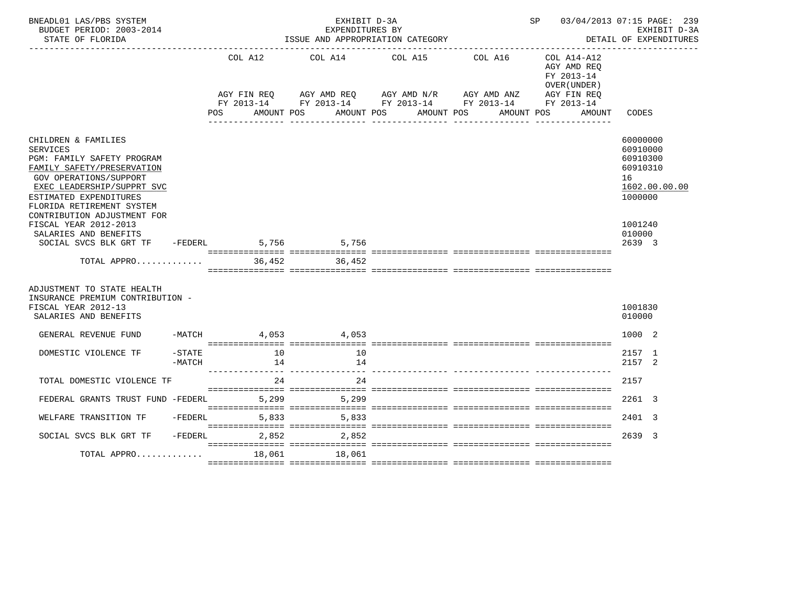| BNEADL01 LAS/PBS SYSTEM<br>BUDGET PERIOD: 2003-2014<br>STATE OF FLORIDA                                                                                                                                                  |                     |                    | EXHIBIT D-3A<br>EXPENDITURES BY                   | ISSUE AND APPROPRIATION CATEGORY                                                                                                                                         | SP 03/04/2013 07:15 PAGE: 239                                                    | EXHIBIT D-3A<br>DETAIL OF EXPENDITURES                                         |
|--------------------------------------------------------------------------------------------------------------------------------------------------------------------------------------------------------------------------|---------------------|--------------------|---------------------------------------------------|--------------------------------------------------------------------------------------------------------------------------------------------------------------------------|----------------------------------------------------------------------------------|--------------------------------------------------------------------------------|
|                                                                                                                                                                                                                          |                     | AGY FIN REO<br>POS | AMOUNT POS                                        | COL A12 COL A14 COL A15<br>COL A16<br>AGY AMD REO AGY AMD N/R AGY AMD ANZ AGY FIN REO<br>FY 2013-14 FY 2013-14 FY 2013-14 FY 2013-14 FY 2013-14<br>AMOUNT POS AMOUNT POS | COL A14-A12<br>AGY AMD REQ<br>FY 2013-14<br>OVER (UNDER)<br>AMOUNT POS<br>AMOUNT | CODES                                                                          |
| CHILDREN & FAMILIES<br><b>SERVICES</b><br>PGM: FAMILY SAFETY PROGRAM<br>FAMILY SAFETY/PRESERVATION<br><b>GOV OPERATIONS/SUPPORT</b><br>EXEC LEADERSHIP/SUPPRT SVC<br>ESTIMATED EXPENDITURES<br>FLORIDA RETIREMENT SYSTEM |                     |                    |                                                   |                                                                                                                                                                          |                                                                                  | 60000000<br>60910000<br>60910300<br>60910310<br>16<br>1602.00.00.00<br>1000000 |
| CONTRIBUTION ADJUSTMENT FOR<br>FISCAL YEAR 2012-2013<br>SALARIES AND BENEFITS<br>SOCIAL SVCS BLK GRT TF                                                                                                                  |                     | $-FEDERL$          | 5,756 5,756                                       |                                                                                                                                                                          |                                                                                  | 1001240<br>010000<br>2639 3                                                    |
| TOTAL APPRO                                                                                                                                                                                                              |                     |                    | 36,452 36,452                                     |                                                                                                                                                                          |                                                                                  |                                                                                |
| ADJUSTMENT TO STATE HEALTH<br>INSURANCE PREMIUM CONTRIBUTION -<br>FISCAL YEAR 2012-13<br>SALARIES AND BENEFITS                                                                                                           |                     |                    |                                                   |                                                                                                                                                                          |                                                                                  | 1001830<br>010000                                                              |
| GENERAL REVENUE FUND                                                                                                                                                                                                     |                     |                    | $-MATCH$ 4,053 4,053                              |                                                                                                                                                                          |                                                                                  | 1000 2                                                                         |
| DOMESTIC VIOLENCE TF                                                                                                                                                                                                     | $-$ STATE<br>-MATCH | 10<br>14           | 10<br>14<br>_____________________________________ |                                                                                                                                                                          |                                                                                  | 2157 1<br>2157 2                                                               |
| TOTAL DOMESTIC VIOLENCE TF                                                                                                                                                                                               |                     | 24                 | 24                                                |                                                                                                                                                                          |                                                                                  | 2157                                                                           |
| FEDERAL GRANTS TRUST FUND -FEDERL                                                                                                                                                                                        |                     | 5,299              | 5,299                                             |                                                                                                                                                                          |                                                                                  | 2261 3                                                                         |
| WELFARE TRANSITION TF                                                                                                                                                                                                    |                     | $-FEDERL$<br>5,833 | 5,833                                             |                                                                                                                                                                          |                                                                                  | 2401 3                                                                         |
| SOCIAL SVCS BLK GRT TF                                                                                                                                                                                                   |                     | $-FEDERL$<br>2,852 | 2,852                                             |                                                                                                                                                                          |                                                                                  | 2639 3                                                                         |
| TOTAL APPRO                                                                                                                                                                                                              |                     | 18,061             | 18,061                                            |                                                                                                                                                                          |                                                                                  |                                                                                |
|                                                                                                                                                                                                                          |                     |                    |                                                   |                                                                                                                                                                          |                                                                                  |                                                                                |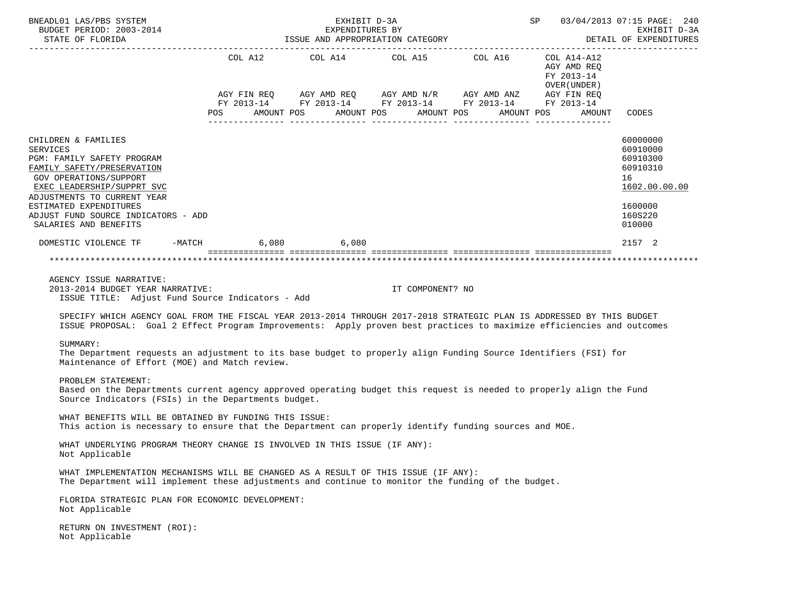| BNEADL01 LAS/PBS SYSTEM<br>BUDGET PERIOD: 2003-2014<br>STATE OF FLORIDA                                                                                                                                                                                                                                                                                           |                                                                                                                                                                                                                           | EXHIBIT D-3A |                                                     | $SP$ 03/04/2013 07:15 PAGE: 240<br>EXPENDITURES BY EXHIBIT D-3A<br>ISSUE AND APPROPRIATION CATEGORY STAND AND APPROPRIATION CATEGORY | EXHIBIT D-3A                                                                              |
|-------------------------------------------------------------------------------------------------------------------------------------------------------------------------------------------------------------------------------------------------------------------------------------------------------------------------------------------------------------------|---------------------------------------------------------------------------------------------------------------------------------------------------------------------------------------------------------------------------|--------------|-----------------------------------------------------|--------------------------------------------------------------------------------------------------------------------------------------|-------------------------------------------------------------------------------------------|
|                                                                                                                                                                                                                                                                                                                                                                   | AGY FIN REQ       AGY AMD REQ       AGY AMD N/R       AGY AMD ANZ       AGY FIN REQ<br>FY 2013-14        FY 2013-14      FY 2013-14       FY 2013-14        FY 2013-14<br>POS AMOUNT POS AMOUNT POS AMOUNT POS AMOUNT POS |              | COL A12 $COL$ A14 $COL$ A15 $COL$ A16 $COL$ A14-A12 | AGY AMD REQ<br>FY 2013-14<br>OVER (UNDER)<br>AMOUNT                                                                                  | CODES                                                                                     |
| CHILDREN & FAMILIES<br><b>SERVICES</b><br>PGM: FAMILY SAFETY PROGRAM<br>FAMILY SAFETY/PRESERVATION<br><b>GOV OPERATIONS/SUPPORT</b><br>EXEC LEADERSHIP/SUPPRT SVC<br>ADJUSTMENTS TO CURRENT YEAR<br>ESTIMATED EXPENDITURES<br>ADJUST FUND SOURCE INDICATORS - ADD                                                                                                 |                                                                                                                                                                                                                           |              |                                                     |                                                                                                                                      | 60000000<br>60910000<br>60910300<br>60910310<br>16<br>1602.00.00.00<br>1600000<br>160S220 |
| SALARIES AND BENEFITS<br>DOMESTIC VIOLENCE TF -MATCH 6,080 6,080                                                                                                                                                                                                                                                                                                  |                                                                                                                                                                                                                           |              |                                                     |                                                                                                                                      | 010000<br>2157 2                                                                          |
|                                                                                                                                                                                                                                                                                                                                                                   |                                                                                                                                                                                                                           |              |                                                     |                                                                                                                                      |                                                                                           |
| AGENCY ISSUE NARRATIVE:<br>2013-2014 BUDGET YEAR NARRATIVE:<br>ISSUE TITLE: Adjust Fund Source Indicators - Add<br>SPECIFY WHICH AGENCY GOAL FROM THE FISCAL YEAR 2013-2014 THROUGH 2017-2018 STRATEGIC PLAN IS ADDRESSED BY THIS BUDGET<br>ISSUE PROPOSAL: Goal 2 Effect Program Improvements: Apply proven best practices to maximize efficiencies and outcomes |                                                                                                                                                                                                                           |              | IT COMPONENT? NO                                    |                                                                                                                                      |                                                                                           |
| SUMMARY:<br>The Department requests an adjustment to its base budget to properly align Funding Source Identifiers (FSI) for<br>Maintenance of Effort (MOE) and Match review.                                                                                                                                                                                      |                                                                                                                                                                                                                           |              |                                                     |                                                                                                                                      |                                                                                           |
| PROBLEM STATEMENT:<br>Based on the Departments current agency approved operating budget this request is needed to properly align the Fund<br>Source Indicators (FSIs) in the Departments budget.                                                                                                                                                                  |                                                                                                                                                                                                                           |              |                                                     |                                                                                                                                      |                                                                                           |
| WHAT BENEFITS WILL BE OBTAINED BY FUNDING THIS ISSUE:<br>This action is necessary to ensure that the Department can properly identify funding sources and MOE.                                                                                                                                                                                                    |                                                                                                                                                                                                                           |              |                                                     |                                                                                                                                      |                                                                                           |
| WHAT UNDERLYING PROGRAM THEORY CHANGE IS INVOLVED IN THIS ISSUE (IF ANY):<br>Not Applicable                                                                                                                                                                                                                                                                       |                                                                                                                                                                                                                           |              |                                                     |                                                                                                                                      |                                                                                           |
| WHAT IMPLEMENTATION MECHANISMS WILL BE CHANGED AS A RESULT OF THIS ISSUE (IF ANY):<br>The Department will implement these adjustments and continue to monitor the funding of the budget.                                                                                                                                                                          |                                                                                                                                                                                                                           |              |                                                     |                                                                                                                                      |                                                                                           |
| FLORIDA STRATEGIC PLAN FOR ECONOMIC DEVELOPMENT:<br>Not Applicable                                                                                                                                                                                                                                                                                                |                                                                                                                                                                                                                           |              |                                                     |                                                                                                                                      |                                                                                           |
| RETURN ON INVESTMENT (ROI):<br>Not Applicable                                                                                                                                                                                                                                                                                                                     |                                                                                                                                                                                                                           |              |                                                     |                                                                                                                                      |                                                                                           |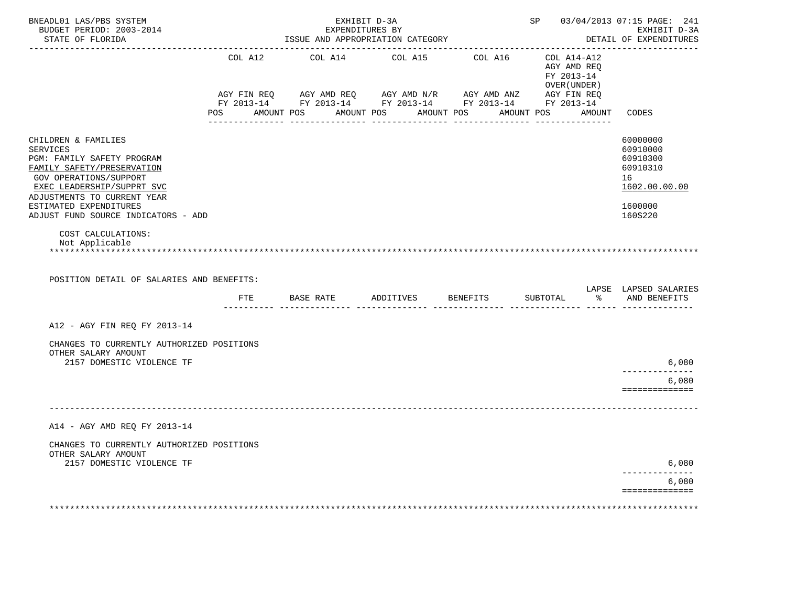| BNEADL01 LAS/PBS SYSTEM<br>BUDGET PERIOD: 2003-2014<br>STATE OF FLORIDA                                                                                                                                                                                    |                | EXHIBIT D-3A<br>ISSUE AND APPROPRIATION CATEGORY                                                                                                 | EXPENDITURES BY       | SP 03/04/2013 07:15 PAGE: 241                             | EXHIBIT D-3A<br>DETAIL OF EXPENDITURES                                                    |
|------------------------------------------------------------------------------------------------------------------------------------------------------------------------------------------------------------------------------------------------------------|----------------|--------------------------------------------------------------------------------------------------------------------------------------------------|-----------------------|-----------------------------------------------------------|-------------------------------------------------------------------------------------------|
|                                                                                                                                                                                                                                                            | COL A12        | COL A14 COL A15 COL A16<br>AGY FIN REQ AGY AMD REQ AGY AMD N/R AGY AMD ANZ AGY FIN REQ<br>FY 2013-14 FY 2013-14 FY 2013-14 FY 2013-14 FY 2013-14 |                       | COL A14-A12<br>AGY AMD REQ<br>FY 2013-14<br>OVER (UNDER ) |                                                                                           |
|                                                                                                                                                                                                                                                            | POS AMOUNT POS |                                                                                                                                                  | AMOUNT POS AMOUNT POS | AMOUNT POS AMOUNT CODES                                   |                                                                                           |
| CHILDREN & FAMILIES<br><b>SERVICES</b><br>PGM: FAMILY SAFETY PROGRAM<br>FAMILY SAFETY/PRESERVATION<br>GOV OPERATIONS/SUPPORT<br>EXEC LEADERSHIP/SUPPRT SVC<br>ADJUSTMENTS TO CURRENT YEAR<br>ESTIMATED EXPENDITURES<br>ADJUST FUND SOURCE INDICATORS - ADD |                |                                                                                                                                                  |                       |                                                           | 60000000<br>60910000<br>60910300<br>60910310<br>16<br>1602.00.00.00<br>1600000<br>160S220 |
| COST CALCULATIONS:<br>Not Applicable<br>POSITION DETAIL OF SALARIES AND BENEFITS:                                                                                                                                                                          |                |                                                                                                                                                  |                       |                                                           | LAPSE LAPSED SALARIES                                                                     |
|                                                                                                                                                                                                                                                            | FTE            | BASE RATE ADDITIVES BENEFITS                                                                                                                     |                       | SUBTOTAL                                                  | % AND BENEFITS                                                                            |
| A12 - AGY FIN REQ FY 2013-14                                                                                                                                                                                                                               |                |                                                                                                                                                  |                       |                                                           |                                                                                           |
| CHANGES TO CURRENTLY AUTHORIZED POSITIONS<br>OTHER SALARY AMOUNT<br>2157 DOMESTIC VIOLENCE TF                                                                                                                                                              |                |                                                                                                                                                  |                       |                                                           | 6,080                                                                                     |
|                                                                                                                                                                                                                                                            |                |                                                                                                                                                  |                       |                                                           | ------------<br>6,080                                                                     |
|                                                                                                                                                                                                                                                            |                |                                                                                                                                                  |                       |                                                           | ==============                                                                            |
| A14 - AGY AMD REO FY 2013-14                                                                                                                                                                                                                               |                |                                                                                                                                                  |                       |                                                           |                                                                                           |
| CHANGES TO CURRENTLY AUTHORIZED POSITIONS                                                                                                                                                                                                                  |                |                                                                                                                                                  |                       |                                                           |                                                                                           |
| OTHER SALARY AMOUNT<br>2157 DOMESTIC VIOLENCE TF                                                                                                                                                                                                           |                |                                                                                                                                                  |                       |                                                           | 6,080                                                                                     |
|                                                                                                                                                                                                                                                            |                |                                                                                                                                                  |                       |                                                           | 6,080<br>==============                                                                   |
|                                                                                                                                                                                                                                                            |                |                                                                                                                                                  |                       |                                                           |                                                                                           |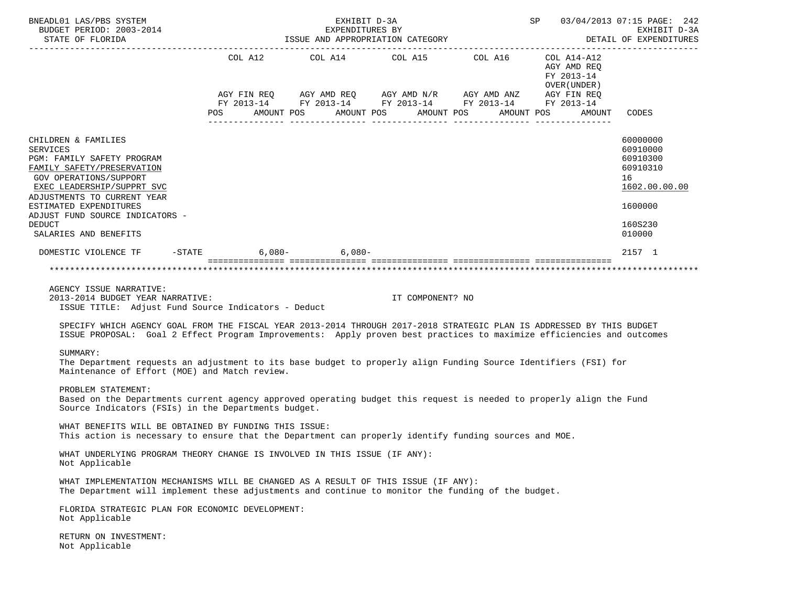| BNEADL01 LAS/PBS SYSTEM<br>BUDGET PERIOD: 2003-2014                                                                                                                                                                                                                                                                                                                  | SP 03/04/2013 07:15 PAGE: 242        | EXHIBIT D-3A                                        |                  |                                                                                                                                                                      |                                                                        |                                                                                           |
|----------------------------------------------------------------------------------------------------------------------------------------------------------------------------------------------------------------------------------------------------------------------------------------------------------------------------------------------------------------------|--------------------------------------|-----------------------------------------------------|------------------|----------------------------------------------------------------------------------------------------------------------------------------------------------------------|------------------------------------------------------------------------|-------------------------------------------------------------------------------------------|
| STATE OF FLORIDA                                                                                                                                                                                                                                                                                                                                                     |                                      | EXPENDITURES BY<br>ISSUE AND APPROPRIATION CATEGORY |                  |                                                                                                                                                                      | DETAIL OF EXPENDITURES                                                 |                                                                                           |
|                                                                                                                                                                                                                                                                                                                                                                      | POS AMOUNT POS AMOUNT POS AMOUNT POS |                                                     |                  | COL A12 COL A14 COL A15 COL A16 COL A14-A12<br>AGY FIN REQ AGY AMD REQ AGY AMD N/R AGY AMD ANZ AGY FIN REQ<br>FY 2013-14 FY 2013-14 FY 2013-14 FY 2013-14 FY 2013-14 | AGY AMD REQ<br>FY 2013-14<br>OVER ( UNDER )<br>AMOUNT POS AMOUNT CODES |                                                                                           |
| CHILDREN & FAMILIES<br><b>SERVICES</b><br>PGM: FAMILY SAFETY PROGRAM<br>FAMILY SAFETY/PRESERVATION<br>GOV OPERATIONS/SUPPORT<br>EXEC LEADERSHIP/SUPPRT SVC<br>ADJUSTMENTS TO CURRENT YEAR<br>ESTIMATED EXPENDITURES<br>ADJUST FUND SOURCE INDICATORS -<br><b>DEDUCT</b>                                                                                              |                                      |                                                     |                  |                                                                                                                                                                      |                                                                        | 60000000<br>60910000<br>60910300<br>60910310<br>16<br>1602.00.00.00<br>1600000<br>160S230 |
| SALARIES AND BENEFITS                                                                                                                                                                                                                                                                                                                                                |                                      |                                                     |                  |                                                                                                                                                                      |                                                                        | 010000                                                                                    |
| DOMESTIC VIOLENCE TF -STATE                                                                                                                                                                                                                                                                                                                                          |                                      | $6,080 - 6,080 -$                                   |                  |                                                                                                                                                                      |                                                                        | 2157 1                                                                                    |
| AGENCY ISSUE NARRATIVE:<br>2013-2014 BUDGET YEAR NARRATIVE:<br>ISSUE TITLE: Adjust Fund Source Indicators - Deduct<br>SPECIFY WHICH AGENCY GOAL FROM THE FISCAL YEAR 2013-2014 THROUGH 2017-2018 STRATEGIC PLAN IS ADDRESSED BY THIS BUDGET<br>ISSUE PROPOSAL: Goal 2 Effect Program Improvements: Apply proven best practices to maximize efficiencies and outcomes |                                      |                                                     | IT COMPONENT? NO |                                                                                                                                                                      |                                                                        |                                                                                           |
| SUMMARY:<br>The Department requests an adjustment to its base budget to properly align Funding Source Identifiers (FSI) for<br>Maintenance of Effort (MOE) and Match review.                                                                                                                                                                                         |                                      |                                                     |                  |                                                                                                                                                                      |                                                                        |                                                                                           |
| PROBLEM STATEMENT:<br>Based on the Departments current agency approved operating budget this request is needed to properly align the Fund<br>Source Indicators (FSIs) in the Departments budget.                                                                                                                                                                     |                                      |                                                     |                  |                                                                                                                                                                      |                                                                        |                                                                                           |
| WHAT BENEFITS WILL BE OBTAINED BY FUNDING THIS ISSUE:<br>This action is necessary to ensure that the Department can properly identify funding sources and MOE.                                                                                                                                                                                                       |                                      |                                                     |                  |                                                                                                                                                                      |                                                                        |                                                                                           |
| WHAT UNDERLYING PROGRAM THEORY CHANGE IS INVOLVED IN THIS ISSUE (IF ANY):<br>Not Applicable                                                                                                                                                                                                                                                                          |                                      |                                                     |                  |                                                                                                                                                                      |                                                                        |                                                                                           |
| WHAT IMPLEMENTATION MECHANISMS WILL BE CHANGED AS A RESULT OF THIS ISSUE (IF ANY):<br>The Department will implement these adjustments and continue to monitor the funding of the budget.                                                                                                                                                                             |                                      |                                                     |                  |                                                                                                                                                                      |                                                                        |                                                                                           |
| FLORIDA STRATEGIC PLAN FOR ECONOMIC DEVELOPMENT:<br>Not Applicable                                                                                                                                                                                                                                                                                                   |                                      |                                                     |                  |                                                                                                                                                                      |                                                                        |                                                                                           |
| RETURN ON INVESTMENT:<br>Not Applicable                                                                                                                                                                                                                                                                                                                              |                                      |                                                     |                  |                                                                                                                                                                      |                                                                        |                                                                                           |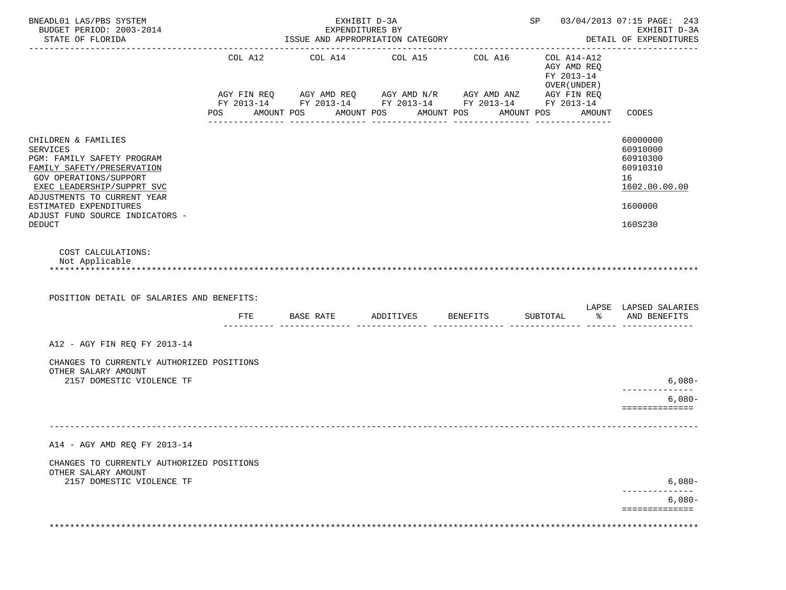|                                           |     |                                        |                                 |                                                                      |                             | EXHIBIT D-3A<br>DETAIL OF EXPENDITURES                                                                                                                                                                                                                           |
|-------------------------------------------|-----|----------------------------------------|---------------------------------|----------------------------------------------------------------------|-----------------------------|------------------------------------------------------------------------------------------------------------------------------------------------------------------------------------------------------------------------------------------------------------------|
| COL A12                                   |     |                                        | COL A16                         |                                                                      |                             | CODES                                                                                                                                                                                                                                                            |
|                                           |     |                                        |                                 |                                                                      |                             | 60000000<br>60910000<br>60910300<br>60910310<br>16<br>1602.00.00.00<br>1600000<br>160S230                                                                                                                                                                        |
| POSITION DETAIL OF SALARIES AND BENEFITS: |     |                                        |                                 |                                                                      |                             | LAPSE LAPSED SALARIES                                                                                                                                                                                                                                            |
|                                           |     |                                        |                                 |                                                                      |                             | AND BENEFITS                                                                                                                                                                                                                                                     |
| CHANGES TO CURRENTLY AUTHORIZED POSITIONS |     |                                        |                                 |                                                                      |                             | $6,080-$<br>------------<br>$6,080-$<br>==============                                                                                                                                                                                                           |
|                                           |     |                                        |                                 |                                                                      |                             |                                                                                                                                                                                                                                                                  |
| CHANGES TO CURRENTLY AUTHORIZED POSITIONS |     |                                        |                                 |                                                                      |                             | $6,080-$<br>$6,080-$<br>==============                                                                                                                                                                                                                           |
|                                           | FTE | COL A14<br>POS AMOUNT POS<br>BASE RATE | EXHIBIT D-3A<br>EXPENDITURES BY | ISSUE AND APPROPRIATION CATEGORY<br>COL A15<br>AMOUNT POS AMOUNT POS | ADDITIVES BENEFITS SUBTOTAL | SP 03/04/2013 07:15 PAGE: 243<br>COL A14-A12<br>AGY AMD REO<br>FY 2013-14<br>OVER (UNDER )<br>AGY FIN REQ AGY AMD REQ AGY AMD N/R AGY AMD ANZ AGY FIN REQ<br>FY 2013-14 FY 2013-14 FY 2013-14 FY 2013-14 FY 2013-14<br>AMOUNT POS AMOUNT<br>_______________<br>ႜ |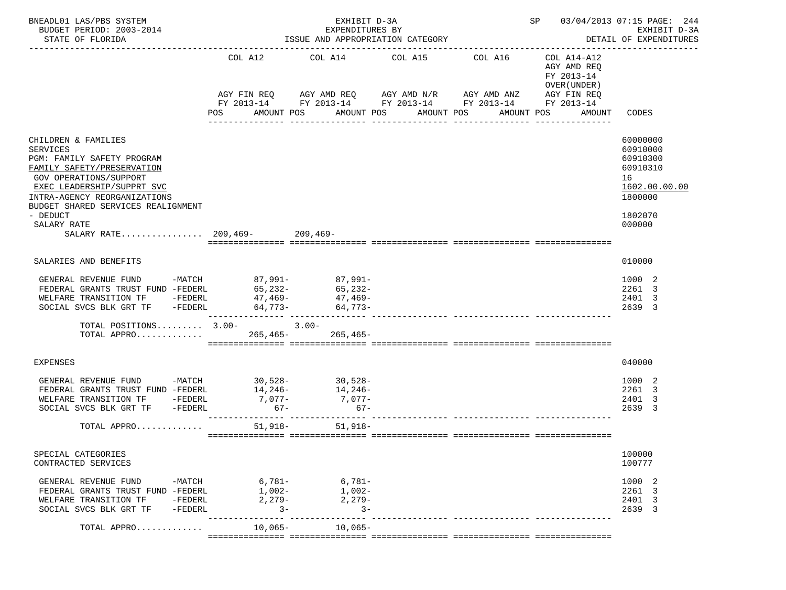| BNEADL01 LAS/PBS SYSTEM<br>BUDGET PERIOD: 2003-2014<br>STATE OF FLORIDA<br>-----------------------                                                                                                                                                                                           |                                                    | EXHIBIT D-3A<br>EXPENDITURES BY<br>ISSUE AND APPROPRIATION CATEGORY |                                           | SP 03/04/2013 07:15 PAGE: 244<br>EXHIBIT D-3A<br>DETAIL OF EXPENDITURES                                                             |                                                                    |                                                                                                     |
|----------------------------------------------------------------------------------------------------------------------------------------------------------------------------------------------------------------------------------------------------------------------------------------------|----------------------------------------------------|---------------------------------------------------------------------|-------------------------------------------|-------------------------------------------------------------------------------------------------------------------------------------|--------------------------------------------------------------------|-----------------------------------------------------------------------------------------------------|
|                                                                                                                                                                                                                                                                                              | COL A12<br>POS                                     | COL A14 COL A15 COL A16<br>AMOUNT POS                               | AMOUNT POS AMOUNT POS<br>________________ | AGY FIN REQ AGY AMD REQ AGY AMD N/R AGY AMD ANZ AGY FIN REQ<br>FY 2013-14 FY 2013-14 FY 2013-14 FY 2013-14 FY 2013-14<br>AMOUNT POS | COL A14-A12<br>AGY AMD REQ<br>FY 2013-14<br>OVER (UNDER)<br>AMOUNT | CODES                                                                                               |
| CHILDREN & FAMILIES<br><b>SERVICES</b><br>PGM: FAMILY SAFETY PROGRAM<br>FAMILY SAFETY/PRESERVATION<br>GOV OPERATIONS/SUPPORT<br>EXEC LEADERSHIP/SUPPRT SVC<br>INTRA-AGENCY REORGANIZATIONS<br>BUDGET SHARED SERVICES REALIGNMENT<br>- DEDUCT<br>SALARY RATE<br>SALARY RATE 209,469- 209,469- |                                                    |                                                                     |                                           |                                                                                                                                     |                                                                    | 60000000<br>60910000<br>60910300<br>60910310<br>16<br>1602.00.00.00<br>1800000<br>1802070<br>000000 |
| SALARIES AND BENEFITS                                                                                                                                                                                                                                                                        |                                                    |                                                                     |                                           |                                                                                                                                     |                                                                    | 010000                                                                                              |
| GENERAL REVENUE FUND -MATCH $87,991$ -<br>FEDERAL GRANTS TRUST FUND -FEDERL $65,232$ -<br>$65,232$ -<br><br>WELFARE TRANSITION TF -FEDERL<br>SOCIAL SVCS BLK GRT TF -FEDERL<br>TOTAL POSITIONS $3.00-3.00-$<br>TOTAL APPRO                                                                   |                                                    | $47,469 47,469-$<br>$64,773-64,773-$<br>$265, 465 - 265, 465 -$     |                                           |                                                                                                                                     |                                                                    | 1000 2<br>2261 3<br>2401 3<br>2639 3                                                                |
| <b>EXPENSES</b>                                                                                                                                                                                                                                                                              |                                                    |                                                                     |                                           |                                                                                                                                     |                                                                    | 040000                                                                                              |
| GENERAL REVENUE FUND -MATCH 30,528- 30,528-<br>FEDERAL GRANTS TRUST FUND -FEDERL<br>WELFARE TRANSITION TF -FEDERL<br>SOCIAL SVCS BLK GRT TF -FEDERL<br>TOTAL APPRO                                                                                                                           | $7,077-$<br>$67 -$                                 | $14, 246 - 14, 246 -$<br>$7,077-$<br>$67 -$<br>51,918- 51,918-      |                                           |                                                                                                                                     |                                                                    | 1000 2<br>2261 3<br>2401<br>-3<br>2639 3                                                            |
| SPECIAL CATEGORIES<br>CONTRACTED SERVICES                                                                                                                                                                                                                                                    |                                                    |                                                                     |                                           |                                                                                                                                     |                                                                    | 100000<br>100777                                                                                    |
| GENERAL REVENUE FUND<br>FEDERAL GRANTS TRUST FUND -FEDERL<br>WELFARE TRANSITION TF<br>-FEDERL<br>$-FEDERL$<br>SOCIAL SVCS BLK GRT TF                                                                                                                                                         | -MATCH 6,781- 6,781-<br>$1,002-$<br>2,279-<br>$3-$ | $1,002-$<br>2,279-<br>$3 -$                                         |                                           |                                                                                                                                     |                                                                    | 1000 2<br>2261 3<br>2401 3<br>2639 3                                                                |
| TOTAL APPRO                                                                                                                                                                                                                                                                                  | $10,065-$                                          | 10,065-                                                             |                                           |                                                                                                                                     |                                                                    |                                                                                                     |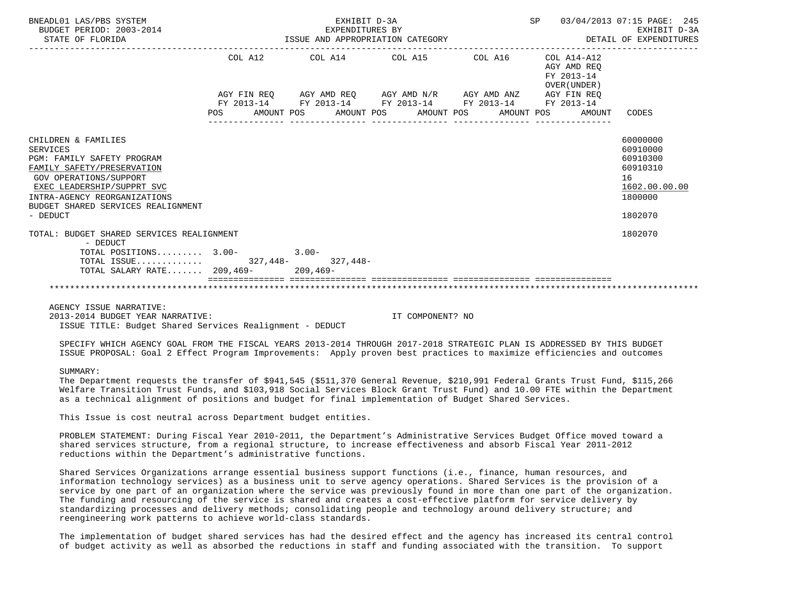| BNEADL01 LAS/PBS SYSTEM<br>BUDGET PERIOD: 2003-2014<br>STATE OF FLORIDA                                                                                                                                                                             | EXHIBIT D-3A<br>EXPENDITURES BY                                                                |                                        | SP 03/04/2013 07:15 PAGE: 245<br>ISSUE AND APPROPRIATION CATEGORY <b>Experience ASSESS</b> | EXHIBIT D-3A                                                                              |
|-----------------------------------------------------------------------------------------------------------------------------------------------------------------------------------------------------------------------------------------------------|------------------------------------------------------------------------------------------------|----------------------------------------|--------------------------------------------------------------------------------------------|-------------------------------------------------------------------------------------------|
|                                                                                                                                                                                                                                                     | COL A12 COL A14 COL A15 COL A16                                                                |                                        | COL A14-A12<br>AGY AMD REQ<br>FY 2013-14<br>OVER (UNDER)                                   |                                                                                           |
|                                                                                                                                                                                                                                                     | AGY FIN REQ AGY AMD REQ AGY AMD N/R AGY AMD ANZ AGY FIN REQ                                    |                                        |                                                                                            |                                                                                           |
|                                                                                                                                                                                                                                                     | FY 2013-14 FY 2013-14 FY 2013-14 FY 2013-14 FY 2013-14<br>POS AMOUNT POS AMOUNT POS AMOUNT POS | ______________________________________ | AMOUNT POS<br>AMOUNT CODES                                                                 |                                                                                           |
| CHILDREN & FAMILIES<br><b>SERVICES</b><br>PGM: FAMILY SAFETY PROGRAM<br>FAMILY SAFETY/PRESERVATION<br><b>GOV OPERATIONS/SUPPORT</b><br>EXEC LEADERSHIP/SUPPRT SVC<br>INTRA-AGENCY REORGANIZATIONS<br>BUDGET SHARED SERVICES REALIGNMENT<br>- DEDUCT |                                                                                                |                                        |                                                                                            | 60000000<br>60910000<br>60910300<br>60910310<br>16<br>1602.00.00.00<br>1800000<br>1802070 |
| TOTAL: BUDGET SHARED SERVICES REALIGNMENT<br>- DEDUCT                                                                                                                                                                                               |                                                                                                |                                        |                                                                                            | 1802070                                                                                   |
| TOTAL POSITIONS $3.00-3.00-$<br>TOTAL ISSUE 327,448-<br>327,448-<br>TOTAL SALARY RATE 209,469- 209,469-                                                                                                                                             |                                                                                                |                                        |                                                                                            |                                                                                           |
|                                                                                                                                                                                                                                                     |                                                                                                |                                        |                                                                                            |                                                                                           |
| AGENCY ISSUE NARRATIVE:<br>2013-2014 BUDGET YEAR NARRATIVE:<br>ISSUE TITLE: Budget Shared Services Realignment - DEDUCT                                                                                                                             |                                                                                                | IT COMPONENT? NO                       |                                                                                            |                                                                                           |

SPECIFY WHICH AGENCY GOAL FROM THE FISCAL YEARS 2013-2014 THROUGH 2017-2018 STRATEGIC PLAN IS ADDRESSED BY THIS BUDGET

SUMMARY:

 The Department requests the transfer of \$941,545 (\$511,370 General Revenue, \$210,991 Federal Grants Trust Fund, \$115,266 Welfare Transition Trust Funds, and \$103,918 Social Services Block Grant Trust Fund) and 10.00 FTE within the Department as a technical alignment of positions and budget for final implementation of Budget Shared Services.

ISSUE PROPOSAL: Goal 2 Effect Program Improvements: Apply proven best practices to maximize efficiencies and outcomes

This Issue is cost neutral across Department budget entities.

 PROBLEM STATEMENT: During Fiscal Year 2010-2011, the Department's Administrative Services Budget Office moved toward a shared services structure, from a regional structure, to increase effectiveness and absorb Fiscal Year 2011-2012 reductions within the Department's administrative functions.

 Shared Services Organizations arrange essential business support functions (i.e., finance, human resources, and information technology services) as a business unit to serve agency operations. Shared Services is the provision of a service by one part of an organization where the service was previously found in more than one part of the organization. The funding and resourcing of the service is shared and creates a cost-effective platform for service delivery by standardizing processes and delivery methods; consolidating people and technology around delivery structure; and reengineering work patterns to achieve world-class standards.

 The implementation of budget shared services has had the desired effect and the agency has increased its central control of budget activity as well as absorbed the reductions in staff and funding associated with the transition. To support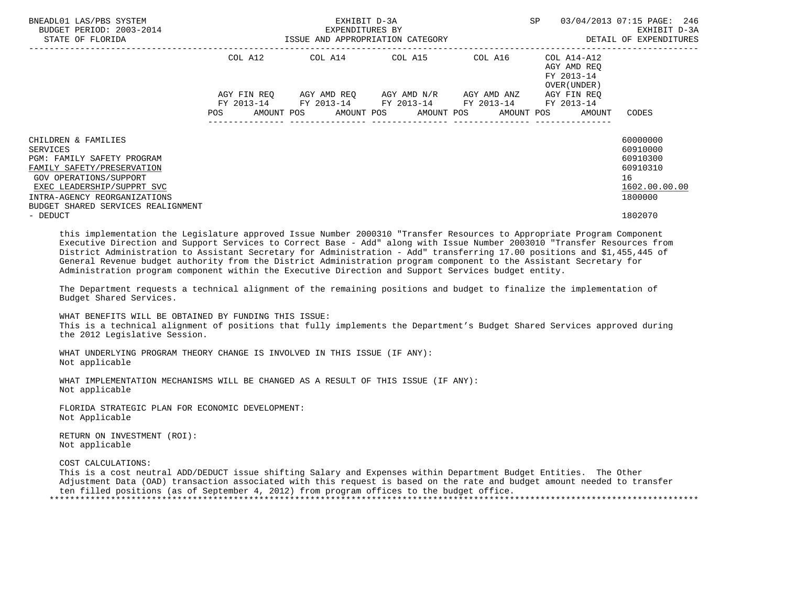| BNEADL01 LAS/PBS SYSTEM<br>BUDGET PERIOD: 2003-2014<br>STATE OF FLORIDA                                                                                                                                                   |                                  | EXHIBIT D-3A<br>EXPENDITURES BY<br>ISSUE AND APPROPRIATION CATEGORY | <b>SP</b>               | 03/04/2013 07:15 PAGE: 246<br>EXHIBIT D-3A<br>DETAIL OF EXPENDITURES |                                                                                 |                                                                                |
|---------------------------------------------------------------------------------------------------------------------------------------------------------------------------------------------------------------------------|----------------------------------|---------------------------------------------------------------------|-------------------------|----------------------------------------------------------------------|---------------------------------------------------------------------------------|--------------------------------------------------------------------------------|
|                                                                                                                                                                                                                           | COL A12                          | COL A14 COL A15 COL A16                                             |                         |                                                                      | COL A14-A12<br>AGY AMD REQ<br>FY 2013-14<br>OVER (UNDER)                        |                                                                                |
|                                                                                                                                                                                                                           | AGY FIN REO<br>FY 2013-14<br>POS | FY 2013-14 FY 2013-14 FY 2013-14                                    | AGY AMD REO AGY AMD N/R | AGY AMD ANZ                                                          | AGY FIN REO<br>FY 2013-14<br>AMOUNT POS AMOUNT POS AMOUNT POS AMOUNT POS AMOUNT | CODES                                                                          |
| CHILDREN & FAMILIES<br>SERVICES<br>PGM: FAMILY SAFETY PROGRAM<br>FAMILY SAFETY/PRESERVATION<br>GOV OPERATIONS/SUPPORT<br>EXEC LEADERSHIP/SUPPRT SVC<br>INTRA-AGENCY REORGANIZATIONS<br>BUDGET SHARED SERVICES REALIGNMENT |                                  |                                                                     |                         |                                                                      |                                                                                 | 60000000<br>60910000<br>60910300<br>60910310<br>16<br>1602.00.00.00<br>1800000 |
| - DEDUCT                                                                                                                                                                                                                  |                                  |                                                                     |                         |                                                                      |                                                                                 | 1802070                                                                        |

 this implementation the Legislature approved Issue Number 2000310 "Transfer Resources to Appropriate Program Component Executive Direction and Support Services to Correct Base - Add" along with Issue Number 2003010 "Transfer Resources from District Administration to Assistant Secretary for Administration - Add" transferring 17.00 positions and \$1,455,445 of General Revenue budget authority from the District Administration program component to the Assistant Secretary for Administration program component within the Executive Direction and Support Services budget entity.

 The Department requests a technical alignment of the remaining positions and budget to finalize the implementation of Budget Shared Services.

 WHAT BENEFITS WILL BE OBTAINED BY FUNDING THIS ISSUE: This is a technical alignment of positions that fully implements the Department's Budget Shared Services approved during the 2012 Legislative Session.

 WHAT UNDERLYING PROGRAM THEORY CHANGE IS INVOLVED IN THIS ISSUE (IF ANY): Not applicable

 WHAT IMPLEMENTATION MECHANISMS WILL BE CHANGED AS A RESULT OF THIS ISSUE (IF ANY): Not applicable

 FLORIDA STRATEGIC PLAN FOR ECONOMIC DEVELOPMENT: Not Applicable

 RETURN ON INVESTMENT (ROI): Not applicable

COST CALCULATIONS:

 This is a cost neutral ADD/DEDUCT issue shifting Salary and Expenses within Department Budget Entities. The Other Adjustment Data (OAD) transaction associated with this request is based on the rate and budget amount needed to transfer ten filled positions (as of September 4, 2012) from program offices to the budget office. \*\*\*\*\*\*\*\*\*\*\*\*\*\*\*\*\*\*\*\*\*\*\*\*\*\*\*\*\*\*\*\*\*\*\*\*\*\*\*\*\*\*\*\*\*\*\*\*\*\*\*\*\*\*\*\*\*\*\*\*\*\*\*\*\*\*\*\*\*\*\*\*\*\*\*\*\*\*\*\*\*\*\*\*\*\*\*\*\*\*\*\*\*\*\*\*\*\*\*\*\*\*\*\*\*\*\*\*\*\*\*\*\*\*\*\*\*\*\*\*\*\*\*\*\*\*\*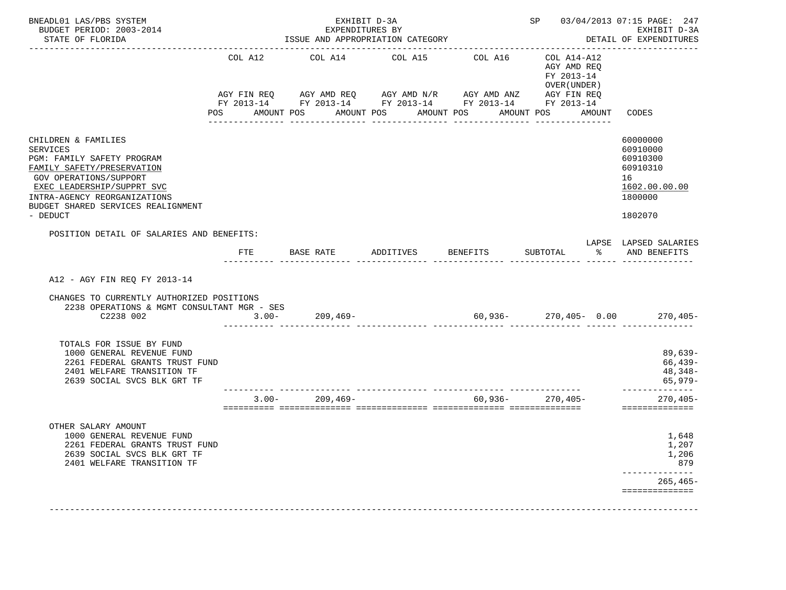| BNEADL01 LAS/PBS SYSTEM<br>BUDGET PERIOD: 2003-2014<br>STATE OF FLORIDA<br>------------------                                                                                                                                                                  |                | EXHIBIT D-3A<br>EXPENDITURES BY          | ISSUE AND APPROPRIATION CATEGORY                                                                                                                                              |                             | SP 03/04/2013 07:15 PAGE: 247                                                                     | EXHIBIT D-3A<br>DETAIL OF EXPENDITURES                                                    |
|----------------------------------------------------------------------------------------------------------------------------------------------------------------------------------------------------------------------------------------------------------------|----------------|------------------------------------------|-------------------------------------------------------------------------------------------------------------------------------------------------------------------------------|-----------------------------|---------------------------------------------------------------------------------------------------|-------------------------------------------------------------------------------------------|
|                                                                                                                                                                                                                                                                | COL A12<br>POS | COL A14<br>AMOUNT POS<br>--------------- | COL A15<br>AGY FIN REQ AGY AMD REQ AGY AMD N/R AGY AMD ANZ AGY FIN REQ<br>FY 2013-14 FY 2013-14 FY 2013-14 FY 2013-14 FY 2013-14<br>AMOUNT POS AMOUNT POS<br>________________ | COL A16<br>________________ | COL A14-A12<br>AGY AMD REQ<br>FY 2013-14<br>OVER (UNDER)<br>AMOUNT POS AMOUNT<br>---------------- | CODES                                                                                     |
| CHILDREN & FAMILIES<br><b>SERVICES</b><br>PGM: FAMILY SAFETY PROGRAM<br>FAMILY SAFETY/PRESERVATION<br>GOV OPERATIONS/SUPPORT<br>EXEC LEADERSHIP/SUPPRT SVC<br>INTRA-AGENCY REORGANIZATIONS<br>BUDGET SHARED SERVICES REALIGNMENT<br>- DEDUCT                   |                |                                          |                                                                                                                                                                               |                             |                                                                                                   | 60000000<br>60910000<br>60910300<br>60910310<br>16<br>1602.00.00.00<br>1800000<br>1802070 |
| POSITION DETAIL OF SALARIES AND BENEFITS:                                                                                                                                                                                                                      | FTE            |                                          | BASE RATE ADDITIVES BENEFITS                                                                                                                                                  |                             | SUBTOTAL                                                                                          | LAPSE LAPSED SALARIES<br>% AND BENEFITS                                                   |
| A12 - AGY FIN REO FY 2013-14<br>CHANGES TO CURRENTLY AUTHORIZED POSITIONS<br>2238 OPERATIONS & MGMT CONSULTANT MGR - SES<br>C2238 002<br>TOTALS FOR ISSUE BY FUND<br>1000 GENERAL REVENUE FUND<br>2261 FEDERAL GRANTS TRUST FUND<br>2401 WELFARE TRANSITION TF |                | $3.00 - 209,469 -$                       |                                                                                                                                                                               |                             | $60,936 - 270,405 - 0.00$ 270,405-                                                                | 89,639-<br>66,439-<br>48,348-                                                             |
| 2639 SOCIAL SVCS BLK GRT TF                                                                                                                                                                                                                                    |                | $3.00 - 209,469 -$                       |                                                                                                                                                                               |                             | $60,936 - 270,405 -$                                                                              | 65,979-<br>______________<br>$270, 405 -$<br>==============                               |
| OTHER SALARY AMOUNT<br>1000 GENERAL REVENUE FUND<br>2261 FEDERAL GRANTS TRUST FUND<br>2639 SOCIAL SVCS BLK GRT TF<br>2401 WELFARE TRANSITION TF                                                                                                                |                |                                          |                                                                                                                                                                               |                             |                                                                                                   | 1,648<br>1,207<br>1,206<br>879<br>$265, 465 -$<br>==============                          |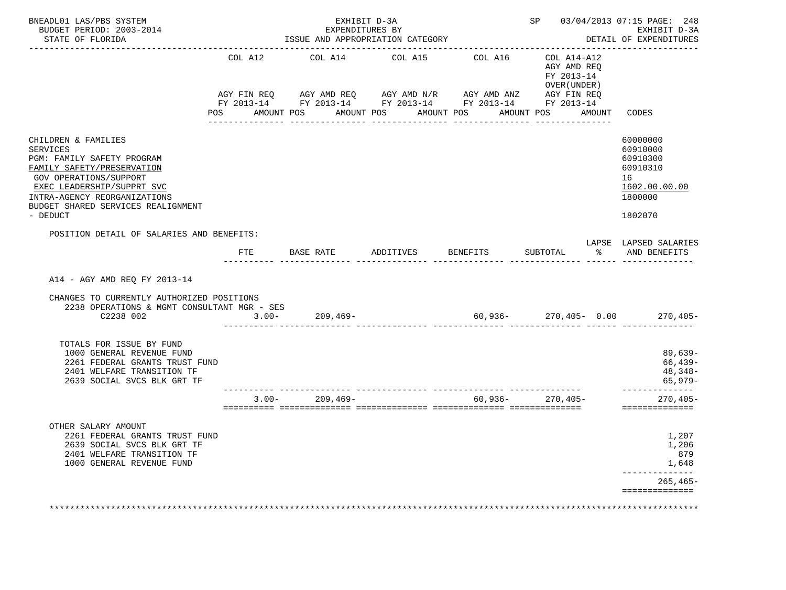| BUDGET PERIOD: 2003-2014<br>STATE OF FLORIDA<br>. _ _ _ _ _ _ _ _ _ _ _ _ _ _ _                                                                                                                                                       |                                                                                                                           | EXPENDITURES BY<br>ISSUE AND APPROPRIATION CATEGORY                                                                                                                                                                                                                                                                                                                                                                                                                                                                                       | EXHIBIT D-3A          |                       | i<br>Salah<br>____________________________                              |        | SP 03/04/2013 07:15 PAGE: 248<br>EXHIBIT D-3A<br>DETAIL OF EXPENDITURES                   |
|---------------------------------------------------------------------------------------------------------------------------------------------------------------------------------------------------------------------------------------|---------------------------------------------------------------------------------------------------------------------------|-------------------------------------------------------------------------------------------------------------------------------------------------------------------------------------------------------------------------------------------------------------------------------------------------------------------------------------------------------------------------------------------------------------------------------------------------------------------------------------------------------------------------------------------|-----------------------|-----------------------|-------------------------------------------------------------------------|--------|-------------------------------------------------------------------------------------------|
|                                                                                                                                                                                                                                       | COL A12<br>POS FOR THE POST OF THE STATE STATE STATE STATE STATE STATE STATE STATE STATE STATE STATE STATE STATE STATE ST | COL A14<br>$\verb AGY FIN REQ  \qquad \verb AGY AMD REQ  \qquad \verb AGY AMD N/R  \qquad \verb AGY AMD ANZ  \qquad \verb AGY FIN REQ  \qquad \verb AGY AND  \qquad \verb AGY FIN REQ  \qquad \verb AGY AMD  \qquad \verb AdSX    \qquad \verb AdSX    \qquad \verb AdSX    \qquad \verb AdSX    \qquad \verb AdSX    \qquad \verb AdSX    \qquad \verb AdSX    \qquad \verb AdSX    \qquad \verb AdSX    \qquad \verb AdSX    \qquad \verb AdSX    \qquad \verb$<br>FY 2013-14 FY 2013-14 FY 2013-14 FY 2013-14 FY 2013-14<br>AMOUNT POS | COL A15<br>AMOUNT POS | COL A16<br>AMOUNT POS | COL A14-A12<br>AGY AMD REO<br>FY 2013-14<br>OVER (UNDER )<br>AMOUNT POS | AMOUNT | CODES                                                                                     |
| CHILDREN & FAMILIES<br>SERVICES<br>PGM: FAMILY SAFETY PROGRAM<br>FAMILY SAFETY/PRESERVATION<br>GOV OPERATIONS/SUPPORT<br>EXEC LEADERSHIP/SUPPRT SVC<br>INTRA-AGENCY REORGANIZATIONS<br>BUDGET SHARED SERVICES REALIGNMENT<br>- DEDUCT |                                                                                                                           |                                                                                                                                                                                                                                                                                                                                                                                                                                                                                                                                           |                       |                       |                                                                         |        | 60000000<br>60910000<br>60910300<br>60910310<br>16<br>1602.00.00.00<br>1800000<br>1802070 |
| POSITION DETAIL OF SALARIES AND BENEFITS:                                                                                                                                                                                             | ETE                                                                                                                       |                                                                                                                                                                                                                                                                                                                                                                                                                                                                                                                                           |                       |                       |                                                                         |        | LAPSE LAPSED SALARIES<br>% AND BENEFITS                                                   |
|                                                                                                                                                                                                                                       |                                                                                                                           |                                                                                                                                                                                                                                                                                                                                                                                                                                                                                                                                           |                       |                       |                                                                         |        |                                                                                           |
| A14 - AGY AMD REQ FY 2013-14<br>CHANGES TO CURRENTLY AUTHORIZED POSITIONS<br>2238 OPERATIONS & MGMT CONSULTANT MGR - SES<br>C2238 002                                                                                                 |                                                                                                                           |                                                                                                                                                                                                                                                                                                                                                                                                                                                                                                                                           |                       |                       |                                                                         |        | $270, 405 -$                                                                              |
| TOTALS FOR ISSUE BY FUND<br>1000 GENERAL REVENUE FUND<br>2261 FEDERAL GRANTS TRUST FUND<br>2401 WELFARE TRANSITION TF<br>2639 SOCIAL SVCS BLK GRT TF                                                                                  |                                                                                                                           |                                                                                                                                                                                                                                                                                                                                                                                                                                                                                                                                           |                       |                       |                                                                         |        | 89,639-<br>66,439-<br>48,348-<br>65,979-                                                  |
|                                                                                                                                                                                                                                       |                                                                                                                           | ______________________<br>$3.00 - 209,469 -$                                                                                                                                                                                                                                                                                                                                                                                                                                                                                              |                       |                       | $60,936 - 270,405 -$                                                    |        | ______________<br>$270,405-$<br>==============                                            |
| OTHER SALARY AMOUNT<br>2261 FEDERAL GRANTS TRUST FUND<br>2639 SOCIAL SVCS BLK GRT TF<br>2401 WELFARE TRANSITION TF<br>1000 GENERAL REVENUE FUND                                                                                       |                                                                                                                           |                                                                                                                                                                                                                                                                                                                                                                                                                                                                                                                                           |                       |                       |                                                                         |        | 1,207<br>1,206<br>879<br>1,648<br>______________                                          |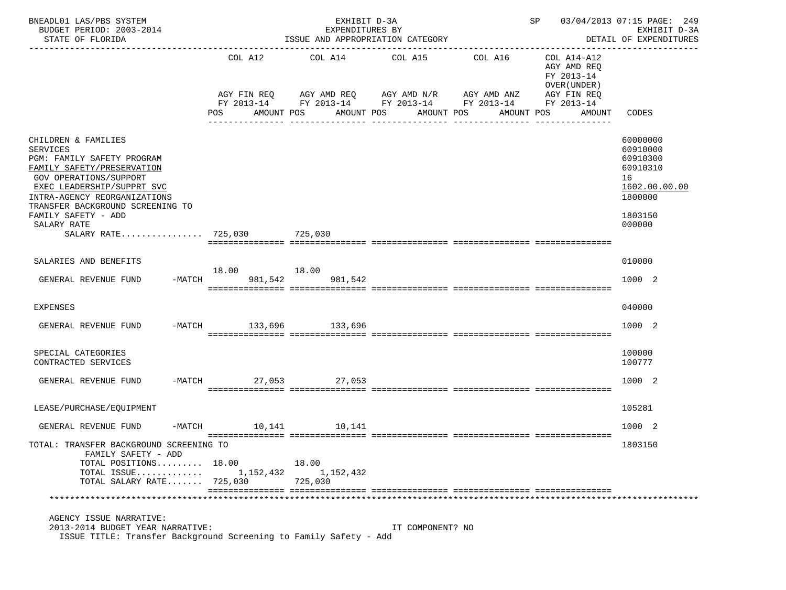| BNEADL01 LAS/PBS SYSTEM<br>BUDGET PERIOD: 2003-2014<br>STATE OF FLORIDA                                                                                                                                                                                                                             |                        | EXHIBIT D-3A<br>EXPENDITURES BY | ISSUE AND APPROPRIATION CATEGORY                                                                                                                                       |                               | SP 03/04/2013 07:15 PAGE: 249                                                                   | EXHIBIT D-3A<br>DETAIL OF EXPENDITURES                                                              |
|-----------------------------------------------------------------------------------------------------------------------------------------------------------------------------------------------------------------------------------------------------------------------------------------------------|------------------------|---------------------------------|------------------------------------------------------------------------------------------------------------------------------------------------------------------------|-------------------------------|-------------------------------------------------------------------------------------------------|-----------------------------------------------------------------------------------------------------|
|                                                                                                                                                                                                                                                                                                     | COL A12<br>POS         | AMOUNT POS                      | COL A14 COL A15 COL A16<br>AGY FIN REQ AGY AMD REQ AGY AMD N/R AGY AMD ANZ<br>FY 2013-14 FY 2013-14 FY 2013-14 FY 2013-14 FY 2013-14<br>AMOUNT POS<br>________________ | AMOUNT POS<br>--------------- | COL A14-A12<br>AGY AMD REQ<br>FY 2013-14<br>OVER (UNDER)<br>AGY FIN REQ<br>AMOUNT POS<br>AMOUNT | CODES                                                                                               |
| CHILDREN & FAMILIES<br><b>SERVICES</b><br>PGM: FAMILY SAFETY PROGRAM<br>FAMILY SAFETY/PRESERVATION<br>GOV OPERATIONS/SUPPORT<br>EXEC LEADERSHIP/SUPPRT SVC<br>INTRA-AGENCY REORGANIZATIONS<br>TRANSFER BACKGROUND SCREENING TO<br>FAMILY SAFETY - ADD<br>SALARY RATE<br>SALARY RATE 725,030 725,030 |                        |                                 |                                                                                                                                                                        |                               |                                                                                                 | 60000000<br>60910000<br>60910300<br>60910310<br>16<br>1602.00.00.00<br>1800000<br>1803150<br>000000 |
|                                                                                                                                                                                                                                                                                                     |                        |                                 |                                                                                                                                                                        |                               |                                                                                                 |                                                                                                     |
| SALARIES AND BENEFITS                                                                                                                                                                                                                                                                               | 18.00 18.00            |                                 |                                                                                                                                                                        |                               |                                                                                                 | 010000                                                                                              |
| GENERAL REVENUE FUND                                                                                                                                                                                                                                                                                | -MATCH 981,542 981,542 |                                 |                                                                                                                                                                        |                               |                                                                                                 | 1000 2                                                                                              |
| <b>EXPENSES</b>                                                                                                                                                                                                                                                                                     |                        |                                 |                                                                                                                                                                        |                               |                                                                                                 | 040000                                                                                              |
| GENERAL REVENUE FUND                                                                                                                                                                                                                                                                                | -MATCH 133,696 133,696 |                                 |                                                                                                                                                                        |                               |                                                                                                 | 1000 2                                                                                              |
| SPECIAL CATEGORIES<br>CONTRACTED SERVICES                                                                                                                                                                                                                                                           |                        |                                 |                                                                                                                                                                        |                               |                                                                                                 | 100000<br>100777                                                                                    |
| GENERAL REVENUE FUND                                                                                                                                                                                                                                                                                | -MATCH 27,053 27,053   |                                 |                                                                                                                                                                        |                               |                                                                                                 | 1000 2                                                                                              |
| LEASE/PURCHASE/EQUIPMENT                                                                                                                                                                                                                                                                            |                        |                                 |                                                                                                                                                                        |                               |                                                                                                 | 105281                                                                                              |
| GENERAL REVENUE FUND                                                                                                                                                                                                                                                                                | -MATCH 10.141 10.141   |                                 |                                                                                                                                                                        |                               |                                                                                                 | 1000 2                                                                                              |
| TOTAL: TRANSFER BACKGROUND SCREENING TO<br>FAMILY SAFETY - ADD<br>TOTAL POSITIONS 18.00<br>TOTAL ISSUE<br>TOTAL SALARY RATE 725,030                                                                                                                                                                 | 1,152,432              | 18.00<br>1,152,432<br>725,030   |                                                                                                                                                                        |                               |                                                                                                 | 1803150                                                                                             |
|                                                                                                                                                                                                                                                                                                     |                        |                                 |                                                                                                                                                                        |                               |                                                                                                 |                                                                                                     |
| AGENCY ISSUE NARRATIVE:<br>2013-2014 BUDGET YEAR NARRATIVE:<br>ISSUE TITLE: Transfer Background Screening to Family Safety - Add                                                                                                                                                                    |                        |                                 | IT COMPONENT? NO                                                                                                                                                       |                               |                                                                                                 |                                                                                                     |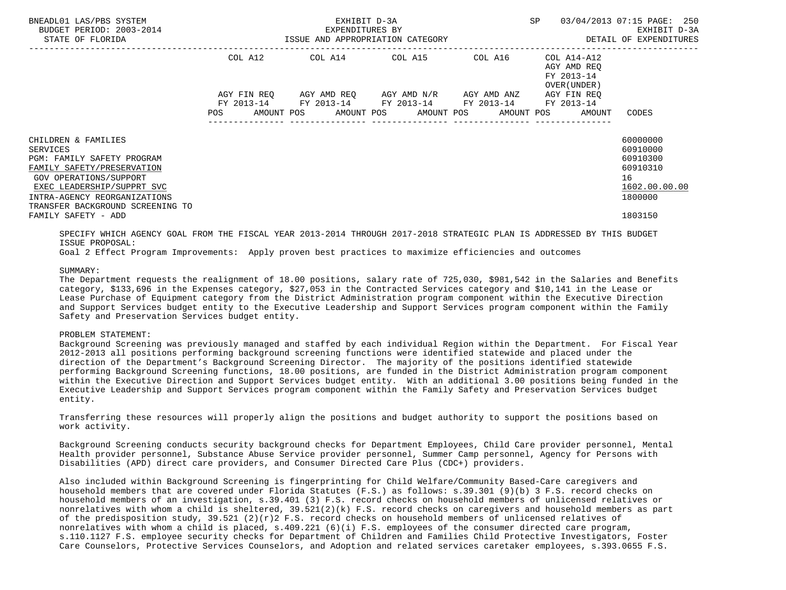| BNEADL01 LAS/PBS SYSTEM<br>BUDGET PERIOD: 2003-2014<br>STATE OF FLORIDA                                                                                                                    |             | EXHIBIT D-3A<br>EXPENDITURES BY<br>ISSUE AND APPROPRIATION CATEGORY | SP                                                                                | 03/04/2013 07:15 PAGE: 250<br>EXHIBIT D-3A<br>DETAIL OF EXPENDITURES |                                                          |                                                                                         |
|--------------------------------------------------------------------------------------------------------------------------------------------------------------------------------------------|-------------|---------------------------------------------------------------------|-----------------------------------------------------------------------------------|----------------------------------------------------------------------|----------------------------------------------------------|-----------------------------------------------------------------------------------------|
|                                                                                                                                                                                            | COL A12     |                                                                     | COL A14 COL A15 COL A16                                                           |                                                                      | COL A14-A12<br>AGY AMD REO<br>FY 2013-14<br>OVER (UNDER) |                                                                                         |
|                                                                                                                                                                                            | AGY FIN REO |                                                                     | AGY AMD REO AGY AMD N/R<br>FY 2013-14 FY 2013-14 FY 2013-14 FY 2013-14 FY 2013-14 | AGY AMD ANZ                                                          | AGY FIN REO                                              |                                                                                         |
| CHILDREN & FAMILIES<br><b>SERVICES</b><br>PGM: FAMILY SAFETY PROGRAM<br>FAMILY SAFETY/PRESERVATION<br>GOV OPERATIONS/SUPPORT<br>EXEC LEADERSHIP/SUPPRT SVC<br>INTRA-AGENCY REORGANIZATIONS | <b>POS</b>  |                                                                     |                                                                                   |                                                                      | AMOUNT POS AMOUNT POS AMOUNT POS AMOUNT POS AMOUNT       | CODES<br>60000000<br>60910000<br>60910300<br>60910310<br>16<br>1602.00.00.00<br>1800000 |
| TRANSFER BACKGROUND SCREENING TO<br>FAMILY SAFETY - ADD                                                                                                                                    |             |                                                                     |                                                                                   |                                                                      |                                                          | 1803150                                                                                 |

 SPECIFY WHICH AGENCY GOAL FROM THE FISCAL YEAR 2013-2014 THROUGH 2017-2018 STRATEGIC PLAN IS ADDRESSED BY THIS BUDGET ISSUE PROPOSAL:

Goal 2 Effect Program Improvements: Apply proven best practices to maximize efficiencies and outcomes

SUMMARY:

 The Department requests the realignment of 18.00 positions, salary rate of 725,030, \$981,542 in the Salaries and Benefits category, \$133,696 in the Expenses category, \$27,053 in the Contracted Services category and \$10,141 in the Lease or Lease Purchase of Equipment category from the District Administration program component within the Executive Direction and Support Services budget entity to the Executive Leadership and Support Services program component within the Family Safety and Preservation Services budget entity.

# PROBLEM STATEMENT:

 Background Screening was previously managed and staffed by each individual Region within the Department. For Fiscal Year 2012-2013 all positions performing background screening functions were identified statewide and placed under the direction of the Department's Background Screening Director. The majority of the positions identified statewide performing Background Screening functions, 18.00 positions, are funded in the District Administration program component within the Executive Direction and Support Services budget entity. With an additional 3.00 positions being funded in the Executive Leadership and Support Services program component within the Family Safety and Preservation Services budget entity.

 Transferring these resources will properly align the positions and budget authority to support the positions based on work activity.

 Background Screening conducts security background checks for Department Employees, Child Care provider personnel, Mental Health provider personnel, Substance Abuse Service provider personnel, Summer Camp personnel, Agency for Persons with Disabilities (APD) direct care providers, and Consumer Directed Care Plus (CDC+) providers.

 Also included within Background Screening is fingerprinting for Child Welfare/Community Based-Care caregivers and household members that are covered under Florida Statutes (F.S.) as follows: s.39.301 (9)(b) 3 F.S. record checks on household members of an investigation, s.39.401 (3) F.S. record checks on household members of unlicensed relatives or nonrelatives with whom a child is sheltered, 39.521(2)(k) F.S. record checks on caregivers and household members as part of the predisposition study,  $39.521$  (2)(r)2 F.S. record checks on household members of unlicensed relatives of nonrelatives with whom a child is placed, s.409.221 (6)(i) F.S. employees of the consumer directed care program, s.110.1127 F.S. employee security checks for Department of Children and Families Child Protective Investigators, Foster Care Counselors, Protective Services Counselors, and Adoption and related services caretaker employees, s.393.0655 F.S.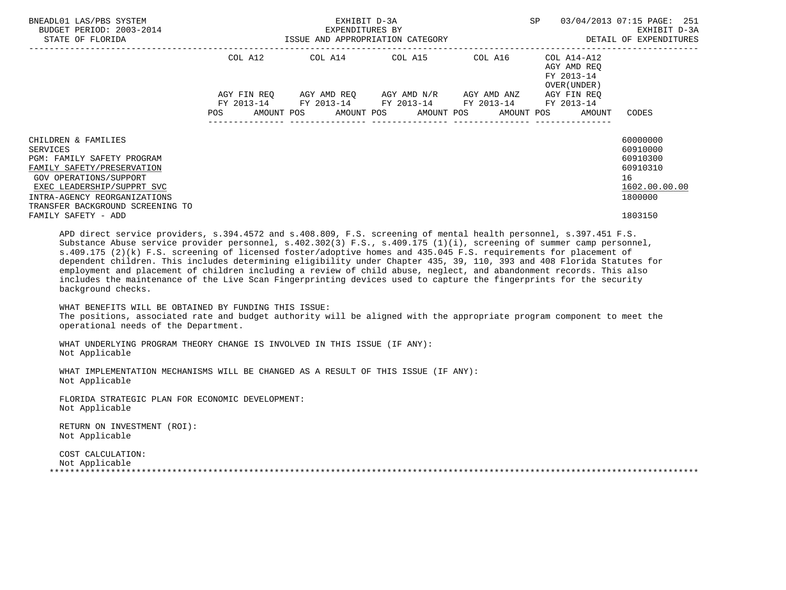| BNEADL01 LAS/PBS SYSTEM<br>BUDGET PERIOD: 2003-2014<br>STATE OF FLORIDA                                                                                                                                                 |             | EXHIBIT D-3A<br>EXPENDITURES BY<br>ISSUE AND APPROPRIATION CATEGORY | <b>SP</b>                                                                                     | 03/04/2013 07:15 PAGE: 251<br>EXHIBIT D-3A<br>DETAIL OF EXPENDITURES |                                                          |                                                                                |
|-------------------------------------------------------------------------------------------------------------------------------------------------------------------------------------------------------------------------|-------------|---------------------------------------------------------------------|-----------------------------------------------------------------------------------------------|----------------------------------------------------------------------|----------------------------------------------------------|--------------------------------------------------------------------------------|
|                                                                                                                                                                                                                         | COL A12     |                                                                     |                                                                                               |                                                                      | AGY AMD REO<br>FY 2013-14<br>OVER (UNDER)                |                                                                                |
|                                                                                                                                                                                                                         | AGY FIN REQ |                                                                     | AGY AMD REO AGY AMD N/R AGY AMD ANZ<br>FY 2013-14 FY 2013-14 FY 2013-14 FY 2013-14 FY 2013-14 |                                                                      | AGY FIN REO                                              |                                                                                |
|                                                                                                                                                                                                                         | <b>POS</b>  |                                                                     |                                                                                               |                                                                      | AMOUNT POS AMOUNT POS AMOUNT POS AMOUNT POS AMOUNT CODES |                                                                                |
| CHILDREN & FAMILIES<br>SERVICES<br>PGM: FAMILY SAFETY PROGRAM<br>FAMILY SAFETY/PRESERVATION<br>GOV OPERATIONS/SUPPORT<br>EXEC LEADERSHIP/SUPPRT SVC<br>INTRA-AGENCY REORGANIZATIONS<br>TRANSFER BACKGROUND SCREENING TO |             |                                                                     |                                                                                               |                                                                      |                                                          | 60000000<br>60910000<br>60910300<br>60910310<br>16<br>1602.00.00.00<br>1800000 |
| FAMILY SAFETY - ADD                                                                                                                                                                                                     |             |                                                                     |                                                                                               |                                                                      |                                                          | 1803150                                                                        |

 APD direct service providers, s.394.4572 and s.408.809, F.S. screening of mental health personnel, s.397.451 F.S. Substance Abuse service provider personnel, s.402.302(3) F.S., s.409.175 (1)(i), screening of summer camp personnel, s.409.175 (2)(k) F.S. screening of licensed foster/adoptive homes and 435.045 F.S. requirements for placement of dependent children. This includes determining eligibility under Chapter 435, 39, 110, 393 and 408 Florida Statutes for employment and placement of children including a review of child abuse, neglect, and abandonment records. This also includes the maintenance of the Live Scan Fingerprinting devices used to capture the fingerprints for the security background checks.

 WHAT BENEFITS WILL BE OBTAINED BY FUNDING THIS ISSUE: The positions, associated rate and budget authority will be aligned with the appropriate program component to meet the operational needs of the Department.

 WHAT UNDERLYING PROGRAM THEORY CHANGE IS INVOLVED IN THIS ISSUE (IF ANY): Not Applicable

 WHAT IMPLEMENTATION MECHANISMS WILL BE CHANGED AS A RESULT OF THIS ISSUE (IF ANY): Not Applicable

 FLORIDA STRATEGIC PLAN FOR ECONOMIC DEVELOPMENT: Not Applicable

 RETURN ON INVESTMENT (ROI): Not Applicable

 COST CALCULATION: Not Applicable \*\*\*\*\*\*\*\*\*\*\*\*\*\*\*\*\*\*\*\*\*\*\*\*\*\*\*\*\*\*\*\*\*\*\*\*\*\*\*\*\*\*\*\*\*\*\*\*\*\*\*\*\*\*\*\*\*\*\*\*\*\*\*\*\*\*\*\*\*\*\*\*\*\*\*\*\*\*\*\*\*\*\*\*\*\*\*\*\*\*\*\*\*\*\*\*\*\*\*\*\*\*\*\*\*\*\*\*\*\*\*\*\*\*\*\*\*\*\*\*\*\*\*\*\*\*\*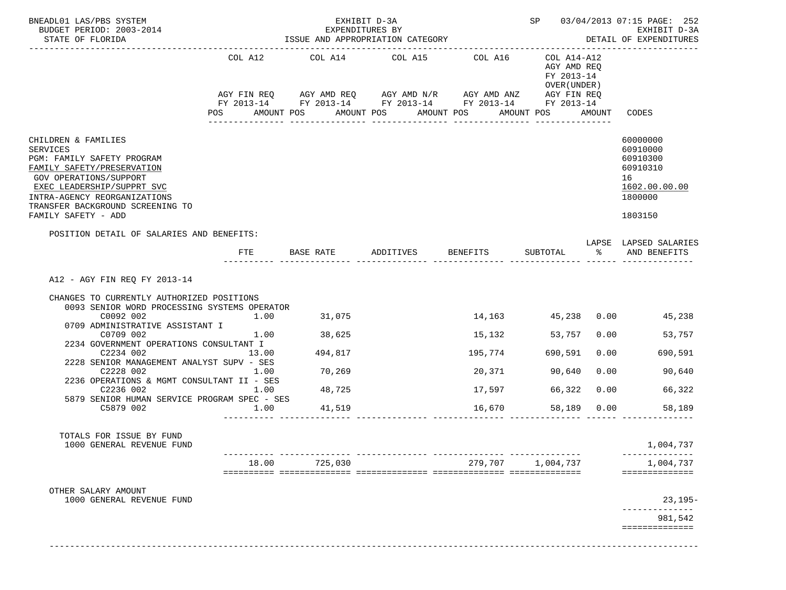| BNEADL01 LAS/PBS SYSTEM<br>BUDGET PERIOD: 2003-2014<br>STATE OF FLORIDA                                                                                                                                                                                                                                                                                                                          |                                               | EXPENDITURES BY                                           | EXHIBIT D-3A          |                                                                                                                                  |                                                           |                              | SP 03/04/2013 07:15 PAGE: 252<br>EXHIBIT D-3A<br>DETAIL OF EXPENDITURES                   |
|--------------------------------------------------------------------------------------------------------------------------------------------------------------------------------------------------------------------------------------------------------------------------------------------------------------------------------------------------------------------------------------------------|-----------------------------------------------|-----------------------------------------------------------|-----------------------|----------------------------------------------------------------------------------------------------------------------------------|-----------------------------------------------------------|------------------------------|-------------------------------------------------------------------------------------------|
|                                                                                                                                                                                                                                                                                                                                                                                                  | COL A12                                       | COL A14                                                   | COL A15               | COL A16<br>AGY FIN REQ AGY AMD REQ AGY AMD N/R AGY AMD ANZ AGY FIN REQ<br>FY 2013-14 FY 2013-14 FY 2013-14 FY 2013-14 FY 2013-14 | COL A14-A12<br>AGY AMD REQ<br>FY 2013-14<br>OVER (UNDER ) |                              |                                                                                           |
|                                                                                                                                                                                                                                                                                                                                                                                                  |                                               | AMOUNT POS AMOUNT POS AMOUNT POS                          | ------------          | ---------------                                                                                                                  | AMOUNT POS AMOUNT                                         |                              | CODES                                                                                     |
| CHILDREN & FAMILIES<br>SERVICES<br>PGM: FAMILY SAFETY PROGRAM<br>FAMILY SAFETY/PRESERVATION<br>GOV OPERATIONS/SUPPORT<br>EXEC LEADERSHIP/SUPPRT SVC<br>INTRA-AGENCY REORGANIZATIONS<br>TRANSFER BACKGROUND SCREENING TO<br>FAMILY SAFETY - ADD                                                                                                                                                   |                                               |                                                           |                       |                                                                                                                                  |                                                           |                              | 60000000<br>60910000<br>60910300<br>60910310<br>16<br>1602.00.00.00<br>1800000<br>1803150 |
| POSITION DETAIL OF SALARIES AND BENEFITS:                                                                                                                                                                                                                                                                                                                                                        | FTE                                           | BASE RATE ADDITIVES BENEFITS                              |                       |                                                                                                                                  | SUBTOTAL %                                                |                              | LAPSE LAPSED SALARIES<br>AND BENEFITS                                                     |
| CHANGES TO CURRENTLY AUTHORIZED POSITIONS<br>0093 SENIOR WORD PROCESSING SYSTEMS OPERATOR<br>C0092 002<br>0709 ADMINISTRATIVE ASSISTANT I<br>C0709 002<br>2234 GOVERNMENT OPERATIONS CONSULTANT I<br>C2234 002<br>2228 SENIOR MANAGEMENT ANALYST SUPV - SES<br>C2228 002<br>2236 OPERATIONS & MGMT CONSULTANT II - SES<br>C2236 002<br>5879 SENIOR HUMAN SERVICE PROGRAM SPEC - SES<br>C5879 002 | 1.00<br>1.00<br>13.00<br>1.00<br>1.00<br>1.00 | 31,075<br>38,625<br>494,817<br>70,269<br>48,725<br>41,519 |                       | 15,132<br>195,774<br>20,371<br>17,597<br>16,670                                                                                  | 53,757<br>690,591<br>90,640<br>66,322<br>58,189 0.00      | 0.00<br>0.00<br>0.00<br>0.00 | 14,163 45,238 0.00 45,238<br>53,757<br>690,591<br>90,640<br>66,322<br>58,189              |
| TOTALS FOR ISSUE BY FUND<br>1000 GENERAL REVENUE FUND                                                                                                                                                                                                                                                                                                                                            |                                               |                                                           |                       |                                                                                                                                  |                                                           |                              | 1,004,737                                                                                 |
|                                                                                                                                                                                                                                                                                                                                                                                                  | 18.00                                         | 725,030                                                   | --------------- ----- | 279,707                                                                                                                          | 1,004,737                                                 |                              | 1,004,737<br>==============                                                               |
| OTHER SALARY AMOUNT                                                                                                                                                                                                                                                                                                                                                                              |                                               |                                                           |                       |                                                                                                                                  |                                                           |                              |                                                                                           |
| 1000 GENERAL REVENUE FUND                                                                                                                                                                                                                                                                                                                                                                        |                                               |                                                           |                       |                                                                                                                                  |                                                           |                              | $23,195-$                                                                                 |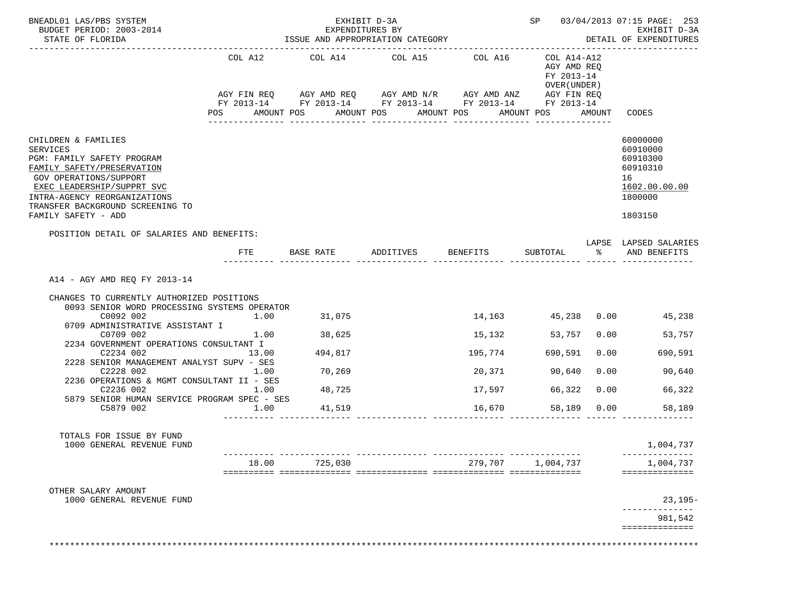| BNEADL01 LAS/PBS SYSTEM<br>BUDGET PERIOD: 2003-2014<br>STATE OF FLORIDA                                                                                                                                                                                                                                                                                                                                                          |                                               |                                                           | EXHIBIT D-3A<br>EXPENDITURES BY                                                                                                                                           |                                                 |                                                                                |                              | SP 03/04/2013 07:15 PAGE: 253<br>EXHIBIT D-3A<br>DETAIL OF EXPENDITURES                   |
|----------------------------------------------------------------------------------------------------------------------------------------------------------------------------------------------------------------------------------------------------------------------------------------------------------------------------------------------------------------------------------------------------------------------------------|-----------------------------------------------|-----------------------------------------------------------|---------------------------------------------------------------------------------------------------------------------------------------------------------------------------|-------------------------------------------------|--------------------------------------------------------------------------------|------------------------------|-------------------------------------------------------------------------------------------|
|                                                                                                                                                                                                                                                                                                                                                                                                                                  | COL A12                                       | COL A14<br>AMOUNT POS                                     | COL A15<br>AGY FIN REQ AGY AMD REQ AGY AMD N/R AGY AMD ANZ AGY FIN REQ<br>FY 2013-14 FY 2013-14 FY 2013-14 FY 2013-14 FY 2013-14<br>AMOUNT POS AMOUNT POS<br>------------ | COL A16<br>---------------                      | COL A14-A12<br>AGY AMD REQ<br>FY 2013-14<br>OVER (UNDER )<br>AMOUNT POS AMOUNT |                              | CODES                                                                                     |
| CHILDREN & FAMILIES<br>SERVICES<br>PGM: FAMILY SAFETY PROGRAM<br>FAMILY SAFETY/PRESERVATION<br>GOV OPERATIONS/SUPPORT<br>EXEC LEADERSHIP/SUPPRT SVC<br>INTRA-AGENCY REORGANIZATIONS<br>TRANSFER BACKGROUND SCREENING TO<br>FAMILY SAFETY - ADD                                                                                                                                                                                   |                                               |                                                           |                                                                                                                                                                           |                                                 |                                                                                |                              | 60000000<br>60910000<br>60910300<br>60910310<br>16<br>1602.00.00.00<br>1800000<br>1803150 |
| POSITION DETAIL OF SALARIES AND BENEFITS:                                                                                                                                                                                                                                                                                                                                                                                        | FTE                                           |                                                           | BASE RATE ADDITIVES BENEFITS                                                                                                                                              |                                                 | SUBTOTAL %                                                                     |                              | LAPSE LAPSED SALARIES<br>AND BENEFITS                                                     |
| A14 - AGY AMD REQ FY 2013-14<br>CHANGES TO CURRENTLY AUTHORIZED POSITIONS<br>0093 SENIOR WORD PROCESSING SYSTEMS OPERATOR<br>C0092 002<br>0709 ADMINISTRATIVE ASSISTANT I<br>C0709 002<br>2234 GOVERNMENT OPERATIONS CONSULTANT I<br>C2234 002<br>2228 SENIOR MANAGEMENT ANALYST SUPV - SES<br>C2228 002<br>2236 OPERATIONS & MGMT CONSULTANT II - SES<br>C2236 002<br>5879 SENIOR HUMAN SERVICE PROGRAM SPEC - SES<br>C5879 002 | 1.00<br>1.00<br>13.00<br>1.00<br>1.00<br>1.00 | 31,075<br>38,625<br>494,817<br>70,269<br>48,725<br>41,519 |                                                                                                                                                                           | 15,132<br>195,774<br>20,371<br>17,597<br>16,670 | 53,757<br>690,591<br>90,640<br>66,322<br>58,189 0.00                           | 0.00<br>0.00<br>0.00<br>0.00 | 14,163 45,238 0.00 45,238<br>53,757<br>690,591<br>90,640<br>66,322<br>58,189              |
| TOTALS FOR ISSUE BY FUND<br>1000 GENERAL REVENUE FUND                                                                                                                                                                                                                                                                                                                                                                            |                                               |                                                           |                                                                                                                                                                           |                                                 |                                                                                |                              | 1,004,737                                                                                 |
|                                                                                                                                                                                                                                                                                                                                                                                                                                  | 18.00                                         | 725,030                                                   |                                                                                                                                                                           | 279,707                                         | 1,004,737                                                                      |                              | 1,004,737<br>==============                                                               |
|                                                                                                                                                                                                                                                                                                                                                                                                                                  |                                               |                                                           |                                                                                                                                                                           |                                                 |                                                                                |                              |                                                                                           |
| OTHER SALARY AMOUNT<br>1000 GENERAL REVENUE FUND                                                                                                                                                                                                                                                                                                                                                                                 |                                               |                                                           |                                                                                                                                                                           |                                                 |                                                                                |                              | $23,195-$                                                                                 |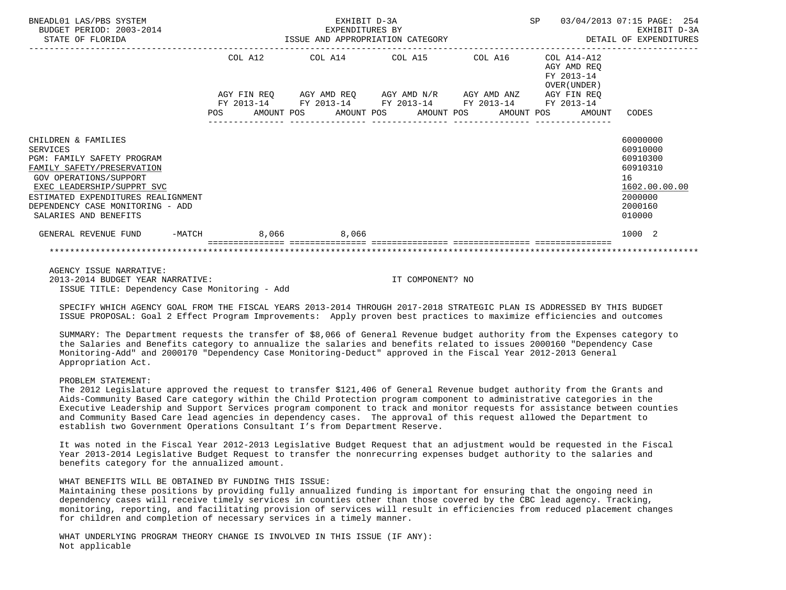| BNEADL01 LAS/PBS SYSTEM<br>BUDGET PERIOD: 2003-2014<br>STATE OF FLORIDA STATE OF STATE OF STATE OF STATE OF STATE OF STATE OF STATE OF STATE OF STATE OF STATE OF STATE OF STATE OF STATE OF STATE OF STATE OF STATE OF STATE OF STATE OF STATE OF STATE OF STATE OF STATE OF STATE O |         | EXHIBIT D-3A<br>EXPENDITURES BY |                                                                                                                                                                                       |  |                                            | SP 03/04/2013 07:15 PAGE: 254<br>EXHIBIT D-3A<br>DETAIL OF EXPENDITURES                             |  |
|---------------------------------------------------------------------------------------------------------------------------------------------------------------------------------------------------------------------------------------------------------------------------------------|---------|---------------------------------|---------------------------------------------------------------------------------------------------------------------------------------------------------------------------------------|--|--------------------------------------------|-----------------------------------------------------------------------------------------------------|--|
|                                                                                                                                                                                                                                                                                       | COL A12 |                                 | $COL A14$ $COL A15$ $COL A16$ $COL A14-A12$                                                                                                                                           |  | AGY AMD REO<br>FY 2013-14<br>OVER (UNDER ) |                                                                                                     |  |
|                                                                                                                                                                                                                                                                                       |         |                                 | AGY FIN REQ AGY AMD REQ AGY AMD N/R AGY AMD ANZ AGY FIN REQ<br>FY 2013-14 FY 2013-14 FY 2013-14 FY 2013-14 FY 2013-14<br>POS AMOUNT POS AMOUNT POS AMOUNT POS AMOUNT POS AMOUNT CODES |  |                                            |                                                                                                     |  |
| CHILDREN & FAMILIES<br>SERVICES<br>PGM: FAMILY SAFETY PROGRAM<br>FAMILY SAFETY/PRESERVATION<br>GOV OPERATIONS/SUPPORT<br>EXEC LEADERSHIP/SUPPRT SVC<br>ESTIMATED EXPENDITURES REALIGNMENT<br>DEPENDENCY CASE MONITORING - ADD<br>SALARIES AND BENEFITS                                |         |                                 |                                                                                                                                                                                       |  |                                            | 60000000<br>60910000<br>60910300<br>60910310<br>16<br>1602.00.00.00<br>2000000<br>2000160<br>010000 |  |
| -MATCH 8,066 8,066<br>GENERAL REVENUE FUND                                                                                                                                                                                                                                            |         |                                 |                                                                                                                                                                                       |  |                                            | 1000 2                                                                                              |  |
|                                                                                                                                                                                                                                                                                       |         |                                 |                                                                                                                                                                                       |  |                                            |                                                                                                     |  |

 AGENCY ISSUE NARRATIVE: 2013-2014 BUDGET YEAR NARRATIVE: IT COMPONENT? NO ISSUE TITLE: Dependency Case Monitoring - Add

 SPECIFY WHICH AGENCY GOAL FROM THE FISCAL YEARS 2013-2014 THROUGH 2017-2018 STRATEGIC PLAN IS ADDRESSED BY THIS BUDGET ISSUE PROPOSAL: Goal 2 Effect Program Improvements: Apply proven best practices to maximize efficiencies and outcomes

 SUMMARY: The Department requests the transfer of \$8,066 of General Revenue budget authority from the Expenses category to the Salaries and Benefits category to annualize the salaries and benefits related to issues 2000160 "Dependency Case Monitoring-Add" and 2000170 "Dependency Case Monitoring-Deduct" approved in the Fiscal Year 2012-2013 General Appropriation Act.

# PROBLEM STATEMENT:

 The 2012 Legislature approved the request to transfer \$121,406 of General Revenue budget authority from the Grants and Aids-Community Based Care category within the Child Protection program component to administrative categories in the Executive Leadership and Support Services program component to track and monitor requests for assistance between counties and Community Based Care lead agencies in dependency cases. The approval of this request allowed the Department to establish two Government Operations Consultant I's from Department Reserve.

 It was noted in the Fiscal Year 2012-2013 Legislative Budget Request that an adjustment would be requested in the Fiscal Year 2013-2014 Legislative Budget Request to transfer the nonrecurring expenses budget authority to the salaries and benefits category for the annualized amount.

## WHAT BENEFITS WILL BE OBTAINED BY FUNDING THIS ISSUE:

 Maintaining these positions by providing fully annualized funding is important for ensuring that the ongoing need in dependency cases will receive timely services in counties other than those covered by the CBC lead agency. Tracking, monitoring, reporting, and facilitating provision of services will result in efficiencies from reduced placement changes for children and completion of necessary services in a timely manner.

 WHAT UNDERLYING PROGRAM THEORY CHANGE IS INVOLVED IN THIS ISSUE (IF ANY): Not applicable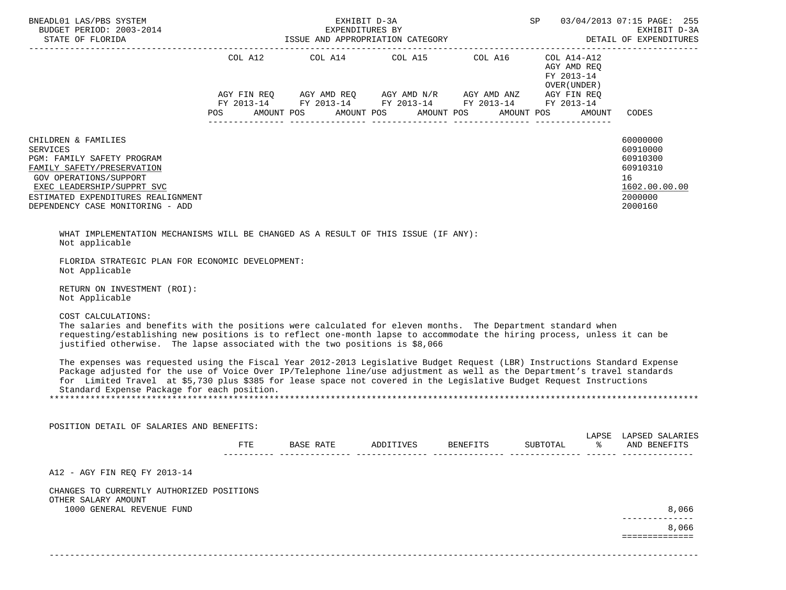| BNEADL01 LAS/PBS SYSTEM<br>BUDGET PERIOD: 2003-2014<br>STATE OF FLORIDA                                                                                                                                                                                                                                                                                                                                                     |            | EXHIBIT D-3A<br>EXPENDITURES BY<br>ISSUE AND APPROPRIATION CATEGORY                                    |           |                 | SP                                                   | 03/04/2013 07:15 PAGE: 255<br>EXHIBIT D-3A<br>DETAIL OF EXPENDITURES                      |
|-----------------------------------------------------------------------------------------------------------------------------------------------------------------------------------------------------------------------------------------------------------------------------------------------------------------------------------------------------------------------------------------------------------------------------|------------|--------------------------------------------------------------------------------------------------------|-----------|-----------------|------------------------------------------------------|-------------------------------------------------------------------------------------------|
|                                                                                                                                                                                                                                                                                                                                                                                                                             |            | COL A12 $COL$ A14 $COL$ A15 $COL$ A16 $COL$ A14-A12<br>POS AMOUNT POS AMOUNT POS AMOUNT POS AMOUNT POS |           |                 | AGY AMD REO<br>FY 2013-14<br>OVER (UNDER )<br>AMOUNT | CODES                                                                                     |
| CHILDREN & FAMILIES<br><b>SERVICES</b><br>PGM: FAMILY SAFETY PROGRAM<br>FAMILY SAFETY/PRESERVATION<br><b>GOV OPERATIONS/SUPPORT</b><br>EXEC LEADERSHIP/SUPPRT SVC<br>ESTIMATED EXPENDITURES REALIGNMENT<br>DEPENDENCY CASE MONITORING - ADD                                                                                                                                                                                 |            |                                                                                                        |           |                 |                                                      | 60000000<br>60910000<br>60910300<br>60910310<br>16<br>1602.00.00.00<br>2000000<br>2000160 |
| WHAT IMPLEMENTATION MECHANISMS WILL BE CHANGED AS A RESULT OF THIS ISSUE (IF ANY):<br>Not applicable                                                                                                                                                                                                                                                                                                                        |            |                                                                                                        |           |                 |                                                      |                                                                                           |
| FLORIDA STRATEGIC PLAN FOR ECONOMIC DEVELOPMENT:<br>Not Applicable                                                                                                                                                                                                                                                                                                                                                          |            |                                                                                                        |           |                 |                                                      |                                                                                           |
| RETURN ON INVESTMENT (ROI):<br>Not Applicable                                                                                                                                                                                                                                                                                                                                                                               |            |                                                                                                        |           |                 |                                                      |                                                                                           |
| COST CALCULATIONS:<br>The salaries and benefits with the positions were calculated for eleven months. The Department standard when<br>requesting/establishing new positions is to reflect one-month lapse to accommodate the hiring process, unless it can be<br>justified otherwise. The lapse associated with the two positions is \$8,066                                                                                |            |                                                                                                        |           |                 |                                                      |                                                                                           |
| The expenses was requested using the Fiscal Year 2012-2013 Legislative Budget Request (LBR) Instructions Standard Expense<br>Package adjusted for the use of Voice Over IP/Telephone line/use adjustment as well as the Department's travel standards<br>for Limited Travel at \$5,730 plus \$385 for lease space not covered in the Legislative Budget Request Instructions<br>Standard Expense Package for each position. |            |                                                                                                        |           |                 |                                                      |                                                                                           |
|                                                                                                                                                                                                                                                                                                                                                                                                                             |            |                                                                                                        |           |                 |                                                      |                                                                                           |
| POSITION DETAIL OF SALARIES AND BENEFITS:                                                                                                                                                                                                                                                                                                                                                                                   |            |                                                                                                        |           |                 |                                                      |                                                                                           |
|                                                                                                                                                                                                                                                                                                                                                                                                                             | <b>FTE</b> | BASE RATE                                                                                              | ADDITIVES | <b>BENEFITS</b> | SUBTOTAL                                             | LAPSE LAPSED SALARIES<br>AND BENEFITS                                                     |
| A12 - AGY FIN REQ FY 2013-14                                                                                                                                                                                                                                                                                                                                                                                                |            |                                                                                                        |           |                 |                                                      |                                                                                           |
| CHANGES TO CURRENTLY AUTHORIZED POSITIONS<br>OTHER SALARY AMOUNT                                                                                                                                                                                                                                                                                                                                                            |            |                                                                                                        |           |                 |                                                      |                                                                                           |
| 1000 GENERAL REVENUE FUND                                                                                                                                                                                                                                                                                                                                                                                                   |            |                                                                                                        |           |                 |                                                      | 8,066<br>8,066                                                                            |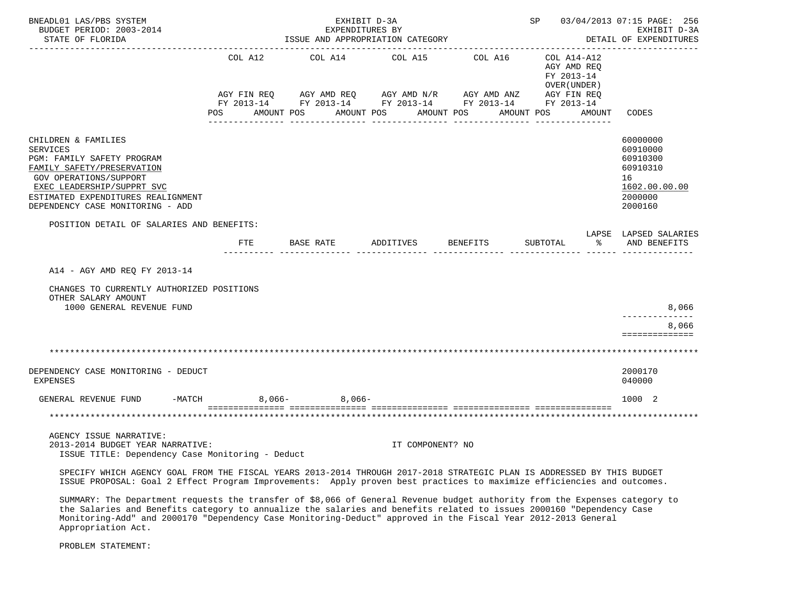| BNEADL01 LAS/PBS SYSTEM<br>BUDGET PERIOD: 2003-2014<br>STATE OF FLORIDA                                                                                                                                                                            |                               | EXPENDITURES BY<br>ISSUE AND APPROPRIATION CATEGORY          | EXHIBIT D-3A                        |                                                                                 | SP 03/04/2013 07:15 PAGE: 256                                                     | EXHIBIT D-3A<br>DETAIL OF EXPENDITURES                                                    |
|----------------------------------------------------------------------------------------------------------------------------------------------------------------------------------------------------------------------------------------------------|-------------------------------|--------------------------------------------------------------|-------------------------------------|---------------------------------------------------------------------------------|-----------------------------------------------------------------------------------|-------------------------------------------------------------------------------------------|
|                                                                                                                                                                                                                                                    | COL A12<br>AGY FIN REQ<br>POS | COL A14<br>AGY AMD REQ AGY AMD N/R AGY AMD ANZ<br>AMOUNT POS | COL A15<br>AMOUNT POS<br>AMOUNT POS | COL A16<br>FY 2013-14 FY 2013-14 FY 2013-14 FY 2013-14 FY 2013-14<br>AMOUNT POS | COL A14-A12<br>AGY AMD REO<br>FY 2013-14<br>OVER (UNDER)<br>AGY FIN REQ<br>AMOUNT | CODES                                                                                     |
| CHILDREN & FAMILIES<br>SERVICES<br>PGM: FAMILY SAFETY PROGRAM<br>FAMILY SAFETY/PRESERVATION<br><b>GOV OPERATIONS/SUPPORT</b><br>EXEC LEADERSHIP/SUPPRT SVC<br>ESTIMATED EXPENDITURES REALIGNMENT<br>DEPENDENCY CASE MONITORING - ADD               |                               |                                                              |                                     |                                                                                 |                                                                                   | 60000000<br>60910000<br>60910300<br>60910310<br>16<br>1602.00.00.00<br>2000000<br>2000160 |
| POSITION DETAIL OF SALARIES AND BENEFITS:                                                                                                                                                                                                          | FTE                           | BASE RATE                                                    | ADDITIVES                           | BENEFITS                                                                        | SUBTOTAL<br>ႜႂ                                                                    | LAPSE LAPSED SALARIES<br>AND BENEFITS                                                     |
| A14 - AGY AMD REQ FY 2013-14<br>CHANGES TO CURRENTLY AUTHORIZED POSITIONS<br>OTHER SALARY AMOUNT<br>1000 GENERAL REVENUE FUND                                                                                                                      |                               |                                                              |                                     |                                                                                 |                                                                                   | 8,066<br>----------<br>8,066<br>==============                                            |
|                                                                                                                                                                                                                                                    |                               |                                                              |                                     |                                                                                 |                                                                                   |                                                                                           |
| DEPENDENCY CASE MONITORING - DEDUCT<br><b>EXPENSES</b>                                                                                                                                                                                             |                               |                                                              |                                     |                                                                                 |                                                                                   | 2000170<br>040000                                                                         |
| GENERAL REVENUE FUND<br>-MATCH                                                                                                                                                                                                                     | $8,066-$                      | $8.066-$<br>=================================                |                                     |                                                                                 |                                                                                   | 1000 2                                                                                    |
|                                                                                                                                                                                                                                                    |                               |                                                              |                                     |                                                                                 |                                                                                   | *******************                                                                       |
| AGENCY ISSUE NARRATIVE:<br>2013-2014 BUDGET YEAR NARRATIVE:<br>ISSUE TITLE: Dependency Case Monitoring - Deduct                                                                                                                                    |                               |                                                              | IT COMPONENT? NO                    |                                                                                 |                                                                                   |                                                                                           |
| SPECIFY WHICH AGENCY GOAL FROM THE FISCAL YEARS 2013-2014 THROUGH 2017-2018 STRATEGIC PLAN IS ADDRESSED BY THIS BUDGET<br>ISSUE PROPOSAL: Goal 2 Effect Program Improvements: Apply proven best practices to maximize efficiencies and outcomes.   |                               |                                                              |                                     |                                                                                 |                                                                                   |                                                                                           |
| SUMMARY: The Department requests the transfer of \$8,066 of General Revenue budget authority from the Expenses category to<br>the Salaries and Benefits category to annualize the salaries and benefits related to issues 2000160 "Dependency Case |                               |                                                              |                                     |                                                                                 |                                                                                   |                                                                                           |

Monitoring-Add" and 2000170 "Dependency Case Monitoring-Deduct" approved in the Fiscal Year 2012-2013 General

PROBLEM STATEMENT:

Appropriation Act.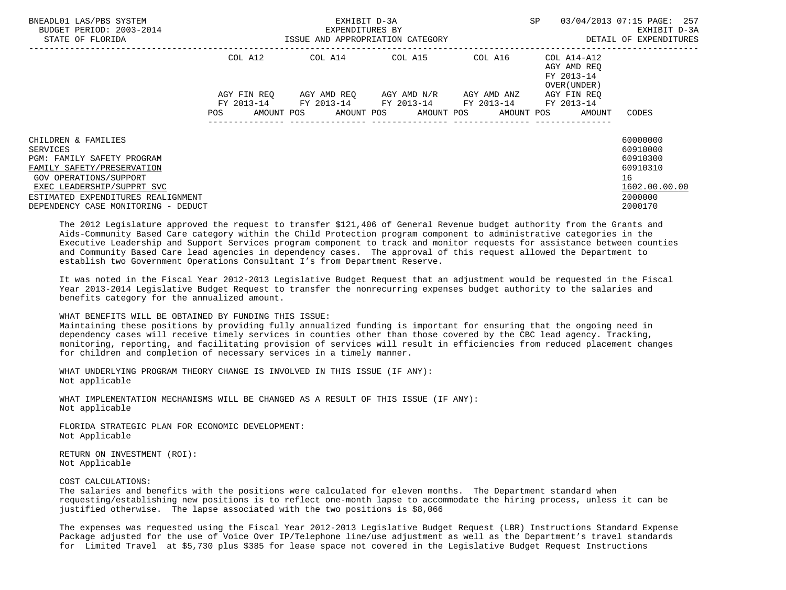| BNEADL01 LAS/PBS SYSTEM<br>BUDGET PERIOD: 2003-2014<br>STATE OF FLORIDA                                                                                                                                                                 |                    | EXHIBIT D-3A<br>EXPENDITURES BY<br>ISSUE AND APPROPRIATION CATEGORY                                   | <b>SP</b>                           | 03/04/2013 07:15 PAGE: 257<br>EXHIBIT D-3A<br>DETAIL OF EXPENDITURES |                                                          |                                                                                           |
|-----------------------------------------------------------------------------------------------------------------------------------------------------------------------------------------------------------------------------------------|--------------------|-------------------------------------------------------------------------------------------------------|-------------------------------------|----------------------------------------------------------------------|----------------------------------------------------------|-------------------------------------------------------------------------------------------|
|                                                                                                                                                                                                                                         | COL A12            | COL A14                                                                                               | COL A15                             | COL A16                                                              | COL A14-A12<br>AGY AMD REO<br>FY 2013-14<br>OVER (UNDER) |                                                                                           |
|                                                                                                                                                                                                                                         | AGY FIN REO<br>POS | FY 2013-14 FY 2013-14 FY 2013-14 FY 2013-14 FY 2013-14<br>AMOUNT POS AMOUNT POS AMOUNT POS AMOUNT POS | AGY AMD REO AGY AMD N/R AGY AMD ANZ |                                                                      | AGY FIN REO<br>AMOUNT                                    | CODES                                                                                     |
| CHILDREN & FAMILIES<br>SERVICES<br><b>PGM: FAMILY SAFETY PROGRAM</b><br>FAMILY SAFETY/PRESERVATION<br>GOV OPERATIONS/SUPPORT<br>EXEC LEADERSHIP/SUPPRT SVC<br>ESTIMATED EXPENDITURES REALIGNMENT<br>DEPENDENCY CASE MONITORING - DEDUCT |                    |                                                                                                       |                                     |                                                                      |                                                          | 60000000<br>60910000<br>60910300<br>60910310<br>16<br>1602.00.00.00<br>2000000<br>2000170 |

 The 2012 Legislature approved the request to transfer \$121,406 of General Revenue budget authority from the Grants and Aids-Community Based Care category within the Child Protection program component to administrative categories in the Executive Leadership and Support Services program component to track and monitor requests for assistance between counties and Community Based Care lead agencies in dependency cases. The approval of this request allowed the Department to establish two Government Operations Consultant I's from Department Reserve.

 It was noted in the Fiscal Year 2012-2013 Legislative Budget Request that an adjustment would be requested in the Fiscal Year 2013-2014 Legislative Budget Request to transfer the nonrecurring expenses budget authority to the salaries and benefits category for the annualized amount.

### WHAT BENEFITS WILL BE OBTAINED BY FUNDING THIS ISSUE:

 Maintaining these positions by providing fully annualized funding is important for ensuring that the ongoing need in dependency cases will receive timely services in counties other than those covered by the CBC lead agency. Tracking, monitoring, reporting, and facilitating provision of services will result in efficiencies from reduced placement changes for children and completion of necessary services in a timely manner.

 WHAT UNDERLYING PROGRAM THEORY CHANGE IS INVOLVED IN THIS ISSUE (IF ANY): Not applicable

 WHAT IMPLEMENTATION MECHANISMS WILL BE CHANGED AS A RESULT OF THIS ISSUE (IF ANY): Not applicable

 FLORIDA STRATEGIC PLAN FOR ECONOMIC DEVELOPMENT: Not Applicable

 RETURN ON INVESTMENT (ROI): Not Applicable

COST CALCULATIONS:

 The salaries and benefits with the positions were calculated for eleven months. The Department standard when requesting/establishing new positions is to reflect one-month lapse to accommodate the hiring process, unless it can be justified otherwise. The lapse associated with the two positions is \$8,066

 The expenses was requested using the Fiscal Year 2012-2013 Legislative Budget Request (LBR) Instructions Standard Expense Package adjusted for the use of Voice Over IP/Telephone line/use adjustment as well as the Department's travel standards for Limited Travel at \$5,730 plus \$385 for lease space not covered in the Legislative Budget Request Instructions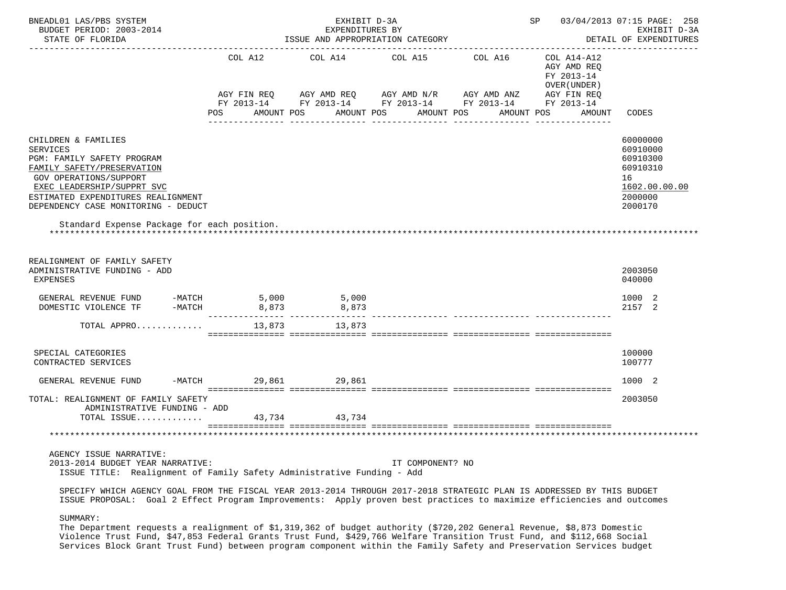| BNEADL01 LAS/PBS SYSTEM<br>BUDGET PERIOD: 2003-2014<br>STATE OF FLORIDA                                                                                                                                                                                                                       |                               | EXHIBIT D-3A<br>EXPENDITURES BY<br>ISSUE AND APPROPRIATION CATEGORY                                                      |                       |         | SP 03/04/2013 07:15 PAGE: 258                             | EXHIBIT D-3A<br>DETAIL OF EXPENDITURES                                                    |
|-----------------------------------------------------------------------------------------------------------------------------------------------------------------------------------------------------------------------------------------------------------------------------------------------|-------------------------------|--------------------------------------------------------------------------------------------------------------------------|-----------------------|---------|-----------------------------------------------------------|-------------------------------------------------------------------------------------------|
|                                                                                                                                                                                                                                                                                               | COL A12                       | COL A14 COL A15                                                                                                          |                       | COL A16 | COL A14-A12<br>AGY AMD REQ<br>FY 2013-14<br>OVER (UNDER ) |                                                                                           |
|                                                                                                                                                                                                                                                                                               | AGY FIN REQ<br>POS AMOUNT POS | AGY AMD REQ      AGY AMD N/R      AGY AMD ANZ      AGY FIN REQ<br>FY 2013-14 FY 2013-14 FY 2013-14 FY 2013-14 FY 2013-14 | AMOUNT POS AMOUNT POS |         | AMOUNT POS                                                | AMOUNT CODES                                                                              |
| CHILDREN & FAMILIES<br><b>SERVICES</b><br>PGM: FAMILY SAFETY PROGRAM<br>FAMILY SAFETY/PRESERVATION<br><b>GOV OPERATIONS/SUPPORT</b><br>EXEC LEADERSHIP/SUPPRT SVC<br>ESTIMATED EXPENDITURES REALIGNMENT<br>DEPENDENCY CASE MONITORING - DEDUCT<br>Standard Expense Package for each position. |                               |                                                                                                                          |                       |         |                                                           | 60000000<br>60910000<br>60910300<br>60910310<br>16<br>1602.00.00.00<br>2000000<br>2000170 |
| REALIGNMENT OF FAMILY SAFETY<br>ADMINISTRATIVE FUNDING - ADD<br>EXPENSES                                                                                                                                                                                                                      |                               |                                                                                                                          |                       |         |                                                           | 2003050<br>040000                                                                         |
| GENERAL REVENUE FUND -MATCH<br>DOMESTIC VIOLENCE TF -MATCH                                                                                                                                                                                                                                    | 5,000<br>8,873                | 5,000<br>8,873                                                                                                           |                       |         |                                                           | 1000 2<br>2157 2                                                                          |
| TOTAL APPRO                                                                                                                                                                                                                                                                                   | 13,873                        | 13,873                                                                                                                   |                       |         |                                                           |                                                                                           |
| SPECIAL CATEGORIES<br>CONTRACTED SERVICES                                                                                                                                                                                                                                                     |                               |                                                                                                                          |                       |         |                                                           | 100000<br>100777                                                                          |
| GENERAL REVENUE FUND                                                                                                                                                                                                                                                                          | $-MATCH$                      | 29,861 29,861                                                                                                            |                       |         |                                                           | 1000 2                                                                                    |
| TOTAL: REALIGNMENT OF FAMILY SAFETY<br>ADMINISTRATIVE FUNDING - ADD<br>TOTAL ISSUE                                                                                                                                                                                                            | 43,734                        | 43,734                                                                                                                   |                       |         |                                                           | 2003050                                                                                   |
|                                                                                                                                                                                                                                                                                               |                               |                                                                                                                          |                       |         |                                                           |                                                                                           |
| AGENCY ISSUE NARRATIVE:<br>2013-2014 BUDGET YEAR NARRATIVE:<br>ISSUE TITLE: Realignment of Family Safety Administrative Funding - Add                                                                                                                                                         |                               |                                                                                                                          | IT COMPONENT? NO      |         |                                                           |                                                                                           |
| SPECIFY WHICH AGENCY GOAL FROM THE FISCAL YEAR 2013-2014 THROUGH 2017-2018 STRATEGIC PLAN IS ADDRESSED BY THIS BUDGET<br>ISSUE PROPOSAL: Goal 2 Effect Program Improvements: Apply proven best practices to maximize efficiencies and outcomes                                                |                               |                                                                                                                          |                       |         |                                                           |                                                                                           |

SUMMARY:

 The Department requests a realignment of \$1,319,362 of budget authority (\$720,202 General Revenue, \$8,873 Domestic Violence Trust Fund, \$47,853 Federal Grants Trust Fund, \$429,766 Welfare Transition Trust Fund, and \$112,668 Social Services Block Grant Trust Fund) between program component within the Family Safety and Preservation Services budget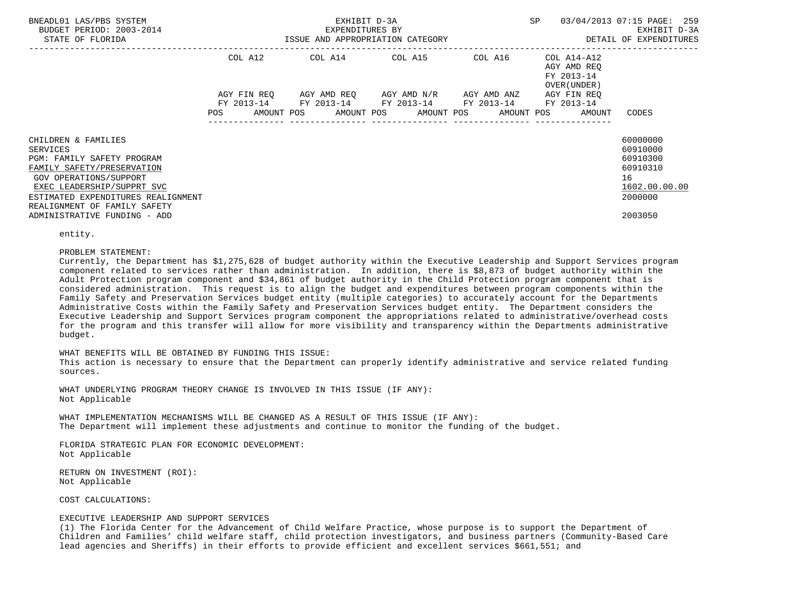| BNEADL01 LAS/PBS SYSTEM<br>BUDGET PERIOD: 2003-2014<br>STATE OF FLORIDA                                                                                                                   |             | EXHIBIT D-3A<br>EXPENDITURES BY<br>ISSUE AND APPROPRIATION CATEGORY |                                     | <b>SP</b>                                                             | 03/04/2013 07:15 PAGE: 259<br>EXHIBIT D-3A<br>DETAIL OF EXPENDITURES           |
|-------------------------------------------------------------------------------------------------------------------------------------------------------------------------------------------|-------------|---------------------------------------------------------------------|-------------------------------------|-----------------------------------------------------------------------|--------------------------------------------------------------------------------|
|                                                                                                                                                                                           | COL A12     | COL A14 COL A15 COL A16                                             |                                     | COL A14-A12<br>AGY AMD REO<br>FY 2013-14<br>OVER (UNDER )             |                                                                                |
|                                                                                                                                                                                           | AGY FIN REO | FY 2013-14 FY 2013-14 FY 2013-14 FY 2013-14 FY 2013-14              | AGY AMD REO AGY AMD N/R AGY AMD ANZ | AGY FIN REO<br>POS AMOUNT POS AMOUNT POS AMOUNT POS AMOUNT POS AMOUNT | CODES                                                                          |
| CHILDREN & FAMILIES<br>SERVICES<br>PGM: FAMILY SAFETY PROGRAM<br>FAMILY SAFETY/PRESERVATION<br>GOV OPERATIONS/SUPPORT<br>EXEC LEADERSHIP/SUPPRT SVC<br>ESTIMATED EXPENDITURES REALIGNMENT |             |                                                                     |                                     |                                                                       | 60000000<br>60910000<br>60910300<br>60910310<br>16<br>1602.00.00.00<br>2000000 |
| REALIGNMENT OF FAMILY SAFETY<br>ADMINISTRATIVE FUNDING - ADD                                                                                                                              |             |                                                                     |                                     |                                                                       | 2003050                                                                        |

entity.

#### PROBLEM STATEMENT:

 Currently, the Department has \$1,275,628 of budget authority within the Executive Leadership and Support Services program component related to services rather than administration. In addition, there is \$8,873 of budget authority within the Adult Protection program component and \$34,861 of budget authority in the Child Protection program component that is considered administration. This request is to align the budget and expenditures between program components within the Family Safety and Preservation Services budget entity (multiple categories) to accurately account for the Departments Administrative Costs within the Family Safety and Preservation Services budget entity. The Department considers the Executive Leadership and Support Services program component the appropriations related to administrative/overhead costs for the program and this transfer will allow for more visibility and transparency within the Departments administrative budget.

#### WHAT BENEFITS WILL BE OBTAINED BY FUNDING THIS ISSUE:

 This action is necessary to ensure that the Department can properly identify administrative and service related funding sources.

 WHAT UNDERLYING PROGRAM THEORY CHANGE IS INVOLVED IN THIS ISSUE (IF ANY): Not Applicable

 WHAT IMPLEMENTATION MECHANISMS WILL BE CHANGED AS A RESULT OF THIS ISSUE (IF ANY): The Department will implement these adjustments and continue to monitor the funding of the budget.

 FLORIDA STRATEGIC PLAN FOR ECONOMIC DEVELOPMENT: Not Applicable

 RETURN ON INVESTMENT (ROI): Not Applicable

## COST CALCULATIONS:

## EXECUTIVE LEADERSHIP AND SUPPORT SERVICES

 (1) The Florida Center for the Advancement of Child Welfare Practice, whose purpose is to support the Department of Children and Families' child welfare staff, child protection investigators, and business partners (Community-Based Care lead agencies and Sheriffs) in their efforts to provide efficient and excellent services \$661,551; and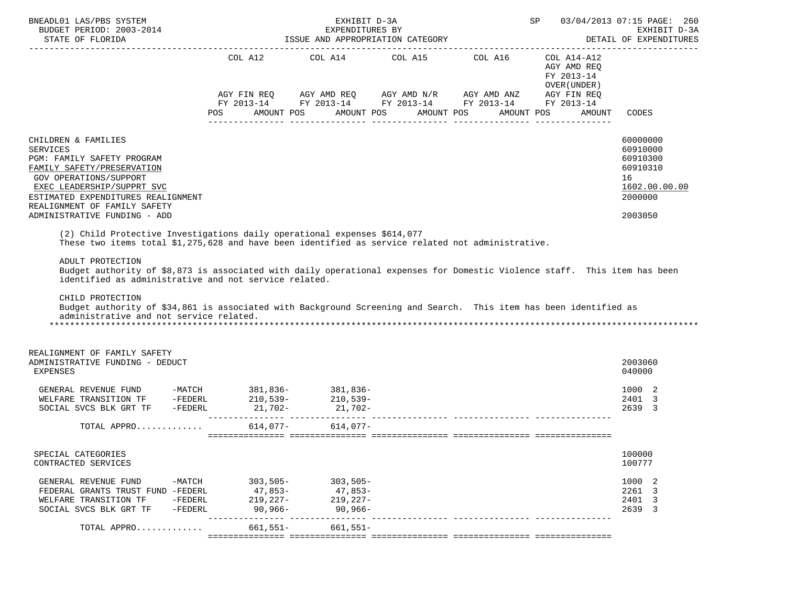| BNEADL01 LAS/PBS SYSTEM<br>BUDGET PERIOD: 2003-2014                                                                                                                                                                                                                                                                                                                                                                                               |                                                    | EXHIBIT D-3A<br>EXPENDITURES BY                           |                       | SP 03/04/2013 07:15 PAGE: 260<br>EXHIBIT D-3A<br>DETAIL OF EXPENDITURES                                                                                                                                                                     |                                             |                                                                                           |
|---------------------------------------------------------------------------------------------------------------------------------------------------------------------------------------------------------------------------------------------------------------------------------------------------------------------------------------------------------------------------------------------------------------------------------------------------|----------------------------------------------------|-----------------------------------------------------------|-----------------------|---------------------------------------------------------------------------------------------------------------------------------------------------------------------------------------------------------------------------------------------|---------------------------------------------|-------------------------------------------------------------------------------------------|
|                                                                                                                                                                                                                                                                                                                                                                                                                                                   |                                                    |                                                           |                       | COL A12 COL A14 COL A15 COL A16 COL A14-A12<br>$AGY \text{ FIN REQ} \qquad AGY \text{ AMD REQ} \qquad AGY \text{ AMD } N/R \qquad AGY \text{ AMD ANZ} \qquad AGY \text{ FIN REQ}$<br>FY 2013-14 FY 2013-14 FY 2013-14 FY 2013-14 FY 2013-14 | AGY AMD REQ<br>FY 2013-14<br>OVER ( UNDER ) |                                                                                           |
|                                                                                                                                                                                                                                                                                                                                                                                                                                                   | AMOUNT POS<br>POS                                  |                                                           | AMOUNT POS AMOUNT POS |                                                                                                                                                                                                                                             | AMOUNT POS<br>AMOUNT                        | CODES                                                                                     |
| CHILDREN & FAMILIES<br><b>SERVICES</b><br>PGM: FAMILY SAFETY PROGRAM<br>FAMILY SAFETY/PRESERVATION<br>GOV OPERATIONS/SUPPORT<br>EXEC LEADERSHIP/SUPPRT SVC<br>ESTIMATED EXPENDITURES REALIGNMENT<br>REALIGNMENT OF FAMILY SAFETY<br>ADMINISTRATIVE FUNDING - ADD<br>(2) Child Protective Investigations daily operational expenses \$614,077<br>These two items total \$1,275,628 and have been identified as service related not administrative. |                                                    |                                                           |                       |                                                                                                                                                                                                                                             |                                             | 60000000<br>60910000<br>60910300<br>60910310<br>16<br>1602.00.00.00<br>2000000<br>2003050 |
| ADULT PROTECTION<br>Budget authority of \$8,873 is associated with daily operational expenses for Domestic Violence staff. This item has been<br>identified as administrative and not service related.<br>CHILD PROTECTION<br>Budget authority of \$34,861 is associated with Background Screening and Search. This item has been identified as<br>administrative and not service related.                                                        |                                                    |                                                           |                       |                                                                                                                                                                                                                                             |                                             |                                                                                           |
| REALIGNMENT OF FAMILY SAFETY<br>ADMINISTRATIVE FUNDING - DEDUCT<br>EXPENSES                                                                                                                                                                                                                                                                                                                                                                       |                                                    |                                                           |                       |                                                                                                                                                                                                                                             |                                             | 2003060<br>040000                                                                         |
| GENERAL REVENUE FUND -MATCH 381,836- 381,836-<br>WELFARE TRANSITION TF -FEDERL 210,539- 210,539-<br>SOCIAL SVCS BLK GRT TF -FEDERL                                                                                                                                                                                                                                                                                                                |                                                    |                                                           |                       |                                                                                                                                                                                                                                             |                                             | 1000 2<br>2401 3<br>2639 3                                                                |
| TOTAL APPRO 614,077- 614,077-                                                                                                                                                                                                                                                                                                                                                                                                                     |                                                    |                                                           |                       |                                                                                                                                                                                                                                             |                                             |                                                                                           |
| SPECIAL CATEGORIES<br>CONTRACTED SERVICES                                                                                                                                                                                                                                                                                                                                                                                                         |                                                    |                                                           |                       |                                                                                                                                                                                                                                             |                                             | 100000<br>100777                                                                          |
| GENERAL REVENUE FUND<br>-MATCH<br>FEDERAL GRANTS TRUST FUND -FEDERL<br>WELFARE TRANSITION TF<br>$-FEDERL$<br>SOCIAL SVCS BLK GRT TF<br>$-FEDERL$                                                                                                                                                                                                                                                                                                  | 47,853-<br>219,227-<br>90,966-<br>---------------- | $303,505 - 303,505 -$<br>47,853-<br>$219,227-$<br>90,966- |                       |                                                                                                                                                                                                                                             |                                             | 1000 2<br>2261 3<br>2401 3<br>2639 3                                                      |
| TOTAL APPRO                                                                                                                                                                                                                                                                                                                                                                                                                                       | $661,551-$                                         | $661,551-$                                                |                       |                                                                                                                                                                                                                                             |                                             |                                                                                           |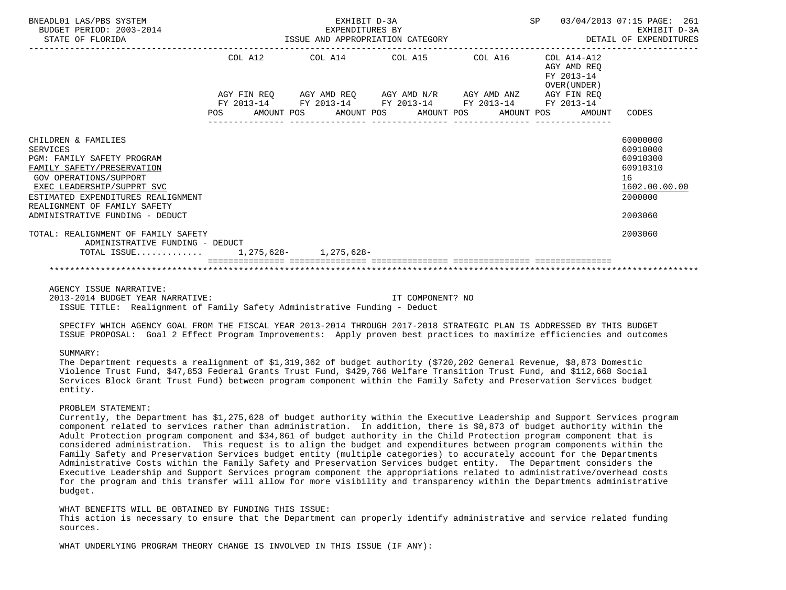| BNEADL01 LAS/PBS SYSTEM<br>BUDGET PERIOD: 2003-2014<br>STATE OF FLORIDA                                                                                                                                                                                             |         | EXHIBIT D-3A<br>EXPENDITURES BY<br>ISSUE AND APPROPRIATION CATEGORY                                                                                       |  | SP                                                       | 03/04/2013 07:15 PAGE: 261<br>EXHIBIT D-3A<br>DETAIL OF EXPENDITURES                      |
|---------------------------------------------------------------------------------------------------------------------------------------------------------------------------------------------------------------------------------------------------------------------|---------|-----------------------------------------------------------------------------------------------------------------------------------------------------------|--|----------------------------------------------------------|-------------------------------------------------------------------------------------------|
|                                                                                                                                                                                                                                                                     | COL A12 | COL A14 COL A15 COL A16                                                                                                                                   |  | COL A14-A12<br>AGY AMD REO<br>FY 2013-14<br>OVER (UNDER) |                                                                                           |
|                                                                                                                                                                                                                                                                     | POS     | AGY FIN REQ AGY AMD REQ AGY AMD N/R AGY AMD ANZ AGY FIN REQ<br>FY 2013-14 FY 2013-14 FY 2013-14 FY 2013-14 FY 2013-14<br>AMOUNT POS AMOUNT POS AMOUNT POS |  | AMOUNT POS<br>AMOUNT                                     | CODES                                                                                     |
| CHILDREN & FAMILIES<br><b>SERVICES</b><br>PGM: FAMILY SAFETY PROGRAM<br>FAMILY SAFETY/PRESERVATION<br>GOV OPERATIONS/SUPPORT<br>EXEC LEADERSHIP/SUPPRT SVC<br>ESTIMATED EXPENDITURES REALIGNMENT<br>REALIGNMENT OF FAMILY SAFETY<br>ADMINISTRATIVE FUNDING - DEDUCT |         |                                                                                                                                                           |  |                                                          | 60000000<br>60910000<br>60910300<br>60910310<br>16<br>1602.00.00.00<br>2000000<br>2003060 |
| TOTAL: REALIGNMENT OF FAMILY SAFETY<br>ADMINISTRATIVE FUNDING - DEDUCT<br>TOTAL ISSUE 1,275,628- 1,275,628-                                                                                                                                                         |         |                                                                                                                                                           |  |                                                          | 2003060                                                                                   |
|                                                                                                                                                                                                                                                                     |         |                                                                                                                                                           |  |                                                          |                                                                                           |

AGENCY ISSUE NARRATIVE:

 2013-2014 BUDGET YEAR NARRATIVE: IT COMPONENT? NO ISSUE TITLE: Realignment of Family Safety Administrative Funding - Deduct

 SPECIFY WHICH AGENCY GOAL FROM THE FISCAL YEAR 2013-2014 THROUGH 2017-2018 STRATEGIC PLAN IS ADDRESSED BY THIS BUDGET ISSUE PROPOSAL: Goal 2 Effect Program Improvements: Apply proven best practices to maximize efficiencies and outcomes

#### SUMMARY:

 The Department requests a realignment of \$1,319,362 of budget authority (\$720,202 General Revenue, \$8,873 Domestic Violence Trust Fund, \$47,853 Federal Grants Trust Fund, \$429,766 Welfare Transition Trust Fund, and \$112,668 Social Services Block Grant Trust Fund) between program component within the Family Safety and Preservation Services budget entity.

#### PROBLEM STATEMENT:

 Currently, the Department has \$1,275,628 of budget authority within the Executive Leadership and Support Services program component related to services rather than administration. In addition, there is \$8,873 of budget authority within the Adult Protection program component and \$34,861 of budget authority in the Child Protection program component that is considered administration. This request is to align the budget and expenditures between program components within the Family Safety and Preservation Services budget entity (multiple categories) to accurately account for the Departments Administrative Costs within the Family Safety and Preservation Services budget entity. The Department considers the Executive Leadership and Support Services program component the appropriations related to administrative/overhead costs for the program and this transfer will allow for more visibility and transparency within the Departments administrative budget.

 WHAT BENEFITS WILL BE OBTAINED BY FUNDING THIS ISSUE: This action is necessary to ensure that the Department can properly identify administrative and service related funding sources.

WHAT UNDERLYING PROGRAM THEORY CHANGE IS INVOLVED IN THIS ISSUE (IF ANY):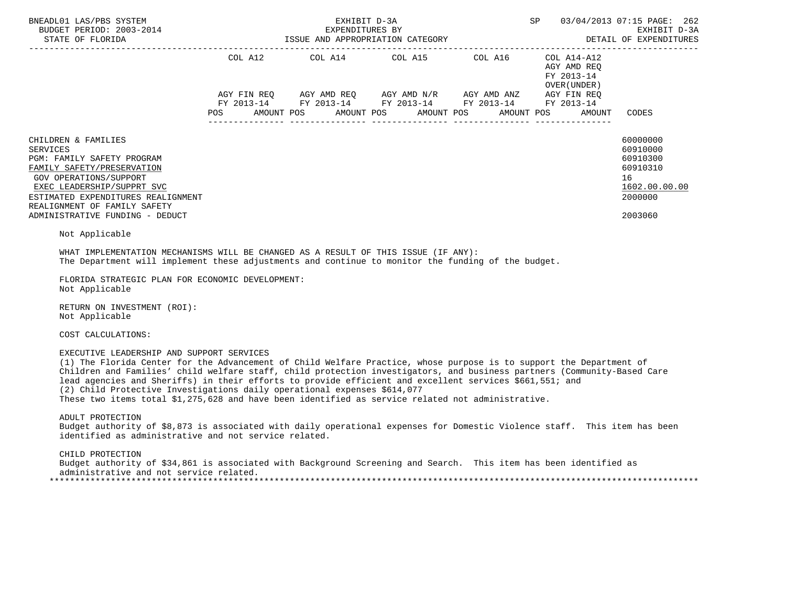| BNEADL01 LAS/PBS SYSTEM<br>BUDGET PERIOD: 2003-2014                                                                                                                                                                                                                                                                                                                                                                                                                                                                                                                                                                                   |            | EXHIBIT D-3A          | EXPENDITURES BY<br>ISSUE AND APPROPRIATION CATEGORY                                                                                                                                                                                               | SP 03/04/2013 07:15 PAGE: 262                                     | EXHIBIT D-3A<br>DETAIL OF EXPENDITURES                                                    |
|---------------------------------------------------------------------------------------------------------------------------------------------------------------------------------------------------------------------------------------------------------------------------------------------------------------------------------------------------------------------------------------------------------------------------------------------------------------------------------------------------------------------------------------------------------------------------------------------------------------------------------------|------------|-----------------------|---------------------------------------------------------------------------------------------------------------------------------------------------------------------------------------------------------------------------------------------------|-------------------------------------------------------------------|-------------------------------------------------------------------------------------------|
|                                                                                                                                                                                                                                                                                                                                                                                                                                                                                                                                                                                                                                       | <b>POS</b> | AMOUNT POS AMOUNT POS | $\begin{array}{lllllll} {\sf AGY} & {\sf FIN REQ} & {\sf AGY AMD REQ} & {\sf AGY AMD N/R} & {\sf AGY AMD ANZ} & {\sf AGY FIN REQ} \\ {\sf FY} & 2013-14 & {\sf FY} & 2013-14 & {\sf FY} & 2013-14 & {\sf FY} & 2013-14 \end{array}$<br>AMOUNT POS | AGY AMD REO<br>FY 2013-14<br>OVER (UNDER)<br>AMOUNT POS<br>AMOUNT | CODES                                                                                     |
| CHILDREN & FAMILIES<br><b>SERVICES</b><br>PGM: FAMILY SAFETY PROGRAM<br>FAMILY SAFETY/PRESERVATION<br><b>GOV OPERATIONS/SUPPORT</b><br>EXEC LEADERSHIP/SUPPRT SVC<br>ESTIMATED EXPENDITURES REALIGNMENT<br>REALIGNMENT OF FAMILY SAFETY<br>ADMINISTRATIVE FUNDING - DEDUCT<br>Not Applicable<br>WHAT IMPLEMENTATION MECHANISMS WILL BE CHANGED AS A RESULT OF THIS ISSUE (IF ANY):<br>The Department will implement these adjustments and continue to monitor the funding of the budget.<br>FLORIDA STRATEGIC PLAN FOR ECONOMIC DEVELOPMENT:<br>Not Applicable<br>RETURN ON INVESTMENT (ROI):<br>Not Applicable<br>COST CALCULATIONS: |            |                       |                                                                                                                                                                                                                                                   |                                                                   | 60000000<br>60910000<br>60910300<br>60910310<br>16<br>1602.00.00.00<br>2000000<br>2003060 |
| EXECUTIVE LEADERSHIP AND SUPPORT SERVICES<br>(1) The Florida Center for the Advancement of Child Welfare Practice, whose purpose is to support the Department of<br>Children and Families' child welfare staff, child protection investigators, and business partners (Community-Based Care<br>lead agencies and Sheriffs) in their efforts to provide efficient and excellent services \$661,551; and<br>(2) Child Protective Investigations daily operational expenses \$614,077<br>These two items total \$1,275,628 and have been identified as service related not administrative.                                               |            |                       |                                                                                                                                                                                                                                                   |                                                                   |                                                                                           |

 ADULT PROTECTION Budget authority of \$8,873 is associated with daily operational expenses for Domestic Violence staff. This item has been identified as administrative and not service related.

 CHILD PROTECTION Budget authority of \$34,861 is associated with Background Screening and Search. This item has been identified as administrative and not service related. \*\*\*\*\*\*\*\*\*\*\*\*\*\*\*\*\*\*\*\*\*\*\*\*\*\*\*\*\*\*\*\*\*\*\*\*\*\*\*\*\*\*\*\*\*\*\*\*\*\*\*\*\*\*\*\*\*\*\*\*\*\*\*\*\*\*\*\*\*\*\*\*\*\*\*\*\*\*\*\*\*\*\*\*\*\*\*\*\*\*\*\*\*\*\*\*\*\*\*\*\*\*\*\*\*\*\*\*\*\*\*\*\*\*\*\*\*\*\*\*\*\*\*\*\*\*\*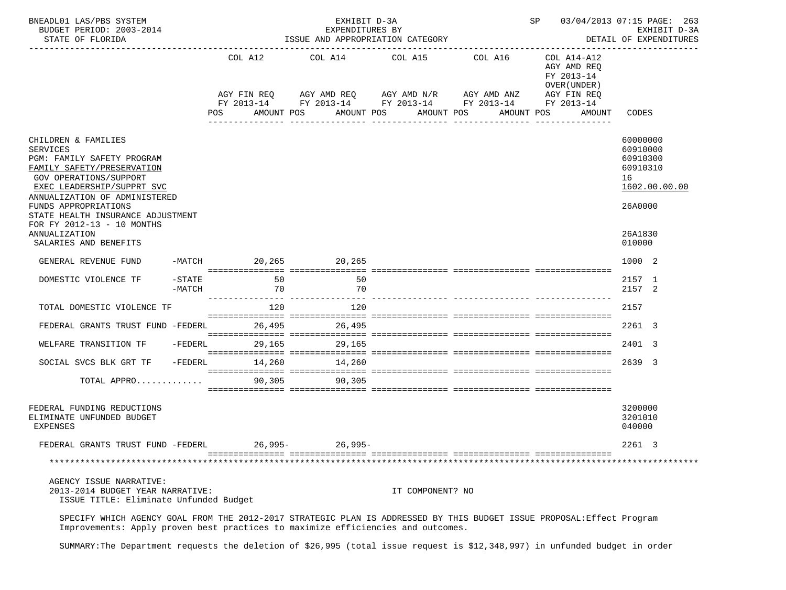| BNEADL01 LAS/PBS SYSTEM<br>BUDGET PERIOD: 2003-2014<br>STATE OF FLORIDA                                                                                                                                                                                                                                                          |                       |                      | EXHIBIT D-3A<br>EXPENDITURES BY<br>ISSUE AND APPROPRIATION CATEGORY                                                                                            |                           |                           | SP 03/04/2013 07:15 PAGE: 263                                                    | EXHIBIT D-3A<br>DETAIL OF EXPENDITURES<br>--------------                                            |
|----------------------------------------------------------------------------------------------------------------------------------------------------------------------------------------------------------------------------------------------------------------------------------------------------------------------------------|-----------------------|----------------------|----------------------------------------------------------------------------------------------------------------------------------------------------------------|---------------------------|---------------------------|----------------------------------------------------------------------------------|-----------------------------------------------------------------------------------------------------|
|                                                                                                                                                                                                                                                                                                                                  |                       | COL A12<br>POS       | COL A14 COL A15 COL A16<br>AGY FIN REQ AGY AMD REQ AGY AMD N/R AGY AMD ANZ AGY FIN REQ<br>FY 2013-14 FY 2013-14 FY 2013-14 FY 2013-14 FY 2013-14<br>AMOUNT POS | AMOUNT POS<br>----------- | AMOUNT POS<br>----------- | COL A14-A12<br>AGY AMD REQ<br>FY 2013-14<br>OVER (UNDER)<br>AMOUNT POS<br>AMOUNT | CODES                                                                                               |
| CHILDREN & FAMILIES<br><b>SERVICES</b><br>PGM: FAMILY SAFETY PROGRAM<br>FAMILY SAFETY/PRESERVATION<br>GOV OPERATIONS/SUPPORT<br>EXEC LEADERSHIP/SUPPRT SVC<br>ANNUALIZATION OF ADMINISTERED<br>FUNDS APPROPRIATIONS<br>STATE HEALTH INSURANCE ADJUSTMENT<br>FOR FY 2012-13 - 10 MONTHS<br>ANNUALIZATION<br>SALARIES AND BENEFITS |                       |                      |                                                                                                                                                                |                           |                           |                                                                                  | 60000000<br>60910000<br>60910300<br>60910310<br>16<br>1602.00.00.00<br>26A0000<br>26A1830<br>010000 |
| GENERAL REVENUE FUND                                                                                                                                                                                                                                                                                                             |                       | -MATCH 20,265 20,265 |                                                                                                                                                                |                           |                           |                                                                                  | 1000 2                                                                                              |
| DOMESTIC VIOLENCE TF                                                                                                                                                                                                                                                                                                             | $-$ STATE<br>$-MATCH$ | 50<br>70             | 50<br>70                                                                                                                                                       |                           |                           |                                                                                  | 2157 1<br>2157 2                                                                                    |
| TOTAL DOMESTIC VIOLENCE TF                                                                                                                                                                                                                                                                                                       |                       | 120                  | 120                                                                                                                                                            |                           |                           |                                                                                  | 2157                                                                                                |
| FEDERAL GRANTS TRUST FUND -FEDERL                                                                                                                                                                                                                                                                                                |                       |                      | 26,495<br>26,495                                                                                                                                               |                           |                           |                                                                                  | 2261 3                                                                                              |
| WELFARE TRANSITION TF                                                                                                                                                                                                                                                                                                            | $-FEDERL$             | 29,165               | 29,165                                                                                                                                                         |                           |                           |                                                                                  | 2401 3                                                                                              |
| SOCIAL SVCS BLK GRT TF                                                                                                                                                                                                                                                                                                           |                       | $-FEDERL$            | 14,260 14,260                                                                                                                                                  |                           |                           |                                                                                  | 2639 3                                                                                              |
| TOTAL APPRO                                                                                                                                                                                                                                                                                                                      |                       |                      | 90,305 90,305                                                                                                                                                  |                           |                           |                                                                                  |                                                                                                     |
| FEDERAL FUNDING REDUCTIONS<br>ELIMINATE UNFUNDED BUDGET<br><b>EXPENSES</b>                                                                                                                                                                                                                                                       |                       |                      |                                                                                                                                                                |                           |                           |                                                                                  | 3200000<br>3201010<br>040000                                                                        |
| FEDERAL GRANTS TRUST FUND -FEDERL                                                                                                                                                                                                                                                                                                |                       | 26,995-              | $26,995-$                                                                                                                                                      |                           |                           |                                                                                  | 2261 3                                                                                              |
|                                                                                                                                                                                                                                                                                                                                  |                       |                      |                                                                                                                                                                |                           |                           |                                                                                  |                                                                                                     |
| AGENCY ISSUE NARRATIVE:<br>2013-2014 BUDGET YEAR NARRATIVE:<br>ISSUE TITLE: Eliminate Unfunded Budget                                                                                                                                                                                                                            |                       |                      |                                                                                                                                                                | IT COMPONENT? NO          |                           |                                                                                  |                                                                                                     |
| SPECIFY WHICH AGENCY GOAL FROM THE 2012-2017 STRATEGIC PLAN IS ADDRESSED BY THIS BUDGET ISSUE PROPOSAL: Effect Program<br>Improvements: Apply proven best practices to maximize efficiencies and outcomes.                                                                                                                       |                       |                      |                                                                                                                                                                |                           |                           |                                                                                  |                                                                                                     |

SUMMARY:The Department requests the deletion of \$26,995 (total issue request is \$12,348,997) in unfunded budget in order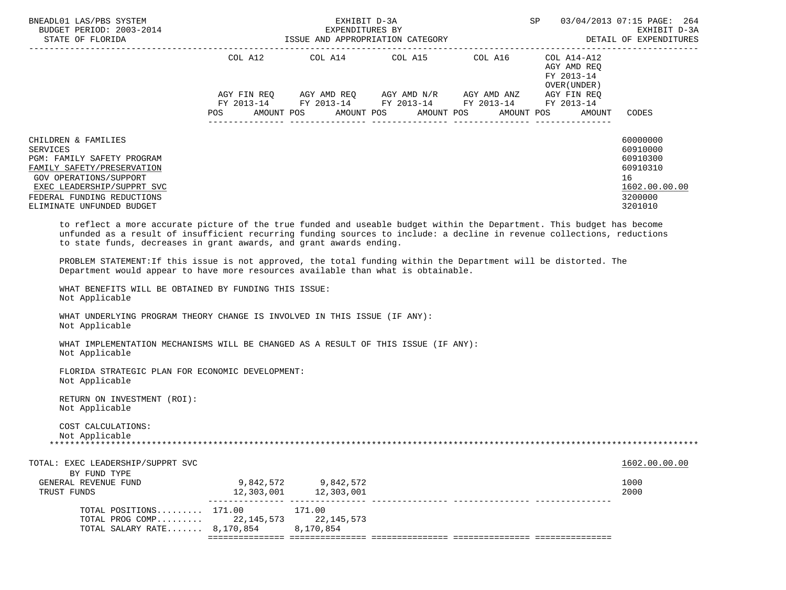| BNEADL01 LAS/PBS SYSTEM<br>BUDGET PERIOD: 2003-2014<br>STATE OF FLORIDA                                                                                                                                                                                                                                                                                                                                                                                                                                                                                                                    |            | EXHIBIT D-3A<br>EXPENDITURES BY<br>ISSUE AND APPROPRIATION CATEGORY | SP                                                                                                                                                                                                                                                                                                                                                                                                                                                                                   | 03/04/2013 07:15 PAGE: 264<br>EXHIBIT D-3A<br>DETAIL OF EXPENDITURES |                                                                  |                                                                                           |
|--------------------------------------------------------------------------------------------------------------------------------------------------------------------------------------------------------------------------------------------------------------------------------------------------------------------------------------------------------------------------------------------------------------------------------------------------------------------------------------------------------------------------------------------------------------------------------------------|------------|---------------------------------------------------------------------|--------------------------------------------------------------------------------------------------------------------------------------------------------------------------------------------------------------------------------------------------------------------------------------------------------------------------------------------------------------------------------------------------------------------------------------------------------------------------------------|----------------------------------------------------------------------|------------------------------------------------------------------|-------------------------------------------------------------------------------------------|
|                                                                                                                                                                                                                                                                                                                                                                                                                                                                                                                                                                                            | <b>POS</b> |                                                                     | $\begin{tabular}{lllllllllll} \multicolumn{2}{l}{{\text{COL A14}} } & \multicolumn{2}{c}{{\text{COL A15}} } & \multicolumn{2}{c}{{\text{COL A16}} } & \multicolumn{2}{c}{{\text{COL A14} - A12}}\\ \multicolumn{2}{c}{{\text{COL A14}} } & \multicolumn{2}{c}{{\text{COL A14} - A12}} & \multicolumn{2}{c}{{\text{COL A14} - A12}} & \multicolumn{2}{c}{{\text{COL A14} - A12}} & \multicolumn{2}{c}{{\text{COL A14} - A12}} & \multicolumn{2}{$<br>AMOUNT POS AMOUNT POS AMOUNT POS |                                                                      | AGY AMD REQ<br>FY 2013-14<br>OVER(UNDER)<br>AMOUNT POS<br>AMOUNT | CODES                                                                                     |
| CHILDREN & FAMILIES<br><b>SERVICES</b><br>PGM: FAMILY SAFETY PROGRAM<br>FAMILY SAFETY/PRESERVATION<br>GOV OPERATIONS/SUPPORT<br>EXEC LEADERSHIP/SUPPRT SVC<br>FEDERAL FUNDING REDUCTIONS<br>ELIMINATE UNFUNDED BUDGET                                                                                                                                                                                                                                                                                                                                                                      |            |                                                                     |                                                                                                                                                                                                                                                                                                                                                                                                                                                                                      |                                                                      |                                                                  | 60000000<br>60910000<br>60910300<br>60910310<br>16<br>1602.00.00.00<br>3200000<br>3201010 |
| to reflect a more accurate picture of the true funded and useable budget within the Department. This budget has become<br>unfunded as a result of insufficient recurring funding sources to include: a decline in revenue collections, reductions<br>to state funds, decreases in grant awards, and grant awards ending.<br>PROBLEM STATEMENT: If this issue is not approved, the total funding within the Department will be distorted. The<br>Department would appear to have more resources available than what is obtainable.<br>WHAT BENEFITS WILL BE OBTAINED BY FUNDING THIS ISSUE: |            |                                                                     |                                                                                                                                                                                                                                                                                                                                                                                                                                                                                      |                                                                      |                                                                  |                                                                                           |
| Not Applicable<br>WHAT UNDERLYING PROGRAM THEORY CHANGE IS INVOLVED IN THIS ISSUE (IF ANY):<br>Not Applicable                                                                                                                                                                                                                                                                                                                                                                                                                                                                              |            |                                                                     |                                                                                                                                                                                                                                                                                                                                                                                                                                                                                      |                                                                      |                                                                  |                                                                                           |
| WHAT IMPLEMENTATION MECHANISMS WILL BE CHANGED AS A RESULT OF THIS ISSUE (IF ANY):<br>Not Applicable                                                                                                                                                                                                                                                                                                                                                                                                                                                                                       |            |                                                                     |                                                                                                                                                                                                                                                                                                                                                                                                                                                                                      |                                                                      |                                                                  |                                                                                           |
| FLORIDA STRATEGIC PLAN FOR ECONOMIC DEVELOPMENT:<br>Not Applicable                                                                                                                                                                                                                                                                                                                                                                                                                                                                                                                         |            |                                                                     |                                                                                                                                                                                                                                                                                                                                                                                                                                                                                      |                                                                      |                                                                  |                                                                                           |
| RETURN ON INVESTMENT (ROI):<br>Not Applicable                                                                                                                                                                                                                                                                                                                                                                                                                                                                                                                                              |            |                                                                     |                                                                                                                                                                                                                                                                                                                                                                                                                                                                                      |                                                                      |                                                                  |                                                                                           |
| COST CALCULATIONS:<br>Not Applicable                                                                                                                                                                                                                                                                                                                                                                                                                                                                                                                                                       |            |                                                                     |                                                                                                                                                                                                                                                                                                                                                                                                                                                                                      |                                                                      |                                                                  |                                                                                           |
| TOTAL: EXEC LEADERSHIP/SUPPRT SVC                                                                                                                                                                                                                                                                                                                                                                                                                                                                                                                                                          |            |                                                                     |                                                                                                                                                                                                                                                                                                                                                                                                                                                                                      |                                                                      |                                                                  | 1602.00.00.00                                                                             |
| BY FUND TYPE<br>GENERAL REVENUE FUND                                                                                                                                                                                                                                                                                                                                                                                                                                                                                                                                                       |            | 9.842.572 9.842.572                                                 |                                                                                                                                                                                                                                                                                                                                                                                                                                                                                      |                                                                      |                                                                  | 1000                                                                                      |

| $TOTAL$ $POSTTIONS$ $171.00$<br>TOTAL PROG COMP 22.145.573 22.145.573<br>TOTAL SALARY RATE 8,170,854 |                         | 171.00<br>8,170,854     |  |              |
|------------------------------------------------------------------------------------------------------|-------------------------|-------------------------|--|--------------|
| ----------<br>GENERAL REVENUE FUND<br>TRUST FUNDS                                                    | 9,842,572<br>12,303,001 | 9.842.572<br>12,303,001 |  | 1000<br>2000 |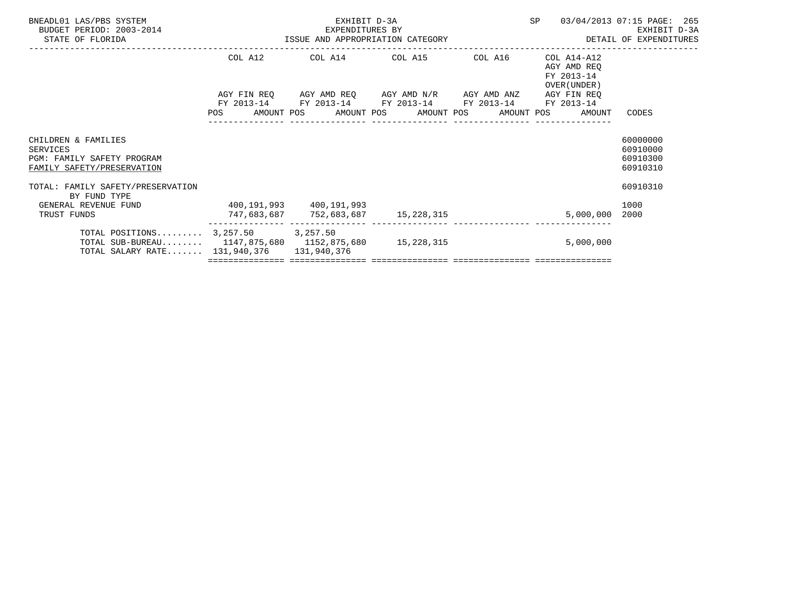| BNEADL01 LAS/PBS SYSTEM<br>BUDGET PERIOD: 2003-2014<br>STATE OF FLORIDA                                                                   | 3-2014<br>S-2014<br>ISSUE AND APPROPRIATION CATEGORY | EXHIBIT D-3A | SP 03/04/2013 07:15 PAGE: 265                                                                                         | EXHIBIT D-3A<br>DETAIL OF EXPENDITURES                 |                                              |
|-------------------------------------------------------------------------------------------------------------------------------------------|------------------------------------------------------|--------------|-----------------------------------------------------------------------------------------------------------------------|--------------------------------------------------------|----------------------------------------------|
|                                                                                                                                           |                                                      |              | COL A12 COL A14 COL A15 COL A16 COL A14-A12                                                                           | AGY AMD REQ<br>FY 2013-14<br>OVER (UNDER)              |                                              |
|                                                                                                                                           |                                                      |              | AGY FIN REQ AGY AMD REQ AGY AMD N/R AGY AMD ANZ AGY FIN REQ<br>FY 2013-14 FY 2013-14 FY 2013-14 FY 2013-14 FY 2013-14 | POS AMOUNT POS AMOUNT POS AMOUNT POS AMOUNT POS AMOUNT | CODES                                        |
| CHILDREN & FAMILIES<br><b>SERVICES</b><br><b>PGM: FAMILY SAFETY PROGRAM</b><br>FAMILY SAFETY/PRESERVATION                                 |                                                      |              |                                                                                                                       |                                                        | 60000000<br>60910000<br>60910300<br>60910310 |
| TOTAL: FAMILY SAFETY/PRESERVATION<br>BY FUND TYPE<br>GENERAL REVENUE FUND 400,191,993 400,191,993<br>TRUST FUNDS                          |                                                      |              | 747,683,687 752,683,687 15,228,315                                                                                    | 5,000,000                                              | 60910310<br>1000<br>2000                     |
| TOTAL POSITIONS $3,257.50$ 3,257.50<br>TOTAL SUB-BUREAU 1147,875,680 1152,875,680 15,228,315<br>TOTAL SALARY RATE 131,940,376 131,940,376 |                                                      |              |                                                                                                                       | 5,000,000                                              |                                              |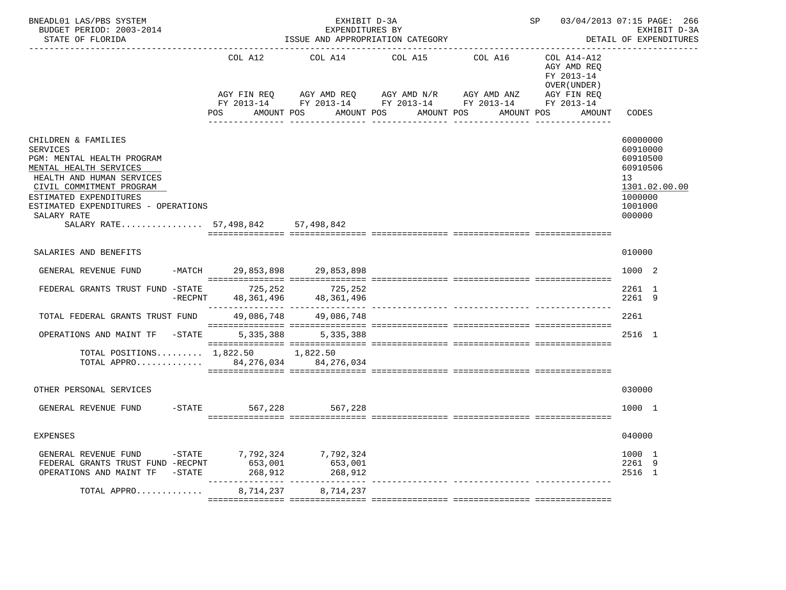| BNEADL01 LAS/PBS SYSTEM<br>BUDGET PERIOD: 2003-2014<br>STATE OF FLORIDA                                                                                                                                                                                                      |                                             | EXHIBIT D-3A<br>EXPENDITURES BY      | ISSUE AND APPROPRIATION CATEGORY                                                                                                     |                       | SP 03/04/2013 07:15 PAGE: 266                                                     | EXHIBIT D-3A<br>DETAIL OF EXPENDITURES                                                              |
|------------------------------------------------------------------------------------------------------------------------------------------------------------------------------------------------------------------------------------------------------------------------------|---------------------------------------------|--------------------------------------|--------------------------------------------------------------------------------------------------------------------------------------|-----------------------|-----------------------------------------------------------------------------------|-----------------------------------------------------------------------------------------------------|
|                                                                                                                                                                                                                                                                              | COL A12<br>AGY FIN REQ<br>POS<br>AMOUNT POS | COL A14                              | COL A15<br>AGY AMD REQ AGY AMD N/R AGY AMD ANZ<br>FY 2013-14 FY 2013-14 FY 2013-14 FY 2013-14 FY 2013-14<br>AMOUNT POS<br>AMOUNT POS | COL A16<br>AMOUNT POS | COL A14-A12<br>AGY AMD REO<br>FY 2013-14<br>OVER (UNDER)<br>AGY FIN REQ<br>AMOUNT | CODES                                                                                               |
| CHILDREN & FAMILIES<br><b>SERVICES</b><br>PGM: MENTAL HEALTH PROGRAM<br>MENTAL HEALTH SERVICES<br>HEALTH AND HUMAN SERVICES<br>CIVIL COMMITMENT PROGRAM<br>ESTIMATED EXPENDITURES<br>ESTIMATED EXPENDITURES - OPERATIONS<br>SALARY RATE<br>SALARY RATE 57,498,842 57,498,842 |                                             |                                      |                                                                                                                                      |                       |                                                                                   | 60000000<br>60910000<br>60910500<br>60910506<br>13<br>1301.02.00.00<br>1000000<br>1001000<br>000000 |
| SALARIES AND BENEFITS                                                                                                                                                                                                                                                        |                                             |                                      |                                                                                                                                      |                       |                                                                                   | 010000                                                                                              |
| GENERAL REVENUE FUND                                                                                                                                                                                                                                                         |                                             | -MATCH 29,853,898 29,853,898         |                                                                                                                                      |                       |                                                                                   | 1000 2                                                                                              |
| FEDERAL GRANTS TRUST FUND -STATE 725,252<br>$-{\rm RECPNT}$                                                                                                                                                                                                                  |                                             | 725,252<br>48, 361, 496 48, 361, 496 |                                                                                                                                      |                       |                                                                                   | 2261 1<br>2261 9                                                                                    |
| TOTAL FEDERAL GRANTS TRUST FUND                                                                                                                                                                                                                                              |                                             | 49,086,748 49,086,748                |                                                                                                                                      |                       |                                                                                   | 2261                                                                                                |
| OPERATIONS AND MAINT TF -STATE 5,335,388 5,335,388                                                                                                                                                                                                                           |                                             |                                      |                                                                                                                                      |                       |                                                                                   | 2516 1                                                                                              |
| TOTAL POSITIONS 1,822.50 1,822.50<br>TOTAL APPRO 84, 276, 034 84, 276, 034                                                                                                                                                                                                   |                                             |                                      |                                                                                                                                      |                       |                                                                                   |                                                                                                     |
| OTHER PERSONAL SERVICES                                                                                                                                                                                                                                                      |                                             |                                      |                                                                                                                                      |                       |                                                                                   | 030000                                                                                              |
| GENERAL REVENUE FUND -STATE 567,228                                                                                                                                                                                                                                          |                                             | 567,228                              |                                                                                                                                      |                       |                                                                                   | 1000 1                                                                                              |
| <b>EXPENSES</b>                                                                                                                                                                                                                                                              |                                             |                                      |                                                                                                                                      |                       |                                                                                   | 040000                                                                                              |
| GENERAL REVENUE FUND -STATE 7,792,324 7,792,324<br>FEDERAL GRANTS TRUST FUND -RECPNT<br>OPERATIONS AND MAINT TF -STATE                                                                                                                                                       | 653,001<br>268,912                          | 653,001<br>268,912                   |                                                                                                                                      |                       |                                                                                   | 1000 1<br>2261 9<br>2516 1                                                                          |
| TOTAL APPRO                                                                                                                                                                                                                                                                  | 8,714,237                                   | 8,714,237                            |                                                                                                                                      |                       |                                                                                   |                                                                                                     |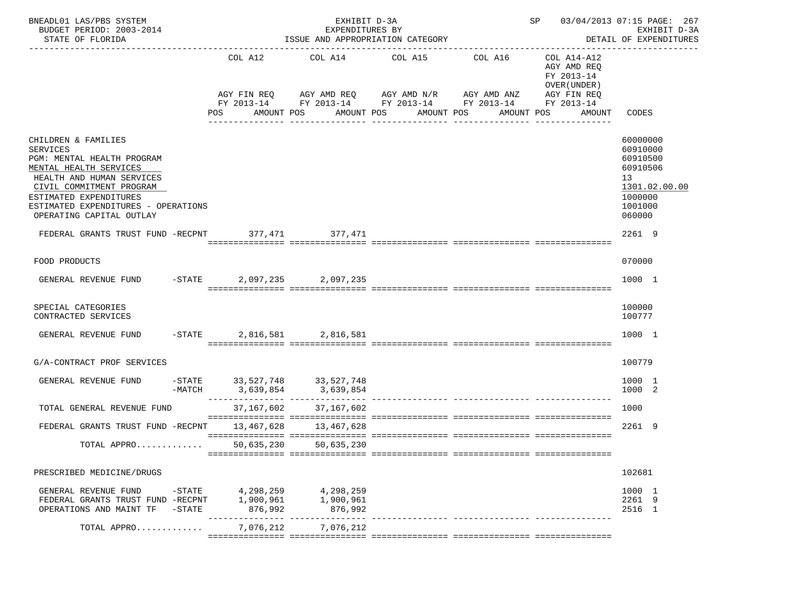| BNEADL01 LAS/PBS SYSTEM<br>BUDGET PERIOD: 2003-2014<br>STATE OF FLORIDA                                                                                                                                                                              |           |                                   | EXHIBIT D-3A<br>EXPENDITURES BY<br>ISSUE AND APPROPRIATION CATEGORY |                       |                                                                                                                                                  | SP 03/04/2013 07:15 PAGE: 267                                                    | EXHIBIT D-3A<br>DETAIL OF EXPENDITURES                                                              |
|------------------------------------------------------------------------------------------------------------------------------------------------------------------------------------------------------------------------------------------------------|-----------|-----------------------------------|---------------------------------------------------------------------|-----------------------|--------------------------------------------------------------------------------------------------------------------------------------------------|----------------------------------------------------------------------------------|-----------------------------------------------------------------------------------------------------|
|                                                                                                                                                                                                                                                      |           | COL A12<br><b>POS</b>             | AMOUNT POS                                                          | AMOUNT POS AMOUNT POS | COL A14 COL A15 COL A16<br>AGY FIN REQ AGY AMD REQ AGY AMD N/R AGY AMD ANZ AGY FIN REQ<br>FY 2013-14 FY 2013-14 FY 2013-14 FY 2013-14 FY 2013-14 | COL A14-A12<br>AGY AMD REO<br>FY 2013-14<br>OVER (UNDER)<br>AMOUNT POS<br>AMOUNT | CODES                                                                                               |
| CHILDREN & FAMILIES<br><b>SERVICES</b><br>PGM: MENTAL HEALTH PROGRAM<br>MENTAL HEALTH SERVICES<br>HEALTH AND HUMAN SERVICES<br>CIVIL COMMITMENT PROGRAM<br>ESTIMATED EXPENDITURES<br>ESTIMATED EXPENDITURES - OPERATIONS<br>OPERATING CAPITAL OUTLAY |           |                                   |                                                                     |                       |                                                                                                                                                  |                                                                                  | 60000000<br>60910000<br>60910500<br>60910506<br>13<br>1301.02.00.00<br>1000000<br>1001000<br>060000 |
| FEDERAL GRANTS TRUST FUND -RECPNT 377,471 377,471                                                                                                                                                                                                    |           |                                   |                                                                     |                       |                                                                                                                                                  |                                                                                  | 2261 9                                                                                              |
| FOOD PRODUCTS                                                                                                                                                                                                                                        |           |                                   |                                                                     |                       |                                                                                                                                                  |                                                                                  | 070000                                                                                              |
| GENERAL REVENUE FUND -STATE 2,097,235 2,097,235                                                                                                                                                                                                      |           |                                   |                                                                     |                       |                                                                                                                                                  |                                                                                  | 1000 1                                                                                              |
| SPECIAL CATEGORIES<br>CONTRACTED SERVICES                                                                                                                                                                                                            |           |                                   |                                                                     |                       |                                                                                                                                                  |                                                                                  | 100000<br>100777                                                                                    |
| GENERAL REVENUE FUND                                                                                                                                                                                                                                 | $-$ STATE |                                   | 2,816,581 2,816,581                                                 |                       |                                                                                                                                                  |                                                                                  | 1000 1                                                                                              |
| G/A-CONTRACT PROF SERVICES                                                                                                                                                                                                                           |           |                                   |                                                                     |                       |                                                                                                                                                  |                                                                                  | 100779                                                                                              |
| GENERAL REVENUE FUND                                                                                                                                                                                                                                 |           |                                   | -STATE 33,527,748 33,527,748<br>-MATCH 3,639,854 3,639,854          |                       |                                                                                                                                                  |                                                                                  | 1000 1<br>1000 2                                                                                    |
| TOTAL GENERAL REVENUE FUND                                                                                                                                                                                                                           |           | 37,167,602                        | 37,167,602                                                          |                       |                                                                                                                                                  |                                                                                  | 1000                                                                                                |
| FEDERAL GRANTS TRUST FUND -RECPNT 13,467,628 13,467,628                                                                                                                                                                                              |           |                                   |                                                                     |                       |                                                                                                                                                  |                                                                                  | 2261 9                                                                                              |
| TOTAL APPRO                                                                                                                                                                                                                                          |           | 50,635,230                        | 50,635,230                                                          |                       |                                                                                                                                                  |                                                                                  |                                                                                                     |
| PRESCRIBED MEDICINE/DRUGS                                                                                                                                                                                                                            |           |                                   |                                                                     |                       |                                                                                                                                                  |                                                                                  | 102681                                                                                              |
| GENERAL REVENUE FUND<br>FEDERAL GRANTS TRUST FUND -RECPNT<br>OPERATIONS AND MAINT TF                                                                                                                                                                 | $-$ STATE | $-$ STATE 4, 298, 259 4, 298, 259 | 1,900,961 1,900,961<br>876,992 876,992                              |                       |                                                                                                                                                  |                                                                                  | 1000 1<br>2261 9<br>2516 1                                                                          |
| TOTAL APPRO                                                                                                                                                                                                                                          |           | 7,076,212                         | 7,076,212                                                           |                       |                                                                                                                                                  |                                                                                  |                                                                                                     |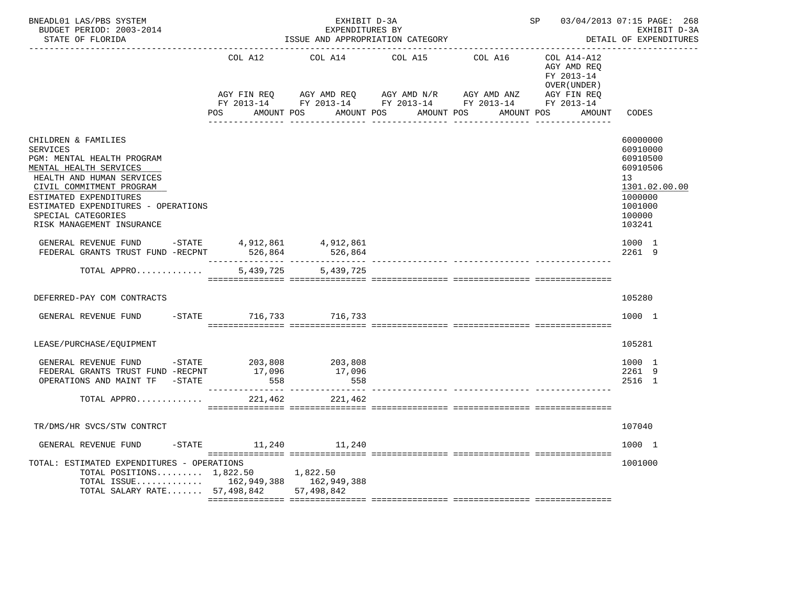| BNEADL01 LAS/PBS SYSTEM<br>BUDGET PERIOD: 2003-2014<br>STATE OF FLORIDA                                                                                                                                                                                              |                             | EXHIBIT D-3A<br>EXPENDITURES BY<br>ISSUE AND APPROPRIATION CATEGORY | SP 03/04/2013 07:15 PAGE: 268                                                                                                         | EXHIBIT D-3A<br>DETAIL OF EXPENDITURES                    |                                                                                                               |
|----------------------------------------------------------------------------------------------------------------------------------------------------------------------------------------------------------------------------------------------------------------------|-----------------------------|---------------------------------------------------------------------|---------------------------------------------------------------------------------------------------------------------------------------|-----------------------------------------------------------|---------------------------------------------------------------------------------------------------------------|
|                                                                                                                                                                                                                                                                      | COL A12                     | COL A14 COL A15                                                     | COL A16                                                                                                                               | COL A14-A12<br>AGY AMD REO<br>FY 2013-14<br>OVER (UNDER ) |                                                                                                               |
|                                                                                                                                                                                                                                                                      | AGY FIN REO                 |                                                                     | AGY AMD REQ AGY AMD N/R AGY AMD ANZ<br>FY 2013-14 FY 2013-14 FY 2013-14 FY 2013-14 FY 2013-14<br>POS AMOUNT POS AMOUNT POS AMOUNT POS | AGY FIN REQ<br>AMOUNT POS<br>AMOUNT                       | CODES                                                                                                         |
| CHILDREN & FAMILIES<br>SERVICES<br>PGM: MENTAL HEALTH PROGRAM<br>MENTAL HEALTH SERVICES<br>HEALTH AND HUMAN SERVICES<br>CIVIL COMMITMENT PROGRAM<br>ESTIMATED EXPENDITURES<br>ESTIMATED EXPENDITURES - OPERATIONS<br>SPECIAL CATEGORIES<br>RISK MANAGEMENT INSURANCE |                             |                                                                     |                                                                                                                                       |                                                           | 60000000<br>60910000<br>60910500<br>60910506<br>13<br>1301.02.00.00<br>1000000<br>1001000<br>100000<br>103241 |
| GENERAL REVENUE FUND - STATE 4, 912, 861 4, 912, 861<br>FEDERAL GRANTS TRUST FUND -RECPNT 526,864 526,864                                                                                                                                                            |                             |                                                                     |                                                                                                                                       |                                                           | 1000 1<br>2261 9                                                                                              |
| TOTAL APPRO                                                                                                                                                                                                                                                          | 5,439,725                   | 5,439,725                                                           |                                                                                                                                       |                                                           |                                                                                                               |
| DEFERRED-PAY COM CONTRACTS                                                                                                                                                                                                                                           |                             |                                                                     |                                                                                                                                       |                                                           | 105280                                                                                                        |
| GENERAL REVENUE FUND                                                                                                                                                                                                                                                 | -STATE 716,733 716,733      |                                                                     |                                                                                                                                       |                                                           | 1000 1                                                                                                        |
| LEASE/PURCHASE/EQUIPMENT                                                                                                                                                                                                                                             |                             |                                                                     |                                                                                                                                       |                                                           | 105281                                                                                                        |
| FEDERAL GRANTS TRUST FUND -RECPNT<br>OPERATIONS AND MAINT TF -STATE                                                                                                                                                                                                  | 17,096<br>558               | 558                                                                 | ----------- --------------- -----                                                                                                     |                                                           | 1000 1<br>2261 9<br>2516 1                                                                                    |
| TOTAL APPRO                                                                                                                                                                                                                                                          | 221,462                     | 221,462                                                             |                                                                                                                                       |                                                           |                                                                                                               |
| TR/DMS/HR SVCS/STW CONTRCT                                                                                                                                                                                                                                           |                             |                                                                     |                                                                                                                                       |                                                           | 107040                                                                                                        |
| GENERAL REVENUE FUND                                                                                                                                                                                                                                                 | $-$ STATE $11,240$ $11,240$ |                                                                     |                                                                                                                                       |                                                           | 1000 1                                                                                                        |
| TOTAL: ESTIMATED EXPENDITURES - OPERATIONS<br>TOTAL POSITIONS 1,822.50 1,822.50<br>TOTAL ISSUE 162,949,388 162,949,388<br>TOTAL SALARY RATE 57,498,842 57,498,842                                                                                                    |                             |                                                                     |                                                                                                                                       |                                                           | 1001000                                                                                                       |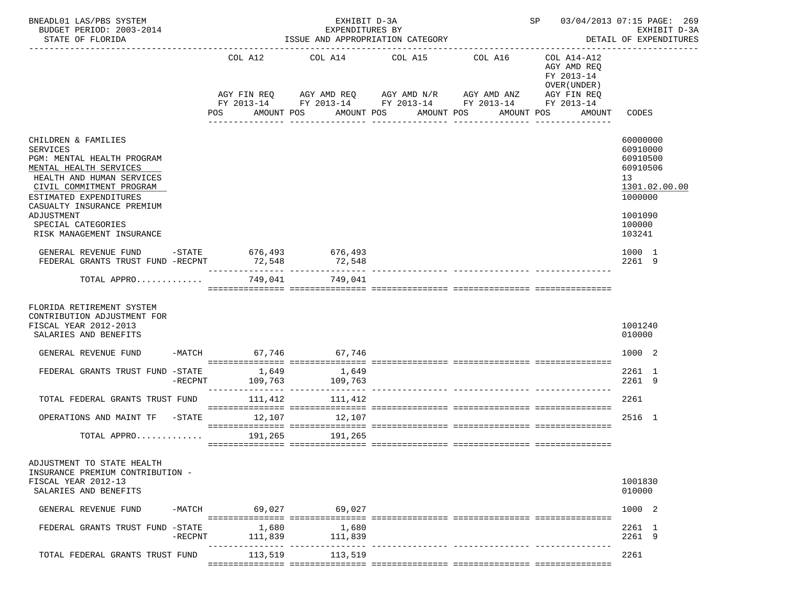| BNEADL01 LAS/PBS SYSTEM<br>BUDGET PERIOD: 2003-2014<br>STATE OF FLORIDA                                                                                                                                                                             |         |                      |                  |            | EXHIBIT D-3A<br>EXPENDITURES BY<br>ISSUE AND APPROPRIATION CATEGORY                           |         |                       |         |            |            |                                             |                                                                                    | SP 03/04/2013 07:15 PAGE: 269<br>EXHIBIT D-3A<br>DETAIL OF EXPENDITURES |
|-----------------------------------------------------------------------------------------------------------------------------------------------------------------------------------------------------------------------------------------------------|---------|----------------------|------------------|------------|-----------------------------------------------------------------------------------------------|---------|-----------------------|---------|------------|------------|---------------------------------------------|------------------------------------------------------------------------------------|-------------------------------------------------------------------------|
|                                                                                                                                                                                                                                                     |         | COL A12              |                  |            | COL A14                                                                                       | COL A15 |                       | COL A16 |            | FY 2013-14 | COL A14-A12<br>AGY AMD REQ<br>OVER (UNDER ) |                                                                                    |                                                                         |
|                                                                                                                                                                                                                                                     |         | AGY FIN REQ          |                  |            | AGY AMD REQ AGY AMD N/R AGY AMD ANZ<br>FY 2013-14 FY 2013-14 FY 2013-14 FY 2013-14 FY 2013-14 |         |                       |         |            |            | AGY FIN REQ                                 |                                                                                    |                                                                         |
|                                                                                                                                                                                                                                                     |         | POS                  |                  | AMOUNT POS |                                                                                               |         | AMOUNT POS AMOUNT POS |         | AMOUNT POS |            | AMOUNT                                      | CODES                                                                              |                                                                         |
| CHILDREN & FAMILIES<br><b>SERVICES</b><br>PGM: MENTAL HEALTH PROGRAM<br>MENTAL HEALTH SERVICES<br>HEALTH AND HUMAN SERVICES<br>CIVIL COMMITMENT PROGRAM<br>ESTIMATED EXPENDITURES<br>CASUALTY INSURANCE PREMIUM<br>ADJUSTMENT<br>SPECIAL CATEGORIES |         |                      |                  |            |                                                                                               |         |                       |         |            |            |                                             | 60000000<br>60910000<br>60910500<br>60910506<br>13<br>1000000<br>1001090<br>100000 | 1301.02.00.00                                                           |
| RISK MANAGEMENT INSURANCE                                                                                                                                                                                                                           |         |                      |                  |            |                                                                                               |         |                       |         |            |            |                                             | 103241                                                                             |                                                                         |
| GENERAL REVENUE FUND -STATE 676,493<br>FEDERAL GRANTS TRUST FUND -RECPNT                                                                                                                                                                            |         | 72,548               |                  |            | 676,493<br>72,548                                                                             |         |                       |         |            |            |                                             | 1000 1<br>2261 9                                                                   |                                                                         |
| TOTAL APPRO                                                                                                                                                                                                                                         |         |                      |                  |            | 749,041 749,041                                                                               |         |                       |         |            |            |                                             |                                                                                    |                                                                         |
| FLORIDA RETIREMENT SYSTEM<br>CONTRIBUTION ADJUSTMENT FOR<br>FISCAL YEAR 2012-2013<br>SALARIES AND BENEFITS                                                                                                                                          |         |                      |                  |            |                                                                                               |         |                       |         |            |            |                                             | 1001240<br>010000                                                                  |                                                                         |
| GENERAL REVENUE FUND                                                                                                                                                                                                                                |         | -MATCH 67,746 67,746 |                  |            |                                                                                               |         |                       |         |            |            |                                             | 1000 2                                                                             |                                                                         |
| FEDERAL GRANTS TRUST FUND -STATE 1,649 1,649                                                                                                                                                                                                        | -RECPNT |                      |                  |            | 109,763 109,763                                                                               |         |                       |         |            |            |                                             | 2261 1<br>2261 9                                                                   |                                                                         |
| TOTAL FEDERAL GRANTS TRUST FUND                                                                                                                                                                                                                     |         |                      | 111,412          |            | 111,412                                                                                       |         |                       |         |            |            |                                             | 2261                                                                               |                                                                         |
| OPERATIONS AND MAINT TF -STATE 12.107                                                                                                                                                                                                               |         |                      |                  |            | 12,107                                                                                        |         |                       |         |            |            |                                             | 2516 1                                                                             |                                                                         |
| TOTAL APPRO 191,265 191,265                                                                                                                                                                                                                         |         |                      |                  |            |                                                                                               |         |                       |         |            |            |                                             |                                                                                    |                                                                         |
| ADJUSTMENT TO STATE HEALTH<br>INSURANCE PREMIUM CONTRIBUTION -<br>FISCAL YEAR 2012-13<br>SALARIES AND BENEFITS                                                                                                                                      |         |                      |                  |            |                                                                                               |         |                       |         |            |            |                                             | 1001830<br>010000                                                                  |                                                                         |
| GENERAL REVENUE FUND                                                                                                                                                                                                                                | -MATCH  |                      | 69,027           |            | 69,027                                                                                        |         |                       |         |            |            |                                             | 1000 2                                                                             |                                                                         |
| FEDERAL GRANTS TRUST FUND -STATE                                                                                                                                                                                                                    | -RECPNT |                      | 1,680<br>111,839 |            | 1,680<br>111,839                                                                              |         |                       |         |            |            |                                             | 2261 1<br>2261 9                                                                   |                                                                         |
| TOTAL FEDERAL GRANTS TRUST FUND                                                                                                                                                                                                                     |         |                      | 113,519          |            | 113,519                                                                                       |         |                       |         |            |            |                                             | 2261                                                                               |                                                                         |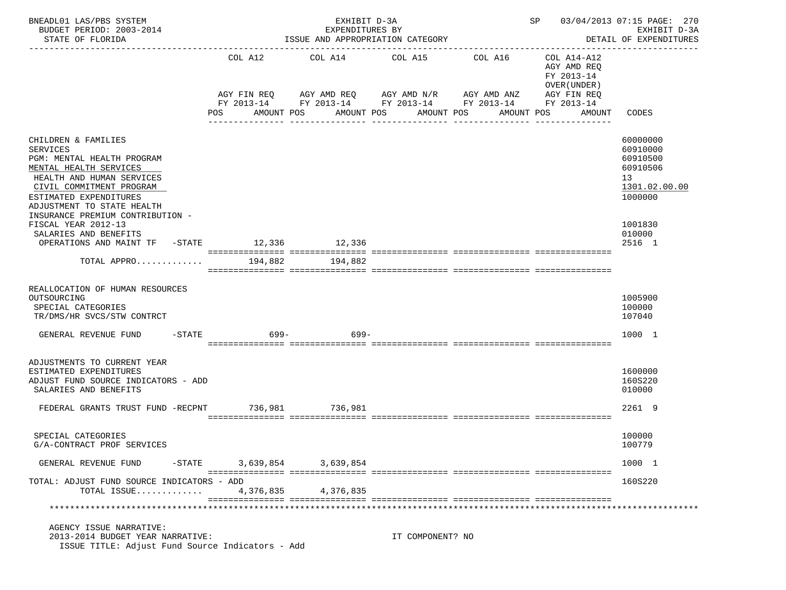| BNEADL01 LAS/PBS SYSTEM<br>BUDGET PERIOD: 2003-2014<br>STATE OF FLORIDA                                                                                                                                         |                | EXHIBIT D-3A<br>EXPENDITURES BY<br>ISSUE AND APPROPRIATION CATEGORY              | SP 03/04/2013 07:15 PAGE: 270  | EXHIBIT D-3A<br>DETAIL OF EXPENDITURES                                                        |                                                                                   |                                                                                |
|-----------------------------------------------------------------------------------------------------------------------------------------------------------------------------------------------------------------|----------------|----------------------------------------------------------------------------------|--------------------------------|-----------------------------------------------------------------------------------------------|-----------------------------------------------------------------------------------|--------------------------------------------------------------------------------|
|                                                                                                                                                                                                                 | COL A12<br>POS | COL A14 COL A15<br>AGY FIN REQ AGY AMD REQ AGY AMD N/R AGY AMD ANZ<br>AMOUNT POS | AMOUNT POS<br>________________ | COL A16<br>FY 2013-14 FY 2013-14 FY 2013-14 FY 2013-14 FY 2013-14<br>AMOUNT POS<br>AMOUNT POS | COL A14-A12<br>AGY AMD REO<br>FY 2013-14<br>OVER (UNDER)<br>AGY FIN REQ<br>AMOUNT | CODES                                                                          |
| CHILDREN & FAMILIES<br><b>SERVICES</b><br>PGM: MENTAL HEALTH PROGRAM<br>MENTAL HEALTH SERVICES<br>HEALTH AND HUMAN SERVICES<br>CIVIL COMMITMENT PROGRAM<br>ESTIMATED EXPENDITURES<br>ADJUSTMENT TO STATE HEALTH |                |                                                                                  |                                |                                                                                               |                                                                                   | 60000000<br>60910000<br>60910500<br>60910506<br>13<br>1301.02.00.00<br>1000000 |
| INSURANCE PREMIUM CONTRIBUTION -<br>FISCAL YEAR 2012-13<br>SALARIES AND BENEFITS<br>OPERATIONS AND MAINT TF -STATE 12,336 12,336                                                                                |                |                                                                                  |                                |                                                                                               |                                                                                   | 1001830<br>010000<br>2516 1                                                    |
| TOTAL APPRO                                                                                                                                                                                                     | 194,882        | 194,882                                                                          |                                |                                                                                               |                                                                                   |                                                                                |
| REALLOCATION OF HUMAN RESOURCES<br>OUTSOURCING<br>SPECIAL CATEGORIES<br>TR/DMS/HR SVCS/STW CONTRCT<br>GENERAL REVENUE FUND<br>$-$ STATE                                                                         | 699–           | 699–                                                                             |                                |                                                                                               |                                                                                   | 1005900<br>100000<br>107040<br>1000 1                                          |
| ADJUSTMENTS TO CURRENT YEAR<br>ESTIMATED EXPENDITURES<br>ADJUST FUND SOURCE INDICATORS - ADD<br>SALARIES AND BENEFITS                                                                                           |                |                                                                                  |                                |                                                                                               |                                                                                   | 1600000<br>160S220<br>010000                                                   |
| FEDERAL GRANTS TRUST FUND -RECPNT                                                                                                                                                                               |                | 736,981 736,981                                                                  |                                |                                                                                               |                                                                                   | 2261 9                                                                         |
| SPECIAL CATEGORIES<br>G/A-CONTRACT PROF SERVICES                                                                                                                                                                |                |                                                                                  |                                |                                                                                               |                                                                                   | 100000<br>100779                                                               |
| $-$ STATE<br>GENERAL REVENUE FUND                                                                                                                                                                               |                | 3,639,854 3,639,854                                                              |                                |                                                                                               |                                                                                   | 1000 1                                                                         |
| TOTAL: ADJUST FUND SOURCE INDICATORS - ADD<br>TOTAL ISSUE                                                                                                                                                       | 4,376,835      | 4,376,835                                                                        |                                |                                                                                               |                                                                                   | 160S220                                                                        |
| AGENCY ISSUE NARRATIVE:<br>2013-2014 BUDGET YEAR NARRATIVE:<br>ISSUE TITLE: Adjust Fund Source Indicators - Add                                                                                                 |                |                                                                                  | IT COMPONENT? NO               |                                                                                               |                                                                                   |                                                                                |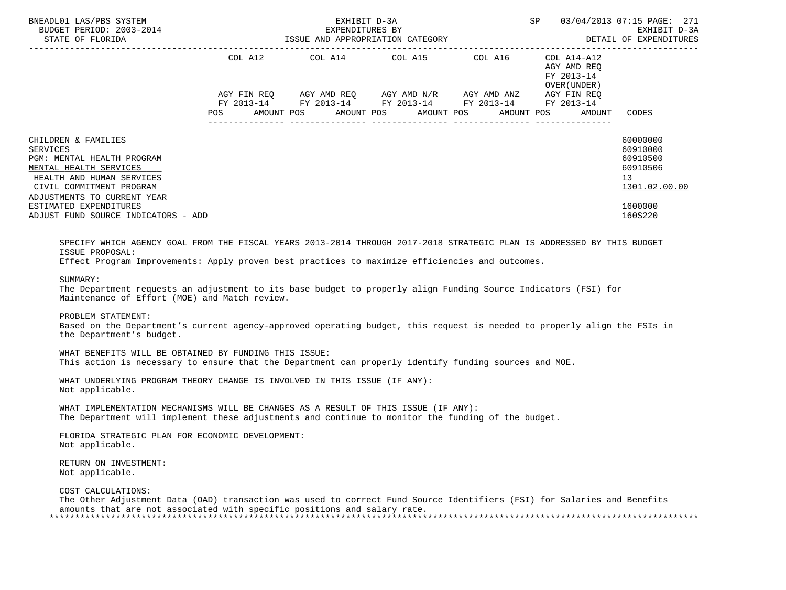| BNEADL01 LAS/PBS SYSTEM<br>BUDGET PERIOD: 2003-2014<br>STATE OF FLORIDA                                                                                                                | EXHIBIT D-3A<br>EXPENDITURES BY<br>ISSUE AND APPROPRIATION CATEGORY |             |  |  |  |                                                                                                                        |  | SP.        |  | 03/04/2013 07:15 PAGE: 271<br>EXHIBIT D-3A<br>DETAIL OF EXPENDITURES |                                                                     |
|----------------------------------------------------------------------------------------------------------------------------------------------------------------------------------------|---------------------------------------------------------------------|-------------|--|--|--|------------------------------------------------------------------------------------------------------------------------|--|------------|--|----------------------------------------------------------------------|---------------------------------------------------------------------|
|                                                                                                                                                                                        |                                                                     | COL A12     |  |  |  |                                                                                                                        |  |            |  | AGY AMD REO<br>FY 2013-14<br>OVER (UNDER)                            |                                                                     |
|                                                                                                                                                                                        | POS                                                                 | AGY FIN REO |  |  |  | AGY AMD REQ AGY AMD N/R AGY AMD ANZ<br>FY 2013-14 FY 2013-14 FY 2013-14 FY 2013-14<br>AMOUNT POS AMOUNT POS AMOUNT POS |  | AMOUNT POS |  | AGY FIN REO<br>FY 2013-14<br>AMOUNT                                  | CODES                                                               |
| CHILDREN & FAMILIES<br><b>SERVICES</b><br>PGM: MENTAL HEALTH PROGRAM<br>MENTAL HEALTH SERVICES<br>HEALTH AND HUMAN SERVICES<br>CIVIL COMMITMENT PROGRAM<br>ADJUSTMENTS TO CURRENT YEAR |                                                                     |             |  |  |  |                                                                                                                        |  |            |  |                                                                      | 60000000<br>60910000<br>60910500<br>60910506<br>13<br>1301.02.00.00 |
| ESTIMATED EXPENDITURES<br>ADJUST FUND SOURCE INDICATORS - ADD                                                                                                                          |                                                                     |             |  |  |  |                                                                                                                        |  |            |  |                                                                      | 1600000<br>160S220                                                  |
| SPECIFY WHICH AGENCY GOAL FROM THE FISCAL YEARS 2013-2014 THROUGH 2017-2018 STRATEGIC PLAN IS ADDRESSED BY THIS BUDGET<br>ISSUE PROPOSAL:                                              |                                                                     |             |  |  |  |                                                                                                                        |  |            |  |                                                                      |                                                                     |

Effect Program Improvements: Apply proven best practices to maximize efficiencies and outcomes.

SUMMARY:

 The Department requests an adjustment to its base budget to properly align Funding Source Indicators (FSI) for Maintenance of Effort (MOE) and Match review.

PROBLEM STATEMENT:

 Based on the Department's current agency-approved operating budget, this request is needed to properly align the FSIs in the Department's budget.

 WHAT BENEFITS WILL BE OBTAINED BY FUNDING THIS ISSUE: This action is necessary to ensure that the Department can properly identify funding sources and MOE.

 WHAT UNDERLYING PROGRAM THEORY CHANGE IS INVOLVED IN THIS ISSUE (IF ANY): Not applicable.

 WHAT IMPLEMENTATION MECHANISMS WILL BE CHANGES AS A RESULT OF THIS ISSUE (IF ANY): The Department will implement these adjustments and continue to monitor the funding of the budget.

 FLORIDA STRATEGIC PLAN FOR ECONOMIC DEVELOPMENT: Not applicable.

 RETURN ON INVESTMENT: Not applicable.

COST CALCULATIONS:

 The Other Adjustment Data (OAD) transaction was used to correct Fund Source Identifiers (FSI) for Salaries and Benefits amounts that are not associated with specific positions and salary rate. \*\*\*\*\*\*\*\*\*\*\*\*\*\*\*\*\*\*\*\*\*\*\*\*\*\*\*\*\*\*\*\*\*\*\*\*\*\*\*\*\*\*\*\*\*\*\*\*\*\*\*\*\*\*\*\*\*\*\*\*\*\*\*\*\*\*\*\*\*\*\*\*\*\*\*\*\*\*\*\*\*\*\*\*\*\*\*\*\*\*\*\*\*\*\*\*\*\*\*\*\*\*\*\*\*\*\*\*\*\*\*\*\*\*\*\*\*\*\*\*\*\*\*\*\*\*\*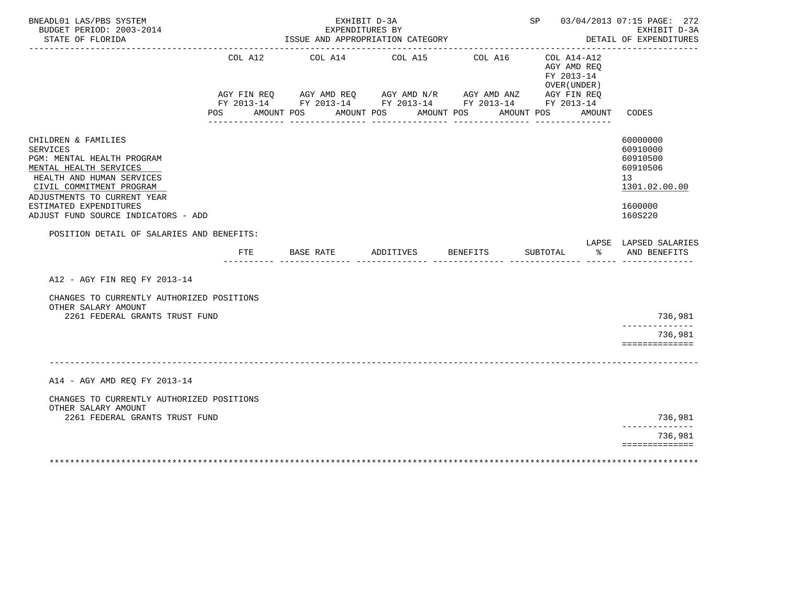| BNEADL01 LAS/PBS SYSTEM<br>BUDGET PERIOD: 2003-2014<br>STATE OF FLORIDA                                                                                                                                                                                                                              |                | EXHIBIT D-3A<br>EXPENDITURES BY<br>ISSUE AND APPROPRIATION CATEGORY                                                                                                                                                                                                                                                                                                                                            |                    | SP 03/04/2013 07:15 PAGE: 272       | EXHIBIT D-3A<br>DETAIL OF EXPENDITURES                                |                                                                                           |
|------------------------------------------------------------------------------------------------------------------------------------------------------------------------------------------------------------------------------------------------------------------------------------------------------|----------------|----------------------------------------------------------------------------------------------------------------------------------------------------------------------------------------------------------------------------------------------------------------------------------------------------------------------------------------------------------------------------------------------------------------|--------------------|-------------------------------------|-----------------------------------------------------------------------|-------------------------------------------------------------------------------------------|
|                                                                                                                                                                                                                                                                                                      | COL A12<br>POS | COL A14 COL A15<br>$\begin{array}{lllllll} {\text{AGY}} & {\text{FIN}} & {\text{REG}} & {\text{AGY}} & {\text{AMP}} & {\text{AGY}} & {\text{AMP}} & {\text{HU}} & {\text{HU}} & {\text{HU}} & {\text{HU}} & {\text{HU}} & {\text{HU}} \\ {\text{FY}} & 2013\text{--}14 & \text{FY}} & 2013\text{--}14 & \text{FY}} & 2013\text{--}14 & \text{FY}} & 2013\text{--}14 & \end{array}$<br>AMOUNT POS<br>AMOUNT POS |                    | COL A16<br>AMOUNT POS<br>AMOUNT POS | $COL A14- A12$<br>AGY AMD REO<br>FY 2013-14<br>OVER (UNDER)<br>AMOUNT | CODES                                                                                     |
| CHILDREN & FAMILIES<br><b>SERVICES</b><br>PGM: MENTAL HEALTH PROGRAM<br>MENTAL HEALTH SERVICES<br>HEALTH AND HUMAN SERVICES<br>CIVIL COMMITMENT PROGRAM<br>ADJUSTMENTS TO CURRENT YEAR<br>ESTIMATED EXPENDITURES<br>ADJUST FUND SOURCE INDICATORS - ADD<br>POSITION DETAIL OF SALARIES AND BENEFITS: |                |                                                                                                                                                                                                                                                                                                                                                                                                                |                    |                                     |                                                                       | 60000000<br>60910000<br>60910500<br>60910506<br>13<br>1301.02.00.00<br>1600000<br>160S220 |
|                                                                                                                                                                                                                                                                                                      | FTE            | BASE RATE                                                                                                                                                                                                                                                                                                                                                                                                      | ADDITIVES BENEFITS |                                     | SUBTOTAL<br>ႜ                                                         | LAPSE LAPSED SALARIES<br>AND BENEFITS                                                     |
| A12 - AGY FIN REQ FY 2013-14                                                                                                                                                                                                                                                                         |                |                                                                                                                                                                                                                                                                                                                                                                                                                |                    |                                     |                                                                       |                                                                                           |
| CHANGES TO CURRENTLY AUTHORIZED POSITIONS<br>OTHER SALARY AMOUNT<br>2261 FEDERAL GRANTS TRUST FUND                                                                                                                                                                                                   |                |                                                                                                                                                                                                                                                                                                                                                                                                                |                    |                                     |                                                                       | 736,981                                                                                   |
|                                                                                                                                                                                                                                                                                                      |                |                                                                                                                                                                                                                                                                                                                                                                                                                |                    |                                     |                                                                       | --------------<br>736,981                                                                 |
|                                                                                                                                                                                                                                                                                                      |                |                                                                                                                                                                                                                                                                                                                                                                                                                |                    |                                     |                                                                       | ==============                                                                            |
| A14 - AGY AMD REQ FY 2013-14                                                                                                                                                                                                                                                                         |                |                                                                                                                                                                                                                                                                                                                                                                                                                |                    |                                     |                                                                       |                                                                                           |
| CHANGES TO CURRENTLY AUTHORIZED POSITIONS<br>OTHER SALARY AMOUNT<br>2261 FEDERAL GRANTS TRUST FUND                                                                                                                                                                                                   |                |                                                                                                                                                                                                                                                                                                                                                                                                                |                    |                                     |                                                                       | 736,981                                                                                   |
|                                                                                                                                                                                                                                                                                                      |                |                                                                                                                                                                                                                                                                                                                                                                                                                |                    |                                     |                                                                       | --------<br>736,981                                                                       |
|                                                                                                                                                                                                                                                                                                      |                |                                                                                                                                                                                                                                                                                                                                                                                                                |                    |                                     |                                                                       | ==============                                                                            |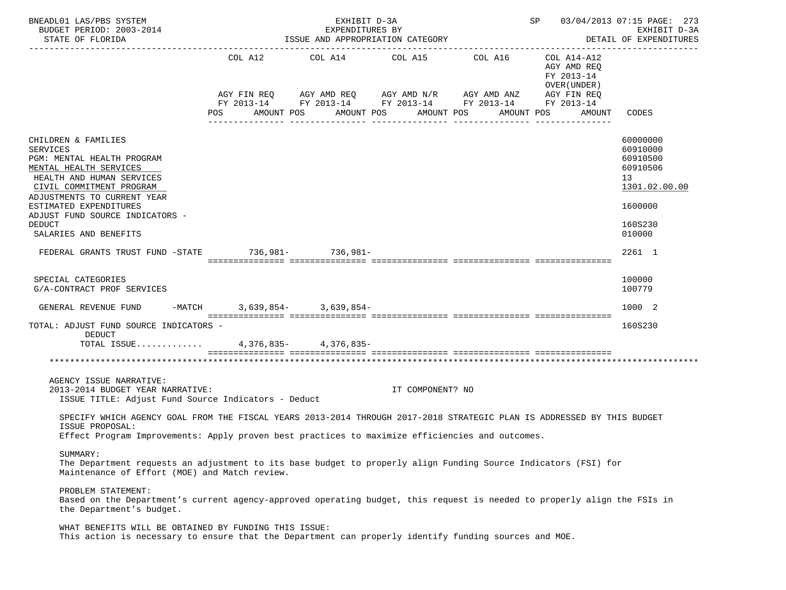| BNEADL01 LAS/PBS SYSTEM<br>BUDGET PERIOD: 2003-2014<br>STATE OF FLORIDA                                                                                                                                                                                                                       |                                                             | EXHIBIT D-3A<br>EXPENDITURES BY<br>ISSUE AND APPROPRIATION CATEGORY |                       |                                                        |                                                                         | SP 03/04/2013 07:15 PAGE: 273<br>EXHIBIT D-3A<br>DETAIL OF EXPENDITURES                             |
|-----------------------------------------------------------------------------------------------------------------------------------------------------------------------------------------------------------------------------------------------------------------------------------------------|-------------------------------------------------------------|---------------------------------------------------------------------|-----------------------|--------------------------------------------------------|-------------------------------------------------------------------------|-----------------------------------------------------------------------------------------------------|
|                                                                                                                                                                                                                                                                                               | COL A12                                                     | COL A14                                                             | COL A15 COL A16       | AGY FIN REQ AGY AMD REQ AGY AMD N/R AGY AMD ANZ        | COL A14-A12<br>AGY AMD REQ<br>FY 2013-14<br>OVER (UNDER)<br>AGY FIN REQ |                                                                                                     |
|                                                                                                                                                                                                                                                                                               | POS<br>AMOUNT POS<br>______________________________________ |                                                                     | AMOUNT POS AMOUNT POS | FY 2013-14 FY 2013-14 FY 2013-14 FY 2013-14 FY 2013-14 | AMOUNT POS<br>AMOUNT<br>________________                                | CODES                                                                                               |
| CHILDREN & FAMILIES<br><b>SERVICES</b><br>PGM: MENTAL HEALTH PROGRAM<br>MENTAL HEALTH SERVICES<br>HEALTH AND HUMAN SERVICES<br>CIVIL COMMITMENT PROGRAM<br>ADJUSTMENTS TO CURRENT YEAR<br>ESTIMATED EXPENDITURES<br>ADJUST FUND SOURCE INDICATORS -<br><b>DEDUCT</b><br>SALARIES AND BENEFITS |                                                             |                                                                     |                       |                                                        |                                                                         | 60000000<br>60910000<br>60910500<br>60910506<br>13<br>1301.02.00.00<br>1600000<br>160S230<br>010000 |
| FEDERAL GRANTS TRUST FUND -STATE 736,981- 736,981-                                                                                                                                                                                                                                            |                                                             |                                                                     |                       |                                                        |                                                                         | 2261 1                                                                                              |
| SPECIAL CATEGORIES<br>G/A-CONTRACT PROF SERVICES<br>GENERAL REVENUE FUND                                                                                                                                                                                                                      | -MATCH 3,639,854- 3,639,854-                                |                                                                     |                       |                                                        |                                                                         | 100000<br>100779<br>1000 2                                                                          |
| TOTAL: ADJUST FUND SOURCE INDICATORS -                                                                                                                                                                                                                                                        |                                                             |                                                                     |                       |                                                        |                                                                         | 160S230                                                                                             |
| DEDUCT<br>TOTAL ISSUE                                                                                                                                                                                                                                                                         |                                                             | 4, 376, 835 - 4, 376, 835 -                                         |                       |                                                        |                                                                         |                                                                                                     |
|                                                                                                                                                                                                                                                                                               |                                                             |                                                                     |                       |                                                        |                                                                         |                                                                                                     |
| AGENCY ISSUE NARRATIVE:<br>2013-2014 BUDGET YEAR NARRATIVE:<br>ISSUE TITLE: Adjust Fund Source Indicators - Deduct                                                                                                                                                                            |                                                             |                                                                     | IT COMPONENT? NO      |                                                        |                                                                         |                                                                                                     |
| SPECIFY WHICH AGENCY GOAL FROM THE FISCAL YEARS 2013-2014 THROUGH 2017-2018 STRATEGIC PLAN IS ADDRESSED BY THIS BUDGET<br>ISSUE PROPOSAL:<br>Effect Program Improvements: Apply proven best practices to maximize efficiencies and outcomes.                                                  |                                                             |                                                                     |                       |                                                        |                                                                         |                                                                                                     |
| SUMMARY:<br>The Department requests an adjustment to its base budget to properly align Funding Source Indicators (FSI) for<br>Maintenance of Effort (MOE) and Match review.                                                                                                                   |                                                             |                                                                     |                       |                                                        |                                                                         |                                                                                                     |
| PROBLEM STATEMENT:<br>Based on the Department's current agency-approved operating budget, this request is needed to properly align the FSIs in<br>the Department's budget.                                                                                                                    |                                                             |                                                                     |                       |                                                        |                                                                         |                                                                                                     |
| WHAT BENEFITS WILL BE OBTAINED BY FUNDING THIS ISSUE:<br>This action is necessary to ensure that the Department can properly identify funding sources and MOE.                                                                                                                                |                                                             |                                                                     |                       |                                                        |                                                                         |                                                                                                     |
|                                                                                                                                                                                                                                                                                               |                                                             |                                                                     |                       |                                                        |                                                                         |                                                                                                     |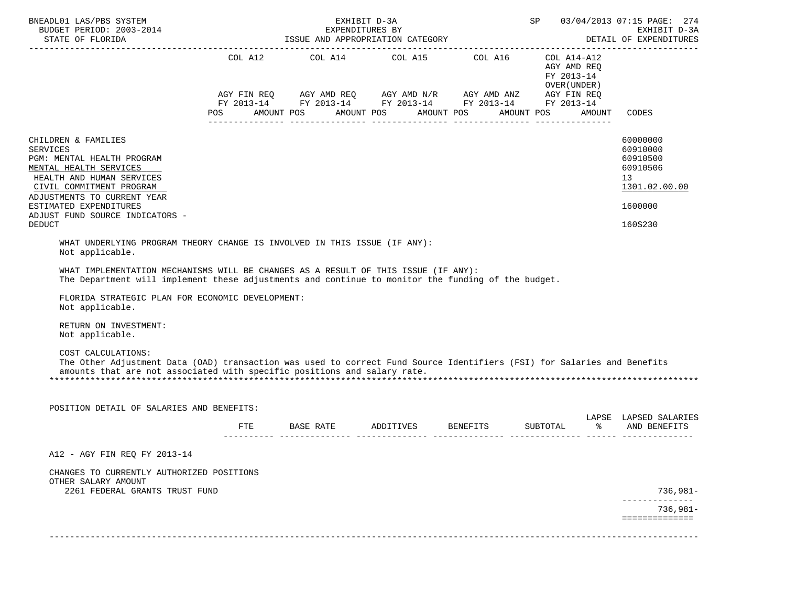| BNEADL01 LAS/PBS SYSTEM<br>BUDGET PERIOD: 2003-2014                                                                                                                                                                                                                                                                                                                                                                                                                                                                                                                                                                                                                                   |     | EXHIBIT D-3A<br>EXPENDITURES BY |                                                                                                                                                                                                                         |                                             | SP 03/04/2013 07:15 PAGE: 274<br>EXHIBIT D-3A<br>EXHIBIT D-3A<br>DETAIL OF EXPENDITURES |                                                                     |  |
|---------------------------------------------------------------------------------------------------------------------------------------------------------------------------------------------------------------------------------------------------------------------------------------------------------------------------------------------------------------------------------------------------------------------------------------------------------------------------------------------------------------------------------------------------------------------------------------------------------------------------------------------------------------------------------------|-----|---------------------------------|-------------------------------------------------------------------------------------------------------------------------------------------------------------------------------------------------------------------------|---------------------------------------------|-----------------------------------------------------------------------------------------|---------------------------------------------------------------------|--|
|                                                                                                                                                                                                                                                                                                                                                                                                                                                                                                                                                                                                                                                                                       |     |                                 | COL A12 COL A14 COL A15 COL A16 COL A14-A12<br>AGY FIN REQ AGY AMD REQ AGY AMD N/R AGY AMD ANZ AGY FIN REQ<br>FY 2013-14 FY 2013-14 FY 2013-14 FY 2013-14 FY 2013-14<br>POS AMOUNT POS AMOUNT POS AMOUNT POS AMOUNT POS | AGY AMD REQ<br>FY 2013-14<br>OVER ( UNDER ) | AMOUNT                                                                                  | CODES                                                               |  |
|                                                                                                                                                                                                                                                                                                                                                                                                                                                                                                                                                                                                                                                                                       |     |                                 |                                                                                                                                                                                                                         |                                             |                                                                                         |                                                                     |  |
| CHILDREN & FAMILIES<br><b>SERVICES</b><br>PGM: MENTAL HEALTH PROGRAM<br>MENTAL HEALTH SERVICES<br>HEALTH AND HUMAN SERVICES<br>CIVIL COMMITMENT PROGRAM<br>ADJUSTMENTS TO CURRENT YEAR                                                                                                                                                                                                                                                                                                                                                                                                                                                                                                |     |                                 |                                                                                                                                                                                                                         |                                             |                                                                                         | 60000000<br>60910000<br>60910500<br>60910506<br>13<br>1301.02.00.00 |  |
| ESTIMATED EXPENDITURES<br>ADJUST FUND SOURCE INDICATORS -                                                                                                                                                                                                                                                                                                                                                                                                                                                                                                                                                                                                                             |     |                                 |                                                                                                                                                                                                                         |                                             |                                                                                         | 1600000                                                             |  |
| <b>DEDUCT</b>                                                                                                                                                                                                                                                                                                                                                                                                                                                                                                                                                                                                                                                                         |     |                                 |                                                                                                                                                                                                                         |                                             |                                                                                         | 160S230                                                             |  |
| WHAT UNDERLYING PROGRAM THEORY CHANGE IS INVOLVED IN THIS ISSUE (IF ANY):<br>Not applicable.<br>WHAT IMPLEMENTATION MECHANISMS WILL BE CHANGES AS A RESULT OF THIS ISSUE (IF ANY):<br>The Department will implement these adjustments and continue to monitor the funding of the budget.<br>FLORIDA STRATEGIC PLAN FOR ECONOMIC DEVELOPMENT:<br>Not applicable.<br>RETURN ON INVESTMENT:<br>Not applicable.<br>COST CALCULATIONS:<br>The Other Adjustment Data (OAD) transaction was used to correct Fund Source Identifiers (FSI) for Salaries and Benefits<br>amounts that are not associated with specific positions and salary rate.<br>POSITION DETAIL OF SALARIES AND BENEFITS: |     |                                 |                                                                                                                                                                                                                         |                                             |                                                                                         |                                                                     |  |
|                                                                                                                                                                                                                                                                                                                                                                                                                                                                                                                                                                                                                                                                                       | FTE |                                 | BASE RATE ADDITIVES BENEFITS SUBTOTAL $\text{\$}$ and BENEFITS                                                                                                                                                          |                                             |                                                                                         | LAPSE LAPSED SALARIES                                               |  |
| A12 - AGY FIN REQ FY 2013-14<br>CHANGES TO CURRENTLY AUTHORIZED POSITIONS<br>OTHER SALARY AMOUNT<br>2261 FEDERAL GRANTS TRUST FUND                                                                                                                                                                                                                                                                                                                                                                                                                                                                                                                                                    |     |                                 |                                                                                                                                                                                                                         |                                             |                                                                                         | $736,981-$<br>$736.981 -$<br>==============                         |  |
|                                                                                                                                                                                                                                                                                                                                                                                                                                                                                                                                                                                                                                                                                       |     |                                 |                                                                                                                                                                                                                         |                                             |                                                                                         |                                                                     |  |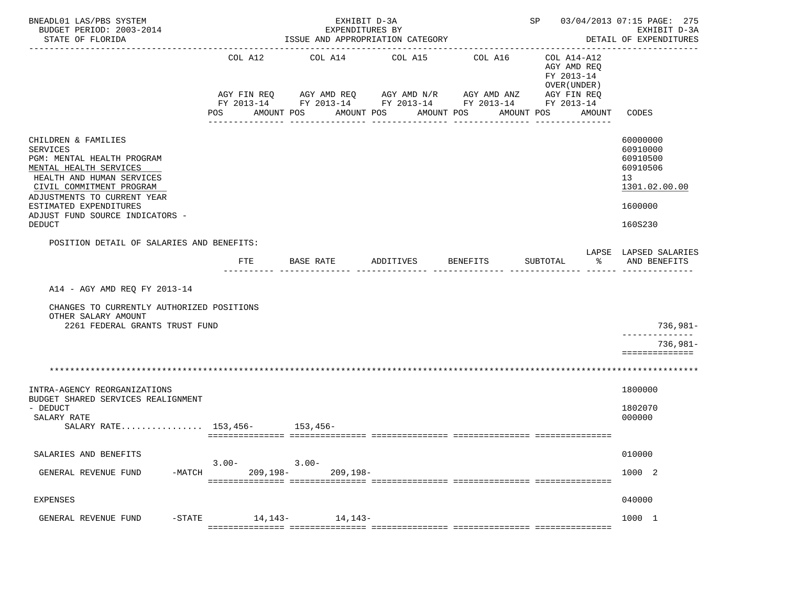| BNEADL01 LAS/PBS SYSTEM<br>BUDGET PERIOD: 2003-2014<br>STATE OF FLORIDA                                                                                                                                                                                              |                               | EXHIBIT D-3A<br>EXPENDITURES BY<br>ISSUE AND APPROPRIATION CATEGORY<br>---------------- | SP 03/04/2013 07:15 PAGE: 275                                                                   | EXHIBIT D-3A<br>DETAIL OF EXPENDITURES              |                                                                                                      |                                                                                           |
|----------------------------------------------------------------------------------------------------------------------------------------------------------------------------------------------------------------------------------------------------------------------|-------------------------------|-----------------------------------------------------------------------------------------|-------------------------------------------------------------------------------------------------|-----------------------------------------------------|------------------------------------------------------------------------------------------------------|-------------------------------------------------------------------------------------------|
|                                                                                                                                                                                                                                                                      | COL A12<br>AGY FIN REQ<br>POS | COL A14<br>AGY AMD REQ AGY AMD N/R<br>AMOUNT POS<br>AMOUNT POS<br>-----------           | COL A15<br>FY 2013-14 FY 2013-14 FY 2013-14 FY 2013-14 FY 2013-14<br>AMOUNT POS<br>------------ | COL A16<br>AGY AMD ANZ<br>AMOUNT POS<br>----------- | COL A14-A12<br>AGY AMD REQ<br>FY 2013-14<br>OVER (UNDER)<br>AGY FIN REQ<br>AMOUNT<br>--------------- | CODES                                                                                     |
| CHILDREN & FAMILIES<br><b>SERVICES</b><br>PGM: MENTAL HEALTH PROGRAM<br>MENTAL HEALTH SERVICES<br>HEALTH AND HUMAN SERVICES<br>CIVIL COMMITMENT PROGRAM<br>ADJUSTMENTS TO CURRENT YEAR<br>ESTIMATED EXPENDITURES<br>ADJUST FUND SOURCE INDICATORS -<br><b>DEDUCT</b> |                               |                                                                                         |                                                                                                 |                                                     |                                                                                                      | 60000000<br>60910000<br>60910500<br>60910506<br>13<br>1301.02.00.00<br>1600000<br>160S230 |
| POSITION DETAIL OF SALARIES AND BENEFITS:                                                                                                                                                                                                                            |                               |                                                                                         |                                                                                                 |                                                     |                                                                                                      | LAPSE LAPSED SALARIES                                                                     |
|                                                                                                                                                                                                                                                                      | <b>FTE</b>                    | BASE RATE                                                                               | ADDITIVES                                                                                       | BENEFITS                                            | SUBTOTAL<br>⊱                                                                                        | AND BENEFITS                                                                              |
| A14 - AGY AMD REQ FY 2013-14<br>CHANGES TO CURRENTLY AUTHORIZED POSITIONS<br>OTHER SALARY AMOUNT<br>2261 FEDERAL GRANTS TRUST FUND                                                                                                                                   |                               |                                                                                         |                                                                                                 |                                                     |                                                                                                      | 736,981-<br>______________                                                                |
|                                                                                                                                                                                                                                                                      |                               |                                                                                         |                                                                                                 |                                                     |                                                                                                      | $736,981-$<br>==============                                                              |
|                                                                                                                                                                                                                                                                      |                               |                                                                                         |                                                                                                 |                                                     |                                                                                                      |                                                                                           |
| INTRA-AGENCY REORGANIZATIONS<br>BUDGET SHARED SERVICES REALIGNMENT                                                                                                                                                                                                   |                               |                                                                                         |                                                                                                 |                                                     |                                                                                                      | 1800000                                                                                   |
| - DEDUCT<br>SALARY RATE<br>SALARY RATE 153,456- 153,456-                                                                                                                                                                                                             |                               |                                                                                         |                                                                                                 |                                                     |                                                                                                      | 1802070<br>000000                                                                         |
| SALARIES AND BENEFITS                                                                                                                                                                                                                                                |                               |                                                                                         |                                                                                                 |                                                     |                                                                                                      | 010000                                                                                    |
| $-MATCH$<br>GENERAL REVENUE FUND                                                                                                                                                                                                                                     | $3.00 -$<br>$209, 198 -$      | $3.00 -$<br>$209, 198 -$                                                                |                                                                                                 |                                                     |                                                                                                      | 1000 2                                                                                    |
| <b>EXPENSES</b>                                                                                                                                                                                                                                                      |                               |                                                                                         |                                                                                                 |                                                     |                                                                                                      | 040000                                                                                    |
| GENERAL REVENUE FUND<br>$-STATE$                                                                                                                                                                                                                                     | 14,143-                       | 14,143-                                                                                 |                                                                                                 |                                                     |                                                                                                      | 1000 1                                                                                    |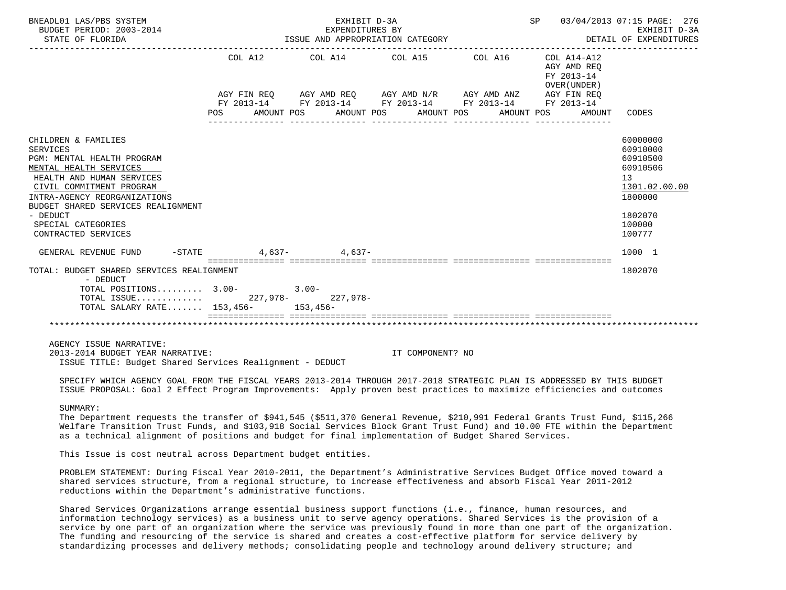| BNEADL01 LAS/PBS SYSTEM<br>BUDGET PERIOD: 2003-2014                                                                                                                                                                                                                                                                                                                                                                                                                                                                                                                                                           | SP 03/04/2013 07:15 PAGE: 276 | EXHIBIT D-3A<br>DETAIL OF EXPENDITURES |                                                                                                                                                                      |                                            |                      |                                                                                                               |
|---------------------------------------------------------------------------------------------------------------------------------------------------------------------------------------------------------------------------------------------------------------------------------------------------------------------------------------------------------------------------------------------------------------------------------------------------------------------------------------------------------------------------------------------------------------------------------------------------------------|-------------------------------|----------------------------------------|----------------------------------------------------------------------------------------------------------------------------------------------------------------------|--------------------------------------------|----------------------|---------------------------------------------------------------------------------------------------------------|
|                                                                                                                                                                                                                                                                                                                                                                                                                                                                                                                                                                                                               |                               |                                        | COL A12 COL A14 COL A15 COL A16 COL A14-A12<br>AGY FIN REQ AGY AMD REQ AGY AMD N/R AGY AMD ANZ AGY FIN REQ<br>FY 2013-14 FY 2013-14 FY 2013-14 FY 2013-14 FY 2013-14 | AGY AMD REQ<br>FY 2013-14<br>OVER (UNDER ) |                      |                                                                                                               |
|                                                                                                                                                                                                                                                                                                                                                                                                                                                                                                                                                                                                               | AMOUNT POS<br>POS             |                                        | AMOUNT POS AMOUNT POS                                                                                                                                                |                                            | AMOUNT POS<br>AMOUNT | CODES                                                                                                         |
| CHILDREN & FAMILIES<br><b>SERVICES</b><br>PGM: MENTAL HEALTH PROGRAM<br>MENTAL HEALTH SERVICES<br>HEALTH AND HUMAN SERVICES<br>CIVIL COMMITMENT PROGRAM<br>INTRA-AGENCY REORGANIZATIONS<br>BUDGET SHARED SERVICES REALIGNMENT<br>- DEDUCT<br>SPECIAL CATEGORIES<br>CONTRACTED SERVICES                                                                                                                                                                                                                                                                                                                        |                               |                                        |                                                                                                                                                                      |                                            |                      | 60000000<br>60910000<br>60910500<br>60910506<br>13<br>1301.02.00.00<br>1800000<br>1802070<br>100000<br>100777 |
| GENERAL REVENUE FUND $-$ STATE $4,637 4,637-$                                                                                                                                                                                                                                                                                                                                                                                                                                                                                                                                                                 |                               |                                        |                                                                                                                                                                      |                                            |                      | 1000 1                                                                                                        |
| TOTAL: BUDGET SHARED SERVICES REALIGNMENT<br>- DEDUCT<br>TOTAL POSITIONS $3.00-3.00-$<br>TOTAL ISSUE 227,978- 227,978-<br>TOTAL SALARY RATE 153,456- 153,456-                                                                                                                                                                                                                                                                                                                                                                                                                                                 |                               |                                        |                                                                                                                                                                      |                                            |                      | 1802070                                                                                                       |
|                                                                                                                                                                                                                                                                                                                                                                                                                                                                                                                                                                                                               |                               |                                        |                                                                                                                                                                      |                                            |                      |                                                                                                               |
| AGENCY ISSUE NARRATIVE:<br>2013-2014 BUDGET YEAR NARRATIVE:<br>ISSUE TITLE: Budget Shared Services Realignment - DEDUCT                                                                                                                                                                                                                                                                                                                                                                                                                                                                                       |                               |                                        | IT COMPONENT? NO                                                                                                                                                     |                                            |                      |                                                                                                               |
| SPECIFY WHICH AGENCY GOAL FROM THE FISCAL YEARS 2013-2014 THROUGH 2017-2018 STRATEGIC PLAN IS ADDRESSED BY THIS BUDGET<br>ISSUE PROPOSAL: Goal 2 Effect Program Improvements: Apply proven best practices to maximize efficiencies and outcomes                                                                                                                                                                                                                                                                                                                                                               |                               |                                        |                                                                                                                                                                      |                                            |                      |                                                                                                               |
| SUMMARY:<br>The Department requests the transfer of \$941,545 (\$511,370 General Revenue, \$210,991 Federal Grants Trust Fund, \$115,266<br>Welfare Transition Trust Funds, and \$103,918 Social Services Block Grant Trust Fund) and 10.00 FTE within the Department<br>as a technical alignment of positions and budget for final implementation of Budget Shared Services.                                                                                                                                                                                                                                 |                               |                                        |                                                                                                                                                                      |                                            |                      |                                                                                                               |
| This Issue is cost neutral across Department budget entities.                                                                                                                                                                                                                                                                                                                                                                                                                                                                                                                                                 |                               |                                        |                                                                                                                                                                      |                                            |                      |                                                                                                               |
| PROBLEM STATEMENT: During Fiscal Year 2010-2011, the Department's Administrative Services Budget Office moved toward a<br>shared services structure, from a regional structure, to increase effectiveness and absorb Fiscal Year 2011-2012<br>reductions within the Department's administrative functions.                                                                                                                                                                                                                                                                                                    |                               |                                        |                                                                                                                                                                      |                                            |                      |                                                                                                               |
| Shared Services Organizations arrange essential business support functions (i.e., finance, human resources, and<br>information technology services) as a business unit to serve agency operations. Shared Services is the provision of a<br>service by one part of an organization where the service was previously found in more than one part of the organization.<br>The funding and resourcing of the service is shared and creates a cost-effective platform for service delivery by<br>standardizing processes and delivery methods; consolidating people and technology around delivery structure; and |                               |                                        |                                                                                                                                                                      |                                            |                      |                                                                                                               |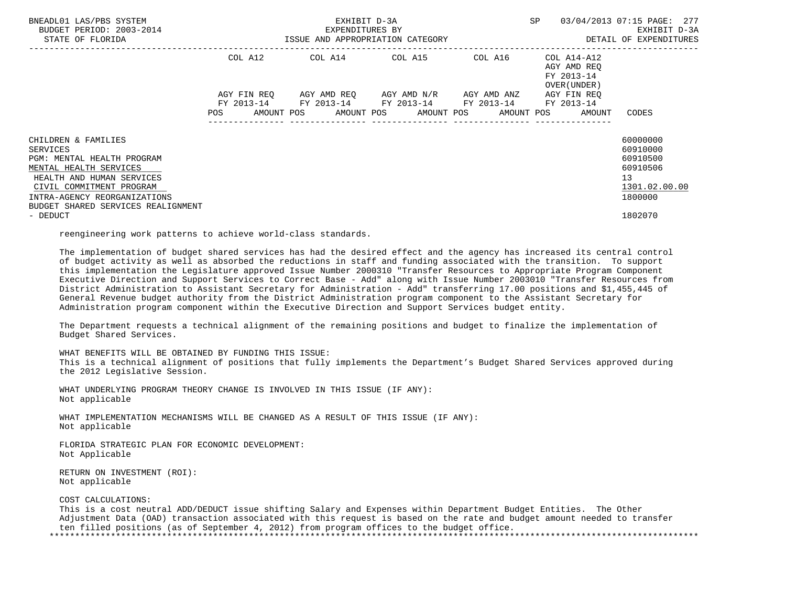| BNEADL01 LAS/PBS SYSTEM<br>BUDGET PERIOD: 2003-2014<br>STATE OF FLORIDA                        |                                                                                                                | EXHIBIT D-3A<br>EXPENDITURES BY<br>ISSUE AND APPROPRIATION CATEGORY                                       | SP | 03/04/2013 07:15 PAGE: 277<br>EXHIBIT D-3A<br>DETAIL OF EXPENDITURES |                          |
|------------------------------------------------------------------------------------------------|----------------------------------------------------------------------------------------------------------------|-----------------------------------------------------------------------------------------------------------|----|----------------------------------------------------------------------|--------------------------|
|                                                                                                |                                                                                                                | COL A12 COL A14 COL A15 COL A16                                                                           |    | COL A14-A12<br>AGY AMD REO<br>FY 2013-14<br>OVER (UNDER )            |                          |
|                                                                                                |                                                                                                                | AGY FIN REQ 6GY AMD REQ 6GY AMD N/R 6GY AMD ANZ<br>FY 2013-14 FY 2013-14 FY 2013-14 FY 2013-14 FY 2013-14 |    | AGY FIN REO                                                          |                          |
|                                                                                                | POS FOR THE POST OF THE POST OF THE POST OF THE POST OF THE POST OF THE POST OF THE POST OF THE POST OF THE PO |                                                                                                           |    | AMOUNT POS AMOUNT POS AMOUNT POS AMOUNT POS AMOUNT                   | CODES                    |
| CHILDREN & FAMILIES                                                                            |                                                                                                                |                                                                                                           |    |                                                                      | 60000000                 |
| SERVICES                                                                                       |                                                                                                                |                                                                                                           |    |                                                                      | 60910000                 |
| PGM: MENTAL HEALTH PROGRAM                                                                     |                                                                                                                |                                                                                                           |    |                                                                      | 60910500<br>60910506     |
| MENTAL HEALTH SERVICES<br>HEALTH AND HUMAN SERVICES                                            |                                                                                                                |                                                                                                           |    |                                                                      | 13                       |
| CIVIL COMMITMENT PROGRAM<br>INTRA-AGENCY REORGANIZATIONS<br>BUDGET SHARED SERVICES REALIGNMENT |                                                                                                                |                                                                                                           |    |                                                                      | 1301.02.00.00<br>1800000 |
| - DEDUCT                                                                                       |                                                                                                                |                                                                                                           |    |                                                                      | 1802070                  |

reengineering work patterns to achieve world-class standards.

 The implementation of budget shared services has had the desired effect and the agency has increased its central control of budget activity as well as absorbed the reductions in staff and funding associated with the transition. To support this implementation the Legislature approved Issue Number 2000310 "Transfer Resources to Appropriate Program Component Executive Direction and Support Services to Correct Base - Add" along with Issue Number 2003010 "Transfer Resources from District Administration to Assistant Secretary for Administration - Add" transferring 17.00 positions and \$1,455,445 of General Revenue budget authority from the District Administration program component to the Assistant Secretary for Administration program component within the Executive Direction and Support Services budget entity.

 The Department requests a technical alignment of the remaining positions and budget to finalize the implementation of Budget Shared Services.

WHAT BENEFITS WILL BE OBTAINED BY FUNDING THIS ISSUE:

 This is a technical alignment of positions that fully implements the Department's Budget Shared Services approved during the 2012 Legislative Session.

 WHAT UNDERLYING PROGRAM THEORY CHANGE IS INVOLVED IN THIS ISSUE (IF ANY): Not applicable

 WHAT IMPLEMENTATION MECHANISMS WILL BE CHANGED AS A RESULT OF THIS ISSUE (IF ANY): Not applicable

 FLORIDA STRATEGIC PLAN FOR ECONOMIC DEVELOPMENT: Not Applicable

 RETURN ON INVESTMENT (ROI): Not applicable

## COST CALCULATIONS:

 This is a cost neutral ADD/DEDUCT issue shifting Salary and Expenses within Department Budget Entities. The Other Adjustment Data (OAD) transaction associated with this request is based on the rate and budget amount needed to transfer ten filled positions (as of September 4, 2012) from program offices to the budget office. \*\*\*\*\*\*\*\*\*\*\*\*\*\*\*\*\*\*\*\*\*\*\*\*\*\*\*\*\*\*\*\*\*\*\*\*\*\*\*\*\*\*\*\*\*\*\*\*\*\*\*\*\*\*\*\*\*\*\*\*\*\*\*\*\*\*\*\*\*\*\*\*\*\*\*\*\*\*\*\*\*\*\*\*\*\*\*\*\*\*\*\*\*\*\*\*\*\*\*\*\*\*\*\*\*\*\*\*\*\*\*\*\*\*\*\*\*\*\*\*\*\*\*\*\*\*\*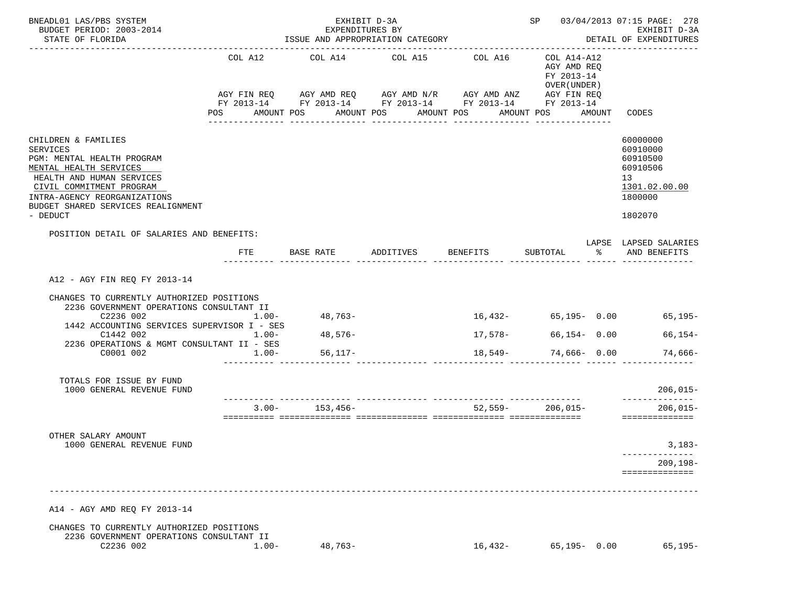| BNEADL01 LAS/PBS SYSTEM<br>BUDGET PERIOD: 2003-2014<br>STATE OF FLORIDA                                                                                                                                                                                                               |                                 | EXHIBIT D-3A<br>EXPENDITURES BY<br>ISSUE AND APPROPRIATION CATEGORY                                                                                            |                       | SP 03/04/2013 07:15 PAGE: 278<br>EXHIBIT D-3A<br>DETAIL OF EXPENDITURES |                                                                        |               |                                                                                           |
|---------------------------------------------------------------------------------------------------------------------------------------------------------------------------------------------------------------------------------------------------------------------------------------|---------------------------------|----------------------------------------------------------------------------------------------------------------------------------------------------------------|-----------------------|-------------------------------------------------------------------------|------------------------------------------------------------------------|---------------|-------------------------------------------------------------------------------------------|
|                                                                                                                                                                                                                                                                                       | COL A12<br><b>POS</b>           | COL A14 COL A15 COL A16<br>AGY FIN REQ AGY AMD REQ AGY AMD N/R AGY AMD ANZ AGY FIN REQ<br>FY 2013-14 FY 2013-14 FY 2013-14 FY 2013-14 FY 2013-14<br>AMOUNT POS | AMOUNT POS AMOUNT POS |                                                                         | COL A14-A12<br>AGY AMD REQ<br>FY 2013-14<br>OVER (UNDER)<br>AMOUNT POS | AMOUNT        | CODES                                                                                     |
| CHILDREN & FAMILIES<br><b>SERVICES</b><br>PGM: MENTAL HEALTH PROGRAM<br>MENTAL HEALTH SERVICES<br>HEALTH AND HUMAN SERVICES<br>CIVIL COMMITMENT PROGRAM<br>INTRA-AGENCY REORGANIZATIONS<br>BUDGET SHARED SERVICES REALIGNMENT<br>- DEDUCT                                             |                                 |                                                                                                                                                                |                       |                                                                         |                                                                        |               | 60000000<br>60910000<br>60910500<br>60910506<br>13<br>1301.02.00.00<br>1800000<br>1802070 |
| POSITION DETAIL OF SALARIES AND BENEFITS:                                                                                                                                                                                                                                             | FTE                             | BASE RATE ADDITIVES BENEFITS                                                                                                                                   |                       |                                                                         | SUBTOTAL                                                               | $\frac{1}{2}$ | LAPSE LAPSED SALARIES<br>AND BENEFITS                                                     |
| A12 - AGY FIN REQ FY 2013-14<br>CHANGES TO CURRENTLY AUTHORIZED POSITIONS<br>2236 GOVERNMENT OPERATIONS CONSULTANT II<br>C2236 002<br>1442 ACCOUNTING SERVICES SUPERVISOR I - SES<br>C1442 002<br>2236 OPERATIONS & MGMT CONSULTANT II - SES<br>C0001 002<br>TOTALS FOR ISSUE BY FUND | $1.00 -$<br>$1.00 -$<br>$1.00-$ | 48,763-<br>48,576-<br>56,117–                                                                                                                                  |                       | 17,578-                                                                 | $66, 154 - 0.00$<br>$18,549-74,666-0.00$                               |               | $16,432-$ 65,195- 0.00 65,195-<br>66,154-<br>74,666-                                      |
| 1000 GENERAL REVENUE FUND                                                                                                                                                                                                                                                             |                                 |                                                                                                                                                                |                       |                                                                         |                                                                        |               | $206,015-$<br>--------------                                                              |
|                                                                                                                                                                                                                                                                                       |                                 | $3.00 - 153,456 -$                                                                                                                                             |                       |                                                                         | $52.559 - 206.015 -$                                                   |               | $206,015-$<br>==============                                                              |
| OTHER SALARY AMOUNT<br>1000 GENERAL REVENUE FUND                                                                                                                                                                                                                                      |                                 |                                                                                                                                                                |                       |                                                                         |                                                                        |               | $3,183-$<br>$209, 198 -$<br>==============                                                |
| A14 - AGY AMD REO FY 2013-14                                                                                                                                                                                                                                                          |                                 |                                                                                                                                                                |                       |                                                                         |                                                                        |               |                                                                                           |
| CHANGES TO CURRENTLY AUTHORIZED POSITIONS<br>2236 GOVERNMENT OPERATIONS CONSULTANT II<br>C2236 002                                                                                                                                                                                    | $1.00-$                         | $48,763-$                                                                                                                                                      |                       | 16,432-                                                                 | $65, 195 - 0.00$                                                       |               | $65, 195 -$                                                                               |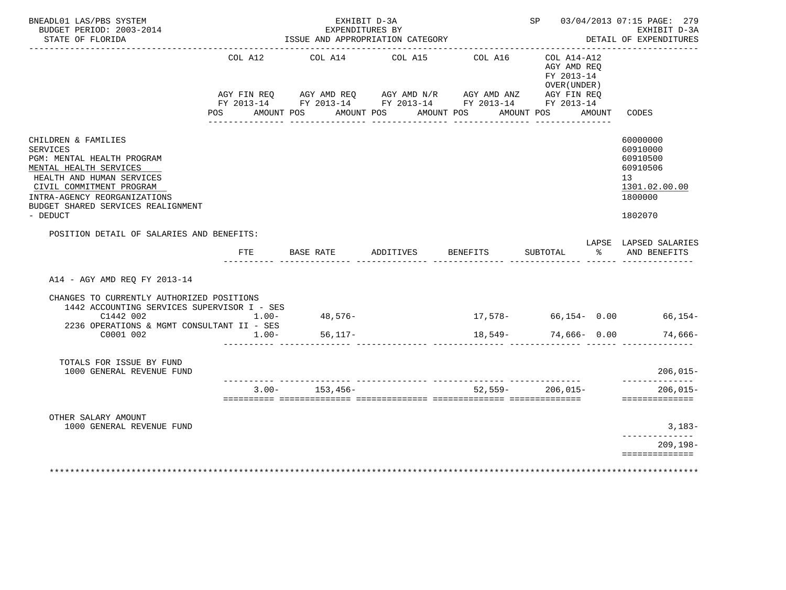| BNEADL01 LAS/PBS SYSTEM<br>BUDGET PERIOD: 2003-2014<br>STATE OF FLORIDA                                                                                                                                                                   |                             | EXHIBIT D-3A<br>EXPENDITURES BY<br>ISSUE AND APPROPRIATION CATEGORY |                                                                                |         | SP 03/04/2013 07:15 PAGE: 279<br>EXHIBIT D-3A<br>DETAIL OF EXPENDITURES |        |                                                                                           |
|-------------------------------------------------------------------------------------------------------------------------------------------------------------------------------------------------------------------------------------------|-----------------------------|---------------------------------------------------------------------|--------------------------------------------------------------------------------|---------|-------------------------------------------------------------------------|--------|-------------------------------------------------------------------------------------------|
|                                                                                                                                                                                                                                           | COL A12                     |                                                                     | COL A14 COL A15<br>AGY FIN REQ AGY AMD REQ AGY AMD N/R AGY AMD ANZ AGY FIN REQ | COL A16 | $COL A14- A12$<br>AGY AMD REO<br>FY 2013-14<br>OVER (UNDER )            |        |                                                                                           |
|                                                                                                                                                                                                                                           |                             |                                                                     | FY 2013-14 FY 2013-14 FY 2013-14 FY 2013-14 FY 2013-14                         |         |                                                                         |        |                                                                                           |
|                                                                                                                                                                                                                                           |                             |                                                                     | POS AMOUNT POS AMOUNT POS AMOUNT POS                                           |         | AMOUNT POS                                                              | AMOUNT | CODES                                                                                     |
| CHILDREN & FAMILIES<br><b>SERVICES</b><br>PGM: MENTAL HEALTH PROGRAM<br>MENTAL HEALTH SERVICES<br>HEALTH AND HUMAN SERVICES<br>CIVIL COMMITMENT PROGRAM<br>INTRA-AGENCY REORGANIZATIONS<br>BUDGET SHARED SERVICES REALIGNMENT<br>- DEDUCT |                             |                                                                     |                                                                                |         |                                                                         |        | 60000000<br>60910000<br>60910500<br>60910506<br>13<br>1301.02.00.00<br>1800000<br>1802070 |
| POSITION DETAIL OF SALARIES AND BENEFITS:                                                                                                                                                                                                 |                             |                                                                     |                                                                                |         |                                                                         |        | LAPSE LAPSED SALARIES                                                                     |
|                                                                                                                                                                                                                                           |                             |                                                                     | FTE BASE RATE ADDITIVES BENEFITS                                               |         | SUBTOTAL                                                                |        | % AND BENEFITS                                                                            |
| A14 - AGY AMD REQ FY 2013-14                                                                                                                                                                                                              |                             |                                                                     |                                                                                |         |                                                                         |        |                                                                                           |
| CHANGES TO CURRENTLY AUTHORIZED POSITIONS<br>1442 ACCOUNTING SERVICES SUPERVISOR I - SES<br>C1442 002                                                                                                                                     | $1.00 -$                    | 48,576-                                                             |                                                                                |         |                                                                         |        | $17,578-$ 66,154- 0.00 66,154-                                                            |
| 2236 OPERATIONS & MGMT CONSULTANT II - SES                                                                                                                                                                                                |                             |                                                                     |                                                                                |         |                                                                         |        |                                                                                           |
| C0001 002                                                                                                                                                                                                                                 | $1.00 -$                    | $56,117-$                                                           |                                                                                |         | 18,549- 74,666- 0.00                                                    |        | 74,666-                                                                                   |
| TOTALS FOR ISSUE BY FUND<br>1000 GENERAL REVENUE FUND                                                                                                                                                                                     |                             |                                                                     |                                                                                |         |                                                                         |        | $206,015-$<br>---------------                                                             |
|                                                                                                                                                                                                                                           |                             | $3.00 - 153.456 -$                                                  |                                                                                |         | $52.559 - 206.015 -$                                                    |        | $206.015 -$<br>==============                                                             |
|                                                                                                                                                                                                                                           |                             |                                                                     |                                                                                |         |                                                                         |        |                                                                                           |
| OTHER SALARY AMOUNT<br>1000 GENERAL REVENUE FUND                                                                                                                                                                                          |                             |                                                                     |                                                                                |         |                                                                         |        | $3,183-$                                                                                  |
|                                                                                                                                                                                                                                           |                             |                                                                     |                                                                                |         |                                                                         |        | ______________<br>209,198-                                                                |
| ************************                                                                                                                                                                                                                  | *************************** |                                                                     |                                                                                |         |                                                                         |        | ==============                                                                            |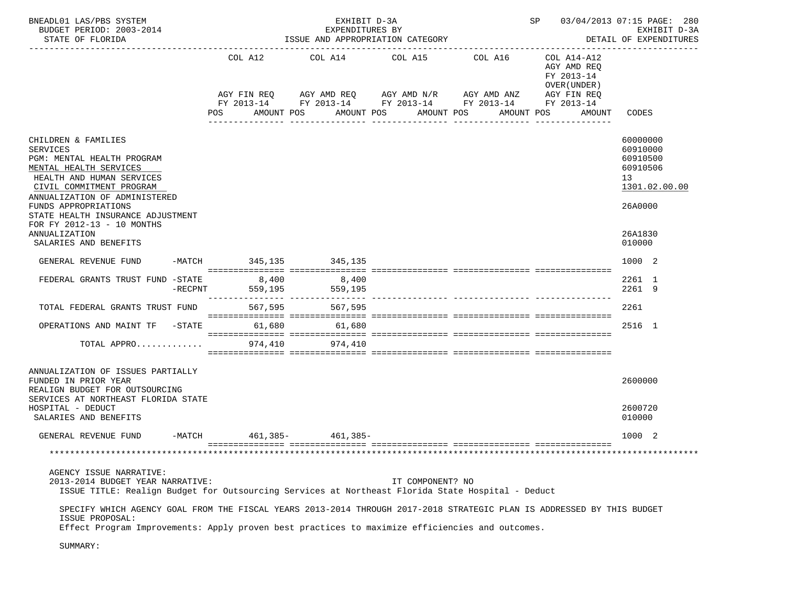|                                   |                                                                                                                                                                         | SP 03/04/2013 07:15 PAGE: 280<br>EXHIBIT D-3A<br>DETAIL OF EXPENDITURES                                                                                                  |                                                                     |                                                                                                                                                |                                                                                                                                                                                                                                                                                                                                                                                                                       |
|-----------------------------------|-------------------------------------------------------------------------------------------------------------------------------------------------------------------------|--------------------------------------------------------------------------------------------------------------------------------------------------------------------------|---------------------------------------------------------------------|------------------------------------------------------------------------------------------------------------------------------------------------|-----------------------------------------------------------------------------------------------------------------------------------------------------------------------------------------------------------------------------------------------------------------------------------------------------------------------------------------------------------------------------------------------------------------------|
| COL A12<br>AGY FIN REQ<br>POS.    |                                                                                                                                                                         |                                                                                                                                                                          |                                                                     | COL A14-A12<br>AGY AMD REQ<br>FY 2013-14<br>OVER (UNDER)<br>AMOUNT                                                                             | CODES                                                                                                                                                                                                                                                                                                                                                                                                                 |
|                                   |                                                                                                                                                                         |                                                                                                                                                                          |                                                                     |                                                                                                                                                | 60000000<br>60910000<br>60910500<br>60910506<br>13<br>1301.02.00.00<br>26A0000<br>26A1830<br>010000                                                                                                                                                                                                                                                                                                                   |
|                                   | 345,135                                                                                                                                                                 |                                                                                                                                                                          |                                                                     |                                                                                                                                                | 1000 2                                                                                                                                                                                                                                                                                                                                                                                                                |
|                                   | 559,195                                                                                                                                                                 |                                                                                                                                                                          |                                                                     |                                                                                                                                                | 2261 1<br>2261 9                                                                                                                                                                                                                                                                                                                                                                                                      |
|                                   | 567,595                                                                                                                                                                 |                                                                                                                                                                          |                                                                     |                                                                                                                                                | 2261                                                                                                                                                                                                                                                                                                                                                                                                                  |
|                                   | 61,680                                                                                                                                                                  |                                                                                                                                                                          |                                                                     |                                                                                                                                                | 2516 1                                                                                                                                                                                                                                                                                                                                                                                                                |
|                                   | 974,410                                                                                                                                                                 |                                                                                                                                                                          |                                                                     |                                                                                                                                                |                                                                                                                                                                                                                                                                                                                                                                                                                       |
|                                   |                                                                                                                                                                         |                                                                                                                                                                          |                                                                     |                                                                                                                                                | 2600000<br>2600720<br>010000                                                                                                                                                                                                                                                                                                                                                                                          |
|                                   |                                                                                                                                                                         |                                                                                                                                                                          |                                                                     |                                                                                                                                                | 1000 2                                                                                                                                                                                                                                                                                                                                                                                                                |
|                                   |                                                                                                                                                                         |                                                                                                                                                                          |                                                                     |                                                                                                                                                |                                                                                                                                                                                                                                                                                                                                                                                                                       |
|                                   |                                                                                                                                                                         |                                                                                                                                                                          |                                                                     |                                                                                                                                                |                                                                                                                                                                                                                                                                                                                                                                                                                       |
| ANNUALIZATION OF ISSUES PARTIALLY | FEDERAL GRANTS TRUST FUND -STATE<br>$-RECPNT$<br>TOTAL FEDERAL GRANTS TRUST FUND<br>SERVICES AT NORTHEAST FLORIDA STATE<br>$-MATCH$<br>2013-2014 BUDGET YEAR NARRATIVE: | AMOUNT POS<br>-MATCH 345,135<br>8,400 8,400<br>559,195<br>567,595<br>OPERATIONS AND MAINT TF -STATE 61,680<br>$\texttt{TOTAL}$ APPRO $\dots\dots\dots\dots\dots$ 974,410 | EXHIBIT D-3A<br>EXPENDITURES BY<br>AMOUNT POS<br>$461,385 461,385-$ | ISSUE AND APPROPRIATION CATEGORY<br>COL A14 COL A15 COL A16<br>AGY AMD REQ      AGY AMD N/R      AGY AMD ANZ<br>AMOUNT POS<br>IT COMPONENT? NO | AGY FIN REQ<br>FY 2013-14 FY 2013-14 FY 2013-14 FY 2013-14 FY 2013-14<br>AMOUNT POS<br>ISSUE TITLE: Realign Budget for Outsourcing Services at Northeast Florida State Hospital - Deduct<br>SPECIFY WHICH AGENCY GOAL FROM THE FISCAL YEARS 2013-2014 THROUGH 2017-2018 STRATEGIC PLAN IS ADDRESSED BY THIS BUDGET<br>Effect Program Improvements: Apply proven best practices to maximize efficiencies and outcomes. |

SUMMARY: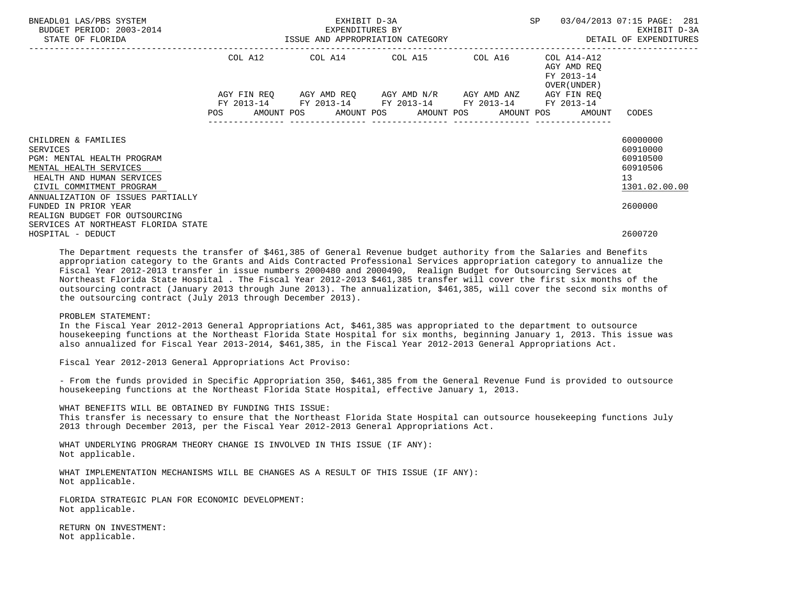| BNEADL01 LAS/PBS SYSTEM<br>BUDGET PERIOD: 2003-2014<br>STATE OF FLORIDA | EXHIBIT D-3A<br>EXPENDITURES BY |  |  |  |  |                                                        |  |                  |                                                              | SP 03/04/2013 07:15 PAGE: 281 |  |
|-------------------------------------------------------------------------|---------------------------------|--|--|--|--|--------------------------------------------------------|--|------------------|--------------------------------------------------------------|-------------------------------|--|
|                                                                         | COL A12 COL A14 COL A15 COL A16 |  |  |  |  |                                                        |  |                  |                                                              |                               |  |
|                                                                         |                                 |  |  |  |  | AGY FIN REO AGY AMD REO AGY AMD N/R AGY AMD ANZ        |  |                  | OVER (UNDER )<br>AGY FIN REO                                 |                               |  |
|                                                                         |                                 |  |  |  |  | FY 2013-14 FY 2013-14 FY 2013-14 FY 2013-14 FY 2013-14 |  | ---------------- | POS AMOUNT POS AMOUNT POS AMOUNT POS AMOUNT POS AMOUNT CODES |                               |  |
| CHILDREN & FAMILIES                                                     |                                 |  |  |  |  |                                                        |  |                  |                                                              | 60000000                      |  |
| SERVICES<br>PGM: MENTAL HEALTH PROGRAM                                  |                                 |  |  |  |  |                                                        |  |                  |                                                              | 60910000<br>60910500          |  |
| MENTAL HEALTH SERVICES<br>HEALTH AND HUMAN SERVICES                     |                                 |  |  |  |  |                                                        |  |                  |                                                              | 60910506<br>13                |  |
| CIVIL COMMITMENT PROGRAM                                                |                                 |  |  |  |  |                                                        |  |                  |                                                              | 1301.02.00.00                 |  |
| ANNUALIZATION OF ISSUES PARTIALLY<br>FUNDED IN PRIOR YEAR               |                                 |  |  |  |  |                                                        |  |                  |                                                              | 2600000                       |  |
| REALIGN BUDGET FOR OUTSOURCING<br>SERVICES AT NORTHEAST FLORIDA STATE   |                                 |  |  |  |  |                                                        |  |                  |                                                              |                               |  |
| HOSPITAL - DEDUCT                                                       |                                 |  |  |  |  |                                                        |  |                  |                                                              | 2600720                       |  |

 The Department requests the transfer of \$461,385 of General Revenue budget authority from the Salaries and Benefits appropriation category to the Grants and Aids Contracted Professional Services appropriation category to annualize the Fiscal Year 2012-2013 transfer in issue numbers 2000480 and 2000490, Realign Budget for Outsourcing Services at Northeast Florida State Hospital . The Fiscal Year 2012-2013 \$461,385 transfer will cover the first six months of the outsourcing contract (January 2013 through June 2013). The annualization, \$461,385, will cover the second six months of the outsourcing contract (July 2013 through December 2013).

### PROBLEM STATEMENT:

 In the Fiscal Year 2012-2013 General Appropriations Act, \$461,385 was appropriated to the department to outsource housekeeping functions at the Northeast Florida State Hospital for six months, beginning January 1, 2013. This issue was also annualized for Fiscal Year 2013-2014, \$461,385, in the Fiscal Year 2012-2013 General Appropriations Act.

Fiscal Year 2012-2013 General Appropriations Act Proviso:

 - From the funds provided in Specific Appropriation 350, \$461,385 from the General Revenue Fund is provided to outsource housekeeping functions at the Northeast Florida State Hospital, effective January 1, 2013.

 WHAT BENEFITS WILL BE OBTAINED BY FUNDING THIS ISSUE: This transfer is necessary to ensure that the Northeast Florida State Hospital can outsource housekeeping functions July 2013 through December 2013, per the Fiscal Year 2012-2013 General Appropriations Act.

 WHAT UNDERLYING PROGRAM THEORY CHANGE IS INVOLVED IN THIS ISSUE (IF ANY): Not applicable.

 WHAT IMPLEMENTATION MECHANISMS WILL BE CHANGES AS A RESULT OF THIS ISSUE (IF ANY): Not applicable.

 FLORIDA STRATEGIC PLAN FOR ECONOMIC DEVELOPMENT: Not applicable.

 RETURN ON INVESTMENT: Not applicable.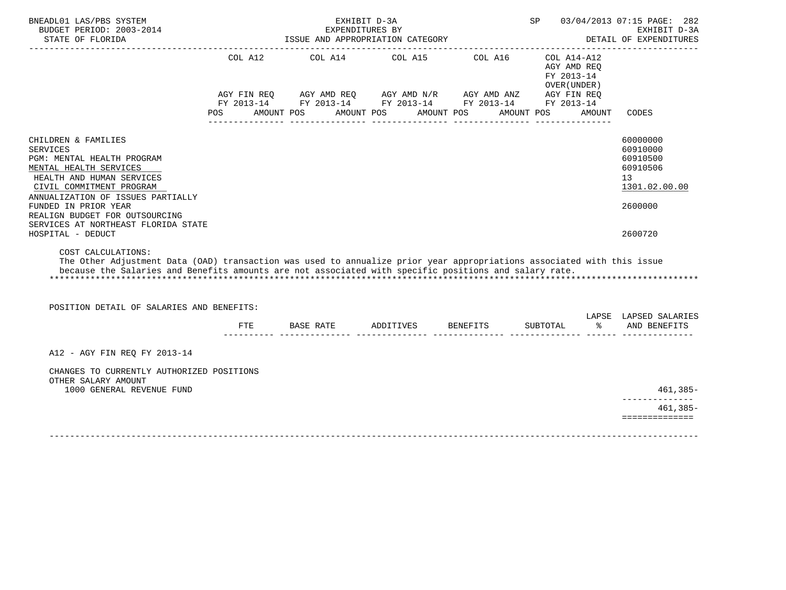| BNEADL01 LAS/PBS SYSTEM<br>BUDGET PERIOD: 2003-2014<br>STATE OF FLORIDA                                                                                                                                                                               |                | EXPENDITURES BY<br>ISSUE AND APPROPRIATION CATEGORY                                                                                 | EXHIBIT D-3A                                    |                       |                                                                           |        | SP 03/04/2013 07:15 PAGE: 282<br>EXHIBIT D-3A<br>DETAIL OF EXPENDITURES        |
|-------------------------------------------------------------------------------------------------------------------------------------------------------------------------------------------------------------------------------------------------------|----------------|-------------------------------------------------------------------------------------------------------------------------------------|-------------------------------------------------|-----------------------|---------------------------------------------------------------------------|--------|--------------------------------------------------------------------------------|
|                                                                                                                                                                                                                                                       |                | ----------------------------------                                                                                                  | ______________________________________          |                       |                                                                           |        |                                                                                |
|                                                                                                                                                                                                                                                       | COL A12<br>POS | AGY FIN REQ AGY AMD REQ AGY AMD N/R AGY AMD ANZ AGY FIN REQ<br>FY 2013-14 FY 2013-14 FY 2013-14 FY 2013-14 FY 2013-14<br>AMOUNT POS | COL A14 COL A15<br>AMOUNT POS<br>-------------- | COL A16<br>AMOUNT POS | $COL A14- A12$<br>AGY AMD REO<br>FY 2013-14<br>OVER (UNDER)<br>AMOUNT POS | AMOUNT | CODES                                                                          |
|                                                                                                                                                                                                                                                       |                |                                                                                                                                     |                                                 |                       |                                                                           |        |                                                                                |
| CHILDREN & FAMILIES<br><b>SERVICES</b><br>PGM: MENTAL HEALTH PROGRAM<br>MENTAL HEALTH SERVICES<br>HEALTH AND HUMAN SERVICES<br>CIVIL COMMITMENT PROGRAM<br>ANNUALIZATION OF ISSUES PARTIALLY<br>FUNDED IN PRIOR YEAR                                  |                |                                                                                                                                     |                                                 |                       |                                                                           |        | 60000000<br>60910000<br>60910500<br>60910506<br>13<br>1301.02.00.00<br>2600000 |
| REALIGN BUDGET FOR OUTSOURCING<br>SERVICES AT NORTHEAST FLORIDA STATE<br>HOSPITAL - DEDUCT                                                                                                                                                            |                |                                                                                                                                     |                                                 |                       |                                                                           |        | 2600720                                                                        |
| COST CALCULATIONS:<br>The Other Adjustment Data (OAD) transaction was used to annualize prior year appropriations associated with this issue<br>because the Salaries and Benefits amounts are not associated with specific positions and salary rate. |                |                                                                                                                                     |                                                 |                       |                                                                           |        |                                                                                |
| POSITION DETAIL OF SALARIES AND BENEFITS:                                                                                                                                                                                                             |                |                                                                                                                                     |                                                 |                       |                                                                           |        |                                                                                |
|                                                                                                                                                                                                                                                       |                | FTE BASE RATE                                                                                                                       | ADDITIVES BENEFITS                              |                       | SUBTOTAL                                                                  | ႜႜႜ    | LAPSE LAPSED SALARIES<br>AND BENEFITS                                          |
| A12 - AGY FIN REO FY 2013-14                                                                                                                                                                                                                          |                |                                                                                                                                     |                                                 |                       |                                                                           |        |                                                                                |
| CHANGES TO CURRENTLY AUTHORIZED POSITIONS<br>OTHER SALARY AMOUNT                                                                                                                                                                                      |                |                                                                                                                                     |                                                 |                       |                                                                           |        |                                                                                |
| 1000 GENERAL REVENUE FUND                                                                                                                                                                                                                             |                |                                                                                                                                     |                                                 |                       |                                                                           |        | 461,385-                                                                       |
|                                                                                                                                                                                                                                                       |                |                                                                                                                                     |                                                 |                       |                                                                           |        | $461,385-$<br>==============                                                   |
|                                                                                                                                                                                                                                                       |                |                                                                                                                                     |                                                 |                       |                                                                           |        |                                                                                |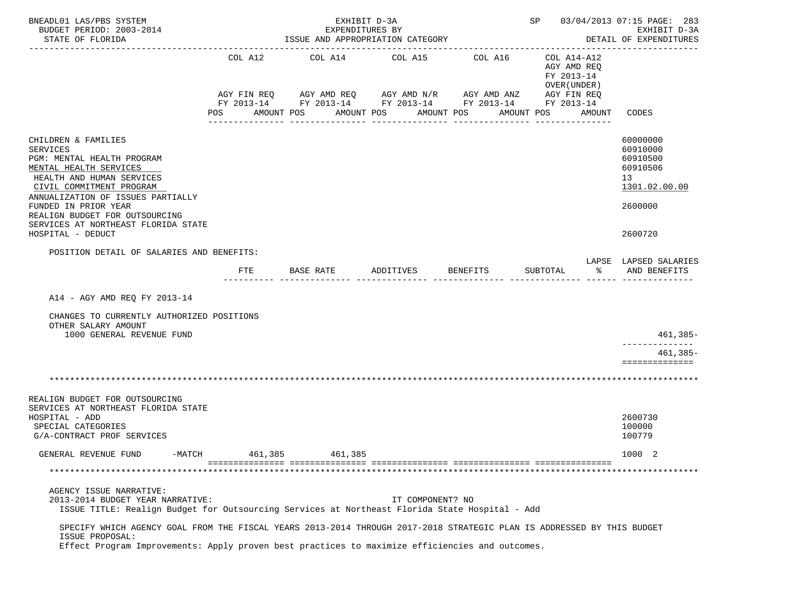| BNEADL01 LAS/PBS SYSTEM<br>BUDGET PERIOD: 2003-2014<br>STATE OF FLORIDA                                                                                                                                                                                                                       |            | EXHIBIT D-3A<br>EXPENDITURES BY<br>ISSUE AND APPROPRIATION CATEGORY | SP 03/04/2013 07:15 PAGE: 283<br>EXHIBIT D-3A<br>DETAIL OF EXPENDITURES |                                                                   |                                                                         |                                                                                |
|-----------------------------------------------------------------------------------------------------------------------------------------------------------------------------------------------------------------------------------------------------------------------------------------------|------------|---------------------------------------------------------------------|-------------------------------------------------------------------------|-------------------------------------------------------------------|-------------------------------------------------------------------------|--------------------------------------------------------------------------------|
|                                                                                                                                                                                                                                                                                               | COL A12    | COL A14<br>AGY FIN REQ 6 AGY AMD REQ 6 AGY AMD N/R 66 AGY AMD ANZ   | COL A15                                                                 | COL A16<br>FY 2013-14 FY 2013-14 FY 2013-14 FY 2013-14 FY 2013-14 | COL A14-A12<br>AGY AMD REQ<br>FY 2013-14<br>OVER (UNDER)<br>AGY FIN REQ |                                                                                |
|                                                                                                                                                                                                                                                                                               | POS        | AMOUNT POS<br>AMOUNT POS                                            | -----------                                                             | AMOUNT POS<br>------------                                        | AMOUNT POS<br>AMOUNT                                                    | CODES                                                                          |
| CHILDREN & FAMILIES<br><b>SERVICES</b><br>PGM: MENTAL HEALTH PROGRAM<br>MENTAL HEALTH SERVICES<br>HEALTH AND HUMAN SERVICES<br>CIVIL COMMITMENT PROGRAM<br>ANNUALIZATION OF ISSUES PARTIALLY<br>FUNDED IN PRIOR YEAR<br>REALIGN BUDGET FOR OUTSOURCING<br>SERVICES AT NORTHEAST FLORIDA STATE |            |                                                                     |                                                                         |                                                                   |                                                                         | 60000000<br>60910000<br>60910500<br>60910506<br>13<br>1301.02.00.00<br>2600000 |
| HOSPITAL - DEDUCT                                                                                                                                                                                                                                                                             |            |                                                                     |                                                                         |                                                                   |                                                                         | 2600720                                                                        |
| POSITION DETAIL OF SALARIES AND BENEFITS:                                                                                                                                                                                                                                                     | <b>FTE</b> | BASE RATE                                                           | ADDITIVES                                                               | BENEFITS                                                          | ႜ<br>SUBTOTAL                                                           | LAPSE LAPSED SALARIES<br>AND BENEFITS                                          |
| A14 - AGY AMD REQ FY 2013-14<br>CHANGES TO CURRENTLY AUTHORIZED POSITIONS<br>OTHER SALARY AMOUNT<br>1000 GENERAL REVENUE FUND                                                                                                                                                                 |            |                                                                     |                                                                         |                                                                   |                                                                         | 461,385-                                                                       |
|                                                                                                                                                                                                                                                                                               |            |                                                                     |                                                                         |                                                                   |                                                                         | $461,385-$<br>==============                                                   |
|                                                                                                                                                                                                                                                                                               |            |                                                                     |                                                                         |                                                                   |                                                                         |                                                                                |
| REALIGN BUDGET FOR OUTSOURCING<br>SERVICES AT NORTHEAST FLORIDA STATE<br>HOSPITAL - ADD<br>SPECIAL CATEGORIES<br>G/A-CONTRACT PROF SERVICES                                                                                                                                                   |            |                                                                     |                                                                         |                                                                   |                                                                         | 2600730<br>100000<br>100779                                                    |
| GENERAL REVENUE FUND<br>-MATCH                                                                                                                                                                                                                                                                | 461,385    | 461,385                                                             |                                                                         |                                                                   |                                                                         | 1000 2                                                                         |
|                                                                                                                                                                                                                                                                                               |            |                                                                     |                                                                         |                                                                   |                                                                         |                                                                                |
| AGENCY ISSUE NARRATIVE:<br>2013-2014 BUDGET YEAR NARRATIVE:<br>ISSUE TITLE: Realign Budget for Outsourcing Services at Northeast Florida State Hospital - Add                                                                                                                                 |            |                                                                     | IT COMPONENT? NO                                                        |                                                                   |                                                                         |                                                                                |
| SPECIFY WHICH AGENCY GOAL FROM THE FISCAL YEARS 2013-2014 THROUGH 2017-2018 STRATEGIC PLAN IS ADDRESSED BY THIS BUDGET<br>ISSUE PROPOSAL:<br>Effect Program Improvements: Apply proven best practices to maximize efficiencies and outcomes.                                                  |            |                                                                     |                                                                         |                                                                   |                                                                         |                                                                                |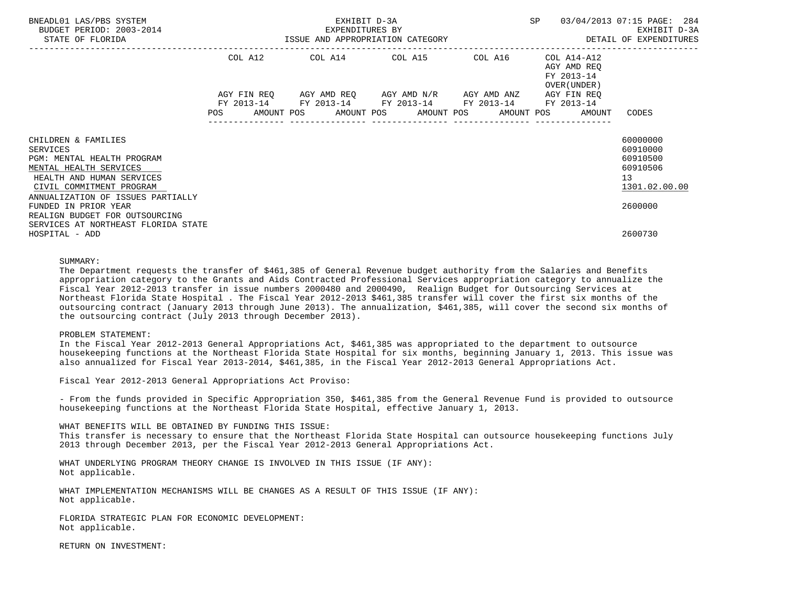| BNEADL01 LAS/PBS SYSTEM<br>BUDGET PERIOD: 2003-2014<br>STATE OF FLORIDA                                                                                                               | EXHIBIT D-3A<br>EXPENDITURES BY<br>ISSUE AND APPROPRIATION CATEGORY                                             | SP 03/04/2013 07:15 PAGE: 284 | EXHIBIT D-3A<br>DETAIL OF EXPENDITURES                                |                                                           |                                                                     |
|---------------------------------------------------------------------------------------------------------------------------------------------------------------------------------------|-----------------------------------------------------------------------------------------------------------------|-------------------------------|-----------------------------------------------------------------------|-----------------------------------------------------------|---------------------------------------------------------------------|
|                                                                                                                                                                                       | COL A12 COL A14 COL A15 COL A16                                                                                 |                               |                                                                       | COL A14-A12<br>AGY AMD REO<br>FY 2013-14<br>OVER (UNDER ) |                                                                     |
|                                                                                                                                                                                       | AGY FIN REQ 6 AGY AMD REQ 6 AGY AMD N/R 6 AGY AMD ANZ<br>FY 2013-14 FY 2013-14 FY 2013-14 FY 2013-14 FY 2013-14 |                               | AGY FIN REO<br>POS AMOUNT POS AMOUNT POS AMOUNT POS AMOUNT POS AMOUNT | CODES                                                     |                                                                     |
| CHILDREN & FAMILIES<br>SERVICES<br>PGM: MENTAL HEALTH PROGRAM<br>MENTAL HEALTH SERVICES<br>HEALTH AND HUMAN SERVICES<br>CIVIL COMMITMENT PROGRAM<br>ANNUALIZATION OF ISSUES PARTIALLY |                                                                                                                 |                               |                                                                       |                                                           | 60000000<br>60910000<br>60910500<br>60910506<br>13<br>1301.02.00.00 |
| FUNDED IN PRIOR YEAR<br>REALIGN BUDGET FOR OUTSOURCING<br>SERVICES AT NORTHEAST FLORIDA STATE<br>HOSPITAL - ADD                                                                       |                                                                                                                 |                               |                                                                       |                                                           | 2600000<br>2600730                                                  |

## SUMMARY:

 The Department requests the transfer of \$461,385 of General Revenue budget authority from the Salaries and Benefits appropriation category to the Grants and Aids Contracted Professional Services appropriation category to annualize the Fiscal Year 2012-2013 transfer in issue numbers 2000480 and 2000490, Realign Budget for Outsourcing Services at Northeast Florida State Hospital . The Fiscal Year 2012-2013 \$461,385 transfer will cover the first six months of the outsourcing contract (January 2013 through June 2013). The annualization, \$461,385, will cover the second six months of the outsourcing contract (July 2013 through December 2013).

#### PROBLEM STATEMENT:

 In the Fiscal Year 2012-2013 General Appropriations Act, \$461,385 was appropriated to the department to outsource housekeeping functions at the Northeast Florida State Hospital for six months, beginning January 1, 2013. This issue was also annualized for Fiscal Year 2013-2014, \$461,385, in the Fiscal Year 2012-2013 General Appropriations Act.

Fiscal Year 2012-2013 General Appropriations Act Proviso:

 - From the funds provided in Specific Appropriation 350, \$461,385 from the General Revenue Fund is provided to outsource housekeeping functions at the Northeast Florida State Hospital, effective January 1, 2013.

 WHAT BENEFITS WILL BE OBTAINED BY FUNDING THIS ISSUE: This transfer is necessary to ensure that the Northeast Florida State Hospital can outsource housekeeping functions July 2013 through December 2013, per the Fiscal Year 2012-2013 General Appropriations Act.

 WHAT UNDERLYING PROGRAM THEORY CHANGE IS INVOLVED IN THIS ISSUE (IF ANY): Not applicable.

 WHAT IMPLEMENTATION MECHANISMS WILL BE CHANGES AS A RESULT OF THIS ISSUE (IF ANY): Not applicable.

 FLORIDA STRATEGIC PLAN FOR ECONOMIC DEVELOPMENT: Not applicable.

RETURN ON INVESTMENT: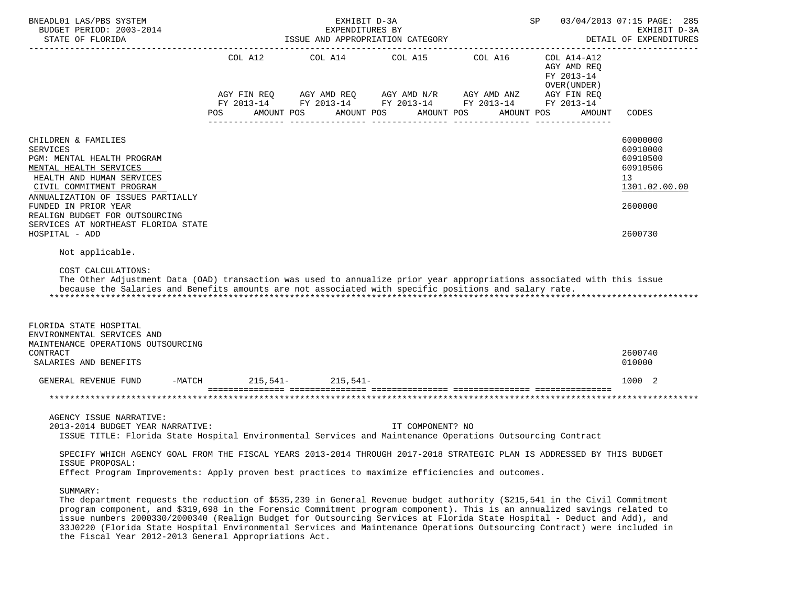| BNEADL01 LAS/PBS SYSTEM<br>BUDGET PERIOD: 2003-2014<br>STATE OF FLORIDA                                                                                                                                                                                                                                                                                                                                                                                                                                                                                                                     |                            | EXHIBIT D-3A<br>EXPENDITURES BY<br>ISSUE AND APPROPRIATION CATEGORY | SP<br>03/04/2013 07:15 PAGE: 285<br>EXHIBIT D-3A<br>DETAIL OF EXPENDITURES |                                                                                                                                                         |                                                          |                                                                                           |  |
|---------------------------------------------------------------------------------------------------------------------------------------------------------------------------------------------------------------------------------------------------------------------------------------------------------------------------------------------------------------------------------------------------------------------------------------------------------------------------------------------------------------------------------------------------------------------------------------------|----------------------------|---------------------------------------------------------------------|----------------------------------------------------------------------------|---------------------------------------------------------------------------------------------------------------------------------------------------------|----------------------------------------------------------|-------------------------------------------------------------------------------------------|--|
|                                                                                                                                                                                                                                                                                                                                                                                                                                                                                                                                                                                             | AGY FIN REQ                |                                                                     |                                                                            | COL A12 COL A14 COL A15 COL A16 COL A14-A12<br>AGY AMD REQ       AGY AMD N/R      AGY AMD ANZ<br>FY 2013-14 FY 2013-14 FY 2013-14 FY 2013-14 FY 2013-14 | AGY AMD REQ<br>FY 2013-14<br>OVER (UNDER)<br>AGY FIN REQ |                                                                                           |  |
|                                                                                                                                                                                                                                                                                                                                                                                                                                                                                                                                                                                             | POS                        | AMOUNT POS                                                          | AMOUNT POS                                                                 | AMOUNT POS<br>AMOUNT POS                                                                                                                                | AMOUNT                                                   | CODES                                                                                     |  |
| CHILDREN & FAMILIES<br><b>SERVICES</b><br>PGM: MENTAL HEALTH PROGRAM<br>MENTAL HEALTH SERVICES<br>HEALTH AND HUMAN SERVICES<br>CIVIL COMMITMENT PROGRAM<br>ANNUALIZATION OF ISSUES PARTIALLY<br>FUNDED IN PRIOR YEAR<br>REALIGN BUDGET FOR OUTSOURCING<br>SERVICES AT NORTHEAST FLORIDA STATE<br>HOSPITAL - ADD<br>Not applicable.<br>COST CALCULATIONS:<br>The Other Adjustment Data (OAD) transaction was used to annualize prior year appropriations associated with this issue<br>because the Salaries and Benefits amounts are not associated with specific positions and salary rate. |                            |                                                                     |                                                                            |                                                                                                                                                         |                                                          | 60000000<br>60910000<br>60910500<br>60910506<br>13<br>1301.02.00.00<br>2600000<br>2600730 |  |
| FLORIDA STATE HOSPITAL<br>ENVIRONMENTAL SERVICES AND<br>MAINTENANCE OPERATIONS OUTSOURCING                                                                                                                                                                                                                                                                                                                                                                                                                                                                                                  |                            |                                                                     |                                                                            |                                                                                                                                                         |                                                          |                                                                                           |  |
| CONTRACT<br>SALARIES AND BENEFITS                                                                                                                                                                                                                                                                                                                                                                                                                                                                                                                                                           |                            |                                                                     |                                                                            |                                                                                                                                                         |                                                          | 2600740<br>010000                                                                         |  |
| GENERAL REVENUE FUND                                                                                                                                                                                                                                                                                                                                                                                                                                                                                                                                                                        | -MATCH 215, 541- 215, 541- |                                                                     |                                                                            |                                                                                                                                                         |                                                          | 1000 2                                                                                    |  |
|                                                                                                                                                                                                                                                                                                                                                                                                                                                                                                                                                                                             |                            |                                                                     |                                                                            |                                                                                                                                                         |                                                          |                                                                                           |  |
| AGENCY ISSUE NARRATIVE:<br>2013-2014 BUDGET YEAR NARRATIVE:<br>ISSUE TITLE: Florida State Hospital Environmental Services and Maintenance Operations Outsourcing Contract                                                                                                                                                                                                                                                                                                                                                                                                                   |                            |                                                                     | IT COMPONENT? NO                                                           |                                                                                                                                                         |                                                          |                                                                                           |  |
| SPECIFY WHICH AGENCY GOAL FROM THE FISCAL YEARS 2013-2014 THROUGH 2017-2018 STRATEGIC PLAN IS ADDRESSED BY THIS BUDGET<br>ISSUE PROPOSAL:<br>Effect Program Improvements: Apply proven best practices to maximize efficiencies and outcomes.                                                                                                                                                                                                                                                                                                                                                |                            |                                                                     |                                                                            |                                                                                                                                                         |                                                          |                                                                                           |  |
| SUMMARY:<br>The department requests the reduction of \$535,239 in General Revenue budget authority (\$215,541 in the Civil Commitment<br>program component, and \$319,698 in the Forensic Commitment program component). This is an annualized savings related to<br>issue numbers 2000330/2000340 (Realign Budget for Outsourcing Services at Florida State Hospital - Deduct and Add), and<br>33J0220 (Florida State Hospital Environmental Services and Maintenance Operations Outsourcing Contract) were included in                                                                    |                            |                                                                     |                                                                            |                                                                                                                                                         |                                                          |                                                                                           |  |

the Fiscal Year 2012-2013 General Appropriations Act.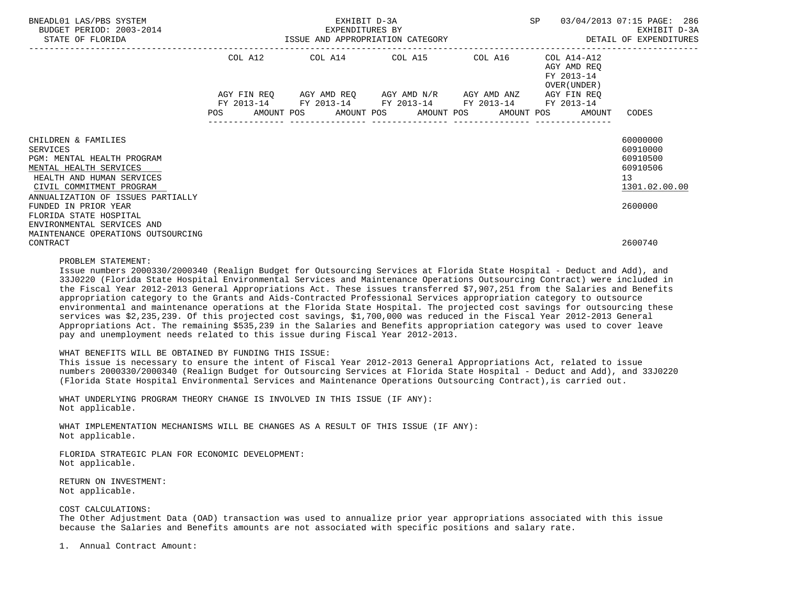| BNEADL01 LAS/PBS SYSTEM<br>BUDGET PERIOD: 2003-2014<br>STATE OF FLORIDA | EXHIBIT D-3A<br>EXPENDITURES BY<br>ISSUE AND APPROPRIATION CATEGORY <b>And SET ALL SETT AND ALL SEXPENDITURES</b> |  |  |  |  |  |  |                                                                                                                       | SP |                                                           | 03/04/2013 07:15 PAGE: 286<br>EXHIBIT D-3A |  |
|-------------------------------------------------------------------------|-------------------------------------------------------------------------------------------------------------------|--|--|--|--|--|--|-----------------------------------------------------------------------------------------------------------------------|----|-----------------------------------------------------------|--------------------------------------------|--|
|                                                                         | COL A12                                                                                                           |  |  |  |  |  |  | COL A14 COL A15 COL A16                                                                                               |    | COL A14-A12<br>AGY AMD REO<br>FY 2013-14<br>OVER (UNDER ) |                                            |  |
|                                                                         | <b>POS</b>                                                                                                        |  |  |  |  |  |  | AGY FIN REQ AGY AMD REQ AGY AMD N/R AGY AMD ANZ AGY FIN REQ<br>FY 2013-14 FY 2013-14 FY 2013-14 FY 2013-14 FY 2013-14 |    | AMOUNT POS AMOUNT POS AMOUNT POS AMOUNT POS AMOUNT        | CODES                                      |  |
|                                                                         |                                                                                                                   |  |  |  |  |  |  |                                                                                                                       |    |                                                           |                                            |  |
| CHILDREN & FAMILIES<br>SERVICES                                         |                                                                                                                   |  |  |  |  |  |  |                                                                                                                       |    |                                                           | 60000000<br>60910000                       |  |
| PGM: MENTAL HEALTH PROGRAM                                              |                                                                                                                   |  |  |  |  |  |  |                                                                                                                       |    |                                                           | 60910500                                   |  |
| MENTAL HEALTH SERVICES                                                  |                                                                                                                   |  |  |  |  |  |  |                                                                                                                       |    |                                                           | 60910506                                   |  |
| HEALTH AND HUMAN SERVICES<br>CIVIL COMMITMENT PROGRAM                   |                                                                                                                   |  |  |  |  |  |  |                                                                                                                       |    |                                                           | 13<br>1301.02.00.00                        |  |
| ANNUALIZATION OF ISSUES PARTIALLY<br>FUNDED IN PRIOR YEAR               |                                                                                                                   |  |  |  |  |  |  |                                                                                                                       |    |                                                           | 2600000                                    |  |
| FLORIDA STATE HOSPITAL                                                  |                                                                                                                   |  |  |  |  |  |  |                                                                                                                       |    |                                                           |                                            |  |
| ENVIRONMENTAL SERVICES AND                                              |                                                                                                                   |  |  |  |  |  |  |                                                                                                                       |    |                                                           |                                            |  |
| MAINTENANCE OPERATIONS OUTSOURCING<br>CONTRACT                          |                                                                                                                   |  |  |  |  |  |  |                                                                                                                       |    |                                                           | 2600740                                    |  |

#### PROBLEM STATEMENT:

 Issue numbers 2000330/2000340 (Realign Budget for Outsourcing Services at Florida State Hospital - Deduct and Add), and 33J0220 (Florida State Hospital Environmental Services and Maintenance Operations Outsourcing Contract) were included in the Fiscal Year 2012-2013 General Appropriations Act. These issues transferred \$7,907,251 from the Salaries and Benefits appropriation category to the Grants and Aids-Contracted Professional Services appropriation category to outsource environmental and maintenance operations at the Florida State Hospital. The projected cost savings for outsourcing these services was \$2,235,239. Of this projected cost savings, \$1,700,000 was reduced in the Fiscal Year 2012-2013 General Appropriations Act. The remaining \$535,239 in the Salaries and Benefits appropriation category was used to cover leave pay and unemployment needs related to this issue during Fiscal Year 2012-2013.

#### WHAT BENEFITS WILL BE OBTAINED BY FUNDING THIS ISSUE:

 This issue is necessary to ensure the intent of Fiscal Year 2012-2013 General Appropriations Act, related to issue numbers 2000330/2000340 (Realign Budget for Outsourcing Services at Florida State Hospital - Deduct and Add), and 33J0220 (Florida State Hospital Environmental Services and Maintenance Operations Outsourcing Contract),is carried out.

 WHAT UNDERLYING PROGRAM THEORY CHANGE IS INVOLVED IN THIS ISSUE (IF ANY): Not applicable.

 WHAT IMPLEMENTATION MECHANISMS WILL BE CHANGES AS A RESULT OF THIS ISSUE (IF ANY): Not applicable.

 FLORIDA STRATEGIC PLAN FOR ECONOMIC DEVELOPMENT: Not applicable.

 RETURN ON INVESTMENT: Not applicable.

## COST CALCULATIONS:

 The Other Adjustment Data (OAD) transaction was used to annualize prior year appropriations associated with this issue because the Salaries and Benefits amounts are not associated with specific positions and salary rate.

1. Annual Contract Amount: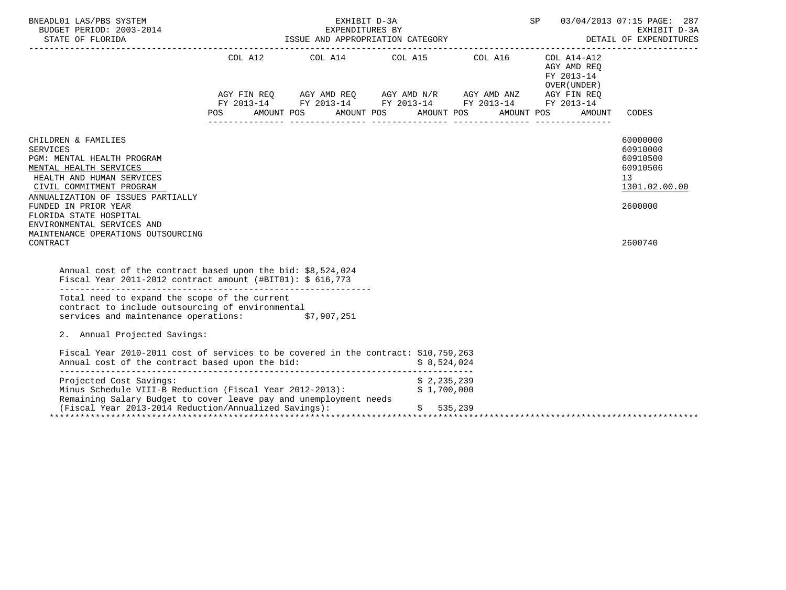| BNEADL01 LAS/PBS SYSTEM<br>BUDGET PERIOD: 2003-2014<br>STATE OF FLORIDA                                                                                                                                                                                                                                                        | EXHIBIT D-3A SP $03/04/2013$ 07:15 PAGE: 287<br>EXPENDITURES BY<br>EAFENDITURES BY<br>ISSUE AND APPROPRIATION CATEGORY |  |                                                                                                                                                                      | DETAIL OF EXPENDITURES                              |                                                                                           |
|--------------------------------------------------------------------------------------------------------------------------------------------------------------------------------------------------------------------------------------------------------------------------------------------------------------------------------|------------------------------------------------------------------------------------------------------------------------|--|----------------------------------------------------------------------------------------------------------------------------------------------------------------------|-----------------------------------------------------|-------------------------------------------------------------------------------------------|
|                                                                                                                                                                                                                                                                                                                                | POS AMOUNT POS AMOUNT POS AMOUNT POS AMOUNT POS                                                                        |  | COL A12 COL A14 COL A15 COL A16 COL A14-A12<br>AGY FIN REQ AGY AMD REQ AGY AMD N/R AGY AMD ANZ AGY FIN REQ<br>FY 2013-14 FY 2013-14 FY 2013-14 FY 2013-14 FY 2013-14 | AGY AMD REQ<br>FY 2013-14<br>OVER (UNDER)<br>AMOUNT | CODES                                                                                     |
| CHILDREN & FAMILIES<br><b>SERVICES</b><br>PGM: MENTAL HEALTH PROGRAM<br>MENTAL HEALTH SERVICES<br>HEALTH AND HUMAN SERVICES<br>CIVIL COMMITMENT PROGRAM<br>ANNUALIZATION OF ISSUES PARTIALLY<br>FUNDED IN PRIOR YEAR<br>FLORIDA STATE HOSPITAL<br>ENVIRONMENTAL SERVICES AND<br>MAINTENANCE OPERATIONS OUTSOURCING<br>CONTRACT |                                                                                                                        |  |                                                                                                                                                                      |                                                     | 60000000<br>60910000<br>60910500<br>60910506<br>13<br>1301.02.00.00<br>2600000<br>2600740 |
| Annual cost of the contract based upon the bid: \$8,524,024<br>Fiscal Year 2011-2012 contract amount $(\text{\#BIT01}):$ \$ 616,773<br>Total need to expand the scope of the current<br>contract to include outsourcing of environmental<br>services and maintenance operations: \$7,907,251                                   |                                                                                                                        |  |                                                                                                                                                                      |                                                     |                                                                                           |
| 2. Annual Projected Savings:                                                                                                                                                                                                                                                                                                   |                                                                                                                        |  |                                                                                                                                                                      |                                                     |                                                                                           |
| Fiscal Year 2010-2011 cost of services to be covered in the contract: \$10,759,263<br>Annual cost of the contract based upon the bid: $$8,524,024$                                                                                                                                                                             |                                                                                                                        |  |                                                                                                                                                                      |                                                     |                                                                                           |
| Projected Cost Savings:<br>Minus Schedule VIII-B Reduction (Fiscal Year 2012-2013):<br>Remaining Salary Budget to cover leave pay and unemployment needs<br>(Fiscal Year 2013-2014 Reduction/Annualized Savings):                                                                                                              |                                                                                                                        |  | \$2,235,239<br>\$1.700.000<br>\$535,239                                                                                                                              |                                                     |                                                                                           |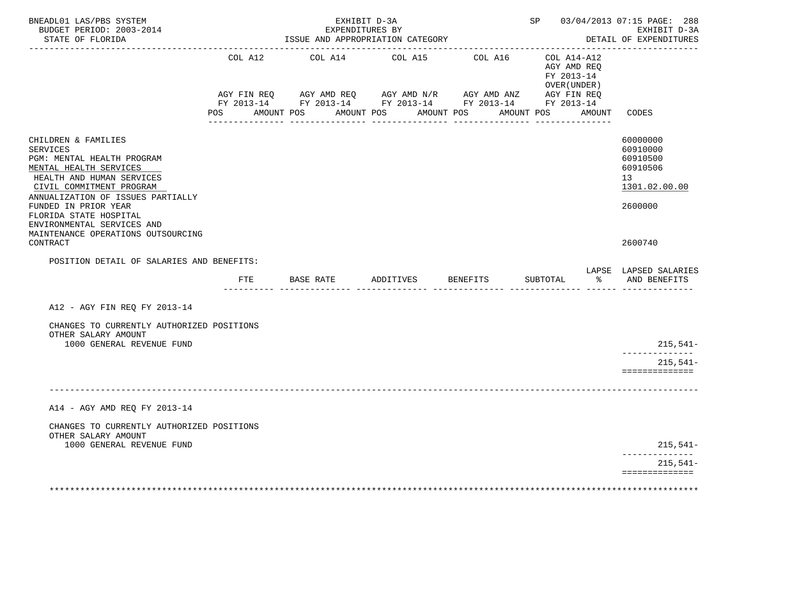| BNEADL01 LAS/PBS SYSTEM<br>BUDGET PERIOD: 2003-2014<br>STATE OF FLORIDA<br>-------------------                                                                                                                                                                               |                   | EXHIBIT D-3A<br>EXPENDITURES BY<br>ISSUE AND APPROPRIATION CATEGORY<br>_________________________________ |                       |          |                                                          | SP 03/04/2013 07:15 PAGE: 288<br>EXHIBIT D-3A<br>DETAIL OF EXPENDITURES        |
|------------------------------------------------------------------------------------------------------------------------------------------------------------------------------------------------------------------------------------------------------------------------------|-------------------|----------------------------------------------------------------------------------------------------------|-----------------------|----------|----------------------------------------------------------|--------------------------------------------------------------------------------|
|                                                                                                                                                                                                                                                                              | COL A12           | COL A14                                                                                                  | COL A15               | COL A16  | COL A14-A12<br>AGY AMD REQ<br>FY 2013-14<br>OVER (UNDER) |                                                                                |
|                                                                                                                                                                                                                                                                              | AMOUNT POS<br>POS | AGY FIN REQ AGY AMD REQ AGY AMD N/R AGY AMD ANZ AGY FIN REQ FIN REQ AGY AMD N/R AGY AMD ANZ AGY FIN REQ  | AMOUNT POS AMOUNT POS |          | AMOUNT POS AMOUNT                                        | CODES                                                                          |
| CHILDREN & FAMILIES<br><b>SERVICES</b><br>PGM: MENTAL HEALTH PROGRAM<br>MENTAL HEALTH SERVICES<br>HEALTH AND HUMAN SERVICES<br>CIVIL COMMITMENT PROGRAM<br>ANNUALIZATION OF ISSUES PARTIALLY<br>FUNDED IN PRIOR YEAR<br>FLORIDA STATE HOSPITAL<br>ENVIRONMENTAL SERVICES AND |                   |                                                                                                          |                       |          |                                                          | 60000000<br>60910000<br>60910500<br>60910506<br>13<br>1301.02.00.00<br>2600000 |
| MAINTENANCE OPERATIONS OUTSOURCING<br>CONTRACT                                                                                                                                                                                                                               |                   |                                                                                                          |                       |          |                                                          | 2600740                                                                        |
| POSITION DETAIL OF SALARIES AND BENEFITS:                                                                                                                                                                                                                                    |                   |                                                                                                          |                       |          |                                                          | LAPSE LAPSED SALARIES                                                          |
|                                                                                                                                                                                                                                                                              | FTE               | BASE RATE                                                                                                | ADDITIVES             | BENEFITS | SUBTOTAL<br>ားကို $\sim$                                 | AND BENEFITS<br>_______ ______ ______________                                  |
| A12 - AGY FIN REO FY 2013-14                                                                                                                                                                                                                                                 |                   |                                                                                                          |                       |          |                                                          |                                                                                |
| CHANGES TO CURRENTLY AUTHORIZED POSITIONS<br>OTHER SALARY AMOUNT                                                                                                                                                                                                             |                   |                                                                                                          |                       |          |                                                          |                                                                                |
| 1000 GENERAL REVENUE FUND                                                                                                                                                                                                                                                    |                   |                                                                                                          |                       |          |                                                          | $215,541-$                                                                     |
|                                                                                                                                                                                                                                                                              |                   |                                                                                                          |                       |          |                                                          | $215,541-$<br>==============                                                   |
|                                                                                                                                                                                                                                                                              |                   |                                                                                                          |                       |          |                                                          |                                                                                |
| A14 - AGY AMD REQ FY 2013-14                                                                                                                                                                                                                                                 |                   |                                                                                                          |                       |          |                                                          |                                                                                |
| CHANGES TO CURRENTLY AUTHORIZED POSITIONS<br>OTHER SALARY AMOUNT                                                                                                                                                                                                             |                   |                                                                                                          |                       |          |                                                          |                                                                                |
| 1000 GENERAL REVENUE FUND                                                                                                                                                                                                                                                    |                   |                                                                                                          |                       |          |                                                          | $215,541-$<br>------------                                                     |
|                                                                                                                                                                                                                                                                              |                   |                                                                                                          |                       |          |                                                          | $215,541-$<br>==============                                                   |
|                                                                                                                                                                                                                                                                              |                   |                                                                                                          |                       |          |                                                          |                                                                                |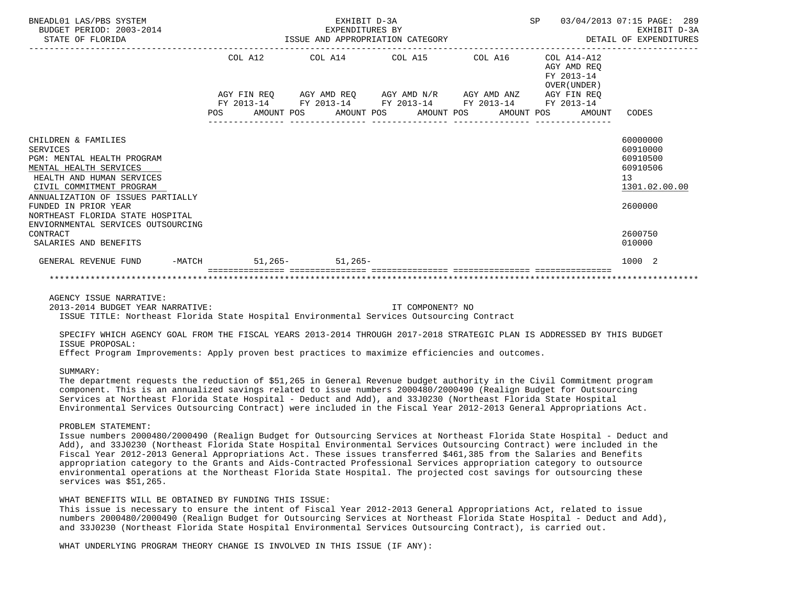| BNEADL01 LAS/PBS SYSTEM<br>BUDGET PERIOD: 2003-2014<br>STATE OF FLORIDA                                                                                                                                              |         | EXHIBIT D-3A             | EXPENDITURES BY<br>ISSUE AND APPROPRIATION CATEGORY                       |                  | SP                                                           | 03/04/2013 07:15 PAGE: 289<br>EXHIBIT D-3A<br>DETAIL OF EXPENDITURES           |
|----------------------------------------------------------------------------------------------------------------------------------------------------------------------------------------------------------------------|---------|--------------------------|---------------------------------------------------------------------------|------------------|--------------------------------------------------------------|--------------------------------------------------------------------------------|
|                                                                                                                                                                                                                      | COL A12 |                          | COL A14 COL A15 COL A16                                                   |                  | $COL A14- A12$<br>AGY AMD REO<br>FY 2013-14<br>OVER (UNDER)  |                                                                                |
|                                                                                                                                                                                                                      |         |                          | AGY FIN REQ AGY AMD REQ AGY AMD N/R AGY AMD ANZ AGY FIN REQ               |                  |                                                              |                                                                                |
|                                                                                                                                                                                                                      |         |                          | FY 2013-14 FY 2013-14 FY 2013-14 FY 2013-14 FY 2013-14<br>--------------- | ________________ | POS AMOUNT POS AMOUNT POS AMOUNT POS AMOUNT POS AMOUNT CODES |                                                                                |
| CHILDREN & FAMILIES<br><b>SERVICES</b><br>PGM: MENTAL HEALTH PROGRAM<br>MENTAL HEALTH SERVICES<br>HEALTH AND HUMAN SERVICES<br>CIVIL COMMITMENT PROGRAM<br>ANNUALIZATION OF ISSUES PARTIALLY<br>FUNDED IN PRIOR YEAR |         |                          |                                                                           |                  |                                                              | 60000000<br>60910000<br>60910500<br>60910506<br>13<br>1301.02.00.00<br>2600000 |
| NORTHEAST FLORIDA STATE HOSPITAL<br>ENVIORNMENTAL SERVICES OUTSOURCING                                                                                                                                               |         |                          |                                                                           |                  |                                                              |                                                                                |
| CONTRACT<br>SALARIES AND BENEFITS                                                                                                                                                                                    |         |                          |                                                                           |                  |                                                              | 2600750<br>010000                                                              |
| GENERAL REVENUE FUND                                                                                                                                                                                                 |         | -MATCH 51, 265- 51, 265- |                                                                           |                  |                                                              | 1000 2                                                                         |
|                                                                                                                                                                                                                      |         |                          |                                                                           |                  |                                                              |                                                                                |

AGENCY ISSUE NARRATIVE:

 2013-2014 BUDGET YEAR NARRATIVE: IT COMPONENT? NO ISSUE TITLE: Northeast Florida State Hospital Environmental Services Outsourcing Contract

 SPECIFY WHICH AGENCY GOAL FROM THE FISCAL YEARS 2013-2014 THROUGH 2017-2018 STRATEGIC PLAN IS ADDRESSED BY THIS BUDGET ISSUE PROPOSAL:

Effect Program Improvements: Apply proven best practices to maximize efficiencies and outcomes.

# SUMMARY:

 The department requests the reduction of \$51,265 in General Revenue budget authority in the Civil Commitment program component. This is an annualized savings related to issue numbers 2000480/2000490 (Realign Budget for Outsourcing Services at Northeast Florida State Hospital - Deduct and Add), and 33J0230 (Northeast Florida State Hospital Environmental Services Outsourcing Contract) were included in the Fiscal Year 2012-2013 General Appropriations Act.

#### PROBLEM STATEMENT:

 Issue numbers 2000480/2000490 (Realign Budget for Outsourcing Services at Northeast Florida State Hospital - Deduct and Add), and 33J0230 (Northeast Florida State Hospital Environmental Services Outsourcing Contract) were included in the Fiscal Year 2012-2013 General Appropriations Act. These issues transferred \$461,385 from the Salaries and Benefits appropriation category to the Grants and Aids-Contracted Professional Services appropriation category to outsource environmental operations at the Northeast Florida State Hospital. The projected cost savings for outsourcing these services was \$51,265.

#### WHAT BENEFITS WILL BE OBTAINED BY FUNDING THIS ISSUE:

 This issue is necessary to ensure the intent of Fiscal Year 2012-2013 General Appropriations Act, related to issue numbers 2000480/2000490 (Realign Budget for Outsourcing Services at Northeast Florida State Hospital - Deduct and Add), and 33J0230 (Northeast Florida State Hospital Environmental Services Outsourcing Contract), is carried out.

WHAT UNDERLYING PROGRAM THEORY CHANGE IS INVOLVED IN THIS ISSUE (IF ANY):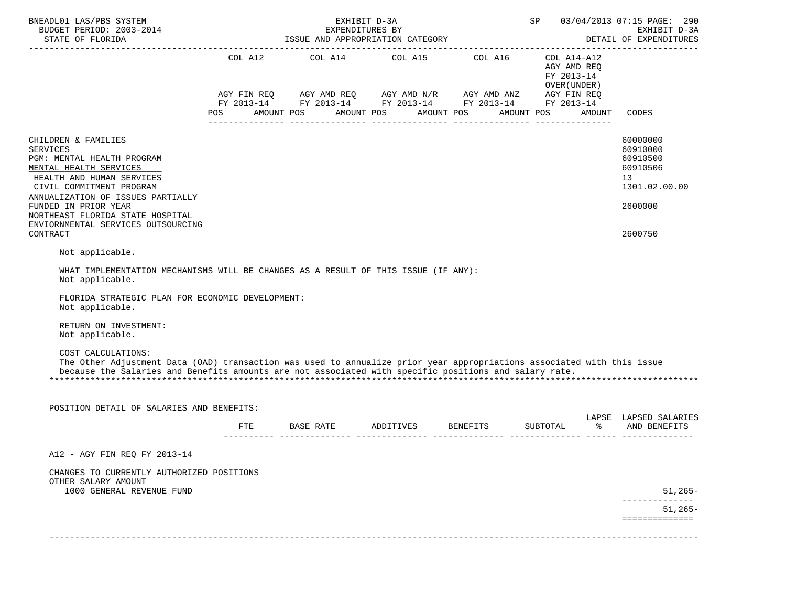| BNEADL01 LAS/PBS SYSTEM<br>BUDGET PERIOD: 2003-2014                                                                                                                                                                                                                                                                                                                                                                                                                                                  |     | EXHIBIT D-3A<br>EXPENDITURES BY      |                                                                                                                                                                      | SP                                                       | 03/04/2013 07:15 PAGE: 290<br>EXHIBIT D-3A<br>DETAIL OF EXPENDITURES                      |
|------------------------------------------------------------------------------------------------------------------------------------------------------------------------------------------------------------------------------------------------------------------------------------------------------------------------------------------------------------------------------------------------------------------------------------------------------------------------------------------------------|-----|--------------------------------------|----------------------------------------------------------------------------------------------------------------------------------------------------------------------|----------------------------------------------------------|-------------------------------------------------------------------------------------------|
|                                                                                                                                                                                                                                                                                                                                                                                                                                                                                                      |     | POS AMOUNT POS AMOUNT POS AMOUNT POS | COL A12 COL A14 COL A15 COL A16 COL A14-A12<br>AGY FIN REQ AGY AMD REQ AGY AMD N/R AGY AMD ANZ AGY FIN REQ<br>FY 2013-14 FY 2013-14 FY 2013-14 FY 2013-14 FY 2013-14 | AGY AMD REQ<br>FY 2013-14<br>OVER (UNDER )<br>AMOUNT POS | AMOUNT<br>CODES                                                                           |
| CHILDREN & FAMILIES<br><b>SERVICES</b><br>PGM: MENTAL HEALTH PROGRAM<br>MENTAL HEALTH SERVICES<br>HEALTH AND HUMAN SERVICES<br>CIVIL COMMITMENT PROGRAM<br>ANNUALIZATION OF ISSUES PARTIALLY<br>FUNDED IN PRIOR YEAR<br>NORTHEAST FLORIDA STATE HOSPITAL<br>ENVIORNMENTAL SERVICES OUTSOURCING<br>CONTRACT                                                                                                                                                                                           |     |                                      |                                                                                                                                                                      |                                                          | 60000000<br>60910000<br>60910500<br>60910506<br>13<br>1301.02.00.00<br>2600000<br>2600750 |
| Not applicable.<br>WHAT IMPLEMENTATION MECHANISMS WILL BE CHANGES AS A RESULT OF THIS ISSUE (IF ANY):<br>Not applicable.<br>FLORIDA STRATEGIC PLAN FOR ECONOMIC DEVELOPMENT:<br>Not applicable.<br>RETURN ON INVESTMENT:<br>Not applicable.<br>COST CALCULATIONS:<br>The Other Adjustment Data (OAD) transaction was used to annualize prior year appropriations associated with this issue<br>because the Salaries and Benefits amounts are not associated with specific positions and salary rate. |     |                                      |                                                                                                                                                                      |                                                          |                                                                                           |
| POSITION DETAIL OF SALARIES AND BENEFITS:                                                                                                                                                                                                                                                                                                                                                                                                                                                            | FTE |                                      | BASE RATE ADDITIVES BENEFITS SUBTOTAL                                                                                                                                |                                                          | LAPSE LAPSED SALARIES<br>% AND BENEFITS                                                   |
| A12 - AGY FIN REQ FY 2013-14<br>CHANGES TO CURRENTLY AUTHORIZED POSITIONS<br>OTHER SALARY AMOUNT<br>1000 GENERAL REVENUE FUND                                                                                                                                                                                                                                                                                                                                                                        |     |                                      |                                                                                                                                                                      |                                                          | $51,265-$<br>$51,265-$<br>=============                                                   |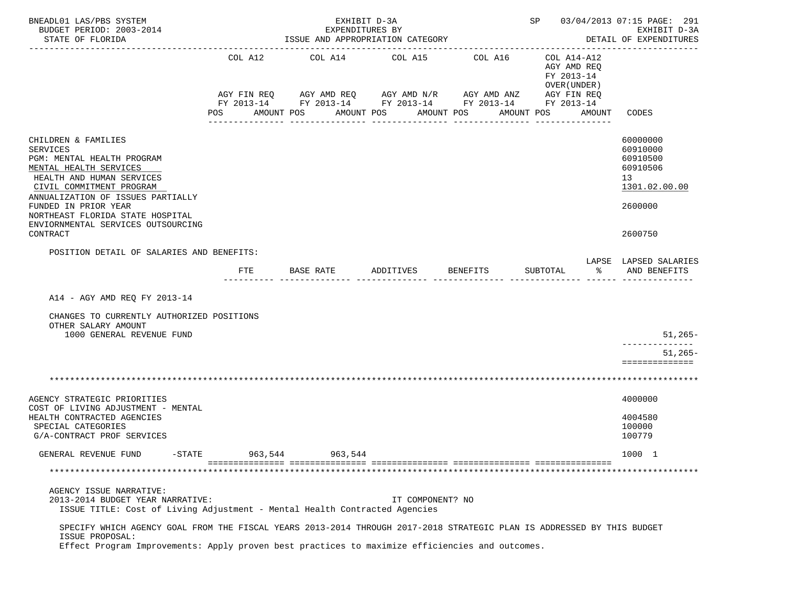| BNEADL01 LAS/PBS SYSTEM<br>BUDGET PERIOD: 2003-2014<br>STATE OF FLORIDA                                                                                                                                                                      | ISSUE AND APPROPRIATION CATEGORY | SP 03/04/2013 07:15 PAGE: 291                                                                                                        | EXHIBIT D-3A<br>DETAIL OF EXPENDITURES |                       |                                                                                                 |                                                                                |
|----------------------------------------------------------------------------------------------------------------------------------------------------------------------------------------------------------------------------------------------|----------------------------------|--------------------------------------------------------------------------------------------------------------------------------------|----------------------------------------|-----------------------|-------------------------------------------------------------------------------------------------|--------------------------------------------------------------------------------|
|                                                                                                                                                                                                                                              | COL A12<br>AGY FIN REQ<br>POS    | COL A14<br>AGY AMD REQ AGY AMD N/R AGY AMD ANZ<br>FY 2013-14 FY 2013-14 FY 2013-14 FY 2013-14 FY 2013-14<br>AMOUNT POS<br>AMOUNT POS | COL A15                                | COL A16<br>AMOUNT POS | COL A14-A12<br>AGY AMD REQ<br>FY 2013-14<br>OVER (UNDER)<br>AGY FIN REQ<br>AMOUNT POS<br>AMOUNT | CODES                                                                          |
|                                                                                                                                                                                                                                              |                                  |                                                                                                                                      |                                        |                       |                                                                                                 |                                                                                |
| CHILDREN & FAMILIES<br><b>SERVICES</b><br>PGM: MENTAL HEALTH PROGRAM<br>MENTAL HEALTH SERVICES<br>HEALTH AND HUMAN SERVICES<br>CIVIL COMMITMENT PROGRAM<br>ANNUALIZATION OF ISSUES PARTIALLY<br>FUNDED IN PRIOR YEAR                         |                                  |                                                                                                                                      |                                        |                       |                                                                                                 | 60000000<br>60910000<br>60910500<br>60910506<br>13<br>1301.02.00.00<br>2600000 |
| NORTHEAST FLORIDA STATE HOSPITAL<br>ENVIORNMENTAL SERVICES OUTSOURCING                                                                                                                                                                       |                                  |                                                                                                                                      |                                        |                       |                                                                                                 |                                                                                |
| CONTRACT                                                                                                                                                                                                                                     |                                  |                                                                                                                                      |                                        |                       |                                                                                                 | 2600750                                                                        |
| POSITION DETAIL OF SALARIES AND BENEFITS:                                                                                                                                                                                                    |                                  |                                                                                                                                      |                                        |                       |                                                                                                 | LAPSE LAPSED SALARIES                                                          |
|                                                                                                                                                                                                                                              | FTE                              | BASE RATE                                                                                                                            | ADDITIVES                              | BENEFITS              | SUBTOTAL<br>ిన                                                                                  | AND BENEFITS                                                                   |
| A14 - AGY AMD REQ FY 2013-14<br>CHANGES TO CURRENTLY AUTHORIZED POSITIONS<br>OTHER SALARY AMOUNT<br>1000 GENERAL REVENUE FUND                                                                                                                |                                  |                                                                                                                                      |                                        |                       |                                                                                                 | $51,265-$                                                                      |
|                                                                                                                                                                                                                                              |                                  |                                                                                                                                      |                                        |                       |                                                                                                 | $51,265-$                                                                      |
|                                                                                                                                                                                                                                              |                                  |                                                                                                                                      |                                        |                       |                                                                                                 | ==============                                                                 |
|                                                                                                                                                                                                                                              |                                  |                                                                                                                                      |                                        |                       |                                                                                                 |                                                                                |
| AGENCY STRATEGIC PRIORITIES<br>COST OF LIVING ADJUSTMENT - MENTAL<br>HEALTH CONTRACTED AGENCIES<br>SPECIAL CATEGORIES<br>G/A-CONTRACT PROF SERVICES                                                                                          |                                  |                                                                                                                                      |                                        |                       |                                                                                                 | 4000000<br>4004580<br>100000<br>100779                                         |
| GENERAL REVENUE FUND<br>$-$ STATE                                                                                                                                                                                                            | 963,544                          | 963,544                                                                                                                              |                                        |                       |                                                                                                 | 1000 1                                                                         |
|                                                                                                                                                                                                                                              |                                  |                                                                                                                                      |                                        |                       |                                                                                                 |                                                                                |
| AGENCY ISSUE NARRATIVE:<br>2013-2014 BUDGET YEAR NARRATIVE:<br>ISSUE TITLE: Cost of Living Adjustment - Mental Health Contracted Agencies                                                                                                    |                                  |                                                                                                                                      | IT COMPONENT? NO                       |                       |                                                                                                 |                                                                                |
| SPECIFY WHICH AGENCY GOAL FROM THE FISCAL YEARS 2013-2014 THROUGH 2017-2018 STRATEGIC PLAN IS ADDRESSED BY THIS BUDGET<br>ISSUE PROPOSAL:<br>Effect Program Improvements: Apply proven best practices to maximize efficiencies and outcomes. |                                  |                                                                                                                                      |                                        |                       |                                                                                                 |                                                                                |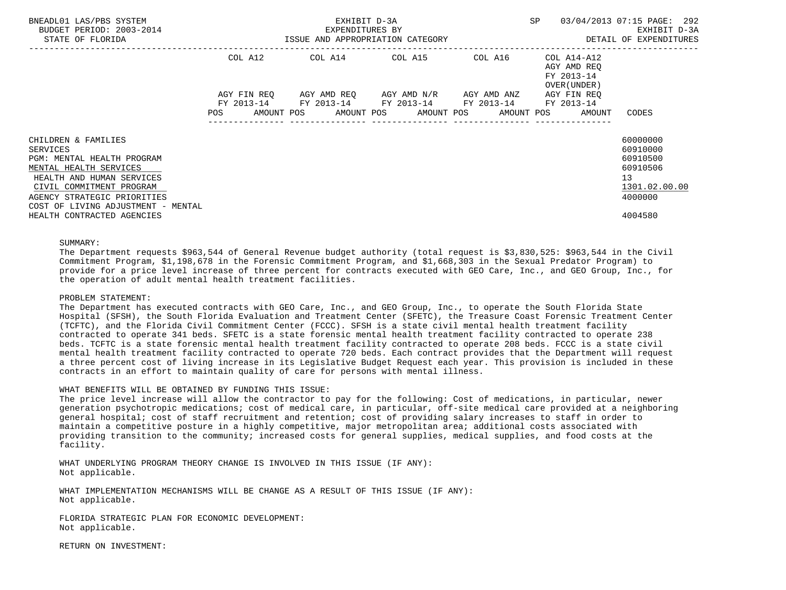| BNEADL01 LAS/PBS SYSTEM<br>BUDGET PERIOD: 2003-2014<br>STATE OF FLORIDA | ISSUE AND APPROPRIATION CATEGORY |         | EXHIBIT D-3A<br>EXPENDITURES BY |                                                                                                           |  | SP |                                                           | 03/04/2013 07:15 PAGE: 292<br>EXHIBIT D-3A<br>DETAIL OF EXPENDITURES |  |
|-------------------------------------------------------------------------|----------------------------------|---------|---------------------------------|-----------------------------------------------------------------------------------------------------------|--|----|-----------------------------------------------------------|----------------------------------------------------------------------|--|
|                                                                         |                                  |         |                                 |                                                                                                           |  |    |                                                           |                                                                      |  |
|                                                                         |                                  | COL A12 |                                 | COL A14 COL A15 COL A16                                                                                   |  |    | COL A14-A12<br>AGY AMD REO<br>FY 2013-14<br>OVER (UNDER ) |                                                                      |  |
|                                                                         |                                  |         |                                 | AGY FIN REQ 6GY AMD REQ 6GY AMD N/R 6GY AMD ANZ<br>FY 2013-14 FY 2013-14 FY 2013-14 FY 2013-14 FY 2013-14 |  |    | AGY FIN REO                                               |                                                                      |  |
|                                                                         |                                  |         |                                 | POS AMOUNT POS AMOUNT POS AMOUNT POS AMOUNT POS AMOUNT                                                    |  |    |                                                           | CODES                                                                |  |
| CHILDREN & FAMILIES<br>SERVICES                                         |                                  |         |                                 |                                                                                                           |  |    |                                                           | 60000000<br>60910000                                                 |  |
| PGM: MENTAL HEALTH PROGRAM                                              |                                  |         |                                 |                                                                                                           |  |    |                                                           | 60910500                                                             |  |
| MENTAL HEALTH SERVICES                                                  |                                  |         |                                 |                                                                                                           |  |    |                                                           | 60910506                                                             |  |
| HEALTH AND HUMAN SERVICES<br>CIVIL COMMITMENT PROGRAM                   |                                  |         |                                 |                                                                                                           |  |    |                                                           | 13<br>1301.02.00.00                                                  |  |
| AGENCY STRATEGIC PRIORITIES                                             |                                  |         |                                 |                                                                                                           |  |    |                                                           | 4000000                                                              |  |
| COST OF LIVING ADJUSTMENT - MENTAL                                      |                                  |         |                                 |                                                                                                           |  |    |                                                           |                                                                      |  |
| HEALTH CONTRACTED AGENCIES                                              |                                  |         |                                 |                                                                                                           |  |    |                                                           | 4004580                                                              |  |

SUMMARY:

 The Department requests \$963,544 of General Revenue budget authority (total request is \$3,830,525: \$963,544 in the Civil Commitment Program, \$1,198,678 in the Forensic Commitment Program, and \$1,668,303 in the Sexual Predator Program) to provide for a price level increase of three percent for contracts executed with GEO Care, Inc., and GEO Group, Inc., for the operation of adult mental health treatment facilities.

# PROBLEM STATEMENT:

 The Department has executed contracts with GEO Care, Inc., and GEO Group, Inc., to operate the South Florida State Hospital (SFSH), the South Florida Evaluation and Treatment Center (SFETC), the Treasure Coast Forensic Treatment Center (TCFTC), and the Florida Civil Commitment Center (FCCC). SFSH is a state civil mental health treatment facility contracted to operate 341 beds. SFETC is a state forensic mental health treatment facility contracted to operate 238 beds. TCFTC is a state forensic mental health treatment facility contracted to operate 208 beds. FCCC is a state civil mental health treatment facility contracted to operate 720 beds. Each contract provides that the Department will request a three percent cost of living increase in its Legislative Budget Request each year. This provision is included in these contracts in an effort to maintain quality of care for persons with mental illness.

# WHAT BENEFITS WILL BE OBTAINED BY FUNDING THIS ISSUE:

 The price level increase will allow the contractor to pay for the following: Cost of medications, in particular, newer generation psychotropic medications; cost of medical care, in particular, off-site medical care provided at a neighboring general hospital; cost of staff recruitment and retention; cost of providing salary increases to staff in order to maintain a competitive posture in a highly competitive, major metropolitan area; additional costs associated with providing transition to the community; increased costs for general supplies, medical supplies, and food costs at the facility.

 WHAT UNDERLYING PROGRAM THEORY CHANGE IS INVOLVED IN THIS ISSUE (IF ANY): Not applicable.

 WHAT IMPLEMENTATION MECHANISMS WILL BE CHANGE AS A RESULT OF THIS ISSUE (IF ANY): Not applicable.

 FLORIDA STRATEGIC PLAN FOR ECONOMIC DEVELOPMENT: Not applicable.

RETURN ON INVESTMENT: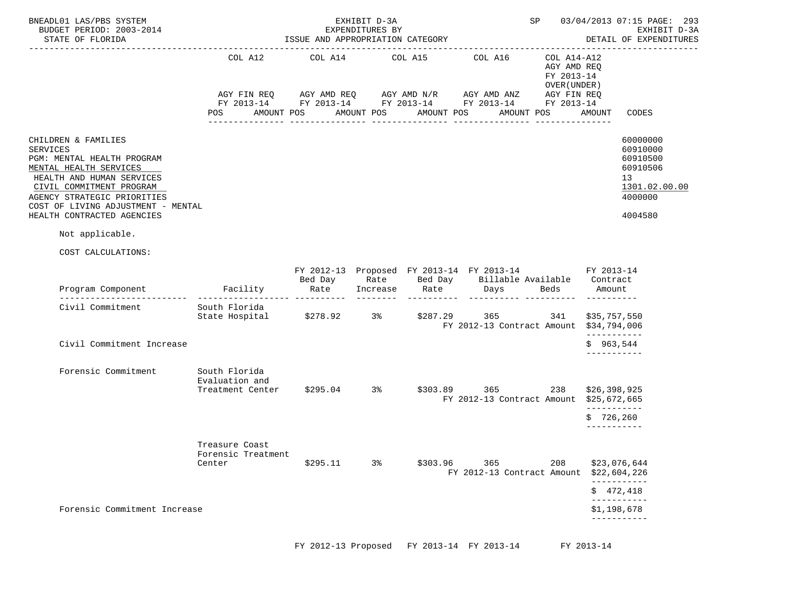| BNEADL01 LAS/PBS SYSTEM<br>BUDGET PERIOD: 2003-2014<br>STATE OF FLORIDA                                                                                                                                                                             |                                                                                                                                                       | EXHIBIT D-3A<br>EXPENDITURES BY<br>ISSUE AND APPROPRIATION CATEGORY | SP         |                       | 03/04/2013 07:15 PAGE: 293<br>EXHIBIT D-3A<br>DETAIL OF EXPENDITURES                                                           |                                                          |                                            |                                                                                           |
|-----------------------------------------------------------------------------------------------------------------------------------------------------------------------------------------------------------------------------------------------------|-------------------------------------------------------------------------------------------------------------------------------------------------------|---------------------------------------------------------------------|------------|-----------------------|--------------------------------------------------------------------------------------------------------------------------------|----------------------------------------------------------|--------------------------------------------|-------------------------------------------------------------------------------------------|
|                                                                                                                                                                                                                                                     | COL A12<br>AGY FIN REQ AGY AMD REQ AGY AMD N/R AGY AMD ANZ AGY FIN REQ<br>FY 2013-14 FY 2013-14 FY 2013-14 FY 2013-14 FY 2013-14<br>AMOUNT POS<br>POS | COL A14                                                             | AMOUNT POS | COL A15<br>AMOUNT POS | COL A16<br>AMOUNT POS                                                                                                          | COL A14-A12<br>AGY AMD REQ<br>FY 2013-14<br>OVER (UNDER) | AMOUNT                                     | CODES                                                                                     |
| CHILDREN & FAMILIES<br>SERVICES<br>PGM: MENTAL HEALTH PROGRAM<br>MENTAL HEALTH SERVICES<br>HEALTH AND HUMAN SERVICES<br>CIVIL COMMITMENT PROGRAM<br>AGENCY STRATEGIC PRIORITIES<br>COST OF LIVING ADJUSTMENT - MENTAL<br>HEALTH CONTRACTED AGENCIES |                                                                                                                                                       |                                                                     |            |                       |                                                                                                                                |                                                          |                                            | 60000000<br>60910000<br>60910500<br>60910506<br>13<br>1301.02.00.00<br>4000000<br>4004580 |
| Not applicable.                                                                                                                                                                                                                                     |                                                                                                                                                       |                                                                     |            |                       |                                                                                                                                |                                                          |                                            |                                                                                           |
| COST CALCULATIONS:                                                                                                                                                                                                                                  |                                                                                                                                                       |                                                                     |            |                       |                                                                                                                                |                                                          |                                            |                                                                                           |
|                                                                                                                                                                                                                                                     |                                                                                                                                                       |                                                                     |            |                       | FY 2012-13 Proposed FY 2013-14 FY 2013-14 FY 2013-14<br>Bed Day Mate Bed Day Billable Available Contract<br>Increase Rate Days | Beds                                                     | Amount                                     |                                                                                           |
| Civil Commitment                                                                                                                                                                                                                                    | South Florida<br>State Hospital \$278.92 3% \$287.29 365                                                                                              |                                                                     |            |                       | FY 2012-13 Contract Amount \$34,794,006                                                                                        | 341                                                      | \$35,757,550<br>-----------                |                                                                                           |
| Civil Commitment Increase                                                                                                                                                                                                                           |                                                                                                                                                       |                                                                     |            |                       |                                                                                                                                |                                                          | \$963,544<br>-----------                   |                                                                                           |
| Forensic Commitment                                                                                                                                                                                                                                 | South Florida<br>Evaluation and<br>Treatment Center \$295.04 3% \$303.89 365                                                                          |                                                                     |            |                       | FY 2012-13 Contract Amount \$25,672,665                                                                                        | 238                                                      | \$26,398,925<br>------------<br>\$726, 260 |                                                                                           |
|                                                                                                                                                                                                                                                     | Treasure Coast<br>Forensic Treatment<br>Center                                                                                                        | \$295.11                                                            | 3%         | \$303.96              | 365<br>FY 2012-13 Contract Amount                                                                                              | 208                                                      |                                            | \$23,076,644<br>\$22,604,226<br>-----------                                               |
|                                                                                                                                                                                                                                                     |                                                                                                                                                       |                                                                     |            |                       |                                                                                                                                |                                                          | \$472,418                                  | ___________                                                                               |
| Forensic Commitment Increase                                                                                                                                                                                                                        |                                                                                                                                                       |                                                                     |            |                       |                                                                                                                                |                                                          | \$1,198,678                                |                                                                                           |

FY 2012-13 Proposed FY 2013-14 FY 2013-14 FY 2013-14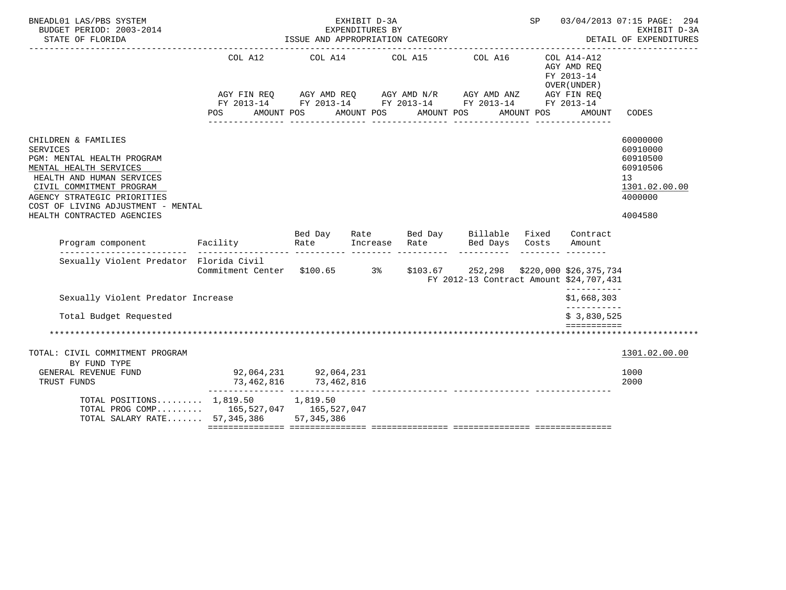| BNEADL01 LAS/PBS SYSTEM<br>BUDGET PERIOD: 2003-2014<br>STATE OF FLORIDA                                                                                                                                                                                    |                                                                       | ISSUE AND APPROPRIATION CATEGORY | EXHIBIT D-3A<br>EXPENDITURES BY |                       |                                                                      | SP         |                                                     | 03/04/2013 07:15 PAGE: 294<br>EXHIBIT D-3A<br>DETAIL OF EXPENDITURES                      |
|------------------------------------------------------------------------------------------------------------------------------------------------------------------------------------------------------------------------------------------------------------|-----------------------------------------------------------------------|----------------------------------|---------------------------------|-----------------------|----------------------------------------------------------------------|------------|-----------------------------------------------------|-------------------------------------------------------------------------------------------|
|                                                                                                                                                                                                                                                            | POS AMOUNT POS                                                        |                                  |                                 | AMOUNT POS AMOUNT POS | COL A12 COL A14 COL A15 COL A16 COL A14-A12                          | AMOUNT POS | AGY AMD REO<br>FY 2013-14<br>OVER (UNDER)<br>AMOUNT | CODES                                                                                     |
| CHILDREN & FAMILIES<br><b>SERVICES</b><br>PGM: MENTAL HEALTH PROGRAM<br>MENTAL HEALTH SERVICES<br>HEALTH AND HUMAN SERVICES<br>CIVIL COMMITMENT PROGRAM<br>AGENCY STRATEGIC PRIORITIES<br>COST OF LIVING ADJUSTMENT - MENTAL<br>HEALTH CONTRACTED AGENCIES |                                                                       |                                  |                                 |                       |                                                                      |            |                                                     | 60000000<br>60910000<br>60910500<br>60910506<br>13<br>1301.02.00.00<br>4000000<br>4004580 |
| Program component Facility                                                                                                                                                                                                                                 |                                                                       | Bed Day<br>Rate                  |                                 |                       | Rate Bed Day Billable Fixed Contract<br>Increase Rate Bed Days Costs | ---------  | Amount                                              |                                                                                           |
| Sexually Violent Predator Florida Civil                                                                                                                                                                                                                    | Commitment Center \$100.65 3% \$103.67 252,298 \$220,000 \$26,375,734 |                                  |                                 |                       | FY 2012-13 Contract Amount \$24,707,431                              |            |                                                     |                                                                                           |
| Sexually Violent Predator Increase                                                                                                                                                                                                                         |                                                                       |                                  |                                 |                       |                                                                      |            | -----------<br>\$1,668,303<br>------------          |                                                                                           |
| Total Budget Requested                                                                                                                                                                                                                                     |                                                                       |                                  |                                 |                       |                                                                      |            | \$3,830,525<br>============                         |                                                                                           |
|                                                                                                                                                                                                                                                            |                                                                       |                                  |                                 |                       |                                                                      |            |                                                     |                                                                                           |
| TOTAL: CIVIL COMMITMENT PROGRAM<br>BY FUND TYPE<br>GENERAL REVENUE FUND                                                                                                                                                                                    |                                                                       |                                  |                                 |                       |                                                                      |            |                                                     | 1301.02.00.00<br>1000                                                                     |
| TRUST FUNDS                                                                                                                                                                                                                                                |                                                                       |                                  |                                 |                       |                                                                      |            |                                                     | 2000                                                                                      |
| TOTAL POSITIONS 1,819.50 1,819.50<br>TOTAL PROG COMP 165,527,047 165,527,047<br>TOTAL SALARY RATE 57,345,386 57,345,386                                                                                                                                    |                                                                       |                                  |                                 |                       |                                                                      |            |                                                     |                                                                                           |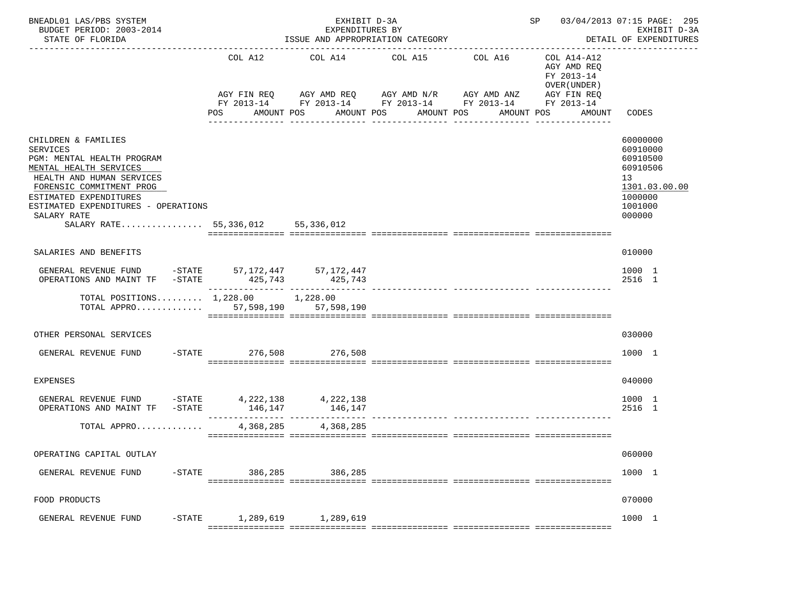| BNEADL01 LAS/PBS SYSTEM<br>EXHIBIT D-3A<br>BUDGET PERIOD: 2003-2014<br>EXPENDITURES BY<br>ISSUE AND APPROPRIATION CATEGORY<br>STATE OF FLORIDA                                                                                                                               |                                          |                         |                                                                                                                                                                                                       |                                          |                                                                                   | SP 03/04/2013 07:15 PAGE: 295<br>EXHIBIT D-3A<br>DETAIL OF EXPENDITURES<br>-------------            |  |  |
|------------------------------------------------------------------------------------------------------------------------------------------------------------------------------------------------------------------------------------------------------------------------------|------------------------------------------|-------------------------|-------------------------------------------------------------------------------------------------------------------------------------------------------------------------------------------------------|------------------------------------------|-----------------------------------------------------------------------------------|-----------------------------------------------------------------------------------------------------|--|--|
|                                                                                                                                                                                                                                                                              | COL A12<br>POS                           | AMOUNT POS              | COL A14 COL A15<br>AGY FIN REQ 6 AGY AMD REQ 6 AGY AMD N/R 66 AGY AMD ANZ<br>FY 2013-14 FY 2013-14 FY 2013-14 FY 2013-14 FY 2013-14<br>AMOUNT POS AMOUNT POS<br>_____________________________________ | COL A16<br>AMOUNT POS<br>_______________ | COL A14-A12<br>AGY AMD REQ<br>FY 2013-14<br>OVER (UNDER)<br>AGY FIN REQ<br>AMOUNT | CODES                                                                                               |  |  |
| CHILDREN & FAMILIES<br><b>SERVICES</b><br>PGM: MENTAL HEALTH PROGRAM<br>MENTAL HEALTH SERVICES<br>HEALTH AND HUMAN SERVICES<br>FORENSIC COMMITMENT PROG<br>ESTIMATED EXPENDITURES<br>ESTIMATED EXPENDITURES - OPERATIONS<br>SALARY RATE<br>SALARY RATE 55,336,012 55,336,012 |                                          |                         |                                                                                                                                                                                                       |                                          |                                                                                   | 60000000<br>60910000<br>60910500<br>60910506<br>13<br>1301.03.00.00<br>1000000<br>1001000<br>000000 |  |  |
| SALARIES AND BENEFITS                                                                                                                                                                                                                                                        |                                          |                         |                                                                                                                                                                                                       |                                          |                                                                                   | 010000                                                                                              |  |  |
| GENERAL REVENUE FUND -STATE 57,172,447 57,172,447<br>OPERATIONS AND MAINT TF -STATE                                                                                                                                                                                          |                                          | 425, 743 425, 743       |                                                                                                                                                                                                       |                                          |                                                                                   | 1000 1<br>2516 1                                                                                    |  |  |
| TOTAL POSITIONS $1,228.00$ 1,228.00<br>TOTAL APPRO 57,598,190 57,598,190                                                                                                                                                                                                     |                                          |                         |                                                                                                                                                                                                       |                                          |                                                                                   |                                                                                                     |  |  |
| OTHER PERSONAL SERVICES                                                                                                                                                                                                                                                      |                                          |                         |                                                                                                                                                                                                       |                                          |                                                                                   | 030000                                                                                              |  |  |
| GENERAL REVENUE FUND                                                                                                                                                                                                                                                         | -STATE 276,508 276,508                   |                         |                                                                                                                                                                                                       |                                          |                                                                                   | 1000 1                                                                                              |  |  |
| EXPENSES                                                                                                                                                                                                                                                                     |                                          |                         |                                                                                                                                                                                                       |                                          |                                                                                   | 040000                                                                                              |  |  |
| GENERAL REVENUE FUND -STATE 4,222,138<br>OPERATIONS AND MAINT TF -STATE                                                                                                                                                                                                      | 146,147                                  | 4,222,138<br>146,147    |                                                                                                                                                                                                       |                                          |                                                                                   | 1000 1<br>2516 1                                                                                    |  |  |
| TOTAL APPRO                                                                                                                                                                                                                                                                  |                                          | 4, 368, 285 4, 368, 285 |                                                                                                                                                                                                       |                                          |                                                                                   |                                                                                                     |  |  |
| OPERATING CAPITAL OUTLAY                                                                                                                                                                                                                                                     |                                          |                         |                                                                                                                                                                                                       |                                          |                                                                                   | 060000                                                                                              |  |  |
| $-$ STATE<br>GENERAL REVENUE FUND                                                                                                                                                                                                                                            | 386,285                                  | 386,285                 |                                                                                                                                                                                                       |                                          |                                                                                   | 1000 1                                                                                              |  |  |
| FOOD PRODUCTS                                                                                                                                                                                                                                                                |                                          |                         |                                                                                                                                                                                                       |                                          |                                                                                   | 070000                                                                                              |  |  |
| $-$ STATE<br>GENERAL REVENUE FUND                                                                                                                                                                                                                                            | 1,289,619<br>=========================== | 1,289,619               |                                                                                                                                                                                                       |                                          |                                                                                   | 1000 1                                                                                              |  |  |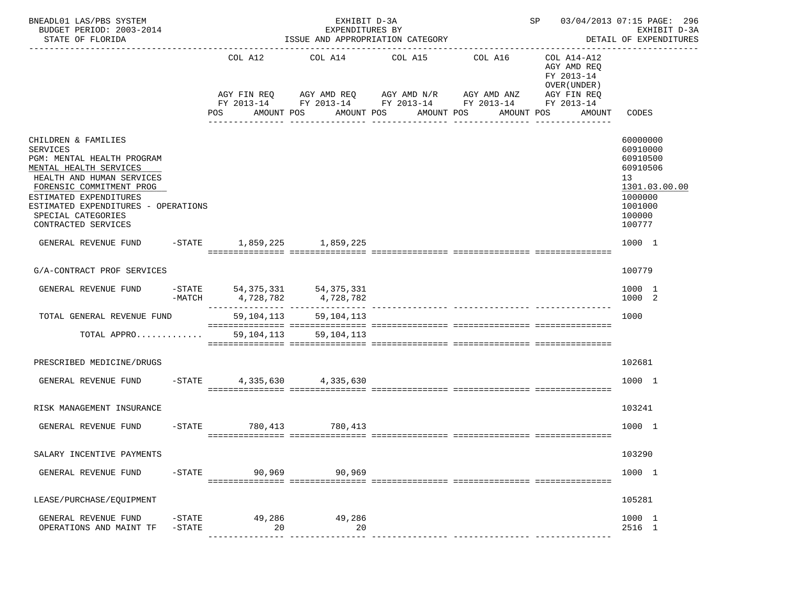| BNEADL01 LAS/PBS SYSTEM<br>BUDGET PERIOD: 2003-2014<br>STATE OF FLORIDA                                                                                                                                                                                               |                                   | EXHIBIT D-3A<br>EXPENDITURES BY<br>ISSUE AND APPROPRIATION CATEGORY                                                                                            |                       |            |                                                                                       | SP 03/04/2013 07:15 PAGE: 296<br>EXHIBIT D-3A<br>DETAIL OF EXPENDITURES                                       |
|-----------------------------------------------------------------------------------------------------------------------------------------------------------------------------------------------------------------------------------------------------------------------|-----------------------------------|----------------------------------------------------------------------------------------------------------------------------------------------------------------|-----------------------|------------|---------------------------------------------------------------------------------------|---------------------------------------------------------------------------------------------------------------|
|                                                                                                                                                                                                                                                                       | COL A12<br>POS                    | COL A14 COL A15 COL A16<br>AGY FIN REQ AGY AMD REQ AGY AMD N/R AGY AMD ANZ AGY FIN REQ<br>FY 2013-14 FY 2013-14 FY 2013-14 FY 2013-14 FY 2013-14<br>AMOUNT POS | AMOUNT POS AMOUNT POS | AMOUNT POS | COL A14-A12<br>AGY AMD REQ<br>FY 2013-14<br>OVER (UNDER)<br>AMOUNT<br>_______________ | CODES                                                                                                         |
| CHILDREN & FAMILIES<br><b>SERVICES</b><br>PGM: MENTAL HEALTH PROGRAM<br>MENTAL HEALTH SERVICES<br>HEALTH AND HUMAN SERVICES<br>FORENSIC COMMITMENT PROG<br>ESTIMATED EXPENDITURES<br>ESTIMATED EXPENDITURES - OPERATIONS<br>SPECIAL CATEGORIES<br>CONTRACTED SERVICES |                                   |                                                                                                                                                                |                       |            |                                                                                       | 60000000<br>60910000<br>60910500<br>60910506<br>13<br>1301.03.00.00<br>1000000<br>1001000<br>100000<br>100777 |
| GENERAL REVENUE FUND                                                                                                                                                                                                                                                  | -STATE 1,859,225 1,859,225        |                                                                                                                                                                |                       |            |                                                                                       | 1000 1                                                                                                        |
| G/A-CONTRACT PROF SERVICES                                                                                                                                                                                                                                            |                                   |                                                                                                                                                                |                       |            |                                                                                       | 100779                                                                                                        |
| GENERAL REVENUE FUND                                                                                                                                                                                                                                                  |                                   | $-$ STATE 54, 375, 331 54, 375, 331<br>$-MATCH$ 4, 728, 782 4, 728, 782                                                                                        |                       |            |                                                                                       | 1000 1<br>1000 2                                                                                              |
| TOTAL GENERAL REVENUE FUND                                                                                                                                                                                                                                            |                                   | 59, 104, 113 59, 104, 113                                                                                                                                      |                       |            |                                                                                       | 1000                                                                                                          |
| TOTAL APPRO 59,104,113 59,104,113                                                                                                                                                                                                                                     |                                   |                                                                                                                                                                |                       |            |                                                                                       |                                                                                                               |
| PRESCRIBED MEDICINE/DRUGS                                                                                                                                                                                                                                             |                                   |                                                                                                                                                                |                       |            |                                                                                       | 102681                                                                                                        |
| GENERAL REVENUE FUND                                                                                                                                                                                                                                                  | $-$ STATE 4, 335, 630 4, 335, 630 |                                                                                                                                                                |                       |            |                                                                                       | 1000 1                                                                                                        |
| RISK MANAGEMENT INSURANCE                                                                                                                                                                                                                                             |                                   |                                                                                                                                                                |                       |            |                                                                                       | 103241                                                                                                        |
| GENERAL REVENUE FUND                                                                                                                                                                                                                                                  | -STATE 780.413 780.413            |                                                                                                                                                                |                       |            |                                                                                       | 1000 1                                                                                                        |
| SALARY INCENTIVE PAYMENTS                                                                                                                                                                                                                                             |                                   |                                                                                                                                                                |                       |            |                                                                                       | 103290                                                                                                        |
| $-$ STATE<br>GENERAL REVENUE FUND                                                                                                                                                                                                                                     | 90,969                            | 90,969                                                                                                                                                         |                       |            |                                                                                       | 1000 1                                                                                                        |
| LEASE/PURCHASE/EQUIPMENT                                                                                                                                                                                                                                              |                                   |                                                                                                                                                                |                       |            |                                                                                       | 105281                                                                                                        |
| GENERAL REVENUE FUND<br>$-STATE$<br>OPERATIONS AND MAINT TF<br>$-STATE$                                                                                                                                                                                               | 49,286<br>20                      | 49,286<br>20                                                                                                                                                   |                       |            |                                                                                       | 1000 1<br>2516 1                                                                                              |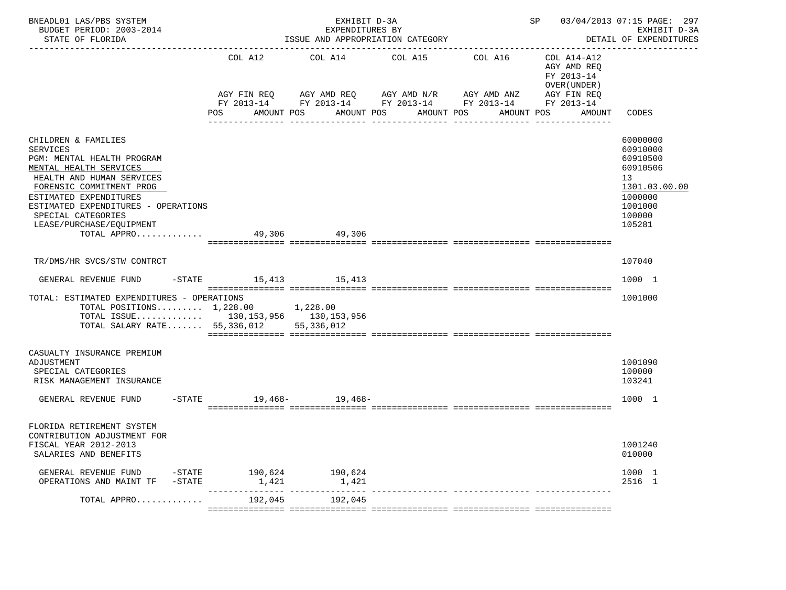| BNEADL01 LAS/PBS SYSTEM<br>BUDGET PERIOD: 2003-2014<br>STATE OF FLORIDA                                                                                                                                                                                                                                 |                                 | EXHIBIT D-3A<br>EXPENDITURES BY<br>ISSUE AND APPROPRIATION CATEGORY                                       |                                                                        | SP 03/04/2013 07:15 PAGE: 297 | EXHIBIT D-3A<br>DETAIL OF EXPENDITURES<br>______________                          |                                                                                                               |
|---------------------------------------------------------------------------------------------------------------------------------------------------------------------------------------------------------------------------------------------------------------------------------------------------------|---------------------------------|-----------------------------------------------------------------------------------------------------------|------------------------------------------------------------------------|-------------------------------|-----------------------------------------------------------------------------------|---------------------------------------------------------------------------------------------------------------|
|                                                                                                                                                                                                                                                                                                         | COL A12<br>POS<br>AMOUNT POS    | AGY FIN REQ AGY AMD REQ AGY AMD N/R AGY AMD ANZ<br>FY 2013-14 FY 2013-14 FY 2013-14 FY 2013-14 FY 2013-14 | COL A14 COL A15 COL A16<br>AMOUNT POS<br>AMOUNT POS<br>_______________ | AMOUNT POS                    | COL A14-A12<br>AGY AMD REQ<br>FY 2013-14<br>OVER (UNDER)<br>AGY FIN REQ<br>AMOUNT | CODES                                                                                                         |
| CHILDREN & FAMILIES<br><b>SERVICES</b><br>PGM: MENTAL HEALTH PROGRAM<br>MENTAL HEALTH SERVICES<br>HEALTH AND HUMAN SERVICES<br>FORENSIC COMMITMENT PROG<br>ESTIMATED EXPENDITURES<br>ESTIMATED EXPENDITURES - OPERATIONS<br>SPECIAL CATEGORIES<br>LEASE/PURCHASE/EQUIPMENT<br>TOTAL APPRO 49,306 49,306 |                                 |                                                                                                           |                                                                        |                               |                                                                                   | 60000000<br>60910000<br>60910500<br>60910506<br>13<br>1301.03.00.00<br>1000000<br>1001000<br>100000<br>105281 |
| TR/DMS/HR SVCS/STW CONTRCT                                                                                                                                                                                                                                                                              |                                 |                                                                                                           |                                                                        |                               |                                                                                   | 107040                                                                                                        |
| GENERAL REVENUE FUND                                                                                                                                                                                                                                                                                    | -STATE 15,413 15,413            |                                                                                                           |                                                                        |                               |                                                                                   | 1000 1                                                                                                        |
| TOTAL: ESTIMATED EXPENDITURES - OPERATIONS<br>TOTAL POSITIONS $1,228.00$ 1,228.00<br>TOTAL ISSUE 130, 153, 956 130, 153, 956<br>TOTAL SALARY RATE 55,336,012 55,336,012                                                                                                                                 |                                 |                                                                                                           |                                                                        |                               |                                                                                   | 1001000                                                                                                       |
| CASUALTY INSURANCE PREMIUM<br>ADJUSTMENT<br>SPECIAL CATEGORIES<br>RISK MANAGEMENT INSURANCE<br>GENERAL REVENUE FUND                                                                                                                                                                                     | -STATE 19,468- 19,468-          |                                                                                                           |                                                                        |                               |                                                                                   | 1001090<br>100000<br>103241<br>1000 1                                                                         |
|                                                                                                                                                                                                                                                                                                         |                                 |                                                                                                           |                                                                        |                               |                                                                                   |                                                                                                               |
| FLORIDA RETIREMENT SYSTEM<br>CONTRIBUTION ADJUSTMENT FOR<br>FISCAL YEAR 2012-2013<br>SALARIES AND BENEFITS                                                                                                                                                                                              |                                 |                                                                                                           |                                                                        |                               |                                                                                   | 1001240<br>010000                                                                                             |
| GENERAL REVENUE FUND<br>OPERATIONS AND MAINT TF<br>-STATE                                                                                                                                                                                                                                               | -STATE 190,624 190,624<br>1,421 | 1,421                                                                                                     |                                                                        |                               |                                                                                   | 1000 1<br>2516 1                                                                                              |
| TOTAL APPRO                                                                                                                                                                                                                                                                                             | 192,045                         | 192,045                                                                                                   |                                                                        |                               |                                                                                   |                                                                                                               |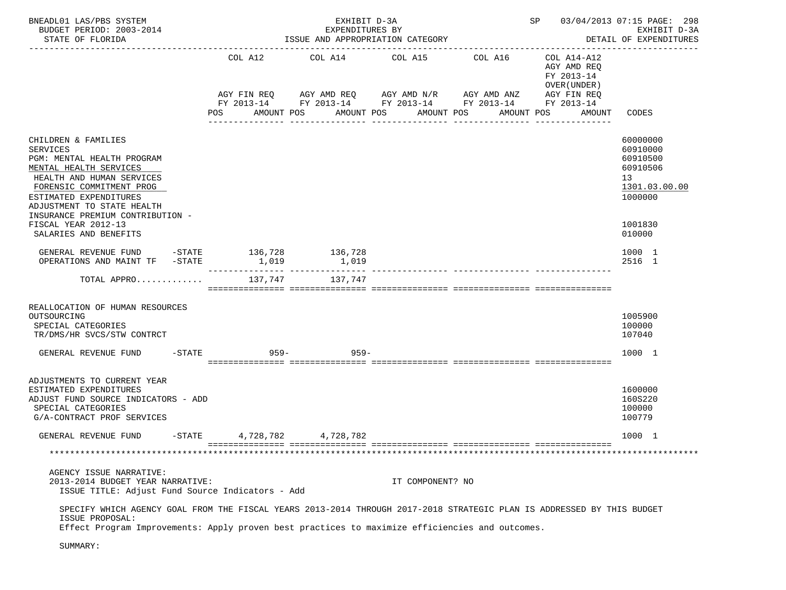| BNEADL01 LAS/PBS SYSTEM<br>BUDGET PERIOD: 2003-2014<br>STATE OF FLORIDA                                                                                                                                                                                                                      |                  | EXHIBIT D-3A<br>EXPENDITURES BY<br>ISSUE AND APPROPRIATION CATEGORY                                                                                            |                       | SP 03/04/2013 07:15 PAGE: 298                                                    | EXHIBIT D-3A<br>DETAIL OF EXPENDITURES                                                              |
|----------------------------------------------------------------------------------------------------------------------------------------------------------------------------------------------------------------------------------------------------------------------------------------------|------------------|----------------------------------------------------------------------------------------------------------------------------------------------------------------|-----------------------|----------------------------------------------------------------------------------|-----------------------------------------------------------------------------------------------------|
|                                                                                                                                                                                                                                                                                              | COL A12<br>POS   | COL A14 COL A15 COL A16<br>AGY FIN REQ AGY AMD REQ AGY AMD N/R AGY AMD ANZ AGY FIN REQ<br>FY 2013-14 FY 2013-14 FY 2013-14 FY 2013-14 FY 2013-14<br>AMOUNT POS | AMOUNT POS AMOUNT POS | COL A14-A12<br>AGY AMD REO<br>FY 2013-14<br>OVER (UNDER)<br>AMOUNT POS<br>AMOUNT | CODES                                                                                               |
| CHILDREN & FAMILIES<br>SERVICES<br>PGM: MENTAL HEALTH PROGRAM<br>MENTAL HEALTH SERVICES<br>HEALTH AND HUMAN SERVICES<br>FORENSIC COMMITMENT PROG<br>ESTIMATED EXPENDITURES<br>ADJUSTMENT TO STATE HEALTH<br>INSURANCE PREMIUM CONTRIBUTION -<br>FISCAL YEAR 2012-13<br>SALARIES AND BENEFITS |                  |                                                                                                                                                                |                       |                                                                                  | 60000000<br>60910000<br>60910500<br>60910506<br>13<br>1301.03.00.00<br>1000000<br>1001830<br>010000 |
| GENERAL REVENUE FUND -STATE 136,728<br>OPERATIONS AND MAINT TF -STATE                                                                                                                                                                                                                        | 1,019            | 136,728<br>1,019                                                                                                                                               |                       |                                                                                  | 1000 1<br>2516 1                                                                                    |
| TOTAL APPRO                                                                                                                                                                                                                                                                                  | 137,747          | 137,747                                                                                                                                                        |                       |                                                                                  |                                                                                                     |
| REALLOCATION OF HUMAN RESOURCES<br>OUTSOURCING<br>SPECIAL CATEGORIES<br>TR/DMS/HR SVCS/STW CONTRCT                                                                                                                                                                                           |                  |                                                                                                                                                                |                       |                                                                                  | 1005900<br>100000<br>107040                                                                         |
| $-$ STATE<br>GENERAL REVENUE FUND                                                                                                                                                                                                                                                            | 959–             | $959 -$                                                                                                                                                        |                       |                                                                                  | 1000 1                                                                                              |
| ADJUSTMENTS TO CURRENT YEAR<br>ESTIMATED EXPENDITURES<br>ADJUST FUND SOURCE INDICATORS - ADD<br>SPECIAL CATEGORIES<br>G/A-CONTRACT PROF SERVICES                                                                                                                                             |                  |                                                                                                                                                                |                       |                                                                                  | 1600000<br>160S220<br>100000<br>100779                                                              |
| GENERAL REVENUE FUND                                                                                                                                                                                                                                                                         | -STATE 4,728,782 | 4,728,782                                                                                                                                                      |                       |                                                                                  | 1000 1                                                                                              |
|                                                                                                                                                                                                                                                                                              |                  |                                                                                                                                                                |                       |                                                                                  |                                                                                                     |
| AGENCY ISSUE NARRATIVE:<br>2013-2014 BUDGET YEAR NARRATIVE:<br>ISSUE TITLE: Adjust Fund Source Indicators - Add                                                                                                                                                                              |                  |                                                                                                                                                                | IT COMPONENT? NO      |                                                                                  |                                                                                                     |
| SPECIFY WHICH AGENCY GOAL FROM THE FISCAL YEARS 2013-2014 THROUGH 2017-2018 STRATEGIC PLAN IS ADDRESSED BY THIS BUDGET<br>ISSUE PROPOSAL:<br>Effect Program Improvements: Apply proven best practices to maximize efficiencies and outcomes.                                                 |                  |                                                                                                                                                                |                       |                                                                                  |                                                                                                     |

SUMMARY: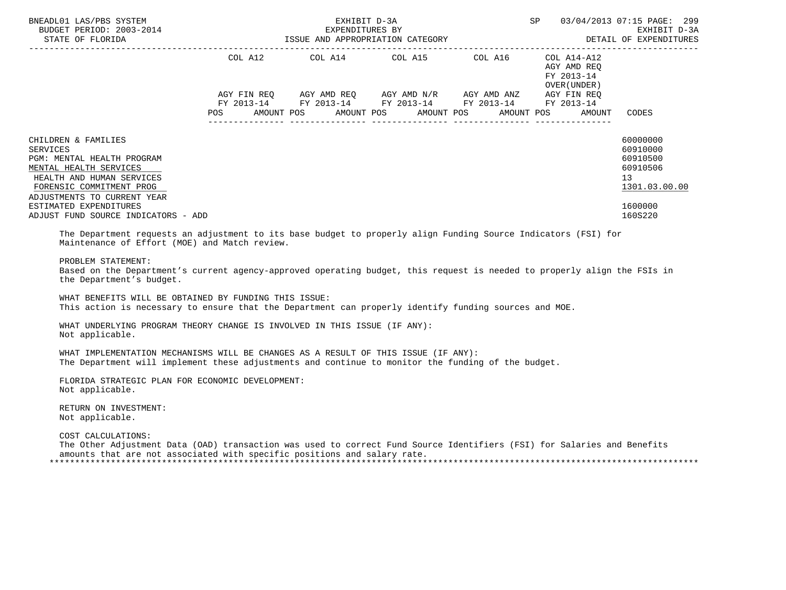| BNEADL01 LAS/PBS SYSTEM<br>BUDGET PERIOD: 2003-2014<br>STATE OF FLORIDA                                                                                                         |                                  | EXHIBIT D-3A<br>EXPENDITURES BY<br>ISSUE AND APPROPRIATION CATEGORY             |                                                 | SP.     | 03/04/2013 07:15 PAGE: 299<br>EXHIBIT D-3A<br>DETAIL OF EXPENDITURES |                                                                     |
|---------------------------------------------------------------------------------------------------------------------------------------------------------------------------------|----------------------------------|---------------------------------------------------------------------------------|-------------------------------------------------|---------|----------------------------------------------------------------------|---------------------------------------------------------------------|
|                                                                                                                                                                                 | COL A12                          | COL A14 COL A15                                                                 |                                                 | COL A16 | COL A14-A12<br>AGY AMD REO<br>FY 2013-14<br>OVER (UNDER)             |                                                                     |
|                                                                                                                                                                                 | AGY FIN REO<br>FY 2013-14<br>POS | FY 2013-14 FY 2013-14 FY 2013-14<br>AMOUNT POS AMOUNT POS AMOUNT POS AMOUNT POS | AGY AMD REQ       AGY AMD N/R       AGY AMD ANZ |         | AGY FIN REO<br>FY 2013-14<br>AMOUNT                                  | CODES                                                               |
| CHILDREN & FAMILIES<br>SERVICES<br>PGM: MENTAL HEALTH PROGRAM<br>MENTAL HEALTH SERVICES<br>HEALTH AND HUMAN SERVICES<br>FORENSIC COMMITMENT PROG<br>ADJUSTMENTS TO CURRENT YEAR |                                  |                                                                                 |                                                 |         |                                                                      | 60000000<br>60910000<br>60910500<br>60910506<br>13<br>1301.03.00.00 |
| ESTIMATED EXPENDITURES<br>ADJUST FUND SOURCE INDICATORS - ADD<br>mbi Ricionale oricine in iddictation to des bias bodier et colorum in the Adam Acole Arthur Artes (AAT) film   |                                  |                                                                                 |                                                 |         |                                                                      | 1600000<br>160S220                                                  |

 The Department requests an adjustment to its base budget to properly align Funding Source Indicators (FSI) for Maintenance of Effort (MOE) and Match review.

### PROBLEM STATEMENT:

 Based on the Department's current agency-approved operating budget, this request is needed to properly align the FSIs in the Department's budget.

 WHAT BENEFITS WILL BE OBTAINED BY FUNDING THIS ISSUE: This action is necessary to ensure that the Department can properly identify funding sources and MOE.

 WHAT UNDERLYING PROGRAM THEORY CHANGE IS INVOLVED IN THIS ISSUE (IF ANY): Not applicable.

 WHAT IMPLEMENTATION MECHANISMS WILL BE CHANGES AS A RESULT OF THIS ISSUE (IF ANY): The Department will implement these adjustments and continue to monitor the funding of the budget.

 FLORIDA STRATEGIC PLAN FOR ECONOMIC DEVELOPMENT: Not applicable.

 RETURN ON INVESTMENT: Not applicable.

 COST CALCULATIONS: The Other Adjustment Data (OAD) transaction was used to correct Fund Source Identifiers (FSI) for Salaries and Benefits amounts that are not associated with specific positions and salary rate. \*\*\*\*\*\*\*\*\*\*\*\*\*\*\*\*\*\*\*\*\*\*\*\*\*\*\*\*\*\*\*\*\*\*\*\*\*\*\*\*\*\*\*\*\*\*\*\*\*\*\*\*\*\*\*\*\*\*\*\*\*\*\*\*\*\*\*\*\*\*\*\*\*\*\*\*\*\*\*\*\*\*\*\*\*\*\*\*\*\*\*\*\*\*\*\*\*\*\*\*\*\*\*\*\*\*\*\*\*\*\*\*\*\*\*\*\*\*\*\*\*\*\*\*\*\*\*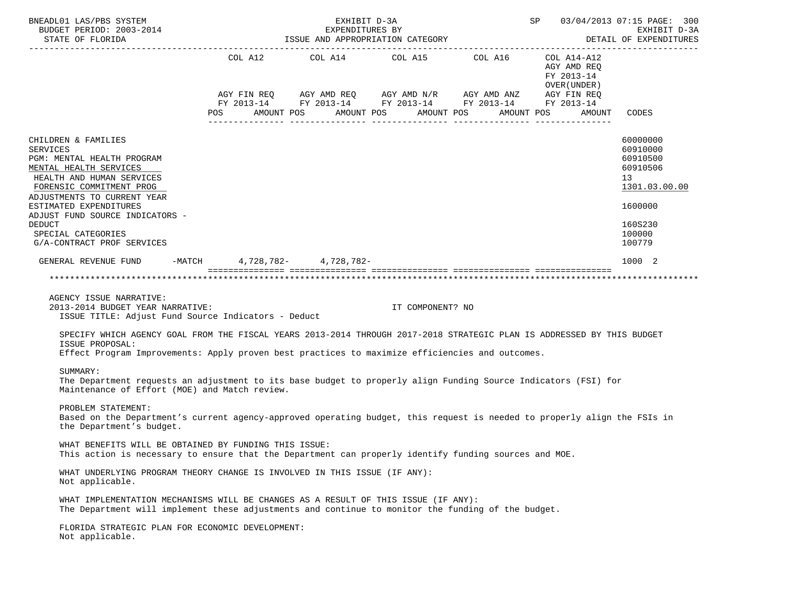|                                                                                                                                                                                                                                              |  | BNEADL01 LAS/PBS SYSTEM<br>EXHIBIT D-3A<br>SP 03/04/2013 07:15 PAGE: 300<br>BUDGET PERIOD: 2003-2014<br>EXPENDITURES BY<br>DETAIL OF EXPENDITURES<br>ISSUE AND APPROPRIATION CATEGORY<br>STATE OF FLORIDA |                                                           |                                                              |                      |  |  |  |  |  |  |
|----------------------------------------------------------------------------------------------------------------------------------------------------------------------------------------------------------------------------------------------|--|-----------------------------------------------------------------------------------------------------------------------------------------------------------------------------------------------------------|-----------------------------------------------------------|--------------------------------------------------------------|----------------------|--|--|--|--|--|--|
|                                                                                                                                                                                                                                              |  | COL A12 COL A14 COL A15 COL A16                                                                                                                                                                           | COL A14-A12<br>AGY AMD REQ<br>FY 2013-14<br>OVER (UNDER ) |                                                              |                      |  |  |  |  |  |  |
|                                                                                                                                                                                                                                              |  | AGY FIN REQ AGY AMD REQ AGY AMD N/R AGY AMD ANZ AGY FIN REQ<br>FY 2013-14 FY 2013-14 FY 2013-14 FY 2013-14 FY 2013-14                                                                                     |                                                           |                                                              |                      |  |  |  |  |  |  |
|                                                                                                                                                                                                                                              |  |                                                                                                                                                                                                           |                                                           | POS AMOUNT POS AMOUNT POS AMOUNT POS AMOUNT POS AMOUNT CODES |                      |  |  |  |  |  |  |
| CHILDREN & FAMILIES<br><b>SERVICES</b>                                                                                                                                                                                                       |  |                                                                                                                                                                                                           |                                                           |                                                              | 60000000<br>60910000 |  |  |  |  |  |  |
| PGM: MENTAL HEALTH PROGRAM<br>MENTAL HEALTH SERVICES                                                                                                                                                                                         |  |                                                                                                                                                                                                           |                                                           |                                                              | 60910500<br>60910506 |  |  |  |  |  |  |
| HEALTH AND HUMAN SERVICES<br>FORENSIC COMMITMENT PROG                                                                                                                                                                                        |  |                                                                                                                                                                                                           |                                                           |                                                              | 13<br>1301.03.00.00  |  |  |  |  |  |  |
| ADJUSTMENTS TO CURRENT YEAR<br>ESTIMATED EXPENDITURES<br>ADJUST FUND SOURCE INDICATORS -                                                                                                                                                     |  |                                                                                                                                                                                                           |                                                           |                                                              | 1600000              |  |  |  |  |  |  |
| <b>DEDUCT</b>                                                                                                                                                                                                                                |  |                                                                                                                                                                                                           |                                                           |                                                              | 160S230              |  |  |  |  |  |  |
| SPECIAL CATEGORIES<br>G/A-CONTRACT PROF SERVICES                                                                                                                                                                                             |  |                                                                                                                                                                                                           |                                                           |                                                              | 100000<br>100779     |  |  |  |  |  |  |
| GENERAL REVENUE FUND -MATCH 4,728,782- 4,728,782-                                                                                                                                                                                            |  |                                                                                                                                                                                                           |                                                           |                                                              | 1000 2               |  |  |  |  |  |  |
|                                                                                                                                                                                                                                              |  |                                                                                                                                                                                                           |                                                           |                                                              |                      |  |  |  |  |  |  |
| AGENCY ISSUE NARRATIVE:<br>2013-2014 BUDGET YEAR NARRATIVE:<br>ISSUE TITLE: Adjust Fund Source Indicators - Deduct                                                                                                                           |  | IT COMPONENT? NO                                                                                                                                                                                          |                                                           |                                                              |                      |  |  |  |  |  |  |
| SPECIFY WHICH AGENCY GOAL FROM THE FISCAL YEARS 2013-2014 THROUGH 2017-2018 STRATEGIC PLAN IS ADDRESSED BY THIS BUDGET<br>ISSUE PROPOSAL:<br>Effect Program Improvements: Apply proven best practices to maximize efficiencies and outcomes. |  |                                                                                                                                                                                                           |                                                           |                                                              |                      |  |  |  |  |  |  |
| SUMMARY:<br>The Department requests an adjustment to its base budget to properly align Funding Source Indicators (FSI) for<br>Maintenance of Effort (MOE) and Match review.                                                                  |  |                                                                                                                                                                                                           |                                                           |                                                              |                      |  |  |  |  |  |  |
| PROBLEM STATEMENT:<br>Based on the Department's current agency-approved operating budget, this request is needed to properly align the FSIs in<br>the Department's budget.                                                                   |  |                                                                                                                                                                                                           |                                                           |                                                              |                      |  |  |  |  |  |  |
| WHAT BENEFITS WILL BE OBTAINED BY FUNDING THIS ISSUE:<br>This action is necessary to ensure that the Department can properly identify funding sources and MOE.                                                                               |  |                                                                                                                                                                                                           |                                                           |                                                              |                      |  |  |  |  |  |  |
| WHAT UNDERLYING PROGRAM THEORY CHANGE IS INVOLVED IN THIS ISSUE (IF ANY):<br>Not applicable.                                                                                                                                                 |  |                                                                                                                                                                                                           |                                                           |                                                              |                      |  |  |  |  |  |  |
| WHAT IMPLEMENTATION MECHANISMS WILL BE CHANGES AS A RESULT OF THIS ISSUE (IF ANY):<br>The Department will implement these adjustments and continue to monitor the funding of the budget.                                                     |  |                                                                                                                                                                                                           |                                                           |                                                              |                      |  |  |  |  |  |  |
| FLORIDA STRATEGIC PLAN FOR ECONOMIC DEVELOPMENT:<br>Not applicable.                                                                                                                                                                          |  |                                                                                                                                                                                                           |                                                           |                                                              |                      |  |  |  |  |  |  |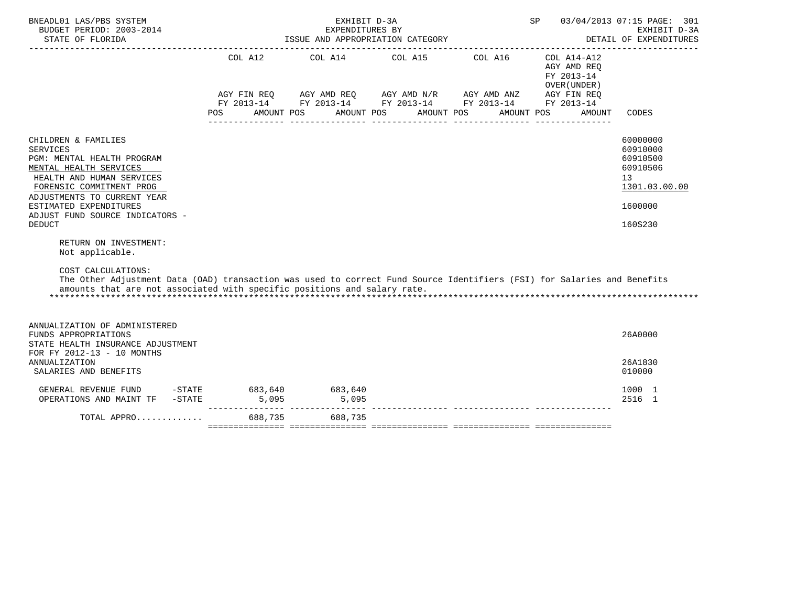| BNEADL01 LAS/PBS SYSTEM<br>BUDGET PERIOD: 2003-2014<br>STATE OF FLORIDA                                                                                                                                                                                                                                                                                                                                                                                                                                                                       |            | EXHIBIT D-3A<br>EXPENDITURES BY<br>ISSUE AND APPROPRIATION CATEGORY                                                                           | SP         | 03/04/2013 07:15 PAGE: 301<br>EXHIBIT D-3A<br>DETAIL OF EXPENDITURES |                                                                                  |                                                                                           |
|-----------------------------------------------------------------------------------------------------------------------------------------------------------------------------------------------------------------------------------------------------------------------------------------------------------------------------------------------------------------------------------------------------------------------------------------------------------------------------------------------------------------------------------------------|------------|-----------------------------------------------------------------------------------------------------------------------------------------------|------------|----------------------------------------------------------------------|----------------------------------------------------------------------------------|-------------------------------------------------------------------------------------------|
|                                                                                                                                                                                                                                                                                                                                                                                                                                                                                                                                               | <b>POS</b> | COL A12 COL A14 COL A15 COL A16<br>AGY FIN REQ AGY AMD REQ AGY AMD N/R AGY AMD ANZ AGY FIN REQ FY 2013-14 FY 2013-14 FY 2013-14<br>AMOUNT POS | AMOUNT POS | AMOUNT POS                                                           | COL A14-A12<br>AGY AMD REQ<br>FY 2013-14<br>OVER (UNDER)<br>AMOUNT POS<br>AMOUNT | CODES                                                                                     |
| CHILDREN & FAMILIES<br><b>SERVICES</b><br>PGM: MENTAL HEALTH PROGRAM<br>MENTAL HEALTH SERVICES<br>HEALTH AND HUMAN SERVICES<br>FORENSIC COMMITMENT PROG<br>ADJUSTMENTS TO CURRENT YEAR<br>ESTIMATED EXPENDITURES<br>ADJUST FUND SOURCE INDICATORS -<br><b>DEDUCT</b><br>RETURN ON INVESTMENT:<br>Not applicable.<br>COST CALCULATIONS:<br>The Other Adjustment Data (OAD) transaction was used to correct Fund Source Identifiers (FSI) for Salaries and Benefits<br>amounts that are not associated with specific positions and salary rate. |            |                                                                                                                                               |            |                                                                      |                                                                                  | 60000000<br>60910000<br>60910500<br>60910506<br>13<br>1301.03.00.00<br>1600000<br>160S230 |
| ANNUALIZATION OF ADMINISTERED<br>FUNDS APPROPRIATIONS<br>STATE HEALTH INSURANCE ADJUSTMENT<br>FOR FY 2012-13 - 10 MONTHS                                                                                                                                                                                                                                                                                                                                                                                                                      |            |                                                                                                                                               |            |                                                                      |                                                                                  | 26A0000                                                                                   |
| ANNUALIZATION<br>SALARIES AND BENEFITS                                                                                                                                                                                                                                                                                                                                                                                                                                                                                                        |            |                                                                                                                                               |            |                                                                      |                                                                                  | 26A1830<br>010000                                                                         |
| GENERAL REVENUE FUND -STATE<br>OPERATIONS AND MAINT TF -STATE                                                                                                                                                                                                                                                                                                                                                                                                                                                                                 |            | 683,640 683,640<br>5,095 5,095                                                                                                                |            |                                                                      |                                                                                  | 1000 1<br>2516 1                                                                          |
| TOTAL APPRO  688,735 688,735                                                                                                                                                                                                                                                                                                                                                                                                                                                                                                                  |            |                                                                                                                                               |            |                                                                      |                                                                                  |                                                                                           |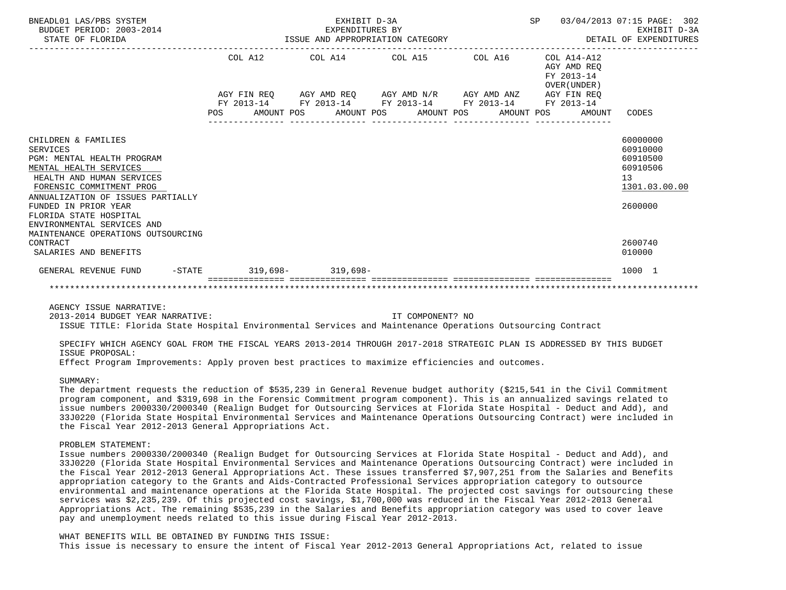| BNEADL01 LAS/PBS SYSTEM<br>BUDGET PERIOD: 2003-2014<br>STATE OF FLORIDA                                                                                                                                                                                                                                     | EXPENDITURES BY<br>ISSUE AND APPROPRIATION CATEGORY | 03/04/2013 07:15 PAGE: 302<br>EXHIBIT D-3A<br>DETAIL OF EXPENDITURES |                                                                                                           |                                                          |                                                                                |
|-------------------------------------------------------------------------------------------------------------------------------------------------------------------------------------------------------------------------------------------------------------------------------------------------------------|-----------------------------------------------------|----------------------------------------------------------------------|-----------------------------------------------------------------------------------------------------------|----------------------------------------------------------|--------------------------------------------------------------------------------|
|                                                                                                                                                                                                                                                                                                             | COL A12                                             |                                                                      | COL A14 COL A15 COL A16                                                                                   | COL A14-A12<br>AGY AMD REO<br>FY 2013-14<br>OVER (UNDER) |                                                                                |
|                                                                                                                                                                                                                                                                                                             |                                                     |                                                                      | AGY FIN REQ AGY AMD REQ AGY AMD N/R AGY AMD ANZ AGY FIN REQ                                               |                                                          |                                                                                |
|                                                                                                                                                                                                                                                                                                             | <b>POS</b>                                          |                                                                      | FY 2013-14 FY 2013-14 FY 2013-14 FY 2013-14<br>AMOUNT POS      AMOUNT POS      AMOUNT POS      AMOUNT POS | FY 2013-14<br>AMOUNT                                     | CODES                                                                          |
| CHILDREN & FAMILIES<br>SERVICES<br>PGM: MENTAL HEALTH PROGRAM<br>MENTAL HEALTH SERVICES<br>HEALTH AND HUMAN SERVICES<br>FORENSIC COMMITMENT PROG<br>ANNUALIZATION OF ISSUES PARTIALLY<br>FUNDED IN PRIOR YEAR<br>FLORIDA STATE HOSPITAL<br>ENVIRONMENTAL SERVICES AND<br>MAINTENANCE OPERATIONS OUTSOURCING |                                                     |                                                                      |                                                                                                           |                                                          | 60000000<br>60910000<br>60910500<br>60910506<br>13<br>1301.03.00.00<br>2600000 |
| CONTRACT<br>SALARIES AND BENEFITS                                                                                                                                                                                                                                                                           |                                                     |                                                                      |                                                                                                           |                                                          | 2600740<br>010000                                                              |
| $-$ STATE<br>GENERAL REVENUE FUND                                                                                                                                                                                                                                                                           |                                                     | $319.698 - 319.698 -$                                                |                                                                                                           |                                                          | 1000 1                                                                         |
|                                                                                                                                                                                                                                                                                                             |                                                     |                                                                      |                                                                                                           |                                                          |                                                                                |

AGENCY ISSUE NARRATIVE:

2013-2014 BUDGET YEAR NARRATIVE: IT COMPONENT? NO

ISSUE TITLE: Florida State Hospital Environmental Services and Maintenance Operations Outsourcing Contract

 SPECIFY WHICH AGENCY GOAL FROM THE FISCAL YEARS 2013-2014 THROUGH 2017-2018 STRATEGIC PLAN IS ADDRESSED BY THIS BUDGET ISSUE PROPOSAL:

Effect Program Improvements: Apply proven best practices to maximize efficiencies and outcomes.

### SUMMARY:

 The department requests the reduction of \$535,239 in General Revenue budget authority (\$215,541 in the Civil Commitment program component, and \$319,698 in the Forensic Commitment program component). This is an annualized savings related to issue numbers 2000330/2000340 (Realign Budget for Outsourcing Services at Florida State Hospital - Deduct and Add), and 33J0220 (Florida State Hospital Environmental Services and Maintenance Operations Outsourcing Contract) were included in the Fiscal Year 2012-2013 General Appropriations Act.

#### PROBLEM STATEMENT:

 Issue numbers 2000330/2000340 (Realign Budget for Outsourcing Services at Florida State Hospital - Deduct and Add), and 33J0220 (Florida State Hospital Environmental Services and Maintenance Operations Outsourcing Contract) were included in the Fiscal Year 2012-2013 General Appropriations Act. These issues transferred \$7,907,251 from the Salaries and Benefits appropriation category to the Grants and Aids-Contracted Professional Services appropriation category to outsource environmental and maintenance operations at the Florida State Hospital. The projected cost savings for outsourcing these services was \$2,235,239. Of this projected cost savings, \$1,700,000 was reduced in the Fiscal Year 2012-2013 General Appropriations Act. The remaining \$535,239 in the Salaries and Benefits appropriation category was used to cover leave pay and unemployment needs related to this issue during Fiscal Year 2012-2013.

 WHAT BENEFITS WILL BE OBTAINED BY FUNDING THIS ISSUE: This issue is necessary to ensure the intent of Fiscal Year 2012-2013 General Appropriations Act, related to issue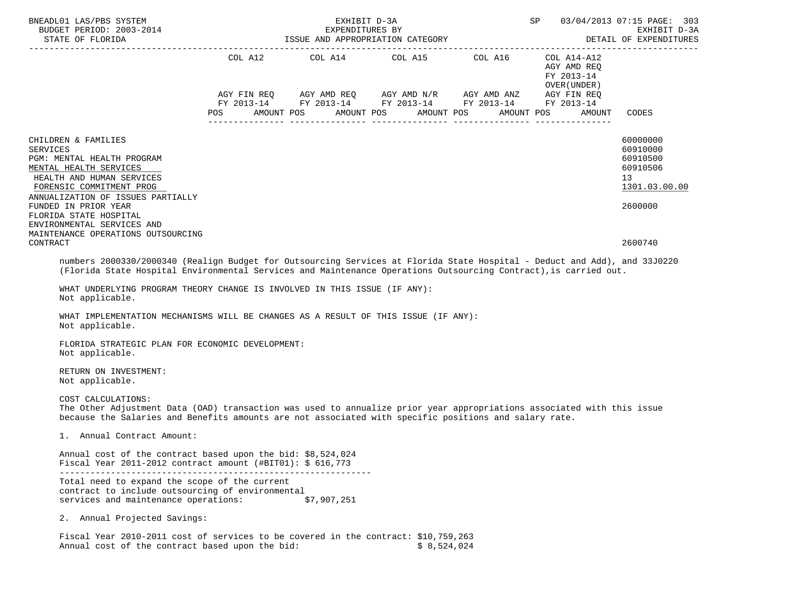| BNEADL01 LAS/PBS SYSTEM<br>BUDGET PERIOD: 2003-2014<br>STATE OF FLORIDA                                                                                                                                                                                                                                                   | EXHIBIT D-3A<br>EXPENDITURES BY<br>ISSUE AND APPROPRIATION CATEGORY                |  | SP 03/04/2013 07:15 PAGE: 303<br>EXHIBIT D-3A<br>DETAIL OF EXPENDITURES |                                                                                |
|---------------------------------------------------------------------------------------------------------------------------------------------------------------------------------------------------------------------------------------------------------------------------------------------------------------------------|------------------------------------------------------------------------------------|--|-------------------------------------------------------------------------|--------------------------------------------------------------------------------|
|                                                                                                                                                                                                                                                                                                                           | COL A12 COL A14 COL A15 COL A16<br>POS AMOUNT POS AMOUNT POS AMOUNT POS AMOUNT POS |  | COL A14-A12<br>AGY AMD REO<br>FY 2013-14<br>OVER ( UNDER )<br>AMOUNT    | CODES                                                                          |
| CHILDREN & FAMILIES<br><b>SERVICES</b><br>PGM: MENTAL HEALTH PROGRAM<br>MENTAL HEALTH SERVICES<br>HEALTH AND HUMAN SERVICES<br>FORENSIC COMMITMENT PROG<br>ANNUALIZATION OF ISSUES PARTIALLY<br>FUNDED IN PRIOR YEAR<br>FLORIDA STATE HOSPITAL<br>ENVIRONMENTAL SERVICES AND                                              |                                                                                    |  |                                                                         | 60000000<br>60910000<br>60910500<br>60910506<br>13<br>1301.03.00.00<br>2600000 |
| MAINTENANCE OPERATIONS OUTSOURCING<br>CONTRACT<br>numbers 2000330/2000340 (Realign Budget for Outsourcing Services at Florida State Hospital - Deduct and Add), and 33J0220                                                                                                                                               |                                                                                    |  |                                                                         | 2600740                                                                        |
| (Florida State Hospital Environmental Services and Maintenance Operations Outsourcing Contract), is carried out.<br>WHAT UNDERLYING PROGRAM THEORY CHANGE IS INVOLVED IN THIS ISSUE (IF ANY):<br>Not applicable.<br>WHAT IMPLEMENTATION MECHANISMS WILL BE CHANGES AS A RESULT OF THIS ISSUE (IF ANY):<br>Not applicable. |                                                                                    |  |                                                                         |                                                                                |
| FLORIDA STRATEGIC PLAN FOR ECONOMIC DEVELOPMENT:<br>Not applicable.                                                                                                                                                                                                                                                       |                                                                                    |  |                                                                         |                                                                                |
| RETURN ON INVESTMENT:<br>Not applicable.                                                                                                                                                                                                                                                                                  |                                                                                    |  |                                                                         |                                                                                |
| COST CALCULATIONS:<br>The Other Adjustment Data (OAD) transaction was used to annualize prior year appropriations associated with this issue<br>because the Salaries and Benefits amounts are not associated with specific positions and salary rate.                                                                     |                                                                                    |  |                                                                         |                                                                                |
| 1. Annual Contract Amount:                                                                                                                                                                                                                                                                                                |                                                                                    |  |                                                                         |                                                                                |
| Annual cost of the contract based upon the bid: \$8,524,024<br>Fiscal Year 2011-2012 contract amount (#BIT01): $$616,773$                                                                                                                                                                                                 |                                                                                    |  |                                                                         |                                                                                |
| Total need to expand the scope of the current<br>contract to include outsourcing of environmental                                                                                                                                                                                                                         |                                                                                    |  |                                                                         |                                                                                |

services and maintenance operations: \$7,907,251

2. Annual Projected Savings:

 Fiscal Year 2010-2011 cost of services to be covered in the contract: \$10,759,263 Annual cost of the contract based upon the bid: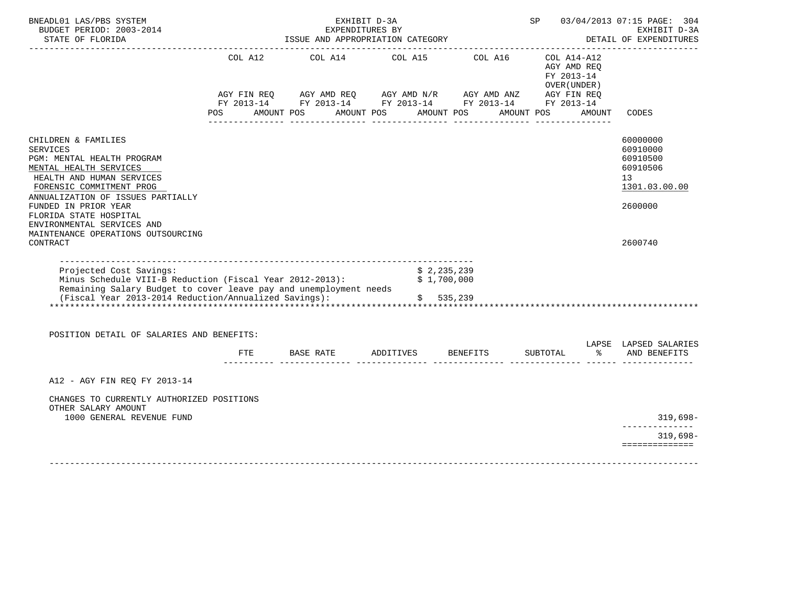| BNEADL01 LAS/PBS SYSTEM<br>BUDGET PERIOD: 2003-2014<br>STATE OF FLORIDA                                                                                                                                                                                                                                            |     | EXHIBIT D-3A<br>EXPENDITURES BY                                     | SP                                                    | 03/04/2013 07:15 PAGE: 304<br>EXHIBIT D-3A<br>DETAIL OF EXPENDITURES |                                                                         |                                                                                |
|--------------------------------------------------------------------------------------------------------------------------------------------------------------------------------------------------------------------------------------------------------------------------------------------------------------------|-----|---------------------------------------------------------------------|-------------------------------------------------------|----------------------------------------------------------------------|-------------------------------------------------------------------------|--------------------------------------------------------------------------------|
|                                                                                                                                                                                                                                                                                                                    | POS | COL A12 COL A14 COL A15 COL A16<br>AMOUNT POS AMOUNT POS AMOUNT POS |                                                       | AMOUNT POS                                                           | $COL A14- A12$<br>AGY AMD REO<br>FY 2013-14<br>OVER ( UNDER )<br>AMOUNT | CODES                                                                          |
| CHILDREN & FAMILIES<br><b>SERVICES</b><br>PGM: MENTAL HEALTH PROGRAM<br>MENTAL HEALTH SERVICES<br>HEALTH AND HUMAN SERVICES<br>FORENSIC COMMITMENT PROG<br>ANNUALIZATION OF ISSUES PARTIALLY<br>FUNDED IN PRIOR YEAR<br>FLORIDA STATE HOSPITAL<br>ENVIRONMENTAL SERVICES AND<br>MAINTENANCE OPERATIONS OUTSOURCING |     |                                                                     |                                                       |                                                                      |                                                                         | 60000000<br>60910000<br>60910500<br>60910506<br>13<br>1301.03.00.00<br>2600000 |
| CONTRACT<br>-----------------------------------<br>Projected Cost Savings:<br>Minus Schedule VIII-B Reduction (Fiscal Year 2012-2013):<br>Remaining Salary Budget to cover leave pay and unemployment needs<br>(Fiscal Year 2013-2014 Reduction/Annualized Savings):                                               |     |                                                                     | \$2,235,239<br>$\frac{5}{5}$ 2, 200, 000<br>\$535,239 |                                                                      | *************************************                                   | 2600740                                                                        |
| POSITION DETAIL OF SALARIES AND BENEFITS:                                                                                                                                                                                                                                                                          | FTE | BASE RATE ADDITIVES BENEFITS                                        |                                                       |                                                                      | SUBTOTAL                                                                | LAPSE LAPSED SALARIES<br>% AND BENEFITS                                        |
| A12 - AGY FIN REQ FY 2013-14<br>CHANGES TO CURRENTLY AUTHORIZED POSITIONS                                                                                                                                                                                                                                          |     |                                                                     |                                                       |                                                                      |                                                                         |                                                                                |
| OTHER SALARY AMOUNT<br>1000 GENERAL REVENUE FUND                                                                                                                                                                                                                                                                   |     |                                                                     |                                                       |                                                                      |                                                                         | $319,698-$<br>--------------                                                   |
|                                                                                                                                                                                                                                                                                                                    |     |                                                                     |                                                       |                                                                      |                                                                         | $319,698-$<br>==============                                                   |
|                                                                                                                                                                                                                                                                                                                    |     |                                                                     |                                                       |                                                                      |                                                                         |                                                                                |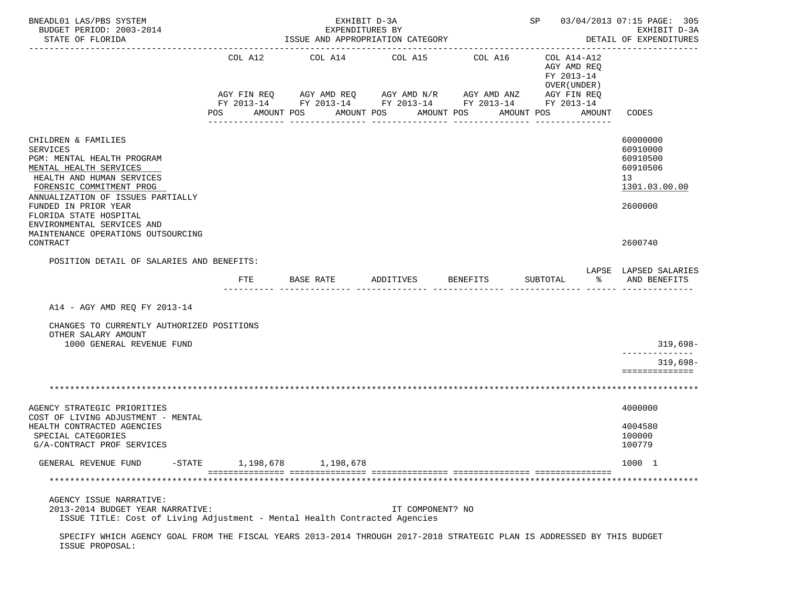| BNEADL01 LAS/PBS SYSTEM<br>BUDGET PERIOD: 2003-2014<br>STATE OF FLORIDA                                                                                             | EXHIBIT D-3A<br>EXPENDITURES BY<br>ISSUE AND APPROPRIATION CATEGORY |           |                                 |           |                          |                  |                                                                                                                       |  |                                                                                   | SP 03/04/2013 07:15 PAGE: 305<br>EXHIBIT D-3A<br>DETAIL OF EXPENDITURES |                                                                     |  |
|---------------------------------------------------------------------------------------------------------------------------------------------------------------------|---------------------------------------------------------------------|-----------|---------------------------------|-----------|--------------------------|------------------|-----------------------------------------------------------------------------------------------------------------------|--|-----------------------------------------------------------------------------------|-------------------------------------------------------------------------|---------------------------------------------------------------------|--|
|                                                                                                                                                                     | AMOUNT POS<br><b>POS</b>                                            |           | COL A12 COL A14 COL A15 COL A16 |           | AMOUNT POS<br>AMOUNT POS |                  | AGY FIN REQ AGY AMD REQ AGY AMD N/R AGY AMD ANZ AGY FIN REQ<br>FY 2013-14 FY 2013-14 FY 2013-14 FY 2013-14 FY 2013-14 |  | COL A14-A12<br>AGY AMD REO<br>FY 2013-14<br>OVER (UNDER )<br>AMOUNT POS<br>AMOUNT |                                                                         | CODES                                                               |  |
|                                                                                                                                                                     |                                                                     |           |                                 |           |                          |                  |                                                                                                                       |  |                                                                                   |                                                                         |                                                                     |  |
| CHILDREN & FAMILIES<br><b>SERVICES</b><br>PGM: MENTAL HEALTH PROGRAM<br>MENTAL HEALTH SERVICES<br>HEALTH AND HUMAN SERVICES<br>FORENSIC COMMITMENT PROG             |                                                                     |           |                                 |           |                          |                  |                                                                                                                       |  |                                                                                   |                                                                         | 60000000<br>60910000<br>60910500<br>60910506<br>13<br>1301.03.00.00 |  |
| ANNUALIZATION OF ISSUES PARTIALLY<br>FUNDED IN PRIOR YEAR<br>FLORIDA STATE HOSPITAL<br>ENVIRONMENTAL SERVICES AND<br>MAINTENANCE OPERATIONS OUTSOURCING<br>CONTRACT |                                                                     |           |                                 |           |                          |                  |                                                                                                                       |  |                                                                                   |                                                                         | 2600000<br>2600740                                                  |  |
| POSITION DETAIL OF SALARIES AND BENEFITS:                                                                                                                           |                                                                     |           |                                 |           |                          |                  |                                                                                                                       |  |                                                                                   |                                                                         |                                                                     |  |
|                                                                                                                                                                     | FTE                                                                 |           | BASE RATE                       |           | ADDITIVES                |                  | BENEFITS                                                                                                              |  | SUBTOTAL                                                                          | ౭                                                                       | LAPSE LAPSED SALARIES<br>AND BENEFITS                               |  |
| A14 - AGY AMD REQ FY 2013-14<br>CHANGES TO CURRENTLY AUTHORIZED POSITIONS                                                                                           |                                                                     |           |                                 |           |                          |                  |                                                                                                                       |  |                                                                                   |                                                                         |                                                                     |  |
| OTHER SALARY AMOUNT<br>1000 GENERAL REVENUE FUND                                                                                                                    |                                                                     |           |                                 |           |                          |                  |                                                                                                                       |  |                                                                                   |                                                                         | $319,698-$                                                          |  |
|                                                                                                                                                                     |                                                                     |           |                                 |           |                          |                  |                                                                                                                       |  |                                                                                   |                                                                         | --------------<br>$319,698-$<br>==============                      |  |
|                                                                                                                                                                     |                                                                     |           |                                 |           |                          |                  |                                                                                                                       |  |                                                                                   |                                                                         |                                                                     |  |
| AGENCY STRATEGIC PRIORITIES                                                                                                                                         |                                                                     |           |                                 |           |                          |                  |                                                                                                                       |  |                                                                                   |                                                                         | 4000000                                                             |  |
| COST OF LIVING ADJUSTMENT - MENTAL<br>HEALTH CONTRACTED AGENCIES<br>SPECIAL CATEGORIES<br>G/A-CONTRACT PROF SERVICES                                                |                                                                     |           |                                 |           |                          |                  |                                                                                                                       |  |                                                                                   |                                                                         | 4004580<br>100000<br>100779                                         |  |
| GENERAL REVENUE FUND<br>$-$ STATE                                                                                                                                   |                                                                     | 1,198,678 |                                 | 1,198,678 |                          |                  |                                                                                                                       |  |                                                                                   |                                                                         | 1000 1                                                              |  |
|                                                                                                                                                                     |                                                                     |           |                                 |           |                          |                  |                                                                                                                       |  |                                                                                   |                                                                         |                                                                     |  |
| AGENCY ISSUE NARRATIVE:<br>2013-2014 BUDGET YEAR NARRATIVE:<br>ISSUE TITLE: Cost of Living Adjustment - Mental Health Contracted Agencies                           |                                                                     |           |                                 |           |                          | IT COMPONENT? NO |                                                                                                                       |  |                                                                                   |                                                                         |                                                                     |  |
| SPECIFY WHICH AGENCY GOAL FROM THE FISCAL YEARS 2013-2014 THROUGH 2017-2018 STRATEGIC PLAN IS ADDRESSED BY THIS BUDGET<br>ISSUE PROPOSAL:                           |                                                                     |           |                                 |           |                          |                  |                                                                                                                       |  |                                                                                   |                                                                         |                                                                     |  |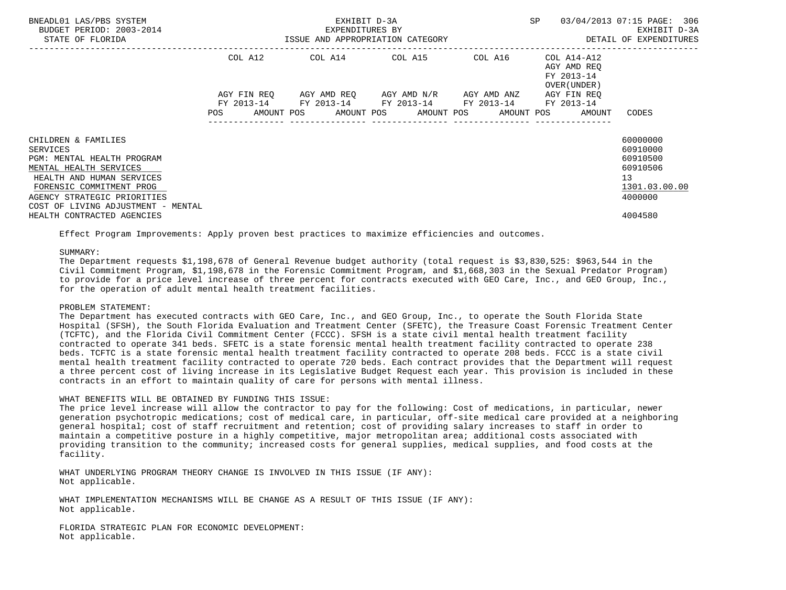| BNEADL01 LAS/PBS SYSTEM<br>BUDGET PERIOD: 2003-2014<br>STATE OF FLORIDA                                                                                                                                               |                           | EXHIBIT D-3A<br>EXPENDITURES BY<br>ISSUE AND APPROPRIATION CATEGORY | <b>SP</b>                                                                                     | 03/04/2013 07:15 PAGE: 306<br>EXHIBIT D-3A<br>DETAIL OF EXPENDITURES |                                                                                   |                                                                                |
|-----------------------------------------------------------------------------------------------------------------------------------------------------------------------------------------------------------------------|---------------------------|---------------------------------------------------------------------|-----------------------------------------------------------------------------------------------|----------------------------------------------------------------------|-----------------------------------------------------------------------------------|--------------------------------------------------------------------------------|
|                                                                                                                                                                                                                       | COL A12                   |                                                                     | COL A14 COL A15 COL A16                                                                       |                                                                      | COL A14-A12<br>AGY AMD REO<br>FY 2013-14                                          |                                                                                |
|                                                                                                                                                                                                                       | AGY FIN REO<br><b>POS</b> |                                                                     | AGY AMD REQ AGY AMD N/R AGY AMD ANZ<br>FY 2013-14 FY 2013-14 FY 2013-14 FY 2013-14 FY 2013-14 |                                                                      | OVER (UNDER)<br>AGY FIN REO<br>AMOUNT POS AMOUNT POS AMOUNT POS AMOUNT POS AMOUNT | CODES                                                                          |
| CHILDREN & FAMILIES<br>SERVICES<br>PGM: MENTAL HEALTH PROGRAM<br>MENTAL HEALTH SERVICES<br>HEALTH AND HUMAN SERVICES<br>FORENSIC COMMITMENT PROG<br>AGENCY STRATEGIC PRIORITIES<br>COST OF LIVING ADJUSTMENT - MENTAL |                           |                                                                     |                                                                                               |                                                                      |                                                                                   | 60000000<br>60910000<br>60910500<br>60910506<br>13<br>1301.03.00.00<br>4000000 |
| HEALTH CONTRACTED AGENCIES                                                                                                                                                                                            |                           |                                                                     |                                                                                               |                                                                      |                                                                                   | 4004580                                                                        |

Effect Program Improvements: Apply proven best practices to maximize efficiencies and outcomes.

# SUMMARY:

 The Department requests \$1,198,678 of General Revenue budget authority (total request is \$3,830,525: \$963,544 in the Civil Commitment Program, \$1,198,678 in the Forensic Commitment Program, and \$1,668,303 in the Sexual Predator Program) to provide for a price level increase of three percent for contracts executed with GEO Care, Inc., and GEO Group, Inc., for the operation of adult mental health treatment facilities.

# PROBLEM STATEMENT:

 The Department has executed contracts with GEO Care, Inc., and GEO Group, Inc., to operate the South Florida State Hospital (SFSH), the South Florida Evaluation and Treatment Center (SFETC), the Treasure Coast Forensic Treatment Center (TCFTC), and the Florida Civil Commitment Center (FCCC). SFSH is a state civil mental health treatment facility contracted to operate 341 beds. SFETC is a state forensic mental health treatment facility contracted to operate 238 beds. TCFTC is a state forensic mental health treatment facility contracted to operate 208 beds. FCCC is a state civil mental health treatment facility contracted to operate 720 beds. Each contract provides that the Department will request a three percent cost of living increase in its Legislative Budget Request each year. This provision is included in these contracts in an effort to maintain quality of care for persons with mental illness.

#### WHAT BENEFITS WILL BE OBTAINED BY FUNDING THIS ISSUE:

 The price level increase will allow the contractor to pay for the following: Cost of medications, in particular, newer generation psychotropic medications; cost of medical care, in particular, off-site medical care provided at a neighboring general hospital; cost of staff recruitment and retention; cost of providing salary increases to staff in order to maintain a competitive posture in a highly competitive, major metropolitan area; additional costs associated with providing transition to the community; increased costs for general supplies, medical supplies, and food costs at the facility.

 WHAT UNDERLYING PROGRAM THEORY CHANGE IS INVOLVED IN THIS ISSUE (IF ANY): Not applicable.

WHAT IMPLEMENTATION MECHANISMS WILL BE CHANGE AS A RESULT OF THIS ISSUE (IF ANY): Not applicable.

 FLORIDA STRATEGIC PLAN FOR ECONOMIC DEVELOPMENT: Not applicable.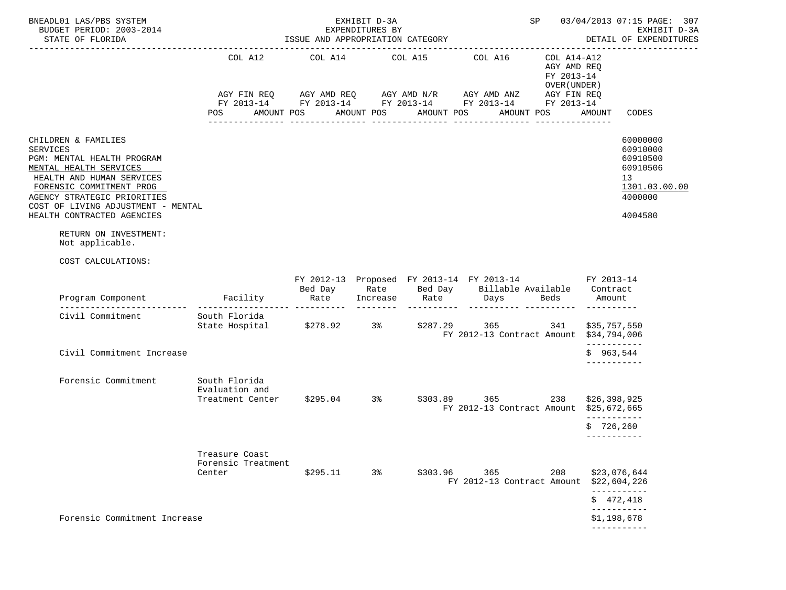| BNEADL01 LAS/PBS SYSTEM<br>BUDGET PERIOD: 2003-2014<br>STATE OF FLORIDA                                                                                                                                                                                    |                                                                              | EXHIBIT D-3A<br>EXPENDITURES BY<br>ISSUE AND APPROPRIATION CATEGORY | SP         | 03/04/2013 07:15 PAGE: 307<br>EXHIBIT D-3A<br>DETAIL OF EXPENDITURES |                                                                                                                                                                                     |                                                                         |                                                                                           |
|------------------------------------------------------------------------------------------------------------------------------------------------------------------------------------------------------------------------------------------------------------|------------------------------------------------------------------------------|---------------------------------------------------------------------|------------|----------------------------------------------------------------------|-------------------------------------------------------------------------------------------------------------------------------------------------------------------------------------|-------------------------------------------------------------------------|-------------------------------------------------------------------------------------------|
|                                                                                                                                                                                                                                                            | COL A12<br>POS                                                               | AMOUNT POS                                                          | AMOUNT POS | AMOUNT POS                                                           | COL A14 COL A15 COL A16<br>AGY FIN REQ AGY AMD REQ AGY AMD N/R AGY AMD ANZ<br>FY 2013-14 FY 2013-14 FY 2013-14 FY 2013-14 FY 2013-14<br>AMOUNT POS                                  | COL A14-A12<br>AGY AMD REO<br>FY 2013-14<br>OVER (UNDER)<br>AGY FIN REQ | CODES<br>AMOUNT                                                                           |
| CHILDREN & FAMILIES<br><b>SERVICES</b><br>PGM: MENTAL HEALTH PROGRAM<br>MENTAL HEALTH SERVICES<br>HEALTH AND HUMAN SERVICES<br>FORENSIC COMMITMENT PROG<br>AGENCY STRATEGIC PRIORITIES<br>COST OF LIVING ADJUSTMENT - MENTAL<br>HEALTH CONTRACTED AGENCIES |                                                                              |                                                                     |            |                                                                      |                                                                                                                                                                                     |                                                                         | 60000000<br>60910000<br>60910500<br>60910506<br>13<br>1301.03.00.00<br>4000000<br>4004580 |
| RETURN ON INVESTMENT:<br>Not applicable.                                                                                                                                                                                                                   |                                                                              |                                                                     |            |                                                                      |                                                                                                                                                                                     |                                                                         |                                                                                           |
| COST CALCULATIONS:                                                                                                                                                                                                                                         |                                                                              |                                                                     |            |                                                                      |                                                                                                                                                                                     |                                                                         |                                                                                           |
|                                                                                                                                                                                                                                                            |                                                                              |                                                                     |            |                                                                      | FY 2012-13 Proposed FY 2013-14 FY 2013-14 FY 2013-14<br>Bed Day       Rate      Bed Day     Billable Available   Contract<br>Rate    Increase    Rate      Days     Beds     Amount |                                                                         | ----------                                                                                |
| Civil Commitment                                                                                                                                                                                                                                           | South Florida<br>State Hospital \$278.92 3% \$287.29 365                     |                                                                     |            |                                                                      | FY 2012-13 Contract Amount \$34,794,006                                                                                                                                             | 341                                                                     | \$35,757,550                                                                              |
| Civil Commitment Increase                                                                                                                                                                                                                                  |                                                                              |                                                                     |            |                                                                      |                                                                                                                                                                                     |                                                                         | ------------<br>\$963,544<br>-----------                                                  |
| Forensic Commitment                                                                                                                                                                                                                                        | South Florida<br>Evaluation and<br>Treatment Center \$295.04 3% \$303.89 365 |                                                                     |            |                                                                      | FY 2012-13 Contract Amount \$25,672,665                                                                                                                                             | 238                                                                     | \$26,398,925<br>-----------                                                               |
|                                                                                                                                                                                                                                                            |                                                                              |                                                                     |            |                                                                      |                                                                                                                                                                                     |                                                                         | \$726, 260<br>-----------                                                                 |
|                                                                                                                                                                                                                                                            | Treasure Coast<br>Forensic Treatment<br>Center                               | \$295.11                                                            | 3%         | \$303.96                                                             | 365<br>FY 2012-13 Contract Amount                                                                                                                                                   | 208                                                                     | \$23,076,644<br>\$22,604,226<br>-----------                                               |
|                                                                                                                                                                                                                                                            |                                                                              |                                                                     |            |                                                                      |                                                                                                                                                                                     |                                                                         | \$472,418<br>___________                                                                  |
| Forensic Commitment Increase                                                                                                                                                                                                                               |                                                                              |                                                                     |            |                                                                      |                                                                                                                                                                                     |                                                                         | \$1,198,678<br>___________                                                                |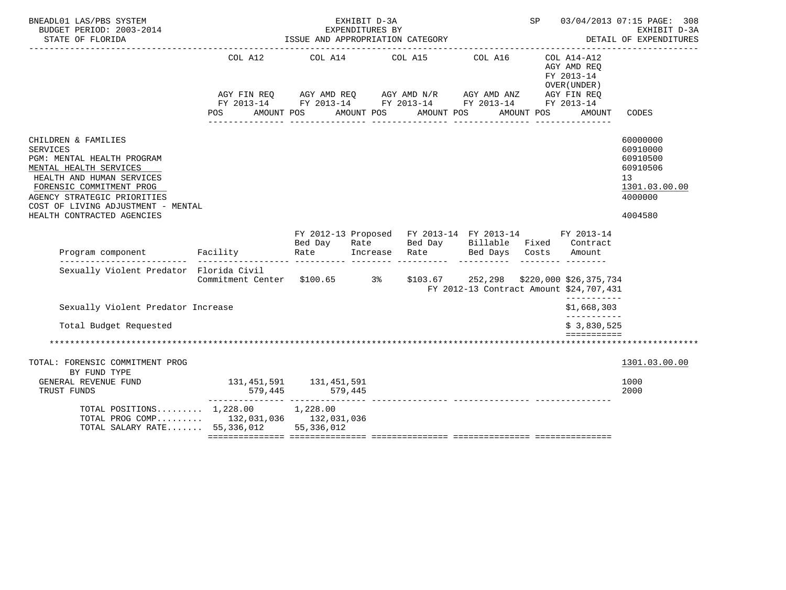| BNEADL01 LAS/PBS SYSTEM<br>BUDGET PERIOD: 2003-2014                                                                                                                                                                                                        |                                                                                                                                                                 |            | 03/04/2013 07:15 PAGE: 308<br>EXHIBIT D-3A<br>DETAIL OF EXPENDITURES |            |                                                                                                                                      |  |                                                                    |                                                                                           |
|------------------------------------------------------------------------------------------------------------------------------------------------------------------------------------------------------------------------------------------------------------|-----------------------------------------------------------------------------------------------------------------------------------------------------------------|------------|----------------------------------------------------------------------|------------|--------------------------------------------------------------------------------------------------------------------------------------|--|--------------------------------------------------------------------|-------------------------------------------------------------------------------------------|
|                                                                                                                                                                                                                                                            | COL A12 COL A14 COL A15 COL A16<br>AGY FIN REQ AGY AMD REQ AGY AMD N/R AGY AMD ANZ AGY FIN REQ<br>FY 2013-14 FY 2013-14 FY 2013-14 FY 2013-14 FY 2013-14<br>POS | AMOUNT POS | AMOUNT POS                                                           | AMOUNT POS | AMOUNT POS                                                                                                                           |  | COL A14-A12<br>AGY AMD REO<br>FY 2013-14<br>OVER (UNDER)<br>AMOUNT | CODES                                                                                     |
| CHILDREN & FAMILIES<br><b>SERVICES</b><br>PGM: MENTAL HEALTH PROGRAM<br>MENTAL HEALTH SERVICES<br>HEALTH AND HUMAN SERVICES<br>FORENSIC COMMITMENT PROG<br>AGENCY STRATEGIC PRIORITIES<br>COST OF LIVING ADJUSTMENT - MENTAL<br>HEALTH CONTRACTED AGENCIES |                                                                                                                                                                 |            |                                                                      |            |                                                                                                                                      |  |                                                                    | 60000000<br>60910000<br>60910500<br>60910506<br>13<br>1301.03.00.00<br>4000000<br>4004580 |
|                                                                                                                                                                                                                                                            |                                                                                                                                                                 |            |                                                                      |            | FY 2012-13 Proposed FY 2013-14 FY 2013-14 FY 2013-14<br>Bed Day Rate Bed Day Billable Fixed Contract<br>Increase Rate Bed Days Costs |  |                                                                    |                                                                                           |
| Sexually Violent Predator Florida Civil                                                                                                                                                                                                                    | Commitment Center \$100.65 3% \$103.67 252,298 \$220,000 \$26,375,734                                                                                           |            |                                                                      |            | FY 2012-13 Contract Amount \$24,707,431                                                                                              |  | ___________                                                        |                                                                                           |
| Sexually Violent Predator Increase                                                                                                                                                                                                                         |                                                                                                                                                                 |            |                                                                      |            |                                                                                                                                      |  | \$1,668,303                                                        |                                                                                           |
| Total Budget Requested                                                                                                                                                                                                                                     |                                                                                                                                                                 |            |                                                                      |            |                                                                                                                                      |  | -----------<br>\$3.830.525                                         |                                                                                           |
|                                                                                                                                                                                                                                                            |                                                                                                                                                                 |            |                                                                      |            |                                                                                                                                      |  |                                                                    |                                                                                           |
| TOTAL: FORENSIC COMMITMENT PROG<br>BY FUND TYPE<br>GENERAL REVENUE FUND<br>TRUST FUNDS                                                                                                                                                                     | 131, 451, 591 131, 451, 591                                                                                                                                     |            |                                                                      |            |                                                                                                                                      |  |                                                                    | 1301.03.00.00<br>1000<br>2000                                                             |
| TOTAL POSITIONS 1,228.00 1,228.00<br>TOTAL PROG COMP 132,031,036 132,031,036<br>TOTAL SALARY RATE 55,336,012 55,336,012                                                                                                                                    |                                                                                                                                                                 |            |                                                                      |            |                                                                                                                                      |  |                                                                    |                                                                                           |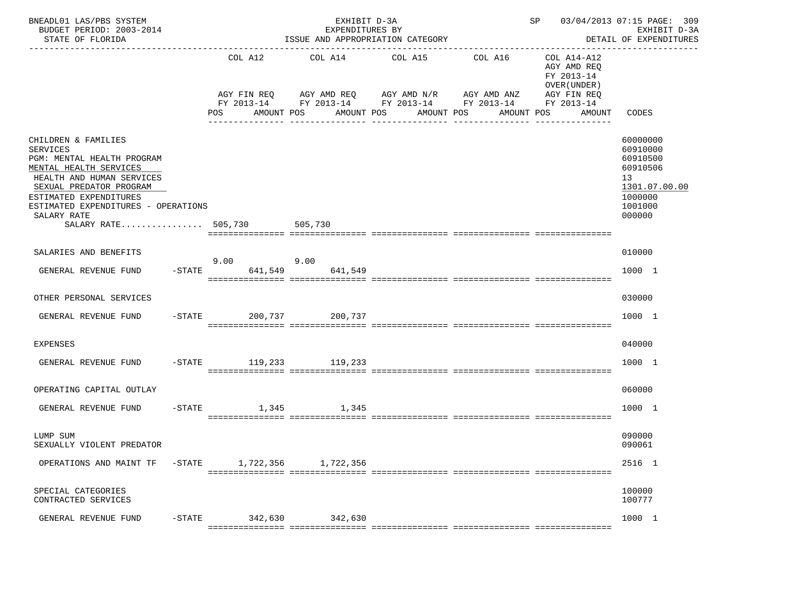| BNEADL01 LAS/PBS SYSTEM<br>BUDGET PERIOD: 2003-2014<br>STATE OF FLORIDA                                                                                                                                                                                         |                                             | EXHIBIT D-3A<br>EXPENDITURES BY                  | ISSUE AND APPROPRIATION CATEGORY                                                    |                       | SP 03/04/2013 07:15 PAGE: 309<br>EXHIBIT D-3A<br>DETAIL OF EXPENDITURES                                                    |
|-----------------------------------------------------------------------------------------------------------------------------------------------------------------------------------------------------------------------------------------------------------------|---------------------------------------------|--------------------------------------------------|-------------------------------------------------------------------------------------|-----------------------|----------------------------------------------------------------------------------------------------------------------------|
|                                                                                                                                                                                                                                                                 | COL A12<br>AGY FIN REQ<br>POS<br>AMOUNT POS | COL A14<br>AGY AMD REQ AGY AMD N/R<br>AMOUNT POS | COL A15<br>AGY AMD ANZ<br>FY 2013-14 FY 2013-14 FY 2013-14 FY 2013-14<br>AMOUNT POS | COL A16<br>AMOUNT POS | COL A14-A12<br>AGY AMD REQ<br>FY 2013-14<br>OVER (UNDER)<br>AGY FIN REQ<br>FY 2013-14<br>AMOUNT<br>CODES<br>-------------- |
| CHILDREN & FAMILIES<br><b>SERVICES</b><br>PGM: MENTAL HEALTH PROGRAM<br>MENTAL HEALTH SERVICES<br>HEALTH AND HUMAN SERVICES<br>SEXUAL PREDATOR PROGRAM<br>ESTIMATED EXPENDITURES<br>ESTIMATED EXPENDITURES - OPERATIONS<br>SALARY RATE<br>SALARY RATE $505,730$ |                                             | 505,730                                          |                                                                                     |                       | 60000000<br>60910000<br>60910500<br>60910506<br>13<br>1301.07.00.00<br>1000000<br>1001000<br>000000                        |
| SALARIES AND BENEFITS                                                                                                                                                                                                                                           | 9.00                                        | 9.00                                             |                                                                                     |                       | 010000                                                                                                                     |
| GENERAL REVENUE FUND<br>$-$ STATE                                                                                                                                                                                                                               | 641,549                                     | 641,549                                          |                                                                                     |                       | 1000 1                                                                                                                     |
| OTHER PERSONAL SERVICES                                                                                                                                                                                                                                         |                                             |                                                  |                                                                                     |                       | 030000                                                                                                                     |
| GENERAL REVENUE FUND                                                                                                                                                                                                                                            | $-STATE$                                    | 200,737 200,737                                  |                                                                                     |                       | 1000 1                                                                                                                     |
| EXPENSES                                                                                                                                                                                                                                                        |                                             |                                                  |                                                                                     |                       | 040000                                                                                                                     |
| GENERAL REVENUE FUND                                                                                                                                                                                                                                            | -STATE 119,233 119,233                      |                                                  |                                                                                     |                       | 1000 1                                                                                                                     |
| OPERATING CAPITAL OUTLAY                                                                                                                                                                                                                                        |                                             |                                                  |                                                                                     |                       | 060000                                                                                                                     |
| $-$ STATE<br>GENERAL REVENUE FUND                                                                                                                                                                                                                               | 1,345                                       | 1,345                                            |                                                                                     |                       | 1000 1                                                                                                                     |
| LUMP SUM<br>SEXUALLY VIOLENT PREDATOR                                                                                                                                                                                                                           |                                             |                                                  |                                                                                     |                       | 090000<br>090061                                                                                                           |
| OPERATIONS AND MAINT TF<br>$-$ STATE                                                                                                                                                                                                                            | 1,722,356                                   | 1,722,356                                        |                                                                                     |                       | 2516 1                                                                                                                     |
| SPECIAL CATEGORIES<br>CONTRACTED SERVICES                                                                                                                                                                                                                       |                                             |                                                  |                                                                                     |                       | 100000<br>100777                                                                                                           |
| GENERAL REVENUE FUND<br>$-$ STATE                                                                                                                                                                                                                               | 342,630                                     | 342,630                                          |                                                                                     |                       | 1000 1                                                                                                                     |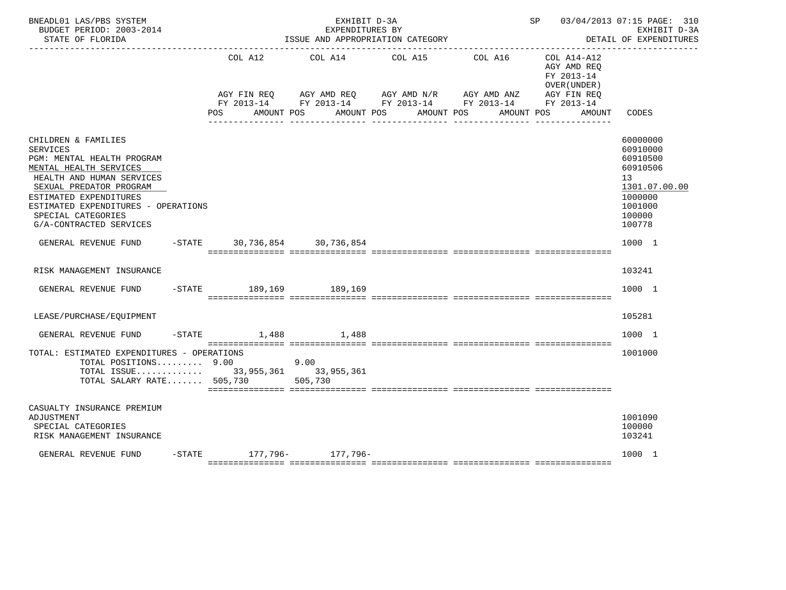| BNEADL01 LAS/PBS SYSTEM<br>BUDGET PERIOD: 2003-2014<br>STATE OF FLORIDA                                                                                                                                                                                                  |                | SP 03/04/2013 07:15 PAGE: 310<br>EXHIBIT D-3A<br>DETAIL OF EXPENDITURES<br>------------- |                                                                                                                                                                   |                       |                                                                       |                                                                                                               |
|--------------------------------------------------------------------------------------------------------------------------------------------------------------------------------------------------------------------------------------------------------------------------|----------------|------------------------------------------------------------------------------------------|-------------------------------------------------------------------------------------------------------------------------------------------------------------------|-----------------------|-----------------------------------------------------------------------|---------------------------------------------------------------------------------------------------------------|
|                                                                                                                                                                                                                                                                          | COL A12<br>POS | --------------------------------<br>AMOUNT POS                                           | COL A14 COL A15<br>AGY FIN REQ AGY AMD REQ AGY AMD N/R AGY AMD ANZ AGY FIN REQ<br>FY 2013-14 FY 2013-14 FY 2013-14 FY 2013-14 FY 2013-14<br>AMOUNT POS AMOUNT POS | COL A16<br>AMOUNT POS | $COL A14- A12$<br>AGY AMD REQ<br>FY 2013-14<br>OVER (UNDER)<br>AMOUNT | CODES                                                                                                         |
| CHILDREN & FAMILIES<br><b>SERVICES</b><br>PGM: MENTAL HEALTH PROGRAM<br>MENTAL HEALTH SERVICES<br>HEALTH AND HUMAN SERVICES<br>SEXUAL PREDATOR PROGRAM<br>ESTIMATED EXPENDITURES<br>ESTIMATED EXPENDITURES - OPERATIONS<br>SPECIAL CATEGORIES<br>G/A-CONTRACTED SERVICES |                |                                                                                          |                                                                                                                                                                   |                       |                                                                       | 60000000<br>60910000<br>60910500<br>60910506<br>13<br>1301.07.00.00<br>1000000<br>1001000<br>100000<br>100778 |
| GENERAL REVENUE FUND                                                                                                                                                                                                                                                     |                | -STATE 30,736,854 30,736,854                                                             |                                                                                                                                                                   |                       |                                                                       | 1000 1                                                                                                        |
| RISK MANAGEMENT INSURANCE                                                                                                                                                                                                                                                |                |                                                                                          |                                                                                                                                                                   |                       |                                                                       | 103241                                                                                                        |
| GENERAL REVENUE FUND                                                                                                                                                                                                                                                     |                | -STATE 189,169 189,169                                                                   |                                                                                                                                                                   |                       |                                                                       | 1000 1                                                                                                        |
| LEASE/PURCHASE/EQUIPMENT                                                                                                                                                                                                                                                 |                |                                                                                          |                                                                                                                                                                   |                       |                                                                       | 105281                                                                                                        |
| GENERAL REVENUE FUND                                                                                                                                                                                                                                                     |                | $-$ STATE 1,488 1,488                                                                    |                                                                                                                                                                   |                       |                                                                       | 1000 1                                                                                                        |
| TOTAL: ESTIMATED EXPENDITURES - OPERATIONS<br>TOTAL POSITIONS 9.00<br>TOTAL ISSUE 33,955,361 33,955,361<br>TOTAL SALARY RATE 505,730 505,730                                                                                                                             |                | 9.00                                                                                     |                                                                                                                                                                   |                       |                                                                       | 1001000                                                                                                       |
| CASUALTY INSURANCE PREMIUM<br>ADJUSTMENT<br>SPECIAL CATEGORIES<br>RISK MANAGEMENT INSURANCE                                                                                                                                                                              |                |                                                                                          |                                                                                                                                                                   |                       |                                                                       | 1001090<br>100000<br>103241                                                                                   |
| GENERAL REVENUE FUND                                                                                                                                                                                                                                                     |                | -STATE 177, 796- 177, 796-                                                               |                                                                                                                                                                   |                       |                                                                       | 1000 1                                                                                                        |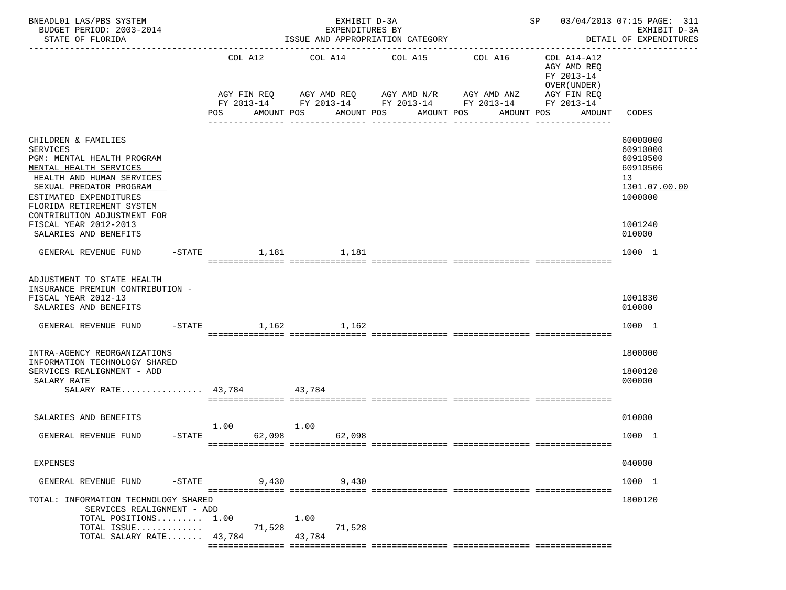| BNEADL01 LAS/PBS SYSTEM<br>BUDGET PERIOD: 2003-2014<br>STATE OF FLORIDA                                                                                                                                                                                                                        | EXHIBIT D-3A<br>EXPENDITURES BY<br>ISSUE AND APPROPRIATION CATEGORY |           |                        |                |                                               |  |            | SP<br>03/04/2013 07:15 PAGE: 311<br>EXHIBIT D-3A<br>DETAIL OF EXPENDITURES<br>------------------------------------ |                                                                         |                                                                                                     |
|------------------------------------------------------------------------------------------------------------------------------------------------------------------------------------------------------------------------------------------------------------------------------------------------|---------------------------------------------------------------------|-----------|------------------------|----------------|-----------------------------------------------|--|------------|--------------------------------------------------------------------------------------------------------------------|-------------------------------------------------------------------------|-----------------------------------------------------------------------------------------------------|
|                                                                                                                                                                                                                                                                                                |                                                                     |           | COL A12<br>AGY FIN REQ |                | COL A14<br>COL A15<br>AGY AMD REQ AGY AMD N/R |  |            | COL A16<br>AGY AMD ANZ                                                                                             | COL A14-A12<br>AGY AMD REQ<br>FY 2013-14<br>OVER (UNDER)<br>AGY FIN REQ |                                                                                                     |
|                                                                                                                                                                                                                                                                                                |                                                                     | POS       |                        | AMOUNT POS     | AMOUNT POS                                    |  | AMOUNT POS | FY 2013-14 FY 2013-14 FY 2013-14 FY 2013-14<br>AMOUNT POS<br><u>. Bergere Bergere Be</u>                           | FY 2013-14<br>AMOUNT                                                    | CODES                                                                                               |
| CHILDREN & FAMILIES<br><b>SERVICES</b><br>PGM: MENTAL HEALTH PROGRAM<br>MENTAL HEALTH SERVICES<br>HEALTH AND HUMAN SERVICES<br>SEXUAL PREDATOR PROGRAM<br>ESTIMATED EXPENDITURES<br>FLORIDA RETIREMENT SYSTEM<br>CONTRIBUTION ADJUSTMENT FOR<br>FISCAL YEAR 2012-2013<br>SALARIES AND BENEFITS |                                                                     |           |                        |                |                                               |  |            |                                                                                                                    |                                                                         | 60000000<br>60910000<br>60910500<br>60910506<br>13<br>1301.07.00.00<br>1000000<br>1001240<br>010000 |
| GENERAL REVENUE FUND                                                                                                                                                                                                                                                                           |                                                                     | $-$ STATE | 1,181                  |                | 1,181                                         |  |            |                                                                                                                    |                                                                         | 1000 1                                                                                              |
| ADJUSTMENT TO STATE HEALTH<br>INSURANCE PREMIUM CONTRIBUTION -<br>FISCAL YEAR 2012-13<br>SALARIES AND BENEFITS<br>GENERAL REVENUE FUND                                                                                                                                                         |                                                                     |           | $-$ STATE 1,162 1,162  |                |                                               |  |            |                                                                                                                    |                                                                         | 1001830<br>010000<br>1000 1                                                                         |
| INTRA-AGENCY REORGANIZATIONS<br>INFORMATION TECHNOLOGY SHARED<br>SERVICES REALIGNMENT - ADD<br>SALARY RATE<br>SALARY RATE $43,784$                                                                                                                                                             |                                                                     |           |                        | 43,784         |                                               |  |            |                                                                                                                    |                                                                         | 1800000<br>1800120<br>000000                                                                        |
| SALARIES AND BENEFITS<br>GENERAL REVENUE FUND                                                                                                                                                                                                                                                  | -STATE                                                              | 1.00      | 62,098                 | 1.00           | 62,098                                        |  |            |                                                                                                                    |                                                                         | 010000<br>1000 1                                                                                    |
| EXPENSES                                                                                                                                                                                                                                                                                       |                                                                     |           |                        |                |                                               |  |            |                                                                                                                    |                                                                         | 040000                                                                                              |
| GENERAL REVENUE FUND                                                                                                                                                                                                                                                                           | $-$ STATE                                                           |           | 9,430                  |                | 9,430                                         |  |            |                                                                                                                    |                                                                         | 1000 1                                                                                              |
| TOTAL: INFORMATION TECHNOLOGY SHARED<br>SERVICES REALIGNMENT - ADD<br>TOTAL POSITIONS 1.00<br>TOTAL ISSUE<br>TOTAL SALARY RATE 43,784                                                                                                                                                          |                                                                     |           | 71,528                 | 1.00<br>43,784 | 71,528                                        |  |            |                                                                                                                    |                                                                         | 1800120                                                                                             |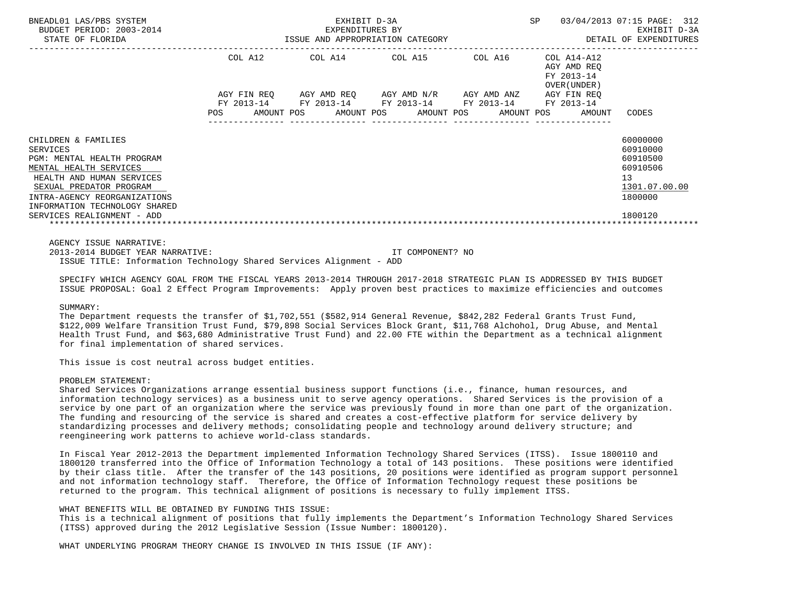| BNEADL01 LAS/PBS SYSTEM<br>BUDGET PERIOD: 2003-2014<br>STATE OF FLORIDA                                                                                                                                                 | EXHIBIT D-3A<br>–2014 EXPENDITURES BY EXERCITE D-3A EXPENDITURES BY EXHIBIT D-3A EXHIBIT D-3A EXERCITE D-3A EXPENDITURES |  |                  |  |  |                  | SP 03/04/2013 07:15 PAGE: 312                               |                                                          |                                                                                             |  |
|-------------------------------------------------------------------------------------------------------------------------------------------------------------------------------------------------------------------------|--------------------------------------------------------------------------------------------------------------------------|--|------------------|--|--|------------------|-------------------------------------------------------------|----------------------------------------------------------|---------------------------------------------------------------------------------------------|--|
|                                                                                                                                                                                                                         |                                                                                                                          |  |                  |  |  |                  | COL A12 COL A14 COL A15 COL A16                             | COL A14-A12<br>AGY AMD REO<br>FY 2013-14<br>OVER (UNDER) |                                                                                             |  |
|                                                                                                                                                                                                                         |                                                                                                                          |  |                  |  |  |                  | AGY FIN REQ AGY AMD REQ AGY AMD N/R AGY AMD ANZ AGY FIN REQ |                                                          |                                                                                             |  |
|                                                                                                                                                                                                                         |                                                                                                                          |  |                  |  |  |                  | FY 2013-14 FY 2013-14 FY 2013-14 FY 2013-14 FY 2013-14      |                                                          |                                                                                             |  |
|                                                                                                                                                                                                                         |                                                                                                                          |  |                  |  |  |                  |                                                             | POS AMOUNT POS AMOUNT POS AMOUNT POS AMOUNT POS AMOUNT   | CODES                                                                                       |  |
| CHILDREN & FAMILIES<br><b>SERVICES</b><br>PGM: MENTAL HEALTH PROGRAM<br>MENTAL HEALTH SERVICES<br>HEALTH AND HUMAN SERVICES<br>SEXUAL PREDATOR PROGRAM<br>INTRA-AGENCY REORGANIZATIONS<br>INFORMATION TECHNOLOGY SHARED |                                                                                                                          |  | ________________ |  |  |                  |                                                             |                                                          | 60000000<br>60910000<br>60910500<br>60910506<br>13 <sup>°</sup><br>1301.07.00.00<br>1800000 |  |
| SERVICES REALIGNMENT - ADD                                                                                                                                                                                              |                                                                                                                          |  |                  |  |  |                  |                                                             |                                                          | 1800120                                                                                     |  |
| AGENCY ISSUE NARRATIVE:<br>2013-2014 BUDGET YEAR NARRATIVE:<br>ISSUE TITLE: Information Technology Shared Services Alignment - ADD                                                                                      |                                                                                                                          |  |                  |  |  | IT COMPONENT? NO |                                                             |                                                          |                                                                                             |  |

 SPECIFY WHICH AGENCY GOAL FROM THE FISCAL YEARS 2013-2014 THROUGH 2017-2018 STRATEGIC PLAN IS ADDRESSED BY THIS BUDGET ISSUE PROPOSAL: Goal 2 Effect Program Improvements: Apply proven best practices to maximize efficiencies and outcomes

#### SUMMARY:

 The Department requests the transfer of \$1,702,551 (\$582,914 General Revenue, \$842,282 Federal Grants Trust Fund, \$122,009 Welfare Transition Trust Fund, \$79,898 Social Services Block Grant, \$11,768 Alchohol, Drug Abuse, and Mental Health Trust Fund, and \$63,680 Administrative Trust Fund) and 22.00 FTE within the Department as a technical alignment for final implementation of shared services.

This issue is cost neutral across budget entities.

### PROBLEM STATEMENT:

 Shared Services Organizations arrange essential business support functions (i.e., finance, human resources, and information technology services) as a business unit to serve agency operations. Shared Services is the provision of a service by one part of an organization where the service was previously found in more than one part of the organization. The funding and resourcing of the service is shared and creates a cost-effective platform for service delivery by standardizing processes and delivery methods; consolidating people and technology around delivery structure; and reengineering work patterns to achieve world-class standards.

 In Fiscal Year 2012-2013 the Department implemented Information Technology Shared Services (ITSS). Issue 1800110 and 1800120 transferred into the Office of Information Technology a total of 143 positions. These positions were identified by their class title. After the transfer of the 143 positions, 20 positions were identified as program support personnel and not information technology staff. Therefore, the Office of Information Technology request these positions be returned to the program. This technical alignment of positions is necessary to fully implement ITSS.

# WHAT BENEFITS WILL BE OBTAINED BY FUNDING THIS ISSUE:

 This is a technical alignment of positions that fully implements the Department's Information Technology Shared Services (ITSS) approved during the 2012 Legislative Session (Issue Number: 1800120).

WHAT UNDERLYING PROGRAM THEORY CHANGE IS INVOLVED IN THIS ISSUE (IF ANY):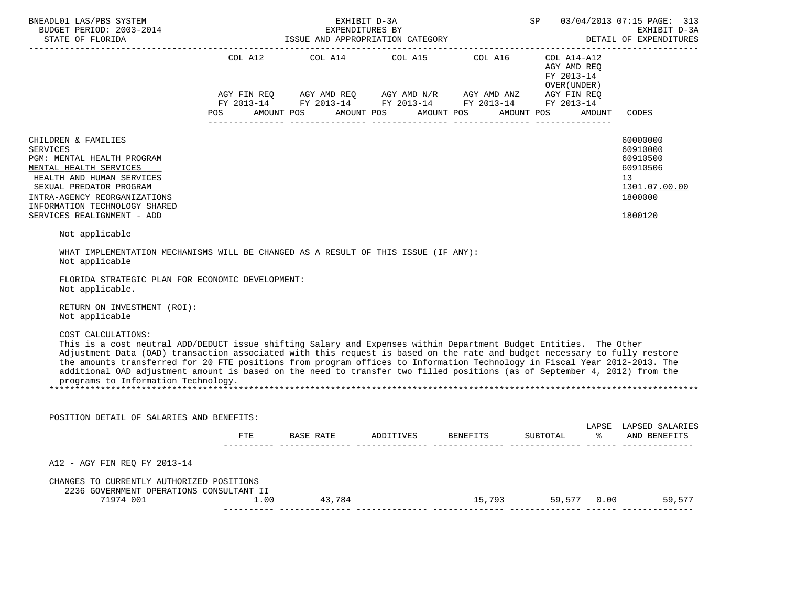| <b>SP</b> SP<br>BNEADL01 LAS/PBS SYSTEM<br>EXHIBIT D-3A<br>BUDGET PERIOD: 2003-2014<br>EXPENDITURES BY<br>STATE OF FLORIDA                                                                                                                                                                                                                                                                                                                                                                                                                                                              |     |                                                                                                                                                                                                                                                       |  |                           |  | 03/04/2013 07:15 PAGE: 313<br>EXHIBIT D-3A<br>DETAIL OF EXPENDITURES |                                                                                           |
|-----------------------------------------------------------------------------------------------------------------------------------------------------------------------------------------------------------------------------------------------------------------------------------------------------------------------------------------------------------------------------------------------------------------------------------------------------------------------------------------------------------------------------------------------------------------------------------------|-----|-------------------------------------------------------------------------------------------------------------------------------------------------------------------------------------------------------------------------------------------------------|--|---------------------------|--|----------------------------------------------------------------------|-------------------------------------------------------------------------------------------|
|                                                                                                                                                                                                                                                                                                                                                                                                                                                                                                                                                                                         | POS | COL A12 COL A14 COL A15 COL A16 COL A14-A12<br>COL A12 AGY AMD REQ<br>FY 2013-14<br>OVER(UNDER)<br>AGY FIN REQ AGY AMD REQ AGY AMD N/R AGY AMD ANZ AGY FIN REQ FY 2013-14 FY 2013-14 FY 2013-14<br>AMOUNT POS AMOUNT POS AMOUNT POS AMOUNT POS AMOUNT |  |                           |  |                                                                      | CODES                                                                                     |
| CHILDREN & FAMILIES<br><b>SERVICES</b><br>PGM: MENTAL HEALTH PROGRAM<br>MENTAL HEALTH SERVICES<br>HEALTH AND HUMAN SERVICES<br>SEXUAL PREDATOR PROGRAM<br>INTRA-AGENCY REORGANIZATIONS<br>INFORMATION TECHNOLOGY SHARED<br>SERVICES REALIGNMENT - ADD                                                                                                                                                                                                                                                                                                                                   |     |                                                                                                                                                                                                                                                       |  |                           |  |                                                                      | 60000000<br>60910000<br>60910500<br>60910506<br>13<br>1301.07.00.00<br>1800000<br>1800120 |
| Not applicable<br>WHAT IMPLEMENTATION MECHANISMS WILL BE CHANGED AS A RESULT OF THIS ISSUE (IF ANY):<br>Not applicable<br>FLORIDA STRATEGIC PLAN FOR ECONOMIC DEVELOPMENT:<br>Not applicable.<br>RETURN ON INVESTMENT (ROI):                                                                                                                                                                                                                                                                                                                                                            |     |                                                                                                                                                                                                                                                       |  |                           |  |                                                                      |                                                                                           |
| Not applicable<br>COST CALCULATIONS:<br>This is a cost neutral ADD/DEDUCT issue shifting Salary and Expenses within Department Budget Entities. The Other<br>Adjustment Data (OAD) transaction associated with this request is based on the rate and budget necessary to fully restore<br>the amounts transferred for 20 FTE positions from program offices to Information Technology in Fiscal Year 2012-2013. The<br>additional OAD adjustment amount is based on the need to transfer two filled positions (as of September 4, 2012) from the<br>programs to Information Technology. |     |                                                                                                                                                                                                                                                       |  |                           |  |                                                                      |                                                                                           |
| POSITION DETAIL OF SALARIES AND BENEFITS:                                                                                                                                                                                                                                                                                                                                                                                                                                                                                                                                               |     |                                                                                                                                                                                                                                                       |  |                           |  |                                                                      | LAPSE LAPSED SALARIES                                                                     |
|                                                                                                                                                                                                                                                                                                                                                                                                                                                                                                                                                                                         |     | FTE BASE RATE ADDITIVES BENEFITS SUBTOTAL                                                                                                                                                                                                             |  |                           |  |                                                                      | % AND BENEFITS                                                                            |
| A12 - AGY FIN REQ FY 2013-14                                                                                                                                                                                                                                                                                                                                                                                                                                                                                                                                                            |     |                                                                                                                                                                                                                                                       |  |                           |  |                                                                      |                                                                                           |
| CHANGES TO CURRENTLY AUTHORIZED POSITIONS<br>2236 GOVERNMENT OPERATIONS CONSULTANT II                                                                                                                                                                                                                                                                                                                                                                                                                                                                                                   |     |                                                                                                                                                                                                                                                       |  | 15,793 59,577 0.00 59,577 |  |                                                                      |                                                                                           |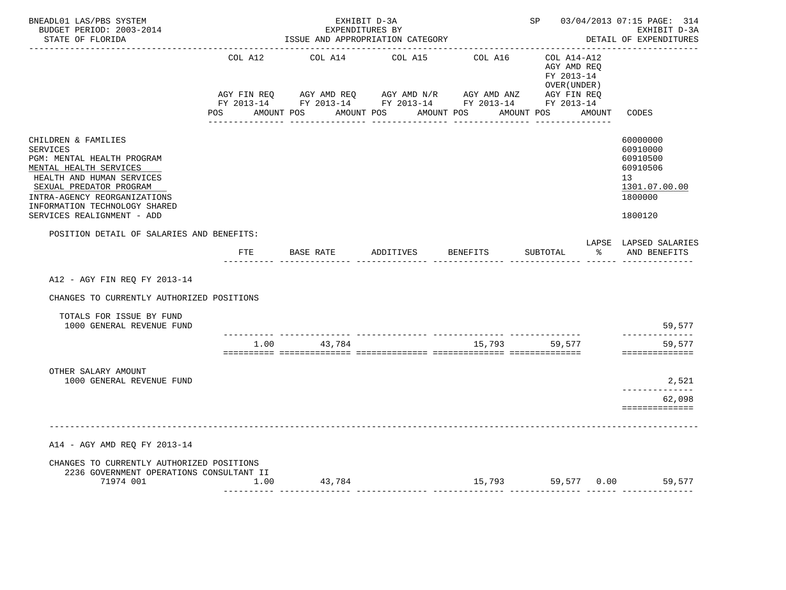| BNEADL01 LAS/PBS SYSTEM<br>BUDGET PERIOD: 2003-2014<br>STATE OF FLORIDA                                                                                                                                                                               |         | EXHIBIT D-3A<br>EXPENDITURES BY<br>ISSUE AND APPROPRIATION CATEGORY                                                              |           | SP 03/04/2013 07:15 PAGE: 314<br>EXHIBIT D-3A<br>DETAIL OF EXPENDITURES |                                                                               |                                                                                           |
|-------------------------------------------------------------------------------------------------------------------------------------------------------------------------------------------------------------------------------------------------------|---------|----------------------------------------------------------------------------------------------------------------------------------|-----------|-------------------------------------------------------------------------|-------------------------------------------------------------------------------|-------------------------------------------------------------------------------------------|
|                                                                                                                                                                                                                                                       | COL A12 | COL A14<br>AGY FIN REQ AGY AMD REQ AGY AMD N/R AGY AMD ANZ AGY FIN REQ<br>FY 2013-14 FY 2013-14 FY 2013-14 FY 2013-14 FY 2013-14 | COL A15   | COL A16                                                                 | COL A14-A12<br>AGY AMD REQ<br>FY 2013-14<br>OVER (UNDER)<br>AMOUNT POS AMOUNT |                                                                                           |
|                                                                                                                                                                                                                                                       |         | POS AMOUNT POS AMOUNT POS AMOUNT POS                                                                                             |           |                                                                         |                                                                               | CODES                                                                                     |
| CHILDREN & FAMILIES<br><b>SERVICES</b><br>PGM: MENTAL HEALTH PROGRAM<br>MENTAL HEALTH SERVICES<br>HEALTH AND HUMAN SERVICES<br>SEXUAL PREDATOR PROGRAM<br>INTRA-AGENCY REORGANIZATIONS<br>INFORMATION TECHNOLOGY SHARED<br>SERVICES REALIGNMENT - ADD |         |                                                                                                                                  |           |                                                                         |                                                                               | 60000000<br>60910000<br>60910500<br>60910506<br>13<br>1301.07.00.00<br>1800000<br>1800120 |
| POSITION DETAIL OF SALARIES AND BENEFITS:                                                                                                                                                                                                             |         |                                                                                                                                  |           |                                                                         |                                                                               | LAPSE LAPSED SALARIES                                                                     |
|                                                                                                                                                                                                                                                       | FTE     | BASE RATE                                                                                                                        | ADDITIVES | BENEFITS                                                                | SUBTOTAL                                                                      | ႜೢ<br>AND BENEFITS                                                                        |
| A12 - AGY FIN REQ FY 2013-14                                                                                                                                                                                                                          |         |                                                                                                                                  |           |                                                                         |                                                                               |                                                                                           |
| CHANGES TO CURRENTLY AUTHORIZED POSITIONS                                                                                                                                                                                                             |         |                                                                                                                                  |           |                                                                         |                                                                               |                                                                                           |
| TOTALS FOR ISSUE BY FUND<br>1000 GENERAL REVENUE FUND                                                                                                                                                                                                 |         |                                                                                                                                  |           |                                                                         |                                                                               | 59,577                                                                                    |
|                                                                                                                                                                                                                                                       | 1.00    | 43,784                                                                                                                           |           | 15,793                                                                  | 59,577                                                                        | --------------<br>59,577                                                                  |
| OTHER SALARY AMOUNT                                                                                                                                                                                                                                   |         |                                                                                                                                  |           |                                                                         |                                                                               | ==============                                                                            |
| 1000 GENERAL REVENUE FUND                                                                                                                                                                                                                             |         |                                                                                                                                  |           |                                                                         |                                                                               | 2,521<br>----------                                                                       |
|                                                                                                                                                                                                                                                       |         |                                                                                                                                  |           |                                                                         |                                                                               | 62,098<br>==============                                                                  |
| A14 - AGY AMD REQ FY 2013-14                                                                                                                                                                                                                          |         |                                                                                                                                  |           |                                                                         |                                                                               |                                                                                           |
| CHANGES TO CURRENTLY AUTHORIZED POSITIONS<br>2236 GOVERNMENT OPERATIONS CONSULTANT II<br>71974 001                                                                                                                                                    | 1.00    | 43,784                                                                                                                           |           | 15,793                                                                  |                                                                               | 59,577 0.00 59,577                                                                        |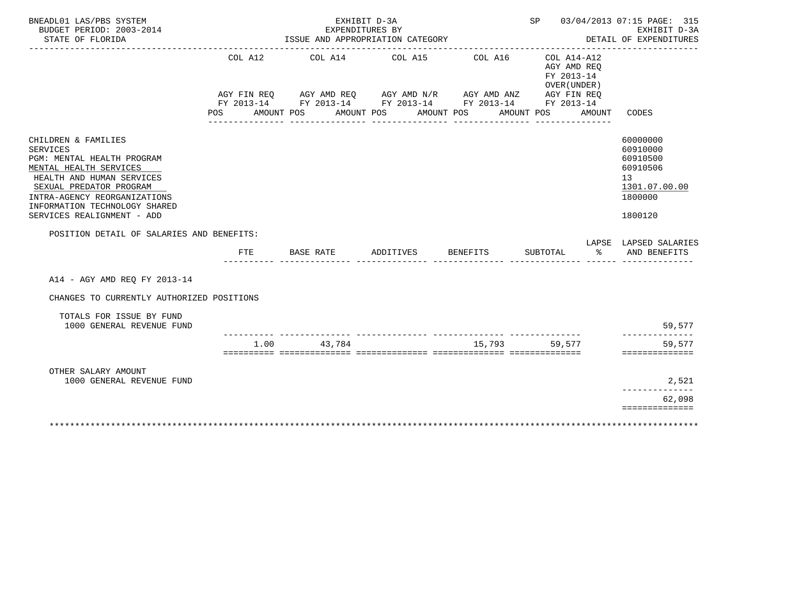| BNEADL01 LAS/PBS SYSTEM<br>BUDGET PERIOD: 2003-2014                                                                                                                                                                                                                                         |                | EXHIBIT D-3A<br>EXPENDITURES BY        |                                                                                                                                                                                         |         | SP 03/04/2013 07:15 PAGE: 315                                                    | EXHIBIT D-3A                                                                                                       |
|---------------------------------------------------------------------------------------------------------------------------------------------------------------------------------------------------------------------------------------------------------------------------------------------|----------------|----------------------------------------|-----------------------------------------------------------------------------------------------------------------------------------------------------------------------------------------|---------|----------------------------------------------------------------------------------|--------------------------------------------------------------------------------------------------------------------|
| STATE OF FLORIDA                                                                                                                                                                                                                                                                            |                |                                        | ISSUE AND APPROPRIATION CATEGORY                                                                                                                                                        |         |                                                                                  | DETAIL OF EXPENDITURES                                                                                             |
|                                                                                                                                                                                                                                                                                             | COL A12<br>POS | AMOUNT POS<br><u> Leopoldo Localdo</u> | COL A14 COL A15<br>AGY FIN REQ AGY AMD REQ AGY AMD N/R AGY AMD ANZ AGY FIN REQ<br>FY 2013-14 FY 2013-14 FY 2013-14 FY 2013-14 FY 2013-14<br>AMOUNT POS<br>AMOUNT POS<br>_______________ | COL A16 | COL A14-A12<br>AGY AMD REQ<br>FY 2013-14<br>OVER (UNDER)<br>AMOUNT POS<br>AMOUNT | CODES                                                                                                              |
| CHILDREN & FAMILIES<br>SERVICES<br>PGM: MENTAL HEALTH PROGRAM<br>MENTAL HEALTH SERVICES<br>HEALTH AND HUMAN SERVICES<br>SEXUAL PREDATOR PROGRAM<br>INTRA-AGENCY REORGANIZATIONS<br>INFORMATION TECHNOLOGY SHARED<br>SERVICES REALIGNMENT - ADD<br>POSITION DETAIL OF SALARIES AND BENEFITS: |                |                                        |                                                                                                                                                                                         |         |                                                                                  | 60000000<br>60910000<br>60910500<br>60910506<br>13<br>1301.07.00.00<br>1800000<br>1800120<br>LAPSE LAPSED SALARIES |
|                                                                                                                                                                                                                                                                                             | FTE            | BASE RATE                              | ADDITIVES BENEFITS                                                                                                                                                                      |         | န္<br>SUBTOTAL                                                                   | AND BENEFITS                                                                                                       |
| A14 - AGY AMD REO FY 2013-14                                                                                                                                                                                                                                                                |                |                                        |                                                                                                                                                                                         |         |                                                                                  |                                                                                                                    |
| CHANGES TO CURRENTLY AUTHORIZED POSITIONS                                                                                                                                                                                                                                                   |                |                                        |                                                                                                                                                                                         |         |                                                                                  |                                                                                                                    |
| TOTALS FOR ISSUE BY FUND<br>1000 GENERAL REVENUE FUND                                                                                                                                                                                                                                       |                |                                        |                                                                                                                                                                                         |         |                                                                                  | 59,577                                                                                                             |
|                                                                                                                                                                                                                                                                                             | 1.00           | 43,784                                 |                                                                                                                                                                                         | 15,793  | 59,577                                                                           | --------------<br>59,577<br>==============                                                                         |
| OTHER SALARY AMOUNT<br>1000 GENERAL REVENUE FUND                                                                                                                                                                                                                                            |                |                                        |                                                                                                                                                                                         |         |                                                                                  | 2,521                                                                                                              |
|                                                                                                                                                                                                                                                                                             |                |                                        |                                                                                                                                                                                         |         |                                                                                  | 62,098<br>==============                                                                                           |
|                                                                                                                                                                                                                                                                                             |                |                                        |                                                                                                                                                                                         |         |                                                                                  |                                                                                                                    |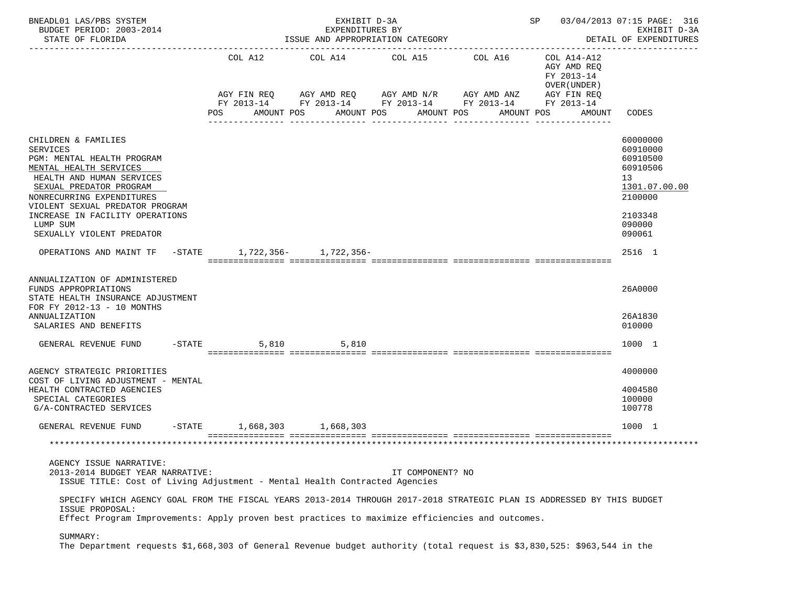| BNEADL01 LAS/PBS SYSTEM<br>BUDGET PERIOD: 2003-2014<br>STATE OF FLORIDA                                                                                                                                                                                                                                                                                                                   |                              | EXHIBIT D-3A<br>EXPENDITURES BY<br>ISSUE AND APPROPRIATION CATEGORY                                                                  | SP 03/04/2013 07:15 PAGE: 316<br>EXHIBIT D-3A<br>DETAIL OF EXPENDITURES |                                          |                                                                          |                                                                                                               |
|-------------------------------------------------------------------------------------------------------------------------------------------------------------------------------------------------------------------------------------------------------------------------------------------------------------------------------------------------------------------------------------------|------------------------------|--------------------------------------------------------------------------------------------------------------------------------------|-------------------------------------------------------------------------|------------------------------------------|--------------------------------------------------------------------------|---------------------------------------------------------------------------------------------------------------|
|                                                                                                                                                                                                                                                                                                                                                                                           | COL A12                      | COL A14 COL A15 COL A16<br>AGY FIN REQ AGY AMD REQ AGY AMD N/R AGY AMD ANZ<br>FY 2013-14 FY 2013-14 FY 2013-14 FY 2013-14 FY 2013-14 |                                                                         |                                          | COL A14-A12<br>AGY AMD REQ<br>FY 2013-14<br>OVER (UNDER )<br>AGY FIN REQ |                                                                                                               |
|                                                                                                                                                                                                                                                                                                                                                                                           | POS                          | AMOUNT POS                                                                                                                           | AMOUNT POS<br>--------------                                            | AMOUNT POS<br>AMOUNT POS<br>____________ | AMOUNT                                                                   | CODES                                                                                                         |
| CHILDREN & FAMILIES<br><b>SERVICES</b><br>PGM: MENTAL HEALTH PROGRAM<br>MENTAL HEALTH SERVICES<br>HEALTH AND HUMAN SERVICES<br>SEXUAL PREDATOR PROGRAM<br>NONRECURRING EXPENDITURES<br>VIOLENT SEXUAL PREDATOR PROGRAM<br>INCREASE IN FACILITY OPERATIONS<br>LUMP SUM<br>SEXUALLY VIOLENT PREDATOR                                                                                        |                              |                                                                                                                                      |                                                                         |                                          |                                                                          | 60000000<br>60910000<br>60910500<br>60910506<br>13<br>1301.07.00.00<br>2100000<br>2103348<br>090000<br>090061 |
| OPERATIONS AND MAINT TF -STATE 1,722,356- 1,722,356-                                                                                                                                                                                                                                                                                                                                      |                              |                                                                                                                                      |                                                                         |                                          |                                                                          | 2516 1                                                                                                        |
| ANNUALIZATION OF ADMINISTERED<br>FUNDS APPROPRIATIONS<br>STATE HEALTH INSURANCE ADJUSTMENT<br>FOR FY 2012-13 - 10 MONTHS<br>ANNUALIZATION<br>SALARIES AND BENEFITS                                                                                                                                                                                                                        |                              |                                                                                                                                      |                                                                         |                                          |                                                                          | 26A0000<br>26A1830<br>010000                                                                                  |
| GENERAL REVENUE FUND                                                                                                                                                                                                                                                                                                                                                                      | $-STATE$<br>5,810            | 5.810                                                                                                                                |                                                                         |                                          |                                                                          | 1000 1                                                                                                        |
| AGENCY STRATEGIC PRIORITIES<br>COST OF LIVING ADJUSTMENT - MENTAL<br>HEALTH CONTRACTED AGENCIES<br>SPECIAL CATEGORIES<br>G/A-CONTRACTED SERVICES                                                                                                                                                                                                                                          |                              |                                                                                                                                      |                                                                         |                                          |                                                                          | 4000000<br>4004580<br>100000<br>100778                                                                        |
| GENERAL REVENUE FUND                                                                                                                                                                                                                                                                                                                                                                      | $-STATE$ 1,668,303 1,668,303 |                                                                                                                                      |                                                                         |                                          |                                                                          | 1000 1                                                                                                        |
|                                                                                                                                                                                                                                                                                                                                                                                           |                              |                                                                                                                                      |                                                                         |                                          |                                                                          |                                                                                                               |
| AGENCY ISSUE NARRATIVE:<br>2013-2014 BUDGET YEAR NARRATIVE:<br>ISSUE TITLE: Cost of Living Adjustment - Mental Health Contracted Agencies<br>SPECIFY WHICH AGENCY GOAL FROM THE FISCAL YEARS 2013-2014 THROUGH 2017-2018 STRATEGIC PLAN IS ADDRESSED BY THIS BUDGET<br>ISSUE PROPOSAL:<br>Effect Program Improvements: Apply proven best practices to maximize efficiencies and outcomes. |                              |                                                                                                                                      | IT COMPONENT? NO                                                        |                                          |                                                                          |                                                                                                               |
| SUMMARY:<br>The Department requests \$1,668,303 of General Revenue budget authority (total request is \$3,830,525: \$963,544 in the                                                                                                                                                                                                                                                       |                              |                                                                                                                                      |                                                                         |                                          |                                                                          |                                                                                                               |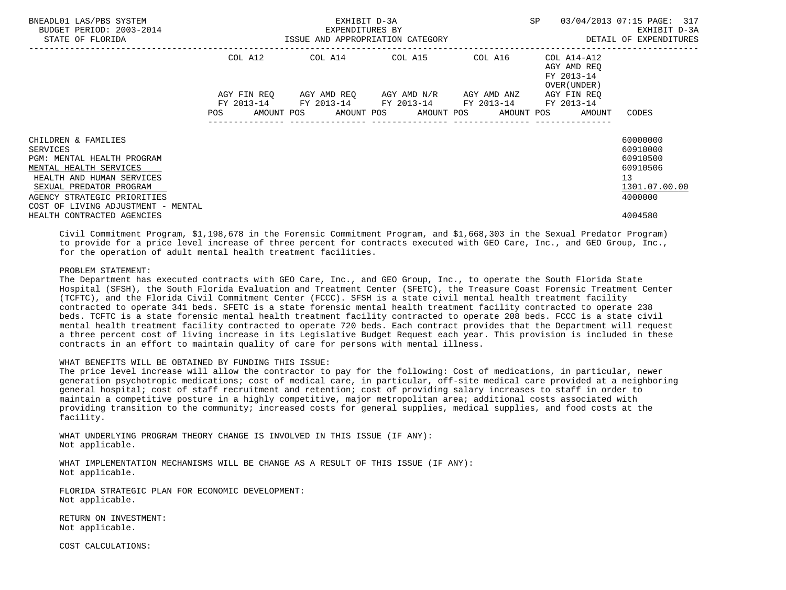| BNEADL01 LAS/PBS SYSTEM<br>BUDGET PERIOD: 2003-2014<br>STATE OF FLORIDA                                                                                                                                              |             | EXHIBIT D-3A<br>EXPENDITURES BY<br>ISSUE AND APPROPRIATION CATEGORY | SP<br>-------------------------------- | 03/04/2013 07:15 PAGE: 317<br>EXHIBIT D-3A<br>DETAIL OF EXPENDITURES |                                                                       |                                                                                |
|----------------------------------------------------------------------------------------------------------------------------------------------------------------------------------------------------------------------|-------------|---------------------------------------------------------------------|----------------------------------------|----------------------------------------------------------------------|-----------------------------------------------------------------------|--------------------------------------------------------------------------------|
|                                                                                                                                                                                                                      | COL A12     | COL A14 COL A15 COL A16                                             |                                        |                                                                      | COL A14-A12<br>AGY AMD REO<br>FY 2013-14<br>OVER (UNDER)              |                                                                                |
|                                                                                                                                                                                                                      | AGY FIN REO | FY 2013-14 FY 2013-14 FY 2013-14 FY 2013-14 FY 2013-14              | AGY AMD REO AGY AMD N/R AGY AMD ANZ    |                                                                      | AGY FIN REO<br>POS AMOUNT POS AMOUNT POS AMOUNT POS AMOUNT POS AMOUNT | CODES                                                                          |
| CHILDREN & FAMILIES<br>SERVICES<br>PGM: MENTAL HEALTH PROGRAM<br>MENTAL HEALTH SERVICES<br>HEALTH AND HUMAN SERVICES<br>SEXUAL PREDATOR PROGRAM<br>AGENCY STRATEGIC PRIORITIES<br>COST OF LIVING ADJUSTMENT - MENTAL |             |                                                                     |                                        |                                                                      |                                                                       | 60000000<br>60910000<br>60910500<br>60910506<br>13<br>1301.07.00.00<br>4000000 |
| HEALTH CONTRACTED AGENCIES                                                                                                                                                                                           |             |                                                                     |                                        |                                                                      |                                                                       | 4004580                                                                        |

 Civil Commitment Program, \$1,198,678 in the Forensic Commitment Program, and \$1,668,303 in the Sexual Predator Program) to provide for a price level increase of three percent for contracts executed with GEO Care, Inc., and GEO Group, Inc., for the operation of adult mental health treatment facilities.

# PROBLEM STATEMENT:

 The Department has executed contracts with GEO Care, Inc., and GEO Group, Inc., to operate the South Florida State Hospital (SFSH), the South Florida Evaluation and Treatment Center (SFETC), the Treasure Coast Forensic Treatment Center (TCFTC), and the Florida Civil Commitment Center (FCCC). SFSH is a state civil mental health treatment facility contracted to operate 341 beds. SFETC is a state forensic mental health treatment facility contracted to operate 238 beds. TCFTC is a state forensic mental health treatment facility contracted to operate 208 beds. FCCC is a state civil mental health treatment facility contracted to operate 720 beds. Each contract provides that the Department will request a three percent cost of living increase in its Legislative Budget Request each year. This provision is included in these contracts in an effort to maintain quality of care for persons with mental illness.

# WHAT BENEFITS WILL BE OBTAINED BY FUNDING THIS ISSUE:

 The price level increase will allow the contractor to pay for the following: Cost of medications, in particular, newer generation psychotropic medications; cost of medical care, in particular, off-site medical care provided at a neighboring general hospital; cost of staff recruitment and retention; cost of providing salary increases to staff in order to maintain a competitive posture in a highly competitive, major metropolitan area; additional costs associated with providing transition to the community; increased costs for general supplies, medical supplies, and food costs at the facility.

 WHAT UNDERLYING PROGRAM THEORY CHANGE IS INVOLVED IN THIS ISSUE (IF ANY): Not applicable.

 WHAT IMPLEMENTATION MECHANISMS WILL BE CHANGE AS A RESULT OF THIS ISSUE (IF ANY): Not applicable.

 FLORIDA STRATEGIC PLAN FOR ECONOMIC DEVELOPMENT: Not applicable.

 RETURN ON INVESTMENT: Not applicable.

COST CALCULATIONS: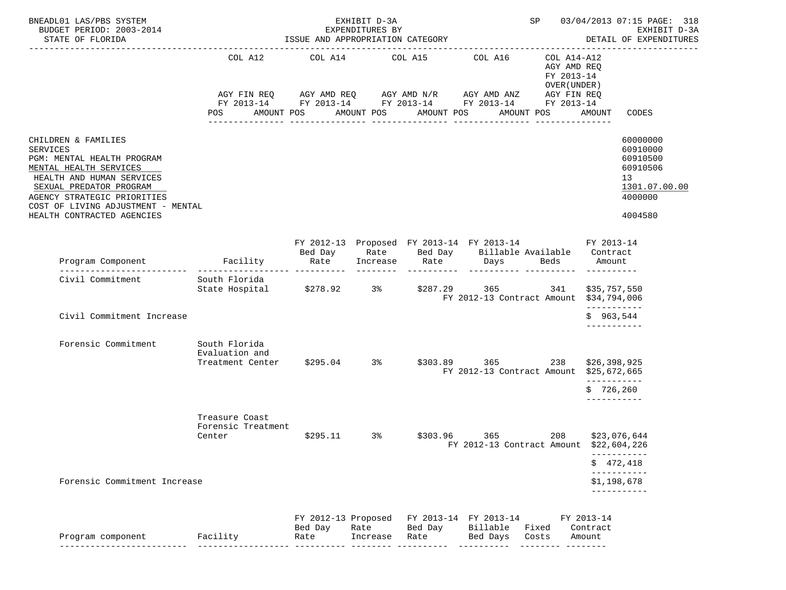| BNEADL01 LAS/PBS SYSTEM<br>BUDGET PERIOD: 2003-2014<br>STATE OF FLORIDA                                                                                                                                                                                   | ISSUE AND APPROPRIATION CATEGORY                                                                                                          |                     | 03/04/2013 07:15 PAGE: 318<br>SP<br>EXHIBIT D-3A<br>DETAIL OF EXPENDITURES |                  |                                                                                                                                |                                                                          |                             |                                                                                           |
|-----------------------------------------------------------------------------------------------------------------------------------------------------------------------------------------------------------------------------------------------------------|-------------------------------------------------------------------------------------------------------------------------------------------|---------------------|----------------------------------------------------------------------------|------------------|--------------------------------------------------------------------------------------------------------------------------------|--------------------------------------------------------------------------|-----------------------------|-------------------------------------------------------------------------------------------|
|                                                                                                                                                                                                                                                           | COL A12<br>AGY FIN REQ AGY AMD REQ AGY AMD N/R AGY AMD ANZ<br>FY 2013-14 FY 2013-14 FY 2013-14 FY 2013-14 FY 2013-14<br>POS<br>AMOUNT POS | COL A14             | COL A15<br>AMOUNT POS                                                      | AMOUNT POS       | COL A16<br>AMOUNT POS                                                                                                          | COL A14-A12<br>AGY AMD REQ<br>FY 2013-14<br>OVER (UNDER )<br>AGY FIN REQ | AMOUNT                      | CODES                                                                                     |
|                                                                                                                                                                                                                                                           |                                                                                                                                           | ---------------     |                                                                            | ________________ | ---------------                                                                                                                |                                                                          |                             |                                                                                           |
| CHILDREN & FAMILIES<br><b>SERVICES</b><br>PGM: MENTAL HEALTH PROGRAM<br>MENTAL HEALTH SERVICES<br>HEALTH AND HUMAN SERVICES<br>SEXUAL PREDATOR PROGRAM<br>AGENCY STRATEGIC PRIORITIES<br>COST OF LIVING ADJUSTMENT - MENTAL<br>HEALTH CONTRACTED AGENCIES |                                                                                                                                           |                     |                                                                            |                  |                                                                                                                                |                                                                          |                             | 60000000<br>60910000<br>60910500<br>60910506<br>13<br>1301.07.00.00<br>4000000<br>4004580 |
|                                                                                                                                                                                                                                                           |                                                                                                                                           |                     |                                                                            |                  |                                                                                                                                |                                                                          |                             |                                                                                           |
| Program Component                                                                                                                                                                                                                                         | <b>Example 1</b> Facility                                                                                                                 | Rate                |                                                                            |                  | FY 2012-13 Proposed FY 2013-14 FY 2013-14 FY 2013-14<br>Bed Day Mate Bed Day Billable Available Contract<br>Increase Rate Days | Beds                                                                     | Amount                      |                                                                                           |
| Civil Commitment                                                                                                                                                                                                                                          | South Florida<br>State Hospital \$278.92 3% \$287.29 365                                                                                  |                     |                                                                            | ----------       | FY 2012-13 Contract Amount \$34,794,006                                                                                        | 341                                                                      | \$35,757,550                |                                                                                           |
| Civil Commitment Increase                                                                                                                                                                                                                                 |                                                                                                                                           |                     |                                                                            |                  |                                                                                                                                |                                                                          | -----------<br>\$963,544    |                                                                                           |
| Forensic Commitment                                                                                                                                                                                                                                       | South Florida<br>Evaluation and<br>Treatment Center \$295.04 3%                                                                           |                     |                                                                            |                  | $$303.89$ 365<br>FY 2012-13 Contract Amount \$25,672,665                                                                       | 238                                                                      | \$26,398,925<br>----------- |                                                                                           |
|                                                                                                                                                                                                                                                           |                                                                                                                                           |                     |                                                                            |                  |                                                                                                                                |                                                                          | \$726, 260<br>-----------   |                                                                                           |
|                                                                                                                                                                                                                                                           | Treasure Coast<br>Forensic Treatment<br>Center                                                                                            |                     |                                                                            |                  | \$295.11 3% \$303.96 365<br>FY 2012-13 Contract Amount                                                                         | 208                                                                      |                             | \$23,076,644<br>\$22,604,226                                                              |
|                                                                                                                                                                                                                                                           |                                                                                                                                           |                     |                                                                            |                  |                                                                                                                                |                                                                          |                             | \$472,418                                                                                 |
| Forensic Commitment Increase                                                                                                                                                                                                                              |                                                                                                                                           |                     |                                                                            |                  |                                                                                                                                |                                                                          |                             | ------------<br>\$1,198,678                                                               |
|                                                                                                                                                                                                                                                           |                                                                                                                                           | FY 2012-13 Proposed |                                                                            |                  | FY 2013-14 FY 2013-14                                                                                                          |                                                                          | FY 2013-14                  | ___________                                                                               |
| Program component                                                                                                                                                                                                                                         | Facility                                                                                                                                  | Bed Day<br>Rate     | Rate<br>Increase                                                           | Bed Day<br>Rate  | Billable Fixed<br>Bed Days                                                                                                     | Costs                                                                    | Contract<br>Amount          |                                                                                           |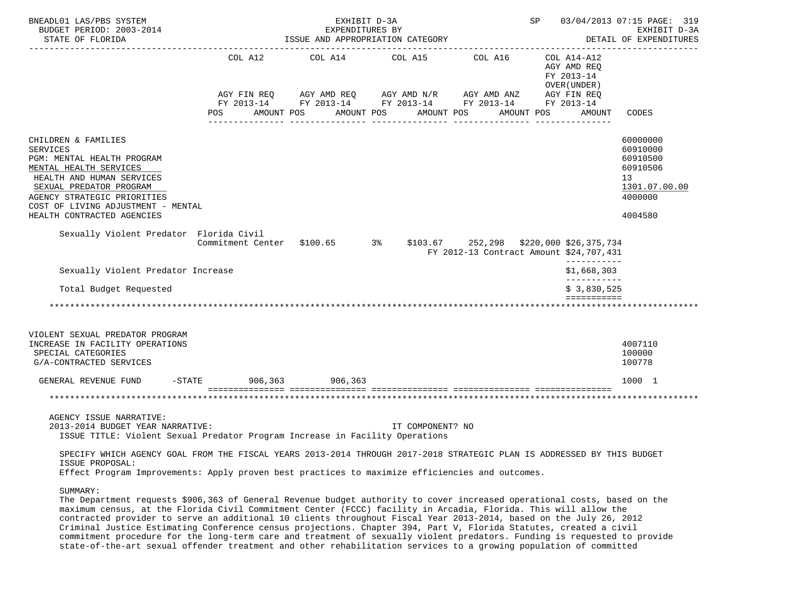| BNEADL01 LAS/PBS SYSTEM<br>BUDGET PERIOD: 2003-2014<br>STATE OF FLORIDA                                                                                                                                                                                   |                                                                       | EXHIBIT D-3A<br>EXPENDITURES BY<br>ISSUE AND APPROPRIATION CATEGORY |                                                                                                                                                | SP 03/04/2013 07:15 PAGE: 319<br>EXHIBIT D-3A<br>DETAIL OF EXPENDITURES |                                                           |                                                                                                        |
|-----------------------------------------------------------------------------------------------------------------------------------------------------------------------------------------------------------------------------------------------------------|-----------------------------------------------------------------------|---------------------------------------------------------------------|------------------------------------------------------------------------------------------------------------------------------------------------|-------------------------------------------------------------------------|-----------------------------------------------------------|--------------------------------------------------------------------------------------------------------|
|                                                                                                                                                                                                                                                           | COL A12                                                               |                                                                     | COL A14 COL A15                                                                                                                                | COL A16                                                                 | COL A14-A12<br>AGY AMD REO<br>FY 2013-14<br>OVER (UNDER ) |                                                                                                        |
|                                                                                                                                                                                                                                                           | POS FOR                                                               | AMOUNT POS                                                          | AGY FIN REQ AGY AMD REQ AGY AMD N/R AGY AMD ANZ AGY FIN REQ<br>FY 2013-14 FY 2013-14 FY 2013-14 FY 2013-14 FY 2013-14<br>AMOUNT POS AMOUNT POS |                                                                         | AMOUNT POS<br>AMOUNT                                      | CODES                                                                                                  |
| CHILDREN & FAMILIES<br><b>SERVICES</b><br>PGM: MENTAL HEALTH PROGRAM<br>MENTAL HEALTH SERVICES<br>HEALTH AND HUMAN SERVICES<br>SEXUAL PREDATOR PROGRAM<br>AGENCY STRATEGIC PRIORITIES<br>COST OF LIVING ADJUSTMENT - MENTAL<br>HEALTH CONTRACTED AGENCIES |                                                                       |                                                                     |                                                                                                                                                |                                                                         |                                                           | 60000000<br>60910000<br>60910500<br>60910506<br>13 <sup>°</sup><br>1301.07.00.00<br>4000000<br>4004580 |
| Sexually Violent Predator Florida Civil                                                                                                                                                                                                                   | Commitment Center \$100.65 3% \$103.67 252,298 \$220,000 \$26,375,734 |                                                                     |                                                                                                                                                | FY 2012-13 Contract Amount \$24,707,431                                 | ------------                                              |                                                                                                        |
| Sexually Violent Predator Increase                                                                                                                                                                                                                        |                                                                       |                                                                     |                                                                                                                                                |                                                                         | \$1,668,303<br>-----------                                |                                                                                                        |
| Total Budget Requested                                                                                                                                                                                                                                    |                                                                       |                                                                     |                                                                                                                                                |                                                                         | \$3,830,525                                               |                                                                                                        |
|                                                                                                                                                                                                                                                           |                                                                       |                                                                     |                                                                                                                                                |                                                                         | ===========                                               |                                                                                                        |
| VIOLENT SEXUAL PREDATOR PROGRAM<br>INCREASE IN FACILITY OPERATIONS<br>SPECIAL CATEGORIES<br>G/A-CONTRACTED SERVICES                                                                                                                                       |                                                                       |                                                                     |                                                                                                                                                |                                                                         |                                                           | 4007110<br>100000<br>100778                                                                            |
| GENERAL REVENUE FUND                                                                                                                                                                                                                                      | -STATE 906,363 906,363                                                |                                                                     |                                                                                                                                                |                                                                         |                                                           | 1000 1                                                                                                 |
|                                                                                                                                                                                                                                                           |                                                                       |                                                                     |                                                                                                                                                |                                                                         |                                                           |                                                                                                        |
| AGENCY ISSUE NARRATIVE:<br>2013-2014 BUDGET YEAR NARRATIVE:<br>ISSUE TITLE: Violent Sexual Predator Program Increase in Facility Operations                                                                                                               |                                                                       |                                                                     | IT COMPONENT? NO                                                                                                                               |                                                                         |                                                           |                                                                                                        |
| SPECIFY WHICH AGENCY GOAL FROM THE FISCAL YEARS 2013-2014 THROUGH 2017-2018 STRATEGIC PLAN IS ADDRESSED BY THIS BUDGET<br>ISSUE PROPOSAL:                                                                                                                 |                                                                       |                                                                     |                                                                                                                                                |                                                                         |                                                           |                                                                                                        |
| Effect Program Improvements: Apply proven best practices to maximize efficiencies and outcomes.                                                                                                                                                           |                                                                       |                                                                     |                                                                                                                                                |                                                                         |                                                           |                                                                                                        |
| SUMMARY:<br>The Department requests \$906,363 of General Revenue budget authority to cover increased operational costs, based on the                                                                                                                      |                                                                       |                                                                     |                                                                                                                                                |                                                                         |                                                           |                                                                                                        |

 The Department requests \$906,363 of General Revenue budget authority to cover increased operational costs, based on the maximum census, at the Florida Civil Commitment Center (FCCC) facility in Arcadia, Florida. This will allow the contracted provider to serve an additional 10 clients throughout Fiscal Year 2013-2014, based on the July 26, 2012 Criminal Justice Estimating Conference census projections. Chapter 394, Part V, Florida Statutes, created a civil commitment procedure for the long-term care and treatment of sexually violent predators. Funding is requested to provide state-of-the-art sexual offender treatment and other rehabilitation services to a growing population of committed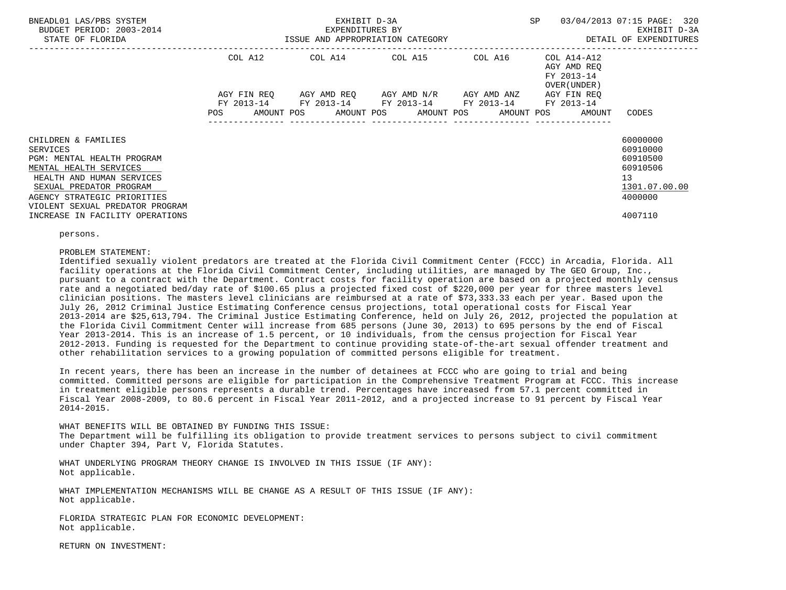| BNEADL01 LAS/PBS SYSTEM<br>BUDGET PERIOD: 2003-2014<br>STATE OF FLORIDA                   | ISSUE AND APPROPRIATION CATEGORY | EXHIBIT D-3A<br>EXPENDITURES BY | <b>SP</b>                                                                                     | 03/04/2013 07:15 PAGE: 320<br>EXHIBIT D-3A<br>DETAIL OF EXPENDITURES |                                                          |                          |
|-------------------------------------------------------------------------------------------|----------------------------------|---------------------------------|-----------------------------------------------------------------------------------------------|----------------------------------------------------------------------|----------------------------------------------------------|--------------------------|
|                                                                                           | COL A12                          |                                 | COL A14 COL A15 COL A16                                                                       |                                                                      | COL A14-A12<br>AGY AMD REQ<br>FY 2013-14<br>OVER (UNDER) |                          |
|                                                                                           | AGY FIN REO                      |                                 | AGY AMD REO AGY AMD N/R AGY AMD ANZ<br>FY 2013-14 FY 2013-14 FY 2013-14 FY 2013-14 FY 2013-14 |                                                                      | AGY FIN REO                                              |                          |
|                                                                                           | <b>POS</b>                       |                                 |                                                                                               |                                                                      | AMOUNT POS AMOUNT POS AMOUNT POS AMOUNT POS AMOUNT       | CODES                    |
| CHILDREN & FAMILIES                                                                       |                                  |                                 |                                                                                               |                                                                      |                                                          | 60000000                 |
| SERVICES<br>PGM: MENTAL HEALTH PROGRAM                                                    |                                  |                                 |                                                                                               |                                                                      |                                                          | 60910000<br>60910500     |
| MENTAL HEALTH SERVICES                                                                    |                                  |                                 |                                                                                               |                                                                      |                                                          | 60910506                 |
| HEALTH AND HUMAN SERVICES                                                                 |                                  |                                 |                                                                                               |                                                                      |                                                          | 13                       |
| SEXUAL PREDATOR PROGRAM<br>AGENCY STRATEGIC PRIORITIES<br>VIOLENT SEXUAL PREDATOR PROGRAM |                                  |                                 |                                                                                               |                                                                      |                                                          | 1301.07.00.00<br>4000000 |
| INCREASE IN FACILITY OPERATIONS                                                           |                                  |                                 |                                                                                               |                                                                      |                                                          | 4007110                  |

persons.

### PROBLEM STATEMENT:

 Identified sexually violent predators are treated at the Florida Civil Commitment Center (FCCC) in Arcadia, Florida. All facility operations at the Florida Civil Commitment Center, including utilities, are managed by The GEO Group, Inc., pursuant to a contract with the Department. Contract costs for facility operation are based on a projected monthly census rate and a negotiated bed/day rate of \$100.65 plus a projected fixed cost of \$220,000 per year for three masters level clinician positions. The masters level clinicians are reimbursed at a rate of \$73,333.33 each per year. Based upon the July 26, 2012 Criminal Justice Estimating Conference census projections, total operational costs for Fiscal Year 2013-2014 are \$25,613,794. The Criminal Justice Estimating Conference, held on July 26, 2012, projected the population at the Florida Civil Commitment Center will increase from 685 persons (June 30, 2013) to 695 persons by the end of Fiscal Year 2013-2014. This is an increase of 1.5 percent, or 10 individuals, from the census projection for Fiscal Year 2012-2013. Funding is requested for the Department to continue providing state-of-the-art sexual offender treatment and other rehabilitation services to a growing population of committed persons eligible for treatment.

 In recent years, there has been an increase in the number of detainees at FCCC who are going to trial and being committed. Committed persons are eligible for participation in the Comprehensive Treatment Program at FCCC. This increase in treatment eligible persons represents a durable trend. Percentages have increased from 57.1 percent committed in Fiscal Year 2008-2009, to 80.6 percent in Fiscal Year 2011-2012, and a projected increase to 91 percent by Fiscal Year 2014-2015.

 WHAT BENEFITS WILL BE OBTAINED BY FUNDING THIS ISSUE: The Department will be fulfilling its obligation to provide treatment services to persons subject to civil commitment under Chapter 394, Part V, Florida Statutes.

 WHAT UNDERLYING PROGRAM THEORY CHANGE IS INVOLVED IN THIS ISSUE (IF ANY): Not applicable.

 WHAT IMPLEMENTATION MECHANISMS WILL BE CHANGE AS A RESULT OF THIS ISSUE (IF ANY): Not applicable.

 FLORIDA STRATEGIC PLAN FOR ECONOMIC DEVELOPMENT: Not applicable.

RETURN ON INVESTMENT: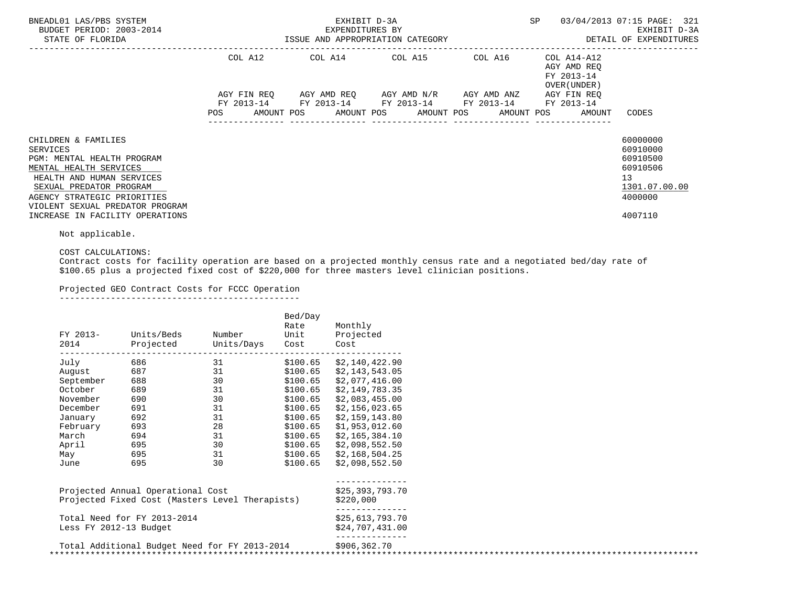| BNEADL01 LAS/PBS SYSTEM<br>BUDGET PERIOD: 2003-2014<br>STATE OF FLORIDA                                                                                                                                                                              |                        | EXHIBIT D-3A<br>EXPENDITURES BY<br>ISSUE AND APPROPRIATION CATEGORY  | SP                                  | 03/04/2013 07:15 PAGE: 321<br>EXHIBIT D-3A<br>DETAIL OF EXPENDITURES |                                                          |                                                                                           |
|------------------------------------------------------------------------------------------------------------------------------------------------------------------------------------------------------------------------------------------------------|------------------------|----------------------------------------------------------------------|-------------------------------------|----------------------------------------------------------------------|----------------------------------------------------------|-------------------------------------------------------------------------------------------|
|                                                                                                                                                                                                                                                      | COL A12<br>AGY FIN REO |                                                                      | AGY AMD REO AGY AMD N/R AGY AMD ANZ |                                                                      | AGY AMD REO<br>FY 2013-14<br>OVER (UNDER)<br>AGY FIN REO |                                                                                           |
|                                                                                                                                                                                                                                                      | POS                    | FY 2013-14 FY 2013-14 FY 2013-14 FY 2013-14 FY 2013-14<br>AMOUNT POS | AMOUNT POS AMOUNT POS               |                                                                      | AMOUNT POS<br>AMOUNT                                     | CODES                                                                                     |
| CHILDREN & FAMILIES<br>SERVICES<br>PGM: MENTAL HEALTH PROGRAM<br>MENTAL HEALTH SERVICES<br>HEALTH AND HUMAN SERVICES<br>SEXUAL PREDATOR PROGRAM<br>AGENCY STRATEGIC PRIORITIES<br>VIOLENT SEXUAL PREDATOR PROGRAM<br>INCREASE IN FACILITY OPERATIONS |                        |                                                                      |                                     |                                                                      |                                                          | 60000000<br>60910000<br>60910500<br>60910506<br>13<br>1301.07.00.00<br>4000000<br>4007110 |

Not applicable.

COST CALCULATIONS:

 Contract costs for facility operation are based on a projected monthly census rate and a negotiated bed/day rate of \$100.65 plus a projected fixed cost of \$220,000 for three masters level clinician positions.

Projected GEO Contract Costs for FCCC Operation

-----------------------------------------------

| FY 2013-<br>2014       | Units/Beds<br>Projected                                                              | Number<br>Units/Days | Bed/Day<br>Rate<br>Unit<br>Cost | Monthly<br>Projected<br>Cost       |  |
|------------------------|--------------------------------------------------------------------------------------|----------------------|---------------------------------|------------------------------------|--|
| July                   | 686                                                                                  | 31                   | \$100.65                        | \$2,140,422.90                     |  |
| August                 | 687                                                                                  | 31                   | \$100.65                        | \$2,143,543.05                     |  |
| September              | 688                                                                                  | 30                   | \$100.65                        | \$2,077,416.00                     |  |
| October                | 689                                                                                  | 31                   | \$100.65                        | \$2,149,783.35                     |  |
| November               | 690                                                                                  | 30                   | \$100.65                        | \$2,083,455.00                     |  |
| December               | 691                                                                                  | 31                   | \$100.65                        | \$2,156,023.65                     |  |
| January                | 692                                                                                  | 31                   | \$100.65                        | \$2,159,143.80                     |  |
| February               | 693                                                                                  | 28                   | \$100.65                        | \$1,953,012.60                     |  |
| March                  | 694                                                                                  | 31                   | \$100.65                        | \$2,165,384.10                     |  |
| April                  | 695                                                                                  | 30                   | \$100.65                        | \$2,098,552.50                     |  |
| May                    | 695                                                                                  | 31                   | \$100.65                        | \$2,168,504.25                     |  |
| June                   | 695                                                                                  | 30                   | \$100.65                        | \$2,098,552.50                     |  |
|                        | Projected Annual Operational Cost<br>Projected Fixed Cost (Masters Level Therapists) |                      |                                 | \$25,393,793.70<br>\$220,000       |  |
| Less FY 2012-13 Budget | Total Need for FY 2013-2014                                                          |                      |                                 | \$25,613,793.70<br>\$24,707,431.00 |  |
|                        | Total Additional Budget Need for FY 2013-2014                                        |                      |                                 | \$906,362.70                       |  |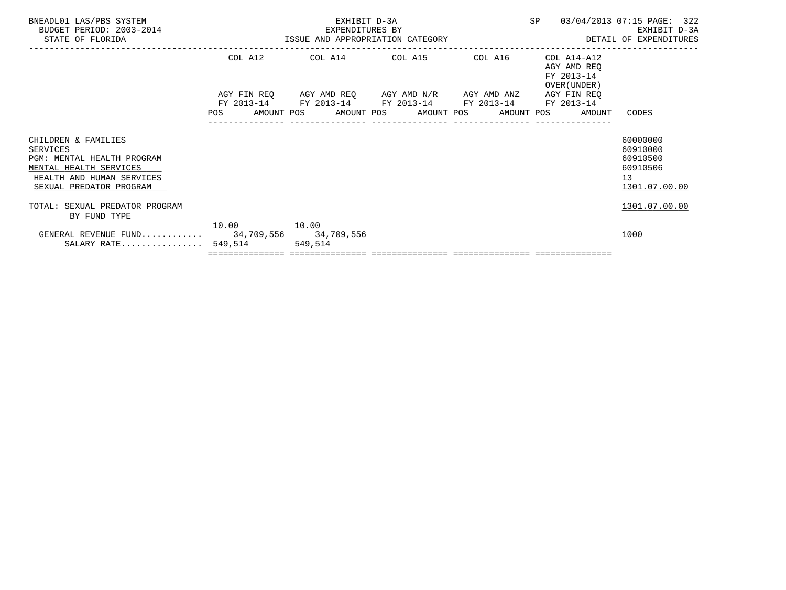| BNEADL01 LAS/PBS SYSTEM<br>BUDGET PERIOD: 2003-2014<br>STATE OF FLORIDA                                                                         | EXPENDITURES BI<br>ISSUE AND APPROPRIATION CATEGORY | EXHIBIT D-3A<br>EXPENDITURES BY |  | SP 03/04/2013 07:15 PAGE: 322                                                                                         | EXHIBIT D-3A<br>DETAIL OF EXPENDITURES                    |                                                                     |
|-------------------------------------------------------------------------------------------------------------------------------------------------|-----------------------------------------------------|---------------------------------|--|-----------------------------------------------------------------------------------------------------------------------|-----------------------------------------------------------|---------------------------------------------------------------------|
|                                                                                                                                                 | COL A12                                             |                                 |  | COL A14 COL A15 COL A16                                                                                               | COL A14-A12<br>AGY AMD REO<br>FY 2013-14<br>OVER (UNDER ) |                                                                     |
|                                                                                                                                                 | <b>POS</b>                                          |                                 |  | AGY FIN REQ AGY AMD REQ AGY AMD N/R AGY AMD ANZ AGY FIN REQ<br>FY 2013-14 FY 2013-14 FY 2013-14 FY 2013-14 FY 2013-14 | AMOUNT POS AMOUNT POS AMOUNT POS AMOUNT POS AMOUNT        | CODES                                                               |
| CHILDREN & FAMILIES<br>SERVICES<br>PGM: MENTAL HEALTH PROGRAM<br>MENTAL HEALTH SERVICES<br>HEALTH AND HUMAN SERVICES<br>SEXUAL PREDATOR PROGRAM |                                                     |                                 |  |                                                                                                                       |                                                           | 60000000<br>60910000<br>60910500<br>60910506<br>13<br>1301.07.00.00 |
| TOTAL: SEXUAL PREDATOR PROGRAM<br>BY FUND TYPE                                                                                                  |                                                     |                                 |  |                                                                                                                       |                                                           | 1301.07.00.00                                                       |
| GENERAL REVENUE FUND 34,709,556 34,709,556<br>SALARY RATE $549,514$                                                                             | 10.00    10.00                                      | 549,514                         |  |                                                                                                                       |                                                           | 1000                                                                |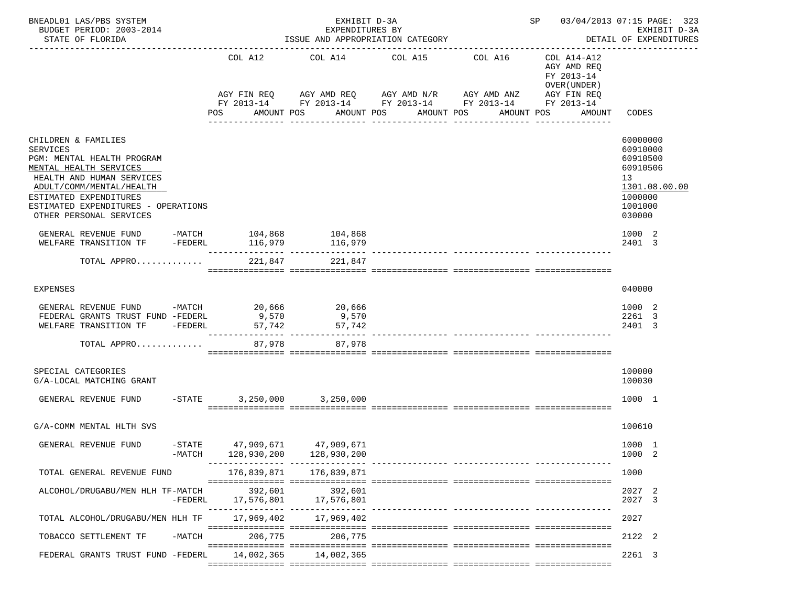| BNEADL01 LAS/PBS SYSTEM<br>BUDGET PERIOD: 2003-2014<br>STATE OF FLORIDA                                                                                 |                       |                           | EXHIBIT D-3A<br>EXPENDITURES BY<br>ISSUE AND APPROPRIATION CATEGORY | ________________________________                                      |                                                                          | SP 03/04/2013 07:15 PAGE: 323<br>EXHIBIT D-3A<br>DETAIL OF EXPENDITURES |
|---------------------------------------------------------------------------------------------------------------------------------------------------------|-----------------------|---------------------------|---------------------------------------------------------------------|-----------------------------------------------------------------------|--------------------------------------------------------------------------|-------------------------------------------------------------------------|
|                                                                                                                                                         |                       | COL A12<br>AGY FIN REQ    | COL A14                                                             | COL A16<br>COL A15<br>AGY AMD REQ       AGY AMD N/R       AGY AMD ANZ | COL A14-A12<br>AGY AMD REQ<br>FY 2013-14<br>OVER (UNDER )<br>AGY FIN REQ |                                                                         |
|                                                                                                                                                         |                       |                           |                                                                     | FY 2013-14 FY 2013-14 FY 2013-14 FY 2013-14 FY 2013-14                |                                                                          |                                                                         |
|                                                                                                                                                         |                       | POS                       | AMOUNT POS                                                          | AMOUNT POS<br>AMOUNT POS                                              | AMOUNT POS<br>AMOUNT                                                     | CODES                                                                   |
| CHILDREN & FAMILIES<br><b>SERVICES</b><br>PGM: MENTAL HEALTH PROGRAM<br>MENTAL HEALTH SERVICES<br>HEALTH AND HUMAN SERVICES<br>ADULT/COMM/MENTAL/HEALTH |                       |                           |                                                                     |                                                                       |                                                                          | 60000000<br>60910000<br>60910500<br>60910506<br>13<br>1301.08.00.00     |
| ESTIMATED EXPENDITURES<br>ESTIMATED EXPENDITURES - OPERATIONS<br>OTHER PERSONAL SERVICES                                                                |                       |                           |                                                                     |                                                                       |                                                                          | 1000000<br>1001000<br>030000                                            |
| GENERAL REVENUE FUND -MATCH 104,868 104,868<br>WELFARE TRANSITION TF                                                                                    | $-FEDERL$             | 116,979                   | 116,979                                                             |                                                                       |                                                                          | 1000 2<br>2401 3                                                        |
|                                                                                                                                                         |                       | 221,847                   | 221,847                                                             |                                                                       |                                                                          |                                                                         |
| TOTAL APPRO                                                                                                                                             |                       |                           |                                                                     |                                                                       |                                                                          |                                                                         |
| <b>EXPENSES</b>                                                                                                                                         |                       |                           |                                                                     |                                                                       |                                                                          | 040000                                                                  |
| GENERAL REVENUE FUND -MATCH 20,666<br>FEDERAL GRANTS TRUST FUND -FEDERL<br>WELFARE TRANSITION TF -FEDERL                                                |                       | 9,570<br>57,742           | 20,666<br>9,570<br>57,742                                           |                                                                       |                                                                          | 1000 2<br>2261 3<br>2401 3                                              |
| TOTAL APPRO                                                                                                                                             |                       | 87,978                    | 87,978                                                              | ------------- ----------------                                        |                                                                          |                                                                         |
| SPECIAL CATEGORIES<br>G/A-LOCAL MATCHING GRANT                                                                                                          |                       |                           |                                                                     |                                                                       |                                                                          | 100000<br>100030                                                        |
| GENERAL REVENUE FUND                                                                                                                                    | $-$ STATE             |                           | 3,250,000 3,250,000                                                 |                                                                       |                                                                          | 1000 1                                                                  |
| G/A-COMM MENTAL HLTH SVS                                                                                                                                |                       |                           |                                                                     |                                                                       |                                                                          | 100610                                                                  |
| GENERAL REVENUE FUND                                                                                                                                    | $-$ STATE<br>$-MATCH$ | 47,909,671<br>128,930,200 | 47,909,671<br>128,930,200<br>________ ______                        |                                                                       |                                                                          | 1000 1<br>1000<br>-2                                                    |
| TOTAL GENERAL REVENUE FUND                                                                                                                              |                       | 176,839,871               | 176,839,871                                                         |                                                                       |                                                                          | 1000                                                                    |
| ALCOHOL/DRUGABU/MEN HLH TF-MATCH                                                                                                                        | -FEDERL               | 392,601<br>17,576,801     | 392,601<br>17,576,801                                               |                                                                       |                                                                          | 2027 2<br>2027<br>-3                                                    |
| TOTAL ALCOHOL/DRUGABU/MEN HLH TF                                                                                                                        |                       | 17,969,402                | 17,969,402                                                          |                                                                       |                                                                          | 2027                                                                    |
| TOBACCO SETTLEMENT TF                                                                                                                                   | $-MATCH$              | 206,775                   | 206,775                                                             |                                                                       |                                                                          | 2122 2                                                                  |
| FEDERAL GRANTS TRUST FUND -FEDERL                                                                                                                       |                       | 14,002,365                | 14,002,365                                                          |                                                                       |                                                                          | 2261 3                                                                  |
|                                                                                                                                                         |                       |                           |                                                                     |                                                                       |                                                                          |                                                                         |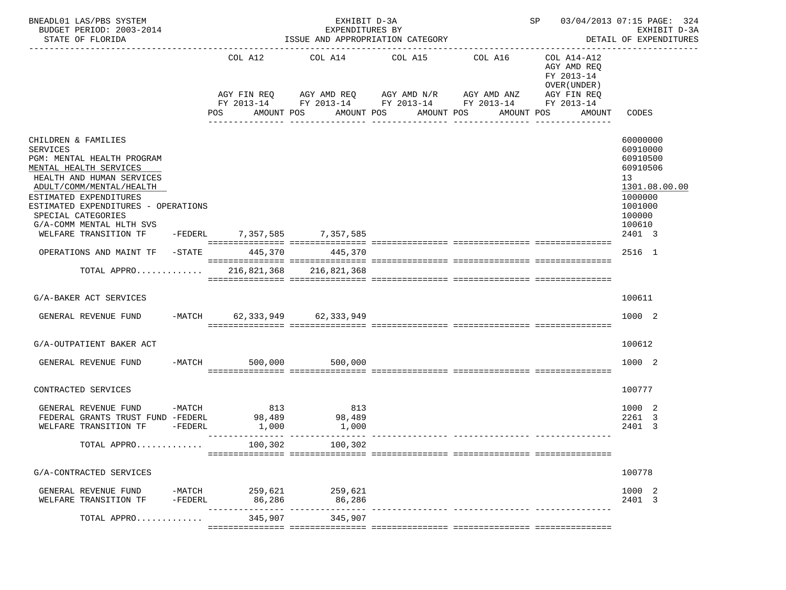| BNEADL01 LAS/PBS SYSTEM<br>BUDGET PERIOD: 2003-2014<br>STATE OF FLORIDA<br><u>_______________________</u>                                                                                                                                                                                           |                       | ISSUE AND APPROPRIATION CATEGORY | SP 03/04/2013 07:15 PAGE: 324 | EXHIBIT D-3A<br>DETAIL OF EXPENDITURES                                                                                                                                    |  |                                                                                  |                                                                                                                         |
|-----------------------------------------------------------------------------------------------------------------------------------------------------------------------------------------------------------------------------------------------------------------------------------------------------|-----------------------|----------------------------------|-------------------------------|---------------------------------------------------------------------------------------------------------------------------------------------------------------------------|--|----------------------------------------------------------------------------------|-------------------------------------------------------------------------------------------------------------------------|
|                                                                                                                                                                                                                                                                                                     |                       | COL A12<br><b>POS</b>            | AMOUNT POS                    | COL A14 COL A15 COL A16<br>AGY FIN REQ AGY AMD REQ AGY AMD N/R AGY AMD ANZ AGY FIN REQ<br>FY 2013-14 FY 2013-14 FY 2013-14 FY 2013-14 FY 2013-14<br>AMOUNT POS AMOUNT POS |  | COL A14-A12<br>AGY AMD REQ<br>FY 2013-14<br>OVER (UNDER)<br>AMOUNT POS<br>AMOUNT | CODES                                                                                                                   |
| CHILDREN & FAMILIES<br><b>SERVICES</b><br>PGM: MENTAL HEALTH PROGRAM<br>MENTAL HEALTH SERVICES<br>HEALTH AND HUMAN SERVICES<br>ADULT/COMM/MENTAL/HEALTH<br>ESTIMATED EXPENDITURES<br>ESTIMATED EXPENDITURES - OPERATIONS<br>SPECIAL CATEGORIES<br>G/A-COMM MENTAL HLTH SVS<br>WELFARE TRANSITION TF |                       |                                  | -FEDERL 7,357,585 7,357,585   |                                                                                                                                                                           |  |                                                                                  | 60000000<br>60910000<br>60910500<br>60910506<br>13<br>1301.08.00.00<br>1000000<br>1001000<br>100000<br>100610<br>2401 3 |
| OPERATIONS AND MAINT TF -STATE 445,370                                                                                                                                                                                                                                                              |                       |                                  | 445,370                       |                                                                                                                                                                           |  |                                                                                  | 2516 1                                                                                                                  |
| TOTAL APPRO $\ldots \ldots \ldots$ 216.821.368 216.821.368                                                                                                                                                                                                                                          |                       |                                  |                               |                                                                                                                                                                           |  |                                                                                  |                                                                                                                         |
| G/A-BAKER ACT SERVICES                                                                                                                                                                                                                                                                              |                       |                                  |                               |                                                                                                                                                                           |  |                                                                                  | 100611                                                                                                                  |
| GENERAL REVENUE FUND -MATCH 62,333,949 62,333,949                                                                                                                                                                                                                                                   |                       |                                  |                               |                                                                                                                                                                           |  |                                                                                  | 1000 2                                                                                                                  |
| G/A-OUTPATIENT BAKER ACT                                                                                                                                                                                                                                                                            |                       |                                  |                               |                                                                                                                                                                           |  |                                                                                  | 100612                                                                                                                  |
| GENERAL REVENUE FUND -MATCH                                                                                                                                                                                                                                                                         |                       |                                  | 500,000<br>500,000            |                                                                                                                                                                           |  |                                                                                  | 1000 2                                                                                                                  |
| CONTRACTED SERVICES                                                                                                                                                                                                                                                                                 |                       |                                  |                               |                                                                                                                                                                           |  |                                                                                  | 100777                                                                                                                  |
| GENERAL REVENUE FUND<br>FEDERAL GRANTS TRUST FUND -FEDERL 98,489<br>WELFARE TRANSITION TF                                                                                                                                                                                                           | $-MATCH$<br>$-FEDERL$ | 813<br>1,000                     | 813<br>98,489<br>1,000        |                                                                                                                                                                           |  |                                                                                  | 1000 2<br>2261 3<br>2401<br>-3                                                                                          |
| TOTAL APPRO                                                                                                                                                                                                                                                                                         |                       |                                  | 100,302 100,302               |                                                                                                                                                                           |  |                                                                                  |                                                                                                                         |
| G/A-CONTRACTED SERVICES                                                                                                                                                                                                                                                                             |                       |                                  |                               |                                                                                                                                                                           |  |                                                                                  | 100778                                                                                                                  |
| GENERAL REVENUE FUND<br>WELFARE TRANSITION TF                                                                                                                                                                                                                                                       | -FEDERL               | -MATCH 259,621 259,621<br>86,286 | 86,286<br>-- ------------     |                                                                                                                                                                           |  |                                                                                  | 1000 2<br>2401 3                                                                                                        |
| TOTAL APPRO                                                                                                                                                                                                                                                                                         |                       | 345,907                          | 345,907                       |                                                                                                                                                                           |  |                                                                                  |                                                                                                                         |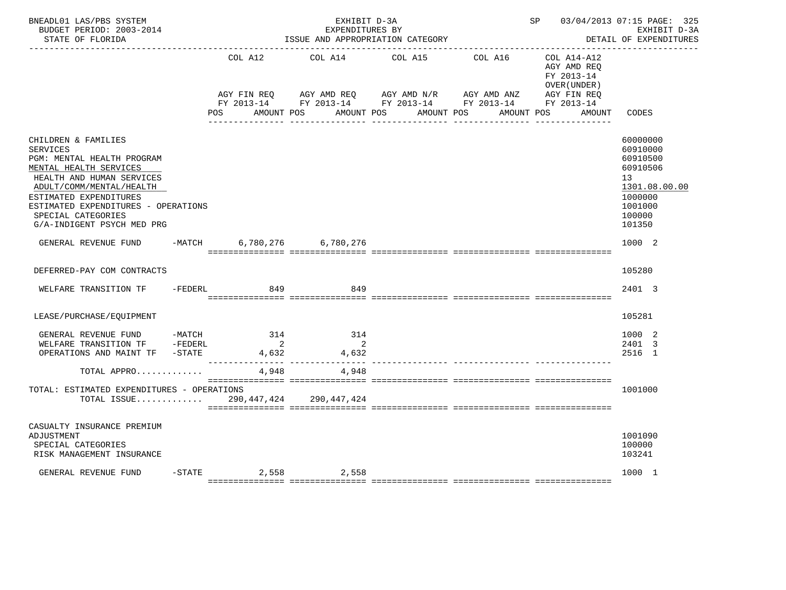| BNEADL01 LAS/PBS SYSTEM<br>BUDGET PERIOD: 2003-2014<br>STATE OF FLORIDA                                                                                                                                                                                               | SP 03/04/2013 07:15 PAGE: 325<br>EXHIBIT D-3A<br>EXPENDITURES BY<br>ISSUE AND APPROPRIATION CATEGORY<br>DETAIL OF EXPENDITURES |                                         |                                                                                                                                  |            |            |                                                              |                                                                                                                            |  |
|-----------------------------------------------------------------------------------------------------------------------------------------------------------------------------------------------------------------------------------------------------------------------|--------------------------------------------------------------------------------------------------------------------------------|-----------------------------------------|----------------------------------------------------------------------------------------------------------------------------------|------------|------------|--------------------------------------------------------------|----------------------------------------------------------------------------------------------------------------------------|--|
|                                                                                                                                                                                                                                                                       |                                                                                                                                | COL A12                                 | COL A14<br>AGY FIN REQ AGY AMD REQ AGY AMD N/R AGY AMD ANZ AGY FIN REQ<br>FY 2013-14 FY 2013-14 FY 2013-14 FY 2013-14 FY 2013-14 | COL A15    | COL A16    | $COL A14 - A12$<br>AGY AMD REQ<br>FY 2013-14<br>OVER (UNDER) |                                                                                                                            |  |
|                                                                                                                                                                                                                                                                       |                                                                                                                                | <b>POS</b>                              | AMOUNT POS                                                                                                                       | AMOUNT POS | AMOUNT POS | AMOUNT POS<br>AMOUNT                                         | CODES                                                                                                                      |  |
| CHILDREN & FAMILIES<br>SERVICES<br>PGM: MENTAL HEALTH PROGRAM<br>MENTAL HEALTH SERVICES<br>HEALTH AND HUMAN SERVICES<br>ADULT/COMM/MENTAL/HEALTH<br>ESTIMATED EXPENDITURES<br>ESTIMATED EXPENDITURES - OPERATIONS<br>SPECIAL CATEGORIES<br>G/A-INDIGENT PSYCH MED PRG |                                                                                                                                |                                         |                                                                                                                                  |            |            |                                                              | 60000000<br>60910000<br>60910500<br>60910506<br>13 <sup>7</sup><br>1301.08.00.00<br>1000000<br>1001000<br>100000<br>101350 |  |
| GENERAL REVENUE FUND                                                                                                                                                                                                                                                  |                                                                                                                                |                                         | -MATCH 6,780,276 6,780,276                                                                                                       |            |            |                                                              | 1000 2                                                                                                                     |  |
| DEFERRED-PAY COM CONTRACTS                                                                                                                                                                                                                                            |                                                                                                                                |                                         |                                                                                                                                  |            |            |                                                              | 105280                                                                                                                     |  |
| WELFARE TRANSITION TF                                                                                                                                                                                                                                                 | -FEDERL                                                                                                                        | 849                                     | 849                                                                                                                              |            |            |                                                              | 2401 3                                                                                                                     |  |
| LEASE/PURCHASE/EQUIPMENT                                                                                                                                                                                                                                              |                                                                                                                                |                                         |                                                                                                                                  |            |            |                                                              | 105281                                                                                                                     |  |
| GENERAL REVENUE FUND -MATCH<br>WELFARE TRANSITION TF -FEDERL<br>OPERATIONS AND MAINT TF -STATE                                                                                                                                                                        |                                                                                                                                | 314<br>$\overline{\mathbf{2}}$<br>4,632 | 314<br>$\overline{\phantom{a}}$ 2<br>4,632                                                                                       |            |            |                                                              | 1000 2<br>2401 3<br>2516 1                                                                                                 |  |
| TOTAL APPRO                                                                                                                                                                                                                                                           |                                                                                                                                | 4,948                                   | 4,948                                                                                                                            |            |            |                                                              |                                                                                                                            |  |
| TOTAL: ESTIMATED EXPENDITURES - OPERATIONS<br>TOTAL ISSUE                                                                                                                                                                                                             |                                                                                                                                |                                         | 290,447,424 290,447,424                                                                                                          |            |            |                                                              | 1001000                                                                                                                    |  |
| CASUALTY INSURANCE PREMIUM<br>ADJUSTMENT<br>SPECIAL CATEGORIES<br>RISK MANAGEMENT INSURANCE                                                                                                                                                                           |                                                                                                                                |                                         |                                                                                                                                  |            |            |                                                              | 1001090<br>100000<br>103241                                                                                                |  |
| GENERAL REVENUE FUND                                                                                                                                                                                                                                                  |                                                                                                                                |                                         | $-$ STATE 2,558 2,558                                                                                                            |            |            |                                                              | 1000 1                                                                                                                     |  |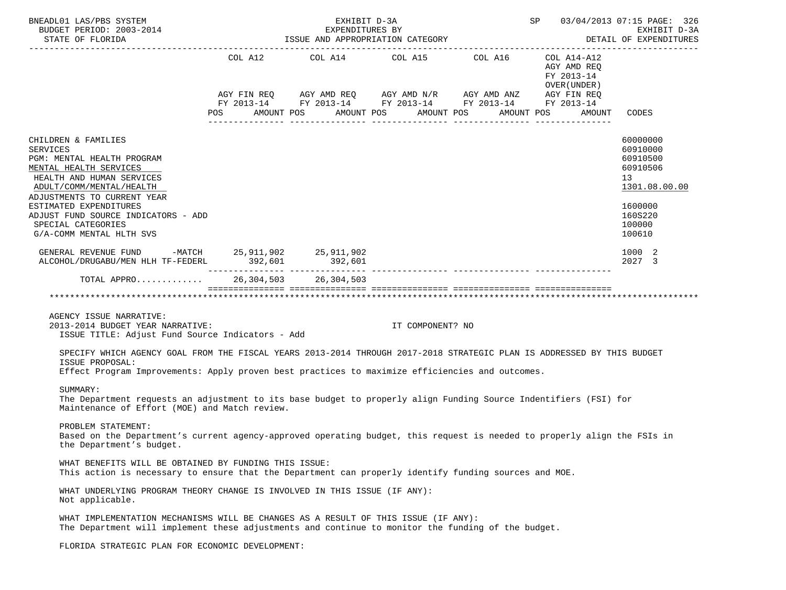| BNEADL01 LAS/PBS SYSTEM<br>BUDGET PERIOD: 2003-2014<br>STATE OF FLORIDA                                                                                                                                                                      | EXHIBIT D-3A<br>EXPENDITURES BY<br>ISSUE AND APPROPRIATION CATEGORY |  |                                                                                                                                                                                                  |  |                                                                    |  |            |  |            | SP 03/04/2013 07:15 PAGE: 326<br>EXHIBIT D-3A<br>DETAIL OF EXPENDITURES |                                                                     |  |
|----------------------------------------------------------------------------------------------------------------------------------------------------------------------------------------------------------------------------------------------|---------------------------------------------------------------------|--|--------------------------------------------------------------------------------------------------------------------------------------------------------------------------------------------------|--|--------------------------------------------------------------------|--|------------|--|------------|-------------------------------------------------------------------------|---------------------------------------------------------------------|--|
|                                                                                                                                                                                                                                              | POS                                                                 |  | COL A12 COL A14 COL A15 COL A16 COL A14-A12<br>AGY FIN REQ AGY AMD REQ AGY AMD N/R AGY AMD ANZ AGY FIN REQ<br>FY 2013-14 FY 2013-14 FY 2013-14 FY 2013-14 FY 2013-14<br>AMOUNT POS<br>AMOUNT POS |  |                                                                    |  | AMOUNT POS |  |            | AGY AMD REQ<br>FY 2013-14<br>OVER (UNDER )<br>AMOUNT                    | CODES                                                               |  |
|                                                                                                                                                                                                                                              |                                                                     |  |                                                                                                                                                                                                  |  |                                                                    |  |            |  | AMOUNT POS |                                                                         |                                                                     |  |
| CHILDREN & FAMILIES<br><b>SERVICES</b><br>PGM: MENTAL HEALTH PROGRAM<br>MENTAL HEALTH SERVICES<br>HEALTH AND HUMAN SERVICES<br>ADULT/COMM/MENTAL/HEALTH<br>ADJUSTMENTS TO CURRENT YEAR                                                       |                                                                     |  |                                                                                                                                                                                                  |  |                                                                    |  |            |  |            |                                                                         | 60000000<br>60910000<br>60910500<br>60910506<br>13<br>1301.08.00.00 |  |
| ESTIMATED EXPENDITURES<br>ADJUST FUND SOURCE INDICATORS - ADD<br>SPECIAL CATEGORIES<br>G/A-COMM MENTAL HLTH SVS                                                                                                                              |                                                                     |  |                                                                                                                                                                                                  |  |                                                                    |  |            |  |            |                                                                         | 1600000<br>160S220<br>100000<br>100610                              |  |
| GENERAL REVENUE FUND -MATCH 25, 911, 902 25, 911, 902<br>ALCOHOL/DRUGABU/MEN HLH TF-FEDERL 392,601                                                                                                                                           |                                                                     |  | 392,601                                                                                                                                                                                          |  |                                                                    |  |            |  |            |                                                                         | 1000 2<br>2027 3                                                    |  |
| TOTAL APPRO 26,304,503 26,304,503                                                                                                                                                                                                            |                                                                     |  |                                                                                                                                                                                                  |  |                                                                    |  |            |  |            |                                                                         |                                                                     |  |
|                                                                                                                                                                                                                                              |                                                                     |  |                                                                                                                                                                                                  |  | accordinations consecutives consecutives consecutives consecutives |  |            |  |            |                                                                         |                                                                     |  |
| AGENCY ISSUE NARRATIVE:<br>2013-2014 BUDGET YEAR NARRATIVE:<br>ISSUE TITLE: Adjust Fund Source Indicators - Add                                                                                                                              |                                                                     |  |                                                                                                                                                                                                  |  | IT COMPONENT? NO                                                   |  |            |  |            |                                                                         |                                                                     |  |
| SPECIFY WHICH AGENCY GOAL FROM THE FISCAL YEARS 2013-2014 THROUGH 2017-2018 STRATEGIC PLAN IS ADDRESSED BY THIS BUDGET<br>ISSUE PROPOSAL:<br>Effect Program Improvements: Apply proven best practices to maximize efficiencies and outcomes. |                                                                     |  |                                                                                                                                                                                                  |  |                                                                    |  |            |  |            |                                                                         |                                                                     |  |
| SUMMARY:<br>The Department requests an adjustment to its base budget to properly align Funding Source Indentifiers (FSI) for<br>Maintenance of Effort (MOE) and Match review.                                                                |                                                                     |  |                                                                                                                                                                                                  |  |                                                                    |  |            |  |            |                                                                         |                                                                     |  |
| PROBLEM STATEMENT:<br>Based on the Department's current agency-approved operating budget, this request is needed to properly align the FSIs in<br>the Department's budget.                                                                   |                                                                     |  |                                                                                                                                                                                                  |  |                                                                    |  |            |  |            |                                                                         |                                                                     |  |
| WHAT BENEFITS WILL BE OBTAINED BY FUNDING THIS ISSUE:<br>This action is necessary to ensure that the Department can properly identify funding sources and MOE.                                                                               |                                                                     |  |                                                                                                                                                                                                  |  |                                                                    |  |            |  |            |                                                                         |                                                                     |  |
| WHAT UNDERLYING PROGRAM THEORY CHANGE IS INVOLVED IN THIS ISSUE (IF ANY):<br>Not applicable.                                                                                                                                                 |                                                                     |  |                                                                                                                                                                                                  |  |                                                                    |  |            |  |            |                                                                         |                                                                     |  |
| WHAT IMPLEMENTATION MECHANISMS WILL BE CHANGES AS A RESULT OF THIS ISSUE (IF ANY):<br>The Department will implement these adjustments and continue to monitor the funding of the budget.                                                     |                                                                     |  |                                                                                                                                                                                                  |  |                                                                    |  |            |  |            |                                                                         |                                                                     |  |
| FLORIDA STRATEGIC PLAN FOR ECONOMIC DEVELOPMENT:                                                                                                                                                                                             |                                                                     |  |                                                                                                                                                                                                  |  |                                                                    |  |            |  |            |                                                                         |                                                                     |  |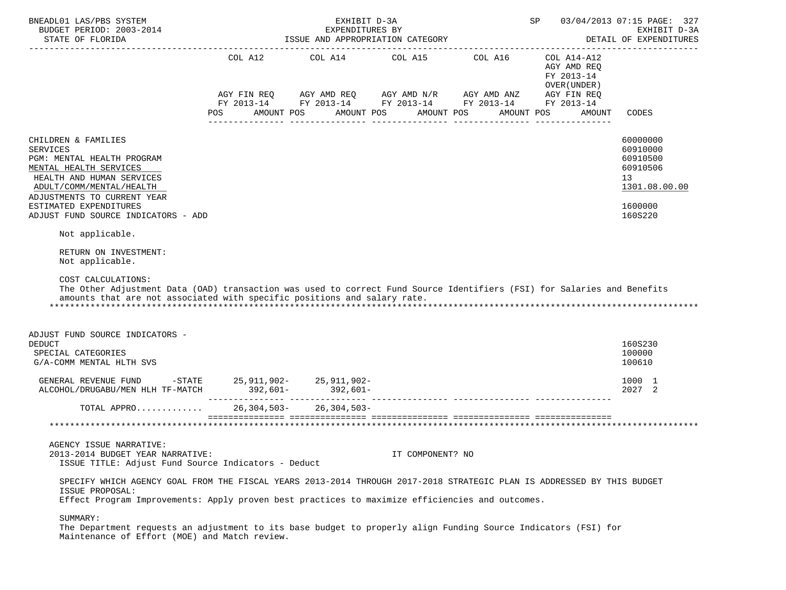| BNEADL01 LAS/PBS SYSTEM<br>BUDGET PERIOD: 2003-2014                                                                                                                                                                                                                                                 |                   | 03/04/2013 07:15 PAGE: 327<br>EXHIBIT D-3A<br>DETAIL OF EXPENDITURES |                                                                                                                                                                                      |            |                                                                     |                                                                                           |
|-----------------------------------------------------------------------------------------------------------------------------------------------------------------------------------------------------------------------------------------------------------------------------------------------------|-------------------|----------------------------------------------------------------------|--------------------------------------------------------------------------------------------------------------------------------------------------------------------------------------|------------|---------------------------------------------------------------------|-------------------------------------------------------------------------------------------|
|                                                                                                                                                                                                                                                                                                     | AMOUNT POS<br>POS |                                                                      | COL A12 COL A14 COL A15 COL A16<br>AGY FIN REQ AGY AMD REQ AGY AMD N/R AGY AMD ANZ AGY FIN REQ<br>FY 2013-14 FY 2013-14 FY 2013-14 FY 2013-14 FY 2013-14<br>AMOUNT POS<br>AMOUNT POS | AMOUNT POS | COL A14-A12<br>AGY AMD REO<br>FY 2013-14<br>OVER (UNDER )<br>AMOUNT | CODES                                                                                     |
| CHILDREN & FAMILIES<br><b>SERVICES</b><br>PGM: MENTAL HEALTH PROGRAM<br>MENTAL HEALTH SERVICES<br>HEALTH AND HUMAN SERVICES<br>ADULT/COMM/MENTAL/HEALTH<br>ADJUSTMENTS TO CURRENT YEAR<br>ESTIMATED EXPENDITURES<br>ADJUST FUND SOURCE INDICATORS - ADD<br>Not applicable.<br>RETURN ON INVESTMENT: |                   |                                                                      |                                                                                                                                                                                      |            |                                                                     | 60000000<br>60910000<br>60910500<br>60910506<br>13<br>1301.08.00.00<br>1600000<br>160S220 |
| Not applicable.<br>COST CALCULATIONS:<br>The Other Adjustment Data (OAD) transaction was used to correct Fund Source Identifiers (FSI) for Salaries and Benefits<br>amounts that are not associated with specific positions and salary rate.<br>ADJUST FUND SOURCE INDICATORS -<br><b>DEDUCT</b>    |                   |                                                                      |                                                                                                                                                                                      |            |                                                                     | 160S230                                                                                   |
| SPECIAL CATEGORIES<br>G/A-COMM MENTAL HLTH SVS                                                                                                                                                                                                                                                      |                   |                                                                      |                                                                                                                                                                                      |            |                                                                     | 100000<br>100610                                                                          |
|                                                                                                                                                                                                                                                                                                     |                   |                                                                      |                                                                                                                                                                                      |            |                                                                     | 1000 1<br>2027 2                                                                          |
| TOTAL APPRO                                                                                                                                                                                                                                                                                         |                   | $26, 304, 503 - 26, 304, 503 -$                                      |                                                                                                                                                                                      |            |                                                                     |                                                                                           |
|                                                                                                                                                                                                                                                                                                     |                   |                                                                      |                                                                                                                                                                                      |            |                                                                     |                                                                                           |
| AGENCY ISSUE NARRATIVE:<br>2013-2014 BUDGET YEAR NARRATIVE:<br>ISSUE TITLE: Adjust Fund Source Indicators - Deduct                                                                                                                                                                                  |                   |                                                                      | IT COMPONENT? NO                                                                                                                                                                     |            |                                                                     |                                                                                           |
| SPECIFY WHICH AGENCY GOAL FROM THE FISCAL YEARS 2013-2014 THROUGH 2017-2018 STRATEGIC PLAN IS ADDRESSED BY THIS BUDGET<br>ISSUE PROPOSAL:<br>Effect Program Improvements: Apply proven best practices to maximize efficiencies and outcomes.                                                        |                   |                                                                      |                                                                                                                                                                                      |            |                                                                     |                                                                                           |
| SUMMARY:<br>The Department requests an adjustment to its base budget to properly align Funding Source Indicators (FSI) for<br>Maintenance of Effort (MOE) and Match review.                                                                                                                         |                   |                                                                      |                                                                                                                                                                                      |            |                                                                     |                                                                                           |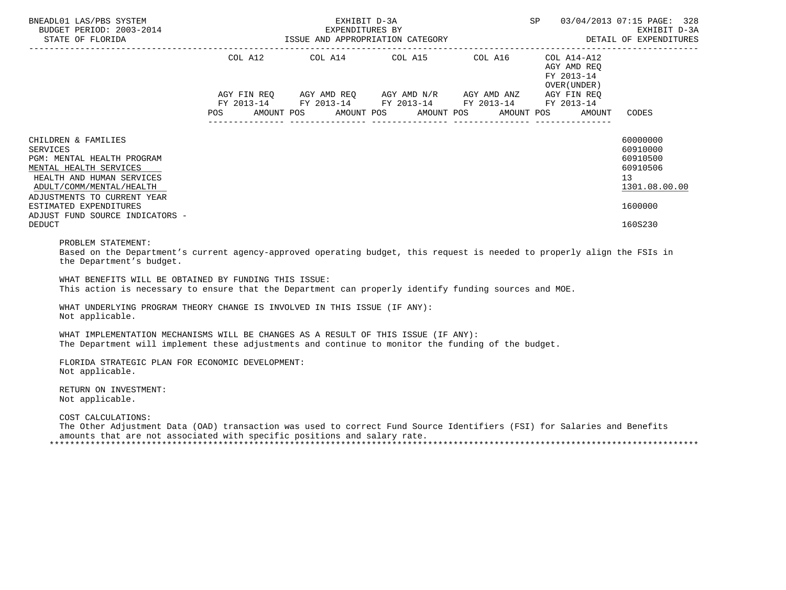| BNEADL01 LAS/PBS SYSTEM                                                                                                                                                                                                                                              | SP 03/04/2013 07:15 PAGE: 328<br>EXHIBIT D-3A<br>BUDGET PERIOD: 2003-2014 EXPENDITURES BY<br>STATE OF FLORIDA 1SSUE AND APPROPRIATION CATEGORY DETAIL OF EXPENDITURES FOR THE OF FLORIDA 1SSUE AND APPROPRIATION CATEGORY<br>EXPENDITURES BY<br>ISSUE AND APPROPRIATION CATEGORY FRAME AND APPROPRIATION CATEGORY<br>---------- |                                                                                                                                                                                                                                                                                                                                                                                                                                                                                                                     |  |  |                                                     |                                                                                           |  |  |
|----------------------------------------------------------------------------------------------------------------------------------------------------------------------------------------------------------------------------------------------------------------------|---------------------------------------------------------------------------------------------------------------------------------------------------------------------------------------------------------------------------------------------------------------------------------------------------------------------------------|---------------------------------------------------------------------------------------------------------------------------------------------------------------------------------------------------------------------------------------------------------------------------------------------------------------------------------------------------------------------------------------------------------------------------------------------------------------------------------------------------------------------|--|--|-----------------------------------------------------|-------------------------------------------------------------------------------------------|--|--|
|                                                                                                                                                                                                                                                                      |                                                                                                                                                                                                                                                                                                                                 | COL A12 $\qquad$ COL A14 $\qquad$ COL A15 $\qquad$ COL A16 $\qquad$ COL A14-A12<br>$\begin{array}{lllllll} \text{AGY}\ \text{FIN}\ \text{REQ} & \text{AGY}\ \text{AMD}\ \text{REQ} & \text{AGY}\ \text{AMD}\ \text{N/R} & \text{AGY}\ \text{AMD}\ \text{ANZ} & \text{AGY}\ \text{FIN}\ \text{REQ} \\ \text{FY}\ 2013\text{--}14 & \text{FY}\ 2013\text{--}14 & \text{FY}\ 2013\text{--}14 & \text{FY}\ 2013\text{--}14 & \text{FY}\ 2013\text{--}14 \end{array}$<br>POS AMOUNT POS AMOUNT POS AMOUNT POS AMOUNT POS |  |  | AGY AMD REQ<br>FY 2013-14<br>OVER (UNDER)<br>AMOUNT | CODES                                                                                     |  |  |
| CHILDREN & FAMILIES<br><b>SERVICES</b><br>PGM: MENTAL HEALTH PROGRAM<br>MENTAL HEALTH SERVICES<br>HEALTH AND HUMAN SERVICES<br>ADULT/COMM/MENTAL/HEALTH<br>ADJUSTMENTS TO CURRENT YEAR<br>ESTIMATED EXPENDITURES<br>ADJUST FUND SOURCE INDICATORS -<br><b>DEDUCT</b> |                                                                                                                                                                                                                                                                                                                                 |                                                                                                                                                                                                                                                                                                                                                                                                                                                                                                                     |  |  |                                                     | 60000000<br>60910000<br>60910500<br>60910506<br>13<br>1301.08.00.00<br>1600000<br>160S230 |  |  |
| PROBLEM STATEMENT:<br>Based on the Department's current agency-approved operating budget, this request is needed to properly align the FSIs in<br>the Department's budget.                                                                                           |                                                                                                                                                                                                                                                                                                                                 |                                                                                                                                                                                                                                                                                                                                                                                                                                                                                                                     |  |  |                                                     |                                                                                           |  |  |
| WHAT BENEFITS WILL BE OBTAINED BY FUNDING THIS ISSUE:<br>This action is necessary to ensure that the Department can properly identify funding sources and MOE.                                                                                                       |                                                                                                                                                                                                                                                                                                                                 |                                                                                                                                                                                                                                                                                                                                                                                                                                                                                                                     |  |  |                                                     |                                                                                           |  |  |
| WHAT UNDERLYING PROGRAM THEORY CHANGE IS INVOLVED IN THIS ISSUE (IF ANY):<br>Not applicable.                                                                                                                                                                         |                                                                                                                                                                                                                                                                                                                                 |                                                                                                                                                                                                                                                                                                                                                                                                                                                                                                                     |  |  |                                                     |                                                                                           |  |  |
| WHAT IMPLEMENTATION MECHANISMS WILL BE CHANGES AS A RESULT OF THIS ISSUE (IF ANY):<br>The Department will implement these adjustments and continue to monitor the funding of the budget.                                                                             |                                                                                                                                                                                                                                                                                                                                 |                                                                                                                                                                                                                                                                                                                                                                                                                                                                                                                     |  |  |                                                     |                                                                                           |  |  |
| FLORIDA STRATEGIC PLAN FOR ECONOMIC DEVELOPMENT:<br>Not applicable.                                                                                                                                                                                                  |                                                                                                                                                                                                                                                                                                                                 |                                                                                                                                                                                                                                                                                                                                                                                                                                                                                                                     |  |  |                                                     |                                                                                           |  |  |
| RETURN ON INVESTMENT:<br>Not applicable.                                                                                                                                                                                                                             |                                                                                                                                                                                                                                                                                                                                 |                                                                                                                                                                                                                                                                                                                                                                                                                                                                                                                     |  |  |                                                     |                                                                                           |  |  |
| COST CALCULATIONS:<br>The Other Adjustment Data (OAD) transaction was used to correct Fund Source Identifiers (FSI) for Salaries and Benefits<br>amounts that are not associated with specific positions and salary rate.                                            |                                                                                                                                                                                                                                                                                                                                 |                                                                                                                                                                                                                                                                                                                                                                                                                                                                                                                     |  |  |                                                     |                                                                                           |  |  |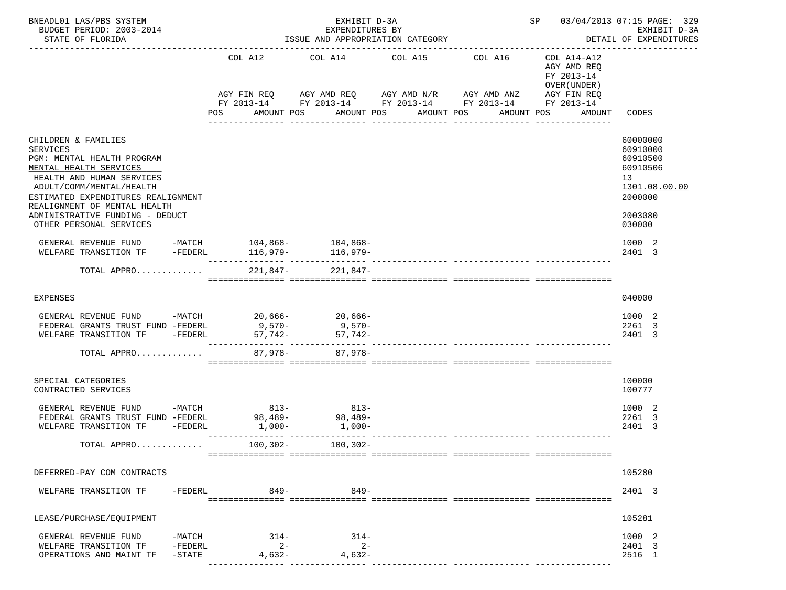| BNEADL01 LAS/PBS SYSTEM<br>BUDGET PERIOD: 2003-2014<br>STATE OF FLORIDA                                                                                                                                                       |                                     | EXHIBIT D-3A<br>EXPENDITURES BY<br>ISSUE AND APPROPRIATION CATEGORY | SP 03/04/2013 07:15 PAGE: 329                                                                                                                                             | EXHIBIT D-3A<br>DETAIL OF EXPENDITURES                                            |                                                                                |
|-------------------------------------------------------------------------------------------------------------------------------------------------------------------------------------------------------------------------------|-------------------------------------|---------------------------------------------------------------------|---------------------------------------------------------------------------------------------------------------------------------------------------------------------------|-----------------------------------------------------------------------------------|--------------------------------------------------------------------------------|
|                                                                                                                                                                                                                               | COL A12<br><b>POS</b><br>AMOUNT POS |                                                                     | COL A14 COL A15 COL A16<br>AGY FIN REQ AGY AMD REQ AGY AMD N/R AGY AMD ANZ AGY FIN REQ<br>FY 2013-14 FY 2013-14 FY 2013-14 FY 2013-14 FY 2013-14<br>AMOUNT POS AMOUNT POS | COL A14-A12<br>AGY AMD REQ<br>FY 2013-14<br>OVER (UNDER )<br>AMOUNT POS<br>AMOUNT | CODES                                                                          |
|                                                                                                                                                                                                                               |                                     |                                                                     |                                                                                                                                                                           | _______________                                                                   |                                                                                |
| CHILDREN & FAMILIES<br><b>SERVICES</b><br>PGM: MENTAL HEALTH PROGRAM<br>MENTAL HEALTH SERVICES<br>HEALTH AND HUMAN SERVICES<br>ADULT/COMM/MENTAL/HEALTH<br>ESTIMATED EXPENDITURES REALIGNMENT<br>REALIGNMENT OF MENTAL HEALTH |                                     |                                                                     |                                                                                                                                                                           |                                                                                   | 60000000<br>60910000<br>60910500<br>60910506<br>13<br>1301.08.00.00<br>2000000 |
| ADMINISTRATIVE FUNDING - DEDUCT<br>OTHER PERSONAL SERVICES                                                                                                                                                                    |                                     |                                                                     |                                                                                                                                                                           |                                                                                   | 2003080<br>030000                                                              |
| GENERAL REVENUE FUND -MATCH 104,868- 104,868-<br>WELFARE TRANSITION TF                                                                                                                                                        |                                     |                                                                     |                                                                                                                                                                           |                                                                                   | 1000 2<br>2401 3                                                               |
| TOTAL APPRO                                                                                                                                                                                                                   | 221,847-                            | 221,847-                                                            |                                                                                                                                                                           |                                                                                   |                                                                                |
| EXPENSES                                                                                                                                                                                                                      |                                     |                                                                     |                                                                                                                                                                           |                                                                                   | 040000                                                                         |
| GENERAL REVENUE FUND -MATCH 20,666- 20,666-<br>FEDERAL GRANTS TRUST FUND -FEDERL<br>WELFARE TRANSITION TF -FEDERL                                                                                                             |                                     | $9,570-$ 9,570-<br>$57,742-57,742-$                                 |                                                                                                                                                                           |                                                                                   | 1000 2<br>2261 3<br>2401 3                                                     |
| TOTAL APPRO                                                                                                                                                                                                                   | 87,978-                             | 87.978-                                                             |                                                                                                                                                                           |                                                                                   |                                                                                |
| SPECIAL CATEGORIES<br>CONTRACTED SERVICES                                                                                                                                                                                     |                                     |                                                                     |                                                                                                                                                                           |                                                                                   | 100000<br>100777                                                               |
| $-MATCH$<br>GENERAL REVENUE FUND<br>FEDERAL GRANTS TRUST FUND -FEDERL 98,489-<br>98,489-<br>WELFARE TRANSITION TF<br>-FEDERL                                                                                                  | $813-$<br>$1,000-$                  | $813-$<br>$1.000 -$                                                 |                                                                                                                                                                           |                                                                                   | 1000 2<br>2261 3<br>2401 3                                                     |
| TOTAL APPRO                                                                                                                                                                                                                   | $100, 302 -$                        | 100,302-                                                            |                                                                                                                                                                           |                                                                                   |                                                                                |
| DEFERRED-PAY COM CONTRACTS                                                                                                                                                                                                    |                                     |                                                                     |                                                                                                                                                                           |                                                                                   | 105280                                                                         |
| WELFARE TRANSITION TF<br>-FEDERL                                                                                                                                                                                              | $849-$                              | $849 -$                                                             |                                                                                                                                                                           |                                                                                   | 2401 3                                                                         |
| LEASE/PURCHASE/EQUIPMENT                                                                                                                                                                                                      |                                     |                                                                     |                                                                                                                                                                           |                                                                                   | 105281                                                                         |
| GENERAL REVENUE FUND<br>-MATCH<br>WELFARE TRANSITION TF<br>-FEDERL                                                                                                                                                            | $314-$<br>$2 -$                     | $314-$<br>$2 -$                                                     |                                                                                                                                                                           |                                                                                   | 1000 2<br>2401 3                                                               |
| OPERATIONS AND MAINT TF<br>$-$ STATE                                                                                                                                                                                          | $4,632-$                            | $4.632-$                                                            |                                                                                                                                                                           |                                                                                   | 2516 1                                                                         |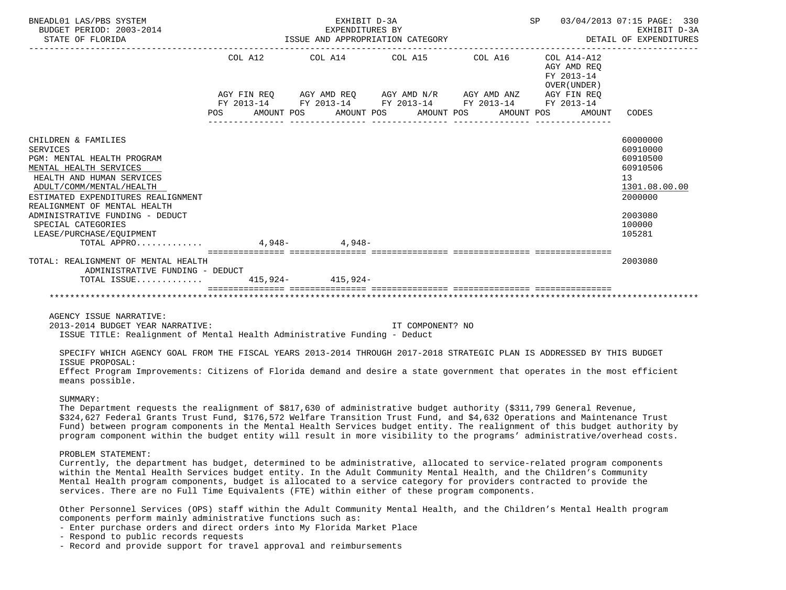| BNEADL01 LAS/PBS SYSTEM<br>BUDGET PERIOD: 2003-2014<br>STATE OF FLORIDA                                                                                                                                                                                                                                                                                                                                                                                                                                     |                                                                                                                                                                                                                      | EXPENDITURES BY<br>EXPENDITURES BY<br>ISSUE AND APPROPRIATION CATEGORY | EXHIBIT D-3A<br>EXPENDITURES BY<br>EXPENDITURES BY<br>$\begin{array}{ccc}\n & 03/04/2013 & 07:15 & PAGE: & 330 \\  & 03/04/2013 & 07:15 & PAGE: & 330\n\end{array}$<br>DETAIL OF EXPENDITURES |                                                                                                               |  |
|-------------------------------------------------------------------------------------------------------------------------------------------------------------------------------------------------------------------------------------------------------------------------------------------------------------------------------------------------------------------------------------------------------------------------------------------------------------------------------------------------------------|----------------------------------------------------------------------------------------------------------------------------------------------------------------------------------------------------------------------|------------------------------------------------------------------------|-----------------------------------------------------------------------------------------------------------------------------------------------------------------------------------------------|---------------------------------------------------------------------------------------------------------------|--|
|                                                                                                                                                                                                                                                                                                                                                                                                                                                                                                             | AGY FIN REQ       AGY AMD REQ      AGY AMD N/R       AGY AMD ANZ        AGY FIN REQ<br>FY 2013-14         FY 2013-14        FY 2013-14         FY 2013-14         FY 2013-14<br>POS AMOUNT POS AMOUNT POS AMOUNT POS |                                                                        | AGY AMD REQ<br>FY 2013-14<br>OVER (UNDER)<br>AMOUNT POS<br>AMOUNT                                                                                                                             | CODES                                                                                                         |  |
| CHILDREN & FAMILIES<br><b>SERVICES</b><br>PGM: MENTAL HEALTH PROGRAM<br>MENTAL HEALTH SERVICES<br>HEALTH AND HUMAN SERVICES<br>ADULT/COMM/MENTAL/HEALTH<br>ESTIMATED EXPENDITURES REALIGNMENT<br>REALIGNMENT OF MENTAL HEALTH<br>ADMINISTRATIVE FUNDING - DEDUCT<br>SPECIAL CATEGORIES<br>LEASE/PURCHASE/EOUIPMENT<br>TOTAL APPRO 4,948- 4,948-                                                                                                                                                             |                                                                                                                                                                                                                      |                                                                        |                                                                                                                                                                                               | 60000000<br>60910000<br>60910500<br>60910506<br>13<br>1301.08.00.00<br>2000000<br>2003080<br>100000<br>105281 |  |
| TOTAL: REALIGNMENT OF MENTAL HEALTH                                                                                                                                                                                                                                                                                                                                                                                                                                                                         |                                                                                                                                                                                                                      |                                                                        |                                                                                                                                                                                               | 2003080                                                                                                       |  |
| ADMINISTRATIVE FUNDING - DEDUCT<br>TOTAL ISSUE 415,924- 415,924-                                                                                                                                                                                                                                                                                                                                                                                                                                            |                                                                                                                                                                                                                      |                                                                        |                                                                                                                                                                                               |                                                                                                               |  |
|                                                                                                                                                                                                                                                                                                                                                                                                                                                                                                             |                                                                                                                                                                                                                      |                                                                        |                                                                                                                                                                                               |                                                                                                               |  |
|                                                                                                                                                                                                                                                                                                                                                                                                                                                                                                             |                                                                                                                                                                                                                      |                                                                        |                                                                                                                                                                                               |                                                                                                               |  |
| AGENCY ISSUE NARRATIVE:<br>2013-2014 BUDGET YEAR NARRATIVE:<br>ISSUE TITLE: Realignment of Mental Health Administrative Funding - Deduct<br>SPECIFY WHICH AGENCY GOAL FROM THE FISCAL YEARS 2013-2014 THROUGH 2017-2018 STRATEGIC PLAN IS ADDRESSED BY THIS BUDGET<br>ISSUE PROPOSAL:<br>Effect Program Improvements: Citizens of Florida demand and desire a state government that operates in the most efficient<br>means possible.                                                                       |                                                                                                                                                                                                                      | IT COMPONENT? NO                                                       |                                                                                                                                                                                               |                                                                                                               |  |
| SUMMARY:                                                                                                                                                                                                                                                                                                                                                                                                                                                                                                    |                                                                                                                                                                                                                      |                                                                        |                                                                                                                                                                                               |                                                                                                               |  |
| The Department requests the realignment of \$817,630 of administrative budget authority (\$311,799 General Revenue,<br>\$324,627 Federal Grants Trust Fund, \$176,572 Welfare Transition Trust Fund, and \$4,632 Operations and Maintenance Trust<br>Fund) between program components in the Mental Health Services budget entity. The realignment of this budget authority by<br>program component within the budget entity will result in more visibility to the programs' administrative/overhead costs. |                                                                                                                                                                                                                      |                                                                        |                                                                                                                                                                                               |                                                                                                               |  |
| PROBLEM STATEMENT:<br>Currently, the department has budget, determined to be administrative, allocated to service-related program components<br>within the Mental Health Services budget entity. In the Adult Community Mental Health, and the Children's Community<br>Mental Health program components, budget is allocated to a service category for providers contracted to provide the<br>services. There are no Full Time Equivalents (FTE) within either of these program components.                 |                                                                                                                                                                                                                      |                                                                        |                                                                                                                                                                                               |                                                                                                               |  |
| Other Personnel Services (OPS) staff within the Adult Community Mental Health, and the Children's Mental Health program<br>components perform mainly administrative functions such as:<br>- Enter purchase orders and direct orders into My Florida Market Place<br>- Respond to public records requests<br>- Record and provide support for travel approval and reimbursements                                                                                                                             |                                                                                                                                                                                                                      |                                                                        |                                                                                                                                                                                               |                                                                                                               |  |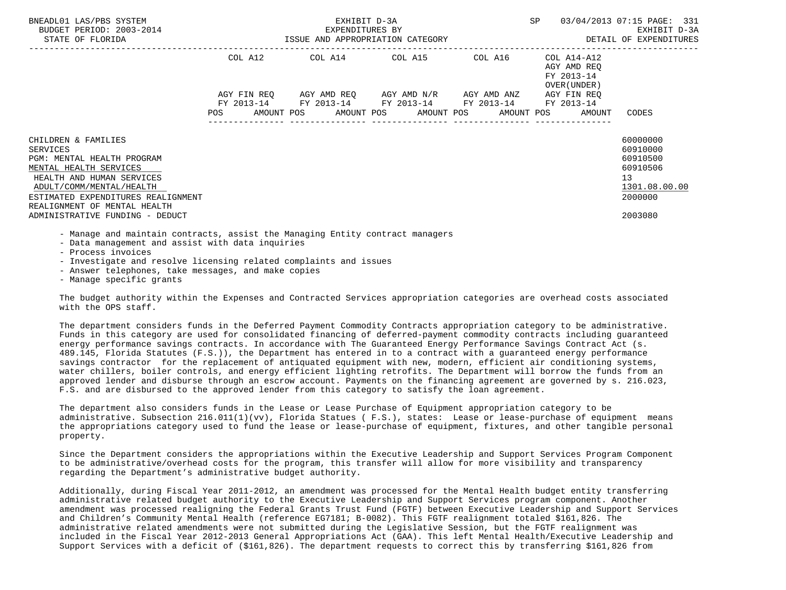| BNEADL01 LAS/PBS SYSTEM<br>BUDGET PERIOD: 2003-2014<br>STATE OF FLORIDA                                                                                                                                                | EXHIBIT D-3A<br>EXPENDITURES BY<br>EXPENDITURES BY<br>ISSUE AND APPROPRIATION CATEGORY | SP                                                                                             | 03/04/2013 07:15 PAGE: 331<br>EXHIBIT D-3A<br>DETAIL OF EXPENDITURES |                                                          |                                                                                |
|------------------------------------------------------------------------------------------------------------------------------------------------------------------------------------------------------------------------|----------------------------------------------------------------------------------------|------------------------------------------------------------------------------------------------|----------------------------------------------------------------------|----------------------------------------------------------|--------------------------------------------------------------------------------|
|                                                                                                                                                                                                                        |                                                                                        | COL A12 COL A14 COL A15 COL A16 COL A14-A12<br>AGY FIN REQ AGY AMD REQ AGY AMD N/R AGY AMD ANZ |                                                                      | AGY AMD REO<br>FY 2013-14<br>OVER (UNDER)<br>AGY FIN REO |                                                                                |
|                                                                                                                                                                                                                        |                                                                                        | FY 2013-14 FY 2013-14 FY 2013-14 FY 2013-14 FY 2013-14                                         |                                                                      | POS AMOUNT POS AMOUNT POS AMOUNT POS AMOUNT POS AMOUNT   | CODES                                                                          |
| CHILDREN & FAMILIES<br>SERVICES<br>PGM: MENTAL HEALTH PROGRAM<br>MENTAL HEALTH SERVICES<br>HEALTH AND HUMAN SERVICES<br>ADULT/COMM/MENTAL/HEALTH<br>ESTIMATED EXPENDITURES REALIGNMENT<br>REALIGNMENT OF MENTAL HEALTH |                                                                                        |                                                                                                |                                                                      |                                                          | 60000000<br>60910000<br>60910500<br>60910506<br>13<br>1301.08.00.00<br>2000000 |
| ADMINISTRATIVE FUNDING - DEDUCT                                                                                                                                                                                        |                                                                                        |                                                                                                |                                                                      |                                                          | 2003080                                                                        |

- Manage and maintain contracts, assist the Managing Entity contract managers

- Data management and assist with data inquiries

- Process invoices

- Investigate and resolve licensing related complaints and issues

- Answer telephones, take messages, and make copies

- Manage specific grants

 The budget authority within the Expenses and Contracted Services appropriation categories are overhead costs associated with the OPS staff.

 The department considers funds in the Deferred Payment Commodity Contracts appropriation category to be administrative. Funds in this category are used for consolidated financing of deferred-payment commodity contracts including guaranteed energy performance savings contracts. In accordance with The Guaranteed Energy Performance Savings Contract Act (s. 489.145, Florida Statutes (F.S.)), the Department has entered in to a contract with a guaranteed energy performance savings contractor for the replacement of antiquated equipment with new, modern, efficient air conditioning systems, water chillers, boiler controls, and energy efficient lighting retrofits. The Department will borrow the funds from an approved lender and disburse through an escrow account. Payments on the financing agreement are governed by s. 216.023, F.S. and are disbursed to the approved lender from this category to satisfy the loan agreement.

 The department also considers funds in the Lease or Lease Purchase of Equipment appropriation category to be administrative. Subsection 216.011(1)(vv), Florida Statues ( F.S.), states: Lease or lease-purchase of equipment means the appropriations category used to fund the lease or lease-purchase of equipment, fixtures, and other tangible personal property.

 Since the Department considers the appropriations within the Executive Leadership and Support Services Program Component to be administrative/overhead costs for the program, this transfer will allow for more visibility and transparency regarding the Department's administrative budget authority.

 Additionally, during Fiscal Year 2011-2012, an amendment was processed for the Mental Health budget entity transferring administrative related budget authority to the Executive Leadership and Support Services program component. Another amendment was processed realigning the Federal Grants Trust Fund (FGTF) between Executive Leadership and Support Services and Children's Community Mental Health (reference EG7181; B-0082). This FGTF realignment totaled \$161,826. The administrative related amendments were not submitted during the Legislative Session, but the FGTF realignment was included in the Fiscal Year 2012-2013 General Appropriations Act (GAA). This left Mental Health/Executive Leadership and Support Services with a deficit of (\$161,826). The department requests to correct this by transferring \$161,826 from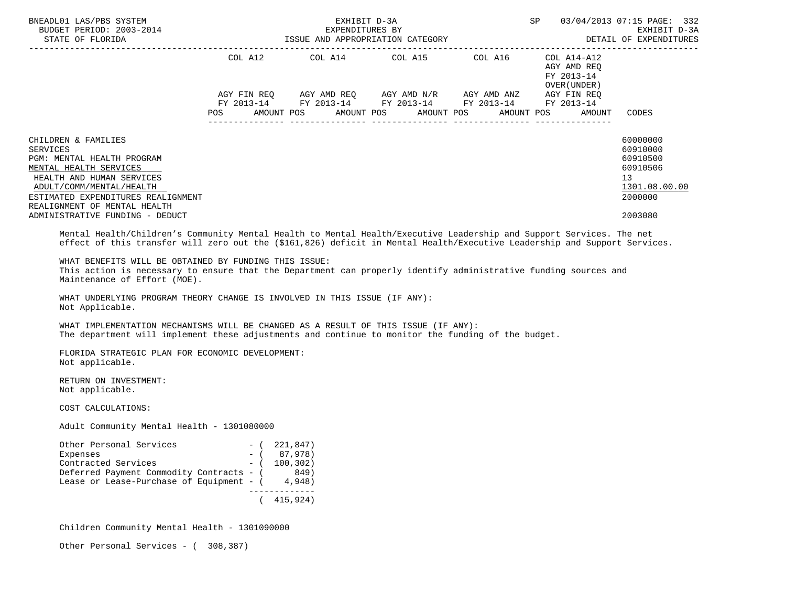| BNEADL01 LAS/PBS SYSTEM<br>BUDGET PERIOD: 2003-2014<br>STATE OF FLORIDA                                                                                                                                                                                                                                  |                             | EXPENDITURES BY<br>EXPENDITURES BY<br>ID APPROPRIATION<br>ISSUE AND APPROPRIATION CATEGORY                                                                                                                                                                                                                                                                                                                                                                                      | <b>SP</b> |                                                        | 03/04/2013 07:15 PAGE: 332<br>EXHIBIT D-3A<br>DETAIL OF EXPENDITURES                      |
|----------------------------------------------------------------------------------------------------------------------------------------------------------------------------------------------------------------------------------------------------------------------------------------------------------|-----------------------------|---------------------------------------------------------------------------------------------------------------------------------------------------------------------------------------------------------------------------------------------------------------------------------------------------------------------------------------------------------------------------------------------------------------------------------------------------------------------------------|-----------|--------------------------------------------------------|-------------------------------------------------------------------------------------------|
|                                                                                                                                                                                                                                                                                                          |                             | COL A12 COL A14 COL A15 COL A16 COL A14-A12<br>COL A12 AGY AMD REQ<br>FY 2013-14<br>FY 2013-14<br>$\begin{array}{lllllll} \text{AGY}\ \text{FIN}\ \text{REQ} & \text{AGY}\ \text{AMD}\ \text{REQ} & \text{AGY}\ \text{AMD}\ \text{N/R} & \text{AGY}\ \text{AMD}\ \text{ANZ} & \text{AGY}\ \text{FIN}\ \text{REQ} \\ \text{FY}\ 2013\text{--}14 & \text{FY}\ 2013\text{--}14 & \text{FY}\ 2013\text{--}14 & \text{FY}\ 2013\text{--}14 & \text{FY}\ 2013\text{--}14 \end{array}$ |           | OVER (UNDER )                                          |                                                                                           |
|                                                                                                                                                                                                                                                                                                          |                             |                                                                                                                                                                                                                                                                                                                                                                                                                                                                                 |           | POS AMOUNT POS AMOUNT POS AMOUNT POS AMOUNT POS AMOUNT | CODES                                                                                     |
| CHILDREN & FAMILIES<br><b>SERVICES</b><br>PGM: MENTAL HEALTH PROGRAM<br>MENTAL HEALTH SERVICES<br>HEALTH AND HUMAN SERVICES<br>ADULT/COMM/MENTAL/HEALTH<br>ESTIMATED EXPENDITURES REALIGNMENT<br>REALIGNMENT OF MENTAL HEALTH<br>ADMINISTRATIVE FUNDING - DEDUCT                                         |                             |                                                                                                                                                                                                                                                                                                                                                                                                                                                                                 |           |                                                        | 60000000<br>60910000<br>60910500<br>60910506<br>13<br>1301.08.00.00<br>2000000<br>2003080 |
| Mental Health/Children's Community Mental Health to Mental Health/Executive Leadership and Support Services. The net<br>effect of this transfer will zero out the (\$161,826) deficit in Mental Health/Executive Leadership and Support Services.                                                        |                             |                                                                                                                                                                                                                                                                                                                                                                                                                                                                                 |           |                                                        |                                                                                           |
| WHAT BENEFITS WILL BE OBTAINED BY FUNDING THIS ISSUE:<br>This action is necessary to ensure that the Department can properly identify administrative funding sources and<br>Maintenance of Effort (MOE).<br>WHAT UNDERLYING PROGRAM THEORY CHANGE IS INVOLVED IN THIS ISSUE (IF ANY):<br>Not Applicable. |                             |                                                                                                                                                                                                                                                                                                                                                                                                                                                                                 |           |                                                        |                                                                                           |
| WHAT IMPLEMENTATION MECHANISMS WILL BE CHANGED AS A RESULT OF THIS ISSUE (IF ANY):<br>The department will implement these adjustments and continue to monitor the funding of the budget.                                                                                                                 |                             |                                                                                                                                                                                                                                                                                                                                                                                                                                                                                 |           |                                                        |                                                                                           |
| FLORIDA STRATEGIC PLAN FOR ECONOMIC DEVELOPMENT:<br>Not applicable.                                                                                                                                                                                                                                      |                             |                                                                                                                                                                                                                                                                                                                                                                                                                                                                                 |           |                                                        |                                                                                           |
| RETURN ON INVESTMENT:<br>Not applicable.                                                                                                                                                                                                                                                                 |                             |                                                                                                                                                                                                                                                                                                                                                                                                                                                                                 |           |                                                        |                                                                                           |
| COST CALCULATIONS:                                                                                                                                                                                                                                                                                       |                             |                                                                                                                                                                                                                                                                                                                                                                                                                                                                                 |           |                                                        |                                                                                           |
| Adult Community Mental Health - 1301080000                                                                                                                                                                                                                                                               |                             |                                                                                                                                                                                                                                                                                                                                                                                                                                                                                 |           |                                                        |                                                                                           |
| Other Personal Services - (221,847)<br>Expenses - (87,978)<br>Contracted Services - (100,302)<br>Deferred Payment Commodity Contracts - (849)<br>Lease or Lease-Purchase of Equipment - $(4,948)$                                                                                                        | _____________<br>(415, 924) |                                                                                                                                                                                                                                                                                                                                                                                                                                                                                 |           |                                                        |                                                                                           |

Children Community Mental Health - 1301090000

Other Personal Services - ( 308,387)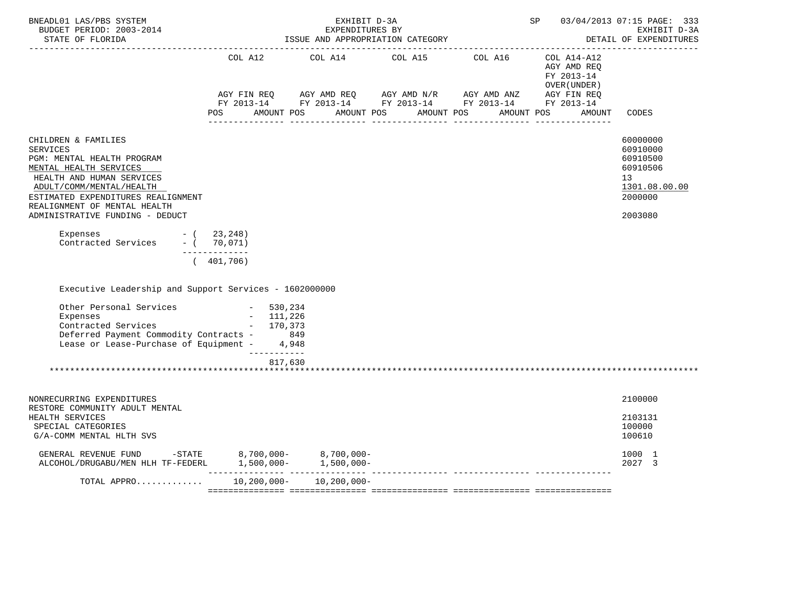| BNEADL01 LAS/PBS SYSTEM<br>BUDGET PERIOD: 2003-2014<br>STATE OF FLORIDA                                                                                                                                                                                          |                                                                                                                                                                                                          | EXHIBIT D-3A<br>EXPENDITURES BY<br>ISSUE AND APPROPRIATION CATEGORY | SP 03/04/2013 07:15 PAGE: 333<br>EXHIBIT D-3A<br>DETAIL OF EXPENDITURES |  |                                            |                                                                                           |
|------------------------------------------------------------------------------------------------------------------------------------------------------------------------------------------------------------------------------------------------------------------|----------------------------------------------------------------------------------------------------------------------------------------------------------------------------------------------------------|---------------------------------------------------------------------|-------------------------------------------------------------------------|--|--------------------------------------------|-------------------------------------------------------------------------------------------|
|                                                                                                                                                                                                                                                                  |                                                                                                                                                                                                          |                                                                     |                                                                         |  | AGY AMD REO<br>FY 2013-14<br>OVER (UNDER ) |                                                                                           |
|                                                                                                                                                                                                                                                                  | AGY FIN REQ        AGY AMD REQ        AGY AMD N/R        AGY AMD ANZ         AGY FIN REQ<br>FY 2013-14         FY 2013-14         FY 2013-14          FY 2013-14         FY 2013-14<br>AMOUNT POS<br>POS |                                                                     | AMOUNT POS AMOUNT POS                                                   |  | AMOUNT POS<br>AMOUNT                       | CODES                                                                                     |
| CHILDREN & FAMILIES<br><b>SERVICES</b><br>PGM: MENTAL HEALTH PROGRAM<br>MENTAL HEALTH SERVICES<br>HEALTH AND HUMAN SERVICES<br>ADULT/COMM/MENTAL/HEALTH<br>ESTIMATED EXPENDITURES REALIGNMENT<br>REALIGNMENT OF MENTAL HEALTH<br>ADMINISTRATIVE FUNDING - DEDUCT |                                                                                                                                                                                                          |                                                                     |                                                                         |  |                                            | 60000000<br>60910000<br>60910500<br>60910506<br>13<br>1301.08.00.00<br>2000000<br>2003080 |
| Expenses<br>$-$ ( 23,248)<br>Contracted Services - ( 70,071)                                                                                                                                                                                                     | -------------                                                                                                                                                                                            |                                                                     |                                                                         |  |                                            |                                                                                           |
| Executive Leadership and Support Services - 1602000000<br>Other Personal Services<br>Expenses<br>Contracted Services - 170,373<br>Deferred Payment Commodity Contracts - 849<br>Lease or Lease-Purchase of Equipment - 4,948                                     | (401, 706)<br>$-530,234$<br>$-111,226$                                                                                                                                                                   |                                                                     |                                                                         |  |                                            |                                                                                           |
|                                                                                                                                                                                                                                                                  | ___________<br>817,630                                                                                                                                                                                   |                                                                     |                                                                         |  |                                            |                                                                                           |
| NONRECURRING EXPENDITURES<br>RESTORE COMMUNITY ADULT MENTAL                                                                                                                                                                                                      |                                                                                                                                                                                                          |                                                                     |                                                                         |  |                                            | 2100000                                                                                   |
| HEALTH SERVICES<br>SPECIAL CATEGORIES<br>G/A-COMM MENTAL HLTH SVS                                                                                                                                                                                                |                                                                                                                                                                                                          |                                                                     |                                                                         |  |                                            | 2103131<br>100000<br>100610                                                               |
| GENERAL REVENUE FUND -STATE $8,700,000-$ 8,700,000-<br>ALCOHOL/DRUGABU/MEN HLH TF-FEDERL $1,500,000-$ 1,500,000-                                                                                                                                                 |                                                                                                                                                                                                          |                                                                     |                                                                         |  |                                            | 1000 1<br>2027 3                                                                          |
| TOTAL APPRO 10,200,000- 10,200,000-                                                                                                                                                                                                                              |                                                                                                                                                                                                          |                                                                     |                                                                         |  |                                            |                                                                                           |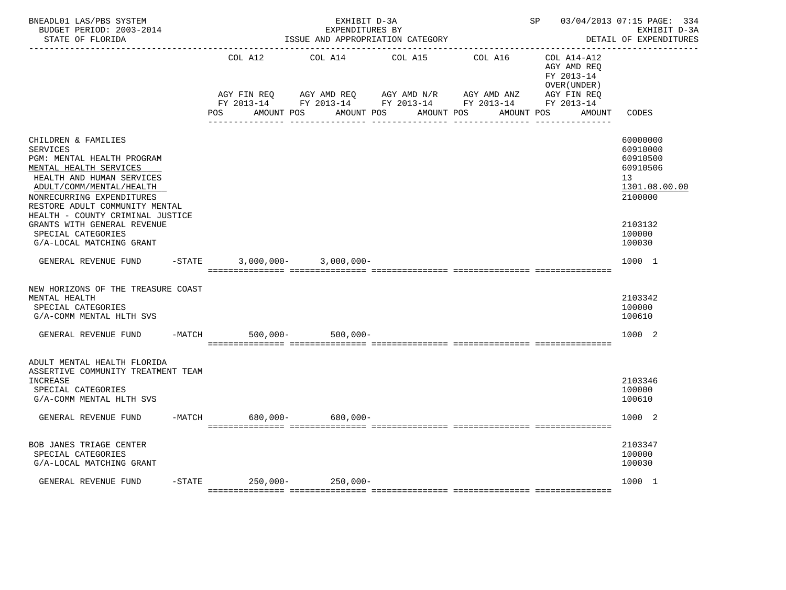| BNEADL01 LAS/PBS SYSTEM<br>BUDGET PERIOD: 2003-2014<br>STATE OF FLORIDA                                                                                                                                                                                                                   |  |                                | EXHIBIT D-3A<br>EXPENDITURES BY<br>ISSUE AND APPROPRIATION CATEGORY | SP 03/04/2013 07:15 PAGE: 334            | EXHIBIT D-3A<br>DETAIL OF EXPENDITURES                                                                     |                                                           |                                                                                           |
|-------------------------------------------------------------------------------------------------------------------------------------------------------------------------------------------------------------------------------------------------------------------------------------------|--|--------------------------------|---------------------------------------------------------------------|------------------------------------------|------------------------------------------------------------------------------------------------------------|-----------------------------------------------------------|-------------------------------------------------------------------------------------------|
|                                                                                                                                                                                                                                                                                           |  | COL A12                        | COL A14                                                             | COL A15                                  | COL A16                                                                                                    | COL A14-A12<br>AGY AMD REO<br>FY 2013-14<br>OVER (UNDER ) |                                                                                           |
|                                                                                                                                                                                                                                                                                           |  | POS<br>AMOUNT POS              |                                                                     | AMOUNT POS AMOUNT POS<br>--------------- | AGY FIN REQ AGY AMD REQ AGY AMD N/R AGY AMD ANZ AGY FIN REQ FY 2013-14 FY 2013-14 FY 2013-14<br>AMOUNT POS | AMOUNT                                                    | CODES                                                                                     |
| CHILDREN & FAMILIES<br><b>SERVICES</b><br>PGM: MENTAL HEALTH PROGRAM<br>MENTAL HEALTH SERVICES<br>HEALTH AND HUMAN SERVICES<br>ADULT/COMM/MENTAL/HEALTH<br>NONRECURRING EXPENDITURES<br>RESTORE ADULT COMMUNITY MENTAL<br>HEALTH - COUNTY CRIMINAL JUSTICE<br>GRANTS WITH GENERAL REVENUE |  |                                |                                                                     |                                          |                                                                                                            |                                                           | 60000000<br>60910000<br>60910500<br>60910506<br>13<br>1301.08.00.00<br>2100000<br>2103132 |
| SPECIAL CATEGORIES<br>G/A-LOCAL MATCHING GRANT                                                                                                                                                                                                                                            |  |                                |                                                                     |                                          |                                                                                                            |                                                           | 100000<br>100030                                                                          |
| GENERAL REVENUE FUND                                                                                                                                                                                                                                                                      |  | $-$ STATE 3,000,000-3,000,000- |                                                                     |                                          |                                                                                                            |                                                           | 1000 1                                                                                    |
| NEW HORIZONS OF THE TREASURE COAST<br>MENTAL HEALTH<br>SPECIAL CATEGORIES<br>G/A-COMM MENTAL HLTH SVS                                                                                                                                                                                     |  |                                |                                                                     |                                          |                                                                                                            |                                                           | 2103342<br>100000<br>100610                                                               |
| GENERAL REVENUE FUND                                                                                                                                                                                                                                                                      |  | $500,000 -$<br>$-MATCH$        | $500,000 -$                                                         |                                          |                                                                                                            |                                                           | 1000 2                                                                                    |
| ADULT MENTAL HEALTH FLORIDA<br>ASSERTIVE COMMUNITY TREATMENT TEAM<br>INCREASE<br>SPECIAL CATEGORIES<br>G/A-COMM MENTAL HLTH SVS                                                                                                                                                           |  |                                |                                                                     |                                          |                                                                                                            |                                                           | 2103346<br>100000<br>100610                                                               |
| GENERAL REVENUE FUND                                                                                                                                                                                                                                                                      |  | -MATCH 680,000- 680,000-       |                                                                     |                                          |                                                                                                            |                                                           | 1000 2                                                                                    |
| BOB JANES TRIAGE CENTER<br>SPECIAL CATEGORIES<br>G/A-LOCAL MATCHING GRANT                                                                                                                                                                                                                 |  |                                |                                                                     |                                          |                                                                                                            |                                                           | 2103347<br>100000<br>100030                                                               |
| GENERAL REVENUE FUND                                                                                                                                                                                                                                                                      |  | $-$ STATE 250,000-250,000-     |                                                                     |                                          |                                                                                                            |                                                           | 1000 1                                                                                    |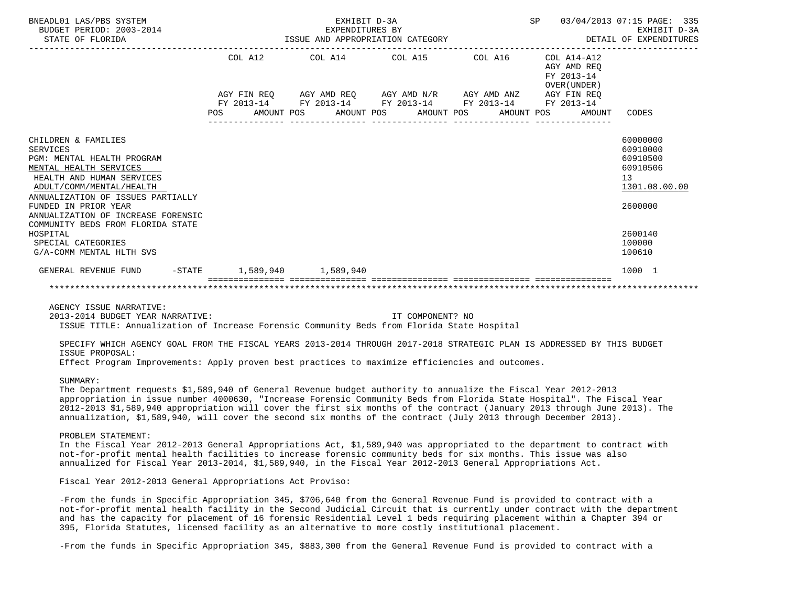| BNEADL01 LAS/PBS SYSTEM<br>BUDGET PERIOD: 2003-2014<br>STATE OF FLORIDA | EXHIBIT D-3A<br>SP<br>EXPENDITURES BY<br>ISSUE AND APPROPRIATION CATEGORY |  |  |  |                         |                                                                                                       |  |  |                                                             | 03/04/2013 07:15 PAGE: 335<br>EXHIBIT D-3A<br>DETAIL OF EXPENDITURES |                      |  |
|-------------------------------------------------------------------------|---------------------------------------------------------------------------|--|--|--|-------------------------|-------------------------------------------------------------------------------------------------------|--|--|-------------------------------------------------------------|----------------------------------------------------------------------|----------------------|--|
|                                                                         | COL A12                                                                   |  |  |  | COL A14 COL A15 COL A16 |                                                                                                       |  |  | $COL A14- A12$<br>AGY AMD REO<br>FY 2013-14<br>OVER (UNDER) |                                                                      |                      |  |
|                                                                         |                                                                           |  |  |  |                         | AGY FIN REQ AGY AMD REQ AGY AMD N/R AGY AMD ANZ AGY FIN REQ                                           |  |  |                                                             |                                                                      |                      |  |
|                                                                         | <b>POS</b>                                                                |  |  |  |                         | FY 2013-14 FY 2013-14 FY 2013-14 FY 2013-14 FY 2013-14<br>AMOUNT POS AMOUNT POS AMOUNT POS AMOUNT POS |  |  |                                                             | AMOUNT                                                               | CODES                |  |
| CHILDREN & FAMILIES<br><b>SERVICES</b>                                  |                                                                           |  |  |  |                         |                                                                                                       |  |  |                                                             |                                                                      | 60000000<br>60910000 |  |
| PGM: MENTAL HEALTH PROGRAM                                              |                                                                           |  |  |  |                         |                                                                                                       |  |  |                                                             |                                                                      | 60910500             |  |
| MENTAL HEALTH SERVICES<br>HEALTH AND HUMAN SERVICES                     |                                                                           |  |  |  |                         |                                                                                                       |  |  |                                                             |                                                                      | 60910506<br>13       |  |
| ADULT/COMM/MENTAL/HEALTH                                                |                                                                           |  |  |  |                         |                                                                                                       |  |  |                                                             |                                                                      | 1301.08.00.00        |  |
| ANNUALIZATION OF ISSUES PARTIALLY<br>FUNDED IN PRIOR YEAR               |                                                                           |  |  |  |                         |                                                                                                       |  |  |                                                             |                                                                      | 2600000              |  |
| ANNUALIZATION OF INCREASE FORENSIC                                      |                                                                           |  |  |  |                         |                                                                                                       |  |  |                                                             |                                                                      |                      |  |
| COMMUNITY BEDS FROM FLORIDA STATE<br>HOSPITAL                           |                                                                           |  |  |  |                         |                                                                                                       |  |  |                                                             |                                                                      | 2600140              |  |
| SPECIAL CATEGORIES                                                      |                                                                           |  |  |  |                         |                                                                                                       |  |  |                                                             |                                                                      | 100000               |  |
| G/A-COMM MENTAL HLTH SVS                                                |                                                                           |  |  |  |                         |                                                                                                       |  |  |                                                             |                                                                      | 100610               |  |
| -STATE 1,589,940 1,589,940<br>GENERAL REVENUE FUND                      |                                                                           |  |  |  |                         |                                                                                                       |  |  |                                                             |                                                                      | 1000 1               |  |
|                                                                         |                                                                           |  |  |  |                         |                                                                                                       |  |  |                                                             |                                                                      |                      |  |

AGENCY ISSUE NARRATIVE:

2013-2014 BUDGET YEAR NARRATIVE: IT COMPONENT? NO

ISSUE TITLE: Annualization of Increase Forensic Community Beds from Florida State Hospital

 SPECIFY WHICH AGENCY GOAL FROM THE FISCAL YEARS 2013-2014 THROUGH 2017-2018 STRATEGIC PLAN IS ADDRESSED BY THIS BUDGET ISSUE PROPOSAL:

Effect Program Improvements: Apply proven best practices to maximize efficiencies and outcomes.

#### SUMMARY:

 The Department requests \$1,589,940 of General Revenue budget authority to annualize the Fiscal Year 2012-2013 appropriation in issue number 4000630, "Increase Forensic Community Beds from Florida State Hospital". The Fiscal Year 2012-2013 \$1,589,940 appropriation will cover the first six months of the contract (January 2013 through June 2013). The annualization, \$1,589,940, will cover the second six months of the contract (July 2013 through December 2013).

#### PROBLEM STATEMENT:

 In the Fiscal Year 2012-2013 General Appropriations Act, \$1,589,940 was appropriated to the department to contract with not-for-profit mental health facilities to increase forensic community beds for six months. This issue was also annualized for Fiscal Year 2013-2014, \$1,589,940, in the Fiscal Year 2012-2013 General Appropriations Act.

Fiscal Year 2012-2013 General Appropriations Act Proviso:

 -From the funds in Specific Appropriation 345, \$706,640 from the General Revenue Fund is provided to contract with a not-for-profit mental health facility in the Second Judicial Circuit that is currently under contract with the department and has the capacity for placement of 16 forensic Residential Level 1 beds requiring placement within a Chapter 394 or 395, Florida Statutes, licensed facility as an alternative to more costly institutional placement.

-From the funds in Specific Appropriation 345, \$883,300 from the General Revenue Fund is provided to contract with a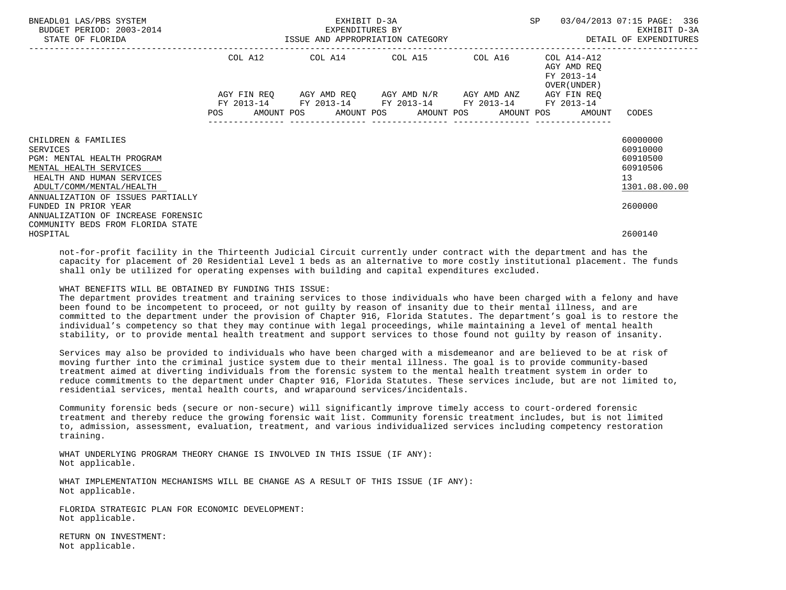| BNEADL01 LAS/PBS SYSTEM<br>BUDGET PERIOD: 2003-2014<br>STATE OF FLORIDA                                                                                                                                              | EXHIBIT D-3A<br>EXPENDITURES BY<br>ISSUE AND APPROPRIATION CATEGORY<br>------------------- |  |  |  |  |                                                                                                           | SP |  | 03/04/2013 07:15 PAGE: 336<br>EXHIBIT D-3A<br>DETAIL OF EXPENDITURES |                                                                                |
|----------------------------------------------------------------------------------------------------------------------------------------------------------------------------------------------------------------------|--------------------------------------------------------------------------------------------|--|--|--|--|-----------------------------------------------------------------------------------------------------------|----|--|----------------------------------------------------------------------|--------------------------------------------------------------------------------|
|                                                                                                                                                                                                                      |                                                                                            |  |  |  |  | COL A12 COL A14 COL A15 COL A16                                                                           |    |  | COL A14-A12<br>AGY AMD REO<br>FY 2013-14<br>OVER (UNDER )            |                                                                                |
|                                                                                                                                                                                                                      |                                                                                            |  |  |  |  | AGY FIN REQ AGY AMD REQ AGY AMD N/R AGY AMD ANZ<br>FY 2013-14 FY 2013-14 FY 2013-14 FY 2013-14 FY 2013-14 |    |  | AGY FIN REO                                                          |                                                                                |
|                                                                                                                                                                                                                      |                                                                                            |  |  |  |  |                                                                                                           |    |  | AMOUNT POS AMOUNT POS AMOUNT POS AMOUNT POS AMOUNT                   | CODES                                                                          |
| CHILDREN & FAMILIES<br><b>SERVICES</b><br>PGM: MENTAL HEALTH PROGRAM<br>MENTAL HEALTH SERVICES<br>HEALTH AND HUMAN SERVICES<br>ADULT/COMM/MENTAL/HEALTH<br>ANNUALIZATION OF ISSUES PARTIALLY<br>FUNDED IN PRIOR YEAR |                                                                                            |  |  |  |  |                                                                                                           |    |  |                                                                      | 60000000<br>60910000<br>60910500<br>60910506<br>13<br>1301.08.00.00<br>2600000 |
| ANNUALIZATION OF INCREASE FORENSIC<br>COMMUNITY BEDS FROM FLORIDA STATE<br>HOSPITAL                                                                                                                                  |                                                                                            |  |  |  |  |                                                                                                           |    |  |                                                                      | 2600140                                                                        |

 not-for-profit facility in the Thirteenth Judicial Circuit currently under contract with the department and has the capacity for placement of 20 Residential Level 1 beds as an alternative to more costly institutional placement. The funds shall only be utilized for operating expenses with building and capital expenditures excluded.

## WHAT BENEFITS WILL BE OBTAINED BY FUNDING THIS ISSUE:

 The department provides treatment and training services to those individuals who have been charged with a felony and have been found to be incompetent to proceed, or not guilty by reason of insanity due to their mental illness, and are committed to the department under the provision of Chapter 916, Florida Statutes. The department's goal is to restore the individual's competency so that they may continue with legal proceedings, while maintaining a level of mental health stability, or to provide mental health treatment and support services to those found not guilty by reason of insanity.

 Services may also be provided to individuals who have been charged with a misdemeanor and are believed to be at risk of moving further into the criminal justice system due to their mental illness. The goal is to provide community-based treatment aimed at diverting individuals from the forensic system to the mental health treatment system in order to reduce commitments to the department under Chapter 916, Florida Statutes. These services include, but are not limited to, residential services, mental health courts, and wraparound services/incidentals.

 Community forensic beds (secure or non-secure) will significantly improve timely access to court-ordered forensic treatment and thereby reduce the growing forensic wait list. Community forensic treatment includes, but is not limited to, admission, assessment, evaluation, treatment, and various individualized services including competency restoration training.

 WHAT UNDERLYING PROGRAM THEORY CHANGE IS INVOLVED IN THIS ISSUE (IF ANY): Not applicable.

 WHAT IMPLEMENTATION MECHANISMS WILL BE CHANGE AS A RESULT OF THIS ISSUE (IF ANY): Not applicable.

 FLORIDA STRATEGIC PLAN FOR ECONOMIC DEVELOPMENT: Not applicable.

 RETURN ON INVESTMENT: Not applicable.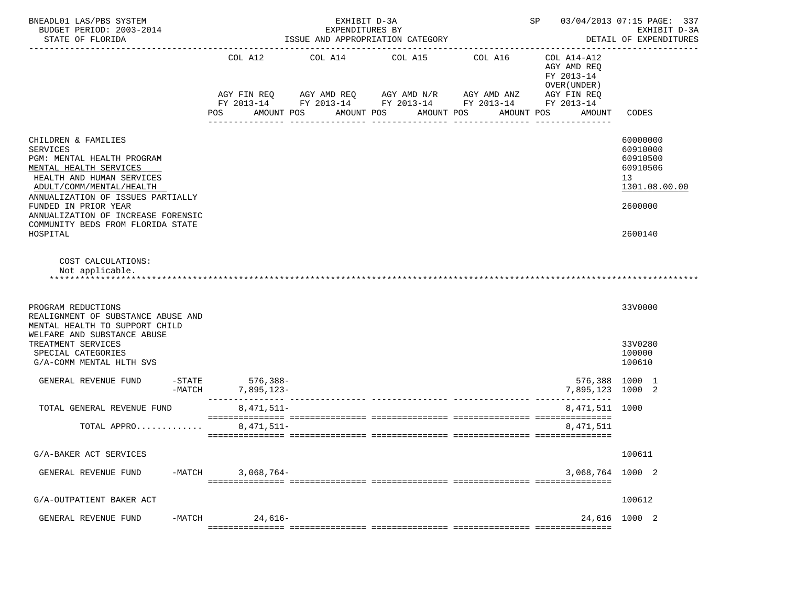| BNEADL01 LAS/PBS SYSTEM<br>BUDGET PERIOD: 2003-2014<br>STATE OF FLORIDA                                                                                                                                                                                                                                     |                                                       | EXHIBIT D-3A<br>EXPENDITURES BY<br>ISSUE AND APPROPRIATION CATEGORY |                                                                                                                        | SP and the set of the set of the set of the set of the set of the set of the set of the set of the set of the set of the set of the set of the set of the set of the set of the set of the set of the set of the set of the se | 03/04/2013 07:15 PAGE: 337<br>EXHIBIT D-3A<br>DETAIL OF EXPENDITURES              |                                                                                           |
|-------------------------------------------------------------------------------------------------------------------------------------------------------------------------------------------------------------------------------------------------------------------------------------------------------------|-------------------------------------------------------|---------------------------------------------------------------------|------------------------------------------------------------------------------------------------------------------------|--------------------------------------------------------------------------------------------------------------------------------------------------------------------------------------------------------------------------------|-----------------------------------------------------------------------------------|-------------------------------------------------------------------------------------------|
|                                                                                                                                                                                                                                                                                                             | COL A12<br>AGY FIN REQ<br>POS                         | COL A14<br>AMOUNT POS                                               | COL A15<br>AGY AMD REQ AGY AMD N/R AGY AMD ANZ<br>FY 2013-14 FY 2013-14 FY 2013-14 FY 2013-14 FY 2013-14<br>AMOUNT POS | COL A16<br>AMOUNT POS<br>AMOUNT POS<br>------------                                                                                                                                                                            | COL A14-A12<br>AGY AMD REQ<br>FY 2013-14<br>OVER (UNDER)<br>AGY FIN REQ<br>AMOUNT | CODES                                                                                     |
| CHILDREN & FAMILIES<br><b>SERVICES</b><br>PGM: MENTAL HEALTH PROGRAM<br>MENTAL HEALTH SERVICES<br>HEALTH AND HUMAN SERVICES<br>ADULT/COMM/MENTAL/HEALTH<br>ANNUALIZATION OF ISSUES PARTIALLY<br>FUNDED IN PRIOR YEAR<br>ANNUALIZATION OF INCREASE FORENSIC<br>COMMUNITY BEDS FROM FLORIDA STATE<br>HOSPITAL |                                                       |                                                                     |                                                                                                                        |                                                                                                                                                                                                                                |                                                                                   | 60000000<br>60910000<br>60910500<br>60910506<br>13<br>1301.08.00.00<br>2600000<br>2600140 |
| COST CALCULATIONS:<br>Not applicable.                                                                                                                                                                                                                                                                       |                                                       |                                                                     |                                                                                                                        |                                                                                                                                                                                                                                |                                                                                   |                                                                                           |
| PROGRAM REDUCTIONS<br>REALIGNMENT OF SUBSTANCE ABUSE AND<br>MENTAL HEALTH TO SUPPORT CHILD<br>WELFARE AND SUBSTANCE ABUSE                                                                                                                                                                                   |                                                       |                                                                     |                                                                                                                        |                                                                                                                                                                                                                                |                                                                                   | 33V0000                                                                                   |
| TREATMENT SERVICES<br>SPECIAL CATEGORIES<br>G/A-COMM MENTAL HLTH SVS                                                                                                                                                                                                                                        |                                                       |                                                                     |                                                                                                                        |                                                                                                                                                                                                                                |                                                                                   | 33V0280<br>100000<br>100610                                                               |
| GENERAL REVENUE FUND<br>$-MATCH$                                                                                                                                                                                                                                                                            | -STATE 576,388-<br>-MATCH 7,895,123-<br>$7.895.123 -$ |                                                                     |                                                                                                                        |                                                                                                                                                                                                                                | 576,388 1000 1<br>7,895,123 1000 2                                                |                                                                                           |
| TOTAL GENERAL REVENUE FUND                                                                                                                                                                                                                                                                                  | $8.471.511 -$                                         |                                                                     |                                                                                                                        |                                                                                                                                                                                                                                | 8, 471, 511 1000                                                                  |                                                                                           |
| TOTAL APPRO                                                                                                                                                                                                                                                                                                 | $8,471,511-$                                          |                                                                     |                                                                                                                        |                                                                                                                                                                                                                                | 8,471,511                                                                         |                                                                                           |
| G/A-BAKER ACT SERVICES                                                                                                                                                                                                                                                                                      |                                                       |                                                                     |                                                                                                                        |                                                                                                                                                                                                                                |                                                                                   | 100611                                                                                    |
| $-MATCH$<br>GENERAL REVENUE FUND                                                                                                                                                                                                                                                                            | $3,068,764-$                                          |                                                                     |                                                                                                                        |                                                                                                                                                                                                                                | 3,068,764 1000 2                                                                  |                                                                                           |
| G/A-OUTPATIENT BAKER ACT                                                                                                                                                                                                                                                                                    |                                                       |                                                                     |                                                                                                                        |                                                                                                                                                                                                                                |                                                                                   | 100612                                                                                    |
| $-MATCH$<br>GENERAL REVENUE FUND                                                                                                                                                                                                                                                                            | $24,616-$                                             |                                                                     |                                                                                                                        |                                                                                                                                                                                                                                |                                                                                   | 24,616 1000 2                                                                             |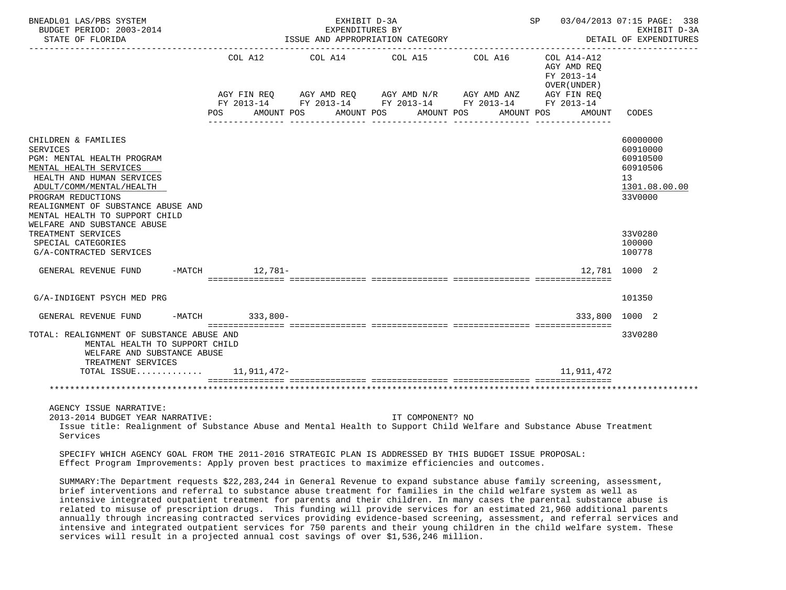| BNEADL01 LAS/PBS SYSTEM<br>BUDGET PERIOD: 2003-2014<br>STATE OF FLORIDA                                                                                                                                                                                                              |                               | EXHIBIT D-3A<br>EXPENDITURES BY<br>ISSUE AND APPROPRIATION CATEGORY | SP 03/04/2013 07:15 PAGE: 338<br>EXHIBIT D-3A<br>DETAIL OF EXPENDITURES |                                                                                                                      |                                                                                  |                                                                                |
|--------------------------------------------------------------------------------------------------------------------------------------------------------------------------------------------------------------------------------------------------------------------------------------|-------------------------------|---------------------------------------------------------------------|-------------------------------------------------------------------------|----------------------------------------------------------------------------------------------------------------------|----------------------------------------------------------------------------------|--------------------------------------------------------------------------------|
|                                                                                                                                                                                                                                                                                      | COL A12<br>AGY FIN REQ<br>POS | COL A14                                                             | COL A15<br>AMOUNT POS AMOUNT POS AMOUNT POS                             | COL A16<br>AGY AMD REQ AGY AMD N/R AGY AMD ANZ AGY FIN REQ<br>FY 2013-14 FY 2013-14 FY 2013-14 FY 2013-14 FY 2013-14 | COL A14-A12<br>AGY AMD REO<br>FY 2013-14<br>OVER (UNDER)<br>AMOUNT POS<br>AMOUNT | CODES                                                                          |
| CHILDREN & FAMILIES<br><b>SERVICES</b><br>PGM: MENTAL HEALTH PROGRAM<br>MENTAL HEALTH SERVICES<br>HEALTH AND HUMAN SERVICES<br>ADULT/COMM/MENTAL/HEALTH<br>PROGRAM REDUCTIONS<br>REALIGNMENT OF SUBSTANCE ABUSE AND<br>MENTAL HEALTH TO SUPPORT CHILD<br>WELFARE AND SUBSTANCE ABUSE |                               |                                                                     |                                                                         |                                                                                                                      |                                                                                  | 60000000<br>60910000<br>60910500<br>60910506<br>13<br>1301.08.00.00<br>33V0000 |
| TREATMENT SERVICES<br>SPECIAL CATEGORIES<br>G/A-CONTRACTED SERVICES                                                                                                                                                                                                                  |                               |                                                                     |                                                                         |                                                                                                                      |                                                                                  | 33V0280<br>100000<br>100778                                                    |
| GENERAL REVENUE FUND -MATCH 12,781-                                                                                                                                                                                                                                                  |                               |                                                                     |                                                                         |                                                                                                                      |                                                                                  | 12,781 1000 2                                                                  |
| G/A-INDIGENT PSYCH MED PRG                                                                                                                                                                                                                                                           |                               |                                                                     |                                                                         |                                                                                                                      |                                                                                  | 101350                                                                         |
| GENERAL REVENUE FUND                                                                                                                                                                                                                                                                 | -MATCH 333,800-               |                                                                     |                                                                         |                                                                                                                      | 333,800                                                                          | 1000 2                                                                         |
| TOTAL: REALIGNMENT OF SUBSTANCE ABUSE AND<br>MENTAL HEALTH TO SUPPORT CHILD<br>WELFARE AND SUBSTANCE ABUSE<br>TREATMENT SERVICES                                                                                                                                                     |                               |                                                                     |                                                                         |                                                                                                                      |                                                                                  | 33V0280                                                                        |
| TOTAL ISSUE 11,911,472-                                                                                                                                                                                                                                                              |                               |                                                                     |                                                                         |                                                                                                                      | 11,911,472                                                                       |                                                                                |
|                                                                                                                                                                                                                                                                                      |                               |                                                                     |                                                                         |                                                                                                                      |                                                                                  |                                                                                |
| AGENCY ISSUE NARRATIVE:<br>2013-2014 BUDGET YEAR NARRATIVE:<br>Issue title: Realignment of Substance Abuse and Mental Health to Support Child Welfare and Substance Abuse Treatment<br>Services                                                                                      |                               |                                                                     | IT COMPONENT? NO                                                        |                                                                                                                      |                                                                                  |                                                                                |

 SPECIFY WHICH AGENCY GOAL FROM THE 2011-2016 STRATEGIC PLAN IS ADDRESSED BY THIS BUDGET ISSUE PROPOSAL: Effect Program Improvements: Apply proven best practices to maximize efficiencies and outcomes.

 SUMMARY:The Department requests \$22,283,244 in General Revenue to expand substance abuse family screening, assessment, brief interventions and referral to substance abuse treatment for families in the child welfare system as well as intensive integrated outpatient treatment for parents and their children. In many cases the parental substance abuse is related to misuse of prescription drugs. This funding will provide services for an estimated 21,960 additional parents annually through increasing contracted services providing evidence-based screening, assessment, and referral services and intensive and integrated outpatient services for 750 parents and their young children in the child welfare system. These services will result in a projected annual cost savings of over \$1,536,246 million.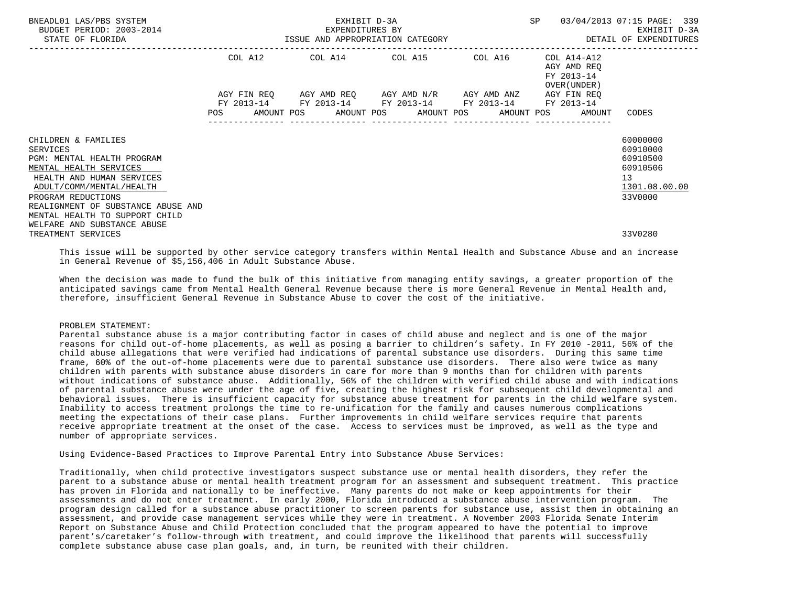| BNEADL01 LAS/PBS SYSTEM<br>BUDGET PERIOD: 2003-2014<br>STATE OF FLORIDA                                              | EXHIBIT D-3A<br>EXPENDITURES BY<br>ISSUE AND APPROPRIATION CATEGORY |             |  |                                                 |  |  | SP |  | 03/04/2013 07:15 PAGE: 339<br>EXHIBIT D-3A<br>DETAIL OF EXPENDITURES |                                                    |  |
|----------------------------------------------------------------------------------------------------------------------|---------------------------------------------------------------------|-------------|--|-------------------------------------------------|--|--|----|--|----------------------------------------------------------------------|----------------------------------------------------|--|
|                                                                                                                      |                                                                     | COL A12     |  | COL A14 COL A15 COL A16                         |  |  |    |  | COL A14-A12<br>AGY AMD REO<br>FY 2013-14<br>OVER (UNDER )            |                                                    |  |
|                                                                                                                      |                                                                     | AGY FIN REO |  | AGY AMD REQ       AGY AMD N/R       AGY AMD ANZ |  |  |    |  | AGY FIN REO                                                          |                                                    |  |
|                                                                                                                      | POS                                                                 |             |  | FY 2013-14 FY 2013-14 FY 2013-14 FY 2013-14     |  |  |    |  | FY 2013-14<br>AMOUNT POS AMOUNT POS AMOUNT POS AMOUNT POS AMOUNT     | CODES                                              |  |
| CHILDREN & FAMILIES<br>SERVICES<br>PGM: MENTAL HEALTH PROGRAM<br>MENTAL HEALTH SERVICES<br>HEALTH AND HUMAN SERVICES |                                                                     |             |  |                                                 |  |  |    |  |                                                                      | 60000000<br>60910000<br>60910500<br>60910506<br>13 |  |
| ADULT/COMM/MENTAL/HEALTH<br>PROGRAM REDUCTIONS                                                                       |                                                                     |             |  |                                                 |  |  |    |  |                                                                      | 1301.08.00.00<br>33V0000                           |  |
| REALIGNMENT OF SUBSTANCE ABUSE AND<br>MENTAL HEALTH TO SUPPORT CHILD                                                 |                                                                     |             |  |                                                 |  |  |    |  |                                                                      |                                                    |  |
| WELFARE AND SUBSTANCE ABUSE<br>TREATMENT SERVICES                                                                    |                                                                     |             |  |                                                 |  |  |    |  |                                                                      | 33V0280                                            |  |

 This issue will be supported by other service category transfers within Mental Health and Substance Abuse and an increase in General Revenue of \$5,156,406 in Adult Substance Abuse.

 When the decision was made to fund the bulk of this initiative from managing entity savings, a greater proportion of the anticipated savings came from Mental Health General Revenue because there is more General Revenue in Mental Health and, therefore, insufficient General Revenue in Substance Abuse to cover the cost of the initiative.

#### PROBLEM STATEMENT:

 Parental substance abuse is a major contributing factor in cases of child abuse and neglect and is one of the major reasons for child out-of-home placements, as well as posing a barrier to children's safety. In FY 2010 -2011, 56% of the child abuse allegations that were verified had indications of parental substance use disorders. During this same time frame, 60% of the out-of-home placements were due to parental substance use disorders. There also were twice as many children with parents with substance abuse disorders in care for more than 9 months than for children with parents without indications of substance abuse. Additionally, 56% of the children with verified child abuse and with indications of parental substance abuse were under the age of five, creating the highest risk for subsequent child developmental and behavioral issues. There is insufficient capacity for substance abuse treatment for parents in the child welfare system. Inability to access treatment prolongs the time to re-unification for the family and causes numerous complications meeting the expectations of their case plans. Further improvements in child welfare services require that parents receive appropriate treatment at the onset of the case. Access to services must be improved, as well as the type and number of appropriate services.

Using Evidence-Based Practices to Improve Parental Entry into Substance Abuse Services:

 Traditionally, when child protective investigators suspect substance use or mental health disorders, they refer the parent to a substance abuse or mental health treatment program for an assessment and subsequent treatment. This practice has proven in Florida and nationally to be ineffective. Many parents do not make or keep appointments for their assessments and do not enter treatment. In early 2000, Florida introduced a substance abuse intervention program. The program design called for a substance abuse practitioner to screen parents for substance use, assist them in obtaining an assessment, and provide case management services while they were in treatment. A November 2003 Florida Senate Interim Report on Substance Abuse and Child Protection concluded that the program appeared to have the potential to improve parent's/caretaker's follow-through with treatment, and could improve the likelihood that parents will successfully complete substance abuse case plan goals, and, in turn, be reunited with their children.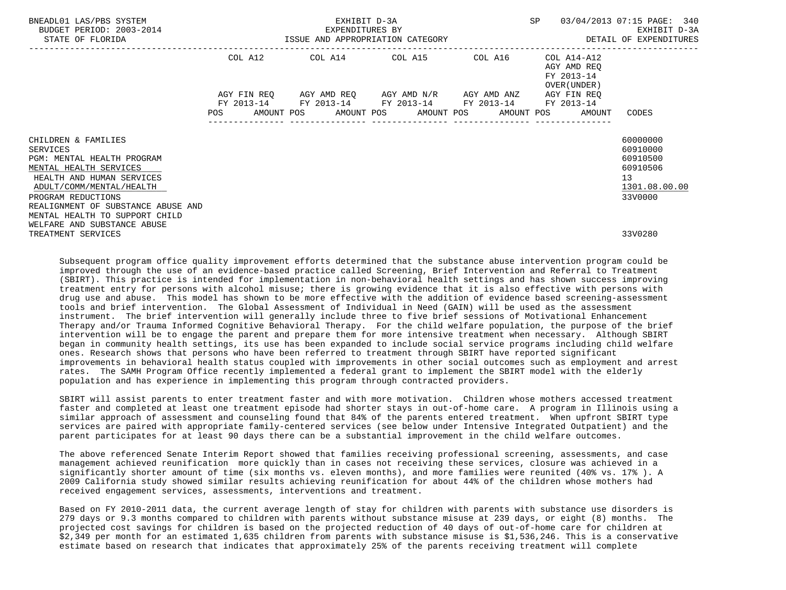| BNEADL01 LAS/PBS SYSTEM<br>BUDGET PERIOD: 2003-2014<br>STATE OF FLORIDA                                                                                                                                      | EXHIBIT D-3A<br>EXPENDITURES BY |  |  |  |  |                                                                                                           |  |                  | SP 03/04/2013 07:15 PAGE: 340                                |                                                                                |
|--------------------------------------------------------------------------------------------------------------------------------------------------------------------------------------------------------------|---------------------------------|--|--|--|--|-----------------------------------------------------------------------------------------------------------|--|------------------|--------------------------------------------------------------|--------------------------------------------------------------------------------|
|                                                                                                                                                                                                              |                                 |  |  |  |  | COL A12 COL A14 COL A15 COL A16                                                                           |  |                  | COL A14-A12<br>AGY AMD REO<br>FY 2013-14<br>OVER (UNDER )    |                                                                                |
|                                                                                                                                                                                                              |                                 |  |  |  |  | AGY FIN REO AGY AMD REO AGY AMD N/R AGY AMD ANZ<br>FY 2013-14 FY 2013-14 FY 2013-14 FY 2013-14 FY 2013-14 |  |                  | AGY FIN REO                                                  |                                                                                |
|                                                                                                                                                                                                              |                                 |  |  |  |  |                                                                                                           |  | ---------------- | POS AMOUNT POS AMOUNT POS AMOUNT POS AMOUNT POS AMOUNT CODES |                                                                                |
| CHILDREN & FAMILIES<br>SERVICES<br>PGM: MENTAL HEALTH PROGRAM<br>MENTAL HEALTH SERVICES<br>HEALTH AND HUMAN SERVICES<br>ADULT/COMM/MENTAL/HEALTH<br>PROGRAM REDUCTIONS<br>REALIGNMENT OF SUBSTANCE ABUSE AND |                                 |  |  |  |  |                                                                                                           |  |                  |                                                              | 60000000<br>60910000<br>60910500<br>60910506<br>13<br>1301.08.00.00<br>33V0000 |
| MENTAL HEALTH TO SUPPORT CHILD<br>WELFARE AND SUBSTANCE ABUSE<br>TREATMENT SERVICES                                                                                                                          |                                 |  |  |  |  |                                                                                                           |  |                  |                                                              | 33V0280                                                                        |

 Subsequent program office quality improvement efforts determined that the substance abuse intervention program could be improved through the use of an evidence-based practice called Screening, Brief Intervention and Referral to Treatment (SBIRT). This practice is intended for implementation in non-behavioral health settings and has shown success improving treatment entry for persons with alcohol misuse; there is growing evidence that it is also effective with persons with drug use and abuse. This model has shown to be more effective with the addition of evidence based screening-assessment tools and brief intervention. The Global Assessment of Individual in Need (GAIN) will be used as the assessment instrument. The brief intervention will generally include three to five brief sessions of Motivational Enhancement Therapy and/or Trauma Informed Cognitive Behavioral Therapy. For the child welfare population, the purpose of the brief intervention will be to engage the parent and prepare them for more intensive treatment when necessary. Although SBIRT began in community health settings, its use has been expanded to include social service programs including child welfare ones. Research shows that persons who have been referred to treatment through SBIRT have reported significant improvements in behavioral health status coupled with improvements in other social outcomes such as employment and arrest rates. The SAMH Program Office recently implemented a federal grant to implement the SBIRT model with the elderly population and has experience in implementing this program through contracted providers.

 SBIRT will assist parents to enter treatment faster and with more motivation. Children whose mothers accessed treatment faster and completed at least one treatment episode had shorter stays in out-of-home care. A program in Illinois using a similar approach of assessment and counseling found that 84% of the parents entered treatment. When upfront SBIRT type services are paired with appropriate family-centered services (see below under Intensive Integrated Outpatient) and the parent participates for at least 90 days there can be a substantial improvement in the child welfare outcomes.

 The above referenced Senate Interim Report showed that families receiving professional screening, assessments, and case management achieved reunification more quickly than in cases not receiving these services, closure was achieved in a significantly shorter amount of time (six months vs. eleven months), and more families were reunited (40% vs. 17% ). A 2009 California study showed similar results achieving reunification for about 44% of the children whose mothers had received engagement services, assessments, interventions and treatment.

 Based on FY 2010-2011 data, the current average length of stay for children with parents with substance use disorders is 279 days or 9.3 months compared to children with parents without substance misuse at 239 days, or eight (8) months. The projected cost savings for children is based on the projected reduction of 40 days of out-of-home care for children at \$2,349 per month for an estimated 1,635 children from parents with substance misuse is \$1,536,246. This is a conservative estimate based on research that indicates that approximately 25% of the parents receiving treatment will complete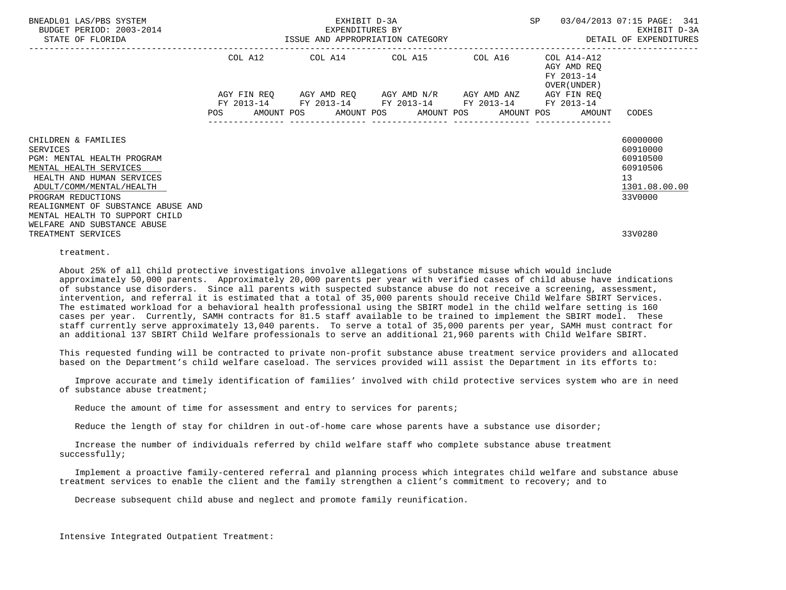| BNEADL01 LAS/PBS SYSTEM<br>BUDGET PERIOD: 2003-2014<br>STATE OF FLORIDA                                                                                                | EXHIBIT D-3A<br>EXPENDITURES BY |  |  |  |  |                                                                                                           |                  | SP 03/04/2013 07:15 PAGE: 341                                |                                                                                |
|------------------------------------------------------------------------------------------------------------------------------------------------------------------------|---------------------------------|--|--|--|--|-----------------------------------------------------------------------------------------------------------|------------------|--------------------------------------------------------------|--------------------------------------------------------------------------------|
|                                                                                                                                                                        |                                 |  |  |  |  | COL A12 COL A14 COL A15 COL A16                                                                           |                  | COL A14-A12<br>AGY AMD REO<br>FY 2013-14<br>OVER (UNDER )    |                                                                                |
|                                                                                                                                                                        |                                 |  |  |  |  | AGY FIN REO AGY AMD REO AGY AMD N/R AGY AMD ANZ<br>FY 2013-14 FY 2013-14 FY 2013-14 FY 2013-14 FY 2013-14 |                  | AGY FIN REO                                                  |                                                                                |
|                                                                                                                                                                        |                                 |  |  |  |  |                                                                                                           | ---------------- | POS AMOUNT POS AMOUNT POS AMOUNT POS AMOUNT POS AMOUNT CODES |                                                                                |
| CHILDREN & FAMILIES<br>SERVICES<br>PGM: MENTAL HEALTH PROGRAM<br>MENTAL HEALTH SERVICES<br>HEALTH AND HUMAN SERVICES<br>ADULT/COMM/MENTAL/HEALTH<br>PROGRAM REDUCTIONS |                                 |  |  |  |  |                                                                                                           |                  |                                                              | 60000000<br>60910000<br>60910500<br>60910506<br>13<br>1301.08.00.00<br>33V0000 |
| REALIGNMENT OF SUBSTANCE ABUSE AND<br>MENTAL HEALTH TO SUPPORT CHILD<br>WELFARE AND SUBSTANCE ABUSE<br>TREATMENT SERVICES                                              |                                 |  |  |  |  |                                                                                                           |                  |                                                              | 33V0280                                                                        |

treatment.

 About 25% of all child protective investigations involve allegations of substance misuse which would include approximately 50,000 parents. Approximately 20,000 parents per year with verified cases of child abuse have indications of substance use disorders. Since all parents with suspected substance abuse do not receive a screening, assessment, intervention, and referral it is estimated that a total of 35,000 parents should receive Child Welfare SBIRT Services. The estimated workload for a behavioral health professional using the SBIRT model in the child welfare setting is 160 cases per year. Currently, SAMH contracts for 81.5 staff available to be trained to implement the SBIRT model. These staff currently serve approximately 13,040 parents. To serve a total of 35,000 parents per year, SAMH must contract for an additional 137 SBIRT Child Welfare professionals to serve an additional 21,960 parents with Child Welfare SBIRT.

 This requested funding will be contracted to private non-profit substance abuse treatment service providers and allocated based on the Department's child welfare caseload. The services provided will assist the Department in its efforts to:

 Improve accurate and timely identification of families' involved with child protective services system who are in need of substance abuse treatment;

Reduce the amount of time for assessment and entry to services for parents;

Reduce the length of stay for children in out-of-home care whose parents have a substance use disorder;

 Increase the number of individuals referred by child welfare staff who complete substance abuse treatment successfully;

 Implement a proactive family-centered referral and planning process which integrates child welfare and substance abuse treatment services to enable the client and the family strengthen a client's commitment to recovery; and to

Decrease subsequent child abuse and neglect and promote family reunification.

Intensive Integrated Outpatient Treatment: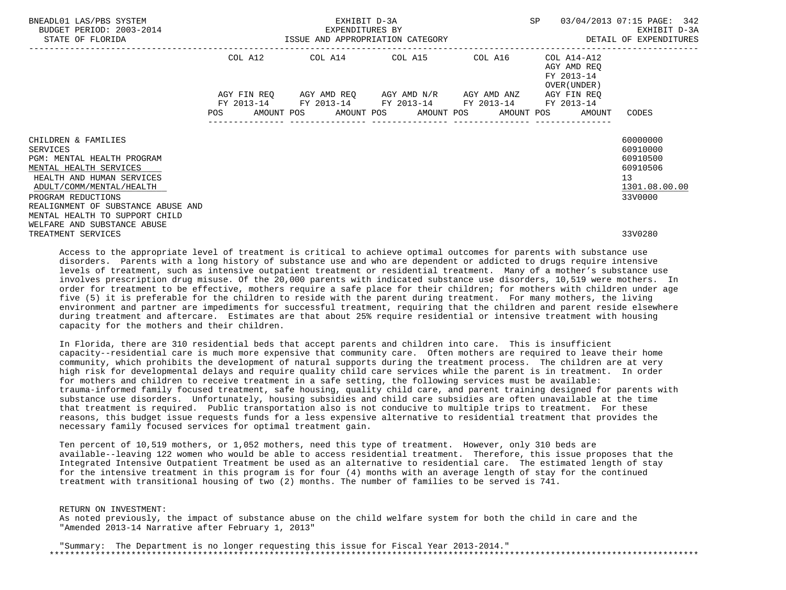| BNEADL01 LAS/PBS SYSTEM<br>BUDGET PERIOD: 2003-2014<br>STATE OF FLORIDA                                                                                                                                                                        | EXHIBIT D-3A<br>EXPENDITURES BY |  |  |  |  |                                                                                                           |                  | SP 03/04/2013 07:15 PAGE: 342                                |                                                                                |  |
|------------------------------------------------------------------------------------------------------------------------------------------------------------------------------------------------------------------------------------------------|---------------------------------|--|--|--|--|-----------------------------------------------------------------------------------------------------------|------------------|--------------------------------------------------------------|--------------------------------------------------------------------------------|--|
|                                                                                                                                                                                                                                                |                                 |  |  |  |  | COL A12 COL A14 COL A15 COL A16                                                                           |                  | COL A14-A12<br>AGY AMD REO<br>FY 2013-14<br>OVER (UNDER )    |                                                                                |  |
|                                                                                                                                                                                                                                                |                                 |  |  |  |  | AGY FIN REO AGY AMD REO AGY AMD N/R AGY AMD ANZ<br>FY 2013-14 FY 2013-14 FY 2013-14 FY 2013-14 FY 2013-14 |                  | AGY FIN REO                                                  |                                                                                |  |
|                                                                                                                                                                                                                                                |                                 |  |  |  |  |                                                                                                           | ---------------- | POS AMOUNT POS AMOUNT POS AMOUNT POS AMOUNT POS AMOUNT CODES |                                                                                |  |
| CHILDREN & FAMILIES<br>SERVICES<br>PGM: MENTAL HEALTH PROGRAM<br>MENTAL HEALTH SERVICES<br>HEALTH AND HUMAN SERVICES<br>ADULT/COMM/MENTAL/HEALTH<br>PROGRAM REDUCTIONS<br>REALIGNMENT OF SUBSTANCE ABUSE AND<br>MENTAL HEALTH TO SUPPORT CHILD |                                 |  |  |  |  |                                                                                                           |                  |                                                              | 60000000<br>60910000<br>60910500<br>60910506<br>13<br>1301.08.00.00<br>33V0000 |  |
| WELFARE AND SUBSTANCE ABUSE<br>TREATMENT SERVICES                                                                                                                                                                                              |                                 |  |  |  |  |                                                                                                           |                  |                                                              | 33V0280                                                                        |  |

 Access to the appropriate level of treatment is critical to achieve optimal outcomes for parents with substance use disorders. Parents with a long history of substance use and who are dependent or addicted to drugs require intensive levels of treatment, such as intensive outpatient treatment or residential treatment. Many of a mother's substance use involves prescription drug misuse. Of the 20,000 parents with indicated substance use disorders, 10,519 were mothers. In order for treatment to be effective, mothers require a safe place for their children; for mothers with children under age five (5) it is preferable for the children to reside with the parent during treatment. For many mothers, the living environment and partner are impediments for successful treatment, requiring that the children and parent reside elsewhere during treatment and aftercare. Estimates are that about 25% require residential or intensive treatment with housing capacity for the mothers and their children.

 In Florida, there are 310 residential beds that accept parents and children into care. This is insufficient capacity--residential care is much more expensive that community care. Often mothers are required to leave their home community, which prohibits the development of natural supports during the treatment process. The children are at very high risk for developmental delays and require quality child care services while the parent is in treatment. In order for mothers and children to receive treatment in a safe setting, the following services must be available: trauma-informed family focused treatment, safe housing, quality child care, and parent training designed for parents with substance use disorders. Unfortunately, housing subsidies and child care subsidies are often unavailable at the time that treatment is required. Public transportation also is not conducive to multiple trips to treatment. For these reasons, this budget issue requests funds for a less expensive alternative to residential treatment that provides the necessary family focused services for optimal treatment gain.

 Ten percent of 10,519 mothers, or 1,052 mothers, need this type of treatment. However, only 310 beds are available--leaving 122 women who would be able to access residential treatment. Therefore, this issue proposes that the Integrated Intensive Outpatient Treatment be used as an alternative to residential care. The estimated length of stay for the intensive treatment in this program is for four (4) months with an average length of stay for the continued treatment with transitional housing of two (2) months. The number of families to be served is 741.

 RETURN ON INVESTMENT: As noted previously, the impact of substance abuse on the child welfare system for both the child in care and the "Amended 2013-14 Narrative after February 1, 2013"

 "Summary: The Department is no longer requesting this issue for Fiscal Year 2013-2014." \*\*\*\*\*\*\*\*\*\*\*\*\*\*\*\*\*\*\*\*\*\*\*\*\*\*\*\*\*\*\*\*\*\*\*\*\*\*\*\*\*\*\*\*\*\*\*\*\*\*\*\*\*\*\*\*\*\*\*\*\*\*\*\*\*\*\*\*\*\*\*\*\*\*\*\*\*\*\*\*\*\*\*\*\*\*\*\*\*\*\*\*\*\*\*\*\*\*\*\*\*\*\*\*\*\*\*\*\*\*\*\*\*\*\*\*\*\*\*\*\*\*\*\*\*\*\*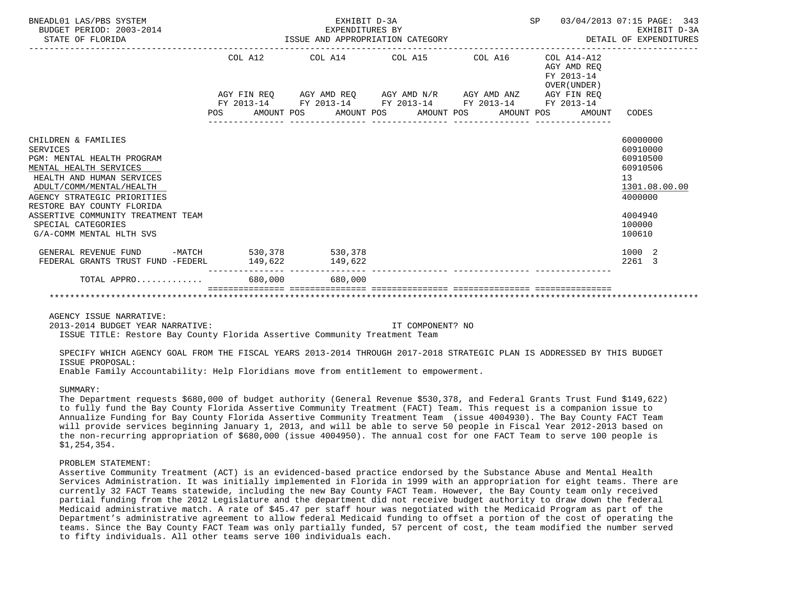| BNEADL01 LAS/PBS SYSTEM<br>BUDGET PERIOD: 2003-2014<br>STATE OF FLORIDA              |         | EXHIBIT D-3A<br>EXPENDITURES BY<br>EXPENDITURES BY<br>ISSUE AND APPROPRIATION CATEGORY | SP | 03/04/2013 07:15 PAGE: 343<br>EXHIBIT D-3A<br>DETAIL OF EXPENDITURES |                                  |
|--------------------------------------------------------------------------------------|---------|----------------------------------------------------------------------------------------|----|----------------------------------------------------------------------|----------------------------------|
|                                                                                      | COL A12 | COL A14 COL A15 COL A16                                                                |    | $COL A14 - A12$<br>AGY AMD REO<br>FY 2013-14<br>OVER (UNDER)         |                                  |
|                                                                                      |         | AGY FIN REQ AGY AMD REQ AGY AMD N/R AGY AMD ANZ AGY FIN REQ                            |    |                                                                      |                                  |
|                                                                                      |         | FY 2013-14 FY 2013-14 FY 2013-14 FY 2013-14 FY 2013-14                                 |    | POS AMOUNT POS AMOUNT POS AMOUNT POS AMOUNT POS AMOUNT               | CODES                            |
|                                                                                      |         |                                                                                        |    |                                                                      |                                  |
| CHILDREN & FAMILIES<br>SERVICES<br>PGM: MENTAL HEALTH PROGRAM                        |         |                                                                                        |    |                                                                      | 60000000<br>60910000<br>60910500 |
| MENTAL HEALTH SERVICES<br>HEALTH AND HUMAN SERVICES<br>ADULT/COMM/MENTAL/HEALTH      |         |                                                                                        |    |                                                                      | 60910506<br>13<br>1301.08.00.00  |
| AGENCY STRATEGIC PRIORITIES<br>RESTORE BAY COUNTY FLORIDA                            |         |                                                                                        |    |                                                                      | 4000000                          |
| ASSERTIVE COMMUNITY TREATMENT TEAM<br>SPECIAL CATEGORIES<br>G/A-COMM MENTAL HLTH SVS |         |                                                                                        |    |                                                                      | 4004940<br>100000<br>100610      |
| GENERAL REVENUE FUND -MATCH 530,378 530,378<br>FEDERAL GRANTS TRUST FUND -FEDERL     |         | 149,622 149,622                                                                        |    |                                                                      | 1000 2<br>2261 3                 |
| $\text{TOTAL}$ APPRO $\ldots \ldots \ldots$ , 680,000 680,000                        |         |                                                                                        |    |                                                                      |                                  |
|                                                                                      |         |                                                                                        |    |                                                                      |                                  |

AGENCY ISSUE NARRATIVE:

2013-2014 BUDGET YEAR NARRATIVE: IT COMPONENT? NO

ISSUE TITLE: Restore Bay County Florida Assertive Community Treatment Team

 SPECIFY WHICH AGENCY GOAL FROM THE FISCAL YEARS 2013-2014 THROUGH 2017-2018 STRATEGIC PLAN IS ADDRESSED BY THIS BUDGET ISSUE PROPOSAL:

Enable Family Accountability: Help Floridians move from entitlement to empowerment.

### SIIMMARY:

 The Department requests \$680,000 of budget authority (General Revenue \$530,378, and Federal Grants Trust Fund \$149,622) to fully fund the Bay County Florida Assertive Community Treatment (FACT) Team. This request is a companion issue to Annualize Funding for Bay County Florida Assertive Community Treatment Team (issue 4004930). The Bay County FACT Team will provide services beginning January 1, 2013, and will be able to serve 50 people in Fiscal Year 2012-2013 based on the non-recurring appropriation of \$680,000 (issue 4004950). The annual cost for one FACT Team to serve 100 people is \$1,254,354.

#### PROBLEM STATEMENT:

 Assertive Community Treatment (ACT) is an evidenced-based practice endorsed by the Substance Abuse and Mental Health Services Administration. It was initially implemented in Florida in 1999 with an appropriation for eight teams. There are currently 32 FACT Teams statewide, including the new Bay County FACT Team. However, the Bay County team only received partial funding from the 2012 Legislature and the department did not receive budget authority to draw down the federal Medicaid administrative match. A rate of \$45.47 per staff hour was negotiated with the Medicaid Program as part of the Department's administrative agreement to allow federal Medicaid funding to offset a portion of the cost of operating the teams. Since the Bay County FACT Team was only partially funded, 57 percent of cost, the team modified the number served to fifty individuals. All other teams serve 100 individuals each.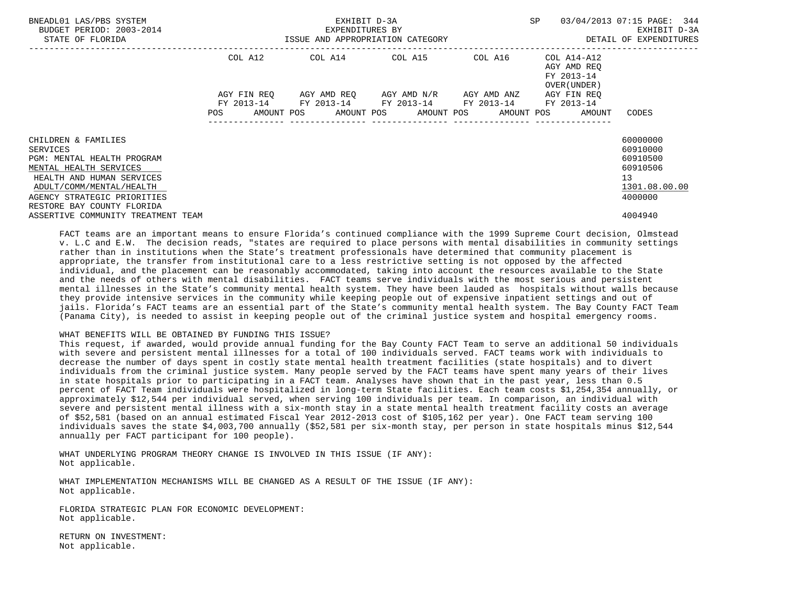| BNEADL01 LAS/PBS SYSTEM<br>BUDGET PERIOD: 2003-2014<br>STATE OF FLORIDA                                                                                                                                       | ISSUE AND APPROPRIATION CATEGORY | EXHIBIT D-3A<br>EXPENDITURES BY | SP                                                                                            | 03/04/2013 07:15 PAGE: 344<br>EXHIBIT D-3A<br>DETAIL OF EXPENDITURES |                                                              |                                                                                |
|---------------------------------------------------------------------------------------------------------------------------------------------------------------------------------------------------------------|----------------------------------|---------------------------------|-----------------------------------------------------------------------------------------------|----------------------------------------------------------------------|--------------------------------------------------------------|--------------------------------------------------------------------------------|
|                                                                                                                                                                                                               | COL A12                          |                                 | COL A14 COL A15 COL A16                                                                       |                                                                      | COL A14-A12<br>AGY AMD REO<br>FY 2013-14<br>OVER (UNDER )    |                                                                                |
|                                                                                                                                                                                                               | AGY FIN REO                      |                                 | AGY AMD REO AGY AMD N/R AGY AMD ANZ<br>FY 2013-14 FY 2013-14 FY 2013-14 FY 2013-14 FY 2013-14 |                                                                      | AGY FIN REO                                                  |                                                                                |
|                                                                                                                                                                                                               |                                  |                                 |                                                                                               |                                                                      | POS AMOUNT POS AMOUNT POS AMOUNT POS AMOUNT POS AMOUNT CODES |                                                                                |
| CHILDREN & FAMILIES<br>SERVICES<br>PGM: MENTAL HEALTH PROGRAM<br>MENTAL HEALTH SERVICES<br>HEALTH AND HUMAN SERVICES<br>ADULT/COMM/MENTAL/HEALTH<br>AGENCY STRATEGIC PRIORITIES<br>RESTORE BAY COUNTY FLORIDA |                                  |                                 |                                                                                               |                                                                      |                                                              | 60000000<br>60910000<br>60910500<br>60910506<br>13<br>1301.08.00.00<br>4000000 |
| ASSERTIVE COMMUNITY TREATMENT TEAM                                                                                                                                                                            |                                  |                                 |                                                                                               |                                                                      |                                                              | 4004940                                                                        |

 FACT teams are an important means to ensure Florida's continued compliance with the 1999 Supreme Court decision, Olmstead v. L.C and E.W. The decision reads, "states are required to place persons with mental disabilities in community settings rather than in institutions when the State's treatment professionals have determined that community placement is appropriate, the transfer from institutional care to a less restrictive setting is not opposed by the affected individual, and the placement can be reasonably accommodated, taking into account the resources available to the State and the needs of others with mental disabilities. FACT teams serve individuals with the most serious and persistent mental illnesses in the State's community mental health system. They have been lauded as hospitals without walls because they provide intensive services in the community while keeping people out of expensive inpatient settings and out of jails. Florida's FACT teams are an essential part of the State's community mental health system. The Bay County FACT Team (Panama City), is needed to assist in keeping people out of the criminal justice system and hospital emergency rooms.

### WHAT BENEFITS WILL BE OBTAINED BY FUNDING THIS ISSUE?

 This request, if awarded, would provide annual funding for the Bay County FACT Team to serve an additional 50 individuals with severe and persistent mental illnesses for a total of 100 individuals served. FACT teams work with individuals to decrease the number of days spent in costly state mental health treatment facilities (state hospitals) and to divert individuals from the criminal justice system. Many people served by the FACT teams have spent many years of their lives in state hospitals prior to participating in a FACT team. Analyses have shown that in the past year, less than 0.5 percent of FACT Team individuals were hospitalized in long-term State facilities. Each team costs \$1,254,354 annually, or approximately \$12,544 per individual served, when serving 100 individuals per team. In comparison, an individual with severe and persistent mental illness with a six-month stay in a state mental health treatment facility costs an average of \$52,581 (based on an annual estimated Fiscal Year 2012-2013 cost of \$105,162 per year). One FACT team serving 100 individuals saves the state \$4,003,700 annually (\$52,581 per six-month stay, per person in state hospitals minus \$12,544 annually per FACT participant for 100 people).

 WHAT UNDERLYING PROGRAM THEORY CHANGE IS INVOLVED IN THIS ISSUE (IF ANY): Not applicable.

 WHAT IMPLEMENTATION MECHANISMS WILL BE CHANGED AS A RESULT OF THE ISSUE (IF ANY): Not applicable.

 FLORIDA STRATEGIC PLAN FOR ECONOMIC DEVELOPMENT: Not applicable.

 RETURN ON INVESTMENT: Not applicable.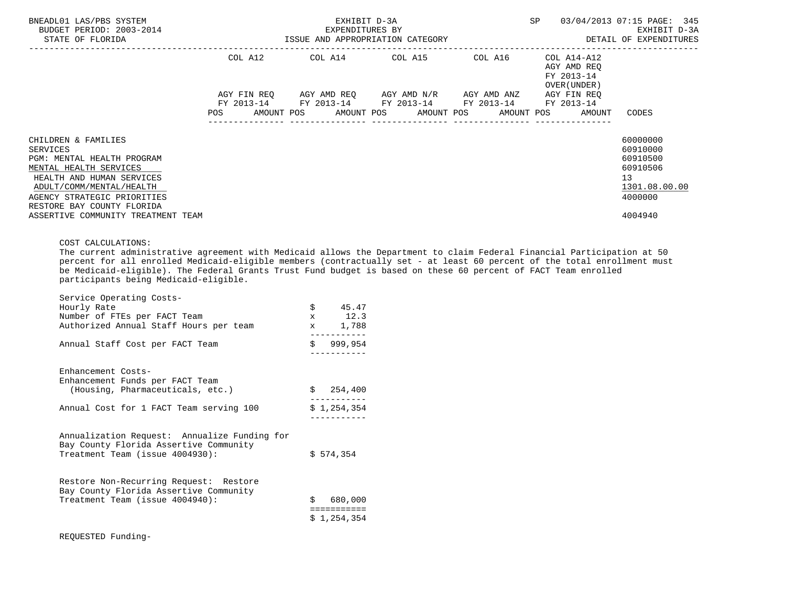| BNEADL01 LAS/PBS SYSTEM<br>BUDGET PERIOD: 2003-2014<br>STATE OF FLORIDA                                                                                                                                       |            | SP                                                                                                                                                              | 03/04/2013 07:15 PAGE: 345<br>EXHIBIT D-3A<br>ISSUE AND APPROPRIATION CATEGORY <b>ACCOM</b> SETALL OF EXPENDITURES |                                            |                                                                                |
|---------------------------------------------------------------------------------------------------------------------------------------------------------------------------------------------------------------|------------|-----------------------------------------------------------------------------------------------------------------------------------------------------------------|--------------------------------------------------------------------------------------------------------------------|--------------------------------------------|--------------------------------------------------------------------------------|
|                                                                                                                                                                                                               |            | COL A12 COL A14 COL A15 COL A16 COL A14-A12                                                                                                                     |                                                                                                                    | AGY AMD REO<br>FY 2013-14<br>OVER (UNDER ) |                                                                                |
|                                                                                                                                                                                                               | <b>POS</b> | AGY FIN REQ AGY AMD REQ AGY AMD N/R AGY AMD ANZ<br>FY 2013-14 FY 2013-14 FY 2013-14 FY 2013-14 FY 2013-14<br>AMOUNT POS AMOUNT POS AMOUNT POS AMOUNT POS AMOUNT |                                                                                                                    | AGY FIN REO                                | CODES                                                                          |
| CHILDREN & FAMILIES<br>SERVICES<br>PGM: MENTAL HEALTH PROGRAM<br>MENTAL HEALTH SERVICES<br>HEALTH AND HUMAN SERVICES<br>ADULT/COMM/MENTAL/HEALTH<br>AGENCY STRATEGIC PRIORITIES<br>RESTORE BAY COUNTY FLORIDA |            |                                                                                                                                                                 |                                                                                                                    |                                            | 60000000<br>60910000<br>60910500<br>60910506<br>13<br>1301.08.00.00<br>4000000 |
| ASSERTIVE COMMUNITY TREATMENT TEAM                                                                                                                                                                            |            |                                                                                                                                                                 |                                                                                                                    |                                            | 4004940                                                                        |

## COST CALCULATIONS:

 The current administrative agreement with Medicaid allows the Department to claim Federal Financial Participation at 50 percent for all enrolled Medicaid-eligible members (contractually set - at least 60 percent of the total enrollment must be Medicaid-eligible). The Federal Grants Trust Fund budget is based on these 60 percent of FACT Team enrolled participants being Medicaid-eligible.

| Service Operating Costs-<br>Hourly Rate<br>Number of FTEs per FACT Team<br>Authorized Annual Staff Hours per team         | \$<br>45.47<br>$x = 12.3$<br>1,788<br>$\mathbf x$ and $\mathbf x$ |  |
|---------------------------------------------------------------------------------------------------------------------------|-------------------------------------------------------------------|--|
| Annual Staff Cost per FACT Team                                                                                           | \$999,954                                                         |  |
| Enhancement Costs-<br>Enhancement Funds per FACT Team<br>(Housing, Pharmaceuticals, etc.)                                 | \$254,400                                                         |  |
| Annual Cost for 1 FACT Team serving 100                                                                                   | \$1,254,354                                                       |  |
| Annualization Request: Annualize Funding for<br>Bay County Florida Assertive Community<br>Treatment Team (issue 4004930): | \$574,354                                                         |  |
| Restore Non-Recurring Request: Restore<br>Bay County Florida Assertive Community<br>Treatment Team (issue 4004940):       | 680,000<br>Š.<br>===========<br>\$1,254,354                       |  |
| REOUESTED Funding-                                                                                                        |                                                                   |  |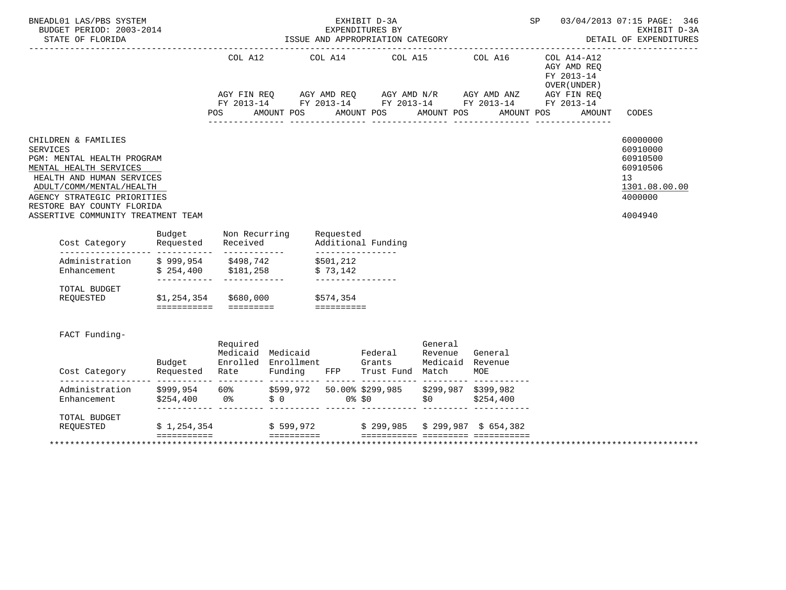| BNEADL01 LAS/PBS SYSTEM<br>BUDGET PERIOD: 2003-2014<br>STATE OF FLORIDA                                                                                                                                                                                    |             | EXHIBIT D-3A<br>EXPENDITURES BY<br>ISSUE AND APPROPRIATION CATEGORY |             |                                       |                                                                                                                       |            |                                                          | SP                                                                                                                                                                                                                                                                   | 03/04/2013 07:15 PAGE: 346<br>EXHIBIT D-3A<br>DETAIL OF EXPENDITURES                                   |
|------------------------------------------------------------------------------------------------------------------------------------------------------------------------------------------------------------------------------------------------------------|-------------|---------------------------------------------------------------------|-------------|---------------------------------------|-----------------------------------------------------------------------------------------------------------------------|------------|----------------------------------------------------------|----------------------------------------------------------------------------------------------------------------------------------------------------------------------------------------------------------------------------------------------------------------------|--------------------------------------------------------------------------------------------------------|
|                                                                                                                                                                                                                                                            |             | COL A12<br>POS FOR                                                  | AMOUNT POS  | COL A14                               | COL A15 COL A16<br>AMOUNT POS                                                                                         | AMOUNT POS | AMOUNT POS                                               | COL A14-A12<br>AGY AMD REQ<br>FY 2013-14<br>OVER (UNDER)<br>$AGY \text{ FIN REQ} \qquad \text{AGY AMD REQ} \qquad \text{AGY AMD N/R} \qquad \text{AGY AMD ANZ} \qquad \text{AGY FIN REQ}$<br>FY 2013-14 FY 2013-14 FY 2013-14 FY 2013-14 FY 2013-14<br><b>AMOUNT</b> | CODES                                                                                                  |
| CHILDREN & FAMILIES<br><b>SERVICES</b><br>PGM: MENTAL HEALTH PROGRAM<br>MENTAL HEALTH SERVICES<br>HEALTH AND HUMAN SERVICES<br>ADULT/COMM/MENTAL/HEALTH<br>AGENCY STRATEGIC PRIORITIES<br>RESTORE BAY COUNTY FLORIDA<br>ASSERTIVE COMMUNITY TREATMENT TEAM |             |                                                                     |             |                                       |                                                                                                                       |            |                                                          |                                                                                                                                                                                                                                                                      | 60000000<br>60910000<br>60910500<br>60910506<br>13 <sup>°</sup><br>1301.08.00.00<br>4000000<br>4004940 |
| Budget Non Recurring<br>Cost Category Requested Received                                                                                                                                                                                                   |             |                                                                     |             | Requested                             | Additional Funding                                                                                                    |            |                                                          |                                                                                                                                                                                                                                                                      |                                                                                                        |
| Administration \$999,954 \$498,742<br>Enhancement \$254,400 \$181,258                                                                                                                                                                                      |             |                                                                     |             | \$501,212<br>\$73,142                 |                                                                                                                       |            |                                                          |                                                                                                                                                                                                                                                                      |                                                                                                        |
| TOTAL BUDGET<br>REQUESTED \$1,254,354 \$680,000 \$574,354                                                                                                                                                                                                  |             |                                                                     |             |                                       |                                                                                                                       |            |                                                          |                                                                                                                                                                                                                                                                      |                                                                                                        |
| FACT Funding-                                                                                                                                                                                                                                              |             | Required                                                            |             |                                       | ----------<br>Medicaid Medicaid — Federal Revenue General<br>Budget – Enrolled Enrollment – Grants – Medicaid Revenue | General    |                                                          |                                                                                                                                                                                                                                                                      |                                                                                                        |
| Administration<br>Enhancement                                                                                                                                                                                                                              |             |                                                                     |             |                                       |                                                                                                                       |            |                                                          |                                                                                                                                                                                                                                                                      |                                                                                                        |
| TOTAL BUDGET<br>REQUESTED                                                                                                                                                                                                                                  |             |                                                                     |             |                                       |                                                                                                                       |            | $$1,254,354$ $$599,972$ $$299,985$ $$299,987$ $$654,382$ |                                                                                                                                                                                                                                                                      |                                                                                                        |
|                                                                                                                                                                                                                                                            | =========== |                                                                     | =========== | _________________<br>________________ |                                                                                                                       |            |                                                          |                                                                                                                                                                                                                                                                      |                                                                                                        |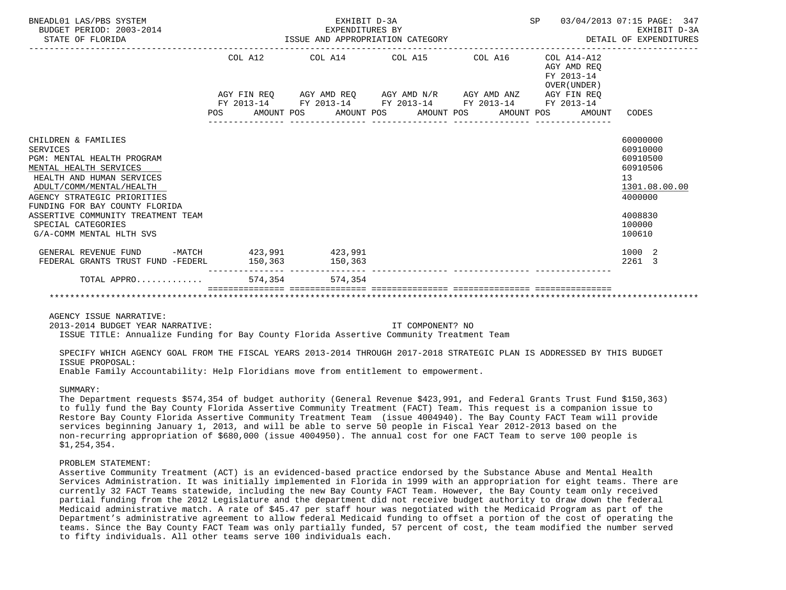| BNEADL01 LAS/PBS SYSTEM<br>BUDGET PERIOD: 2003-2014<br>STATE OF FLORIDA |         | EXHIBIT D-3A<br>EXPENDITURES BY<br>ISSUE AND APPROPRIATION CATEGORY | 03/04/2013 07:15 PAGE:<br>SP | 347<br>EXHIBIT D-3A<br>DETAIL OF EXPENDITURES            |                      |
|-------------------------------------------------------------------------|---------|---------------------------------------------------------------------|------------------------------|----------------------------------------------------------|----------------------|
|                                                                         | COL A12 | COL A14 COL A15 COL A16                                             |                              | COL A14-A12<br>AGY AMD REO<br>FY 2013-14<br>OVER (UNDER) |                      |
|                                                                         |         | AGY FIN REQ AGY AMD REQ AGY AMD N/R AGY AMD ANZ AGY FIN REQ         |                              |                                                          |                      |
|                                                                         |         | FY 2013-14 FY 2013-14 FY 2013-14 FY 2013-14                         |                              | FY 2013-14                                               |                      |
|                                                                         |         | POS AMOUNT POS AMOUNT POS AMOUNT POS AMOUNT POS                     |                              | AMOUNT                                                   | CODES                |
|                                                                         |         |                                                                     |                              |                                                          |                      |
| CHILDREN & FAMILIES                                                     |         |                                                                     |                              |                                                          | 60000000             |
| <b>SERVICES</b>                                                         |         |                                                                     |                              |                                                          | 60910000             |
| PGM: MENTAL HEALTH PROGRAM<br>MENTAL HEALTH SERVICES                    |         |                                                                     |                              |                                                          | 60910500<br>60910506 |
| HEALTH AND HUMAN SERVICES                                               |         |                                                                     |                              |                                                          | 13                   |
| ADULT/COMM/MENTAL/HEALTH                                                |         |                                                                     |                              |                                                          | 1301.08.00.00        |
| AGENCY STRATEGIC PRIORITIES                                             |         |                                                                     |                              |                                                          | 4000000              |
| FUNDING FOR BAY COUNTY FLORIDA                                          |         |                                                                     |                              |                                                          |                      |
| ASSERTIVE COMMUNITY TREATMENT TEAM                                      |         |                                                                     |                              |                                                          | 4008830              |
| SPECIAL CATEGORIES                                                      |         |                                                                     |                              |                                                          | 100000               |
| G/A-COMM MENTAL HLTH SVS                                                |         |                                                                     |                              |                                                          | 100610               |
| GENERAL REVENUE FUND -MATCH 423,991                                     |         | 423,991                                                             |                              |                                                          | 1000 2               |
| FEDERAL GRANTS TRUST FUND -FEDERL                                       | 150.363 | 150,363                                                             |                              |                                                          | 2261 3               |
| TOTAL APPRO                                                             |         | 574.354 574.354                                                     |                              |                                                          |                      |
|                                                                         |         |                                                                     |                              |                                                          |                      |

AGENCY ISSUE NARRATIVE:

2013-2014 BUDGET YEAR NARRATIVE: IT COMPONENT? NO

ISSUE TITLE: Annualize Funding for Bay County Florida Assertive Community Treatment Team

 SPECIFY WHICH AGENCY GOAL FROM THE FISCAL YEARS 2013-2014 THROUGH 2017-2018 STRATEGIC PLAN IS ADDRESSED BY THIS BUDGET ISSUE PROPOSAL:

Enable Family Accountability: Help Floridians move from entitlement to empowerment.

## SIIMMARY:

 The Department requests \$574,354 of budget authority (General Revenue \$423,991, and Federal Grants Trust Fund \$150,363) to fully fund the Bay County Florida Assertive Community Treatment (FACT) Team. This request is a companion issue to Restore Bay County Florida Assertive Community Treatment Team (issue 4004940). The Bay County FACT Team will provide services beginning January 1, 2013, and will be able to serve 50 people in Fiscal Year 2012-2013 based on the non-recurring appropriation of \$680,000 (issue 4004950). The annual cost for one FACT Team to serve 100 people is \$1,254,354.

#### PROBLEM STATEMENT:

 Assertive Community Treatment (ACT) is an evidenced-based practice endorsed by the Substance Abuse and Mental Health Services Administration. It was initially implemented in Florida in 1999 with an appropriation for eight teams. There are currently 32 FACT Teams statewide, including the new Bay County FACT Team. However, the Bay County team only received partial funding from the 2012 Legislature and the department did not receive budget authority to draw down the federal Medicaid administrative match. A rate of \$45.47 per staff hour was negotiated with the Medicaid Program as part of the Department's administrative agreement to allow federal Medicaid funding to offset a portion of the cost of operating the teams. Since the Bay County FACT Team was only partially funded, 57 percent of cost, the team modified the number served to fifty individuals. All other teams serve 100 individuals each.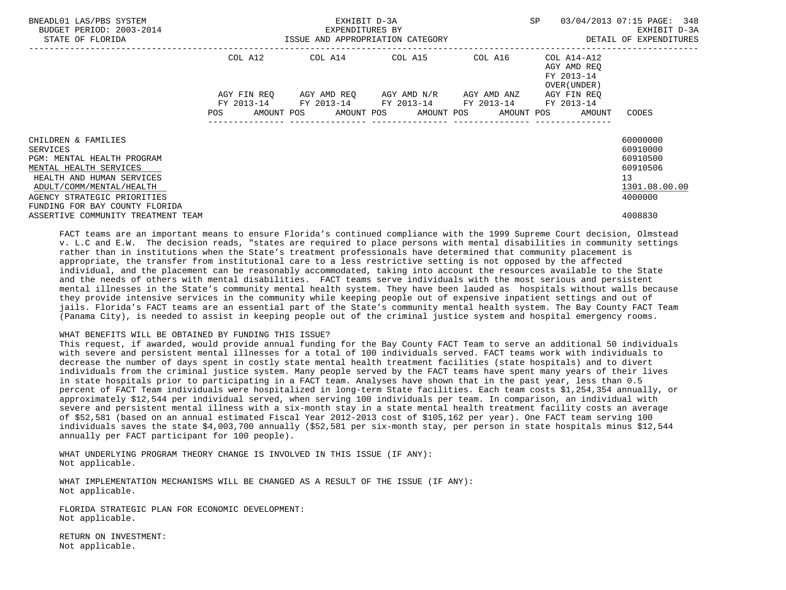| BNEADL01 LAS/PBS SYSTEM<br>BUDGET PERIOD: 2003-2014<br>STATE OF FLORIDA                                                                                                                                           | ISSUE AND APPROPRIATION CATEGORY | EXHIBIT D-3A<br>EXPENDITURES BY | SP                                                                                            | 03/04/2013 07:15 PAGE: 348<br>EXHIBIT D-3A<br>DETAIL OF EXPENDITURES |                                                           |                                                                                             |
|-------------------------------------------------------------------------------------------------------------------------------------------------------------------------------------------------------------------|----------------------------------|---------------------------------|-----------------------------------------------------------------------------------------------|----------------------------------------------------------------------|-----------------------------------------------------------|---------------------------------------------------------------------------------------------|
|                                                                                                                                                                                                                   | COL A12                          |                                 | COL A14 COL A15 COL A16                                                                       |                                                                      | COL A14-A12<br>AGY AMD REQ<br>FY 2013-14<br>OVER (UNDER ) |                                                                                             |
|                                                                                                                                                                                                                   | AGY FIN REO                      |                                 | AGY AMD REO AGY AMD N/R AGY AMD ANZ<br>FY 2013-14 FY 2013-14 FY 2013-14 FY 2013-14 FY 2013-14 |                                                                      | AGY FIN REO                                               |                                                                                             |
|                                                                                                                                                                                                                   | <b>POS</b>                       |                                 |                                                                                               |                                                                      | AMOUNT POS AMOUNT POS AMOUNT POS AMOUNT POS AMOUNT        | CODES                                                                                       |
| CHILDREN & FAMILIES<br>SERVICES<br>PGM: MENTAL HEALTH PROGRAM<br>MENTAL HEALTH SERVICES<br>HEALTH AND HUMAN SERVICES<br>ADULT/COMM/MENTAL/HEALTH<br>AGENCY STRATEGIC PRIORITIES<br>FUNDING FOR BAY COUNTY FLORIDA |                                  |                                 |                                                                                               |                                                                      |                                                           | 60000000<br>60910000<br>60910500<br>60910506<br>13 <sup>°</sup><br>1301.08.00.00<br>4000000 |
| ASSERTIVE COMMUNITY TREATMENT TEAM                                                                                                                                                                                |                                  |                                 |                                                                                               |                                                                      |                                                           | 4008830                                                                                     |

 FACT teams are an important means to ensure Florida's continued compliance with the 1999 Supreme Court decision, Olmstead v. L.C and E.W. The decision reads, "states are required to place persons with mental disabilities in community settings rather than in institutions when the State's treatment professionals have determined that community placement is appropriate, the transfer from institutional care to a less restrictive setting is not opposed by the affected individual, and the placement can be reasonably accommodated, taking into account the resources available to the State and the needs of others with mental disabilities. FACT teams serve individuals with the most serious and persistent mental illnesses in the State's community mental health system. They have been lauded as hospitals without walls because they provide intensive services in the community while keeping people out of expensive inpatient settings and out of jails. Florida's FACT teams are an essential part of the State's community mental health system. The Bay County FACT Team (Panama City), is needed to assist in keeping people out of the criminal justice system and hospital emergency rooms.

### WHAT BENEFITS WILL BE OBTAINED BY FUNDING THIS ISSUE?

 This request, if awarded, would provide annual funding for the Bay County FACT Team to serve an additional 50 individuals with severe and persistent mental illnesses for a total of 100 individuals served. FACT teams work with individuals to decrease the number of days spent in costly state mental health treatment facilities (state hospitals) and to divert individuals from the criminal justice system. Many people served by the FACT teams have spent many years of their lives in state hospitals prior to participating in a FACT team. Analyses have shown that in the past year, less than 0.5 percent of FACT Team individuals were hospitalized in long-term State facilities. Each team costs \$1,254,354 annually, or approximately \$12,544 per individual served, when serving 100 individuals per team. In comparison, an individual with severe and persistent mental illness with a six-month stay in a state mental health treatment facility costs an average of \$52,581 (based on an annual estimated Fiscal Year 2012-2013 cost of \$105,162 per year). One FACT team serving 100 individuals saves the state \$4,003,700 annually (\$52,581 per six-month stay, per person in state hospitals minus \$12,544 annually per FACT participant for 100 people).

 WHAT UNDERLYING PROGRAM THEORY CHANGE IS INVOLVED IN THIS ISSUE (IF ANY): Not applicable.

 WHAT IMPLEMENTATION MECHANISMS WILL BE CHANGED AS A RESULT OF THE ISSUE (IF ANY): Not applicable.

 FLORIDA STRATEGIC PLAN FOR ECONOMIC DEVELOPMENT: Not applicable.

 RETURN ON INVESTMENT: Not applicable.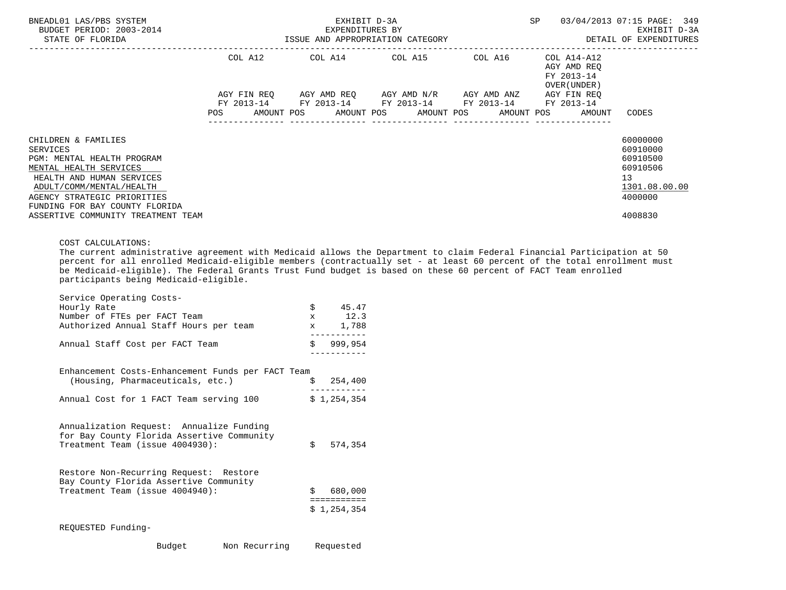| BNEADL01 LAS/PBS SYSTEM<br>BUDGET PERIOD: 2003-2014<br>STATE OF FLORIDA                                                                                                                                                                                        |  | EXHIBIT D-3A<br>EXPENDITURES BY | SP                                                                                                                                                       | 03/04/2013 07:15 PAGE: 349<br>EXHIBIT D-3A<br>ISSUE AND APPROPRIATION CATEGORY <b>ALL SECOUST CONTAINATION</b> DETAIL OF EXPENDITURES |                                                           |                                                                                           |
|----------------------------------------------------------------------------------------------------------------------------------------------------------------------------------------------------------------------------------------------------------------|--|---------------------------------|----------------------------------------------------------------------------------------------------------------------------------------------------------|---------------------------------------------------------------------------------------------------------------------------------------|-----------------------------------------------------------|-------------------------------------------------------------------------------------------|
|                                                                                                                                                                                                                                                                |  |                                 | COL A12 COL A14 COL A15                                                                                                                                  | COL A16                                                                                                                               | COL A14-A12<br>AGY AMD REO<br>FY 2013-14<br>OVER (UNDER ) |                                                                                           |
|                                                                                                                                                                                                                                                                |  |                                 | AGY FIN REQ AGY AMD REQ AGY AMD N/R AGY AMD ANZ<br>FY 2013-14 FY 2013-14 FY 2013-14 FY 2013-14<br>POS AMOUNT POS AMOUNT POS AMOUNT POS AMOUNT POS AMOUNT |                                                                                                                                       | AGY FIN REO<br>FY 2013-14                                 | CODES                                                                                     |
| CHILDREN & FAMILIES<br><b>SERVICES</b><br>PGM: MENTAL HEALTH PROGRAM<br>MENTAL HEALTH SERVICES<br>HEALTH AND HUMAN SERVICES<br>ADULT/COMM/MENTAL/HEALTH<br>AGENCY STRATEGIC PRIORITIES<br>FUNDING FOR BAY COUNTY FLORIDA<br>ASSERTIVE COMMUNITY TREATMENT TEAM |  |                                 |                                                                                                                                                          |                                                                                                                                       |                                                           | 60000000<br>60910000<br>60910500<br>60910506<br>13<br>1301.08.00.00<br>4000000<br>4008830 |

COST CALCULATIONS:

 The current administrative agreement with Medicaid allows the Department to claim Federal Financial Participation at 50 percent for all enrolled Medicaid-eligible members (contractually set - at least 60 percent of the total enrollment must be Medicaid-eligible). The Federal Grants Trust Fund budget is based on these 60 percent of FACT Team enrolled participants being Medicaid-eligible.

| Service Operating Costs-                                                                                                  |    |                            |
|---------------------------------------------------------------------------------------------------------------------------|----|----------------------------|
| Hourly Rate                                                                                                               | \$ | 45.47                      |
| Number of FTEs per FACT Team                                                                                              |    | $x = 12.3$                 |
| Authorized Annual Staff Hours per team                                                                                    |    | x 1,788                    |
| Annual Staff Cost per FACT Team                                                                                           |    | \$999,954                  |
|                                                                                                                           |    |                            |
| Enhancement Costs-Enhancement Funds per FACT Team<br>(Housing, Pharmaceuticals, etc.)                                     |    | \$254,400                  |
|                                                                                                                           |    |                            |
| Annual Cost for 1 FACT Team serving 100                                                                                   |    | \$1,254,354                |
| Annualization Request: Annualize Funding<br>for Bay County Florida Assertive Community<br>Treatment Team (issue 4004930): | \$ | 574,354                    |
| Restore Non-Recurring Request: Restore<br>Bay County Florida Assertive Community                                          |    |                            |
| Treatment Team (issue 4004940):                                                                                           | Ŝ. | 680,000                    |
|                                                                                                                           |    | ===========<br>\$1,254,354 |
| REQUESTED Funding-                                                                                                        |    |                            |

| Budget | Non Recurring | Requested |
|--------|---------------|-----------|
|--------|---------------|-----------|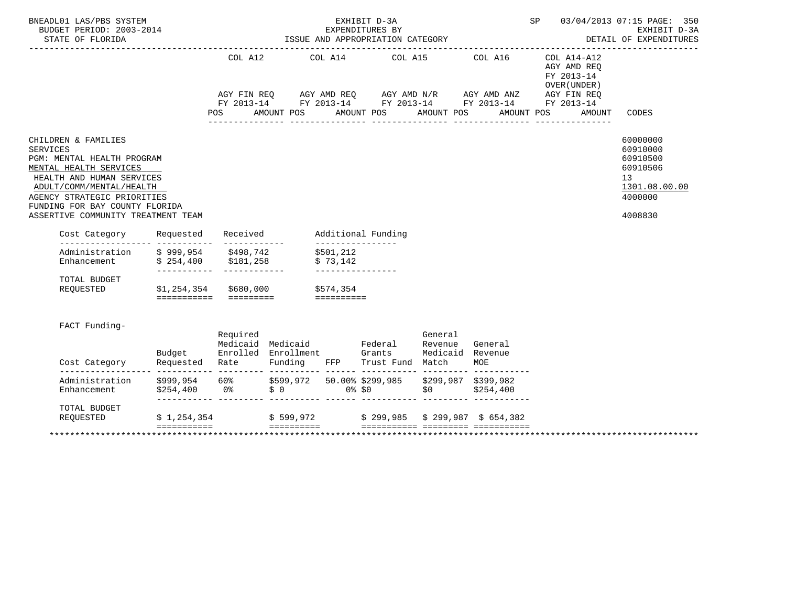| BNEADL01 LAS/PBS SYSTEM<br>BUDGET PERIOD: 2003-2014<br>STATE OF FLORIDA                                                                                                                                                                                        |                                                            |                                                         | EXHIBIT D-3A<br>EXPENDITURES BY<br>ISSUE AND APPROPRIATION CATEGORY                                                     |                                    | SP.                                                      | 03/04/2013 07:15 PAGE: 350<br>EXHIBIT D-3A<br>DETAIL OF EXPENDITURES                      |
|----------------------------------------------------------------------------------------------------------------------------------------------------------------------------------------------------------------------------------------------------------------|------------------------------------------------------------|---------------------------------------------------------|-------------------------------------------------------------------------------------------------------------------------|------------------------------------|----------------------------------------------------------|-------------------------------------------------------------------------------------------|
|                                                                                                                                                                                                                                                                | COL A12                                                    |                                                         | COL A14 COL A15 COL A16<br>AGY FIN REQ AGY AMD REQ AGY AMD N/R AGY AMD ANZ AGY FIN REQ FY 2013-14 FY 2013-14 FY 2013-14 |                                    | COL A14-A12<br>AGY AMD REQ<br>FY 2013-14<br>OVER (UNDER) |                                                                                           |
|                                                                                                                                                                                                                                                                | POS                                                        | AMOUNT POS                                              | AMOUNT POS                                                                                                              | AMOUNT POS<br>AMOUNT POS           | AMOUNT                                                   | CODES                                                                                     |
| CHILDREN & FAMILIES<br><b>SERVICES</b><br>PGM: MENTAL HEALTH PROGRAM<br>MENTAL HEALTH SERVICES<br>HEALTH AND HUMAN SERVICES<br>ADULT/COMM/MENTAL/HEALTH<br>AGENCY STRATEGIC PRIORITIES<br>FUNDING FOR BAY COUNTY FLORIDA<br>ASSERTIVE COMMUNITY TREATMENT TEAM |                                                            |                                                         |                                                                                                                         |                                    |                                                          | 60000000<br>60910000<br>60910500<br>60910506<br>13<br>1301.08.00.00<br>4000000<br>4008830 |
| Requested<br>Cost Category                                                                                                                                                                                                                                     | Received                                                   | Additional Funding<br>_________________                 |                                                                                                                         |                                    |                                                          |                                                                                           |
| Administration<br>\$999,954<br>Enhancement \$254,400 \$181,258                                                                                                                                                                                                 | \$498,742                                                  | \$501,212<br>\$73,142<br>________________               |                                                                                                                         |                                    |                                                          |                                                                                           |
| TOTAL BUDGET<br>REQUESTED                                                                                                                                                                                                                                      | \$1,254,354 \$680,000 \$574,354<br>======================= | essessesse                                              |                                                                                                                         |                                    |                                                          |                                                                                           |
| FACT Funding-<br>Budget<br>Cost Category                                                                                                                                                                                                                       | Required<br>Requested Rate                                 | Medicaid Medicaid Federal<br>Enrolled Enrollment Grants | General<br>Revenue                                                                                                      | General<br>Medicaid Revenue<br>MOE |                                                          |                                                                                           |
| Administration \$999,954 60% \$599,972 50.00%\$299,985 \$299,987 \$399,982<br>Enhancement \$254,400 0% \$0 0%\$0 \$0 \$254,400                                                                                                                                 |                                                            |                                                         | Funding FFP Trust Fund Match<br>$$254,400$ 0\ $$0$ 0\ $$0$ 0\ 0\ $$0$ 0\ $$0$ $$0$ $$254,400$                           |                                    |                                                          |                                                                                           |
| TOTAL BUDGET<br>REQUESTED $$ 1,254,354$ $$ 599,972$ $$ 299,985$ $$ 299,987$ $$ 654,382$<br>$=$<br><b>BEBEDDEDED</b>                                                                                                                                            |                                                            | <b>EEEEEEEEE</b>                                        |                                                                                                                         | ____ _________ __________          |                                                          |                                                                                           |
|                                                                                                                                                                                                                                                                |                                                            |                                                         |                                                                                                                         |                                    |                                                          |                                                                                           |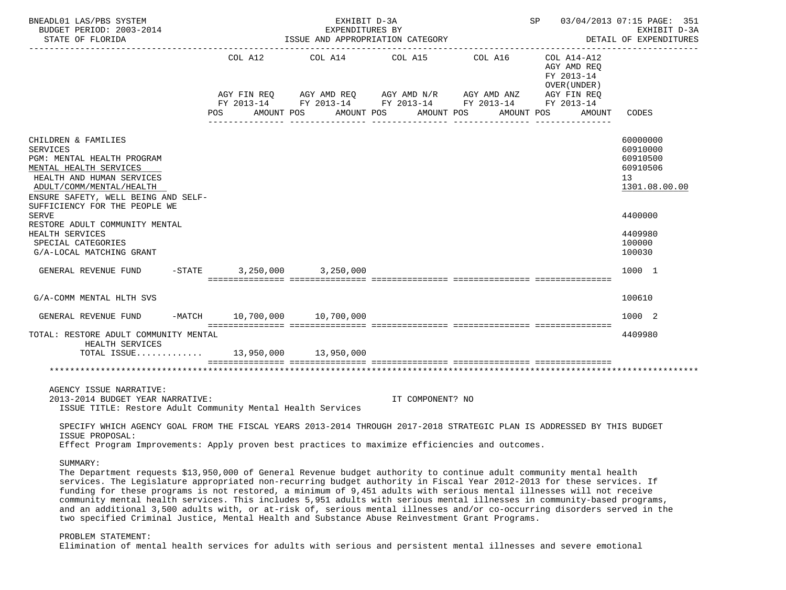| BNEADL01 LAS/PBS SYSTEM<br>BUDGET PERIOD: 2003-2014<br>STATE OF FLORIDA                                                                                                                                                                      |                                  | EXHIBIT D-3A<br>EXPENDITURES BY<br>ISSUE AND APPROPRIATION CATEGORY                                                                                    |                          | SP 03/04/2013 07:15 PAGE: 351<br>EXHIBIT D-3A<br>DETAIL OF EXPENDITURES |                                                                    |                                                                     |
|----------------------------------------------------------------------------------------------------------------------------------------------------------------------------------------------------------------------------------------------|----------------------------------|--------------------------------------------------------------------------------------------------------------------------------------------------------|--------------------------|-------------------------------------------------------------------------|--------------------------------------------------------------------|---------------------------------------------------------------------|
|                                                                                                                                                                                                                                              | COL A12<br>POS                   | COL A14 COL A15<br>AGY FIN REQ AGY AMD REQ AGY AMD N/R AGY AMD ANZ AGY FIN REQ<br>FY 2013-14 FY 2013-14 FY 2013-14 FY 2013-14 FY 2013-14<br>AMOUNT POS | AMOUNT POS<br>AMOUNT POS | COL A16<br>AMOUNT POS                                                   | COL A14-A12<br>AGY AMD REO<br>FY 2013-14<br>OVER (UNDER)<br>AMOUNT | CODES                                                               |
| CHILDREN & FAMILIES<br><b>SERVICES</b><br>PGM: MENTAL HEALTH PROGRAM<br>MENTAL HEALTH SERVICES<br>HEALTH AND HUMAN SERVICES<br>ADULT/COMM/MENTAL/HEALTH<br>ENSURE SAFETY, WELL BEING AND SELF-<br>SUFFICIENCY FOR THE PEOPLE WE              |                                  |                                                                                                                                                        |                          |                                                                         |                                                                    | 60000000<br>60910000<br>60910500<br>60910506<br>13<br>1301.08.00.00 |
| SERVE<br>RESTORE ADULT COMMUNITY MENTAL<br>HEALTH SERVICES<br>SPECIAL CATEGORIES<br>G/A-LOCAL MATCHING GRANT                                                                                                                                 |                                  |                                                                                                                                                        |                          |                                                                         |                                                                    | 4400000<br>4409980<br>100000<br>100030                              |
| GENERAL REVENUE FUND                                                                                                                                                                                                                         | $-STATE$ 3, 250, 000 3, 250, 000 | stationalisest sooraalisesta asteolooleesta asteolooleesta asteolooleesta                                                                              |                          |                                                                         |                                                                    | 1000 1                                                              |
| G/A-COMM MENTAL HLTH SVS                                                                                                                                                                                                                     |                                  |                                                                                                                                                        |                          |                                                                         |                                                                    | 100610                                                              |
| GENERAL REVENUE FUND                                                                                                                                                                                                                         | -MATCH 10.700.000 10.700.000     |                                                                                                                                                        |                          |                                                                         |                                                                    | 1000 2                                                              |
| TOTAL: RESTORE ADULT COMMUNITY MENTAL<br>HEALTH SERVICES<br>TOTAL ISSUE $13.950.000$ $13.950.000$                                                                                                                                            |                                  |                                                                                                                                                        |                          |                                                                         |                                                                    | 4409980                                                             |
|                                                                                                                                                                                                                                              |                                  |                                                                                                                                                        |                          |                                                                         |                                                                    |                                                                     |
| AGENCY ISSUE NARRATIVE:<br>2013-2014 BUDGET YEAR NARRATIVE:<br>ISSUE TITLE: Restore Adult Community Mental Health Services                                                                                                                   |                                  |                                                                                                                                                        | IT COMPONENT? NO         |                                                                         |                                                                    |                                                                     |
| SPECIFY WHICH AGENCY GOAL FROM THE FISCAL YEARS 2013-2014 THROUGH 2017-2018 STRATEGIC PLAN IS ADDRESSED BY THIS BUDGET<br>ISSUE PROPOSAL:<br>Effect Program Improvements: Apply proven best practices to maximize efficiencies and outcomes. |                                  |                                                                                                                                                        |                          |                                                                         |                                                                    |                                                                     |

SUMMARY:

 The Department requests \$13,950,000 of General Revenue budget authority to continue adult community mental health services. The Legislature appropriated non-recurring budget authority in Fiscal Year 2012-2013 for these services. If funding for these programs is not restored, a minimum of 9,451 adults with serious mental illnesses will not receive community mental health services. This includes 5,951 adults with serious mental illnesses in community-based programs, and an additional 3,500 adults with, or at-risk of, serious mental illnesses and/or co-occurring disorders served in the two specified Criminal Justice, Mental Health and Substance Abuse Reinvestment Grant Programs.

# PROBLEM STATEMENT:

Elimination of mental health services for adults with serious and persistent mental illnesses and severe emotional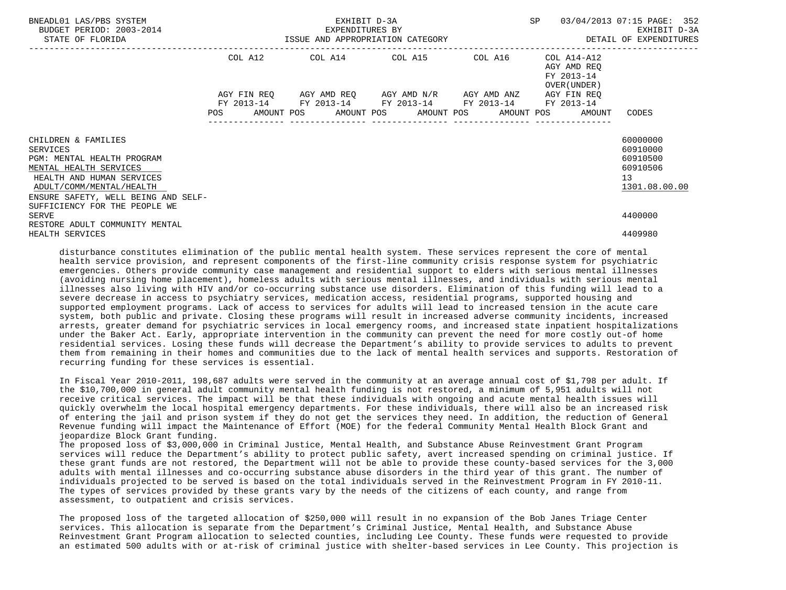| BNEADL01 LAS/PBS SYSTEM<br>BUDGET PERIOD: 2003-2014<br>STATE OF FLORIDA                                                                                                                 |                                                                                                                | EXHIBIT D-3A | SP                                                                                                        | 03/04/2013 07:15 PAGE: 352 |                                                                   |                                                                     |
|-----------------------------------------------------------------------------------------------------------------------------------------------------------------------------------------|----------------------------------------------------------------------------------------------------------------|--------------|-----------------------------------------------------------------------------------------------------------|----------------------------|-------------------------------------------------------------------|---------------------------------------------------------------------|
|                                                                                                                                                                                         |                                                                                                                |              | COL A12 COL A14 COL A15 COL A16                                                                           |                            | COL A14-A12<br>AGY AMD REO<br>FY 2013-14<br>OVER (UNDER )         |                                                                     |
|                                                                                                                                                                                         | POS FOR THE POST OF THE STATE STATE STATE STATE STATE STATE STATE STATE STATE STATE STATE STATE STATE STATE ST |              | AGY FIN REO AGY AMD REO AGY AMD N/R AGY AMD ANZ<br>FY 2013-14 FY 2013-14 FY 2013-14 FY 2013-14 FY 2013-14 |                            | AGY FIN REO<br>AMOUNT POS AMOUNT POS AMOUNT POS AMOUNT POS AMOUNT | CODES                                                               |
| CHILDREN & FAMILIES<br>SERVICES<br>PGM: MENTAL HEALTH PROGRAM<br>MENTAL HEALTH SERVICES<br>HEALTH AND HUMAN SERVICES<br>ADULT/COMM/MENTAL/HEALTH<br>ENSURE SAFETY, WELL BEING AND SELF- |                                                                                                                |              |                                                                                                           |                            |                                                                   | 60000000<br>60910000<br>60910500<br>60910506<br>13<br>1301.08.00.00 |
| SUFFICIENCY FOR THE PEOPLE WE<br>SERVE<br>RESTORE ADULT COMMUNITY MENTAL<br>HEALTH SERVICES                                                                                             |                                                                                                                |              |                                                                                                           |                            |                                                                   | 4400000<br>4409980                                                  |

 disturbance constitutes elimination of the public mental health system. These services represent the core of mental health service provision, and represent components of the first-line community crisis response system for psychiatric emergencies. Others provide community case management and residential support to elders with serious mental illnesses (avoiding nursing home placement), homeless adults with serious mental illnesses, and individuals with serious mental illnesses also living with HIV and/or co-occurring substance use disorders. Elimination of this funding will lead to a severe decrease in access to psychiatry services, medication access, residential programs, supported housing and supported employment programs. Lack of access to services for adults will lead to increased tension in the acute care system, both public and private. Closing these programs will result in increased adverse community incidents, increased arrests, greater demand for psychiatric services in local emergency rooms, and increased state inpatient hospitalizations under the Baker Act. Early, appropriate intervention in the community can prevent the need for more costly out-of home residential services. Losing these funds will decrease the Department's ability to provide services to adults to prevent them from remaining in their homes and communities due to the lack of mental health services and supports. Restoration of recurring funding for these services is essential.

 In Fiscal Year 2010-2011, 198,687 adults were served in the community at an average annual cost of \$1,798 per adult. If the \$10,700,000 in general adult community mental health funding is not restored, a minimum of 5,951 adults will not receive critical services. The impact will be that these individuals with ongoing and acute mental health issues will quickly overwhelm the local hospital emergency departments. For these individuals, there will also be an increased risk of entering the jail and prison system if they do not get the services they need. In addition, the reduction of General Revenue funding will impact the Maintenance of Effort (MOE) for the federal Community Mental Health Block Grant and jeopardize Block Grant funding.

 The proposed loss of \$3,000,000 in Criminal Justice, Mental Health, and Substance Abuse Reinvestment Grant Program services will reduce the Department's ability to protect public safety, avert increased spending on criminal justice. If these grant funds are not restored, the Department will not be able to provide these county-based services for the 3,000 adults with mental illnesses and co-occurring substance abuse disorders in the third year of this grant. The number of individuals projected to be served is based on the total individuals served in the Reinvestment Program in FY 2010-11. The types of services provided by these grants vary by the needs of the citizens of each county, and range from assessment, to outpatient and crisis services.

 The proposed loss of the targeted allocation of \$250,000 will result in no expansion of the Bob Janes Triage Center services. This allocation is separate from the Department's Criminal Justice, Mental Health, and Substance Abuse Reinvestment Grant Program allocation to selected counties, including Lee County. These funds were requested to provide an estimated 500 adults with or at-risk of criminal justice with shelter-based services in Lee County. This projection is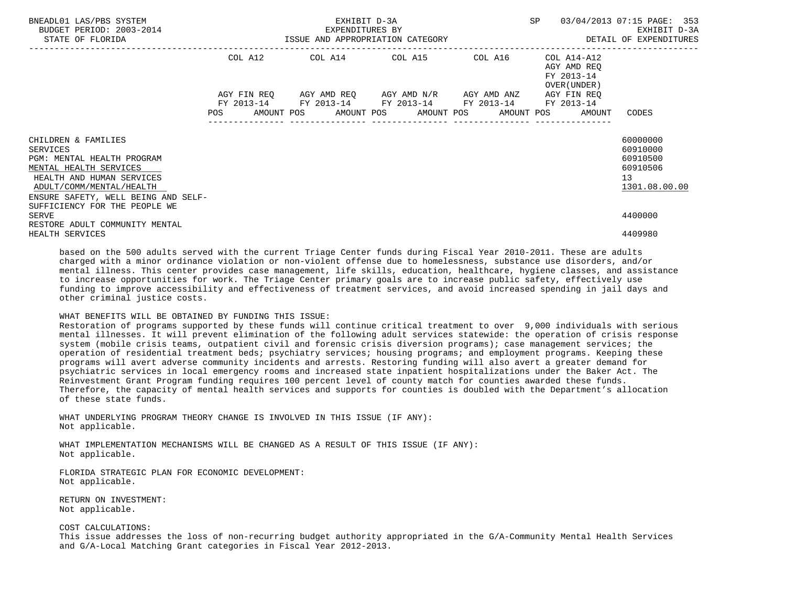| BNEADL01 LAS/PBS SYSTEM<br>BUDGET PERIOD: 2003-2014<br>STATE OF FLORIDA                                                                                                                 |            | EXHIBIT D-3A    | SP<br>${\small \tt BXPENDITURES \texttt{ BY} \normalsize \begin{tabular}{p{0.8cm}p{0.8cm}p{0.8cm}p{0.8cm}p{0.8cm}p{0.8cm}p{0.8cm}p{0.8cm}p{0.8cm}p{0.8cm}p{0.8cm}p{0.8cm}p{0.8cm}p{0.8cm}p{0.8cm}p{0.8cm}p{0.8cm}p{0.8cm}p{0.8cm}p{0.8cm}p{0.8cm}p{0.8cm}p{0.8cm}p{0.8cm}p{0.8cm}p{0.8cm}p{0.8cm}p{0.8cm$ | 03/04/2013 07:15 PAGE: 353 |                                                           |                                                                     |
|-----------------------------------------------------------------------------------------------------------------------------------------------------------------------------------------|------------|-----------------|-----------------------------------------------------------------------------------------------------------------------------------------------------------------------------------------------------------------------------------------------------------------------------------------------------------|----------------------------|-----------------------------------------------------------|---------------------------------------------------------------------|
|                                                                                                                                                                                         |            |                 | COL A12 COL A14 COL A15 COL A16                                                                                                                                                                                                                                                                           |                            | COL A14-A12<br>AGY AMD REO<br>FY 2013-14<br>OVER (UNDER ) |                                                                     |
|                                                                                                                                                                                         | <b>POS</b> | --------------- | AGY FIN REQ AGY AMD REQ AGY AMD N/R AGY AMD ANZ<br>FY 2013-14 FY 2013-14 FY 2013-14 FY 2013-14 FY 2013-14<br>AMOUNT POS AMOUNT POS AMOUNT POS AMOUNT POS                                                                                                                                                  |                            | AGY FIN REO<br>AMOUNT                                     | CODES                                                               |
| CHILDREN & FAMILIES<br>SERVICES<br>PGM: MENTAL HEALTH PROGRAM<br>MENTAL HEALTH SERVICES<br>HEALTH AND HUMAN SERVICES<br>ADULT/COMM/MENTAL/HEALTH<br>ENSURE SAFETY, WELL BEING AND SELF- |            |                 |                                                                                                                                                                                                                                                                                                           |                            |                                                           | 60000000<br>60910000<br>60910500<br>60910506<br>13<br>1301.08.00.00 |
| SUFFICIENCY FOR THE PEOPLE WE<br><b>SERVE</b><br>RESTORE ADULT COMMUNITY MENTAL<br>HEALTH SERVICES                                                                                      |            |                 |                                                                                                                                                                                                                                                                                                           |                            |                                                           | 4400000<br>4409980                                                  |

 based on the 500 adults served with the current Triage Center funds during Fiscal Year 2010-2011. These are adults charged with a minor ordinance violation or non-violent offense due to homelessness, substance use disorders, and/or mental illness. This center provides case management, life skills, education, healthcare, hygiene classes, and assistance to increase opportunities for work. The Triage Center primary goals are to increase public safety, effectively use funding to improve accessibility and effectiveness of treatment services, and avoid increased spending in jail days and other criminal justice costs.

## WHAT BENEFITS WILL BE OBTAINED BY FUNDING THIS ISSUE:

 Restoration of programs supported by these funds will continue critical treatment to over 9,000 individuals with serious mental illnesses. It will prevent elimination of the following adult services statewide: the operation of crisis response system (mobile crisis teams, outpatient civil and forensic crisis diversion programs); case management services; the operation of residential treatment beds; psychiatry services; housing programs; and employment programs. Keeping these programs will avert adverse community incidents and arrests. Restoring funding will also avert a greater demand for psychiatric services in local emergency rooms and increased state inpatient hospitalizations under the Baker Act. The Reinvestment Grant Program funding requires 100 percent level of county match for counties awarded these funds. Therefore, the capacity of mental health services and supports for counties is doubled with the Department's allocation of these state funds.

 WHAT UNDERLYING PROGRAM THEORY CHANGE IS INVOLVED IN THIS ISSUE (IF ANY): Not applicable.

 WHAT IMPLEMENTATION MECHANISMS WILL BE CHANGED AS A RESULT OF THIS ISSUE (IF ANY): Not applicable.

 FLORIDA STRATEGIC PLAN FOR ECONOMIC DEVELOPMENT: Not applicable.

 RETURN ON INVESTMENT: Not applicable.

# COST CALCULATIONS:

 This issue addresses the loss of non-recurring budget authority appropriated in the G/A-Community Mental Health Services and G/A-Local Matching Grant categories in Fiscal Year 2012-2013.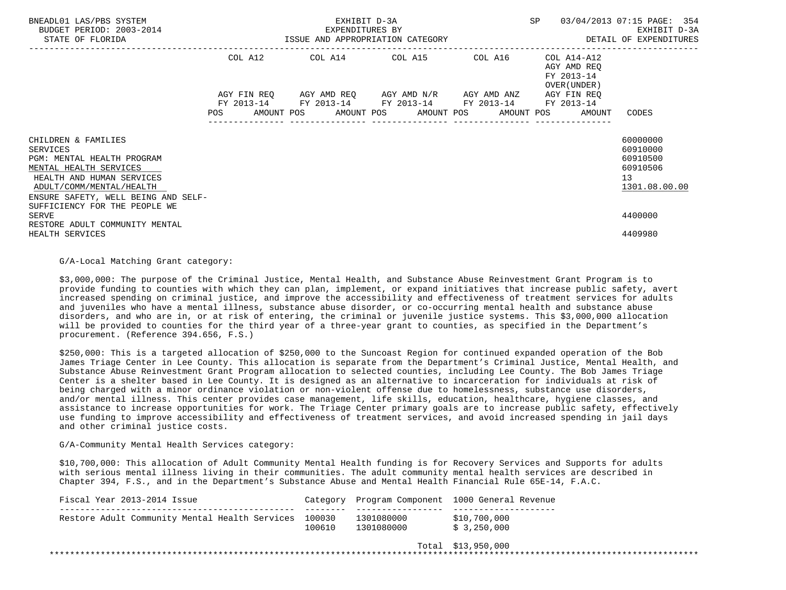| BNEADL01 LAS/PBS SYSTEM<br>BUDGET PERIOD: 2003-2014<br>STATE OF FLORIDA                                                                                                                        | EXHIBIT D-3A<br>EXPENDITURES BY<br>ISSUE AND APPROPRIATION CATEGORY |  |  |                         |  |                                                                                                             | SP |  | 03/04/2013 07:15 PAGE: 354<br>EXHIBIT D-3A<br>DETAIL OF EXPENDITURES |                                                                   |                                                                     |
|------------------------------------------------------------------------------------------------------------------------------------------------------------------------------------------------|---------------------------------------------------------------------|--|--|-------------------------|--|-------------------------------------------------------------------------------------------------------------|----|--|----------------------------------------------------------------------|-------------------------------------------------------------------|---------------------------------------------------------------------|
|                                                                                                                                                                                                | COL A12                                                             |  |  | COL A14 COL A15 COL A16 |  |                                                                                                             |    |  | COL A14-A12<br>AGY AMD REQ<br>FY 2013-14<br>OVER (UNDER )            |                                                                   |                                                                     |
|                                                                                                                                                                                                |                                                                     |  |  |                         |  | AGY FIN REQ AGY AMD REQ AGY AMD $N/R$ AGY AMD ANZ<br>FY 2013-14 FY 2013-14 FY 2013-14 FY 2013-14 FY 2013-14 |    |  |                                                                      | AGY FIN REQ<br>AMOUNT POS AMOUNT POS AMOUNT POS AMOUNT POS AMOUNT | CODES                                                               |
| CHILDREN & FAMILIES<br><b>SERVICES</b><br>PGM: MENTAL HEALTH PROGRAM<br>MENTAL HEALTH SERVICES<br>HEALTH AND HUMAN SERVICES<br>ADULT/COMM/MENTAL/HEALTH<br>ENSURE SAFETY, WELL BEING AND SELF- |                                                                     |  |  |                         |  |                                                                                                             |    |  |                                                                      |                                                                   | 60000000<br>60910000<br>60910500<br>60910506<br>13<br>1301.08.00.00 |
| SUFFICIENCY FOR THE PEOPLE WE<br><b>SERVE</b><br>RESTORE ADULT COMMUNITY MENTAL<br>HEALTH SERVICES                                                                                             |                                                                     |  |  |                         |  |                                                                                                             |    |  |                                                                      |                                                                   | 4400000<br>4409980                                                  |

G/A-Local Matching Grant category:

 \$3,000,000: The purpose of the Criminal Justice, Mental Health, and Substance Abuse Reinvestment Grant Program is to provide funding to counties with which they can plan, implement, or expand initiatives that increase public safety, avert increased spending on criminal justice, and improve the accessibility and effectiveness of treatment services for adults and juveniles who have a mental illness, substance abuse disorder, or co-occurring mental health and substance abuse disorders, and who are in, or at risk of entering, the criminal or juvenile justice systems. This \$3,000,000 allocation will be provided to counties for the third year of a three-year grant to counties, as specified in the Department's procurement. (Reference 394.656, F.S.)

 \$250,000: This is a targeted allocation of \$250,000 to the Suncoast Region for continued expanded operation of the Bob James Triage Center in Lee County. This allocation is separate from the Department's Criminal Justice, Mental Health, and Substance Abuse Reinvestment Grant Program allocation to selected counties, including Lee County. The Bob James Triage Center is a shelter based in Lee County. It is designed as an alternative to incarceration for individuals at risk of being charged with a minor ordinance violation or non-violent offense due to homelessness, substance use disorders, and/or mental illness. This center provides case management, life skills, education, healthcare, hygiene classes, and assistance to increase opportunities for work. The Triage Center primary goals are to increase public safety, effectively use funding to improve accessibility and effectiveness of treatment services, and avoid increased spending in jail days and other criminal justice costs.

G/A-Community Mental Health Services category:

 \$10,700,000: This allocation of Adult Community Mental Health funding is for Recovery Services and Supports for adults with serious mental illness living in their communities. The adult community mental health services are described in Chapter 394, F.S., and in the Department's Substance Abuse and Mental Health Financial Rule 65E-14, F.A.C.

| Fiscal Year 2013-2014 Issue                           |        |                          | Category Program Component 1000 General Revenue |
|-------------------------------------------------------|--------|--------------------------|-------------------------------------------------|
| Restore Adult Community Mental Health Services 100030 | 100610 | 1301080000<br>1301080000 | \$10,700,000<br>\$3,250,000                     |

Total \$13,950,000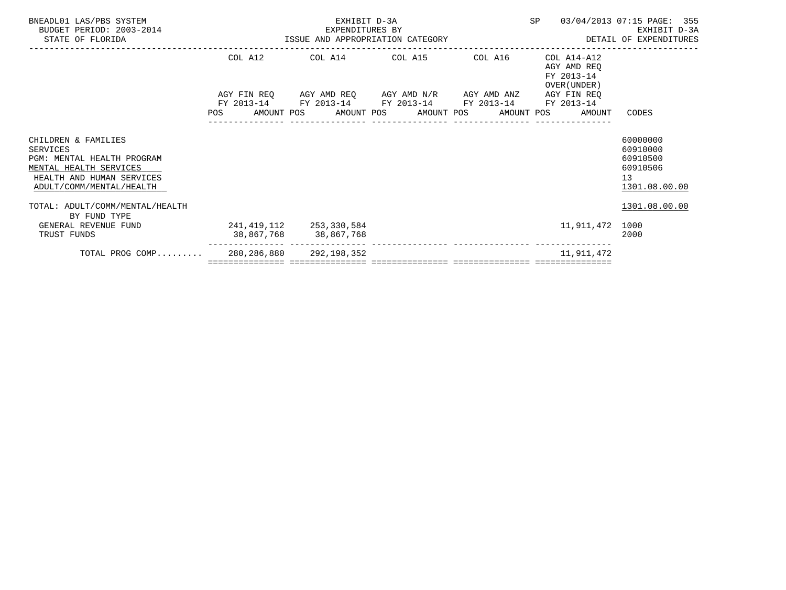| BNEADL01 LAS/PBS SYSTEM<br>BUDGET PERIOD: 2003-2014<br>STATE OF FLORIDA                                                                          | EXHIBIT D-3A<br>-2014 EXPENDITURES BY<br>ISSUE AND APPROPRIATION CATEGORY |            |  |                                                                                                                          |  |  | SP |  | 03/04/2013 07:15 PAGE: 355<br>EXHIBIT D-3A<br>DETAIL OF EXPENDITURES |                                                                     |
|--------------------------------------------------------------------------------------------------------------------------------------------------|---------------------------------------------------------------------------|------------|--|--------------------------------------------------------------------------------------------------------------------------|--|--|----|--|----------------------------------------------------------------------|---------------------------------------------------------------------|
|                                                                                                                                                  |                                                                           |            |  | COL A12 COL A14 COL A15 COL A16                                                                                          |  |  |    |  | COL A14-A12<br>AGY AMD REO<br>FY 2013-14<br>OVER (UNDER)             |                                                                     |
|                                                                                                                                                  |                                                                           |            |  | AGY FIN REQ AGY AMD REQ AGY AMD N/R AGY AMD ANZ AGY FIN REQ                                                              |  |  |    |  |                                                                      |                                                                     |
|                                                                                                                                                  |                                                                           | FY 2013-14 |  | FY 2013-14 FY 2013-14 FY 2013-14 FY 2013-14<br>POS AMOUNT POS AMOUNT POS AMOUNT POS AMOUNT POS AMOUNT<br>--------------- |  |  |    |  |                                                                      | CODES                                                               |
| CHILDREN & FAMILIES<br>SERVICES<br>PGM: MENTAL HEALTH PROGRAM<br>MENTAL HEALTH SERVICES<br>HEALTH AND HUMAN SERVICES<br>ADULT/COMM/MENTAL/HEALTH |                                                                           |            |  |                                                                                                                          |  |  |    |  |                                                                      | 60000000<br>60910000<br>60910500<br>60910506<br>13<br>1301.08.00.00 |
| TOTAL: ADULT/COMM/MENTAL/HEALTH<br>BY FUND TYPE                                                                                                  |                                                                           |            |  |                                                                                                                          |  |  |    |  |                                                                      | 1301.08.00.00                                                       |
| GENERAL REVENUE FUND<br>TRUST FUNDS                                                                                                              |                                                                           |            |  | 241,419,112 253,330,584<br>38,867,768 38,867,768<br>.cccccccc cocooccooccccc cocooccoocccc cocooccoocccc cocooccooccc    |  |  |    |  | 11,911,472                                                           | 1000<br>2000                                                        |
| TOTAL PROG COMP 280,286,880 292,198,352                                                                                                          |                                                                           |            |  |                                                                                                                          |  |  |    |  | 11,911,472                                                           |                                                                     |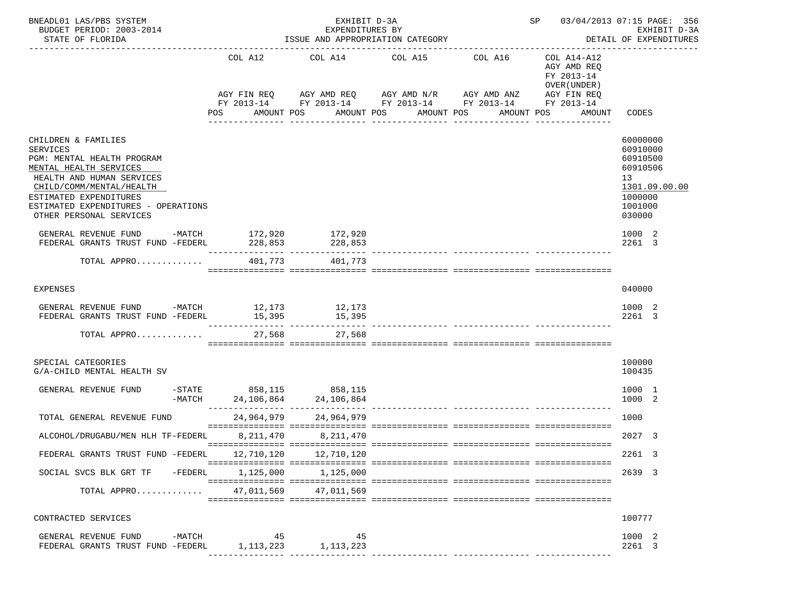| BNEADL01 LAS/PBS SYSTEM<br>BUDGET PERIOD: 2003-2014<br>STATE OF FLORIDA                                              |         |                        | EXHIBIT D-3A<br>EXPENDITURES BY<br>ISSUE AND APPROPRIATION CATEGORY | SP                                  | 03/04/2013 07:15 PAGE: 356<br>EXHIBIT D-3A<br>DETAIL OF EXPENDITURES |                                                                                       |                                               |
|----------------------------------------------------------------------------------------------------------------------|---------|------------------------|---------------------------------------------------------------------|-------------------------------------|----------------------------------------------------------------------|---------------------------------------------------------------------------------------|-----------------------------------------------|
|                                                                                                                      |         | COL A12<br>AGY FIN REQ | COL A14 COL A15                                                     | AGY AMD REQ AGY AMD N/R AGY AMD ANZ | COL A16<br>FY 2013-14 FY 2013-14 FY 2013-14 FY 2013-14               | COL A14-A12<br>AGY AMD REQ<br>FY 2013-14<br>OVER (UNDER)<br>AGY FIN REQ<br>FY 2013-14 |                                               |
|                                                                                                                      |         | POS                    | AMOUNT POS                                                          | AMOUNT POS<br>_________________     | AMOUNT POS<br>AMOUNT POS<br>________________                         | AMOUNT                                                                                | CODES                                         |
| CHILDREN & FAMILIES<br><b>SERVICES</b>                                                                               |         |                        |                                                                     |                                     |                                                                      |                                                                                       | 60000000<br>60910000                          |
| PGM: MENTAL HEALTH PROGRAM<br>MENTAL HEALTH SERVICES<br>HEALTH AND HUMAN SERVICES                                    |         |                        |                                                                     |                                     |                                                                      |                                                                                       | 60910500<br>60910506<br>13                    |
| CHILD/COMM/MENTAL/HEALTH<br>ESTIMATED EXPENDITURES<br>ESTIMATED EXPENDITURES - OPERATIONS<br>OTHER PERSONAL SERVICES |         |                        |                                                                     |                                     |                                                                      |                                                                                       | 1301.09.00.00<br>1000000<br>1001000<br>030000 |
| GENERAL REVENUE FUND -MATCH $172,920$ $172,920$<br>FEDERAL GRANTS TRUST FUND -FEDERL                                 |         | 228,853                | 228,853                                                             |                                     |                                                                      |                                                                                       | 1000 2<br>2261 3                              |
| TOTAL APPRO                                                                                                          |         | 401,773                | 401,773                                                             |                                     |                                                                      |                                                                                       |                                               |
| <b>EXPENSES</b>                                                                                                      |         |                        |                                                                     |                                     |                                                                      |                                                                                       | 040000                                        |
| GENERAL REVENUE FUND $-MATCH$ 12,173 12,173<br>FEDERAL GRANTS TRUST FUND -FEDERL                                     |         | 15,395                 | 15,395                                                              |                                     |                                                                      |                                                                                       | 1000 2<br>2261 3                              |
| TOTAL APPRO                                                                                                          |         | 27,568                 | 27,568                                                              |                                     |                                                                      |                                                                                       |                                               |
| SPECIAL CATEGORIES<br>G/A-CHILD MENTAL HEALTH SV                                                                     |         |                        |                                                                     |                                     |                                                                      |                                                                                       | 100000<br>100435                              |
| GENERAL REVENUE FUND                                                                                                 | -MATCH  |                        | -STATE 858,115 858,115                                              |                                     |                                                                      |                                                                                       | 1000 1<br>1000 2                              |
| TOTAL GENERAL REVENUE FUND                                                                                           |         | 24,964,979             | 24,964,979                                                          |                                     |                                                                      |                                                                                       | 1000                                          |
| ALCOHOL/DRUGABU/MEN HLH TF-FEDERL                                                                                    |         | 8,211,470              | 8,211,470                                                           |                                     |                                                                      |                                                                                       | 2027 3                                        |
| FEDERAL GRANTS TRUST FUND -FEDERL                                                                                    |         |                        | 12,710,120 12,710,120                                               |                                     |                                                                      |                                                                                       | 2261 3                                        |
| SOCIAL SVCS BLK GRT TF                                                                                               | -FEDERL | 1,125,000              | 1,125,000                                                           |                                     |                                                                      |                                                                                       | 2639 3                                        |
| TOTAL APPRO                                                                                                          |         |                        | 47,011,569 47,011,569                                               |                                     |                                                                      |                                                                                       |                                               |
| CONTRACTED SERVICES                                                                                                  |         |                        |                                                                     |                                     |                                                                      |                                                                                       | 100777                                        |
| GENERAL REVENUE FUND<br>FEDERAL GRANTS TRUST FUND -FEDERL                                                            | -MATCH  | 45<br>1,113,223        | 45<br>1,113,223                                                     |                                     |                                                                      |                                                                                       | 1000 2<br>2261 3                              |
|                                                                                                                      |         |                        |                                                                     |                                     |                                                                      |                                                                                       |                                               |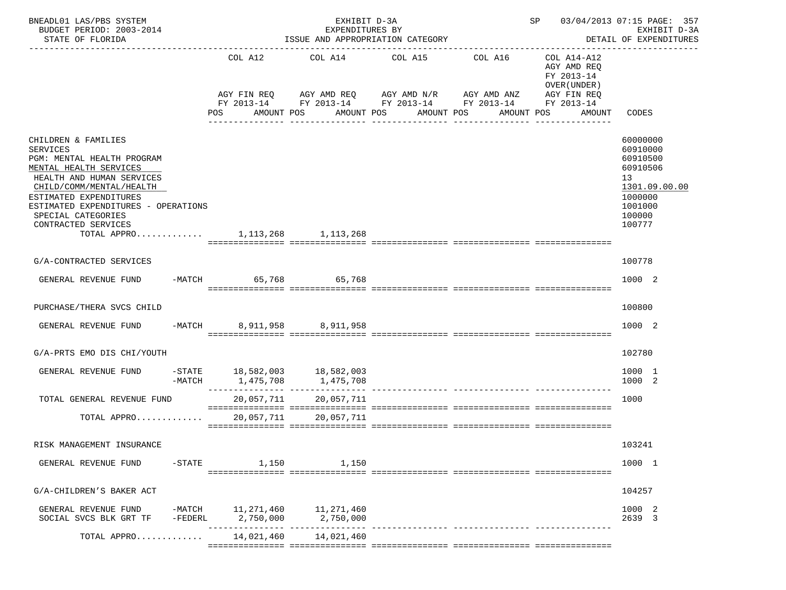| BNEADL01 LAS/PBS SYSTEM<br>BUDGET PERIOD: 2003-2014<br>STATE OF FLORIDA                                                                                                                                                                                               | EXHIBIT D-3A<br>EXPENDITURES BY<br>ISSUE AND APPROPRIATION CATEGORY |     |                         |                                                        |  |                                          | SP 03/04/2013 07:15 PAGE: 357<br>DETAIL OF EXPENDITURES |                                                                                                                                  |  | EXHIBIT D-3A |                                                          |                                                                                                               |
|-----------------------------------------------------------------------------------------------------------------------------------------------------------------------------------------------------------------------------------------------------------------------|---------------------------------------------------------------------|-----|-------------------------|--------------------------------------------------------|--|------------------------------------------|---------------------------------------------------------|----------------------------------------------------------------------------------------------------------------------------------|--|--------------|----------------------------------------------------------|---------------------------------------------------------------------------------------------------------------|
|                                                                                                                                                                                                                                                                       |                                                                     |     | COL A12                 |                                                        |  | COL A14 COL A15                          |                                                         | COL A16<br>AGY FIN REQ AGY AMD REQ AGY AMD N/R AGY AMD ANZ AGY FIN REQ<br>FY 2013-14 FY 2013-14 FY 2013-14 FY 2013-14 FY 2013-14 |  |              | COL A14-A12<br>AGY AMD REQ<br>FY 2013-14<br>OVER (UNDER) |                                                                                                               |
|                                                                                                                                                                                                                                                                       |                                                                     | POS |                         | AMOUNT POS                                             |  | AMOUNT POS AMOUNT POS<br>--------------- |                                                         | AMOUNT POS                                                                                                                       |  |              | AMOUNT                                                   | CODES                                                                                                         |
| CHILDREN & FAMILIES<br><b>SERVICES</b><br>PGM: MENTAL HEALTH PROGRAM<br>MENTAL HEALTH SERVICES<br>HEALTH AND HUMAN SERVICES<br>CHILD/COMM/MENTAL/HEALTH<br>ESTIMATED EXPENDITURES<br>ESTIMATED EXPENDITURES - OPERATIONS<br>SPECIAL CATEGORIES<br>CONTRACTED SERVICES |                                                                     |     |                         |                                                        |  |                                          |                                                         |                                                                                                                                  |  |              |                                                          | 60000000<br>60910000<br>60910500<br>60910506<br>13<br>1301.09.00.00<br>1000000<br>1001000<br>100000<br>100777 |
| TOTAL APPRO 1,113,268 1,113,268                                                                                                                                                                                                                                       |                                                                     |     |                         |                                                        |  |                                          |                                                         |                                                                                                                                  |  |              |                                                          |                                                                                                               |
| G/A-CONTRACTED SERVICES                                                                                                                                                                                                                                               |                                                                     |     |                         |                                                        |  |                                          |                                                         |                                                                                                                                  |  |              |                                                          | 100778                                                                                                        |
| GENERAL REVENUE FUND -MATCH 65,768 65,768                                                                                                                                                                                                                             |                                                                     |     |                         |                                                        |  |                                          |                                                         |                                                                                                                                  |  |              |                                                          | 1000 2                                                                                                        |
| PURCHASE/THERA SVCS CHILD                                                                                                                                                                                                                                             |                                                                     |     |                         |                                                        |  |                                          |                                                         |                                                                                                                                  |  |              |                                                          | 100800                                                                                                        |
| GENERAL REVENUE FUND                                                                                                                                                                                                                                                  |                                                                     |     |                         | -MATCH 8,911,958 8,911,958                             |  |                                          |                                                         |                                                                                                                                  |  |              |                                                          | 1000 2                                                                                                        |
| G/A-PRTS EMO DIS CHI/YOUTH                                                                                                                                                                                                                                            |                                                                     |     |                         |                                                        |  |                                          |                                                         |                                                                                                                                  |  |              |                                                          | 102780                                                                                                        |
| GENERAL REVENUE FUND                                                                                                                                                                                                                                                  | $-MATCH$                                                            |     |                         | $-$ STATE 18,582,003 18,582,003<br>1,475,708 1,475,708 |  |                                          |                                                         |                                                                                                                                  |  |              |                                                          | 1000 1<br>1000 2                                                                                              |
| TOTAL GENERAL REVENUE FUND                                                                                                                                                                                                                                            |                                                                     |     |                         | 20,057,711 20,057,711                                  |  |                                          |                                                         |                                                                                                                                  |  |              |                                                          | 1000                                                                                                          |
| TOTAL APPRO $\dots\dots\dots\dots$ 20,057,711                                                                                                                                                                                                                         |                                                                     |     |                         | 20,057,711                                             |  |                                          |                                                         |                                                                                                                                  |  |              |                                                          |                                                                                                               |
| RISK MANAGEMENT INSURANCE                                                                                                                                                                                                                                             |                                                                     |     |                         |                                                        |  |                                          |                                                         |                                                                                                                                  |  |              |                                                          | 103241                                                                                                        |
| GENERAL REVENUE FUND                                                                                                                                                                                                                                                  | $-$ STATE                                                           |     | 1,150                   | 1,150                                                  |  |                                          |                                                         |                                                                                                                                  |  |              |                                                          | 1000 1                                                                                                        |
| G/A-CHILDREN'S BAKER ACT                                                                                                                                                                                                                                              |                                                                     |     |                         |                                                        |  |                                          |                                                         |                                                                                                                                  |  |              |                                                          | 104257                                                                                                        |
| GENERAL REVENUE FUND<br>SOCIAL SVCS BLK GRT TF                                                                                                                                                                                                                        | $-MATCH$<br>$-FEDERL$                                               |     | 11,271,460<br>2,750,000 | 11,271,460<br>2,750,000                                |  |                                          |                                                         |                                                                                                                                  |  |              |                                                          | 1000 2<br>2639 3                                                                                              |
| TOTAL APPRO                                                                                                                                                                                                                                                           |                                                                     |     | 14,021,460              | 14,021,460                                             |  |                                          |                                                         |                                                                                                                                  |  |              |                                                          |                                                                                                               |
|                                                                                                                                                                                                                                                                       |                                                                     |     |                         |                                                        |  |                                          |                                                         |                                                                                                                                  |  |              |                                                          |                                                                                                               |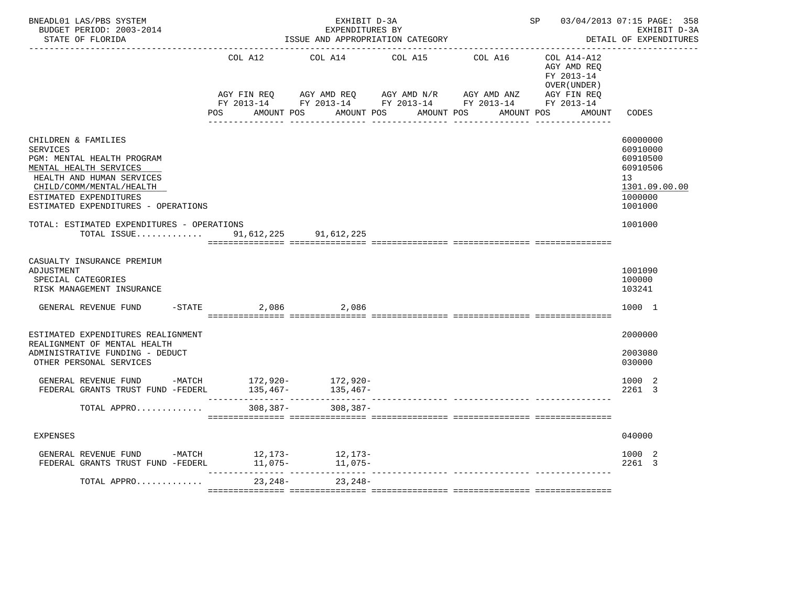| BNEADL01 LAS/PBS SYSTEM<br>BUDGET PERIOD: 2003-2014<br>STATE OF FLORIDA                                                                                                                                                  |                   | EXHIBIT D-3A<br>EXPENDITURES BY<br>ISSUE AND APPROPRIATION CATEGORY                          |                                                         | SP 03/04/2013 07:15 PAGE: 358<br>EXHIBIT D-3A<br>DETAIL OF EXPENDITURES |                                                           |                                                                                                        |
|--------------------------------------------------------------------------------------------------------------------------------------------------------------------------------------------------------------------------|-------------------|----------------------------------------------------------------------------------------------|---------------------------------------------------------|-------------------------------------------------------------------------|-----------------------------------------------------------|--------------------------------------------------------------------------------------------------------|
|                                                                                                                                                                                                                          | COL A12           | COL A14                                                                                      | COL A15                                                 | COL A16                                                                 | COL A14-A12<br>AGY AMD REQ<br>FY 2013-14<br>OVER (UNDER ) |                                                                                                        |
|                                                                                                                                                                                                                          | POS<br>AMOUNT POS | AGY FIN REQ AGY AMD REQ AGY AMD N/R AGY AMD ANZ AGY FIN REQ FY 2013-14 FY 2013-14 FY 2013-14 | AMOUNT POS<br>AMOUNT POS<br><u> La La La La La La L</u> | AMOUNT POS                                                              | AMOUNT                                                    | CODES                                                                                                  |
| CHILDREN & FAMILIES<br><b>SERVICES</b><br>PGM: MENTAL HEALTH PROGRAM<br>MENTAL HEALTH SERVICES<br>HEALTH AND HUMAN SERVICES<br>CHILD/COMM/MENTAL/HEALTH<br>ESTIMATED EXPENDITURES<br>ESTIMATED EXPENDITURES - OPERATIONS |                   |                                                                                              |                                                         |                                                                         |                                                           | 60000000<br>60910000<br>60910500<br>60910506<br>13 <sup>7</sup><br>1301.09.00.00<br>1000000<br>1001000 |
| TOTAL: ESTIMATED EXPENDITURES - OPERATIONS<br>TOTAL ISSUE                                                                                                                                                                |                   | 91,612,225 91,612,225                                                                        |                                                         |                                                                         |                                                           | 1001000                                                                                                |
| CASUALTY INSURANCE PREMIUM<br>ADJUSTMENT<br>SPECIAL CATEGORIES<br>RISK MANAGEMENT INSURANCE<br>GENERAL REVENUE FUND                                                                                                      | $-STATE$<br>2,086 | 2,086                                                                                        |                                                         |                                                                         |                                                           | 1001090<br>100000<br>103241<br>1000 1                                                                  |
| ESTIMATED EXPENDITURES REALIGNMENT<br>REALIGNMENT OF MENTAL HEALTH<br>ADMINISTRATIVE FUNDING - DEDUCT<br>OTHER PERSONAL SERVICES                                                                                         |                   |                                                                                              |                                                         |                                                                         |                                                           | 2000000<br>2003080<br>030000                                                                           |
| GENERAL REVENUE FUND -MATCH $172,920$ - $172,920$ -<br>FEDERAL GRANTS TRUST FUND -FEDERL                                                                                                                                 | $135,467-$        | 135,467-                                                                                     |                                                         |                                                                         |                                                           | 1000 2<br>2261 3                                                                                       |
| TOTAL APPRO                                                                                                                                                                                                              | $308, 387 -$      | $308, 387 -$                                                                                 |                                                         |                                                                         |                                                           |                                                                                                        |
| <b>EXPENSES</b>                                                                                                                                                                                                          |                   |                                                                                              |                                                         |                                                                         |                                                           | 040000                                                                                                 |
| GENERAL REVENUE FUND -MATCH<br>FEDERAL GRANTS TRUST FUND -FEDERL                                                                                                                                                         | $11,075-$         | 12,173- 12,173-<br>11,075-                                                                   |                                                         |                                                                         |                                                           | 1000 2<br>2261 3                                                                                       |
| TOTAL APPRO                                                                                                                                                                                                              | 23,248-           | 23,248-                                                                                      |                                                         |                                                                         |                                                           |                                                                                                        |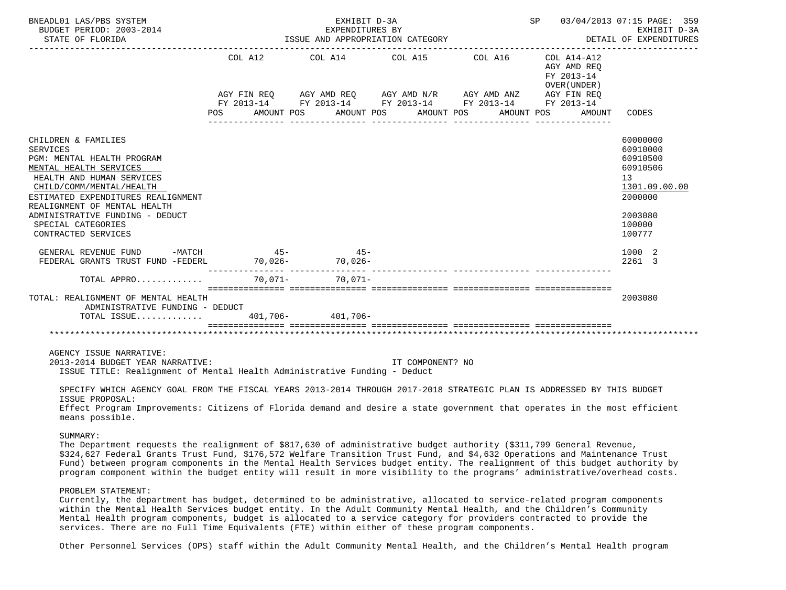| BNEADL01 LAS/PBS SYSTEM<br>BUDGET PERIOD: 2003-2014<br>STATE OF FLORIDA                                                                                                                                                                                                                                                                                                                                                                                                                                                                                                                                                                                                                                                                                                                                                             | EXHIBIT D-3A<br>EXPENDITURES BY |                                                                                                                                                                                                                          | SP 03/04/2013 07:15 PAGE: 359<br>EXHIBIT D-3A             |                                                                                                               |
|-------------------------------------------------------------------------------------------------------------------------------------------------------------------------------------------------------------------------------------------------------------------------------------------------------------------------------------------------------------------------------------------------------------------------------------------------------------------------------------------------------------------------------------------------------------------------------------------------------------------------------------------------------------------------------------------------------------------------------------------------------------------------------------------------------------------------------------|---------------------------------|--------------------------------------------------------------------------------------------------------------------------------------------------------------------------------------------------------------------------|-----------------------------------------------------------|---------------------------------------------------------------------------------------------------------------|
|                                                                                                                                                                                                                                                                                                                                                                                                                                                                                                                                                                                                                                                                                                                                                                                                                                     |                                 | COL A12 COL A14 COL A15 COL A16<br>AGY FIN REQ AGY AMD REQ AGY AMD N/R AGY AMD ANZ AGY FIN REQ<br>FY 2013-14 FY 2013-14 FY 2013-14 FY 2013-14 FY 2013-14<br>POS AMOUNT POS AMOUNT POS AMOUNT POS AMOUNT POS AMOUNT CODES | COL A14-A12<br>AGY AMD REQ<br>FY 2013-14<br>OVER (UNDER ) |                                                                                                               |
| CHILDREN & FAMILIES<br><b>SERVICES</b><br>PGM: MENTAL HEALTH PROGRAM<br>MENTAL HEALTH SERVICES<br>HEALTH AND HUMAN SERVICES<br>CHILD/COMM/MENTAL/HEALTH<br>ESTIMATED EXPENDITURES REALIGNMENT<br>REALIGNMENT OF MENTAL HEALTH<br>ADMINISTRATIVE FUNDING - DEDUCT<br>SPECIAL CATEGORIES<br>CONTRACTED SERVICES                                                                                                                                                                                                                                                                                                                                                                                                                                                                                                                       |                                 |                                                                                                                                                                                                                          |                                                           | 60000000<br>60910000<br>60910500<br>60910506<br>13<br>1301.09.00.00<br>2000000<br>2003080<br>100000<br>100777 |
| GENERAL REVENUE FUND -MATCH 45- 45-                                                                                                                                                                                                                                                                                                                                                                                                                                                                                                                                                                                                                                                                                                                                                                                                 |                                 |                                                                                                                                                                                                                          |                                                           | 1000 2<br>2261 3                                                                                              |
| TOTAL APPRO 70,071- 70,071-                                                                                                                                                                                                                                                                                                                                                                                                                                                                                                                                                                                                                                                                                                                                                                                                         |                                 |                                                                                                                                                                                                                          |                                                           |                                                                                                               |
| TOTAL: REALIGNMENT OF MENTAL HEALTH<br>ADMINISTRATIVE FUNDING - DEDUCT<br>TOTAL ISSUE 401,706-401,706-401,706-                                                                                                                                                                                                                                                                                                                                                                                                                                                                                                                                                                                                                                                                                                                      |                                 |                                                                                                                                                                                                                          |                                                           | 2003080                                                                                                       |
| AGENCY ISSUE NARRATIVE:<br>2013-2014 BUDGET YEAR NARRATIVE:<br>ISSUE TITLE: Realignment of Mental Health Administrative Funding - Deduct<br>SPECIFY WHICH AGENCY GOAL FROM THE FISCAL YEARS 2013-2014 THROUGH 2017-2018 STRATEGIC PLAN IS ADDRESSED BY THIS BUDGET<br>ISSUE PROPOSAL:<br>Effect Program Improvements: Citizens of Florida demand and desire a state government that operates in the most efficient<br>means possible.<br>SUMMARY:<br>The Department requests the realignment of \$817,630 of administrative budget authority (\$311,799 General Revenue,<br>\$324,627 Federal Grants Trust Fund, \$176,572 Welfare Transition Trust Fund, and \$4,632 Operations and Maintenance Trust<br>Fund) between program components in the Mental Health Services budget entity. The realignment of this budget authority by |                                 | accordination consecutives consecutives consecutives consecutives<br>IT COMPONENT? NO                                                                                                                                    |                                                           |                                                                                                               |

## PROBLEM STATEMENT:

 Currently, the department has budget, determined to be administrative, allocated to service-related program components within the Mental Health Services budget entity. In the Adult Community Mental Health, and the Children's Community Mental Health program components, budget is allocated to a service category for providers contracted to provide the services. There are no Full Time Equivalents (FTE) within either of these program components.

Other Personnel Services (OPS) staff within the Adult Community Mental Health, and the Children's Mental Health program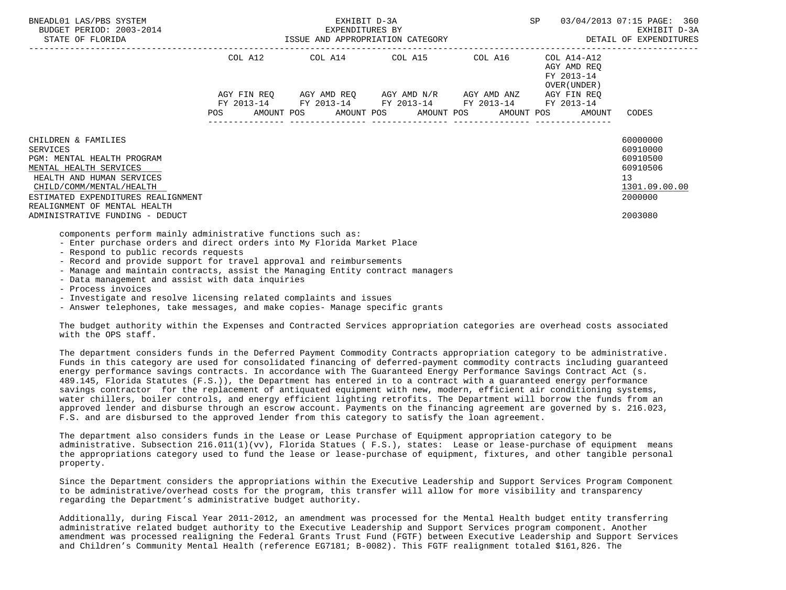| BNEADL01 LAS/PBS SYSTEM<br>BUDGET PERIOD: 2003-2014<br>STATE OF FLORIDA                                                                                                                                                       | EXHIBIT D-3A<br>EXPENDITURES BY<br>ISSUE AND APPROPRIATION CATEGORY <b>And SET ALL SETT AND APPROPRIATION</b> CATEGORY |         |  |                                                                                                                                                           |  |  |  |  |  |                                                           | 03/04/2013 07:15 PAGE: 360<br>EXHIBIT D-3A                                     |  |
|-------------------------------------------------------------------------------------------------------------------------------------------------------------------------------------------------------------------------------|------------------------------------------------------------------------------------------------------------------------|---------|--|-----------------------------------------------------------------------------------------------------------------------------------------------------------|--|--|--|--|--|-----------------------------------------------------------|--------------------------------------------------------------------------------|--|
|                                                                                                                                                                                                                               |                                                                                                                        | COL A12 |  | COL A14 COL A15 COL A16                                                                                                                                   |  |  |  |  |  | COL A14-A12<br>AGY AMD REO<br>FY 2013-14<br>OVER (UNDER ) |                                                                                |  |
|                                                                                                                                                                                                                               | <b>POS</b>                                                                                                             |         |  | AGY FIN REO AGY AMD REO AGY AMD N/R AGY AMD ANZ AGY FIN REO<br>FY 2013-14 FY 2013-14 FY 2013-14 FY 2013-14<br>AMOUNT POS AMOUNT POS AMOUNT POS AMOUNT POS |  |  |  |  |  | FY 2013-14<br>AMOUNT                                      | CODES                                                                          |  |
| CHILDREN & FAMILIES<br><b>SERVICES</b><br>PGM: MENTAL HEALTH PROGRAM<br>MENTAL HEALTH SERVICES<br>HEALTH AND HUMAN SERVICES<br>CHILD/COMM/MENTAL/HEALTH<br>ESTIMATED EXPENDITURES REALIGNMENT<br>REALIGNMENT OF MENTAL HEALTH |                                                                                                                        |         |  |                                                                                                                                                           |  |  |  |  |  |                                                           | 60000000<br>60910000<br>60910500<br>60910506<br>13<br>1301.09.00.00<br>2000000 |  |
| ADMINISTRATIVE FUNDING - DEDUCT<br>components perform mainly administrative functions such as:<br>- Enter purchase orders and direct orders into My Florida Market Place                                                      |                                                                                                                        |         |  |                                                                                                                                                           |  |  |  |  |  |                                                           | 2003080                                                                        |  |

- Respond to public records requests
- Record and provide support for travel approval and reimbursements
- Manage and maintain contracts, assist the Managing Entity contract managers
- Data management and assist with data inquiries
- Process invoices
- Investigate and resolve licensing related complaints and issues
- Answer telephones, take messages, and make copies- Manage specific grants

 The budget authority within the Expenses and Contracted Services appropriation categories are overhead costs associated with the OPS staff.

 The department considers funds in the Deferred Payment Commodity Contracts appropriation category to be administrative. Funds in this category are used for consolidated financing of deferred-payment commodity contracts including guaranteed energy performance savings contracts. In accordance with The Guaranteed Energy Performance Savings Contract Act (s. 489.145, Florida Statutes (F.S.)), the Department has entered in to a contract with a guaranteed energy performance savings contractor for the replacement of antiquated equipment with new, modern, efficient air conditioning systems, water chillers, boiler controls, and energy efficient lighting retrofits. The Department will borrow the funds from an approved lender and disburse through an escrow account. Payments on the financing agreement are governed by s. 216.023, F.S. and are disbursed to the approved lender from this category to satisfy the loan agreement.

 The department also considers funds in the Lease or Lease Purchase of Equipment appropriation category to be administrative. Subsection 216.011(1)(vv), Florida Statues ( F.S.), states: Lease or lease-purchase of equipment means the appropriations category used to fund the lease or lease-purchase of equipment, fixtures, and other tangible personal property.

 Since the Department considers the appropriations within the Executive Leadership and Support Services Program Component to be administrative/overhead costs for the program, this transfer will allow for more visibility and transparency regarding the Department's administrative budget authority.

 Additionally, during Fiscal Year 2011-2012, an amendment was processed for the Mental Health budget entity transferring administrative related budget authority to the Executive Leadership and Support Services program component. Another amendment was processed realigning the Federal Grants Trust Fund (FGTF) between Executive Leadership and Support Services and Children's Community Mental Health (reference EG7181; B-0082). This FGTF realignment totaled \$161,826. The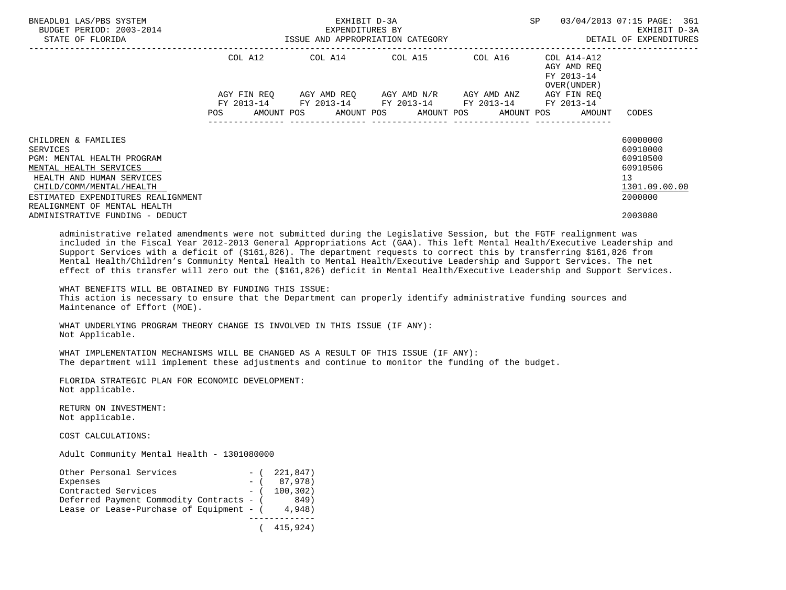| BNEADL01 LAS/PBS SYSTEM<br>BUDGET PERIOD: 2003-2014<br>STATE OF FLORIDA                                                                                                                                                |         | EXHIBIT D-3A<br>EXPENDITURES BY | ISSUE AND APPROPRIATION CATEGORY                |                                             | SP. |                                                                                     | 03/04/2013 07:15 PAGE: 361<br>EXHIBIT D-3A<br>DETAIL OF EXPENDITURES           |
|------------------------------------------------------------------------------------------------------------------------------------------------------------------------------------------------------------------------|---------|---------------------------------|-------------------------------------------------|---------------------------------------------|-----|-------------------------------------------------------------------------------------|--------------------------------------------------------------------------------|
|                                                                                                                                                                                                                        | COL A12 |                                 | COL A14 COL A15                                 | COL A16                                     |     | COL A14-A12<br>AGY AMD REO<br>FY 2013-14<br>OVER (UNDER )                           |                                                                                |
|                                                                                                                                                                                                                        |         |                                 | AGY FIN REQ AGY AMD REQ AGY AMD N/R AGY AMD ANZ | FY 2013-14 FY 2013-14 FY 2013-14 FY 2013-14 |     | AGY FIN REO<br>FY 2013-14<br>POS AMOUNT POS AMOUNT POS AMOUNT POS AMOUNT POS AMOUNT | CODES                                                                          |
| CHILDREN & FAMILIES<br>SERVICES<br>PGM: MENTAL HEALTH PROGRAM<br>MENTAL HEALTH SERVICES<br>HEALTH AND HUMAN SERVICES<br>CHILD/COMM/MENTAL/HEALTH<br>ESTIMATED EXPENDITURES REALIGNMENT<br>REALIGNMENT OF MENTAL HEALTH |         |                                 |                                                 |                                             |     |                                                                                     | 60000000<br>60910000<br>60910500<br>60910506<br>13<br>1301.09.00.00<br>2000000 |
| ADMINISTRATIVE FUNDING - DEDUCT<br>- Constantinople of the constant of the constant of the constant of the constant of the constant of the constant of                                                                 |         |                                 |                                                 |                                             |     |                                                                                     | 2003080                                                                        |

 administrative related amendments were not submitted during the Legislative Session, but the FGTF realignment was included in the Fiscal Year 2012-2013 General Appropriations Act (GAA). This left Mental Health/Executive Leadership and Support Services with a deficit of (\$161,826). The department requests to correct this by transferring \$161,826 from Mental Health/Children's Community Mental Health to Mental Health/Executive Leadership and Support Services. The net effect of this transfer will zero out the (\$161,826) deficit in Mental Health/Executive Leadership and Support Services.

 WHAT BENEFITS WILL BE OBTAINED BY FUNDING THIS ISSUE: This action is necessary to ensure that the Department can properly identify administrative funding sources and Maintenance of Effort (MOE).

 WHAT UNDERLYING PROGRAM THEORY CHANGE IS INVOLVED IN THIS ISSUE (IF ANY): Not Applicable.

 WHAT IMPLEMENTATION MECHANISMS WILL BE CHANGED AS A RESULT OF THIS ISSUE (IF ANY): The department will implement these adjustments and continue to monitor the funding of the budget.

 FLORIDA STRATEGIC PLAN FOR ECONOMIC DEVELOPMENT: Not applicable.

 RETURN ON INVESTMENT: Not applicable.

COST CALCULATIONS:

Adult Community Mental Health - 1301080000

| Other Personal Services                  |       | $-$ ( 221,847) |
|------------------------------------------|-------|----------------|
| Expenses                                 | $-$ ( | 87,978)        |
| Contracted Services                      |       | $-$ ( 100.302) |
| Deferred Payment Commodity Contracts - ( |       | 849)           |
| Lease or Lease-Purchase of Equipment - ( |       | 4,948)         |
|                                          |       |                |
|                                          |       | 415,924)       |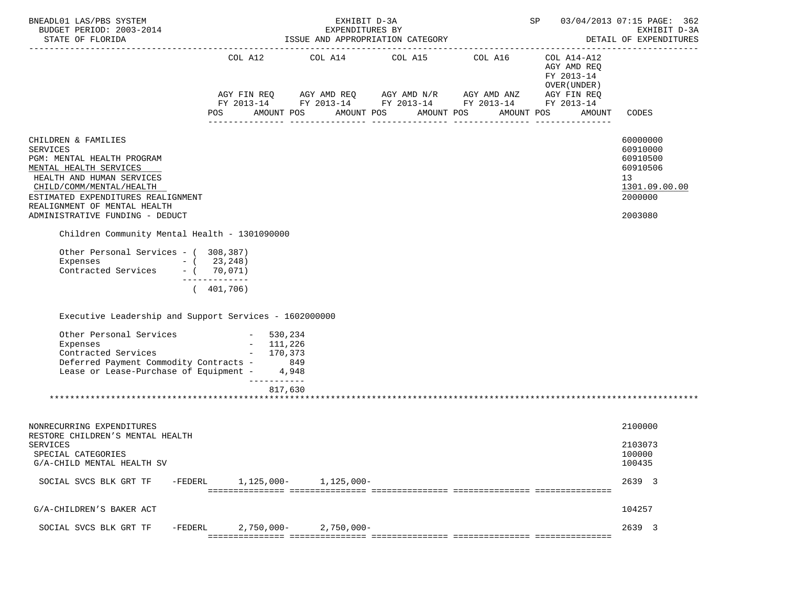| BNEADL01 LAS/PBS SYSTEM<br>BUDGET PERIOD: 2003-2014<br>STATE OF FLORIDA                                                                                                                                                                                          |                                                                                                                                                                                                                         | EXHIBIT D-3A  | EXPENDITURES BY<br>ISSUE AND APPROPRIATION CATEGORY | SP                                                  | 03/04/2013 07:15 PAGE: 362<br>EXHIBIT D-3A<br>DETAIL OF EXPENDITURES |                                                                                                        |
|------------------------------------------------------------------------------------------------------------------------------------------------------------------------------------------------------------------------------------------------------------------|-------------------------------------------------------------------------------------------------------------------------------------------------------------------------------------------------------------------------|---------------|-----------------------------------------------------|-----------------------------------------------------|----------------------------------------------------------------------|--------------------------------------------------------------------------------------------------------|
|                                                                                                                                                                                                                                                                  | AGY FIN REQ       AGY AMD REQ       AGY AMD N/R       AGY AMD ANZ        AGY FIN REQ<br>FY 2013-14         FY 2013-14        FY 2013-14         FY 2013-14           FY 2013-14<br>POS AMOUNT POS AMOUNT POS AMOUNT POS |               |                                                     | COL A12 $COL$ A14 $COL$ A15 $COL$ A16 $COL$ A14-A12 | AGY AMD REQ<br>FY 2013-14<br>OVER ( UNDER )<br>AMOUNT POS<br>AMOUNT  | CODES                                                                                                  |
| CHILDREN & FAMILIES<br><b>SERVICES</b><br>PGM: MENTAL HEALTH PROGRAM<br>MENTAL HEALTH SERVICES<br>HEALTH AND HUMAN SERVICES<br>CHILD/COMM/MENTAL/HEALTH<br>ESTIMATED EXPENDITURES REALIGNMENT<br>REALIGNMENT OF MENTAL HEALTH<br>ADMINISTRATIVE FUNDING - DEDUCT |                                                                                                                                                                                                                         |               |                                                     |                                                     |                                                                      | 60000000<br>60910000<br>60910500<br>60910506<br>13 <sup>°</sup><br>1301.09.00.00<br>2000000<br>2003080 |
| Children Community Mental Health - 1301090000<br>Other Personal Services - (308,387)<br>Expenses $- (23, 248)$<br>Contracted Services - ( 70,071)                                                                                                                | -------------<br>(401, 706)                                                                                                                                                                                             |               |                                                     |                                                     |                                                                      |                                                                                                        |
| Executive Leadership and Support Services - 1602000000                                                                                                                                                                                                           |                                                                                                                                                                                                                         |               |                                                     |                                                     |                                                                      |                                                                                                        |
| Other Personal Services - 530,234<br>- 111,226<br>  Services - 170,373<br>Expenses<br>Contracted Services<br>Deferred Payment Commodity Contracts - 849<br>Lease or Lease-Purchase of Equipment - 4,948                                                          | ------------<br>817,630                                                                                                                                                                                                 |               |                                                     |                                                     |                                                                      |                                                                                                        |
| NONRECURRING EXPENDITURES<br>RESTORE CHILDREN'S MENTAL HEALTH                                                                                                                                                                                                    |                                                                                                                                                                                                                         |               |                                                     |                                                     |                                                                      | 2100000                                                                                                |
| <b>SERVICES</b><br>SPECIAL CATEGORIES<br>G/A-CHILD MENTAL HEALTH SV                                                                                                                                                                                              |                                                                                                                                                                                                                         |               |                                                     |                                                     |                                                                      | 2103073<br>100000<br>100435                                                                            |
| SOCIAL SVCS BLK GRT TF<br>-FEDERL                                                                                                                                                                                                                                | 1,125,000-                                                                                                                                                                                                              | 1,125,000-    |                                                     |                                                     |                                                                      | 2639 3                                                                                                 |
| G/A-CHILDREN'S BAKER ACT                                                                                                                                                                                                                                         |                                                                                                                                                                                                                         |               |                                                     |                                                     |                                                                      | 104257                                                                                                 |
| SOCIAL SVCS BLK GRT TF<br>$-FEDERL$                                                                                                                                                                                                                              | $2,750,000-$                                                                                                                                                                                                            | $2,750,000 -$ |                                                     |                                                     |                                                                      | 2639 3                                                                                                 |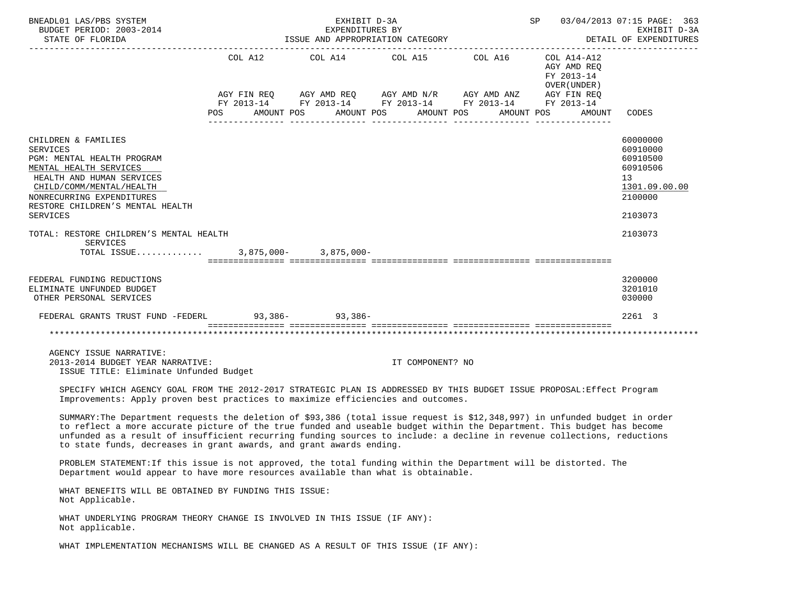| BNEADL01 LAS/PBS SYSTEM<br>BUDGET PERIOD: 2003-2014<br>STATE OF FLORIDA                                                                                                                                                                                                                                                                                                                                                                                 | EXHIBIT D-3A<br>SP<br>03/04/2013 07:15 PAGE: 363<br>EXPENDITURES BY<br>ISSUE AND APPROPRIATION CATEGORY<br>DETAIL OF EXPENDITURES |                           |                                                                                                                                       |  |                                                                                  |                                                                                           |  |  |
|---------------------------------------------------------------------------------------------------------------------------------------------------------------------------------------------------------------------------------------------------------------------------------------------------------------------------------------------------------------------------------------------------------------------------------------------------------|-----------------------------------------------------------------------------------------------------------------------------------|---------------------------|---------------------------------------------------------------------------------------------------------------------------------------|--|----------------------------------------------------------------------------------|-------------------------------------------------------------------------------------------|--|--|
|                                                                                                                                                                                                                                                                                                                                                                                                                                                         | COL A12<br>AMOUNT POS<br><b>POS</b>                                                                                               | AMOUNT POS                | COL A14 COL A15 COL A16<br>AGY FIN REQ AGY AMD REQ AGY AMD N/R AGY AMD ANZ AGY FIN REQ FY 2013-14 FY 2013-14 FY 2013-14<br>AMOUNT POS |  | COL A14-A12<br>AGY AMD REQ<br>FY 2013-14<br>OVER (UNDER)<br>AMOUNT POS<br>AMOUNT | CODES                                                                                     |  |  |
| CHILDREN & FAMILIES<br>SERVICES<br>PGM: MENTAL HEALTH PROGRAM<br>MENTAL HEALTH SERVICES<br>HEALTH AND HUMAN SERVICES<br>CHILD/COMM/MENTAL/HEALTH<br>NONRECURRING EXPENDITURES<br>RESTORE CHILDREN'S MENTAL HEALTH<br>SERVICES                                                                                                                                                                                                                           |                                                                                                                                   |                           |                                                                                                                                       |  |                                                                                  | 60000000<br>60910000<br>60910500<br>60910506<br>13<br>1301.09.00.00<br>2100000<br>2103073 |  |  |
| TOTAL: RESTORE CHILDREN'S MENTAL HEALTH<br><b>SERVICES</b><br>TOTAL ISSUE                                                                                                                                                                                                                                                                                                                                                                               |                                                                                                                                   | $3,875,000 - 3,875,000 -$ |                                                                                                                                       |  |                                                                                  | 2103073                                                                                   |  |  |
| FEDERAL FUNDING REDUCTIONS<br>ELIMINATE UNFUNDED BUDGET<br>OTHER PERSONAL SERVICES                                                                                                                                                                                                                                                                                                                                                                      |                                                                                                                                   |                           |                                                                                                                                       |  |                                                                                  | 3200000<br>3201010<br>030000                                                              |  |  |
| FEDERAL GRANTS TRUST FUND -FEDERL 93,386-93,386-                                                                                                                                                                                                                                                                                                                                                                                                        |                                                                                                                                   |                           |                                                                                                                                       |  |                                                                                  | 2261 3                                                                                    |  |  |
|                                                                                                                                                                                                                                                                                                                                                                                                                                                         |                                                                                                                                   |                           |                                                                                                                                       |  |                                                                                  | ****************************                                                              |  |  |
| AGENCY ISSUE NARRATIVE:<br>2013-2014 BUDGET YEAR NARRATIVE:<br>ISSUE TITLE: Eliminate Unfunded Budget                                                                                                                                                                                                                                                                                                                                                   |                                                                                                                                   |                           | IT COMPONENT? NO                                                                                                                      |  |                                                                                  |                                                                                           |  |  |
| SPECIFY WHICH AGENCY GOAL FROM THE 2012-2017 STRATEGIC PLAN IS ADDRESSED BY THIS BUDGET ISSUE PROPOSAL: Effect Program<br>Improvements: Apply proven best practices to maximize efficiencies and outcomes.                                                                                                                                                                                                                                              |                                                                                                                                   |                           |                                                                                                                                       |  |                                                                                  |                                                                                           |  |  |
| SUMMARY: The Department requests the deletion of \$93,386 (total issue request is \$12,348,997) in unfunded budget in order<br>to reflect a more accurate picture of the true funded and useable budget within the Department. This budget has become<br>unfunded as a result of insufficient recurring funding sources to include: a decline in revenue collections, reductions<br>to state funds, decreases in grant awards, and grant awards ending. |                                                                                                                                   |                           |                                                                                                                                       |  |                                                                                  |                                                                                           |  |  |
| PROBLEM STATEMENT: If this issue is not approved, the total funding within the Department will be distorted. The<br>Department would appear to have more resources available than what is obtainable.                                                                                                                                                                                                                                                   |                                                                                                                                   |                           |                                                                                                                                       |  |                                                                                  |                                                                                           |  |  |
| WHAT BENEFITS WILL BE OBTAINED BY FUNDING THIS ISSUE:<br>Not Applicable.                                                                                                                                                                                                                                                                                                                                                                                |                                                                                                                                   |                           |                                                                                                                                       |  |                                                                                  |                                                                                           |  |  |
| WHAT UNDERLYING PROGRAM THEORY CHANGE IS INVOLVED IN THIS ISSUE (IF ANY):<br>Not applicable.                                                                                                                                                                                                                                                                                                                                                            |                                                                                                                                   |                           |                                                                                                                                       |  |                                                                                  |                                                                                           |  |  |
| WHAT IMPLEMENTATION MECHANISMS WILL BE CHANGED AS A RESULT OF THIS ISSUE (IF ANY):                                                                                                                                                                                                                                                                                                                                                                      |                                                                                                                                   |                           |                                                                                                                                       |  |                                                                                  |                                                                                           |  |  |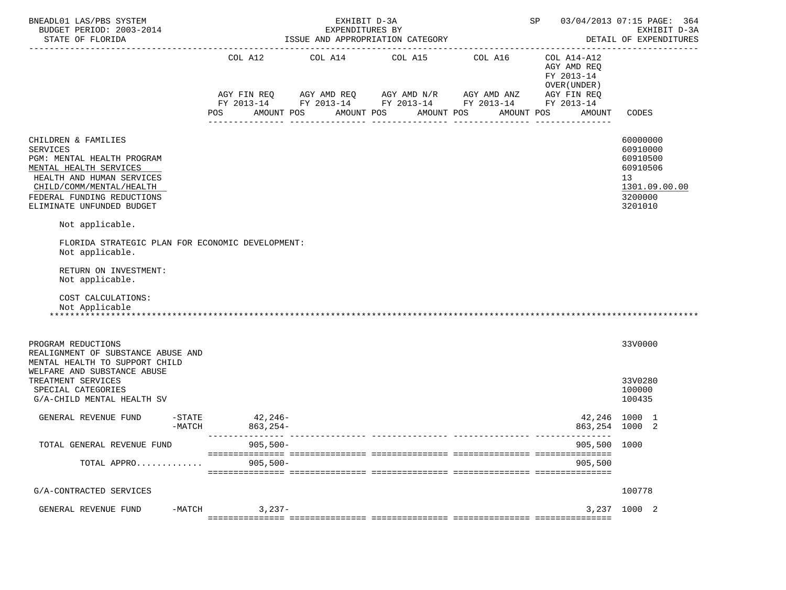| BNEADL01 LAS/PBS SYSTEM<br>BUDGET PERIOD: 2003-2014<br>STATE OF FLORIDA                                                                                                                                            | EXHIBIT D-3A<br>SP 03/04/2013 07:15 PAGE: 364<br>EXPENDITURES BY<br>ISSUE AND APPROPRIATION CATEGORY<br>DETAIL OF EXPENDITURES |                       |            |                                                                                                                                                  |            |                                                          |                                                                                           |  |  |  |  |
|--------------------------------------------------------------------------------------------------------------------------------------------------------------------------------------------------------------------|--------------------------------------------------------------------------------------------------------------------------------|-----------------------|------------|--------------------------------------------------------------------------------------------------------------------------------------------------|------------|----------------------------------------------------------|-------------------------------------------------------------------------------------------|--|--|--|--|
|                                                                                                                                                                                                                    |                                                                                                                                | COL A12               |            | COL A14 COL A15 COL A16<br>AGY FIN REQ AGY AMD REQ AGY AMD N/R AGY AMD ANZ AGY FIN REQ<br>FY 2013-14 FY 2013-14 FY 2013-14 FY 2013-14 FY 2013-14 |            | COL A14-A12<br>AGY AMD REQ<br>FY 2013-14<br>OVER (UNDER) |                                                                                           |  |  |  |  |
|                                                                                                                                                                                                                    |                                                                                                                                | POS                   | AMOUNT POS | AMOUNT POS                                                                                                                                       | AMOUNT POS | AMOUNT POS<br>AMOUNT                                     | CODES                                                                                     |  |  |  |  |
| CHILDREN & FAMILIES<br><b>SERVICES</b><br>PGM: MENTAL HEALTH PROGRAM<br>MENTAL HEALTH SERVICES<br>HEALTH AND HUMAN SERVICES<br>CHILD/COMM/MENTAL/HEALTH<br>FEDERAL FUNDING REDUCTIONS<br>ELIMINATE UNFUNDED BUDGET |                                                                                                                                |                       |            |                                                                                                                                                  |            |                                                          | 60000000<br>60910000<br>60910500<br>60910506<br>13<br>1301.09.00.00<br>3200000<br>3201010 |  |  |  |  |
| Not applicable.                                                                                                                                                                                                    |                                                                                                                                |                       |            |                                                                                                                                                  |            |                                                          |                                                                                           |  |  |  |  |
| FLORIDA STRATEGIC PLAN FOR ECONOMIC DEVELOPMENT:<br>Not applicable.                                                                                                                                                |                                                                                                                                |                       |            |                                                                                                                                                  |            |                                                          |                                                                                           |  |  |  |  |
| RETURN ON INVESTMENT:<br>Not applicable.                                                                                                                                                                           |                                                                                                                                |                       |            |                                                                                                                                                  |            |                                                          |                                                                                           |  |  |  |  |
| COST CALCULATIONS:<br>Not Applicable                                                                                                                                                                               |                                                                                                                                |                       |            |                                                                                                                                                  |            |                                                          |                                                                                           |  |  |  |  |
| PROGRAM REDUCTIONS<br>REALIGNMENT OF SUBSTANCE ABUSE AND<br>MENTAL HEALTH TO SUPPORT CHILD                                                                                                                         |                                                                                                                                |                       |            |                                                                                                                                                  |            |                                                          | 33V0000                                                                                   |  |  |  |  |
| WELFARE AND SUBSTANCE ABUSE<br>TREATMENT SERVICES<br>SPECIAL CATEGORIES<br>G/A-CHILD MENTAL HEALTH SV                                                                                                              |                                                                                                                                |                       |            |                                                                                                                                                  |            |                                                          | 33V0280<br>100000<br>100435                                                               |  |  |  |  |
| GENERAL REVENUE FUND                                                                                                                                                                                               | $-STATE$<br>$-MATCH$                                                                                                           | $42,246-$<br>863,254- |            |                                                                                                                                                  |            | 42,246 1000 1<br>863,254 1000 2                          |                                                                                           |  |  |  |  |
| TOTAL GENERAL REVENUE FUND                                                                                                                                                                                         |                                                                                                                                | $905,500-$            |            |                                                                                                                                                  |            | 905,500 1000                                             |                                                                                           |  |  |  |  |
| TOTAL APPRO                                                                                                                                                                                                        |                                                                                                                                | $905,500 -$           |            |                                                                                                                                                  |            | 905,500                                                  |                                                                                           |  |  |  |  |
| G/A-CONTRACTED SERVICES                                                                                                                                                                                            |                                                                                                                                |                       |            |                                                                                                                                                  |            |                                                          | 100778                                                                                    |  |  |  |  |
| GENERAL REVENUE FUND                                                                                                                                                                                               | $-MATCH$                                                                                                                       | $3,237-$              |            |                                                                                                                                                  |            | 3,237                                                    | 1000 2                                                                                    |  |  |  |  |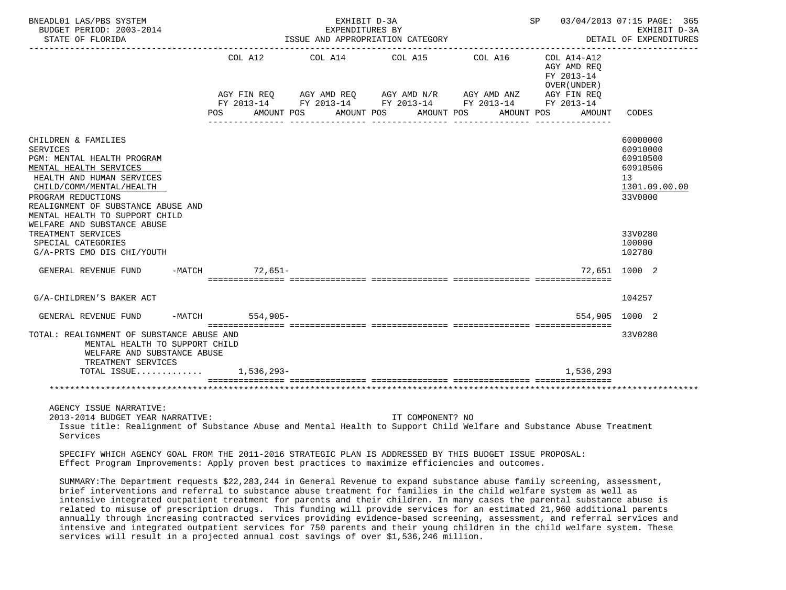| BNEADL01 LAS/PBS SYSTEM<br>BUDGET PERIOD: 2003-2014<br>STATE OF FLORIDA                                                                                                                                                                               |                | EXHIBIT D-3A<br>EXPENDITURES BY<br>ISSUE AND APPROPRIATION CATEGORY                                                                            |                       |                       | SP 03/04/2013 07:15 PAGE: 365                                                    | EXHIBIT D-3A<br>DETAIL OF EXPENDITURES                                         |
|-------------------------------------------------------------------------------------------------------------------------------------------------------------------------------------------------------------------------------------------------------|----------------|------------------------------------------------------------------------------------------------------------------------------------------------|-----------------------|-----------------------|----------------------------------------------------------------------------------|--------------------------------------------------------------------------------|
|                                                                                                                                                                                                                                                       | COL A12<br>POS | COL A14<br>AGY FIN REQ AGY AMD REQ AGY AMD N/R AGY AMD ANZ AGY FIN REQ<br>FY 2013-14 FY 2013-14 FY 2013-14 FY 2013-14 FY 2013-14<br>AMOUNT POS | COL A15<br>AMOUNT POS | COL A16<br>AMOUNT POS | COL A14-A12<br>AGY AMD REO<br>FY 2013-14<br>OVER (UNDER)<br>AMOUNT POS<br>AMOUNT | CODES                                                                          |
| CHILDREN & FAMILIES<br><b>SERVICES</b><br>PGM: MENTAL HEALTH PROGRAM<br>MENTAL HEALTH SERVICES<br>HEALTH AND HUMAN SERVICES<br>CHILD/COMM/MENTAL/HEALTH<br>PROGRAM REDUCTIONS<br>REALIGNMENT OF SUBSTANCE ABUSE AND<br>MENTAL HEALTH TO SUPPORT CHILD |                |                                                                                                                                                |                       |                       |                                                                                  | 60000000<br>60910000<br>60910500<br>60910506<br>13<br>1301.09.00.00<br>33V0000 |
| WELFARE AND SUBSTANCE ABUSE<br>TREATMENT SERVICES<br>SPECIAL CATEGORIES<br>G/A-PRTS EMO DIS CHI/YOUTH                                                                                                                                                 |                |                                                                                                                                                |                       |                       |                                                                                  | 33V0280<br>100000<br>102780                                                    |
| GENERAL REVENUE FUND -MATCH 72,651-                                                                                                                                                                                                                   |                |                                                                                                                                                |                       |                       |                                                                                  | 72,651 1000 2                                                                  |
| G/A-CHILDREN'S BAKER ACT                                                                                                                                                                                                                              |                |                                                                                                                                                |                       |                       |                                                                                  | 104257                                                                         |
| GENERAL REVENUE FUND -MATCH 554,905-                                                                                                                                                                                                                  |                |                                                                                                                                                |                       |                       |                                                                                  | 554,905 1000 2                                                                 |
| TOTAL: REALIGNMENT OF SUBSTANCE ABUSE AND<br>MENTAL HEALTH TO SUPPORT CHILD<br>WELFARE AND SUBSTANCE ABUSE<br>TREATMENT SERVICES                                                                                                                      |                |                                                                                                                                                |                       |                       |                                                                                  | 33V0280                                                                        |
| TOTAL ISSUE 1,536,293-                                                                                                                                                                                                                                |                |                                                                                                                                                |                       |                       | 1,536,293                                                                        |                                                                                |
|                                                                                                                                                                                                                                                       |                |                                                                                                                                                |                       |                       |                                                                                  |                                                                                |
| AGENCY ISSUE NARRATIVE:<br>2013-2014 BUDGET YEAR NARRATIVE:<br>Issue title: Realignment of Substance Abuse and Mental Health to Support Child Welfare and Substance Abuse Treatment<br>Services                                                       |                |                                                                                                                                                | IT COMPONENT? NO      |                       |                                                                                  |                                                                                |

 SPECIFY WHICH AGENCY GOAL FROM THE 2011-2016 STRATEGIC PLAN IS ADDRESSED BY THIS BUDGET ISSUE PROPOSAL: Effect Program Improvements: Apply proven best practices to maximize efficiencies and outcomes.

 SUMMARY:The Department requests \$22,283,244 in General Revenue to expand substance abuse family screening, assessment, brief interventions and referral to substance abuse treatment for families in the child welfare system as well as intensive integrated outpatient treatment for parents and their children. In many cases the parental substance abuse is related to misuse of prescription drugs. This funding will provide services for an estimated 21,960 additional parents annually through increasing contracted services providing evidence-based screening, assessment, and referral services and intensive and integrated outpatient services for 750 parents and their young children in the child welfare system. These services will result in a projected annual cost savings of over \$1,536,246 million.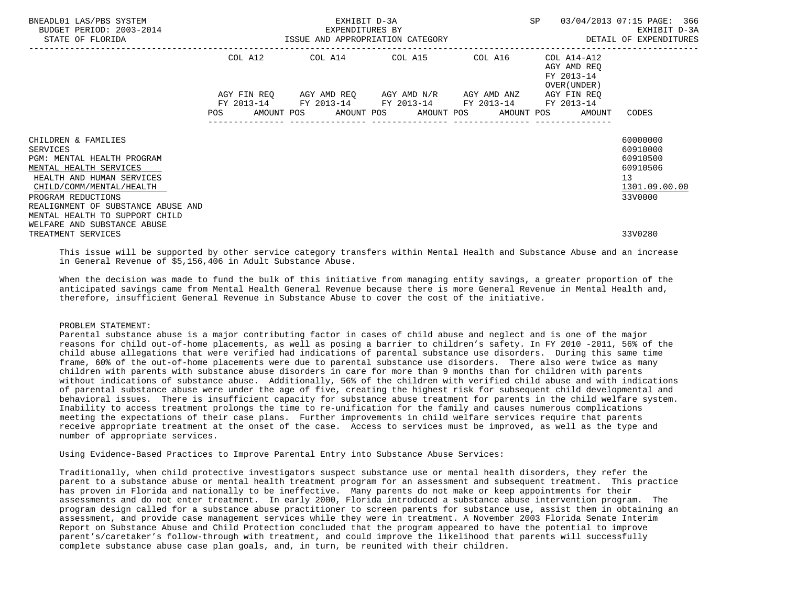| BNEADL01 LAS/PBS SYSTEM<br>BUDGET PERIOD: 2003-2014<br>STATE OF FLORIDA                 |     | EXHIBIT D-3A<br>EXPENDITURES BY<br>ISSUE AND APPROPRIATION CATEGORY |  |  |  |                                                 |  |  |  |                                                                  | 03/04/2013 07:15 PAGE: 366<br>EXHIBIT D-3A<br>DETAIL OF EXPENDITURES |  |
|-----------------------------------------------------------------------------------------|-----|---------------------------------------------------------------------|--|--|--|-------------------------------------------------|--|--|--|------------------------------------------------------------------|----------------------------------------------------------------------|--|
|                                                                                         |     | COL A12                                                             |  |  |  | COL A14 COL A15 COL A16                         |  |  |  | COL A14-A12<br>AGY AMD REO<br>FY 2013-14<br>OVER (UNDER )        |                                                                      |  |
|                                                                                         |     | AGY FIN REO                                                         |  |  |  | AGY AMD REQ       AGY AMD N/R       AGY AMD ANZ |  |  |  | AGY FIN REO                                                      |                                                                      |  |
|                                                                                         | POS |                                                                     |  |  |  | FY 2013-14 FY 2013-14 FY 2013-14 FY 2013-14     |  |  |  | FY 2013-14<br>AMOUNT POS AMOUNT POS AMOUNT POS AMOUNT POS AMOUNT | CODES                                                                |  |
| CHILDREN & FAMILIES<br>SERVICES<br>PGM: MENTAL HEALTH PROGRAM<br>MENTAL HEALTH SERVICES |     |                                                                     |  |  |  |                                                 |  |  |  |                                                                  | 60000000<br>60910000<br>60910500<br>60910506                         |  |
| HEALTH AND HUMAN SERVICES<br>CHILD/COMM/MENTAL/HEALTH                                   |     |                                                                     |  |  |  |                                                 |  |  |  |                                                                  | 13<br>1301.09.00.00                                                  |  |
| PROGRAM REDUCTIONS                                                                      |     |                                                                     |  |  |  |                                                 |  |  |  |                                                                  | 33V0000                                                              |  |
| REALIGNMENT OF SUBSTANCE ABUSE AND<br>MENTAL HEALTH TO SUPPORT CHILD                    |     |                                                                     |  |  |  |                                                 |  |  |  |                                                                  |                                                                      |  |
| WELFARE AND SUBSTANCE ABUSE<br>TREATMENT SERVICES                                       |     |                                                                     |  |  |  |                                                 |  |  |  |                                                                  | 33V0280                                                              |  |

 This issue will be supported by other service category transfers within Mental Health and Substance Abuse and an increase in General Revenue of \$5,156,406 in Adult Substance Abuse.

 When the decision was made to fund the bulk of this initiative from managing entity savings, a greater proportion of the anticipated savings came from Mental Health General Revenue because there is more General Revenue in Mental Health and, therefore, insufficient General Revenue in Substance Abuse to cover the cost of the initiative.

### PROBLEM STATEMENT:

 Parental substance abuse is a major contributing factor in cases of child abuse and neglect and is one of the major reasons for child out-of-home placements, as well as posing a barrier to children's safety. In FY 2010 -2011, 56% of the child abuse allegations that were verified had indications of parental substance use disorders. During this same time frame, 60% of the out-of-home placements were due to parental substance use disorders. There also were twice as many children with parents with substance abuse disorders in care for more than 9 months than for children with parents without indications of substance abuse. Additionally, 56% of the children with verified child abuse and with indications of parental substance abuse were under the age of five, creating the highest risk for subsequent child developmental and behavioral issues. There is insufficient capacity for substance abuse treatment for parents in the child welfare system. Inability to access treatment prolongs the time to re-unification for the family and causes numerous complications meeting the expectations of their case plans. Further improvements in child welfare services require that parents receive appropriate treatment at the onset of the case. Access to services must be improved, as well as the type and number of appropriate services.

Using Evidence-Based Practices to Improve Parental Entry into Substance Abuse Services:

 Traditionally, when child protective investigators suspect substance use or mental health disorders, they refer the parent to a substance abuse or mental health treatment program for an assessment and subsequent treatment. This practice has proven in Florida and nationally to be ineffective. Many parents do not make or keep appointments for their assessments and do not enter treatment. In early 2000, Florida introduced a substance abuse intervention program. The program design called for a substance abuse practitioner to screen parents for substance use, assist them in obtaining an assessment, and provide case management services while they were in treatment. A November 2003 Florida Senate Interim Report on Substance Abuse and Child Protection concluded that the program appeared to have the potential to improve parent's/caretaker's follow-through with treatment, and could improve the likelihood that parents will successfully complete substance abuse case plan goals, and, in turn, be reunited with their children.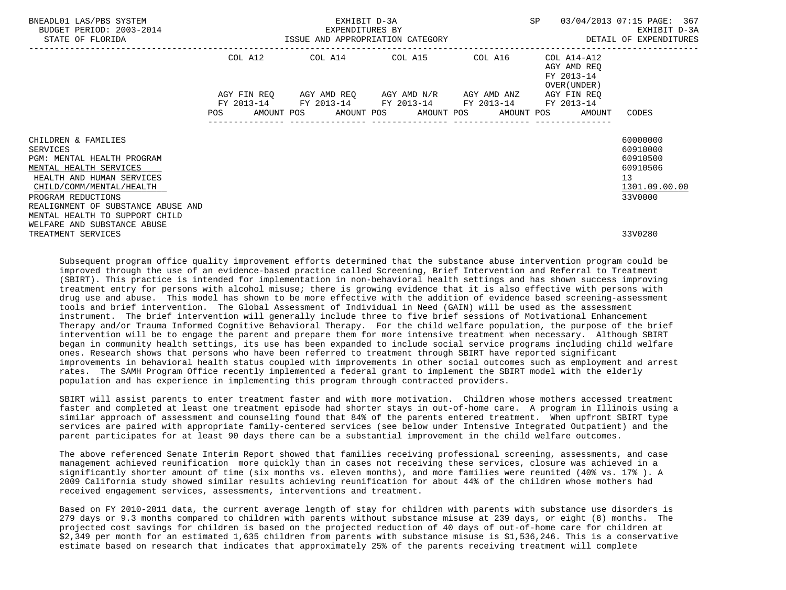| BNEADL01 LAS/PBS SYSTEM<br>BUDGET PERIOD: 2003-2014<br>STATE OF FLORIDA                        |     | EXHIBIT D-3A |  |  |  |                                                        |  |  |  |                                                           | 03/04/2013 07:15 PAGE: 367                   |
|------------------------------------------------------------------------------------------------|-----|--------------|--|--|--|--------------------------------------------------------|--|--|--|-----------------------------------------------------------|----------------------------------------------|
|                                                                                                |     |              |  |  |  | COL A12 COL A14 COL A15 COL A16                        |  |  |  | COL A14-A12<br>AGY AMD REO<br>FY 2013-14<br>OVER (UNDER ) |                                              |
|                                                                                                |     | AGY FIN REO  |  |  |  | AGY AMD REQ        AGY AMD N/R        AGY AMD ANZ      |  |  |  | AGY FIN REO                                               |                                              |
|                                                                                                | POS |              |  |  |  | FY 2013-14 FY 2013-14 FY 2013-14 FY 2013-14 FY 2013-14 |  |  |  | AMOUNT POS AMOUNT POS AMOUNT POS AMOUNT POS AMOUNT        | CODES                                        |
| CHILDREN & FAMILIES<br><b>SERVICES</b><br>PGM: MENTAL HEALTH PROGRAM<br>MENTAL HEALTH SERVICES |     |              |  |  |  |                                                        |  |  |  |                                                           | 60000000<br>60910000<br>60910500<br>60910506 |
| HEALTH AND HUMAN SERVICES<br>CHILD/COMM/MENTAL/HEALTH                                          |     |              |  |  |  |                                                        |  |  |  |                                                           | 13<br>1301.09.00.00                          |
| PROGRAM REDUCTIONS<br>REALIGNMENT OF SUBSTANCE ABUSE AND                                       |     |              |  |  |  |                                                        |  |  |  |                                                           | 33V0000                                      |
| MENTAL HEALTH TO SUPPORT CHILD<br>WELFARE AND SUBSTANCE ABUSE<br>TREATMENT SERVICES            |     |              |  |  |  |                                                        |  |  |  |                                                           | 33V0280                                      |

 Subsequent program office quality improvement efforts determined that the substance abuse intervention program could be improved through the use of an evidence-based practice called Screening, Brief Intervention and Referral to Treatment (SBIRT). This practice is intended for implementation in non-behavioral health settings and has shown success improving treatment entry for persons with alcohol misuse; there is growing evidence that it is also effective with persons with drug use and abuse. This model has shown to be more effective with the addition of evidence based screening-assessment tools and brief intervention. The Global Assessment of Individual in Need (GAIN) will be used as the assessment instrument. The brief intervention will generally include three to five brief sessions of Motivational Enhancement Therapy and/or Trauma Informed Cognitive Behavioral Therapy. For the child welfare population, the purpose of the brief intervention will be to engage the parent and prepare them for more intensive treatment when necessary. Although SBIRT began in community health settings, its use has been expanded to include social service programs including child welfare ones. Research shows that persons who have been referred to treatment through SBIRT have reported significant improvements in behavioral health status coupled with improvements in other social outcomes such as employment and arrest rates. The SAMH Program Office recently implemented a federal grant to implement the SBIRT model with the elderly population and has experience in implementing this program through contracted providers.

 SBIRT will assist parents to enter treatment faster and with more motivation. Children whose mothers accessed treatment faster and completed at least one treatment episode had shorter stays in out-of-home care. A program in Illinois using a similar approach of assessment and counseling found that 84% of the parents entered treatment. When upfront SBIRT type services are paired with appropriate family-centered services (see below under Intensive Integrated Outpatient) and the parent participates for at least 90 days there can be a substantial improvement in the child welfare outcomes.

 The above referenced Senate Interim Report showed that families receiving professional screening, assessments, and case management achieved reunification more quickly than in cases not receiving these services, closure was achieved in a significantly shorter amount of time (six months vs. eleven months), and more families were reunited (40% vs. 17% ). A 2009 California study showed similar results achieving reunification for about 44% of the children whose mothers had received engagement services, assessments, interventions and treatment.

 Based on FY 2010-2011 data, the current average length of stay for children with parents with substance use disorders is 279 days or 9.3 months compared to children with parents without substance misuse at 239 days, or eight (8) months. The projected cost savings for children is based on the projected reduction of 40 days of out-of-home care for children at \$2,349 per month for an estimated 1,635 children from parents with substance misuse is \$1,536,246. This is a conservative estimate based on research that indicates that approximately 25% of the parents receiving treatment will complete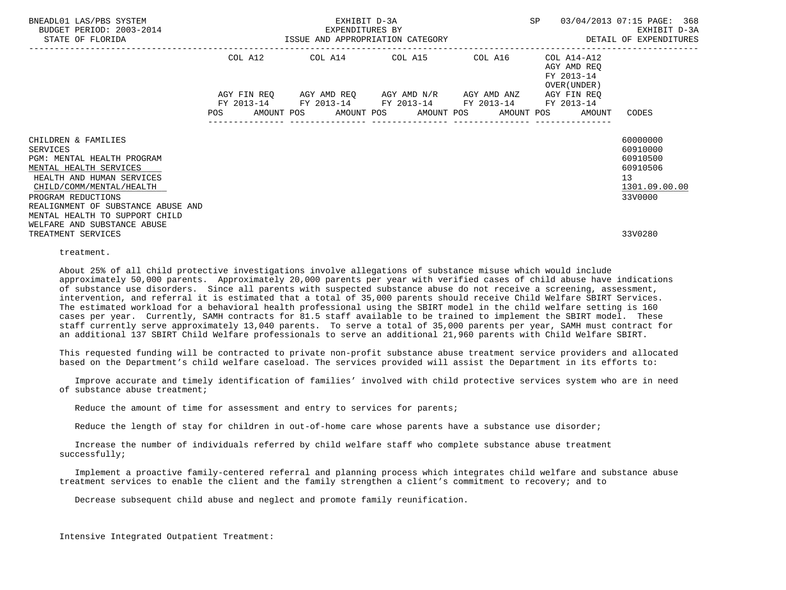| BNEADL01 LAS/PBS SYSTEM<br>BUDGET PERIOD: 2003-2014<br>STATE OF FLORIDA                                                                                                                                             |     | EXHIBIT D-3A |  |  |  |                                                                                                             |  |  |  |                                                           | 03/04/2013 07:15 PAGE: 368                                                     |  |
|---------------------------------------------------------------------------------------------------------------------------------------------------------------------------------------------------------------------|-----|--------------|--|--|--|-------------------------------------------------------------------------------------------------------------|--|--|--|-----------------------------------------------------------|--------------------------------------------------------------------------------|--|
|                                                                                                                                                                                                                     |     |              |  |  |  | COL A12 COL A14 COL A15 COL A16                                                                             |  |  |  | COL A14-A12<br>AGY AMD REO<br>FY 2013-14<br>OVER (UNDER ) |                                                                                |  |
|                                                                                                                                                                                                                     |     | AGY FIN REO  |  |  |  | AGY AMD REQ        AGY AMD N/R        AGY AMD ANZ<br>FY 2013-14 FY 2013-14 FY 2013-14 FY 2013-14 FY 2013-14 |  |  |  | AGY FIN REO                                               |                                                                                |  |
|                                                                                                                                                                                                                     | POS |              |  |  |  |                                                                                                             |  |  |  | AMOUNT POS AMOUNT POS AMOUNT POS AMOUNT POS AMOUNT        | CODES                                                                          |  |
| CHILDREN & FAMILIES<br><b>SERVICES</b><br>PGM: MENTAL HEALTH PROGRAM<br>MENTAL HEALTH SERVICES<br>HEALTH AND HUMAN SERVICES<br>CHILD/COMM/MENTAL/HEALTH<br>PROGRAM REDUCTIONS<br>REALIGNMENT OF SUBSTANCE ABUSE AND |     |              |  |  |  |                                                                                                             |  |  |  |                                                           | 60000000<br>60910000<br>60910500<br>60910506<br>13<br>1301.09.00.00<br>33V0000 |  |
| MENTAL HEALTH TO SUPPORT CHILD<br>WELFARE AND SUBSTANCE ABUSE<br>TREATMENT SERVICES                                                                                                                                 |     |              |  |  |  |                                                                                                             |  |  |  |                                                           | 33V0280                                                                        |  |

treatment.

 About 25% of all child protective investigations involve allegations of substance misuse which would include approximately 50,000 parents. Approximately 20,000 parents per year with verified cases of child abuse have indications of substance use disorders. Since all parents with suspected substance abuse do not receive a screening, assessment, intervention, and referral it is estimated that a total of 35,000 parents should receive Child Welfare SBIRT Services. The estimated workload for a behavioral health professional using the SBIRT model in the child welfare setting is 160 cases per year. Currently, SAMH contracts for 81.5 staff available to be trained to implement the SBIRT model. These staff currently serve approximately 13,040 parents. To serve a total of 35,000 parents per year, SAMH must contract for an additional 137 SBIRT Child Welfare professionals to serve an additional 21,960 parents with Child Welfare SBIRT.

 This requested funding will be contracted to private non-profit substance abuse treatment service providers and allocated based on the Department's child welfare caseload. The services provided will assist the Department in its efforts to:

 Improve accurate and timely identification of families' involved with child protective services system who are in need of substance abuse treatment;

Reduce the amount of time for assessment and entry to services for parents;

Reduce the length of stay for children in out-of-home care whose parents have a substance use disorder;

 Increase the number of individuals referred by child welfare staff who complete substance abuse treatment successfully;

 Implement a proactive family-centered referral and planning process which integrates child welfare and substance abuse treatment services to enable the client and the family strengthen a client's commitment to recovery; and to

Decrease subsequent child abuse and neglect and promote family reunification.

Intensive Integrated Outpatient Treatment: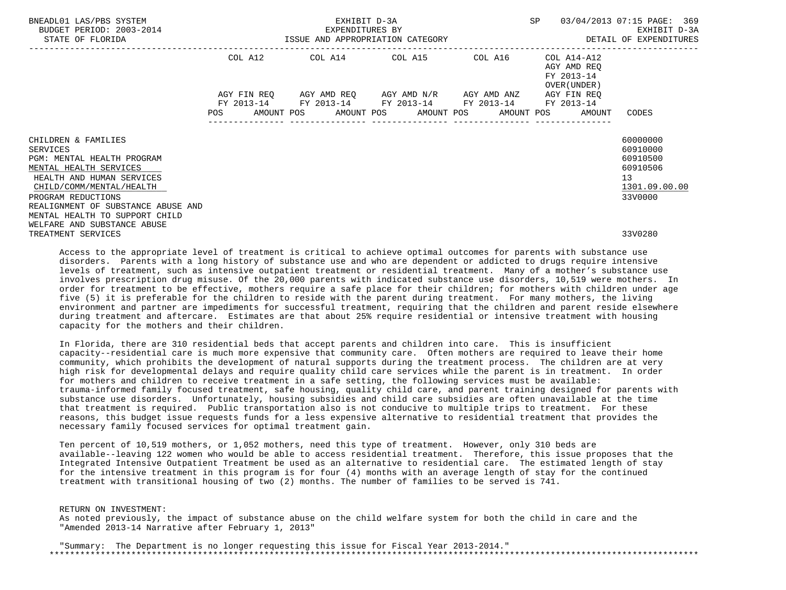| BNEADL01 LAS/PBS SYSTEM<br>BUDGET PERIOD: 2003-2014<br>STATE OF FLORIDA                                                                                                                                                                        | EXHIBIT D-3A<br>EXPENDITURES BY |  |  |  |                                                                                                           |  |                  |  |                                                              | SP 03/04/2013 07:15 PAGE: 369                                                  |  |
|------------------------------------------------------------------------------------------------------------------------------------------------------------------------------------------------------------------------------------------------|---------------------------------|--|--|--|-----------------------------------------------------------------------------------------------------------|--|------------------|--|--------------------------------------------------------------|--------------------------------------------------------------------------------|--|
|                                                                                                                                                                                                                                                |                                 |  |  |  | COL A12 COL A14 COL A15 COL A16                                                                           |  |                  |  | COL A14-A12<br>AGY AMD REO<br>FY 2013-14<br>OVER (UNDER )    |                                                                                |  |
|                                                                                                                                                                                                                                                |                                 |  |  |  | AGY FIN REO AGY AMD REO AGY AMD N/R AGY AMD ANZ<br>FY 2013-14 FY 2013-14 FY 2013-14 FY 2013-14 FY 2013-14 |  |                  |  | AGY FIN REO                                                  |                                                                                |  |
|                                                                                                                                                                                                                                                |                                 |  |  |  |                                                                                                           |  | ---------------- |  | POS AMOUNT POS AMOUNT POS AMOUNT POS AMOUNT POS AMOUNT CODES |                                                                                |  |
| CHILDREN & FAMILIES<br>SERVICES<br>PGM: MENTAL HEALTH PROGRAM<br>MENTAL HEALTH SERVICES<br>HEALTH AND HUMAN SERVICES<br>CHILD/COMM/MENTAL/HEALTH<br>PROGRAM REDUCTIONS<br>REALIGNMENT OF SUBSTANCE ABUSE AND<br>MENTAL HEALTH TO SUPPORT CHILD |                                 |  |  |  |                                                                                                           |  |                  |  |                                                              | 60000000<br>60910000<br>60910500<br>60910506<br>13<br>1301.09.00.00<br>33V0000 |  |
| WELFARE AND SUBSTANCE ABUSE<br>TREATMENT SERVICES                                                                                                                                                                                              |                                 |  |  |  |                                                                                                           |  |                  |  |                                                              | 33V0280                                                                        |  |

 Access to the appropriate level of treatment is critical to achieve optimal outcomes for parents with substance use disorders. Parents with a long history of substance use and who are dependent or addicted to drugs require intensive levels of treatment, such as intensive outpatient treatment or residential treatment. Many of a mother's substance use involves prescription drug misuse. Of the 20,000 parents with indicated substance use disorders, 10,519 were mothers. In order for treatment to be effective, mothers require a safe place for their children; for mothers with children under age five (5) it is preferable for the children to reside with the parent during treatment. For many mothers, the living environment and partner are impediments for successful treatment, requiring that the children and parent reside elsewhere during treatment and aftercare. Estimates are that about 25% require residential or intensive treatment with housing capacity for the mothers and their children.

 In Florida, there are 310 residential beds that accept parents and children into care. This is insufficient capacity--residential care is much more expensive that community care. Often mothers are required to leave their home community, which prohibits the development of natural supports during the treatment process. The children are at very high risk for developmental delays and require quality child care services while the parent is in treatment. In order for mothers and children to receive treatment in a safe setting, the following services must be available: trauma-informed family focused treatment, safe housing, quality child care, and parent training designed for parents with substance use disorders. Unfortunately, housing subsidies and child care subsidies are often unavailable at the time that treatment is required. Public transportation also is not conducive to multiple trips to treatment. For these reasons, this budget issue requests funds for a less expensive alternative to residential treatment that provides the necessary family focused services for optimal treatment gain.

 Ten percent of 10,519 mothers, or 1,052 mothers, need this type of treatment. However, only 310 beds are available--leaving 122 women who would be able to access residential treatment. Therefore, this issue proposes that the Integrated Intensive Outpatient Treatment be used as an alternative to residential care. The estimated length of stay for the intensive treatment in this program is for four (4) months with an average length of stay for the continued treatment with transitional housing of two (2) months. The number of families to be served is 741.

 RETURN ON INVESTMENT: As noted previously, the impact of substance abuse on the child welfare system for both the child in care and the "Amended 2013-14 Narrative after February 1, 2013"

 "Summary: The Department is no longer requesting this issue for Fiscal Year 2013-2014." \*\*\*\*\*\*\*\*\*\*\*\*\*\*\*\*\*\*\*\*\*\*\*\*\*\*\*\*\*\*\*\*\*\*\*\*\*\*\*\*\*\*\*\*\*\*\*\*\*\*\*\*\*\*\*\*\*\*\*\*\*\*\*\*\*\*\*\*\*\*\*\*\*\*\*\*\*\*\*\*\*\*\*\*\*\*\*\*\*\*\*\*\*\*\*\*\*\*\*\*\*\*\*\*\*\*\*\*\*\*\*\*\*\*\*\*\*\*\*\*\*\*\*\*\*\*\*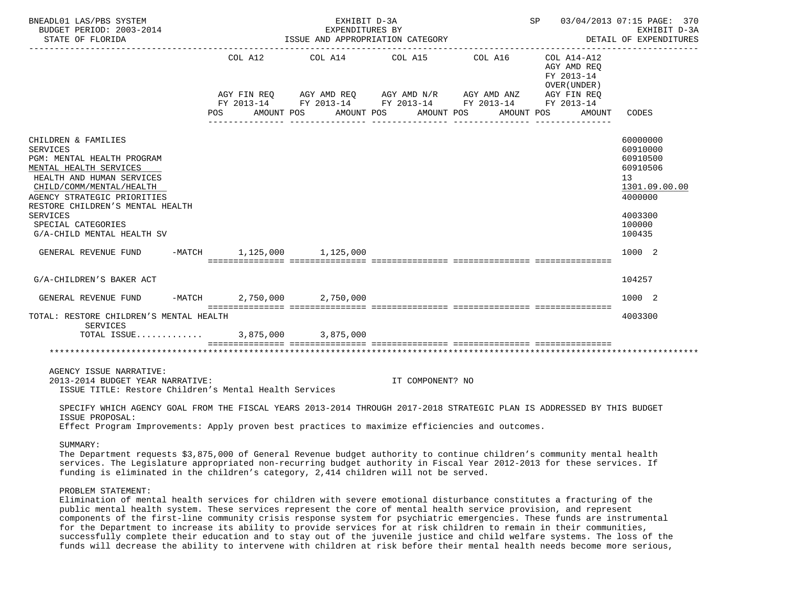| BNEADL01 LAS/PBS SYSTEM<br>BUDGET PERIOD: 2003-2014<br>STATE OF FLORIDA                                                                                                                                                                                                                           | SP 03/04/2013 07:15 PAGE: 370<br>EXHIBIT D-3A<br>EXPENDITURES BY<br>ISSUE AND APPROPRIATION CATEGORY<br>DETAIL OF EXPENDITURES |                            |                       |                                                                                                                                                                |                                                                    |                                                                                                               |  |  |  |  |
|---------------------------------------------------------------------------------------------------------------------------------------------------------------------------------------------------------------------------------------------------------------------------------------------------|--------------------------------------------------------------------------------------------------------------------------------|----------------------------|-----------------------|----------------------------------------------------------------------------------------------------------------------------------------------------------------|--------------------------------------------------------------------|---------------------------------------------------------------------------------------------------------------|--|--|--|--|
|                                                                                                                                                                                                                                                                                                   | COL A12<br>POS AMOUNT POS                                                                                                      | _______________            | AMOUNT POS AMOUNT POS | COL A14 COL A15 COL A16<br>AGY FIN REQ AGY AMD REQ AGY AMD N/R AGY AMD ANZ AGY FIN REQ<br>FY 2013-14 FY 2013-14 FY 2013-14 FY 2013-14 FY 2013-14<br>AMOUNT POS | COL A14-A12<br>AGY AMD REO<br>FY 2013-14<br>OVER (UNDER)<br>AMOUNT | CODES                                                                                                         |  |  |  |  |
| CHILDREN & FAMILIES<br><b>SERVICES</b><br>PGM: MENTAL HEALTH PROGRAM<br>MENTAL HEALTH SERVICES<br>HEALTH AND HUMAN SERVICES<br>CHILD/COMM/MENTAL/HEALTH<br>AGENCY STRATEGIC PRIORITIES<br>RESTORE CHILDREN'S MENTAL HEALTH<br><b>SERVICES</b><br>SPECIAL CATEGORIES<br>G/A-CHILD MENTAL HEALTH SV |                                                                                                                                |                            |                       |                                                                                                                                                                |                                                                    | 60000000<br>60910000<br>60910500<br>60910506<br>13<br>1301.09.00.00<br>4000000<br>4003300<br>100000<br>100435 |  |  |  |  |
| GENERAL REVENUE FUND                                                                                                                                                                                                                                                                              |                                                                                                                                | -MATCH 1.125.000 1.125.000 |                       |                                                                                                                                                                |                                                                    | 1000 2                                                                                                        |  |  |  |  |
| G/A-CHILDREN'S BAKER ACT                                                                                                                                                                                                                                                                          |                                                                                                                                |                            |                       |                                                                                                                                                                |                                                                    | 104257                                                                                                        |  |  |  |  |
| GENERAL REVENUE FUND                                                                                                                                                                                                                                                                              |                                                                                                                                | -MATCH 2,750,000 2,750,000 |                       |                                                                                                                                                                |                                                                    | 1000 2                                                                                                        |  |  |  |  |
| TOTAL: RESTORE CHILDREN'S MENTAL HEALTH<br>SERVICES                                                                                                                                                                                                                                               |                                                                                                                                |                            |                       |                                                                                                                                                                |                                                                    | 4003300                                                                                                       |  |  |  |  |
| TOTAL ISSUE 3,875,000 3,875,000                                                                                                                                                                                                                                                                   |                                                                                                                                |                            |                       |                                                                                                                                                                |                                                                    |                                                                                                               |  |  |  |  |
|                                                                                                                                                                                                                                                                                                   |                                                                                                                                |                            |                       |                                                                                                                                                                |                                                                    |                                                                                                               |  |  |  |  |
| AGENCY ISSUE NARRATIVE:<br>2013-2014 BUDGET YEAR NARRATIVE:<br>ISSUE TITLE: Restore Children's Mental Health Services                                                                                                                                                                             |                                                                                                                                |                            | IT COMPONENT? NO      |                                                                                                                                                                |                                                                    |                                                                                                               |  |  |  |  |
| SPECIFY WHICH AGENCY GOAL FROM THE FISCAL YEARS 2013-2014 THROUGH 2017-2018 STRATEGIC PLAN IS ADDRESSED BY THIS BUDGET<br>ISSUE PROPOSAL:                                                                                                                                                         |                                                                                                                                |                            |                       |                                                                                                                                                                |                                                                    |                                                                                                               |  |  |  |  |

Effect Program Improvements: Apply proven best practices to maximize efficiencies and outcomes.

## SUMMARY:

 The Department requests \$3,875,000 of General Revenue budget authority to continue children's community mental health services. The Legislature appropriated non-recurring budget authority in Fiscal Year 2012-2013 for these services. If funding is eliminated in the children's category, 2,414 children will not be served.

# PROBLEM STATEMENT:

 Elimination of mental health services for children with severe emotional disturbance constitutes a fracturing of the public mental health system. These services represent the core of mental health service provision, and represent components of the first-line community crisis response system for psychiatric emergencies. These funds are instrumental for the Department to increase its ability to provide services for at risk children to remain in their communities, successfully complete their education and to stay out of the juvenile justice and child welfare systems. The loss of the funds will decrease the ability to intervene with children at risk before their mental health needs become more serious,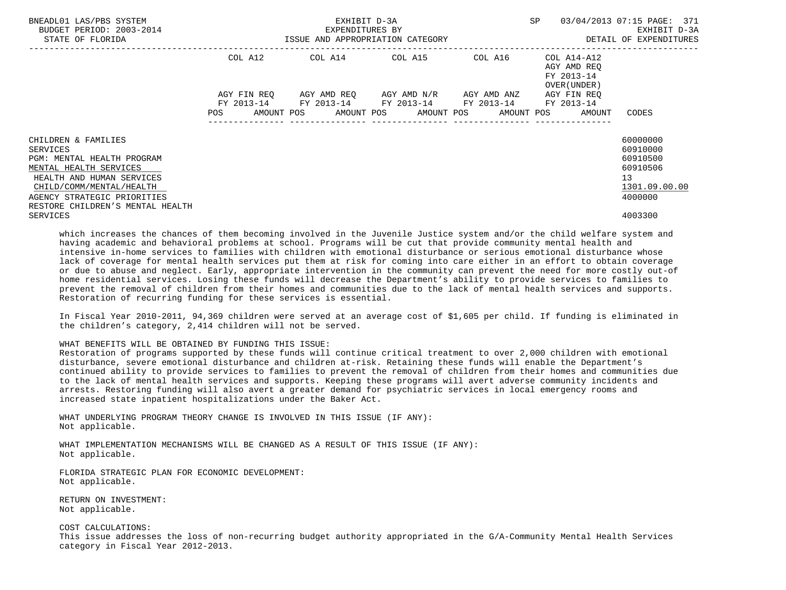| BNEADL01 LAS/PBS SYSTEM<br>BUDGET PERIOD: 2003-2014<br>STATE OF FLORIDA                                                                                                                                             | 3-2014 EXPENDITURES BY<br>ISSUE AND APPROPRIATION CATEGORY | EXHIBIT D-3A                                                                                   | SP | 03/04/2013 07:15 PAGE: 371<br>EXHIBIT D-3A<br>DETAIL OF EXPENDITURES |                                                                                             |
|---------------------------------------------------------------------------------------------------------------------------------------------------------------------------------------------------------------------|------------------------------------------------------------|------------------------------------------------------------------------------------------------|----|----------------------------------------------------------------------|---------------------------------------------------------------------------------------------|
|                                                                                                                                                                                                                     |                                                            | COL A12 COL A14 COL A15 COL A16 COL A14-A12<br>AGY FIN REO AGY AMD REO AGY AMD N/R AGY AMD ANZ |    | AGY AMD REO<br>FY 2013-14<br>OVER (UNDER )<br>AGY FIN REO            |                                                                                             |
|                                                                                                                                                                                                                     |                                                            | FY 2013-14 FY 2013-14 FY 2013-14 FY 2013-14 FY 2013-14                                         |    | POS AMOUNT POS AMOUNT POS AMOUNT POS AMOUNT POS AMOUNT CODES         |                                                                                             |
| CHILDREN & FAMILIES<br>SERVICES<br>PGM: MENTAL HEALTH PROGRAM<br>MENTAL HEALTH SERVICES<br>HEALTH AND HUMAN SERVICES<br>CHILD/COMM/MENTAL/HEALTH<br>AGENCY STRATEGIC PRIORITIES<br>RESTORE CHILDREN'S MENTAL HEALTH |                                                            |                                                                                                |    |                                                                      | 60000000<br>60910000<br>60910500<br>60910506<br>13 <sup>°</sup><br>1301.09.00.00<br>4000000 |
| SERVICES                                                                                                                                                                                                            |                                                            |                                                                                                |    |                                                                      | 4003300                                                                                     |

 which increases the chances of them becoming involved in the Juvenile Justice system and/or the child welfare system and having academic and behavioral problems at school. Programs will be cut that provide community mental health and intensive in-home services to families with children with emotional disturbance or serious emotional disturbance whose lack of coverage for mental health services put them at risk for coming into care either in an effort to obtain coverage or due to abuse and neglect. Early, appropriate intervention in the community can prevent the need for more costly out-of home residential services. Losing these funds will decrease the Department's ability to provide services to families to prevent the removal of children from their homes and communities due to the lack of mental health services and supports. Restoration of recurring funding for these services is essential.

 In Fiscal Year 2010-2011, 94,369 children were served at an average cost of \$1,605 per child. If funding is eliminated in the children's category, 2,414 children will not be served.

#### WHAT BENEFITS WILL BE OBTAINED BY FUNDING THIS ISSUE:

 Restoration of programs supported by these funds will continue critical treatment to over 2,000 children with emotional disturbance, severe emotional disturbance and children at-risk. Retaining these funds will enable the Department's continued ability to provide services to families to prevent the removal of children from their homes and communities due to the lack of mental health services and supports. Keeping these programs will avert adverse community incidents and arrests. Restoring funding will also avert a greater demand for psychiatric services in local emergency rooms and increased state inpatient hospitalizations under the Baker Act.

 WHAT UNDERLYING PROGRAM THEORY CHANGE IS INVOLVED IN THIS ISSUE (IF ANY): Not applicable.

 WHAT IMPLEMENTATION MECHANISMS WILL BE CHANGED AS A RESULT OF THIS ISSUE (IF ANY): Not applicable.

 FLORIDA STRATEGIC PLAN FOR ECONOMIC DEVELOPMENT: Not applicable.

 RETURN ON INVESTMENT: Not applicable.

COST CALCULATIONS:

 This issue addresses the loss of non-recurring budget authority appropriated in the G/A-Community Mental Health Services category in Fiscal Year 2012-2013.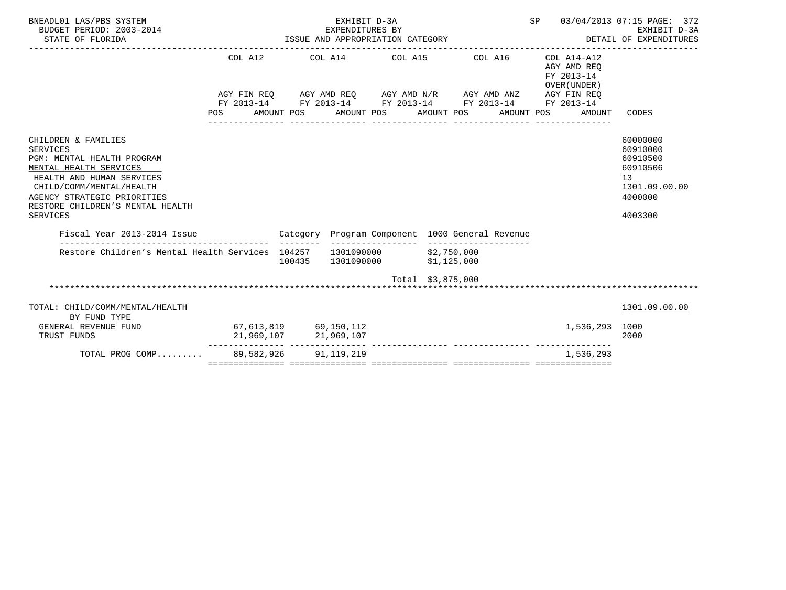| BNEADL01 LAS/PBS SYSTEM<br>BUDGET PERIOD: 2003-2014<br>STATE OF FLORIDA                                                                                                                                                         | EAFENDITUKES BY<br>ISSUE AND APPROPRIATION CATEGORY                                                                                                             |            | 03/04/2013 07:15 PAGE: 372<br>EXHIBIT D-3A<br>DETAIL OF EXPENDITURES |                   |            |  |                                                                    |                                                                                           |
|---------------------------------------------------------------------------------------------------------------------------------------------------------------------------------------------------------------------------------|-----------------------------------------------------------------------------------------------------------------------------------------------------------------|------------|----------------------------------------------------------------------|-------------------|------------|--|--------------------------------------------------------------------|-------------------------------------------------------------------------------------------|
|                                                                                                                                                                                                                                 | COL A12 COL A14 COL A15 COL A16<br>AGY FIN REQ AGY AMD REQ AGY AMD N/R AGY AMD ANZ AGY FIN REQ<br>FY 2013-14 FY 2013-14 FY 2013-14 FY 2013-14 FY 2013-14<br>POS | AMOUNT POS | AMOUNT POS AMOUNT POS                                                |                   | AMOUNT POS |  | COL A14-A12<br>AGY AMD REO<br>FY 2013-14<br>OVER (UNDER)<br>AMOUNT | CODES                                                                                     |
| CHILDREN & FAMILIES<br>SERVICES<br>PGM: MENTAL HEALTH PROGRAM<br>MENTAL HEALTH SERVICES<br>HEALTH AND HUMAN SERVICES<br>CHILD/COMM/MENTAL/HEALTH<br>AGENCY STRATEGIC PRIORITIES<br>RESTORE CHILDREN'S MENTAL HEALTH<br>SERVICES |                                                                                                                                                                 |            |                                                                      |                   |            |  |                                                                    | 60000000<br>60910000<br>60910500<br>60910506<br>13<br>1301.09.00.00<br>4000000<br>4003300 |
| Fiscal Year 2013-2014 Issue                                                                                                                                                                                                     | Category Program Component 1000 General Revenue                                                                                                                 |            |                                                                      |                   |            |  |                                                                    |                                                                                           |
| Restore Children's Mental Health Services 104257 1301090000 \$2,750,000                                                                                                                                                         |                                                                                                                                                                 | 100435     | 1301090000 \$1,125,000                                               |                   |            |  |                                                                    |                                                                                           |
|                                                                                                                                                                                                                                 |                                                                                                                                                                 |            |                                                                      | Total \$3,875,000 |            |  |                                                                    |                                                                                           |
| TOTAL: CHILD/COMM/MENTAL/HEALTH<br>BY FUND TYPE                                                                                                                                                                                 |                                                                                                                                                                 |            |                                                                      |                   |            |  |                                                                    | 1301.09.00.00                                                                             |
| GENERAL REVENUE FUND<br>TRUST FUNDS                                                                                                                                                                                             | 67, 613, 819 69, 150, 112                                                                                                                                       |            |                                                                      |                   |            |  | 1,536,293 1000                                                     | 2000                                                                                      |
| TOTAL PROG COMP 89.582.926 91.119.219                                                                                                                                                                                           |                                                                                                                                                                 |            |                                                                      |                   |            |  | 1,536,293                                                          |                                                                                           |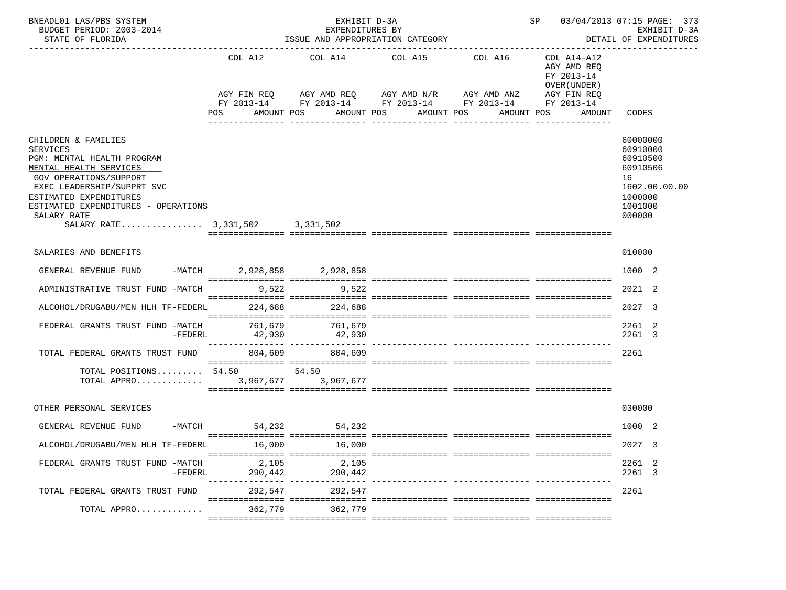| BNEADL01 LAS/PBS SYSTEM<br>BUDGET PERIOD: 2003-2014<br>STATE OF FLORIDA                                                                                                                                                                                                   |                                           | EXHIBIT D-3A<br>EXPENDITURES BY<br>ISSUE AND APPROPRIATION CATEGORY | SP 03/04/2013 07:15 PAGE: 373<br>EXHIBIT D-3A<br>DETAIL OF EXPENDITURES                                                                                               |  |                                                                                       |                                                                                                     |
|---------------------------------------------------------------------------------------------------------------------------------------------------------------------------------------------------------------------------------------------------------------------------|-------------------------------------------|---------------------------------------------------------------------|-----------------------------------------------------------------------------------------------------------------------------------------------------------------------|--|---------------------------------------------------------------------------------------|-----------------------------------------------------------------------------------------------------|
|                                                                                                                                                                                                                                                                           | POS FOR                                   | AMOUNT POS                                                          | COL A12 COL A14 COL A15 COL A16<br>AGY FIN REQ AGY AMD REQ AGY AMD N/R AGY AMD ANZ<br>FY 2013-14 FY 2013-14 FY 2013-14 FY 2013-14 FY 2013-14<br>AMOUNT POS AMOUNT POS |  | COL A14-A12<br>AGY AMD REO<br>FY 2013-14<br>OVER (UNDER)<br>AGY FIN REQ<br>AMOUNT POS | AMOUNT CODES                                                                                        |
| CHILDREN & FAMILIES<br><b>SERVICES</b><br>PGM: MENTAL HEALTH PROGRAM<br>MENTAL HEALTH SERVICES<br>GOV OPERATIONS/SUPPORT<br>EXEC LEADERSHIP/SUPPRT SVC<br>ESTIMATED EXPENDITURES<br>ESTIMATED EXPENDITURES - OPERATIONS<br>SALARY RATE<br>SALARY RATE 3,331,502 3,331,502 |                                           |                                                                     |                                                                                                                                                                       |  |                                                                                       | 60000000<br>60910000<br>60910500<br>60910506<br>16<br>1602.00.00.00<br>1000000<br>1001000<br>000000 |
| SALARIES AND BENEFITS                                                                                                                                                                                                                                                     |                                           |                                                                     |                                                                                                                                                                       |  |                                                                                       | 010000                                                                                              |
| GENERAL REVENUE FUND -MATCH 2,928,858 2,928,858                                                                                                                                                                                                                           |                                           |                                                                     |                                                                                                                                                                       |  |                                                                                       | 1000 2                                                                                              |
| ADMINISTRATIVE TRUST FUND -MATCH                                                                                                                                                                                                                                          | 9,522                                     | 9,522                                                               |                                                                                                                                                                       |  |                                                                                       | 2021 2                                                                                              |
| ALCOHOL/DRUGABU/MEN HLH TF-FEDERL 224,688 224,688                                                                                                                                                                                                                         |                                           |                                                                     |                                                                                                                                                                       |  |                                                                                       | 2027 3                                                                                              |
| FEDERAL GRANTS TRUST FUND -MATCH $761,679$ $761,679$<br>$-FEDERL$                                                                                                                                                                                                         | 42,930<br>--------------- --------------- | 42,930                                                              |                                                                                                                                                                       |  |                                                                                       | 2261 2<br>2261 3                                                                                    |
| TOTAL FEDERAL GRANTS TRUST FUND                                                                                                                                                                                                                                           | 804,609                                   | 804,609                                                             |                                                                                                                                                                       |  |                                                                                       | 2261                                                                                                |
| TOTAL POSITIONS 54.50 54.50                                                                                                                                                                                                                                               |                                           |                                                                     |                                                                                                                                                                       |  |                                                                                       |                                                                                                     |
| OTHER PERSONAL SERVICES                                                                                                                                                                                                                                                   |                                           |                                                                     |                                                                                                                                                                       |  |                                                                                       | 030000                                                                                              |
| GENERAL REVENUE FUND                                                                                                                                                                                                                                                      | -MATCH 54,232 54,232                      |                                                                     |                                                                                                                                                                       |  |                                                                                       | 10002                                                                                               |
| ALCOHOL/DRUGABU/MEN HLH TF-FEDERL 16,000 16,000                                                                                                                                                                                                                           |                                           |                                                                     |                                                                                                                                                                       |  |                                                                                       | 2027 3                                                                                              |
| FEDERAL GRANTS TRUST FUND -MATCH<br>-FEDERL                                                                                                                                                                                                                               | 2,105<br>290,442                          | 2,105<br>290,442                                                    |                                                                                                                                                                       |  |                                                                                       | 2261 2<br>2261 3                                                                                    |
| TOTAL FEDERAL GRANTS TRUST FUND                                                                                                                                                                                                                                           | 292,547                                   | 292,547                                                             |                                                                                                                                                                       |  |                                                                                       | 2261                                                                                                |
| TOTAL APPRO                                                                                                                                                                                                                                                               | 362,779                                   | 362,779                                                             |                                                                                                                                                                       |  |                                                                                       |                                                                                                     |
|                                                                                                                                                                                                                                                                           |                                           |                                                                     |                                                                                                                                                                       |  |                                                                                       |                                                                                                     |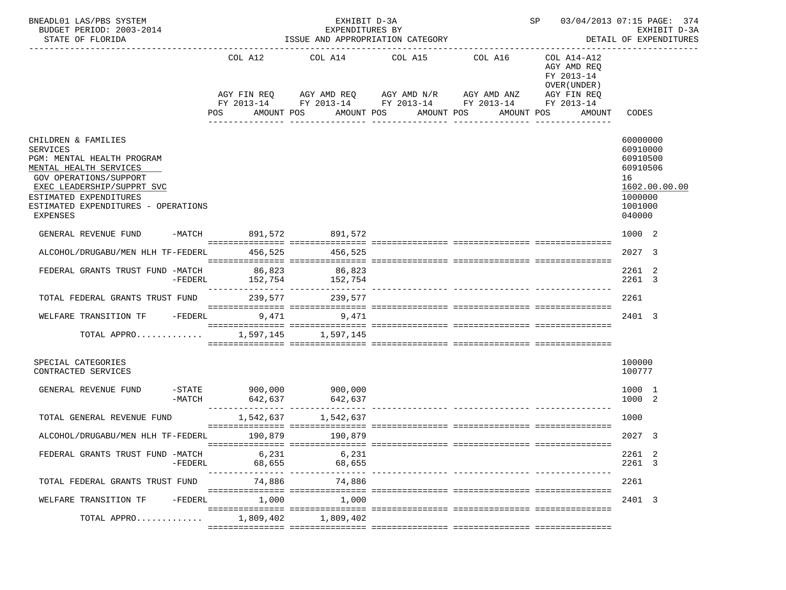| BNEADL01 LAS/PBS SYSTEM<br>BUDGET PERIOD: 2003-2014<br>STATE OF FLORIDA                                                                                                                                                                    |           |                                     | EXHIBIT D-3A<br>EXPENDITURES BY<br>ISSUE AND APPROPRIATION CATEGORY |                                                                                                                                                                           | SP and the set of the set of the set of the set of the set of the set of the set of the set of the set of the set of the set of the set of the set of the set of the set of the set of the set of the set of the set of the se | 03/04/2013 07:15 PAGE: 374<br>EXHIBIT D-3A<br>DETAIL OF EXPENDITURES                            |                                                                                                     |
|--------------------------------------------------------------------------------------------------------------------------------------------------------------------------------------------------------------------------------------------|-----------|-------------------------------------|---------------------------------------------------------------------|---------------------------------------------------------------------------------------------------------------------------------------------------------------------------|--------------------------------------------------------------------------------------------------------------------------------------------------------------------------------------------------------------------------------|-------------------------------------------------------------------------------------------------|-----------------------------------------------------------------------------------------------------|
|                                                                                                                                                                                                                                            |           | COL A12<br>POS                      | COL A14<br>AMOUNT POS                                               | COL A15 COL A16<br>AGY FIN REQ AGY AMD REQ AGY AMD N/R AGY AMD ANZ<br>FY 2013-14 FY 2013-14 FY 2013-14 FY 2013-14 FY 2013-14<br>AMOUNT POS AMOUNT POS<br>________________ | ________________                                                                                                                                                                                                               | COL A14-A12<br>AGY AMD REO<br>FY 2013-14<br>OVER (UNDER)<br>AGY FIN REQ<br>AMOUNT POS<br>AMOUNT | CODES                                                                                               |
| CHILDREN & FAMILIES<br><b>SERVICES</b><br>PGM: MENTAL HEALTH PROGRAM<br>MENTAL HEALTH SERVICES<br>GOV OPERATIONS/SUPPORT<br>EXEC LEADERSHIP/SUPPRT SVC<br>ESTIMATED EXPENDITURES<br>ESTIMATED EXPENDITURES - OPERATIONS<br><b>EXPENSES</b> |           |                                     |                                                                     |                                                                                                                                                                           |                                                                                                                                                                                                                                |                                                                                                 | 60000000<br>60910000<br>60910500<br>60910506<br>16<br>1602.00.00.00<br>1000000<br>1001000<br>040000 |
| GENERAL REVENUE FUND                                                                                                                                                                                                                       |           | -MATCH 891,572 891,572              |                                                                     |                                                                                                                                                                           |                                                                                                                                                                                                                                |                                                                                                 | 1000 2                                                                                              |
| ALCOHOL/DRUGABU/MEN HLH TF-FEDERL 456,525                                                                                                                                                                                                  |           |                                     | 456,525                                                             |                                                                                                                                                                           |                                                                                                                                                                                                                                |                                                                                                 | 2027 3                                                                                              |
| FEDERAL GRANTS TRUST FUND -MATCH 86,823                                                                                                                                                                                                    | -FEDERL   |                                     | 86,823<br>152,754 152,754                                           |                                                                                                                                                                           |                                                                                                                                                                                                                                |                                                                                                 | 2261 2<br>2261 3                                                                                    |
| TOTAL FEDERAL GRANTS TRUST FUND                                                                                                                                                                                                            |           |                                     | 239,577 239,577                                                     |                                                                                                                                                                           |                                                                                                                                                                                                                                |                                                                                                 | 2261                                                                                                |
| WELFARE TRANSITION TF -FEDERL 9,471 9,471                                                                                                                                                                                                  |           |                                     |                                                                     |                                                                                                                                                                           |                                                                                                                                                                                                                                |                                                                                                 | 2401 3                                                                                              |
| TOTAL APPRO 1,597,145 1,597,145                                                                                                                                                                                                            |           |                                     |                                                                     |                                                                                                                                                                           |                                                                                                                                                                                                                                |                                                                                                 |                                                                                                     |
| SPECIAL CATEGORIES<br>CONTRACTED SERVICES                                                                                                                                                                                                  |           |                                     |                                                                     |                                                                                                                                                                           |                                                                                                                                                                                                                                |                                                                                                 | 100000<br>100777                                                                                    |
| GENERAL REVENUE FUND                                                                                                                                                                                                                       | -MATCH    | $-STATE$ 900,000 900,000<br>642,637 | 642,637                                                             |                                                                                                                                                                           |                                                                                                                                                                                                                                |                                                                                                 | 1000 1<br>1000 2                                                                                    |
| TOTAL GENERAL REVENUE FUND                                                                                                                                                                                                                 |           |                                     | 1,542,637 1,542,637                                                 |                                                                                                                                                                           |                                                                                                                                                                                                                                |                                                                                                 | 1000                                                                                                |
| ALCOHOL/DRUGABU/MEN HLH TF-FEDERL                                                                                                                                                                                                          |           |                                     | 190,879 190,879                                                     |                                                                                                                                                                           |                                                                                                                                                                                                                                |                                                                                                 | 2027 3                                                                                              |
| FEDERAL GRANTS TRUST FUND -MATCH                                                                                                                                                                                                           | $-FEDERL$ | 6,231<br>68,655                     | 6,231<br>68,655                                                     |                                                                                                                                                                           |                                                                                                                                                                                                                                |                                                                                                 | 2261 2<br>2261 3                                                                                    |
| TOTAL FEDERAL GRANTS TRUST FUND                                                                                                                                                                                                            |           | 74,886                              | 74,886                                                              |                                                                                                                                                                           |                                                                                                                                                                                                                                |                                                                                                 | 2261                                                                                                |
| WELFARE TRANSITION TF                                                                                                                                                                                                                      | -FEDERL   | 1,000                               | 1,000                                                               |                                                                                                                                                                           |                                                                                                                                                                                                                                |                                                                                                 | 2401 3                                                                                              |
| TOTAL APPRO                                                                                                                                                                                                                                |           | 1,809,402                           | 1,809,402                                                           |                                                                                                                                                                           |                                                                                                                                                                                                                                |                                                                                                 |                                                                                                     |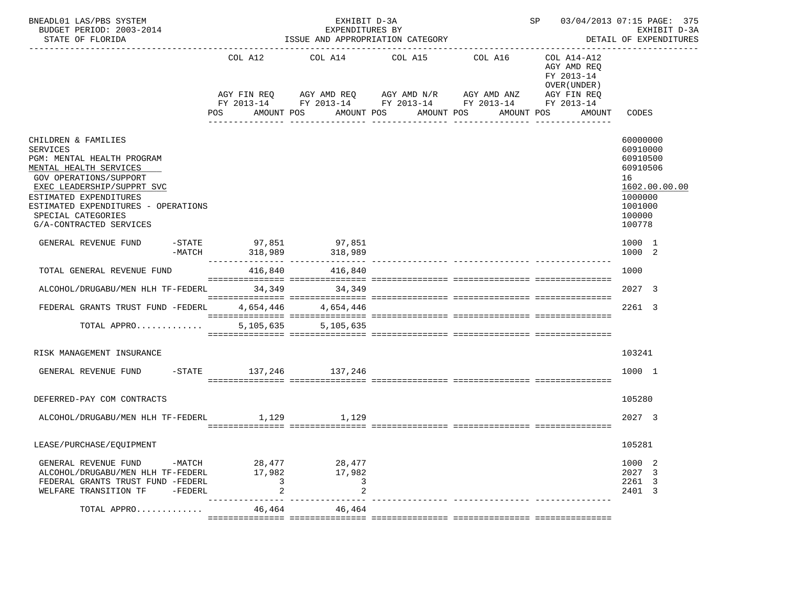| BNEADL01 LAS/PBS SYSTEM<br>BUDGET PERIOD: 2003-2014<br>STATE OF FLORIDA                                                                                                                                                                                                         |                                           | EXHIBIT D-3A<br>EXPENDITURES BY<br>ISSUE AND APPROPRIATION CATEGORY | SP 03/04/2013 07:15 PAGE: 375                                                                                                                                 | EXHIBIT D-3A<br>DETAIL OF EXPENDITURES |                                                                                                                    |                                                                                                               |
|---------------------------------------------------------------------------------------------------------------------------------------------------------------------------------------------------------------------------------------------------------------------------------|-------------------------------------------|---------------------------------------------------------------------|---------------------------------------------------------------------------------------------------------------------------------------------------------------|----------------------------------------|--------------------------------------------------------------------------------------------------------------------|---------------------------------------------------------------------------------------------------------------|
|                                                                                                                                                                                                                                                                                 | COL A12<br><b>POS</b>                     | AMOUNT POS                                                          | COL A14 COL A15 COL A16<br>AGY FIN REQ AGY AMD REQ AGY AMD N/R AGY AMD ANZ<br>FY 2013-14 FY 2013-14 FY 2013-14 FY 2013-14 FY 2013-14<br>AMOUNT POS AMOUNT POS |                                        | COL A14-A12<br>AGY AMD REO<br>FY 2013-14<br>OVER (UNDER)<br>AGY FIN REO<br>AMOUNT POS<br>AMOUNT<br>--------------- | CODES                                                                                                         |
| CHILDREN & FAMILIES<br><b>SERVICES</b><br>PGM: MENTAL HEALTH PROGRAM<br>MENTAL HEALTH SERVICES<br><b>GOV OPERATIONS/SUPPORT</b><br>EXEC LEADERSHIP/SUPPRT SVC<br>ESTIMATED EXPENDITURES<br>ESTIMATED EXPENDITURES - OPERATIONS<br>SPECIAL CATEGORIES<br>G/A-CONTRACTED SERVICES |                                           |                                                                     |                                                                                                                                                               |                                        |                                                                                                                    | 60000000<br>60910000<br>60910500<br>60910506<br>16<br>1602.00.00.00<br>1000000<br>1001000<br>100000<br>100778 |
| GENERAL REVENUE FUND                                                                                                                                                                                                                                                            |                                           | -STATE 97,851 97,851                                                |                                                                                                                                                               |                                        |                                                                                                                    | 1000 1<br>1000 2                                                                                              |
| TOTAL GENERAL REVENUE FUND                                                                                                                                                                                                                                                      |                                           | 416,840 416,840                                                     |                                                                                                                                                               |                                        |                                                                                                                    | 1000                                                                                                          |
| ALCOHOL/DRUGABU/MEN HLH TF-FEDERL 34.349 34.349                                                                                                                                                                                                                                 |                                           |                                                                     |                                                                                                                                                               |                                        |                                                                                                                    | 2027 3                                                                                                        |
| FEDERAL GRANTS TRUST FUND -FEDERL                                                                                                                                                                                                                                               |                                           | 4,654,446 4,654,446                                                 |                                                                                                                                                               |                                        |                                                                                                                    | 2261 3                                                                                                        |
| TOTAL APPRO                                                                                                                                                                                                                                                                     |                                           | 5, 105, 635 5, 105, 635                                             |                                                                                                                                                               |                                        |                                                                                                                    |                                                                                                               |
| RISK MANAGEMENT INSURANCE                                                                                                                                                                                                                                                       |                                           |                                                                     |                                                                                                                                                               |                                        |                                                                                                                    | 103241                                                                                                        |
| GENERAL REVENUE FUND                                                                                                                                                                                                                                                            |                                           | $-$ STATE $137,246$ $137,246$                                       |                                                                                                                                                               |                                        |                                                                                                                    | 1000 1                                                                                                        |
| DEFERRED-PAY COM CONTRACTS                                                                                                                                                                                                                                                      |                                           |                                                                     |                                                                                                                                                               |                                        |                                                                                                                    | 105280                                                                                                        |
| ALCOHOL/DRUGABU/MEN HLH TF-FEDERL 1,129 1,129                                                                                                                                                                                                                                   |                                           |                                                                     |                                                                                                                                                               |                                        |                                                                                                                    | 2027 3                                                                                                        |
| LEASE/PURCHASE/EQUIPMENT                                                                                                                                                                                                                                                        |                                           |                                                                     |                                                                                                                                                               |                                        |                                                                                                                    | 105281                                                                                                        |
| GENERAL REVENUE FUND -MATCH 28,477 28,477<br>ALCOHOL/DRUGABU/MEN HLH TF-FEDERL<br>FEDERAL GRANTS TRUST FUND -FEDERL<br>WELFARE TRANSITION TF<br>-FEDERL                                                                                                                         | 17,982<br>$\overline{\phantom{a}}$ 3<br>2 | 17,982<br>3<br>2                                                    |                                                                                                                                                               |                                        |                                                                                                                    | 1000 2<br>2027 3<br>2261 3<br>2401 3                                                                          |
| TOTAL APPRO                                                                                                                                                                                                                                                                     | 46,464                                    | 46,464                                                              |                                                                                                                                                               |                                        |                                                                                                                    |                                                                                                               |
|                                                                                                                                                                                                                                                                                 |                                           |                                                                     |                                                                                                                                                               |                                        |                                                                                                                    |                                                                                                               |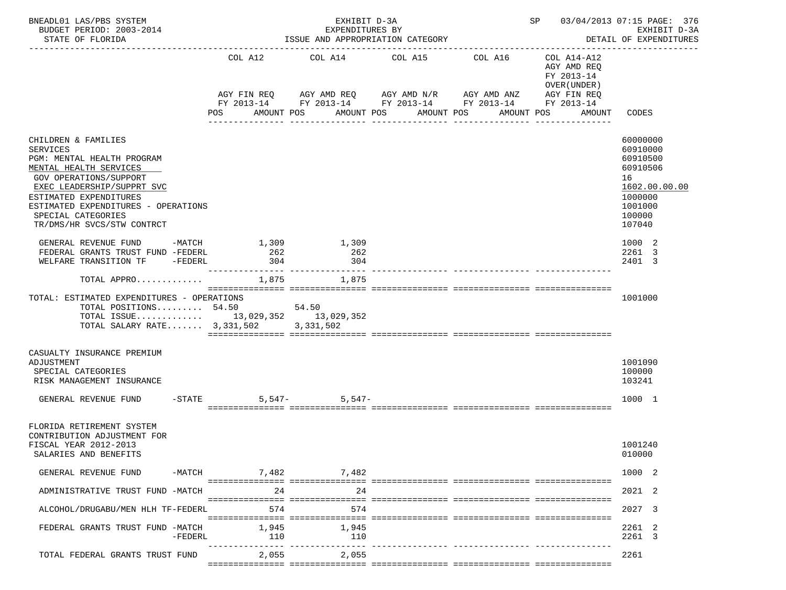| BNEADL01 LAS/PBS SYSTEM<br>BUDGET PERIOD: 2003-2014<br>STATE OF FLORIDA                                                                                                                                                                                                     |           | ISSUE AND APPROPRIATION CATEGORY | SP 03/04/2013 07:15 PAGE: 376<br>------------------------------------- | EXHIBIT D-3A<br>DETAIL OF EXPENDITURES                                                     |                                                                          |                                                                                                               |
|-----------------------------------------------------------------------------------------------------------------------------------------------------------------------------------------------------------------------------------------------------------------------------|-----------|----------------------------------|------------------------------------------------------------------------|--------------------------------------------------------------------------------------------|--------------------------------------------------------------------------|---------------------------------------------------------------------------------------------------------------|
|                                                                                                                                                                                                                                                                             |           | COL A12                          | COL A14                                                                | COL A16<br>COL A15<br>AGY FIN REQ        AGY AMD REQ        AGY AMD N/R        AGY AMD ANZ | COL A14-A12<br>AGY AMD REO<br>FY 2013-14<br>OVER (UNDER )<br>AGY FIN REQ |                                                                                                               |
|                                                                                                                                                                                                                                                                             |           | POS                              | AMOUNT POS                                                             | FY 2013-14 FY 2013-14 FY 2013-14 FY 2013-14 FY 2013-14<br>AMOUNT POS<br>AMOUNT POS         | AMOUNT POS<br>AMOUNT                                                     | CODES                                                                                                         |
| CHILDREN & FAMILIES<br><b>SERVICES</b><br>PGM: MENTAL HEALTH PROGRAM<br>MENTAL HEALTH SERVICES<br>GOV OPERATIONS/SUPPORT<br>EXEC LEADERSHIP/SUPPRT SVC<br>ESTIMATED EXPENDITURES<br>ESTIMATED EXPENDITURES - OPERATIONS<br>SPECIAL CATEGORIES<br>TR/DMS/HR SVCS/STW CONTRCT |           |                                  |                                                                        |                                                                                            |                                                                          | 60000000<br>60910000<br>60910500<br>60910506<br>16<br>1602.00.00.00<br>1000000<br>1001000<br>100000<br>107040 |
| GENERAL REVENUE FUND -MATCH<br>FEDERAL GRANTS TRUST FUND -FEDERL<br>WELFARE TRANSITION TF -FEDERL                                                                                                                                                                           |           | 1,309<br>262<br>304              | 1,309<br>262<br>304                                                    |                                                                                            |                                                                          | 1000 2<br>2261 3<br>2401 3                                                                                    |
| TOTAL APPRO $\ldots \ldots \ldots \ldots$ 1,875 $\qquad \qquad 1,875$                                                                                                                                                                                                       |           |                                  |                                                                        |                                                                                            |                                                                          |                                                                                                               |
| TOTAL: ESTIMATED EXPENDITURES - OPERATIONS<br>TOTAL POSITIONS 54.50 54.50<br>TOTAL ISSUE 13,029,352 13,029,352<br>TOTAL SALARY RATE 3, 331, 502 3, 331, 502                                                                                                                 |           |                                  |                                                                        |                                                                                            |                                                                          | 1001000                                                                                                       |
| CASUALTY INSURANCE PREMIUM<br>ADJUSTMENT<br>SPECIAL CATEGORIES<br>RISK MANAGEMENT INSURANCE                                                                                                                                                                                 |           |                                  |                                                                        |                                                                                            |                                                                          | 1001090<br>100000<br>103241                                                                                   |
| GENERAL REVENUE FUND -STATE                                                                                                                                                                                                                                                 |           |                                  | $5,547-5,547-$                                                         |                                                                                            |                                                                          | 1000 1                                                                                                        |
| FLORIDA RETIREMENT SYSTEM<br>CONTRIBUTION ADJUSTMENT FOR<br>FISCAL YEAR 2012-2013<br>SALARIES AND BENEFITS                                                                                                                                                                  |           |                                  |                                                                        |                                                                                            |                                                                          | 1001240<br>010000                                                                                             |
| GENERAL REVENUE FUND                                                                                                                                                                                                                                                        |           | $-MATCH$                         | 7,482 7,482                                                            |                                                                                            |                                                                          | 1000 2                                                                                                        |
| ADMINISTRATIVE TRUST FUND -MATCH                                                                                                                                                                                                                                            |           | 24                               | 24                                                                     |                                                                                            |                                                                          | 2021 2                                                                                                        |
| ALCOHOL/DRUGABU/MEN HLH TF-FEDERL                                                                                                                                                                                                                                           |           | 574                              | 574                                                                    |                                                                                            |                                                                          | 2027 3                                                                                                        |
| FEDERAL GRANTS TRUST FUND -MATCH                                                                                                                                                                                                                                            | $-FEDERL$ | 1,945<br>110                     | 1,945<br>110                                                           |                                                                                            |                                                                          | 2261 2<br>2261 3                                                                                              |
| TOTAL FEDERAL GRANTS TRUST FUND                                                                                                                                                                                                                                             |           | 2,055                            | 2,055                                                                  |                                                                                            |                                                                          | 2261                                                                                                          |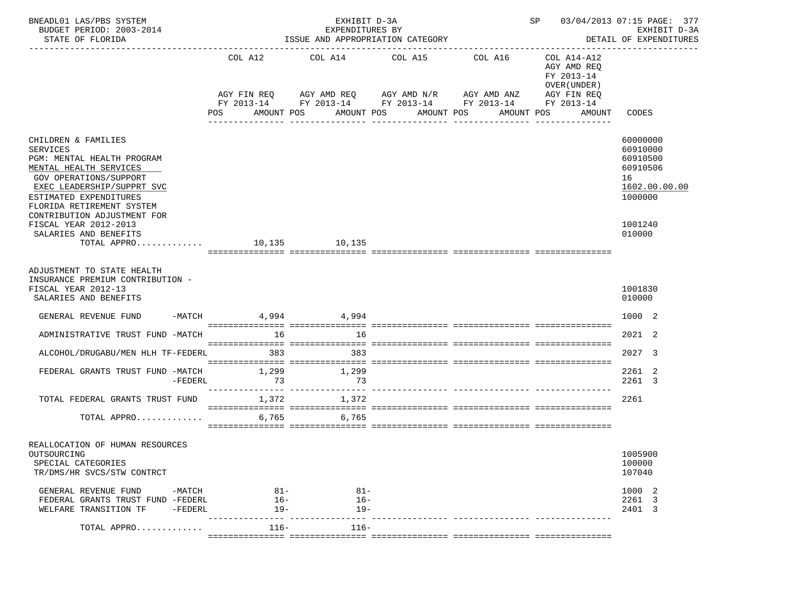| BNEADL01 LAS/PBS SYSTEM<br>BUDGET PERIOD: 2003-2014<br>STATE OF FLORIDA                                        |                       | EXHIBIT D-3A<br>EXPENDITURES BY<br>ISSUE AND APPROPRIATION CATEGORY                                              | SP 03/04/2013 07:15 PAGE: 377 | EXHIBIT D-3A<br>DETAIL OF EXPENDITURES |                                                          |                             |
|----------------------------------------------------------------------------------------------------------------|-----------------------|------------------------------------------------------------------------------------------------------------------|-------------------------------|----------------------------------------|----------------------------------------------------------|-----------------------------|
|                                                                                                                | COL A12               | COL A14                                                                                                          | COL A15                       | COL A16                                | COL A14-A12<br>AGY AMD REO<br>FY 2013-14<br>OVER (UNDER) |                             |
|                                                                                                                |                       | AGY FIN REQ 6 AGY AMD REQ 6 AGY AMD N/R 66 AGY AMD ANZ<br>FY 2013-14 FY 2013-14 FY 2013-14 FY 2013-14 FY 2013-14 |                               |                                        | AGY FIN REQ                                              |                             |
|                                                                                                                | POS                   | AMOUNT POS AMOUNT POS AMOUNT POS                                                                                 | ----------                    | -----------                            | AMOUNT POS<br>AMOUNT                                     | CODES                       |
| CHILDREN & FAMILIES<br><b>SERVICES</b>                                                                         |                       |                                                                                                                  |                               |                                        |                                                          | 60000000<br>60910000        |
| PGM: MENTAL HEALTH PROGRAM<br>MENTAL HEALTH SERVICES                                                           |                       |                                                                                                                  |                               |                                        |                                                          | 60910500<br>60910506        |
| <b>GOV OPERATIONS/SUPPORT</b><br>EXEC LEADERSHIP/SUPPRT SVC                                                    |                       |                                                                                                                  |                               |                                        |                                                          | 16<br>1602.00.00.00         |
| ESTIMATED EXPENDITURES<br>FLORIDA RETIREMENT SYSTEM                                                            |                       |                                                                                                                  |                               |                                        |                                                          | 1000000                     |
| CONTRIBUTION ADJUSTMENT FOR<br>FISCAL YEAR 2012-2013<br>SALARIES AND BENEFITS                                  |                       |                                                                                                                  |                               |                                        |                                                          | 1001240<br>010000           |
| TOTAL APPRO 10,135 10,135                                                                                      |                       |                                                                                                                  |                               |                                        |                                                          |                             |
| ADJUSTMENT TO STATE HEALTH<br>INSURANCE PREMIUM CONTRIBUTION -<br>FISCAL YEAR 2012-13<br>SALARIES AND BENEFITS |                       |                                                                                                                  |                               |                                        |                                                          | 1001830<br>010000           |
| GENERAL REVENUE FUND                                                                                           | $-$ MATCH 4,994 4,994 |                                                                                                                  |                               |                                        |                                                          | 1000 2                      |
| ADMINISTRATIVE TRUST FUND -MATCH                                                                               |                       | 16 16                                                                                                            |                               |                                        |                                                          | 2021 2                      |
| ALCOHOL/DRUGABU/MEN HLH TF-FEDERL                                                                              | 383                   | 383                                                                                                              |                               |                                        |                                                          | 2027 3                      |
| FEDERAL GRANTS TRUST FUND -MATCH<br>$-FEDERL$                                                                  | 1,299<br>73           | 1,299<br>73                                                                                                      |                               |                                        |                                                          | 2261 2<br>2261 3            |
| TOTAL FEDERAL GRANTS TRUST FUND                                                                                | 1,372                 | 1,372                                                                                                            |                               |                                        |                                                          | 2261                        |
| TOTAL APPRO                                                                                                    | 6,765                 | 6,765                                                                                                            |                               |                                        |                                                          |                             |
| REALLOCATION OF HUMAN RESOURCES<br>OUTSOURCING<br>SPECIAL CATEGORIES<br>TR/DMS/HR SVCS/STW CONTRCT             |                       |                                                                                                                  |                               |                                        |                                                          | 1005900<br>100000<br>107040 |
| GENERAL REVENUE FUND<br>-MATCH                                                                                 | 81-                   | $81 -$                                                                                                           |                               |                                        |                                                          | 1000 2                      |
| FEDERAL GRANTS TRUST FUND -FEDERL<br>WELFARE TRANSITION TF<br>$-FEDERL$                                        | $16-$<br>19-          | $16 -$<br>$19-$                                                                                                  |                               |                                        |                                                          | 2261 3<br>2401 3            |
| TOTAL APPRO                                                                                                    | $116-$                | $116-$                                                                                                           |                               |                                        |                                                          |                             |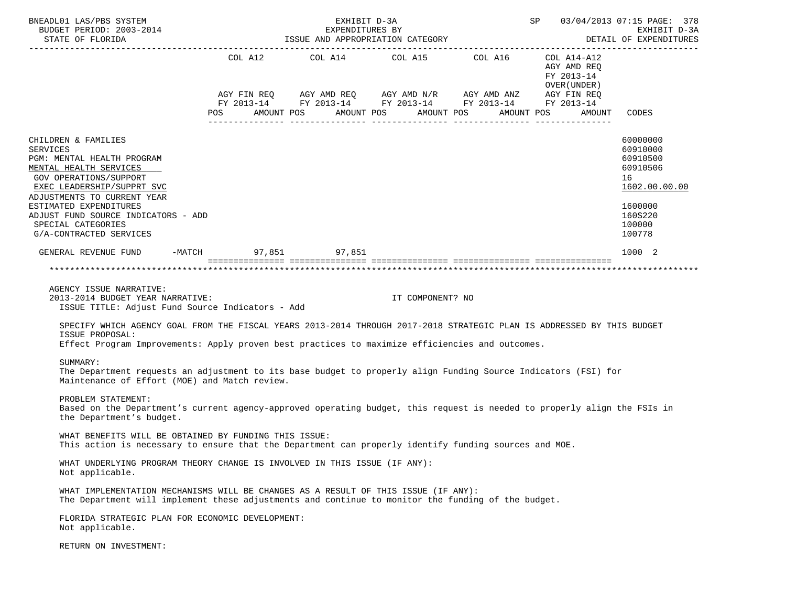| BNEADL01 LAS/PBS SYSTEM<br>BUDGET PERIOD: 2003-2014                                                                                                                                                                                                                                                                                                             |            | EXHIBIT D-3A | EXPENDITURES BY<br>ISSUE AND APPROPRIATION CATEGORY |                                                                                                                                                                                                                                                                                 |                                            | SP 03/04/2013 07:15 PAGE: 378<br>EXHIBIT D-3A                                                                 |
|-----------------------------------------------------------------------------------------------------------------------------------------------------------------------------------------------------------------------------------------------------------------------------------------------------------------------------------------------------------------|------------|--------------|-----------------------------------------------------|---------------------------------------------------------------------------------------------------------------------------------------------------------------------------------------------------------------------------------------------------------------------------------|--------------------------------------------|---------------------------------------------------------------------------------------------------------------|
| STATE OF FLORIDA                                                                                                                                                                                                                                                                                                                                                |            |              |                                                     | DETAIL OF EXPENDITURES                                                                                                                                                                                                                                                          |                                            |                                                                                                               |
|                                                                                                                                                                                                                                                                                                                                                                 | <b>POS</b> |              |                                                     | COL A12 $\qquad$ COL A14 $\qquad$ COL A15 $\qquad$ COL A16 $\qquad$ COL A14-A12<br>$AGY \text{ FIN REQ} \qquad AGY \text{ AMD REQ} \qquad AGY \text{ AMD } N/R \qquad AGY \text{ AMD ANZ} \qquad AGY \text{ FIN REQ}$<br>FY 2013-14 FY 2013-14 FY 2013-14 FY 2013-14 FY 2013-14 | AGY AMD REQ<br>FY 2013-14<br>OVER (UNDER ) |                                                                                                               |
|                                                                                                                                                                                                                                                                                                                                                                 | AMOUNT POS |              | AMOUNT POS                                          | AMOUNT POS<br>AMOUNT POS                                                                                                                                                                                                                                                        |                                            | AMOUNT CODES                                                                                                  |
| CHILDREN & FAMILIES<br><b>SERVICES</b><br>PGM: MENTAL HEALTH PROGRAM<br>MENTAL HEALTH SERVICES<br>GOV OPERATIONS/SUPPORT<br>EXEC LEADERSHIP/SUPPRT SVC<br>ADJUSTMENTS TO CURRENT YEAR<br>ESTIMATED EXPENDITURES<br>ADJUST FUND SOURCE INDICATORS - ADD<br>SPECIAL CATEGORIES<br>G/A-CONTRACTED SERVICES                                                         |            |              |                                                     |                                                                                                                                                                                                                                                                                 |                                            | 60000000<br>60910000<br>60910500<br>60910506<br>16<br>1602.00.00.00<br>1600000<br>160S220<br>100000<br>100778 |
| GENERAL REVENUE FUND -MATCH 97,851 97,851                                                                                                                                                                                                                                                                                                                       |            |              |                                                     |                                                                                                                                                                                                                                                                                 |                                            | 1000 2                                                                                                        |
|                                                                                                                                                                                                                                                                                                                                                                 |            |              |                                                     |                                                                                                                                                                                                                                                                                 |                                            |                                                                                                               |
| AGENCY ISSUE NARRATIVE:<br>2013-2014 BUDGET YEAR NARRATIVE:<br>ISSUE TITLE: Adjust Fund Source Indicators - Add<br>SPECIFY WHICH AGENCY GOAL FROM THE FISCAL YEARS 2013-2014 THROUGH 2017-2018 STRATEGIC PLAN IS ADDRESSED BY THIS BUDGET<br>ISSUE PROPOSAL:<br>Effect Program Improvements: Apply proven best practices to maximize efficiencies and outcomes. |            |              | IT COMPONENT? NO                                    |                                                                                                                                                                                                                                                                                 |                                            |                                                                                                               |
| SUMMARY:<br>The Department requests an adjustment to its base budget to properly align Funding Source Indicators (FSI) for<br>Maintenance of Effort (MOE) and Match review.                                                                                                                                                                                     |            |              |                                                     |                                                                                                                                                                                                                                                                                 |                                            |                                                                                                               |
| PROBLEM STATEMENT:<br>Based on the Department's current agency-approved operating budget, this request is needed to properly align the FSIs in<br>the Department's budget.                                                                                                                                                                                      |            |              |                                                     |                                                                                                                                                                                                                                                                                 |                                            |                                                                                                               |
| WHAT BENEFITS WILL BE OBTAINED BY FUNDING THIS ISSUE:<br>This action is necessary to ensure that the Department can properly identify funding sources and MOE.                                                                                                                                                                                                  |            |              |                                                     |                                                                                                                                                                                                                                                                                 |                                            |                                                                                                               |
| WHAT UNDERLYING PROGRAM THEORY CHANGE IS INVOLVED IN THIS ISSUE (IF ANY):<br>Not applicable.                                                                                                                                                                                                                                                                    |            |              |                                                     |                                                                                                                                                                                                                                                                                 |                                            |                                                                                                               |
| WHAT IMPLEMENTATION MECHANISMS WILL BE CHANGES AS A RESULT OF THIS ISSUE (IF ANY):<br>The Department will implement these adjustments and continue to monitor the funding of the budget.                                                                                                                                                                        |            |              |                                                     |                                                                                                                                                                                                                                                                                 |                                            |                                                                                                               |
| FLORIDA STRATEGIC PLAN FOR ECONOMIC DEVELOPMENT:<br>Not applicable.                                                                                                                                                                                                                                                                                             |            |              |                                                     |                                                                                                                                                                                                                                                                                 |                                            |                                                                                                               |
| RETURN ON INVESTMENT:                                                                                                                                                                                                                                                                                                                                           |            |              |                                                     |                                                                                                                                                                                                                                                                                 |                                            |                                                                                                               |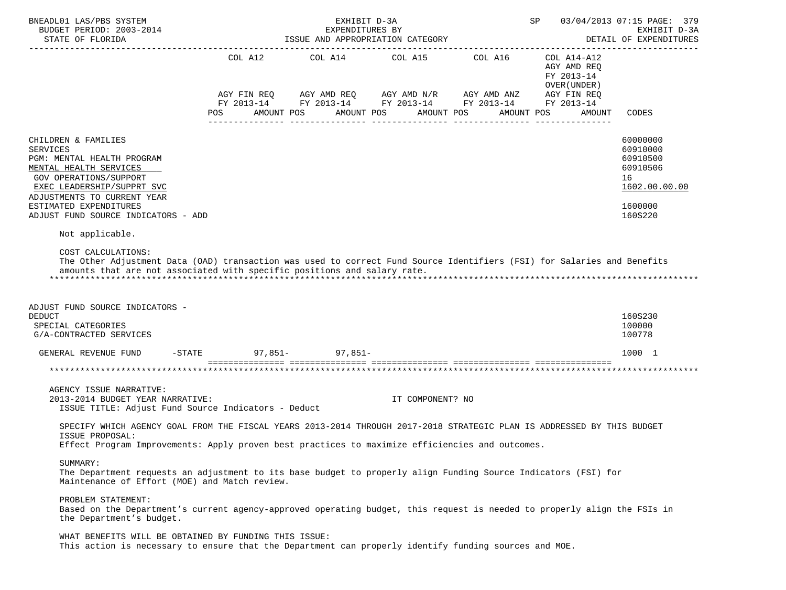| BNEADL01 LAS/PBS SYSTEM<br>BUDGET PERIOD: 2003-2014<br>STATE OF FLORIDA                                                                                                                                                                                | EXHIBIT D-3A<br>SP <sub>2</sub><br>EXPENDITURES BY<br>ISSUE AND APPROPRIATION CATEGORY |  |                                                                                                                                                                                   |                     |  |                  |  |  |  |                                                                         |        | 03/04/2013 07:15 PAGE: 379<br>EXHIBIT D-3A<br>DETAIL OF EXPENDITURES                      |  |  |
|--------------------------------------------------------------------------------------------------------------------------------------------------------------------------------------------------------------------------------------------------------|----------------------------------------------------------------------------------------|--|-----------------------------------------------------------------------------------------------------------------------------------------------------------------------------------|---------------------|--|------------------|--|--|--|-------------------------------------------------------------------------|--------|-------------------------------------------------------------------------------------------|--|--|
|                                                                                                                                                                                                                                                        | COL A12<br>AGY FIN REQ                                                                 |  | COL A14<br>COL A15 COL A16<br>AGY AMD REQ AGY AMD N/R AGY AMD ANZ AGY FIN REQ<br>FY 2013-14 FY 2013-14 FY 2013-14 FY 2013-14 FY 2013-14<br>AMOUNT POS<br>AMOUNT POS<br>AMOUNT POS |                     |  |                  |  |  |  | COL A14-A12<br>AGY AMD REO<br>FY 2013-14<br>OVER (UNDER )<br>AMOUNT POS |        |                                                                                           |  |  |
|                                                                                                                                                                                                                                                        | POS                                                                                    |  |                                                                                                                                                                                   |                     |  |                  |  |  |  |                                                                         | AMOUNT | CODES                                                                                     |  |  |
| CHILDREN & FAMILIES<br><b>SERVICES</b><br>PGM: MENTAL HEALTH PROGRAM<br>MENTAL HEALTH SERVICES<br>GOV OPERATIONS/SUPPORT<br>EXEC LEADERSHIP/SUPPRT SVC<br>ADJUSTMENTS TO CURRENT YEAR<br>ESTIMATED EXPENDITURES<br>ADJUST FUND SOURCE INDICATORS - ADD |                                                                                        |  |                                                                                                                                                                                   |                     |  |                  |  |  |  |                                                                         |        | 60000000<br>60910000<br>60910500<br>60910506<br>16<br>1602.00.00.00<br>1600000<br>160S220 |  |  |
| Not applicable.                                                                                                                                                                                                                                        |                                                                                        |  |                                                                                                                                                                                   |                     |  |                  |  |  |  |                                                                         |        |                                                                                           |  |  |
| COST CALCULATIONS:<br>The Other Adjustment Data (OAD) transaction was used to correct Fund Source Identifiers (FSI) for Salaries and Benefits<br>amounts that are not associated with specific positions and salary rate.                              |                                                                                        |  |                                                                                                                                                                                   |                     |  |                  |  |  |  |                                                                         |        |                                                                                           |  |  |
| ADJUST FUND SOURCE INDICATORS -<br><b>DEDUCT</b><br>SPECIAL CATEGORIES<br>G/A-CONTRACTED SERVICES                                                                                                                                                      |                                                                                        |  |                                                                                                                                                                                   |                     |  |                  |  |  |  |                                                                         |        | 160S230<br>100000<br>100778                                                               |  |  |
| GENERAL REVENUE FUND                                                                                                                                                                                                                                   | $-$ STATE                                                                              |  |                                                                                                                                                                                   | $97,851 - 97.851 -$ |  |                  |  |  |  |                                                                         |        | 1000 1                                                                                    |  |  |
|                                                                                                                                                                                                                                                        |                                                                                        |  |                                                                                                                                                                                   |                     |  |                  |  |  |  |                                                                         |        | **********************                                                                    |  |  |
| AGENCY ISSUE NARRATIVE:<br>2013-2014 BUDGET YEAR NARRATIVE:<br>ISSUE TITLE: Adjust Fund Source Indicators - Deduct                                                                                                                                     |                                                                                        |  |                                                                                                                                                                                   |                     |  | IT COMPONENT? NO |  |  |  |                                                                         |        |                                                                                           |  |  |
| SPECIFY WHICH AGENCY GOAL FROM THE FISCAL YEARS 2013-2014 THROUGH 2017-2018 STRATEGIC PLAN IS ADDRESSED BY THIS BUDGET<br>ISSUE PROPOSAL:<br>Effect Program Improvements: Apply proven best practices to maximize efficiencies and outcomes.           |                                                                                        |  |                                                                                                                                                                                   |                     |  |                  |  |  |  |                                                                         |        |                                                                                           |  |  |
| SUMMARY:<br>The Department requests an adjustment to its base budget to properly align Funding Source Indicators (FSI) for<br>Maintenance of Effort (MOE) and Match review.                                                                            |                                                                                        |  |                                                                                                                                                                                   |                     |  |                  |  |  |  |                                                                         |        |                                                                                           |  |  |
| PROBLEM STATEMENT:<br>Based on the Department's current agency-approved operating budget, this request is needed to properly align the FSIs in<br>the Department's budget.                                                                             |                                                                                        |  |                                                                                                                                                                                   |                     |  |                  |  |  |  |                                                                         |        |                                                                                           |  |  |
| WHAT BENEFITS WILL BE OBTAINED BY FUNDING THIS ISSUE:<br>This action is necessary to ensure that the Department can properly identify funding sources and MOE.                                                                                         |                                                                                        |  |                                                                                                                                                                                   |                     |  |                  |  |  |  |                                                                         |        |                                                                                           |  |  |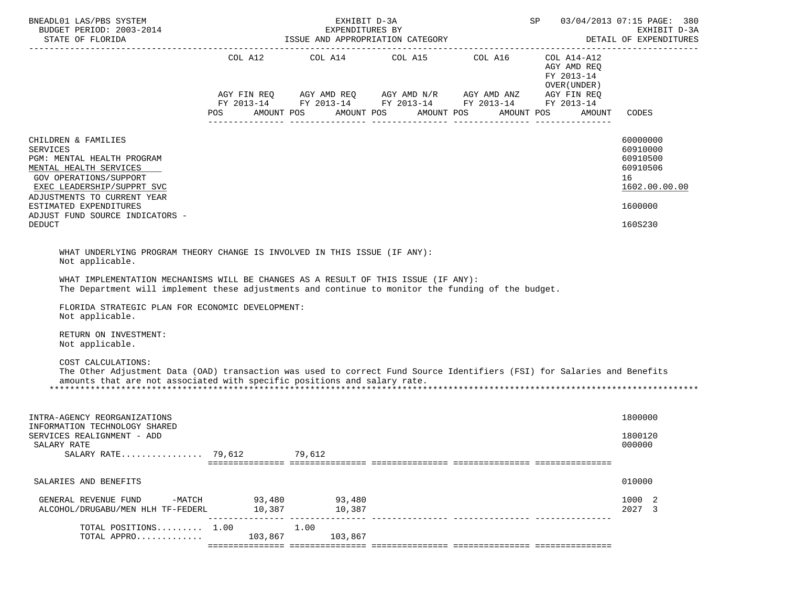| BNEADL01 LAS/PBS SYSTEM<br>BUDGET PERIOD: 2003-2014                                                                                                                                                                                                                                                                                                                                                                                                                                                                                                                                                                                      | SP               | 03/04/2013 07:15 PAGE: 380<br>EXHIBIT D-3A |                                                                                                                                                                                    |                                                                    |                                                                                           |
|------------------------------------------------------------------------------------------------------------------------------------------------------------------------------------------------------------------------------------------------------------------------------------------------------------------------------------------------------------------------------------------------------------------------------------------------------------------------------------------------------------------------------------------------------------------------------------------------------------------------------------------|------------------|--------------------------------------------|------------------------------------------------------------------------------------------------------------------------------------------------------------------------------------|--------------------------------------------------------------------|-------------------------------------------------------------------------------------------|
|                                                                                                                                                                                                                                                                                                                                                                                                                                                                                                                                                                                                                                          |                  |                                            |                                                                                                                                                                                    | DETAIL OF EXPENDITURES                                             |                                                                                           |
|                                                                                                                                                                                                                                                                                                                                                                                                                                                                                                                                                                                                                                          | POS              | AMOUNT POS AMOUNT POS                      | COL A12 COL A14 COL A15 COL A16 COL A14-A12<br>AGY FIN REQ AGY AMD REQ AGY AMD N/R AGY AMD ANZ AGY FIN REQ<br>FY 2013-14 FY 2013-14 FY 2013-14 FY 2013-14 FY 2013-14<br>AMOUNT POS | AGY AMD REQ<br>FY 2013-14<br>OVER (UNDER )<br>AMOUNT POS<br>AMOUNT | CODES                                                                                     |
| CHILDREN & FAMILIES<br><b>SERVICES</b><br>PGM: MENTAL HEALTH PROGRAM<br>MENTAL HEALTH SERVICES<br>GOV OPERATIONS/SUPPORT<br>EXEC LEADERSHIP/SUPPRT SVC<br>ADJUSTMENTS TO CURRENT YEAR<br>ESTIMATED EXPENDITURES<br>ADJUST FUND SOURCE INDICATORS -<br><b>DEDUCT</b>                                                                                                                                                                                                                                                                                                                                                                      |                  |                                            |                                                                                                                                                                                    |                                                                    | 60000000<br>60910000<br>60910500<br>60910506<br>16<br>1602.00.00.00<br>1600000<br>160S230 |
| WHAT UNDERLYING PROGRAM THEORY CHANGE IS INVOLVED IN THIS ISSUE (IF ANY):<br>Not applicable.<br>WHAT IMPLEMENTATION MECHANISMS WILL BE CHANGES AS A RESULT OF THIS ISSUE (IF ANY):<br>The Department will implement these adjustments and continue to monitor the funding of the budget.<br>FLORIDA STRATEGIC PLAN FOR ECONOMIC DEVELOPMENT:<br>Not applicable.<br>RETURN ON INVESTMENT:<br>Not applicable.<br>COST CALCULATIONS:<br>The Other Adjustment Data (OAD) transaction was used to correct Fund Source Identifiers (FSI) for Salaries and Benefits<br>amounts that are not associated with specific positions and salary rate. |                  |                                            |                                                                                                                                                                                    |                                                                    |                                                                                           |
| INTRA-AGENCY REORGANIZATIONS<br>INFORMATION TECHNOLOGY SHARED                                                                                                                                                                                                                                                                                                                                                                                                                                                                                                                                                                            |                  |                                            |                                                                                                                                                                                    |                                                                    | 1800000                                                                                   |
| SERVICES REALIGNMENT - ADD<br>SALARY RATE<br>SALARY RATE $79.612$                                                                                                                                                                                                                                                                                                                                                                                                                                                                                                                                                                        |                  | 79,612                                     |                                                                                                                                                                                    |                                                                    | 1800120<br>000000                                                                         |
| SALARIES AND BENEFITS                                                                                                                                                                                                                                                                                                                                                                                                                                                                                                                                                                                                                    |                  |                                            |                                                                                                                                                                                    |                                                                    | 010000                                                                                    |
| GENERAL REVENUE FUND<br>-MATCH<br>ALCOHOL/DRUGABU/MEN HLH TF-FEDERL                                                                                                                                                                                                                                                                                                                                                                                                                                                                                                                                                                      | 93,480<br>10,387 | 93,480<br>10,387                           |                                                                                                                                                                                    |                                                                    | 1000 2<br>2027 3                                                                          |
| TOTAL POSITIONS 1.00<br>TOTAL APPRO                                                                                                                                                                                                                                                                                                                                                                                                                                                                                                                                                                                                      | 103,867          | 1.00<br>103,867                            |                                                                                                                                                                                    |                                                                    |                                                                                           |
|                                                                                                                                                                                                                                                                                                                                                                                                                                                                                                                                                                                                                                          |                  |                                            |                                                                                                                                                                                    |                                                                    |                                                                                           |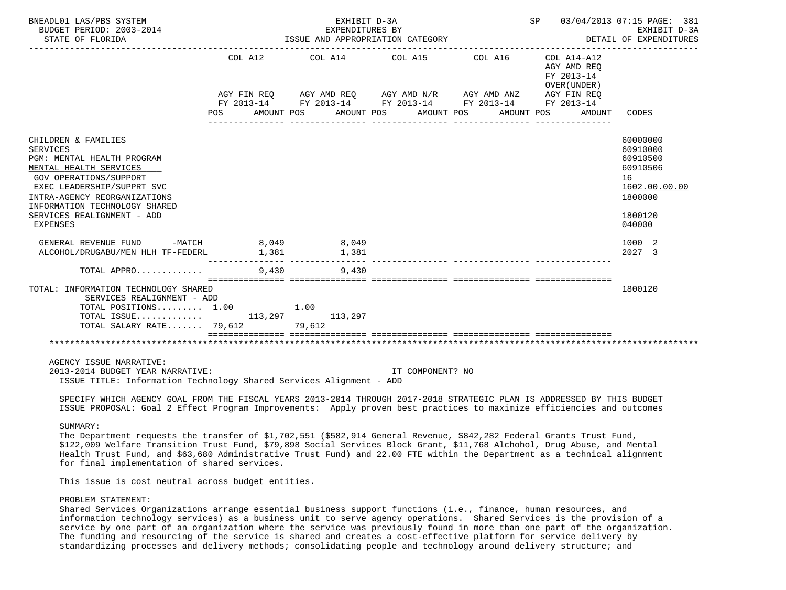| BNEADL01 LAS/PBS SYSTEM<br>BUDGET PERIOD: 2003-2014<br>STATE OF FLORIDA                                                                                                                                                                                                  | SP 03/04/2013 07:15 PAGE: 381<br>EXHIBIT D-3A<br>EXPENDITURES BY<br>DETAIL OF EXPENDITURES<br>ISSUE AND APPROPRIATION CATEGORY |       |                  |            |  |                                |                                                                                                                                                                                  |  |                                                         | EXHIBIT D-3A                     |                                                                                                     |
|--------------------------------------------------------------------------------------------------------------------------------------------------------------------------------------------------------------------------------------------------------------------------|--------------------------------------------------------------------------------------------------------------------------------|-------|------------------|------------|--|--------------------------------|----------------------------------------------------------------------------------------------------------------------------------------------------------------------------------|--|---------------------------------------------------------|----------------------------------|-----------------------------------------------------------------------------------------------------|
|                                                                                                                                                                                                                                                                          | COL A12<br>POS AMOUNT POS                                                                                                      |       | ________________ | AMOUNT POS |  | AMOUNT POS<br>________________ | COL A14 COL A15 COL A16 COL A14-A12<br>AGY FIN REQ AGY AMD REQ AGY AMD N/R AGY AMD ANZ AGY FIN REQ<br>FY 2013-14 FY 2013-14 FY 2013-14 FY 2013-14 FY 2013-14<br>________________ |  | AGY AMD REO<br>FY 2013-14<br>OVER (UNDER)<br>AMOUNT POS | AMOUNT CODES<br>________________ |                                                                                                     |
| CHILDREN & FAMILIES<br><b>SERVICES</b><br>PGM: MENTAL HEALTH PROGRAM<br>MENTAL HEALTH SERVICES<br><b>GOV OPERATIONS/SUPPORT</b><br>EXEC LEADERSHIP/SUPPRT SVC<br>INTRA-AGENCY REORGANIZATIONS<br>INFORMATION TECHNOLOGY SHARED<br>SERVICES REALIGNMENT - ADD<br>EXPENSES |                                                                                                                                |       |                  |            |  |                                |                                                                                                                                                                                  |  |                                                         |                                  | 60000000<br>60910000<br>60910500<br>60910506<br>16<br>1602.00.00.00<br>1800000<br>1800120<br>040000 |
| GENERAL REVENUE FUND -MATCH 8,049 8,049<br>ALCOHOL/DRUGABU/MEN HLH TF-FEDERL                                                                                                                                                                                             |                                                                                                                                | 1,381 |                  | 1,381      |  |                                |                                                                                                                                                                                  |  |                                                         |                                  | 1000 2<br>2027 3                                                                                    |
| TOTAL APPRO                                                                                                                                                                                                                                                              |                                                                                                                                | 9,430 | 9.430            |            |  |                                |                                                                                                                                                                                  |  |                                                         |                                  |                                                                                                     |
| TOTAL: INFORMATION TECHNOLOGY SHARED<br>SERVICES REALIGNMENT - ADD<br>TOTAL POSITIONS 1.00<br>TOTAL ISSUE 113,297 113,297<br>TOTAL SALARY RATE 79,612 79,612                                                                                                             |                                                                                                                                | 1.00  |                  |            |  |                                |                                                                                                                                                                                  |  |                                                         |                                  | 1800120                                                                                             |
|                                                                                                                                                                                                                                                                          |                                                                                                                                |       |                  |            |  |                                |                                                                                                                                                                                  |  |                                                         |                                  |                                                                                                     |
| AGENCY ISSUE NARRATIVE:<br>2013-2014 BUDGET YEAR NARRATIVE:<br>ISSUE TITLE: Information Technology Shared Services Alignment - ADD                                                                                                                                       |                                                                                                                                |       |                  |            |  | IT COMPONENT? NO               |                                                                                                                                                                                  |  |                                                         |                                  |                                                                                                     |

 SPECIFY WHICH AGENCY GOAL FROM THE FISCAL YEARS 2013-2014 THROUGH 2017-2018 STRATEGIC PLAN IS ADDRESSED BY THIS BUDGET ISSUE PROPOSAL: Goal 2 Effect Program Improvements: Apply proven best practices to maximize efficiencies and outcomes

#### SUMMARY:

 The Department requests the transfer of \$1,702,551 (\$582,914 General Revenue, \$842,282 Federal Grants Trust Fund, \$122,009 Welfare Transition Trust Fund, \$79,898 Social Services Block Grant, \$11,768 Alchohol, Drug Abuse, and Mental Health Trust Fund, and \$63,680 Administrative Trust Fund) and 22.00 FTE within the Department as a technical alignment for final implementation of shared services.

This issue is cost neutral across budget entities.

## PROBLEM STATEMENT:

 Shared Services Organizations arrange essential business support functions (i.e., finance, human resources, and information technology services) as a business unit to serve agency operations. Shared Services is the provision of a service by one part of an organization where the service was previously found in more than one part of the organization. The funding and resourcing of the service is shared and creates a cost-effective platform for service delivery by standardizing processes and delivery methods; consolidating people and technology around delivery structure; and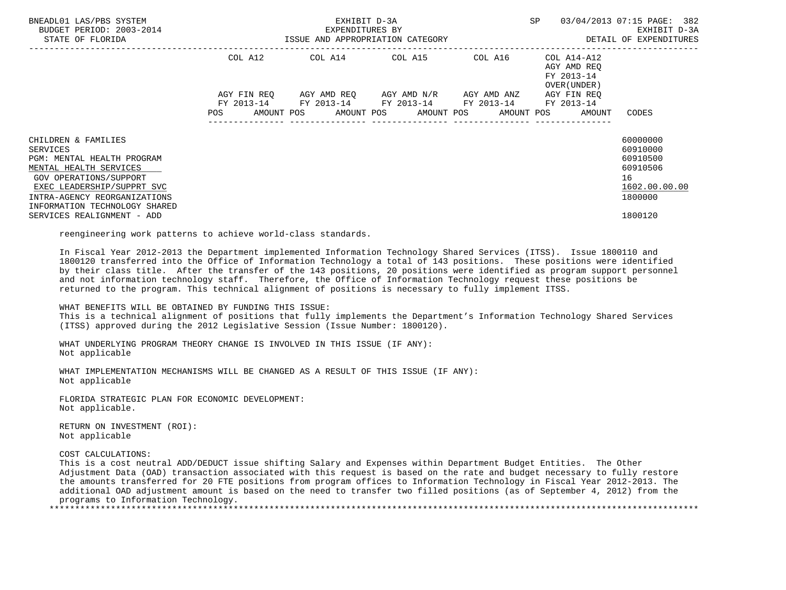| BNEADL01 LAS/PBS SYSTEM<br>BUDGET PERIOD: 2003-2014<br>STATE OF FLORIDA                                                                                                                                          | ISSUE AND APPROPRIATION CATEGORY | EXHIBIT D-3A<br>EXPENDITURES BY | SP                                                                                                      | 03/04/2013 07:15 PAGE: 382<br>EXHIBIT D-3A<br>DETAIL OF EXPENDITURES |                                                                             |                                                                                |
|------------------------------------------------------------------------------------------------------------------------------------------------------------------------------------------------------------------|----------------------------------|---------------------------------|---------------------------------------------------------------------------------------------------------|----------------------------------------------------------------------|-----------------------------------------------------------------------------|--------------------------------------------------------------------------------|
|                                                                                                                                                                                                                  | COL A12                          |                                 | COL A14 COL A15 COL A16                                                                                 |                                                                      | COL A14-A12<br>AGY AMD REO<br>FY 2013-14<br>OVER (UNDER )                   |                                                                                |
|                                                                                                                                                                                                                  | AGY FIN REO                      |                                 | AGY AMD REO      AGY AMD N/R      AGY AMD ANZ<br>FY 2013-14 FY 2013-14 FY 2013-14 FY 2013-14 FY 2013-14 |                                                                      | AGY FIN REO<br>POS AMOUNT POS AMOUNT POS AMOUNT POS AMOUNT POS AMOUNT CODES |                                                                                |
| CHILDREN & FAMILIES<br>SERVICES<br>PGM: MENTAL HEALTH PROGRAM<br>MENTAL HEALTH SERVICES<br>GOV OPERATIONS/SUPPORT<br>EXEC LEADERSHIP/SUPPRT SVC<br>INTRA-AGENCY REORGANIZATIONS<br>INFORMATION TECHNOLOGY SHARED |                                  |                                 |                                                                                                         |                                                                      |                                                                             | 60000000<br>60910000<br>60910500<br>60910506<br>16<br>1602.00.00.00<br>1800000 |
| SERVICES REALIGNMENT - ADD                                                                                                                                                                                       |                                  |                                 |                                                                                                         |                                                                      |                                                                             | 1800120                                                                        |

reengineering work patterns to achieve world-class standards.

 In Fiscal Year 2012-2013 the Department implemented Information Technology Shared Services (ITSS). Issue 1800110 and 1800120 transferred into the Office of Information Technology a total of 143 positions. These positions were identified by their class title. After the transfer of the 143 positions, 20 positions were identified as program support personnel and not information technology staff. Therefore, the Office of Information Technology request these positions be returned to the program. This technical alignment of positions is necessary to fully implement ITSS.

WHAT BENEFITS WILL BE OBTAINED BY FUNDING THIS ISSUE:

 This is a technical alignment of positions that fully implements the Department's Information Technology Shared Services (ITSS) approved during the 2012 Legislative Session (Issue Number: 1800120).

 WHAT UNDERLYING PROGRAM THEORY CHANGE IS INVOLVED IN THIS ISSUE (IF ANY): Not applicable

 WHAT IMPLEMENTATION MECHANISMS WILL BE CHANGED AS A RESULT OF THIS ISSUE (IF ANY): Not applicable

 FLORIDA STRATEGIC PLAN FOR ECONOMIC DEVELOPMENT: Not applicable.

 RETURN ON INVESTMENT (ROI): Not applicable

COST CALCULATIONS:

 This is a cost neutral ADD/DEDUCT issue shifting Salary and Expenses within Department Budget Entities. The Other Adjustment Data (OAD) transaction associated with this request is based on the rate and budget necessary to fully restore the amounts transferred for 20 FTE positions from program offices to Information Technology in Fiscal Year 2012-2013. The additional OAD adjustment amount is based on the need to transfer two filled positions (as of September 4, 2012) from the programs to Information Technology. \*\*\*\*\*\*\*\*\*\*\*\*\*\*\*\*\*\*\*\*\*\*\*\*\*\*\*\*\*\*\*\*\*\*\*\*\*\*\*\*\*\*\*\*\*\*\*\*\*\*\*\*\*\*\*\*\*\*\*\*\*\*\*\*\*\*\*\*\*\*\*\*\*\*\*\*\*\*\*\*\*\*\*\*\*\*\*\*\*\*\*\*\*\*\*\*\*\*\*\*\*\*\*\*\*\*\*\*\*\*\*\*\*\*\*\*\*\*\*\*\*\*\*\*\*\*\*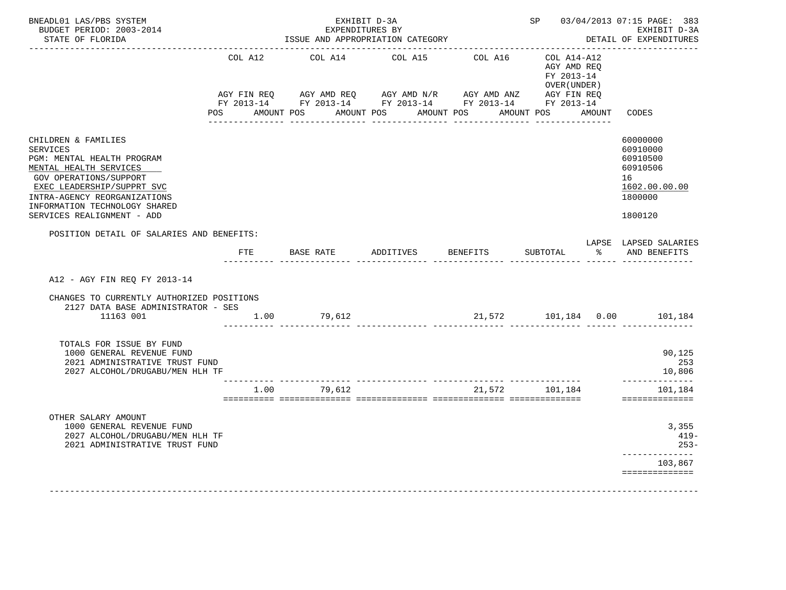| BNEADL01 LAS/PBS SYSTEM<br>BUDGET PERIOD: 2003-2014<br>STATE OF FLORIDA                                                                                                                                                                               |         | EXHIBIT D-3A<br>EXPENDITURES BY<br>ISSUE AND APPROPRIATION CATEGORY<br>----------------------------                                                                                                                                         |                  |          |                                                          |               | SP 03/04/2013 07:15 PAGE: 383<br>EXHIBIT D-3A<br>DETAIL OF EXPENDITURES<br>------------------------ |  |
|-------------------------------------------------------------------------------------------------------------------------------------------------------------------------------------------------------------------------------------------------------|---------|---------------------------------------------------------------------------------------------------------------------------------------------------------------------------------------------------------------------------------------------|------------------|----------|----------------------------------------------------------|---------------|-----------------------------------------------------------------------------------------------------|--|
|                                                                                                                                                                                                                                                       | COL A12 | COL A14                                                                                                                                                                                                                                     | COL A15          | COL A16  | COL A14-A12<br>AGY AMD REQ<br>FY 2013-14<br>OVER (UNDER) |               |                                                                                                     |  |
|                                                                                                                                                                                                                                                       | POS     | AGY FIN REQ        AGY AMD REQ        AGY AMD N/R        AGY AMD ANZ         AGY FIN REQ<br>FY 2013-14         FY 2013-14         FY 2013-14          FY 2013-14         FY 2013-14<br>AMOUNT POS AMOUNT POS AMOUNT POS<br>---------------- | ________________ |          | AMOUNT POS AMOUNT                                        |               | CODES                                                                                               |  |
| CHILDREN & FAMILIES<br><b>SERVICES</b><br>PGM: MENTAL HEALTH PROGRAM<br>MENTAL HEALTH SERVICES<br>GOV OPERATIONS/SUPPORT<br>EXEC LEADERSHIP/SUPPRT SVC<br>INTRA-AGENCY REORGANIZATIONS<br>INFORMATION TECHNOLOGY SHARED<br>SERVICES REALIGNMENT - ADD |         |                                                                                                                                                                                                                                             |                  |          |                                                          |               | 60000000<br>60910000<br>60910500<br>60910506<br>16<br>1602.00.00.00<br>1800000<br>1800120           |  |
| POSITION DETAIL OF SALARIES AND BENEFITS:                                                                                                                                                                                                             | FTE     | BASE RATE                                                                                                                                                                                                                                   | ADDITIVES        | BENEFITS | SUBTOTAL                                                 | $\frac{1}{2}$ | LAPSE LAPSED SALARIES<br>AND BENEFITS                                                               |  |
|                                                                                                                                                                                                                                                       |         |                                                                                                                                                                                                                                             |                  |          |                                                          |               |                                                                                                     |  |
| A12 - AGY FIN REO FY 2013-14                                                                                                                                                                                                                          |         |                                                                                                                                                                                                                                             |                  |          |                                                          |               |                                                                                                     |  |
| CHANGES TO CURRENTLY AUTHORIZED POSITIONS<br>2127 DATA BASE ADMINISTRATOR - SES                                                                                                                                                                       |         |                                                                                                                                                                                                                                             |                  |          |                                                          |               |                                                                                                     |  |
| 11163 001                                                                                                                                                                                                                                             |         | $1.00$ 79,612                                                                                                                                                                                                                               |                  |          |                                                          |               | 21,572    101,184    0.00    101,184                                                                |  |
| TOTALS FOR ISSUE BY FUND<br>1000 GENERAL REVENUE FUND<br>2021 ADMINISTRATIVE TRUST FUND<br>2027 ALCOHOL/DRUGABU/MEN HLH TF                                                                                                                            |         |                                                                                                                                                                                                                                             |                  |          |                                                          |               | 90,125<br>253<br>10,806                                                                             |  |
|                                                                                                                                                                                                                                                       | 1.00    | 79.612                                                                                                                                                                                                                                      |                  | 21,572   | 101,184                                                  |               | --------------<br>101,184<br>==============                                                         |  |
| OTHER SALARY AMOUNT<br>1000 GENERAL REVENUE FUND<br>2027 ALCOHOL/DRUGABU/MEN HLH TF<br>2021 ADMINISTRATIVE TRUST FUND                                                                                                                                 |         |                                                                                                                                                                                                                                             |                  |          |                                                          |               | 3,355<br>$419-$<br>$253-$<br>-----------<br>103,867<br>==============                               |  |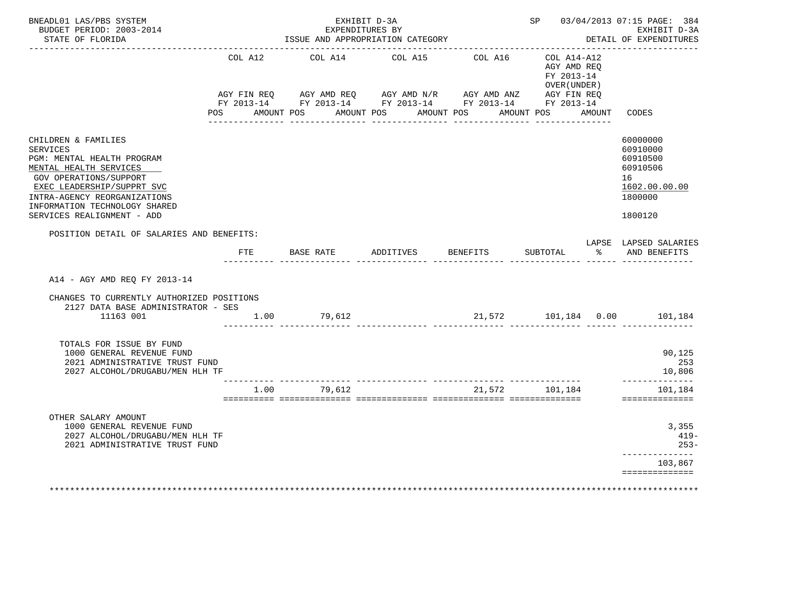| BNEADL01 LAS/PBS SYSTEM<br>BUDGET PERIOD: 2003-2014<br>STATE OF FLORIDA                                                                                                                                                                                      |              | EXHIBIT D-3A<br>EXPENDITURES BY<br>ISSUE AND APPROPRIATION CATEGORY |                            |                         |                                                                                                  |               | SP 03/04/2013 07:15 PAGE: 384<br>EXHIBIT D-3A<br>DETAIL OF EXPENDITURES                   |
|--------------------------------------------------------------------------------------------------------------------------------------------------------------------------------------------------------------------------------------------------------------|--------------|---------------------------------------------------------------------|----------------------------|-------------------------|--------------------------------------------------------------------------------------------------|---------------|-------------------------------------------------------------------------------------------|
|                                                                                                                                                                                                                                                              | COL A12      | COL A14<br>POS AMOUNT POS AMOUNT POS AMOUNT POS<br>-------------    | COL A15<br>_______________ | COL A16<br>____________ | COL A14-A12<br>AGY AMD REO<br>FY 2013-14<br>OVER (UNDER)<br>AMOUNT POS AMOUNT<br>_______________ |               | CODES                                                                                     |
| CHILDREN & FAMILIES<br><b>SERVICES</b><br>PGM: MENTAL HEALTH PROGRAM<br>MENTAL HEALTH SERVICES<br><b>GOV OPERATIONS/SUPPORT</b><br>EXEC LEADERSHIP/SUPPRT SVC<br>INTRA-AGENCY REORGANIZATIONS<br>INFORMATION TECHNOLOGY SHARED<br>SERVICES REALIGNMENT - ADD |              |                                                                     |                            |                         |                                                                                                  |               | 60000000<br>60910000<br>60910500<br>60910506<br>16<br>1602.00.00.00<br>1800000<br>1800120 |
| POSITION DETAIL OF SALARIES AND BENEFITS:                                                                                                                                                                                                                    | $_{\rm FTE}$ | BASE RATE                                                           | ADDITIVES                  | <b>BENEFITS</b>         | SUBTOTAL                                                                                         | $\frac{1}{6}$ | LAPSE LAPSED SALARIES<br>AND BENEFITS                                                     |
| A14 - AGY AMD REO FY 2013-14                                                                                                                                                                                                                                 |              |                                                                     |                            |                         |                                                                                                  |               |                                                                                           |
| CHANGES TO CURRENTLY AUTHORIZED POSITIONS<br>2127 DATA BASE ADMINISTRATOR - SES<br>11163 001                                                                                                                                                                 | 1.00         | 79,612                                                              |                            |                         |                                                                                                  |               | 21,572    101,184    0.00    101,184                                                      |
| TOTALS FOR ISSUE BY FUND<br>1000 GENERAL REVENUE FUND<br>2021 ADMINISTRATIVE TRUST FUND<br>2027 ALCOHOL/DRUGABU/MEN HLH TF                                                                                                                                   |              |                                                                     |                            |                         |                                                                                                  |               | 90,125<br>253<br>10,806                                                                   |
|                                                                                                                                                                                                                                                              | 1.00         | 79,612                                                              |                            | 21,572                  | 101,184                                                                                          |               | --------------<br>101,184<br>==============                                               |
| OTHER SALARY AMOUNT<br>1000 GENERAL REVENUE FUND<br>2027 ALCOHOL/DRUGABU/MEN HLH TF<br>2021 ADMINISTRATIVE TRUST FUND                                                                                                                                        |              |                                                                     |                            |                         |                                                                                                  |               | 3,355<br>$419-$<br>$253-$                                                                 |
|                                                                                                                                                                                                                                                              |              |                                                                     |                            |                         |                                                                                                  |               | -----------<br>103,867<br>==============                                                  |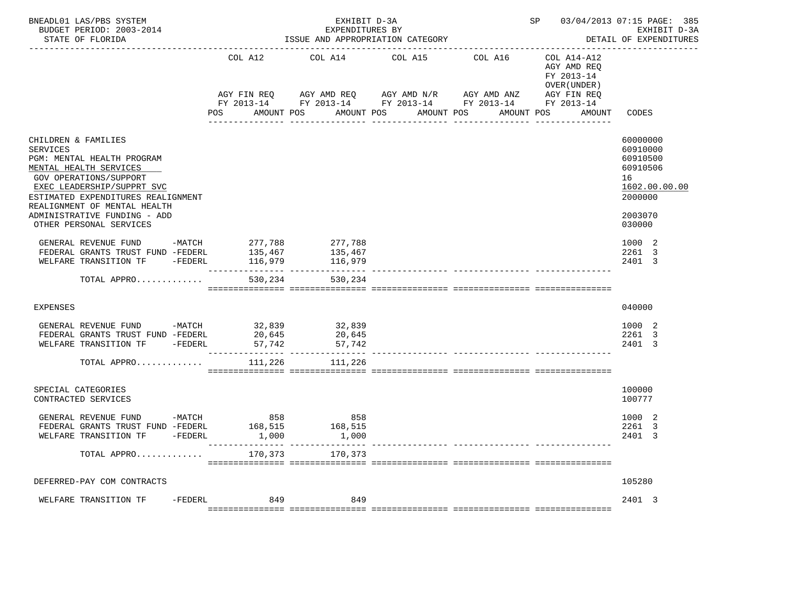| BNEADL01 LAS/PBS SYSTEM<br>BUDGET PERIOD: 2003-2014<br>STATE OF FLORIDA                                                                                                                                                                                                                 |                         | EXHIBIT D-3A<br>EXPENDITURES BY<br>ISSUE AND APPROPRIATION CATEGORY                                                                                                               | SP 03/04/2013 07:15 PAGE: 385<br>EXHIBIT D-3A<br>DETAIL OF EXPENDITURES |                  |                                                                                                     |                                                                                                     |
|-----------------------------------------------------------------------------------------------------------------------------------------------------------------------------------------------------------------------------------------------------------------------------------------|-------------------------|-----------------------------------------------------------------------------------------------------------------------------------------------------------------------------------|-------------------------------------------------------------------------|------------------|-----------------------------------------------------------------------------------------------------|-----------------------------------------------------------------------------------------------------|
|                                                                                                                                                                                                                                                                                         | COL A12<br>POS          | COL A14 COL A15 COL A16<br>AGY FIN REQ AGY AMD REQ AGY AMD N/R AGY AMD ANZ AGY FIN REQ<br>FY 2013-14 FY 2013-14 FY 2013-14 FY 2013-14 FY 2013-14<br>AMOUNT POS<br>--------------- | AMOUNT POS<br>AMOUNT POS<br>________________                            | ________________ | COL A14-A12<br>AGY AMD REQ<br>FY 2013-14<br>OVER (UNDER)<br>AMOUNT POS<br>AMOUNT<br>_______________ | CODES                                                                                               |
| CHILDREN & FAMILIES<br><b>SERVICES</b><br>PGM: MENTAL HEALTH PROGRAM<br>MENTAL HEALTH SERVICES<br>GOV OPERATIONS/SUPPORT<br>EXEC LEADERSHIP/SUPPRT SVC<br>ESTIMATED EXPENDITURES REALIGNMENT<br>REALIGNMENT OF MENTAL HEALTH<br>ADMINISTRATIVE FUNDING - ADD<br>OTHER PERSONAL SERVICES |                         |                                                                                                                                                                                   |                                                                         |                  |                                                                                                     | 60000000<br>60910000<br>60910500<br>60910506<br>16<br>1602.00.00.00<br>2000000<br>2003070<br>030000 |
| GENERAL REVENUE FUND -MATCH 277,788 277,788<br>FEDERAL GRANTS TRUST FUND -FEDERL 135,467<br>WELFARE TRANSITION TF -FEDERL<br>TOTAL APPRO                                                                                                                                                | 116,979<br>530,234      | 135,467<br>116,979<br>530,234                                                                                                                                                     |                                                                         |                  |                                                                                                     | 1000 2<br>2261 3<br>2401 3                                                                          |
| <b>EXPENSES</b>                                                                                                                                                                                                                                                                         |                         |                                                                                                                                                                                   |                                                                         |                  |                                                                                                     | 040000                                                                                              |
| GENERAL REVENUE FUND -MATCH 32,839 32,839<br>FEDERAL GRANTS TRUST FUND -FEDERL<br>WELFARE TRANSITION TF -FEDERL 57,742<br>TOTAL APPRO                                                                                                                                                   | 20,645<br>111,226       | 20,645<br>$\frac{20,015}{57,742}$<br>111,226                                                                                                                                      |                                                                         |                  |                                                                                                     | 1000 2<br>2261 3<br>2401 3                                                                          |
| SPECIAL CATEGORIES<br>CONTRACTED SERVICES                                                                                                                                                                                                                                               |                         |                                                                                                                                                                                   |                                                                         |                  |                                                                                                     | 100000<br>100777                                                                                    |
| $-MATCH$<br>GENERAL REVENUE FUND<br>FEDERAL GRANTS TRUST FUND -FEDERL<br>$-FEDERL$<br>WELFARE TRANSITION TF                                                                                                                                                                             | 858<br>168,515<br>1,000 | 858<br>168,515<br>1,000                                                                                                                                                           |                                                                         |                  |                                                                                                     | 1000 2<br>2261<br>-3<br>2401 3                                                                      |
| TOTAL APPRO                                                                                                                                                                                                                                                                             |                         | 170,373 170,373                                                                                                                                                                   |                                                                         |                  |                                                                                                     |                                                                                                     |
| DEFERRED-PAY COM CONTRACTS                                                                                                                                                                                                                                                              |                         |                                                                                                                                                                                   |                                                                         |                  |                                                                                                     | 105280                                                                                              |
| WELFARE TRANSITION TF<br>-FEDERL                                                                                                                                                                                                                                                        | 849                     | 849                                                                                                                                                                               |                                                                         |                  |                                                                                                     | 2401 3                                                                                              |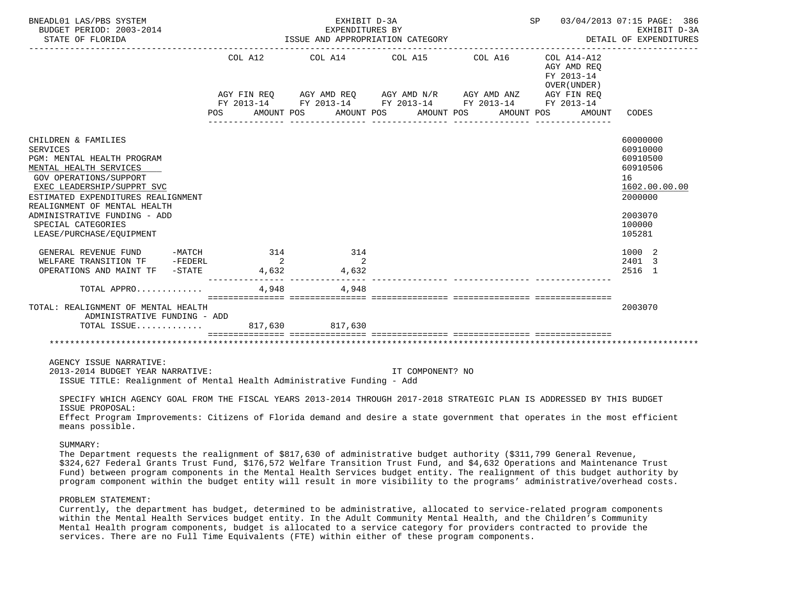| BNEADL01 LAS/PBS SYSTEM<br>BUDGET PERIOD: 2003-2014<br>STATE OF FLORIDA                                                                                                                                                                                                                                                                           | ISSUE AND APPROPRIATION CATEGORY | SP 03/04/2013 07:15 PAGE: 386<br>EXHIBIT D-3A<br>DETAIL OF EXPENDITURES |                       |                                           |                                                                                                                         |
|---------------------------------------------------------------------------------------------------------------------------------------------------------------------------------------------------------------------------------------------------------------------------------------------------------------------------------------------------|----------------------------------|-------------------------------------------------------------------------|-----------------------|-------------------------------------------|-------------------------------------------------------------------------------------------------------------------------|
|                                                                                                                                                                                                                                                                                                                                                   |                                  | COL A12 COL A14 COL A15 COL A16 COL A14-A12                             |                       | AGY AMD REO<br>FY 2013-14<br>OVER (UNDER) |                                                                                                                         |
|                                                                                                                                                                                                                                                                                                                                                   | POS FOR                          | AMOUNT POS<br>________________                                          | AMOUNT POS AMOUNT POS | AMOUNT POS<br>AMOUNT                      | CODES                                                                                                                   |
| CHILDREN & FAMILIES<br><b>SERVICES</b><br>PGM: MENTAL HEALTH PROGRAM<br>MENTAL HEALTH SERVICES<br>GOV OPERATIONS/SUPPORT<br>EXEC LEADERSHIP/SUPPRT SVC<br>ESTIMATED EXPENDITURES REALIGNMENT<br>REALIGNMENT OF MENTAL HEALTH<br>ADMINISTRATIVE FUNDING - ADD<br>SPECIAL CATEGORIES<br>LEASE/PURCHASE/EOUIPMENT<br>GENERAL REVENUE FUND -MATCH 314 |                                  | 314                                                                     |                       |                                           | 60000000<br>60910000<br>60910500<br>60910506<br>16<br>1602.00.00.00<br>2000000<br>2003070<br>100000<br>105281<br>1000 2 |
| WELFARE TRANSITION TF -FEDERL                                                                                                                                                                                                                                                                                                                     |                                  | $\overline{\mathbf{a}}$<br>$\overline{\phantom{a}}$                     |                       |                                           | 2401 3                                                                                                                  |
| OPERATIONS AND MAINT TF - STATE                                                                                                                                                                                                                                                                                                                   |                                  | 4,632 4,632                                                             |                       |                                           | 2516 1                                                                                                                  |
| TOTAL APPRO                                                                                                                                                                                                                                                                                                                                       | 4,948                            | 4,948                                                                   |                       |                                           |                                                                                                                         |
| TOTAL: REALIGNMENT OF MENTAL HEALTH<br>ADMINISTRATIVE FUNDING - ADD<br>TOTAL ISSUE 817,630 817,630                                                                                                                                                                                                                                                |                                  |                                                                         |                       |                                           | 2003070                                                                                                                 |
|                                                                                                                                                                                                                                                                                                                                                   |                                  |                                                                         |                       |                                           |                                                                                                                         |
| AGENCY ISSUE NARRATIVE:<br>2013-2014 BUDGET YEAR NARRATIVE:<br>ISSUE TITLE: Realignment of Mental Health Administrative Funding - Add                                                                                                                                                                                                             |                                  |                                                                         | IT COMPONENT? NO      |                                           |                                                                                                                         |

 SPECIFY WHICH AGENCY GOAL FROM THE FISCAL YEARS 2013-2014 THROUGH 2017-2018 STRATEGIC PLAN IS ADDRESSED BY THIS BUDGET ISSUE PROPOSAL:

 Effect Program Improvements: Citizens of Florida demand and desire a state government that operates in the most efficient means possible.

## SUMMARY:

 The Department requests the realignment of \$817,630 of administrative budget authority (\$311,799 General Revenue, \$324,627 Federal Grants Trust Fund, \$176,572 Welfare Transition Trust Fund, and \$4,632 Operations and Maintenance Trust Fund) between program components in the Mental Health Services budget entity. The realignment of this budget authority by program component within the budget entity will result in more visibility to the programs' administrative/overhead costs.

## PROBLEM STATEMENT:

 Currently, the department has budget, determined to be administrative, allocated to service-related program components within the Mental Health Services budget entity. In the Adult Community Mental Health, and the Children's Community Mental Health program components, budget is allocated to a service category for providers contracted to provide the services. There are no Full Time Equivalents (FTE) within either of these program components.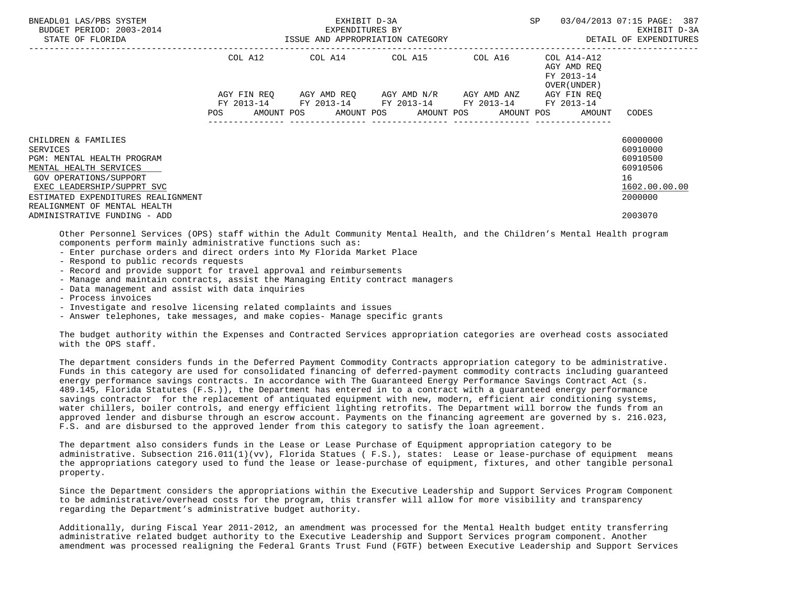| BNEADL01 LAS/PBS SYSTEM<br>BUDGET PERIOD: 2003-2014<br>STATE OF FLORIDA                                                                                                                                                      | EXHIBIT D-3A<br>EXPENDITURES BY<br>ISSUE AND APPROPRIATION CATEGORY                                       | <b>SP</b>       | 03/04/2013 07:15 PAGE: 387<br>EXHIBIT D-3A<br>DETAIL OF EXPENDITURES |                                                                                |
|------------------------------------------------------------------------------------------------------------------------------------------------------------------------------------------------------------------------------|-----------------------------------------------------------------------------------------------------------|-----------------|----------------------------------------------------------------------|--------------------------------------------------------------------------------|
|                                                                                                                                                                                                                              | COL A12 COL A14 COL A15 COL A16 COL A14-A12                                                               |                 | AGY AMD REO<br>FY 2013-14<br>OVER (UNDER )                           |                                                                                |
|                                                                                                                                                                                                                              | AGY FIN REO AGY AMD REO AGY AMD N/R AGY AMD ANZ<br>FY 2013-14 FY 2013-14 FY 2013-14 FY 2013-14 FY 2013-14 |                 | AGY FIN REO                                                          |                                                                                |
|                                                                                                                                                                                                                              | POS AMOUNT POS AMOUNT POS AMOUNT POS AMOUNT POS AMOUNT CODES                                              | --------------- |                                                                      |                                                                                |
| CHILDREN & FAMILIES<br><b>SERVICES</b><br>PGM: MENTAL HEALTH PROGRAM<br>MENTAL HEALTH SERVICES<br>GOV OPERATIONS/SUPPORT<br>EXEC LEADERSHIP/SUPPRT SVC<br>ESTIMATED EXPENDITURES REALIGNMENT<br>REALIGNMENT OF MENTAL HEALTH |                                                                                                           |                 |                                                                      | 60000000<br>60910000<br>60910500<br>60910506<br>16<br>1602.00.00.00<br>2000000 |
| ADMINISTRATIVE FUNDING - ADD                                                                                                                                                                                                 |                                                                                                           |                 |                                                                      | 2003070                                                                        |

 Other Personnel Services (OPS) staff within the Adult Community Mental Health, and the Children's Mental Health program components perform mainly administrative functions such as:

- Enter purchase orders and direct orders into My Florida Market Place
- Respond to public records requests
- Record and provide support for travel approval and reimbursements
- Manage and maintain contracts, assist the Managing Entity contract managers
- Data management and assist with data inquiries
- Process invoices
- Investigate and resolve licensing related complaints and issues
- Answer telephones, take messages, and make copies- Manage specific grants

 The budget authority within the Expenses and Contracted Services appropriation categories are overhead costs associated with the OPS staff.

 The department considers funds in the Deferred Payment Commodity Contracts appropriation category to be administrative. Funds in this category are used for consolidated financing of deferred-payment commodity contracts including guaranteed energy performance savings contracts. In accordance with The Guaranteed Energy Performance Savings Contract Act (s. 489.145, Florida Statutes (F.S.)), the Department has entered in to a contract with a guaranteed energy performance savings contractor for the replacement of antiquated equipment with new, modern, efficient air conditioning systems, water chillers, boiler controls, and energy efficient lighting retrofits. The Department will borrow the funds from an approved lender and disburse through an escrow account. Payments on the financing agreement are governed by s. 216.023, F.S. and are disbursed to the approved lender from this category to satisfy the loan agreement.

 The department also considers funds in the Lease or Lease Purchase of Equipment appropriation category to be administrative. Subsection 216.011(1)(vv), Florida Statues ( F.S.), states: Lease or lease-purchase of equipment means the appropriations category used to fund the lease or lease-purchase of equipment, fixtures, and other tangible personal property.

 Since the Department considers the appropriations within the Executive Leadership and Support Services Program Component to be administrative/overhead costs for the program, this transfer will allow for more visibility and transparency regarding the Department's administrative budget authority.

 Additionally, during Fiscal Year 2011-2012, an amendment was processed for the Mental Health budget entity transferring administrative related budget authority to the Executive Leadership and Support Services program component. Another amendment was processed realigning the Federal Grants Trust Fund (FGTF) between Executive Leadership and Support Services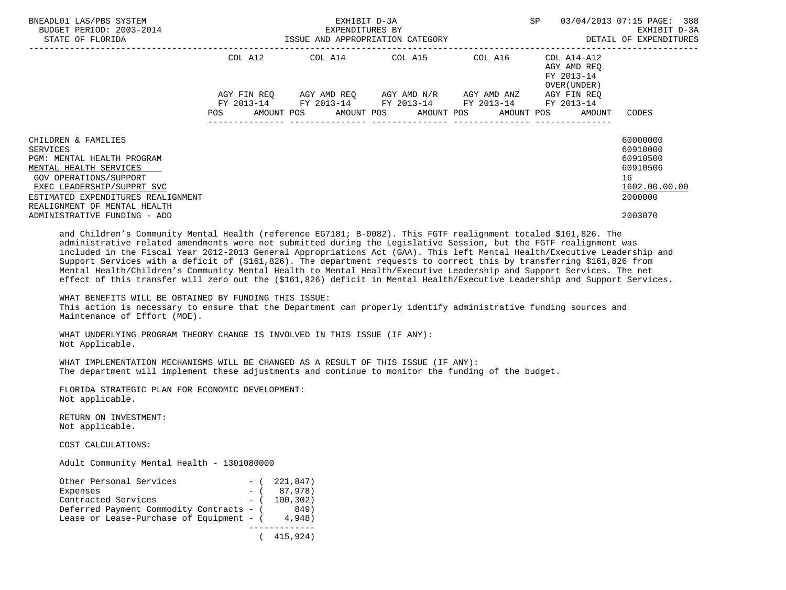| BNEADL01 LAS/PBS SYSTEM<br>BUDGET PERIOD: 2003-2014<br>STATE OF FLORIDA                                                                                                                                                                               | EXHIBIT D-3A<br>EXPENDITURES BY<br>ISSUE AND APPROPRIATION CATEGORY |  |  |  |                                 |                                                                                                                                               |  |  |                                                           |                                     | 03/04/2013 07:15 PAGE: 388<br>EXHIBIT D-3A<br>DETAIL OF EXPENDITURES                      |
|-------------------------------------------------------------------------------------------------------------------------------------------------------------------------------------------------------------------------------------------------------|---------------------------------------------------------------------|--|--|--|---------------------------------|-----------------------------------------------------------------------------------------------------------------------------------------------|--|--|-----------------------------------------------------------|-------------------------------------|-------------------------------------------------------------------------------------------|
|                                                                                                                                                                                                                                                       |                                                                     |  |  |  | COL A12 COL A14 COL A15 COL A16 |                                                                                                                                               |  |  | COL A14-A12<br>AGY AMD REO<br>FY 2013-14<br>OVER (UNDER ) |                                     |                                                                                           |
|                                                                                                                                                                                                                                                       | <b>POS</b>                                                          |  |  |  |                                 | AGY FIN REO AGY AMD REO AGY AMD N/R AGY AMD ANZ<br>FY 2013-14 FY 2013-14 FY 2013-14 FY 2013-14<br>AMOUNT POS AMOUNT POS AMOUNT POS AMOUNT POS |  |  |                                                           | AGY FIN REO<br>FY 2013-14<br>AMOUNT | CODES                                                                                     |
| CHILDREN & FAMILIES<br>SERVICES<br>PGM: MENTAL HEALTH PROGRAM<br>MENTAL HEALTH SERVICES<br>GOV OPERATIONS/SUPPORT<br>EXEC LEADERSHIP/SUPPRT SVC<br>ESTIMATED EXPENDITURES REALIGNMENT<br>REALIGNMENT OF MENTAL HEALTH<br>ADMINISTRATIVE FUNDING - ADD |                                                                     |  |  |  |                                 |                                                                                                                                               |  |  |                                                           |                                     | 60000000<br>60910000<br>60910500<br>60910506<br>16<br>1602.00.00.00<br>2000000<br>2003070 |

 and Children's Community Mental Health (reference EG7181; B-0082). This FGTF realignment totaled \$161,826. The administrative related amendments were not submitted during the Legislative Session, but the FGTF realignment was included in the Fiscal Year 2012-2013 General Appropriations Act (GAA). This left Mental Health/Executive Leadership and Support Services with a deficit of (\$161,826). The department requests to correct this by transferring \$161,826 from Mental Health/Children's Community Mental Health to Mental Health/Executive Leadership and Support Services. The net effect of this transfer will zero out the (\$161,826) deficit in Mental Health/Executive Leadership and Support Services.

 WHAT BENEFITS WILL BE OBTAINED BY FUNDING THIS ISSUE: This action is necessary to ensure that the Department can properly identify administrative funding sources and Maintenance of Effort (MOE).

 WHAT UNDERLYING PROGRAM THEORY CHANGE IS INVOLVED IN THIS ISSUE (IF ANY): Not Applicable.

 WHAT IMPLEMENTATION MECHANISMS WILL BE CHANGED AS A RESULT OF THIS ISSUE (IF ANY): The department will implement these adjustments and continue to monitor the funding of the budget.

 FLORIDA STRATEGIC PLAN FOR ECONOMIC DEVELOPMENT: Not applicable.

 RETURN ON INVESTMENT: Not applicable.

COST CALCULATIONS:

Adult Community Mental Health - 1301080000

| Other Personal Services                  |       | $-$ ( 221,847) |
|------------------------------------------|-------|----------------|
| Expenses                                 | $-$ ( | 87,978)        |
| Contracted Services                      |       | $-$ ( 100.302) |
| Deferred Payment Commodity Contracts - ( |       | 849)           |
| Lease or Lease-Purchase of Equipment - ( |       | 4,948)         |
|                                          |       |                |
|                                          |       | 415,924)       |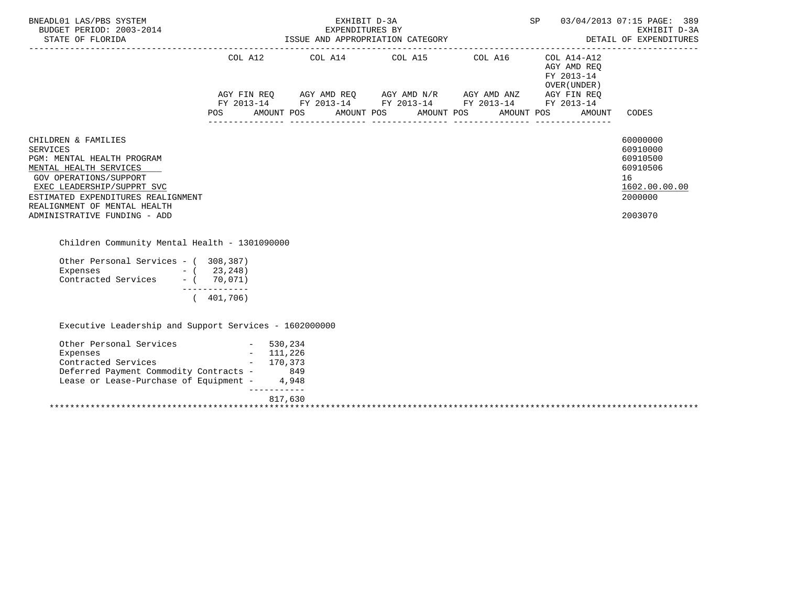| BNEADL01 LAS/PBS SYSTEM<br>BUDGET PERIOD: 2003-2014<br>STATE OF FLORIDA<br>STATE OF FLORIDA                                                                                                                                                                  |                              |             | SP<br>03/04/2013 07:15 PAGE: 389<br>EXPENDITURES BY<br>ISSUE AND APPROPRIATION CATEGORY DETAIL OF EXPENDITU<br>DETAIL OF EXPENDITU<br>EXHIBIT D-3A<br>DETAIL OF EXPENDITURES |  |            |                                                           |                                                                                           |
|--------------------------------------------------------------------------------------------------------------------------------------------------------------------------------------------------------------------------------------------------------------|------------------------------|-------------|------------------------------------------------------------------------------------------------------------------------------------------------------------------------------|--|------------|-----------------------------------------------------------|-------------------------------------------------------------------------------------------|
|                                                                                                                                                                                                                                                              |                              |             | COL A12 COL A14 COL A15 COL A16<br>AGY FIN REQ AGY AMD REQ AGY AMD N/R AGY AMD ANZ AGY FIN REQ<br>FY 2013-14 FY 2013-14 FY 2013-14 FY 2013-14 FY 2013-14                     |  |            | COL A14-A12<br>AGY AMD REQ<br>FY 2013-14<br>OVER (UNDER ) |                                                                                           |
|                                                                                                                                                                                                                                                              | POS                          |             | AMOUNT POS AMOUNT POS AMOUNT POS                                                                                                                                             |  | AMOUNT POS | AMOUNT                                                    | CODES                                                                                     |
| CHILDREN & FAMILIES<br><b>SERVICES</b><br>PGM: MENTAL HEALTH PROGRAM<br>MENTAL HEALTH SERVICES<br>GOV OPERATIONS/SUPPORT<br>EXEC LEADERSHIP/SUPPRT SVC<br>ESTIMATED EXPENDITURES REALIGNMENT<br>REALIGNMENT OF MENTAL HEALTH<br>ADMINISTRATIVE FUNDING - ADD |                              |             |                                                                                                                                                                              |  |            |                                                           | 60000000<br>60910000<br>60910500<br>60910506<br>16<br>1602.00.00.00<br>2000000<br>2003070 |
| Children Community Mental Health - 1301090000                                                                                                                                                                                                                |                              |             |                                                                                                                                                                              |  |            |                                                           |                                                                                           |
| Other Personal Services - (308,387)<br>Expenses - (23,248)<br>Contracted Services - (70,071)                                                                                                                                                                 | --------------<br>(401, 706) |             |                                                                                                                                                                              |  |            |                                                           |                                                                                           |
| Executive Leadership and Support Services - 1602000000                                                                                                                                                                                                       |                              |             |                                                                                                                                                                              |  |            |                                                           |                                                                                           |
| Other Personal Services - 530,234<br>Expenses - 111,226<br>Contracted Services - 170,373<br>Deferred Payment Commodity Contracts - 849<br>Lease or Lease-Purchase of Equipment - 4,948                                                                       |                              | ----------- |                                                                                                                                                                              |  |            |                                                           |                                                                                           |
|                                                                                                                                                                                                                                                              |                              | 817,630     |                                                                                                                                                                              |  |            |                                                           |                                                                                           |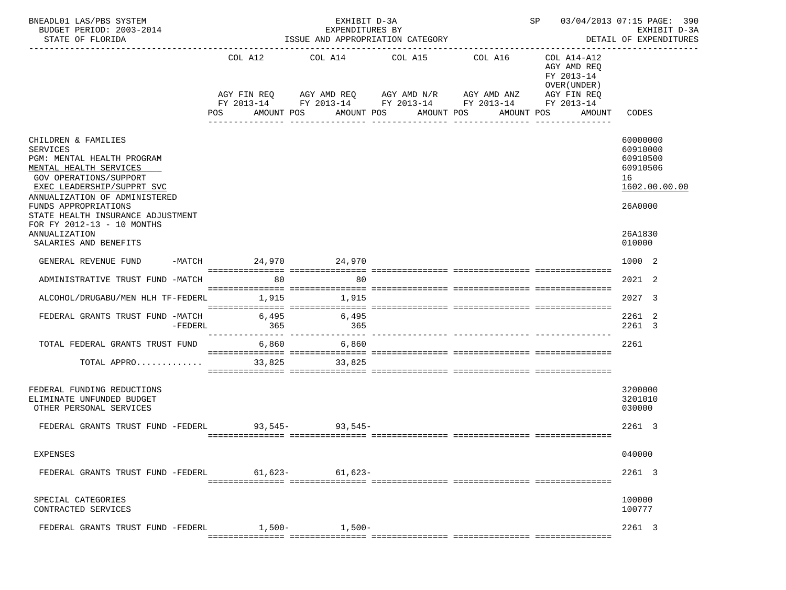| BNEADL01 LAS/PBS SYSTEM<br>BUDGET PERIOD: 2003-2014<br>STATE OF FLORIDA                                                                                                                                                                                                                                                      |                      | EXHIBIT D-3A<br>EXPENDITURES BY<br>ISSUE AND APPROPRIATION CATEGORY      | SP 03/04/2013 07:15 PAGE: 390<br>EXHIBIT D-3A<br>DETAIL OF EXPENDITURES |                                                                                    |                                                                                                 |                                                                                                     |
|------------------------------------------------------------------------------------------------------------------------------------------------------------------------------------------------------------------------------------------------------------------------------------------------------------------------------|----------------------|--------------------------------------------------------------------------|-------------------------------------------------------------------------|------------------------------------------------------------------------------------|-------------------------------------------------------------------------------------------------|-----------------------------------------------------------------------------------------------------|
|                                                                                                                                                                                                                                                                                                                              | COL A12<br>POS       | COL A14<br>AGY FIN REQ AGY AMD REQ AGY AMD N/R AGY AMD ANZ<br>AMOUNT POS | COL A15<br>AMOUNT POS AMOUNT POS<br>------------                        | COL A16<br>FY 2013-14 FY 2013-14 FY 2013-14 FY 2013-14 FY 2013-14<br>------------- | COL A14-A12<br>AGY AMD REQ<br>FY 2013-14<br>OVER (UNDER)<br>AGY FIN REQ<br>AMOUNT POS<br>AMOUNT | CODES                                                                                               |
| CHILDREN & FAMILIES<br><b>SERVICES</b><br>PGM: MENTAL HEALTH PROGRAM<br>MENTAL HEALTH SERVICES<br>GOV OPERATIONS/SUPPORT<br>EXEC LEADERSHIP/SUPPRT SVC<br>ANNUALIZATION OF ADMINISTERED<br>FUNDS APPROPRIATIONS<br>STATE HEALTH INSURANCE ADJUSTMENT<br>FOR FY 2012-13 - 10 MONTHS<br>ANNUALIZATION<br>SALARIES AND BENEFITS |                      |                                                                          |                                                                         |                                                                                    |                                                                                                 | 60000000<br>60910000<br>60910500<br>60910506<br>16<br>1602.00.00.00<br>26A0000<br>26A1830<br>010000 |
| GENERAL REVENUE FUND                                                                                                                                                                                                                                                                                                         | -MATCH 24,970 24,970 |                                                                          |                                                                         |                                                                                    |                                                                                                 | 1000 2                                                                                              |
| ADMINISTRATIVE TRUST FUND -MATCH 80                                                                                                                                                                                                                                                                                          |                      | 80                                                                       |                                                                         |                                                                                    |                                                                                                 | 2021 2                                                                                              |
| ALCOHOL/DRUGABU/MEN HLH TF-FEDERL                                                                                                                                                                                                                                                                                            | 1,915                | 1,915                                                                    |                                                                         |                                                                                    |                                                                                                 | 2027 3                                                                                              |
| FEDERAL GRANTS TRUST FUND -MATCH<br>-FEDERL                                                                                                                                                                                                                                                                                  | 365                  | 6,495 6,495<br>365                                                       |                                                                         |                                                                                    |                                                                                                 | 2261 2<br>2261 3                                                                                    |
| TOTAL FEDERAL GRANTS TRUST FUND                                                                                                                                                                                                                                                                                              | 6,860                | 6,860                                                                    |                                                                         |                                                                                    |                                                                                                 | 2261                                                                                                |
| TOTAL APPRO                                                                                                                                                                                                                                                                                                                  | 33,825               | 33,825                                                                   |                                                                         |                                                                                    |                                                                                                 |                                                                                                     |
| FEDERAL FUNDING REDUCTIONS<br>ELIMINATE UNFUNDED BUDGET<br>OTHER PERSONAL SERVICES<br>FEDERAL GRANTS TRUST FUND -FEDERL 93,545-<br>93,545-                                                                                                                                                                                   |                      |                                                                          |                                                                         |                                                                                    |                                                                                                 | 3200000<br>3201010<br>030000<br>2261 3                                                              |
| EXPENSES                                                                                                                                                                                                                                                                                                                     |                      |                                                                          |                                                                         |                                                                                    |                                                                                                 | 040000                                                                                              |
| FEDERAL GRANTS TRUST FUND -FEDERL                                                                                                                                                                                                                                                                                            | $61,623-$            | $61,623-$                                                                |                                                                         |                                                                                    |                                                                                                 | 2261 3                                                                                              |
| SPECIAL CATEGORIES<br>CONTRACTED SERVICES                                                                                                                                                                                                                                                                                    |                      |                                                                          |                                                                         |                                                                                    |                                                                                                 | 100000<br>100777                                                                                    |
| FEDERAL GRANTS TRUST FUND -FEDERL                                                                                                                                                                                                                                                                                            | $1.500 -$            | $1,500-$                                                                 |                                                                         |                                                                                    |                                                                                                 | 2261 3                                                                                              |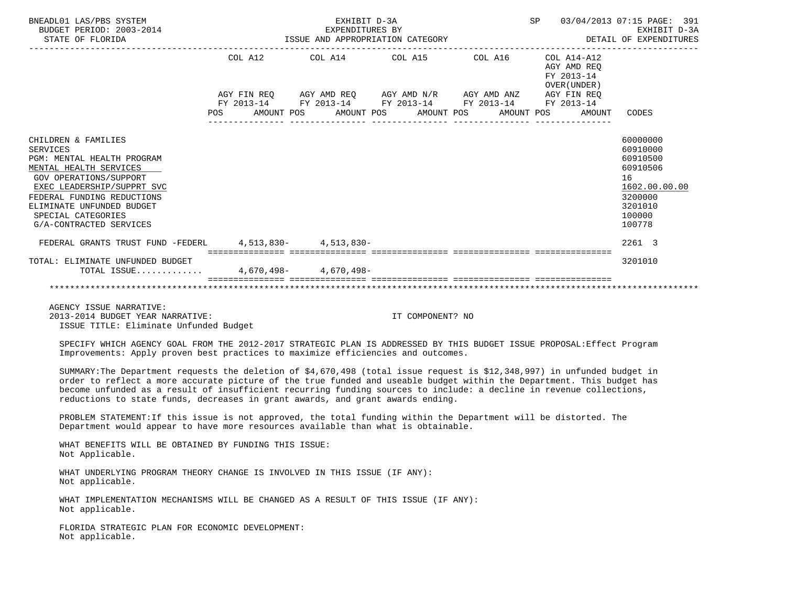| BNEADL01 LAS/PBS SYSTEM<br>BUDGET PERIOD: 2003-2014<br>STATE OF FLORIDA                                                                                                                                                                                            | ISSUE AND APPROPRIATION CATEGORY | SP 03/04/2013 07:15 PAGE: 391<br>EXHIBIT D-3A<br>DETAIL OF EXPENDITURES                                               |                  |                                                          |                                                                                                               |
|--------------------------------------------------------------------------------------------------------------------------------------------------------------------------------------------------------------------------------------------------------------------|----------------------------------|-----------------------------------------------------------------------------------------------------------------------|------------------|----------------------------------------------------------|---------------------------------------------------------------------------------------------------------------|
|                                                                                                                                                                                                                                                                    | COL A12                          | COL A14 COL A15 COL A16                                                                                               |                  | COL A14-A12<br>AGY AMD REO<br>FY 2013-14<br>OVER (UNDER) |                                                                                                               |
|                                                                                                                                                                                                                                                                    |                                  | AGY FIN REO AGY AMD REO AGY AMD N/R AGY AMD ANZ AGY FIN REO<br>FY 2013-14 FY 2013-14 FY 2013-14 FY 2013-14 FY 2013-14 |                  |                                                          |                                                                                                               |
|                                                                                                                                                                                                                                                                    |                                  | POS AMOUNT POS AMOUNT POS AMOUNT POS                                                                                  |                  | AMOUNT POS AMOUNT                                        | CODES                                                                                                         |
| CHILDREN & FAMILIES<br><b>SERVICES</b><br>PGM: MENTAL HEALTH PROGRAM<br>MENTAL HEALTH SERVICES<br>GOV OPERATIONS/SUPPORT<br>EXEC LEADERSHIP/SUPPRT SVC<br>FEDERAL FUNDING REDUCTIONS<br>ELIMINATE UNFUNDED BUDGET<br>SPECIAL CATEGORIES<br>G/A-CONTRACTED SERVICES |                                  |                                                                                                                       |                  |                                                          | 60000000<br>60910000<br>60910500<br>60910506<br>16<br>1602.00.00.00<br>3200000<br>3201010<br>100000<br>100778 |
| FEDERAL GRANTS TRUST FUND -FEDERL 4.513.830- 4.513.830-                                                                                                                                                                                                            |                                  |                                                                                                                       |                  |                                                          | 2261 3                                                                                                        |
| TOTAL: ELIMINATE UNFUNDED BUDGET<br>TOTAL ISSUE 4,670,498- 4,670,498-                                                                                                                                                                                              |                                  |                                                                                                                       |                  |                                                          | 3201010                                                                                                       |
|                                                                                                                                                                                                                                                                    |                                  |                                                                                                                       |                  |                                                          |                                                                                                               |
| AGENCY ISSUE NARRATIVE:<br>2013-2014 BUDGET YEAR NARRATIVE:<br>ISSUE TITLE: Eliminate Unfunded Budget                                                                                                                                                              |                                  |                                                                                                                       | IT COMPONENT? NO |                                                          |                                                                                                               |

 SPECIFY WHICH AGENCY GOAL FROM THE 2012-2017 STRATEGIC PLAN IS ADDRESSED BY THIS BUDGET ISSUE PROPOSAL:Effect Program Improvements: Apply proven best practices to maximize efficiencies and outcomes.

 SUMMARY:The Department requests the deletion of \$4,670,498 (total issue request is \$12,348,997) in unfunded budget in order to reflect a more accurate picture of the true funded and useable budget within the Department. This budget has become unfunded as a result of insufficient recurring funding sources to include: a decline in revenue collections, reductions to state funds, decreases in grant awards, and grant awards ending.

 PROBLEM STATEMENT:If this issue is not approved, the total funding within the Department will be distorted. The Department would appear to have more resources available than what is obtainable.

 WHAT BENEFITS WILL BE OBTAINED BY FUNDING THIS ISSUE: Not Applicable.

 WHAT UNDERLYING PROGRAM THEORY CHANGE IS INVOLVED IN THIS ISSUE (IF ANY): Not applicable.

 WHAT IMPLEMENTATION MECHANISMS WILL BE CHANGED AS A RESULT OF THIS ISSUE (IF ANY): Not applicable.

 FLORIDA STRATEGIC PLAN FOR ECONOMIC DEVELOPMENT: Not applicable.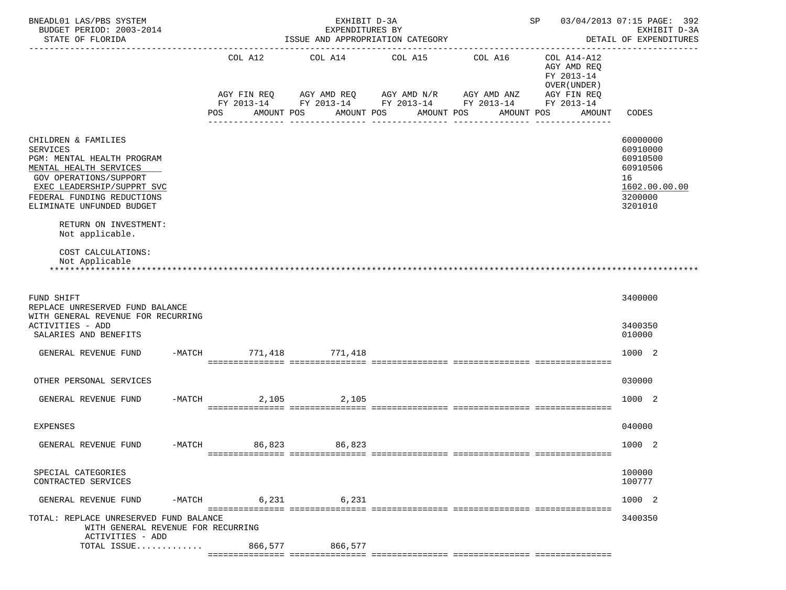| BNEADL01 LAS/PBS SYSTEM<br>BUDGET PERIOD: 2003-2014<br>STATE OF FLORIDA                                                                                                                                                                                       |        | EXHIBIT D-3A<br>EXPENDITURES BY<br>ISSUE AND APPROPRIATION CATEGORY |         |                                                            |            |                                                                |            |                  |            | SP 03/04/2013 07:15 PAGE: 392<br>EXHIBIT D-3A<br>DETAIL OF EXPENDITURES<br>-----------------------------------<br>------------------ |                                                                                       |                                                                          |               |
|---------------------------------------------------------------------------------------------------------------------------------------------------------------------------------------------------------------------------------------------------------------|--------|---------------------------------------------------------------------|---------|------------------------------------------------------------|------------|----------------------------------------------------------------|------------|------------------|------------|--------------------------------------------------------------------------------------------------------------------------------------|---------------------------------------------------------------------------------------|--------------------------------------------------------------------------|---------------|
|                                                                                                                                                                                                                                                               |        | COL A12                                                             |         | COL A14<br>AGY FIN REQ AGY AMD REQ AGY AMD N/R AGY AMD ANZ |            | COL A15 COL A16<br>FY 2013-14 FY 2013-14 FY 2013-14 FY 2013-14 |            |                  |            |                                                                                                                                      | COL A14-A12<br>AGY AMD REQ<br>FY 2013-14<br>OVER (UNDER)<br>AGY FIN REQ<br>FY 2013-14 |                                                                          |               |
|                                                                                                                                                                                                                                                               |        | POS                                                                 |         | AMOUNT POS<br>------------                                 | AMOUNT POS | ---------------                                                | AMOUNT POS | ---------------- | AMOUNT POS |                                                                                                                                      | AMOUNT<br>_______________                                                             | CODES                                                                    |               |
| CHILDREN & FAMILIES<br><b>SERVICES</b><br>PGM: MENTAL HEALTH PROGRAM<br>MENTAL HEALTH SERVICES<br>GOV OPERATIONS/SUPPORT<br>EXEC LEADERSHIP/SUPPRT SVC<br>FEDERAL FUNDING REDUCTIONS<br>ELIMINATE UNFUNDED BUDGET<br>RETURN ON INVESTMENT:<br>Not applicable. |        |                                                                     |         |                                                            |            |                                                                |            |                  |            |                                                                                                                                      |                                                                                       | 60000000<br>60910000<br>60910500<br>60910506<br>16<br>3200000<br>3201010 | 1602.00.00.00 |
| COST CALCULATIONS:<br>Not Applicable                                                                                                                                                                                                                          |        |                                                                     |         |                                                            |            |                                                                |            |                  |            |                                                                                                                                      |                                                                                       |                                                                          |               |
| FUND SHIFT<br>REPLACE UNRESERVED FUND BALANCE<br>WITH GENERAL REVENUE FOR RECURRING<br>ACTIVITIES - ADD<br>SALARIES AND BENEFITS                                                                                                                              |        |                                                                     |         |                                                            |            |                                                                |            |                  |            |                                                                                                                                      |                                                                                       | 3400000<br>3400350<br>010000                                             |               |
| GENERAL REVENUE FUND                                                                                                                                                                                                                                          |        | -MATCH 771, 418 771, 418                                            |         |                                                            |            |                                                                |            |                  |            |                                                                                                                                      |                                                                                       | 1000 2                                                                   |               |
| OTHER PERSONAL SERVICES                                                                                                                                                                                                                                       |        |                                                                     |         |                                                            |            |                                                                |            |                  |            |                                                                                                                                      |                                                                                       | 030000                                                                   |               |
| GENERAL REVENUE FUND                                                                                                                                                                                                                                          | -MATCH |                                                                     | 2,105   |                                                            | 2,105      |                                                                |            |                  |            |                                                                                                                                      |                                                                                       | 1000 2                                                                   |               |
| EXPENSES                                                                                                                                                                                                                                                      |        |                                                                     |         |                                                            |            |                                                                |            |                  |            |                                                                                                                                      |                                                                                       | 040000                                                                   |               |
| GENERAL REVENUE FUND                                                                                                                                                                                                                                          | -MATCH |                                                                     | 86,823  |                                                            | 86,823     |                                                                |            |                  |            |                                                                                                                                      |                                                                                       | 1000                                                                     | -2            |
| SPECIAL CATEGORIES<br>CONTRACTED SERVICES                                                                                                                                                                                                                     |        |                                                                     |         |                                                            |            |                                                                |            |                  |            |                                                                                                                                      |                                                                                       | 100000<br>100777                                                         |               |
| GENERAL REVENUE FUND                                                                                                                                                                                                                                          | -MATCH |                                                                     | 6,231   |                                                            | 6,231      |                                                                |            |                  |            |                                                                                                                                      |                                                                                       | 1000 2                                                                   |               |
| TOTAL: REPLACE UNRESERVED FUND BALANCE<br>WITH GENERAL REVENUE FOR RECURRING<br>ACTIVITIES - ADD                                                                                                                                                              |        |                                                                     |         |                                                            |            |                                                                |            |                  |            |                                                                                                                                      |                                                                                       | 3400350                                                                  |               |
| TOTAL ISSUE                                                                                                                                                                                                                                                   |        |                                                                     | 866,577 |                                                            | 866,577    |                                                                |            |                  |            |                                                                                                                                      |                                                                                       |                                                                          |               |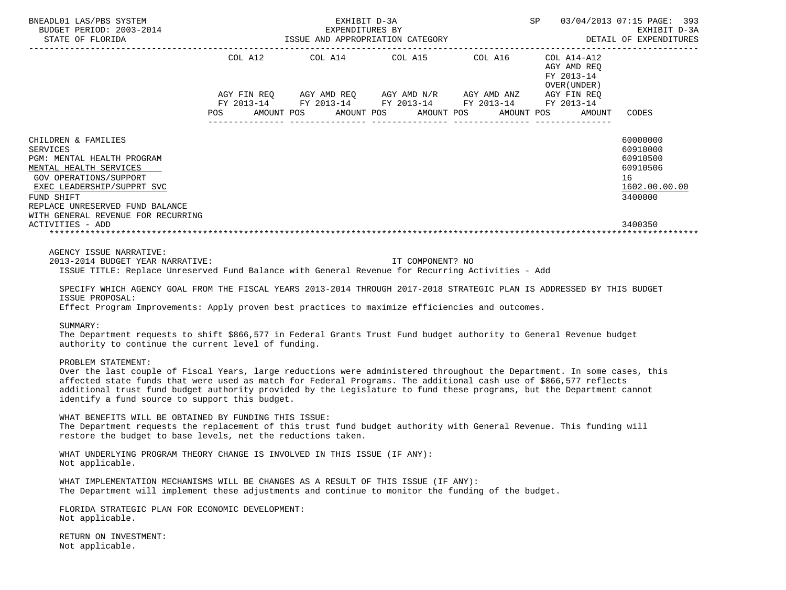| BNEADL01 LAS/PBS SYSTEM                                                                                                                                                                                                                                                                                                                                                                                                                                                                                                                                                                                                                                                                                                                                                                                                                                                                                                                                                                                                      |         | EXHIBIT D-3A                     |                  |                                                                                                                                                                      |                                                                    | SP 03/04/2013 07:15 PAGE: 393<br>EXHIBIT D-3A                                  |
|------------------------------------------------------------------------------------------------------------------------------------------------------------------------------------------------------------------------------------------------------------------------------------------------------------------------------------------------------------------------------------------------------------------------------------------------------------------------------------------------------------------------------------------------------------------------------------------------------------------------------------------------------------------------------------------------------------------------------------------------------------------------------------------------------------------------------------------------------------------------------------------------------------------------------------------------------------------------------------------------------------------------------|---------|----------------------------------|------------------|----------------------------------------------------------------------------------------------------------------------------------------------------------------------|--------------------------------------------------------------------|--------------------------------------------------------------------------------|
|                                                                                                                                                                                                                                                                                                                                                                                                                                                                                                                                                                                                                                                                                                                                                                                                                                                                                                                                                                                                                              |         |                                  |                  |                                                                                                                                                                      |                                                                    |                                                                                |
|                                                                                                                                                                                                                                                                                                                                                                                                                                                                                                                                                                                                                                                                                                                                                                                                                                                                                                                                                                                                                              | POS FOR | AMOUNT POS AMOUNT POS AMOUNT POS |                  | COL A12 COL A14 COL A15 COL A16 COL A14-A12<br>AGY FIN REQ AGY AMD REQ AGY AMD N/R AGY AMD ANZ AGY FIN REQ<br>FY 2013-14 FY 2013-14 FY 2013-14 FY 2013-14 FY 2013-14 | AGY AMD REO<br>FY 2013-14<br>OVER (UNDER )<br>AMOUNT POS<br>AMOUNT | CODES                                                                          |
| CHILDREN & FAMILIES<br><b>SERVICES</b><br>PGM: MENTAL HEALTH PROGRAM<br>MENTAL HEALTH SERVICES<br>GOV OPERATIONS/SUPPORT<br>EXEC LEADERSHIP/SUPPRT SVC<br>FUND SHIFT<br>REPLACE UNRESERVED FUND BALANCE<br>WITH GENERAL REVENUE FOR RECURRING                                                                                                                                                                                                                                                                                                                                                                                                                                                                                                                                                                                                                                                                                                                                                                                |         |                                  |                  |                                                                                                                                                                      |                                                                    | 60000000<br>60910000<br>60910500<br>60910506<br>16<br>1602.00.00.00<br>3400000 |
| ACTIVITIES - ADD                                                                                                                                                                                                                                                                                                                                                                                                                                                                                                                                                                                                                                                                                                                                                                                                                                                                                                                                                                                                             |         |                                  |                  |                                                                                                                                                                      |                                                                    | 3400350                                                                        |
| 2013-2014 BUDGET YEAR NARRATIVE:<br>ISSUE TITLE: Replace Unreserved Fund Balance with General Revenue for Recurring Activities - Add<br>SPECIFY WHICH AGENCY GOAL FROM THE FISCAL YEARS 2013-2014 THROUGH 2017-2018 STRATEGIC PLAN IS ADDRESSED BY THIS BUDGET<br>ISSUE PROPOSAL:<br>Effect Program Improvements: Apply proven best practices to maximize efficiencies and outcomes.<br>SUMMARY:<br>The Department requests to shift \$866,577 in Federal Grants Trust Fund budget authority to General Revenue budget<br>authority to continue the current level of funding.<br>PROBLEM STATEMENT:<br>Over the last couple of Fiscal Years, large reductions were administered throughout the Department. In some cases, this<br>affected state funds that were used as match for Federal Programs. The additional cash use of \$866,577 reflects<br>additional trust fund budget authority provided by the Legislature to fund these programs, but the Department cannot<br>identify a fund source to support this budget. |         |                                  | IT COMPONENT? NO |                                                                                                                                                                      |                                                                    |                                                                                |
| WHAT BENEFITS WILL BE OBTAINED BY FUNDING THIS ISSUE:<br>The Department requests the replacement of this trust fund budget authority with General Revenue. This funding will<br>restore the budget to base levels, net the reductions taken.                                                                                                                                                                                                                                                                                                                                                                                                                                                                                                                                                                                                                                                                                                                                                                                 |         |                                  |                  |                                                                                                                                                                      |                                                                    |                                                                                |
| WHAT UNDERLYING PROGRAM THEORY CHANGE IS INVOLVED IN THIS ISSUE (IF ANY):<br>Not applicable.                                                                                                                                                                                                                                                                                                                                                                                                                                                                                                                                                                                                                                                                                                                                                                                                                                                                                                                                 |         |                                  |                  |                                                                                                                                                                      |                                                                    |                                                                                |
| WHAT IMPLEMENTATION MECHANISMS WILL BE CHANGES AS A RESULT OF THIS ISSUE (IF ANY):<br>The Department will implement these adjustments and continue to monitor the funding of the budget.                                                                                                                                                                                                                                                                                                                                                                                                                                                                                                                                                                                                                                                                                                                                                                                                                                     |         |                                  |                  |                                                                                                                                                                      |                                                                    |                                                                                |
| FLORIDA STRATEGIC PLAN FOR ECONOMIC DEVELOPMENT:<br>Not applicable.                                                                                                                                                                                                                                                                                                                                                                                                                                                                                                                                                                                                                                                                                                                                                                                                                                                                                                                                                          |         |                                  |                  |                                                                                                                                                                      |                                                                    |                                                                                |
| RETURN ON INVESTMENT:<br>Not applicable.                                                                                                                                                                                                                                                                                                                                                                                                                                                                                                                                                                                                                                                                                                                                                                                                                                                                                                                                                                                     |         |                                  |                  |                                                                                                                                                                      |                                                                    |                                                                                |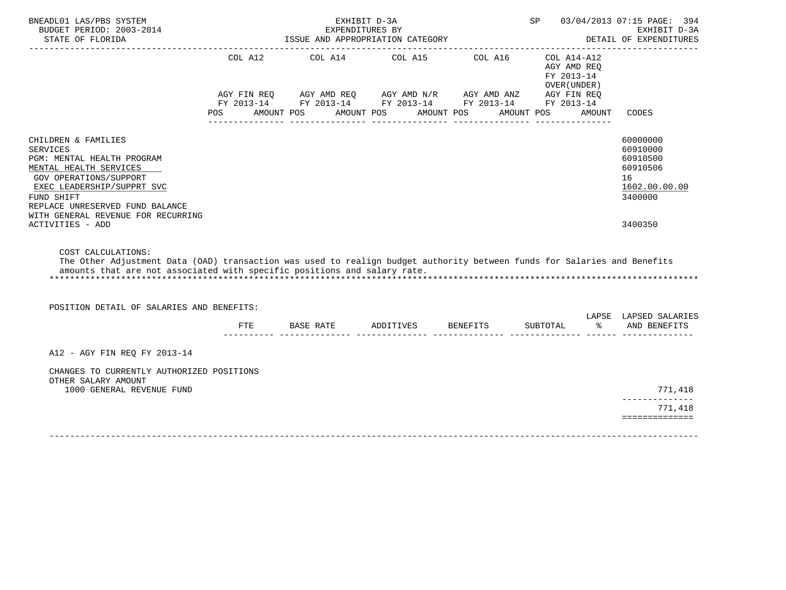| BNEADL01 LAS/PBS SYSTEM<br>BUDGET PERIOD: 2003-2014                                                                                                                                                                                                               |                                  | EXHIBIT D-3A<br>EXPENDITURES BY                                                                                                                |                       |                       | SP 03/04/2013 07:15 PAGE: 394<br>EXHIBIT D-3A                           |           |                                                                                           |
|-------------------------------------------------------------------------------------------------------------------------------------------------------------------------------------------------------------------------------------------------------------------|----------------------------------|------------------------------------------------------------------------------------------------------------------------------------------------|-----------------------|-----------------------|-------------------------------------------------------------------------|-----------|-------------------------------------------------------------------------------------------|
| STATE OF FLORIDA                                                                                                                                                                                                                                                  | ISSUE AND APPROPRIATION CATEGORY |                                                                                                                                                |                       |                       | DETAIL OF EXPENDITURES                                                  |           |                                                                                           |
|                                                                                                                                                                                                                                                                   | COL A12<br>POS                   | COL A14<br>AGY FIN REQ AGY AMD REQ AGY AMD N/R AGY AMD ANZ AGY FIN REQ<br>FY 2013-14 FY 2013-14 FY 2013-14 FY 2013-14 FY 2013-14<br>AMOUNT POS | COL A15<br>AMOUNT POS | COL A16<br>AMOUNT POS | COL A14-A12<br>AGY AMD REO<br>FY 2013-14<br>OVER (UNDER )<br>AMOUNT POS | AMOUNT    | CODES                                                                                     |
|                                                                                                                                                                                                                                                                   |                                  |                                                                                                                                                | ---------------       |                       |                                                                         |           |                                                                                           |
| CHILDREN & FAMILIES<br><b>SERVICES</b><br>PGM: MENTAL HEALTH PROGRAM<br>MENTAL HEALTH SERVICES<br>GOV OPERATIONS/SUPPORT<br>EXEC LEADERSHIP/SUPPRT SVC<br>FUND SHIFT<br>REPLACE UNRESERVED FUND BALANCE<br>WITH GENERAL REVENUE FOR RECURRING<br>ACTIVITIES - ADD |                                  |                                                                                                                                                |                       |                       |                                                                         |           | 60000000<br>60910000<br>60910500<br>60910506<br>16<br>1602.00.00.00<br>3400000<br>3400350 |
|                                                                                                                                                                                                                                                                   |                                  |                                                                                                                                                |                       |                       |                                                                         |           |                                                                                           |
| COST CALCULATIONS:<br>The Other Adjustment Data (OAD) transaction was used to realign budget authority between funds for Salaries and Benefits<br>amounts that are not associated with specific positions and salary rate.                                        |                                  |                                                                                                                                                |                       |                       |                                                                         |           |                                                                                           |
| POSITION DETAIL OF SALARIES AND BENEFITS:                                                                                                                                                                                                                         |                                  |                                                                                                                                                |                       |                       |                                                                         |           |                                                                                           |
|                                                                                                                                                                                                                                                                   | FTE                              | BASE RATE                                                                                                                                      | ADDITIVES BENEFITS    |                       | SUBTOTAL                                                                | $\approx$ | LAPSE LAPSED SALARIES<br>AND BENEFITS                                                     |
| A12 - AGY FIN REO FY 2013-14                                                                                                                                                                                                                                      |                                  |                                                                                                                                                |                       |                       |                                                                         |           |                                                                                           |
| CHANGES TO CURRENTLY AUTHORIZED POSITIONS<br>OTHER SALARY AMOUNT<br>1000 GENERAL REVENUE FUND                                                                                                                                                                     |                                  |                                                                                                                                                |                       |                       |                                                                         |           | 771,418                                                                                   |
|                                                                                                                                                                                                                                                                   |                                  |                                                                                                                                                |                       |                       |                                                                         |           |                                                                                           |
|                                                                                                                                                                                                                                                                   |                                  |                                                                                                                                                |                       |                       |                                                                         |           | 771,418<br>==============                                                                 |
|                                                                                                                                                                                                                                                                   |                                  |                                                                                                                                                |                       |                       |                                                                         |           |                                                                                           |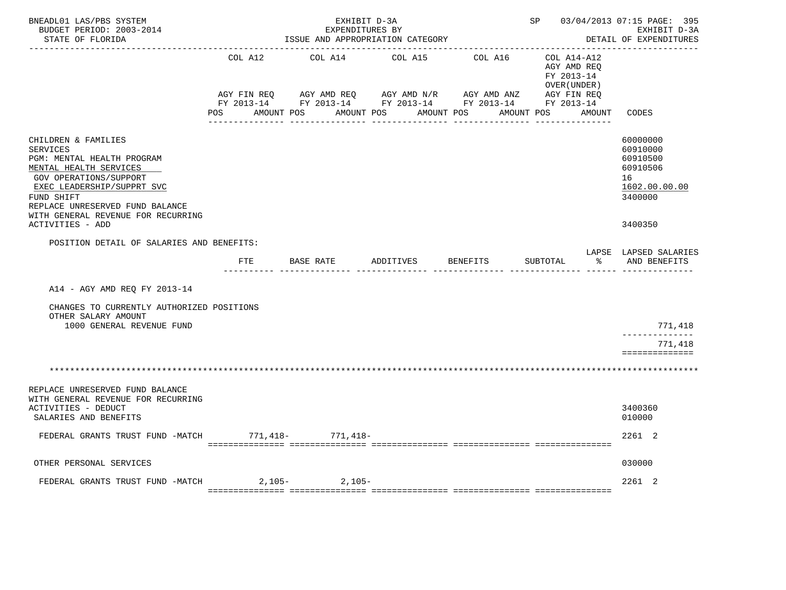| BNEADL01 LAS/PBS SYSTEM<br>BUDGET PERIOD: 2003-2014<br>STATE OF FLORIDA                                                                                                                                                                       |         | EXHIBIT D-3A<br>EXPENDITURES BY<br>ISSUE AND APPROPRIATION CATEGORY                                                                                                                                                                    | SP 03/04/2013 07:15 PAGE: 395 | EXHIBIT D-3A<br>DETAIL OF EXPENDITURES |                                                                               |                                                                                |
|-----------------------------------------------------------------------------------------------------------------------------------------------------------------------------------------------------------------------------------------------|---------|----------------------------------------------------------------------------------------------------------------------------------------------------------------------------------------------------------------------------------------|-------------------------------|----------------------------------------|-------------------------------------------------------------------------------|--------------------------------------------------------------------------------|
|                                                                                                                                                                                                                                               | COL A12 | COL A14<br>AGY FIN REQ        AGY AMD REQ        AGY AMD N/R        AGY AMD ANZ         AGY FIN REQ<br>FY 2013-14         FY 2013-14         FY 2013-14          FY 2013-14         FY 2013-14<br>POS AMOUNT POS AMOUNT POS AMOUNT POS | COL A15                       | COL A16                                | COL A14-A12<br>AGY AMD REQ<br>FY 2013-14<br>OVER (UNDER)<br>AMOUNT POS AMOUNT | CODES                                                                          |
|                                                                                                                                                                                                                                               |         |                                                                                                                                                                                                                                        |                               |                                        |                                                                               |                                                                                |
| CHILDREN & FAMILIES<br><b>SERVICES</b><br>PGM: MENTAL HEALTH PROGRAM<br>MENTAL HEALTH SERVICES<br>GOV OPERATIONS/SUPPORT<br>EXEC LEADERSHIP/SUPPRT SVC<br>FUND SHIFT<br>REPLACE UNRESERVED FUND BALANCE<br>WITH GENERAL REVENUE FOR RECURRING |         |                                                                                                                                                                                                                                        |                               |                                        |                                                                               | 60000000<br>60910000<br>60910500<br>60910506<br>16<br>1602.00.00.00<br>3400000 |
| ACTIVITIES - ADD                                                                                                                                                                                                                              |         |                                                                                                                                                                                                                                        |                               |                                        |                                                                               | 3400350                                                                        |
| POSITION DETAIL OF SALARIES AND BENEFITS:                                                                                                                                                                                                     |         |                                                                                                                                                                                                                                        |                               |                                        |                                                                               |                                                                                |
|                                                                                                                                                                                                                                               | FTE     | BASE RATE                                                                                                                                                                                                                              | ADDITIVES                     | BENEFITS                               | SUBTOTAL<br>ిన                                                                | LAPSE LAPSED SALARIES<br>AND BENEFITS                                          |
| A14 - AGY AMD REO FY 2013-14<br>CHANGES TO CURRENTLY AUTHORIZED POSITIONS                                                                                                                                                                     |         |                                                                                                                                                                                                                                        |                               |                                        |                                                                               |                                                                                |
| OTHER SALARY AMOUNT<br>1000 GENERAL REVENUE FUND                                                                                                                                                                                              |         |                                                                                                                                                                                                                                        |                               |                                        |                                                                               | 771,418                                                                        |
|                                                                                                                                                                                                                                               |         |                                                                                                                                                                                                                                        |                               |                                        |                                                                               | ______________<br>771,418<br>==============                                    |
|                                                                                                                                                                                                                                               |         |                                                                                                                                                                                                                                        |                               |                                        |                                                                               |                                                                                |
| REPLACE UNRESERVED FUND BALANCE<br>WITH GENERAL REVENUE FOR RECURRING<br>ACTIVITIES - DEDUCT                                                                                                                                                  |         |                                                                                                                                                                                                                                        |                               |                                        |                                                                               | 3400360                                                                        |
| SALARIES AND BENEFITS                                                                                                                                                                                                                         |         |                                                                                                                                                                                                                                        |                               |                                        |                                                                               | 010000                                                                         |
| FEDERAL GRANTS TRUST FUND -MATCH 771,418- 771,418-                                                                                                                                                                                            |         |                                                                                                                                                                                                                                        |                               |                                        |                                                                               | 2261 2                                                                         |
| OTHER PERSONAL SERVICES                                                                                                                                                                                                                       |         |                                                                                                                                                                                                                                        |                               |                                        |                                                                               | 030000                                                                         |
| FEDERAL GRANTS TRUST FUND -MATCH 2, 105-<br>2, 105-                                                                                                                                                                                           |         |                                                                                                                                                                                                                                        |                               |                                        |                                                                               | 2261 2                                                                         |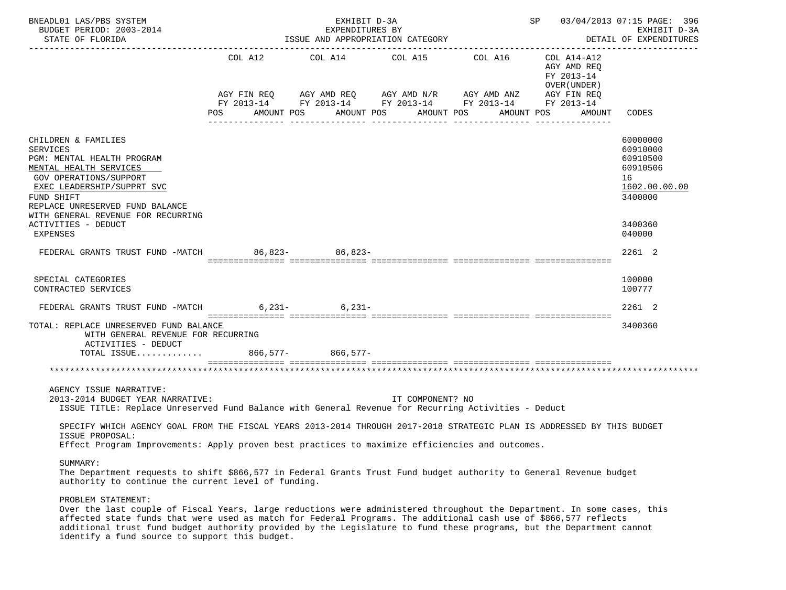| BNEADL01 LAS/PBS SYSTEM<br>BUDGET PERIOD: 2003-2014<br>STATE OF FLORIDA                                                                                                                                                                      |            | EXHIBIT D-3A<br>EXPENDITURES BY<br>ISSUE AND APPROPRIATION CATEGORY                                                                                                                                                                                                                                                                                                                                                                                                                        |                  | SP 03/04/2013 07:15 PAGE: 396<br>גי-ח די די דוארי היא היא היא הי<br>DETAIL OF EXPENDITURES |                                                                                |
|----------------------------------------------------------------------------------------------------------------------------------------------------------------------------------------------------------------------------------------------|------------|--------------------------------------------------------------------------------------------------------------------------------------------------------------------------------------------------------------------------------------------------------------------------------------------------------------------------------------------------------------------------------------------------------------------------------------------------------------------------------------------|------------------|--------------------------------------------------------------------------------------------|--------------------------------------------------------------------------------|
|                                                                                                                                                                                                                                              | <b>POS</b> | $\begin{tabular}{lllllllllll} \multicolumn{2}{l}{{\text{COL A14}} } & \multicolumn{2}{c}{{\text{COL A15}} } & \multicolumn{2}{c}{{\text{COL A16}} } & \multicolumn{2}{c}{{\text{COL A14} - A12}}\\ \multicolumn{2}{c}{{\text{COL A14}} } & \multicolumn{2}{c}{{\text{COL A15}} } & \multicolumn{2}{c}{{\text{COL A16}} } & \multicolumn{2}{c}{{\text{COL A14} - A12}}\\ \multicolumn{2}{c}{{\text{COL A14}} } & \multicolumn{2}{c}{{\text{COL A14}} }$<br>AMOUNT POS AMOUNT POS AMOUNT POS |                  | AGY AMD REQ<br>FY 2013-14<br>OVER ( UNDER )<br>AMOUNT POS                                  | AMOUNT CODES                                                                   |
| CHILDREN & FAMILIES<br><b>SERVICES</b><br>PGM: MENTAL HEALTH PROGRAM<br>MENTAL HEALTH SERVICES<br>GOV OPERATIONS/SUPPORT<br>EXEC LEADERSHIP/SUPPRT SVC<br>FUND SHIFT<br>REPLACE UNRESERVED FUND BALANCE                                      |            |                                                                                                                                                                                                                                                                                                                                                                                                                                                                                            |                  |                                                                                            | 60000000<br>60910000<br>60910500<br>60910506<br>16<br>1602.00.00.00<br>3400000 |
| WITH GENERAL REVENUE FOR RECURRING<br>ACTIVITIES - DEDUCT<br><b>EXPENSES</b>                                                                                                                                                                 |            |                                                                                                                                                                                                                                                                                                                                                                                                                                                                                            |                  |                                                                                            | 3400360<br>040000                                                              |
| FEDERAL GRANTS TRUST FUND -MATCH 86,823- 86,823-                                                                                                                                                                                             |            |                                                                                                                                                                                                                                                                                                                                                                                                                                                                                            |                  |                                                                                            | 2261 2                                                                         |
| SPECIAL CATEGORIES<br>CONTRACTED SERVICES                                                                                                                                                                                                    |            |                                                                                                                                                                                                                                                                                                                                                                                                                                                                                            |                  |                                                                                            | 100000<br>100777                                                               |
| FEDERAL GRANTS TRUST FUND -MATCH 6,231- 6,231-                                                                                                                                                                                               |            |                                                                                                                                                                                                                                                                                                                                                                                                                                                                                            |                  |                                                                                            | 2261 2                                                                         |
| TOTAL: REPLACE UNRESERVED FUND BALANCE<br>WITH GENERAL REVENUE FOR RECURRING<br>ACTIVITIES - DEDUCT                                                                                                                                          |            |                                                                                                                                                                                                                                                                                                                                                                                                                                                                                            |                  |                                                                                            | 3400360                                                                        |
| TOTAL ISSUE 866,577- 866,577-                                                                                                                                                                                                                |            |                                                                                                                                                                                                                                                                                                                                                                                                                                                                                            |                  |                                                                                            |                                                                                |
| AGENCY ISSUE NARRATIVE:<br>2013-2014 BUDGET YEAR NARRATIVE:<br>ISSUE TITLE: Replace Unreserved Fund Balance with General Revenue for Recurring Activities - Deduct                                                                           |            |                                                                                                                                                                                                                                                                                                                                                                                                                                                                                            | IT COMPONENT? NO |                                                                                            |                                                                                |
| SPECIFY WHICH AGENCY GOAL FROM THE FISCAL YEARS 2013-2014 THROUGH 2017-2018 STRATEGIC PLAN IS ADDRESSED BY THIS BUDGET<br>ISSUE PROPOSAL:<br>Effect Program Improvements: Apply proven best practices to maximize efficiencies and outcomes. |            |                                                                                                                                                                                                                                                                                                                                                                                                                                                                                            |                  |                                                                                            |                                                                                |
| SUMMARY:<br>The Department requests to shift \$866,577 in Federal Grants Trust Fund budget authority to General Revenue budget<br>authority to continue the current level of funding.                                                        |            |                                                                                                                                                                                                                                                                                                                                                                                                                                                                                            |                  |                                                                                            |                                                                                |
| PROBLEM STATEMENT:<br>Over the last couple of Fiscal Vears, large reductions were administered throughout the Department. In some gases, this                                                                                                |            |                                                                                                                                                                                                                                                                                                                                                                                                                                                                                            |                  |                                                                                            |                                                                                |

 Over the last couple of Fiscal Years, large reductions were administered throughout the Department. In some cases, this affected state funds that were used as match for Federal Programs. The additional cash use of \$866,577 reflects additional trust fund budget authority provided by the Legislature to fund these programs, but the Department cannot identify a fund source to support this budget.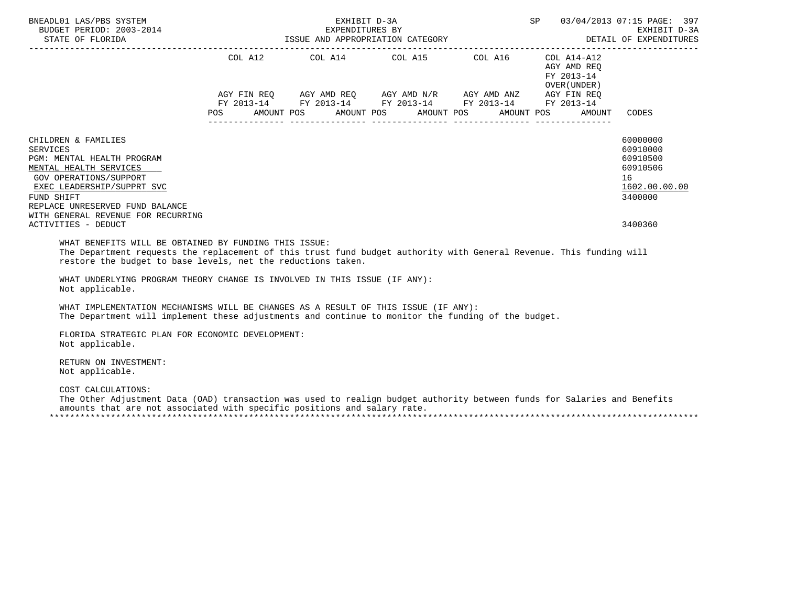| BNEADL01 LAS/PBS SYSTEM                                                                                                                                                                                                                                              |            | EXHIBIT D-3A             |                                                                                                                                     | SP         | 03/04/2013 07:15 PAGE: 397<br>EXHIBIT D-3A<br>DETAIL OF EXPENDITURES |                                                                                           |
|----------------------------------------------------------------------------------------------------------------------------------------------------------------------------------------------------------------------------------------------------------------------|------------|--------------------------|-------------------------------------------------------------------------------------------------------------------------------------|------------|----------------------------------------------------------------------|-------------------------------------------------------------------------------------------|
|                                                                                                                                                                                                                                                                      |            |                          | COL A12 COL A14 COL A15 COL A16 COL A14-A12                                                                                         |            | AGY AMD REO<br>FY 2013-14<br>OVER (UNDER )                           |                                                                                           |
|                                                                                                                                                                                                                                                                      | <b>POS</b> | AMOUNT POS<br>AMOUNT POS | AGY FIN REQ AGY AMD REQ AGY AMD N/R AGY AMD ANZ AGY FIN REQ<br>FY 2013-14 FY 2013-14 FY 2013-14 FY 2013-14 FY 2013-14<br>AMOUNT POS | AMOUNT POS | AMOUNT                                                               | CODES                                                                                     |
| CHILDREN & FAMILIES<br><b>SERVICES</b><br>PGM: MENTAL HEALTH PROGRAM<br>MENTAL HEALTH SERVICES<br>GOV OPERATIONS/SUPPORT<br>EXEC LEADERSHIP/SUPPRT SVC<br>FUND SHIFT<br>REPLACE UNRESERVED FUND BALANCE<br>WITH GENERAL REVENUE FOR RECURRING<br>ACTIVITIES - DEDUCT |            |                          |                                                                                                                                     |            |                                                                      | 60000000<br>60910000<br>60910500<br>60910506<br>16<br>1602.00.00.00<br>3400000<br>3400360 |
| WHAT BENEFITS WILL BE OBTAINED BY FUNDING THIS ISSUE:<br>The Department requests the replacement of this trust fund budget authority with General Revenue. This funding will<br>restore the budget to base levels, net the reductions taken.                         |            |                          |                                                                                                                                     |            |                                                                      |                                                                                           |
| WHAT UNDERLYING PROGRAM THEORY CHANGE IS INVOLVED IN THIS ISSUE (IF ANY):<br>Not applicable.                                                                                                                                                                         |            |                          |                                                                                                                                     |            |                                                                      |                                                                                           |
| WHAT IMPLEMENTATION MECHANISMS WILL BE CHANGES AS A RESULT OF THIS ISSUE (IF ANY):<br>The Department will implement these adjustments and continue to monitor the funding of the budget.                                                                             |            |                          |                                                                                                                                     |            |                                                                      |                                                                                           |
| FLORIDA STRATEGIC PLAN FOR ECONOMIC DEVELOPMENT:<br>Not applicable.                                                                                                                                                                                                  |            |                          |                                                                                                                                     |            |                                                                      |                                                                                           |
| RETURN ON INVESTMENT:<br>Not applicable.                                                                                                                                                                                                                             |            |                          |                                                                                                                                     |            |                                                                      |                                                                                           |
| COST CALCULATIONS:<br>The Other Adjustment Data (OAD) transaction was used to realign budget authority between funds for Salaries and Benefits<br>amounts that are not associated with specific positions and salary rate.                                           |            |                          |                                                                                                                                     |            |                                                                      |                                                                                           |

\*\*\*\*\*\*\*\*\*\*\*\*\*\*\*\*\*\*\*\*\*\*\*\*\*\*\*\*\*\*\*\*\*\*\*\*\*\*\*\*\*\*\*\*\*\*\*\*\*\*\*\*\*\*\*\*\*\*\*\*\*\*\*\*\*\*\*\*\*\*\*\*\*\*\*\*\*\*\*\*\*\*\*\*\*\*\*\*\*\*\*\*\*\*\*\*\*\*\*\*\*\*\*\*\*\*\*\*\*\*\*\*\*\*\*\*\*\*\*\*\*\*\*\*\*\*\*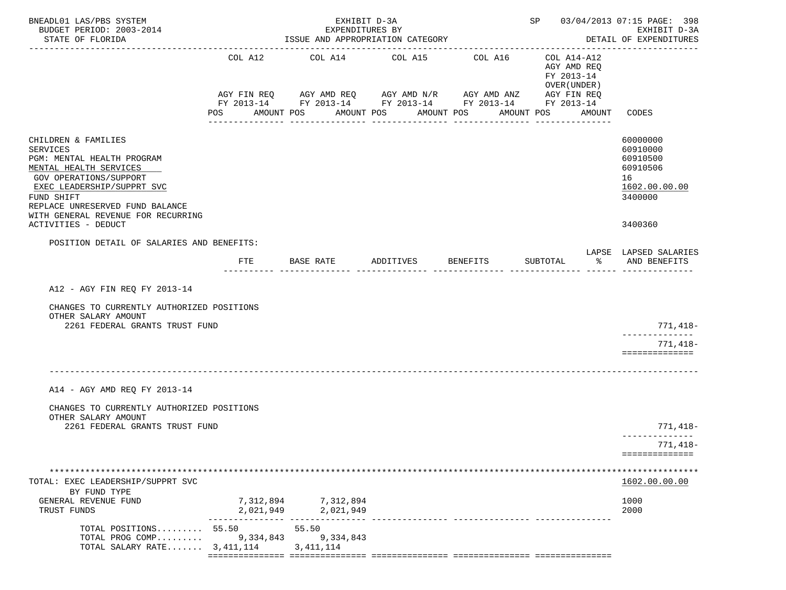| BNEADL01 LAS/PBS SYSTEM<br>BUDGET PERIOD: 2003-2014<br>STATE OF FLORIDA                                                                                                                                                                       |            | EXHIBIT D-3A<br>EXPENDITURES BY<br>ISSUE AND APPROPRIATION CATEGORY |                    | SP 03/04/2013 07:15 PAGE: 398                                                                                                    | EXHIBIT D-3A<br>DETAIL OF EXPENDITURES                   |                                                                                |
|-----------------------------------------------------------------------------------------------------------------------------------------------------------------------------------------------------------------------------------------------|------------|---------------------------------------------------------------------|--------------------|----------------------------------------------------------------------------------------------------------------------------------|----------------------------------------------------------|--------------------------------------------------------------------------------|
|                                                                                                                                                                                                                                               | COL A12    | COL A14 COL A15                                                     |                    | COL A16<br>AGY FIN REQ AGY AMD REQ AGY AMD N/R AGY AMD ANZ AGY FIN REQ<br>FY 2013-14 FY 2013-14 FY 2013-14 FY 2013-14 FY 2013-14 | COL A14-A12<br>AGY AMD REQ<br>FY 2013-14<br>OVER (UNDER) |                                                                                |
|                                                                                                                                                                                                                                               | POS        | AMOUNT POS                                                          | AMOUNT POS         | AMOUNT POS                                                                                                                       | AMOUNT POS<br>AMOUNT                                     | CODES                                                                          |
| CHILDREN & FAMILIES<br><b>SERVICES</b><br>PGM: MENTAL HEALTH PROGRAM<br>MENTAL HEALTH SERVICES<br>GOV OPERATIONS/SUPPORT<br>EXEC LEADERSHIP/SUPPRT SVC<br>FUND SHIFT<br>REPLACE UNRESERVED FUND BALANCE<br>WITH GENERAL REVENUE FOR RECURRING |            |                                                                     |                    |                                                                                                                                  |                                                          | 60000000<br>60910000<br>60910500<br>60910506<br>16<br>1602.00.00.00<br>3400000 |
| ACTIVITIES - DEDUCT                                                                                                                                                                                                                           |            |                                                                     |                    |                                                                                                                                  |                                                          | 3400360                                                                        |
| POSITION DETAIL OF SALARIES AND BENEFITS:                                                                                                                                                                                                     | <b>FTE</b> | BASE RATE                                                           | ADDITIVES BENEFITS |                                                                                                                                  | SUBTOTAL<br>ႜႂ                                           | LAPSE LAPSED SALARIES<br>AND BENEFITS                                          |
| A12 - AGY FIN REQ FY 2013-14                                                                                                                                                                                                                  |            |                                                                     |                    |                                                                                                                                  |                                                          |                                                                                |
| CHANGES TO CURRENTLY AUTHORIZED POSITIONS<br>OTHER SALARY AMOUNT                                                                                                                                                                              |            |                                                                     |                    |                                                                                                                                  |                                                          |                                                                                |
| 2261 FEDERAL GRANTS TRUST FUND                                                                                                                                                                                                                |            |                                                                     |                    |                                                                                                                                  |                                                          | 771,418-<br>-------------                                                      |
|                                                                                                                                                                                                                                               |            |                                                                     |                    |                                                                                                                                  |                                                          | 771,418-<br>==============                                                     |
| A14 - AGY AMD REQ FY 2013-14                                                                                                                                                                                                                  |            |                                                                     |                    |                                                                                                                                  |                                                          |                                                                                |
| CHANGES TO CURRENTLY AUTHORIZED POSITIONS<br>OTHER SALARY AMOUNT                                                                                                                                                                              |            |                                                                     |                    |                                                                                                                                  |                                                          |                                                                                |
| 2261 FEDERAL GRANTS TRUST FUND                                                                                                                                                                                                                |            |                                                                     |                    |                                                                                                                                  |                                                          | 771,418–<br>--------------                                                     |
|                                                                                                                                                                                                                                               |            |                                                                     |                    |                                                                                                                                  |                                                          | 771,418-<br>==============                                                     |
| TOTAL: EXEC LEADERSHIP/SUPPRT SVC<br>BY FUND TYPE                                                                                                                                                                                             |            |                                                                     |                    |                                                                                                                                  |                                                          | 1602.00.00.00                                                                  |
| GENERAL REVENUE FUND<br>TRUST FUNDS                                                                                                                                                                                                           | 2,021,949  | 7,312,894 7,312,894<br>2,021,949                                    |                    |                                                                                                                                  |                                                          | 1000<br>2000                                                                   |
| TOTAL POSITIONS 55.50<br>TOTAL PROG COMP<br>TOTAL SALARY RATE $3,411,114$                                                                                                                                                                     | 9,334,843  | 55.50<br>9,334,843<br>3, 411, 114                                   |                    |                                                                                                                                  |                                                          |                                                                                |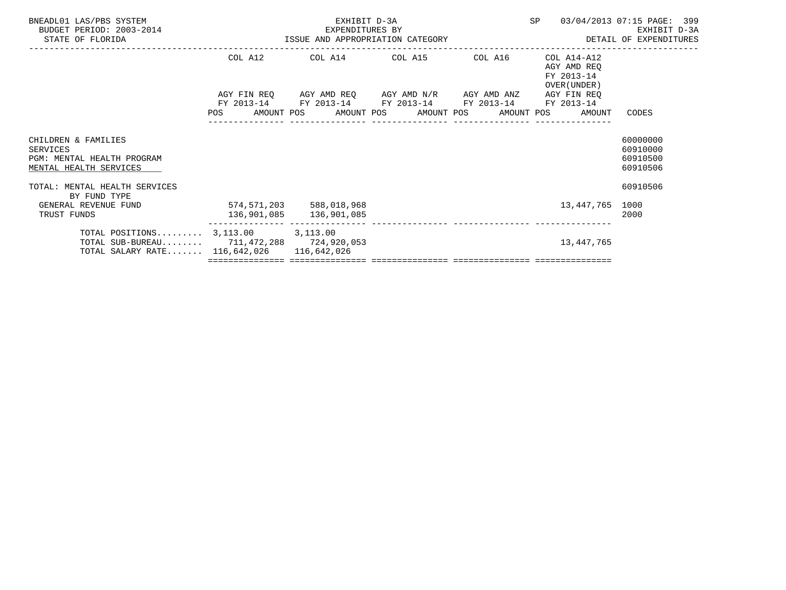| BNEADL01 LAS/PBS SYSTEM<br>BUDGET PERIOD: 2003-2014<br>STATE OF FLORIDA                                                            | EXPENDITURES BY<br>ISSUE AND APPROPRIATION CATEGORY | EXHIBIT D-3A                                | SP 03/04/2013 07:15 PAGE: 399                                                                                         | EXHIBIT D-3A<br>DETAIL OF EXPENDITURES |                                                              |                                              |
|------------------------------------------------------------------------------------------------------------------------------------|-----------------------------------------------------|---------------------------------------------|-----------------------------------------------------------------------------------------------------------------------|----------------------------------------|--------------------------------------------------------------|----------------------------------------------|
|                                                                                                                                    |                                                     | COL A12 COL A14 COL A15 COL A16 COL A14-A12 |                                                                                                                       |                                        | AGY AMD REQ<br>FY 2013-14<br>OVER (UNDER)                    |                                              |
|                                                                                                                                    |                                                     |                                             | AGY FIN REQ AGY AMD REQ AGY AMD N/R AGY AMD ANZ AGY FIN REQ<br>FY 2013-14 FY 2013-14 FY 2013-14 FY 2013-14 FY 2013-14 |                                        | POS AMOUNT POS AMOUNT POS AMOUNT POS AMOUNT POS AMOUNT CODES |                                              |
| CHILDREN & FAMILIES<br>SERVICES<br>PGM: MENTAL HEALTH PROGRAM<br>MENTAL HEALTH SERVICES                                            |                                                     |                                             |                                                                                                                       |                                        |                                                              | 60000000<br>60910000<br>60910500<br>60910506 |
| TOTAL: MENTAL HEALTH SERVICES<br>BY FUND TYPE                                                                                      |                                                     |                                             |                                                                                                                       |                                        |                                                              | 60910506                                     |
| GENERAL REVENUE FUND<br>TRUST FUNDS                                                                                                | $574, 571, 203$ 588,018,968                         |                                             | .ccccccccccc cococococococo cooperaciones cocococococo cooperaciones                                                  |                                        | 13,447,765 1000                                              | 2000                                         |
| TOTAL POSITIONS $3,113.00$ $3,113.00$<br>TOTAL SUB-BUREAU 711, 472, 288 724, 920, 053<br>TOTAL SALARY RATE 116,642,026 116,642,026 |                                                     |                                             |                                                                                                                       |                                        | 13,447,765                                                   |                                              |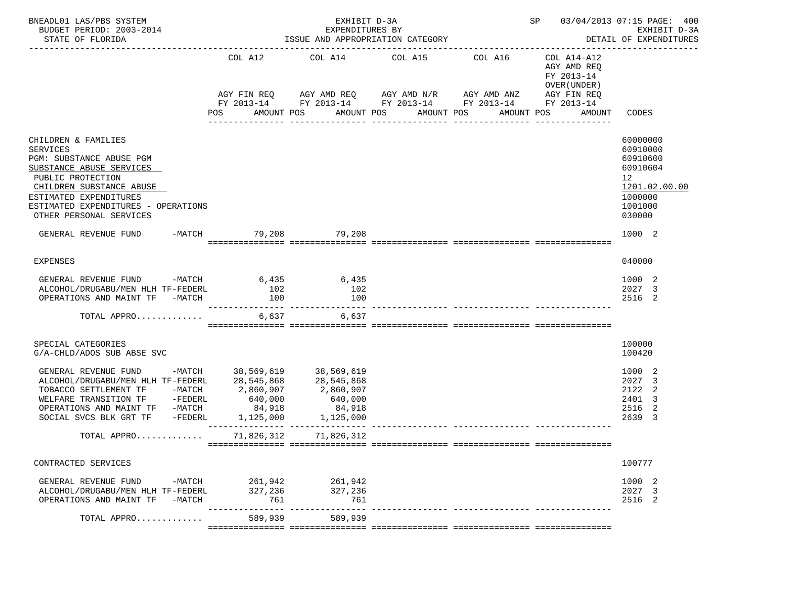| BNEADL01 LAS/PBS SYSTEM<br>BUDGET PERIOD: 2003-2014<br>STATE OF FLORIDA                                                                                                                                                                          | SP 03/04/2013 07:15 PAGE: 400<br>EXHIBIT D-3A<br>EXPENDITURES BY<br>ISSUE AND APPROPRIATION CATEGORY<br>DETAIL OF EXPENDITURES |                                                                     |                                                                                                                                                                           |                  |                                                                                   |                                                                                                     |  |
|--------------------------------------------------------------------------------------------------------------------------------------------------------------------------------------------------------------------------------------------------|--------------------------------------------------------------------------------------------------------------------------------|---------------------------------------------------------------------|---------------------------------------------------------------------------------------------------------------------------------------------------------------------------|------------------|-----------------------------------------------------------------------------------|-----------------------------------------------------------------------------------------------------|--|
|                                                                                                                                                                                                                                                  | COL A12<br>POS                                                                                                                 | AMOUNT POS                                                          | COL A14 COL A15 COL A16<br>AGY FIN REQ AGY AMD REQ AGY AMD N/R AGY AMD ANZ AGY FIN REQ<br>FY 2013-14 FY 2013-14 FY 2013-14 FY 2013-14 FY 2013-14<br>AMOUNT POS AMOUNT POS | ________________ | COL A14-A12<br>AGY AMD REQ<br>FY 2013-14<br>OVER (UNDER )<br>AMOUNT POS<br>AMOUNT | CODES                                                                                               |  |
| CHILDREN & FAMILIES<br><b>SERVICES</b><br>PGM: SUBSTANCE ABUSE PGM<br>SUBSTANCE ABUSE SERVICES<br>PUBLIC PROTECTION<br>CHILDREN SUBSTANCE ABUSE<br>ESTIMATED EXPENDITURES<br>ESTIMATED EXPENDITURES - OPERATIONS<br>OTHER PERSONAL SERVICES      |                                                                                                                                |                                                                     |                                                                                                                                                                           |                  |                                                                                   | 60000000<br>60910000<br>60910600<br>60910604<br>12<br>1201.02.00.00<br>1000000<br>1001000<br>030000 |  |
| GENERAL REVENUE FUND -MATCH 79,208 79,208                                                                                                                                                                                                        |                                                                                                                                |                                                                     |                                                                                                                                                                           |                  |                                                                                   | 1000 2                                                                                              |  |
| EXPENSES                                                                                                                                                                                                                                         |                                                                                                                                |                                                                     |                                                                                                                                                                           |                  |                                                                                   | 040000                                                                                              |  |
| GENERAL REVENUE FUND -MATCH 6,435 6,435<br>ALCOHOL/DRUGABU/MEN HLH TF-FEDERL<br>OPERATIONS AND MAINT TF -MATCH<br>TOTAL APPRO                                                                                                                    | 102<br>100<br>6,637                                                                                                            | 102<br>100<br>6,637                                                 |                                                                                                                                                                           |                  |                                                                                   | 1000 2<br>2027 3<br>2516 2                                                                          |  |
| SPECIAL CATEGORIES<br>G/A-CHLD/ADOS SUB ABSE SVC                                                                                                                                                                                                 |                                                                                                                                |                                                                     |                                                                                                                                                                           |                  |                                                                                   | 100000<br>100420                                                                                    |  |
| GENERAL REVENUE FUND -MATCH 38,569,619 38,569,619<br>ALCOHOL/DRUGABU/MEN HLH TF-FEDERL 28,545,868<br>TOBACCO SETTLEMENT TF -MATCH 2,860,907<br>WELFARE TRANSITION TF -FEDERL<br>OPERATIONS AND MAINT TF -MATCH<br>SOCIAL SVCS BLK GRT TF -FEDERL | 640,000<br>84,918                                                                                                              | 28,545,868<br>2,860,907<br>640,000<br>84,918<br>1,125,000 1,125,000 |                                                                                                                                                                           |                  |                                                                                   | 1000 2<br>2027 3<br>2122<br>-2<br>2401<br>-3<br>2516<br>2<br>2639<br>-3                             |  |
| TOTAL APPRO 71,826,312                                                                                                                                                                                                                           |                                                                                                                                | 71,826,312                                                          |                                                                                                                                                                           |                  |                                                                                   |                                                                                                     |  |
| CONTRACTED SERVICES                                                                                                                                                                                                                              |                                                                                                                                |                                                                     |                                                                                                                                                                           |                  |                                                                                   | 100777                                                                                              |  |
| GENERAL REVENUE FUND<br>ALCOHOL/DRUGABU/MEN HLH TF-FEDERL<br>OPERATIONS AND MAINT TF<br>-MATCH                                                                                                                                                   | -MATCH 261,942 261,942<br>327,236<br>761                                                                                       | 327,236<br>761                                                      |                                                                                                                                                                           |                  |                                                                                   | 1000 2<br>2027 3<br>2516 2                                                                          |  |
| TOTAL APPRO                                                                                                                                                                                                                                      | 589,939                                                                                                                        | ______________________________________<br>589,939                   |                                                                                                                                                                           |                  |                                                                                   |                                                                                                     |  |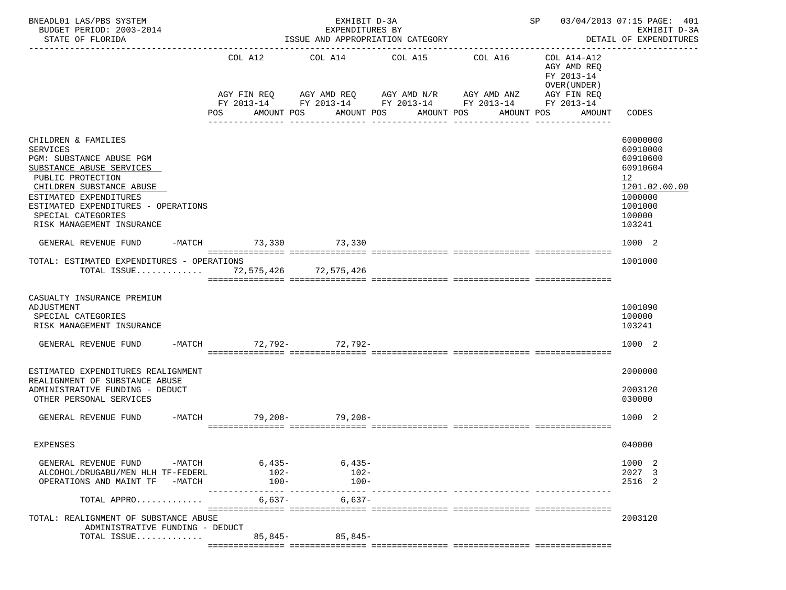| BNEADL01 LAS/PBS SYSTEM<br>BUDGET PERIOD: 2003-2014<br>STATE OF FLORIDA                                                                                                                                                                                             |                              | EXHIBIT D-3A<br>EXPENDITURES BY<br>ISSUE AND APPROPRIATION CATEGORY |                                           | SP 03/04/2013 07:15 PAGE: 401<br>EXHIBIT D-3A<br>DETAIL OF EXPENDITURES                                               |                                                          |                                                                                                               |
|---------------------------------------------------------------------------------------------------------------------------------------------------------------------------------------------------------------------------------------------------------------------|------------------------------|---------------------------------------------------------------------|-------------------------------------------|-----------------------------------------------------------------------------------------------------------------------|----------------------------------------------------------|---------------------------------------------------------------------------------------------------------------|
|                                                                                                                                                                                                                                                                     | COL A12                      | COL A14 COL A15 COL A16                                             |                                           | AGY FIN REQ AGY AMD REQ AGY AMD N/R AGY AMD ANZ AGY FIN REQ<br>FY 2013-14 FY 2013-14 FY 2013-14 FY 2013-14 FY 2013-14 | COL A14-A12<br>AGY AMD REO<br>FY 2013-14<br>OVER (UNDER) |                                                                                                               |
|                                                                                                                                                                                                                                                                     | POS                          | AMOUNT POS                                                          | AMOUNT POS AMOUNT POS<br>________________ | <u>u dia dia dia dia dali dia dia 40.</u>                                                                             | AMOUNT POS<br>AMOUNT                                     | CODES                                                                                                         |
| CHILDREN & FAMILIES<br><b>SERVICES</b><br>PGM: SUBSTANCE ABUSE PGM<br>SUBSTANCE ABUSE SERVICES<br>PUBLIC PROTECTION<br>CHILDREN SUBSTANCE ABUSE<br>ESTIMATED EXPENDITURES<br>ESTIMATED EXPENDITURES - OPERATIONS<br>SPECIAL CATEGORIES<br>RISK MANAGEMENT INSURANCE |                              |                                                                     |                                           |                                                                                                                       |                                                          | 60000000<br>60910000<br>60910600<br>60910604<br>12<br>1201.02.00.00<br>1000000<br>1001000<br>100000<br>103241 |
| GENERAL REVENUE FUND                                                                                                                                                                                                                                                | -MATCH 73,330 73,330         |                                                                     |                                           |                                                                                                                       |                                                          | 1000 2                                                                                                        |
| TOTAL: ESTIMATED EXPENDITURES - OPERATIONS<br>TOTAL ISSUE 72,575,426 72,575,426                                                                                                                                                                                     |                              |                                                                     |                                           |                                                                                                                       |                                                          | 1001000                                                                                                       |
| CASUALTY INSURANCE PREMIUM<br>ADJUSTMENT<br>SPECIAL CATEGORIES<br>RISK MANAGEMENT INSURANCE                                                                                                                                                                         |                              |                                                                     |                                           |                                                                                                                       |                                                          | 1001090<br>100000<br>103241                                                                                   |
| GENERAL REVENUE FUND -MATCH 72,792- 72,792-                                                                                                                                                                                                                         |                              |                                                                     |                                           |                                                                                                                       |                                                          | 1000 2                                                                                                        |
| ESTIMATED EXPENDITURES REALIGNMENT<br>REALIGNMENT OF SUBSTANCE ABUSE<br>ADMINISTRATIVE FUNDING - DEDUCT<br>OTHER PERSONAL SERVICES                                                                                                                                  |                              |                                                                     |                                           |                                                                                                                       |                                                          | 2000000<br>2003120<br>030000                                                                                  |
| GENERAL REVENUE FUND                                                                                                                                                                                                                                                | -MATCH 79, 208- 79, 208-     |                                                                     |                                           |                                                                                                                       |                                                          | 1000 2                                                                                                        |
| EXPENSES                                                                                                                                                                                                                                                            |                              |                                                                     |                                           |                                                                                                                       |                                                          | 040000                                                                                                        |
| GENERAL REVENUE FUND -MATCH 6,435- 6,435-<br>ALCOHOL/DRUGABU/MEN HLH TF-FEDERL<br>OPERATIONS AND MAINT TF -MATCH                                                                                                                                                    | $102 -$<br>$100-$<br>------- | $102-$<br>$100-$<br>_______________                                 |                                           |                                                                                                                       |                                                          | 1000 2<br>2027 3<br>2516 2                                                                                    |
| TOTAL APPRO                                                                                                                                                                                                                                                         | 6,637-                       | $6,637-$                                                            |                                           |                                                                                                                       |                                                          |                                                                                                               |
| TOTAL: REALIGNMENT OF SUBSTANCE ABUSE<br>ADMINISTRATIVE FUNDING - DEDUCT<br>TOTAL ISSUE                                                                                                                                                                             |                              | 85,845 - 85,845 -                                                   |                                           |                                                                                                                       |                                                          | 2003120                                                                                                       |
|                                                                                                                                                                                                                                                                     |                              |                                                                     |                                           |                                                                                                                       |                                                          |                                                                                                               |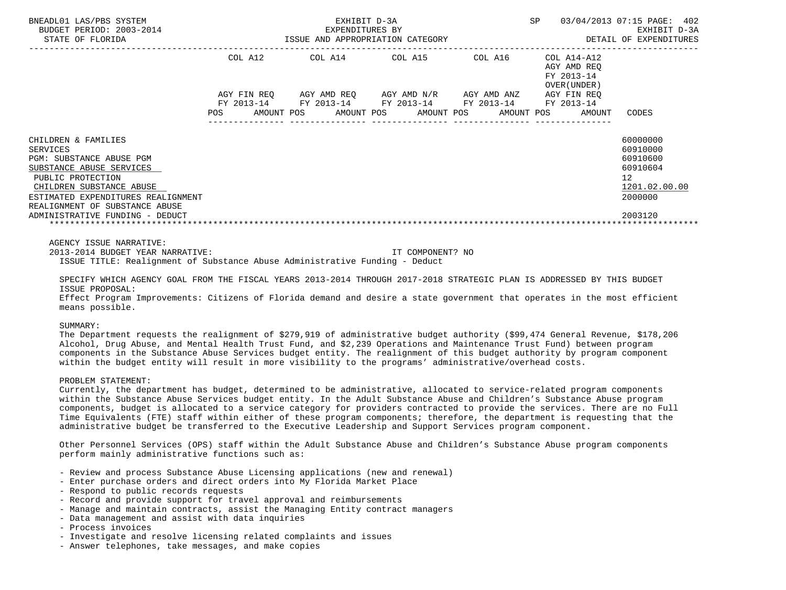| BNEADL01 LAS/PBS SYSTEM<br>BUDGET PERIOD: 2003-2014<br>STATE OF FLORIDA                                         |     | EXHIBIT D-3A<br>-2014 EXPENDITURES BY<br>ISSUE AND APPROPRIATION CATEGORY                  | SP 03/04/2013 07:15 PAGE: 402 | EXHIBIT D-3A<br>DETAIL OF EXPENDITURES                    |                                  |
|-----------------------------------------------------------------------------------------------------------------|-----|--------------------------------------------------------------------------------------------|-------------------------------|-----------------------------------------------------------|----------------------------------|
|                                                                                                                 |     | COL A12 COL A14 COL A15 COL A16                                                            |                               | COL A14-A12<br>AGY AMD REO<br>FY 2013-14<br>OVER (UNDER ) |                                  |
|                                                                                                                 |     | AGY FIN REQ AGY AMD REQ AGY AMD N/R AGY AMD ANZ AGY FIN REQ                                |                               |                                                           |                                  |
|                                                                                                                 | POS | FY 2013-14 FY 2013-14 FY 2013-14 FY 2013-14 FY 2013-14<br>AMOUNT POS AMOUNT POS AMOUNT POS |                               | AMOUNT POS<br>AMOUNT                                      | CODES                            |
| CHILDREN & FAMILIES<br>SERVICES<br><b>PGM: SUBSTANCE ABUSE PGM</b>                                              |     |                                                                                            |                               |                                                           | 60000000<br>60910000<br>60910600 |
| SUBSTANCE ABUSE SERVICES<br>PUBLIC PROTECTION                                                                   |     |                                                                                            |                               |                                                           | 60910604<br>12                   |
| CHILDREN SUBSTANCE ABUSE                                                                                        |     |                                                                                            |                               |                                                           | 1201.02.00.00                    |
| ESTIMATED EXPENDITURES REALIGNMENT<br>REALIGNMENT OF SUBSTANCE ABUSE                                            |     |                                                                                            |                               |                                                           | 2000000                          |
| ADMINISTRATIVE FUNDING - DEDUCT                                                                                 |     |                                                                                            |                               |                                                           | 2003120                          |
| AGENCY ISSUE NARRATIVE:                                                                                         |     |                                                                                            |                               |                                                           |                                  |
| 2013-2014 BUDGET YEAR NARRATIVE:<br>ISSUE TITLE: Realignment of Substance Abuse Administrative Funding - Deduct |     | TT COMPONENT? NO                                                                           |                               |                                                           |                                  |

 SPECIFY WHICH AGENCY GOAL FROM THE FISCAL YEARS 2013-2014 THROUGH 2017-2018 STRATEGIC PLAN IS ADDRESSED BY THIS BUDGET ISSUE PROPOSAL:

 Effect Program Improvements: Citizens of Florida demand and desire a state government that operates in the most efficient means possible.

# SUMMARY:

 The Department requests the realignment of \$279,919 of administrative budget authority (\$99,474 General Revenue, \$178,206 Alcohol, Drug Abuse, and Mental Health Trust Fund, and \$2,239 Operations and Maintenance Trust Fund) between program components in the Substance Abuse Services budget entity. The realignment of this budget authority by program component within the budget entity will result in more visibility to the programs' administrative/overhead costs.

# PROBLEM STATEMENT:

 Currently, the department has budget, determined to be administrative, allocated to service-related program components within the Substance Abuse Services budget entity. In the Adult Substance Abuse and Children's Substance Abuse program components, budget is allocated to a service category for providers contracted to provide the services. There are no Full Time Equivalents (FTE) staff within either of these program components; therefore, the department is requesting that the administrative budget be transferred to the Executive Leadership and Support Services program component.

 Other Personnel Services (OPS) staff within the Adult Substance Abuse and Children's Substance Abuse program components perform mainly administrative functions such as:

- Review and process Substance Abuse Licensing applications (new and renewal)
- Enter purchase orders and direct orders into My Florida Market Place
- Respond to public records requests
- Record and provide support for travel approval and reimbursements
- Manage and maintain contracts, assist the Managing Entity contract managers
- Data management and assist with data inquiries
- Process invoices
- Investigate and resolve licensing related complaints and issues
- Answer telephones, take messages, and make copies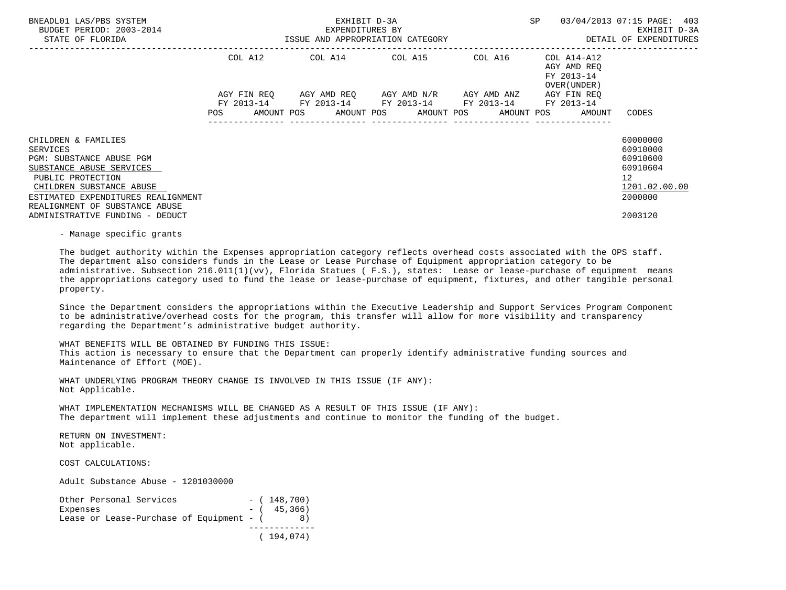| BNEADL01 LAS/PBS SYSTEM<br>BUDGET PERIOD: 2003-2014<br>STATE OF FLORIDA                                                                                                                                                                                                                                                                                                                                                                                                                                  | EM EXHIBIT D-3A EXHIBIT D-3A SP 03/04/2013 07:15 PAGE: 403<br>EXPENDITURES BY EXHIBIT D-3A EXHIBIT D-3A EXHIBIT D-3A EXHIBIT D-3A |  |                                                                                                                       |  |                                            |                                                                                           |
|----------------------------------------------------------------------------------------------------------------------------------------------------------------------------------------------------------------------------------------------------------------------------------------------------------------------------------------------------------------------------------------------------------------------------------------------------------------------------------------------------------|-----------------------------------------------------------------------------------------------------------------------------------|--|-----------------------------------------------------------------------------------------------------------------------|--|--------------------------------------------|-------------------------------------------------------------------------------------------|
|                                                                                                                                                                                                                                                                                                                                                                                                                                                                                                          |                                                                                                                                   |  | COL A12 COL A14 COL A15 COL A16 COL A14-A12                                                                           |  | AGY AMD REO<br>FY 2013-14<br>OVER (UNDER ) |                                                                                           |
|                                                                                                                                                                                                                                                                                                                                                                                                                                                                                                          | POS AMOUNT POS AMOUNT POS AMOUNT POS                                                                                              |  | AGY FIN REQ AGY AMD REQ AGY AMD N/R AGY AMD ANZ AGY FIN REQ<br>FY 2013-14 FY 2013-14 FY 2013-14 FY 2013-14 FY 2013-14 |  | AMOUNT POS AMOUNT CODES                    |                                                                                           |
| CHILDREN & FAMILIES<br><b>SERVICES</b><br>PGM: SUBSTANCE ABUSE PGM<br>SUBSTANCE ABUSE SERVICES<br>PUBLIC PROTECTION<br>CHILDREN SUBSTANCE ABUSE<br>ESTIMATED EXPENDITURES REALIGNMENT<br>REALIGNMENT OF SUBSTANCE ABUSE<br>ADMINISTRATIVE FUNDING - DEDUCT<br>- Manage specific grants                                                                                                                                                                                                                   |                                                                                                                                   |  |                                                                                                                       |  |                                            | 60000000<br>60910000<br>60910600<br>60910604<br>12<br>1201.02.00.00<br>2000000<br>2003120 |
| The budget authority within the Expenses appropriation category reflects overhead costs associated with the OPS staff.<br>The department also considers funds in the Lease or Lease Purchase of Equipment appropriation category to be<br>administrative. Subsection 216.011(1)(vv), Florida Statues (F.S.), states: Lease or lease-purchase of equipment means<br>the appropriations category used to fund the lease or lease-purchase of equipment, fixtures, and other tangible personal<br>property. |                                                                                                                                   |  |                                                                                                                       |  |                                            |                                                                                           |
| Since the Department considers the appropriations within the Executive Leadership and Support Services Program Component<br>to be administrative/overhead costs for the program, this transfer will allow for more visibility and transparency<br>regarding the Department's administrative budget authority.                                                                                                                                                                                            |                                                                                                                                   |  |                                                                                                                       |  |                                            |                                                                                           |
| WHAT BENEFITS WILL BE OBTAINED BY FUNDING THIS ISSUE:<br>This action is necessary to ensure that the Department can properly identify administrative funding sources and                                                                                                                                                                                                                                                                                                                                 |                                                                                                                                   |  |                                                                                                                       |  |                                            |                                                                                           |

 WHAT UNDERLYING PROGRAM THEORY CHANGE IS INVOLVED IN THIS ISSUE (IF ANY): Not Applicable.

 WHAT IMPLEMENTATION MECHANISMS WILL BE CHANGED AS A RESULT OF THIS ISSUE (IF ANY): The department will implement these adjustments and continue to monitor the funding of the budget.

 RETURN ON INVESTMENT: Not applicable.

Maintenance of Effort (MOE).

COST CALCULATIONS:

Adult Substance Abuse - 1201030000

| Other Personal Services                  | $-$ (148,700) |
|------------------------------------------|---------------|
| Expenses                                 | $-$ ( 45,366) |
| Lease or Lease-Purchase of Equipment - ( |               |
|                                          |               |
|                                          | (194, 074)    |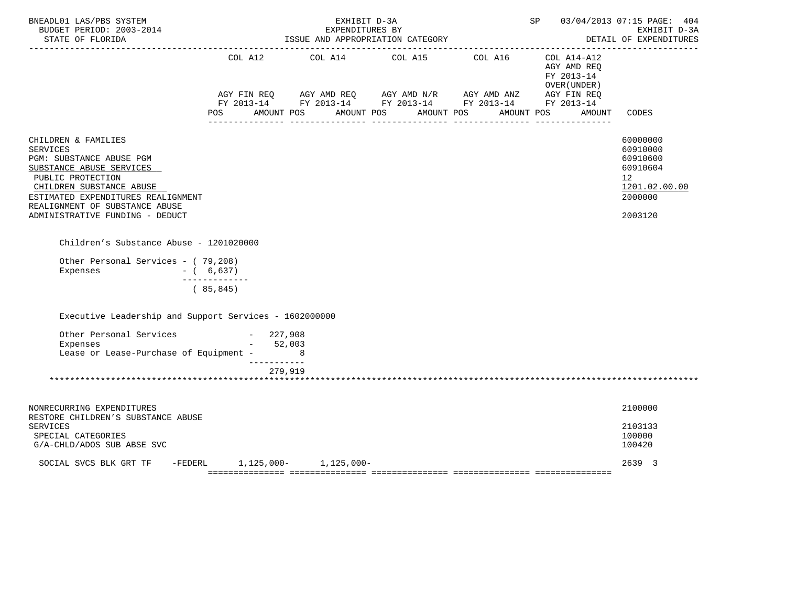| BNEADL01 LAS/PBS SYSTEM<br>BUDGET PERIOD: 2003-2014<br>STATE OF FLORIDA                                                                                                                                                                                    |                           | EXHIBIT D-3A<br>EXPENDITURES BY<br>ISSUE AND APPROPRIATION CATEGORY | <b>SP</b> |  | 03/04/2013 07:15 PAGE: 404<br>EXHIBIT D-3A<br>DETAIL OF EXPENDITURES |                                                                                           |
|------------------------------------------------------------------------------------------------------------------------------------------------------------------------------------------------------------------------------------------------------------|---------------------------|---------------------------------------------------------------------|-----------|--|----------------------------------------------------------------------|-------------------------------------------------------------------------------------------|
|                                                                                                                                                                                                                                                            |                           |                                                                     |           |  | AGY AMD REQ<br>FY 2013-14<br>OVER (UNDER )                           |                                                                                           |
|                                                                                                                                                                                                                                                            |                           | POS AMOUNT POS AMOUNT POS AMOUNT POS AMOUNT POS                     |           |  | AMOUNT                                                               | CODES                                                                                     |
| CHILDREN & FAMILIES<br><b>SERVICES</b><br>PGM: SUBSTANCE ABUSE PGM<br>SUBSTANCE ABUSE SERVICES<br>PUBLIC PROTECTION<br>CHILDREN SUBSTANCE ABUSE<br>ESTIMATED EXPENDITURES REALIGNMENT<br>REALIGNMENT OF SUBSTANCE ABUSE<br>ADMINISTRATIVE FUNDING - DEDUCT |                           |                                                                     |           |  |                                                                      | 60000000<br>60910000<br>60910600<br>60910604<br>12<br>1201.02.00.00<br>2000000<br>2003120 |
|                                                                                                                                                                                                                                                            |                           |                                                                     |           |  |                                                                      |                                                                                           |
| Children's Substance Abuse - 1201020000                                                                                                                                                                                                                    |                           |                                                                     |           |  |                                                                      |                                                                                           |
| Other Personal Services - (79,208)<br>Expenses<br>$- (6, 637)$                                                                                                                                                                                             | -------------             |                                                                     |           |  |                                                                      |                                                                                           |
|                                                                                                                                                                                                                                                            | (85, 845)                 |                                                                     |           |  |                                                                      |                                                                                           |
| Executive Leadership and Support Services - 1602000000                                                                                                                                                                                                     |                           |                                                                     |           |  |                                                                      |                                                                                           |
| Other Personal Services - 227,908<br>Expenses - 52.003<br>Expenses<br>Lease or Lease-Purchase of Equipment - 8                                                                                                                                             | $-52,003$<br>------------ |                                                                     |           |  |                                                                      |                                                                                           |
|                                                                                                                                                                                                                                                            |                           | 279,919                                                             |           |  |                                                                      |                                                                                           |
|                                                                                                                                                                                                                                                            |                           |                                                                     |           |  |                                                                      |                                                                                           |
| NONRECURRING EXPENDITURES<br>RESTORE CHILDREN'S SUBSTANCE ABUSE                                                                                                                                                                                            |                           |                                                                     |           |  |                                                                      | 2100000                                                                                   |
| <b>SERVICES</b><br>SPECIAL CATEGORIES<br>G/A-CHLD/ADOS SUB ABSE SVC                                                                                                                                                                                        |                           |                                                                     |           |  |                                                                      | 2103133<br>100000<br>100420                                                               |
| SOCIAL SVCS BLK GRT TF                                                                                                                                                                                                                                     |                           | -FEDERL 1,125,000- 1,125,000-                                       |           |  |                                                                      | 2639 3                                                                                    |
|                                                                                                                                                                                                                                                            |                           |                                                                     |           |  |                                                                      |                                                                                           |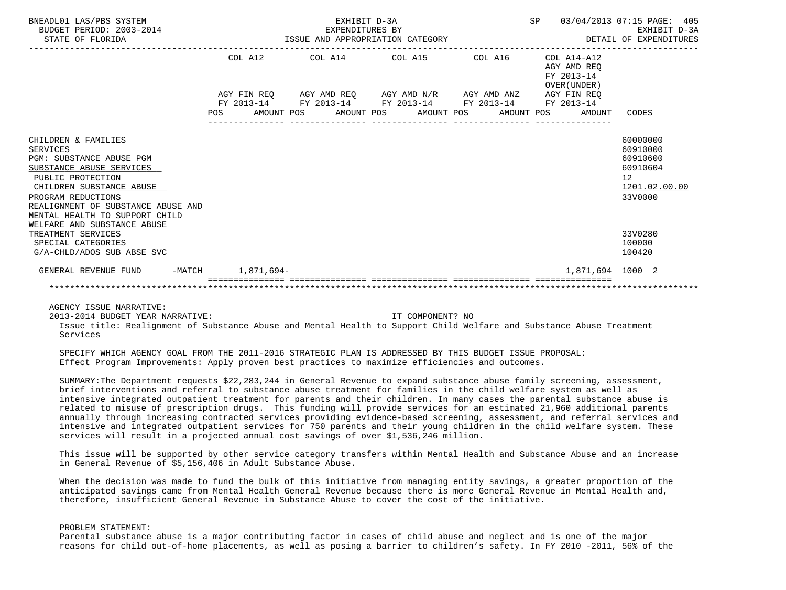| BNEADL01 LAS/PBS SYSTEM<br>BUDGET PERIOD: 2003-2014<br>STATE OF FLORIDA                                                                                                                                                                                                      |                   | EXHIBIT D-3A | EXPENDITURES BY<br>ISSUE AND APPROPRIATION CATEGORY                                                                                                                  | <b>SP</b>                                | 03/04/2013 07:15 PAGE: 405<br>EXHIBIT D-3A<br>DETAIL OF EXPENDITURES                        |  |
|------------------------------------------------------------------------------------------------------------------------------------------------------------------------------------------------------------------------------------------------------------------------------|-------------------|--------------|----------------------------------------------------------------------------------------------------------------------------------------------------------------------|------------------------------------------|---------------------------------------------------------------------------------------------|--|
|                                                                                                                                                                                                                                                                              | COL A12           |              | COL A14 COL A15 COL A16                                                                                                                                              | COL A14-A12<br>AGY AMD REO<br>FY 2013-14 |                                                                                             |  |
|                                                                                                                                                                                                                                                                              | POS               |              | AGY FIN REQ AGY AMD REQ AGY AMD N/R AGY AMD ANZ AGY FIN REQ<br>FY 2013-14 FY 2013-14 FY 2013-14 FY 2013-14 FY 2013-14<br>AMOUNT POS AMOUNT POS AMOUNT POS AMOUNT POS | OVER (UNDER)<br>AMOUNT                   | CODES                                                                                       |  |
| CHILDREN & FAMILIES<br><b>SERVICES</b><br>PGM: SUBSTANCE ABUSE PGM<br>SUBSTANCE ABUSE SERVICES<br>PUBLIC PROTECTION<br>CHILDREN SUBSTANCE ABUSE<br>PROGRAM REDUCTIONS<br>REALIGNMENT OF SUBSTANCE ABUSE AND<br>MENTAL HEALTH TO SUPPORT CHILD<br>WELFARE AND SUBSTANCE ABUSE |                   |              |                                                                                                                                                                      |                                          | 60000000<br>60910000<br>60910600<br>60910604<br>12 <sup>°</sup><br>1201.02.00.00<br>33V0000 |  |
| TREATMENT SERVICES<br>SPECIAL CATEGORIES<br>G/A-CHLD/ADOS SUB ABSE SVC                                                                                                                                                                                                       |                   |              |                                                                                                                                                                      |                                          | 33V0280<br>100000<br>100420                                                                 |  |
| GENERAL REVENUE FUND                                                                                                                                                                                                                                                         | -MATCH 1,871,694- |              |                                                                                                                                                                      | 1,871,694 1000 2                         |                                                                                             |  |
|                                                                                                                                                                                                                                                                              |                   |              |                                                                                                                                                                      |                                          |                                                                                             |  |

AGENCY ISSUE NARRATIVE:

2013-2014 BUDGET YEAR NARRATIVE: IT COMPONENT? NO

 Issue title: Realignment of Substance Abuse and Mental Health to Support Child Welfare and Substance Abuse Treatment Services

 SPECIFY WHICH AGENCY GOAL FROM THE 2011-2016 STRATEGIC PLAN IS ADDRESSED BY THIS BUDGET ISSUE PROPOSAL: Effect Program Improvements: Apply proven best practices to maximize efficiencies and outcomes.

 SUMMARY:The Department requests \$22,283,244 in General Revenue to expand substance abuse family screening, assessment, brief interventions and referral to substance abuse treatment for families in the child welfare system as well as intensive integrated outpatient treatment for parents and their children. In many cases the parental substance abuse is related to misuse of prescription drugs. This funding will provide services for an estimated 21,960 additional parents annually through increasing contracted services providing evidence-based screening, assessment, and referral services and intensive and integrated outpatient services for 750 parents and their young children in the child welfare system. These services will result in a projected annual cost savings of over \$1,536,246 million.

 This issue will be supported by other service category transfers within Mental Health and Substance Abuse and an increase in General Revenue of \$5,156,406 in Adult Substance Abuse.

 When the decision was made to fund the bulk of this initiative from managing entity savings, a greater proportion of the anticipated savings came from Mental Health General Revenue because there is more General Revenue in Mental Health and, therefore, insufficient General Revenue in Substance Abuse to cover the cost of the initiative.

### PROBLEM STATEMENT:

 Parental substance abuse is a major contributing factor in cases of child abuse and neglect and is one of the major reasons for child out-of-home placements, as well as posing a barrier to children's safety. In FY 2010 -2011, 56% of the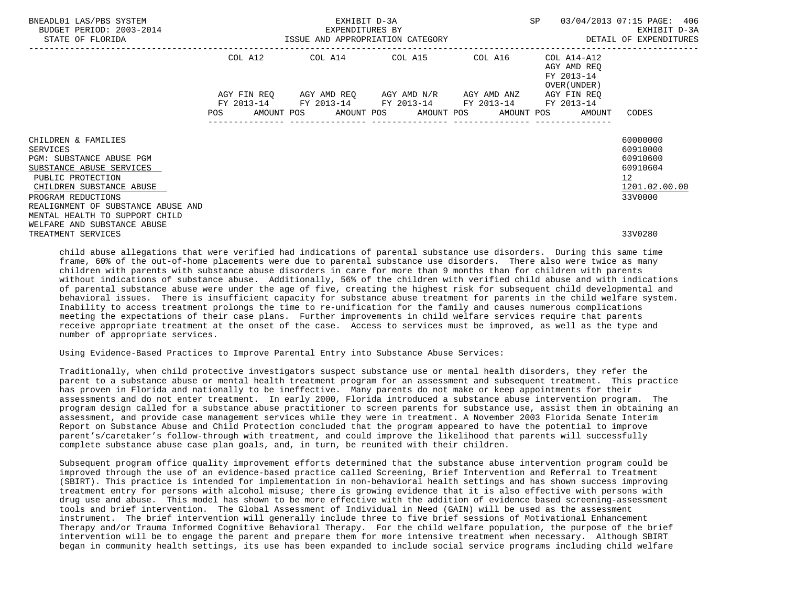| BNEADL01 LAS/PBS SYSTEM<br>BUDGET PERIOD: 2003-2014<br>STATE OF FLORIDA | EXHIBIT D-3A<br>EXPENDITURES BY<br>ISSUE AND APPROPRIATION CATEGORY <b>Experience CONTA</b> DETAIL OF EXPENDITURES |  |  |                                 |  |                                                             |  |  | SP 03/04/2013 07:15 PAGE: 406<br>EXHIBIT D-3A             |                                                              |                             |  |
|-------------------------------------------------------------------------|--------------------------------------------------------------------------------------------------------------------|--|--|---------------------------------|--|-------------------------------------------------------------|--|--|-----------------------------------------------------------|--------------------------------------------------------------|-----------------------------|--|
|                                                                         |                                                                                                                    |  |  | COL A12 COL A14 COL A15 COL A16 |  |                                                             |  |  | COL A14-A12<br>AGY AMD REO<br>FY 2013-14<br>OVER (UNDER ) |                                                              |                             |  |
|                                                                         |                                                                                                                    |  |  |                                 |  | AGY FIN REO AGY AMD REO AGY AMD N/R AGY AMD ANZ AGY FIN REO |  |  |                                                           |                                                              |                             |  |
|                                                                         |                                                                                                                    |  |  |                                 |  | FY 2013-14 FY 2013-14 FY 2013-14 FY 2013-14 FY 2013-14      |  |  |                                                           | POS AMOUNT POS AMOUNT POS AMOUNT POS AMOUNT POS AMOUNT CODES |                             |  |
| CHILDREN & FAMILIES<br>SERVICES                                         |                                                                                                                    |  |  |                                 |  |                                                             |  |  |                                                           |                                                              | 60000000<br>60910000        |  |
| PGM: SUBSTANCE ABUSE PGM                                                |                                                                                                                    |  |  |                                 |  |                                                             |  |  |                                                           |                                                              | 60910600                    |  |
| SUBSTANCE ABUSE SERVICES<br>PUBLIC PROTECTION                           |                                                                                                                    |  |  |                                 |  |                                                             |  |  |                                                           |                                                              | 60910604<br>12 <sup>°</sup> |  |
| CHILDREN SUBSTANCE ABUSE                                                |                                                                                                                    |  |  |                                 |  |                                                             |  |  |                                                           |                                                              | 1201.02.00.00               |  |
| PROGRAM REDUCTIONS                                                      |                                                                                                                    |  |  |                                 |  |                                                             |  |  |                                                           |                                                              | 33V0000                     |  |
| REALIGNMENT OF SUBSTANCE ABUSE AND<br>MENTAL HEALTH TO SUPPORT CHILD    |                                                                                                                    |  |  |                                 |  |                                                             |  |  |                                                           |                                                              |                             |  |
| WELFARE AND SUBSTANCE ABUSE                                             |                                                                                                                    |  |  |                                 |  |                                                             |  |  |                                                           |                                                              |                             |  |
| TREATMENT SERVICES                                                      |                                                                                                                    |  |  |                                 |  |                                                             |  |  |                                                           |                                                              | 33V0280                     |  |

 child abuse allegations that were verified had indications of parental substance use disorders. During this same time frame, 60% of the out-of-home placements were due to parental substance use disorders. There also were twice as many children with parents with substance abuse disorders in care for more than 9 months than for children with parents without indications of substance abuse. Additionally, 56% of the children with verified child abuse and with indications of parental substance abuse were under the age of five, creating the highest risk for subsequent child developmental and behavioral issues. There is insufficient capacity for substance abuse treatment for parents in the child welfare system. Inability to access treatment prolongs the time to re-unification for the family and causes numerous complications meeting the expectations of their case plans. Further improvements in child welfare services require that parents receive appropriate treatment at the onset of the case. Access to services must be improved, as well as the type and number of appropriate services.

Using Evidence-Based Practices to Improve Parental Entry into Substance Abuse Services:

 Traditionally, when child protective investigators suspect substance use or mental health disorders, they refer the parent to a substance abuse or mental health treatment program for an assessment and subsequent treatment. This practice has proven in Florida and nationally to be ineffective. Many parents do not make or keep appointments for their assessments and do not enter treatment. In early 2000, Florida introduced a substance abuse intervention program. The program design called for a substance abuse practitioner to screen parents for substance use, assist them in obtaining an assessment, and provide case management services while they were in treatment. A November 2003 Florida Senate Interim Report on Substance Abuse and Child Protection concluded that the program appeared to have the potential to improve parent's/caretaker's follow-through with treatment, and could improve the likelihood that parents will successfully complete substance abuse case plan goals, and, in turn, be reunited with their children.

 Subsequent program office quality improvement efforts determined that the substance abuse intervention program could be improved through the use of an evidence-based practice called Screening, Brief Intervention and Referral to Treatment (SBIRT). This practice is intended for implementation in non-behavioral health settings and has shown success improving treatment entry for persons with alcohol misuse; there is growing evidence that it is also effective with persons with drug use and abuse. This model has shown to be more effective with the addition of evidence based screening-assessment tools and brief intervention. The Global Assessment of Individual in Need (GAIN) will be used as the assessment instrument. The brief intervention will generally include three to five brief sessions of Motivational Enhancement Therapy and/or Trauma Informed Cognitive Behavioral Therapy. For the child welfare population, the purpose of the brief intervention will be to engage the parent and prepare them for more intensive treatment when necessary. Although SBIRT began in community health settings, its use has been expanded to include social service programs including child welfare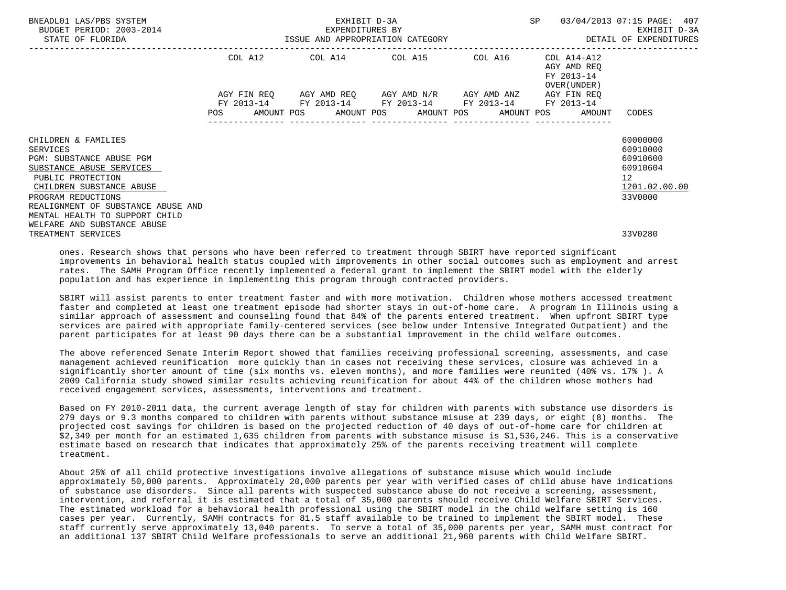| BNEADL01 LAS/PBS SYSTEM<br>BUDGET PERIOD: 2003-2014<br>STATE OF FLORIDA |  |  | EXHIBIT D-3A<br>EXPENDITURES BY                             |  | SP |                                                              | 03/04/2013 07:15 PAGE: 407<br>EXHIBIT D-3A<br>ISSUE AND APPROPRIATION CATEGORY <b>Experience CONTA</b> DETAIL OF EXPENDITURES |
|-------------------------------------------------------------------------|--|--|-------------------------------------------------------------|--|----|--------------------------------------------------------------|-------------------------------------------------------------------------------------------------------------------------------|
|                                                                         |  |  | COL A12 COL A14 COL A15 COL A16                             |  |    | COL A14-A12<br>AGY AMD REO<br>FY 2013-14<br>OVER (UNDER )    |                                                                                                                               |
|                                                                         |  |  | AGY FIN REQ AGY AMD REQ AGY AMD N/R AGY AMD ANZ AGY FIN REQ |  |    |                                                              |                                                                                                                               |
|                                                                         |  |  | FY 2013-14 FY 2013-14 FY 2013-14 FY 2013-14 FY 2013-14      |  |    | POS AMOUNT POS AMOUNT POS AMOUNT POS AMOUNT POS AMOUNT CODES |                                                                                                                               |
| CHILDREN & FAMILIES<br><b>SERVICES</b>                                  |  |  |                                                             |  |    |                                                              | 60000000<br>60910000                                                                                                          |
| PGM: SUBSTANCE ABUSE PGM                                                |  |  |                                                             |  |    |                                                              | 60910600                                                                                                                      |
| SUBSTANCE ABUSE SERVICES<br>PUBLIC PROTECTION                           |  |  |                                                             |  |    |                                                              | 60910604<br>12 <sup>°</sup>                                                                                                   |
| CHILDREN SUBSTANCE ABUSE                                                |  |  |                                                             |  |    |                                                              | 1201.02.00.00                                                                                                                 |
| PROGRAM REDUCTIONS                                                      |  |  |                                                             |  |    |                                                              | 33V0000                                                                                                                       |
| REALIGNMENT OF SUBSTANCE ABUSE AND<br>MENTAL HEALTH TO SUPPORT CHILD    |  |  |                                                             |  |    |                                                              |                                                                                                                               |
| WELFARE AND SUBSTANCE ABUSE                                             |  |  |                                                             |  |    |                                                              |                                                                                                                               |
| TREATMENT SERVICES                                                      |  |  |                                                             |  |    |                                                              | 33V0280                                                                                                                       |

 ones. Research shows that persons who have been referred to treatment through SBIRT have reported significant improvements in behavioral health status coupled with improvements in other social outcomes such as employment and arrest rates. The SAMH Program Office recently implemented a federal grant to implement the SBIRT model with the elderly population and has experience in implementing this program through contracted providers.

 SBIRT will assist parents to enter treatment faster and with more motivation. Children whose mothers accessed treatment faster and completed at least one treatment episode had shorter stays in out-of-home care. A program in Illinois using a similar approach of assessment and counseling found that 84% of the parents entered treatment. When upfront SBIRT type services are paired with appropriate family-centered services (see below under Intensive Integrated Outpatient) and the parent participates for at least 90 days there can be a substantial improvement in the child welfare outcomes.

 The above referenced Senate Interim Report showed that families receiving professional screening, assessments, and case management achieved reunification more quickly than in cases not receiving these services, closure was achieved in a significantly shorter amount of time (six months vs. eleven months), and more families were reunited (40% vs. 17% ). A 2009 California study showed similar results achieving reunification for about 44% of the children whose mothers had received engagement services, assessments, interventions and treatment.

 Based on FY 2010-2011 data, the current average length of stay for children with parents with substance use disorders is 279 days or 9.3 months compared to children with parents without substance misuse at 239 days, or eight (8) months. The projected cost savings for children is based on the projected reduction of 40 days of out-of-home care for children at \$2,349 per month for an estimated 1,635 children from parents with substance misuse is \$1,536,246. This is a conservative estimate based on research that indicates that approximately 25% of the parents receiving treatment will complete treatment.

 About 25% of all child protective investigations involve allegations of substance misuse which would include approximately 50,000 parents. Approximately 20,000 parents per year with verified cases of child abuse have indications of substance use disorders. Since all parents with suspected substance abuse do not receive a screening, assessment, intervention, and referral it is estimated that a total of 35,000 parents should receive Child Welfare SBIRT Services. The estimated workload for a behavioral health professional using the SBIRT model in the child welfare setting is 160 cases per year. Currently, SAMH contracts for 81.5 staff available to be trained to implement the SBIRT model. These staff currently serve approximately 13,040 parents. To serve a total of 35,000 parents per year, SAMH must contract for an additional 137 SBIRT Child Welfare professionals to serve an additional 21,960 parents with Child Welfare SBIRT.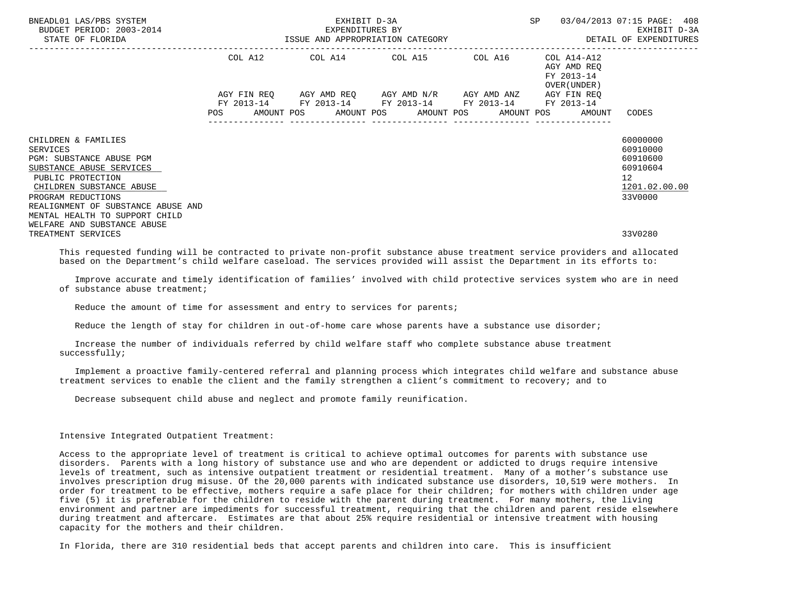| BNEADL01 LAS/PBS SYSTEM<br>BUDGET PERIOD: 2003-2014<br>STATE OF FLORIDA             |  |  | EXHIBIT D-3A<br>EXPENDITURES BY                             |  |                                                              | SP 03/04/2013 07:15 PAGE: 408<br>EXHIBIT D-3A<br>ISSUE AND APPROPRIATION CATEGORY <b>ALL SECONS</b> OF EXPENDITURES |
|-------------------------------------------------------------------------------------|--|--|-------------------------------------------------------------|--|--------------------------------------------------------------|---------------------------------------------------------------------------------------------------------------------|
|                                                                                     |  |  | COL A12 COL A14 COL A15 COL A16                             |  | COL A14-A12<br>AGY AMD REO<br>FY 2013-14<br>OVER (UNDER )    |                                                                                                                     |
|                                                                                     |  |  | AGY FIN REQ AGY AMD REQ AGY AMD N/R AGY AMD ANZ AGY FIN REQ |  |                                                              |                                                                                                                     |
|                                                                                     |  |  | FY 2013-14 FY 2013-14 FY 2013-14 FY 2013-14 FY 2013-14      |  | POS AMOUNT POS AMOUNT POS AMOUNT POS AMOUNT POS AMOUNT CODES |                                                                                                                     |
| CHILDREN & FAMILIES<br><b>SERVICES</b><br><b>PGM: SUBSTANCE ABUSE PGM</b>           |  |  |                                                             |  |                                                              | 60000000<br>60910000<br>60910600                                                                                    |
| SUBSTANCE ABUSE SERVICES<br>PUBLIC PROTECTION<br>CHILDREN SUBSTANCE ABUSE           |  |  |                                                             |  |                                                              | 60910604<br>12 <sup>°</sup><br>1201.02.00.00                                                                        |
| PROGRAM REDUCTIONS<br>REALIGNMENT OF SUBSTANCE ABUSE AND                            |  |  |                                                             |  |                                                              | 33V0000                                                                                                             |
| MENTAL HEALTH TO SUPPORT CHILD<br>WELFARE AND SUBSTANCE ABUSE<br>TREATMENT SERVICES |  |  |                                                             |  |                                                              | 33V0280                                                                                                             |

 This requested funding will be contracted to private non-profit substance abuse treatment service providers and allocated based on the Department's child welfare caseload. The services provided will assist the Department in its efforts to:

 Improve accurate and timely identification of families' involved with child protective services system who are in need of substance abuse treatment;

Reduce the amount of time for assessment and entry to services for parents;

Reduce the length of stay for children in out-of-home care whose parents have a substance use disorder;

 Increase the number of individuals referred by child welfare staff who complete substance abuse treatment successfully;

 Implement a proactive family-centered referral and planning process which integrates child welfare and substance abuse treatment services to enable the client and the family strengthen a client's commitment to recovery; and to

Decrease subsequent child abuse and neglect and promote family reunification.

#### Intensive Integrated Outpatient Treatment:

 Access to the appropriate level of treatment is critical to achieve optimal outcomes for parents with substance use disorders. Parents with a long history of substance use and who are dependent or addicted to drugs require intensive levels of treatment, such as intensive outpatient treatment or residential treatment. Many of a mother's substance use involves prescription drug misuse. Of the 20,000 parents with indicated substance use disorders, 10,519 were mothers. In order for treatment to be effective, mothers require a safe place for their children; for mothers with children under age five (5) it is preferable for the children to reside with the parent during treatment. For many mothers, the living environment and partner are impediments for successful treatment, requiring that the children and parent reside elsewhere during treatment and aftercare. Estimates are that about 25% require residential or intensive treatment with housing capacity for the mothers and their children.

In Florida, there are 310 residential beds that accept parents and children into care. This is insufficient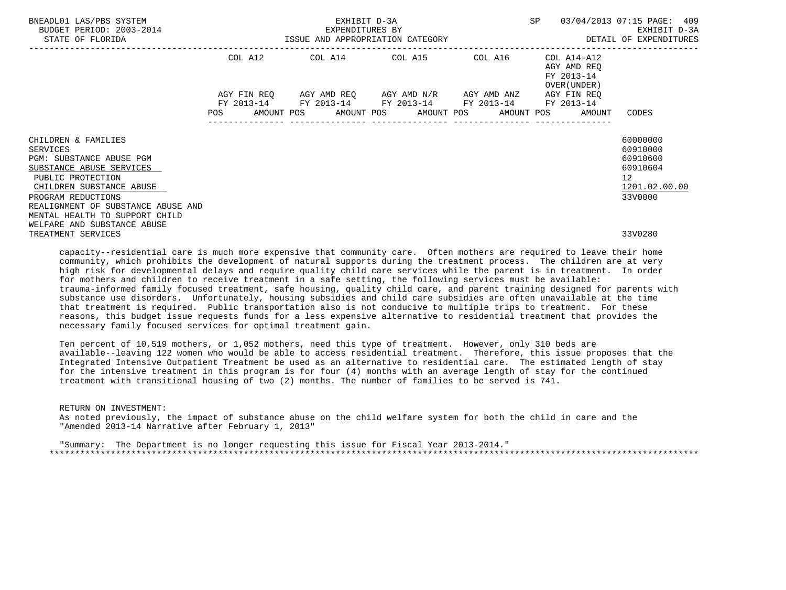| BNEADL01 LAS/PBS SYSTEM<br>BUDGET PERIOD: 2003-2014<br>STATE OF FLORIDA                                                                                                                                     | EXHIBIT D-3A<br>EXPENDITURES BY<br>ISSUE AND APPROPRIATION CATEGORY <b>Experience in the SETAIL OF EXPENDITURES</b> |  |  |  |                                                                                                                       |  | SP 03/04/2013 07:15 PAGE: 409<br>EXHIBIT D-3A                |                                                                                             |  |
|-------------------------------------------------------------------------------------------------------------------------------------------------------------------------------------------------------------|---------------------------------------------------------------------------------------------------------------------|--|--|--|-----------------------------------------------------------------------------------------------------------------------|--|--------------------------------------------------------------|---------------------------------------------------------------------------------------------|--|
|                                                                                                                                                                                                             |                                                                                                                     |  |  |  | COL A12 COL A14 COL A15 COL A16                                                                                       |  | COL A14-A12<br>AGY AMD REO<br>FY 2013-14<br>OVER (UNDER )    |                                                                                             |  |
|                                                                                                                                                                                                             |                                                                                                                     |  |  |  | AGY FIN REO AGY AMD REO AGY AMD N/R AGY AMD ANZ AGY FIN REO<br>FY 2013-14 FY 2013-14 FY 2013-14 FY 2013-14 FY 2013-14 |  |                                                              |                                                                                             |  |
|                                                                                                                                                                                                             |                                                                                                                     |  |  |  |                                                                                                                       |  | POS AMOUNT POS AMOUNT POS AMOUNT POS AMOUNT POS AMOUNT CODES |                                                                                             |  |
| CHILDREN & FAMILIES<br><b>SERVICES</b><br>PGM: SUBSTANCE ABUSE PGM<br>SUBSTANCE ABUSE SERVICES<br>PUBLIC PROTECTION<br>CHILDREN SUBSTANCE ABUSE<br>PROGRAM REDUCTIONS<br>REALIGNMENT OF SUBSTANCE ABUSE AND |                                                                                                                     |  |  |  |                                                                                                                       |  |                                                              | 60000000<br>60910000<br>60910600<br>60910604<br>12 <sup>°</sup><br>1201.02.00.00<br>33V0000 |  |
| MENTAL HEALTH TO SUPPORT CHILD<br>WELFARE AND SUBSTANCE ABUSE<br>TREATMENT SERVICES                                                                                                                         |                                                                                                                     |  |  |  |                                                                                                                       |  |                                                              | 33V0280                                                                                     |  |

 capacity--residential care is much more expensive that community care. Often mothers are required to leave their home community, which prohibits the development of natural supports during the treatment process. The children are at very high risk for developmental delays and require quality child care services while the parent is in treatment. In order for mothers and children to receive treatment in a safe setting, the following services must be available: trauma-informed family focused treatment, safe housing, quality child care, and parent training designed for parents with substance use disorders. Unfortunately, housing subsidies and child care subsidies are often unavailable at the time that treatment is required. Public transportation also is not conducive to multiple trips to treatment. For these reasons, this budget issue requests funds for a less expensive alternative to residential treatment that provides the necessary family focused services for optimal treatment gain.

 Ten percent of 10,519 mothers, or 1,052 mothers, need this type of treatment. However, only 310 beds are available--leaving 122 women who would be able to access residential treatment. Therefore, this issue proposes that the Integrated Intensive Outpatient Treatment be used as an alternative to residential care. The estimated length of stay for the intensive treatment in this program is for four (4) months with an average length of stay for the continued treatment with transitional housing of two (2) months. The number of families to be served is 741.

RETURN ON INVESTMENT:

 As noted previously, the impact of substance abuse on the child welfare system for both the child in care and the "Amended 2013-14 Narrative after February 1, 2013"

 "Summary: The Department is no longer requesting this issue for Fiscal Year 2013-2014." \*\*\*\*\*\*\*\*\*\*\*\*\*\*\*\*\*\*\*\*\*\*\*\*\*\*\*\*\*\*\*\*\*\*\*\*\*\*\*\*\*\*\*\*\*\*\*\*\*\*\*\*\*\*\*\*\*\*\*\*\*\*\*\*\*\*\*\*\*\*\*\*\*\*\*\*\*\*\*\*\*\*\*\*\*\*\*\*\*\*\*\*\*\*\*\*\*\*\*\*\*\*\*\*\*\*\*\*\*\*\*\*\*\*\*\*\*\*\*\*\*\*\*\*\*\*\*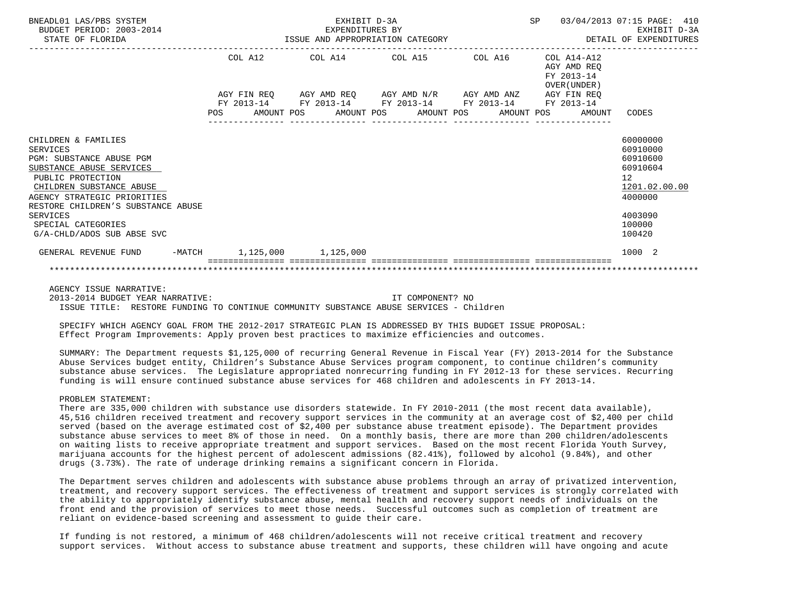| BNEADL01 LAS/PBS SYSTEM<br>BUDGET PERIOD: 2003-2014<br>STATE OF FLORIDA                                                                                                                                                                                                                            |            |         | EXHIBIT D-3A<br>EXPENDITURES BY<br>ISSUE AND APPROPRIATION CATEGORY                                                                                      |  |  | <b>SP</b>   |                                                              | 03/04/2013 07:15 PAGE: 410<br>EXHIBIT D-3A<br>DETAIL OF EXPENDITURES                                                         |
|----------------------------------------------------------------------------------------------------------------------------------------------------------------------------------------------------------------------------------------------------------------------------------------------------|------------|---------|----------------------------------------------------------------------------------------------------------------------------------------------------------|--|--|-------------|--------------------------------------------------------------|------------------------------------------------------------------------------------------------------------------------------|
|                                                                                                                                                                                                                                                                                                    |            | COL A12 | COL A14 COL A15 COL A16                                                                                                                                  |  |  |             | $COL A14 - A12$<br>AGY AMD REO<br>FY 2013-14<br>OVER (UNDER) |                                                                                                                              |
|                                                                                                                                                                                                                                                                                                    | <b>POS</b> |         | AGY FIN REQ AGY AMD REQ AGY AMD N/R AGY AMD ANZ<br>FY 2013-14 FY 2013-14 FY 2013-14 FY 2013-14 FY 2013-14<br>AMOUNT POS AMOUNT POS AMOUNT POS AMOUNT POS |  |  | AGY FIN REO | AMOUNT                                                       | CODES                                                                                                                        |
| CHILDREN & FAMILIES<br><b>SERVICES</b><br><b>PGM: SUBSTANCE ABUSE PGM</b><br>SUBSTANCE ABUSE SERVICES<br>PUBLIC PROTECTION<br>CHILDREN SUBSTANCE ABUSE<br>AGENCY STRATEGIC PRIORITIES<br>RESTORE CHILDREN'S SUBSTANCE ABUSE<br><b>SERVICES</b><br>SPECIAL CATEGORIES<br>G/A-CHLD/ADOS SUB ABSE SVC |            |         |                                                                                                                                                          |  |  |             |                                                              | 60000000<br>60910000<br>60910600<br>60910604<br>$12 \overline{ }$<br>1201.02.00.00<br>4000000<br>4003090<br>100000<br>100420 |
| -MATCH 1,125,000 1,125,000<br>GENERAL REVENUE FUND                                                                                                                                                                                                                                                 |            |         |                                                                                                                                                          |  |  |             |                                                              | 1000 2                                                                                                                       |
|                                                                                                                                                                                                                                                                                                    |            |         |                                                                                                                                                          |  |  |             |                                                              |                                                                                                                              |

AGENCY ISSUE NARRATIVE:

 2013-2014 BUDGET YEAR NARRATIVE: IT COMPONENT? NO ISSUE TITLE: RESTORE FUNDING TO CONTINUE COMMUNITY SUBSTANCE ABUSE SERVICES - Children

 SPECIFY WHICH AGENCY GOAL FROM THE 2012-2017 STRATEGIC PLAN IS ADDRESSED BY THIS BUDGET ISSUE PROPOSAL: Effect Program Improvements: Apply proven best practices to maximize efficiencies and outcomes.

 SUMMARY: The Department requests \$1,125,000 of recurring General Revenue in Fiscal Year (FY) 2013-2014 for the Substance Abuse Services budget entity, Children's Substance Abuse Services program component, to continue children's community substance abuse services. The Legislature appropriated nonrecurring funding in FY 2012-13 for these services. Recurring funding is will ensure continued substance abuse services for 468 children and adolescents in FY 2013-14.

#### PROBLEM STATEMENT:

 There are 335,000 children with substance use disorders statewide. In FY 2010-2011 (the most recent data available), 45,516 children received treatment and recovery support services in the community at an average cost of \$2,400 per child served (based on the average estimated cost of \$2,400 per substance abuse treatment episode). The Department provides substance abuse services to meet 8% of those in need. On a monthly basis, there are more than 200 children/adolescents on waiting lists to receive appropriate treatment and support services. Based on the most recent Florida Youth Survey, marijuana accounts for the highest percent of adolescent admissions (82.41%), followed by alcohol (9.84%), and other drugs (3.73%). The rate of underage drinking remains a significant concern in Florida.

 The Department serves children and adolescents with substance abuse problems through an array of privatized intervention, treatment, and recovery support services. The effectiveness of treatment and support services is strongly correlated with the ability to appropriately identify substance abuse, mental health and recovery support needs of individuals on the front end and the provision of services to meet those needs. Successful outcomes such as completion of treatment are reliant on evidence-based screening and assessment to guide their care.

 If funding is not restored, a minimum of 468 children/adolescents will not receive critical treatment and recovery support services. Without access to substance abuse treatment and supports, these children will have ongoing and acute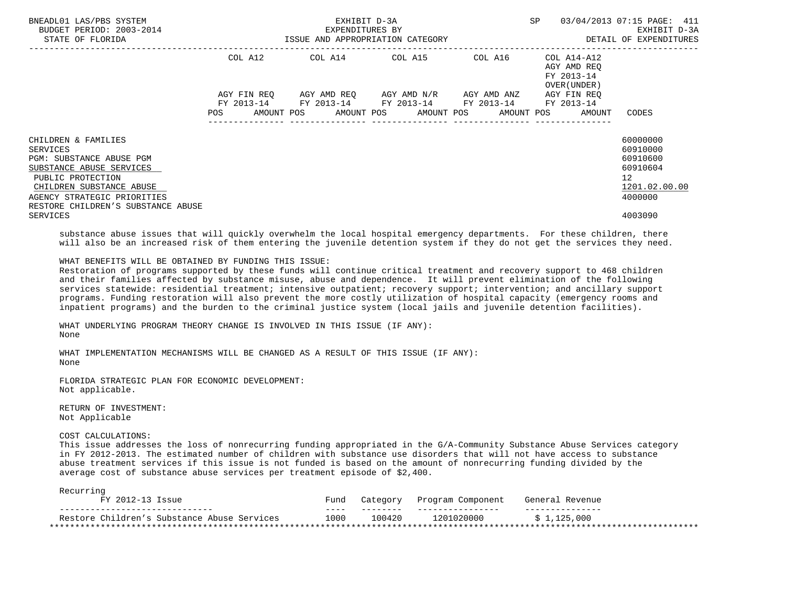| BNEADL01 LAS/PBS SYSTEM<br>BUDGET PERIOD: 2003-2014<br>STATE OF FLORIDA                                                                                                                                                   |                    | EXHIBIT D-3A<br>EXPENDITURES BY<br>ISSUE AND APPROPRIATION CATEGORY | SP                                                                                                                                | 03/04/2013 07:15 PAGE: 411<br>EXHIBIT D-3A<br>DETAIL OF EXPENDITURES |                                                          |                                                                                                        |
|---------------------------------------------------------------------------------------------------------------------------------------------------------------------------------------------------------------------------|--------------------|---------------------------------------------------------------------|-----------------------------------------------------------------------------------------------------------------------------------|----------------------------------------------------------------------|----------------------------------------------------------|--------------------------------------------------------------------------------------------------------|
|                                                                                                                                                                                                                           | COL A12            |                                                                     | COL A14 COL A15                                                                                                                   | COL A16                                                              | COL A14-A12<br>AGY AMD REO<br>FY 2013-14<br>OVER (UNDER) |                                                                                                        |
|                                                                                                                                                                                                                           | AGY FIN REO<br>POS |                                                                     | AGY AMD REQ       AGY AMD N/R      AGY AMD ANZ<br>FY 2013-14 FY 2013-14 FY 2013-14 FY 2013-14<br>AMOUNT POS AMOUNT POS AMOUNT POS |                                                                      | AGY FIN REQ<br>FY 2013-14<br>AMOUNT POS<br>AMOUNT        | CODES                                                                                                  |
| CHILDREN & FAMILIES<br>SERVICES<br>PGM: SUBSTANCE ABUSE PGM<br>SUBSTANCE ABUSE SERVICES<br>PUBLIC PROTECTION<br>CHILDREN SUBSTANCE ABUSE<br>AGENCY STRATEGIC PRIORITIES<br>RESTORE CHILDREN'S SUBSTANCE ABUSE<br>SERVICES |                    |                                                                     |                                                                                                                                   |                                                                      |                                                          | 60000000<br>60910000<br>60910600<br>60910604<br>12 <sup>°</sup><br>1201.02.00.00<br>4000000<br>4003090 |

 substance abuse issues that will quickly overwhelm the local hospital emergency departments. For these children, there will also be an increased risk of them entering the juvenile detention system if they do not get the services they need.

## WHAT BENEFITS WILL BE OBTAINED BY FUNDING THIS ISSUE:

 Restoration of programs supported by these funds will continue critical treatment and recovery support to 468 children and their families affected by substance misuse, abuse and dependence. It will prevent elimination of the following services statewide: residential treatment; intensive outpatient; recovery support; intervention; and ancillary support programs. Funding restoration will also prevent the more costly utilization of hospital capacity (emergency rooms and inpatient programs) and the burden to the criminal justice system (local jails and juvenile detention facilities).

 WHAT UNDERLYING PROGRAM THEORY CHANGE IS INVOLVED IN THIS ISSUE (IF ANY): None

 WHAT IMPLEMENTATION MECHANISMS WILL BE CHANGED AS A RESULT OF THIS ISSUE (IF ANY): None

 FLORIDA STRATEGIC PLAN FOR ECONOMIC DEVELOPMENT: Not applicable.

 RETURN OF INVESTMENT: Not Applicable

### COST CALCULATIONS:

 This issue addresses the loss of nonrecurring funding appropriated in the G/A-Community Substance Abuse Services category in FY 2012-2013. The estimated number of children with substance use disorders that will not have access to substance abuse treatment services if this issue is not funded is based on the amount of nonrecurring funding divided by the average cost of substance abuse services per treatment episode of \$2,400.

| FY 2012-13 Issue                            | Fund | Category | Program Component | General Revenue |
|---------------------------------------------|------|----------|-------------------|-----------------|
|                                             | ____ |          |                   |                 |
| Restore Children's Substance Abuse Services | 1000 | 100420   | 1201020000        | \$1.125.000     |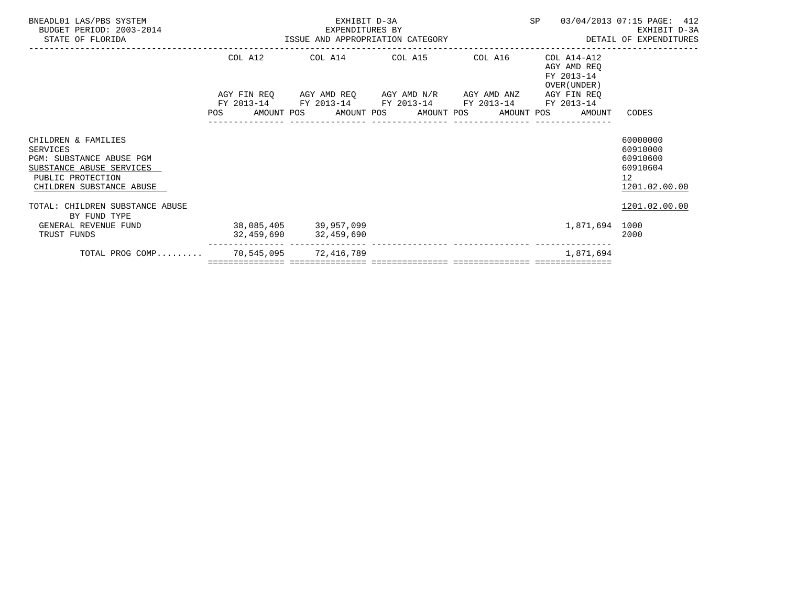| BNEADL01 LAS/PBS SYSTEM<br>BUDGET PERIOD: 2003-2014<br>2014 EXPENDITURES BY<br>ISSUE AND APPROPRIATION CATEGORY<br>STATE OF FLORIDA      |            | EXHIBIT D-3A                                                                               |  |  | SP |                                                          | 03/04/2013 07:15 PAGE: 412<br>EXHIBIT D-3A<br>DETAIL OF EXPENDITURES             |
|------------------------------------------------------------------------------------------------------------------------------------------|------------|--------------------------------------------------------------------------------------------|--|--|----|----------------------------------------------------------|----------------------------------------------------------------------------------|
|                                                                                                                                          | COL A12    | COL A14 COL A15 COL A16                                                                    |  |  |    | COL A14-A12<br>AGY AMD REO<br>FY 2013-14<br>OVER (UNDER) |                                                                                  |
|                                                                                                                                          |            | AGY FIN REQ AGY AMD REQ AGY AMD N/R AGY AMD ANZ                                            |  |  |    | AGY FIN REQ                                              |                                                                                  |
|                                                                                                                                          | FY 2013-14 | FY 2013-14 FY 2013-14 FY 2013-14<br>POS AMOUNT POS AMOUNT POS AMOUNT POS AMOUNT POS AMOUNT |  |  |    | FY 2013-14                                               | CODES                                                                            |
| CHILDREN & FAMILIES<br>SERVICES<br>PGM: SUBSTANCE ABUSE PGM<br>SUBSTANCE ABUSE SERVICES<br>PUBLIC PROTECTION<br>CHILDREN SUBSTANCE ABUSE |            |                                                                                            |  |  |    |                                                          | 60000000<br>60910000<br>60910600<br>60910604<br>12 <sup>°</sup><br>1201.02.00.00 |
| TOTAL: CHILDREN SUBSTANCE ABUSE<br>BY FUND TYPE                                                                                          |            |                                                                                            |  |  |    |                                                          | 1201.02.00.00                                                                    |
| GENERAL REVENUE FUND<br>TRUST FUNDS                                                                                                      |            | 38,085,405 39,957,099<br>32,459,690 32,459,690                                             |  |  |    | 1,871,694                                                | 1000<br>2000                                                                     |
| TOTAL PROG COMP 70,545,095 72,416,789                                                                                                    |            |                                                                                            |  |  |    | 1,871,694                                                |                                                                                  |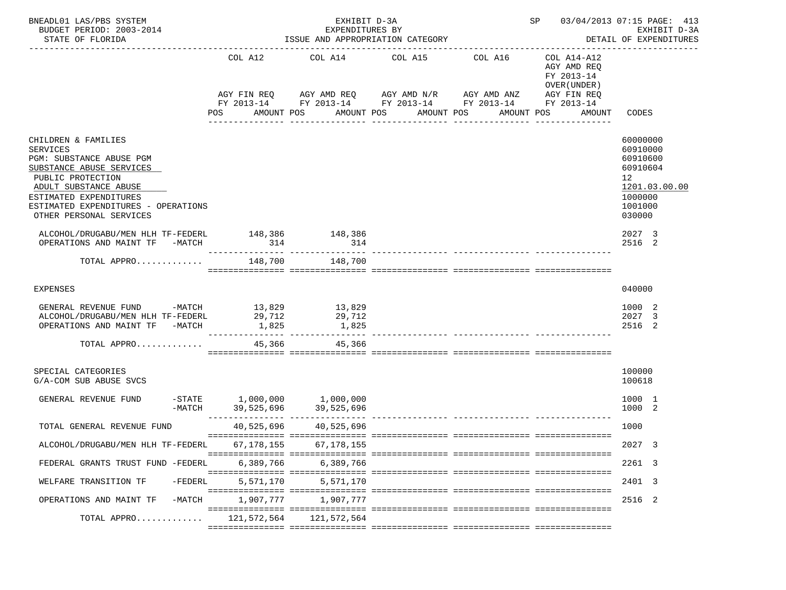| BNEADL01 LAS/PBS SYSTEM<br>BUDGET PERIOD: 2003-2014<br>STATE OF FLORIDA                                                                                                                                                                  |                               | EXHIBIT D-3A<br>EXPENDITURES BY<br>ISSUE AND APPROPRIATION CATEGORY |                                                                                                                                                                                                     | SP 03/04/2013 07:15 PAGE: 413<br>EXHIBIT D-3A<br>DETAIL OF EXPENDITURES                         |                                                                                                     |
|------------------------------------------------------------------------------------------------------------------------------------------------------------------------------------------------------------------------------------------|-------------------------------|---------------------------------------------------------------------|-----------------------------------------------------------------------------------------------------------------------------------------------------------------------------------------------------|-------------------------------------------------------------------------------------------------|-----------------------------------------------------------------------------------------------------|
|                                                                                                                                                                                                                                          | COL A12<br>POS                | COL A14<br>AMOUNT POS                                               | COL A15<br>COL A16<br>AGY FIN REQ 6 AGY AMD REQ 6 AGY AMD N/R 66 AGY AMD ANZ<br>FY 2013-14 FY 2013-14 FY 2013-14 FY 2013-14 FY 2013-14<br>AMOUNT POS<br>AMOUNT POS<br>-------------<br>------------ | COL A14-A12<br>AGY AMD REQ<br>FY 2013-14<br>OVER (UNDER)<br>AGY FIN REQ<br>AMOUNT POS<br>AMOUNT | CODES                                                                                               |
| CHILDREN & FAMILIES<br><b>SERVICES</b><br>PGM: SUBSTANCE ABUSE PGM<br>SUBSTANCE ABUSE SERVICES<br>PUBLIC PROTECTION<br>ADULT SUBSTANCE ABUSE<br>ESTIMATED EXPENDITURES<br>ESTIMATED EXPENDITURES - OPERATIONS<br>OTHER PERSONAL SERVICES |                               |                                                                     |                                                                                                                                                                                                     |                                                                                                 | 60000000<br>60910000<br>60910600<br>60910604<br>12<br>1201.03.00.00<br>1000000<br>1001000<br>030000 |
| ALCOHOL/DRUGABU/MEN HLH TF-FEDERL 148,386 148,386<br>OPERATIONS AND MAINT TF -MATCH                                                                                                                                                      | 314                           | 314                                                                 |                                                                                                                                                                                                     |                                                                                                 | 2027 3<br>2516 2                                                                                    |
| TOTAL APPRO                                                                                                                                                                                                                              | 148,700                       | 148,700                                                             |                                                                                                                                                                                                     |                                                                                                 |                                                                                                     |
| EXPENSES                                                                                                                                                                                                                                 |                               |                                                                     |                                                                                                                                                                                                     |                                                                                                 | 040000                                                                                              |
| GENERAL REVENUE FUND -MATCH 13,829<br>ALCOHOL/DRUGABU/MEN HLH TF-FEDERL 29,712<br>OPERATIONS AND MAINT TF -MATCH                                                                                                                         | 1,825                         | 13,829<br>29,712<br>1,825                                           |                                                                                                                                                                                                     |                                                                                                 | 1000 2<br>2027 3<br>2516 2                                                                          |
| TOTAL APPRO                                                                                                                                                                                                                              | 45,366                        | 45,366                                                              |                                                                                                                                                                                                     |                                                                                                 |                                                                                                     |
| SPECIAL CATEGORIES<br>G/A-COM SUB ABUSE SVCS                                                                                                                                                                                             |                               |                                                                     |                                                                                                                                                                                                     |                                                                                                 | 100000<br>100618                                                                                    |
| GENERAL REVENUE FUND<br>$-MATCH$                                                                                                                                                                                                         | $-$ STATE 1,000,000 1,000,000 |                                                                     | $39,525,696$ $39,525,696$ $39,525,696$                                                                                                                                                              |                                                                                                 | 1000 1<br>1000 2                                                                                    |
| TOTAL GENERAL REVENUE FUND                                                                                                                                                                                                               |                               | 40,525,696 40,525,696                                               |                                                                                                                                                                                                     |                                                                                                 | 1000                                                                                                |
| ALCOHOL/DRUGABU/MEN HLH TF-FEDERL                                                                                                                                                                                                        | 67, 178, 155                  | 67, 178, 155                                                        |                                                                                                                                                                                                     |                                                                                                 | 2027<br>$\overline{3}$                                                                              |
| FEDERAL GRANTS TRUST FUND -FEDERL                                                                                                                                                                                                        | 6,389,766                     | 6,389,766                                                           |                                                                                                                                                                                                     |                                                                                                 | 2261 3                                                                                              |
| WELFARE TRANSITION TF<br>$-FEDERL$                                                                                                                                                                                                       | 5,571,170                     | 5,571,170                                                           |                                                                                                                                                                                                     |                                                                                                 | 2401 3                                                                                              |
| OPERATIONS AND MAINT TF<br>$-MATCH$                                                                                                                                                                                                      | 1,907,777                     | 1,907,777                                                           |                                                                                                                                                                                                     |                                                                                                 | 2516 2                                                                                              |
| TOTAL APPRO                                                                                                                                                                                                                              | 121,572,564                   | 121,572,564                                                         |                                                                                                                                                                                                     |                                                                                                 |                                                                                                     |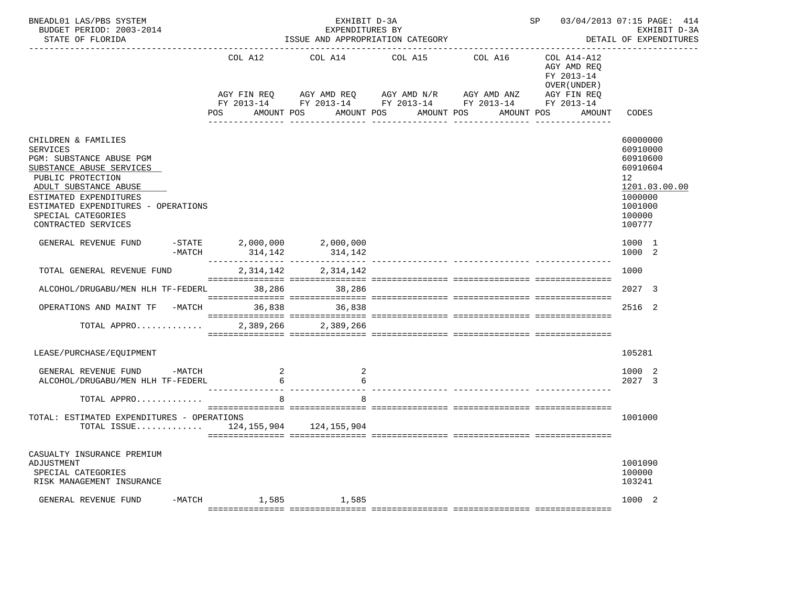| BNEADL01 LAS/PBS SYSTEM<br>BUDGET PERIOD: 2003-2014<br>STATE OF FLORIDA                                                                                                                                                                                    |                              | EXHIBIT D-3A<br>EXPENDITURES BY | ISSUE AND APPROPRIATION CATEGORY                                                                                                                                                                       | SP 03/04/2013 07:15 PAGE: 414<br>EXHIBIT D-3A<br>DETAIL OF EXPENDITURES                         |                                                                                                               |  |
|------------------------------------------------------------------------------------------------------------------------------------------------------------------------------------------------------------------------------------------------------------|------------------------------|---------------------------------|--------------------------------------------------------------------------------------------------------------------------------------------------------------------------------------------------------|-------------------------------------------------------------------------------------------------|---------------------------------------------------------------------------------------------------------------|--|
|                                                                                                                                                                                                                                                            | COL A12<br>POS               | AMOUNT POS                      | COL A14 COL A15 COL A16<br>AGY FIN REQ AGY AMD REQ AGY AMD N/R AGY AMD ANZ<br>FY 2013-14 FY 2013-14 FY 2013-14 FY 2013-14 FY 2013-14<br>AMOUNT POS<br>AMOUNT POS<br>---------------<br>--------------- | COL A14-A12<br>AGY AMD REO<br>FY 2013-14<br>OVER (UNDER)<br>AGY FIN REQ<br>AMOUNT POS<br>AMOUNT | CODES                                                                                                         |  |
| CHILDREN & FAMILIES<br><b>SERVICES</b><br>PGM: SUBSTANCE ABUSE PGM<br>SUBSTANCE ABUSE SERVICES<br>PUBLIC PROTECTION<br>ADULT SUBSTANCE ABUSE<br>ESTIMATED EXPENDITURES<br>ESTIMATED EXPENDITURES - OPERATIONS<br>SPECIAL CATEGORIES<br>CONTRACTED SERVICES |                              |                                 |                                                                                                                                                                                                        |                                                                                                 | 60000000<br>60910000<br>60910600<br>60910604<br>12<br>1201.03.00.00<br>1000000<br>1001000<br>100000<br>100777 |  |
| GENERAL REVENUE FUND<br>-MATCH                                                                                                                                                                                                                             | $-STATE$ 2,000,000 2,000,000 | 314, 142 314, 142               |                                                                                                                                                                                                        |                                                                                                 | 1000 1<br>1000 2                                                                                              |  |
| TOTAL GENERAL REVENUE FUND                                                                                                                                                                                                                                 |                              | 2, 314, 142 2, 314, 142         |                                                                                                                                                                                                        |                                                                                                 | 1000                                                                                                          |  |
| ALCOHOL/DRUGABU/MEN HLH TF-FEDERL 38,286 38,286                                                                                                                                                                                                            |                              |                                 |                                                                                                                                                                                                        |                                                                                                 | 2027 3                                                                                                        |  |
| OPERATIONS AND MAINT TF -MATCH                                                                                                                                                                                                                             |                              | 36,838 36,838                   |                                                                                                                                                                                                        |                                                                                                 | 2516 2                                                                                                        |  |
| TOTAL APPRO                                                                                                                                                                                                                                                |                              | 2,389,266 2,389,266             |                                                                                                                                                                                                        |                                                                                                 |                                                                                                               |  |
| LEASE/PURCHASE/EQUIPMENT                                                                                                                                                                                                                                   |                              |                                 |                                                                                                                                                                                                        |                                                                                                 | 105281                                                                                                        |  |
| GENERAL REVENUE FUND -MATCH<br>ALCOHOL/DRUGABU/MEN HLH TF-FEDERL                                                                                                                                                                                           | 6                            | 2                               |                                                                                                                                                                                                        |                                                                                                 | 1000 2<br>2027 3                                                                                              |  |
| TOTAL APPRO                                                                                                                                                                                                                                                |                              |                                 |                                                                                                                                                                                                        |                                                                                                 |                                                                                                               |  |
| TOTAL: ESTIMATED EXPENDITURES - OPERATIONS<br>TOTAL ISSUE 124,155,904 124,155,904                                                                                                                                                                          |                              |                                 |                                                                                                                                                                                                        |                                                                                                 | 1001000                                                                                                       |  |
| CASUALTY INSURANCE PREMIUM<br>ADJUSTMENT<br>SPECIAL CATEGORIES<br>RISK MANAGEMENT INSURANCE                                                                                                                                                                |                              |                                 |                                                                                                                                                                                                        |                                                                                                 | 1001090<br>100000<br>103241                                                                                   |  |
| GENERAL REVENUE FUND<br>-MATCH                                                                                                                                                                                                                             | 1,585                        | 1,585                           |                                                                                                                                                                                                        |                                                                                                 | 1000 2                                                                                                        |  |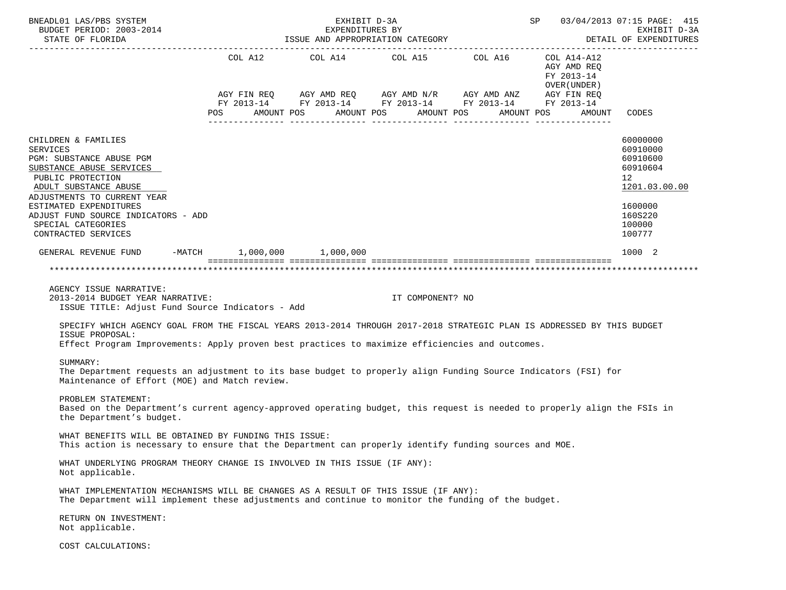| BNEADL01 LAS/PBS SYSTEM<br>BUDGET PERIOD: 2003-2014<br>STATE OF FLORIDA                                                                                                                                                                                                                                                                                         | SP 03/04/2013 07:15 PAGE: 415<br>EXHIBIT D-3A<br>EXPENDITURES BY<br>ISSUE AND APPROPRIATION CATEGORY<br>DETAIL OF EXPENDITURES |  |                                  |                                                                                                                                                                                                                                                                                 |                                            |                                                                     |  |  |  |  |
|-----------------------------------------------------------------------------------------------------------------------------------------------------------------------------------------------------------------------------------------------------------------------------------------------------------------------------------------------------------------|--------------------------------------------------------------------------------------------------------------------------------|--|----------------------------------|---------------------------------------------------------------------------------------------------------------------------------------------------------------------------------------------------------------------------------------------------------------------------------|--------------------------------------------|---------------------------------------------------------------------|--|--|--|--|
|                                                                                                                                                                                                                                                                                                                                                                 |                                                                                                                                |  |                                  | COL A12 $\text{COL}$ A14 $\text{COL}$ A15 $\text{COL}$ A16 $\text{COL}$ A14-A12<br>$AGY \text{ FIN REQ} \qquad AGY \text{ AMD REQ} \qquad AGY \text{ AMD } N/R \qquad AGY \text{ AMD ANZ} \qquad AGY \text{ FIN REQ}$<br>FY 2013-14 FY 2013-14 FY 2013-14 FY 2013-14 FY 2013-14 | AGY AMD REO<br>FY 2013-14<br>OVER (UNDER ) |                                                                     |  |  |  |  |
|                                                                                                                                                                                                                                                                                                                                                                 | <b>POS</b>                                                                                                                     |  | AMOUNT POS AMOUNT POS AMOUNT POS |                                                                                                                                                                                                                                                                                 | AMOUNT POS                                 | AMOUNT CODES                                                        |  |  |  |  |
| CHILDREN & FAMILIES<br><b>SERVICES</b><br>PGM: SUBSTANCE ABUSE PGM<br>SUBSTANCE ABUSE SERVICES<br>PUBLIC PROTECTION<br>ADULT SUBSTANCE ABUSE                                                                                                                                                                                                                    |                                                                                                                                |  |                                  |                                                                                                                                                                                                                                                                                 |                                            | 60000000<br>60910000<br>60910600<br>60910604<br>12<br>1201.03.00.00 |  |  |  |  |
| ADJUSTMENTS TO CURRENT YEAR<br>ESTIMATED EXPENDITURES<br>ADJUST FUND SOURCE INDICATORS - ADD<br>SPECIAL CATEGORIES<br>CONTRACTED SERVICES                                                                                                                                                                                                                       |                                                                                                                                |  |                                  |                                                                                                                                                                                                                                                                                 |                                            | 1600000<br>160S220<br>100000<br>100777                              |  |  |  |  |
| GENERAL REVENUE FUND -MATCH 1,000,000 1,000,000                                                                                                                                                                                                                                                                                                                 |                                                                                                                                |  |                                  |                                                                                                                                                                                                                                                                                 |                                            | 1000 2                                                              |  |  |  |  |
| AGENCY ISSUE NARRATIVE:<br>2013-2014 BUDGET YEAR NARRATIVE:<br>ISSUE TITLE: Adjust Fund Source Indicators - Add<br>SPECIFY WHICH AGENCY GOAL FROM THE FISCAL YEARS 2013-2014 THROUGH 2017-2018 STRATEGIC PLAN IS ADDRESSED BY THIS BUDGET<br>ISSUE PROPOSAL:<br>Effect Program Improvements: Apply proven best practices to maximize efficiencies and outcomes. |                                                                                                                                |  | IT COMPONENT? NO                 |                                                                                                                                                                                                                                                                                 |                                            | ***********************                                             |  |  |  |  |
| SUMMARY:<br>The Department requests an adjustment to its base budget to properly align Funding Source Indicators (FSI) for<br>Maintenance of Effort (MOE) and Match review.                                                                                                                                                                                     |                                                                                                                                |  |                                  |                                                                                                                                                                                                                                                                                 |                                            |                                                                     |  |  |  |  |
| PROBLEM STATEMENT:<br>Based on the Department's current agency-approved operating budget, this request is needed to properly align the FSIs in<br>the Department's budget.                                                                                                                                                                                      |                                                                                                                                |  |                                  |                                                                                                                                                                                                                                                                                 |                                            |                                                                     |  |  |  |  |
| WHAT BENEFITS WILL BE OBTAINED BY FUNDING THIS ISSUE:<br>This action is necessary to ensure that the Department can properly identify funding sources and MOE.                                                                                                                                                                                                  |                                                                                                                                |  |                                  |                                                                                                                                                                                                                                                                                 |                                            |                                                                     |  |  |  |  |
| WHAT UNDERLYING PROGRAM THEORY CHANGE IS INVOLVED IN THIS ISSUE (IF ANY):<br>Not applicable.                                                                                                                                                                                                                                                                    |                                                                                                                                |  |                                  |                                                                                                                                                                                                                                                                                 |                                            |                                                                     |  |  |  |  |
| WHAT IMPLEMENTATION MECHANISMS WILL BE CHANGES AS A RESULT OF THIS ISSUE (IF ANY):<br>The Department will implement these adjustments and continue to monitor the funding of the budget.                                                                                                                                                                        |                                                                                                                                |  |                                  |                                                                                                                                                                                                                                                                                 |                                            |                                                                     |  |  |  |  |
| RETURN ON INVESTMENT:<br>Not applicable.                                                                                                                                                                                                                                                                                                                        |                                                                                                                                |  |                                  |                                                                                                                                                                                                                                                                                 |                                            |                                                                     |  |  |  |  |
| COST CALCULATIONS:                                                                                                                                                                                                                                                                                                                                              |                                                                                                                                |  |                                  |                                                                                                                                                                                                                                                                                 |                                            |                                                                     |  |  |  |  |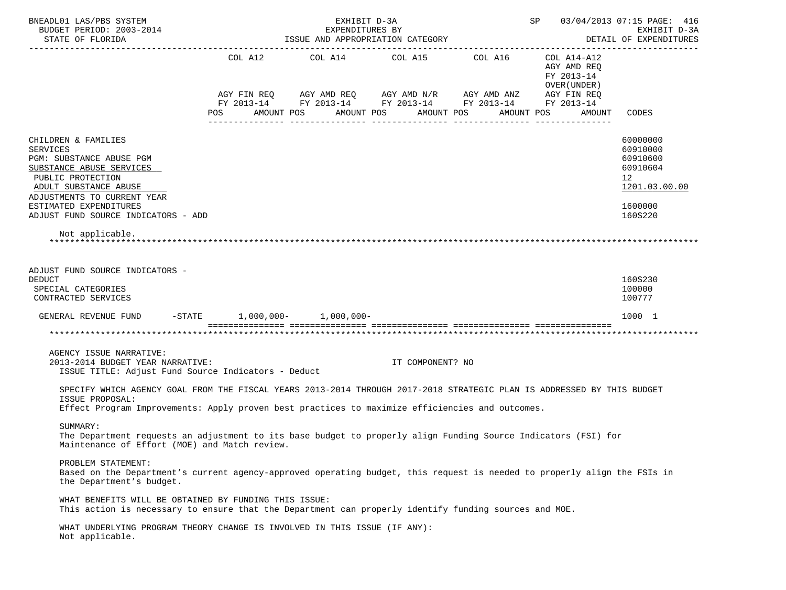| SP 03/04/2013 07:15 PAGE: 416<br>BNEADL01 LAS/PBS SYSTEM<br>EXHIBIT D-3A<br>BUDGET PERIOD: 2003-2014<br>EXPENDITURES BY<br>ISSUE AND APPROPRIATION CATEGORY<br>DETAIL OF EXPENDITURES<br>STATE OF FLORIDA                                    |                   |  |                       |                                                                                                                                                          |                                                                        |                                                                     |  |  |  |
|----------------------------------------------------------------------------------------------------------------------------------------------------------------------------------------------------------------------------------------------|-------------------|--|-----------------------|----------------------------------------------------------------------------------------------------------------------------------------------------------|------------------------------------------------------------------------|---------------------------------------------------------------------|--|--|--|
|                                                                                                                                                                                                                                              | AMOUNT POS<br>POS |  | AMOUNT POS AMOUNT POS | COL A12 COL A14 COL A15 COL A16<br>AGY FIN REQ AGY AMD REQ AGY AMD N/R AGY AMD ANZ AGY FIN REQ<br>FY 2013-14 FY 2013-14 FY 2013-14 FY 2013-14 FY 2013-14 | COL A14-A12<br>AGY AMD REQ<br>FY 2013-14<br>OVER (UNDER)<br>AMOUNT POS | CODES                                                               |  |  |  |
|                                                                                                                                                                                                                                              |                   |  |                       |                                                                                                                                                          | AMOUNT                                                                 |                                                                     |  |  |  |
| CHILDREN & FAMILIES<br><b>SERVICES</b><br>PGM: SUBSTANCE ABUSE PGM<br>SUBSTANCE ABUSE SERVICES<br>PUBLIC PROTECTION<br>ADULT SUBSTANCE ABUSE                                                                                                 |                   |  |                       |                                                                                                                                                          |                                                                        | 60000000<br>60910000<br>60910600<br>60910604<br>12<br>1201.03.00.00 |  |  |  |
| ADJUSTMENTS TO CURRENT YEAR<br>ESTIMATED EXPENDITURES<br>ADJUST FUND SOURCE INDICATORS - ADD                                                                                                                                                 |                   |  |                       |                                                                                                                                                          |                                                                        | 1600000<br>160S220                                                  |  |  |  |
| Not applicable.                                                                                                                                                                                                                              |                   |  |                       |                                                                                                                                                          |                                                                        |                                                                     |  |  |  |
| ADJUST FUND SOURCE INDICATORS -<br><b>DEDUCT</b><br>SPECIAL CATEGORIES<br>CONTRACTED SERVICES                                                                                                                                                |                   |  |                       |                                                                                                                                                          |                                                                        | 160S230<br>100000<br>100777                                         |  |  |  |
| GENERAL REVENUE FUND -STATE 1,000,000- 1,000,000-                                                                                                                                                                                            |                   |  |                       |                                                                                                                                                          |                                                                        | 1000 1                                                              |  |  |  |
|                                                                                                                                                                                                                                              |                   |  |                       |                                                                                                                                                          |                                                                        |                                                                     |  |  |  |
| AGENCY ISSUE NARRATIVE:<br>2013-2014 BUDGET YEAR NARRATIVE:<br>ISSUE TITLE: Adjust Fund Source Indicators - Deduct                                                                                                                           |                   |  | IT COMPONENT? NO      |                                                                                                                                                          |                                                                        |                                                                     |  |  |  |
| SPECIFY WHICH AGENCY GOAL FROM THE FISCAL YEARS 2013-2014 THROUGH 2017-2018 STRATEGIC PLAN IS ADDRESSED BY THIS BUDGET<br>ISSUE PROPOSAL:<br>Effect Program Improvements: Apply proven best practices to maximize efficiencies and outcomes. |                   |  |                       |                                                                                                                                                          |                                                                        |                                                                     |  |  |  |
| SUMMARY:<br>The Department requests an adjustment to its base budget to properly align Funding Source Indicators (FSI) for<br>Maintenance of Effort (MOE) and Match review.                                                                  |                   |  |                       |                                                                                                                                                          |                                                                        |                                                                     |  |  |  |
| PROBLEM STATEMENT:<br>Based on the Department's current agency-approved operating budget, this request is needed to properly align the FSIs in<br>the Department's budget.                                                                   |                   |  |                       |                                                                                                                                                          |                                                                        |                                                                     |  |  |  |
| WHAT BENEFITS WILL BE OBTAINED BY FUNDING THIS ISSUE:<br>This action is necessary to ensure that the Department can properly identify funding sources and MOE.                                                                               |                   |  |                       |                                                                                                                                                          |                                                                        |                                                                     |  |  |  |
| WHAT UNDERLYING PROGRAM THEORY CHANGE IS INVOLVED IN THIS ISSUE (IF ANY):<br>Not applicable.                                                                                                                                                 |                   |  |                       |                                                                                                                                                          |                                                                        |                                                                     |  |  |  |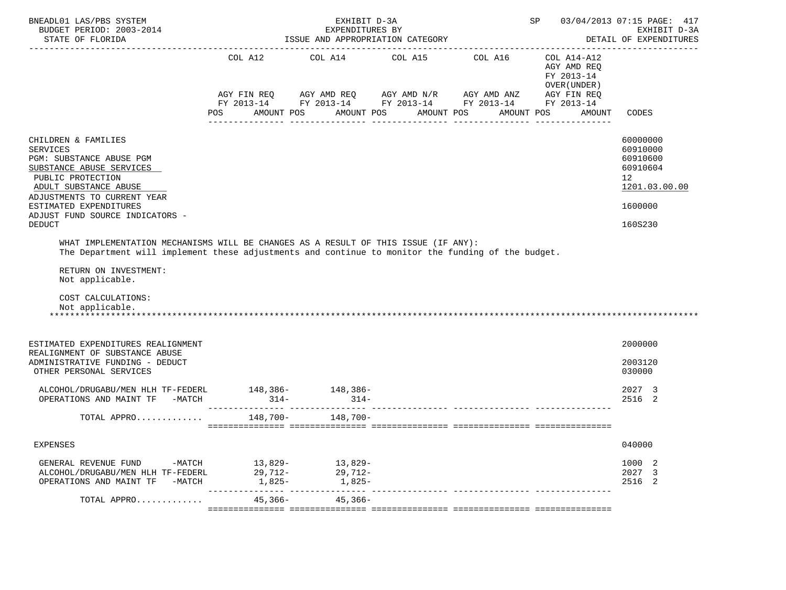| BNEADL01 LAS/PBS SYSTEM<br>BUDGET PERIOD: 2003-2014<br>STATE OF FLORIDA                                                                                                                                                                                                                                                                                                                                                                                                        |                                     | EXHIBIT D-3A<br>EXPENDITURES BY<br>ISSUE AND APPROPRIATION CATEGORY |            | SP 03/04/2013 07:15 PAGE: 417                                                                                                                                          | EXHIBIT D-3A<br>DETAIL OF EXPENDITURES                                            |                                                                                           |
|--------------------------------------------------------------------------------------------------------------------------------------------------------------------------------------------------------------------------------------------------------------------------------------------------------------------------------------------------------------------------------------------------------------------------------------------------------------------------------|-------------------------------------|---------------------------------------------------------------------|------------|------------------------------------------------------------------------------------------------------------------------------------------------------------------------|-----------------------------------------------------------------------------------|-------------------------------------------------------------------------------------------|
|                                                                                                                                                                                                                                                                                                                                                                                                                                                                                | AMOUNT POS<br>POS                   |                                                                     | AMOUNT POS | COL A12 COL A14 COL A15 COL A16<br>AGY FIN REQ AGY AMD REQ AGY AMD N/R AGY AMD ANZ AGY FIN REQ<br>FY 2013-14 FY 2013-14 FY 2013-14 FY 2013-14 FY 2013-14<br>AMOUNT POS | COL A14-A12<br>AGY AMD REQ<br>FY 2013-14<br>OVER (UNDER )<br>AMOUNT POS<br>AMOUNT | CODES                                                                                     |
| CHILDREN & FAMILIES<br><b>SERVICES</b><br>PGM: SUBSTANCE ABUSE PGM<br>SUBSTANCE ABUSE SERVICES<br>PUBLIC PROTECTION<br>ADULT SUBSTANCE ABUSE<br>ADJUSTMENTS TO CURRENT YEAR<br>ESTIMATED EXPENDITURES<br>ADJUST FUND SOURCE INDICATORS -<br><b>DEDUCT</b><br>WHAT IMPLEMENTATION MECHANISMS WILL BE CHANGES AS A RESULT OF THIS ISSUE (IF ANY):<br>The Department will implement these adjustments and continue to monitor the funding of the budget.<br>RETURN ON INVESTMENT: |                                     |                                                                     |            |                                                                                                                                                                        |                                                                                   | 60000000<br>60910000<br>60910600<br>60910604<br>12<br>1201.03.00.00<br>1600000<br>160S230 |
| Not applicable.<br>COST CALCULATIONS:<br>Not applicable.                                                                                                                                                                                                                                                                                                                                                                                                                       |                                     |                                                                     |            |                                                                                                                                                                        |                                                                                   |                                                                                           |
| ESTIMATED EXPENDITURES REALIGNMENT<br>REALIGNMENT OF SUBSTANCE ABUSE<br>ADMINISTRATIVE FUNDING - DEDUCT<br>OTHER PERSONAL SERVICES                                                                                                                                                                                                                                                                                                                                             |                                     |                                                                     |            |                                                                                                                                                                        |                                                                                   | 2000000<br>2003120<br>030000                                                              |
| ALCOHOL/DRUGABU/MEN HLH TF-FEDERL 148,386- 148,386-<br>OPERATIONS AND MAINT TF -MATCH                                                                                                                                                                                                                                                                                                                                                                                          | $314 - 314 -$                       |                                                                     |            |                                                                                                                                                                        |                                                                                   | 2027 3<br>2516 2                                                                          |
| TOTAL APPRO                                                                                                                                                                                                                                                                                                                                                                                                                                                                    |                                     | 148,700- 148,700-                                                   |            |                                                                                                                                                                        |                                                                                   |                                                                                           |
| EXPENSES                                                                                                                                                                                                                                                                                                                                                                                                                                                                       |                                     |                                                                     |            |                                                                                                                                                                        |                                                                                   | 040000                                                                                    |
| GENERAL REVENUE FUND<br>ALCOHOL/DRUGABU/MEN HLH TF-FEDERL<br>OPERATIONS AND MAINT TF<br>$-MATCH$                                                                                                                                                                                                                                                                                                                                                                               | -MATCH 13,829-<br>29,712-<br>1,825- | 13,829-<br>29,712-<br>1,825-                                        |            |                                                                                                                                                                        |                                                                                   | 1000 2<br>2027 3<br>2516 2                                                                |
| TOTAL APPRO                                                                                                                                                                                                                                                                                                                                                                                                                                                                    | 45,366-                             | $45,366-$                                                           |            | _______________ ________________                                                                                                                                       |                                                                                   |                                                                                           |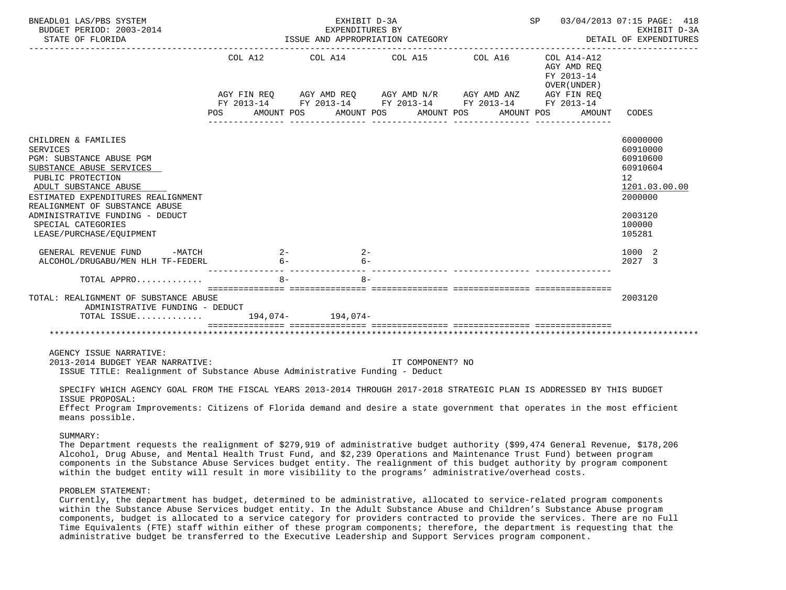| BNEADL01 LAS/PBS SYSTEM<br>BUDGET PERIOD: 2003-2014<br>STATE OF FLORIDA                                                                                                                                                                                                                                   | ISSUE AND APPROPRIATION CATEGORY | SP 03/04/2013 07:15 PAGE: 418<br>EXHIBIT D-3A<br>DETAIL OF EXPENDITURES |                                                                                     |                                                                       |                                                                                                               |
|-----------------------------------------------------------------------------------------------------------------------------------------------------------------------------------------------------------------------------------------------------------------------------------------------------------|----------------------------------|-------------------------------------------------------------------------|-------------------------------------------------------------------------------------|-----------------------------------------------------------------------|---------------------------------------------------------------------------------------------------------------|
|                                                                                                                                                                                                                                                                                                           |                                  |                                                                         | COL A12 COL A14 COL A15 COL A16 COL A14-A12<br>POS AMOUNT POS AMOUNT POS AMOUNT POS | AGY AMD REO<br>FY 2013-14<br>OVER (UNDER )<br>AMOUNT POS AMOUNT CODES |                                                                                                               |
| CHILDREN & FAMILIES<br><b>SERVICES</b><br>PGM: SUBSTANCE ABUSE PGM<br>SUBSTANCE ABUSE SERVICES<br>PUBLIC PROTECTION<br>ADULT SUBSTANCE ABUSE<br>ESTIMATED EXPENDITURES REALIGNMENT<br>REALIGNMENT OF SUBSTANCE ABUSE<br>ADMINISTRATIVE FUNDING - DEDUCT<br>SPECIAL CATEGORIES<br>LEASE/PURCHASE/EOUIPMENT |                                  |                                                                         |                                                                                     |                                                                       | 60000000<br>60910000<br>60910600<br>60910604<br>12<br>1201.03.00.00<br>2000000<br>2003120<br>100000<br>105281 |
| GENERAL REVENUE FUND -MATCH 2-<br>ALCOHOL/DRUGABU/MEN HLH TF-FEDERL                                                                                                                                                                                                                                       | $6 -$                            | $2-$<br>$6 -$                                                           |                                                                                     |                                                                       | 1000 2<br>2027 3                                                                                              |
| TOTAL APPRO                                                                                                                                                                                                                                                                                               | $8-$                             | --------------<br>$R -$                                                 |                                                                                     |                                                                       |                                                                                                               |
| TOTAL: REALIGNMENT OF SUBSTANCE ABUSE<br>ADMINISTRATIVE FUNDING - DEDUCT<br>TOTAL ISSUE 194,074- 194,074-                                                                                                                                                                                                 |                                  |                                                                         |                                                                                     |                                                                       | 2003120                                                                                                       |
| AGENCY ISSUE NARRATIVE:<br>2013-2014 BUDGET YEAR NARRATIVE:<br>ISSUE TITLE: Realignment of Substance Abuse Administrative Funding - Deduct                                                                                                                                                                |                                  |                                                                         | IT COMPONENT? NO                                                                    |                                                                       |                                                                                                               |

 SPECIFY WHICH AGENCY GOAL FROM THE FISCAL YEARS 2013-2014 THROUGH 2017-2018 STRATEGIC PLAN IS ADDRESSED BY THIS BUDGET ISSUE PROPOSAL: Effect Program Improvements: Citizens of Florida demand and desire a state government that operates in the most efficient

means possible.

SUMMARY:

 The Department requests the realignment of \$279,919 of administrative budget authority (\$99,474 General Revenue, \$178,206 Alcohol, Drug Abuse, and Mental Health Trust Fund, and \$2,239 Operations and Maintenance Trust Fund) between program components in the Substance Abuse Services budget entity. The realignment of this budget authority by program component within the budget entity will result in more visibility to the programs' administrative/overhead costs.

# PROBLEM STATEMENT:

 Currently, the department has budget, determined to be administrative, allocated to service-related program components within the Substance Abuse Services budget entity. In the Adult Substance Abuse and Children's Substance Abuse program components, budget is allocated to a service category for providers contracted to provide the services. There are no Full Time Equivalents (FTE) staff within either of these program components; therefore, the department is requesting that the administrative budget be transferred to the Executive Leadership and Support Services program component.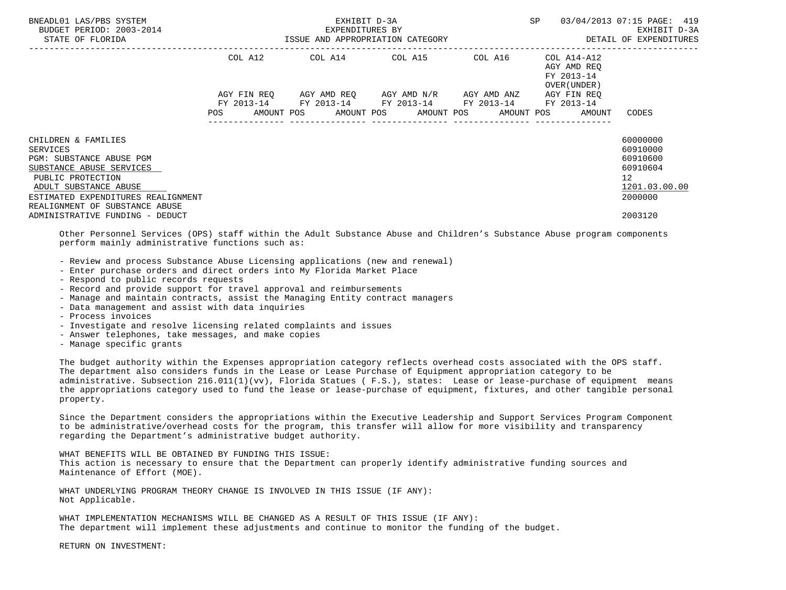| BNEADL01 LAS/PBS SYSTEM<br>BUDGET PERIOD: 2003-2014<br>STATE OF FLORIDA                                                                                                                                       |             | EXHIBIT D-3A<br>EXPENDITURES BY | ISSUE AND APPROPRIATION CATEGORY                                                              | SP                                                           | 03/04/2013 07:15 PAGE: 419<br>EXHIBIT D-3A<br>DETAIL OF EXPENDITURES                        |
|---------------------------------------------------------------------------------------------------------------------------------------------------------------------------------------------------------------|-------------|---------------------------------|-----------------------------------------------------------------------------------------------|--------------------------------------------------------------|---------------------------------------------------------------------------------------------|
|                                                                                                                                                                                                               |             |                                 | COL A12 COL A14 COL A15 COL A16 COL A14-A12                                                   | AGY AMD REO<br>FY 2013-14<br>OVER (UNDER)                    |                                                                                             |
|                                                                                                                                                                                                               | AGY FIN REO |                                 | AGY AMD REO AGY AMD N/R AGY AMD ANZ<br>FY 2013-14 FY 2013-14 FY 2013-14 FY 2013-14 FY 2013-14 | AGY FIN REO                                                  |                                                                                             |
|                                                                                                                                                                                                               |             |                                 |                                                                                               | POS AMOUNT POS AMOUNT POS AMOUNT POS AMOUNT POS AMOUNT CODES |                                                                                             |
| CHILDREN & FAMILIES<br>SERVICES<br>PGM: SUBSTANCE ABUSE PGM<br>SUBSTANCE ABUSE SERVICES<br>PUBLIC PROTECTION<br>ADULT SUBSTANCE ABUSE<br>ESTIMATED EXPENDITURES REALIGNMENT<br>REALIGNMENT OF SUBSTANCE ABUSE |             |                                 |                                                                                               |                                                              | 60000000<br>60910000<br>60910600<br>60910604<br>12 <sup>°</sup><br>1201.03.00.00<br>2000000 |
| ADMINISTRATIVE FUNDING - DEDUCT                                                                                                                                                                               |             |                                 |                                                                                               |                                                              | 2003120                                                                                     |

 Other Personnel Services (OPS) staff within the Adult Substance Abuse and Children's Substance Abuse program components perform mainly administrative functions such as:

- Review and process Substance Abuse Licensing applications (new and renewal)

- Enter purchase orders and direct orders into My Florida Market Place

- Respond to public records requests

- Record and provide support for travel approval and reimbursements

- Manage and maintain contracts, assist the Managing Entity contract managers
- Data management and assist with data inquiries
- Process invoices
- Investigate and resolve licensing related complaints and issues
- Answer telephones, take messages, and make copies
- Manage specific grants

 The budget authority within the Expenses appropriation category reflects overhead costs associated with the OPS staff. The department also considers funds in the Lease or Lease Purchase of Equipment appropriation category to be administrative. Subsection 216.011(1)(vv), Florida Statues ( F.S.), states: Lease or lease-purchase of equipment means the appropriations category used to fund the lease or lease-purchase of equipment, fixtures, and other tangible personal property.

 Since the Department considers the appropriations within the Executive Leadership and Support Services Program Component to be administrative/overhead costs for the program, this transfer will allow for more visibility and transparency regarding the Department's administrative budget authority.

 WHAT BENEFITS WILL BE OBTAINED BY FUNDING THIS ISSUE: This action is necessary to ensure that the Department can properly identify administrative funding sources and Maintenance of Effort (MOE).

 WHAT UNDERLYING PROGRAM THEORY CHANGE IS INVOLVED IN THIS ISSUE (IF ANY): Not Applicable.

 WHAT IMPLEMENTATION MECHANISMS WILL BE CHANGED AS A RESULT OF THIS ISSUE (IF ANY): The department will implement these adjustments and continue to monitor the funding of the budget.

RETURN ON INVESTMENT: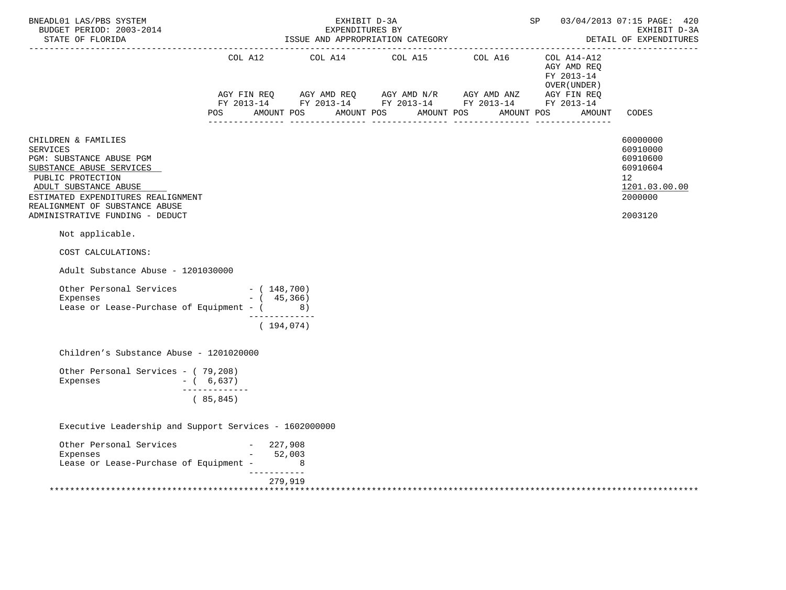| BNEADL01 LAS/PBS SYSTEM<br>BUDGET PERIOD: 2003-2014<br>STATE OF FLORIDA                                                                                                                                                                                                                                                                |               | EXHIBIT D-3A<br>EXPENDITURES BY<br>ISSUE AND APPROPRIATION CATEGORY | SP                                                                                                                                             |  | 03/04/2013 07:15 PAGE: 420<br>EXHIBIT D-3A<br>DETAIL OF EXPENDITURES |                                                                                                        |
|----------------------------------------------------------------------------------------------------------------------------------------------------------------------------------------------------------------------------------------------------------------------------------------------------------------------------------------|---------------|---------------------------------------------------------------------|------------------------------------------------------------------------------------------------------------------------------------------------|--|----------------------------------------------------------------------|--------------------------------------------------------------------------------------------------------|
|                                                                                                                                                                                                                                                                                                                                        |               |                                                                     | COL A12 COL A14 COL A15 COL A16 COL A14-A12                                                                                                    |  | AGY AMD REO<br>FY 2013-14<br>OVER (UNDER )                           |                                                                                                        |
|                                                                                                                                                                                                                                                                                                                                        | POS           | AMOUNT POS                                                          | AGY FIN REQ AGY AMD REQ AGY AMD N/R AGY AMD ANZ AGY FIN REQ<br>FY 2013-14 FY 2013-14 FY 2013-14 FY 2013-14 FY 2013-14<br>AMOUNT POS AMOUNT POS |  | AMOUNT POS                                                           | AMOUNT CODES                                                                                           |
| CHILDREN & FAMILIES<br><b>SERVICES</b><br>PGM: SUBSTANCE ABUSE PGM<br>SUBSTANCE ABUSE SERVICES<br>PUBLIC PROTECTION<br>ADULT SUBSTANCE ABUSE<br>ESTIMATED EXPENDITURES REALIGNMENT<br>REALIGNMENT OF SUBSTANCE ABUSE<br>ADMINISTRATIVE FUNDING - DEDUCT<br>Not applicable.<br>COST CALCULATIONS:<br>Adult Substance Abuse - 1201030000 |               |                                                                     |                                                                                                                                                |  |                                                                      | 60000000<br>60910000<br>60910600<br>60910604<br>12 <sup>°</sup><br>1201.03.00.00<br>2000000<br>2003120 |
| Other Personal Services - (148,700)<br>Expenses<br>Lease or Lease-Purchase of Equipment - (8)                                                                                                                                                                                                                                          | $-$ ( 45,366) | -------------                                                       |                                                                                                                                                |  |                                                                      |                                                                                                        |
|                                                                                                                                                                                                                                                                                                                                        |               | (194, 074)                                                          |                                                                                                                                                |  |                                                                      |                                                                                                        |
| Children's Substance Abuse - 1201020000                                                                                                                                                                                                                                                                                                |               |                                                                     |                                                                                                                                                |  |                                                                      |                                                                                                        |
| Other Personal Services - (79,208)<br>Expenses<br>$-$ ( 6,637)                                                                                                                                                                                                                                                                         | ------------- |                                                                     |                                                                                                                                                |  |                                                                      |                                                                                                        |
|                                                                                                                                                                                                                                                                                                                                        | (85, 845)     |                                                                     |                                                                                                                                                |  |                                                                      |                                                                                                        |
| Executive Leadership and Support Services - 1602000000                                                                                                                                                                                                                                                                                 |               |                                                                     |                                                                                                                                                |  |                                                                      |                                                                                                        |
| Other Personal Services - 227,908<br>Expenses - 52,003<br>Lease or Lease-Purchase of Equipment - 8                                                                                                                                                                                                                                     |               |                                                                     |                                                                                                                                                |  |                                                                      |                                                                                                        |
|                                                                                                                                                                                                                                                                                                                                        | ___________   | 279,919                                                             |                                                                                                                                                |  |                                                                      |                                                                                                        |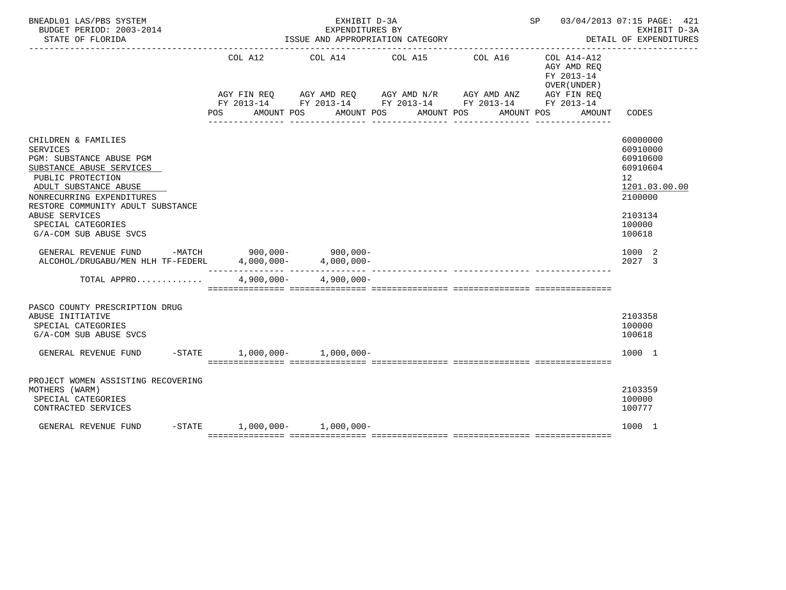| BNEADL01 LAS/PBS SYSTEM<br>BUDGET PERIOD: 2003-2014<br>STATE OF FLORIDA                                                                                                                                                                                                                                                                                                |                                | EXHIBIT D-3A<br>EXPENDITURES BY | ISSUE AND APPROPRIATION CATEGORY                                                                     |                                                                   | SP 03/04/2013 07:15 PAGE: 421                                                                   | EXHIBIT D-3A<br>DETAIL OF EXPENDITURES                                                                                            |
|------------------------------------------------------------------------------------------------------------------------------------------------------------------------------------------------------------------------------------------------------------------------------------------------------------------------------------------------------------------------|--------------------------------|---------------------------------|------------------------------------------------------------------------------------------------------|-------------------------------------------------------------------|-------------------------------------------------------------------------------------------------|-----------------------------------------------------------------------------------------------------------------------------------|
|                                                                                                                                                                                                                                                                                                                                                                        | COL A12<br>POS<br>AMOUNT POS   | COL A14                         | COL A15<br>AGY FIN REQ AGY AMD REQ AGY AMD N/R AGY AMD ANZ<br>AMOUNT POS<br>AMOUNT POS<br>---------- | COL A16<br>FY 2013-14 FY 2013-14 FY 2013-14 FY 2013-14 FY 2013-14 | COL A14-A12<br>AGY AMD REO<br>FY 2013-14<br>OVER (UNDER)<br>AGY FIN REO<br>AMOUNT POS<br>AMOUNT | CODES                                                                                                                             |
| CHILDREN & FAMILIES<br><b>SERVICES</b><br>PGM: SUBSTANCE ABUSE PGM<br>SUBSTANCE ABUSE SERVICES<br>PUBLIC PROTECTION<br>ADULT SUBSTANCE ABUSE<br>NONRECURRING EXPENDITURES<br>RESTORE COMMUNITY ADULT SUBSTANCE<br>ABUSE SERVICES<br>SPECIAL CATEGORIES<br>G/A-COM SUB ABUSE SVCS<br>GENERAL REVENUE FUND -MATCH 900,000- 900,000-<br>ALCOHOL/DRUGABU/MEN HLH TF-FEDERL |                                | $4,000,000 4,000,000-$          |                                                                                                      |                                                                   |                                                                                                 | 60000000<br>60910000<br>60910600<br>60910604<br>12<br>1201.03.00.00<br>2100000<br>2103134<br>100000<br>100618<br>1000 2<br>2027 3 |
| TOTAL APPRO                                                                                                                                                                                                                                                                                                                                                            |                                | $4,900,000 - 4,900,000 -$       |                                                                                                      |                                                                   |                                                                                                 |                                                                                                                                   |
| PASCO COUNTY PRESCRIPTION DRUG<br>ABUSE INITIATIVE<br>SPECIAL CATEGORIES<br>G/A-COM SUB ABUSE SVCS<br>GENERAL REVENUE FUND                                                                                                                                                                                                                                             | $-STATE$ 1,000,000- 1,000,000- |                                 |                                                                                                      |                                                                   |                                                                                                 | 2103358<br>100000<br>100618<br>1000 1                                                                                             |
| PROJECT WOMEN ASSISTING RECOVERING<br>MOTHERS (WARM)<br>SPECIAL CATEGORIES<br>CONTRACTED SERVICES                                                                                                                                                                                                                                                                      |                                |                                 |                                                                                                      |                                                                   |                                                                                                 | 2103359<br>100000<br>100777                                                                                                       |
| GENERAL REVENUE FUND                                                                                                                                                                                                                                                                                                                                                   | $-STATE$ 1,000,000- 1,000,000- |                                 |                                                                                                      |                                                                   |                                                                                                 | 1000 1                                                                                                                            |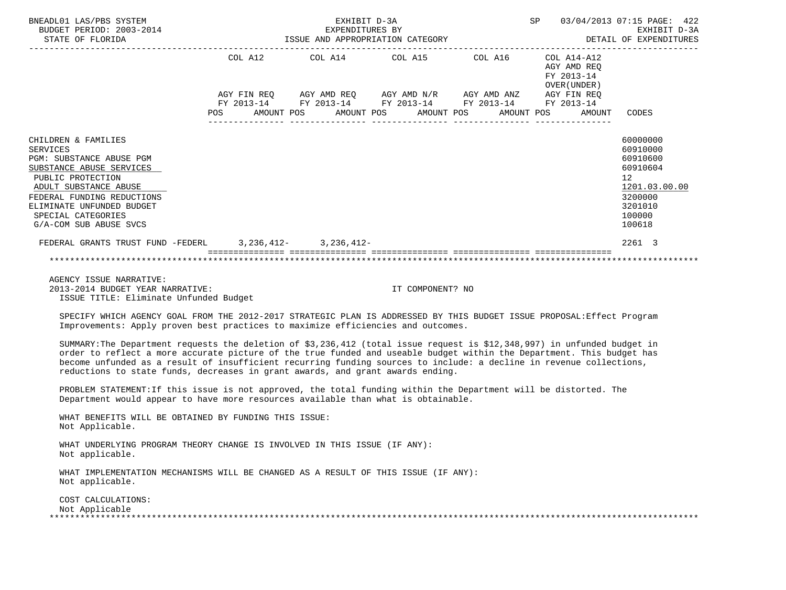| BNEADL01 LAS/PBS SYSTEM<br>BUDGET PERIOD: 2003-2014<br>STATE OF FLORIDA                                               |  | EXHIBIT D-3A<br>EXPENDITURES BY                             |                  |  |                                                        | SP 03/04/2013 07:15 PAGE: 422<br>EXHIBIT D-3A<br>EXPENDITORES BI<br>ISSUE AND APPROPRIATION CATEGORY <b>AND ALL SECTION CONTACT SECTION</b> DETAIL OF EXPENDITURES |
|-----------------------------------------------------------------------------------------------------------------------|--|-------------------------------------------------------------|------------------|--|--------------------------------------------------------|--------------------------------------------------------------------------------------------------------------------------------------------------------------------|
|                                                                                                                       |  | COL A12 COL A14 COL A15 COL A16 COL A14-A12                 |                  |  | AGY AMD REO<br>FY 2013-14<br>OVER (UNDER)              |                                                                                                                                                                    |
|                                                                                                                       |  | AGY FIN REQ AGY AMD REQ AGY AMD N/R AGY AMD ANZ AGY FIN REQ |                  |  |                                                        |                                                                                                                                                                    |
|                                                                                                                       |  | FY 2013-14 FY 2013-14 FY 2013-14 FY 2013-14 FY 2013-14      |                  |  |                                                        |                                                                                                                                                                    |
|                                                                                                                       |  |                                                             |                  |  | POS AMOUNT POS AMOUNT POS AMOUNT POS AMOUNT POS AMOUNT | CODES                                                                                                                                                              |
|                                                                                                                       |  |                                                             |                  |  |                                                        |                                                                                                                                                                    |
| CHILDREN & FAMILIES                                                                                                   |  |                                                             |                  |  |                                                        | 60000000                                                                                                                                                           |
| SERVICES                                                                                                              |  |                                                             |                  |  |                                                        | 60910000                                                                                                                                                           |
| PGM: SUBSTANCE ABUSE PGM                                                                                              |  |                                                             |                  |  |                                                        | 60910600                                                                                                                                                           |
| SUBSTANCE ABUSE SERVICES                                                                                              |  |                                                             |                  |  |                                                        | 60910604                                                                                                                                                           |
| PUBLIC PROTECTION                                                                                                     |  |                                                             |                  |  |                                                        | 12 <sup>°</sup>                                                                                                                                                    |
| ADULT SUBSTANCE ABUSE                                                                                                 |  |                                                             |                  |  |                                                        | 1201.03.00.00                                                                                                                                                      |
| FEDERAL FUNDING REDUCTIONS<br>ELIMINATE UNFUNDED BUDGET                                                               |  |                                                             |                  |  |                                                        | 3200000<br>3201010                                                                                                                                                 |
| SPECIAL CATEGORIES                                                                                                    |  |                                                             |                  |  |                                                        | 100000                                                                                                                                                             |
| G/A-COM SUB ABUSE SVCS                                                                                                |  |                                                             |                  |  |                                                        | 100618                                                                                                                                                             |
|                                                                                                                       |  |                                                             |                  |  |                                                        |                                                                                                                                                                    |
| FEDERAL GRANTS TRUST FUND -FEDERL 3, 236, 412-3, 236, 412-                                                            |  |                                                             |                  |  |                                                        | 2261 3                                                                                                                                                             |
|                                                                                                                       |  |                                                             |                  |  |                                                        |                                                                                                                                                                    |
|                                                                                                                       |  |                                                             |                  |  |                                                        |                                                                                                                                                                    |
| AGENCY ISSUE NARRATIVE:                                                                                               |  |                                                             |                  |  |                                                        |                                                                                                                                                                    |
| 2013-2014 BUDGET YEAR NARRATIVE:<br>ISSUE TITLE: Eliminate Unfunded Budget                                            |  |                                                             | IT COMPONENT? NO |  |                                                        |                                                                                                                                                                    |
| SPECIFY WHICH AGENCY GOAL FROM THE 2012-2017 STRATEGIC PLAN IS ADDRESSED BY THIS BUDGET ISSUE PROPOSAL:Effect Program |  |                                                             |                  |  |                                                        |                                                                                                                                                                    |

Improvements: Apply proven best practices to maximize efficiencies and outcomes.

 SUMMARY:The Department requests the deletion of \$3,236,412 (total issue request is \$12,348,997) in unfunded budget in order to reflect a more accurate picture of the true funded and useable budget within the Department. This budget has become unfunded as a result of insufficient recurring funding sources to include: a decline in revenue collections, reductions to state funds, decreases in grant awards, and grant awards ending.

 PROBLEM STATEMENT:If this issue is not approved, the total funding within the Department will be distorted. The Department would appear to have more resources available than what is obtainable.

 WHAT BENEFITS WILL BE OBTAINED BY FUNDING THIS ISSUE: Not Applicable.

 WHAT UNDERLYING PROGRAM THEORY CHANGE IS INVOLVED IN THIS ISSUE (IF ANY): Not applicable.

 WHAT IMPLEMENTATION MECHANISMS WILL BE CHANGED AS A RESULT OF THIS ISSUE (IF ANY): Not applicable.

 COST CALCULATIONS: Not Applicable<br>\*\*\*\*\*\*\*\*\*\*\*\*\*\*\*\*\*\*\* \*\*\*\*\*\*\*\*\*\*\*\*\*\*\*\*\*\*\*\*\*\*\*\*\*\*\*\*\*\*\*\*\*\*\*\*\*\*\*\*\*\*\*\*\*\*\*\*\*\*\*\*\*\*\*\*\*\*\*\*\*\*\*\*\*\*\*\*\*\*\*\*\*\*\*\*\*\*\*\*\*\*\*\*\*\*\*\*\*\*\*\*\*\*\*\*\*\*\*\*\*\*\*\*\*\*\*\*\*\*\*\*\*\*\*\*\*\*\*\*\*\*\*\*\*\*\*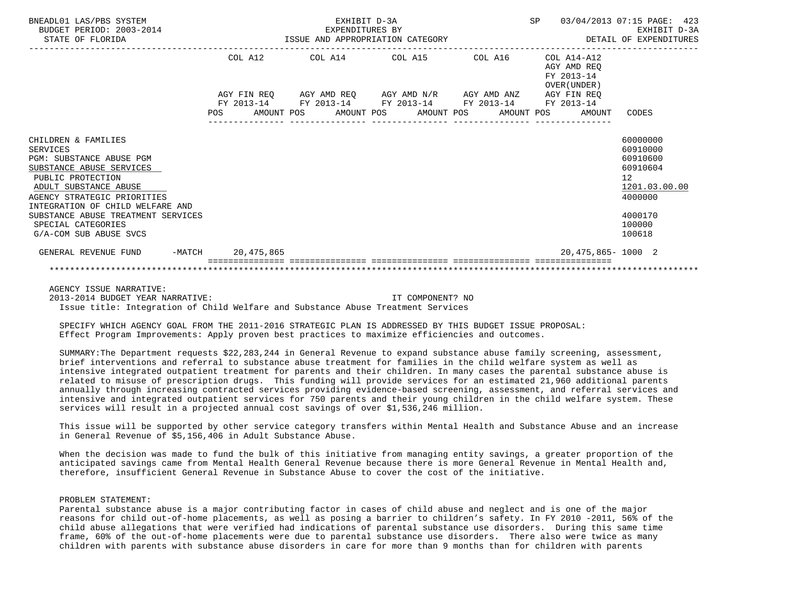| BNEADL01 LAS/PBS SYSTEM<br>BUDGET PERIOD: 2003-2014<br>STATE OF FLORIDA                                                                                                                                         |                   | EXHIBIT D-3A<br>EXPENDITURES BY<br>ISSUE AND APPROPRIATION CATEGORY                                                      |            |            | SP                                                           | 03/04/2013 07:15 PAGE: 423<br>EXHIBIT D-3A<br>DETAIL OF EXPENDITURES           |
|-----------------------------------------------------------------------------------------------------------------------------------------------------------------------------------------------------------------|-------------------|--------------------------------------------------------------------------------------------------------------------------|------------|------------|--------------------------------------------------------------|--------------------------------------------------------------------------------|
|                                                                                                                                                                                                                 | COL A12           | COL A14 COL A15                                                                                                          |            | COL A16    | $COL A14 - A12$<br>AGY AMD REO<br>FY 2013-14<br>OVER (UNDER) |                                                                                |
|                                                                                                                                                                                                                 | FY 2013-14<br>POS | AGY FIN REO AGY AMD REO AGY AMD N/R AGY AMD ANZ AGY FIN REO<br>FY 2013-14 FY 2013-14 FY 2013-14 FY 2013-14<br>AMOUNT POS | AMOUNT POS | AMOUNT POS | AMOUNT POS<br>AMOUNT                                         | CODES                                                                          |
| CHILDREN & FAMILIES<br>SERVICES<br><b>PGM: SUBSTANCE ABUSE PGM</b><br>SUBSTANCE ABUSE SERVICES<br>PUBLIC PROTECTION<br>ADULT SUBSTANCE ABUSE<br>AGENCY STRATEGIC PRIORITIES<br>INTEGRATION OF CHILD WELFARE AND |                   |                                                                                                                          |            |            |                                                              | 60000000<br>60910000<br>60910600<br>60910604<br>12<br>1201.03.00.00<br>4000000 |
| SUBSTANCE ABUSE TREATMENT SERVICES<br>SPECIAL CATEGORIES<br>G/A-COM SUB ABUSE SVCS                                                                                                                              |                   |                                                                                                                          |            |            |                                                              | 4000170<br>100000<br>100618                                                    |
| GENERAL REVENUE FUND                                                                                                                                                                                            | -MATCH 20,475,865 |                                                                                                                          |            |            | 20, 475, 865 - 1000 2                                        |                                                                                |
|                                                                                                                                                                                                                 |                   |                                                                                                                          |            |            |                                                              |                                                                                |

 AGENCY ISSUE NARRATIVE: 2013-2014 BUDGET YEAR NARRATIVE: IT COMPONENT? NO Issue title: Integration of Child Welfare and Substance Abuse Treatment Services

 SPECIFY WHICH AGENCY GOAL FROM THE 2011-2016 STRATEGIC PLAN IS ADDRESSED BY THIS BUDGET ISSUE PROPOSAL: Effect Program Improvements: Apply proven best practices to maximize efficiencies and outcomes.

 SUMMARY:The Department requests \$22,283,244 in General Revenue to expand substance abuse family screening, assessment, brief interventions and referral to substance abuse treatment for families in the child welfare system as well as intensive integrated outpatient treatment for parents and their children. In many cases the parental substance abuse is related to misuse of prescription drugs. This funding will provide services for an estimated 21,960 additional parents annually through increasing contracted services providing evidence-based screening, assessment, and referral services and intensive and integrated outpatient services for 750 parents and their young children in the child welfare system. These services will result in a projected annual cost savings of over \$1,536,246 million.

 This issue will be supported by other service category transfers within Mental Health and Substance Abuse and an increase in General Revenue of \$5,156,406 in Adult Substance Abuse.

 When the decision was made to fund the bulk of this initiative from managing entity savings, a greater proportion of the anticipated savings came from Mental Health General Revenue because there is more General Revenue in Mental Health and, therefore, insufficient General Revenue in Substance Abuse to cover the cost of the initiative.

# PROBLEM STATEMENT:

 Parental substance abuse is a major contributing factor in cases of child abuse and neglect and is one of the major reasons for child out-of-home placements, as well as posing a barrier to children's safety. In FY 2010 -2011, 56% of the child abuse allegations that were verified had indications of parental substance use disorders. During this same time frame, 60% of the out-of-home placements were due to parental substance use disorders. There also were twice as many children with parents with substance abuse disorders in care for more than 9 months than for children with parents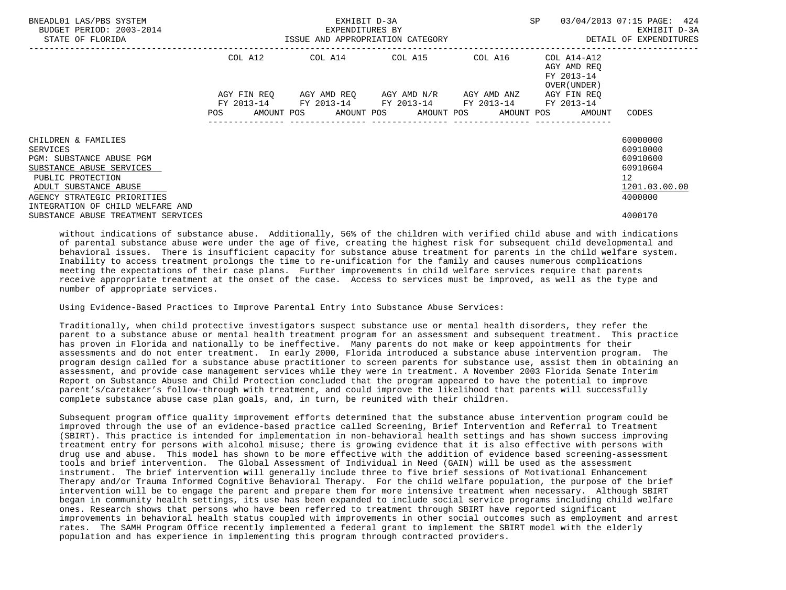| BNEADL01 LAS/PBS SYSTEM<br>BUDGET PERIOD: 2003-2014<br>STATE OF FLORIDA                                                                                                                                  | ISSUE AND APPROPRIATION CATEGORY | EXHIBIT D-3A<br>EXPENDITURES BY | SP                                                                                                        | 03/04/2013 07:15 PAGE: 424<br>EXHIBIT D-3A<br>DETAIL OF EXPENDITURES |                                                                             |                                                                                             |
|----------------------------------------------------------------------------------------------------------------------------------------------------------------------------------------------------------|----------------------------------|---------------------------------|-----------------------------------------------------------------------------------------------------------|----------------------------------------------------------------------|-----------------------------------------------------------------------------|---------------------------------------------------------------------------------------------|
|                                                                                                                                                                                                          | COL A12                          |                                 | COL A14 COL A15 COL A16                                                                                   |                                                                      | COL A14-A12<br>AGY AMD REO<br>FY 2013-14<br>OVER (UNDER)                    |                                                                                             |
|                                                                                                                                                                                                          | AGY FIN REO                      |                                 | AGY AMD REQ       AGY AMD N/R       AGY AMD ANZ<br>FY 2013-14 FY 2013-14 FY 2013-14 FY 2013-14 FY 2013-14 |                                                                      | AGY FIN REO<br>POS AMOUNT POS AMOUNT POS AMOUNT POS AMOUNT POS AMOUNT CODES |                                                                                             |
| CHILDREN & FAMILIES<br>SERVICES<br>PGM: SUBSTANCE ABUSE PGM<br>SUBSTANCE ABUSE SERVICES<br>PUBLIC PROTECTION<br>ADULT SUBSTANCE ABUSE<br>AGENCY STRATEGIC PRIORITIES<br>INTEGRATION OF CHILD WELFARE AND |                                  |                                 |                                                                                                           |                                                                      |                                                                             | 60000000<br>60910000<br>60910600<br>60910604<br>12 <sup>°</sup><br>1201.03.00.00<br>4000000 |
| SUBSTANCE ABUSE TREATMENT SERVICES                                                                                                                                                                       |                                  |                                 |                                                                                                           |                                                                      |                                                                             | 4000170                                                                                     |

 without indications of substance abuse. Additionally, 56% of the children with verified child abuse and with indications of parental substance abuse were under the age of five, creating the highest risk for subsequent child developmental and behavioral issues. There is insufficient capacity for substance abuse treatment for parents in the child welfare system. Inability to access treatment prolongs the time to re-unification for the family and causes numerous complications meeting the expectations of their case plans. Further improvements in child welfare services require that parents receive appropriate treatment at the onset of the case. Access to services must be improved, as well as the type and number of appropriate services.

Using Evidence-Based Practices to Improve Parental Entry into Substance Abuse Services:

 Traditionally, when child protective investigators suspect substance use or mental health disorders, they refer the parent to a substance abuse or mental health treatment program for an assessment and subsequent treatment. This practice has proven in Florida and nationally to be ineffective. Many parents do not make or keep appointments for their assessments and do not enter treatment. In early 2000, Florida introduced a substance abuse intervention program. The program design called for a substance abuse practitioner to screen parents for substance use, assist them in obtaining an assessment, and provide case management services while they were in treatment. A November 2003 Florida Senate Interim Report on Substance Abuse and Child Protection concluded that the program appeared to have the potential to improve parent's/caretaker's follow-through with treatment, and could improve the likelihood that parents will successfully complete substance abuse case plan goals, and, in turn, be reunited with their children.

 Subsequent program office quality improvement efforts determined that the substance abuse intervention program could be improved through the use of an evidence-based practice called Screening, Brief Intervention and Referral to Treatment (SBIRT). This practice is intended for implementation in non-behavioral health settings and has shown success improving treatment entry for persons with alcohol misuse; there is growing evidence that it is also effective with persons with drug use and abuse. This model has shown to be more effective with the addition of evidence based screening-assessment tools and brief intervention. The Global Assessment of Individual in Need (GAIN) will be used as the assessment instrument. The brief intervention will generally include three to five brief sessions of Motivational Enhancement Therapy and/or Trauma Informed Cognitive Behavioral Therapy. For the child welfare population, the purpose of the brief intervention will be to engage the parent and prepare them for more intensive treatment when necessary. Although SBIRT began in community health settings, its use has been expanded to include social service programs including child welfare ones. Research shows that persons who have been referred to treatment through SBIRT have reported significant improvements in behavioral health status coupled with improvements in other social outcomes such as employment and arrest rates. The SAMH Program Office recently implemented a federal grant to implement the SBIRT model with the elderly population and has experience in implementing this program through contracted providers.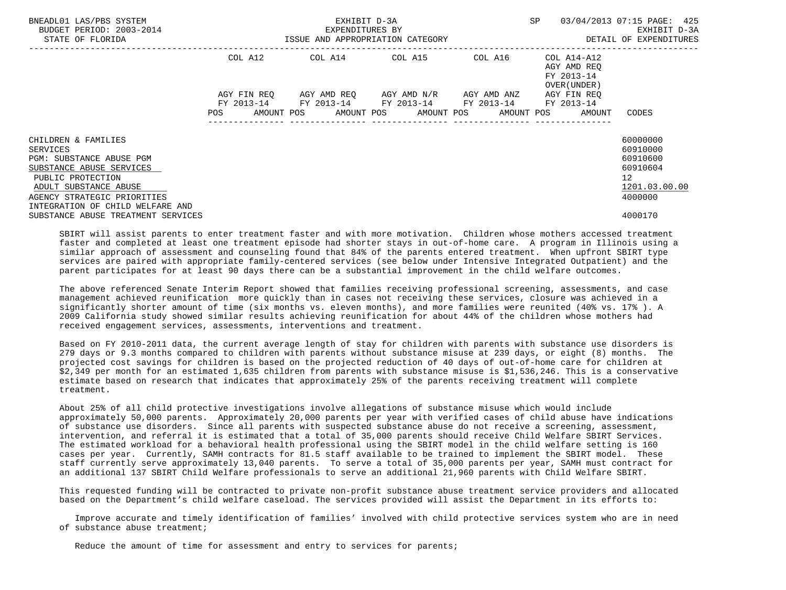| BNEADL01 LAS/PBS SYSTEM<br>BUDGET PERIOD: 2003-2014<br>STATE OF FLORIDA                                                                                                                                  |             | EXHIBIT D-3A<br>EXPENDITURES BY<br>ISSUE AND APPROPRIATION CATEGORY | <b>SP</b>                                     | 03/04/2013 07:15 PAGE: 425<br>EXHIBIT D-3A<br>DETAIL OF EXPENDITURES |                                                                       |                                                                                |
|----------------------------------------------------------------------------------------------------------------------------------------------------------------------------------------------------------|-------------|---------------------------------------------------------------------|-----------------------------------------------|----------------------------------------------------------------------|-----------------------------------------------------------------------|--------------------------------------------------------------------------------|
|                                                                                                                                                                                                          |             | COL A12 COL A14 COL A15 COL A16                                     |                                               |                                                                      | COL A14-A12<br>AGY AMD REO<br>FY 2013-14<br>OVER (UNDER)              |                                                                                |
|                                                                                                                                                                                                          | AGY FIN REO | FY 2013-14 FY 2013-14 FY 2013-14 FY 2013-14 FY 2013-14              | AGY AMD REO      AGY AMD N/R      AGY AMD ANZ |                                                                      | AGY FIN REO<br>POS AMOUNT POS AMOUNT POS AMOUNT POS AMOUNT POS AMOUNT | CODES                                                                          |
| CHILDREN & FAMILIES<br>SERVICES<br>PGM: SUBSTANCE ABUSE PGM<br>SUBSTANCE ABUSE SERVICES<br>PUBLIC PROTECTION<br>ADULT SUBSTANCE ABUSE<br>AGENCY STRATEGIC PRIORITIES<br>INTEGRATION OF CHILD WELFARE AND |             |                                                                     |                                               |                                                                      |                                                                       | 60000000<br>60910000<br>60910600<br>60910604<br>12<br>1201.03.00.00<br>4000000 |
| SUBSTANCE ABUSE TREATMENT SERVICES                                                                                                                                                                       |             |                                                                     |                                               |                                                                      |                                                                       | 4000170                                                                        |

 SBIRT will assist parents to enter treatment faster and with more motivation. Children whose mothers accessed treatment faster and completed at least one treatment episode had shorter stays in out-of-home care. A program in Illinois using a similar approach of assessment and counseling found that 84% of the parents entered treatment. When upfront SBIRT type services are paired with appropriate family-centered services (see below under Intensive Integrated Outpatient) and the parent participates for at least 90 days there can be a substantial improvement in the child welfare outcomes.

 The above referenced Senate Interim Report showed that families receiving professional screening, assessments, and case management achieved reunification more quickly than in cases not receiving these services, closure was achieved in a significantly shorter amount of time (six months vs. eleven months), and more families were reunited (40% vs. 17% ). A 2009 California study showed similar results achieving reunification for about 44% of the children whose mothers had received engagement services, assessments, interventions and treatment.

 Based on FY 2010-2011 data, the current average length of stay for children with parents with substance use disorders is 279 days or 9.3 months compared to children with parents without substance misuse at 239 days, or eight (8) months. The projected cost savings for children is based on the projected reduction of 40 days of out-of-home care for children at \$2,349 per month for an estimated 1,635 children from parents with substance misuse is \$1,536,246. This is a conservative estimate based on research that indicates that approximately 25% of the parents receiving treatment will complete treatment.

 About 25% of all child protective investigations involve allegations of substance misuse which would include approximately 50,000 parents. Approximately 20,000 parents per year with verified cases of child abuse have indications of substance use disorders. Since all parents with suspected substance abuse do not receive a screening, assessment, intervention, and referral it is estimated that a total of 35,000 parents should receive Child Welfare SBIRT Services. The estimated workload for a behavioral health professional using the SBIRT model in the child welfare setting is 160 cases per year. Currently, SAMH contracts for 81.5 staff available to be trained to implement the SBIRT model. These staff currently serve approximately 13,040 parents. To serve a total of 35,000 parents per year, SAMH must contract for an additional 137 SBIRT Child Welfare professionals to serve an additional 21,960 parents with Child Welfare SBIRT.

 This requested funding will be contracted to private non-profit substance abuse treatment service providers and allocated based on the Department's child welfare caseload. The services provided will assist the Department in its efforts to:

 Improve accurate and timely identification of families' involved with child protective services system who are in need of substance abuse treatment;

Reduce the amount of time for assessment and entry to services for parents;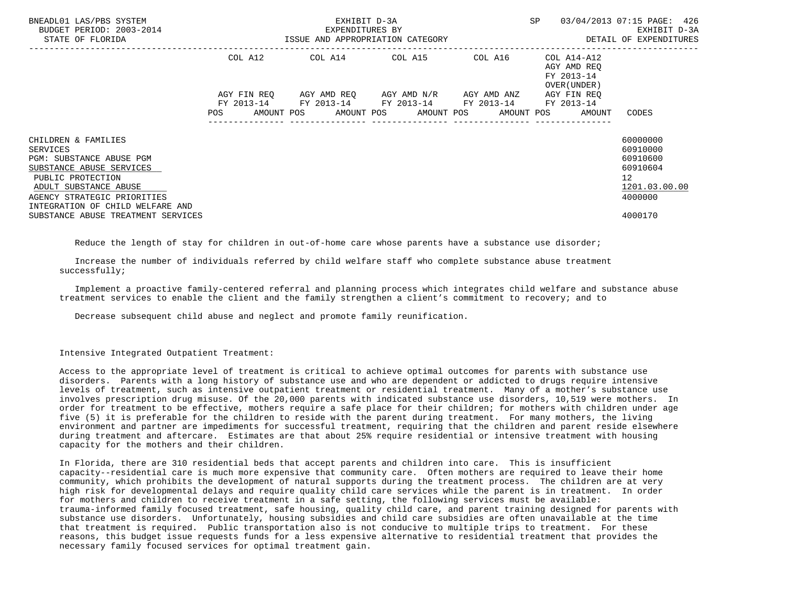| BNEADL01 LAS/PBS SYSTEM<br>BUDGET PERIOD: 2003-2014<br>STATE OF FLORIDA                                                                                                                                         | ISSUE AND APPROPRIATION CATEGORY | EXHIBIT D-3A<br>EXPENDITURES BY |  | ---------------------------------                                                             | SP |                                                                       | 03/04/2013 07:15 PAGE: 426<br>EXHIBIT D-3A<br>DETAIL OF EXPENDITURES                        |
|-----------------------------------------------------------------------------------------------------------------------------------------------------------------------------------------------------------------|----------------------------------|---------------------------------|--|-----------------------------------------------------------------------------------------------|----|-----------------------------------------------------------------------|---------------------------------------------------------------------------------------------|
|                                                                                                                                                                                                                 | COL A12                          |                                 |  | COL A14 COL A15 COL A16                                                                       |    | COL A14-A12<br>AGY AMD REO<br>FY 2013-14<br>OVER (UNDER)              |                                                                                             |
|                                                                                                                                                                                                                 | AGY FIN REO                      |                                 |  | AGY AMD REO AGY AMD N/R AGY AMD ANZ<br>FY 2013-14 FY 2013-14 FY 2013-14 FY 2013-14 FY 2013-14 |    | AGY FIN REO<br>POS AMOUNT POS AMOUNT POS AMOUNT POS AMOUNT POS AMOUNT | CODES                                                                                       |
| CHILDREN & FAMILIES<br><b>SERVICES</b><br>PGM: SUBSTANCE ABUSE PGM<br>SUBSTANCE ABUSE SERVICES<br>PUBLIC PROTECTION<br>ADULT SUBSTANCE ABUSE<br>AGENCY STRATEGIC PRIORITIES<br>INTEGRATION OF CHILD WELFARE AND |                                  |                                 |  |                                                                                               |    |                                                                       | 60000000<br>60910000<br>60910600<br>60910604<br>12 <sup>°</sup><br>1201.03.00.00<br>4000000 |
| SUBSTANCE ABUSE TREATMENT SERVICES                                                                                                                                                                              |                                  |                                 |  |                                                                                               |    |                                                                       | 4000170                                                                                     |

Reduce the length of stay for children in out-of-home care whose parents have a substance use disorder;

 Increase the number of individuals referred by child welfare staff who complete substance abuse treatment successfully;

 Implement a proactive family-centered referral and planning process which integrates child welfare and substance abuse treatment services to enable the client and the family strengthen a client's commitment to recovery; and to

Decrease subsequent child abuse and neglect and promote family reunification.

Intensive Integrated Outpatient Treatment:

 Access to the appropriate level of treatment is critical to achieve optimal outcomes for parents with substance use disorders. Parents with a long history of substance use and who are dependent or addicted to drugs require intensive levels of treatment, such as intensive outpatient treatment or residential treatment. Many of a mother's substance use involves prescription drug misuse. Of the 20,000 parents with indicated substance use disorders, 10,519 were mothers. In order for treatment to be effective, mothers require a safe place for their children; for mothers with children under age five (5) it is preferable for the children to reside with the parent during treatment. For many mothers, the living environment and partner are impediments for successful treatment, requiring that the children and parent reside elsewhere during treatment and aftercare. Estimates are that about 25% require residential or intensive treatment with housing capacity for the mothers and their children.

 In Florida, there are 310 residential beds that accept parents and children into care. This is insufficient capacity--residential care is much more expensive that community care. Often mothers are required to leave their home community, which prohibits the development of natural supports during the treatment process. The children are at very high risk for developmental delays and require quality child care services while the parent is in treatment. In order for mothers and children to receive treatment in a safe setting, the following services must be available: trauma-informed family focused treatment, safe housing, quality child care, and parent training designed for parents with substance use disorders. Unfortunately, housing subsidies and child care subsidies are often unavailable at the time that treatment is required. Public transportation also is not conducive to multiple trips to treatment. For these reasons, this budget issue requests funds for a less expensive alternative to residential treatment that provides the necessary family focused services for optimal treatment gain.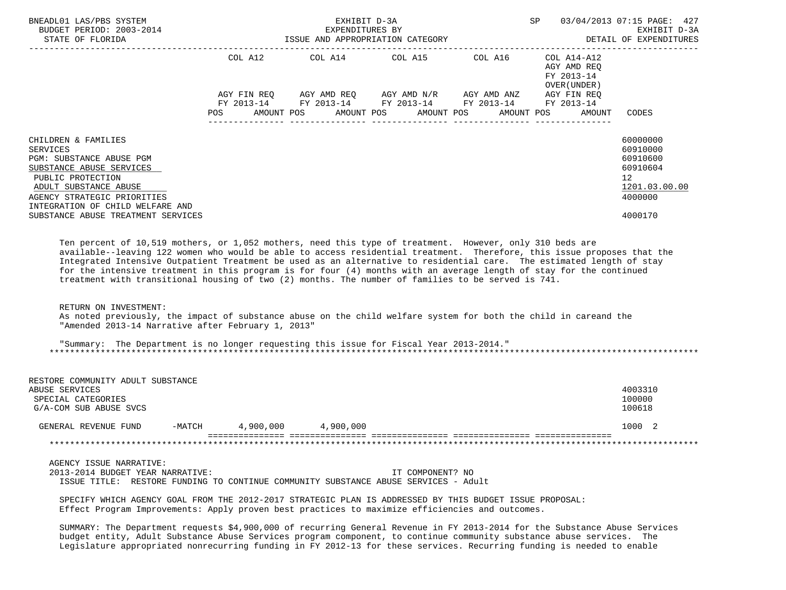| BNEADL01 LAS/PBS SYSTEM<br>BUDGET PERIOD: 2003-2014<br>STATE OF FLORIDA<br>------------------                                                                                                                                                                                                                                                                                                                                                                                                                                                                                                                                                                                                                                                                                                |                              | EXHIBIT D-3A<br>EXPENDITURES BY | ISSUE AND APPROPRIATION CATEGORY                                                                                                    |            | SP                                                  | 03/04/2013 07:15 PAGE: 427<br>EXHIBIT D-3A<br>DETAIL OF EXPENDITURES                      |
|----------------------------------------------------------------------------------------------------------------------------------------------------------------------------------------------------------------------------------------------------------------------------------------------------------------------------------------------------------------------------------------------------------------------------------------------------------------------------------------------------------------------------------------------------------------------------------------------------------------------------------------------------------------------------------------------------------------------------------------------------------------------------------------------|------------------------------|---------------------------------|-------------------------------------------------------------------------------------------------------------------------------------|------------|-----------------------------------------------------|-------------------------------------------------------------------------------------------|
|                                                                                                                                                                                                                                                                                                                                                                                                                                                                                                                                                                                                                                                                                                                                                                                              | COL A12<br>POS<br>AMOUNT POS | AMOUNT POS                      | AGY FIN REQ AGY AMD REQ AGY AMD N/R AGY AMD ANZ AGY FIN REQ<br>FY 2013-14 FY 2013-14 FY 2013-14 FY 2013-14 FY 2013-14<br>AMOUNT POS | AMOUNT POS | AGY AMD REQ<br>FY 2013-14<br>OVER (UNDER)<br>AMOUNT | CODES                                                                                     |
| CHILDREN & FAMILIES<br><b>SERVICES</b><br>PGM: SUBSTANCE ABUSE PGM<br>SUBSTANCE ABUSE SERVICES<br>PUBLIC PROTECTION<br>ADULT SUBSTANCE ABUSE<br>AGENCY STRATEGIC PRIORITIES<br>INTEGRATION OF CHILD WELFARE AND<br>SUBSTANCE ABUSE TREATMENT SERVICES                                                                                                                                                                                                                                                                                                                                                                                                                                                                                                                                        |                              |                                 |                                                                                                                                     |            |                                                     | 60000000<br>60910000<br>60910600<br>60910604<br>12<br>1201.03.00.00<br>4000000<br>4000170 |
| Ten percent of 10,519 mothers, or 1,052 mothers, need this type of treatment. However, only 310 beds are<br>available--leaving 122 women who would be able to access residential treatment. Therefore, this issue proposes that the<br>Integrated Intensive Outpatient Treatment be used as an alternative to residential care. The estimated length of stay<br>for the intensive treatment in this program is for four (4) months with an average length of stay for the continued<br>treatment with transitional housing of two (2) months. The number of families to be served is 741.<br>RETURN ON INVESTMENT:<br>As noted previously, the impact of substance abuse on the child welfare system for both the child in careand the<br>"Amended 2013-14 Narrative after February 1, 2013" |                              |                                 |                                                                                                                                     |            |                                                     |                                                                                           |
| "Summary: The Department is no longer requesting this issue for Fiscal Year 2013-2014."                                                                                                                                                                                                                                                                                                                                                                                                                                                                                                                                                                                                                                                                                                      |                              |                                 |                                                                                                                                     |            |                                                     |                                                                                           |
| RESTORE COMMUNITY ADULT SUBSTANCE<br>ABUSE SERVICES<br>SPECIAL CATEGORIES<br>G/A-COM SUB ABUSE SVCS                                                                                                                                                                                                                                                                                                                                                                                                                                                                                                                                                                                                                                                                                          |                              |                                 |                                                                                                                                     |            |                                                     | 4003310<br>100000<br>100618                                                               |
| GENERAL REVENUE FUND                                                                                                                                                                                                                                                                                                                                                                                                                                                                                                                                                                                                                                                                                                                                                                         | $-MATCH$ 4,900,000           | 4,900,000                       |                                                                                                                                     |            |                                                     | 1000 2                                                                                    |
|                                                                                                                                                                                                                                                                                                                                                                                                                                                                                                                                                                                                                                                                                                                                                                                              |                              |                                 |                                                                                                                                     |            |                                                     |                                                                                           |
| AGENCY ISSUE NARRATIVE:<br>2013-2014 BUDGET YEAR NARRATIVE:<br>ISSUE TITLE: RESTORE FUNDING TO CONTINUE COMMUNITY SUBSTANCE ABUSE SERVICES - Adult<br>SPECIFY WHICH AGENCY GOAL FROM THE 2012-2017 STRATEGIC PLAN IS ADDRESSED BY THIS BUDGET ISSUE PROPOSAL:<br>Effect Program Improvements: Apply proven best practices to maximize efficiencies and outcomes.                                                                                                                                                                                                                                                                                                                                                                                                                             |                              |                                 | IT COMPONENT? NO                                                                                                                    |            |                                                     |                                                                                           |
|                                                                                                                                                                                                                                                                                                                                                                                                                                                                                                                                                                                                                                                                                                                                                                                              |                              |                                 |                                                                                                                                     |            |                                                     |                                                                                           |

 SUMMARY: The Department requests \$4,900,000 of recurring General Revenue in FY 2013-2014 for the Substance Abuse Services budget entity, Adult Substance Abuse Services program component, to continue community substance abuse services. The Legislature appropriated nonrecurring funding in FY 2012-13 for these services. Recurring funding is needed to enable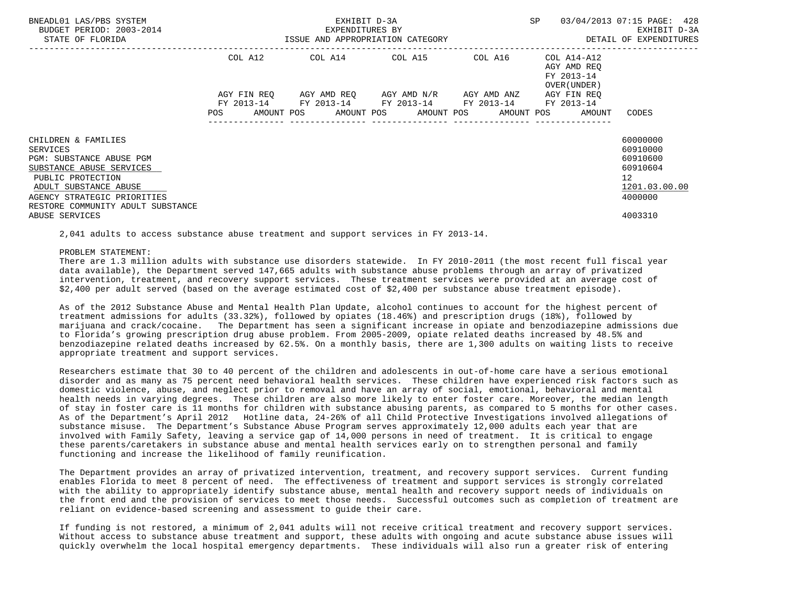| BNEADL01 LAS/PBS SYSTEM<br>BUDGET PERIOD: 2003-2014<br>STATE OF FLORIDA                                                                                                                                   |                           | EXHIBIT D-3A<br>EXPENDITURES BY<br>ISSUE AND APPROPRIATION CATEGORY |                                                                        | SP          | 03/04/2013 07:15 PAGE: 428<br>EXHIBIT D-3A<br>DETAIL OF EXPENDITURES            |                                                                                |
|-----------------------------------------------------------------------------------------------------------------------------------------------------------------------------------------------------------|---------------------------|---------------------------------------------------------------------|------------------------------------------------------------------------|-------------|---------------------------------------------------------------------------------|--------------------------------------------------------------------------------|
|                                                                                                                                                                                                           | COL A12                   |                                                                     | COL A14 COL A15 COL A16                                                |             | COL A14-A12<br>AGY AMD REO<br>FY 2013-14<br>OVER (UNDER)                        |                                                                                |
|                                                                                                                                                                                                           | AGY FIN REO<br><b>POS</b> |                                                                     | AGY AMD REQ AGY AMD N/R<br>FY 2013-14 FY 2013-14 FY 2013-14 FY 2013-14 | AGY AMD ANZ | AGY FIN REO<br>FY 2013-14<br>AMOUNT POS AMOUNT POS AMOUNT POS AMOUNT POS AMOUNT | CODES                                                                          |
| CHILDREN & FAMILIES<br>SERVICES<br>PGM: SUBSTANCE ABUSE PGM<br>SUBSTANCE ABUSE SERVICES<br>PUBLIC PROTECTION<br>ADULT SUBSTANCE ABUSE<br>AGENCY STRATEGIC PRIORITIES<br>RESTORE COMMUNITY ADULT SUBSTANCE |                           |                                                                     |                                                                        |             |                                                                                 | 60000000<br>60910000<br>60910600<br>60910604<br>12<br>1201.03.00.00<br>4000000 |
| ABUSE SERVICES                                                                                                                                                                                            |                           |                                                                     |                                                                        |             |                                                                                 | 4003310                                                                        |

2,041 adults to access substance abuse treatment and support services in FY 2013-14.

#### PROBLEM STATEMENT:

 There are 1.3 million adults with substance use disorders statewide. In FY 2010-2011 (the most recent full fiscal year data available), the Department served 147,665 adults with substance abuse problems through an array of privatized intervention, treatment, and recovery support services. These treatment services were provided at an average cost of \$2,400 per adult served (based on the average estimated cost of \$2,400 per substance abuse treatment episode).

 As of the 2012 Substance Abuse and Mental Health Plan Update, alcohol continues to account for the highest percent of treatment admissions for adults (33.32%), followed by opiates (18.46%) and prescription drugs (18%), followed by marijuana and crack/cocaine. The Department has seen a significant increase in opiate and benzodiazepine admissions due to Florida's growing prescription drug abuse problem. From 2005-2009, opiate related deaths increased by 48.5% and benzodiazepine related deaths increased by 62.5%. On a monthly basis, there are 1,300 adults on waiting lists to receive appropriate treatment and support services.

 Researchers estimate that 30 to 40 percent of the children and adolescents in out-of-home care have a serious emotional disorder and as many as 75 percent need behavioral health services. These children have experienced risk factors such as domestic violence, abuse, and neglect prior to removal and have an array of social, emotional, behavioral and mental health needs in varying degrees. These children are also more likely to enter foster care. Moreover, the median length of stay in foster care is 11 months for children with substance abusing parents, as compared to 5 months for other cases. As of the Department's April 2012 Hotline data, 24-26% of all Child Protective Investigations involved allegations of substance misuse. The Department's Substance Abuse Program serves approximately 12,000 adults each year that are involved with Family Safety, leaving a service gap of 14,000 persons in need of treatment. It is critical to engage these parents/caretakers in substance abuse and mental health services early on to strengthen personal and family functioning and increase the likelihood of family reunification.

 The Department provides an array of privatized intervention, treatment, and recovery support services. Current funding enables Florida to meet 8 percent of need. The effectiveness of treatment and support services is strongly correlated with the ability to appropriately identify substance abuse, mental health and recovery support needs of individuals on the front end and the provision of services to meet those needs. Successful outcomes such as completion of treatment are reliant on evidence-based screening and assessment to guide their care.

 If funding is not restored, a minimum of 2,041 adults will not receive critical treatment and recovery support services. Without access to substance abuse treatment and support, these adults with ongoing and acute substance abuse issues will quickly overwhelm the local hospital emergency departments. These individuals will also run a greater risk of entering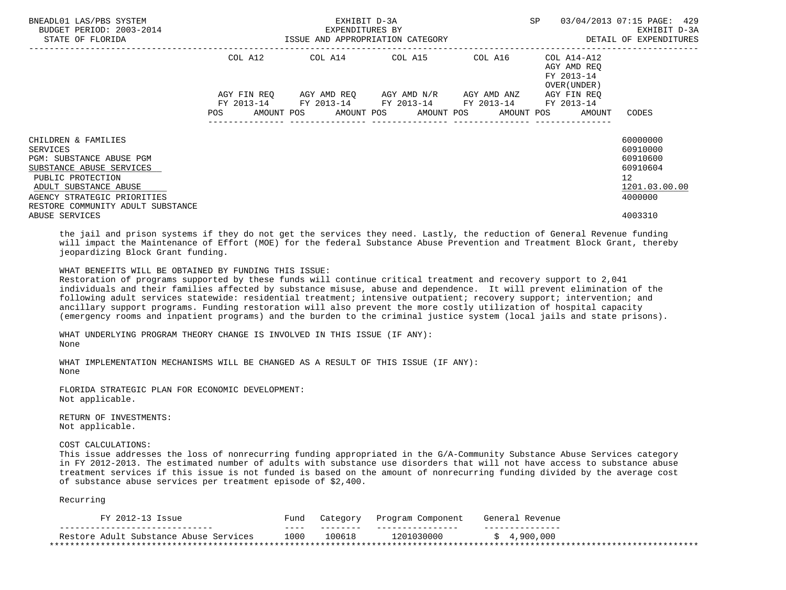| BNEADL01 LAS/PBS SYSTEM<br>BUDGET PERIOD: 2003-2014<br>STATE OF FLORIDA                                                                                                                                          | ISSUE AND APPROPRIATION CATEGORY | EXHIBIT D-3A<br>EXPENDITURES BY                        | SP<br>--------------------------------          | 03/04/2013 07:15 PAGE: 429<br>EXHIBIT D-3A<br>DETAIL OF EXPENDITURES |                                                                             |                                                                                             |
|------------------------------------------------------------------------------------------------------------------------------------------------------------------------------------------------------------------|----------------------------------|--------------------------------------------------------|-------------------------------------------------|----------------------------------------------------------------------|-----------------------------------------------------------------------------|---------------------------------------------------------------------------------------------|
|                                                                                                                                                                                                                  | COL A12                          | $COL A14$ $COL A15$ $COL A16$ $COL A14-A12$            |                                                 |                                                                      | AGY AMD REO<br>FY 2013-14<br>OVER (UNDER)                                   |                                                                                             |
|                                                                                                                                                                                                                  | AGY FIN REO                      | FY 2013-14 FY 2013-14 FY 2013-14 FY 2013-14 FY 2013-14 | AGY AMD REQ       AGY AMD N/R       AGY AMD ANZ |                                                                      | AGY FIN REO<br>POS AMOUNT POS AMOUNT POS AMOUNT POS AMOUNT POS AMOUNT CODES |                                                                                             |
| CHILDREN & FAMILIES<br><b>SERVICES</b><br>PGM: SUBSTANCE ABUSE PGM<br>SUBSTANCE ABUSE SERVICES<br>PUBLIC PROTECTION<br>ADULT SUBSTANCE ABUSE<br>AGENCY STRATEGIC PRIORITIES<br>RESTORE COMMUNITY ADULT SUBSTANCE |                                  |                                                        |                                                 |                                                                      |                                                                             | 60000000<br>60910000<br>60910600<br>60910604<br>12 <sup>°</sup><br>1201.03.00.00<br>4000000 |
| ABUSE SERVICES                                                                                                                                                                                                   |                                  |                                                        |                                                 |                                                                      |                                                                             | 4003310                                                                                     |

 the jail and prison systems if they do not get the services they need. Lastly, the reduction of General Revenue funding will impact the Maintenance of Effort (MOE) for the federal Substance Abuse Prevention and Treatment Block Grant, thereby jeopardizing Block Grant funding.

# WHAT BENEFITS WILL BE OBTAINED BY FUNDING THIS ISSUE:

 Restoration of programs supported by these funds will continue critical treatment and recovery support to 2,041 individuals and their families affected by substance misuse, abuse and dependence. It will prevent elimination of the following adult services statewide: residential treatment; intensive outpatient; recovery support; intervention; and ancillary support programs. Funding restoration will also prevent the more costly utilization of hospital capacity (emergency rooms and inpatient programs) and the burden to the criminal justice system (local jails and state prisons).

 WHAT UNDERLYING PROGRAM THEORY CHANGE IS INVOLVED IN THIS ISSUE (IF ANY): None

 WHAT IMPLEMENTATION MECHANISMS WILL BE CHANGED AS A RESULT OF THIS ISSUE (IF ANY): None

 FLORIDA STRATEGIC PLAN FOR ECONOMIC DEVELOPMENT: Not applicable.

 RETURN OF INVESTMENTS: Not applicable.

COST CALCULATIONS:

 This issue addresses the loss of nonrecurring funding appropriated in the G/A-Community Substance Abuse Services category in FY 2012-2013. The estimated number of adults with substance use disorders that will not have access to substance abuse treatment services if this issue is not funded is based on the amount of nonrecurring funding divided by the average cost of substance abuse services per treatment episode of \$2,400.

Recurring

| FY 2012-1<br>Issue                     | Funo | Category | Component<br>Program | Genera<br>Revenue |
|----------------------------------------|------|----------|----------------------|-------------------|
|                                        | ---- | -----    |                      | ______            |
| Restore Adult Substance Abuse Services | 1000 | 00618    | 1201030000           | 900,000           |
|                                        |      |          |                      |                   |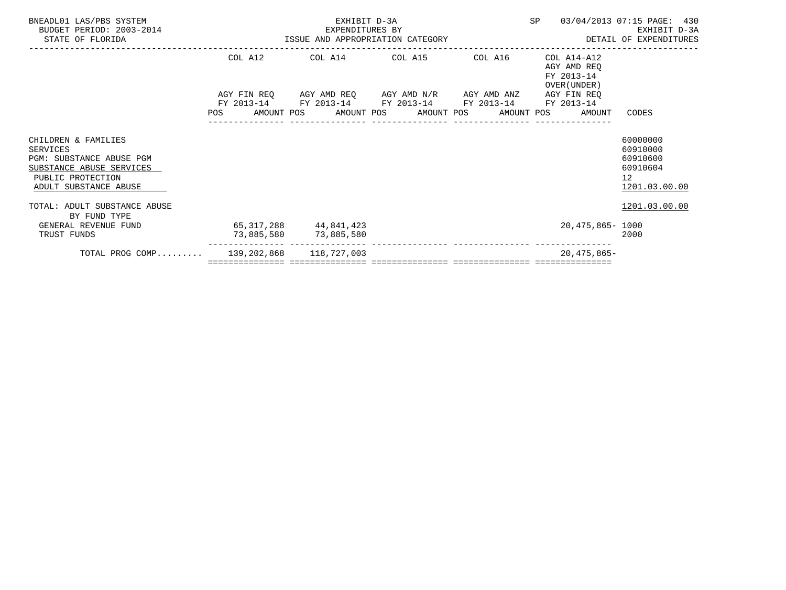| BNEADL01 LAS/PBS SYSTEM<br>BUDGET PERIOD: 2003-2014<br>STATE OF FLORIDA                                                                      | EXHIBIT D-3A<br>EXPENDITURES BY<br>EXPENDITURES BI<br>ISSUE AND APPROPRIATION CATEGORY |  |                                                    |                         |                                                                                                                                           | SP 03/04/2013 07:15 PAGE: 430                                | EXHIBIT D-3A<br>DETAIL OF EXPENDITURES                                           |
|----------------------------------------------------------------------------------------------------------------------------------------------|----------------------------------------------------------------------------------------|--|----------------------------------------------------|-------------------------|-------------------------------------------------------------------------------------------------------------------------------------------|--------------------------------------------------------------|----------------------------------------------------------------------------------|
|                                                                                                                                              |                                                                                        |  |                                                    | COL A12 COL A14 COL A15 | COL A16                                                                                                                                   | COL A14-A12<br>AGY AMD REO<br>FY 2013-14<br>OVER (UNDER)     |                                                                                  |
|                                                                                                                                              |                                                                                        |  |                                                    |                         | AGY FIN REQ      AGY AMD REQ      AGY AMD N/R      AGY AMD ANZ      AGY FIN REQ<br>FY 2013-14 FY 2013-14 FY 2013-14 FY 2013-14 FY 2013-14 |                                                              |                                                                                  |
|                                                                                                                                              |                                                                                        |  |                                                    |                         | ______________________________________                                                                                                    | POS AMOUNT POS AMOUNT POS AMOUNT POS AMOUNT POS AMOUNT CODES |                                                                                  |
| CHILDREN & FAMILIES<br>SERVICES<br><b>PGM: SUBSTANCE ABUSE PGM</b><br>SUBSTANCE ABUSE SERVICES<br>PUBLIC PROTECTION<br>ADULT SUBSTANCE ABUSE |                                                                                        |  |                                                    |                         |                                                                                                                                           |                                                              | 60000000<br>60910000<br>60910600<br>60910604<br>12 <sup>°</sup><br>1201.03.00.00 |
| TOTAL: ADULT SUBSTANCE ABUSE<br>BY FUND TYPE                                                                                                 |                                                                                        |  |                                                    |                         |                                                                                                                                           |                                                              | 1201.03.00.00                                                                    |
| GENERAL REVENUE FUND<br>TRUST FUNDS                                                                                                          |                                                                                        |  | 65, 317, 288 44, 841, 423<br>73,885,580 73,885,580 |                         |                                                                                                                                           | 20,475,865- 1000                                             | 2000                                                                             |
| TOTAL PROG COMP 139,202,868 118,727,003                                                                                                      |                                                                                        |  |                                                    |                         |                                                                                                                                           | $20.475.865-$                                                |                                                                                  |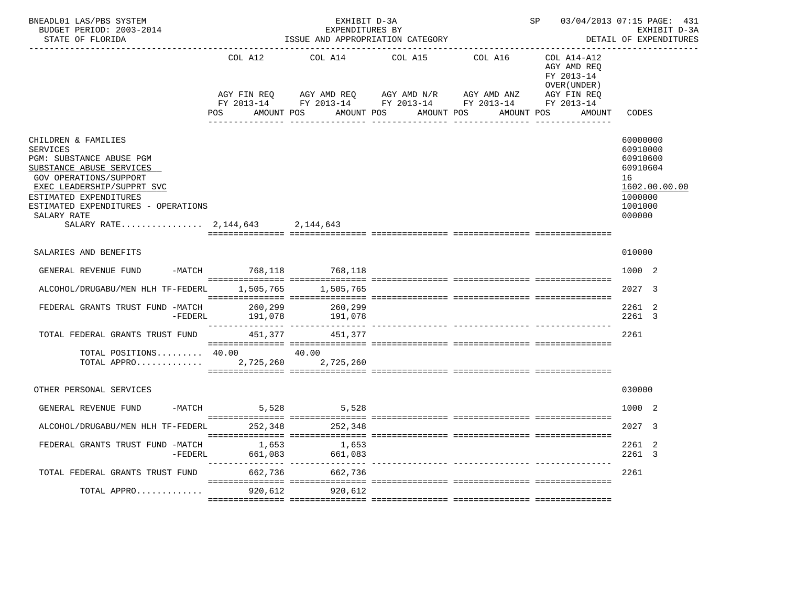| BNEADL01 LAS/PBS SYSTEM<br>BUDGET PERIOD: 2003-2014<br>STATE OF FLORIDA                                                                                                                                                                                                  |                              | EXHIBIT D-3A<br>EXPENDITURES BY<br>ISSUE AND APPROPRIATION CATEGORY | SP                                                                                                                                             | 03/04/2013 07:15 PAGE: 431<br>EXHIBIT D-3A<br>DETAIL OF EXPENDITURES |                                                                    |                                                                                                     |
|--------------------------------------------------------------------------------------------------------------------------------------------------------------------------------------------------------------------------------------------------------------------------|------------------------------|---------------------------------------------------------------------|------------------------------------------------------------------------------------------------------------------------------------------------|----------------------------------------------------------------------|--------------------------------------------------------------------|-----------------------------------------------------------------------------------------------------|
|                                                                                                                                                                                                                                                                          | COL A12<br>POS<br>AMOUNT POS | COL A14<br>AMOUNT POS                                               | COL A15<br>AGY FIN REQ AGY AMD REQ AGY AMD N/R AGY AMD ANZ AGY FIN REQ<br>FY 2013-14 FY 2013-14 FY 2013-14 FY 2013-14 FY 2013-14<br>AMOUNT POS | COL A16<br>AMOUNT POS                                                | COL A14-A12<br>AGY AMD REO<br>FY 2013-14<br>OVER (UNDER)<br>AMOUNT | CODES                                                                                               |
| CHILDREN & FAMILIES<br><b>SERVICES</b><br>PGM: SUBSTANCE ABUSE PGM<br>SUBSTANCE ABUSE SERVICES<br><b>GOV OPERATIONS/SUPPORT</b><br>EXEC LEADERSHIP/SUPPRT SVC<br>ESTIMATED EXPENDITURES<br>ESTIMATED EXPENDITURES - OPERATIONS<br>SALARY RATE<br>SALARY RATE $2,144,643$ |                              | 2,144,643                                                           |                                                                                                                                                |                                                                      |                                                                    | 60000000<br>60910000<br>60910600<br>60910604<br>16<br>1602.00.00.00<br>1000000<br>1001000<br>000000 |
| SALARIES AND BENEFITS                                                                                                                                                                                                                                                    |                              |                                                                     |                                                                                                                                                |                                                                      |                                                                    | 010000                                                                                              |
| GENERAL REVENUE FUND                                                                                                                                                                                                                                                     | -MATCH 768,118 768,118       |                                                                     |                                                                                                                                                |                                                                      |                                                                    | 1000 2                                                                                              |
| ALCOHOL/DRUGABU/MEN HLH TF-FEDERL                                                                                                                                                                                                                                        | 1,505,765                    | 1,505,765                                                           |                                                                                                                                                |                                                                      |                                                                    | 2027 3                                                                                              |
| FEDERAL GRANTS TRUST FUND -MATCH<br>-FEDERL                                                                                                                                                                                                                              | 260,299<br>191,078           | 260,299<br>191,078                                                  |                                                                                                                                                |                                                                      |                                                                    | 2261 2<br>2261 3                                                                                    |
| TOTAL FEDERAL GRANTS TRUST FUND 451,377 451,377                                                                                                                                                                                                                          |                              |                                                                     |                                                                                                                                                |                                                                      |                                                                    | 2261                                                                                                |
| TOTAL POSITIONS 40.00<br>TOTAL APPRO $\ldots \ldots \ldots \ldots$ 2,725,260                                                                                                                                                                                             |                              | 40.00<br>2,725,260                                                  |                                                                                                                                                |                                                                      |                                                                    |                                                                                                     |
| OTHER PERSONAL SERVICES                                                                                                                                                                                                                                                  |                              |                                                                     |                                                                                                                                                |                                                                      |                                                                    | 030000                                                                                              |
| GENERAL REVENUE FUND                                                                                                                                                                                                                                                     | $-MATCH$ 5,528               | 5,528                                                               |                                                                                                                                                |                                                                      |                                                                    | 1000 2                                                                                              |
| ALCOHOL/DRUGABU/MEN HLH TF-FEDERL 252,348 252,348                                                                                                                                                                                                                        |                              |                                                                     |                                                                                                                                                |                                                                      |                                                                    | 2027 3                                                                                              |
| FEDERAL GRANTS TRUST FUND -MATCH<br>$-FEDERL$                                                                                                                                                                                                                            | 1,653<br>661,083             | 1,653<br>661,083                                                    |                                                                                                                                                |                                                                      |                                                                    | 2261 2<br>2261 3                                                                                    |
| TOTAL FEDERAL GRANTS TRUST FUND                                                                                                                                                                                                                                          | 662,736                      | 662,736                                                             |                                                                                                                                                |                                                                      |                                                                    | 2261                                                                                                |
| TOTAL APPRO                                                                                                                                                                                                                                                              | 920,612                      | 920,612                                                             |                                                                                                                                                |                                                                      |                                                                    |                                                                                                     |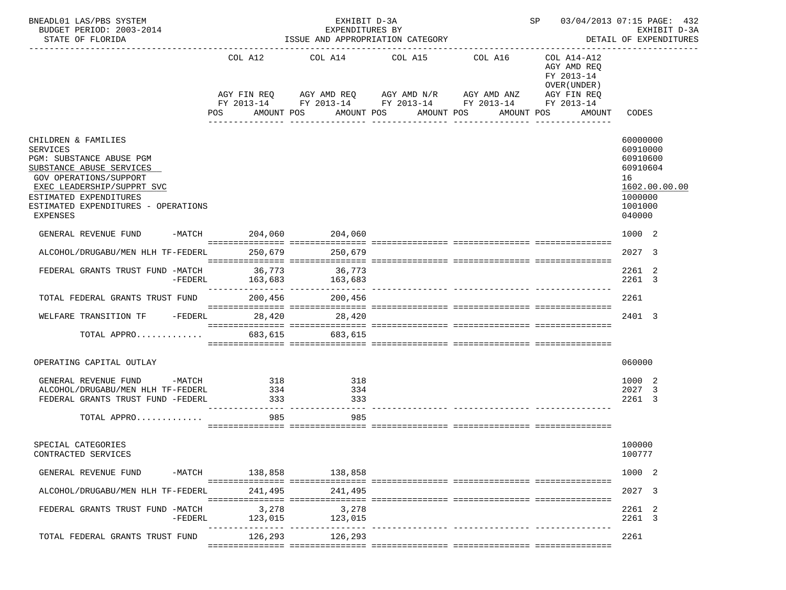| BNEADL01 LAS/PBS SYSTEM<br>BUDGET PERIOD: 2003-2014<br>STATE OF FLORIDA                                                                                                                                                                    | EXHIBIT D-3A<br>EXPENDITURES BY<br>ISSUE AND APPROPRIATION CATEGORY |                                        |                          |                                                                                                                                                  |                  | SP 03/04/2013 07:15 PAGE: 432<br>EXHIBIT D-3A<br>DETAIL OF EXPENDITURES |                                                                                                     |  |
|--------------------------------------------------------------------------------------------------------------------------------------------------------------------------------------------------------------------------------------------|---------------------------------------------------------------------|----------------------------------------|--------------------------|--------------------------------------------------------------------------------------------------------------------------------------------------|------------------|-------------------------------------------------------------------------|-----------------------------------------------------------------------------------------------------|--|
|                                                                                                                                                                                                                                            |                                                                     | COL A12                                |                          | COL A14 COL A15 COL A16<br>AGY FIN REQ AGY AMD REQ AGY AMD N/R AGY AMD ANZ AGY FIN REQ<br>FY 2013-14 FY 2013-14 FY 2013-14 FY 2013-14 FY 2013-14 |                  | COL A14-A12<br>AGY AMD REQ<br>FY 2013-14<br>OVER (UNDER)                |                                                                                                     |  |
|                                                                                                                                                                                                                                            |                                                                     | POS AMOUNT POS                         | ---------------          | AMOUNT POS AMOUNT POS<br>________________                                                                                                        | ________________ | AMOUNT POS AMOUNT<br>_______________                                    | CODES                                                                                               |  |
| CHILDREN & FAMILIES<br><b>SERVICES</b><br>PGM: SUBSTANCE ABUSE PGM<br>SUBSTANCE ABUSE SERVICES<br><b>GOV OPERATIONS/SUPPORT</b><br>EXEC LEADERSHIP/SUPPRT SVC<br>ESTIMATED EXPENDITURES<br>ESTIMATED EXPENDITURES - OPERATIONS<br>EXPENSES |                                                                     |                                        |                          |                                                                                                                                                  |                  |                                                                         | 60000000<br>60910000<br>60910600<br>60910604<br>16<br>1602.00.00.00<br>1000000<br>1001000<br>040000 |  |
| GENERAL REVENUE FUND -MATCH 204,060 204,060                                                                                                                                                                                                |                                                                     |                                        |                          |                                                                                                                                                  |                  |                                                                         | 1000 2                                                                                              |  |
| ALCOHOL/DRUGABU/MEN HLH TF-FEDERL 250.679                                                                                                                                                                                                  |                                                                     |                                        | 250,679                  |                                                                                                                                                  |                  |                                                                         | 2027 3                                                                                              |  |
| FEDERAL GRANTS TRUST FUND -MATCH 36,773 36,773                                                                                                                                                                                             |                                                                     |                                        | -FEDERL 163,683 163,683  |                                                                                                                                                  |                  |                                                                         | 2261 2<br>2261 3                                                                                    |  |
| TOTAL FEDERAL GRANTS TRUST FUND                                                                                                                                                                                                            |                                                                     |                                        | 200,456<br>200,456       |                                                                                                                                                  |                  |                                                                         | 2261                                                                                                |  |
| WELFARE TRANSITION TF - FEDERL 28,420 28,420                                                                                                                                                                                               |                                                                     |                                        |                          |                                                                                                                                                  |                  |                                                                         | 2401 3                                                                                              |  |
| TOTAL APPRO                                                                                                                                                                                                                                |                                                                     |                                        | 683,615 683,615          |                                                                                                                                                  |                  |                                                                         |                                                                                                     |  |
| OPERATING CAPITAL OUTLAY                                                                                                                                                                                                                   |                                                                     |                                        |                          |                                                                                                                                                  |                  |                                                                         | 060000                                                                                              |  |
| GENERAL REVENUE FUND -MATCH<br>ALCOHOL/DRUGABU/MEN HLH TF-FEDERL<br>FEDERAL GRANTS TRUST FUND -FEDERL<br>TOTAL APPRO                                                                                                                       |                                                                     | $\frac{318}{221}$<br>334<br>333<br>985 | 318<br>334<br>333<br>985 |                                                                                                                                                  |                  |                                                                         | 1000 2<br>2027 3<br>2261 3                                                                          |  |
| SPECIAL CATEGORIES<br>CONTRACTED SERVICES                                                                                                                                                                                                  |                                                                     |                                        |                          |                                                                                                                                                  |                  |                                                                         | 100000<br>100777                                                                                    |  |
| GENERAL REVENUE FUND                                                                                                                                                                                                                       | $-MATCH$                                                            | 138,858                                | 138,858                  |                                                                                                                                                  |                  |                                                                         | 1000 2                                                                                              |  |
| ALCOHOL/DRUGABU/MEN HLH TF-FEDERL                                                                                                                                                                                                          |                                                                     | 241,495                                | 241,495                  |                                                                                                                                                  |                  |                                                                         | 2027 3                                                                                              |  |
| FEDERAL GRANTS TRUST FUND -MATCH                                                                                                                                                                                                           | $-FEDERL$                                                           | 3,278<br>123,015                       | 3,278<br>123,015         |                                                                                                                                                  |                  |                                                                         | 2261 2<br>2261 3                                                                                    |  |
| TOTAL FEDERAL GRANTS TRUST FUND                                                                                                                                                                                                            |                                                                     | 126,293                                | 126,293                  |                                                                                                                                                  |                  |                                                                         | 2261                                                                                                |  |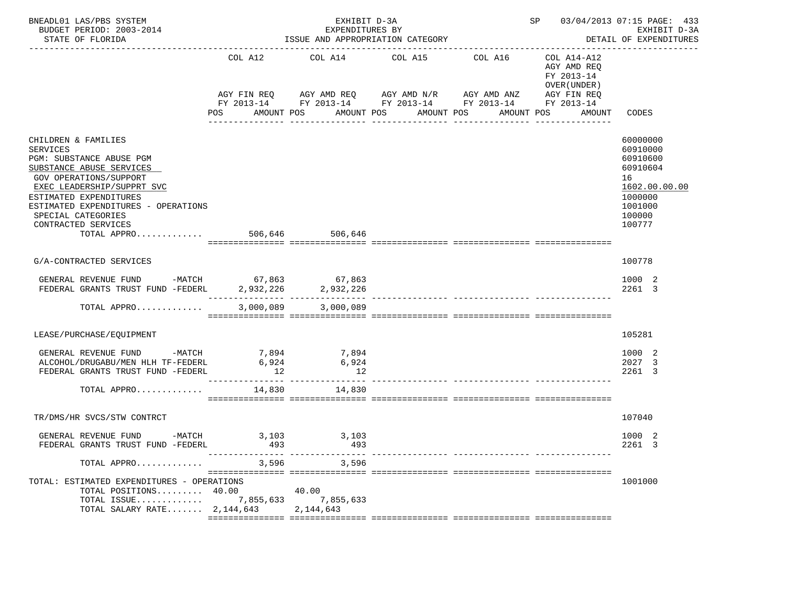| BNEADL01 LAS/PBS SYSTEM<br>BUDGET PERIOD: 2003-2014<br>STATE OF FLORIDA                                                                                                                                                                                                                      |                                         | EXHIBIT D-3A<br>EXPENDITURES BY<br>ISSUE AND APPROPRIATION CATEGORY     |                                                                                                                                              | SP 03/04/2013 07:15 PAGE: 433<br>EXHIBIT D-3A<br>DETAIL OF EXPENDITURES |                                                                                                 |                                                                                                               |
|----------------------------------------------------------------------------------------------------------------------------------------------------------------------------------------------------------------------------------------------------------------------------------------------|-----------------------------------------|-------------------------------------------------------------------------|----------------------------------------------------------------------------------------------------------------------------------------------|-------------------------------------------------------------------------|-------------------------------------------------------------------------------------------------|---------------------------------------------------------------------------------------------------------------|
|                                                                                                                                                                                                                                                                                              | COL A12<br>POS                          | COL A14<br>AMOUNT POS                                                   | COL A15<br>AGY FIN REQ 6 AGY AMD REQ 6 AGY AMD N/R 66 AGY AMD ANZ<br>FY 2013-14 FY 2013-14 FY 2013-14 FY 2013-14<br>AMOUNT POS<br>AMOUNT POS | COL A16<br>AMOUNT POS                                                   | COL A14-A12<br>AGY AMD REQ<br>FY 2013-14<br>OVER (UNDER)<br>AGY FIN REQ<br>FY 2013-14<br>AMOUNT | CODES                                                                                                         |
| CHILDREN & FAMILIES<br>SERVICES<br>PGM: SUBSTANCE ABUSE PGM<br>SUBSTANCE ABUSE SERVICES<br>GOV OPERATIONS/SUPPORT<br>EXEC LEADERSHIP/SUPPRT SVC<br>ESTIMATED EXPENDITURES<br>ESTIMATED EXPENDITURES - OPERATIONS<br>SPECIAL CATEGORIES<br>CONTRACTED SERVICES<br>TOTAL APPRO 506.646 506.646 |                                         |                                                                         |                                                                                                                                              |                                                                         |                                                                                                 | 60000000<br>60910000<br>60910600<br>60910604<br>16<br>1602.00.00.00<br>1000000<br>1001000<br>100000<br>100777 |
| G/A-CONTRACTED SERVICES                                                                                                                                                                                                                                                                      |                                         |                                                                         |                                                                                                                                              |                                                                         |                                                                                                 | 100778                                                                                                        |
| GENERAL REVENUE FUND -MATCH 67,863 67,863<br>FEDERAL GRANTS TRUST FUND -FEDERL 2,932,226 2,932,226                                                                                                                                                                                           |                                         |                                                                         |                                                                                                                                              |                                                                         |                                                                                                 | 1000 2<br>2261 3                                                                                              |
| TOTAL APPRO                                                                                                                                                                                                                                                                                  | 3,000,089                               | 3,000,089                                                               |                                                                                                                                              |                                                                         |                                                                                                 |                                                                                                               |
| LEASE/PURCHASE/EQUIPMENT                                                                                                                                                                                                                                                                     |                                         |                                                                         |                                                                                                                                              |                                                                         |                                                                                                 | 105281                                                                                                        |
| GENERAL REVENUE FUND<br>ALCOHOL/DRUGABU/MEN HLH TF-FEDERL<br>FEDERAL GRANTS TRUST FUND -FEDERL<br>TOTAL APPRO                                                                                                                                                                                | $-MATCH$ 7,894<br>6,924<br>12<br>14,830 | 7,894<br>6,924<br>12<br>_____________________________________<br>14,830 |                                                                                                                                              |                                                                         |                                                                                                 | 1000 2<br>2027 3<br>2261 3                                                                                    |
| TR/DMS/HR SVCS/STW CONTRCT                                                                                                                                                                                                                                                                   |                                         |                                                                         |                                                                                                                                              |                                                                         |                                                                                                 | 107040                                                                                                        |
| GENERAL REVENUE FUND<br>FEDERAL GRANTS TRUST FUND -FEDERL                                                                                                                                                                                                                                    | -MATCH 3,103 3,103<br>493               | 493                                                                     |                                                                                                                                              |                                                                         |                                                                                                 | 1000 2<br>2261 3                                                                                              |
| TOTAL APPRO                                                                                                                                                                                                                                                                                  |                                         | 3,596 3,596                                                             |                                                                                                                                              |                                                                         |                                                                                                 |                                                                                                               |
| TOTAL: ESTIMATED EXPENDITURES - OPERATIONS<br>TOTAL POSITIONS 40.00<br>TOTAL ISSUE 7,855,633 7,855,633<br>TOTAL SALARY RATE $2,144,643$                                                                                                                                                      |                                         | 40.00<br>2,144,643                                                      |                                                                                                                                              |                                                                         |                                                                                                 | 1001000                                                                                                       |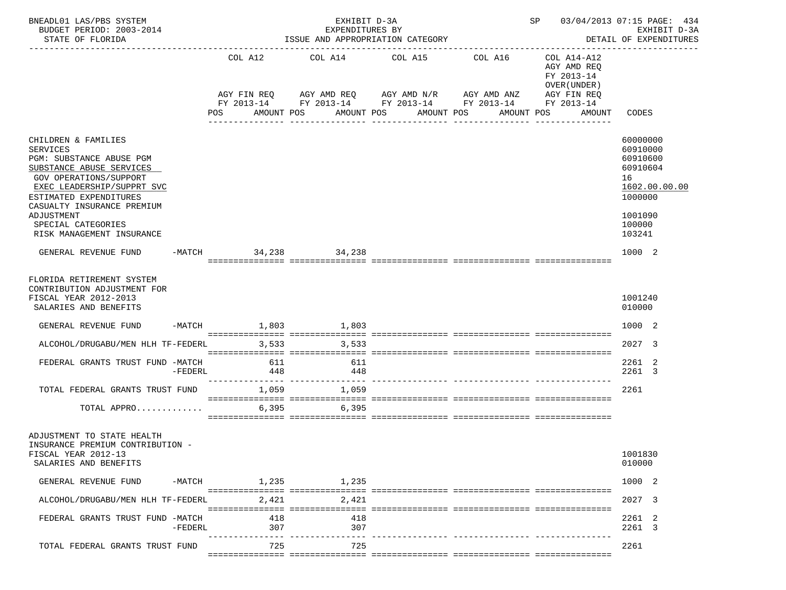| BNEADL01 LAS/PBS SYSTEM<br>BUDGET PERIOD: 2003-2014<br>STATE OF FLORIDA                                                                                                          |           |                        |            | ISSUE AND APPROPRIATION CATEGORY                                           | EXHIBIT D-3A<br>EXPENDITURES BY |                               |            |                                   |            |                                                                          |                                                               | SP 03/04/2013 07:15 PAGE: 434<br>EXHIBIT D-3A<br>DETAIL OF EXPENDITURES |
|----------------------------------------------------------------------------------------------------------------------------------------------------------------------------------|-----------|------------------------|------------|----------------------------------------------------------------------------|---------------------------------|-------------------------------|------------|-----------------------------------|------------|--------------------------------------------------------------------------|---------------------------------------------------------------|-------------------------------------------------------------------------|
|                                                                                                                                                                                  |           | COL A12                |            | COL A14 COL A15 COL A16<br>AGY FIN REQ AGY AMD REQ AGY AMD N/R AGY AMD ANZ |                                 |                               |            |                                   |            | COL A14-A12<br>AGY AMD REQ<br>FY 2013-14<br>OVER (UNDER )<br>AGY FIN REQ |                                                               |                                                                         |
|                                                                                                                                                                                  |           | POS                    |            | FY 2013-14 FY 2013-14 FY 2013-14 FY 2013-14 FY 2013-14<br>AMOUNT POS       |                                 | AMOUNT POS<br>--------------- | AMOUNT POS | -------------                     | AMOUNT POS | AMOUNT                                                                   | CODES                                                         |                                                                         |
| CHILDREN & FAMILIES<br><b>SERVICES</b><br>PGM: SUBSTANCE ABUSE PGM<br>SUBSTANCE ABUSE SERVICES<br>GOV OPERATIONS/SUPPORT<br>EXEC LEADERSHIP/SUPPRT SVC<br>ESTIMATED EXPENDITURES |           |                        |            |                                                                            |                                 |                               |            |                                   |            |                                                                          | 60000000<br>60910000<br>60910600<br>60910604<br>16<br>1000000 | 1602.00.00.00                                                           |
| CASUALTY INSURANCE PREMIUM<br>ADJUSTMENT<br>SPECIAL CATEGORIES<br>RISK MANAGEMENT INSURANCE                                                                                      |           |                        |            |                                                                            |                                 |                               |            |                                   |            |                                                                          | 1001090<br>100000<br>103241                                   |                                                                         |
| GENERAL REVENUE FUND                                                                                                                                                             |           | -MATCH 34, 238 34, 238 |            |                                                                            |                                 |                               |            |                                   |            |                                                                          | 1000 2                                                        |                                                                         |
| FLORIDA RETIREMENT SYSTEM<br>CONTRIBUTION ADJUSTMENT FOR<br>FISCAL YEAR 2012-2013<br>SALARIES AND BENEFITS                                                                       |           |                        |            |                                                                            |                                 |                               |            |                                   |            |                                                                          | 1001240<br>010000                                             |                                                                         |
| GENERAL REVENUE FUND                                                                                                                                                             |           | -MATCH 1,803 1,803     |            |                                                                            |                                 |                               |            |                                   |            |                                                                          | 1000 2                                                        |                                                                         |
| ALCOHOL/DRUGABU/MEN HLH TF-FEDERL                                                                                                                                                |           |                        |            | 3,533 3,533                                                                |                                 |                               |            |                                   |            |                                                                          | 2027 3                                                        |                                                                         |
| FEDERAL GRANTS TRUST FUND -MATCH                                                                                                                                                 | -FEDERL   |                        | 611<br>448 |                                                                            | 611<br>448                      |                               |            |                                   |            |                                                                          | 2261 2<br>2261 3                                              |                                                                         |
| TOTAL FEDERAL GRANTS TRUST FUND                                                                                                                                                  |           |                        | 1,059      | ---------------- --------------- ---                                       | 1,059                           |                               |            | _________________________________ |            |                                                                          | 2261                                                          |                                                                         |
| TOTAL APPRO                                                                                                                                                                      |           |                        | 6,395      | 6,395                                                                      |                                 |                               |            |                                   |            |                                                                          |                                                               |                                                                         |
| ADJUSTMENT TO STATE HEALTH<br>INSURANCE PREMIUM CONTRIBUTION -<br>FISCAL YEAR 2012-13<br>SALARIES AND BENEFITS                                                                   |           |                        |            |                                                                            |                                 |                               |            |                                   |            |                                                                          | 1001830<br>010000                                             |                                                                         |
| GENERAL REVENUE FUND                                                                                                                                                             |           | $-MATCH$               |            | 1,235 1,235                                                                |                                 |                               |            |                                   |            |                                                                          | 1000 2                                                        |                                                                         |
| ALCOHOL/DRUGABU/MEN HLH TF-FEDERL                                                                                                                                                |           |                        | 2,421      |                                                                            | 2,421                           |                               |            |                                   |            |                                                                          | 2027 3                                                        |                                                                         |
| FEDERAL GRANTS TRUST FUND -MATCH                                                                                                                                                 | $-FEDERL$ |                        | 418<br>307 |                                                                            | 418<br>307                      |                               |            |                                   |            |                                                                          | 2261 2<br>2261 3                                              |                                                                         |
| TOTAL FEDERAL GRANTS TRUST FUND                                                                                                                                                  |           |                        | 725        |                                                                            | 725                             |                               |            |                                   |            |                                                                          | 2261                                                          |                                                                         |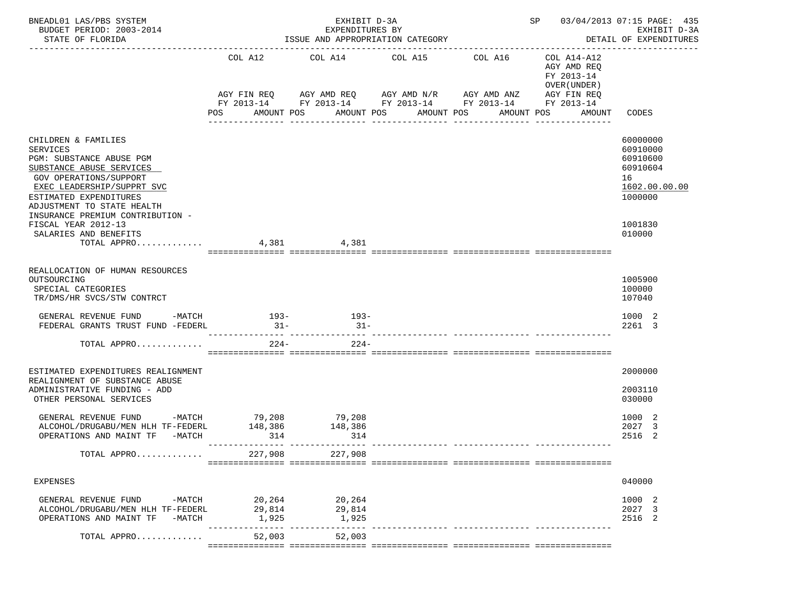| BNEADL01 LAS/PBS SYSTEM<br>BUDGET PERIOD: 2003-2014<br>STATE OF FLORIDA                                                                                                                                                                            |                           | EXHIBIT D-3A<br>EXPENDITURES BY<br>ISSUE AND APPROPRIATION CATEGORY                            |                                | SP 03/04/2013 07:15 PAGE: 435<br>EXHIBIT D-3A<br>DETAIL OF EXPENDITURES |                                                           |                                                                                |
|----------------------------------------------------------------------------------------------------------------------------------------------------------------------------------------------------------------------------------------------------|---------------------------|------------------------------------------------------------------------------------------------|--------------------------------|-------------------------------------------------------------------------|-----------------------------------------------------------|--------------------------------------------------------------------------------|
|                                                                                                                                                                                                                                                    |                           | COL A12 COL A14 COL A15 COL A16<br>AGY FIN REQ AGY AMD REQ AGY AMD N/R AGY AMD ANZ AGY FIN REQ |                                |                                                                         | COL A14-A12<br>AGY AMD REQ<br>FY 2013-14<br>OVER (UNDER ) |                                                                                |
|                                                                                                                                                                                                                                                    | POS                       | FY 2013-14 FY 2013-14 FY 2013-14 FY 2013-14 FY 2013-14<br>AMOUNT POS                           | AMOUNT POS<br>________________ | AMOUNT POS<br>________________                                          | AMOUNT POS<br>AMOUNT                                      | CODES                                                                          |
| CHILDREN & FAMILIES<br><b>SERVICES</b><br>PGM: SUBSTANCE ABUSE PGM<br>SUBSTANCE ABUSE SERVICES<br>GOV OPERATIONS/SUPPORT<br>EXEC LEADERSHIP/SUPPRT SVC<br>ESTIMATED EXPENDITURES<br>ADJUSTMENT TO STATE HEALTH<br>INSURANCE PREMIUM CONTRIBUTION - |                           |                                                                                                |                                |                                                                         |                                                           | 60000000<br>60910000<br>60910600<br>60910604<br>16<br>1602.00.00.00<br>1000000 |
| FISCAL YEAR 2012-13<br>SALARIES AND BENEFITS<br>TOTAL APPRO 4,381 4,381                                                                                                                                                                            |                           |                                                                                                |                                |                                                                         |                                                           | 1001830<br>010000                                                              |
| REALLOCATION OF HUMAN RESOURCES<br>OUTSOURCING<br>SPECIAL CATEGORIES<br>TR/DMS/HR SVCS/STW CONTRCT                                                                                                                                                 |                           |                                                                                                |                                |                                                                         |                                                           | 1005900<br>100000<br>107040                                                    |
| GENERAL REVENUE FUND -MATCH 193- 193-<br>FEDERAL GRANTS TRUST FUND -FEDERL                                                                                                                                                                         | $31 -$                    | $31-$                                                                                          |                                |                                                                         |                                                           | 1000 2<br>2261 3                                                               |
| TOTAL APPRO                                                                                                                                                                                                                                        | $224-$                    | $224-$                                                                                         |                                |                                                                         |                                                           |                                                                                |
| ESTIMATED EXPENDITURES REALIGNMENT<br>REALIGNMENT OF SUBSTANCE ABUSE<br>ADMINISTRATIVE FUNDING - ADD<br>OTHER PERSONAL SERVICES                                                                                                                    |                           |                                                                                                |                                |                                                                         |                                                           | 2000000<br>2003110<br>030000                                                   |
| GENERAL REVENUE FUND -MATCH 79,208<br>ALCOHOL/DRUGABU/MEN HLH TF-FEDERL<br>OPERATIONS AND MAINT TF -MATCH                                                                                                                                          | 148,386<br>314            | 79,208<br>148,386<br>314                                                                       |                                |                                                                         |                                                           | 1000 2<br>2027<br>-3<br>2516 2                                                 |
| TOTAL APPRO                                                                                                                                                                                                                                        | 227,908                   | 227,908                                                                                        |                                |                                                                         |                                                           |                                                                                |
| <b>EXPENSES</b>                                                                                                                                                                                                                                    |                           |                                                                                                |                                |                                                                         |                                                           | 040000                                                                         |
| GENERAL REVENUE FUND<br>$-MATCH$<br>ALCOHOL/DRUGABU/MEN HLH TF-FEDERL<br>OPERATIONS AND MAINT TF<br>$-MATCH$                                                                                                                                       | 20,264<br>29,814<br>1,925 | 20,264<br>29,814<br>1,925                                                                      |                                |                                                                         |                                                           | 1000 2<br>2027 3<br>2516 2                                                     |
| TOTAL APPRO                                                                                                                                                                                                                                        |                           | 52,003<br>52,003                                                                               |                                |                                                                         |                                                           |                                                                                |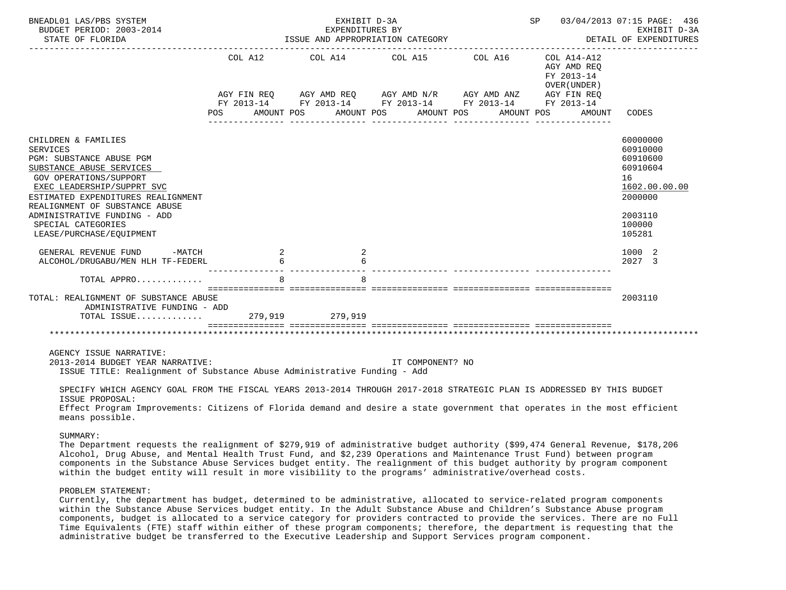| BNEADL01 LAS/PBS SYSTEM<br>BUDGET PERIOD: 2003-2014<br>STATE OF FLORIDA                                                                                                                                                                                                                                                                              |   | EXHIBIT D-3A<br>EXPENDITURES BY<br>ISSUE AND APPROPRIATION CATEGORY | SP 03/04/2013 07:15 PAGE: 436<br>EXHIBIT D-3A<br>DETAIL OF EXPENDITURES                                    |  |                                           |                                                                                                                         |
|------------------------------------------------------------------------------------------------------------------------------------------------------------------------------------------------------------------------------------------------------------------------------------------------------------------------------------------------------|---|---------------------------------------------------------------------|------------------------------------------------------------------------------------------------------------|--|-------------------------------------------|-------------------------------------------------------------------------------------------------------------------------|
|                                                                                                                                                                                                                                                                                                                                                      |   |                                                                     | COL A12 COL A14 COL A15 COL A16 COL A14-A12<br>AGY FIN REQ AGY AMD REQ AGY AMD N/R AGY AMD ANZ AGY FIN REQ |  | AGY AMD REO<br>FY 2013-14<br>OVER (UNDER) |                                                                                                                         |
|                                                                                                                                                                                                                                                                                                                                                      |   |                                                                     | FY 2013-14 FY 2013-14 FY 2013-14 FY 2013-14 FY 2013-14<br>POS AMOUNT POS AMOUNT POS AMOUNT POS             |  | AMOUNT POS<br>AMOUNT                      | CODES                                                                                                                   |
|                                                                                                                                                                                                                                                                                                                                                      |   |                                                                     |                                                                                                            |  |                                           |                                                                                                                         |
| CHILDREN & FAMILIES<br><b>SERVICES</b><br>PGM: SUBSTANCE ABUSE PGM<br>SUBSTANCE ABUSE SERVICES<br>GOV OPERATIONS/SUPPORT<br>EXEC LEADERSHIP/SUPPRT SVC<br>ESTIMATED EXPENDITURES REALIGNMENT<br>REALIGNMENT OF SUBSTANCE ABUSE<br>ADMINISTRATIVE FUNDING - ADD<br>SPECIAL CATEGORIES<br>LEASE/PURCHASE/EOUIPMENT<br>GENERAL REVENUE FUND<br>$-MATCH$ |   | $\overline{\phantom{a}}$                                            |                                                                                                            |  |                                           | 60000000<br>60910000<br>60910600<br>60910604<br>16<br>1602.00.00.00<br>2000000<br>2003110<br>100000<br>105281<br>1000 2 |
| ALCOHOL/DRUGABU/MEN HLH TF-FEDERL                                                                                                                                                                                                                                                                                                                    |   |                                                                     |                                                                                                            |  |                                           | 2027 3                                                                                                                  |
| TOTAL APPRO                                                                                                                                                                                                                                                                                                                                          | 8 | R                                                                   |                                                                                                            |  |                                           |                                                                                                                         |
| TOTAL: REALIGNMENT OF SUBSTANCE ABUSE<br>ADMINISTRATIVE FUNDING - ADD<br>TOTAL ISSUE 279,919 279,919                                                                                                                                                                                                                                                 |   |                                                                     | <u> soosoosoosoos soosoosoosoosa soosoosoosoosa soosoosoosoosa aseosoosoosoos</u>                          |  |                                           | 2003110                                                                                                                 |
|                                                                                                                                                                                                                                                                                                                                                      |   |                                                                     |                                                                                                            |  |                                           |                                                                                                                         |
| AGENCY ISSUE NARRATIVE:<br>2013-2014 BUDGET YEAR NARRATIVE:<br>ISSUE TITLE: Realignment of Substance Abuse Administrative Funding - Add                                                                                                                                                                                                              |   |                                                                     | IT COMPONENT? NO                                                                                           |  |                                           |                                                                                                                         |

 SPECIFY WHICH AGENCY GOAL FROM THE FISCAL YEARS 2013-2014 THROUGH 2017-2018 STRATEGIC PLAN IS ADDRESSED BY THIS BUDGET ISSUE PROPOSAL: Effect Program Improvements: Citizens of Florida demand and desire a state government that operates in the most efficient

means possible.

SUMMARY:

 The Department requests the realignment of \$279,919 of administrative budget authority (\$99,474 General Revenue, \$178,206 Alcohol, Drug Abuse, and Mental Health Trust Fund, and \$2,239 Operations and Maintenance Trust Fund) between program components in the Substance Abuse Services budget entity. The realignment of this budget authority by program component within the budget entity will result in more visibility to the programs' administrative/overhead costs.

# PROBLEM STATEMENT:

 Currently, the department has budget, determined to be administrative, allocated to service-related program components within the Substance Abuse Services budget entity. In the Adult Substance Abuse and Children's Substance Abuse program components, budget is allocated to a service category for providers contracted to provide the services. There are no Full Time Equivalents (FTE) staff within either of these program components; therefore, the department is requesting that the administrative budget be transferred to the Executive Leadership and Support Services program component.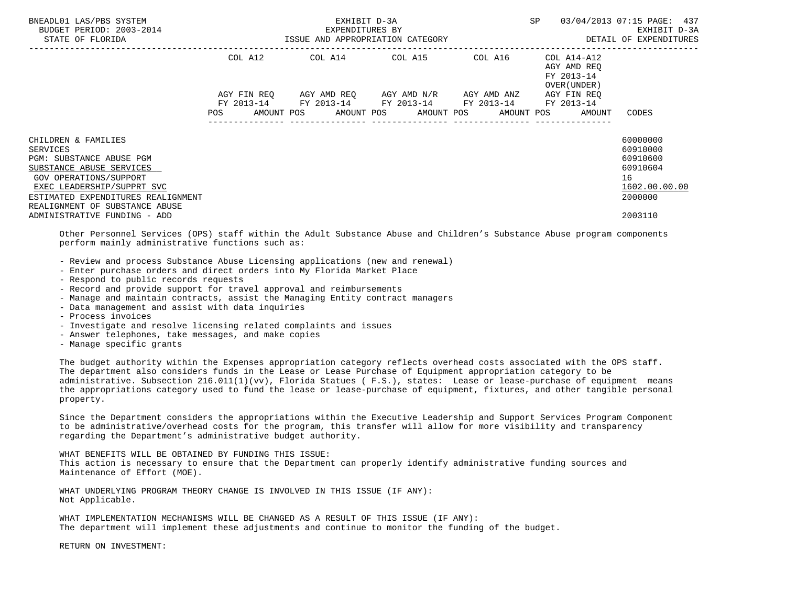| BNEADL01 LAS/PBS SYSTEM<br>BUDGET PERIOD: 2003-2014<br>STATE OF FLORIDA                                                      |         | EXHIBIT D-3A<br>EXPENDITURES BY<br>ISSUE AND APPROPRIATION CATEGORY | SP                                                                                                        | 03/04/2013 07:15 PAGE: 437<br>EXHIBIT D-3A<br>DETAIL OF EXPENDITURES |                                                        |                                |
|------------------------------------------------------------------------------------------------------------------------------|---------|---------------------------------------------------------------------|-----------------------------------------------------------------------------------------------------------|----------------------------------------------------------------------|--------------------------------------------------------|--------------------------------|
|                                                                                                                              | COL A12 |                                                                     |                                                                                                           |                                                                      | AGY AMD REO<br>FY 2013-14<br>OVER (UNDER)              |                                |
|                                                                                                                              |         |                                                                     | AGY FIN REO AGY AMD REO AGY AMD N/R AGY AMD ANZ<br>FY 2013-14 FY 2013-14 FY 2013-14 FY 2013-14 FY 2013-14 |                                                                      | AGY FIN REO                                            |                                |
|                                                                                                                              |         |                                                                     |                                                                                                           |                                                                      | POS AMOUNT POS AMOUNT POS AMOUNT POS AMOUNT POS AMOUNT | CODES                          |
| CHILDREN & FAMILIES                                                                                                          |         |                                                                     |                                                                                                           |                                                                      |                                                        | 60000000                       |
| SERVICES                                                                                                                     |         |                                                                     |                                                                                                           |                                                                      |                                                        | 60910000                       |
| PGM: SUBSTANCE ABUSE PGM                                                                                                     |         |                                                                     |                                                                                                           |                                                                      |                                                        | 60910600                       |
| SUBSTANCE ABUSE SERVICES                                                                                                     |         |                                                                     |                                                                                                           |                                                                      |                                                        | 60910604                       |
| GOV OPERATIONS/SUPPORT<br>EXEC LEADERSHIP/SUPPRT SVC<br>ESTIMATED EXPENDITURES REALIGNMENT<br>REALIGNMENT OF SUBSTANCE ABUSE |         |                                                                     |                                                                                                           |                                                                      |                                                        | 16<br>1602.00.00.00<br>2000000 |
| ADMINISTRATIVE FUNDING - ADD                                                                                                 |         |                                                                     |                                                                                                           |                                                                      |                                                        | 2003110                        |

 Other Personnel Services (OPS) staff within the Adult Substance Abuse and Children's Substance Abuse program components perform mainly administrative functions such as:

- Review and process Substance Abuse Licensing applications (new and renewal)
- Enter purchase orders and direct orders into My Florida Market Place
- Respond to public records requests
- Record and provide support for travel approval and reimbursements
- Manage and maintain contracts, assist the Managing Entity contract managers
- Data management and assist with data inquiries
- Process invoices
- Investigate and resolve licensing related complaints and issues
- Answer telephones, take messages, and make copies
- Manage specific grants

 The budget authority within the Expenses appropriation category reflects overhead costs associated with the OPS staff. The department also considers funds in the Lease or Lease Purchase of Equipment appropriation category to be administrative. Subsection 216.011(1)(vv), Florida Statues ( F.S.), states: Lease or lease-purchase of equipment means the appropriations category used to fund the lease or lease-purchase of equipment, fixtures, and other tangible personal property.

 Since the Department considers the appropriations within the Executive Leadership and Support Services Program Component to be administrative/overhead costs for the program, this transfer will allow for more visibility and transparency regarding the Department's administrative budget authority.

 WHAT BENEFITS WILL BE OBTAINED BY FUNDING THIS ISSUE: This action is necessary to ensure that the Department can properly identify administrative funding sources and Maintenance of Effort (MOE).

 WHAT UNDERLYING PROGRAM THEORY CHANGE IS INVOLVED IN THIS ISSUE (IF ANY): Not Applicable.

 WHAT IMPLEMENTATION MECHANISMS WILL BE CHANGED AS A RESULT OF THIS ISSUE (IF ANY): The department will implement these adjustments and continue to monitor the funding of the budget.

RETURN ON INVESTMENT: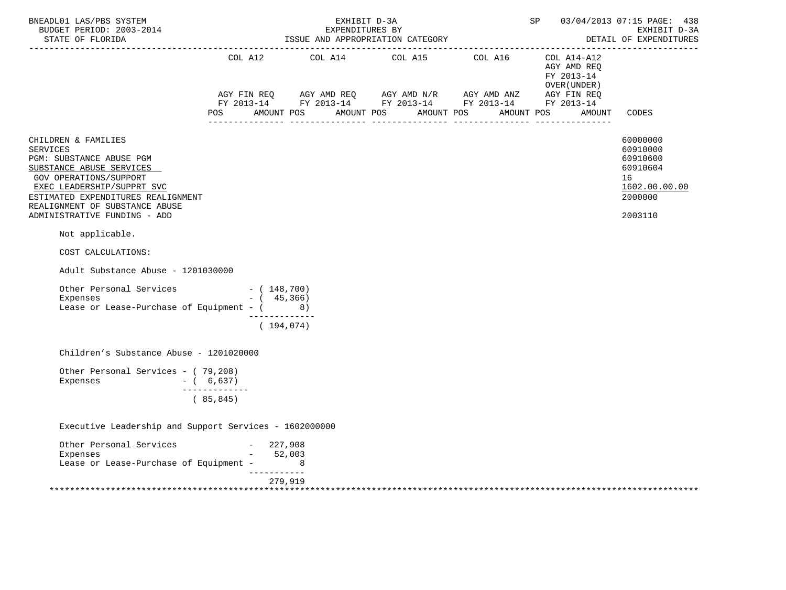| BNEADL01 LAS/PBS SYSTEM<br>BUDGET PERIOD: 2003-2014<br>STATE OF FLORIDA                                                                                                                                                                                               |               |                                              | EXHIBIT D-3A<br>EXPENDITURES BY<br>ISSUE AND APPROPRIATION CATEGORY | 03/04/2013 07:15 PAGE: 438<br><b>SP</b><br>EXHIBIT D-3A<br>DETAIL OF EXPENDITURES                                                                                                                                                                                                                                                                                         |  |                                             |                                                                                           |
|-----------------------------------------------------------------------------------------------------------------------------------------------------------------------------------------------------------------------------------------------------------------------|---------------|----------------------------------------------|---------------------------------------------------------------------|---------------------------------------------------------------------------------------------------------------------------------------------------------------------------------------------------------------------------------------------------------------------------------------------------------------------------------------------------------------------------|--|---------------------------------------------|-------------------------------------------------------------------------------------------|
|                                                                                                                                                                                                                                                                       |               |                                              |                                                                     | COL A12 COL A14 COL A15 COL A16 COL A14-A12                                                                                                                                                                                                                                                                                                                               |  | AGY AMD REQ<br>FY 2013-14<br>OVER ( UNDER ) |                                                                                           |
|                                                                                                                                                                                                                                                                       | <b>POS</b>    | AMOUNT POS                                   |                                                                     | $\begin{array}{lllllll} \text{AGY}\ \text{FIN}\ \text{REQ} & \text{AGY}\ \text{AMD}\ \text{REQ} & \text{AGY}\ \text{AMD}\ \text{N/R} & \text{AGY}\ \text{AMD}\ \text{ANZ} & \text{AGY}\ \text{FIN}\ \text{REQ} \\ \text{FY}\ 2013\text{--}14 & \text{FY}\ 2013\text{--}14 & \text{FY}\ 2013\text{--}14 & \text{FY}\ 2013\text{--}14 \end{array}$<br>AMOUNT POS AMOUNT POS |  | AMOUNT POS                                  | AMOUNT CODES                                                                              |
| CHILDREN & FAMILIES<br><b>SERVICES</b><br>PGM: SUBSTANCE ABUSE PGM<br>SUBSTANCE ABUSE SERVICES<br><b>GOV OPERATIONS/SUPPORT</b><br>EXEC LEADERSHIP/SUPPRT SVC<br>ESTIMATED EXPENDITURES REALIGNMENT<br>REALIGNMENT OF SUBSTANCE ABUSE<br>ADMINISTRATIVE FUNDING - ADD |               |                                              |                                                                     |                                                                                                                                                                                                                                                                                                                                                                           |  |                                             | 60000000<br>60910000<br>60910600<br>60910604<br>16<br>1602.00.00.00<br>2000000<br>2003110 |
| Not applicable.                                                                                                                                                                                                                                                       |               |                                              |                                                                     |                                                                                                                                                                                                                                                                                                                                                                           |  |                                             |                                                                                           |
| COST CALCULATIONS:                                                                                                                                                                                                                                                    |               |                                              |                                                                     |                                                                                                                                                                                                                                                                                                                                                                           |  |                                             |                                                                                           |
| Adult Substance Abuse - 1201030000                                                                                                                                                                                                                                    |               |                                              |                                                                     |                                                                                                                                                                                                                                                                                                                                                                           |  |                                             |                                                                                           |
| Other Personal Services - (148,700)<br>Expenses<br>Lease or Lease-Purchase of Equipment - $($ 8)                                                                                                                                                                      |               | $-$ ( 45,366)<br>_____________<br>(194, 074) |                                                                     |                                                                                                                                                                                                                                                                                                                                                                           |  |                                             |                                                                                           |
| Children's Substance Abuse - 1201020000                                                                                                                                                                                                                               |               |                                              |                                                                     |                                                                                                                                                                                                                                                                                                                                                                           |  |                                             |                                                                                           |
| Other Personal Services - (79,208)<br>Expenses<br>$-$ ( 6,637)                                                                                                                                                                                                        | ------------- |                                              |                                                                     |                                                                                                                                                                                                                                                                                                                                                                           |  |                                             |                                                                                           |
|                                                                                                                                                                                                                                                                       | (85, 845)     |                                              |                                                                     |                                                                                                                                                                                                                                                                                                                                                                           |  |                                             |                                                                                           |
| Executive Leadership and Support Services - 1602000000                                                                                                                                                                                                                |               |                                              |                                                                     |                                                                                                                                                                                                                                                                                                                                                                           |  |                                             |                                                                                           |
| Other Personal Services - 227,908<br>Expenses - 52,003<br>Lease or Lease-Purchase of Equipment - 8                                                                                                                                                                    |               |                                              |                                                                     |                                                                                                                                                                                                                                                                                                                                                                           |  |                                             |                                                                                           |
|                                                                                                                                                                                                                                                                       |               | ___________<br>279,919                       |                                                                     |                                                                                                                                                                                                                                                                                                                                                                           |  |                                             |                                                                                           |
|                                                                                                                                                                                                                                                                       |               |                                              |                                                                     |                                                                                                                                                                                                                                                                                                                                                                           |  |                                             |                                                                                           |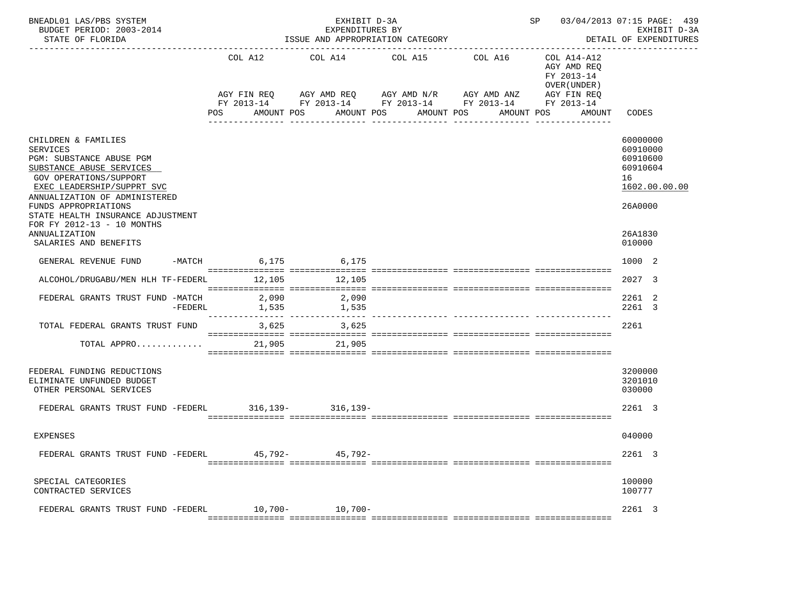| BNEADL01 LAS/PBS SYSTEM<br>BUDGET PERIOD: 2003-2014<br>STATE OF FLORIDA                                                                                                                                                                                                                                                             |           | EXHIBIT D-3A<br>EXPENDITURES BY<br>ISSUE AND APPROPRIATION CATEGORY                     |  |            |                                                                        |                        |                                 |            |                       | SP 03/04/2013 07:15 PAGE: 439<br>EXHIBIT D-3A<br>DETAIL OF EXPENDITURES |            |                                                                     |                                                                                                     |  |
|-------------------------------------------------------------------------------------------------------------------------------------------------------------------------------------------------------------------------------------------------------------------------------------------------------------------------------------|-----------|-----------------------------------------------------------------------------------------|--|------------|------------------------------------------------------------------------|------------------------|---------------------------------|------------|-----------------------|-------------------------------------------------------------------------|------------|---------------------------------------------------------------------|-----------------------------------------------------------------------------------------------------|--|
|                                                                                                                                                                                                                                                                                                                                     |           | COL A12<br>AGY FIN REQ<br>FY 2013-14 FY 2013-14 FY 2013-14 FY 2013-14 FY 2013-14<br>POS |  | AMOUNT POS | COL A14<br>AGY AMD REQ      AGY AMD N/R      AGY AMD ANZ<br>AMOUNT POS | COL A15<br>----------- | AMOUNT POS                      | ---------- | COL A16<br>AMOUNT POS |                                                                         | FY 2013-14 | COL A14-A12<br>AGY AMD REQ<br>OVER (UNDER)<br>AGY FIN REQ<br>AMOUNT | CODES                                                                                               |  |
| CHILDREN & FAMILIES<br><b>SERVICES</b><br>PGM: SUBSTANCE ABUSE PGM<br>SUBSTANCE ABUSE SERVICES<br><b>GOV OPERATIONS/SUPPORT</b><br>EXEC LEADERSHIP/SUPPRT SVC<br>ANNUALIZATION OF ADMINISTERED<br>FUNDS APPROPRIATIONS<br>STATE HEALTH INSURANCE ADJUSTMENT<br>FOR FY 2012-13 - 10 MONTHS<br>ANNUALIZATION<br>SALARIES AND BENEFITS |           |                                                                                         |  |            |                                                                        |                        |                                 |            |                       |                                                                         |            |                                                                     | 60000000<br>60910000<br>60910600<br>60910604<br>16<br>1602.00.00.00<br>26A0000<br>26A1830<br>010000 |  |
| GENERAL REVENUE FUND                                                                                                                                                                                                                                                                                                                |           | -MATCH 6,175 6,175                                                                      |  |            |                                                                        |                        |                                 |            |                       |                                                                         |            |                                                                     | 1000 2                                                                                              |  |
| ALCOHOL/DRUGABU/MEN HLH TF-FEDERL 12,105                                                                                                                                                                                                                                                                                            |           |                                                                                         |  |            | 12,105                                                                 |                        |                                 |            |                       |                                                                         |            |                                                                     | 2027 3                                                                                              |  |
| FEDERAL GRANTS TRUST FUND -MATCH                                                                                                                                                                                                                                                                                                    | $-FEDERL$ | 2,090<br>1,535                                                                          |  |            | 2,090<br>1,535                                                         |                        | ___________ ________________ __ |            |                       |                                                                         |            |                                                                     | 2261 2<br>2261 3                                                                                    |  |
| TOTAL FEDERAL GRANTS TRUST FUND<br>TOTAL APPRO                                                                                                                                                                                                                                                                                      |           |                                                                                         |  |            | 3,625 3,625<br>21,905 21,905                                           |                        |                                 |            |                       |                                                                         |            |                                                                     | 2261                                                                                                |  |
| FEDERAL FUNDING REDUCTIONS<br>ELIMINATE UNFUNDED BUDGET<br>OTHER PERSONAL SERVICES                                                                                                                                                                                                                                                  |           |                                                                                         |  |            |                                                                        |                        |                                 |            |                       |                                                                         |            |                                                                     | 3200000<br>3201010<br>030000                                                                        |  |
| FEDERAL GRANTS TRUST FUND -FEDERL                                                                                                                                                                                                                                                                                                   |           |                                                                                         |  |            | $316, 139 - 316, 139 -$                                                |                        |                                 |            |                       |                                                                         |            |                                                                     | 2261 3                                                                                              |  |
| EXPENSES                                                                                                                                                                                                                                                                                                                            |           |                                                                                         |  |            |                                                                        |                        |                                 |            |                       |                                                                         |            |                                                                     | 040000                                                                                              |  |
| FEDERAL GRANTS TRUST FUND -FEDERL                                                                                                                                                                                                                                                                                                   |           | 45,792-                                                                                 |  |            | 45,792-                                                                |                        |                                 |            |                       |                                                                         |            |                                                                     | 2261 3                                                                                              |  |
| SPECIAL CATEGORIES<br>CONTRACTED SERVICES                                                                                                                                                                                                                                                                                           |           |                                                                                         |  |            |                                                                        |                        |                                 |            |                       |                                                                         |            |                                                                     | 100000<br>100777                                                                                    |  |
| FEDERAL GRANTS TRUST FUND -FEDERL                                                                                                                                                                                                                                                                                                   |           | $10,700-$                                                                               |  |            | $10,700-$                                                              |                        |                                 |            |                       |                                                                         |            |                                                                     | 2261 3                                                                                              |  |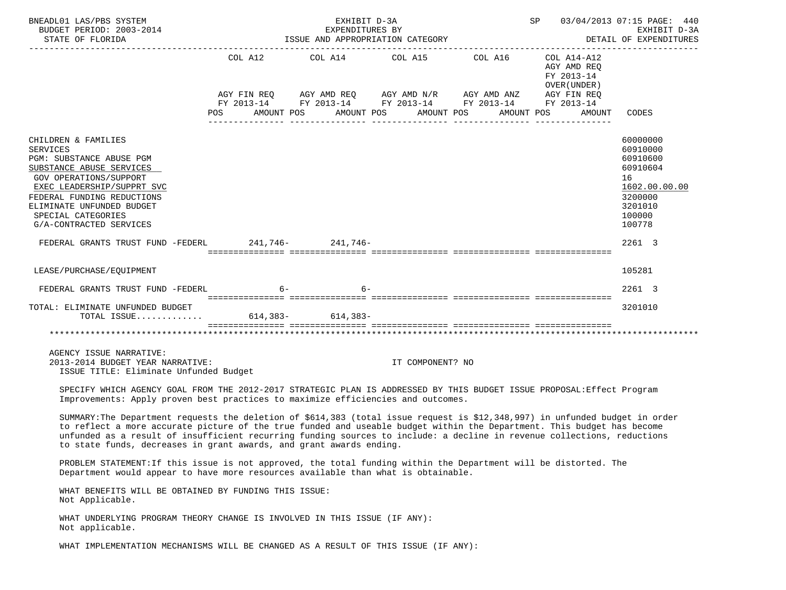| BNEADL01 LAS/PBS SYSTEM<br>BUDGET PERIOD: 2003-2014<br>STATE OF FLORIDA                                                                                                                                                                                                                                                                                                                                                                                  |                           | EXHIBIT D-3A<br>EXPENDITURES BY<br>ISSUE AND APPROPRIATION CATEGORY | SP                                                           | 03/04/2013 07:15 PAGE: 440<br>EXHIBIT D-3A<br>DETAIL OF EXPENDITURES |                                                                    |                                                                                                               |
|----------------------------------------------------------------------------------------------------------------------------------------------------------------------------------------------------------------------------------------------------------------------------------------------------------------------------------------------------------------------------------------------------------------------------------------------------------|---------------------------|---------------------------------------------------------------------|--------------------------------------------------------------|----------------------------------------------------------------------|--------------------------------------------------------------------|---------------------------------------------------------------------------------------------------------------|
|                                                                                                                                                                                                                                                                                                                                                                                                                                                          | COL A12<br>POS AMOUNT POS |                                                                     | COL A14 COL A15 COL A16 COL A14-A12<br>AMOUNT POS AMOUNT POS |                                                                      | AGY AMD REQ<br>FY 2013-14<br>OVER (UNDER )<br>AMOUNT POS<br>AMOUNT | CODES                                                                                                         |
| CHILDREN & FAMILIES<br><b>SERVICES</b><br>PGM: SUBSTANCE ABUSE PGM<br>SUBSTANCE ABUSE SERVICES<br><b>GOV OPERATIONS/SUPPORT</b><br>EXEC LEADERSHIP/SUPPRT SVC<br>FEDERAL FUNDING REDUCTIONS<br>ELIMINATE UNFUNDED BUDGET<br>SPECIAL CATEGORIES<br>G/A-CONTRACTED SERVICES                                                                                                                                                                                |                           |                                                                     |                                                              |                                                                      |                                                                    | 60000000<br>60910000<br>60910600<br>60910604<br>16<br>1602.00.00.00<br>3200000<br>3201010<br>100000<br>100778 |
| FEDERAL GRANTS TRUST FUND -FEDERL 241,746- 241,746-                                                                                                                                                                                                                                                                                                                                                                                                      |                           |                                                                     |                                                              |                                                                      |                                                                    | 2261 3                                                                                                        |
| LEASE/PURCHASE/EQUIPMENT                                                                                                                                                                                                                                                                                                                                                                                                                                 |                           |                                                                     |                                                              |                                                                      |                                                                    | 105281                                                                                                        |
| FEDERAL GRANTS TRUST FUND -FEDERL 6-                                                                                                                                                                                                                                                                                                                                                                                                                     |                           | $6-$                                                                |                                                              |                                                                      |                                                                    | 2261 3                                                                                                        |
| TOTAL: ELIMINATE UNFUNDED BUDGET<br>TOTAL ISSUE 614,383- 614,383-                                                                                                                                                                                                                                                                                                                                                                                        |                           |                                                                     |                                                              |                                                                      |                                                                    | 3201010                                                                                                       |
|                                                                                                                                                                                                                                                                                                                                                                                                                                                          |                           |                                                                     |                                                              |                                                                      |                                                                    |                                                                                                               |
| AGENCY ISSUE NARRATIVE:<br>2013-2014 BUDGET YEAR NARRATIVE:<br>ISSUE TITLE: Eliminate Unfunded Budget                                                                                                                                                                                                                                                                                                                                                    |                           |                                                                     | IT COMPONENT? NO                                             |                                                                      |                                                                    |                                                                                                               |
| SPECIFY WHICH AGENCY GOAL FROM THE 2012-2017 STRATEGIC PLAN IS ADDRESSED BY THIS BUDGET ISSUE PROPOSAL: Effect Program<br>Improvements: Apply proven best practices to maximize efficiencies and outcomes.                                                                                                                                                                                                                                               |                           |                                                                     |                                                              |                                                                      |                                                                    |                                                                                                               |
| SUMMARY: The Department requests the deletion of \$614,383 (total issue request is \$12,348,997) in unfunded budget in order<br>to reflect a more accurate picture of the true funded and useable budget within the Department. This budget has become<br>unfunded as a result of insufficient recurring funding sources to include: a decline in revenue collections, reductions<br>to state funds, decreases in grant awards, and grant awards ending. |                           |                                                                     |                                                              |                                                                      |                                                                    |                                                                                                               |
| PROBLEM STATEMENT: If this issue is not approved, the total funding within the Department will be distorted. The<br>Department would appear to have more resources available than what is obtainable.                                                                                                                                                                                                                                                    |                           |                                                                     |                                                              |                                                                      |                                                                    |                                                                                                               |
| WHAT BENEFITS WILL BE OBTAINED BY FUNDING THIS ISSUE:<br>Not Applicable.                                                                                                                                                                                                                                                                                                                                                                                 |                           |                                                                     |                                                              |                                                                      |                                                                    |                                                                                                               |
| WHAT UNDERLYING PROGRAM THEORY CHANGE IS INVOLVED IN THIS ISSUE (IF ANY):<br>Not applicable.                                                                                                                                                                                                                                                                                                                                                             |                           |                                                                     |                                                              |                                                                      |                                                                    |                                                                                                               |
| WHAT IMPLEMENTATION MECHANISMS WILL BE CHANGED AS A RESULT OF THIS ISSUE (IF ANY):                                                                                                                                                                                                                                                                                                                                                                       |                           |                                                                     |                                                              |                                                                      |                                                                    |                                                                                                               |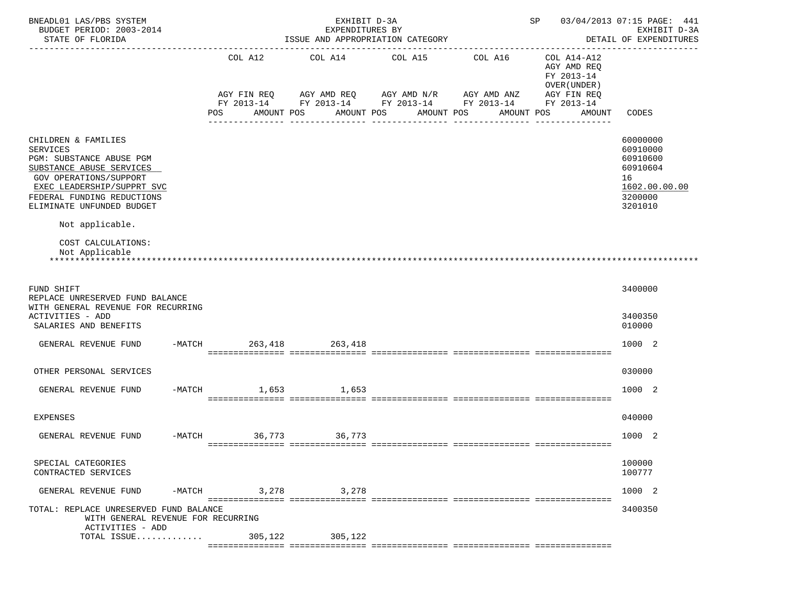| BNEADL01 LAS/PBS SYSTEM<br>BUDGET PERIOD: 2003-2014<br>STATE OF FLORIDA                                                                                                                                           |        |                        | EXHIBIT D-3A<br>EXPENDITURES BY | ISSUE AND APPROPRIATION CATEGORY                                                            |                                | SP                                                                      | 03/04/2013 07:15 PAGE: 441<br>EXHIBIT D-3A<br>DETAIL OF EXPENDITURES                      |
|-------------------------------------------------------------------------------------------------------------------------------------------------------------------------------------------------------------------|--------|------------------------|---------------------------------|---------------------------------------------------------------------------------------------|--------------------------------|-------------------------------------------------------------------------|-------------------------------------------------------------------------------------------|
|                                                                                                                                                                                                                   |        | COL A12<br>AGY FIN REQ | COL A14                         | COL A15<br>AGY AMD REQ AGY AMD N/R AGY AMD ANZ                                              | COL A16                        | COL A14-A12<br>AGY AMD REQ<br>FY 2013-14<br>OVER (UNDER)<br>AGY FIN REQ |                                                                                           |
|                                                                                                                                                                                                                   |        | POS                    | AMOUNT POS                      | FY 2013-14 FY 2013-14 FY 2013-14 FY 2013-14<br>AMOUNT POS<br>AMOUNT POS<br>________________ | AMOUNT POS<br>---------------- | FY 2013-14<br>AMOUNT                                                    | CODES                                                                                     |
| CHILDREN & FAMILIES<br><b>SERVICES</b><br>PGM: SUBSTANCE ABUSE PGM<br>SUBSTANCE ABUSE SERVICES<br>GOV OPERATIONS/SUPPORT<br>EXEC LEADERSHIP/SUPPRT SVC<br>FEDERAL FUNDING REDUCTIONS<br>ELIMINATE UNFUNDED BUDGET |        |                        |                                 |                                                                                             |                                |                                                                         | 60000000<br>60910000<br>60910600<br>60910604<br>16<br>1602.00.00.00<br>3200000<br>3201010 |
| Not applicable.                                                                                                                                                                                                   |        |                        |                                 |                                                                                             |                                |                                                                         |                                                                                           |
| COST CALCULATIONS:<br>Not Applicable                                                                                                                                                                              |        |                        |                                 |                                                                                             |                                |                                                                         |                                                                                           |
| FUND SHIFT<br>REPLACE UNRESERVED FUND BALANCE<br>WITH GENERAL REVENUE FOR RECURRING<br>ACTIVITIES - ADD<br>SALARIES AND BENEFITS                                                                                  |        |                        |                                 |                                                                                             |                                |                                                                         | 3400000<br>3400350<br>010000                                                              |
| GENERAL REVENUE FUND                                                                                                                                                                                              |        | $-MATCH$               | 263,418<br>263,418              |                                                                                             |                                |                                                                         | 1000 2                                                                                    |
| OTHER PERSONAL SERVICES                                                                                                                                                                                           |        |                        |                                 |                                                                                             |                                |                                                                         | 030000                                                                                    |
| GENERAL REVENUE FUND                                                                                                                                                                                              |        | $-MATCH$               | 1,653 1,653                     |                                                                                             |                                |                                                                         | 1000 2                                                                                    |
| <b>EXPENSES</b>                                                                                                                                                                                                   |        |                        |                                 |                                                                                             |                                |                                                                         | 040000                                                                                    |
| GENERAL REVENUE FUND                                                                                                                                                                                              |        | $-MATCH$ 36,773        | 36,773                          |                                                                                             |                                |                                                                         | 1000 2                                                                                    |
| SPECIAL CATEGORIES<br>CONTRACTED SERVICES                                                                                                                                                                         |        |                        |                                 |                                                                                             |                                |                                                                         | 100000<br>100777                                                                          |
| GENERAL REVENUE FUND                                                                                                                                                                                              | -MATCH |                        | 3,278 3,278                     |                                                                                             |                                |                                                                         | 1000 2                                                                                    |
| TOTAL: REPLACE UNRESERVED FUND BALANCE<br>WITH GENERAL REVENUE FOR RECURRING                                                                                                                                      |        |                        |                                 |                                                                                             |                                |                                                                         | 3400350                                                                                   |
| ACTIVITIES - ADD<br>TOTAL ISSUE                                                                                                                                                                                   |        | 305,122                | 305,122                         |                                                                                             |                                |                                                                         |                                                                                           |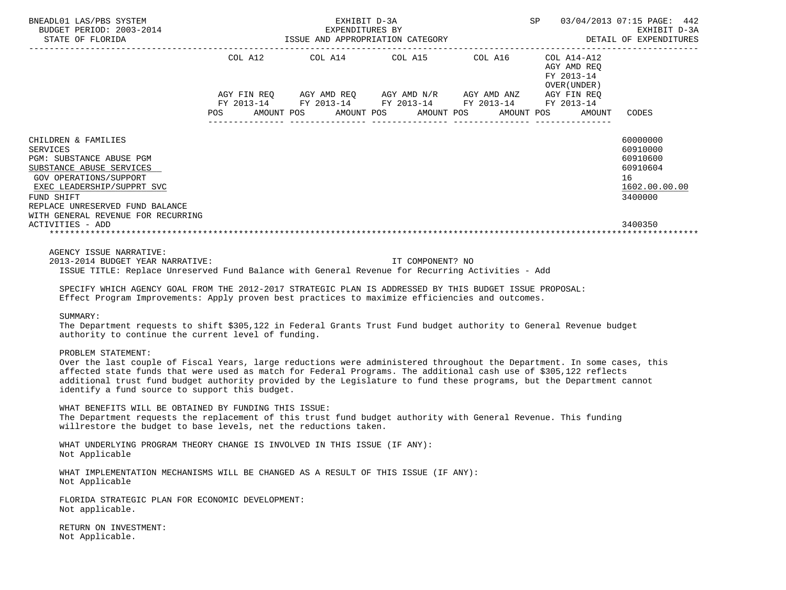| BNEADL01 LAS/PBS SYSTEM<br>NEADL01 LAS/PBS SYSTEM $\begin{array}{ccc}\n\texttt{EXHIBIT D-3A} & \texttt{EXHIBIT DE-3A} \\ \texttt{BUDGET PERIOD: } 2003-2014 & \texttt{EXHIBIT D-3A} & \texttt{EXPENDITURES BY} \\ \texttt{STATE OF ELORIDA} & \texttt{SPE NDDITURES BY} & \texttt{EXHIBIT D-3A}\n\end{array}$                                                                                                                                                                                                                                                          |  |                                                                                                                                                                                                                                                                                                                                                                                                                                                                                                                                                                                                                                                                                                                                                                                                                                           |  |                           |                                                                                           |
|------------------------------------------------------------------------------------------------------------------------------------------------------------------------------------------------------------------------------------------------------------------------------------------------------------------------------------------------------------------------------------------------------------------------------------------------------------------------------------------------------------------------------------------------------------------------|--|-------------------------------------------------------------------------------------------------------------------------------------------------------------------------------------------------------------------------------------------------------------------------------------------------------------------------------------------------------------------------------------------------------------------------------------------------------------------------------------------------------------------------------------------------------------------------------------------------------------------------------------------------------------------------------------------------------------------------------------------------------------------------------------------------------------------------------------------|--|---------------------------|-------------------------------------------------------------------------------------------|
|                                                                                                                                                                                                                                                                                                                                                                                                                                                                                                                                                                        |  | $\begin{tabular}{lllllllllll} \multicolumn{2}{l}{{\small\texttt{COL}}}\  \, \texttt{A12}\qquad \qquad &\multicolumn{2}{l}{\small\texttt{COL}}\  \, \texttt{A14}\qquad \qquad &\multicolumn{2}{l}{\small\texttt{COL}}\  \, \texttt{A15}\qquad \qquad &\multicolumn{2}{l}{\small\texttt{COL}}\  \, \texttt{A16}\qquad \qquad &\multicolumn{2}{l}{\small\texttt{COL}}\  \, \texttt{A17}-\texttt{A12}\qquad \qquad &\multicolumn{2}{l}{\small\texttt{AGY} \texttt{ AND$<br>$AGY \text{ } \text{ } FIR \text{ } REQ \text{ } \text{ } AGY \text{ } AND \text{ } REQ \text{ } \text{ } AGY \text{ } AND \text{ } N/R \text{ } \text{ } AGY \text{ } AND \text{ } AND \text{ } ANZ \text{ } \text{ } AGY \text{ } FIN \text{ } REQ$<br>FY 2013-14 FY 2013-14 FY 2013-14 FY 2013-14 FY 2013-14<br>POS AMOUNT POS AMOUNT POS AMOUNT POS AMOUNT POS |  | FY 2013-14<br>OVER(UNDER) | AMOUNT CODES                                                                              |
| CHILDREN & FAMILIES<br><b>SERVICES</b><br>PGM: SUBSTANCE ABUSE PGM<br>SUBSTANCE ABUSE SERVICES<br>GOV OPERATIONS/SUPPORT<br>EXEC LEADERSHIP/SUPPRT SVC<br>FUND SHIFT<br>REPLACE UNRESERVED FUND BALANCE<br>WITH GENERAL REVENUE FOR RECURRING<br>ACTIVITIES - ADD                                                                                                                                                                                                                                                                                                      |  |                                                                                                                                                                                                                                                                                                                                                                                                                                                                                                                                                                                                                                                                                                                                                                                                                                           |  |                           | 60000000<br>60910000<br>60910600<br>60910604<br>16<br>1602.00.00.00<br>3400000<br>3400350 |
| AGENCY ISSUE NARRATIVE:<br>2013-2014 BUDGET YEAR NARRATIVE:<br>ISSUE TITLE: Replace Unreserved Fund Balance with General Revenue for Recurring Activities - Add<br>SPECIFY WHICH AGENCY GOAL FROM THE 2012-2017 STRATEGIC PLAN IS ADDRESSED BY THIS BUDGET ISSUE PROPOSAL:<br>Effect Program Improvements: Apply proven best practices to maximize efficiencies and outcomes.<br>SUMMARY:<br>The Department requests to shift \$305,122 in Federal Grants Trust Fund budget authority to General Revenue budget<br>authority to continue the current level of funding. |  | IT COMPONENT? NO                                                                                                                                                                                                                                                                                                                                                                                                                                                                                                                                                                                                                                                                                                                                                                                                                          |  |                           |                                                                                           |
| PROBLEM STATEMENT:<br>Over the last couple of Fiscal Years, large reductions were administered throughout the Department. In some cases, this<br>affected state funds that were used as match for Federal Programs. The additional cash use of \$305,122 reflects<br>additional trust fund budget authority provided by the Legislature to fund these programs, but the Department cannot<br>identify a fund source to support this budget.                                                                                                                            |  |                                                                                                                                                                                                                                                                                                                                                                                                                                                                                                                                                                                                                                                                                                                                                                                                                                           |  |                           |                                                                                           |
| WHAT BENEFITS WILL BE OBTAINED BY FUNDING THIS ISSUE:<br>The Department requests the replacement of this trust fund budget authority with General Revenue. This funding<br>willrestore the budget to base levels, net the reductions taken.                                                                                                                                                                                                                                                                                                                            |  |                                                                                                                                                                                                                                                                                                                                                                                                                                                                                                                                                                                                                                                                                                                                                                                                                                           |  |                           |                                                                                           |
| WHAT UNDERLYING PROGRAM THEORY CHANGE IS INVOLVED IN THIS ISSUE (IF ANY):<br>Not Applicable                                                                                                                                                                                                                                                                                                                                                                                                                                                                            |  |                                                                                                                                                                                                                                                                                                                                                                                                                                                                                                                                                                                                                                                                                                                                                                                                                                           |  |                           |                                                                                           |
| WHAT IMPLEMENTATION MECHANISMS WILL BE CHANGED AS A RESULT OF THIS ISSUE (IF ANY):<br>Not Applicable                                                                                                                                                                                                                                                                                                                                                                                                                                                                   |  |                                                                                                                                                                                                                                                                                                                                                                                                                                                                                                                                                                                                                                                                                                                                                                                                                                           |  |                           |                                                                                           |
| FLORIDA STRATEGIC PLAN FOR ECONOMIC DEVELOPMENT:<br>Not applicable.                                                                                                                                                                                                                                                                                                                                                                                                                                                                                                    |  |                                                                                                                                                                                                                                                                                                                                                                                                                                                                                                                                                                                                                                                                                                                                                                                                                                           |  |                           |                                                                                           |
| RETURN ON INVESTMENT:<br>Not Applicable.                                                                                                                                                                                                                                                                                                                                                                                                                                                                                                                               |  |                                                                                                                                                                                                                                                                                                                                                                                                                                                                                                                                                                                                                                                                                                                                                                                                                                           |  |                           |                                                                                           |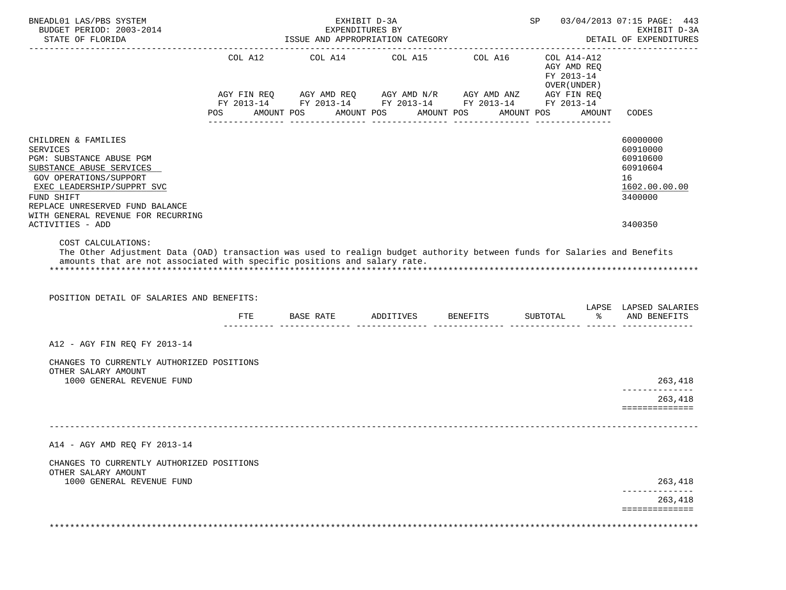| BNEADL01 LAS/PBS SYSTEM<br>BUDGET PERIOD: 2003-2014<br>STATE OF FLORIDA                                                                                                                                                                                                 |                | EXHIBIT D-3A<br>EXPENDITURES BY<br>ISSUE AND APPROPRIATION CATEGORY                                                                                            |            |            | SP 03/04/2013 07:15 PAGE: 443<br>EXHIBIT D-3A<br>DETAIL OF EXPENDITURES |        |                                                                                           |
|-------------------------------------------------------------------------------------------------------------------------------------------------------------------------------------------------------------------------------------------------------------------------|----------------|----------------------------------------------------------------------------------------------------------------------------------------------------------------|------------|------------|-------------------------------------------------------------------------|--------|-------------------------------------------------------------------------------------------|
|                                                                                                                                                                                                                                                                         | COL A12<br>POS | COL A14 COL A15 COL A16<br>AGY FIN REQ AGY AMD REQ AGY AMD N/R AGY AMD ANZ AGY FIN REQ<br>FY 2013-14 FY 2013-14 FY 2013-14 FY 2013-14 FY 2013-14<br>AMOUNT POS | AMOUNT POS | AMOUNT POS | COL A14-A12<br>AGY AMD REO<br>FY 2013-14<br>OVER (UNDER)<br>AMOUNT POS  | AMOUNT | CODES                                                                                     |
| CHILDREN & FAMILIES<br><b>SERVICES</b><br>PGM: SUBSTANCE ABUSE PGM<br>SUBSTANCE ABUSE SERVICES<br>GOV OPERATIONS/SUPPORT<br>EXEC LEADERSHIP/SUPPRT SVC<br>FUND SHIFT<br>REPLACE UNRESERVED FUND BALANCE<br>WITH GENERAL REVENUE FOR RECURRING<br>ACTIVITIES - ADD       |                |                                                                                                                                                                |            |            |                                                                         |        | 60000000<br>60910000<br>60910600<br>60910604<br>16<br>1602.00.00.00<br>3400000<br>3400350 |
| COST CALCULATIONS:<br>The Other Adjustment Data (OAD) transaction was used to realign budget authority between funds for Salaries and Benefits<br>amounts that are not associated with specific positions and salary rate.<br>POSITION DETAIL OF SALARIES AND BENEFITS: |                |                                                                                                                                                                |            |            |                                                                         |        | LAPSE LAPSED SALARIES                                                                     |
|                                                                                                                                                                                                                                                                         | ETE            | BASE RATE ADDITIVES BENEFITS                                                                                                                                   |            |            | SUBTOTAL                                                                | ႜႜႜႜ   | AND BENEFITS                                                                              |
| A12 - AGY FIN REQ FY 2013-14                                                                                                                                                                                                                                            |                |                                                                                                                                                                |            |            |                                                                         |        |                                                                                           |
| CHANGES TO CURRENTLY AUTHORIZED POSITIONS<br>OTHER SALARY AMOUNT<br>1000 GENERAL REVENUE FUND                                                                                                                                                                           |                |                                                                                                                                                                |            |            |                                                                         |        | 263,418                                                                                   |
|                                                                                                                                                                                                                                                                         |                |                                                                                                                                                                |            |            |                                                                         |        | 263,418<br>==============                                                                 |
|                                                                                                                                                                                                                                                                         |                |                                                                                                                                                                |            |            |                                                                         |        |                                                                                           |
| A14 - AGY AMD REQ FY 2013-14                                                                                                                                                                                                                                            |                |                                                                                                                                                                |            |            |                                                                         |        |                                                                                           |
| CHANGES TO CURRENTLY AUTHORIZED POSITIONS<br>OTHER SALARY AMOUNT                                                                                                                                                                                                        |                |                                                                                                                                                                |            |            |                                                                         |        |                                                                                           |
| 1000 GENERAL REVENUE FUND                                                                                                                                                                                                                                               |                |                                                                                                                                                                |            |            |                                                                         |        | 263,418                                                                                   |
|                                                                                                                                                                                                                                                                         |                |                                                                                                                                                                |            |            |                                                                         |        | 263,418<br>==============                                                                 |
|                                                                                                                                                                                                                                                                         |                |                                                                                                                                                                |            |            |                                                                         |        |                                                                                           |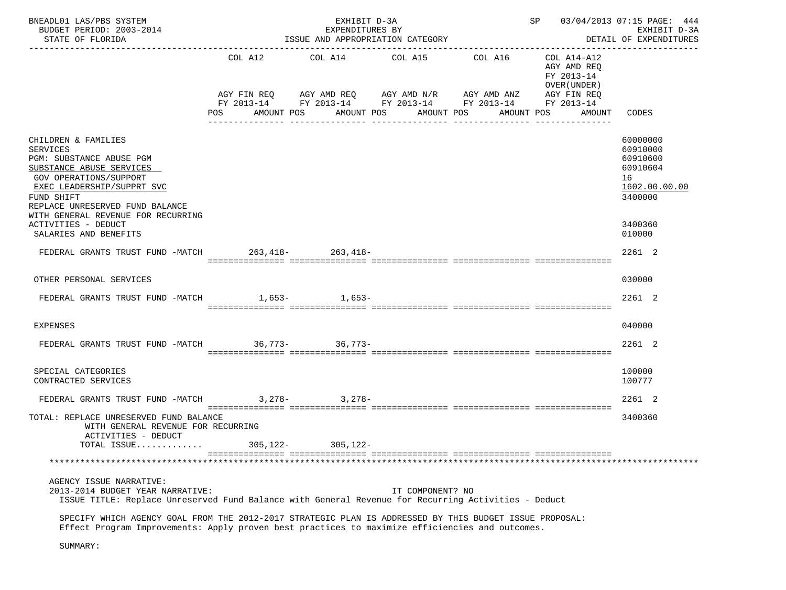| BNEADL01 LAS/PBS SYSTEM<br>BUDGET PERIOD: 2003-2014<br>STATE OF FLORIDA                                                                                                                                    |                | EXHIBIT D-3A<br>EXPENDITURES BY<br>ISSUE AND APPROPRIATION CATEGORY | SP 03/04/2013 07:15 PAGE: 444<br>EXHIBIT D-3A<br>DETAIL OF EXPENDITURES |                                                                                                                                  |                                                                                   |                                                                     |
|------------------------------------------------------------------------------------------------------------------------------------------------------------------------------------------------------------|----------------|---------------------------------------------------------------------|-------------------------------------------------------------------------|----------------------------------------------------------------------------------------------------------------------------------|-----------------------------------------------------------------------------------|---------------------------------------------------------------------|
|                                                                                                                                                                                                            | COL A12<br>POS | COL A14 COL A15<br>AMOUNT POS                                       | AMOUNT POS AMOUNT POS                                                   | COL A16<br>AGY FIN REQ AGY AMD REQ AGY AMD N/R AGY AMD ANZ AGY FIN REQ<br>FY 2013-14 FY 2013-14 FY 2013-14 FY 2013-14 FY 2013-14 | COL A14-A12<br>AGY AMD REQ<br>FY 2013-14<br>OVER (UNDER )<br>AMOUNT POS<br>AMOUNT | CODES                                                               |
| CHILDREN & FAMILIES<br><b>SERVICES</b><br>PGM: SUBSTANCE ABUSE PGM<br>SUBSTANCE ABUSE SERVICES<br>GOV OPERATIONS/SUPPORT<br>EXEC LEADERSHIP/SUPPRT SVC                                                     |                |                                                                     |                                                                         |                                                                                                                                  |                                                                                   | 60000000<br>60910000<br>60910600<br>60910604<br>16<br>1602.00.00.00 |
| FUND SHIFT<br>REPLACE UNRESERVED FUND BALANCE<br>WITH GENERAL REVENUE FOR RECURRING<br>ACTIVITIES - DEDUCT<br>SALARIES AND BENEFITS                                                                        |                |                                                                     |                                                                         |                                                                                                                                  |                                                                                   | 3400000<br>3400360<br>010000                                        |
| FEDERAL GRANTS TRUST FUND -MATCH 263.418- 263.418-                                                                                                                                                         |                |                                                                     |                                                                         |                                                                                                                                  |                                                                                   | 2261 2                                                              |
| OTHER PERSONAL SERVICES                                                                                                                                                                                    |                |                                                                     |                                                                         |                                                                                                                                  |                                                                                   | 030000                                                              |
| FEDERAL GRANTS TRUST FUND -MATCH 1,653-<br>1,653-                                                                                                                                                          |                |                                                                     |                                                                         |                                                                                                                                  |                                                                                   | 2261 2                                                              |
| <b>EXPENSES</b>                                                                                                                                                                                            |                |                                                                     |                                                                         |                                                                                                                                  |                                                                                   | 040000                                                              |
| FEDERAL GRANTS TRUST FUND -MATCH 36,773-3-36,773-                                                                                                                                                          |                |                                                                     |                                                                         |                                                                                                                                  |                                                                                   | 2261 2                                                              |
| SPECIAL CATEGORIES<br>CONTRACTED SERVICES                                                                                                                                                                  |                |                                                                     |                                                                         |                                                                                                                                  |                                                                                   | 100000<br>100777                                                    |
| FEDERAL GRANTS TRUST FUND -MATCH                                                                                                                                                                           |                | $3,278 3,278-$                                                      |                                                                         |                                                                                                                                  |                                                                                   | 2261 2                                                              |
| TOTAL: REPLACE UNRESERVED FUND BALANCE<br>WITH GENERAL REVENUE FOR RECURRING<br>ACTIVITIES - DEDUCT                                                                                                        |                |                                                                     |                                                                         |                                                                                                                                  |                                                                                   | 3400360                                                             |
| TOTAL ISSUE                                                                                                                                                                                                | $305, 122 -$   | $305, 122 -$                                                        |                                                                         |                                                                                                                                  |                                                                                   |                                                                     |
|                                                                                                                                                                                                            |                |                                                                     |                                                                         |                                                                                                                                  |                                                                                   |                                                                     |
| AGENCY ISSUE NARRATIVE:<br>2013-2014 BUDGET YEAR NARRATIVE:<br>ISSUE TITLE: Replace Unreserved Fund Balance with General Revenue for Recurring Activities - Deduct                                         |                |                                                                     | IT COMPONENT? NO                                                        |                                                                                                                                  |                                                                                   |                                                                     |
| SPECIFY WHICH AGENCY GOAL FROM THE 2012-2017 STRATEGIC PLAN IS ADDRESSED BY THIS BUDGET ISSUE PROPOSAL:<br>Effect Program Improvements: Apply proven best practices to maximize efficiencies and outcomes. |                |                                                                     |                                                                         |                                                                                                                                  |                                                                                   |                                                                     |

SUMMARY: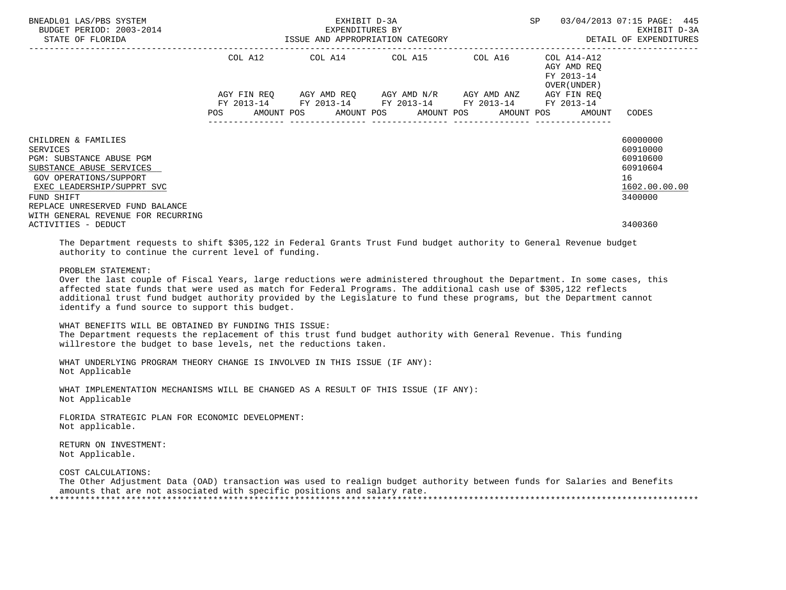| BNEADL01 LAS/PBS SYSTEM<br>BUDGET PERIOD: 2003-2014<br>STATE OF FLORIDA                                                                                                                                                                | EXHIBIT D-3A<br>EXPENDITURES BY<br>ISSUE AND APPROPRIATION CATEGORY |  |  |  |  |                         |  | SP                                                                                                         |  | 03/04/2013 07:15 PAGE: 445<br>EXHIBIT D-3A<br>DETAIL OF EXPENDITURES       |                                                                                |  |
|----------------------------------------------------------------------------------------------------------------------------------------------------------------------------------------------------------------------------------------|---------------------------------------------------------------------|--|--|--|--|-------------------------|--|------------------------------------------------------------------------------------------------------------|--|----------------------------------------------------------------------------|--------------------------------------------------------------------------------|--|
|                                                                                                                                                                                                                                        |                                                                     |  |  |  |  | COL A12 COL A14 COL A15 |  | COL A16                                                                                                    |  | COL A14-A12<br>AGY AMD REO<br>FY 2013-14<br>OVER (UNDER )                  |                                                                                |  |
|                                                                                                                                                                                                                                        |                                                                     |  |  |  |  |                         |  | AGY FIN REQ AGY AMD REQ AGY AMD N/R AGY AMD ANZ AGY FIN REQ<br>FY 2013-14 FY 2013-14 FY 2013-14 FY 2013-14 |  | FY 2013-14<br>POS AMOUNT POS AMOUNT POS AMOUNT POS AMOUNT POS AMOUNT CODES |                                                                                |  |
| CHILDREN & FAMILIES<br>SERVICES<br>PGM: SUBSTANCE ABUSE PGM<br>SUBSTANCE ABUSE SERVICES<br>GOV OPERATIONS/SUPPORT<br>EXEC LEADERSHIP/SUPPRT SVC<br>FUND SHIFT<br>REPLACE UNRESERVED FUND BALANCE<br>WITH GENERAL REVENUE FOR RECURRING |                                                                     |  |  |  |  |                         |  |                                                                                                            |  |                                                                            | 60000000<br>60910000<br>60910600<br>60910604<br>16<br>1602.00.00.00<br>3400000 |  |
| ACTIVITIES - DEDUCT                                                                                                                                                                                                                    |                                                                     |  |  |  |  |                         |  |                                                                                                            |  |                                                                            | 3400360                                                                        |  |

 The Department requests to shift \$305,122 in Federal Grants Trust Fund budget authority to General Revenue budget authority to continue the current level of funding.

### PROBLEM STATEMENT:

 Over the last couple of Fiscal Years, large reductions were administered throughout the Department. In some cases, this affected state funds that were used as match for Federal Programs. The additional cash use of \$305,122 reflects additional trust fund budget authority provided by the Legislature to fund these programs, but the Department cannot identify a fund source to support this budget.

 WHAT BENEFITS WILL BE OBTAINED BY FUNDING THIS ISSUE: The Department requests the replacement of this trust fund budget authority with General Revenue. This funding willrestore the budget to base levels, net the reductions taken.

 WHAT UNDERLYING PROGRAM THEORY CHANGE IS INVOLVED IN THIS ISSUE (IF ANY): Not Applicable

 WHAT IMPLEMENTATION MECHANISMS WILL BE CHANGED AS A RESULT OF THIS ISSUE (IF ANY): Not Applicable

 FLORIDA STRATEGIC PLAN FOR ECONOMIC DEVELOPMENT: Not applicable.

 RETURN ON INVESTMENT: Not Applicable.

COST CALCULATIONS:

 The Other Adjustment Data (OAD) transaction was used to realign budget authority between funds for Salaries and Benefits amounts that are not associated with specific positions and salary rate. \*\*\*\*\*\*\*\*\*\*\*\*\*\*\*\*\*\*\*\*\*\*\*\*\*\*\*\*\*\*\*\*\*\*\*\*\*\*\*\*\*\*\*\*\*\*\*\*\*\*\*\*\*\*\*\*\*\*\*\*\*\*\*\*\*\*\*\*\*\*\*\*\*\*\*\*\*\*\*\*\*\*\*\*\*\*\*\*\*\*\*\*\*\*\*\*\*\*\*\*\*\*\*\*\*\*\*\*\*\*\*\*\*\*\*\*\*\*\*\*\*\*\*\*\*\*\*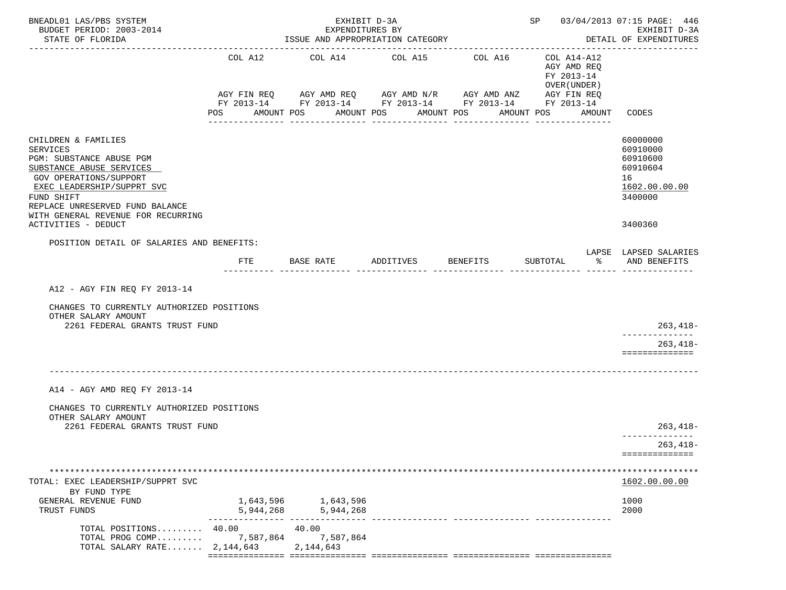| BNEADL01 LAS/PBS SYSTEM<br>BUDGET PERIOD: 2003-2014<br>STATE OF FLORIDA                                                                                                                                                                       |                                  | EXHIBIT D-3A<br>EXPENDITURES BY<br>ISSUE AND APPROPRIATION CATEGORY |                                |                                                                                                                                  | SP 03/04/2013 07:15 PAGE: 446<br>EXHIBIT D-3A<br>DETAIL OF EXPENDITURES |                                                                                |
|-----------------------------------------------------------------------------------------------------------------------------------------------------------------------------------------------------------------------------------------------|----------------------------------|---------------------------------------------------------------------|--------------------------------|----------------------------------------------------------------------------------------------------------------------------------|-------------------------------------------------------------------------|--------------------------------------------------------------------------------|
|                                                                                                                                                                                                                                               | COL A12                          | COL A14 COL A15                                                     |                                | COL A16<br>AGY FIN REQ AGY AMD REQ AGY AMD N/R AGY AMD ANZ AGY FIN REQ<br>FY 2013-14 FY 2013-14 FY 2013-14 FY 2013-14 FY 2013-14 | COL A14-A12<br>AGY AMD REQ<br>FY 2013-14<br>OVER (UNDER)                |                                                                                |
|                                                                                                                                                                                                                                               | POS                              | AMOUNT POS                                                          | AMOUNT POS<br>________________ | AMOUNT POS                                                                                                                       | AMOUNT POS<br>AMOUNT                                                    | CODES                                                                          |
| CHILDREN & FAMILIES<br><b>SERVICES</b><br>PGM: SUBSTANCE ABUSE PGM<br>SUBSTANCE ABUSE SERVICES<br>GOV OPERATIONS/SUPPORT<br>EXEC LEADERSHIP/SUPPRT SVC<br>FUND SHIFT<br>REPLACE UNRESERVED FUND BALANCE<br>WITH GENERAL REVENUE FOR RECURRING |                                  |                                                                     |                                |                                                                                                                                  |                                                                         | 60000000<br>60910000<br>60910600<br>60910604<br>16<br>1602.00.00.00<br>3400000 |
| ACTIVITIES - DEDUCT                                                                                                                                                                                                                           |                                  |                                                                     |                                |                                                                                                                                  |                                                                         | 3400360                                                                        |
| POSITION DETAIL OF SALARIES AND BENEFITS:                                                                                                                                                                                                     | FTE                              | BASE RATE                                                           | ADDITIVES BENEFITS             |                                                                                                                                  | SUBTOTAL<br>ႜႂ                                                          | LAPSE LAPSED SALARIES<br>AND BENEFITS                                          |
| A12 - AGY FIN REQ FY 2013-14                                                                                                                                                                                                                  |                                  |                                                                     |                                |                                                                                                                                  |                                                                         |                                                                                |
| CHANGES TO CURRENTLY AUTHORIZED POSITIONS<br>OTHER SALARY AMOUNT<br>2261 FEDERAL GRANTS TRUST FUND                                                                                                                                            |                                  |                                                                     |                                |                                                                                                                                  |                                                                         | $263, 418-$                                                                    |
|                                                                                                                                                                                                                                               |                                  |                                                                     |                                |                                                                                                                                  |                                                                         | _____________<br>$263, 418-$<br>==============                                 |
| A14 - AGY AMD REQ FY 2013-14                                                                                                                                                                                                                  |                                  |                                                                     |                                |                                                                                                                                  |                                                                         |                                                                                |
| CHANGES TO CURRENTLY AUTHORIZED POSITIONS<br>OTHER SALARY AMOUNT<br>2261 FEDERAL GRANTS TRUST FUND                                                                                                                                            |                                  |                                                                     |                                |                                                                                                                                  |                                                                         |                                                                                |
|                                                                                                                                                                                                                                               |                                  |                                                                     |                                |                                                                                                                                  |                                                                         | $263,418-$<br>--------------<br>$263, 418 -$                                   |
|                                                                                                                                                                                                                                               |                                  |                                                                     |                                |                                                                                                                                  |                                                                         | ==============                                                                 |
| TOTAL: EXEC LEADERSHIP/SUPPRT SVC                                                                                                                                                                                                             |                                  |                                                                     |                                |                                                                                                                                  |                                                                         | 1602.00.00.00                                                                  |
| BY FUND TYPE<br>GENERAL REVENUE FUND<br>TRUST FUNDS                                                                                                                                                                                           | 5,944,268<br>$- - - - - - - - -$ | 1,643,596 1,643,596<br>5,944,268                                    |                                |                                                                                                                                  |                                                                         | 1000<br>2000                                                                   |
| TOTAL POSITIONS 40.00<br>TOTAL PROG COMP 7,587,864<br>TOTAL SALARY RATE $2,144,643$                                                                                                                                                           |                                  | 40.00<br>7,587,864<br>2,144,643                                     |                                |                                                                                                                                  |                                                                         |                                                                                |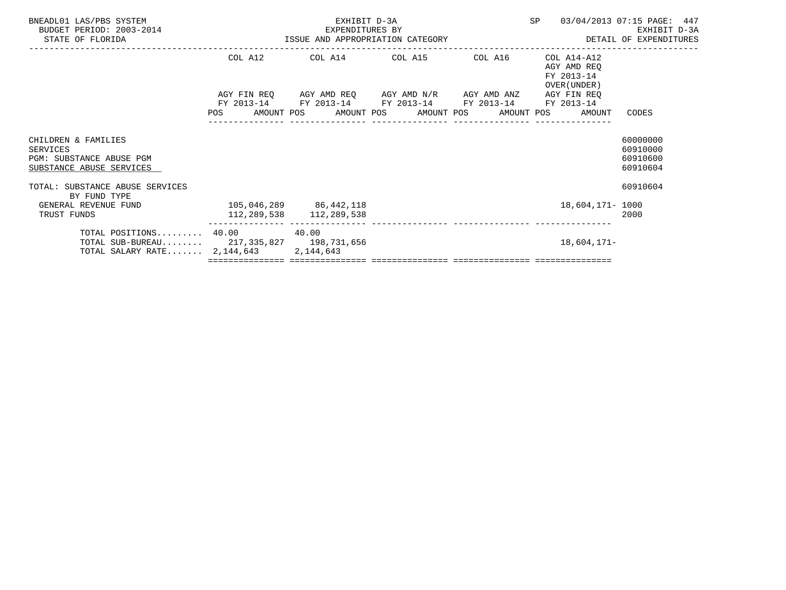| BNEADL01 LAS/PBS SYSTEM<br>BUDGET PERIOD: 2003-2014<br>STATE OF FLORIDA                                                  | 3-2014<br>ISSUE AND APPROPRIATION CATEGORY | EXHIBIT D-3A            | SP 03/04/2013 07:15 PAGE: 447                                                                                         | EXHIBIT D-3A<br>DETAIL OF EXPENDITURES                       |                                              |
|--------------------------------------------------------------------------------------------------------------------------|--------------------------------------------|-------------------------|-----------------------------------------------------------------------------------------------------------------------|--------------------------------------------------------------|----------------------------------------------|
|                                                                                                                          |                                            |                         | COL A12 COL A14 COL A15 COL A16 COL A14-A12                                                                           | AGY AMD REQ<br>FY 2013-14<br>OVER (UNDER)                    |                                              |
|                                                                                                                          |                                            |                         | AGY FIN REQ AGY AMD REQ AGY AMD N/R AGY AMD ANZ AGY FIN REQ<br>FY 2013-14 FY 2013-14 FY 2013-14 FY 2013-14 FY 2013-14 | POS AMOUNT POS AMOUNT POS AMOUNT POS AMOUNT POS AMOUNT CODES |                                              |
| CHILDREN & FAMILIES<br>SERVICES<br>PGM: SUBSTANCE ABUSE PGM<br>SUBSTANCE ABUSE SERVICES                                  |                                            |                         |                                                                                                                       |                                                              | 60000000<br>60910000<br>60910600<br>60910604 |
| TOTAL: SUBSTANCE ABUSE SERVICES<br>BY FUND TYPE                                                                          |                                            |                         |                                                                                                                       |                                                              | 60910604                                     |
| GENERAL REVENUE FUND<br>TRUST FUNDS                                                                                      | 105,046,289 86,442,118                     | 112,289,538 112,289,538 |                                                                                                                       | 18,604,171- 1000                                             | 2000                                         |
| TOTAL POSITIONS $40.00$ $40.00$<br>TOTAL SUB-BUREAU 217,335,827 198,731,656<br>TOTAL SALARY RATE 2, 144, 643 2, 144, 643 |                                            |                         |                                                                                                                       | 18,604,171-                                                  |                                              |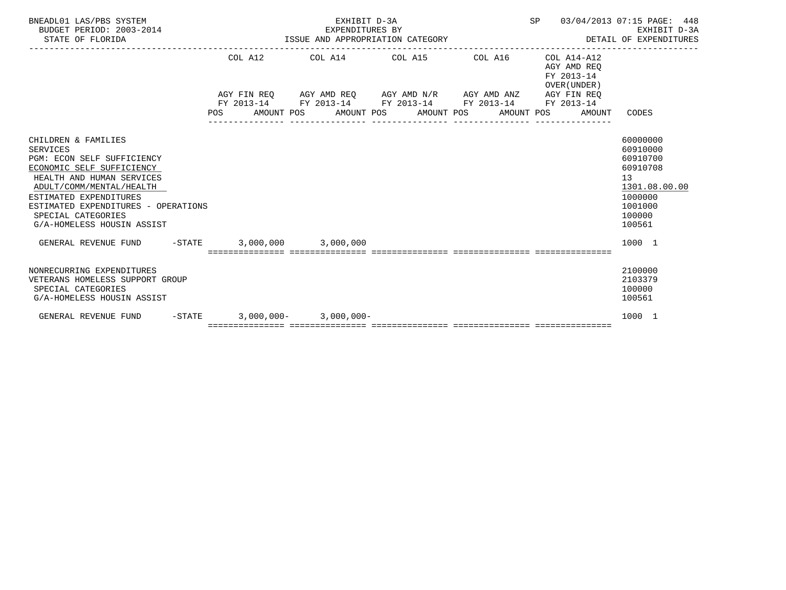| BNEADL01 LAS/PBS SYSTEM<br>BUDGET PERIOD: 2003-2014<br>STATE OF FLORIDA                                                                                                                                                                                                  | EXPENDITURES BY<br>ISSUE AND APPROPRIATION CATEGORY                                                              | EXHIBIT D-3A<br>EXPENDITURES BY |  |  | SP 03/04/2013 07:15 PAGE: 448<br>EXHIBIT D-3A<br>DETAIL OF EXPENDITURES |                                                                                              | EXHIBIT D-3A  |
|--------------------------------------------------------------------------------------------------------------------------------------------------------------------------------------------------------------------------------------------------------------------------|------------------------------------------------------------------------------------------------------------------|---------------------------------|--|--|-------------------------------------------------------------------------|----------------------------------------------------------------------------------------------|---------------|
|                                                                                                                                                                                                                                                                          | COL A12                                                                                                          | COL A14 COL A15 COL A16         |  |  | $COL A14 - A12$<br>AGY AMD REO<br>FY 2013-14<br>OVER (UNDER)            |                                                                                              |               |
|                                                                                                                                                                                                                                                                          | AGY FIN REO AGY AMD REO AGY AMD N/R AGY AMD ANZ AGY FIN REO                                                      |                                 |  |  |                                                                         |                                                                                              |               |
|                                                                                                                                                                                                                                                                          | FY 2013-14 FY 2013-14 FY 2013-14 FY 2013-14 FY 2013-14<br>POS AMOUNT POS AMOUNT POS AMOUNT POS AMOUNT POS AMOUNT |                                 |  |  |                                                                         | CODES                                                                                        |               |
| CHILDREN & FAMILIES<br>SERVICES<br>PGM: ECON SELF SUFFICIENCY<br>ECONOMIC SELF SUFFICIENCY<br>HEALTH AND HUMAN SERVICES<br>ADULT/COMM/MENTAL/HEALTH<br>ESTIMATED EXPENDITURES<br>ESTIMATED EXPENDITURES - OPERATIONS<br>SPECIAL CATEGORIES<br>G/A-HOMELESS HOUSIN ASSIST |                                                                                                                  |                                 |  |  |                                                                         | 60000000<br>60910000<br>60910700<br>60910708<br>13<br>1000000<br>1001000<br>100000<br>100561 | 1301.08.00.00 |
| GENERAL REVENUE FUND -STATE 3,000,000 3,000,000                                                                                                                                                                                                                          |                                                                                                                  |                                 |  |  |                                                                         | 1000 1                                                                                       |               |
|                                                                                                                                                                                                                                                                          |                                                                                                                  |                                 |  |  |                                                                         |                                                                                              |               |
| NONRECURRING EXPENDITURES<br>VETERANS HOMELESS SUPPORT GROUP<br>SPECIAL CATEGORIES<br>G/A-HOMELESS HOUSIN ASSIST                                                                                                                                                         |                                                                                                                  |                                 |  |  |                                                                         | 2100000<br>2103379<br>100000<br>100561                                                       |               |
| GENERAL REVENUE FUND                                                                                                                                                                                                                                                     | $-STATE$ 3,000,000- 3,000,000-                                                                                   |                                 |  |  |                                                                         | 1000 1                                                                                       |               |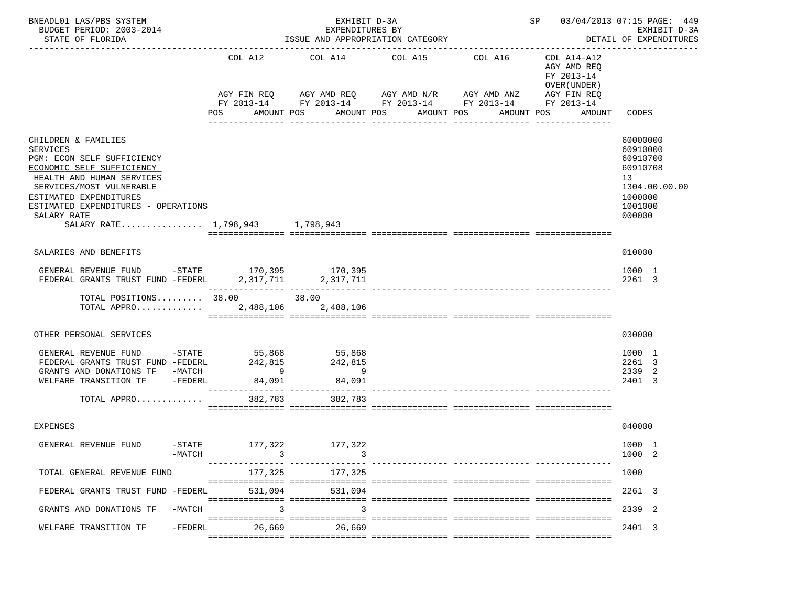| BNEADL01 LAS/PBS SYSTEM<br>BUDGET PERIOD: 2003-2014<br>STATE OF FLORIDA                                                                                                                                                                                                       |                                                                     | EXHIBIT D-3A<br>EXPENDITURES BY<br>ISSUE AND APPROPRIATION CATEGORY |                                                                                                                                                                                         | SP 03/04/2013 07:15 PAGE: 449<br>EXHIBIT D-3A<br>DETAIL OF EXPENDITURES<br>--------------- |                                                                                                  |                                                                                                     |
|-------------------------------------------------------------------------------------------------------------------------------------------------------------------------------------------------------------------------------------------------------------------------------|---------------------------------------------------------------------|---------------------------------------------------------------------|-----------------------------------------------------------------------------------------------------------------------------------------------------------------------------------------|--------------------------------------------------------------------------------------------|--------------------------------------------------------------------------------------------------|-----------------------------------------------------------------------------------------------------|
|                                                                                                                                                                                                                                                                               | COL A12<br><b>POS</b>                                               | AMOUNT POS<br>_______________                                       | COL A14 COL A15 COL A16<br>AGY FIN REQ 6 AGY AMD REQ 6 AGY AMD N/R 66 AGY AMD ANZ<br>FY 2013-14 FY 2013-14 FY 2013-14 FY 2013-14 FY 2013-14<br>AMOUNT POS AMOUNT POS<br>_______________ | ---------------                                                                            | COL A14-A12<br>AGY AMD REO<br>FY 2013-14<br>OVER (UNDER )<br>AGY FIN REO<br>AMOUNT POS<br>AMOUNT | CODES                                                                                               |
| CHILDREN & FAMILIES<br><b>SERVICES</b><br>PGM: ECON SELF SUFFICIENCY<br>ECONOMIC SELF SUFFICIENCY<br>HEALTH AND HUMAN SERVICES<br>SERVICES/MOST VULNERABLE<br>ESTIMATED EXPENDITURES<br>ESTIMATED EXPENDITURES - OPERATIONS<br>SALARY RATE<br>SALARY RATE 1.798.943 1.798.943 |                                                                     |                                                                     |                                                                                                                                                                                         |                                                                                            |                                                                                                  | 60000000<br>60910000<br>60910700<br>60910708<br>13<br>1304.00.00.00<br>1000000<br>1001000<br>000000 |
| SALARIES AND BENEFITS                                                                                                                                                                                                                                                         |                                                                     |                                                                     |                                                                                                                                                                                         |                                                                                            |                                                                                                  | 010000                                                                                              |
| GENERAL REVENUE FUND -STATE 170,395 170,395<br>FEDERAL GRANTS TRUST FUND -FEDERL 2, 317, 711 2, 317, 711                                                                                                                                                                      |                                                                     |                                                                     |                                                                                                                                                                                         |                                                                                            |                                                                                                  | 1000 1<br>2261 3                                                                                    |
| TOTAL POSITIONS $38.00$ 38.00<br>TOTAL APPRO $\dots\dots\dots\dots$ 2,488,106                                                                                                                                                                                                 |                                                                     | 2,488,106                                                           |                                                                                                                                                                                         |                                                                                            |                                                                                                  |                                                                                                     |
| OTHER PERSONAL SERVICES                                                                                                                                                                                                                                                       |                                                                     |                                                                     |                                                                                                                                                                                         |                                                                                            |                                                                                                  | 030000                                                                                              |
| GENERAL REVENUE FUND<br>$-STATE$<br>FEDERAL GRANTS TRUST FUND -FEDERL<br>GRANTS AND DONATIONS TF -MATCH<br>WELFARE TRANSITION TF<br>TOTAL APPRO                                                                                                                               | 55,868<br>242,815<br>$\overline{9}$<br>-FEDERL<br>84,091<br>382,783 | 55,868<br>242 815<br>$\sim$ 9<br>84,091<br>382,783                  |                                                                                                                                                                                         |                                                                                            |                                                                                                  | 1000 1<br>2261 3<br>2339<br>-2<br>2401 3                                                            |
| <b>EXPENSES</b>                                                                                                                                                                                                                                                               |                                                                     |                                                                     |                                                                                                                                                                                         |                                                                                            |                                                                                                  | 040000                                                                                              |
| GENERAL REVENUE FUND                                                                                                                                                                                                                                                          | $-STATE$<br>177,322<br>$-MATCH$<br>3                                | 177,322                                                             |                                                                                                                                                                                         | ----------- ----------------                                                               |                                                                                                  | 1000 1<br>1000<br>-2                                                                                |
| TOTAL GENERAL REVENUE FUND                                                                                                                                                                                                                                                    | 177,325                                                             | 177,325                                                             |                                                                                                                                                                                         |                                                                                            |                                                                                                  | 1000                                                                                                |
| FEDERAL GRANTS TRUST FUND -FEDERL                                                                                                                                                                                                                                             | 531,094                                                             | 531,094                                                             |                                                                                                                                                                                         |                                                                                            |                                                                                                  | 2261 3                                                                                              |
| GRANTS AND DONATIONS TF                                                                                                                                                                                                                                                       | $-MATCH$                                                            |                                                                     |                                                                                                                                                                                         |                                                                                            |                                                                                                  | 2339 2                                                                                              |
| WELFARE TRANSITION TF                                                                                                                                                                                                                                                         | $-FEDERL$<br>26,669                                                 | 26,669                                                              |                                                                                                                                                                                         |                                                                                            |                                                                                                  | 2401 3                                                                                              |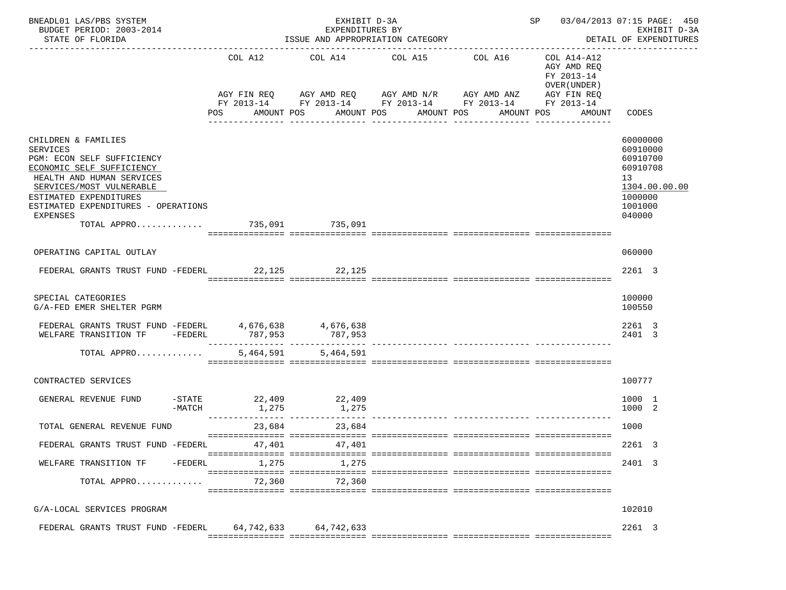| BNEADL01 LAS/PBS SYSTEM<br>BUDGET PERIOD: 2003-2014<br>STATE OF FLORIDA                                                                                                                                                                                                |                | EXHIBIT D-3A<br>EXPENDITURES BY<br>ISSUE AND APPROPRIATION CATEGORY |                                          | SP 03/04/2013 07:15 PAGE: 450<br>EXHIBIT D-3A<br>DETAIL OF EXPENDITURES                                                             |                                                                    |                                                                                                     |
|------------------------------------------------------------------------------------------------------------------------------------------------------------------------------------------------------------------------------------------------------------------------|----------------|---------------------------------------------------------------------|------------------------------------------|-------------------------------------------------------------------------------------------------------------------------------------|--------------------------------------------------------------------|-----------------------------------------------------------------------------------------------------|
|                                                                                                                                                                                                                                                                        | COL A12<br>POS | COL A14 COL A15 COL A16<br>AMOUNT POS                               | AMOUNT POS AMOUNT POS<br>_______________ | AGY FIN REQ AGY AMD REQ AGY AMD N/R AGY AMD ANZ AGY FIN REQ<br>FY 2013-14 FY 2013-14 FY 2013-14 FY 2013-14 FY 2013-14<br>AMOUNT POS | COL A14-A12<br>AGY AMD REQ<br>FY 2013-14<br>OVER (UNDER)<br>AMOUNT | CODES                                                                                               |
| CHILDREN & FAMILIES<br><b>SERVICES</b><br>PGM: ECON SELF SUFFICIENCY<br>ECONOMIC SELF SUFFICIENCY<br>HEALTH AND HUMAN SERVICES<br>SERVICES/MOST VULNERABLE<br>ESTIMATED EXPENDITURES<br>ESTIMATED EXPENDITURES - OPERATIONS<br>EXPENSES<br>TOTAL APPRO 735,091 735,091 |                |                                                                     |                                          |                                                                                                                                     |                                                                    | 60000000<br>60910000<br>60910700<br>60910708<br>13<br>1304.00.00.00<br>1000000<br>1001000<br>040000 |
| OPERATING CAPITAL OUTLAY                                                                                                                                                                                                                                               |                |                                                                     |                                          |                                                                                                                                     |                                                                    | 060000                                                                                              |
| FEDERAL GRANTS TRUST FUND -FEDERL 22,125 22,125                                                                                                                                                                                                                        |                |                                                                     |                                          |                                                                                                                                     |                                                                    | 2261 3                                                                                              |
| SPECIAL CATEGORIES<br>G/A-FED EMER SHELTER PGRM                                                                                                                                                                                                                        |                |                                                                     |                                          |                                                                                                                                     |                                                                    | 100000<br>100550                                                                                    |
| FEDERAL GRANTS TRUST FUND -FEDERL $4,676,638$ $4,676,638$<br>WELFARE TRANSITION TF -FEDERL                                                                                                                                                                             | 787,953        | 787,953                                                             |                                          |                                                                                                                                     |                                                                    | 2261 3<br>2401 3                                                                                    |
| TOTAL APPRO                                                                                                                                                                                                                                                            | 5,464,591      | 5,464,591                                                           |                                          |                                                                                                                                     |                                                                    |                                                                                                     |
| CONTRACTED SERVICES                                                                                                                                                                                                                                                    |                |                                                                     |                                          |                                                                                                                                     |                                                                    | 100777                                                                                              |
| -STATE<br>GENERAL REVENUE FUND<br>$-MATCH$                                                                                                                                                                                                                             | 1,275          | $22,409$ $22,409$<br>1,275                                          |                                          |                                                                                                                                     |                                                                    | 1000 1<br>1000 2                                                                                    |
| TOTAL GENERAL REVENUE FUND                                                                                                                                                                                                                                             | 23,684         | 23,684                                                              |                                          |                                                                                                                                     |                                                                    | 1000                                                                                                |
| FEDERAL GRANTS TRUST FUND -FEDERL                                                                                                                                                                                                                                      | 47,401         | 47,401                                                              |                                          |                                                                                                                                     |                                                                    | 2261 3                                                                                              |
| -FEDERL<br>WELFARE TRANSITION TF                                                                                                                                                                                                                                       | 1,275          | 1,275                                                               |                                          |                                                                                                                                     |                                                                    | 2401 3                                                                                              |
| TOTAL APPRO                                                                                                                                                                                                                                                            | 72,360         | 72,360                                                              |                                          |                                                                                                                                     |                                                                    |                                                                                                     |
| G/A-LOCAL SERVICES PROGRAM                                                                                                                                                                                                                                             |                |                                                                     |                                          |                                                                                                                                     |                                                                    | 102010                                                                                              |
| FEDERAL GRANTS TRUST FUND -FEDERL 64,742,633 64,742,633                                                                                                                                                                                                                |                |                                                                     |                                          |                                                                                                                                     |                                                                    | 2261 3                                                                                              |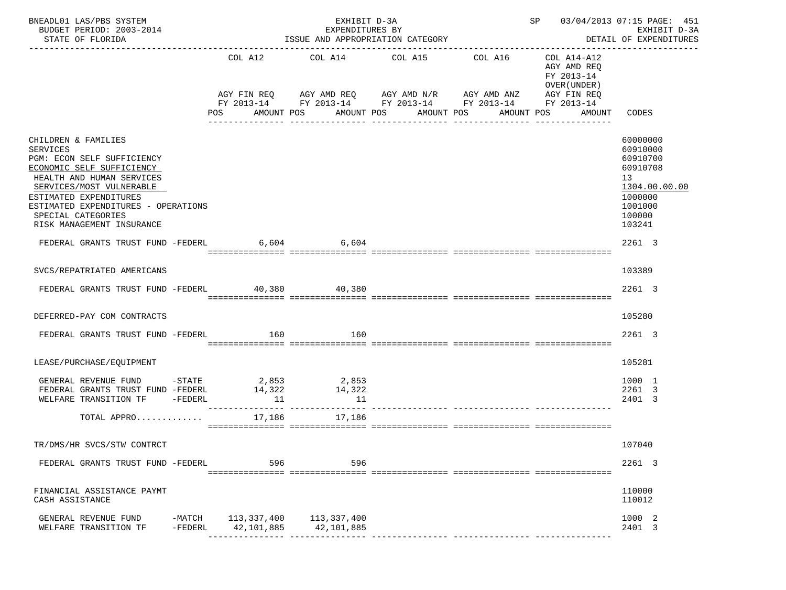| BNEADL01 LAS/PBS SYSTEM<br>BUDGET PERIOD: 2003-2014<br>STATE OF FLORIDA                                                                                                                                                                                                 | EXHIBIT D-3A<br>EXPENDITURES BY<br>ISSUE AND APPROPRIATION CATEGORY |                |                                           |                       |                                                                                                                                                          | SP 03/04/2013 07:15 PAGE: 451                                                       | EXHIBIT D-3A<br>DETAIL OF EXPENDITURES                                                                        |
|-------------------------------------------------------------------------------------------------------------------------------------------------------------------------------------------------------------------------------------------------------------------------|---------------------------------------------------------------------|----------------|-------------------------------------------|-----------------------|----------------------------------------------------------------------------------------------------------------------------------------------------------|-------------------------------------------------------------------------------------|---------------------------------------------------------------------------------------------------------------|
|                                                                                                                                                                                                                                                                         |                                                                     | POS AMOUNT POS |                                           | AMOUNT POS AMOUNT POS | COL A12 COL A14 COL A15 COL A16<br>AGY FIN REQ AGY AMD REQ AGY AMD N/R AGY AMD ANZ AGY FIN REQ<br>FY 2013-14 FY 2013-14 FY 2013-14 FY 2013-14 FY 2013-14 | COL A14-A12<br>AGY AMD REO<br>FY 2013-14<br>OVER (UNDER)<br>AMOUNT POS AMOUNT CODES |                                                                                                               |
| CHILDREN & FAMILIES<br>SERVICES<br>PGM: ECON SELF SUFFICIENCY<br>ECONOMIC SELF SUFFICIENCY<br>HEALTH AND HUMAN SERVICES<br>SERVICES/MOST VULNERABLE<br>ESTIMATED EXPENDITURES<br>ESTIMATED EXPENDITURES - OPERATIONS<br>SPECIAL CATEGORIES<br>RISK MANAGEMENT INSURANCE |                                                                     |                |                                           |                       |                                                                                                                                                          |                                                                                     | 60000000<br>60910000<br>60910700<br>60910708<br>13<br>1304.00.00.00<br>1000000<br>1001000<br>100000<br>103241 |
| FEDERAL GRANTS TRUST FUND -FEDERL 6,604 6,604                                                                                                                                                                                                                           |                                                                     |                |                                           |                       |                                                                                                                                                          |                                                                                     | 2261 3                                                                                                        |
| SVCS/REPATRIATED AMERICANS<br>FEDERAL GRANTS TRUST FUND -FEDERL 40,380 40,380                                                                                                                                                                                           |                                                                     |                |                                           |                       |                                                                                                                                                          |                                                                                     | 103389<br>2261 3                                                                                              |
| DEFERRED-PAY COM CONTRACTS                                                                                                                                                                                                                                              |                                                                     |                |                                           |                       |                                                                                                                                                          |                                                                                     | 105280                                                                                                        |
| FEDERAL GRANTS TRUST FUND -FEDERL 160 160 160                                                                                                                                                                                                                           |                                                                     |                |                                           |                       |                                                                                                                                                          |                                                                                     | 2261 3                                                                                                        |
| LEASE/PURCHASE/EQUIPMENT                                                                                                                                                                                                                                                |                                                                     |                |                                           |                       |                                                                                                                                                          |                                                                                     | 105281                                                                                                        |
| GENERAL REVENUE FUND $-$ STATE 2,853 2,853<br>FEDERAL GRANTS TRUST FUND --FEDERL 14,322 14,322<br>WELFARE TRANSITION TF -FEDERL                                                                                                                                         |                                                                     | 11             | 11                                        |                       |                                                                                                                                                          |                                                                                     | 1000 1<br>2261 3<br>2401 3                                                                                    |
| TOTAL APPRO                                                                                                                                                                                                                                                             |                                                                     |                | 17,186<br>17,186                          |                       |                                                                                                                                                          |                                                                                     |                                                                                                               |
| TR/DMS/HR SVCS/STW CONTRCT                                                                                                                                                                                                                                              |                                                                     |                |                                           |                       |                                                                                                                                                          |                                                                                     | 107040                                                                                                        |
| FEDERAL GRANTS TRUST FUND -FEDERL                                                                                                                                                                                                                                       |                                                                     | 596            | 596                                       |                       |                                                                                                                                                          |                                                                                     | 2261 3                                                                                                        |
| FINANCIAL ASSISTANCE PAYMT<br>CASH ASSISTANCE                                                                                                                                                                                                                           |                                                                     |                |                                           |                       |                                                                                                                                                          |                                                                                     | 110000<br>110012                                                                                              |
| GENERAL REVENUE FUND<br>WELFARE TRANSITION TF                                                                                                                                                                                                                           | -MATCH<br>$-FEDERL$                                                 | 42,101,885     | 113, 337, 400 113, 337, 400<br>42,101,885 |                       |                                                                                                                                                          |                                                                                     | 1000 2<br>2401 3                                                                                              |
|                                                                                                                                                                                                                                                                         |                                                                     | --------       |                                           |                       |                                                                                                                                                          |                                                                                     |                                                                                                               |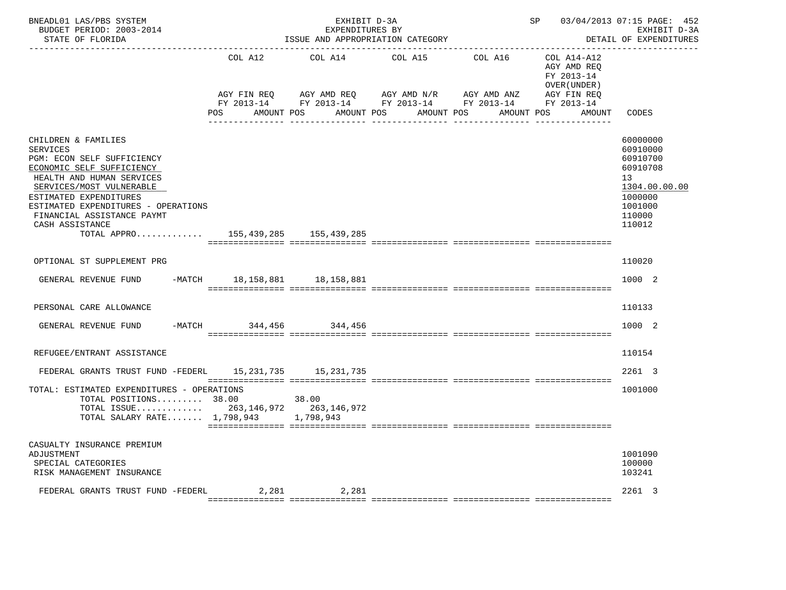| BNEADL01 LAS/PBS SYSTEM<br>BUDGET PERIOD: 2003-2014<br>STATE OF FLORIDA                                                                                                                                                                                                                                             |                        | EXHIBIT D-3A<br>EXPENDITURES BY<br>ISSUE AND APPROPRIATION CATEGORY                          |                       |                        | SP 03/04/2013 07:15 PAGE: 452                                            | EXHIBIT D-3A<br>DETAIL OF EXPENDITURES                                                                                     |
|---------------------------------------------------------------------------------------------------------------------------------------------------------------------------------------------------------------------------------------------------------------------------------------------------------------------|------------------------|----------------------------------------------------------------------------------------------|-----------------------|------------------------|--------------------------------------------------------------------------|----------------------------------------------------------------------------------------------------------------------------|
|                                                                                                                                                                                                                                                                                                                     | COL A12<br>AGY FIN REQ | COL A14<br>AGY AMD REQ AGY AMD N/R<br>FY 2013-14 FY 2013-14 FY 2013-14 FY 2013-14 FY 2013-14 | COL A15               | COL A16<br>AGY AMD ANZ | COL A14-A12<br>AGY AMD REQ<br>FY 2013-14<br>OVER (UNDER )<br>AGY FIN REQ |                                                                                                                            |
|                                                                                                                                                                                                                                                                                                                     | POS AMOUNT POS         |                                                                                              | AMOUNT POS AMOUNT POS | AMOUNT POS             | AMOUNT                                                                   | CODES                                                                                                                      |
| CHILDREN & FAMILIES<br><b>SERVICES</b><br>PGM: ECON SELF SUFFICIENCY<br>ECONOMIC SELF SUFFICIENCY<br>HEALTH AND HUMAN SERVICES<br>SERVICES/MOST VULNERABLE<br>ESTIMATED EXPENDITURES<br>ESTIMATED EXPENDITURES - OPERATIONS<br>FINANCIAL ASSISTANCE PAYMT<br>CASH ASSISTANCE<br>TOTAL APPRO 155,439,285 155,439,285 |                        |                                                                                              |                       |                        |                                                                          | 60000000<br>60910000<br>60910700<br>60910708<br>13 <sup>°</sup><br>1304.00.00.00<br>1000000<br>1001000<br>110000<br>110012 |
|                                                                                                                                                                                                                                                                                                                     |                        |                                                                                              |                       |                        |                                                                          |                                                                                                                            |
| OPTIONAL ST SUPPLEMENT PRG                                                                                                                                                                                                                                                                                          |                        |                                                                                              |                       |                        |                                                                          | 110020                                                                                                                     |
| GENERAL REVENUE FUND -MATCH 18,158,881 18,158,881                                                                                                                                                                                                                                                                   |                        |                                                                                              |                       |                        |                                                                          | 1000 2                                                                                                                     |
| PERSONAL CARE ALLOWANCE                                                                                                                                                                                                                                                                                             |                        |                                                                                              |                       |                        |                                                                          | 110133                                                                                                                     |
| GENERAL REVENUE FUND                                                                                                                                                                                                                                                                                                | -MATCH 344,456 344,456 |                                                                                              |                       |                        |                                                                          | 1000 2                                                                                                                     |
| REFUGEE/ENTRANT ASSISTANCE                                                                                                                                                                                                                                                                                          |                        |                                                                                              |                       |                        |                                                                          | 110154                                                                                                                     |
| FEDERAL GRANTS TRUST FUND -FEDERL 15, 231, 735 15, 231, 735                                                                                                                                                                                                                                                         |                        |                                                                                              |                       |                        |                                                                          | 2261 3                                                                                                                     |
| TOTAL: ESTIMATED EXPENDITURES - OPERATIONS<br>TOTAL POSITIONS 38.00<br>TOTAL ISSUE 263, 146, 972 263, 146, 972<br>TOTAL SALARY RATE 1,798,943 1,798,943                                                                                                                                                             |                        | 38.00                                                                                        |                       |                        |                                                                          | 1001000                                                                                                                    |
| CASUALTY INSURANCE PREMIUM<br>ADJUSTMENT<br>SPECIAL CATEGORIES<br>RISK MANAGEMENT INSURANCE                                                                                                                                                                                                                         |                        |                                                                                              |                       |                        |                                                                          | 1001090<br>100000<br>103241                                                                                                |
| FEDERAL GRANTS TRUST FUND -FEDERL                                                                                                                                                                                                                                                                                   |                        | 2,281 2,281                                                                                  |                       |                        |                                                                          | 2261 3                                                                                                                     |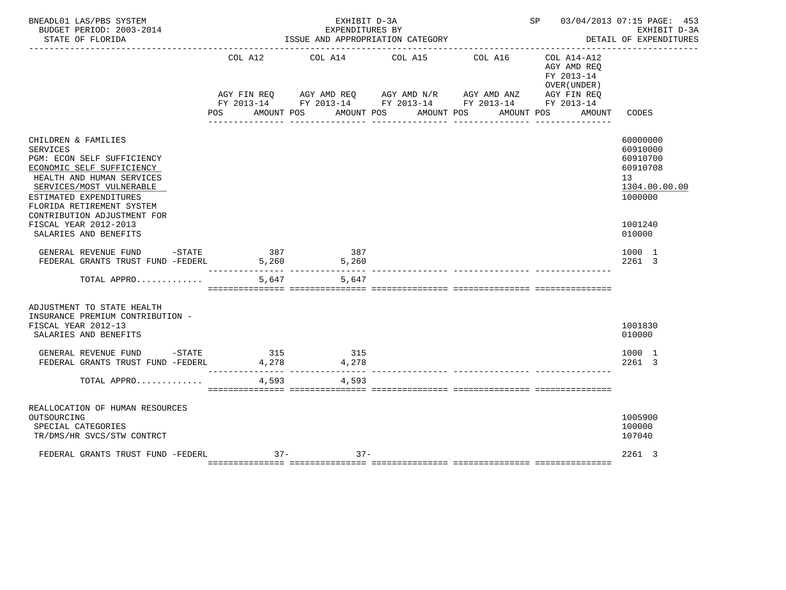| BNEADL01 LAS/PBS SYSTEM<br>BUDGET PERIOD: 2003-2014<br>STATE OF FLORIDA                                                                                                                                                                          |                | EXHIBIT D-3A<br>EXPENDITURES BY<br>ISSUE AND APPROPRIATION CATEGORY |                                                                |                                                                                       | SP 03/04/2013 07:15 PAGE: 453<br>EXHIBIT D-3A<br>DETAIL OF EXPENDITURES<br>_______________ |
|--------------------------------------------------------------------------------------------------------------------------------------------------------------------------------------------------------------------------------------------------|----------------|---------------------------------------------------------------------|----------------------------------------------------------------|---------------------------------------------------------------------------------------|--------------------------------------------------------------------------------------------|
|                                                                                                                                                                                                                                                  | COL A12<br>POS |                                                                     | COL A14 COL A15<br>COL A16<br>AMOUNT POS AMOUNT POS AMOUNT POS | $COL A14 - A12$<br>AGY AMD REQ<br>FY 2013-14<br>OVER (UNDER )<br>AMOUNT POS<br>AMOUNT | CODES                                                                                      |
| CHILDREN & FAMILIES<br><b>SERVICES</b><br>PGM: ECON SELF SUFFICIENCY<br>ECONOMIC SELF SUFFICIENCY<br>HEALTH AND HUMAN SERVICES<br>SERVICES/MOST VULNERABLE<br>ESTIMATED EXPENDITURES<br>FLORIDA RETIREMENT SYSTEM<br>CONTRIBUTION ADJUSTMENT FOR |                |                                                                     |                                                                |                                                                                       | 60000000<br>60910000<br>60910700<br>60910708<br>13<br>1304.00.00.00<br>1000000             |
| FISCAL YEAR 2012-2013<br>SALARIES AND BENEFITS                                                                                                                                                                                                   |                |                                                                     |                                                                |                                                                                       | 1001240<br>010000                                                                          |
| GENERAL REVENUE FUND<br>$-$ STATE<br>FEDERAL GRANTS TRUST FUND -FEDERL                                                                                                                                                                           | 387<br>5,260   | 387<br>5,260<br>_____________________________                       |                                                                |                                                                                       | 1000 1<br>2261 3                                                                           |
| TOTAL APPRO                                                                                                                                                                                                                                      | 5,647          | 5,647                                                               |                                                                |                                                                                       |                                                                                            |
| ADJUSTMENT TO STATE HEALTH<br>INSURANCE PREMIUM CONTRIBUTION -<br>FISCAL YEAR 2012-13<br>SALARIES AND BENEFITS                                                                                                                                   |                |                                                                     |                                                                |                                                                                       | 1001830<br>010000                                                                          |
| GENERAL REVENUE FUND -STATE<br>FEDERAL GRANTS TRUST FUND -FEDERL 4,278 4,278                                                                                                                                                                     | 315            | 315                                                                 |                                                                |                                                                                       | 1000 1<br>2261 3                                                                           |
| TOTAL APPRO                                                                                                                                                                                                                                      | 4,593          | 4,593                                                               |                                                                |                                                                                       |                                                                                            |
| REALLOCATION OF HUMAN RESOURCES<br>OUTSOURCING<br>SPECIAL CATEGORIES<br>TR/DMS/HR SVCS/STW CONTRCT                                                                                                                                               |                |                                                                     |                                                                |                                                                                       | 1005900<br>100000<br>107040                                                                |
| FEDERAL GRANTS TRUST FUND -FEDERL 37-37-37-37-                                                                                                                                                                                                   |                |                                                                     |                                                                |                                                                                       | 2261 3                                                                                     |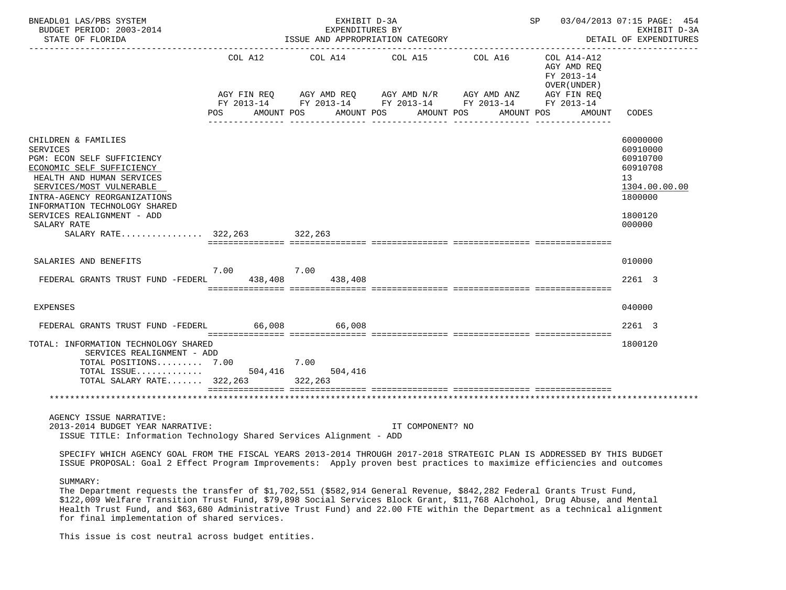| BNEADL01 LAS/PBS SYSTEM<br>BUDGET PERIOD: 2003-2014<br>STATE OF FLORIDA                                                                                                                                                                                                  |         | EXHIBIT D-3A<br>EXPENDITURES BY<br>ISSUE AND APPROPRIATION CATEGORY                                                     | SP 03/04/2013 07:15 PAGE: 454 | EXHIBIT D-3A<br>DETAIL OF EXPENDITURES |                                                           |                                                                                                     |
|--------------------------------------------------------------------------------------------------------------------------------------------------------------------------------------------------------------------------------------------------------------------------|---------|-------------------------------------------------------------------------------------------------------------------------|-------------------------------|----------------------------------------|-----------------------------------------------------------|-----------------------------------------------------------------------------------------------------|
|                                                                                                                                                                                                                                                                          | COL A12 | COL A14 COL A15 COL A16<br>AGY FIN REQ AGY AMD REQ AGY AMD N/R AGY AMD ANZ AGY FIN REQ FY 2013-14 FY 2013-14 FY 2013-14 |                               |                                        | COL A14-A12<br>AGY AMD REQ<br>FY 2013-14<br>OVER (UNDER ) |                                                                                                     |
|                                                                                                                                                                                                                                                                          | POS     | AMOUNT POS                                                                                                              | AMOUNT POS<br>AMOUNT POS      | AMOUNT POS                             | AMOUNT                                                    | CODES                                                                                               |
| CHILDREN & FAMILIES<br><b>SERVICES</b><br>PGM: ECON SELF SUFFICIENCY<br>ECONOMIC SELF SUFFICIENCY<br>HEALTH AND HUMAN SERVICES<br>SERVICES/MOST VULNERABLE<br>INTRA-AGENCY REORGANIZATIONS<br>INFORMATION TECHNOLOGY SHARED<br>SERVICES REALIGNMENT - ADD<br>SALARY RATE |         |                                                                                                                         |                               |                                        |                                                           | 60000000<br>60910000<br>60910700<br>60910708<br>13<br>1304.00.00.00<br>1800000<br>1800120<br>000000 |
| SALARY RATE 322,263 322,263                                                                                                                                                                                                                                              |         |                                                                                                                         |                               |                                        |                                                           |                                                                                                     |
| SALARIES AND BENEFITS                                                                                                                                                                                                                                                    | 7.00    | 7.00                                                                                                                    |                               |                                        |                                                           | 010000                                                                                              |
| FEDERAL GRANTS TRUST FUND -FEDERL                                                                                                                                                                                                                                        | 438,408 | 438,408                                                                                                                 |                               |                                        |                                                           | 2261 3                                                                                              |
| EXPENSES                                                                                                                                                                                                                                                                 |         |                                                                                                                         |                               |                                        |                                                           | 040000                                                                                              |
| FEDERAL GRANTS TRUST FUND -FEDERL                                                                                                                                                                                                                                        | 66,008  | 66,008                                                                                                                  |                               |                                        |                                                           | 2261 3                                                                                              |
| TOTAL: INFORMATION TECHNOLOGY SHARED<br>SERVICES REALIGNMENT - ADD<br>TOTAL POSITIONS 7.00<br>$\texttt{TOTAL}$ $\texttt{ISSUE} \dots \dots \dots \dots \dots$ 504,416<br>TOTAL SALARY RATE 322,263 322,263                                                               |         | 7.00<br>504,416                                                                                                         |                               |                                        |                                                           | 1800120                                                                                             |
|                                                                                                                                                                                                                                                                          |         |                                                                                                                         |                               |                                        |                                                           |                                                                                                     |
| AGENCY ISSUE NARRATIVE:<br>2013-2014 BUDGET YEAR NARRATIVE:<br>ISSUE TITLE: Information Technology Shared Services Alignment - ADD                                                                                                                                       |         |                                                                                                                         | IT COMPONENT? NO              |                                        |                                                           |                                                                                                     |
| SPECIFY WHICH AGENCY GOAL FROM THE FISCAL YEARS 2013-2014 THROUGH 2017-2018 STRATEGIC PLAN IS ADDRESSED BY THIS BUDGET<br>ISSUE PROPOSAL: Goal 2 Effect Program Improvements: Apply proven best practices to maximize efficiencies and outcomes                          |         |                                                                                                                         |                               |                                        |                                                           |                                                                                                     |
| SUMMARY:<br>The Department requests the transfer of \$1,702,551 (\$582,914 General Revenue, \$842,282 Federal Grants Trust Fund,                                                                                                                                         |         |                                                                                                                         |                               |                                        |                                                           |                                                                                                     |

 \$122,009 Welfare Transition Trust Fund, \$79,898 Social Services Block Grant, \$11,768 Alchohol, Drug Abuse, and Mental Health Trust Fund, and \$63,680 Administrative Trust Fund) and 22.00 FTE within the Department as a technical alignment for final implementation of shared services.

This issue is cost neutral across budget entities.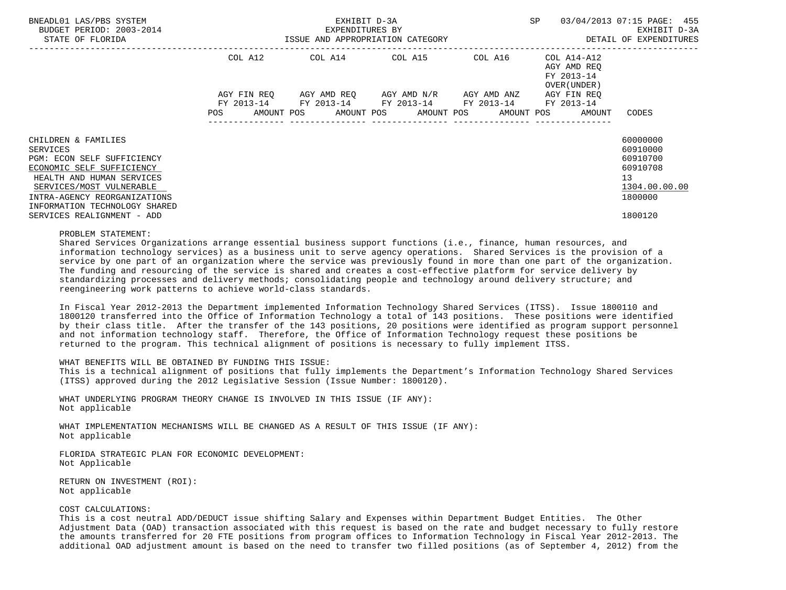| BNEADL01 LAS/PBS SYSTEM<br>BUDGET PERIOD: 2003-2014<br>STATE OF FLORIDA                                                                                                                                              | ISSUE AND APPROPRIATION CATEGORY | EXHIBIT D-3A<br>EXPENDITURES BY | SP                                                          | 03/04/2013 07:15 PAGE: 455<br>EXHIBIT D-3A<br>DETAIL OF EXPENDITURES |                                                          |                                                                                |
|----------------------------------------------------------------------------------------------------------------------------------------------------------------------------------------------------------------------|----------------------------------|---------------------------------|-------------------------------------------------------------|----------------------------------------------------------------------|----------------------------------------------------------|--------------------------------------------------------------------------------|
|                                                                                                                                                                                                                      | COL A12                          |                                 | COL A14 COL A15 COL A16                                     |                                                                      | COL A14-A12<br>AGY AMD REO<br>FY 2013-14<br>OVER (UNDER) |                                                                                |
|                                                                                                                                                                                                                      | AGY FIN REO<br>FY 2013-14        |                                 | AGY AMD REQ AGY AMD N/R<br>FY 2013-14 FY 2013-14 FY 2013-14 | AGY AMD ANZ                                                          | AGY FIN REO<br>FY 2013-14                                |                                                                                |
|                                                                                                                                                                                                                      | POS                              |                                 |                                                             |                                                                      | AMOUNT POS AMOUNT POS AMOUNT POS AMOUNT POS AMOUNT       | CODES                                                                          |
| CHILDREN & FAMILIES<br>SERVICES<br>PGM: ECON SELF SUFFICIENCY<br>ECONOMIC SELF SUFFICIENCY<br>HEALTH AND HUMAN SERVICES<br>SERVICES/MOST VULNERABLE<br>INTRA-AGENCY REORGANIZATIONS<br>INFORMATION TECHNOLOGY SHARED |                                  |                                 |                                                             |                                                                      |                                                          | 60000000<br>60910000<br>60910700<br>60910708<br>13<br>1304.00.00.00<br>1800000 |
| SERVICES REALIGNMENT - ADD                                                                                                                                                                                           |                                  |                                 |                                                             |                                                                      |                                                          | 1800120                                                                        |

#### PROBLEM STATEMENT:

 Shared Services Organizations arrange essential business support functions (i.e., finance, human resources, and information technology services) as a business unit to serve agency operations. Shared Services is the provision of a service by one part of an organization where the service was previously found in more than one part of the organization. The funding and resourcing of the service is shared and creates a cost-effective platform for service delivery by standardizing processes and delivery methods; consolidating people and technology around delivery structure; and reengineering work patterns to achieve world-class standards.

 In Fiscal Year 2012-2013 the Department implemented Information Technology Shared Services (ITSS). Issue 1800110 and 1800120 transferred into the Office of Information Technology a total of 143 positions. These positions were identified by their class title. After the transfer of the 143 positions, 20 positions were identified as program support personnel and not information technology staff. Therefore, the Office of Information Technology request these positions be returned to the program. This technical alignment of positions is necessary to fully implement ITSS.

### WHAT BENEFITS WILL BE OBTAINED BY FUNDING THIS ISSUE:

 This is a technical alignment of positions that fully implements the Department's Information Technology Shared Services (ITSS) approved during the 2012 Legislative Session (Issue Number: 1800120).

 WHAT UNDERLYING PROGRAM THEORY CHANGE IS INVOLVED IN THIS ISSUE (IF ANY): Not applicable

 WHAT IMPLEMENTATION MECHANISMS WILL BE CHANGED AS A RESULT OF THIS ISSUE (IF ANY): Not applicable

 FLORIDA STRATEGIC PLAN FOR ECONOMIC DEVELOPMENT: Not Applicable

 RETURN ON INVESTMENT (ROI): Not applicable

## COST CALCULATIONS:

 This is a cost neutral ADD/DEDUCT issue shifting Salary and Expenses within Department Budget Entities. The Other Adjustment Data (OAD) transaction associated with this request is based on the rate and budget necessary to fully restore the amounts transferred for 20 FTE positions from program offices to Information Technology in Fiscal Year 2012-2013. The additional OAD adjustment amount is based on the need to transfer two filled positions (as of September 4, 2012) from the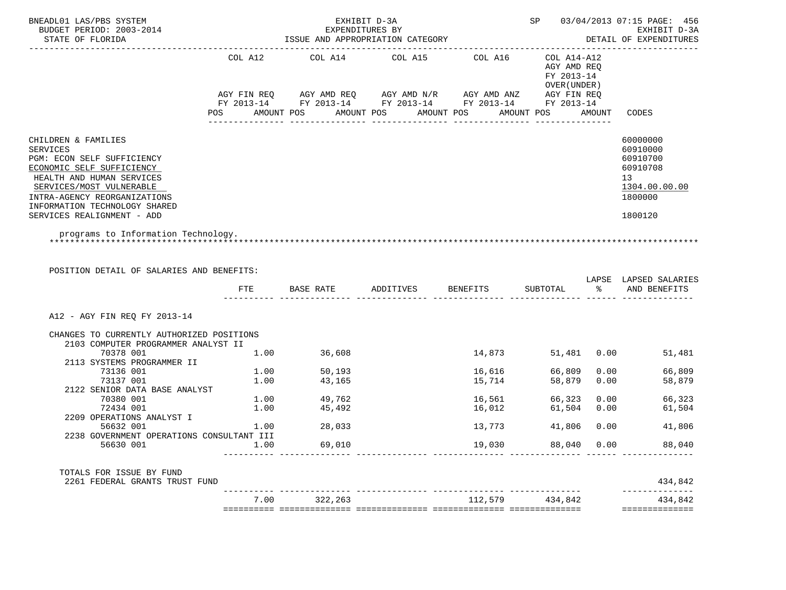| BNEADL01 LAS/PBS SYSTEM<br>BUDGET PERIOD: 2003-2014                                                                                                                                                                                                       |      |                                    | EXHIBIT D-3A<br>EXPENDITURES BY           |                                           |                                                           |             | SP 03/04/2013 07:15 PAGE: 456<br>EXHIBIT D-3A                                             |
|-----------------------------------------------------------------------------------------------------------------------------------------------------------------------------------------------------------------------------------------------------------|------|------------------------------------|-------------------------------------------|-------------------------------------------|-----------------------------------------------------------|-------------|-------------------------------------------------------------------------------------------|
| STATE OF FLORIDA                                                                                                                                                                                                                                          |      |                                    | ISSUE AND APPROPRIATION CATEGORY          |                                           |                                                           |             | DETAIL OF EXPENDITURES                                                                    |
| POS                                                                                                                                                                                                                                                       |      | COL A12 COL A14<br>AMOUNT POS      | AMOUNT POS                                | COL A15 COL A16 COL A14-A12<br>AMOUNT POS | AGY AMD REO<br>FY 2013-14<br>OVER ( UNDER )<br>AMOUNT POS | AMOUNT      | CODES                                                                                     |
|                                                                                                                                                                                                                                                           |      |                                    |                                           |                                           |                                                           |             |                                                                                           |
| CHILDREN & FAMILIES<br><b>SERVICES</b><br>PGM: ECON SELF SUFFICIENCY<br>ECONOMIC SELF SUFFICIENCY<br>HEALTH AND HUMAN SERVICES<br>SERVICES/MOST VULNERABLE<br>INTRA-AGENCY REORGANIZATIONS<br>INFORMATION TECHNOLOGY SHARED<br>SERVICES REALIGNMENT - ADD |      |                                    |                                           |                                           |                                                           |             | 60000000<br>60910000<br>60910700<br>60910708<br>13<br>1304.00.00.00<br>1800000<br>1800120 |
| programs to Information Technology.                                                                                                                                                                                                                       |      |                                    |                                           |                                           |                                                           |             |                                                                                           |
| POSITION DETAIL OF SALARIES AND BENEFITS:                                                                                                                                                                                                                 |      |                                    | FTE BASE RATE ADDITIVES BENEFITS SUBTOTAL |                                           |                                                           |             | LAPSE LAPSED SALARIES<br>% AND BENEFITS                                                   |
| A12 - AGY FIN REO FY 2013-14                                                                                                                                                                                                                              |      |                                    |                                           |                                           |                                                           |             |                                                                                           |
| CHANGES TO CURRENTLY AUTHORIZED POSITIONS<br>2103 COMPUTER PROGRAMMER ANALYST II                                                                                                                                                                          |      |                                    |                                           |                                           |                                                           |             |                                                                                           |
| 70378 001<br>1.00 36,608<br>2113 SYSTEMS PROGRAMMER II                                                                                                                                                                                                    |      |                                    |                                           | 14,873                                    |                                                           |             | 51,481 0.00 51,481                                                                        |
| 73136 001                                                                                                                                                                                                                                                 |      |                                    |                                           | 16,616                                    | 66,809                                                    | 0.00        | 66,809                                                                                    |
| 73137 001                                                                                                                                                                                                                                                 |      | $1.00$ $50,193$<br>$1.00$ $43,165$ |                                           | 15,714                                    | 58,879                                                    | 0.00        |                                                                                           |
| 2122 SENIOR DATA BASE ANALYST                                                                                                                                                                                                                             |      |                                    |                                           |                                           |                                                           |             | 58,879                                                                                    |
| 70380 001                                                                                                                                                                                                                                                 |      |                                    |                                           |                                           |                                                           |             |                                                                                           |
| 72434 001                                                                                                                                                                                                                                                 |      | 1.00 49,762                        |                                           | 16,561                                    | 66,323                                                    |             | $0.00$ 66,323                                                                             |
| 2209 OPERATIONS ANALYST I                                                                                                                                                                                                                                 |      | $1.00$ $45,492$                    |                                           | 16,012                                    | 61,504                                                    | 0.00        | 61,504                                                                                    |
|                                                                                                                                                                                                                                                           |      |                                    |                                           |                                           |                                                           |             |                                                                                           |
| 56632 001                                                                                                                                                                                                                                                 |      | $1.00$ 28,033                      |                                           | 13,773                                    |                                                           | 41,806 0.00 | 41,806                                                                                    |
| 2238 GOVERNMENT OPERATIONS CONSULTANT III                                                                                                                                                                                                                 |      |                                    |                                           |                                           |                                                           |             |                                                                                           |
| 56630 001                                                                                                                                                                                                                                                 | 1.00 | 69,010                             |                                           | 19,030                                    |                                                           | 88,040 0.00 | 88,040                                                                                    |
| TOTALS FOR ISSUE BY FUND                                                                                                                                                                                                                                  |      |                                    |                                           |                                           |                                                           |             |                                                                                           |
| 2261 FEDERAL GRANTS TRUST FUND                                                                                                                                                                                                                            |      | 7.00 322,263                       |                                           | 112,579 434,842                           |                                                           |             | 434,842<br>--------------                                                                 |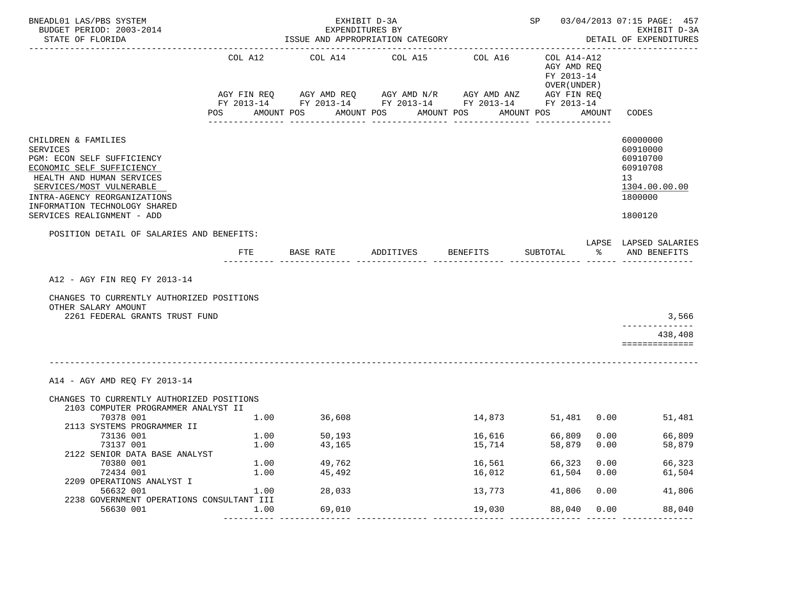| COL A12<br>COL A14<br>COL A15<br>COL A16<br>COL A14-A12<br>AGY AMD REQ<br>FY 2013-14<br>OVER (UNDER )<br>AGY AMD REQ AGY AMD N/R AGY AMD ANZ<br>AGY FIN REQ<br>AGY FIN REQ<br>FY 2013-14 FY 2013-14 FY 2013-14 FY 2013-14 FY 2013-14<br>POS<br>AMOUNT POS<br>AMOUNT POS<br>AMOUNT POS<br>AMOUNT POS<br>AMOUNT<br>CODES<br>---------------<br>---------------<br><u>uuuuuuuuuuu</u><br>CHILDREN & FAMILIES<br>60000000<br>60910000<br><b>SERVICES</b><br>PGM: ECON SELF SUFFICIENCY<br>60910700<br>60910708<br>ECONOMIC SELF SUFFICIENCY<br>HEALTH AND HUMAN SERVICES<br>13<br>SERVICES/MOST VULNERABLE<br>1304.00.00.00<br>INTRA-AGENCY REORGANIZATIONS<br>1800000<br>INFORMATION TECHNOLOGY SHARED<br>SERVICES REALIGNMENT - ADD<br>1800120<br>POSITION DETAIL OF SALARIES AND BENEFITS:<br>LAPSE LAPSED SALARIES<br>ADDITIVES<br>BENEFITS<br>$\sim$ $\sim$ $\sim$<br>AND BENEFITS<br>FTE<br>BASE RATE<br>SUBTOTAL<br>A12 - AGY FIN REQ FY 2013-14<br>CHANGES TO CURRENTLY AUTHORIZED POSITIONS<br>OTHER SALARY AMOUNT<br>2261 FEDERAL GRANTS TRUST FUND<br>3,566<br>-----------<br>438,408<br>==============<br>A14 - AGY AMD REQ FY 2013-14<br>CHANGES TO CURRENTLY AUTHORIZED POSITIONS<br>2103 COMPUTER PROGRAMMER ANALYST II<br>70378 001<br>51,481 0.00<br>1.00<br>36,608<br>14,873<br>51,481<br>2113 SYSTEMS PROGRAMMER II<br>66,809<br>73136 001<br>1.00<br>50,193<br>16,616<br>0.00<br>66,809<br>73137 001<br>1.00<br>43,165<br>15,714<br>58,879<br>0.00<br>58,879<br>2122 SENIOR DATA BASE ANALYST<br>1.00<br>49,762<br>0.00<br>66,323<br>70380 001<br>16,561<br>66,323<br>1.00<br>72434 001<br>45,492<br>16,012<br>61,504<br>0.00<br>61,504<br>2209 OPERATIONS ANALYST I<br>56632 001<br>1.00<br>28,033<br>13,773<br>41,806<br>0.00<br>41,806<br>2238 GOVERNMENT OPERATIONS CONSULTANT III | BNEADL01 LAS/PBS SYSTEM<br>BUDGET PERIOD: 2003-2014<br>STATE OF FLORIDA |      | EXHIBIT D-3A<br>EXPENDITURES BY | ISSUE AND APPROPRIATION CATEGORY |        |        |      | SP 03/04/2013 07:15 PAGE: 457<br>EXHIBIT D-3A<br>DETAIL OF EXPENDITURES |
|--------------------------------------------------------------------------------------------------------------------------------------------------------------------------------------------------------------------------------------------------------------------------------------------------------------------------------------------------------------------------------------------------------------------------------------------------------------------------------------------------------------------------------------------------------------------------------------------------------------------------------------------------------------------------------------------------------------------------------------------------------------------------------------------------------------------------------------------------------------------------------------------------------------------------------------------------------------------------------------------------------------------------------------------------------------------------------------------------------------------------------------------------------------------------------------------------------------------------------------------------------------------------------------------------------------------------------------------------------------------------------------------------------------------------------------------------------------------------------------------------------------------------------------------------------------------------------------------------------------------------------------------------------------------------------------------------------------------------------------------------------------------------------------------------------|-------------------------------------------------------------------------|------|---------------------------------|----------------------------------|--------|--------|------|-------------------------------------------------------------------------|
|                                                                                                                                                                                                                                                                                                                                                                                                                                                                                                                                                                                                                                                                                                                                                                                                                                                                                                                                                                                                                                                                                                                                                                                                                                                                                                                                                                                                                                                                                                                                                                                                                                                                                                                                                                                                        |                                                                         |      |                                 |                                  |        |        |      |                                                                         |
|                                                                                                                                                                                                                                                                                                                                                                                                                                                                                                                                                                                                                                                                                                                                                                                                                                                                                                                                                                                                                                                                                                                                                                                                                                                                                                                                                                                                                                                                                                                                                                                                                                                                                                                                                                                                        |                                                                         |      |                                 |                                  |        |        |      |                                                                         |
|                                                                                                                                                                                                                                                                                                                                                                                                                                                                                                                                                                                                                                                                                                                                                                                                                                                                                                                                                                                                                                                                                                                                                                                                                                                                                                                                                                                                                                                                                                                                                                                                                                                                                                                                                                                                        |                                                                         |      |                                 |                                  |        |        |      |                                                                         |
|                                                                                                                                                                                                                                                                                                                                                                                                                                                                                                                                                                                                                                                                                                                                                                                                                                                                                                                                                                                                                                                                                                                                                                                                                                                                                                                                                                                                                                                                                                                                                                                                                                                                                                                                                                                                        |                                                                         |      |                                 |                                  |        |        |      |                                                                         |
|                                                                                                                                                                                                                                                                                                                                                                                                                                                                                                                                                                                                                                                                                                                                                                                                                                                                                                                                                                                                                                                                                                                                                                                                                                                                                                                                                                                                                                                                                                                                                                                                                                                                                                                                                                                                        |                                                                         |      |                                 |                                  |        |        |      |                                                                         |
|                                                                                                                                                                                                                                                                                                                                                                                                                                                                                                                                                                                                                                                                                                                                                                                                                                                                                                                                                                                                                                                                                                                                                                                                                                                                                                                                                                                                                                                                                                                                                                                                                                                                                                                                                                                                        |                                                                         |      |                                 |                                  |        |        |      |                                                                         |
|                                                                                                                                                                                                                                                                                                                                                                                                                                                                                                                                                                                                                                                                                                                                                                                                                                                                                                                                                                                                                                                                                                                                                                                                                                                                                                                                                                                                                                                                                                                                                                                                                                                                                                                                                                                                        |                                                                         |      |                                 |                                  |        |        |      |                                                                         |
|                                                                                                                                                                                                                                                                                                                                                                                                                                                                                                                                                                                                                                                                                                                                                                                                                                                                                                                                                                                                                                                                                                                                                                                                                                                                                                                                                                                                                                                                                                                                                                                                                                                                                                                                                                                                        |                                                                         |      |                                 |                                  |        |        |      |                                                                         |
|                                                                                                                                                                                                                                                                                                                                                                                                                                                                                                                                                                                                                                                                                                                                                                                                                                                                                                                                                                                                                                                                                                                                                                                                                                                                                                                                                                                                                                                                                                                                                                                                                                                                                                                                                                                                        |                                                                         |      |                                 |                                  |        |        |      |                                                                         |
|                                                                                                                                                                                                                                                                                                                                                                                                                                                                                                                                                                                                                                                                                                                                                                                                                                                                                                                                                                                                                                                                                                                                                                                                                                                                                                                                                                                                                                                                                                                                                                                                                                                                                                                                                                                                        |                                                                         |      |                                 |                                  |        |        |      |                                                                         |
|                                                                                                                                                                                                                                                                                                                                                                                                                                                                                                                                                                                                                                                                                                                                                                                                                                                                                                                                                                                                                                                                                                                                                                                                                                                                                                                                                                                                                                                                                                                                                                                                                                                                                                                                                                                                        |                                                                         |      |                                 |                                  |        |        |      |                                                                         |
|                                                                                                                                                                                                                                                                                                                                                                                                                                                                                                                                                                                                                                                                                                                                                                                                                                                                                                                                                                                                                                                                                                                                                                                                                                                                                                                                                                                                                                                                                                                                                                                                                                                                                                                                                                                                        | 56630 001                                                               | 1.00 | 69,010                          |                                  | 19,030 | 88,040 | 0.00 | 88,040                                                                  |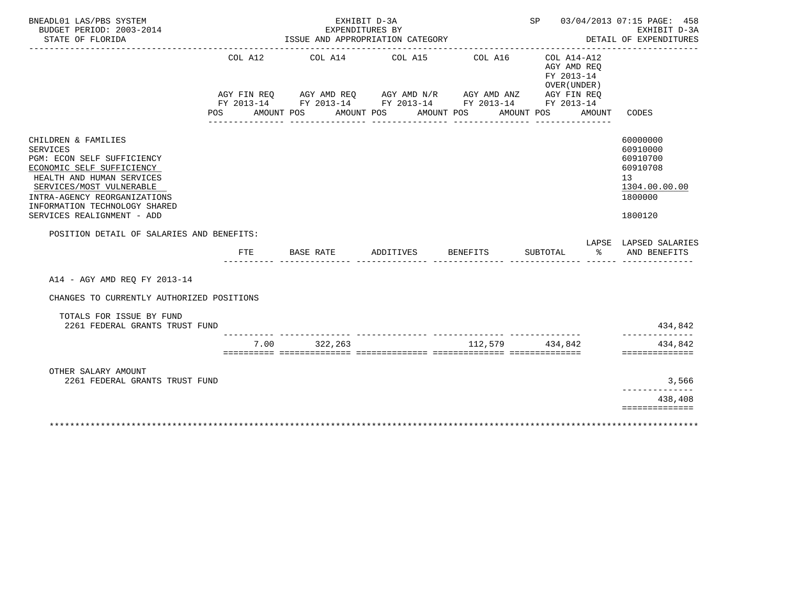| BNEADL01 LAS/PBS SYSTEM<br>BUDGET PERIOD: 2003-2014<br>STATE OF FLORIDA                                                                                                                                                                                                                                |                       |            | EXHIBIT D-3A<br>EXPENDITURES BY<br>ISSUE AND APPROPRIATION CATEGORY                                                                                    |                       |                                                                                  | SP 03/04/2013 07:15 PAGE: 458<br>EXHIBIT D-3A<br>DETAIL OF EXPENDITURES                                |
|--------------------------------------------------------------------------------------------------------------------------------------------------------------------------------------------------------------------------------------------------------------------------------------------------------|-----------------------|------------|--------------------------------------------------------------------------------------------------------------------------------------------------------|-----------------------|----------------------------------------------------------------------------------|--------------------------------------------------------------------------------------------------------|
|                                                                                                                                                                                                                                                                                                        | COL A12<br><b>POS</b> | AMOUNT POS | COL A14 COL A15<br>AGY FIN REQ AGY AMD REQ AGY AMD N/R AGY AMD ANZ AGY FIN REQ<br>FY 2013-14 FY 2013-14 FY 2013-14 FY 2013-14 FY 2013-14<br>AMOUNT POS | COL A16<br>AMOUNT POS | COL A14-A12<br>AGY AMD REQ<br>FY 2013-14<br>OVER (UNDER)<br>AMOUNT POS<br>AMOUNT | CODES                                                                                                  |
| CHILDREN & FAMILIES<br><b>SERVICES</b><br>PGM: ECON SELF SUFFICIENCY<br>ECONOMIC SELF SUFFICIENCY<br>HEALTH AND HUMAN SERVICES<br>SERVICES/MOST VULNERABLE<br>INTRA-AGENCY REORGANIZATIONS<br>INFORMATION TECHNOLOGY SHARED<br>SERVICES REALIGNMENT - ADD<br>POSITION DETAIL OF SALARIES AND BENEFITS: |                       |            |                                                                                                                                                        |                       |                                                                                  | 60000000<br>60910000<br>60910700<br>60910708<br>13 <sup>°</sup><br>1304.00.00.00<br>1800000<br>1800120 |
|                                                                                                                                                                                                                                                                                                        | FTE                   | BASE RATE  | ADDITIVES                                                                                                                                              | BENEFITS              | SUBTOTAL<br>ႜೢ                                                                   | LAPSE LAPSED SALARIES<br>AND BENEFITS                                                                  |
| A14 - AGY AMD REO FY 2013-14                                                                                                                                                                                                                                                                           |                       |            |                                                                                                                                                        |                       |                                                                                  |                                                                                                        |
| CHANGES TO CURRENTLY AUTHORIZED POSITIONS                                                                                                                                                                                                                                                              |                       |            |                                                                                                                                                        |                       |                                                                                  |                                                                                                        |
| TOTALS FOR ISSUE BY FUND<br>2261 FEDERAL GRANTS TRUST FUND                                                                                                                                                                                                                                             |                       |            |                                                                                                                                                        |                       |                                                                                  | 434,842                                                                                                |
|                                                                                                                                                                                                                                                                                                        | 7.00                  | 322,263    |                                                                                                                                                        | 112,579               | ___ _______________<br>434.842                                                   | ______________<br>434,842<br>==============                                                            |
| OTHER SALARY AMOUNT<br>2261 FEDERAL GRANTS TRUST FUND                                                                                                                                                                                                                                                  |                       |            |                                                                                                                                                        |                       |                                                                                  | 3,566                                                                                                  |
|                                                                                                                                                                                                                                                                                                        |                       |            |                                                                                                                                                        |                       |                                                                                  | 438,408<br>==============                                                                              |
|                                                                                                                                                                                                                                                                                                        |                       |            |                                                                                                                                                        |                       |                                                                                  |                                                                                                        |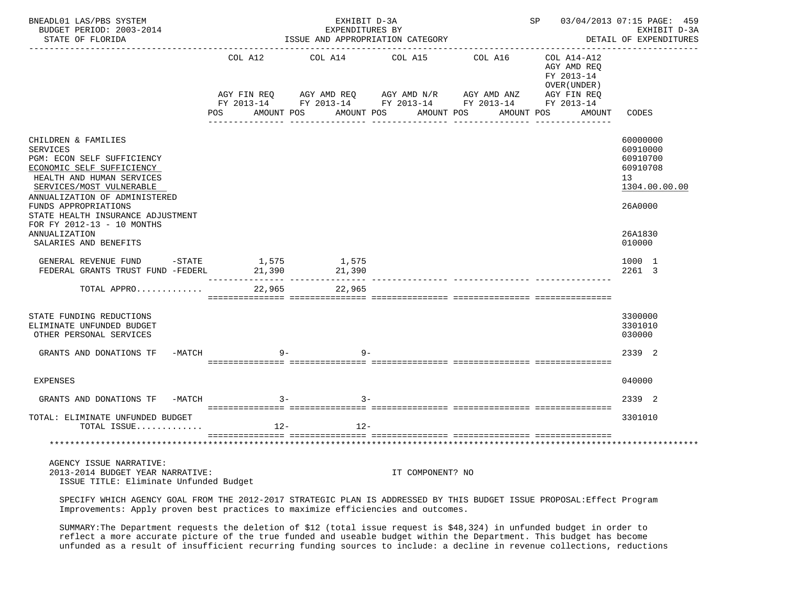| BNEADL01 LAS/PBS SYSTEM<br>BUDGET PERIOD: 2003-2014<br>STATE OF FLORIDA                                                                                                                                                                                                         | ISSUE AND APPROPRIATION CATEGORY |                                                                                                                                                | SP 03/04/2013 07:15 PAGE: 459<br>EXHIBIT D-3A<br>DETAIL OF EXPENDITURES |                                     |                                                                    |                                                                                |
|---------------------------------------------------------------------------------------------------------------------------------------------------------------------------------------------------------------------------------------------------------------------------------|----------------------------------|------------------------------------------------------------------------------------------------------------------------------------------------|-------------------------------------------------------------------------|-------------------------------------|--------------------------------------------------------------------|--------------------------------------------------------------------------------|
|                                                                                                                                                                                                                                                                                 | COL A12<br>POS                   | COL A14<br>AGY FIN REQ AGY AMD REQ AGY AMD N/R AGY AMD ANZ AGY FIN REQ<br>FY 2013-14 FY 2013-14 FY 2013-14 FY 2013-14 FY 2013-14<br>AMOUNT POS | COL A15<br>AMOUNT POS                                                   | COL A16<br>AMOUNT POS<br>AMOUNT POS | COL A14-A12<br>AGY AMD REO<br>FY 2013-14<br>OVER (UNDER)<br>AMOUNT | CODES                                                                          |
| CHILDREN & FAMILIES<br>SERVICES<br>PGM: ECON SELF SUFFICIENCY<br>ECONOMIC SELF SUFFICIENCY<br>HEALTH AND HUMAN SERVICES<br>SERVICES/MOST VULNERABLE<br>ANNUALIZATION OF ADMINISTERED<br>FUNDS APPROPRIATIONS<br>STATE HEALTH INSURANCE ADJUSTMENT<br>FOR FY 2012-13 - 10 MONTHS |                                  |                                                                                                                                                |                                                                         |                                     |                                                                    | 60000000<br>60910000<br>60910700<br>60910708<br>13<br>1304.00.00.00<br>26A0000 |
| ANNUALIZATION<br>SALARIES AND BENEFITS<br>GENERAL REVENUE FUND -STATE 1,575                                                                                                                                                                                                     |                                  | 1,575                                                                                                                                          |                                                                         |                                     |                                                                    | 26A1830<br>010000<br>1000 1                                                    |
| FEDERAL GRANTS TRUST FUND -FEDERL<br>TOTAL APPRO                                                                                                                                                                                                                                | 21,390<br>22,965                 | 21,390<br>22,965                                                                                                                               |                                                                         |                                     |                                                                    | 2261 3                                                                         |
| STATE FUNDING REDUCTIONS<br>ELIMINATE UNFUNDED BUDGET<br>OTHER PERSONAL SERVICES                                                                                                                                                                                                |                                  |                                                                                                                                                |                                                                         |                                     |                                                                    | 3300000<br>3301010<br>030000                                                   |
| $-MATCH$<br>GRANTS AND DONATIONS TF                                                                                                                                                                                                                                             |                                  | $9-$<br>$9 -$                                                                                                                                  |                                                                         |                                     |                                                                    | 2339 2                                                                         |
| <b>EXPENSES</b>                                                                                                                                                                                                                                                                 |                                  |                                                                                                                                                |                                                                         |                                     |                                                                    | 040000                                                                         |
| GRANTS AND DONATIONS TF<br>-MATCH                                                                                                                                                                                                                                               | $3 -$                            | $3 -$                                                                                                                                          |                                                                         |                                     |                                                                    | 2339 2                                                                         |
| TOTAL: ELIMINATE UNFUNDED BUDGET<br>TOTAL ISSUE                                                                                                                                                                                                                                 |                                  | $12-$<br>$12 -$                                                                                                                                |                                                                         |                                     |                                                                    | 3301010                                                                        |
|                                                                                                                                                                                                                                                                                 |                                  |                                                                                                                                                |                                                                         |                                     |                                                                    |                                                                                |
| AGENCY ISSUE NARRATIVE:<br>2013-2014 BUDGET YEAR NARRATIVE:<br>ISSUE TITLE: Eliminate Unfunded Budget                                                                                                                                                                           |                                  |                                                                                                                                                | IT COMPONENT? NO                                                        |                                     |                                                                    |                                                                                |

 SPECIFY WHICH AGENCY GOAL FROM THE 2012-2017 STRATEGIC PLAN IS ADDRESSED BY THIS BUDGET ISSUE PROPOSAL:Effect Program Improvements: Apply proven best practices to maximize efficiencies and outcomes.

 SUMMARY:The Department requests the deletion of \$12 (total issue request is \$48,324) in unfunded budget in order to reflect a more accurate picture of the true funded and useable budget within the Department. This budget has become unfunded as a result of insufficient recurring funding sources to include: a decline in revenue collections, reductions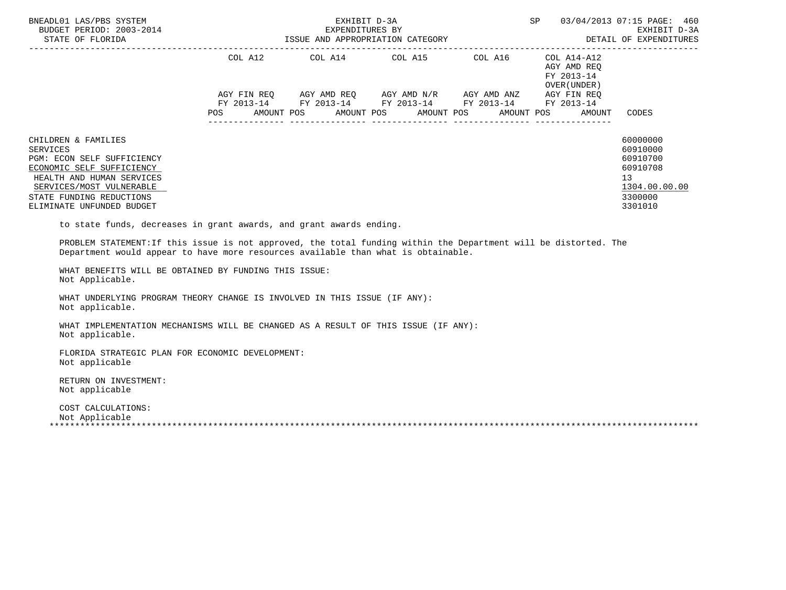| BNEADL01 LAS/PBS SYSTEM<br>BUDGET PERIOD: 2003-2014<br>STATE OF FLORIDA                                                                                                                                                                                                                    | EXHIBIT D-3A<br>SP 03/04/2013 07:15 PAGE: 460 |  |                                                                                                                                                                      |  |                                                                                                          |                                                                                                        |  |  |
|--------------------------------------------------------------------------------------------------------------------------------------------------------------------------------------------------------------------------------------------------------------------------------------------|-----------------------------------------------|--|----------------------------------------------------------------------------------------------------------------------------------------------------------------------|--|----------------------------------------------------------------------------------------------------------|--------------------------------------------------------------------------------------------------------|--|--|
|                                                                                                                                                                                                                                                                                            |                                               |  | COL A12 COL A14 COL A15 COL A16 COL A14-A12<br>AGY FIN REQ AGY AMD REQ AGY AMD N/R AGY AMD ANZ AGY FIN REQ<br>FY 2013-14 FY 2013-14 FY 2013-14 FY 2013-14 FY 2013-14 |  | AGY AMD REQ<br>FY 2013-14<br>OVER(UNDER)<br>POS AMOUNT POS AMOUNT POS AMOUNT POS AMOUNT POS AMOUNT CODES |                                                                                                        |  |  |
| CHILDREN & FAMILIES<br><b>SERVICES</b><br>PGM: ECON SELF SUFFICIENCY<br>ECONOMIC SELF SUFFICIENCY<br>HEALTH AND HUMAN SERVICES<br>SERVICES/MOST VULNERABLE<br>STATE FUNDING REDUCTIONS<br>ELIMINATE UNFUNDED BUDGET<br>to state funds, decreases in grant awards, and grant awards ending. |                                               |  |                                                                                                                                                                      |  |                                                                                                          | 60000000<br>60910000<br>60910700<br>60910708<br>13 <sup>°</sup><br>1304.00.00.00<br>3300000<br>3301010 |  |  |
| PROBLEM STATEMENT: If this issue is not approved, the total funding within the Department will be distorted. The<br>Department would appear to have more resources available than what is obtainable.<br>WHAT BENEFITS WILL BE OBTAINED BY FUNDING THIS ISSUE:<br>Not Applicable.          |                                               |  |                                                                                                                                                                      |  |                                                                                                          |                                                                                                        |  |  |
| WHAT UNDERLYING PROGRAM THEORY CHANGE IS INVOLVED IN THIS ISSUE (IF ANY):<br>Not applicable.                                                                                                                                                                                               |                                               |  |                                                                                                                                                                      |  |                                                                                                          |                                                                                                        |  |  |
| WHAT IMPLEMENTATION MECHANISMS WILL BE CHANGED AS A RESULT OF THIS ISSUE (IF ANY):<br>Not applicable.                                                                                                                                                                                      |                                               |  |                                                                                                                                                                      |  |                                                                                                          |                                                                                                        |  |  |
| FLORIDA STRATEGIC PLAN FOR ECONOMIC DEVELOPMENT:<br>Not applicable                                                                                                                                                                                                                         |                                               |  |                                                                                                                                                                      |  |                                                                                                          |                                                                                                        |  |  |
| RETURN ON INVESTMENT:<br>Not applicable                                                                                                                                                                                                                                                    |                                               |  |                                                                                                                                                                      |  |                                                                                                          |                                                                                                        |  |  |

 COST CALCULATIONS: Not Applicable \*\*\*\*\*\*\*\*\*\*\*\*\*\*\*\*\*\*\*\*\*\*\*\*\*\*\*\*\*\*\*\*\*\*\*\*\*\*\*\*\*\*\*\*\*\*\*\*\*\*\*\*\*\*\*\*\*\*\*\*\*\*\*\*\*\*\*\*\*\*\*\*\*\*\*\*\*\*\*\*\*\*\*\*\*\*\*\*\*\*\*\*\*\*\*\*\*\*\*\*\*\*\*\*\*\*\*\*\*\*\*\*\*\*\*\*\*\*\*\*\*\*\*\*\*\*\*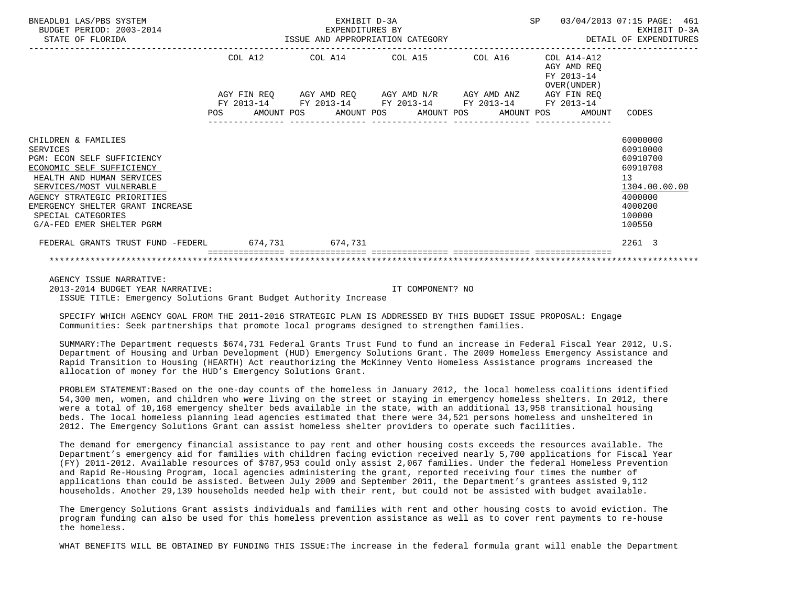| BNEADL01 LAS/PBS SYSTEM<br>BUDGET PERIOD: 2003-2014                                                                                                                                                                                                                       | EXHIBIT D-3A<br>EXPENDITURES BY<br>EXEMPLIORES BY<br>STATE OF FLORIDA STATE OF PORTUGAL STATE OF STATE OF STATE OF PLORIDA |  |  |                                                                                                                                           |  |  |  |                  | SP 03/04/2013 07:15 PAGE: 461<br>EXHIBIT D-3A<br>DETAIL OF EXPENDITURES |                                                                                                               |
|---------------------------------------------------------------------------------------------------------------------------------------------------------------------------------------------------------------------------------------------------------------------------|----------------------------------------------------------------------------------------------------------------------------|--|--|-------------------------------------------------------------------------------------------------------------------------------------------|--|--|--|------------------|-------------------------------------------------------------------------|---------------------------------------------------------------------------------------------------------------|
|                                                                                                                                                                                                                                                                           |                                                                                                                            |  |  | COL A12 COL A14 COL A15 COL A16 COL A14-A12                                                                                               |  |  |  |                  | AGY AMD REO<br>FY 2013-14<br>OVER (UNDER )                              |                                                                                                               |
|                                                                                                                                                                                                                                                                           |                                                                                                                            |  |  | AGY FIN REQ      AGY AMD REQ      AGY AMD N/R      AGY AMD ANZ      AGY FIN REQ<br>FY 2013-14 FY 2013-14 FY 2013-14 FY 2013-14 FY 2013-14 |  |  |  | ---------------- | POS AMOUNT POS AMOUNT POS AMOUNT POS AMOUNT POS AMOUNT CODES            |                                                                                                               |
| CHILDREN & FAMILIES<br>SERVICES<br>PGM: ECON SELF SUFFICIENCY<br>ECONOMIC SELF SUFFICIENCY<br>HEALTH AND HUMAN SERVICES<br>SERVICES/MOST VULNERABLE<br>AGENCY STRATEGIC PRIORITIES<br>EMERGENCY SHELTER GRANT INCREASE<br>SPECIAL CATEGORIES<br>G/A-FED EMER SHELTER PGRM |                                                                                                                            |  |  |                                                                                                                                           |  |  |  |                  |                                                                         | 60000000<br>60910000<br>60910700<br>60910708<br>13<br>1304.00.00.00<br>4000000<br>4000200<br>100000<br>100550 |
| FEDERAL GRANTS TRUST FUND -FEDERL 674,731 674,731                                                                                                                                                                                                                         |                                                                                                                            |  |  |                                                                                                                                           |  |  |  |                  |                                                                         | 2261 3                                                                                                        |
|                                                                                                                                                                                                                                                                           |                                                                                                                            |  |  |                                                                                                                                           |  |  |  |                  |                                                                         |                                                                                                               |

 AGENCY ISSUE NARRATIVE: 2013-2014 BUDGET YEAR NARRATIVE: IT COMPONENT? NO ISSUE TITLE: Emergency Solutions Grant Budget Authority Increase

 SPECIFY WHICH AGENCY GOAL FROM THE 2011-2016 STRATEGIC PLAN IS ADDRESSED BY THIS BUDGET ISSUE PROPOSAL: Engage Communities: Seek partnerships that promote local programs designed to strengthen families.

 SUMMARY:The Department requests \$674,731 Federal Grants Trust Fund to fund an increase in Federal Fiscal Year 2012, U.S. Department of Housing and Urban Development (HUD) Emergency Solutions Grant. The 2009 Homeless Emergency Assistance and Rapid Transition to Housing (HEARTH) Act reauthorizing the McKinney Vento Homeless Assistance programs increased the allocation of money for the HUD's Emergency Solutions Grant.

 PROBLEM STATEMENT:Based on the one-day counts of the homeless in January 2012, the local homeless coalitions identified 54,300 men, women, and children who were living on the street or staying in emergency homeless shelters. In 2012, there were a total of 10,168 emergency shelter beds available in the state, with an additional 13,958 transitional housing beds. The local homeless planning lead agencies estimated that there were 34,521 persons homeless and unsheltered in 2012. The Emergency Solutions Grant can assist homeless shelter providers to operate such facilities.

 The demand for emergency financial assistance to pay rent and other housing costs exceeds the resources available. The Department's emergency aid for families with children facing eviction received nearly 5,700 applications for Fiscal Year (FY) 2011-2012. Available resources of \$787,953 could only assist 2,067 families. Under the federal Homeless Prevention and Rapid Re-Housing Program, local agencies administering the grant, reported receiving four times the number of applications than could be assisted. Between July 2009 and September 2011, the Department's grantees assisted 9,112 households. Another 29,139 households needed help with their rent, but could not be assisted with budget available.

 The Emergency Solutions Grant assists individuals and families with rent and other housing costs to avoid eviction. The program funding can also be used for this homeless prevention assistance as well as to cover rent payments to re-house the homeless.

WHAT BENEFITS WILL BE OBTAINED BY FUNDING THIS ISSUE:The increase in the federal formula grant will enable the Department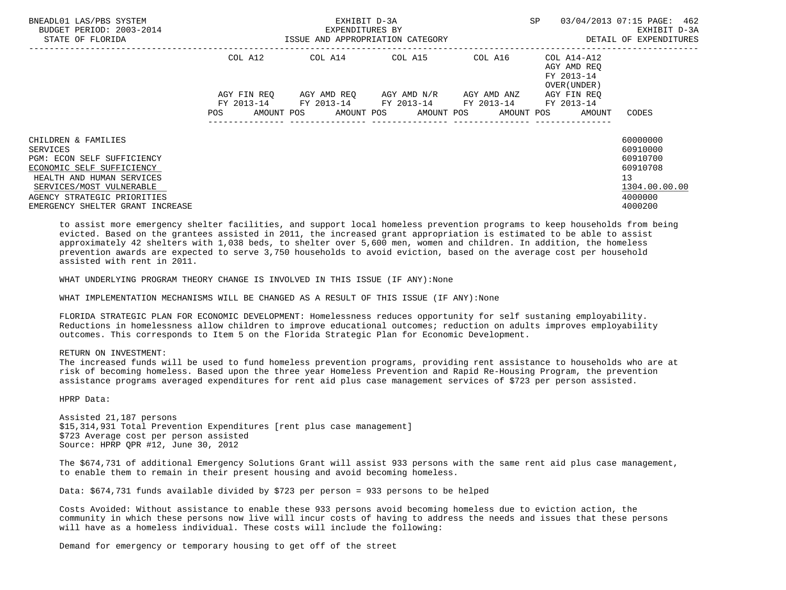| BNEADL01 LAS/PBS SYSTEM<br>BUDGET PERIOD: 2003-2014<br>STATE OF FLORIDA                                                                                                                                                |                    | EXHIBIT D-3A<br>EXPENDITURES BY<br>ISSUE AND APPROPRIATION CATEGORY | <b>SP</b>                                                                                                                                                       | 03/04/2013 07:15 PAGE: 462<br>EXHIBIT D-3A<br>DETAIL OF EXPENDITURES |                                                          |                                                                                           |
|------------------------------------------------------------------------------------------------------------------------------------------------------------------------------------------------------------------------|--------------------|---------------------------------------------------------------------|-----------------------------------------------------------------------------------------------------------------------------------------------------------------|----------------------------------------------------------------------|----------------------------------------------------------|-------------------------------------------------------------------------------------------|
|                                                                                                                                                                                                                        | COL A12            |                                                                     | COL A14 COL A15                                                                                                                                                 | COL A16                                                              | COL A14-A12<br>AGY AMD REQ<br>FY 2013-14<br>OVER (UNDER) |                                                                                           |
|                                                                                                                                                                                                                        | AGY FIN REO<br>POS |                                                                     | AGY AMD REQ       AGY AMD N/R       AGY AMD ANZ<br>FY 2013-14 FY 2013-14 FY 2013-14 FY 2013-14 FY 2013-14<br>AMOUNT POS AMOUNT POS AMOUNT POS AMOUNT POS AMOUNT |                                                                      | AGY FIN REO                                              | CODES                                                                                     |
| CHILDREN & FAMILIES<br>SERVICES<br>PGM: ECON SELF SUFFICIENCY<br>ECONOMIC SELF SUFFICIENCY<br>HEALTH AND HUMAN SERVICES<br>SERVICES/MOST VULNERABLE<br>AGENCY STRATEGIC PRIORITIES<br>EMERGENCY SHELTER GRANT INCREASE |                    |                                                                     |                                                                                                                                                                 |                                                                      |                                                          | 60000000<br>60910000<br>60910700<br>60910708<br>13<br>1304.00.00.00<br>4000000<br>4000200 |

 to assist more emergency shelter facilities, and support local homeless prevention programs to keep households from being evicted. Based on the grantees assisted in 2011, the increased grant appropriation is estimated to be able to assist approximately 42 shelters with 1,038 beds, to shelter over 5,600 men, women and children. In addition, the homeless prevention awards are expected to serve 3,750 households to avoid eviction, based on the average cost per household assisted with rent in 2011.

WHAT UNDERLYING PROGRAM THEORY CHANGE IS INVOLVED IN THIS ISSUE (IF ANY):None

WHAT IMPLEMENTATION MECHANISMS WILL BE CHANGED AS A RESULT OF THIS ISSUE (IF ANY):None

 FLORIDA STRATEGIC PLAN FOR ECONOMIC DEVELOPMENT: Homelessness reduces opportunity for self sustaning employability. Reductions in homelessness allow children to improve educational outcomes; reduction on adults improves employability outcomes. This corresponds to Item 5 on the Florida Strategic Plan for Economic Development.

RETURN ON INVESTMENT:

 The increased funds will be used to fund homeless prevention programs, providing rent assistance to households who are at risk of becoming homeless. Based upon the three year Homeless Prevention and Rapid Re-Housing Program, the prevention assistance programs averaged expenditures for rent aid plus case management services of \$723 per person assisted.

HPRP Data:

 Assisted 21,187 persons \$15,314,931 Total Prevention Expenditures [rent plus case management] \$723 Average cost per person assisted Source: HPRP QPR #12, June 30, 2012

 The \$674,731 of additional Emergency Solutions Grant will assist 933 persons with the same rent aid plus case management, to enable them to remain in their present housing and avoid becoming homeless.

Data: \$674,731 funds available divided by \$723 per person = 933 persons to be helped

 Costs Avoided: Without assistance to enable these 933 persons avoid becoming homeless due to eviction action, the community in which these persons now live will incur costs of having to address the needs and issues that these persons will have as a homeless individual. These costs will include the following:

Demand for emergency or temporary housing to get off of the street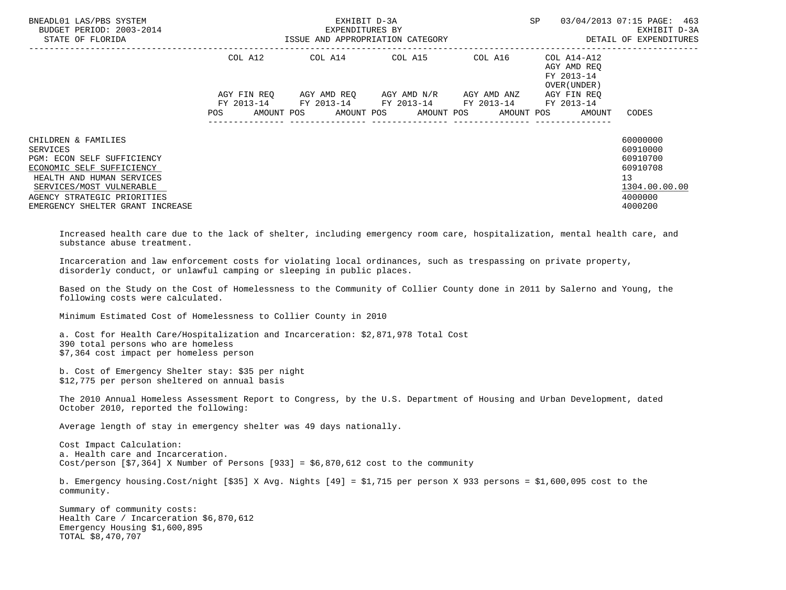| BNEADL01 LAS/PBS SYSTEM<br>BUDGET PERIOD: 2003-2014<br>-2014 EXPENDITURES BY<br>ISSUE AND APPROPRIATION CATEGORY<br>STATE OF FLORIDA                                                                                          |     |         |                                                                                                       | EXHIBIT D-3A |  |                                                                                          | SP |                                              | 03/04/2013 07:15 PAGE: 463<br>EXHIBIT D-3A<br>DETAIL OF EXPENDITURES                      |
|-------------------------------------------------------------------------------------------------------------------------------------------------------------------------------------------------------------------------------|-----|---------|-------------------------------------------------------------------------------------------------------|--------------|--|------------------------------------------------------------------------------------------|----|----------------------------------------------|-------------------------------------------------------------------------------------------|
|                                                                                                                                                                                                                               |     | COL A12 | COL A14 COL A15 COL A16                                                                               |              |  |                                                                                          |    | $COL A14 - A12$<br>AGY AMD REO<br>FY 2013-14 |                                                                                           |
|                                                                                                                                                                                                                               |     |         | AGY FIN REO AGY AMD REO AGY AMD N/R AGY AMD ANZ AGY FIN REO                                           |              |  |                                                                                          |    | OVER (UNDER)                                 |                                                                                           |
|                                                                                                                                                                                                                               | POS |         | FY 2013-14 FY 2013-14 FY 2013-14 FY 2013-14 FY 2013-14<br>AMOUNT POS AMOUNT POS AMOUNT POS AMOUNT POS |              |  |                                                                                          |    | AMOUNT                                       | CODES                                                                                     |
| CHILDREN & FAMILIES<br><b>SERVICES</b><br>PGM: ECON SELF SUFFICIENCY<br>ECONOMIC SELF SUFFICIENCY<br>HEALTH AND HUMAN SERVICES<br>SERVICES/MOST VULNERABLE<br>AGENCY STRATEGIC PRIORITIES<br>EMERGENCY SHELTER GRANT INCREASE |     |         |                                                                                                       |              |  |                                                                                          |    |                                              | 60000000<br>60910000<br>60910700<br>60910708<br>13<br>1304.00.00.00<br>4000000<br>4000200 |
| Increased health care due to the lack of shelter, including emergency room care, hospitalization, mental health care, and<br>substance abuse treatment.                                                                       |     |         |                                                                                                       |              |  |                                                                                          |    |                                              |                                                                                           |
| Incarceration and law enforcement costs for violating local ordinances, such as trespassing on private property,<br>disorderly conduct, or unlawful camping or sleeping in public places.                                     |     |         |                                                                                                       |              |  |                                                                                          |    |                                              |                                                                                           |
|                                                                                                                                                                                                                               |     |         |                                                                                                       |              |  | 그 사람들은 그 사람들은 그 사람들을 지르는 것이 아니라 그 사람들을 하고 있다. 그 사람들은 그 사람들은 아니라 그 사람들은 아니라 그 사람들을 하고 있다. |    |                                              |                                                                                           |

 Based on the Study on the Cost of Homelessness to the Community of Collier County done in 2011 by Salerno and Young, the following costs were calculated.

Minimum Estimated Cost of Homelessness to Collier County in 2010

 a. Cost for Health Care/Hospitalization and Incarceration: \$2,871,978 Total Cost 390 total persons who are homeless \$7,364 cost impact per homeless person

 b. Cost of Emergency Shelter stay: \$35 per night \$12,775 per person sheltered on annual basis

 The 2010 Annual Homeless Assessment Report to Congress, by the U.S. Department of Housing and Urban Development, dated October 2010, reported the following:

Average length of stay in emergency shelter was 49 days nationally.

 Cost Impact Calculation: a. Health care and Incarceration. Cost/person  $[57,364]$  X Number of Persons  $[933] = $6,870,612$  cost to the community

 b. Emergency housing.Cost/night [\$35] X Avg. Nights [49] = \$1,715 per person X 933 persons = \$1,600,095 cost to the community.

 Summary of community costs: Health Care / Incarceration \$6,870,612 Emergency Housing \$1,600,895 TOTAL \$8,470,707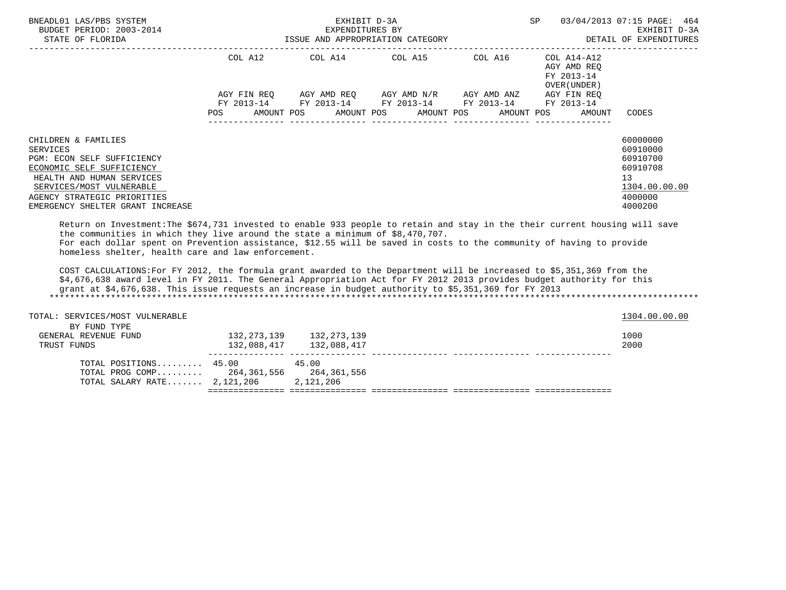| BNEADL01 LAS/PBS SYSTEM<br>BUDGET PERIOD: 2003-2014<br>STATE OF FLORIDA                                                                                                                                                |                                  | EXHIBIT D-3A<br>EXPENDITURES BY<br>ISSUE AND APPROPRIATION CATEGORY | SP                                                                                                         | 03/04/2013 07:15 PAGE: 464<br>EXHIBIT D-3A<br>DETAIL OF EXPENDITURES |                                                          |                                                                                                        |
|------------------------------------------------------------------------------------------------------------------------------------------------------------------------------------------------------------------------|----------------------------------|---------------------------------------------------------------------|------------------------------------------------------------------------------------------------------------|----------------------------------------------------------------------|----------------------------------------------------------|--------------------------------------------------------------------------------------------------------|
|                                                                                                                                                                                                                        | COL A12                          |                                                                     | COL A14 COL A15                                                                                            | COL A16                                                              | COL A14-A12<br>AGY AMD REO<br>FY 2013-14<br>OVER (UNDER) |                                                                                                        |
|                                                                                                                                                                                                                        | AGY FIN REO<br>FY 2013-14<br>POS |                                                                     | AGY AMD REO AGY AMD N/R<br>FY 2013-14 FY 2013-14 FY 2013-14<br>AMOUNT POS AMOUNT POS AMOUNT POS AMOUNT POS | AGY AMD ANZ                                                          | AGY FIN REO<br>FY 2013-14<br>AMOUNT                      | CODES                                                                                                  |
| CHILDREN & FAMILIES<br>SERVICES<br>PGM: ECON SELF SUFFICIENCY<br>ECONOMIC SELF SUFFICIENCY<br>HEALTH AND HUMAN SERVICES<br>SERVICES/MOST VULNERABLE<br>AGENCY STRATEGIC PRIORITIES<br>EMERGENCY SHELTER GRANT INCREASE |                                  |                                                                     |                                                                                                            |                                                                      |                                                          | 60000000<br>60910000<br>60910700<br>60910708<br>13 <sup>°</sup><br>1304.00.00.00<br>4000000<br>4000200 |

 Return on Investment:The \$674,731 invested to enable 933 people to retain and stay in the their current housing will save the communities in which they live around the state a minimum of \$8,470,707. For each dollar spent on Prevention assistance, \$12.55 will be saved in costs to the community of having to provide homeless shelter, health care and law enforcement.

 COST CALCULATIONS:For FY 2012, the formula grant awarded to the Department will be increased to \$5,351,369 from the \$4,676,638 award level in FY 2011. The General Appropriation Act for FY 2012 2013 provides budget authority for this grant at \$4,676,638. This issue requests an increase in budget authority to \$5,351,369 for FY 2013 \*\*\*\*\*\*\*\*\*\*\*\*\*\*\*\*\*\*\*\*\*\*\*\*\*\*\*\*\*\*\*\*\*\*\*\*\*\*\*\*\*\*\*\*\*\*\*\*\*\*\*\*\*\*\*\*\*\*\*\*\*\*\*\*\*\*\*\*\*\*\*\*\*\*\*\*\*\*\*\*\*\*\*\*\*\*\*\*\*\*\*\*\*\*\*\*\*\*\*\*\*\*\*\*\*\*\*\*\*\*\*\*\*\*\*\*\*\*\*\*\*\*\*\*\*\*\*

| TOTAL: SERVICES/MOST VULNERABLE         |             |                         | 1304.00.00.00 |
|-----------------------------------------|-------------|-------------------------|---------------|
| BY FUND TYPE                            |             |                         |               |
| GENERAL REVENUE FUND                    | 132,273,139 | 132,273,139             | 1000          |
| TRUST FUNDS                             |             | 132,088,417 132,088,417 | 2000          |
| TOTAL POSITIONS 45.00                   |             | 45.00                   |               |
| TOTAL PROG COMP 264,361,556 264,361,556 |             |                         |               |
| TOTAL SALARY RATE $2,121,206$           |             | 2,121,206               |               |
|                                         |             |                         |               |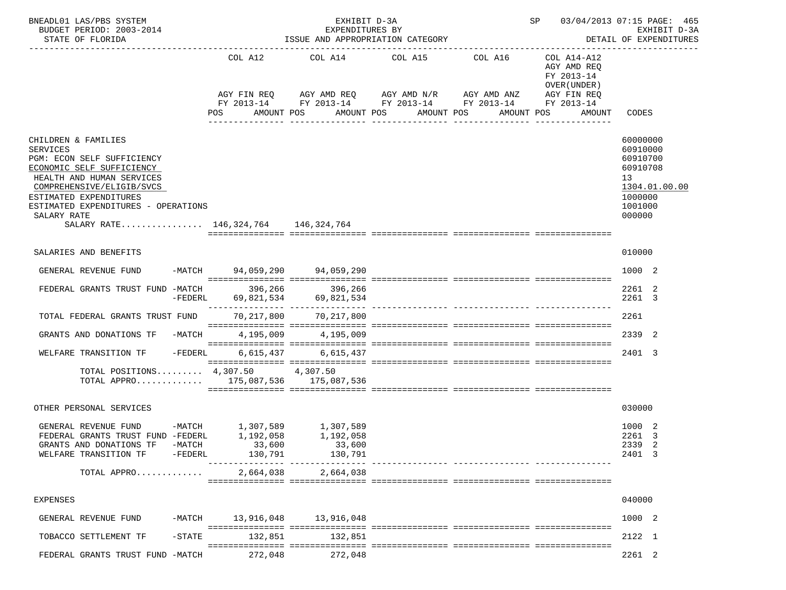| BNEADL01 LAS/PBS SYSTEM<br>BUDGET PERIOD: 2003-2014<br>STATE OF FLORIDA                                                                                                                                                                                                            |                     |                                | EXHIBIT D-3A<br>EXPENDITURES BY  | ISSUE AND APPROPRIATION CATEGORY                                                                                                                                                              |            |                                                                    | SP 03/04/2013 07:15 PAGE: 465<br>EXHIBIT D-3A<br>DETAIL OF EXPENDITURES                             |
|------------------------------------------------------------------------------------------------------------------------------------------------------------------------------------------------------------------------------------------------------------------------------------|---------------------|--------------------------------|----------------------------------|-----------------------------------------------------------------------------------------------------------------------------------------------------------------------------------------------|------------|--------------------------------------------------------------------|-----------------------------------------------------------------------------------------------------|
|                                                                                                                                                                                                                                                                                    |                     | COL A12<br>POS                 | AMOUNT POS                       | COL A14 COL A15 COL A16<br>AGY FIN REQ AGY AMD REQ AGY AMD N/R AGY AMD ANZ AGY FIN REQ<br>FY 2013-14 FY 2013-14 FY 2013-14 FY 2013-14 FY 2013-14<br>AMOUNT POS AMOUNT POS<br>---------------- | AMOUNT POS | COL A14-A12<br>AGY AMD REQ<br>FY 2013-14<br>OVER (UNDER)<br>AMOUNT | CODES                                                                                               |
| CHILDREN & FAMILIES<br><b>SERVICES</b><br>PGM: ECON SELF SUFFICIENCY<br>ECONOMIC SELF SUFFICIENCY<br>HEALTH AND HUMAN SERVICES<br>COMPREHENSIVE/ELIGIB/SVCS<br>ESTIMATED EXPENDITURES<br>ESTIMATED EXPENDITURES - OPERATIONS<br>SALARY RATE<br>SALARY RATE 146,324,764 146,324,764 |                     |                                |                                  |                                                                                                                                                                                               |            |                                                                    | 60000000<br>60910000<br>60910700<br>60910708<br>13<br>1304.01.00.00<br>1000000<br>1001000<br>000000 |
| SALARIES AND BENEFITS                                                                                                                                                                                                                                                              |                     |                                |                                  |                                                                                                                                                                                               |            |                                                                    | 010000                                                                                              |
| GENERAL REVENUE FUND -MATCH 94,059,290 94,059,290                                                                                                                                                                                                                                  |                     |                                |                                  |                                                                                                                                                                                               |            |                                                                    | 1000 2                                                                                              |
| FEDERAL GRANTS TRUST FUND -MATCH                                                                                                                                                                                                                                                   | $-FEDERL$           | 396,266                        | 396,266<br>69,821,534 69,821,534 |                                                                                                                                                                                               |            |                                                                    | 2261 2<br>2261 3                                                                                    |
| TOTAL FEDERAL GRANTS TRUST FUND                                                                                                                                                                                                                                                    |                     |                                | 70,217,800 70,217,800            |                                                                                                                                                                                               |            |                                                                    | 2261                                                                                                |
| GRANTS AND DONATIONS TF -MATCH                                                                                                                                                                                                                                                     |                     |                                | 4, 195, 009 4, 195, 009          |                                                                                                                                                                                               |            |                                                                    | 2339 2                                                                                              |
| WELFARE TRANSITION TF -FEDERL                                                                                                                                                                                                                                                      |                     |                                | 6,615,437 6,615,437              |                                                                                                                                                                                               |            |                                                                    | 2401 3                                                                                              |
| TOTAL POSITIONS 4,307.50 4,307.50<br>TOTAL APPRO 175,087,536 175,087,536                                                                                                                                                                                                           |                     |                                |                                  |                                                                                                                                                                                               |            |                                                                    |                                                                                                     |
| OTHER PERSONAL SERVICES                                                                                                                                                                                                                                                            |                     |                                |                                  |                                                                                                                                                                                               |            |                                                                    | 030000                                                                                              |
| GENERAL REVENUE FUND -MATCH $1,307,589$ 1,307,589<br>FEDERAL GRANTS TRUST FUND -FEDERL 1,192,058 1,192,058<br>GRANTS AND DONATIONS TF<br>WELFARE TRANSITION TF<br>TOTAL APPRO                                                                                                      | -MATCH<br>$-FEDERL$ | 33,600<br>130,791<br>2,664,038 | 33,600<br>130,791<br>2,664,038   |                                                                                                                                                                                               |            |                                                                    | 1000 2<br>2261 3<br>2339<br>-2<br>2401 3                                                            |
| <b>EXPENSES</b>                                                                                                                                                                                                                                                                    |                     |                                |                                  |                                                                                                                                                                                               |            |                                                                    | 040000                                                                                              |
| GENERAL REVENUE FUND                                                                                                                                                                                                                                                               | -MATCH              | 13,916,048                     | 13,916,048                       |                                                                                                                                                                                               |            |                                                                    | 1000 2                                                                                              |
| TOBACCO SETTLEMENT TF                                                                                                                                                                                                                                                              | $-$ STATE           | 132,851                        | 132,851                          |                                                                                                                                                                                               |            |                                                                    | 2122 1                                                                                              |
| FEDERAL GRANTS TRUST FUND -MATCH                                                                                                                                                                                                                                                   |                     | 272,048                        | 272,048                          |                                                                                                                                                                                               |            |                                                                    | 2261 2                                                                                              |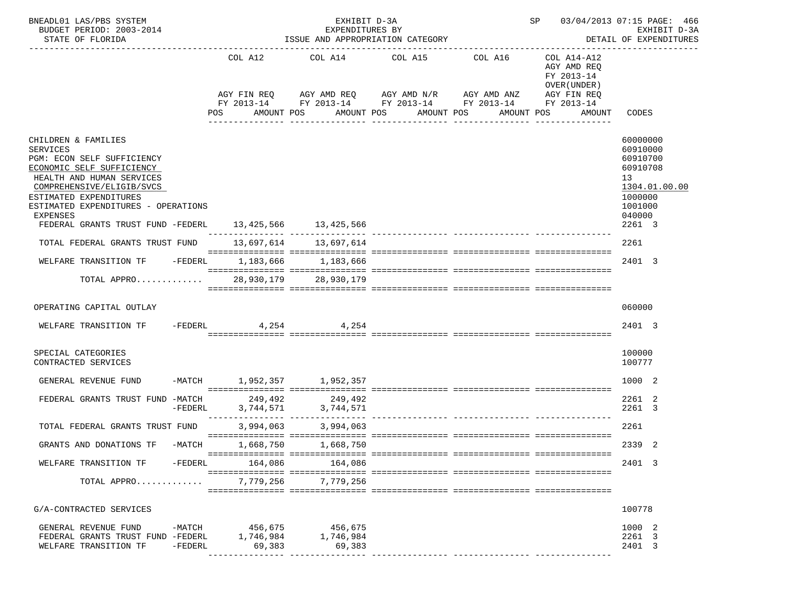| BNEADL01 LAS/PBS SYSTEM<br>BUDGET PERIOD: 2003-2014<br>STATE OF FLORIDA                                                                                                                                                                                                                                                                                                                                                                                            |           |                     | EXHIBIT D-3A<br>EXPENDITURES BY                       | ISSUE AND APPROPRIATION CATEGORY                                                                                                                              |            |                                                                                   | SP 03/04/2013 07:15 PAGE: 466<br>EXHIBIT D-3A<br>DETAIL OF EXPENDITURES                                                         |
|--------------------------------------------------------------------------------------------------------------------------------------------------------------------------------------------------------------------------------------------------------------------------------------------------------------------------------------------------------------------------------------------------------------------------------------------------------------------|-----------|---------------------|-------------------------------------------------------|---------------------------------------------------------------------------------------------------------------------------------------------------------------|------------|-----------------------------------------------------------------------------------|---------------------------------------------------------------------------------------------------------------------------------|
|                                                                                                                                                                                                                                                                                                                                                                                                                                                                    |           | COL A12<br>POS      | AMOUNT POS                                            | COL A14 COL A15 COL A16<br>AGY FIN REQ AGY AMD REQ AGY AMD N/R AGY AMD ANZ<br>FY 2013-14 FY 2013-14 FY 2013-14 FY 2013-14 FY 2013-14<br>AMOUNT POS AMOUNT POS | AMOUNT POS | COL A14-A12<br>AGY AMD REQ<br>FY 2013-14<br>OVER (UNDER)<br>AGY FIN REQ<br>AMOUNT | CODES                                                                                                                           |
| CHILDREN & FAMILIES<br><b>SERVICES</b><br>PGM: ECON SELF SUFFICIENCY<br>ECONOMIC SELF SUFFICIENCY<br>HEALTH AND HUMAN SERVICES<br>COMPREHENSIVE/ELIGIB/SVCS<br>ESTIMATED EXPENDITURES<br>ESTIMATED EXPENDITURES - OPERATIONS<br><b>EXPENSES</b><br>FEDERAL GRANTS TRUST FUND -FEDERL 13, 425, 566 13, 425, 566<br>TOTAL FEDERAL GRANTS TRUST FUND<br>WELFARE TRANSITION TF -FEDERL 1,183,666 1,183,666<br>TOTAL APPRO $\ldots \ldots \ldots$ 28,930,179 28,930,179 |           |                     | 13,697,614 13,697,614                                 |                                                                                                                                                               |            |                                                                                   | 60000000<br>60910000<br>60910700<br>60910708<br>13<br>1304.01.00.00<br>1000000<br>1001000<br>040000<br>2261 3<br>2261<br>2401 3 |
| OPERATING CAPITAL OUTLAY                                                                                                                                                                                                                                                                                                                                                                                                                                           |           |                     |                                                       |                                                                                                                                                               |            |                                                                                   | 060000                                                                                                                          |
| WELFARE TRANSITION TF $-$ FEDERL $4,254$ $4,254$                                                                                                                                                                                                                                                                                                                                                                                                                   |           |                     |                                                       |                                                                                                                                                               |            |                                                                                   | 2401 3                                                                                                                          |
| SPECIAL CATEGORIES<br>CONTRACTED SERVICES                                                                                                                                                                                                                                                                                                                                                                                                                          |           |                     |                                                       |                                                                                                                                                               |            |                                                                                   | 100000<br>100777                                                                                                                |
| GENERAL REVENUE FUND                                                                                                                                                                                                                                                                                                                                                                                                                                               |           |                     | -MATCH 1,952,357 1,952,357                            |                                                                                                                                                               |            |                                                                                   | 1000 2                                                                                                                          |
| FEDERAL GRANTS TRUST FUND -MATCH                                                                                                                                                                                                                                                                                                                                                                                                                                   | $-FEDERL$ | 249,492             | 249, 492<br>3, 744, 571<br>3, 744, 571<br>3, 744, 571 |                                                                                                                                                               |            |                                                                                   | 2261 2<br>2261 3                                                                                                                |
| TOTAL FEDERAL GRANTS TRUST FUND                                                                                                                                                                                                                                                                                                                                                                                                                                    |           |                     | 3,994,063 3,994,063                                   |                                                                                                                                                               |            |                                                                                   | 2261                                                                                                                            |
| GRANTS AND DONATIONS TF                                                                                                                                                                                                                                                                                                                                                                                                                                            | $-MATCH$  |                     | 1,668,750 1,668,750                                   |                                                                                                                                                               |            |                                                                                   | 2339 2                                                                                                                          |
| WELFARE TRANSITION TF                                                                                                                                                                                                                                                                                                                                                                                                                                              | -FEDERL   | 164,086             | 164,086                                               |                                                                                                                                                               |            |                                                                                   | 2401 3                                                                                                                          |
| TOTAL APPRO                                                                                                                                                                                                                                                                                                                                                                                                                                                        |           |                     | 7,779,256 7,779,256                                   |                                                                                                                                                               |            |                                                                                   |                                                                                                                                 |
| G/A-CONTRACTED SERVICES                                                                                                                                                                                                                                                                                                                                                                                                                                            |           |                     |                                                       |                                                                                                                                                               |            |                                                                                   | 100778                                                                                                                          |
| GENERAL REVENUE FUND                                                                                                                                                                                                                                                                                                                                                                                                                                               |           |                     | -MATCH 456,675 456,675                                |                                                                                                                                                               |            |                                                                                   | 1000 2                                                                                                                          |
| FEDERAL GRANTS TRUST FUND -FEDERL<br>WELFARE TRANSITION TF                                                                                                                                                                                                                                                                                                                                                                                                         | -FEDERL   | 1,746,984<br>69,383 | 1,746,984<br>69,383                                   |                                                                                                                                                               |            |                                                                                   | 2261 3<br>2401 3                                                                                                                |
|                                                                                                                                                                                                                                                                                                                                                                                                                                                                    |           |                     |                                                       |                                                                                                                                                               |            |                                                                                   |                                                                                                                                 |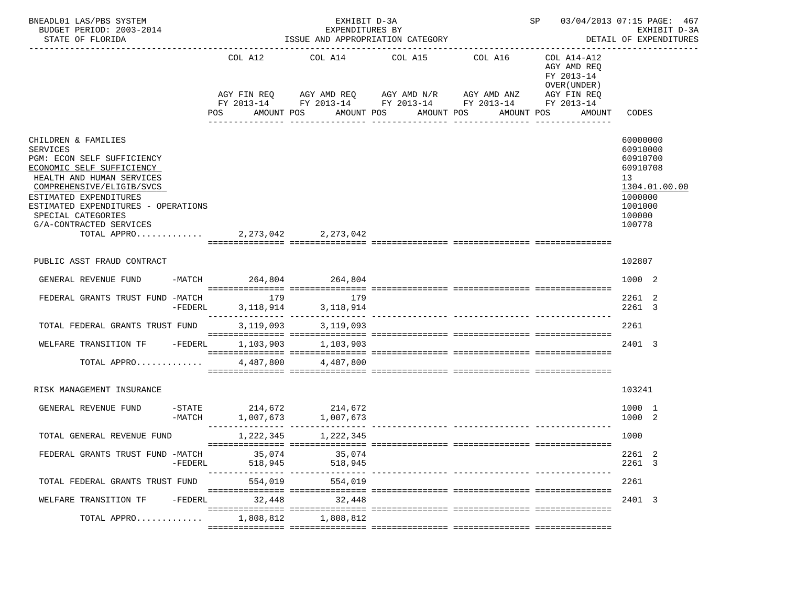| BNEADL01 LAS/PBS SYSTEM<br>BUDGET PERIOD: 2003-2014<br>STATE OF FLORIDA                                                                                                                                                                                                                                              |           |     | ---------------   | EXHIBIT D-3A<br>EXPENDITURES BY<br>ISSUE AND APPROPRIATION CATEGORY | SP 03/04/2013 07:15 PAGE: 467<br>EXHIBIT D-3A<br>DETAIL OF EXPENDITURES |                                                          |                                                                                                                       |                                                                                  |                                                                                              |               |
|----------------------------------------------------------------------------------------------------------------------------------------------------------------------------------------------------------------------------------------------------------------------------------------------------------------------|-----------|-----|-------------------|---------------------------------------------------------------------|-------------------------------------------------------------------------|----------------------------------------------------------|-----------------------------------------------------------------------------------------------------------------------|----------------------------------------------------------------------------------|----------------------------------------------------------------------------------------------|---------------|
|                                                                                                                                                                                                                                                                                                                      |           | POS | AMOUNT POS        |                                                                     |                                                                         | COL A12 COL A14 COL A15 COL A16<br>AMOUNT POS AMOUNT POS | AGY FIN REQ AGY AMD REQ AGY AMD N/R AGY AMD ANZ AGY FIN REQ<br>FY 2013-14 FY 2013-14 FY 2013-14 FY 2013-14 FY 2013-14 | COL A14-A12<br>AGY AMD REO<br>FY 2013-14<br>OVER (UNDER)<br>AMOUNT POS<br>AMOUNT | CODES                                                                                        |               |
| CHILDREN & FAMILIES<br><b>SERVICES</b><br>PGM: ECON SELF SUFFICIENCY<br>ECONOMIC SELF SUFFICIENCY<br>HEALTH AND HUMAN SERVICES<br>COMPREHENSIVE/ELIGIB/SVCS<br>ESTIMATED EXPENDITURES<br>ESTIMATED EXPENDITURES - OPERATIONS<br>SPECIAL CATEGORIES<br>G/A-CONTRACTED SERVICES<br>TOTAL APPRO 2, 273, 042 2, 273, 042 |           |     |                   |                                                                     |                                                                         |                                                          |                                                                                                                       |                                                                                  | 60000000<br>60910000<br>60910700<br>60910708<br>13<br>1000000<br>1001000<br>100000<br>100778 | 1304.01.00.00 |
|                                                                                                                                                                                                                                                                                                                      |           |     |                   |                                                                     |                                                                         |                                                          |                                                                                                                       |                                                                                  |                                                                                              |               |
| PUBLIC ASST FRAUD CONTRACT                                                                                                                                                                                                                                                                                           |           |     |                   |                                                                     |                                                                         |                                                          |                                                                                                                       |                                                                                  | 102807                                                                                       |               |
| GENERAL REVENUE FUND                                                                                                                                                                                                                                                                                                 |           |     |                   |                                                                     | -MATCH 264,804 264,804                                                  |                                                          |                                                                                                                       |                                                                                  | 1000 2                                                                                       |               |
| FEDERAL GRANTS TRUST FUND -MATCH                                                                                                                                                                                                                                                                                     | -FEDERL   |     | 179               |                                                                     | 179<br>3, 118, 914 3, 118, 914                                          |                                                          |                                                                                                                       |                                                                                  | 2261 2<br>2261 3                                                                             |               |
| TOTAL FEDERAL GRANTS TRUST FUND                                                                                                                                                                                                                                                                                      |           |     |                   |                                                                     | 3, 119, 093 3, 119, 093                                                 |                                                          |                                                                                                                       |                                                                                  | 2261                                                                                         |               |
| WELFARE TRANSITION TF -FEDERL                                                                                                                                                                                                                                                                                        |           |     |                   |                                                                     | 1, 103, 903 1, 103, 903                                                 |                                                          |                                                                                                                       |                                                                                  | 2401 3                                                                                       |               |
| TOTAL APPRO                                                                                                                                                                                                                                                                                                          |           |     |                   |                                                                     | 4,487,800 4,487,800                                                     |                                                          |                                                                                                                       |                                                                                  |                                                                                              |               |
| RISK MANAGEMENT INSURANCE                                                                                                                                                                                                                                                                                            |           |     |                   |                                                                     |                                                                         |                                                          |                                                                                                                       |                                                                                  | 103241                                                                                       |               |
| GENERAL REVENUE FUND                                                                                                                                                                                                                                                                                                 |           |     |                   |                                                                     | $-$ STATE 214,672 214,672<br>$-MATCH$ 1,007,673 1,007,673               |                                                          |                                                                                                                       |                                                                                  | 1000 1<br>1000 2                                                                             |               |
| TOTAL GENERAL REVENUE FUND                                                                                                                                                                                                                                                                                           |           |     |                   |                                                                     | 1, 222, 345 1, 222, 345                                                 |                                                          |                                                                                                                       |                                                                                  | 1000                                                                                         |               |
| FEDERAL GRANTS TRUST FUND -MATCH                                                                                                                                                                                                                                                                                     | $-FEDERL$ |     | 35,074<br>518,945 |                                                                     | 35,074<br>518,945                                                       |                                                          |                                                                                                                       |                                                                                  | 2261 2<br>2261 3                                                                             |               |
| TOTAL FEDERAL GRANTS TRUST FUND                                                                                                                                                                                                                                                                                      |           |     | 554,019           |                                                                     | 554,019                                                                 |                                                          |                                                                                                                       |                                                                                  | 2261                                                                                         |               |
| WELFARE TRANSITION TF                                                                                                                                                                                                                                                                                                | -FEDERL   |     | 32,448            |                                                                     | 32,448                                                                  |                                                          |                                                                                                                       |                                                                                  | 2401 3                                                                                       |               |
| TOTAL APPRO                                                                                                                                                                                                                                                                                                          |           |     | 1,808,812         |                                                                     | 1,808,812                                                               |                                                          |                                                                                                                       |                                                                                  |                                                                                              |               |
|                                                                                                                                                                                                                                                                                                                      |           |     |                   |                                                                     |                                                                         |                                                          |                                                                                                                       |                                                                                  |                                                                                              |               |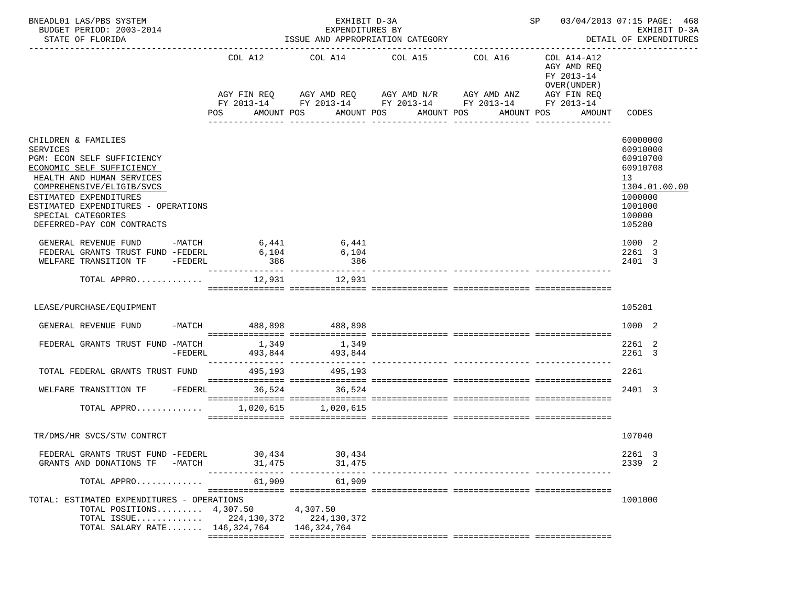| BNEADL01 LAS/PBS SYSTEM<br>BUDGET PERIOD: 2003-2014<br>STATE OF FLORIDA                                                                                                                                                                                                          |          |                       | EXHIBIT D-3A<br>EXPENDITURES BY<br>ISSUE AND APPROPRIATION CATEGORY | SP 03/04/2013 07:15 PAGE: 468<br>EXHIBIT D-3A<br>DETAIL OF EXPENDITURES                                                                                       |  |                                                                                                 |                                                                                                               |  |
|----------------------------------------------------------------------------------------------------------------------------------------------------------------------------------------------------------------------------------------------------------------------------------|----------|-----------------------|---------------------------------------------------------------------|---------------------------------------------------------------------------------------------------------------------------------------------------------------|--|-------------------------------------------------------------------------------------------------|---------------------------------------------------------------------------------------------------------------|--|
|                                                                                                                                                                                                                                                                                  |          | COL A12<br><b>POS</b> | AMOUNT POS                                                          | COL A14 COL A15 COL A16<br>AGY FIN REQ AGY AMD REQ AGY AMD N/R AGY AMD ANZ<br>FY 2013-14 FY 2013-14 FY 2013-14 FY 2013-14 FY 2013-14<br>AMOUNT POS AMOUNT POS |  | COL A14-A12<br>AGY AMD REQ<br>FY 2013-14<br>OVER (UNDER)<br>AGY FIN REQ<br>AMOUNT POS<br>AMOUNT | CODES                                                                                                         |  |
|                                                                                                                                                                                                                                                                                  |          |                       |                                                                     |                                                                                                                                                               |  |                                                                                                 |                                                                                                               |  |
| CHILDREN & FAMILIES<br><b>SERVICES</b><br>PGM: ECON SELF SUFFICIENCY<br>ECONOMIC SELF SUFFICIENCY<br>HEALTH AND HUMAN SERVICES<br>COMPREHENSIVE/ELIGIB/SVCS<br>ESTIMATED EXPENDITURES<br>ESTIMATED EXPENDITURES - OPERATIONS<br>SPECIAL CATEGORIES<br>DEFERRED-PAY COM CONTRACTS |          |                       |                                                                     |                                                                                                                                                               |  |                                                                                                 | 60000000<br>60910000<br>60910700<br>60910708<br>13<br>1304.01.00.00<br>1000000<br>1001000<br>100000<br>105280 |  |
| GENERAL REVENUE FUND<br>FEDERAL GRANTS TRUST FUND -FEDERL 6,104<br>WELFARE TRANSITION TF -FEDERL                                                                                                                                                                                 |          | 386                   | $-MATCH$ 6,441 6,441<br>6,104<br>386                                |                                                                                                                                                               |  |                                                                                                 | 1000 2<br>2261 3<br>2401 3                                                                                    |  |
| TOTAL APPRO 12,931 12,931                                                                                                                                                                                                                                                        |          |                       |                                                                     |                                                                                                                                                               |  |                                                                                                 |                                                                                                               |  |
| LEASE/PURCHASE/EQUIPMENT                                                                                                                                                                                                                                                         |          |                       |                                                                     |                                                                                                                                                               |  |                                                                                                 | 105281                                                                                                        |  |
| GENERAL REVENUE FUND                                                                                                                                                                                                                                                             |          |                       | -MATCH 488,898 488,898                                              |                                                                                                                                                               |  |                                                                                                 | 1000 2                                                                                                        |  |
|                                                                                                                                                                                                                                                                                  |          |                       |                                                                     |                                                                                                                                                               |  |                                                                                                 |                                                                                                               |  |
| FEDERAL GRANTS TRUST FUND -MATCH 1,349                                                                                                                                                                                                                                           | -FEDERL  |                       | 1,349<br>493,844 493,844                                            |                                                                                                                                                               |  |                                                                                                 | 2261 2<br>2261 3                                                                                              |  |
| TOTAL FEDERAL GRANTS TRUST FUND 495,193 495,193                                                                                                                                                                                                                                  |          |                       |                                                                     |                                                                                                                                                               |  |                                                                                                 | 2261                                                                                                          |  |
|                                                                                                                                                                                                                                                                                  |          |                       |                                                                     |                                                                                                                                                               |  |                                                                                                 |                                                                                                               |  |
| WELFARE TRANSITION TF -FEDERL 36,524                                                                                                                                                                                                                                             |          |                       | 36,524                                                              |                                                                                                                                                               |  |                                                                                                 | 2401 3                                                                                                        |  |
| TOTAL APPRO                                                                                                                                                                                                                                                                      |          |                       | 1,020,615 1,020,615                                                 |                                                                                                                                                               |  |                                                                                                 |                                                                                                               |  |
|                                                                                                                                                                                                                                                                                  |          |                       |                                                                     |                                                                                                                                                               |  |                                                                                                 |                                                                                                               |  |
| TR/DMS/HR SVCS/STW CONTRCT                                                                                                                                                                                                                                                       |          |                       |                                                                     |                                                                                                                                                               |  |                                                                                                 | 107040                                                                                                        |  |
| FEDERAL GRANTS TRUST FUND -FEDERL<br>GRANTS AND DONATIONS TF                                                                                                                                                                                                                     | $-MATCH$ | 30,434<br>31,475      | 30,434<br>31,475                                                    |                                                                                                                                                               |  |                                                                                                 | 2261 3<br>2339 2                                                                                              |  |
| TOTAL APPRO                                                                                                                                                                                                                                                                      |          | 61,909                | 61,909                                                              |                                                                                                                                                               |  |                                                                                                 |                                                                                                               |  |
| TOTAL: ESTIMATED EXPENDITURES - OPERATIONS<br>TOTAL POSITIONS $4,307.50$<br>TOTAL ISSUE $224, 130, 372$<br>TOTAL SALARY RATE 146,324,764                                                                                                                                         |          |                       | 4,307.50<br>224,130,372<br>146,324,764                              |                                                                                                                                                               |  |                                                                                                 | 1001000                                                                                                       |  |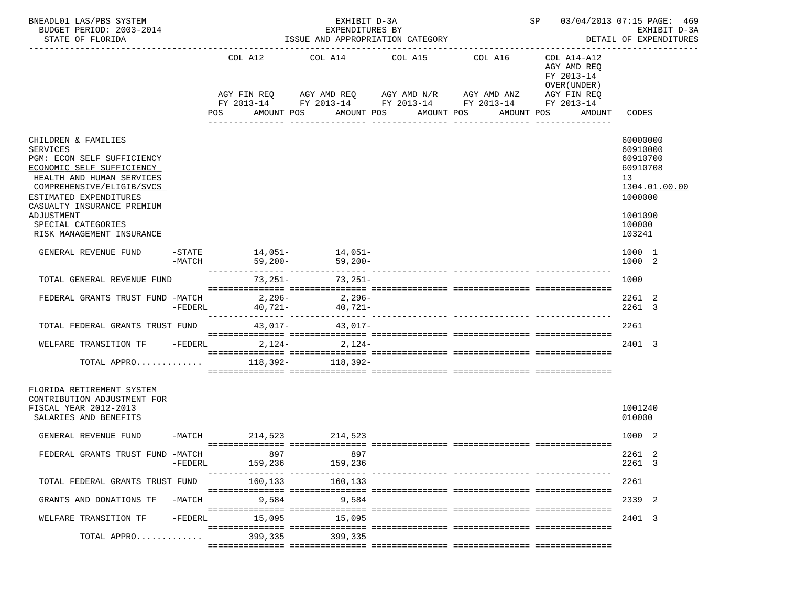| BNEADL01 LAS/PBS SYSTEM<br>BUDGET PERIOD: 2003-2014<br>STATE OF FLORIDA                                                                                                                                             | EXHIBIT D-3A<br>SP 03/04/2013 07:15 PAGE: 469<br>EXPENDITURES BY<br>ISSUE AND APPROPRIATION CATEGORY<br>DETAIL OF EXPENDITURES |                         |                            |                                                                                                       |                            |                                                                          |                                                                                |  |  |  |
|---------------------------------------------------------------------------------------------------------------------------------------------------------------------------------------------------------------------|--------------------------------------------------------------------------------------------------------------------------------|-------------------------|----------------------------|-------------------------------------------------------------------------------------------------------|----------------------------|--------------------------------------------------------------------------|--------------------------------------------------------------------------------|--|--|--|
|                                                                                                                                                                                                                     |                                                                                                                                | COL A12<br>AGY FIN REQ  | COL A14                    | COL A15<br>AGY AMD REQ AGY AMD N/R AGY AMD ANZ                                                        | COL A16                    | COL A14-A12<br>AGY AMD REQ<br>FY 2013-14<br>OVER (UNDER )<br>AGY FIN REQ |                                                                                |  |  |  |
|                                                                                                                                                                                                                     |                                                                                                                                | POS                     | AMOUNT POS                 | FY 2013-14 FY 2013-14 FY 2013-14 FY 2013-14 FY 2013-14<br>AMOUNT POS<br>AMOUNT POS<br>--------------- | AMOUNT POS<br>____________ | AMOUNT                                                                   | CODES                                                                          |  |  |  |
| CHILDREN & FAMILIES<br><b>SERVICES</b><br>PGM: ECON SELF SUFFICIENCY<br>ECONOMIC SELF SUFFICIENCY<br>HEALTH AND HUMAN SERVICES<br>COMPREHENSIVE/ELIGIB/SVCS<br>ESTIMATED EXPENDITURES<br>CASUALTY INSURANCE PREMIUM |                                                                                                                                |                         |                            |                                                                                                       |                            |                                                                          | 60000000<br>60910000<br>60910700<br>60910708<br>13<br>1304.01.00.00<br>1000000 |  |  |  |
| ADJUSTMENT<br>SPECIAL CATEGORIES<br>RISK MANAGEMENT INSURANCE                                                                                                                                                       |                                                                                                                                |                         |                            |                                                                                                       |                            |                                                                          | 1001090<br>100000<br>103241                                                    |  |  |  |
| GENERAL REVENUE FUND                                                                                                                                                                                                | -MATCH                                                                                                                         | -STATE 14,051- 14,051-  | $59,200-$ 59,200-          |                                                                                                       |                            |                                                                          | 1000 1<br>1000 2                                                               |  |  |  |
| TOTAL GENERAL REVENUE FUND                                                                                                                                                                                          |                                                                                                                                | 73,251-                 | 73,251-                    |                                                                                                       |                            |                                                                          | 1000                                                                           |  |  |  |
| FEDERAL GRANTS TRUST FUND -MATCH                                                                                                                                                                                    | $-FEDERL$                                                                                                                      | 2,296-                  | 2,296-<br>$40,721 40,721-$ |                                                                                                       |                            |                                                                          | 2261 2<br>2261 3                                                               |  |  |  |
| TOTAL FEDERAL GRANTS TRUST FUND 43,017-<br>43,017-                                                                                                                                                                  |                                                                                                                                |                         |                            |                                                                                                       |                            |                                                                          | 2261                                                                           |  |  |  |
| WELFARE TRANSITION TF                                                                                                                                                                                               |                                                                                                                                | -FEDERL 2, 124- 2, 124- |                            |                                                                                                       |                            |                                                                          | 2401 3                                                                         |  |  |  |
| TOTAL APPRO                                                                                                                                                                                                         |                                                                                                                                |                         | 118,392- 118,392-          |                                                                                                       |                            |                                                                          |                                                                                |  |  |  |
| FLORIDA RETIREMENT SYSTEM<br>CONTRIBUTION ADJUSTMENT FOR<br>FISCAL YEAR 2012-2013<br>SALARIES AND BENEFITS                                                                                                          |                                                                                                                                |                         |                            |                                                                                                       |                            |                                                                          | 1001240<br>010000                                                              |  |  |  |
| GENERAL REVENUE FUND                                                                                                                                                                                                |                                                                                                                                | -MATCH 214,523 214,523  |                            |                                                                                                       |                            |                                                                          | 1000 2                                                                         |  |  |  |
| FEDERAL GRANTS TRUST FUND -MATCH                                                                                                                                                                                    | $-FEDERL$                                                                                                                      | 897<br>159,236          | 897<br>159,236             |                                                                                                       |                            |                                                                          | 2261 2<br>2261 3                                                               |  |  |  |
| TOTAL FEDERAL GRANTS TRUST FUND                                                                                                                                                                                     |                                                                                                                                | 160,133                 | 160,133                    |                                                                                                       |                            |                                                                          | 2261                                                                           |  |  |  |
| GRANTS AND DONATIONS TF                                                                                                                                                                                             | $-MATCH$                                                                                                                       | 9,584                   | 9,584                      |                                                                                                       |                            |                                                                          | 2339 2                                                                         |  |  |  |
| WELFARE TRANSITION TF                                                                                                                                                                                               | $-FEDERL$                                                                                                                      | 15,095                  | 15,095                     |                                                                                                       |                            |                                                                          | 2401 3                                                                         |  |  |  |
| TOTAL APPRO                                                                                                                                                                                                         |                                                                                                                                | 399,335                 | 399,335                    |                                                                                                       |                            |                                                                          |                                                                                |  |  |  |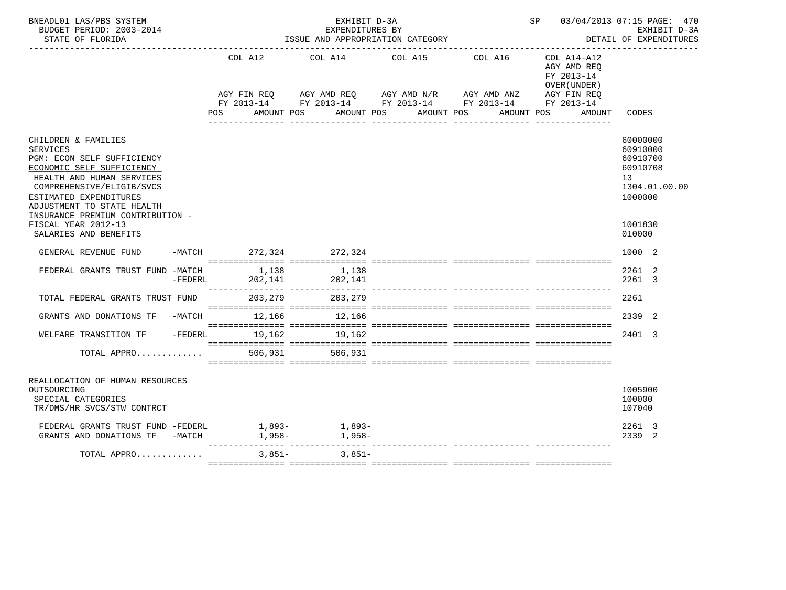| BNEADL01 LAS/PBS SYSTEM<br>BUDGET PERIOD: 2003-2014<br>STATE OF FLORIDA                                                                                                                                                                                 |           | EXHIBIT D-3A<br>EXPENDITURES BY<br>ISSUE AND APPROPRIATION CATEGORY |                  |  |                                                                                                                                                                                                                                                                                                                                                                                              |  |                                       |  |  |            | SP 03/04/2013 07:15 PAGE: 470<br>EXHIBIT D-3A<br>DETAIL OF EXPENDITURES |                                                           |        |                                                               |               |
|---------------------------------------------------------------------------------------------------------------------------------------------------------------------------------------------------------------------------------------------------------|-----------|---------------------------------------------------------------------|------------------|--|----------------------------------------------------------------------------------------------------------------------------------------------------------------------------------------------------------------------------------------------------------------------------------------------------------------------------------------------------------------------------------------------|--|---------------------------------------|--|--|------------|-------------------------------------------------------------------------|-----------------------------------------------------------|--------|---------------------------------------------------------------|---------------|
|                                                                                                                                                                                                                                                         |           | POS                                                                 | AMOUNT POS       |  | COL A12 COL A14 COL A15 COL A16<br>$\begin{array}{lllllll} \text{AGY}\ \text{FIN}\ \text{REQ} \qquad & \text{AGY}\ \text{AMD}\ \text{REQ} \qquad & \text{AGY}\ \text{AMD}\ \text{N/R} \qquad & \text{AGY}\ \text{AMD}\ \text{ANZ} \qquad & \text{AGY}\ \text{FIN}\ \text{REQ} \qquad & \text{FY}\ 2013-14 \qquad & \text{FY}\ 2013-14 \qquad & \text{FY}\ 2013-14 \end{array}$<br>AMOUNT POS |  | AMOUNT POS                            |  |  | AMOUNT POS |                                                                         | COL A14-A12<br>AGY AMD REQ<br>FY 2013-14<br>OVER (UNDER ) | AMOUNT | CODES                                                         |               |
| CHILDREN & FAMILIES<br><b>SERVICES</b><br>PGM: ECON SELF SUFFICIENCY<br>ECONOMIC SELF SUFFICIENCY<br>HEALTH AND HUMAN SERVICES<br>COMPREHENSIVE/ELIGIB/SVCS<br>ESTIMATED EXPENDITURES<br>ADJUSTMENT TO STATE HEALTH<br>INSURANCE PREMIUM CONTRIBUTION - |           |                                                                     |                  |  |                                                                                                                                                                                                                                                                                                                                                                                              |  |                                       |  |  |            |                                                                         |                                                           |        | 60000000<br>60910000<br>60910700<br>60910708<br>13<br>1000000 | 1304.01.00.00 |
| FISCAL YEAR 2012-13<br>SALARIES AND BENEFITS                                                                                                                                                                                                            |           |                                                                     |                  |  |                                                                                                                                                                                                                                                                                                                                                                                              |  |                                       |  |  |            |                                                                         |                                                           |        | 1001830<br>010000                                             |               |
| GENERAL REVENUE FUND                                                                                                                                                                                                                                    |           |                                                                     |                  |  | -MATCH 272,324 272,324                                                                                                                                                                                                                                                                                                                                                                       |  |                                       |  |  |            |                                                                         |                                                           |        | 1000 2                                                        |               |
| FEDERAL GRANTS TRUST FUND -MATCH                                                                                                                                                                                                                        | $-FEDERL$ |                                                                     | 1,138<br>202,141 |  | 1,138<br>202.141<br>202,141                                                                                                                                                                                                                                                                                                                                                                  |  | --------------- --------------- ----- |  |  |            |                                                                         |                                                           |        | 2261 2<br>2261 3                                              |               |
| TOTAL FEDERAL GRANTS TRUST FUND 203,279                                                                                                                                                                                                                 |           |                                                                     |                  |  | 203,279                                                                                                                                                                                                                                                                                                                                                                                      |  |                                       |  |  |            |                                                                         |                                                           |        | 2261                                                          |               |
| GRANTS AND DONATIONS TF                                                                                                                                                                                                                                 |           |                                                                     |                  |  | -MATCH 12,166 12,166                                                                                                                                                                                                                                                                                                                                                                         |  |                                       |  |  |            |                                                                         |                                                           |        | 2339 2                                                        |               |
| WELFARE TRANSITION TF -FEDERL 19,162 19,162                                                                                                                                                                                                             |           |                                                                     |                  |  |                                                                                                                                                                                                                                                                                                                                                                                              |  |                                       |  |  |            |                                                                         |                                                           |        | 2401 3                                                        |               |
| TOTAL APPRO                                                                                                                                                                                                                                             |           |                                                                     | 506,931          |  | 506,931                                                                                                                                                                                                                                                                                                                                                                                      |  |                                       |  |  |            |                                                                         |                                                           |        |                                                               |               |
| REALLOCATION OF HUMAN RESOURCES<br>OUTSOURCING<br>SPECIAL CATEGORIES<br>TR/DMS/HR SVCS/STW CONTRCT                                                                                                                                                      |           |                                                                     |                  |  |                                                                                                                                                                                                                                                                                                                                                                                              |  |                                       |  |  |            |                                                                         |                                                           |        | 1005900<br>100000<br>107040                                   |               |
| FEDERAL GRANTS TRUST FUND -FEDERL $1,893-$<br>GRANTS AND DONATIONS TF -MATCH $1,958-$<br>$1,958-$                                                                                                                                                       |           |                                                                     |                  |  |                                                                                                                                                                                                                                                                                                                                                                                              |  |                                       |  |  |            |                                                                         |                                                           |        | 2261 3<br>2339 2                                              |               |
| TOTAL APPRO                                                                                                                                                                                                                                             |           |                                                                     | $3,851-$         |  | 3,851-                                                                                                                                                                                                                                                                                                                                                                                       |  |                                       |  |  |            |                                                                         |                                                           |        |                                                               |               |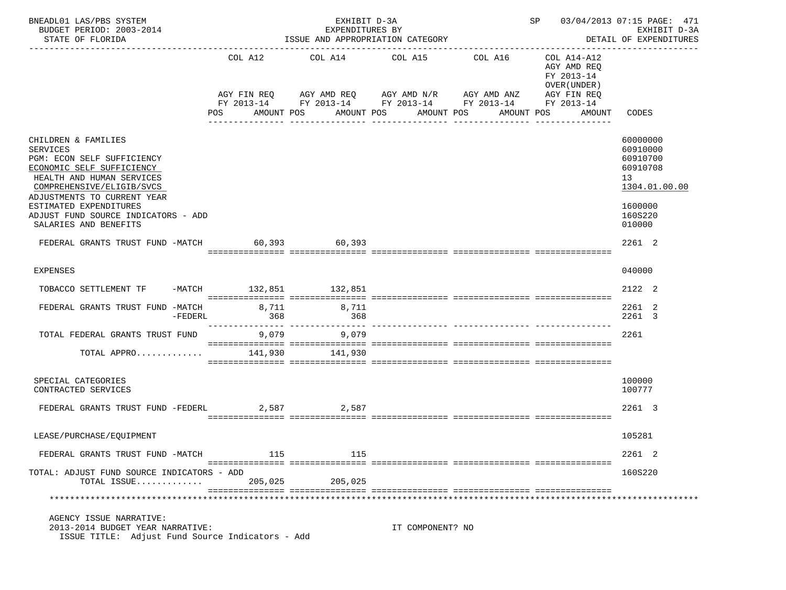| BNEADL01 LAS/PBS SYSTEM<br>BUDGET PERIOD: 2003-2014<br>STATE OF FLORIDA                                                                                                                                                                                                              |           |              | EXHIBIT D-3A<br>EXPENDITURES BY<br>ISSUE AND APPROPRIATION CATEGORY                                                                  | SP 03/04/2013 07:15 PAGE: 471<br>EXHIBIT D-3A<br>DETAIL OF EXPENDITURES |            |                                                                         |                                                                                                     |  |
|--------------------------------------------------------------------------------------------------------------------------------------------------------------------------------------------------------------------------------------------------------------------------------------|-----------|--------------|--------------------------------------------------------------------------------------------------------------------------------------|-------------------------------------------------------------------------|------------|-------------------------------------------------------------------------|-----------------------------------------------------------------------------------------------------|--|
|                                                                                                                                                                                                                                                                                      |           | COL A12      | COL A14 COL A15 COL A16<br>AGY FIN REQ AGY AMD REQ AGY AMD N/R AGY AMD ANZ<br>FY 2013-14 FY 2013-14 FY 2013-14 FY 2013-14 FY 2013-14 |                                                                         |            | COL A14-A12<br>AGY AMD REO<br>FY 2013-14<br>OVER (UNDER)<br>AGY FIN REQ |                                                                                                     |  |
|                                                                                                                                                                                                                                                                                      |           | POS          | AMOUNT POS                                                                                                                           | AMOUNT POS AMOUNT POS<br>________________                               | AMOUNT POS | AMOUNT                                                                  | CODES                                                                                               |  |
| CHILDREN & FAMILIES<br><b>SERVICES</b><br>PGM: ECON SELF SUFFICIENCY<br>ECONOMIC SELF SUFFICIENCY<br>HEALTH AND HUMAN SERVICES<br>COMPREHENSIVE/ELIGIB/SVCS<br>ADJUSTMENTS TO CURRENT YEAR<br>ESTIMATED EXPENDITURES<br>ADJUST FUND SOURCE INDICATORS - ADD<br>SALARIES AND BENEFITS |           |              |                                                                                                                                      |                                                                         |            |                                                                         | 60000000<br>60910000<br>60910700<br>60910708<br>13<br>1304.01.00.00<br>1600000<br>160S220<br>010000 |  |
| FEDERAL GRANTS TRUST FUND -MATCH 60,393 60,393                                                                                                                                                                                                                                       |           |              |                                                                                                                                      |                                                                         |            |                                                                         | 2261 2                                                                                              |  |
| <b>EXPENSES</b>                                                                                                                                                                                                                                                                      |           |              |                                                                                                                                      |                                                                         |            |                                                                         | 040000                                                                                              |  |
| TOBACCO SETTLEMENT TF                                                                                                                                                                                                                                                                |           |              | -MATCH 132,851 132,851                                                                                                               |                                                                         |            |                                                                         | 2122 2                                                                                              |  |
| FEDERAL GRANTS TRUST FUND -MATCH                                                                                                                                                                                                                                                     | $-FEDERL$ | 8,711<br>368 | 8,711<br>368                                                                                                                         |                                                                         |            |                                                                         | 2261 2<br>2261 3                                                                                    |  |
| TOTAL FEDERAL GRANTS TRUST FUND                                                                                                                                                                                                                                                      |           | 9,079        | 9,079                                                                                                                                |                                                                         |            |                                                                         | 2261                                                                                                |  |
| TOTAL APPRO                                                                                                                                                                                                                                                                          |           | 141,930      | 141,930                                                                                                                              |                                                                         |            |                                                                         |                                                                                                     |  |
| SPECIAL CATEGORIES<br>CONTRACTED SERVICES                                                                                                                                                                                                                                            |           |              |                                                                                                                                      |                                                                         |            |                                                                         | 100000<br>100777                                                                                    |  |
| FEDERAL GRANTS TRUST FUND -FEDERL                                                                                                                                                                                                                                                    |           |              | 2,587<br>2,587                                                                                                                       |                                                                         |            |                                                                         | 2261 3                                                                                              |  |
| LEASE/PURCHASE/EQUIPMENT                                                                                                                                                                                                                                                             |           |              |                                                                                                                                      |                                                                         |            |                                                                         | 105281                                                                                              |  |
| FEDERAL GRANTS TRUST FUND -MATCH                                                                                                                                                                                                                                                     |           | 115          | 115                                                                                                                                  |                                                                         |            |                                                                         | 2261 2                                                                                              |  |
| TOTAL: ADJUST FUND SOURCE INDICATORS - ADD<br>TOTAL ISSUE                                                                                                                                                                                                                            |           | 205,025      | 205,025                                                                                                                              |                                                                         |            |                                                                         | 160S220                                                                                             |  |
|                                                                                                                                                                                                                                                                                      |           |              |                                                                                                                                      |                                                                         |            |                                                                         |                                                                                                     |  |
| AGENCY ISSUE NARRATIVE:<br>2013-2014 BUDGET YEAR NARRATIVE:<br>ISSUE TITLE: Adjust Fund Source Indicators - Add                                                                                                                                                                      |           |              |                                                                                                                                      | IT COMPONENT? NO                                                        |            |                                                                         |                                                                                                     |  |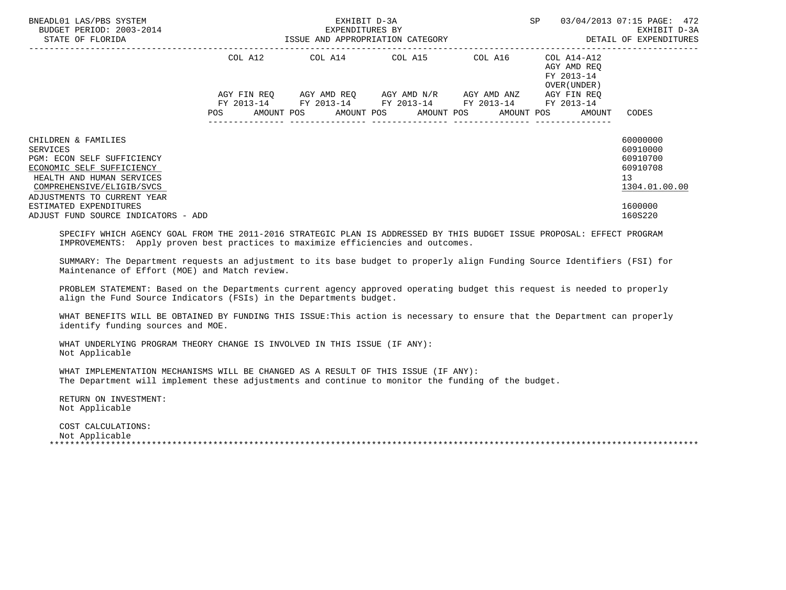| BNEADL01 LAS/PBS SYSTEM<br>BUDGET PERIOD: 2003-2014<br>STATE OF FLORIDA                                                                                                             | ISSUE AND APPROPRIATION CATEGORY | EXHIBIT D-3A<br>EXPENDITURES BY             | <b>SP</b><br>------------------------------- | 03/04/2013 07:15 PAGE: 472<br>EXHIBIT D-3A<br>DETAIL OF EXPENDITURES |                                                          |                                                                     |
|-------------------------------------------------------------------------------------------------------------------------------------------------------------------------------------|----------------------------------|---------------------------------------------|----------------------------------------------|----------------------------------------------------------------------|----------------------------------------------------------|---------------------------------------------------------------------|
|                                                                                                                                                                                     | COL A12                          | COL A14 COL A15                             |                                              | COL A16                                                              | COL A14-A12<br>AGY AMD REQ<br>FY 2013-14<br>OVER (UNDER) |                                                                     |
|                                                                                                                                                                                     | AGY FIN REO<br>FY 2013-14        | FY 2013-14 FY 2013-14 FY 2013-14 FY 2013-14 | AGY AMD REO AGY AMD N/R                      | AGY AMD ANZ                                                          | AGY FIN REO                                              |                                                                     |
|                                                                                                                                                                                     | POS                              |                                             |                                              |                                                                      | AMOUNT POS AMOUNT POS AMOUNT POS AMOUNT POS AMOUNT       | CODES                                                               |
| CHILDREN & FAMILIES<br>SERVICES<br>PGM: ECON SELF SUFFICIENCY<br>ECONOMIC SELF SUFFICIENCY<br>HEALTH AND HUMAN SERVICES<br>COMPREHENSIVE/ELIGIB/SVCS<br>ADJUSTMENTS TO CURRENT YEAR |                                  |                                             |                                              |                                                                      |                                                          | 60000000<br>60910000<br>60910700<br>60910708<br>13<br>1304.01.00.00 |
| ESTIMATED EXPENDITURES<br>ADJUST FUND SOURCE INDICATORS - ADD                                                                                                                       |                                  |                                             |                                              |                                                                      |                                                          | 1600000<br>160S220                                                  |

 SPECIFY WHICH AGENCY GOAL FROM THE 2011-2016 STRATEGIC PLAN IS ADDRESSED BY THIS BUDGET ISSUE PROPOSAL: EFFECT PROGRAM IMPROVEMENTS: Apply proven best practices to maximize efficiencies and outcomes.

 SUMMARY: The Department requests an adjustment to its base budget to properly align Funding Source Identifiers (FSI) for Maintenance of Effort (MOE) and Match review.

 PROBLEM STATEMENT: Based on the Departments current agency approved operating budget this request is needed to properly align the Fund Source Indicators (FSIs) in the Departments budget.

 WHAT BENEFITS WILL BE OBTAINED BY FUNDING THIS ISSUE:This action is necessary to ensure that the Department can properly identify funding sources and MOE.

 WHAT UNDERLYING PROGRAM THEORY CHANGE IS INVOLVED IN THIS ISSUE (IF ANY): Not Applicable

 WHAT IMPLEMENTATION MECHANISMS WILL BE CHANGED AS A RESULT OF THIS ISSUE (IF ANY): The Department will implement these adjustments and continue to monitor the funding of the budget.

 RETURN ON INVESTMENT: Not Applicable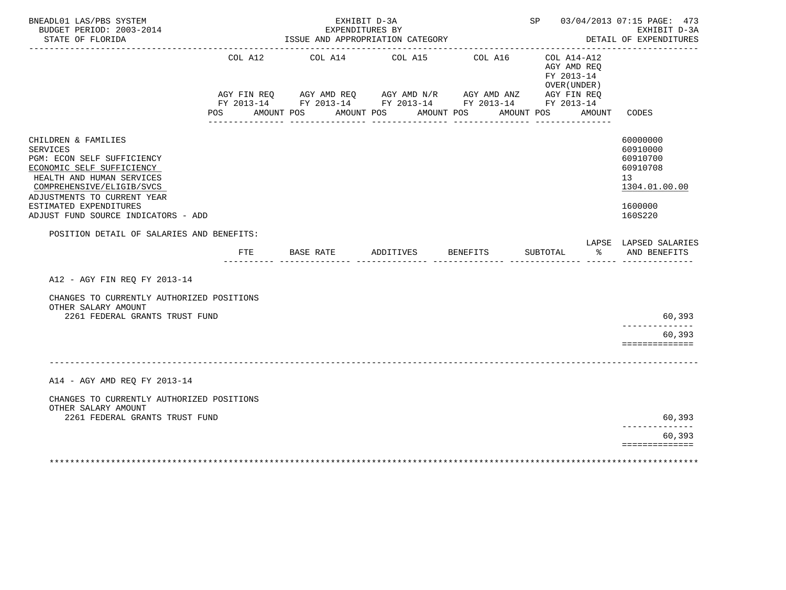| BNEADL01 LAS/PBS SYSTEM<br>BUDGET PERIOD: 2003-2014<br>STATE OF FLORIDA                                                                                                                                                                                                                                  |     | EXHIBIT D-3A<br>EXPENDITURES BY<br>ISSUE AND APPROPRIATION CATEGORY                                                                                                                                                                                                                                                                                                                                                | SP 03/04/2013 07:15 PAGE: 473 | EXHIBIT D-3A<br>DETAIL OF EXPENDITURES |                                                                       |                                                                                           |
|----------------------------------------------------------------------------------------------------------------------------------------------------------------------------------------------------------------------------------------------------------------------------------------------------------|-----|--------------------------------------------------------------------------------------------------------------------------------------------------------------------------------------------------------------------------------------------------------------------------------------------------------------------------------------------------------------------------------------------------------------------|-------------------------------|----------------------------------------|-----------------------------------------------------------------------|-------------------------------------------------------------------------------------------|
|                                                                                                                                                                                                                                                                                                          | POS | COL A12 COL A14 COL A15 COL A16<br>$\begin{array}{lllllll} {\text{AGY}} & {\text{FIN}} & {\text{REG}} & {\text{AGY}} & {\text{AMP}} & {\text{AGY}} & {\text{AMP}} & {\text{MY}} & {\text{AMP}} & {\text{ARY}} & {\text{ARY}} & {\text{R}} \\ {\text{FY}} & 2013\text{--}14 & \text{FY}} & 2013\text{--}14 & \text{FY}} & 2013\text{--}14 & \text{FY}} & 2013\text{--}14 & \end{array}$<br>AMOUNT POS<br>AMOUNT POS |                               | AMOUNT POS<br>AMOUNT POS               | $COL A14- A12$<br>AGY AMD REO<br>FY 2013-14<br>OVER (UNDER)<br>AMOUNT | CODES                                                                                     |
| CHILDREN & FAMILIES<br><b>SERVICES</b><br>PGM: ECON SELF SUFFICIENCY<br>ECONOMIC SELF SUFFICIENCY<br>HEALTH AND HUMAN SERVICES<br>COMPREHENSIVE/ELIGIB/SVCS<br>ADJUSTMENTS TO CURRENT YEAR<br>ESTIMATED EXPENDITURES<br>ADJUST FUND SOURCE INDICATORS - ADD<br>POSITION DETAIL OF SALARIES AND BENEFITS: |     |                                                                                                                                                                                                                                                                                                                                                                                                                    |                               |                                        |                                                                       | 60000000<br>60910000<br>60910700<br>60910708<br>13<br>1304.01.00.00<br>1600000<br>160S220 |
|                                                                                                                                                                                                                                                                                                          | FTE | BASE RATE                                                                                                                                                                                                                                                                                                                                                                                                          | ADDITIVES BENEFITS            |                                        | SUBTOTAL<br>ားကို $\sim$                                              | LAPSE LAPSED SALARIES<br>AND BENEFITS                                                     |
| A12 - AGY FIN REO FY 2013-14                                                                                                                                                                                                                                                                             |     |                                                                                                                                                                                                                                                                                                                                                                                                                    |                               |                                        |                                                                       |                                                                                           |
| CHANGES TO CURRENTLY AUTHORIZED POSITIONS<br>OTHER SALARY AMOUNT<br>2261 FEDERAL GRANTS TRUST FUND                                                                                                                                                                                                       |     |                                                                                                                                                                                                                                                                                                                                                                                                                    |                               |                                        |                                                                       | 60,393                                                                                    |
|                                                                                                                                                                                                                                                                                                          |     |                                                                                                                                                                                                                                                                                                                                                                                                                    |                               |                                        |                                                                       | 60,393<br>==============                                                                  |
|                                                                                                                                                                                                                                                                                                          |     |                                                                                                                                                                                                                                                                                                                                                                                                                    |                               |                                        |                                                                       |                                                                                           |
| A14 - AGY AMD REQ FY 2013-14                                                                                                                                                                                                                                                                             |     |                                                                                                                                                                                                                                                                                                                                                                                                                    |                               |                                        |                                                                       |                                                                                           |
| CHANGES TO CURRENTLY AUTHORIZED POSITIONS<br>OTHER SALARY AMOUNT<br>2261 FEDERAL GRANTS TRUST FUND                                                                                                                                                                                                       |     |                                                                                                                                                                                                                                                                                                                                                                                                                    |                               |                                        |                                                                       | 60,393                                                                                    |
|                                                                                                                                                                                                                                                                                                          |     |                                                                                                                                                                                                                                                                                                                                                                                                                    |                               |                                        |                                                                       | .<br>60,393<br>==============                                                             |
|                                                                                                                                                                                                                                                                                                          |     |                                                                                                                                                                                                                                                                                                                                                                                                                    |                               |                                        |                                                                       |                                                                                           |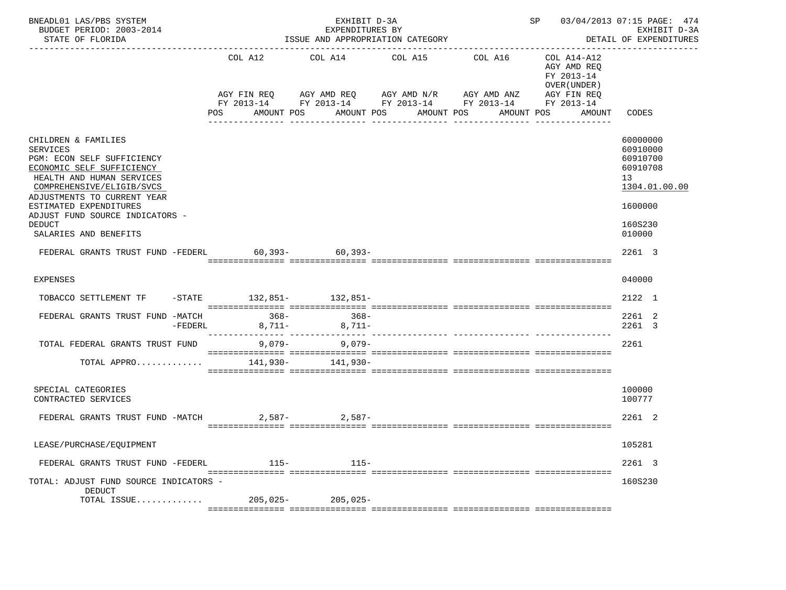| BNEADL01 LAS/PBS SYSTEM<br>BUDGET PERIOD: 2003-2014<br>STATE OF FLORIDA                                                                                                                                                                                                  |           |                | EXHIBIT D-3A<br>EXPENDITURES BY<br>ISSUE AND APPROPRIATION CATEGORY                                                                                     | ---------------------------------- | SP 03/04/2013 07:15 PAGE: 474 | EXHIBIT D-3A<br>DETAIL OF EXPENDITURES                                                           |                                                                                           |
|--------------------------------------------------------------------------------------------------------------------------------------------------------------------------------------------------------------------------------------------------------------------------|-----------|----------------|---------------------------------------------------------------------------------------------------------------------------------------------------------|------------------------------------|-------------------------------|--------------------------------------------------------------------------------------------------|-------------------------------------------------------------------------------------------|
|                                                                                                                                                                                                                                                                          |           | COL A12<br>POS | COL A14<br>AGY FIN REQ        AGY AMD REQ        AGY AMD N/R        AGY AMD ANZ<br>FY 2013-14 FY 2013-14 FY 2013-14 FY 2013-14 FY 2013-14<br>AMOUNT POS | COL A15<br>AMOUNT POS AMOUNT POS   | COL A16                       | COL A14-A12<br>AGY AMD REO<br>FY 2013-14<br>OVER (UNDER )<br>AGY FIN REQ<br>AMOUNT POS<br>AMOUNT | CODES                                                                                     |
|                                                                                                                                                                                                                                                                          |           |                |                                                                                                                                                         |                                    |                               |                                                                                                  |                                                                                           |
| CHILDREN & FAMILIES<br><b>SERVICES</b><br>PGM: ECON SELF SUFFICIENCY<br>ECONOMIC SELF SUFFICIENCY<br>HEALTH AND HUMAN SERVICES<br>COMPREHENSIVE/ELIGIB/SVCS<br>ADJUSTMENTS TO CURRENT YEAR<br>ESTIMATED EXPENDITURES<br>ADJUST FUND SOURCE INDICATORS -<br><b>DEDUCT</b> |           |                |                                                                                                                                                         |                                    |                               |                                                                                                  | 60000000<br>60910000<br>60910700<br>60910708<br>13<br>1304.01.00.00<br>1600000<br>160S230 |
| SALARIES AND BENEFITS                                                                                                                                                                                                                                                    |           |                |                                                                                                                                                         |                                    |                               |                                                                                                  | 010000                                                                                    |
| FEDERAL GRANTS TRUST FUND -FEDERL 60.393- 60.393-                                                                                                                                                                                                                        |           |                |                                                                                                                                                         |                                    |                               |                                                                                                  | 2261 3                                                                                    |
| <b>EXPENSES</b>                                                                                                                                                                                                                                                          |           |                |                                                                                                                                                         |                                    |                               |                                                                                                  | 040000                                                                                    |
| TOBACCO SETTLEMENT TF                                                                                                                                                                                                                                                    |           |                | -STATE 132,851- 132,851-                                                                                                                                |                                    |                               |                                                                                                  | 2122 1                                                                                    |
| FEDERAL GRANTS TRUST FUND -MATCH                                                                                                                                                                                                                                         | $-FEDERL$ | $368-$         | $368-$<br>$8,711 8,711-$                                                                                                                                |                                    |                               |                                                                                                  | 2261 2<br>2261 3                                                                          |
| TOTAL FEDERAL GRANTS TRUST FUND                                                                                                                                                                                                                                          |           | $9,079-$       | $9.079 -$                                                                                                                                               |                                    |                               |                                                                                                  | 2261                                                                                      |
| TOTAL APPRO                                                                                                                                                                                                                                                              |           |                | 141,930- 141,930-                                                                                                                                       |                                    |                               |                                                                                                  |                                                                                           |
| SPECIAL CATEGORIES<br>CONTRACTED SERVICES                                                                                                                                                                                                                                |           |                |                                                                                                                                                         |                                    |                               |                                                                                                  | 100000<br>100777                                                                          |
| FEDERAL GRANTS TRUST FUND -MATCH                                                                                                                                                                                                                                         |           |                | $2.587 - 2.587 -$                                                                                                                                       |                                    |                               |                                                                                                  | 2261 2                                                                                    |
| LEASE/PURCHASE/EQUIPMENT                                                                                                                                                                                                                                                 |           |                |                                                                                                                                                         |                                    |                               |                                                                                                  | 105281                                                                                    |
| FEDERAL GRANTS TRUST FUND -FEDERL                                                                                                                                                                                                                                        |           | 115-           | $115-$                                                                                                                                                  |                                    |                               |                                                                                                  | 2261 3                                                                                    |
| TOTAL: ADJUST FUND SOURCE INDICATORS -<br>DEDUCT                                                                                                                                                                                                                         |           |                |                                                                                                                                                         |                                    |                               |                                                                                                  | 160S230                                                                                   |
| TOTAL ISSUE                                                                                                                                                                                                                                                              |           | $205,025-$     | $205,025-$                                                                                                                                              |                                    |                               |                                                                                                  |                                                                                           |
|                                                                                                                                                                                                                                                                          |           |                |                                                                                                                                                         |                                    |                               |                                                                                                  |                                                                                           |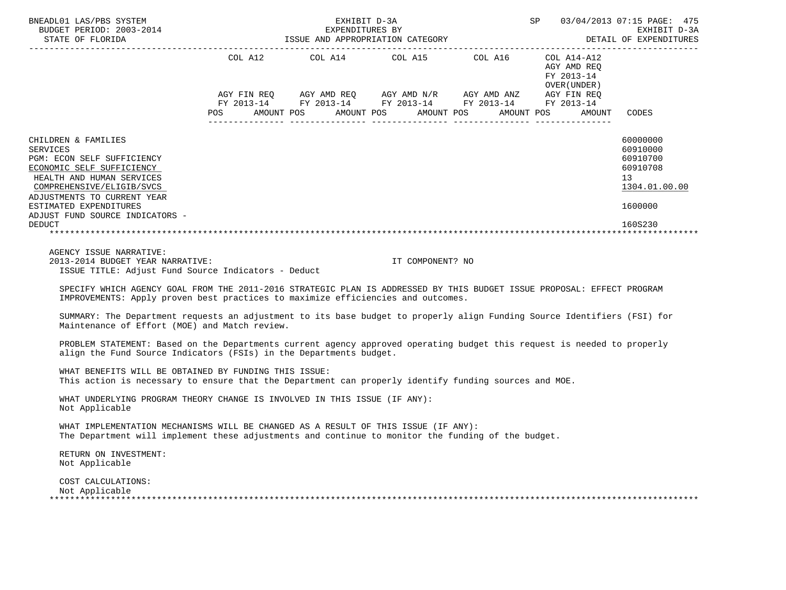| BNEADL01 LAS/PBS SYSTEM<br>BUDGET PERIOD: 2003-2014<br>STATE OF FLORIDA<br>---------------------                                                                                                                                                                                                                                                                                                                                                                                                                                                                                                                                                                                                                                                                                                                                                                                                                                                                                                                                                                                                                                                                                                                       | SP 03/04/2013 07:15 PAGE: 475<br>** PYUTBIT DA<br>EXHIBIT D-3A<br>EXPENDITURES BY<br>EXPENDITURES BY EXERIBIT D-3A<br>ISSUE AND APPROPRIATION CATEGORY DETAIL OF EXPENDITURES |  |                  |                                                                                                                       |                                                              |                                                                     |  |  |  |  |  |  |
|------------------------------------------------------------------------------------------------------------------------------------------------------------------------------------------------------------------------------------------------------------------------------------------------------------------------------------------------------------------------------------------------------------------------------------------------------------------------------------------------------------------------------------------------------------------------------------------------------------------------------------------------------------------------------------------------------------------------------------------------------------------------------------------------------------------------------------------------------------------------------------------------------------------------------------------------------------------------------------------------------------------------------------------------------------------------------------------------------------------------------------------------------------------------------------------------------------------------|-------------------------------------------------------------------------------------------------------------------------------------------------------------------------------|--|------------------|-----------------------------------------------------------------------------------------------------------------------|--------------------------------------------------------------|---------------------------------------------------------------------|--|--|--|--|--|--|
|                                                                                                                                                                                                                                                                                                                                                                                                                                                                                                                                                                                                                                                                                                                                                                                                                                                                                                                                                                                                                                                                                                                                                                                                                        |                                                                                                                                                                               |  |                  |                                                                                                                       | AGY AMD REO<br>FY 2013-14<br>OVER ( UNDER )                  |                                                                     |  |  |  |  |  |  |
|                                                                                                                                                                                                                                                                                                                                                                                                                                                                                                                                                                                                                                                                                                                                                                                                                                                                                                                                                                                                                                                                                                                                                                                                                        |                                                                                                                                                                               |  |                  | AGY FIN REQ AGY AMD REQ AGY AMD N/R AGY AMD ANZ AGY FIN REQ<br>FY 2013-14 FY 2013-14 FY 2013-14 FY 2013-14 FY 2013-14 | POS AMOUNT POS AMOUNT POS AMOUNT POS AMOUNT POS AMOUNT CODES |                                                                     |  |  |  |  |  |  |
| CHILDREN & FAMILIES<br><b>SERVICES</b><br>PGM: ECON SELF SUFFICIENCY<br>ECONOMIC SELF SUFFICIENCY<br>HEALTH AND HUMAN SERVICES<br>COMPREHENSIVE/ELIGIB/SVCS                                                                                                                                                                                                                                                                                                                                                                                                                                                                                                                                                                                                                                                                                                                                                                                                                                                                                                                                                                                                                                                            |                                                                                                                                                                               |  |                  |                                                                                                                       |                                                              | 60000000<br>60910000<br>60910700<br>60910708<br>13<br>1304.01.00.00 |  |  |  |  |  |  |
| ADJUSTMENTS TO CURRENT YEAR<br>ESTIMATED EXPENDITURES<br>ADJUST FUND SOURCE INDICATORS -                                                                                                                                                                                                                                                                                                                                                                                                                                                                                                                                                                                                                                                                                                                                                                                                                                                                                                                                                                                                                                                                                                                               |                                                                                                                                                                               |  |                  |                                                                                                                       |                                                              | 1600000                                                             |  |  |  |  |  |  |
| <b>DEDUCT</b>                                                                                                                                                                                                                                                                                                                                                                                                                                                                                                                                                                                                                                                                                                                                                                                                                                                                                                                                                                                                                                                                                                                                                                                                          |                                                                                                                                                                               |  |                  |                                                                                                                       |                                                              | 160S230                                                             |  |  |  |  |  |  |
| AGENCY ISSUE NARRATIVE:<br>2013-2014 BUDGET YEAR NARRATIVE:<br>ISSUE TITLE: Adjust Fund Source Indicators - Deduct<br>SPECIFY WHICH AGENCY GOAL FROM THE 2011-2016 STRATEGIC PLAN IS ADDRESSED BY THIS BUDGET ISSUE PROPOSAL: EFFECT PROGRAM<br>IMPROVEMENTS: Apply proven best practices to maximize efficiencies and outcomes.<br>SUMMARY: The Department requests an adjustment to its base budget to properly align Funding Source Identifiers (FSI) for<br>Maintenance of Effort (MOE) and Match review.<br>PROBLEM STATEMENT: Based on the Departments current agency approved operating budget this request is needed to properly<br>align the Fund Source Indicators (FSIs) in the Departments budget.<br>WHAT BENEFITS WILL BE OBTAINED BY FUNDING THIS ISSUE:<br>This action is necessary to ensure that the Department can properly identify funding sources and MOE.<br>WHAT UNDERLYING PROGRAM THEORY CHANGE IS INVOLVED IN THIS ISSUE (IF ANY):<br>Not Applicable<br>WHAT IMPLEMENTATION MECHANISMS WILL BE CHANGED AS A RESULT OF THIS ISSUE (IF ANY):<br>The Department will implement these adjustments and continue to monitor the funding of the budget.<br>RETURN ON INVESTMENT:<br>Not Applicable |                                                                                                                                                                               |  | IT COMPONENT? NO |                                                                                                                       |                                                              |                                                                     |  |  |  |  |  |  |
| COST CALCULATIONS:<br>Not Applicable                                                                                                                                                                                                                                                                                                                                                                                                                                                                                                                                                                                                                                                                                                                                                                                                                                                                                                                                                                                                                                                                                                                                                                                   |                                                                                                                                                                               |  |                  |                                                                                                                       |                                                              |                                                                     |  |  |  |  |  |  |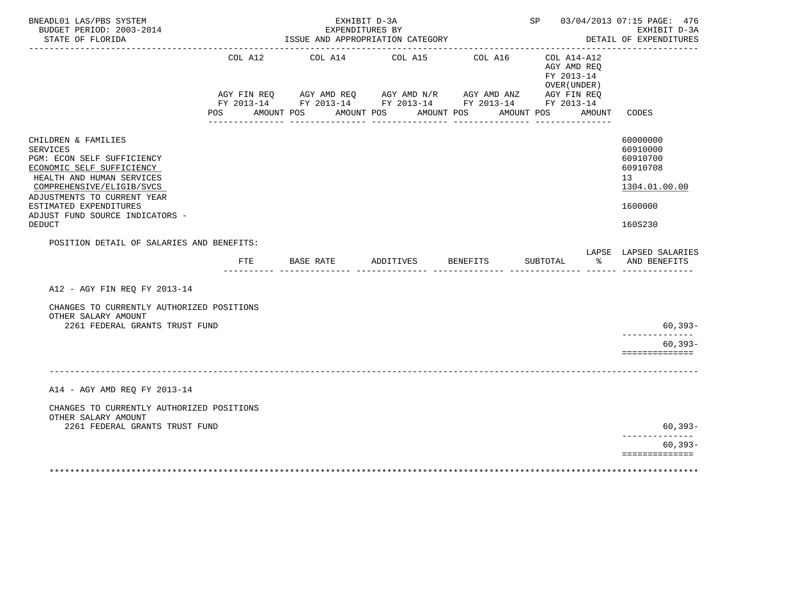| BNEADL01 LAS/PBS SYSTEM<br>BUDGET PERIOD: 2003-2014<br>STATE OF FLORIDA                                                                                                                                       |     |            |           | EXHIBIT D-3A<br>EXPENDITURES BY<br>ISSUE AND APPROPRIATION CATEGORY                                                                      |            |            |                 |            |          |                                                              | SP 03/04/2013 07:15 PAGE: 476<br>EXHIBIT D-3A<br>DETAIL OF EXPENDITURES                     |
|---------------------------------------------------------------------------------------------------------------------------------------------------------------------------------------------------------------|-----|------------|-----------|------------------------------------------------------------------------------------------------------------------------------------------|------------|------------|-----------------|------------|----------|--------------------------------------------------------------|---------------------------------------------------------------------------------------------|
|                                                                                                                                                                                                               |     | COL A12    |           | COL A14 COL A15<br>AGY FIN REQ AGY AMD REQ AGY AMD N/R AGY AMD ANZ AGY FIN REQ<br>FY 2013-14 FY 2013-14 FY 2013-14 FY 2013-14 FY 2013-14 |            |            | COL A16         |            |          | $COL A14 - A12$<br>AGY AMD REO<br>FY 2013-14<br>OVER (UNDER) |                                                                                             |
|                                                                                                                                                                                                               | POS | AMOUNT POS |           |                                                                                                                                          | AMOUNT POS | AMOUNT POS |                 | AMOUNT POS |          | AMOUNT                                                       | CODES                                                                                       |
| CHILDREN & FAMILIES<br>SERVICES<br>PGM: ECON SELF SUFFICIENCY<br>ECONOMIC SELF SUFFICIENCY<br>HEALTH AND HUMAN SERVICES<br>COMPREHENSIVE/ELIGIB/SVCS<br>ADJUSTMENTS TO CURRENT YEAR<br>ESTIMATED EXPENDITURES |     |            |           |                                                                                                                                          |            |            |                 |            |          |                                                              | 60000000<br>60910000<br>60910700<br>60910708<br>13 <sup>°</sup><br>1304.01.00.00<br>1600000 |
| ADJUST FUND SOURCE INDICATORS -<br><b>DEDUCT</b>                                                                                                                                                              |     |            |           |                                                                                                                                          |            |            |                 |            |          |                                                              | 160S230                                                                                     |
| POSITION DETAIL OF SALARIES AND BENEFITS:                                                                                                                                                                     |     |            |           |                                                                                                                                          |            |            |                 |            |          |                                                              |                                                                                             |
|                                                                                                                                                                                                               |     | FTE        | BASE RATE |                                                                                                                                          | ADDITIVES  |            | <b>BENEFITS</b> |            | SUBTOTAL | ৡ                                                            | LAPSE LAPSED SALARIES<br>AND BENEFITS                                                       |
| A12 - AGY FIN REQ FY 2013-14                                                                                                                                                                                  |     |            |           |                                                                                                                                          |            |            |                 |            |          |                                                              |                                                                                             |
| CHANGES TO CURRENTLY AUTHORIZED POSITIONS<br>OTHER SALARY AMOUNT                                                                                                                                              |     |            |           |                                                                                                                                          |            |            |                 |            |          |                                                              |                                                                                             |
| 2261 FEDERAL GRANTS TRUST FUND                                                                                                                                                                                |     |            |           |                                                                                                                                          |            |            |                 |            |          |                                                              | 60,393-<br>--------------                                                                   |
|                                                                                                                                                                                                               |     |            |           |                                                                                                                                          |            |            |                 |            |          |                                                              | $60, 393 -$<br>==============                                                               |
|                                                                                                                                                                                                               |     |            |           |                                                                                                                                          |            |            |                 |            |          |                                                              |                                                                                             |
| A14 - AGY AMD REO FY 2013-14                                                                                                                                                                                  |     |            |           |                                                                                                                                          |            |            |                 |            |          |                                                              |                                                                                             |
| CHANGES TO CURRENTLY AUTHORIZED POSITIONS<br>OTHER SALARY AMOUNT                                                                                                                                              |     |            |           |                                                                                                                                          |            |            |                 |            |          |                                                              |                                                                                             |
| 2261 FEDERAL GRANTS TRUST FUND                                                                                                                                                                                |     |            |           |                                                                                                                                          |            |            |                 |            |          |                                                              | 60,393-                                                                                     |
|                                                                                                                                                                                                               |     |            |           |                                                                                                                                          |            |            |                 |            |          |                                                              | $60, 393 -$<br>==============                                                               |
|                                                                                                                                                                                                               |     |            |           |                                                                                                                                          |            |            |                 |            |          |                                                              |                                                                                             |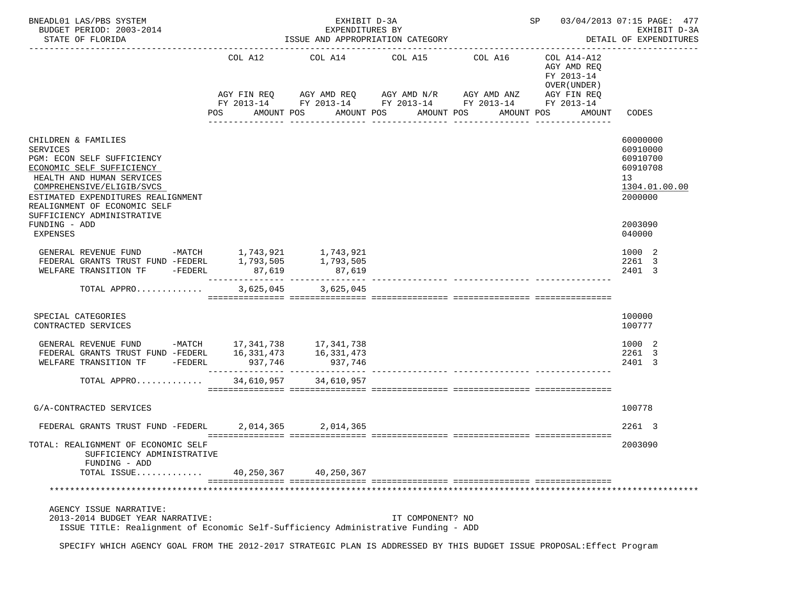| BNEADL01 LAS/PBS SYSTEM<br>BUDGET PERIOD: 2003-2014<br>STATE OF FLORIDA                                                                                                                                                                                                          |         | EXHIBIT D-3A<br>EXPENDITURES BY<br>ISSUE AND APPROPRIATION CATEGORY                                                                                                                | SP 03/04/2013 07:15 PAGE: 477<br>EXHIBIT D-3A<br>DETAIL OF EXPENDITURES |            |                                                      |                                                                                           |  |
|----------------------------------------------------------------------------------------------------------------------------------------------------------------------------------------------------------------------------------------------------------------------------------|---------|------------------------------------------------------------------------------------------------------------------------------------------------------------------------------------|-------------------------------------------------------------------------|------------|------------------------------------------------------|-------------------------------------------------------------------------------------------|--|
|                                                                                                                                                                                                                                                                                  | POS     | COL A12 COL A14 COL A15 COL A16 COL A14-A12<br>AGY FIN REQ AGY AMD REQ AGY AMD N/R AGY AMD ANZ AGY FIN REQ<br>FY 2013-14 FY 2013-14 FY 2013-14 FY 2013-14 FY 2013-14<br>AMOUNT POS | AMOUNT POS AMOUNT POS                                                   | AMOUNT POS | AGY AMD REO<br>FY 2013-14<br>OVER (UNDER )<br>AMOUNT | CODES                                                                                     |  |
| CHILDREN & FAMILIES<br><b>SERVICES</b><br>PGM: ECON SELF SUFFICIENCY<br>ECONOMIC SELF SUFFICIENCY<br>HEALTH AND HUMAN SERVICES<br>COMPREHENSIVE/ELIGIB/SVCS<br>ESTIMATED EXPENDITURES REALIGNMENT<br>REALIGNMENT OF ECONOMIC SELF<br>SUFFICIENCY ADMINISTRATIVE<br>FUNDING - ADD |         |                                                                                                                                                                                    |                                                                         |            |                                                      | 60000000<br>60910000<br>60910700<br>60910708<br>13<br>1304.01.00.00<br>2000000<br>2003090 |  |
| EXPENSES<br>GENERAL REVENUE FUND -MATCH 1,743,921 1,743,921<br>FEDERAL GRANTS TRUST FUND -FEDERL 1,793,505 1,793,505<br>WELFARE TRANSITION TF -FEDERL 87,619 87,619<br>WELFARE TRANSITION TF -FEDERL                                                                             | 87,619  | 87,619                                                                                                                                                                             |                                                                         |            |                                                      | 040000<br>1000 2<br>2261 3<br>2401 3                                                      |  |
| TOTAL APPRO                                                                                                                                                                                                                                                                      |         | 3,625,045 3,625,045                                                                                                                                                                |                                                                         |            |                                                      |                                                                                           |  |
| SPECIAL CATEGORIES<br>CONTRACTED SERVICES                                                                                                                                                                                                                                        |         |                                                                                                                                                                                    |                                                                         |            |                                                      | 100000<br>100777                                                                          |  |
| GENERAL REVENUE FUND -MATCH 17, 341, 738 17, 341, 738<br>FEDERAL GRANTS TRUST FUND -FEDERL 16,331,473<br>WELFARE TRANSITION TF -FEDERL                                                                                                                                           | 937,746 | 16, 331, 473<br>937,746                                                                                                                                                            |                                                                         |            |                                                      | 1000 2<br>2261 3<br>2401 3                                                                |  |
| TOTAL APPRO 34,610,957 34,610,957                                                                                                                                                                                                                                                |         |                                                                                                                                                                                    |                                                                         |            |                                                      |                                                                                           |  |
| G/A-CONTRACTED SERVICES                                                                                                                                                                                                                                                          |         |                                                                                                                                                                                    |                                                                         |            |                                                      | 100778                                                                                    |  |
| FEDERAL GRANTS TRUST FUND -FEDERL 2,014,365 2,014,365                                                                                                                                                                                                                            |         |                                                                                                                                                                                    |                                                                         |            |                                                      | 2261 3                                                                                    |  |
| TOTAL: REALIGNMENT OF ECONOMIC SELF<br>SUFFICIENCY ADMINISTRATIVE<br>FUNDING - ADD                                                                                                                                                                                               |         |                                                                                                                                                                                    |                                                                         |            |                                                      | 2003090                                                                                   |  |
| TOTAL ISSUE                                                                                                                                                                                                                                                                      |         | 40,250,367 40,250,367                                                                                                                                                              |                                                                         |            |                                                      |                                                                                           |  |
| AGENCY ISSUE NARRATIVE:<br>2013-2014 BUDGET YEAR NARRATIVE:<br>ISSUE TITLE: Realignment of Economic Self-Sufficiency Administrative Funding - ADD<br>SPECIFY WHICH AGENCY GOAL FROM THE 2012-2017 STRATEGIC PLAN IS ADDRESSED BY THIS BUDGET ISSUE PROPOSAL: Effect Program      |         |                                                                                                                                                                                    | IT COMPONENT? NO                                                        |            |                                                      |                                                                                           |  |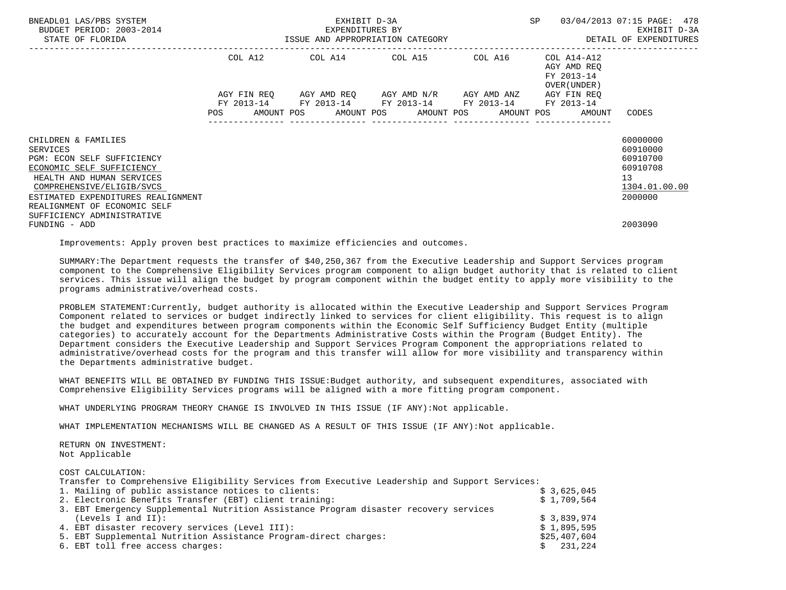| BNEADL01 LAS/PBS SYSTEM<br>BUDGET PERIOD: 2003-2014<br>STATE OF FLORIDA | EXHIBIT D-3A<br>EXPENDITURES BY<br>ISSUE AND APPROPRIATION CATEGORY |             |  |  |  |                                                                                            |  |            | SP |                                                          | 03/04/2013 07:15 PAGE: 478<br>EXHIBIT D-3A<br>DETAIL OF EXPENDITURES |  |
|-------------------------------------------------------------------------|---------------------------------------------------------------------|-------------|--|--|--|--------------------------------------------------------------------------------------------|--|------------|----|----------------------------------------------------------|----------------------------------------------------------------------|--|
|                                                                         | COL A12                                                             |             |  |  |  | COL A14 COL A15 COL A16                                                                    |  |            |    | COL A14-A12<br>AGY AMD REO<br>FY 2013-14<br>OVER (UNDER) |                                                                      |  |
|                                                                         |                                                                     | AGY FIN REO |  |  |  | AGY AMD REO AGY AMD N/R AGY AMD ANZ                                                        |  |            |    | AGY FIN REO                                              |                                                                      |  |
|                                                                         | <b>POS</b>                                                          |             |  |  |  | FY 2013-14 FY 2013-14 FY 2013-14 FY 2013-14 FY 2013-14<br>AMOUNT POS AMOUNT POS AMOUNT POS |  | AMOUNT POS |    | AMOUNT                                                   | CODES                                                                |  |
| CHILDREN & FAMILIES                                                     |                                                                     |             |  |  |  |                                                                                            |  |            |    |                                                          | 60000000                                                             |  |
| <b>SERVICES</b>                                                         |                                                                     |             |  |  |  |                                                                                            |  |            |    |                                                          | 60910000                                                             |  |
| PGM: ECON SELF SUFFICIENCY                                              |                                                                     |             |  |  |  |                                                                                            |  |            |    |                                                          | 60910700                                                             |  |
| ECONOMIC SELF SUFFICIENCY                                               |                                                                     |             |  |  |  |                                                                                            |  |            |    |                                                          | 60910708                                                             |  |
| HEALTH AND HUMAN SERVICES                                               |                                                                     |             |  |  |  |                                                                                            |  |            |    |                                                          | 13                                                                   |  |
| COMPREHENSIVE/ELIGIB/SVCS                                               |                                                                     |             |  |  |  |                                                                                            |  |            |    |                                                          | 1304.01.00.00                                                        |  |
| ESTIMATED EXPENDITURES REALIGNMENT                                      |                                                                     |             |  |  |  |                                                                                            |  |            |    |                                                          | 2000000                                                              |  |
| REALIGNMENT OF ECONOMIC SELF                                            |                                                                     |             |  |  |  |                                                                                            |  |            |    |                                                          |                                                                      |  |
| SUFFICIENCY ADMINISTRATIVE                                              |                                                                     |             |  |  |  |                                                                                            |  |            |    |                                                          |                                                                      |  |
| FUNDING - ADD                                                           |                                                                     |             |  |  |  |                                                                                            |  |            |    |                                                          | 2003090                                                              |  |

Improvements: Apply proven best practices to maximize efficiencies and outcomes.

 SUMMARY:The Department requests the transfer of \$40,250,367 from the Executive Leadership and Support Services program component to the Comprehensive Eligibility Services program component to align budget authority that is related to client services. This issue will align the budget by program component within the budget entity to apply more visibility to the programs administrative/overhead costs.

 PROBLEM STATEMENT:Currently, budget authority is allocated within the Executive Leadership and Support Services Program Component related to services or budget indirectly linked to services for client eligibility. This request is to align the budget and expenditures between program components within the Economic Self Sufficiency Budget Entity (multiple categories) to accurately account for the Departments Administrative Costs within the Program (Budget Entity). The Department considers the Executive Leadership and Support Services Program Component the appropriations related to administrative/overhead costs for the program and this transfer will allow for more visibility and transparency within the Departments administrative budget.

 WHAT BENEFITS WILL BE OBTAINED BY FUNDING THIS ISSUE:Budget authority, and subsequent expenditures, associated with Comprehensive Eligibility Services programs will be aligned with a more fitting program component.

WHAT UNDERLYING PROGRAM THEORY CHANGE IS INVOLVED IN THIS ISSUE (IF ANY):Not applicable.

WHAT IMPLEMENTATION MECHANISMS WILL BE CHANGED AS A RESULT OF THIS ISSUE (IF ANY):Not applicable.

 RETURN ON INVESTMENT: Not Applicable

COST CALCULATION:

| Transfer to Comprehensive Eligibility Services from Executive Leadership and Support Services: |              |
|------------------------------------------------------------------------------------------------|--------------|
| 1. Mailing of public assistance notices to clients:                                            | \$3,625,045  |
| 2. Electronic Benefits Transfer (EBT) client training:                                         | \$1,709,564  |
| 3. EBT Emergency Supplemental Nutrition Assistance Program disaster recovery services          |              |
| (Levels I and II):                                                                             | \$3,839,974  |
| 4. EBT disaster recovery services (Level III):                                                 | \$1,895,595  |
| 5. EBT Supplemental Nutrition Assistance Program-direct charges:                               | \$25,407,604 |
| 6. EBT toll free access charges:                                                               | \$231,224    |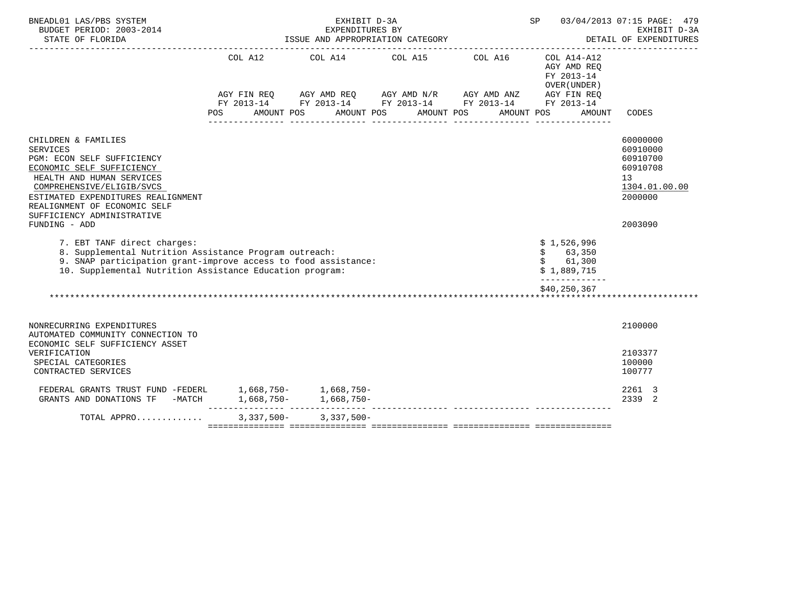| BNEADL01 LAS/PBS SYSTEM<br>BUDGET PERIOD: 2003-2014<br>STATE OF FLORIDA                                                                                                                                                                                                   | ISSUE AND APPROPRIATION CATEGORY | SP                                                                                                                                                                                                                                                                                                                                       | 03/04/2013 07:15 PAGE: 479<br>EXHIBIT D-3A<br>DETAIL OF EXPENDITURES |                                                                                  |                                                                                           |
|---------------------------------------------------------------------------------------------------------------------------------------------------------------------------------------------------------------------------------------------------------------------------|----------------------------------|------------------------------------------------------------------------------------------------------------------------------------------------------------------------------------------------------------------------------------------------------------------------------------------------------------------------------------------|----------------------------------------------------------------------|----------------------------------------------------------------------------------|-------------------------------------------------------------------------------------------|
|                                                                                                                                                                                                                                                                           | COL A12<br><b>POS</b>            | $AGY \text{ } \text{FIN } \text{REQ} \qquad \text{ } AGY \text{ } \text{AMD } \text{REQ} \qquad \text{ } AGY \text{ } \text{AMD } \text{N/R} \qquad \text{ } AGY \text{ } \text{AMD } \text{ANZ} \qquad \text{ } AGY \text{ } \text{FIN } \text{REQ}$<br>FY 2013-14 FY 2013-14 FY 2013-14 FY 2013-14 FY 2013-14<br>AMOUNT POS AMOUNT POS | COL A14 COL A15 COL A16<br>AMOUNT POS                                | COL A14-A12<br>AGY AMD REQ<br>FY 2013-14<br>OVER (UNDER)<br>AMOUNT POS<br>AMOUNT | CODES                                                                                     |
| CHILDREN & FAMILIES<br>SERVICES<br>PGM: ECON SELF SUFFICIENCY<br>ECONOMIC SELF SUFFICIENCY<br>HEALTH AND HUMAN SERVICES<br>COMPREHENSIVE/ELIGIB/SVCS<br>ESTIMATED EXPENDITURES REALIGNMENT<br>REALIGNMENT OF ECONOMIC SELF<br>SUFFICIENCY ADMINISTRATIVE<br>FUNDING - ADD |                                  |                                                                                                                                                                                                                                                                                                                                          |                                                                      |                                                                                  | 60000000<br>60910000<br>60910700<br>60910708<br>13<br>1304.01.00.00<br>2000000<br>2003090 |
| 7. EBT TANF direct charges:<br>8. Supplemental Nutrition Assistance Program outreach:<br>9. SNAP participation grant-improve access to food assistance:<br>10. Supplemental Nutrition Assistance Education program:                                                       |                                  |                                                                                                                                                                                                                                                                                                                                          |                                                                      | \$1,526,996<br>\$ 63,350<br>\$ 61,300<br>\$1,889,715<br>-------------            |                                                                                           |
|                                                                                                                                                                                                                                                                           |                                  |                                                                                                                                                                                                                                                                                                                                          |                                                                      | \$40,250,367                                                                     |                                                                                           |
| NONRECURRING EXPENDITURES<br>AUTOMATED COMMUNITY CONNECTION TO<br>ECONOMIC SELF SUFFICIENCY ASSET                                                                                                                                                                         |                                  |                                                                                                                                                                                                                                                                                                                                          |                                                                      |                                                                                  | 2100000                                                                                   |
| VERIFICATION<br>SPECIAL CATEGORIES<br>CONTRACTED SERVICES                                                                                                                                                                                                                 |                                  |                                                                                                                                                                                                                                                                                                                                          |                                                                      |                                                                                  | 2103377<br>100000<br>100777                                                               |
| FEDERAL GRANTS TRUST FUND -FEDERL 1,668,750- 1,668,750-                                                                                                                                                                                                                   |                                  |                                                                                                                                                                                                                                                                                                                                          |                                                                      |                                                                                  | 2261 3<br>2339 2                                                                          |
| TOTAL APPRO                                                                                                                                                                                                                                                               |                                  | $3,337,500 - 3,337,500 -$                                                                                                                                                                                                                                                                                                                |                                                                      |                                                                                  |                                                                                           |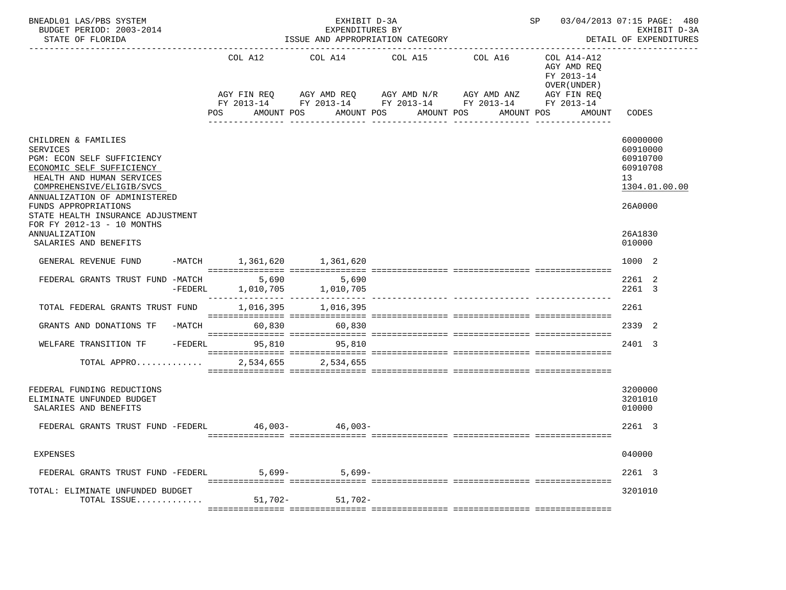| BNEADL01 LAS/PBS SYSTEM<br>BUDGET PERIOD: 2003-2014<br>STATE OF FLORIDA                                                                                                                                                                                                                                                           |         |                                | EXHIBIT D-3A<br>EXPENDITURES BY<br>ISSUE AND APPROPRIATION CATEGORY                                                                | SP 03/04/2013 07:15 PAGE: 480<br>EXHIBIT D-3A<br>DETAIL OF EXPENDITURES |                               |                                                                                                 |                                                                                                     |
|-----------------------------------------------------------------------------------------------------------------------------------------------------------------------------------------------------------------------------------------------------------------------------------------------------------------------------------|---------|--------------------------------|------------------------------------------------------------------------------------------------------------------------------------|-------------------------------------------------------------------------|-------------------------------|-------------------------------------------------------------------------------------------------|-----------------------------------------------------------------------------------------------------|
|                                                                                                                                                                                                                                                                                                                                   |         | COL A12<br>POS                 | COL A14<br>AGY FIN REQ AGY AMD REQ AGY AMD N/R AGY AMD ANZ<br>FY 2013-14 FY 2013-14 FY 2013-14 FY 2013-14 FY 2013-14<br>AMOUNT POS | COL A15 COL A16<br>AMOUNT POS<br>----------------                       | AMOUNT POS<br>_______________ | COL A14-A12<br>AGY AMD REO<br>FY 2013-14<br>OVER (UNDER)<br>AGY FIN REQ<br>AMOUNT POS<br>AMOUNT | CODES                                                                                               |
| CHILDREN & FAMILIES<br><b>SERVICES</b><br>PGM: ECON SELF SUFFICIENCY<br>ECONOMIC SELF SUFFICIENCY<br>HEALTH AND HUMAN SERVICES<br>COMPREHENSIVE/ELIGIB/SVCS<br>ANNUALIZATION OF ADMINISTERED<br>FUNDS APPROPRIATIONS<br>STATE HEALTH INSURANCE ADJUSTMENT<br>FOR FY 2012-13 - 10 MONTHS<br>ANNUALIZATION<br>SALARIES AND BENEFITS |         |                                |                                                                                                                                    |                                                                         |                               |                                                                                                 | 60000000<br>60910000<br>60910700<br>60910708<br>13<br>1304.01.00.00<br>26A0000<br>26A1830<br>010000 |
| GENERAL REVENUE FUND                                                                                                                                                                                                                                                                                                              |         | -MATCH 1, 361, 620 1, 361, 620 |                                                                                                                                    |                                                                         |                               |                                                                                                 | 1000 2                                                                                              |
| FEDERAL GRANTS TRUST FUND -MATCH 5,690 5,690                                                                                                                                                                                                                                                                                      | -FEDERL |                                | 1,010,705 1,010,705                                                                                                                |                                                                         |                               |                                                                                                 | 2261 2<br>2261 3                                                                                    |
| TOTAL FEDERAL GRANTS TRUST FUND                                                                                                                                                                                                                                                                                                   |         | 1,016,395                      | 1,016,395                                                                                                                          |                                                                         |                               |                                                                                                 | 2261                                                                                                |
| GRANTS AND DONATIONS TF                                                                                                                                                                                                                                                                                                           |         | -MATCH 60,830 60,830           |                                                                                                                                    |                                                                         |                               |                                                                                                 | 2339 2                                                                                              |
| WELFARE TRANSITION TF                                                                                                                                                                                                                                                                                                             |         | -FEDERL 95,810                 | 95.810                                                                                                                             |                                                                         |                               |                                                                                                 | 2401 3                                                                                              |
| TOTAL APPRO                                                                                                                                                                                                                                                                                                                       |         |                                | 2,534,655 2,534,655                                                                                                                |                                                                         |                               |                                                                                                 |                                                                                                     |
| FEDERAL FUNDING REDUCTIONS<br>ELIMINATE UNFUNDED BUDGET<br>SALARIES AND BENEFITS                                                                                                                                                                                                                                                  |         |                                |                                                                                                                                    |                                                                         |                               |                                                                                                 | 3200000<br>3201010<br>010000                                                                        |
| FEDERAL GRANTS TRUST FUND -FEDERL 46,003-<br>46,003-                                                                                                                                                                                                                                                                              |         |                                |                                                                                                                                    |                                                                         |                               |                                                                                                 | 2261 3                                                                                              |
| EXPENSES                                                                                                                                                                                                                                                                                                                          |         |                                |                                                                                                                                    |                                                                         |                               |                                                                                                 | 040000                                                                                              |
| FEDERAL GRANTS TRUST FUND -FEDERL                                                                                                                                                                                                                                                                                                 |         | $5,699-$                       | $5,699-$                                                                                                                           |                                                                         |                               |                                                                                                 | 2261 3                                                                                              |
| TOTAL: ELIMINATE UNFUNDED BUDGET<br>TOTAL ISSUE                                                                                                                                                                                                                                                                                   |         | 51,702-                        | $51,702-$                                                                                                                          |                                                                         |                               |                                                                                                 | 3201010                                                                                             |
|                                                                                                                                                                                                                                                                                                                                   |         |                                |                                                                                                                                    |                                                                         |                               |                                                                                                 |                                                                                                     |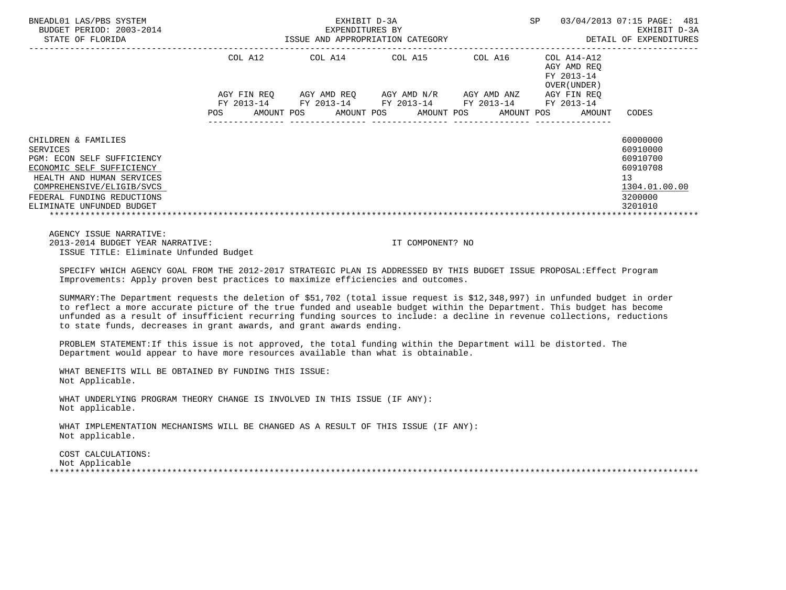| BNEADL01 LAS/PBS SYSTEM<br>EXPENDITURES BY ARE DETAIL OF EXPENDITURES AND APPROPRIATION CATEGORY DETAIL OF EXPENDITURES STATE OF FLORIDA STATE OF FLORIDA                                                  |  | SP 03/04/2013 07:15 PAGE: 481                               |  |                                                        |                                              |
|------------------------------------------------------------------------------------------------------------------------------------------------------------------------------------------------------------|--|-------------------------------------------------------------|--|--------------------------------------------------------|----------------------------------------------|
|                                                                                                                                                                                                            |  | COL A12 COL A14 COL A15 COL A16 COL A14-A12                 |  | AGY AMD REO<br>FY 2013-14<br>OVER (UNDER )             |                                              |
|                                                                                                                                                                                                            |  | AGY FIN REQ AGY AMD REQ AGY AMD N/R AGY AMD ANZ AGY FIN REQ |  |                                                        |                                              |
|                                                                                                                                                                                                            |  | FY 2013-14 FY 2013-14 FY 2013-14 FY 2013-14 FY 2013-14      |  |                                                        |                                              |
|                                                                                                                                                                                                            |  |                                                             |  | POS AMOUNT POS AMOUNT POS AMOUNT POS AMOUNT POS AMOUNT | CODES                                        |
| CHILDREN & FAMILIES<br><b>SERVICES</b><br>PGM: ECON SELF SUFFICIENCY<br>ECONOMIC SELF SUFFICIENCY                                                                                                          |  |                                                             |  |                                                        | 60000000<br>60910000<br>60910700<br>60910708 |
| HEALTH AND HUMAN SERVICES<br>COMPREHENSIVE/ELIGIB/SVCS<br>FEDERAL FUNDING REDUCTIONS                                                                                                                       |  |                                                             |  |                                                        | 13<br>1304.01.00.00<br>3200000               |
| ELIMINATE UNFUNDED BUDGET                                                                                                                                                                                  |  |                                                             |  |                                                        | 3201010                                      |
| AGENCY ISSUE NARRATIVE:                                                                                                                                                                                    |  |                                                             |  |                                                        |                                              |
| 2013-2014 BUDGET YEAR NARRATIVE:<br>ISSUE TITLE: Eliminate Unfunded Budget                                                                                                                                 |  | IT COMPONENT? NO                                            |  |                                                        |                                              |
| SPECIFY WHICH AGENCY GOAL FROM THE 2012-2017 STRATEGIC PLAN IS ADDRESSED BY THIS BUDGET ISSUE PROPOSAL: Effect Program<br>Improvements: Apply proven best practices to maximize efficiencies and outcomes. |  |                                                             |  |                                                        |                                              |
| SUMMARY: The Department requests the deletion of \$51,702 (total issue request is \$12,348,997) in unfunded budget in order                                                                                |  |                                                             |  |                                                        |                                              |

 to reflect a more accurate picture of the true funded and useable budget within the Department. This budget has become unfunded as a result of insufficient recurring funding sources to include: a decline in revenue collections, reductions to state funds, decreases in grant awards, and grant awards ending.

 PROBLEM STATEMENT:If this issue is not approved, the total funding within the Department will be distorted. The Department would appear to have more resources available than what is obtainable.

 WHAT BENEFITS WILL BE OBTAINED BY FUNDING THIS ISSUE: Not Applicable.

 WHAT UNDERLYING PROGRAM THEORY CHANGE IS INVOLVED IN THIS ISSUE (IF ANY): Not applicable.

 WHAT IMPLEMENTATION MECHANISMS WILL BE CHANGED AS A RESULT OF THIS ISSUE (IF ANY): Not applicable.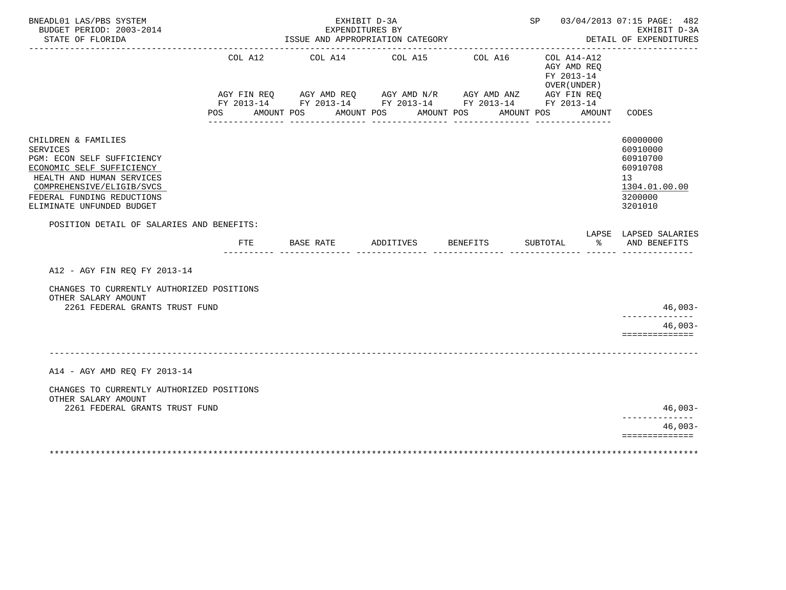| BNEADL01 LAS/PBS SYSTEM<br>BUDGET PERIOD: 2003-2014<br>STATE OF FLORIDA                                                                                                                                                |                |               | EXHIBIT D-3A<br>EXPENDITURES BY<br>ISSUE AND APPROPRIATION CATEGORY                                                                                                       |                       |            |          |            |            |                                                      | SP 03/04/2013 07:15 PAGE: 482<br>EXHIBIT D-3A<br>DETAIL OF EXPENDITURES                   |
|------------------------------------------------------------------------------------------------------------------------------------------------------------------------------------------------------------------------|----------------|---------------|---------------------------------------------------------------------------------------------------------------------------------------------------------------------------|-----------------------|------------|----------|------------|------------|------------------------------------------------------|-------------------------------------------------------------------------------------------|
|                                                                                                                                                                                                                        | COL A12<br>POS | AMOUNT POS    | -------------------------------------<br>COL A14<br>AGY FIN REQ AGY AMD REQ AGY AMD N/R AGY AMD ANZ AGY FIN REQ<br>FY 2013-14 FY 2013-14 FY 2013-14 FY 2013-14 FY 2013-14 | COL A15<br>AMOUNT POS | AMOUNT POS | COL A16  | AMOUNT POS | FY 2013-14 | COL A14-A12<br>AGY AMD REQ<br>OVER (UNDER)<br>AMOUNT | CODES                                                                                     |
| CHILDREN & FAMILIES<br><b>SERVICES</b><br>PGM: ECON SELF SUFFICIENCY<br>ECONOMIC SELF SUFFICIENCY<br>HEALTH AND HUMAN SERVICES<br>COMPREHENSIVE/ELIGIB/SVCS<br>FEDERAL FUNDING REDUCTIONS<br>ELIMINATE UNFUNDED BUDGET |                |               |                                                                                                                                                                           |                       |            |          |            |            |                                                      | 60000000<br>60910000<br>60910700<br>60910708<br>13<br>1304.01.00.00<br>3200000<br>3201010 |
| POSITION DETAIL OF SALARIES AND BENEFITS:                                                                                                                                                                              |                | FTE BASE RATE |                                                                                                                                                                           | ADDITIVES             |            | BENEFITS |            | SUBTOTAL   | ႜೢ                                                   | LAPSE LAPSED SALARIES<br>AND BENEFITS                                                     |
| A12 - AGY FIN REQ FY 2013-14<br>CHANGES TO CURRENTLY AUTHORIZED POSITIONS                                                                                                                                              |                |               |                                                                                                                                                                           |                       |            |          |            |            |                                                      |                                                                                           |
| OTHER SALARY AMOUNT<br>2261 FEDERAL GRANTS TRUST FUND                                                                                                                                                                  |                |               |                                                                                                                                                                           |                       |            |          |            |            |                                                      | $46,003-$<br>$46,003-$<br>==============                                                  |
| A14 - AGY AMD REQ FY 2013-14                                                                                                                                                                                           |                |               |                                                                                                                                                                           |                       |            |          |            |            |                                                      |                                                                                           |
| CHANGES TO CURRENTLY AUTHORIZED POSITIONS<br>OTHER SALARY AMOUNT<br>2261 FEDERAL GRANTS TRUST FUND                                                                                                                     |                |               |                                                                                                                                                                           |                       |            |          |            |            |                                                      | 46,003-                                                                                   |
|                                                                                                                                                                                                                        |                |               |                                                                                                                                                                           |                       |            |          |            |            |                                                      | $46,003-$<br>==============                                                               |
|                                                                                                                                                                                                                        |                |               |                                                                                                                                                                           |                       |            |          |            |            |                                                      |                                                                                           |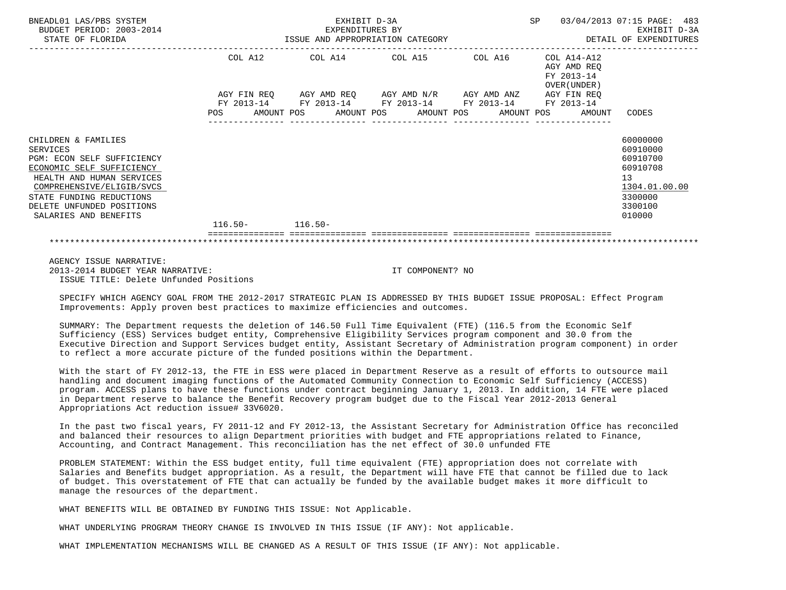| BNEADL01 LAS/PBS SYSTEM<br>BUDGET PERIOD: 2003-2014<br>STATE OF FLORIDA                                                                                                                                                                              |                   | EXHIBIT D-3A<br>EXPENDITURES BY<br>ISSUE AND APPROPRIATION CATEGORY             | SP | 03/04/2013 07:15 PAGE: 483<br>EXHIBIT D-3A<br>DETAIL OF EXPENDITURES     |                                                                                                     |
|------------------------------------------------------------------------------------------------------------------------------------------------------------------------------------------------------------------------------------------------------|-------------------|---------------------------------------------------------------------------------|----|--------------------------------------------------------------------------|-----------------------------------------------------------------------------------------------------|
|                                                                                                                                                                                                                                                      | COL A12           | COL A14 COL A15 COL A16<br>AGY FIN REQ AGY AMD REQ AGY AMD N/R AGY AMD ANZ      |    | COL A14-A12<br>AGY AMD REO<br>FY 2013-14<br>OVER (UNDER )<br>AGY FIN REO |                                                                                                     |
|                                                                                                                                                                                                                                                      | FY 2013-14<br>POS | FY 2013-14 FY 2013-14 FY 2013-14 FY 2013-14<br>AMOUNT POS AMOUNT POS AMOUNT POS |    | AMOUNT POS<br>AMOUNT                                                     | CODES                                                                                               |
| CHILDREN & FAMILIES<br><b>SERVICES</b><br><b>PGM: ECON SELF SUFFICIENCY</b><br>ECONOMIC SELF SUFFICIENCY<br>HEALTH AND HUMAN SERVICES<br>COMPREHENSIVE/ELIGIB/SVCS<br>STATE FUNDING REDUCTIONS<br>DELETE UNFUNDED POSITIONS<br>SALARIES AND BENEFITS | $116.50 -$        | $116.50 -$                                                                      |    |                                                                          | 60000000<br>60910000<br>60910700<br>60910708<br>13<br>1304.01.00.00<br>3300000<br>3300100<br>010000 |
|                                                                                                                                                                                                                                                      |                   |                                                                                 |    |                                                                          |                                                                                                     |
|                                                                                                                                                                                                                                                      |                   |                                                                                 |    |                                                                          |                                                                                                     |

 AGENCY ISSUE NARRATIVE: 2013-2014 BUDGET YEAR NARRATIVE: IT COMPONENT? NO ISSUE TITLE: Delete Unfunded Positions

 SPECIFY WHICH AGENCY GOAL FROM THE 2012-2017 STRATEGIC PLAN IS ADDRESSED BY THIS BUDGET ISSUE PROPOSAL: Effect Program Improvements: Apply proven best practices to maximize efficiencies and outcomes.

 SUMMARY: The Department requests the deletion of 146.50 Full Time Equivalent (FTE) (116.5 from the Economic Self Sufficiency (ESS) Services budget entity, Comprehensive Eligibility Services program component and 30.0 from the Executive Direction and Support Services budget entity, Assistant Secretary of Administration program component) in order to reflect a more accurate picture of the funded positions within the Department.

 With the start of FY 2012-13, the FTE in ESS were placed in Department Reserve as a result of efforts to outsource mail handling and document imaging functions of the Automated Community Connection to Economic Self Sufficiency (ACCESS) program. ACCESS plans to have these functions under contract beginning January 1, 2013. In addition, 14 FTE were placed in Department reserve to balance the Benefit Recovery program budget due to the Fiscal Year 2012-2013 General Appropriations Act reduction issue# 33V6020.

 In the past two fiscal years, FY 2011-12 and FY 2012-13, the Assistant Secretary for Administration Office has reconciled and balanced their resources to align Department priorities with budget and FTE appropriations related to Finance, Accounting, and Contract Management. This reconciliation has the net effect of 30.0 unfunded FTE

 PROBLEM STATEMENT: Within the ESS budget entity, full time equivalent (FTE) appropriation does not correlate with Salaries and Benefits budget appropriation. As a result, the Department will have FTE that cannot be filled due to lack of budget. This overstatement of FTE that can actually be funded by the available budget makes it more difficult to manage the resources of the department.

WHAT BENEFITS WILL BE OBTAINED BY FUNDING THIS ISSUE: Not Applicable.

WHAT UNDERLYING PROGRAM THEORY CHANGE IS INVOLVED IN THIS ISSUE (IF ANY): Not applicable.

WHAT IMPLEMENTATION MECHANISMS WILL BE CHANGED AS A RESULT OF THIS ISSUE (IF ANY): Not applicable.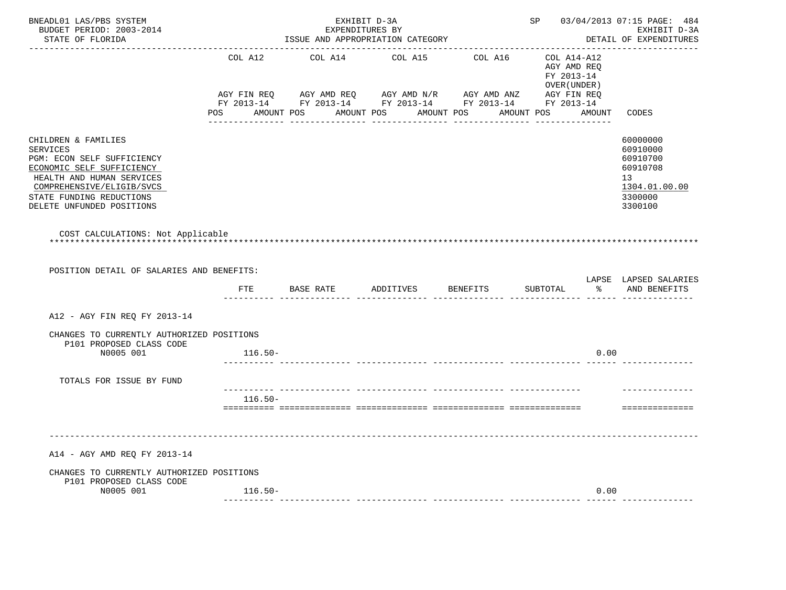| BNEADL01 LAS/PBS SYSTEM<br>BUDGET PERIOD: 2003-2014<br>STATE OF FLORIDA<br>. _ _ _ _ _ _ _ _ _ _ _ _ _ _ _ _                                                                                                         |           | EXHIBIT D-3A<br>EXPENDITURES BY<br>ISSUE AND APPROPRIATION CATEGORY | SP 03/04/2013 07:15 PAGE: 484<br>EXHIBIT D-3A<br>DETAIL OF EXPENDITURES |                                                                                                                                                                                                                                                                 |                                                              |                                                                                           |
|----------------------------------------------------------------------------------------------------------------------------------------------------------------------------------------------------------------------|-----------|---------------------------------------------------------------------|-------------------------------------------------------------------------|-----------------------------------------------------------------------------------------------------------------------------------------------------------------------------------------------------------------------------------------------------------------|--------------------------------------------------------------|-------------------------------------------------------------------------------------------|
|                                                                                                                                                                                                                      | COL A12   | COL A14                                                             | COL A15                                                                 | COL A16                                                                                                                                                                                                                                                         | COL A14-A12<br>AGY AMD REQ<br>FY 2013-14<br>OVER (UNDER )    |                                                                                           |
|                                                                                                                                                                                                                      |           |                                                                     |                                                                         | AGY FIN REQ       AGY AMD REQ        AGY AMD N/R        AGY AMD ANZ          AGY FIN REQ<br>FY 2013-14         FY 2013-14         FY 2013-14          FY 2013-14         FY 2013-14<br>ii illilililililili illilililililili illilililililili illililililililili | POS AMOUNT POS AMOUNT POS AMOUNT POS AMOUNT POS AMOUNT CODES |                                                                                           |
| CHILDREN & FAMILIES<br><b>SERVICES</b><br>PGM: ECON SELF SUFFICIENCY<br>ECONOMIC SELF SUFFICIENCY<br>HEALTH AND HUMAN SERVICES<br>COMPREHENSIVE/ELIGIB/SVCS<br>STATE FUNDING REDUCTIONS<br>DELETE UNFUNDED POSITIONS |           |                                                                     |                                                                         |                                                                                                                                                                                                                                                                 |                                                              | 60000000<br>60910000<br>60910700<br>60910708<br>13<br>1304.01.00.00<br>3300000<br>3300100 |
| COST CALCULATIONS: Not Applicable                                                                                                                                                                                    |           |                                                                     |                                                                         |                                                                                                                                                                                                                                                                 |                                                              |                                                                                           |
| POSITION DETAIL OF SALARIES AND BENEFITS:                                                                                                                                                                            | FTE       | BASE RATE ADDITIVES                                                 |                                                                         | <b>BENEFITS</b>                                                                                                                                                                                                                                                 | SUBTOTAL                                                     | LAPSE LAPSED SALARIES<br>% AND BENEFITS                                                   |
| A12 - AGY FIN REO FY 2013-14                                                                                                                                                                                         |           |                                                                     |                                                                         |                                                                                                                                                                                                                                                                 |                                                              |                                                                                           |
| CHANGES TO CURRENTLY AUTHORIZED POSITIONS<br>P101 PROPOSED CLASS CODE                                                                                                                                                |           |                                                                     |                                                                         |                                                                                                                                                                                                                                                                 |                                                              |                                                                                           |
| N0005 001                                                                                                                                                                                                            | $116.50-$ |                                                                     |                                                                         |                                                                                                                                                                                                                                                                 | 0.00                                                         |                                                                                           |
| TOTALS FOR ISSUE BY FUND                                                                                                                                                                                             |           |                                                                     |                                                                         |                                                                                                                                                                                                                                                                 |                                                              |                                                                                           |
|                                                                                                                                                                                                                      | $116.50-$ |                                                                     |                                                                         |                                                                                                                                                                                                                                                                 |                                                              | ==============                                                                            |
| A14 - AGY AMD REQ FY 2013-14                                                                                                                                                                                         |           |                                                                     |                                                                         |                                                                                                                                                                                                                                                                 |                                                              |                                                                                           |
| CHANGES TO CURRENTLY AUTHORIZED POSITIONS<br>P101 PROPOSED CLASS CODE                                                                                                                                                |           |                                                                     |                                                                         |                                                                                                                                                                                                                                                                 |                                                              |                                                                                           |
| N0005 001                                                                                                                                                                                                            | $116.50-$ |                                                                     |                                                                         |                                                                                                                                                                                                                                                                 | 0.00                                                         |                                                                                           |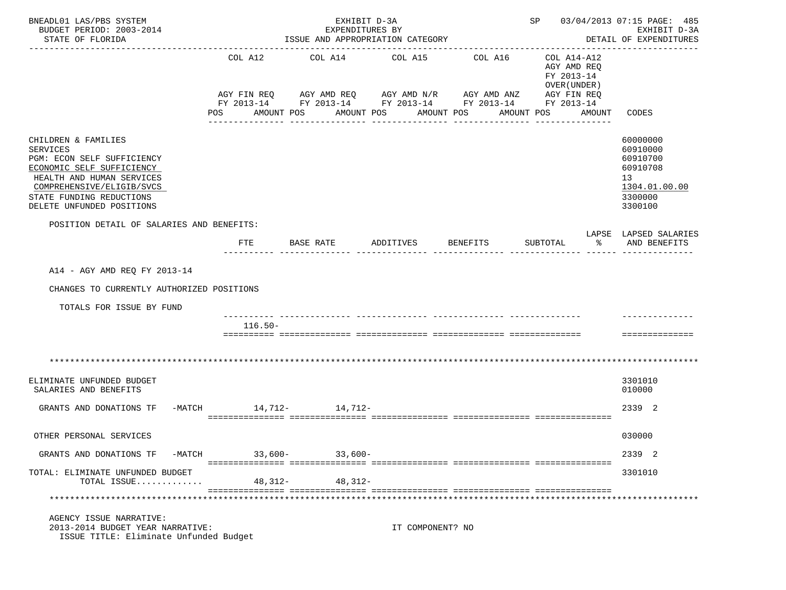| BNEADL01 LAS/PBS SYSTEM<br>BUDGET PERIOD: 2003-2014<br>STATE OF FLORIDA                                                                                                                                              | EXHIBIT D-3A<br>SP 03/04/2013 07:15 PAGE: 485<br>EXPENDITURES BY<br>ISSUE AND APPROPRIATION CATEGORY<br>DETAIL OF EXPENDITURES |            |                                                         |                                                                                                                                              |                                                                                                                     |                                                                                           |  |  |
|----------------------------------------------------------------------------------------------------------------------------------------------------------------------------------------------------------------------|--------------------------------------------------------------------------------------------------------------------------------|------------|---------------------------------------------------------|----------------------------------------------------------------------------------------------------------------------------------------------|---------------------------------------------------------------------------------------------------------------------|-------------------------------------------------------------------------------------------|--|--|
|                                                                                                                                                                                                                      | COL A12<br>POS                                                                                                                 | AMOUNT POS | COL A14 COL A15<br>AMOUNT POS AMOUNT POS<br>___________ | COL A16<br>AGY FIN REQ 6 AGY AMD REQ 6 AGY AMD N/R 66 AGY AMD ANZ<br>FY 2013-14 FY 2013-14 FY 2013-14 FY 2013-14 FY 2013-14<br>------------- | COL A14-A12<br>AGY AMD REQ<br>FY 2013-14<br>OVER (UNDER)<br>AGY FIN REQ<br>AMOUNT<br>AMOUNT POS<br>---------------- | -------------<br>CODES                                                                    |  |  |
| CHILDREN & FAMILIES<br><b>SERVICES</b><br>PGM: ECON SELF SUFFICIENCY<br>ECONOMIC SELF SUFFICIENCY<br>HEALTH AND HUMAN SERVICES<br>COMPREHENSIVE/ELIGIB/SVCS<br>STATE FUNDING REDUCTIONS<br>DELETE UNFUNDED POSITIONS |                                                                                                                                |            |                                                         |                                                                                                                                              |                                                                                                                     | 60000000<br>60910000<br>60910700<br>60910708<br>13<br>1304.01.00.00<br>3300000<br>3300100 |  |  |
| POSITION DETAIL OF SALARIES AND BENEFITS:                                                                                                                                                                            | FTE                                                                                                                            | BASE RATE  | ADDITIVES                                               | BENEFITS                                                                                                                                     | SUBTOTAL<br>ႜႂ                                                                                                      | LAPSE LAPSED SALARIES<br>AND BENEFITS                                                     |  |  |
| A14 - AGY AMD REQ FY 2013-14<br>CHANGES TO CURRENTLY AUTHORIZED POSITIONS<br>TOTALS FOR ISSUE BY FUND                                                                                                                |                                                                                                                                |            |                                                         |                                                                                                                                              |                                                                                                                     |                                                                                           |  |  |
|                                                                                                                                                                                                                      | $116.50-$                                                                                                                      |            |                                                         |                                                                                                                                              |                                                                                                                     | ==============                                                                            |  |  |
|                                                                                                                                                                                                                      |                                                                                                                                |            |                                                         |                                                                                                                                              |                                                                                                                     |                                                                                           |  |  |
| ELIMINATE UNFUNDED BUDGET<br>SALARIES AND BENEFITS                                                                                                                                                                   |                                                                                                                                |            |                                                         |                                                                                                                                              |                                                                                                                     | 3301010<br>010000                                                                         |  |  |
| GRANTS AND DONATIONS TF                                                                                                                                                                                              | -MATCH 14, 712- 14, 712-                                                                                                       |            |                                                         |                                                                                                                                              |                                                                                                                     | 2339 2                                                                                    |  |  |
| OTHER PERSONAL SERVICES                                                                                                                                                                                              |                                                                                                                                |            |                                                         |                                                                                                                                              |                                                                                                                     | 030000                                                                                    |  |  |
| GRANTS AND DONATIONS TF<br>-MATCH                                                                                                                                                                                    | $33,600-$                                                                                                                      | $33,600-$  |                                                         |                                                                                                                                              |                                                                                                                     | 2339 2                                                                                    |  |  |
| TOTAL: ELIMINATE UNFUNDED BUDGET<br>TOTAL ISSUE                                                                                                                                                                      | 48,312-                                                                                                                        | 48,312-    |                                                         |                                                                                                                                              |                                                                                                                     | 3301010                                                                                   |  |  |
|                                                                                                                                                                                                                      |                                                                                                                                |            |                                                         |                                                                                                                                              |                                                                                                                     |                                                                                           |  |  |
| AGENCY ISSUE NARRATIVE:<br>2013-2014 BUDGET YEAR NARRATIVE:<br>ISSUE TITLE: Eliminate Unfunded Budget                                                                                                                |                                                                                                                                |            | IT COMPONENT? NO                                        |                                                                                                                                              |                                                                                                                     |                                                                                           |  |  |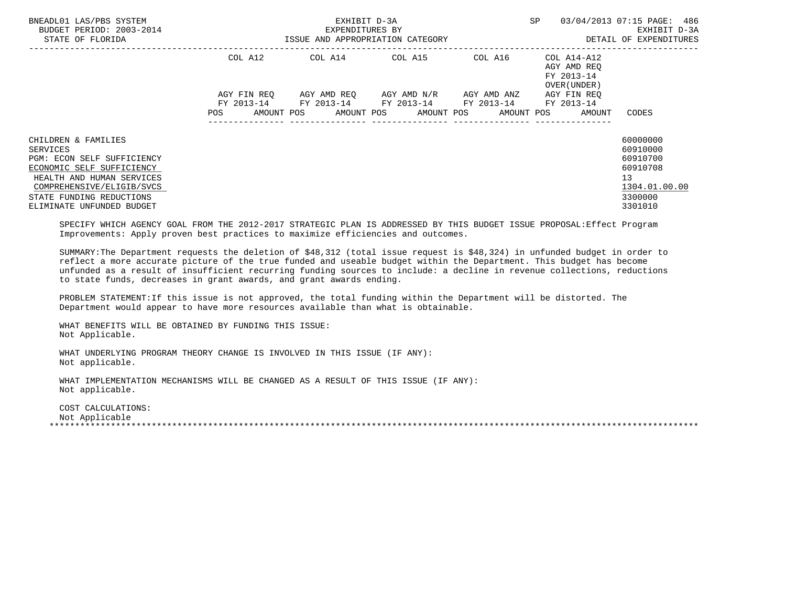| BNEADL01 LAS/PBS SYSTEM<br>BUDGET PERIOD: 2003-2014<br>STATE OF FLORIDA                                                                                                                                       | ISSUE AND APPROPRIATION CATEGORY | EXHIBIT D-3A<br>EXPENDITURES BY                                                                              | SP                                              | 03/04/2013 07:15 PAGE: 486<br>EXHIBIT D-3A<br>DETAIL OF EXPENDITURES |                                                          |                                                                                                        |
|---------------------------------------------------------------------------------------------------------------------------------------------------------------------------------------------------------------|----------------------------------|--------------------------------------------------------------------------------------------------------------|-------------------------------------------------|----------------------------------------------------------------------|----------------------------------------------------------|--------------------------------------------------------------------------------------------------------|
|                                                                                                                                                                                                               | COL A12                          | COL A14 COL A15 COL A16                                                                                      |                                                 |                                                                      | COL A14-A12<br>AGY AMD REO<br>FY 2013-14<br>OVER (UNDER) |                                                                                                        |
|                                                                                                                                                                                                               | AGY FIN REO<br>POS               | FY 2013-14 FY 2013-14 FY 2013-14 FY 2013-14 FY 2013-14<br>AMOUNT POS AMOUNT POS AMOUNT POS AMOUNT POS AMOUNT | AGY AMD REQ       AGY AMD N/R       AGY AMD ANZ |                                                                      | AGY FIN REO                                              | CODES                                                                                                  |
| CHILDREN & FAMILIES<br>SERVICES<br>PGM: ECON SELF SUFFICIENCY<br>ECONOMIC SELF SUFFICIENCY<br>HEALTH AND HUMAN SERVICES<br>COMPREHENSIVE/ELIGIB/SVCS<br>STATE FUNDING REDUCTIONS<br>ELIMINATE UNFUNDED BUDGET |                                  |                                                                                                              |                                                 |                                                                      |                                                          | 60000000<br>60910000<br>60910700<br>60910708<br>13 <sup>°</sup><br>1304.01.00.00<br>3300000<br>3301010 |

 SPECIFY WHICH AGENCY GOAL FROM THE 2012-2017 STRATEGIC PLAN IS ADDRESSED BY THIS BUDGET ISSUE PROPOSAL:Effect Program Improvements: Apply proven best practices to maximize efficiencies and outcomes.

 SUMMARY:The Department requests the deletion of \$48,312 (total issue request is \$48,324) in unfunded budget in order to reflect a more accurate picture of the true funded and useable budget within the Department. This budget has become unfunded as a result of insufficient recurring funding sources to include: a decline in revenue collections, reductions to state funds, decreases in grant awards, and grant awards ending.

 PROBLEM STATEMENT:If this issue is not approved, the total funding within the Department will be distorted. The Department would appear to have more resources available than what is obtainable.

 WHAT BENEFITS WILL BE OBTAINED BY FUNDING THIS ISSUE: Not Applicable.

 WHAT UNDERLYING PROGRAM THEORY CHANGE IS INVOLVED IN THIS ISSUE (IF ANY): Not applicable.

 WHAT IMPLEMENTATION MECHANISMS WILL BE CHANGED AS A RESULT OF THIS ISSUE (IF ANY): Not applicable.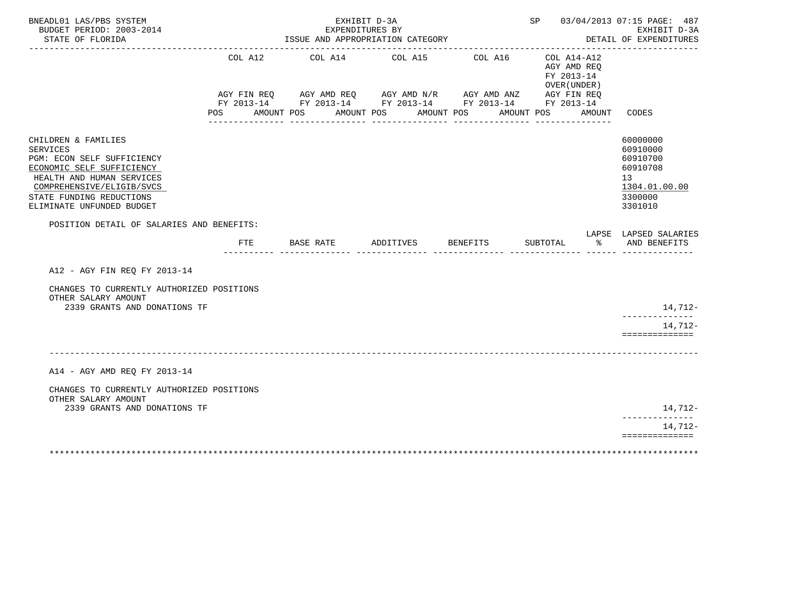| BNEADL01 LAS/PBS SYSTEM<br>BUDGET PERIOD: 2003-2014<br>STATE OF FLORIDA<br>----------------------                                                                                                                    |     |                       | EXHIBIT D-3A<br>EXPENDITURES BY<br>ISSUE AND APPROPRIATION CATEGORY                                                              |                       |            |          |            |            |                                                       | SP 03/04/2013 07:15 PAGE: 487<br>EXHIBIT D-3A<br>DETAIL OF EXPENDITURES                   |
|----------------------------------------------------------------------------------------------------------------------------------------------------------------------------------------------------------------------|-----|-----------------------|----------------------------------------------------------------------------------------------------------------------------------|-----------------------|------------|----------|------------|------------|-------------------------------------------------------|-------------------------------------------------------------------------------------------|
|                                                                                                                                                                                                                      | POS | COL A12<br>AMOUNT POS | COL A14<br>AGY FIN REQ AGY AMD REQ AGY AMD N/R AGY AMD ANZ AGY FIN REQ<br>FY 2013-14 FY 2013-14 FY 2013-14 FY 2013-14 FY 2013-14 | COL A15<br>AMOUNT POS | AMOUNT POS | COL A16  | AMOUNT POS | FY 2013-14 | COL A14-A12<br>AGY AMD REQ<br>OVER (UNDER )<br>AMOUNT | CODES                                                                                     |
| CHILDREN & FAMILIES<br><b>SERVICES</b><br>PGM: ECON SELF SUFFICIENCY<br>ECONOMIC SELF SUFFICIENCY<br>HEALTH AND HUMAN SERVICES<br>COMPREHENSIVE/ELIGIB/SVCS<br>STATE FUNDING REDUCTIONS<br>ELIMINATE UNFUNDED BUDGET |     |                       |                                                                                                                                  |                       |            |          |            |            |                                                       | 60000000<br>60910000<br>60910700<br>60910708<br>13<br>1304.01.00.00<br>3300000<br>3301010 |
| POSITION DETAIL OF SALARIES AND BENEFITS:                                                                                                                                                                            |     | FTE BASE RATE         |                                                                                                                                  | ADDITIVES             |            | BENEFITS |            | SUBTOTAL   | နွ                                                    | LAPSE LAPSED SALARIES<br>AND BENEFITS                                                     |
| A12 - AGY FIN REQ FY 2013-14                                                                                                                                                                                         |     |                       |                                                                                                                                  |                       |            |          |            |            |                                                       |                                                                                           |
| CHANGES TO CURRENTLY AUTHORIZED POSITIONS<br>OTHER SALARY AMOUNT                                                                                                                                                     |     |                       |                                                                                                                                  |                       |            |          |            |            |                                                       |                                                                                           |
| 2339 GRANTS AND DONATIONS TF                                                                                                                                                                                         |     |                       |                                                                                                                                  |                       |            |          |            |            |                                                       | 14,712-                                                                                   |
|                                                                                                                                                                                                                      |     |                       |                                                                                                                                  |                       |            |          |            |            |                                                       | 14,712-<br>==============                                                                 |
| A14 - AGY AMD REQ FY 2013-14                                                                                                                                                                                         |     |                       |                                                                                                                                  |                       |            |          |            |            |                                                       |                                                                                           |
| CHANGES TO CURRENTLY AUTHORIZED POSITIONS<br>OTHER SALARY AMOUNT                                                                                                                                                     |     |                       |                                                                                                                                  |                       |            |          |            |            |                                                       |                                                                                           |
| 2339 GRANTS AND DONATIONS TF                                                                                                                                                                                         |     |                       |                                                                                                                                  |                       |            |          |            |            |                                                       | 14,712-                                                                                   |
|                                                                                                                                                                                                                      |     |                       |                                                                                                                                  |                       |            |          |            |            |                                                       | 14,712-<br>==============                                                                 |
|                                                                                                                                                                                                                      |     |                       |                                                                                                                                  |                       |            |          |            |            |                                                       |                                                                                           |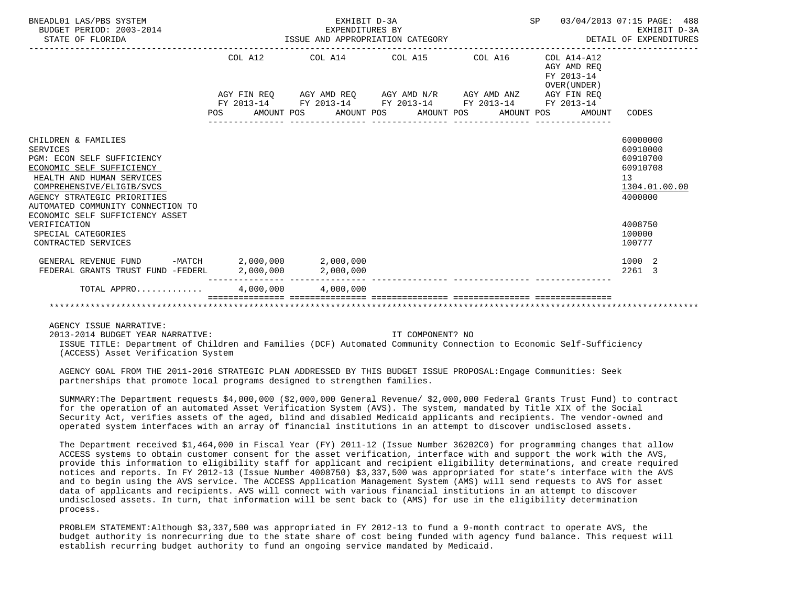| BNEADL01 LAS/PBS SYSTEM<br>BUDGET PERIOD: 2003-2014<br>STATE OF FLORIDA                                                                                                                                                                                     | EXPENDITURES BY<br>ISSUE AND APPROPRIATION CATEGORY | 03/04/2013 07:15 PAGE: 488<br>EXHIBIT D-3A<br>DETAIL OF EXPENDITURES |                                                                                            |                                                              |                                                                                             |
|-------------------------------------------------------------------------------------------------------------------------------------------------------------------------------------------------------------------------------------------------------------|-----------------------------------------------------|----------------------------------------------------------------------|--------------------------------------------------------------------------------------------|--------------------------------------------------------------|---------------------------------------------------------------------------------------------|
|                                                                                                                                                                                                                                                             | COL A12                                             |                                                                      | COL A14 COL A15 COL A16                                                                    | $COL A14 - A12$<br>AGY AMD REO<br>FY 2013-14<br>OVER (UNDER) |                                                                                             |
|                                                                                                                                                                                                                                                             |                                                     |                                                                      | AGY FIN REQ AGY AMD REQ AGY AMD N/R AGY AMD ANZ AGY FIN REQ                                |                                                              |                                                                                             |
|                                                                                                                                                                                                                                                             | <b>POS</b>                                          |                                                                      | FY 2013-14 FY 2013-14 FY 2013-14 FY 2013-14 FY 2013-14<br>AMOUNT POS AMOUNT POS AMOUNT POS | AMOUNT POS<br>AMOUNT                                         | CODES                                                                                       |
|                                                                                                                                                                                                                                                             |                                                     |                                                                      |                                                                                            |                                                              |                                                                                             |
| CHILDREN & FAMILIES<br>SERVICES<br>PGM: ECON SELF SUFFICIENCY<br>ECONOMIC SELF SUFFICIENCY<br>HEALTH AND HUMAN SERVICES<br>COMPREHENSIVE/ELIGIB/SVCS<br>AGENCY STRATEGIC PRIORITIES<br>AUTOMATED COMMUNITY CONNECTION TO<br>ECONOMIC SELF SUFFICIENCY ASSET |                                                     |                                                                      |                                                                                            |                                                              | 60000000<br>60910000<br>60910700<br>60910708<br>13 <sup>°</sup><br>1304.01.00.00<br>4000000 |
| VERIFICATION                                                                                                                                                                                                                                                |                                                     |                                                                      |                                                                                            |                                                              | 4008750<br>100000                                                                           |
| SPECIAL CATEGORIES<br>CONTRACTED SERVICES                                                                                                                                                                                                                   |                                                     |                                                                      |                                                                                            |                                                              | 100777                                                                                      |
| GENERAL REVENUE FUND -MATCH 2,000,000 2,000,000                                                                                                                                                                                                             |                                                     |                                                                      |                                                                                            |                                                              | 1000 2                                                                                      |
| FEDERAL GRANTS TRUST FUND -FEDERL 2,000,000 2,000,000                                                                                                                                                                                                       |                                                     |                                                                      |                                                                                            |                                                              | 2261 3                                                                                      |
| TOTAL APPRO                                                                                                                                                                                                                                                 |                                                     | 4,000,000 4,000,000                                                  |                                                                                            |                                                              |                                                                                             |
|                                                                                                                                                                                                                                                             |                                                     |                                                                      |                                                                                            |                                                              |                                                                                             |

AGENCY ISSUE NARRATIVE:

2013-2014 BUDGET YEAR NARRATIVE: IT COMPONENT? NO

 ISSUE TITLE: Department of Children and Families (DCF) Automated Community Connection to Economic Self-Sufficiency (ACCESS) Asset Verification System

 AGENCY GOAL FROM THE 2011-2016 STRATEGIC PLAN ADDRESSED BY THIS BUDGET ISSUE PROPOSAL:Engage Communities: Seek partnerships that promote local programs designed to strengthen families.

 SUMMARY:The Department requests \$4,000,000 (\$2,000,000 General Revenue/ \$2,000,000 Federal Grants Trust Fund) to contract for the operation of an automated Asset Verification System (AVS). The system, mandated by Title XIX of the Social Security Act, verifies assets of the aged, blind and disabled Medicaid applicants and recipients. The vendor-owned and operated system interfaces with an array of financial institutions in an attempt to discover undisclosed assets.

 The Department received \$1,464,000 in Fiscal Year (FY) 2011-12 (Issue Number 36202C0) for programming changes that allow ACCESS systems to obtain customer consent for the asset verification, interface with and support the work with the AVS, provide this information to eligibility staff for applicant and recipient eligibility determinations, and create required notices and reports. In FY 2012-13 (Issue Number 4008750) \$3,337,500 was appropriated for state's interface with the AVS and to begin using the AVS service. The ACCESS Application Management System (AMS) will send requests to AVS for asset data of applicants and recipients. AVS will connect with various financial institutions in an attempt to discover undisclosed assets. In turn, that information will be sent back to (AMS) for use in the eligibility determination process.

 PROBLEM STATEMENT:Although \$3,337,500 was appropriated in FY 2012-13 to fund a 9-month contract to operate AVS, the budget authority is nonrecurring due to the state share of cost being funded with agency fund balance. This request will establish recurring budget authority to fund an ongoing service mandated by Medicaid.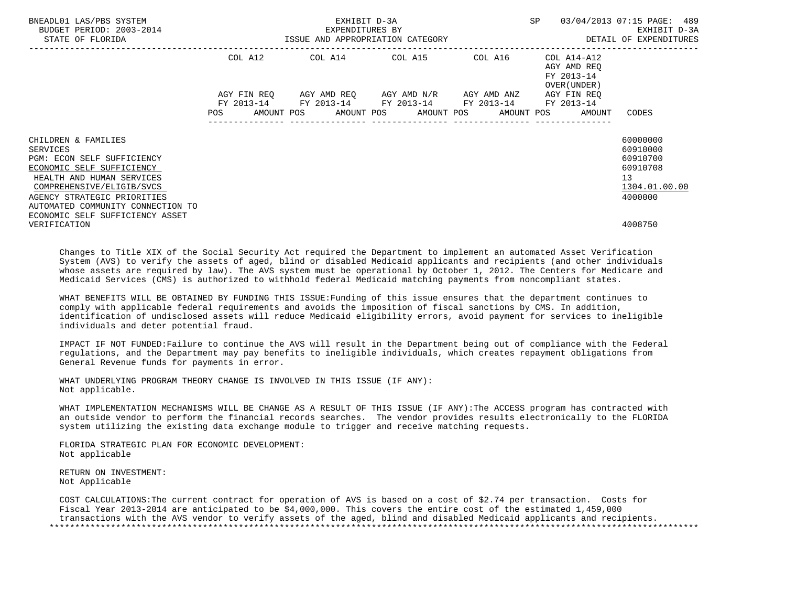| BNEADL01 LAS/PBS SYSTEM<br>BUDGET PERIOD: 2003-2014<br>STATE OF FLORIDA | -2014 EXPENDITURES BY<br>ISSUE AND APPROPRIATION CATEGORY | EXHIBIT D-3A | SP                                                                                                                                            | 03/04/2013 07:15 PAGE: 489<br>EXHIBIT D-3A<br>DETAIL OF EXPENDITURES |                                                          |               |
|-------------------------------------------------------------------------|-----------------------------------------------------------|--------------|-----------------------------------------------------------------------------------------------------------------------------------------------|----------------------------------------------------------------------|----------------------------------------------------------|---------------|
|                                                                         | COL A12                                                   |              | COL A14 COL A15 COL A16                                                                                                                       |                                                                      | COL A14-A12<br>AGY AMD REO<br>FY 2013-14<br>OVER (UNDER) |               |
|                                                                         | POS                                                       |              | AGY FIN REQ AGY AMD REQ AGY AMD N/R AGY AMD ANZ<br>FY 2013-14 FY 2013-14 FY 2013-14 FY 2013-14<br>AMOUNT POS AMOUNT POS AMOUNT POS AMOUNT POS |                                                                      | AGY FIN REO<br>FY 2013-14<br>AMOUNT                      | CODES         |
| CHILDREN & FAMILIES                                                     |                                                           |              |                                                                                                                                               |                                                                      |                                                          | 60000000      |
| SERVICES                                                                |                                                           |              |                                                                                                                                               |                                                                      |                                                          | 60910000      |
| PGM: ECON SELF SUFFICIENCY                                              |                                                           |              |                                                                                                                                               |                                                                      |                                                          | 60910700      |
| ECONOMIC SELF SUFFICIENCY                                               |                                                           |              |                                                                                                                                               |                                                                      |                                                          | 60910708      |
| HEALTH AND HUMAN SERVICES                                               |                                                           |              |                                                                                                                                               |                                                                      |                                                          | 13            |
| COMPREHENSIVE/ELIGIB/SVCS                                               |                                                           |              |                                                                                                                                               |                                                                      |                                                          | 1304.01.00.00 |
| AGENCY STRATEGIC PRIORITIES                                             |                                                           |              |                                                                                                                                               |                                                                      |                                                          | 4000000       |
| AUTOMATED COMMUNITY CONNECTION TO                                       |                                                           |              |                                                                                                                                               |                                                                      |                                                          |               |
| ECONOMIC SELF SUFFICIENCY ASSET                                         |                                                           |              |                                                                                                                                               |                                                                      |                                                          |               |
| VERIFICATION                                                            |                                                           |              |                                                                                                                                               |                                                                      |                                                          | 4008750       |

 Changes to Title XIX of the Social Security Act required the Department to implement an automated Asset Verification System (AVS) to verify the assets of aged, blind or disabled Medicaid applicants and recipients (and other individuals whose assets are required by law). The AVS system must be operational by October 1, 2012. The Centers for Medicare and Medicaid Services (CMS) is authorized to withhold federal Medicaid matching payments from noncompliant states.

 WHAT BENEFITS WILL BE OBTAINED BY FUNDING THIS ISSUE:Funding of this issue ensures that the department continues to comply with applicable federal requirements and avoids the imposition of fiscal sanctions by CMS. In addition, identification of undisclosed assets will reduce Medicaid eligibility errors, avoid payment for services to ineligible individuals and deter potential fraud.

 IMPACT IF NOT FUNDED:Failure to continue the AVS will result in the Department being out of compliance with the Federal regulations, and the Department may pay benefits to ineligible individuals, which creates repayment obligations from General Revenue funds for payments in error.

 WHAT UNDERLYING PROGRAM THEORY CHANGE IS INVOLVED IN THIS ISSUE (IF ANY): Not applicable.

 WHAT IMPLEMENTATION MECHANISMS WILL BE CHANGE AS A RESULT OF THIS ISSUE (IF ANY):The ACCESS program has contracted with an outside vendor to perform the financial records searches. The vendor provides results electronically to the FLORIDA system utilizing the existing data exchange module to trigger and receive matching requests.

 FLORIDA STRATEGIC PLAN FOR ECONOMIC DEVELOPMENT: Not applicable

 RETURN ON INVESTMENT: Not Applicable

 COST CALCULATIONS:The current contract for operation of AVS is based on a cost of \$2.74 per transaction. Costs for Fiscal Year 2013-2014 are anticipated to be \$4,000,000. This covers the entire cost of the estimated 1,459,000 transactions with the AVS vendor to verify assets of the aged, blind and disabled Medicaid applicants and recipients. \*\*\*\*\*\*\*\*\*\*\*\*\*\*\*\*\*\*\*\*\*\*\*\*\*\*\*\*\*\*\*\*\*\*\*\*\*\*\*\*\*\*\*\*\*\*\*\*\*\*\*\*\*\*\*\*\*\*\*\*\*\*\*\*\*\*\*\*\*\*\*\*\*\*\*\*\*\*\*\*\*\*\*\*\*\*\*\*\*\*\*\*\*\*\*\*\*\*\*\*\*\*\*\*\*\*\*\*\*\*\*\*\*\*\*\*\*\*\*\*\*\*\*\*\*\*\*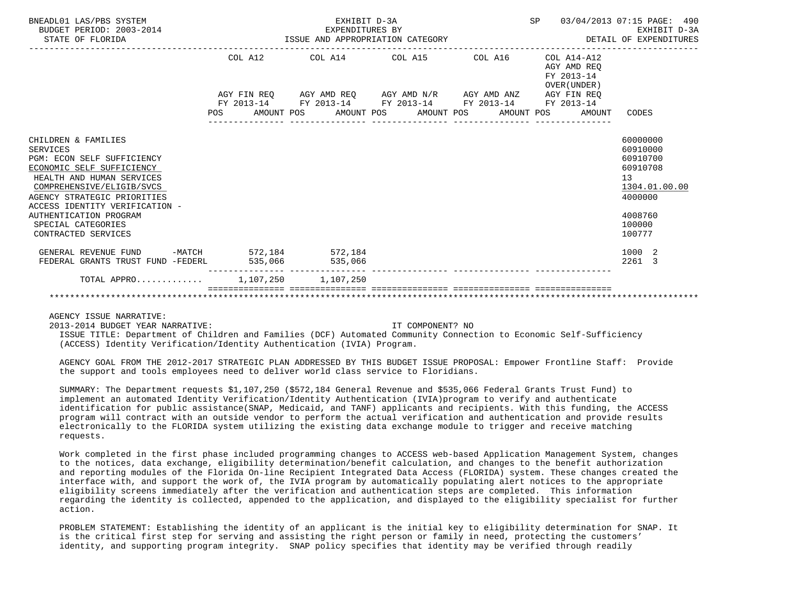| BNEADL01 LAS/PBS SYSTEM<br>BUDGET PERIOD: 2003-2014<br>STATE OF FLORIDA                                                                                                                                                                                                                             |                           | EXHIBIT D-3A<br>EXPENDITURES BY<br>ISSUE AND APPROPRIATION CATEGORY                        |                 | SP 03/04/2013 07:15 PAGE: 490             | EXHIBIT D-3A<br>DETAIL OF EXPENDITURES                                                                        |
|-----------------------------------------------------------------------------------------------------------------------------------------------------------------------------------------------------------------------------------------------------------------------------------------------------|---------------------------|--------------------------------------------------------------------------------------------|-----------------|-------------------------------------------|---------------------------------------------------------------------------------------------------------------|
|                                                                                                                                                                                                                                                                                                     | COL A12                   | COL A14 $\phantom{00}$ COL A15 $\phantom{000}$ COL A16 $\phantom{000}$ COL A14-A12         |                 | AGY AMD REO<br>FY 2013-14<br>OVER (UNDER) |                                                                                                               |
|                                                                                                                                                                                                                                                                                                     |                           | AGY FIN REQ AGY AMD REQ AGY AMD N/R AGY AMD ANZ AGY FIN REQ                                |                 |                                           |                                                                                                               |
|                                                                                                                                                                                                                                                                                                     | POS                       | FY 2013-14 FY 2013-14 FY 2013-14 FY 2013-14 FY 2013-14<br>AMOUNT POS AMOUNT POS AMOUNT POS | _______________ | AMOUNT POS<br>AMOUNT                      | CODES                                                                                                         |
| CHILDREN & FAMILIES<br><b>SERVICES</b><br>PGM: ECON SELF SUFFICIENCY<br>ECONOMIC SELF SUFFICIENCY<br>HEALTH AND HUMAN SERVICES<br>COMPREHENSIVE/ELIGIB/SVCS<br>AGENCY STRATEGIC PRIORITIES<br>ACCESS IDENTITY VERIFICATION -<br>AUTHENTICATION PROGRAM<br>SPECIAL CATEGORIES<br>CONTRACTED SERVICES |                           |                                                                                            |                 |                                           | 60000000<br>60910000<br>60910700<br>60910708<br>13<br>1304.01.00.00<br>4000000<br>4008760<br>100000<br>100777 |
| GENERAL REVENUE FUND<br>FEDERAL GRANTS TRUST FUND -FEDERL                                                                                                                                                                                                                                           | -MATCH 572,184<br>535,066 | 572,184<br>535,066                                                                         |                 |                                           | 1000 2<br>2261<br>3                                                                                           |
| TOTAL APPRO $1.107.250$ 1.107.250                                                                                                                                                                                                                                                                   |                           |                                                                                            |                 |                                           |                                                                                                               |
|                                                                                                                                                                                                                                                                                                     |                           |                                                                                            |                 |                                           |                                                                                                               |

AGENCY ISSUE NARRATIVE:

2013-2014 BUDGET YEAR NARRATIVE: IT COMPONENT? NO

 ISSUE TITLE: Department of Children and Families (DCF) Automated Community Connection to Economic Self-Sufficiency (ACCESS) Identity Verification/Identity Authentication (IVIA) Program.

 AGENCY GOAL FROM THE 2012-2017 STRATEGIC PLAN ADDRESSED BY THIS BUDGET ISSUE PROPOSAL: Empower Frontline Staff: Provide the support and tools employees need to deliver world class service to Floridians.

 SUMMARY: The Department requests \$1,107,250 (\$572,184 General Revenue and \$535,066 Federal Grants Trust Fund) to implement an automated Identity Verification/Identity Authentication (IVIA)program to verify and authenticate identification for public assistance(SNAP, Medicaid, and TANF) applicants and recipients. With this funding, the ACCESS program will contract with an outside vendor to perform the actual verification and authentication and provide results electronically to the FLORIDA system utilizing the existing data exchange module to trigger and receive matching requests.

 Work completed in the first phase included programming changes to ACCESS web-based Application Management System, changes to the notices, data exchange, eligibility determination/benefit calculation, and changes to the benefit authorization and reporting modules of the Florida On-line Recipient Integrated Data Access (FLORIDA) system. These changes created the interface with, and support the work of, the IVIA program by automatically populating alert notices to the appropriate eligibility screens immediately after the verification and authentication steps are completed. This information regarding the identity is collected, appended to the application, and displayed to the eligibility specialist for further action.

 PROBLEM STATEMENT: Establishing the identity of an applicant is the initial key to eligibility determination for SNAP. It is the critical first step for serving and assisting the right person or family in need, protecting the customers' identity, and supporting program integrity. SNAP policy specifies that identity may be verified through readily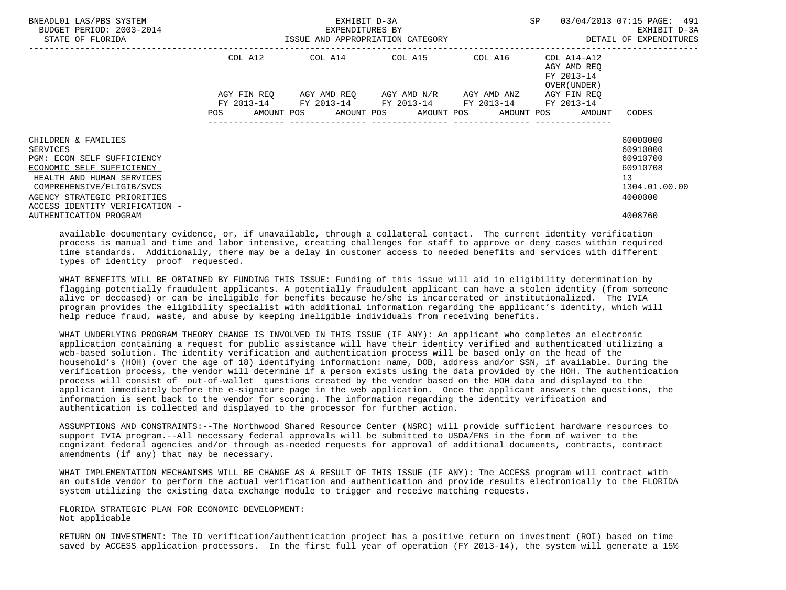| BNEADL01 LAS/PBS SYSTEM<br>BUDGET PERIOD: 2003-2014<br>STATE OF FLORIDA                                                                                                                                               | ISSUE AND APPROPRIATION CATEGORY | EXHIBIT D-3A<br>EXPENDITURES BY | SP                                                                                                        | 03/04/2013 07:15 PAGE: 491<br>EXHIBIT D-3A<br>DETAIL OF EXPENDITURES |                                                                       |                                                                                |
|-----------------------------------------------------------------------------------------------------------------------------------------------------------------------------------------------------------------------|----------------------------------|---------------------------------|-----------------------------------------------------------------------------------------------------------|----------------------------------------------------------------------|-----------------------------------------------------------------------|--------------------------------------------------------------------------------|
|                                                                                                                                                                                                                       | COL A12                          |                                 | COL A14 COL A15 COL A16                                                                                   |                                                                      | COL A14-A12<br>AGY AMD REO<br>FY 2013-14<br>OVER (UNDER )             |                                                                                |
|                                                                                                                                                                                                                       |                                  |                                 | AGY FIN REQ 6GY AMD REQ 6GY AMD N/R 6GY AMD ANZ<br>FY 2013-14 FY 2013-14 FY 2013-14 FY 2013-14 FY 2013-14 |                                                                      | AGY FIN REO<br>POS AMOUNT POS AMOUNT POS AMOUNT POS AMOUNT POS AMOUNT | CODES                                                                          |
| CHILDREN & FAMILIES<br>SERVICES<br>PGM: ECON SELF SUFFICIENCY<br>ECONOMIC SELF SUFFICIENCY<br>HEALTH AND HUMAN SERVICES<br>COMPREHENSIVE/ELIGIB/SVCS<br>AGENCY STRATEGIC PRIORITIES<br>ACCESS IDENTITY VERIFICATION - |                                  |                                 |                                                                                                           |                                                                      |                                                                       | 60000000<br>60910000<br>60910700<br>60910708<br>13<br>1304.01.00.00<br>4000000 |
| AUTHENTICATION PROGRAM                                                                                                                                                                                                |                                  |                                 |                                                                                                           |                                                                      |                                                                       | 4008760                                                                        |

 available documentary evidence, or, if unavailable, through a collateral contact. The current identity verification process is manual and time and labor intensive, creating challenges for staff to approve or deny cases within required time standards. Additionally, there may be a delay in customer access to needed benefits and services with different types of identity proof requested.

 WHAT BENEFITS WILL BE OBTAINED BY FUNDING THIS ISSUE: Funding of this issue will aid in eligibility determination by flagging potentially fraudulent applicants. A potentially fraudulent applicant can have a stolen identity (from someone alive or deceased) or can be ineligible for benefits because he/she is incarcerated or institutionalized. The IVIA program provides the eligibility specialist with additional information regarding the applicant's identity, which will help reduce fraud, waste, and abuse by keeping ineligible individuals from receiving benefits.

 WHAT UNDERLYING PROGRAM THEORY CHANGE IS INVOLVED IN THIS ISSUE (IF ANY): An applicant who completes an electronic application containing a request for public assistance will have their identity verified and authenticated utilizing a web-based solution. The identity verification and authentication process will be based only on the head of the household's (HOH) (over the age of 18) identifying information: name, DOB, address and/or SSN, if available. During the verification process, the vendor will determine if a person exists using the data provided by the HOH. The authentication process will consist of out-of-wallet questions created by the vendor based on the HOH data and displayed to the applicant immediately before the e-signature page in the web application. Once the applicant answers the questions, the information is sent back to the vendor for scoring. The information regarding the identity verification and authentication is collected and displayed to the processor for further action.

 ASSUMPTIONS AND CONSTRAINTS:--The Northwood Shared Resource Center (NSRC) will provide sufficient hardware resources to support IVIA program.--All necessary federal approvals will be submitted to USDA/FNS in the form of waiver to the cognizant federal agencies and/or through as-needed requests for approval of additional documents, contracts, contract amendments (if any) that may be necessary.

 WHAT IMPLEMENTATION MECHANISMS WILL BE CHANGE AS A RESULT OF THIS ISSUE (IF ANY): The ACCESS program will contract with an outside vendor to perform the actual verification and authentication and provide results electronically to the FLORIDA system utilizing the existing data exchange module to trigger and receive matching requests.

 FLORIDA STRATEGIC PLAN FOR ECONOMIC DEVELOPMENT: Not applicable

 RETURN ON INVESTMENT: The ID verification/authentication project has a positive return on investment (ROI) based on time saved by ACCESS application processors. In the first full year of operation (FY 2013-14), the system will generate a 15%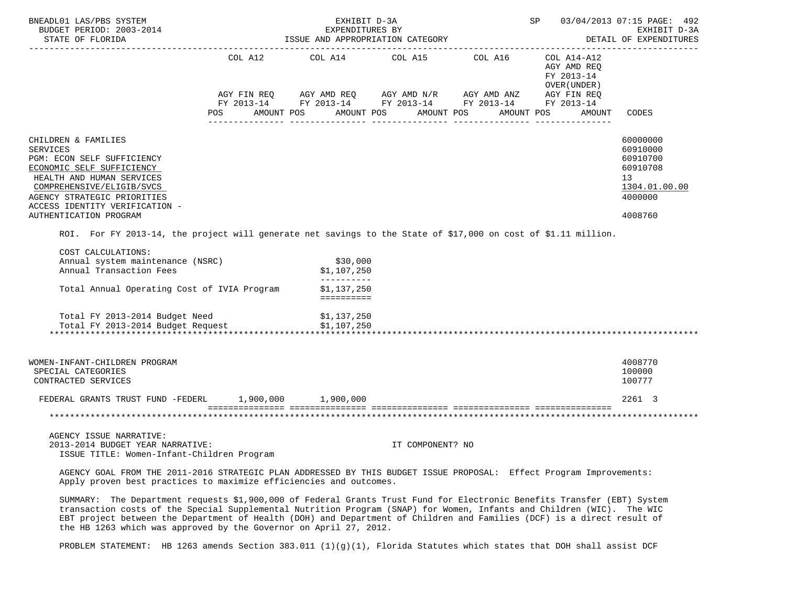| BNEADL01 LAS/PBS SYSTEM<br>BUDGET PERIOD: 2003-2014<br>STATE OF FLORIDA                                                                                                                                                                                                                                                                                                                                                                         | SP                           | 03/04/2013 07:15 PAGE: 492<br>EXHIBIT D-3A<br>DETAIL OF EXPENDITURES                                                                             |                  |            |                                                                                  |                                                                                           |
|-------------------------------------------------------------------------------------------------------------------------------------------------------------------------------------------------------------------------------------------------------------------------------------------------------------------------------------------------------------------------------------------------------------------------------------------------|------------------------------|--------------------------------------------------------------------------------------------------------------------------------------------------|------------------|------------|----------------------------------------------------------------------------------|-------------------------------------------------------------------------------------------|
|                                                                                                                                                                                                                                                                                                                                                                                                                                                 | COL A12<br>AMOUNT POS<br>POS | COL A14 COL A15 COL A16<br>AGY FIN REQ AGY AMD REQ AGY AMD N/R AGY AMD ANZ AGY FIN REQ<br>FY 2013-14 FY 2013-14 FY 2013-14 FY 2013-14 FY 2013-14 | AMOUNT POS       | AMOUNT POS | COL A14-A12<br>AGY AMD REQ<br>FY 2013-14<br>OVER (UNDER)<br>AMOUNT POS<br>AMOUNT | CODES                                                                                     |
| CHILDREN & FAMILIES<br><b>SERVICES</b><br>PGM: ECON SELF SUFFICIENCY<br>ECONOMIC SELF SUFFICIENCY<br>HEALTH AND HUMAN SERVICES<br>COMPREHENSIVE/ELIGIB/SVCS<br>AGENCY STRATEGIC PRIORITIES<br>ACCESS IDENTITY VERIFICATION -<br>AUTHENTICATION PROGRAM                                                                                                                                                                                          |                              |                                                                                                                                                  |                  |            |                                                                                  | 60000000<br>60910000<br>60910700<br>60910708<br>13<br>1304.01.00.00<br>4000000<br>4008760 |
| ROI. For FY 2013-14, the project will generate net savings to the State of \$17,000 on cost of \$1.11 million.<br>COST CALCULATIONS:                                                                                                                                                                                                                                                                                                            |                              |                                                                                                                                                  |                  |            |                                                                                  |                                                                                           |
| Annual system maintenance (NSRC)<br>Annual Transaction Fees                                                                                                                                                                                                                                                                                                                                                                                     |                              | \$30,000<br>\$1,107,250<br>-----------                                                                                                           |                  |            |                                                                                  |                                                                                           |
| Total Annual Operating Cost of IVIA Program                                                                                                                                                                                                                                                                                                                                                                                                     |                              | \$1,137,250                                                                                                                                      |                  |            |                                                                                  |                                                                                           |
| Total FY 2013-2014 Budget Need<br>Total FY 2013-2014 Budget Request                                                                                                                                                                                                                                                                                                                                                                             |                              | \$1,137,250<br>\$1,107,250                                                                                                                       |                  |            |                                                                                  |                                                                                           |
| WOMEN-INFANT-CHILDREN PROGRAM<br>SPECIAL CATEGORIES<br>CONTRACTED SERVICES                                                                                                                                                                                                                                                                                                                                                                      |                              |                                                                                                                                                  |                  |            |                                                                                  | 4008770<br>100000<br>100777                                                               |
| FEDERAL GRANTS TRUST FUND -FEDERL                                                                                                                                                                                                                                                                                                                                                                                                               |                              | 1,900,000 1,900,000                                                                                                                              |                  |            |                                                                                  | 2261 3                                                                                    |
|                                                                                                                                                                                                                                                                                                                                                                                                                                                 |                              |                                                                                                                                                  |                  |            |                                                                                  |                                                                                           |
| AGENCY ISSUE NARRATIVE:<br>2013-2014 BUDGET YEAR NARRATIVE:<br>ISSUE TITLE: Women-Infant-Children Program                                                                                                                                                                                                                                                                                                                                       |                              |                                                                                                                                                  | IT COMPONENT? NO |            |                                                                                  |                                                                                           |
| AGENCY GOAL FROM THE 2011-2016 STRATEGIC PLAN ADDRESSED BY THIS BUDGET ISSUE PROPOSAL: Effect Program Improvements:<br>Apply proven best practices to maximize efficiencies and outcomes.                                                                                                                                                                                                                                                       |                              |                                                                                                                                                  |                  |            |                                                                                  |                                                                                           |
| SUMMARY: The Department requests \$1,900,000 of Federal Grants Trust Fund for Electronic Benefits Transfer (EBT) System<br>transaction costs of the Special Supplemental Nutrition Program (SNAP) for Women, Infants and Children (WIC). The WIC<br>EBT project between the Department of Health (DOH) and Department of Children and Families (DCF) is a direct result of<br>the HB 1263 which was approved by the Governor on April 27, 2012. |                              |                                                                                                                                                  |                  |            |                                                                                  |                                                                                           |

PROBLEM STATEMENT: HB 1263 amends Section 383.011 (1)(g)(1), Florida Statutes which states that DOH shall assist DCF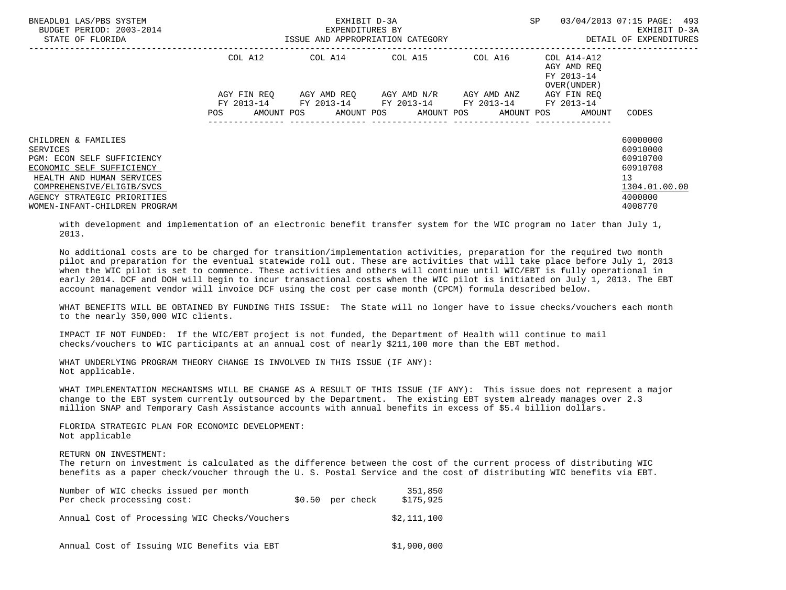| BNEADL01 LAS/PBS SYSTEM<br>BUDGET PERIOD: 2003-2014<br>STATE OF FLORIDA                                                                                                                                              | ISSUE AND APPROPRIATION CATEGORY | EXHIBIT D-3A<br>EXPENDITURES BY | SP                                                                                                                                | 03/04/2013 07:15 PAGE: 493<br>EXHIBIT D-3A<br>DETAIL OF EXPENDITURES |                                                           |                                                                                           |
|----------------------------------------------------------------------------------------------------------------------------------------------------------------------------------------------------------------------|----------------------------------|---------------------------------|-----------------------------------------------------------------------------------------------------------------------------------|----------------------------------------------------------------------|-----------------------------------------------------------|-------------------------------------------------------------------------------------------|
|                                                                                                                                                                                                                      | COL A12                          |                                 | COL A14 COL A15 COL A16                                                                                                           |                                                                      | COL A14-A12<br>AGY AMD REO<br>FY 2013-14<br>OVER (UNDER ) |                                                                                           |
|                                                                                                                                                                                                                      | AGY FIN REO<br><b>POS</b>        |                                 | AGY AMD REO AGY AMD N/R AGY AMD ANZ<br>FY 2013-14 FY 2013-14 FY 2013-14 FY 2013-14 FY 2013-14<br>AMOUNT POS AMOUNT POS AMOUNT POS |                                                                      | AGY FIN REO<br>AMOUNT POS<br>AMOUNT                       | CODES                                                                                     |
| CHILDREN & FAMILIES<br>SERVICES<br>PGM: ECON SELF SUFFICIENCY<br>ECONOMIC SELF SUFFICIENCY<br>HEALTH AND HUMAN SERVICES<br>COMPREHENSIVE/ELIGIB/SVCS<br>AGENCY STRATEGIC PRIORITIES<br>WOMEN-INFANT-CHILDREN PROGRAM |                                  |                                 |                                                                                                                                   |                                                                      |                                                           | 60000000<br>60910000<br>60910700<br>60910708<br>13<br>1304.01.00.00<br>4000000<br>4008770 |

 with development and implementation of an electronic benefit transfer system for the WIC program no later than July 1, 2013.

 No additional costs are to be charged for transition/implementation activities, preparation for the required two month pilot and preparation for the eventual statewide roll out. These are activities that will take place before July 1, 2013 when the WIC pilot is set to commence. These activities and others will continue until WIC/EBT is fully operational in early 2014. DCF and DOH will begin to incur transactional costs when the WIC pilot is initiated on July 1, 2013. The EBT account management vendor will invoice DCF using the cost per case month (CPCM) formula described below.

 WHAT BENEFITS WILL BE OBTAINED BY FUNDING THIS ISSUE: The State will no longer have to issue checks/vouchers each month to the nearly 350,000 WIC clients.

 IMPACT IF NOT FUNDED: If the WIC/EBT project is not funded, the Department of Health will continue to mail checks/vouchers to WIC participants at an annual cost of nearly \$211,100 more than the EBT method.

 WHAT UNDERLYING PROGRAM THEORY CHANGE IS INVOLVED IN THIS ISSUE (IF ANY): Not applicable.

 WHAT IMPLEMENTATION MECHANISMS WILL BE CHANGE AS A RESULT OF THIS ISSUE (IF ANY): This issue does not represent a major change to the EBT system currently outsourced by the Department. The existing EBT system already manages over 2.3 million SNAP and Temporary Cash Assistance accounts with annual benefits in excess of \$5.4 billion dollars.

 FLORIDA STRATEGIC PLAN FOR ECONOMIC DEVELOPMENT: Not applicable

RETURN ON INVESTMENT:

 The return on investment is calculated as the difference between the cost of the current process of distributing WIC benefits as a paper check/voucher through the U. S. Postal Service and the cost of distributing WIC benefits via EBT.

| Number of WIC checks issued per month<br>Per check processing cost: | $$0.50$ per check | 351,850<br>\$175,925 |
|---------------------------------------------------------------------|-------------------|----------------------|
| Annual Cost of Processing WIC Checks/Vouchers                       |                   | \$2.111.100          |
| Annual Cost of Issuing WIC Benefits via EBT                         |                   | \$1,900,000          |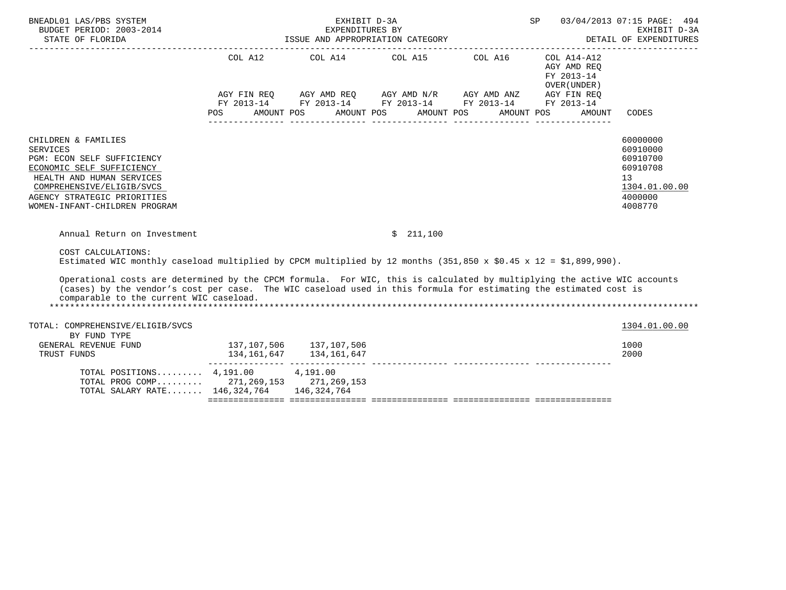| BNEADL01 LAS/PBS SYSTEM<br>BUDGET PERIOD: 2003-2014<br>STATE OF FLORIDA                                                                                                                                                                                                                  | ISSUE AND APPROPRIATION CATEGORY    | 03/04/2013 07:15 PAGE: 494<br>EXHIBIT D-3A<br>DETAIL OF EXPENDITURES                                                                                                                                                       |            |                                                                   |                                                                                           |
|------------------------------------------------------------------------------------------------------------------------------------------------------------------------------------------------------------------------------------------------------------------------------------------|-------------------------------------|----------------------------------------------------------------------------------------------------------------------------------------------------------------------------------------------------------------------------|------------|-------------------------------------------------------------------|-------------------------------------------------------------------------------------------|
|                                                                                                                                                                                                                                                                                          | COL A12<br>AMOUNT POS<br><b>POS</b> | COL A14 $\phantom{00}$ COL A15 $\phantom{00}$ COL A16 $\phantom{00}$ COL A14-A12<br>AGY FIN REQ AGY AMD REQ AGY AMD N/R AGY AMD ANZ AGY FIN REQ<br>FY 2013-14 FY 2013-14 FY 2013-14 FY 2013-14<br>AMOUNT POS<br>AMOUNT POS | AMOUNT POS | AGY AMD REO<br>FY 2013-14<br>OVER (UNDER)<br>FY 2013-14<br>AMOUNT | CODES                                                                                     |
| CHILDREN & FAMILIES<br>SERVICES<br>PGM: ECON SELF SUFFICIENCY<br>ECONOMIC SELF SUFFICIENCY<br>HEALTH AND HUMAN SERVICES<br>COMPREHENSIVE/ELIGIB/SVCS<br>AGENCY STRATEGIC PRIORITIES<br>WOMEN-INFANT-CHILDREN PROGRAM                                                                     |                                     |                                                                                                                                                                                                                            |            |                                                                   | 60000000<br>60910000<br>60910700<br>60910708<br>13<br>1304.01.00.00<br>4000000<br>4008770 |
| Annual Return on Investment                                                                                                                                                                                                                                                              |                                     | \$211,100                                                                                                                                                                                                                  |            |                                                                   |                                                                                           |
| COST CALCULATIONS:<br>Estimated WIC monthly caseload multiplied by CPCM multiplied by 12 months (351,850 x \$0.45 x 12 = \$1,899,990).                                                                                                                                                   |                                     |                                                                                                                                                                                                                            |            |                                                                   |                                                                                           |
| Operational costs are determined by the CPCM formula. For WIC, this is calculated by multiplying the active WIC accounts<br>(cases) by the vendor's cost per case. The WIC caseload used in this formula for estimating the estimated cost is<br>comparable to the current WIC caseload. |                                     |                                                                                                                                                                                                                            |            |                                                                   |                                                                                           |
| TOTAL: COMPREHENSIVE/ELIGIB/SVCS<br>BY FUND TYPE                                                                                                                                                                                                                                         |                                     |                                                                                                                                                                                                                            |            |                                                                   | 1304.01.00.00                                                                             |
| GENERAL REVENUE FUND<br>TRUST FUNDS                                                                                                                                                                                                                                                      | 137,107,506 137,107,506             |                                                                                                                                                                                                                            |            |                                                                   | 1000<br>2000                                                                              |
| TOTAL POSITIONS 4,191.00 4,191.00<br>TOTAL PROG COMP 271,269,153 271,269,153<br>TOTAL SALARY RATE 146,324,764 146,324,764                                                                                                                                                                |                                     |                                                                                                                                                                                                                            |            |                                                                   |                                                                                           |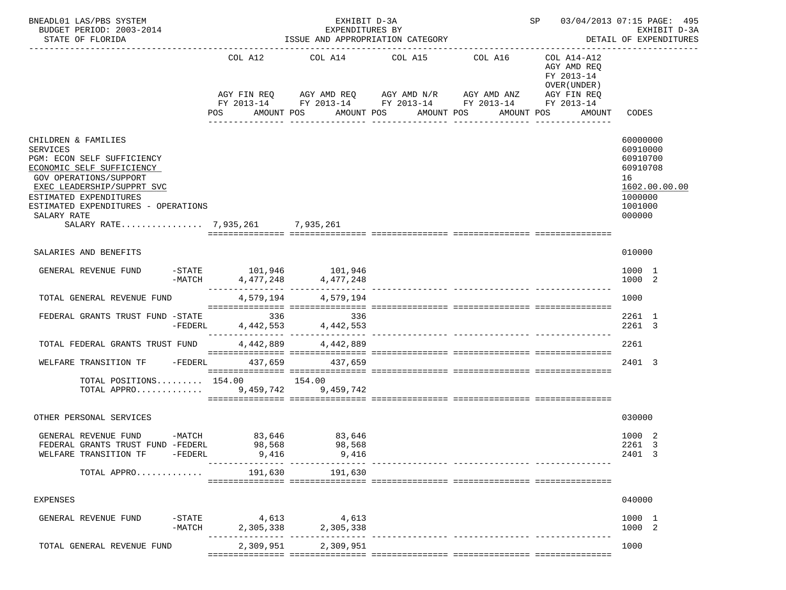| BNEADL01 LAS/PBS SYSTEM<br>BUDGET PERIOD: 2003-2014<br>STATE OF FLORIDA                                                                                                                                                                                                      |                       |                        | EXHIBIT D-3A<br>EXPENDITURES BY                     | ISSUE AND APPROPRIATION CATEGORY                               |                                             | SP 03/04/2013 07:15 PAGE: 495                                                         | EXHIBIT D-3A<br>DETAIL OF EXPENDITURES                                                              |
|------------------------------------------------------------------------------------------------------------------------------------------------------------------------------------------------------------------------------------------------------------------------------|-----------------------|------------------------|-----------------------------------------------------|----------------------------------------------------------------|---------------------------------------------|---------------------------------------------------------------------------------------|-----------------------------------------------------------------------------------------------------|
|                                                                                                                                                                                                                                                                              |                       | COL A12<br>AGY FIN REQ | AMOUNT POS                                          | COL A14 COL A15 COL A16<br>AGY AMD REQ AGY AMD N/R AGY AMD ANZ | FY 2013-14 FY 2013-14 FY 2013-14 FY 2013-14 | COL A14-A12<br>AGY AMD REQ<br>FY 2013-14<br>OVER (UNDER)<br>AGY FIN REQ<br>FY 2013-14 | CODES                                                                                               |
|                                                                                                                                                                                                                                                                              |                       | POS                    |                                                     | AMOUNT POS<br>________________                                 | AMOUNT POS<br>AMOUNT POS<br>_______________ | AMOUNT                                                                                |                                                                                                     |
| CHILDREN & FAMILIES<br><b>SERVICES</b><br>PGM: ECON SELF SUFFICIENCY<br>ECONOMIC SELF SUFFICIENCY<br>GOV OPERATIONS/SUPPORT<br>EXEC LEADERSHIP/SUPPRT SVC<br>ESTIMATED EXPENDITURES<br>ESTIMATED EXPENDITURES - OPERATIONS<br>SALARY RATE<br>SALARY RATE 7,935,261 7,935,261 |                       |                        |                                                     |                                                                |                                             |                                                                                       | 60000000<br>60910000<br>60910700<br>60910708<br>16<br>1602.00.00.00<br>1000000<br>1001000<br>000000 |
| SALARIES AND BENEFITS                                                                                                                                                                                                                                                        |                       |                        |                                                     |                                                                |                                             |                                                                                       | 010000                                                                                              |
|                                                                                                                                                                                                                                                                              |                       |                        |                                                     |                                                                |                                             |                                                                                       |                                                                                                     |
| GENERAL REVENUE FUND                                                                                                                                                                                                                                                         |                       | $-MATCH$               | $-STATE$ 101,946 101,946<br>4, 477, 248 4, 477, 248 |                                                                |                                             |                                                                                       | 1000 1<br>1000 2                                                                                    |
| TOTAL GENERAL REVENUE FUND                                                                                                                                                                                                                                                   |                       |                        | 4,579,194 4,579,194                                 |                                                                |                                             |                                                                                       | 1000                                                                                                |
| FEDERAL GRANTS TRUST FUND -STATE                                                                                                                                                                                                                                             | -FEDERL               |                        | 336<br>336<br>4,442,553 4,442,553                   |                                                                |                                             |                                                                                       | 2261 1<br>2261 3                                                                                    |
| TOTAL FEDERAL GRANTS TRUST FUND                                                                                                                                                                                                                                              |                       | 4,442,889              | 4,442,889                                           |                                                                |                                             |                                                                                       | 2261                                                                                                |
| WELFARE TRANSITION TF $-$ FEDERL 437,659 437,659                                                                                                                                                                                                                             |                       |                        |                                                     |                                                                |                                             |                                                                                       | 2401 3                                                                                              |
| TOTAL POSITIONS 154.00 154.00<br>TOTAL APPRO 9,459,742 9,459,742                                                                                                                                                                                                             |                       |                        |                                                     |                                                                |                                             |                                                                                       |                                                                                                     |
| OTHER PERSONAL SERVICES                                                                                                                                                                                                                                                      |                       |                        |                                                     |                                                                |                                             |                                                                                       | 030000                                                                                              |
| GENERAL REVENUE FUND<br>FEDERAL GRANTS TRUST FUND -FEDERL<br>WELFARE TRANSITION TF                                                                                                                                                                                           | $-FEDERL$             | 98,568<br>9,416        | -MATCH 83,646 83,646<br>98,568<br>9,416             |                                                                |                                             |                                                                                       | 1000 2<br>2261 3<br>2401 3                                                                          |
| TOTAL APPRO                                                                                                                                                                                                                                                                  |                       | 191,630                | 191,630                                             |                                                                |                                             |                                                                                       |                                                                                                     |
| <b>EXPENSES</b>                                                                                                                                                                                                                                                              |                       |                        |                                                     |                                                                |                                             |                                                                                       | 040000                                                                                              |
| GENERAL REVENUE FUND                                                                                                                                                                                                                                                         | $-$ STATE<br>$-MATCH$ |                        | $4,613$<br>2,305,338<br>2,305,338                   |                                                                |                                             |                                                                                       | 1000 1<br>1000 2                                                                                    |
| TOTAL GENERAL REVENUE FUND                                                                                                                                                                                                                                                   |                       |                        | 2,309,951 2,309,951                                 |                                                                |                                             |                                                                                       | 1000                                                                                                |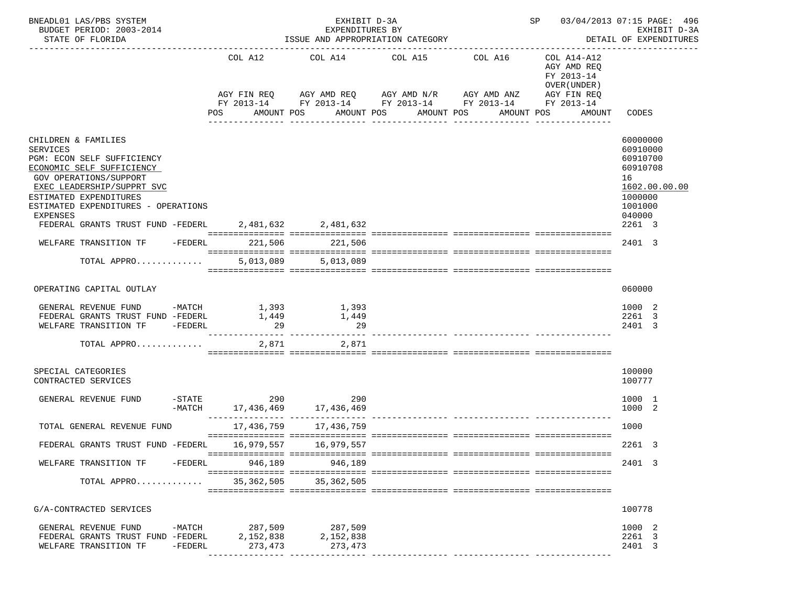| BNEADL01 LAS/PBS SYSTEM<br>BUDGET PERIOD: 2003-2014<br>STATE OF FLORIDA          |         |                 | EXHIBIT D-3A<br>EXPENDITURES BY<br>ISSUE AND APPROPRIATION CATEGORY |                       |                                                                                                                       |                                                          | SP 03/04/2013 07:15 PAGE: 496<br>EXHIBIT D-3A<br>DETAIL OF EXPENDITURES |
|----------------------------------------------------------------------------------|---------|-----------------|---------------------------------------------------------------------|-----------------------|-----------------------------------------------------------------------------------------------------------------------|----------------------------------------------------------|-------------------------------------------------------------------------|
|                                                                                  |         |                 | COL A12 COL A14 COL A15 COL A16                                     |                       | AGY FIN REQ AGY AMD REQ AGY AMD N/R AGY AMD ANZ AGY FIN REQ<br>FY 2013-14 FY 2013-14 FY 2013-14 FY 2013-14 FY 2013-14 | COL A14-A12<br>AGY AMD REQ<br>FY 2013-14<br>OVER (UNDER) |                                                                         |
|                                                                                  |         | POS             | AMOUNT POS                                                          | AMOUNT POS AMOUNT POS |                                                                                                                       | AMOUNT POS<br>AMOUNT                                     | CODES                                                                   |
| CHILDREN & FAMILIES<br><b>SERVICES</b>                                           |         |                 |                                                                     |                       |                                                                                                                       |                                                          | 60000000<br>60910000                                                    |
| PGM: ECON SELF SUFFICIENCY<br>ECONOMIC SELF SUFFICIENCY                          |         |                 |                                                                     |                       |                                                                                                                       |                                                          | 60910700<br>60910708                                                    |
| <b>GOV OPERATIONS/SUPPORT</b><br>EXEC LEADERSHIP/SUPPRT SVC                      |         |                 |                                                                     |                       |                                                                                                                       |                                                          | 16<br>1602.00.00.00                                                     |
| ESTIMATED EXPENDITURES<br>ESTIMATED EXPENDITURES - OPERATIONS<br><b>EXPENSES</b> |         |                 |                                                                     |                       |                                                                                                                       |                                                          | 1000000<br>1001000<br>040000                                            |
| FEDERAL GRANTS TRUST FUND -FEDERL 2.481.632 2.481.632                            |         |                 |                                                                     |                       |                                                                                                                       |                                                          | 2261 3                                                                  |
| WELFARE TRANSITION TF - FEDERL 221.506 221.506                                   |         |                 |                                                                     |                       |                                                                                                                       |                                                          | 2401 3                                                                  |
| TOTAL APPRO                                                                      |         |                 | 5,013,089 5,013,089                                                 |                       |                                                                                                                       |                                                          |                                                                         |
| OPERATING CAPITAL OUTLAY                                                         |         |                 |                                                                     |                       |                                                                                                                       |                                                          | 060000                                                                  |
| GENERAL REVENUE FUND -MATCH                                                      |         |                 |                                                                     |                       |                                                                                                                       |                                                          | 1000 2                                                                  |
| FEDERAL GRANTS TRUST FUND -FEDERL                                                |         | 1,393<br>1,449  | 1,393<br>1,449                                                      |                       |                                                                                                                       |                                                          | 2261 3                                                                  |
| WELFARE TRANSITION TF -FEDERL                                                    |         | $\overline{29}$ | 29                                                                  |                       |                                                                                                                       |                                                          | 2401 3                                                                  |
| TOTAL APPRO $2,871$                                                              |         |                 | 2,871                                                               |                       |                                                                                                                       |                                                          |                                                                         |
| SPECIAL CATEGORIES<br>CONTRACTED SERVICES                                        |         |                 |                                                                     |                       |                                                                                                                       |                                                          | 100000<br>100777                                                        |
| GENERAL REVENUE FUND                                                             | -MATCH  | $-STATE$ 290    | 290<br>17,436,469 17,436,469                                        |                       |                                                                                                                       |                                                          | 1000 1<br>1000<br>-2                                                    |
| TOTAL GENERAL REVENUE FUND                                                       |         |                 | 17,436,759 17,436,759                                               |                       |                                                                                                                       |                                                          | 1000                                                                    |
| FEDERAL GRANTS TRUST FUND -FEDERL                                                |         |                 | 16,979,557 16,979,557                                               |                       |                                                                                                                       |                                                          | 2261 3                                                                  |
| WELFARE TRANSITION TF -FEDERL                                                    |         | 946,189         | 946,189                                                             |                       |                                                                                                                       |                                                          | 2401 3                                                                  |
| TOTAL APPRO                                                                      |         |                 | 35, 362, 505 35, 362, 505                                           |                       |                                                                                                                       |                                                          |                                                                         |
| G/A-CONTRACTED SERVICES                                                          |         |                 |                                                                     |                       |                                                                                                                       |                                                          | 100778                                                                  |
| GENERAL REVENUE FUND -MATCH 287,509 287,509                                      |         |                 |                                                                     |                       |                                                                                                                       |                                                          | 1000 2                                                                  |
| FEDERAL GRANTS TRUST FUND -FEDERL 2,152,838                                      |         |                 | 2,152,838                                                           |                       |                                                                                                                       |                                                          | 2261 3                                                                  |
| WELFARE TRANSITION TF                                                            | -FEDERL | 273,473         | 273,473                                                             |                       |                                                                                                                       |                                                          | 2401 3                                                                  |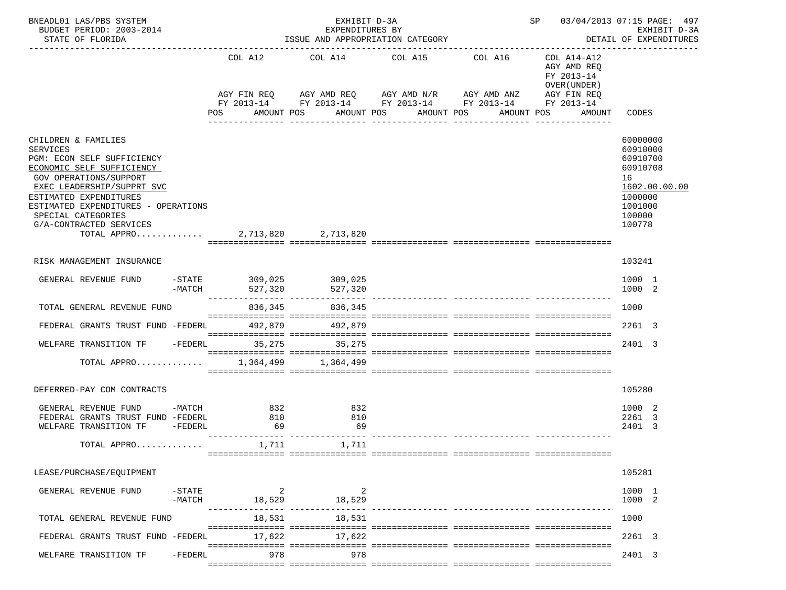| BNEADL01 LAS/PBS SYSTEM<br>BUDGET PERIOD: 2003-2014<br>STATE OF FLORIDA                                                                                                                                                                                                                                               |                               |                    | EXHIBIT D-3A<br>EXPENDITURES BY      | ISSUE AND APPROPRIATION CATEGORY                                                                 |              |                                                          | SP 03/04/2013 07:15 PAGE: 497<br>EXHIBIT D-3A<br>DETAIL OF EXPENDITURES<br>-------------                      |
|-----------------------------------------------------------------------------------------------------------------------------------------------------------------------------------------------------------------------------------------------------------------------------------------------------------------------|-------------------------------|--------------------|--------------------------------------|--------------------------------------------------------------------------------------------------|--------------|----------------------------------------------------------|---------------------------------------------------------------------------------------------------------------|
|                                                                                                                                                                                                                                                                                                                       |                               | COL A12            |                                      | COL A14 COL A15 COL A16<br>AGY FIN REQ AGY AMD REQ AGY AMD N/R AGY AMD ANZ AGY FIN REQ           |              | COL A14-A12<br>AGY AMD REQ<br>FY 2013-14<br>OVER (UNDER) |                                                                                                               |
|                                                                                                                                                                                                                                                                                                                       |                               | POS AMOUNT POS     |                                      | FY 2013-14 FY 2013-14 FY 2013-14 FY 2013-14 FY 2013-14<br>AMOUNT POS AMOUNT POS<br>_____________ | ------------ | AMOUNT POS AMOUNT                                        | CODES                                                                                                         |
| CHILDREN & FAMILIES<br><b>SERVICES</b><br>PGM: ECON SELF SUFFICIENCY<br>ECONOMIC SELF SUFFICIENCY<br><b>GOV OPERATIONS/SUPPORT</b><br>EXEC LEADERSHIP/SUPPRT SVC<br>ESTIMATED EXPENDITURES<br>ESTIMATED EXPENDITURES - OPERATIONS<br>SPECIAL CATEGORIES<br>G/A-CONTRACTED SERVICES<br>TOTAL APPRO 2,713,820 2,713,820 |                               |                    |                                      |                                                                                                  |              |                                                          | 60000000<br>60910000<br>60910700<br>60910708<br>16<br>1602.00.00.00<br>1000000<br>1001000<br>100000<br>100778 |
| RISK MANAGEMENT INSURANCE                                                                                                                                                                                                                                                                                             |                               |                    |                                      |                                                                                                  |              |                                                          | 103241                                                                                                        |
| GENERAL REVENUE FUND                                                                                                                                                                                                                                                                                                  | $-MATCH$                      | 527,320            | $-$ STATE 309,025 309,025<br>527,320 |                                                                                                  |              |                                                          | 1000 1<br>1000 2                                                                                              |
| TOTAL GENERAL REVENUE FUND                                                                                                                                                                                                                                                                                            |                               | 836,345            | 836,345                              |                                                                                                  |              |                                                          | 1000                                                                                                          |
| FEDERAL GRANTS TRUST FUND -FEDERL 492,879 492,879                                                                                                                                                                                                                                                                     |                               |                    |                                      |                                                                                                  |              |                                                          | 2261 3                                                                                                        |
| WELFARE TRANSITION TF -FEDERL 35,275                                                                                                                                                                                                                                                                                  |                               |                    | 35, 275                              |                                                                                                  |              |                                                          | 2401 3                                                                                                        |
| TOTAL APPRO 1,364,499 1,364,499                                                                                                                                                                                                                                                                                       |                               |                    |                                      |                                                                                                  |              |                                                          |                                                                                                               |
| DEFERRED-PAY COM CONTRACTS                                                                                                                                                                                                                                                                                            |                               |                    |                                      |                                                                                                  |              |                                                          | 105280                                                                                                        |
| GENERAL REVENUE FUND -MATCH<br>FEDERAL GRANTS TRUST FUND -FEDERL<br>WELFARE TRANSITION TF -FEDERL                                                                                                                                                                                                                     |                               | 832<br>810<br>69   | 832<br>810<br>69                     |                                                                                                  |              |                                                          | 1000 2<br>2261 3<br>2401<br>-3                                                                                |
| TOTAL APPRO                                                                                                                                                                                                                                                                                                           |                               | 1,711              | 1,711                                |                                                                                                  |              |                                                          |                                                                                                               |
| LEASE/PURCHASE/EQUIPMENT                                                                                                                                                                                                                                                                                              |                               |                    |                                      |                                                                                                  |              |                                                          | 105281                                                                                                        |
| GENERAL REVENUE FUND                                                                                                                                                                                                                                                                                                  | $-\mathtt{STATE}$<br>$-MATCH$ | $\sim$ 2<br>18,529 | 2<br>18,529                          | ---------------- ------------                                                                    |              |                                                          | 1000 1<br>1000 2                                                                                              |
| TOTAL GENERAL REVENUE FUND                                                                                                                                                                                                                                                                                            |                               | 18,531             | 18,531                               |                                                                                                  |              |                                                          | 1000                                                                                                          |
| FEDERAL GRANTS TRUST FUND -FEDERL                                                                                                                                                                                                                                                                                     |                               | 17,622             | 17,622                               |                                                                                                  |              |                                                          | 2261 3                                                                                                        |
| WELFARE TRANSITION TF                                                                                                                                                                                                                                                                                                 | $-{\tt FEDERL}$               | 978                | 978                                  |                                                                                                  |              |                                                          | 2401 3                                                                                                        |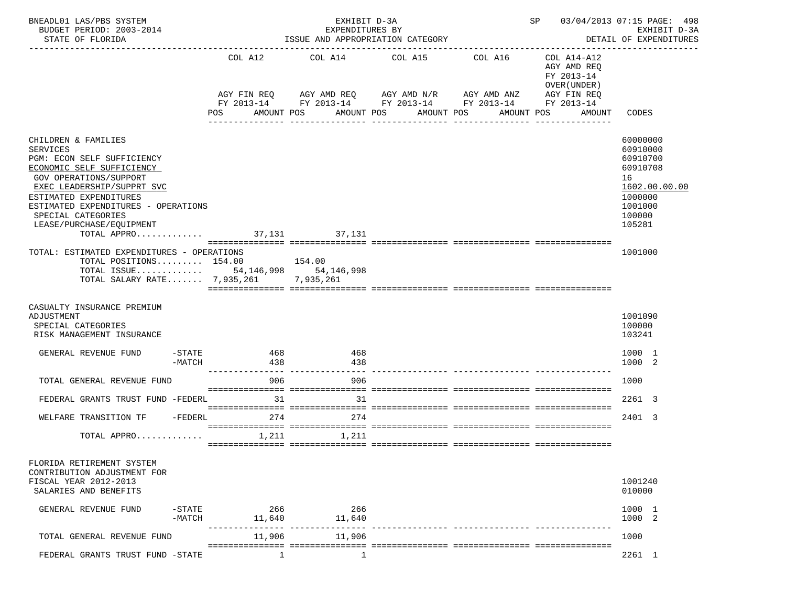| BNEADL01 LAS/PBS SYSTEM<br>BUDGET PERIOD: 2003-2014<br>STATE OF FLORIDA                                                                                                                                                                                                                                          |                        | EXHIBIT D-3A<br>EXPENDITURES BY          | ISSUE AND APPROPRIATION CATEGORY                                                                                   |            |                                                                          | SP 03/04/2013 07:15 PAGE: 498<br>EXHIBIT D-3A<br>DETAIL OF EXPENDITURES                                       |
|------------------------------------------------------------------------------------------------------------------------------------------------------------------------------------------------------------------------------------------------------------------------------------------------------------------|------------------------|------------------------------------------|--------------------------------------------------------------------------------------------------------------------|------------|--------------------------------------------------------------------------|---------------------------------------------------------------------------------------------------------------|
|                                                                                                                                                                                                                                                                                                                  | COL A12<br>AGY FIN REQ | COL A14                                  | COL A15<br>AGY AMD REQ      AGY AMD N/R      AGY AMD ANZ<br>FY 2013-14 FY 2013-14 FY 2013-14 FY 2013-14 FY 2013-14 | COL A16    | COL A14-A12<br>AGY AMD REQ<br>FY 2013-14<br>OVER (UNDER )<br>AGY FIN REQ |                                                                                                               |
|                                                                                                                                                                                                                                                                                                                  | POS                    | AMOUNT POS                               | AMOUNT POS<br>AMOUNT POS                                                                                           | AMOUNT POS | AMOUNT                                                                   | CODES                                                                                                         |
| CHILDREN & FAMILIES<br><b>SERVICES</b><br>PGM: ECON SELF SUFFICIENCY<br>ECONOMIC SELF SUFFICIENCY<br><b>GOV OPERATIONS/SUPPORT</b><br>EXEC LEADERSHIP/SUPPRT SVC<br>ESTIMATED EXPENDITURES<br>ESTIMATED EXPENDITURES - OPERATIONS<br>SPECIAL CATEGORIES<br>LEASE/PURCHASE/EOUIPMENT<br>TOTAL APPRO 37,131 37,131 |                        |                                          |                                                                                                                    |            |                                                                          | 60000000<br>60910000<br>60910700<br>60910708<br>16<br>1602.00.00.00<br>1000000<br>1001000<br>100000<br>105281 |
| TOTAL: ESTIMATED EXPENDITURES - OPERATIONS<br>TOTAL POSITIONS $154.00$ 154.00<br>TOTAL ISSUE 54, 146, 998 54, 146, 998<br>TOTAL SALARY RATE 7,935,261 7,935,261                                                                                                                                                  |                        |                                          |                                                                                                                    |            |                                                                          | 1001000                                                                                                       |
| CASUALTY INSURANCE PREMIUM<br>ADJUSTMENT<br>SPECIAL CATEGORIES<br>RISK MANAGEMENT INSURANCE                                                                                                                                                                                                                      |                        |                                          |                                                                                                                    |            |                                                                          | 1001090<br>100000<br>103241                                                                                   |
| GENERAL REVENUE FUND<br>-STATE<br>$-MATCH$                                                                                                                                                                                                                                                                       | 468<br>438             | 468<br>438                               |                                                                                                                    |            |                                                                          | 1000 1<br>1000 2                                                                                              |
| TOTAL GENERAL REVENUE FUND                                                                                                                                                                                                                                                                                       | 906                    | 906                                      |                                                                                                                    |            |                                                                          | 1000                                                                                                          |
| FEDERAL GRANTS TRUST FUND -FEDERL                                                                                                                                                                                                                                                                                | 31                     | 31                                       |                                                                                                                    |            |                                                                          | 2261 3                                                                                                        |
| WELFARE TRANSITION TF -FEDERL                                                                                                                                                                                                                                                                                    | 274                    | 274                                      |                                                                                                                    |            |                                                                          | 2401 3                                                                                                        |
| TOTAL APPRO 1,211 $1,211$ 1,211                                                                                                                                                                                                                                                                                  |                        |                                          |                                                                                                                    |            |                                                                          |                                                                                                               |
| FLORIDA RETIREMENT SYSTEM<br>CONTRIBUTION ADJUSTMENT FOR<br>FISCAL YEAR 2012-2013<br>SALARIES AND BENEFITS                                                                                                                                                                                                       |                        |                                          |                                                                                                                    |            |                                                                          | 1001240<br>010000                                                                                             |
| $-$ STATE<br>GENERAL REVENUE FUND<br>$-MATCH$                                                                                                                                                                                                                                                                    | 266<br>11,640          | 266<br>11,640                            |                                                                                                                    |            |                                                                          | 1000 1<br>1000 2                                                                                              |
| TOTAL GENERAL REVENUE FUND                                                                                                                                                                                                                                                                                       | 11,906                 | ------------- ----------------<br>11,906 |                                                                                                                    |            |                                                                          | 1000                                                                                                          |
| FEDERAL GRANTS TRUST FUND -STATE                                                                                                                                                                                                                                                                                 | 1                      | 1                                        |                                                                                                                    |            |                                                                          | 2261 1                                                                                                        |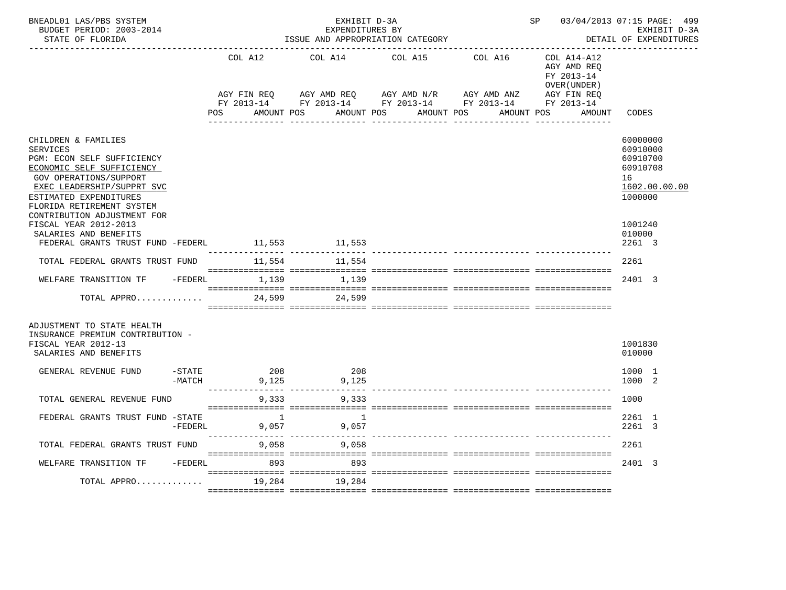| BNEADL01 LAS/PBS SYSTEM<br>BUDGET PERIOD: 2003-2014<br>STATE OF FLORIDA                                                                                                                                                                                                  |                       |                               | EXHIBIT D-3A<br>EXPENDITURES BY<br>ISSUE AND APPROPRIATION CATEGORY                                                                                                                                                                                                                                                                                                               |                                           |                  | SP 03/04/2013 07:15 PAGE: 499                            | EXHIBIT D-3A<br>DETAIL OF EXPENDITURES                                                    |
|--------------------------------------------------------------------------------------------------------------------------------------------------------------------------------------------------------------------------------------------------------------------------|-----------------------|-------------------------------|-----------------------------------------------------------------------------------------------------------------------------------------------------------------------------------------------------------------------------------------------------------------------------------------------------------------------------------------------------------------------------------|-------------------------------------------|------------------|----------------------------------------------------------|-------------------------------------------------------------------------------------------|
|                                                                                                                                                                                                                                                                          |                       | COL A12                       | COL A14                                                                                                                                                                                                                                                                                                                                                                           | COL A15                                   | COL A16          | COL A14-A12<br>AGY AMD REQ<br>FY 2013-14<br>OVER (UNDER) |                                                                                           |
|                                                                                                                                                                                                                                                                          |                       | AMOUNT POS<br>POS             | $\begin{array}{lllllll} {\text{AGY}} & {\text{FIN}} & {\text{REG}} & {\text{AGY}} & {\text{AMP}} & {\text{AGY}} & {\text{AMP}} & {\text{MY}} & {\text{MID}} & {\text{AND}} & {\text{AND}} & {\text{AND}} & {\text{AND}} & {\text{R}} \\ {\text{FY}} & 2013\text{--}14 & \text{FY}} & 2013\text{--}14 & \text{FY}} & 2013\text{--}14 & \text{FY}} & 2013\text{--}14 & \end{array}$ | AMOUNT POS AMOUNT POS<br>________________ | ________________ | AMOUNT POS<br>AMOUNT                                     | CODES                                                                                     |
| CHILDREN & FAMILIES<br>SERVICES<br>PGM: ECON SELF SUFFICIENCY<br>ECONOMIC SELF SUFFICIENCY<br><b>GOV OPERATIONS/SUPPORT</b><br>EXEC LEADERSHIP/SUPPRT SVC<br>ESTIMATED EXPENDITURES<br>FLORIDA RETIREMENT SYSTEM<br>CONTRIBUTION ADJUSTMENT FOR<br>FISCAL YEAR 2012-2013 |                       |                               |                                                                                                                                                                                                                                                                                                                                                                                   |                                           |                  |                                                          | 60000000<br>60910000<br>60910700<br>60910708<br>16<br>1602.00.00.00<br>1000000<br>1001240 |
| SALARIES AND BENEFITS                                                                                                                                                                                                                                                    |                       |                               |                                                                                                                                                                                                                                                                                                                                                                                   |                                           |                  |                                                          | 010000                                                                                    |
| FEDERAL GRANTS TRUST FUND -FEDERL                                                                                                                                                                                                                                        |                       | --------------- ------------- | 11,553 11,553                                                                                                                                                                                                                                                                                                                                                                     |                                           |                  |                                                          | 2261 3                                                                                    |
| TOTAL FEDERAL GRANTS TRUST FUND                                                                                                                                                                                                                                          |                       |                               | 11,554 11,554                                                                                                                                                                                                                                                                                                                                                                     |                                           |                  |                                                          | 2261                                                                                      |
| WELFARE TRANSITION TF -FEDERL 1,139                                                                                                                                                                                                                                      |                       |                               | 1,139                                                                                                                                                                                                                                                                                                                                                                             |                                           |                  |                                                          | 2401 3                                                                                    |
| TOTAL APPRO                                                                                                                                                                                                                                                              |                       | 24,599                        | 24,599                                                                                                                                                                                                                                                                                                                                                                            |                                           |                  |                                                          |                                                                                           |
| ADJUSTMENT TO STATE HEALTH<br>INSURANCE PREMIUM CONTRIBUTION -<br>FISCAL YEAR 2012-13<br>SALARIES AND BENEFITS                                                                                                                                                           |                       |                               |                                                                                                                                                                                                                                                                                                                                                                                   |                                           |                  |                                                          | 1001830<br>010000                                                                         |
| GENERAL REVENUE FUND                                                                                                                                                                                                                                                     | $-$ STATE<br>$-MATCH$ | 208<br>9,125                  | 208<br>9,125<br>--------------- --------------- ---                                                                                                                                                                                                                                                                                                                               |                                           |                  |                                                          | 1000 1<br>1000 2                                                                          |
| TOTAL GENERAL REVENUE FUND                                                                                                                                                                                                                                               |                       | 9,333                         | 9,333                                                                                                                                                                                                                                                                                                                                                                             |                                           |                  |                                                          | 1000                                                                                      |
| FEDERAL GRANTS TRUST FUND -STATE                                                                                                                                                                                                                                         | $-FEDERL$             |                               | $\sim$ 1<br>9,057<br>9,057                                                                                                                                                                                                                                                                                                                                                        |                                           |                  |                                                          | 2261 1<br>2261 3                                                                          |
| TOTAL FEDERAL GRANTS TRUST FUND                                                                                                                                                                                                                                          |                       | 9,058                         | 9,058                                                                                                                                                                                                                                                                                                                                                                             |                                           |                  |                                                          | 2261                                                                                      |
| WELFARE TRANSITION TF                                                                                                                                                                                                                                                    | -FEDERL               | 893                           | 893                                                                                                                                                                                                                                                                                                                                                                               |                                           |                  |                                                          | 2401 3                                                                                    |
| TOTAL APPRO                                                                                                                                                                                                                                                              |                       | 19,284                        | 19,284                                                                                                                                                                                                                                                                                                                                                                            |                                           |                  |                                                          |                                                                                           |
|                                                                                                                                                                                                                                                                          |                       |                               |                                                                                                                                                                                                                                                                                                                                                                                   |                                           |                  |                                                          |                                                                                           |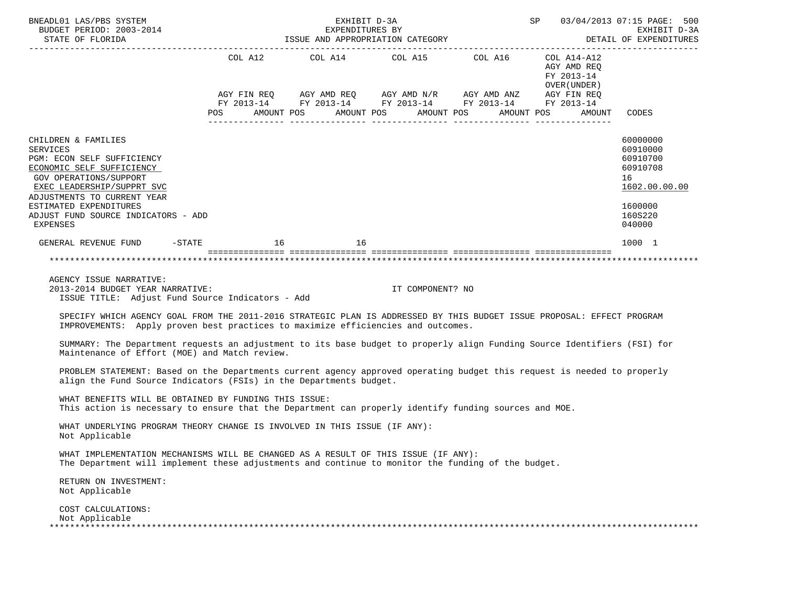| BNEADL01 LAS/PBS SYSTEM<br>BUDGET PERIOD: 2003-2014<br>STATE OF FLORIDA                                                                                                                                                                                               |                                 | EXHIBIT D-3A<br>EXPENDITURES BY<br>ISSUE AND APPROPRIATION CATEGORY<br>------------------ |                  | SP 03/04/2013 07:15 PAGE: 500<br>EXHIBIT D-3A<br>DETAIL OF EXPENDITURES                                                                                                    |                                                          |                                                                                                     |
|-----------------------------------------------------------------------------------------------------------------------------------------------------------------------------------------------------------------------------------------------------------------------|---------------------------------|-------------------------------------------------------------------------------------------|------------------|----------------------------------------------------------------------------------------------------------------------------------------------------------------------------|----------------------------------------------------------|-----------------------------------------------------------------------------------------------------|
|                                                                                                                                                                                                                                                                       | COL A12<br>AMOUNT POS<br>POS DO |                                                                                           | AMOUNT POS       | COL A14 COL A15 COL A16 COL A14-A12<br>AGY FIN REQ AGY AMD REQ AGY AMD N/R AGY AMD ANZ AGY FIN REQ<br>FY 2013-14 FY 2013-14 FY 2013-14 FY 2013-14 FY 2013-14<br>AMOUNT POS | AGY AMD REQ<br>FY 2013-14<br>OVER (UNDER )<br>AMOUNT POS | AMOUNT CODES                                                                                        |
| CHILDREN & FAMILIES<br><b>SERVICES</b><br>PGM: ECON SELF SUFFICIENCY<br>ECONOMIC SELF SUFFICIENCY<br>GOV OPERATIONS/SUPPORT<br>EXEC LEADERSHIP/SUPPRT SVC<br>ADJUSTMENTS TO CURRENT YEAR<br>ESTIMATED EXPENDITURES<br>ADJUST FUND SOURCE INDICATORS - ADD<br>EXPENSES |                                 |                                                                                           |                  |                                                                                                                                                                            |                                                          | 60000000<br>60910000<br>60910700<br>60910708<br>16<br>1602.00.00.00<br>1600000<br>160S220<br>040000 |
| GENERAL REVENUE FUND<br>$-$ STATE                                                                                                                                                                                                                                     | 16                              | 16                                                                                        |                  |                                                                                                                                                                            |                                                          | 1000 1                                                                                              |
|                                                                                                                                                                                                                                                                       |                                 |                                                                                           |                  |                                                                                                                                                                            |                                                          | ********************                                                                                |
| AGENCY ISSUE NARRATIVE:<br>2013-2014 BUDGET YEAR NARRATIVE:<br>ISSUE TITLE: Adjust Fund Source Indicators - Add                                                                                                                                                       |                                 |                                                                                           | IT COMPONENT? NO |                                                                                                                                                                            |                                                          |                                                                                                     |
| SPECIFY WHICH AGENCY GOAL FROM THE 2011-2016 STRATEGIC PLAN IS ADDRESSED BY THIS BUDGET ISSUE PROPOSAL: EFFECT PROGRAM<br>IMPROVEMENTS: Apply proven best practices to maximize efficiencies and outcomes.                                                            |                                 |                                                                                           |                  |                                                                                                                                                                            |                                                          |                                                                                                     |
| SUMMARY: The Department requests an adjustment to its base budget to properly align Funding Source Identifiers (FSI) for<br>Maintenance of Effort (MOE) and Match review.                                                                                             |                                 |                                                                                           |                  |                                                                                                                                                                            |                                                          |                                                                                                     |
| PROBLEM STATEMENT: Based on the Departments current agency approved operating budget this request is needed to properly<br>align the Fund Source Indicators (FSIs) in the Departments budget.                                                                         |                                 |                                                                                           |                  |                                                                                                                                                                            |                                                          |                                                                                                     |
| WHAT BENEFITS WILL BE OBTAINED BY FUNDING THIS ISSUE:<br>This action is necessary to ensure that the Department can properly identify funding sources and MOE.                                                                                                        |                                 |                                                                                           |                  |                                                                                                                                                                            |                                                          |                                                                                                     |
| WHAT UNDERLYING PROGRAM THEORY CHANGE IS INVOLVED IN THIS ISSUE (IF ANY):<br>Not Applicable                                                                                                                                                                           |                                 |                                                                                           |                  |                                                                                                                                                                            |                                                          |                                                                                                     |
| WHAT IMPLEMENTATION MECHANISMS WILL BE CHANGED AS A RESULT OF THIS ISSUE (IF ANY):<br>The Department will implement these adjustments and continue to monitor the funding of the budget.                                                                              |                                 |                                                                                           |                  |                                                                                                                                                                            |                                                          |                                                                                                     |

 RETURN ON INVESTMENT: Not Applicable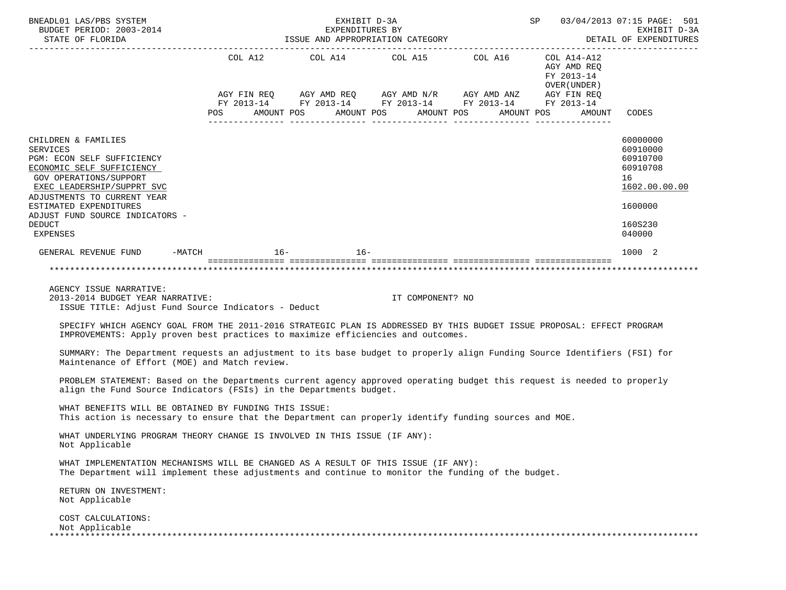| BNEADL01 LAS/PBS SYSTEM<br>BUDGET PERIOD: 2003-2014<br>STATE OF FLORIDA                                                                                                                                                                                                       |                                                                                                                                                                                                                 | EXHIBIT D-3A | EXPENDITURES BY<br>ISSUE AND APPROPRIATION CATEGORY                             | SP 03/04/2013 07:15 PAGE: 501                             | EXHIBIT D-3A<br>DETAIL OF EXPENDITURES                                                    |
|-------------------------------------------------------------------------------------------------------------------------------------------------------------------------------------------------------------------------------------------------------------------------------|-----------------------------------------------------------------------------------------------------------------------------------------------------------------------------------------------------------------|--------------|---------------------------------------------------------------------------------|-----------------------------------------------------------|-------------------------------------------------------------------------------------------|
|                                                                                                                                                                                                                                                                               | AGY FIN REQ       AGY AMD REQ      AGY AMD N/R       AGY AMD ANZ        AGY FIN REQ<br>FY 2013-14        FY 2013-14       FY 2013-14       FY 2013-14        FY 2013-14<br>POS AMOUNT POS AMOUNT POS AMOUNT POS |              | COL A12 $\qquad$ COL A14 $\qquad$ COL A15 $\qquad$ COL A16 $\qquad$ COL A14-A12 | AGY AMD REQ<br>FY 2013-14<br>OVER ( UNDER )<br>AMOUNT POS | AMOUNT CODES                                                                              |
| CHILDREN & FAMILIES<br><b>SERVICES</b><br>PGM: ECON SELF SUFFICIENCY<br>ECONOMIC SELF SUFFICIENCY<br><b>GOV OPERATIONS/SUPPORT</b><br>EXEC LEADERSHIP/SUPPRT SVC<br>ADJUSTMENTS TO CURRENT YEAR<br>ESTIMATED EXPENDITURES<br>ADJUST FUND SOURCE INDICATORS -<br><b>DEDUCT</b> |                                                                                                                                                                                                                 |              |                                                                                 |                                                           | 60000000<br>60910000<br>60910700<br>60910708<br>16<br>1602.00.00.00<br>1600000<br>160S230 |
| <b>EXPENSES</b>                                                                                                                                                                                                                                                               |                                                                                                                                                                                                                 |              |                                                                                 |                                                           | 040000                                                                                    |
| GENERAL REVENUE FUND $-MATCH$ 16- 16- 16-                                                                                                                                                                                                                                     |                                                                                                                                                                                                                 |              |                                                                                 |                                                           | 1000 2                                                                                    |
| AGENCY ISSUE NARRATIVE:<br>2013-2014 BUDGET YEAR NARRATIVE:<br>ISSUE TITLE: Adjust Fund Source Indicators - Deduct                                                                                                                                                            |                                                                                                                                                                                                                 |              | IT COMPONENT? NO                                                                |                                                           |                                                                                           |
| SPECIFY WHICH AGENCY GOAL FROM THE 2011-2016 STRATEGIC PLAN IS ADDRESSED BY THIS BUDGET ISSUE PROPOSAL: EFFECT PROGRAM<br>IMPROVEMENTS: Apply proven best practices to maximize efficiencies and outcomes.                                                                    |                                                                                                                                                                                                                 |              |                                                                                 |                                                           |                                                                                           |
| SUMMARY: The Department requests an adjustment to its base budget to properly align Funding Source Identifiers (FSI) for<br>Maintenance of Effort (MOE) and Match review.                                                                                                     |                                                                                                                                                                                                                 |              |                                                                                 |                                                           |                                                                                           |
| PROBLEM STATEMENT: Based on the Departments current agency approved operating budget this request is needed to properly<br>align the Fund Source Indicators (FSIs) in the Departments budget.                                                                                 |                                                                                                                                                                                                                 |              |                                                                                 |                                                           |                                                                                           |
| WHAT BENEFITS WILL BE OBTAINED BY FUNDING THIS ISSUE:<br>This action is necessary to ensure that the Department can properly identify funding sources and MOE.                                                                                                                |                                                                                                                                                                                                                 |              |                                                                                 |                                                           |                                                                                           |
| WHAT UNDERLYING PROGRAM THEORY CHANGE IS INVOLVED IN THIS ISSUE (IF ANY):<br>Not Applicable                                                                                                                                                                                   |                                                                                                                                                                                                                 |              |                                                                                 |                                                           |                                                                                           |
| WHAT IMPLEMENTATION MECHANISMS WILL BE CHANGED AS A RESULT OF THIS ISSUE (IF ANY):<br>The Department will implement these adjustments and continue to monitor the funding of the budget.                                                                                      |                                                                                                                                                                                                                 |              |                                                                                 |                                                           |                                                                                           |
| RETURN ON INVESTMENT:<br>Not Applicable                                                                                                                                                                                                                                       |                                                                                                                                                                                                                 |              |                                                                                 |                                                           |                                                                                           |
| COST CALCULATIONS:<br>Not Applicable                                                                                                                                                                                                                                          |                                                                                                                                                                                                                 |              |                                                                                 |                                                           |                                                                                           |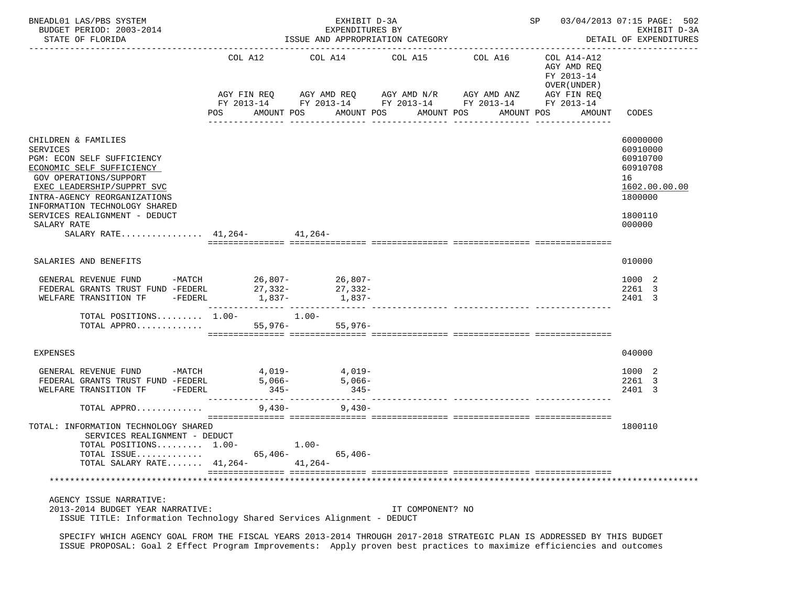| BNEADL01 LAS/PBS SYSTEM<br>BUDGET PERIOD: 2003-2014<br>STATE OF FLORIDA                                                                                                                                                                                                                                   | SP 03/04/2013 07:15 PAGE: 502<br>EXHIBIT D-3A<br>DETAIL OF EXPENDITURES |                                                                                                                                      |                               |            |                                                                                   |                                                                                                     |
|-----------------------------------------------------------------------------------------------------------------------------------------------------------------------------------------------------------------------------------------------------------------------------------------------------------|-------------------------------------------------------------------------|--------------------------------------------------------------------------------------------------------------------------------------|-------------------------------|------------|-----------------------------------------------------------------------------------|-----------------------------------------------------------------------------------------------------|
|                                                                                                                                                                                                                                                                                                           | COL A12<br>AGY FIN REQ<br>POS                                           | COL A14<br>AGY AMD REQ AGY AMD N/R AGY AMD ANZ<br>FY 2013-14 FY 2013-14 FY 2013-14 FY 2013-14 FY 2013-14<br>AMOUNT POS<br>AMOUNT POS | COL A15 COL A16<br>AMOUNT POS | AMOUNT POS | COL A14-A12<br>AGY AMD REQ<br>FY 2013-14<br>OVER (UNDER)<br>AGY FIN REQ<br>AMOUNT | CODES                                                                                               |
| CHILDREN & FAMILIES<br><b>SERVICES</b><br>PGM: ECON SELF SUFFICIENCY<br>ECONOMIC SELF SUFFICIENCY<br>GOV OPERATIONS/SUPPORT<br>EXEC LEADERSHIP/SUPPRT SVC<br>INTRA-AGENCY REORGANIZATIONS<br>INFORMATION TECHNOLOGY SHARED<br>SERVICES REALIGNMENT - DEDUCT<br>SALARY RATE<br>SALARY RATE 41,264- 41,264- |                                                                         |                                                                                                                                      |                               |            |                                                                                   | 60000000<br>60910000<br>60910700<br>60910708<br>16<br>1602.00.00.00<br>1800000<br>1800110<br>000000 |
| SALARIES AND BENEFITS                                                                                                                                                                                                                                                                                     |                                                                         |                                                                                                                                      |                               |            |                                                                                   | 010000                                                                                              |
| GENERAL REVENUE FUND -MATCH 26,807- 26,807-<br>FEDERAL GRANTS TRUST FUND -FEDERL<br>WELFARE TRANSITION TF                                                                                                                                                                                                 | 27,332-                                                                 | 27,332-<br>- $\frac{1}{2}$ - $\frac{1}{837}$ - $\frac{2}{1,837}$ - $\frac{2}{1,837}$                                                 |                               |            |                                                                                   | 1000 2<br>2261 3<br>2401 3                                                                          |
| TOTAL POSITIONS $1.00-1.00-$<br>TOTAL APPRO                                                                                                                                                                                                                                                               |                                                                         | 55,976-<br>$55,976-$                                                                                                                 |                               |            |                                                                                   |                                                                                                     |
| <b>EXPENSES</b>                                                                                                                                                                                                                                                                                           |                                                                         |                                                                                                                                      |                               |            |                                                                                   | 040000                                                                                              |
| GENERAL REVENUE FUND -MATCH 4,019- 4,019-<br>FEDERAL GRANTS TRUST FUND -FEDERL<br>WELFARE TRANSITION TF -FEDERL                                                                                                                                                                                           | $5,066-$<br>$345-$                                                      | $5,066-$<br>$345-$                                                                                                                   |                               |            |                                                                                   | 1000 2<br>2261 3<br>2401 3                                                                          |
| TOTAL APPRO                                                                                                                                                                                                                                                                                               | 9,430-                                                                  | $9,430-$                                                                                                                             |                               |            |                                                                                   |                                                                                                     |
| TOTAL: INFORMATION TECHNOLOGY SHARED<br>SERVICES REALIGNMENT - DEDUCT<br>TOTAL POSITIONS 1.00-<br>TOTAL ISSUE<br>TOTAL SALARY RATE 41,264-                                                                                                                                                                | 65,406-                                                                 | $1.00 -$<br>65,406-<br>$41,264-$                                                                                                     |                               |            |                                                                                   | 1800110                                                                                             |
|                                                                                                                                                                                                                                                                                                           |                                                                         |                                                                                                                                      |                               |            |                                                                                   |                                                                                                     |
| AGENCY ISSUE NARRATIVE:<br>2013-2014 BUDGET YEAR NARRATIVE:<br>ISSUE TITLE: Information Technology Shared Services Alignment - DEDUCT                                                                                                                                                                     |                                                                         |                                                                                                                                      | IT COMPONENT? NO              |            |                                                                                   |                                                                                                     |

 SPECIFY WHICH AGENCY GOAL FROM THE FISCAL YEARS 2013-2014 THROUGH 2017-2018 STRATEGIC PLAN IS ADDRESSED BY THIS BUDGET ISSUE PROPOSAL: Goal 2 Effect Program Improvements: Apply proven best practices to maximize efficiencies and outcomes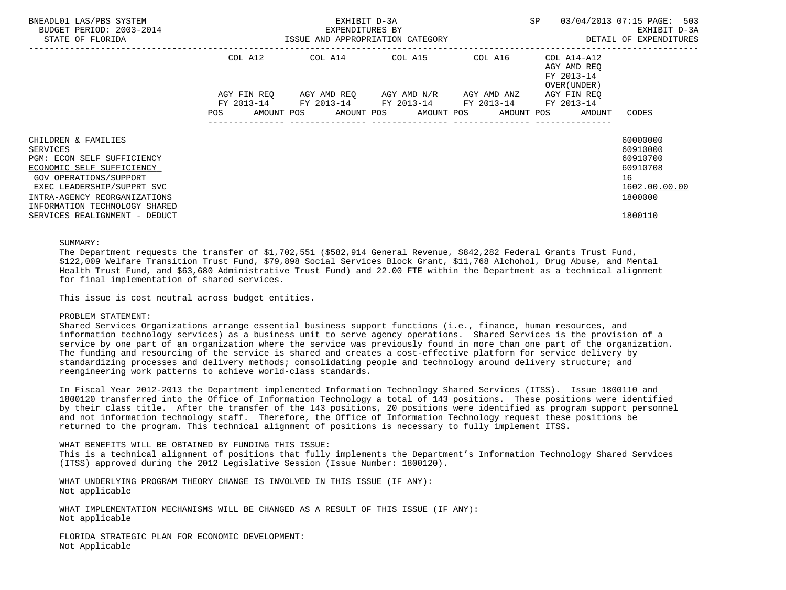| BNEADL01 LAS/PBS SYSTEM<br>BUDGET PERIOD: 2003-2014<br>STATE OF FLORIDA                                                      | EXHIBIT D-3A<br>EXPENDITURES BY<br>ISSUE AND APPROPRIATION CATEGORY                                                                               | SP                      | 03/04/2013 07:15 PAGE: 503<br>EXHIBIT D-3A<br>DETAIL OF EXPENDITURES |                                                    |
|------------------------------------------------------------------------------------------------------------------------------|---------------------------------------------------------------------------------------------------------------------------------------------------|-------------------------|----------------------------------------------------------------------|----------------------------------------------------|
|                                                                                                                              | COL A12                                                                                                                                           | COL A14 COL A15 COL A16 | COL A14-A12<br>AGY AMD REO<br>FY 2013-14<br>OVER (UNDER )            |                                                    |
|                                                                                                                              | AGY FIN REO AGY AMD REO AGY AMD N/R AGY AMD ANZ<br>FY 2013-14 FY 2013-14 FY 2013-14 FY 2013-14<br>POS AMOUNT POS AMOUNT POS AMOUNT POS AMOUNT POS |                         | AGY FIN REO<br>FY 2013-14<br>AMOUNT                                  | CODES                                              |
| CHILDREN & FAMILIES<br>SERVICES<br>PGM: ECON SELF SUFFICIENCY<br>ECONOMIC SELF SUFFICIENCY<br>GOV OPERATIONS/SUPPORT         |                                                                                                                                                   |                         |                                                                      | 60000000<br>60910000<br>60910700<br>60910708<br>16 |
| EXEC LEADERSHIP/SUPPRT SVC<br>INTRA-AGENCY REORGANIZATIONS<br>INFORMATION TECHNOLOGY SHARED<br>SERVICES REALIGNMENT - DEDUCT |                                                                                                                                                   |                         |                                                                      | 1602.00.00.00<br>1800000<br>1800110                |

## SUMMARY:

 The Department requests the transfer of \$1,702,551 (\$582,914 General Revenue, \$842,282 Federal Grants Trust Fund, \$122,009 Welfare Transition Trust Fund, \$79,898 Social Services Block Grant, \$11,768 Alchohol, Drug Abuse, and Mental Health Trust Fund, and \$63,680 Administrative Trust Fund) and 22.00 FTE within the Department as a technical alignment for final implementation of shared services.

This issue is cost neutral across budget entities.

## PROBLEM STATEMENT:

 Shared Services Organizations arrange essential business support functions (i.e., finance, human resources, and information technology services) as a business unit to serve agency operations. Shared Services is the provision of a service by one part of an organization where the service was previously found in more than one part of the organization. The funding and resourcing of the service is shared and creates a cost-effective platform for service delivery by standardizing processes and delivery methods; consolidating people and technology around delivery structure; and reengineering work patterns to achieve world-class standards.

 In Fiscal Year 2012-2013 the Department implemented Information Technology Shared Services (ITSS). Issue 1800110 and 1800120 transferred into the Office of Information Technology a total of 143 positions. These positions were identified by their class title. After the transfer of the 143 positions, 20 positions were identified as program support personnel and not information technology staff. Therefore, the Office of Information Technology request these positions be returned to the program. This technical alignment of positions is necessary to fully implement ITSS.

WHAT BENEFITS WILL BE OBTAINED BY FUNDING THIS ISSUE:

 This is a technical alignment of positions that fully implements the Department's Information Technology Shared Services (ITSS) approved during the 2012 Legislative Session (Issue Number: 1800120).

 WHAT UNDERLYING PROGRAM THEORY CHANGE IS INVOLVED IN THIS ISSUE (IF ANY): Not applicable

 WHAT IMPLEMENTATION MECHANISMS WILL BE CHANGED AS A RESULT OF THIS ISSUE (IF ANY): Not applicable

 FLORIDA STRATEGIC PLAN FOR ECONOMIC DEVELOPMENT: Not Applicable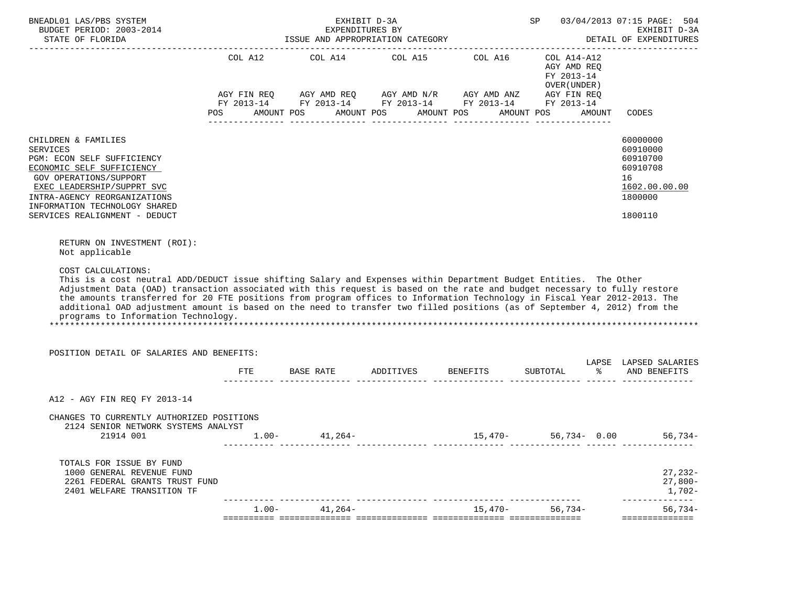| BNEADL01 LAS/PBS SYSTEM<br>BUDGET PERIOD: 2003-2014<br>STATE OF FLORIDA                                                                                                                                                                                                                                                                                                                                                                                                                                                                                                                                                                                             |          | EXPENDITURES BY   | EXHIBIT D-3A<br>ISSUE AND APPROPRIATION CATEGORY                                                                                                                                                                                         | <b>SP</b> SP |                                                                        |        | 03/04/2013 07:15 PAGE: 504<br>EXHIBIT D-3A<br>DETAIL OF EXPENDITURES                      |
|---------------------------------------------------------------------------------------------------------------------------------------------------------------------------------------------------------------------------------------------------------------------------------------------------------------------------------------------------------------------------------------------------------------------------------------------------------------------------------------------------------------------------------------------------------------------------------------------------------------------------------------------------------------------|----------|-------------------|------------------------------------------------------------------------------------------------------------------------------------------------------------------------------------------------------------------------------------------|--------------|------------------------------------------------------------------------|--------|-------------------------------------------------------------------------------------------|
|                                                                                                                                                                                                                                                                                                                                                                                                                                                                                                                                                                                                                                                                     | POS      | AMOUNT POS        | COL A12 COL A14 COL A15 COL A16<br>$AGY \text{ FIN REQ} \qquad \text{AGY AMD REQ} \qquad \text{AGY AMD N/R} \qquad \text{AGY AMD ANZ} \qquad \text{AGY FIN REQ}$<br>FY 2013-14 FY 2013-14 FY 2013-14 FY 2013-14 FY 2013-14<br>AMOUNT POS | AMOUNT POS   | COL A14-A12<br>AGY AMD REO<br>FY 2013-14<br>OVER (UNDER)<br>AMOUNT POS | AMOUNT | CODES                                                                                     |
| CHILDREN & FAMILIES<br><b>SERVICES</b><br>PGM: ECON SELF SUFFICIENCY<br>ECONOMIC SELF SUFFICIENCY<br>GOV OPERATIONS/SUPPORT<br>EXEC LEADERSHIP/SUPPRT SVC<br>INTRA-AGENCY REORGANIZATIONS<br>INFORMATION TECHNOLOGY SHARED<br>SERVICES REALIGNMENT - DEDUCT                                                                                                                                                                                                                                                                                                                                                                                                         |          |                   |                                                                                                                                                                                                                                          |              |                                                                        |        | 60000000<br>60910000<br>60910700<br>60910708<br>16<br>1602.00.00.00<br>1800000<br>1800110 |
| RETURN ON INVESTMENT (ROI):<br>Not applicable<br>COST CALCULATIONS:<br>This is a cost neutral ADD/DEDUCT issue shifting Salary and Expenses within Department Budget Entities. The Other<br>Adjustment Data (OAD) transaction associated with this request is based on the rate and budget necessary to fully restore<br>the amounts transferred for 20 FTE positions from program offices to Information Technology in Fiscal Year 2012-2013. The<br>additional OAD adjustment amount is based on the need to transfer two filled positions (as of September 4, 2012) from the<br>programs to Information Technology.<br>POSITION DETAIL OF SALARIES AND BENEFITS: |          |                   |                                                                                                                                                                                                                                          |              |                                                                        |        | LAPSE LAPSED SALARIES                                                                     |
|                                                                                                                                                                                                                                                                                                                                                                                                                                                                                                                                                                                                                                                                     |          |                   | FTE BASE RATE ADDITIVES BENEFITS SUBTOTAL $\ast$ AND BENEFITS                                                                                                                                                                            |              |                                                                        |        |                                                                                           |
| A12 - AGY FIN REO FY 2013-14                                                                                                                                                                                                                                                                                                                                                                                                                                                                                                                                                                                                                                        |          |                   |                                                                                                                                                                                                                                          |              |                                                                        |        |                                                                                           |
| CHANGES TO CURRENTLY AUTHORIZED POSITIONS<br>2124 SENIOR NETWORK SYSTEMS ANALYST<br>21914 001                                                                                                                                                                                                                                                                                                                                                                                                                                                                                                                                                                       |          | $1.00 - 41,264 -$ |                                                                                                                                                                                                                                          |              | $15,470-56,734-0.00$                                                   |        | 56,734-                                                                                   |
| TOTALS FOR ISSUE BY FUND<br>1000 GENERAL REVENUE FUND<br>2261 FEDERAL GRANTS TRUST FUND<br>2401 WELFARE TRANSITION TF                                                                                                                                                                                                                                                                                                                                                                                                                                                                                                                                               |          |                   |                                                                                                                                                                                                                                          |              |                                                                        |        | $27,232-$<br>$27,800-$<br>1,702-                                                          |
|                                                                                                                                                                                                                                                                                                                                                                                                                                                                                                                                                                                                                                                                     | $1.00 -$ | 41,264-           |                                                                                                                                                                                                                                          | 15,470-      | $56,734-$                                                              |        | ---------<br>$56,734-$<br>==============                                                  |
|                                                                                                                                                                                                                                                                                                                                                                                                                                                                                                                                                                                                                                                                     |          |                   |                                                                                                                                                                                                                                          |              |                                                                        |        |                                                                                           |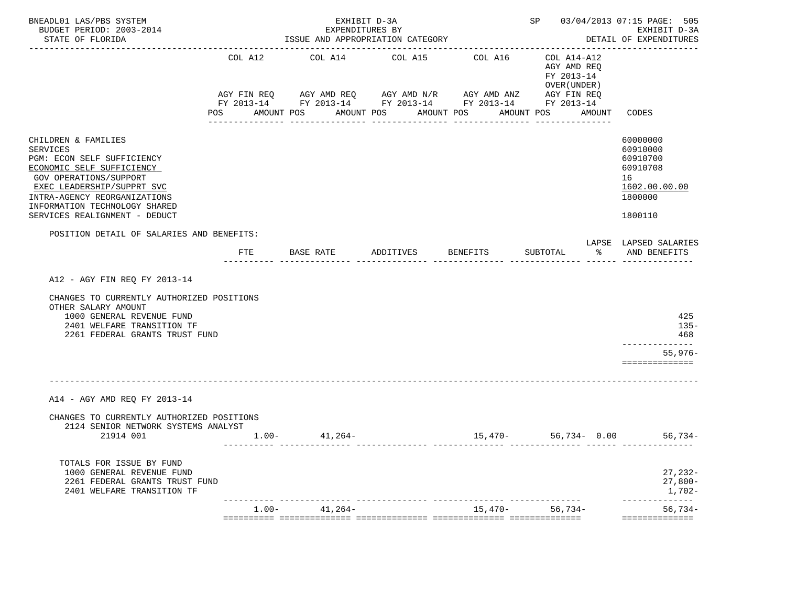| BNEADL01 LAS/PBS SYSTEM<br>BUDGET PERIOD: 2003-2014<br>STATE OF FLORIDA                                                                                                                                                                              |          | EXHIBIT D-3A<br>EXPENDITURES BY<br>ISSUE AND APPROPRIATION CATEGORY                                                              |                            |            | SP 03/04/2013 07:15 PAGE: 505                            | EXHIBIT D-3A<br>DETAIL OF EXPENDITURES                                                    |
|------------------------------------------------------------------------------------------------------------------------------------------------------------------------------------------------------------------------------------------------------|----------|----------------------------------------------------------------------------------------------------------------------------------|----------------------------|------------|----------------------------------------------------------|-------------------------------------------------------------------------------------------|
|                                                                                                                                                                                                                                                      | COL A12  | COL A14<br>AGY FIN REQ AGY AMD REQ AGY AMD N/R AGY AMD ANZ AGY FIN REQ<br>FY 2013-14 FY 2013-14 FY 2013-14 FY 2013-14 FY 2013-14 | COL A15                    | COL A16    | COL A14-A12<br>AGY AMD REQ<br>FY 2013-14<br>OVER (UNDER) |                                                                                           |
|                                                                                                                                                                                                                                                      | POS      | AMOUNT POS                                                                                                                       | AMOUNT POS<br>------------ | AMOUNT POS | AMOUNT POS<br>AMOUNT                                     | CODES                                                                                     |
| CHILDREN & FAMILIES<br>SERVICES<br>PGM: ECON SELF SUFFICIENCY<br>ECONOMIC SELF SUFFICIENCY<br>GOV OPERATIONS/SUPPORT<br>EXEC LEADERSHIP/SUPPRT SVC<br>INTRA-AGENCY REORGANIZATIONS<br>INFORMATION TECHNOLOGY SHARED<br>SERVICES REALIGNMENT - DEDUCT |          |                                                                                                                                  |                            |            |                                                          | 60000000<br>60910000<br>60910700<br>60910708<br>16<br>1602.00.00.00<br>1800000<br>1800110 |
| POSITION DETAIL OF SALARIES AND BENEFITS:                                                                                                                                                                                                            |          |                                                                                                                                  |                            |            |                                                          | LAPSE LAPSED SALARIES                                                                     |
|                                                                                                                                                                                                                                                      | FTE      | BASE RATE ADDITIVES BENEFITS                                                                                                     |                            |            | SUBTOTAL $\frac{1}{6}$ AND BENEFITS                      |                                                                                           |
| A12 - AGY FIN REQ FY 2013-14<br>CHANGES TO CURRENTLY AUTHORIZED POSITIONS<br>OTHER SALARY AMOUNT<br>1000 GENERAL REVENUE FUND<br>2401 WELFARE TRANSITION TF<br>2261 FEDERAL GRANTS TRUST FUND                                                        |          |                                                                                                                                  |                            |            |                                                          | 425<br>$135 -$<br>468<br>--------------<br>$55,976-$<br>==============                    |
| A14 - AGY AMD REO FY 2013-14                                                                                                                                                                                                                         |          |                                                                                                                                  |                            |            |                                                          |                                                                                           |
| CHANGES TO CURRENTLY AUTHORIZED POSITIONS<br>2124 SENIOR NETWORK SYSTEMS ANALYST<br>21914 001                                                                                                                                                        |          | $1.00 - 41,264 -$                                                                                                                |                            | $15,470-$  |                                                          | $56,734 - 0.00$ 56,734-                                                                   |
| TOTALS FOR ISSUE BY FUND<br>1000 GENERAL REVENUE FUND<br>2261 FEDERAL GRANTS TRUST FUND<br>2401 WELFARE TRANSITION TF                                                                                                                                |          |                                                                                                                                  |                            |            |                                                          | $27,232-$<br>$27,800-$<br>1,702-                                                          |
|                                                                                                                                                                                                                                                      | $1.00 -$ | 41,264-                                                                                                                          |                            | $15,470-$  | $56,734-$                                                | -----------<br>$56,734-$<br>==============                                                |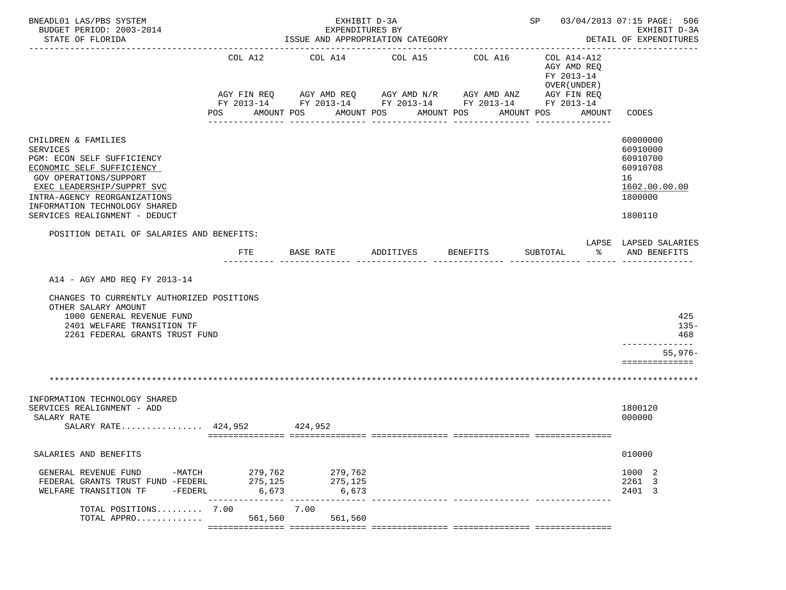| BNEADL01 LAS/PBS SYSTEM<br>BUDGET PERIOD: 2003-2014<br>STATE OF FLORIDA                                                                                                                                                                                            |                                     | EXHIBIT D-3A<br>EXPENDITURES BY<br>-------------------------------------- | ISSUE AND APPROPRIATION CATEGORY                                                                                                                         |                                      | SP 03/04/2013 07:15 PAGE: 506                                                                   | EXHIBIT D-3A<br>DETAIL OF EXPENDITURES<br>-----------                                     |
|--------------------------------------------------------------------------------------------------------------------------------------------------------------------------------------------------------------------------------------------------------------------|-------------------------------------|---------------------------------------------------------------------------|----------------------------------------------------------------------------------------------------------------------------------------------------------|--------------------------------------|-------------------------------------------------------------------------------------------------|-------------------------------------------------------------------------------------------|
|                                                                                                                                                                                                                                                                    | COL A12<br>POS                      | COL A14<br>AMOUNT POS                                                     | COL A15<br>AGY FIN REQ 6 AGY AMD REQ 6 AGY AMD N/R 66 AGY AMD ANZ<br>FY 2013-14 FY 2013-14 FY 2013-14 FY 2013-14 FY 2013-14<br>AMOUNT POS<br>----------- | COL A16<br>AMOUNT POS<br>----------- | COL A14-A12<br>AGY AMD REO<br>FY 2013-14<br>OVER (UNDER)<br>AGY FIN REQ<br>AMOUNT POS<br>AMOUNT | CODES                                                                                     |
| CHILDREN & FAMILIES<br><b>SERVICES</b><br>PGM: ECON SELF SUFFICIENCY<br>ECONOMIC SELF SUFFICIENCY<br><b>GOV OPERATIONS/SUPPORT</b><br>EXEC LEADERSHIP/SUPPRT SVC<br>INTRA-AGENCY REORGANIZATIONS<br>INFORMATION TECHNOLOGY SHARED<br>SERVICES REALIGNMENT - DEDUCT |                                     |                                                                           |                                                                                                                                                          |                                      |                                                                                                 | 60000000<br>60910000<br>60910700<br>60910708<br>16<br>1602.00.00.00<br>1800000<br>1800110 |
| POSITION DETAIL OF SALARIES AND BENEFITS:                                                                                                                                                                                                                          | <b>FTE</b>                          | BASE RATE                                                                 | ADDITIVES                                                                                                                                                | BENEFITS                             | ော်<br>SUBTOTAL                                                                                 | LAPSE LAPSED SALARIES<br>AND BENEFITS                                                     |
| A14 - AGY AMD REQ FY 2013-14<br>CHANGES TO CURRENTLY AUTHORIZED POSITIONS<br>OTHER SALARY AMOUNT<br>1000 GENERAL REVENUE FUND<br>2401 WELFARE TRANSITION TF<br>2261 FEDERAL GRANTS TRUST FUND                                                                      |                                     |                                                                           |                                                                                                                                                          |                                      |                                                                                                 | 425<br>$135 -$<br>468<br>-------------                                                    |
|                                                                                                                                                                                                                                                                    |                                     |                                                                           |                                                                                                                                                          |                                      |                                                                                                 | $55,976-$<br>==============                                                               |
|                                                                                                                                                                                                                                                                    |                                     |                                                                           |                                                                                                                                                          |                                      |                                                                                                 |                                                                                           |
| INFORMATION TECHNOLOGY SHARED<br>SERVICES REALIGNMENT - ADD<br>SALARY RATE<br>SALARY RATE 424,952 424,952                                                                                                                                                          |                                     |                                                                           |                                                                                                                                                          |                                      |                                                                                                 | 1800120<br>000000                                                                         |
| SALARIES AND BENEFITS                                                                                                                                                                                                                                              |                                     |                                                                           |                                                                                                                                                          |                                      |                                                                                                 | 010000                                                                                    |
| GENERAL REVENUE FUND<br>FEDERAL GRANTS TRUST FUND -FEDERL<br>-FEDERL<br>WELFARE TRANSITION TF                                                                                                                                                                      | 275,125<br>6,673<br>--------------- | -MATCH 279,762 279,762<br>275,125<br>6,673                                |                                                                                                                                                          |                                      |                                                                                                 | 1000 2<br>2261 3<br>2401 3                                                                |
| TOTAL POSITIONS 7.00<br>TOTAL APPRO                                                                                                                                                                                                                                | 561,560                             | 7.00<br>561,560                                                           |                                                                                                                                                          |                                      |                                                                                                 |                                                                                           |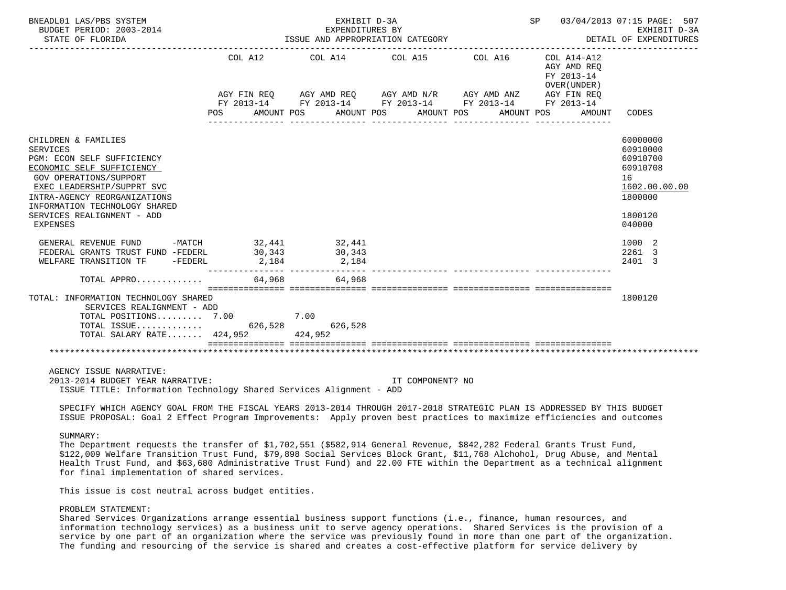| BNEADL01 LAS/PBS SYSTEM<br>BUDGET PERIOD: 2003-2014<br>STATE OF FLORIDA                                                                                                                                                                                                                      |                                           | EXHIBIT D-3A<br>EXPENDITURES BY<br>ISSUE AND APPROPRIATION CATEGORY                                                                                          |                       | SP 03/04/2013 07:15 PAGE: 507<br>DETAIL OF EXPENDITURES           | EXHIBIT D-3A                                                                                                  |
|----------------------------------------------------------------------------------------------------------------------------------------------------------------------------------------------------------------------------------------------------------------------------------------------|-------------------------------------------|--------------------------------------------------------------------------------------------------------------------------------------------------------------|-----------------------|-------------------------------------------------------------------|---------------------------------------------------------------------------------------------------------------|
|                                                                                                                                                                                                                                                                                              | COL A12<br>POS AMOUNT POS                 | COL A14 COL A15 COL A16 COL A14-A12<br>AGY FIN REQ AGY AMD REQ AGY AMD N/R AGY AMD ANZ AGY FIN REQ<br>FY 2013-14 FY 2013-14 FY 2013-14 FY 2013-14 FY 2013-14 | AMOUNT POS AMOUNT POS | AGY AMD REO<br>FY 2013-14<br>OVER (UNDER)<br>AMOUNT POS<br>AMOUNT | CODES                                                                                                         |
| CHILDREN & FAMILIES<br>SERVICES<br>PGM: ECON SELF SUFFICIENCY<br>ECONOMIC SELF SUFFICIENCY<br><b>GOV OPERATIONS/SUPPORT</b><br>EXEC LEADERSHIP/SUPPRT SVC<br>INTRA-AGENCY REORGANIZATIONS<br>INFORMATION TECHNOLOGY SHARED<br>SERVICES REALIGNMENT - ADD<br>EXPENSES<br>GENERAL REVENUE FUND |                                           | _______________                                                                                                                                              |                       |                                                                   | 60000000<br>60910000<br>60910700<br>60910708<br>16<br>1602.00.00.00<br>1800000<br>1800120<br>040000<br>1000 2 |
| FEDERAL GRANTS TRUST FUND -FEDERL<br>WELFARE TRANSITION TF -FEDERL                                                                                                                                                                                                                           | $-MATCH$ 32,441 32,441<br>30,343<br>2,184 | 30,343<br>2,184                                                                                                                                              |                       |                                                                   | 2261 3<br>2401 3                                                                                              |
| TOTAL APPRO                                                                                                                                                                                                                                                                                  | 64,968                                    | 64,968                                                                                                                                                       |                       |                                                                   |                                                                                                               |
| TOTAL: INFORMATION TECHNOLOGY SHARED<br>SERVICES REALIGNMENT - ADD<br>TOTAL POSITIONS 7.00 7.00<br>TOTAL SALARY RATE 424,952                                                                                                                                                                 |                                           | 424,952                                                                                                                                                      |                       |                                                                   | 1800120                                                                                                       |
|                                                                                                                                                                                                                                                                                              |                                           |                                                                                                                                                              |                       |                                                                   |                                                                                                               |
| AGENCY ISSUE NARRATIVE:<br>2013-2014 BUDGET YEAR NARRATIVE:<br>ISSUE TITLE: Information Technology Shared Services Alignment - ADD                                                                                                                                                           |                                           |                                                                                                                                                              | IT COMPONENT? NO      |                                                                   |                                                                                                               |

 SPECIFY WHICH AGENCY GOAL FROM THE FISCAL YEARS 2013-2014 THROUGH 2017-2018 STRATEGIC PLAN IS ADDRESSED BY THIS BUDGET ISSUE PROPOSAL: Goal 2 Effect Program Improvements: Apply proven best practices to maximize efficiencies and outcomes

## SUMMARY:

 The Department requests the transfer of \$1,702,551 (\$582,914 General Revenue, \$842,282 Federal Grants Trust Fund, \$122,009 Welfare Transition Trust Fund, \$79,898 Social Services Block Grant, \$11,768 Alchohol, Drug Abuse, and Mental Health Trust Fund, and \$63,680 Administrative Trust Fund) and 22.00 FTE within the Department as a technical alignment for final implementation of shared services.

This issue is cost neutral across budget entities.

## PROBLEM STATEMENT:

 Shared Services Organizations arrange essential business support functions (i.e., finance, human resources, and information technology services) as a business unit to serve agency operations. Shared Services is the provision of a service by one part of an organization where the service was previously found in more than one part of the organization. The funding and resourcing of the service is shared and creates a cost-effective platform for service delivery by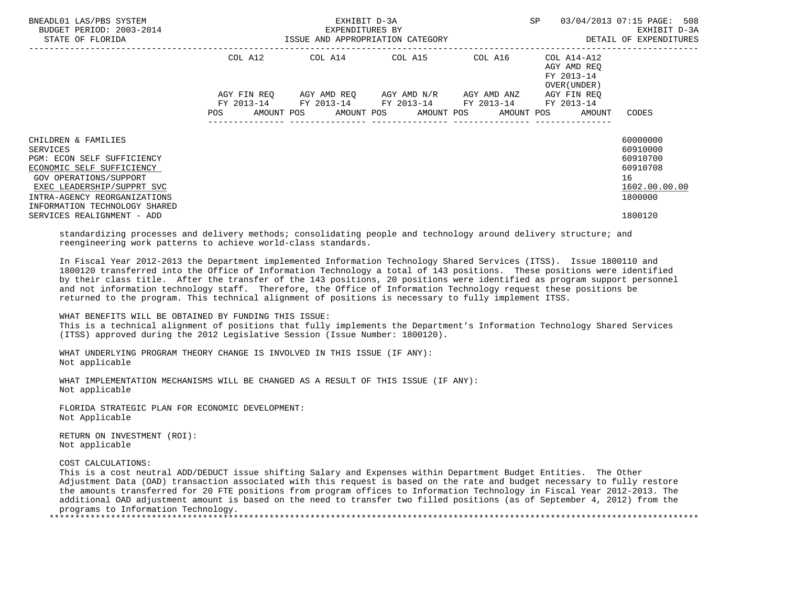| BNEADL01 LAS/PBS SYSTEM<br>BUDGET PERIOD: 2003-2014<br>STATE OF FLORIDA                                                                                                                                                                                  | ISSUE AND APPROPRIATION CATEGORY | EXHIBIT D-3A<br>EXPENDITURES BY |                                                                                                                                                          | SP                                         | 03/04/2013 07:15 PAGE: 508<br>EXHIBIT D-3A<br>DETAIL OF EXPENDITURES                      |
|----------------------------------------------------------------------------------------------------------------------------------------------------------------------------------------------------------------------------------------------------------|----------------------------------|---------------------------------|----------------------------------------------------------------------------------------------------------------------------------------------------------|--------------------------------------------|-------------------------------------------------------------------------------------------|
|                                                                                                                                                                                                                                                          | COL A12                          |                                 | $COL A14$ $COL A15$ $COL A16$ $COL A14-A12$                                                                                                              | AGY AMD REO<br>FY 2013-14<br>OVER (UNDER ) |                                                                                           |
|                                                                                                                                                                                                                                                          | <b>POS</b>                       |                                 | AGY FIN REQ 6GY AMD REQ 6GY AMD N/R 6GY AMD ANZ<br>FY 2013-14 FY 2013-14 FY 2013-14 FY 2013-14 FY 2013-14<br>AMOUNT POS AMOUNT POS AMOUNT POS AMOUNT POS | AGY FIN REO<br>AMOUNT                      | CODES                                                                                     |
| CHILDREN & FAMILIES<br>SERVICES<br>PGM: ECON SELF SUFFICIENCY<br>ECONOMIC SELF SUFFICIENCY<br><b>GOV OPERATIONS/SUPPORT</b><br>EXEC LEADERSHIP/SUPPRT SVC<br>INTRA-AGENCY REORGANIZATIONS<br>INFORMATION TECHNOLOGY SHARED<br>SERVICES REALIGNMENT - ADD |                                  |                                 |                                                                                                                                                          |                                            | 60000000<br>60910000<br>60910700<br>60910708<br>16<br>1602.00.00.00<br>1800000<br>1800120 |
| standardizing processes and delivery methods; consolidating people and technology around delivery structure; and                                                                                                                                         |                                  |                                 |                                                                                                                                                          |                                            |                                                                                           |

reengineering work patterns to achieve world-class standards.

 In Fiscal Year 2012-2013 the Department implemented Information Technology Shared Services (ITSS). Issue 1800110 and 1800120 transferred into the Office of Information Technology a total of 143 positions. These positions were identified by their class title. After the transfer of the 143 positions, 20 positions were identified as program support personnel and not information technology staff. Therefore, the Office of Information Technology request these positions be returned to the program. This technical alignment of positions is necessary to fully implement ITSS.

## WHAT BENEFITS WILL BE OBTAINED BY FUNDING THIS ISSUE:

 This is a technical alignment of positions that fully implements the Department's Information Technology Shared Services (ITSS) approved during the 2012 Legislative Session (Issue Number: 1800120).

 WHAT UNDERLYING PROGRAM THEORY CHANGE IS INVOLVED IN THIS ISSUE (IF ANY): Not applicable

 WHAT IMPLEMENTATION MECHANISMS WILL BE CHANGED AS A RESULT OF THIS ISSUE (IF ANY): Not applicable

 FLORIDA STRATEGIC PLAN FOR ECONOMIC DEVELOPMENT: Not Applicable

 RETURN ON INVESTMENT (ROI): Not applicable

COST CALCULATIONS:

 This is a cost neutral ADD/DEDUCT issue shifting Salary and Expenses within Department Budget Entities. The Other Adjustment Data (OAD) transaction associated with this request is based on the rate and budget necessary to fully restore the amounts transferred for 20 FTE positions from program offices to Information Technology in Fiscal Year 2012-2013. The additional OAD adjustment amount is based on the need to transfer two filled positions (as of September 4, 2012) from the programs to Information Technology.

\*\*\*\*\*\*\*\*\*\*\*\*\*\*\*\*\*\*\*\*\*\*\*\*\*\*\*\*\*\*\*\*\*\*\*\*\*\*\*\*\*\*\*\*\*\*\*\*\*\*\*\*\*\*\*\*\*\*\*\*\*\*\*\*\*\*\*\*\*\*\*\*\*\*\*\*\*\*\*\*\*\*\*\*\*\*\*\*\*\*\*\*\*\*\*\*\*\*\*\*\*\*\*\*\*\*\*\*\*\*\*\*\*\*\*\*\*\*\*\*\*\*\*\*\*\*\*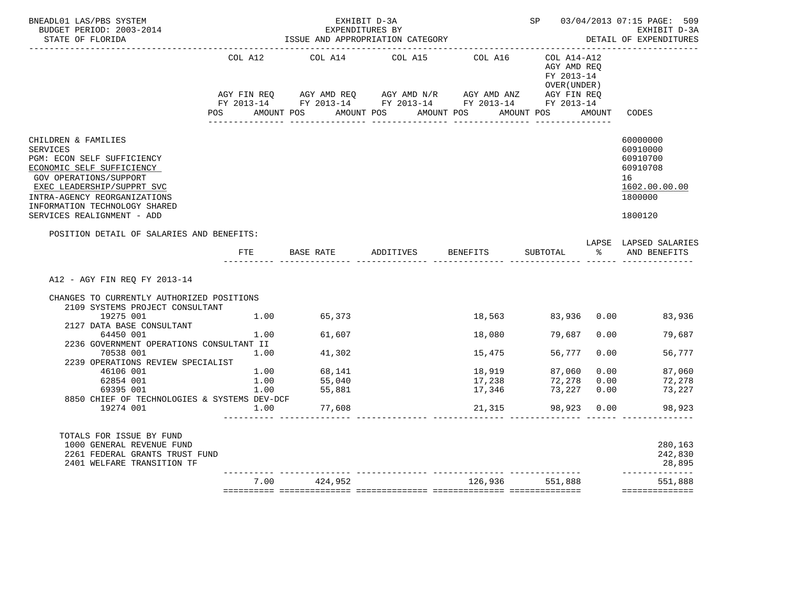| BNEADL01 LAS/PBS SYSTEM<br>BUDGET PERIOD: 2003-2014<br>STATE OF FLORIDA                                                                                                                                                                           |            |                  | EXHIBIT D-3A<br>EXPENDITURES BY<br>EAPENDITORES BI<br>ISSUE AND APPROPRIATION CATEGORY                                                                                                          |          |                                                          |                | SP 03/04/2013 07:15 PAGE: 509<br>EXHIBIT D-3A<br>DETAIL OF EXPENDITURES<br>________________________ |
|---------------------------------------------------------------------------------------------------------------------------------------------------------------------------------------------------------------------------------------------------|------------|------------------|-------------------------------------------------------------------------------------------------------------------------------------------------------------------------------------------------|----------|----------------------------------------------------------|----------------|-----------------------------------------------------------------------------------------------------|
|                                                                                                                                                                                                                                                   | COL A12    | COL A14          | COL A15<br>AGY FIN REQ        AGY AMD REQ        AGY AMD N/R        AGY AMD ANZ         AGY FIN REQ<br>FY 2013-14         FY 2013-14         FY 2013-14          FY 2013-14          FY 2013-14 | COL A16  | COL A14-A12<br>AGY AMD REO<br>FY 2013-14<br>OVER (UNDER) |                |                                                                                                     |
|                                                                                                                                                                                                                                                   | <b>POS</b> |                  | AMOUNT POS AMOUNT POS AMOUNT POS                                                                                                                                                                |          | AMOUNT POS AMOUNT                                        |                | CODES                                                                                               |
| CHILDREN & FAMILIES<br>SERVICES<br>PGM: ECON SELF SUFFICIENCY<br>ECONOMIC SELF SUFFICIENCY<br>GOV OPERATIONS/SUPPORT<br>EXEC LEADERSHIP/SUPPRT SVC<br>INTRA-AGENCY REORGANIZATIONS<br>INFORMATION TECHNOLOGY SHARED<br>SERVICES REALIGNMENT - ADD |            |                  |                                                                                                                                                                                                 |          |                                                          |                | 60000000<br>60910000<br>60910700<br>60910708<br>16<br>1602.00.00.00<br>1800000<br>1800120           |
| POSITION DETAIL OF SALARIES AND BENEFITS:                                                                                                                                                                                                         | FTE        | BASE RATE        | ADDITIVES                                                                                                                                                                                       | BENEFITS | SUBTOTAL                                                 | ႜႜႜႜ႙ၟၟၟၟၟၟၟၟၟ | LAPSE LAPSED SALARIES<br>AND BENEFITS                                                               |
|                                                                                                                                                                                                                                                   |            |                  |                                                                                                                                                                                                 |          |                                                          |                |                                                                                                     |
| A12 - AGY FIN REQ FY 2013-14<br>CHANGES TO CURRENTLY AUTHORIZED POSITIONS                                                                                                                                                                         |            |                  |                                                                                                                                                                                                 |          |                                                          |                |                                                                                                     |
| 2109 SYSTEMS PROJECT CONSULTANT                                                                                                                                                                                                                   |            |                  |                                                                                                                                                                                                 |          |                                                          |                |                                                                                                     |
| 19275 001                                                                                                                                                                                                                                         |            | 1.00 65,373      |                                                                                                                                                                                                 | 18,563   |                                                          |                | 83,936 0.00 83,936                                                                                  |
| 2127 DATA BASE CONSULTANT                                                                                                                                                                                                                         |            |                  |                                                                                                                                                                                                 |          |                                                          |                |                                                                                                     |
| 64450 001                                                                                                                                                                                                                                         | 1.00       | 61,607           |                                                                                                                                                                                                 | 18,080   | 79,687                                                   | 0.00           | 79,687                                                                                              |
| 2236 GOVERNMENT OPERATIONS CONSULTANT II                                                                                                                                                                                                          |            |                  |                                                                                                                                                                                                 |          |                                                          |                |                                                                                                     |
| 70538 001<br>2239 OPERATIONS REVIEW SPECIALIST                                                                                                                                                                                                    | 1.00       | 41,302           |                                                                                                                                                                                                 | 15,475   | 56,777                                                   | 0.00           | 56,777                                                                                              |
| 46106 001                                                                                                                                                                                                                                         | 1.00       |                  |                                                                                                                                                                                                 | 18,919   | 87,060                                                   | 0.00           | 87,060                                                                                              |
| 62854 001                                                                                                                                                                                                                                         | 1.00       | 68,141<br>55,040 |                                                                                                                                                                                                 | 17,238   | 72,278                                                   | 0.00           | 72,278                                                                                              |
| 69395 001                                                                                                                                                                                                                                         | 1.00       | 55,881           |                                                                                                                                                                                                 | 17,346   | 73,227                                                   | 0.00           | 73,227                                                                                              |
| 8850 CHIEF OF TECHNOLOGIES & SYSTEMS DEV-DCF                                                                                                                                                                                                      |            |                  |                                                                                                                                                                                                 |          |                                                          |                |                                                                                                     |
| 19274 001                                                                                                                                                                                                                                         |            | $1.00$ 77,608    |                                                                                                                                                                                                 | 21,315   | 98,923 0.00                                              |                | 98,923                                                                                              |
| TOTALS FOR ISSUE BY FUND<br>1000 GENERAL REVENUE FUND<br>2261 FEDERAL GRANTS TRUST FUND<br>2401 WELFARE TRANSITION TF                                                                                                                             |            |                  |                                                                                                                                                                                                 |          |                                                          |                | 280,163<br>242,830<br>28,895                                                                        |
|                                                                                                                                                                                                                                                   | 7.00       | 424,952          |                                                                                                                                                                                                 | 126,936  | 551,888                                                  |                | -------------<br>551,888<br>==============                                                          |
|                                                                                                                                                                                                                                                   |            |                  |                                                                                                                                                                                                 |          |                                                          |                |                                                                                                     |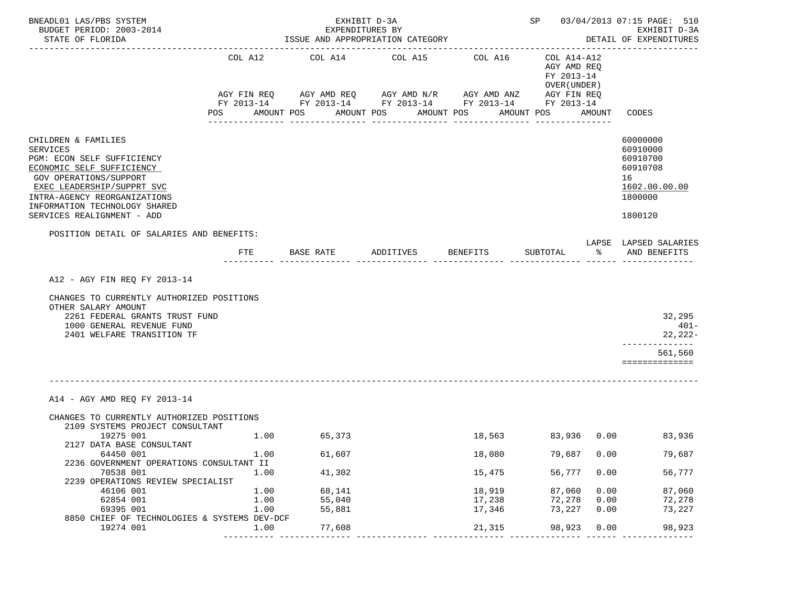| BNEADL01 LAS/PBS SYSTEM<br>BUDGET PERIOD: 2003-2014<br>STATE OF FLORIDA                                                                                                                                                                                  |                              | EXPENDITURES BY          | EXHIBIT D-3A<br>ISSUE AND APPROPRIATION CATEGORY                                                                                                       |                                          |                                                                                       |                                                                                                     | SP 03/04/2013 07:15 PAGE: 510<br>EXHIBIT D-3A<br>DETAIL OF EXPENDITURES                   |
|----------------------------------------------------------------------------------------------------------------------------------------------------------------------------------------------------------------------------------------------------------|------------------------------|--------------------------|--------------------------------------------------------------------------------------------------------------------------------------------------------|------------------------------------------|---------------------------------------------------------------------------------------|-----------------------------------------------------------------------------------------------------|-------------------------------------------------------------------------------------------|
|                                                                                                                                                                                                                                                          | COL A12<br>POS<br>AMOUNT POS | COL A14<br>------------- | COL A15<br>AGY FIN REQ AGY AMD REQ AGY AMD N/R AGY AMD ANZ<br>FY 2013-14 FY 2013-14 FY 2013-14 FY 2013-14 FY 2013-14<br>AMOUNT POS<br>---------------- | COL A16<br>AMOUNT POS<br>--------------- | COL A14-A12<br>AGY AMD REQ<br>FY 2013-14<br>OVER (UNDER)<br>AGY FIN REQ<br>AMOUNT POS | AMOUNT                                                                                              | CODES                                                                                     |
| CHILDREN & FAMILIES<br><b>SERVICES</b><br>PGM: ECON SELF SUFFICIENCY<br>ECONOMIC SELF SUFFICIENCY<br>GOV OPERATIONS/SUPPORT<br>EXEC LEADERSHIP/SUPPRT SVC<br>INTRA-AGENCY REORGANIZATIONS<br>INFORMATION TECHNOLOGY SHARED<br>SERVICES REALIGNMENT - ADD |                              |                          |                                                                                                                                                        |                                          |                                                                                       |                                                                                                     | 60000000<br>60910000<br>60910700<br>60910708<br>16<br>1602.00.00.00<br>1800000<br>1800120 |
| POSITION DETAIL OF SALARIES AND BENEFITS:                                                                                                                                                                                                                | $_{\rm FTE}$                 | BASE RATE                | ADDITIVES BENEFITS                                                                                                                                     |                                          | SUBTOTAL                                                                              | ာ အောက် အောက် အောက် အောက် အောက် အောက် အောက် အောက် အောက် အောက် အောက် အောက် အောက် အောက် အောက် အောက် အ | LAPSE LAPSED SALARIES<br>AND BENEFITS                                                     |
| A12 - AGY FIN REQ FY 2013-14<br>CHANGES TO CURRENTLY AUTHORIZED POSITIONS<br>OTHER SALARY AMOUNT<br>2261 FEDERAL GRANTS TRUST FUND<br>1000 GENERAL REVENUE FUND<br>2401 WELFARE TRANSITION TF                                                            |                              |                          |                                                                                                                                                        |                                          |                                                                                       |                                                                                                     | 32,295<br>$401 -$<br>22,222-<br>--------------<br>561,560<br>==============               |
| A14 - AGY AMD REO FY 2013-14<br>CHANGES TO CURRENTLY AUTHORIZED POSITIONS                                                                                                                                                                                |                              |                          |                                                                                                                                                        |                                          |                                                                                       |                                                                                                     |                                                                                           |
| 2109 SYSTEMS PROJECT CONSULTANT<br>19275 001<br>2127 DATA BASE CONSULTANT                                                                                                                                                                                |                              | 1.00 65,373              |                                                                                                                                                        |                                          |                                                                                       |                                                                                                     | 18,563 83,936 0.00 83,936                                                                 |
| 64450 001                                                                                                                                                                                                                                                | 1.00                         | 61,607                   |                                                                                                                                                        | 18,080                                   | 79,687                                                                                | 0.00                                                                                                | 79,687                                                                                    |
| 2236 GOVERNMENT OPERATIONS CONSULTANT II<br>70538 001<br>2239 OPERATIONS REVIEW SPECIALIST                                                                                                                                                               | 1.00                         | 41,302                   |                                                                                                                                                        | 15,475                                   | 56,777                                                                                | 0.00                                                                                                | 56,777                                                                                    |
| 46106 001                                                                                                                                                                                                                                                | 1.00                         | 68,141                   |                                                                                                                                                        | 18,919                                   | 87,060                                                                                | 0.00                                                                                                | 87,060                                                                                    |
| 62854 001                                                                                                                                                                                                                                                | 1.00                         | 55,040                   |                                                                                                                                                        | 17,238                                   | 72,278                                                                                | 0.00                                                                                                | 72,278                                                                                    |
| 69395 001                                                                                                                                                                                                                                                | 1.00                         | 55,881                   |                                                                                                                                                        | 17,346                                   | 73,227                                                                                | 0.00                                                                                                | 73,227                                                                                    |
| 8850 CHIEF OF TECHNOLOGIES & SYSTEMS DEV-DCF<br>19274 001                                                                                                                                                                                                | 1.00                         | 77,608                   |                                                                                                                                                        | 21,315                                   | 98,923                                                                                | 0.00                                                                                                | 98,923                                                                                    |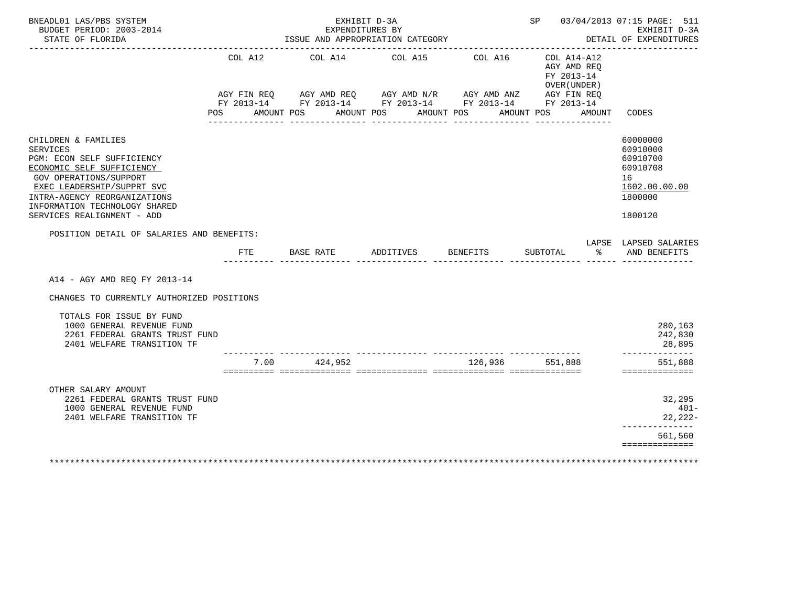| BNEADL01 LAS/PBS SYSTEM<br>BUDGET PERIOD: 2003-2014<br>STATE OF FLORIDA                                                                                                                                                                                  |                              | EXPENDITURES BY<br>ISSUE AND APPROPRIATION CATEGORY                                                                                 | EXHIBIT D-3A    |                                     |                                                                     | SP 03/04/2013 07:15 PAGE: 511<br>EXHIBIT D-3A<br>DETAIL OF EXPENDITURES<br>. <u>_ _ _ _ _ _ _ _ _ _ _ _ _</u> _ |
|----------------------------------------------------------------------------------------------------------------------------------------------------------------------------------------------------------------------------------------------------------|------------------------------|-------------------------------------------------------------------------------------------------------------------------------------|-----------------|-------------------------------------|---------------------------------------------------------------------|-----------------------------------------------------------------------------------------------------------------|
|                                                                                                                                                                                                                                                          | COL A12<br>AMOUNT POS<br>POS | AGY FIN REQ AGY AMD REQ AGY AMD N/R AGY AMD ANZ AGY FIN REQ<br>FY 2013-14 FY 2013-14 FY 2013-14 FY 2013-14 FY 2013-14<br>AMOUNT POS | COL A14 COL A15 | COL A16<br>AMOUNT POS<br>AMOUNT POS | COL A14-A12<br>AGY AMD REQ<br>FY 2013-14<br>OVER (UNDER )<br>AMOUNT | CODES                                                                                                           |
| CHILDREN & FAMILIES<br><b>SERVICES</b><br>PGM: ECON SELF SUFFICIENCY<br>ECONOMIC SELF SUFFICIENCY<br>GOV OPERATIONS/SUPPORT<br>EXEC LEADERSHIP/SUPPRT SVC<br>INTRA-AGENCY REORGANIZATIONS<br>INFORMATION TECHNOLOGY SHARED<br>SERVICES REALIGNMENT - ADD |                              |                                                                                                                                     |                 |                                     |                                                                     | 60000000<br>60910000<br>60910700<br>60910708<br>16<br>1602.00.00.00<br>1800000<br>1800120                       |
| POSITION DETAIL OF SALARIES AND BENEFITS:                                                                                                                                                                                                                | <b>FTE</b>                   | BASE RATE                                                                                                                           | ADDITIVES       | <b>BENEFITS</b>                     | SUBTOTAL<br>ႜ                                                       | LAPSE LAPSED SALARIES<br>AND BENEFITS                                                                           |
| A14 - AGY AMD REQ FY 2013-14<br>CHANGES TO CURRENTLY AUTHORIZED POSITIONS                                                                                                                                                                                |                              |                                                                                                                                     |                 |                                     |                                                                     |                                                                                                                 |
| TOTALS FOR ISSUE BY FUND<br>1000 GENERAL REVENUE FUND<br>2261 FEDERAL GRANTS TRUST FUND<br>2401 WELFARE TRANSITION TF                                                                                                                                    |                              |                                                                                                                                     |                 |                                     |                                                                     | 280,163<br>242,830<br>28,895                                                                                    |
|                                                                                                                                                                                                                                                          | 7.00                         | 424,952                                                                                                                             |                 | 126,936                             | 551,888                                                             | ______________<br>551,888<br>==============                                                                     |
| OTHER SALARY AMOUNT<br>2261 FEDERAL GRANTS TRUST FUND<br>1000 GENERAL REVENUE FUND<br>2401 WELFARE TRANSITION TF                                                                                                                                         |                              |                                                                                                                                     |                 |                                     |                                                                     | 32,295<br>$401 -$<br>22,222-<br>--------------<br>561,560                                                       |
|                                                                                                                                                                                                                                                          |                              |                                                                                                                                     |                 |                                     |                                                                     | ==============                                                                                                  |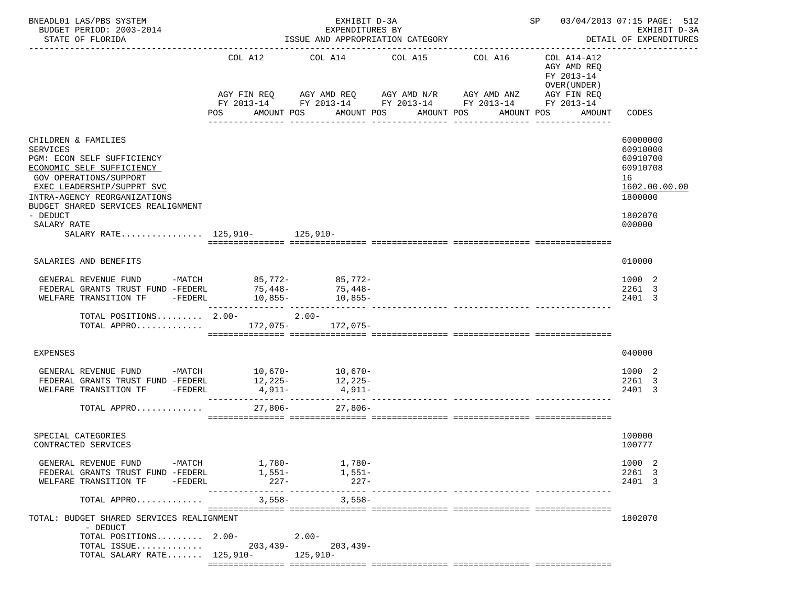| BNEADL01 LAS/PBS SYSTEM<br>BUDGET PERIOD: 2003-2014<br>STATE OF FLORIDA                                                                                                                                                                                                                     |                                                 | EXHIBIT D-3A<br>EXPENDITURES BY          | ISSUE AND APPROPRIATION CATEGORY                                                                    |                                                                      |                                                                                                 | SP 03/04/2013 07:15 PAGE: 512<br>EXHIBIT D-3A<br>DETAIL OF EXPENDITURES                             |
|---------------------------------------------------------------------------------------------------------------------------------------------------------------------------------------------------------------------------------------------------------------------------------------------|-------------------------------------------------|------------------------------------------|-----------------------------------------------------------------------------------------------------|----------------------------------------------------------------------|-------------------------------------------------------------------------------------------------|-----------------------------------------------------------------------------------------------------|
|                                                                                                                                                                                                                                                                                             | COL A12<br>AGY FIN REQ<br>POS                   | AMOUNT POS                               | COL A14 COL A15<br>AGY AMD REQ AGY AMD N/R AGY AMD ANZ<br>AMOUNT POS<br>AMOUNT POS<br>------------- | COL A16<br>FY 2013-14 FY 2013-14 FY 2013-14 FY 2013-14<br>AMOUNT POS | COL A14-A12<br>AGY AMD REQ<br>FY 2013-14<br>OVER (UNDER)<br>AGY FIN REQ<br>FY 2013-14<br>AMOUNT | CODES                                                                                               |
| CHILDREN & FAMILIES<br><b>SERVICES</b><br>PGM: ECON SELF SUFFICIENCY<br>ECONOMIC SELF SUFFICIENCY<br>GOV OPERATIONS/SUPPORT<br>EXEC LEADERSHIP/SUPPRT SVC<br>INTRA-AGENCY REORGANIZATIONS<br>BUDGET SHARED SERVICES REALIGNMENT<br>- DEDUCT<br>SALARY RATE<br>SALARY RATE 125,910- 125,910- |                                                 |                                          |                                                                                                     |                                                                      |                                                                                                 | 60000000<br>60910000<br>60910700<br>60910708<br>16<br>1602.00.00.00<br>1800000<br>1802070<br>000000 |
| SALARIES AND BENEFITS                                                                                                                                                                                                                                                                       |                                                 |                                          |                                                                                                     |                                                                      |                                                                                                 | 010000                                                                                              |
| GENERAL REVENUE FUND -MATCH 85,772- 85,772-<br>FEDERAL GRANTS TRUST FUND -FEDERL<br>WELFARE TRANSITION TF                                                                                                                                                                                   | 75,448-<br>$-FEDERL$ 10,855-<br>--------------- | 75,448-<br>10,855-                       |                                                                                                     | _____________ _________________                                      |                                                                                                 | 1000 2<br>2261 3<br>2401 3                                                                          |
| TOTAL POSITIONS $2.00-2.00-$<br>TOTAL APPRO 172,075- 172,075-                                                                                                                                                                                                                               |                                                 |                                          |                                                                                                     |                                                                      |                                                                                                 |                                                                                                     |
| EXPENSES                                                                                                                                                                                                                                                                                    |                                                 |                                          |                                                                                                     |                                                                      |                                                                                                 | 040000                                                                                              |
| GENERAL REVENUE FUND -MATCH 10,670- 10,670-<br>FEDERAL GRANTS TRUST FUND -FEDERL<br>WELFARE TRANSITION TF -FEDERL                                                                                                                                                                           | 12,225-<br>4,911-                               | 12,225-<br>4,911-                        |                                                                                                     |                                                                      |                                                                                                 | 1000 2<br>2261 3<br>2401 3                                                                          |
| TOTAL APPRO                                                                                                                                                                                                                                                                                 | $27,806-$                                       | $27,806-$                                |                                                                                                     |                                                                      |                                                                                                 |                                                                                                     |
| SPECIAL CATEGORIES<br>CONTRACTED SERVICES                                                                                                                                                                                                                                                   |                                                 |                                          |                                                                                                     |                                                                      |                                                                                                 | 100000<br>100777                                                                                    |
| GENERAL REVENUE FUND<br>FEDERAL GRANTS TRUST FUND -FEDERL<br>WELFARE TRANSITION TF<br>-FEDERL                                                                                                                                                                                               | -MATCH 1,780- 1,780-<br>$1,551-$<br>$227-$      | 1,551–<br>$227-$                         |                                                                                                     |                                                                      |                                                                                                 | 1000 2<br>2261 3<br>2401 3                                                                          |
| TOTAL APPRO                                                                                                                                                                                                                                                                                 | $3,558-$                                        | ____________________________<br>$3,558-$ |                                                                                                     |                                                                      |                                                                                                 |                                                                                                     |
| TOTAL: BUDGET SHARED SERVICES REALIGNMENT<br>- DEDUCT<br>TOTAL POSITIONS 2.00-<br>TOTAL ISSUE<br>TOTAL SALARY RATE $125,910-$                                                                                                                                                               |                                                 | $2.00-$<br>203,439- 203,439-<br>125,910- |                                                                                                     |                                                                      |                                                                                                 | 1802070                                                                                             |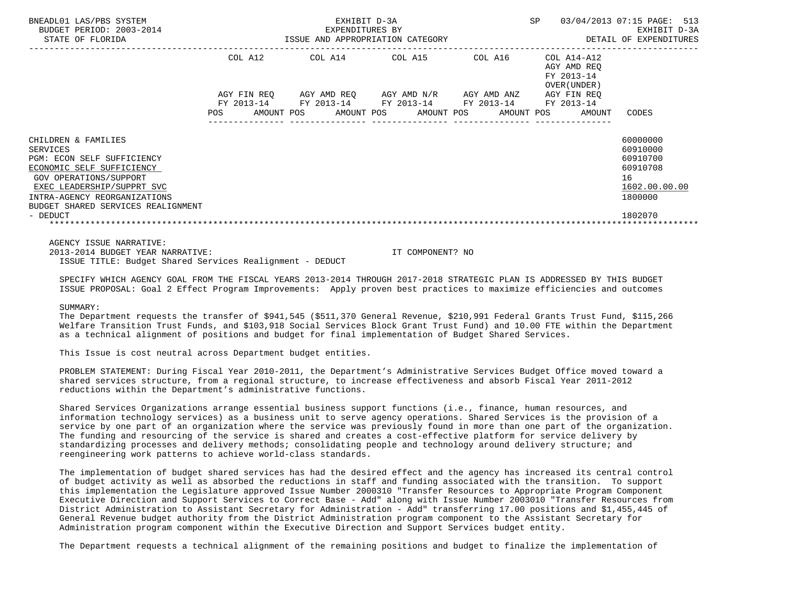| BNEADL01 LAS/PBS SYSTEM<br>BUDGET PERIOD: 2003-2014<br>STATE OF FLORIDA |                   |            | EXHIBIT D-3A<br>EXPENDITURES BY | ISSUE AND APPROPRIATION CATEGORY                |                                     | SP |                                                          | 03/04/2013 07:15 PAGE: 513<br>EXHIBIT D-3A<br>DETAIL OF EXPENDITURES |  |
|-------------------------------------------------------------------------|-------------------|------------|---------------------------------|-------------------------------------------------|-------------------------------------|----|----------------------------------------------------------|----------------------------------------------------------------------|--|
|                                                                         | COL A12           |            |                                 | COL A14 COL A15                                 | COL A16                             |    | COL A14-A12<br>AGY AMD REO<br>FY 2013-14<br>OVER (UNDER) |                                                                      |  |
|                                                                         |                   |            |                                 | AGY FIN REQ 6GY AMD REQ 6GY AMD N/R 6GY AMD ANZ |                                     |    | AGY FIN REO                                              |                                                                      |  |
|                                                                         | FY 2013-14<br>POS | AMOUNT POS |                                 | FY 2013-14 FY 2013-14<br>AMOUNT POS AMOUNT POS  | FY 2013-14 FY 2013-14<br>AMOUNT POS |    | AMOUNT                                                   | CODES                                                                |  |
| CHILDREN & FAMILIES<br>SERVICES                                         |                   |            |                                 |                                                 |                                     |    |                                                          | 60000000<br>60910000                                                 |  |
| PGM: ECON SELF SUFFICIENCY                                              |                   |            |                                 |                                                 |                                     |    |                                                          | 60910700                                                             |  |
| ECONOMIC SELF SUFFICIENCY                                               |                   |            |                                 |                                                 |                                     |    |                                                          | 60910708                                                             |  |
| <b>GOV OPERATIONS/SUPPORT</b>                                           |                   |            |                                 |                                                 |                                     |    |                                                          | 16                                                                   |  |
| EXEC LEADERSHIP/SUPPRT SVC                                              |                   |            |                                 |                                                 |                                     |    |                                                          | 1602.00.00.00                                                        |  |
| INTRA-AGENCY REORGANIZATIONS                                            |                   |            |                                 |                                                 |                                     |    |                                                          | 1800000                                                              |  |
| BUDGET SHARED SERVICES REALIGNMENT                                      |                   |            |                                 |                                                 |                                     |    |                                                          |                                                                      |  |
| - DEDUCT                                                                |                   |            |                                 |                                                 |                                     |    |                                                          | 1802070                                                              |  |
|                                                                         |                   |            |                                 |                                                 |                                     |    |                                                          |                                                                      |  |
| AGENCY ISSUE NARRATIVE:                                                 |                   |            |                                 |                                                 |                                     |    |                                                          |                                                                      |  |
| 2013-2014 BUDGET YEAR NARRATIVE:                                        |                   |            |                                 | IT COMPONENT? NO                                |                                     |    |                                                          |                                                                      |  |

 SPECIFY WHICH AGENCY GOAL FROM THE FISCAL YEARS 2013-2014 THROUGH 2017-2018 STRATEGIC PLAN IS ADDRESSED BY THIS BUDGET ISSUE PROPOSAL: Goal 2 Effect Program Improvements: Apply proven best practices to maximize efficiencies and outcomes

## SIIMMARY:

 The Department requests the transfer of \$941,545 (\$511,370 General Revenue, \$210,991 Federal Grants Trust Fund, \$115,266 Welfare Transition Trust Funds, and \$103,918 Social Services Block Grant Trust Fund) and 10.00 FTE within the Department as a technical alignment of positions and budget for final implementation of Budget Shared Services.

This Issue is cost neutral across Department budget entities.

ISSUE TITLE: Budget Shared Services Realignment - DEDUCT

 PROBLEM STATEMENT: During Fiscal Year 2010-2011, the Department's Administrative Services Budget Office moved toward a shared services structure, from a regional structure, to increase effectiveness and absorb Fiscal Year 2011-2012 reductions within the Department's administrative functions.

 Shared Services Organizations arrange essential business support functions (i.e., finance, human resources, and information technology services) as a business unit to serve agency operations. Shared Services is the provision of a service by one part of an organization where the service was previously found in more than one part of the organization. The funding and resourcing of the service is shared and creates a cost-effective platform for service delivery by standardizing processes and delivery methods; consolidating people and technology around delivery structure; and reengineering work patterns to achieve world-class standards.

 The implementation of budget shared services has had the desired effect and the agency has increased its central control of budget activity as well as absorbed the reductions in staff and funding associated with the transition. To support this implementation the Legislature approved Issue Number 2000310 "Transfer Resources to Appropriate Program Component Executive Direction and Support Services to Correct Base - Add" along with Issue Number 2003010 "Transfer Resources from District Administration to Assistant Secretary for Administration - Add" transferring 17.00 positions and \$1,455,445 of General Revenue budget authority from the District Administration program component to the Assistant Secretary for Administration program component within the Executive Direction and Support Services budget entity.

The Department requests a technical alignment of the remaining positions and budget to finalize the implementation of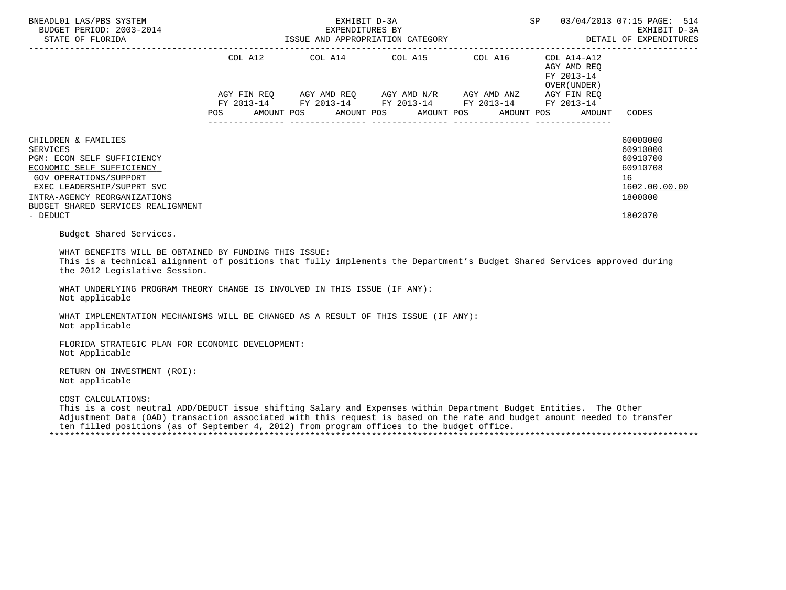| BNEADL01 LAS/PBS SYSTEM<br>BUDGET PERIOD: 2003-2014<br>DETAIL OF ELORIDA 1SSUE AND APPROPRIATION CATEGORY DETAIL OF EXPENDITURES                                                                                                                                                                                                                                 |            | EXHIBIT D-3A<br>EXPENDITURES BY  |                                                                                                                                                                      | SP                                                                 | 03/04/2013 07:15 PAGE: 514<br>EXHIBIT D-3A<br>DETAIL OF EXPENDITURES                      |
|------------------------------------------------------------------------------------------------------------------------------------------------------------------------------------------------------------------------------------------------------------------------------------------------------------------------------------------------------------------|------------|----------------------------------|----------------------------------------------------------------------------------------------------------------------------------------------------------------------|--------------------------------------------------------------------|-------------------------------------------------------------------------------------------|
|                                                                                                                                                                                                                                                                                                                                                                  | <b>POS</b> | AMOUNT POS AMOUNT POS AMOUNT POS | COL A12 COL A14 COL A15 COL A16 COL A14-A12<br>AGY FIN REQ AGY AMD REQ AGY AMD N/R AGY AMD ANZ AGY FIN REQ<br>FY 2013-14 FY 2013-14 FY 2013-14 FY 2013-14 FY 2013-14 | AGY AMD REQ<br>FY 2013-14<br>OVER (UNDER )<br>AMOUNT POS<br>AMOUNT | CODES                                                                                     |
| CHILDREN & FAMILIES<br><b>SERVICES</b><br>PGM: ECON SELF SUFFICIENCY<br>ECONOMIC SELF SUFFICIENCY<br><b>GOV OPERATIONS/SUPPORT</b><br>EXEC LEADERSHIP/SUPPRT SVC<br>INTRA-AGENCY REORGANIZATIONS<br>BUDGET SHARED SERVICES REALIGNMENT<br>- DEDUCT                                                                                                               |            |                                  |                                                                                                                                                                      |                                                                    | 60000000<br>60910000<br>60910700<br>60910708<br>16<br>1602.00.00.00<br>1800000<br>1802070 |
| Budget Shared Services.<br>WHAT BENEFITS WILL BE OBTAINED BY FUNDING THIS ISSUE:<br>This is a technical alignment of positions that fully implements the Department's Budget Shared Services approved during<br>the 2012 Legislative Session.<br>WHAT UNDERLYING PROGRAM THEORY CHANGE IS INVOLVED IN THIS ISSUE (IF ANY):<br>Not applicable                     |            |                                  |                                                                                                                                                                      |                                                                    |                                                                                           |
| WHAT IMPLEMENTATION MECHANISMS WILL BE CHANGED AS A RESULT OF THIS ISSUE (IF ANY):<br>Not applicable<br>FLORIDA STRATEGIC PLAN FOR ECONOMIC DEVELOPMENT:                                                                                                                                                                                                         |            |                                  |                                                                                                                                                                      |                                                                    |                                                                                           |
| Not Applicable<br>RETURN ON INVESTMENT (ROI):<br>Not applicable                                                                                                                                                                                                                                                                                                  |            |                                  |                                                                                                                                                                      |                                                                    |                                                                                           |
| COST CALCULATIONS:<br>This is a cost neutral ADD/DEDUCT issue shifting Salary and Expenses within Department Budget Entities. The Other<br>Adjustment Data (OAD) transaction associated with this request is based on the rate and budget amount needed to transfer<br>ten filled positions (as of September 4, 2012) from program offices to the budget office. |            |                                  |                                                                                                                                                                      |                                                                    |                                                                                           |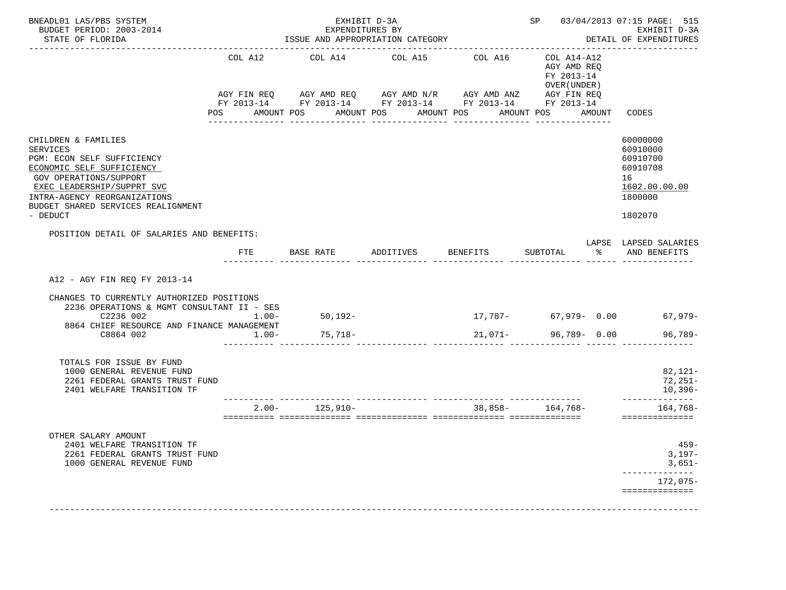| BNEADL01 LAS/PBS SYSTEM<br>BUDGET PERIOD: 2003-2014<br>STATE OF FLORIDA                                                                                                                                                                     |                     | EXPENDITURES BY    | EXHIBIT D-3A<br>ISSUE AND APPROPRIATION CATEGORY                                                                                                                         |                 |                                                                               | SP 03/04/2013 07:15 PAGE: 515<br>EXHIBIT D-3A<br>DETAIL OF EXPENDITURES                   |
|---------------------------------------------------------------------------------------------------------------------------------------------------------------------------------------------------------------------------------------------|---------------------|--------------------|--------------------------------------------------------------------------------------------------------------------------------------------------------------------------|-----------------|-------------------------------------------------------------------------------|-------------------------------------------------------------------------------------------|
|                                                                                                                                                                                                                                             | COL A12             | COL A14            | COL A15<br>AGY FIN REQ AGY AMD REQ AGY AMD N/R AGY AMD ANZ AGY FIN REQ<br>FY 2013-14 FY 2013-14 FY 2013-14 FY 2013-14 FY 2013-14<br>POS AMOUNT POS AMOUNT POS AMOUNT POS | COL A16         | COL A14-A12<br>AGY AMD REQ<br>FY 2013-14<br>OVER (UNDER)<br>AMOUNT POS AMOUNT | CODES                                                                                     |
| CHILDREN & FAMILIES<br><b>SERVICES</b><br>PGM: ECON SELF SUFFICIENCY<br>ECONOMIC SELF SUFFICIENCY<br>GOV OPERATIONS/SUPPORT<br>EXEC LEADERSHIP/SUPPRT SVC<br>INTRA-AGENCY REORGANIZATIONS<br>BUDGET SHARED SERVICES REALIGNMENT<br>- DEDUCT |                     | ---------------    | ________________                                                                                                                                                         | _______________ | _______________                                                               | 60000000<br>60910000<br>60910700<br>60910708<br>16<br>1602.00.00.00<br>1800000<br>1802070 |
| POSITION DETAIL OF SALARIES AND BENEFITS:                                                                                                                                                                                                   |                     |                    | FTE BASE RATE ADDITIVES BENEFITS                                                                                                                                         |                 | SUBTOTAL %                                                                    | LAPSE LAPSED SALARIES<br>AND BENEFITS                                                     |
| A12 - AGY FIN REQ FY 2013-14<br>CHANGES TO CURRENTLY AUTHORIZED POSITIONS<br>2236 OPERATIONS & MGMT CONSULTANT II - SES<br>C2236 002<br>8864 CHIEF RESOURCE AND FINANCE MANAGEMENT<br>C8864 002                                             | $1.00 -$<br>$1.00-$ | 50,192-<br>75,718- |                                                                                                                                                                          | 21,071-         | 96,789- 0.00                                                                  | $17,787 - 67,979 - 0.00$ 67,979-<br>$96,789-$                                             |
| TOTALS FOR ISSUE BY FUND<br>1000 GENERAL REVENUE FUND<br>2261 FEDERAL GRANTS TRUST FUND<br>2401 WELFARE TRANSITION TF                                                                                                                       |                     |                    |                                                                                                                                                                          |                 |                                                                               | 82,121-<br>72,251-<br>10,396-<br>--------------                                           |
|                                                                                                                                                                                                                                             |                     | $2.00 - 125,910 -$ |                                                                                                                                                                          |                 | $38,858-164,768-$                                                             | 164,768-<br>==============                                                                |
| OTHER SALARY AMOUNT<br>2401 WELFARE TRANSITION TF<br>2261 FEDERAL GRANTS TRUST FUND<br>1000 GENERAL REVENUE FUND                                                                                                                            |                     |                    |                                                                                                                                                                          |                 |                                                                               | $459 -$<br>$3,197-$<br>$3,651-$<br>$172,075-$<br>==============                           |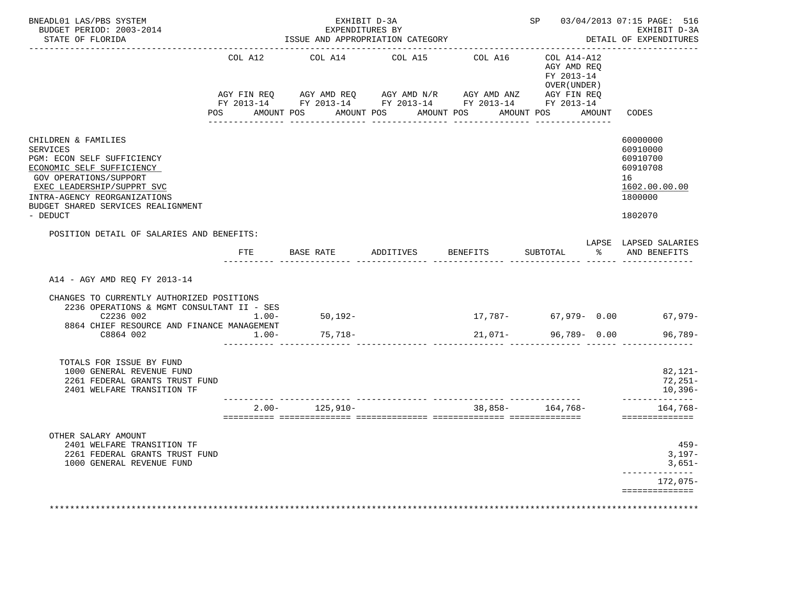| BNEADL01 LAS/PBS SYSTEM<br>BUDGET PERIOD: 2003-2014<br>STATE OF FLORIDA<br>---------------------                                                                                                                                            |                     | EXHIBIT D-3A<br>EXPENDITURES BY | ISSUE AND APPROPRIATION CATEGORY                                                                                                                                                                         |                  |                                                                                                    | SP 03/04/2013 07:15 PAGE: 516<br>EXHIBIT D-3A<br>DETAIL OF EXPENDITURES                   |
|---------------------------------------------------------------------------------------------------------------------------------------------------------------------------------------------------------------------------------------------|---------------------|---------------------------------|----------------------------------------------------------------------------------------------------------------------------------------------------------------------------------------------------------|------------------|----------------------------------------------------------------------------------------------------|-------------------------------------------------------------------------------------------|
|                                                                                                                                                                                                                                             | COL A12<br>POS      | ----------------                | COL A14 COL A15 COL A16<br>AGY FIN REQ AGY AMD REQ AGY AMD N/R AGY AMD ANZ AGY FIN REQ<br>FY 2013-14 FY 2013-14 FY 2013-14 FY 2013-14 FY 2013-14<br>AMOUNT POS AMOUNT POS AMOUNT POS<br>________________ | ---------------- | COL A14-A12<br>AGY AMD REQ<br>FY 2013-14<br>OVER (UNDER )<br>AMOUNT POS AMOUNT<br>________________ | CODES                                                                                     |
| CHILDREN & FAMILIES<br><b>SERVICES</b><br>PGM: ECON SELF SUFFICIENCY<br>ECONOMIC SELF SUFFICIENCY<br>GOV OPERATIONS/SUPPORT<br>EXEC LEADERSHIP/SUPPRT SVC<br>INTRA-AGENCY REORGANIZATIONS<br>BUDGET SHARED SERVICES REALIGNMENT<br>- DEDUCT |                     |                                 |                                                                                                                                                                                                          |                  |                                                                                                    | 60000000<br>60910000<br>60910700<br>60910708<br>16<br>1602.00.00.00<br>1800000<br>1802070 |
| POSITION DETAIL OF SALARIES AND BENEFITS:                                                                                                                                                                                                   | $_{\rm FTE}$        |                                 |                                                                                                                                                                                                          |                  |                                                                                                    | LAPSE LAPSED SALARIES<br>SUBTOTAL % AND BENEFITS                                          |
| A14 - AGY AMD REQ FY 2013-14<br>CHANGES TO CURRENTLY AUTHORIZED POSITIONS<br>2236 OPERATIONS & MGMT CONSULTANT II - SES<br>C2236 002<br>8864 CHIEF RESOURCE AND FINANCE MANAGEMENT<br>C8864 002                                             | $1.00 -$<br>$1.00-$ | 50,192-<br>75,718-              |                                                                                                                                                                                                          |                  | $21,071-$ 96,789- 0.00                                                                             | $17,787 - 67,979 - 0.00$ 67,979-<br>96,789-                                               |
| TOTALS FOR ISSUE BY FUND<br>1000 GENERAL REVENUE FUND<br>2261 FEDERAL GRANTS TRUST FUND<br>2401 WELFARE TRANSITION TF                                                                                                                       |                     |                                 |                                                                                                                                                                                                          |                  |                                                                                                    | 82,121-<br>72,251-<br>10,396-<br>--------------                                           |
|                                                                                                                                                                                                                                             |                     | $2.00 - 125,910 -$              |                                                                                                                                                                                                          |                  | 38,858- 164,768-                                                                                   | 164,768-<br>==============                                                                |
| OTHER SALARY AMOUNT<br>2401 WELFARE TRANSITION TF<br>2261 FEDERAL GRANTS TRUST FUND<br>1000 GENERAL REVENUE FUND                                                                                                                            |                     |                                 |                                                                                                                                                                                                          |                  |                                                                                                    | $459 -$<br>$3,197-$<br>$3,651-$<br>$172,075-$<br>==============                           |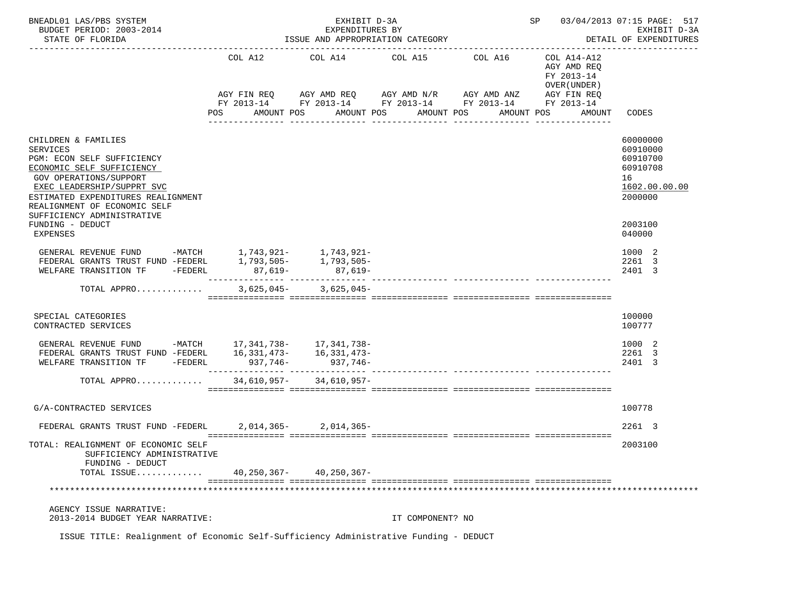| BNEADL01 LAS/PBS SYSTEM<br>BUDGET PERIOD: 2003-2014                                                                                                                                                                                                                               |                   | EXHIBIT D-3A<br>EXPENDITURES BY  |                       |                                                                                                                                                                                    | SP 03/04/2013 07:15 PAGE: 517                        | EXHIBIT D-3A                                                                              |
|-----------------------------------------------------------------------------------------------------------------------------------------------------------------------------------------------------------------------------------------------------------------------------------|-------------------|----------------------------------|-----------------------|------------------------------------------------------------------------------------------------------------------------------------------------------------------------------------|------------------------------------------------------|-------------------------------------------------------------------------------------------|
| STATE OF FLORIDA                                                                                                                                                                                                                                                                  |                   | ISSUE AND APPROPRIATION CATEGORY |                       | DETAIL OF EXPENDITURES                                                                                                                                                             |                                                      |                                                                                           |
|                                                                                                                                                                                                                                                                                   | POS<br>AMOUNT POS |                                  | AMOUNT POS AMOUNT POS | COL A12 COL A14 COL A15 COL A16 COL A14-A12<br>AGY FIN REQ AGY AMD REQ AGY AMD N/R AGY AMD ANZ AGY FIN REQ<br>FY 2013-14 FY 2013-14 FY 2013-14 FY 2013-14 FY 2013-14<br>AMOUNT POS | AGY AMD REO<br>FY 2013-14<br>OVER (UNDER )<br>AMOUNT | CODES                                                                                     |
| CHILDREN & FAMILIES<br><b>SERVICES</b><br>PGM: ECON SELF SUFFICIENCY<br>ECONOMIC SELF SUFFICIENCY<br>GOV OPERATIONS/SUPPORT<br>EXEC LEADERSHIP/SUPPRT SVC<br>ESTIMATED EXPENDITURES REALIGNMENT<br>REALIGNMENT OF ECONOMIC SELF<br>SUFFICIENCY ADMINISTRATIVE<br>FUNDING - DEDUCT |                   |                                  |                       |                                                                                                                                                                                    |                                                      | 60000000<br>60910000<br>60910700<br>60910708<br>16<br>1602.00.00.00<br>2000000<br>2003100 |
| <b>EXPENSES</b><br>GENERAL REVENUE FUND -MATCH 1,743,921- 1,743,921-<br>FEDERAL GRANTS TRUST FUND -FEDERL 1,793,505- 1,793,505-<br>WELFARE TRANSITION TF -FEDERL 87,619- 87,619-                                                                                                  |                   |                                  |                       |                                                                                                                                                                                    |                                                      | 040000<br>1000 2<br>2261 3<br>2401 3                                                      |
| TOTAL APPRO                                                                                                                                                                                                                                                                       |                   | $3,625,045 - 3,625,045 -$        |                       |                                                                                                                                                                                    |                                                      |                                                                                           |
| SPECIAL CATEGORIES<br>CONTRACTED SERVICES                                                                                                                                                                                                                                         |                   |                                  |                       |                                                                                                                                                                                    |                                                      | 100000<br>100777                                                                          |
| GENERAL REVENUE FUND -MATCH 17, 341, 738- 17, 341, 738-                                                                                                                                                                                                                           |                   |                                  |                       |                                                                                                                                                                                    |                                                      | 1000 2<br>2261 3<br>2401 3                                                                |
| TOTAL APPRO 34,610,957- 34,610,957-                                                                                                                                                                                                                                               |                   |                                  |                       |                                                                                                                                                                                    |                                                      |                                                                                           |
| G/A-CONTRACTED SERVICES                                                                                                                                                                                                                                                           |                   |                                  |                       |                                                                                                                                                                                    |                                                      | 100778                                                                                    |
| FEDERAL GRANTS TRUST FUND -FEDERL 2,014,365-2,014,365-                                                                                                                                                                                                                            |                   |                                  |                       |                                                                                                                                                                                    |                                                      | 2261 3                                                                                    |
| TOTAL: REALIGNMENT OF ECONOMIC SELF<br>SUFFICIENCY ADMINISTRATIVE<br>FUNDING - DEDUCT<br>TOTAL ISSUE                                                                                                                                                                              |                   | 40,250,367-40,250,367-           |                       |                                                                                                                                                                                    |                                                      | 2003100                                                                                   |
|                                                                                                                                                                                                                                                                                   |                   |                                  |                       |                                                                                                                                                                                    |                                                      |                                                                                           |
| AGENCY ISSUE NARRATIVE:<br>2013-2014 BUDGET YEAR NARRATIVE:                                                                                                                                                                                                                       |                   |                                  | IT COMPONENT? NO      |                                                                                                                                                                                    |                                                      |                                                                                           |
| ISSUE TITLE: Realignment of Economic Self-Sufficiency Administrative Funding - DEDUCT                                                                                                                                                                                             |                   |                                  |                       |                                                                                                                                                                                    |                                                      |                                                                                           |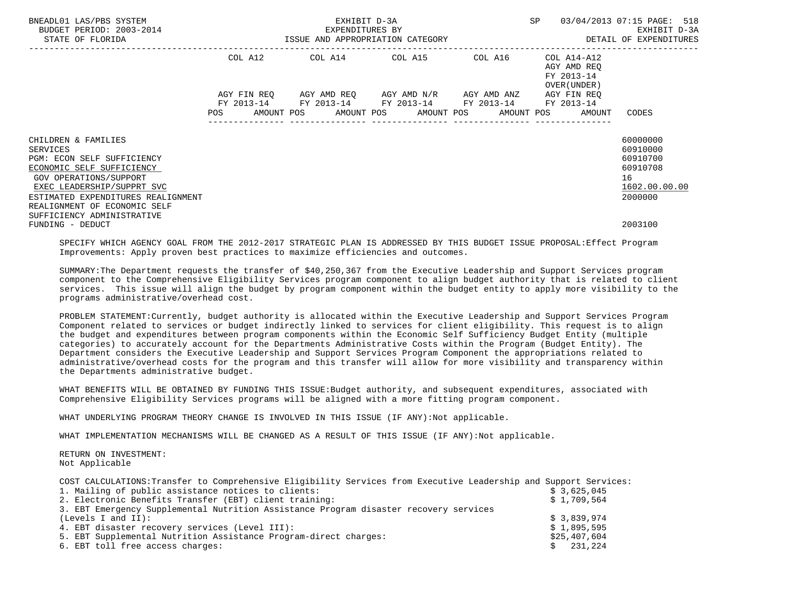| BNEADL01 LAS/PBS SYSTEM<br>BUDGET PERIOD: 2003-2014<br>STATE OF FLORIDA |            | EXHIBIT D-3A<br>EXPENDITURES BY | ISSUE AND APPROPRIATION CATEGORY                                                                                                                         | SP                                                       | 03/04/2013 07:15 PAGE: 518<br>EXHIBIT D-3A<br>DETAIL OF EXPENDITURES |
|-------------------------------------------------------------------------|------------|---------------------------------|----------------------------------------------------------------------------------------------------------------------------------------------------------|----------------------------------------------------------|----------------------------------------------------------------------|
|                                                                         | COL A12    |                                 | COL A14 COL A15 COL A16                                                                                                                                  | COL A14-A12<br>AGY AMD REO<br>FY 2013-14<br>OVER (UNDER) |                                                                      |
|                                                                         | <b>POS</b> |                                 | AGY FIN REQ 6GY AMD REQ 6GY AMD N/R 6GY AMD ANZ<br>FY 2013-14 FY 2013-14 FY 2013-14 FY 2013-14 FY 2013-14<br>AMOUNT POS AMOUNT POS AMOUNT POS AMOUNT POS | AGY FIN REO<br>AMOUNT                                    | CODES                                                                |
| CHILDREN & FAMILIES                                                     |            |                                 |                                                                                                                                                          |                                                          | 60000000                                                             |
| SERVICES<br>PGM: ECON SELF SUFFICIENCY                                  |            |                                 |                                                                                                                                                          |                                                          | 60910000<br>60910700                                                 |
| ECONOMIC SELF SUFFICIENCY                                               |            |                                 |                                                                                                                                                          |                                                          | 60910708                                                             |
| GOV OPERATIONS/SUPPORT                                                  |            |                                 |                                                                                                                                                          |                                                          | 16                                                                   |
| EXEC LEADERSHIP/SUPPRT SVC                                              |            |                                 |                                                                                                                                                          |                                                          | 1602.00.00.00                                                        |
| ESTIMATED EXPENDITURES REALIGNMENT                                      |            |                                 |                                                                                                                                                          |                                                          | 2000000                                                              |
| REALIGNMENT OF ECONOMIC SELF                                            |            |                                 |                                                                                                                                                          |                                                          |                                                                      |
| SUFFICIENCY ADMINISTRATIVE<br>FUNDING - DEDUCT                          |            |                                 |                                                                                                                                                          |                                                          | 2003100                                                              |

 SPECIFY WHICH AGENCY GOAL FROM THE 2012-2017 STRATEGIC PLAN IS ADDRESSED BY THIS BUDGET ISSUE PROPOSAL:Effect Program Improvements: Apply proven best practices to maximize efficiencies and outcomes.

 SUMMARY:The Department requests the transfer of \$40,250,367 from the Executive Leadership and Support Services program component to the Comprehensive Eligibility Services program component to align budget authority that is related to client services. This issue will align the budget by program component within the budget entity to apply more visibility to the programs administrative/overhead cost.

 PROBLEM STATEMENT:Currently, budget authority is allocated within the Executive Leadership and Support Services Program Component related to services or budget indirectly linked to services for client eligibility. This request is to align the budget and expenditures between program components within the Economic Self Sufficiency Budget Entity (multiple categories) to accurately account for the Departments Administrative Costs within the Program (Budget Entity). The Department considers the Executive Leadership and Support Services Program Component the appropriations related to administrative/overhead costs for the program and this transfer will allow for more visibility and transparency within the Departments administrative budget.

 WHAT BENEFITS WILL BE OBTAINED BY FUNDING THIS ISSUE:Budget authority, and subsequent expenditures, associated with Comprehensive Eligibility Services programs will be aligned with a more fitting program component.

WHAT UNDERLYING PROGRAM THEORY CHANGE IS INVOLVED IN THIS ISSUE (IF ANY):Not applicable.

WHAT IMPLEMENTATION MECHANISMS WILL BE CHANGED AS A RESULT OF THIS ISSUE (IF ANY):Not applicable.

 RETURN ON INVESTMENT: Not Applicable

| COST CALCULATIONS: Transfer to Comprehensive Eligibility Services from Executive Leadership and Support Services: |              |
|-------------------------------------------------------------------------------------------------------------------|--------------|
| 1. Mailing of public assistance notices to clients:                                                               | \$3,625,045  |
| 2. Electronic Benefits Transfer (EBT) client training:                                                            | \$1,709,564  |
| 3. EBT Emergency Supplemental Nutrition Assistance Program disaster recovery services                             |              |
| (Levels I and II):                                                                                                | \$3,839,974  |
| 4. EBT disaster recovery services (Level III):                                                                    | \$1,895,595  |
| 5. EBT Supplemental Nutrition Assistance Program-direct charges:                                                  | \$25,407,604 |
| 6. EBT toll free access charges:                                                                                  | 231,224      |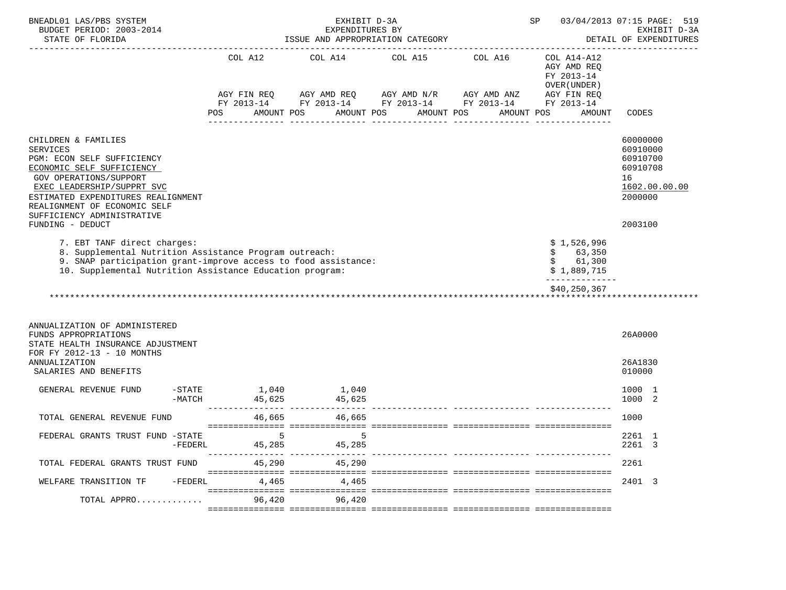| BNEADL01 LAS/PBS SYSTEM<br>BUDGET PERIOD: 2003-2014                                                                                                                                                                                                                               |                      | EXHIBIT D-3A<br>EXPENDITURES BY |                       |                                                                                                                                                                                                                                                                                                                                                                                                                                                                                                                                                                                                                                                               | SP                                                                    | 03/04/2013 07:15 PAGE: 519<br>EXHIBIT D-3A<br>DETAIL OF EXPENDITURES                      |
|-----------------------------------------------------------------------------------------------------------------------------------------------------------------------------------------------------------------------------------------------------------------------------------|----------------------|---------------------------------|-----------------------|---------------------------------------------------------------------------------------------------------------------------------------------------------------------------------------------------------------------------------------------------------------------------------------------------------------------------------------------------------------------------------------------------------------------------------------------------------------------------------------------------------------------------------------------------------------------------------------------------------------------------------------------------------------|-----------------------------------------------------------------------|-------------------------------------------------------------------------------------------|
|                                                                                                                                                                                                                                                                                   | POS                  | AMOUNT POS                      | AMOUNT POS AMOUNT POS | $\begin{tabular}{lllllllllll} \multicolumn{2}{l}{{\text{COL}}}\  \  \, & \multicolumn{2}{l}{\text{COL}}\  \  \, & \multicolumn{2}{l}{\text{COL}}\  \  \, & \multicolumn{2}{l}{\text{COL}}\  \  \, & \multicolumn{2}{l}{\text{COL}}\  \  \, & \multicolumn{2}{l}{\text{COL}}\  \  \, & \multicolumn{2}{l}{\text{COL}}\  \  \, & \multicolumn{2}{l}{\text{COL}}\  \  \, & \multicolumn{2}{l}{\text{COL}}\  \  \, & \multicolumn{2}{l}{\text{COL}}\  \$<br>$AGY \text{ FIN REQ} \qquad \text{AGY AMD REQ} \qquad \text{AGY AMD N/R} \qquad \text{AGY AMD ANZ} \qquad \text{AGY FIN REQ}$<br>FY 2013-14 FY 2013-14 FY 2013-14 FY 2013-14 FY 2013-14<br>AMOUNT POS | COL A14-A12<br>AGY AMD REQ<br>FY 2013-14<br>OVER (UNDER )<br>AMOUNT   | CODES                                                                                     |
| CHILDREN & FAMILIES<br><b>SERVICES</b><br>PGM: ECON SELF SUFFICIENCY<br>ECONOMIC SELF SUFFICIENCY<br>GOV OPERATIONS/SUPPORT<br>EXEC LEADERSHIP/SUPPRT SVC<br>ESTIMATED EXPENDITURES REALIGNMENT<br>REALIGNMENT OF ECONOMIC SELF<br>SUFFICIENCY ADMINISTRATIVE<br>FUNDING - DEDUCT |                      |                                 |                       |                                                                                                                                                                                                                                                                                                                                                                                                                                                                                                                                                                                                                                                               |                                                                       | 60000000<br>60910000<br>60910700<br>60910708<br>16<br>1602.00.00.00<br>2000000<br>2003100 |
| 7. EBT TANF direct charges:<br>8. Supplemental Nutrition Assistance Program outreach:<br>9. SNAP participation grant-improve access to food assistance:<br>10. Supplemental Nutrition Assistance Education program:                                                               |                      |                                 |                       |                                                                                                                                                                                                                                                                                                                                                                                                                                                                                                                                                                                                                                                               | \$1,526,996<br>\$ 63,350<br>\$ 61,300<br>\$1,889,715<br>------------- |                                                                                           |
|                                                                                                                                                                                                                                                                                   |                      |                                 |                       |                                                                                                                                                                                                                                                                                                                                                                                                                                                                                                                                                                                                                                                               | \$40, 250, 367                                                        |                                                                                           |
| ANNUALIZATION OF ADMINISTERED<br>FUNDS APPROPRIATIONS<br>STATE HEALTH INSURANCE ADJUSTMENT<br>FOR FY 2012-13 - 10 MONTHS                                                                                                                                                          |                      |                                 |                       |                                                                                                                                                                                                                                                                                                                                                                                                                                                                                                                                                                                                                                                               |                                                                       | 26A0000                                                                                   |
| ANNUALIZATION<br>SALARIES AND BENEFITS                                                                                                                                                                                                                                            |                      |                                 |                       |                                                                                                                                                                                                                                                                                                                                                                                                                                                                                                                                                                                                                                                               |                                                                       | 26A1830<br>010000                                                                         |
| GENERAL REVENUE FUND<br>$-MATCH$                                                                                                                                                                                                                                                  | $-STATE$ 1,040 1,040 |                                 |                       |                                                                                                                                                                                                                                                                                                                                                                                                                                                                                                                                                                                                                                                               |                                                                       | 1000 1<br>1000 2                                                                          |
| TOTAL GENERAL REVENUE FUND 46,665 46,665                                                                                                                                                                                                                                          |                      |                                 |                       |                                                                                                                                                                                                                                                                                                                                                                                                                                                                                                                                                                                                                                                               |                                                                       | 1000                                                                                      |
| FEDERAL GRANTS TRUST FUND -STATE<br>$-FEDERL$                                                                                                                                                                                                                                     | 5<br>45,285          | 5<br>45,285                     |                       |                                                                                                                                                                                                                                                                                                                                                                                                                                                                                                                                                                                                                                                               |                                                                       | 2261 1<br>2261 3                                                                          |
| TOTAL FEDERAL GRANTS TRUST FUND                                                                                                                                                                                                                                                   |                      | 45,290<br>45,290                |                       |                                                                                                                                                                                                                                                                                                                                                                                                                                                                                                                                                                                                                                                               |                                                                       | 2261                                                                                      |
| WELFARE TRANSITION TF<br>-FEDERL                                                                                                                                                                                                                                                  | 4,465                | 4,465                           |                       |                                                                                                                                                                                                                                                                                                                                                                                                                                                                                                                                                                                                                                                               |                                                                       | 2401 3                                                                                    |
| TOTAL APPRO                                                                                                                                                                                                                                                                       | 96,420               | 96,420                          |                       |                                                                                                                                                                                                                                                                                                                                                                                                                                                                                                                                                                                                                                                               |                                                                       |                                                                                           |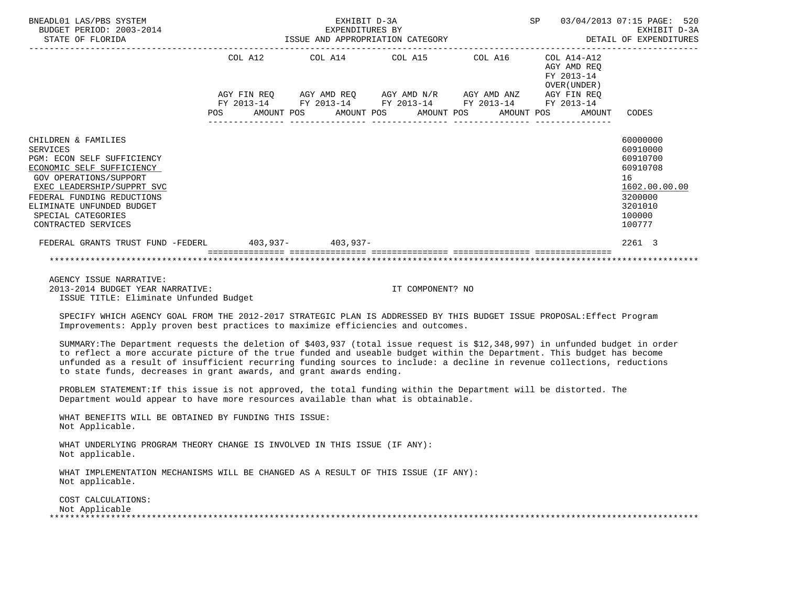| COL A12 COL A14 COL A15 COL A16 COL A14-A12<br>AGY AMD REO<br>FY 2013-14<br>OVER (UNDER)<br>AGY FIN REO AGY AMD REO AGY AMD N/R AGY AMD ANZ AGY FIN REO<br>FY 2013-14 FY 2013-14 FY 2013-14 FY 2013-14 FY 2013-14<br>POS AMOUNT POS AMOUNT POS AMOUNT POS AMOUNT POS<br>AMOUNT<br>CODES<br>60000000<br>CHILDREN & FAMILIES<br>60910000<br><b>SERVICES</b><br>60910700<br>PGM: ECON SELF SUFFICIENCY<br>60910708<br>ECONOMIC SELF SUFFICIENCY<br>GOV OPERATIONS/SUPPORT<br>16<br>EXEC LEADERSHIP/SUPPRT SVC<br>FEDERAL FUNDING REDUCTIONS<br>3200000<br>ELIMINATE UNFUNDED BUDGET<br>3201010<br>100000<br>SPECIAL CATEGORIES<br>100777<br>CONTRACTED SERVICES<br>FEDERAL GRANTS TRUST FUND -FEDERL 403,937- 403,937-<br>2261 3<br>AGENCY ISSUE NARRATIVE:<br>2013-2014 BUDGET YEAR NARRATIVE:<br>IT COMPONENT? NO | BNEADL01 LAS/PBS SYSTEM<br>BUDGET PERIOD: 2003-2014<br>STATE OF FLORIDA | EXHIBIT D-3A<br>EXPENDITURES BY |  | SP 03/04/2013 07:15 PAGE: 520<br>EXPENDITORES BI<br>ISSUE AND APPROPRIATION CATEGORY THE SERIE OF EXPENDITURES | EXHIBIT D-3A  |
|------------------------------------------------------------------------------------------------------------------------------------------------------------------------------------------------------------------------------------------------------------------------------------------------------------------------------------------------------------------------------------------------------------------------------------------------------------------------------------------------------------------------------------------------------------------------------------------------------------------------------------------------------------------------------------------------------------------------------------------------------------------------------------------------------------------|-------------------------------------------------------------------------|---------------------------------|--|----------------------------------------------------------------------------------------------------------------|---------------|
|                                                                                                                                                                                                                                                                                                                                                                                                                                                                                                                                                                                                                                                                                                                                                                                                                  |                                                                         |                                 |  |                                                                                                                |               |
|                                                                                                                                                                                                                                                                                                                                                                                                                                                                                                                                                                                                                                                                                                                                                                                                                  |                                                                         |                                 |  |                                                                                                                |               |
|                                                                                                                                                                                                                                                                                                                                                                                                                                                                                                                                                                                                                                                                                                                                                                                                                  |                                                                         |                                 |  |                                                                                                                |               |
|                                                                                                                                                                                                                                                                                                                                                                                                                                                                                                                                                                                                                                                                                                                                                                                                                  |                                                                         |                                 |  |                                                                                                                |               |
|                                                                                                                                                                                                                                                                                                                                                                                                                                                                                                                                                                                                                                                                                                                                                                                                                  |                                                                         |                                 |  |                                                                                                                |               |
|                                                                                                                                                                                                                                                                                                                                                                                                                                                                                                                                                                                                                                                                                                                                                                                                                  |                                                                         |                                 |  |                                                                                                                |               |
|                                                                                                                                                                                                                                                                                                                                                                                                                                                                                                                                                                                                                                                                                                                                                                                                                  |                                                                         |                                 |  |                                                                                                                |               |
|                                                                                                                                                                                                                                                                                                                                                                                                                                                                                                                                                                                                                                                                                                                                                                                                                  |                                                                         |                                 |  |                                                                                                                |               |
|                                                                                                                                                                                                                                                                                                                                                                                                                                                                                                                                                                                                                                                                                                                                                                                                                  |                                                                         |                                 |  |                                                                                                                | 1602.00.00.00 |
|                                                                                                                                                                                                                                                                                                                                                                                                                                                                                                                                                                                                                                                                                                                                                                                                                  |                                                                         |                                 |  |                                                                                                                |               |
|                                                                                                                                                                                                                                                                                                                                                                                                                                                                                                                                                                                                                                                                                                                                                                                                                  |                                                                         |                                 |  |                                                                                                                |               |
|                                                                                                                                                                                                                                                                                                                                                                                                                                                                                                                                                                                                                                                                                                                                                                                                                  |                                                                         |                                 |  |                                                                                                                |               |
|                                                                                                                                                                                                                                                                                                                                                                                                                                                                                                                                                                                                                                                                                                                                                                                                                  |                                                                         |                                 |  |                                                                                                                |               |
|                                                                                                                                                                                                                                                                                                                                                                                                                                                                                                                                                                                                                                                                                                                                                                                                                  |                                                                         |                                 |  |                                                                                                                |               |
|                                                                                                                                                                                                                                                                                                                                                                                                                                                                                                                                                                                                                                                                                                                                                                                                                  |                                                                         |                                 |  |                                                                                                                |               |
|                                                                                                                                                                                                                                                                                                                                                                                                                                                                                                                                                                                                                                                                                                                                                                                                                  |                                                                         |                                 |  |                                                                                                                |               |
|                                                                                                                                                                                                                                                                                                                                                                                                                                                                                                                                                                                                                                                                                                                                                                                                                  |                                                                         |                                 |  |                                                                                                                |               |
|                                                                                                                                                                                                                                                                                                                                                                                                                                                                                                                                                                                                                                                                                                                                                                                                                  | ISSUE TITLE: Eliminate Unfunded Budget                                  |                                 |  |                                                                                                                |               |
| SPECIFY WHICH AGENCY GOAL FROM THE 2012-2017 STRATEGIC PLAN IS ADDRESSED BY THIS BUDGET ISSUE PROPOSAL: Effect Program<br>Improvements: Apply proven best practices to maximize efficiencies and outcomes.                                                                                                                                                                                                                                                                                                                                                                                                                                                                                                                                                                                                       |                                                                         |                                 |  |                                                                                                                |               |

 SUMMARY:The Department requests the deletion of \$403,937 (total issue request is \$12,348,997) in unfunded budget in order to reflect a more accurate picture of the true funded and useable budget within the Department. This budget has become unfunded as a result of insufficient recurring funding sources to include: a decline in revenue collections, reductions to state funds, decreases in grant awards, and grant awards ending.

 PROBLEM STATEMENT:If this issue is not approved, the total funding within the Department will be distorted. The Department would appear to have more resources available than what is obtainable.

 WHAT BENEFITS WILL BE OBTAINED BY FUNDING THIS ISSUE: Not Applicable.

 WHAT UNDERLYING PROGRAM THEORY CHANGE IS INVOLVED IN THIS ISSUE (IF ANY): Not applicable.

 WHAT IMPLEMENTATION MECHANISMS WILL BE CHANGED AS A RESULT OF THIS ISSUE (IF ANY): Not applicable.

 COST CALCULATIONS: Not Applicable \*\*\*\*\*\*\*\*\*\*\*\*\*\*\*\*\*\*\*\*\*\*\*\*\*\*\*\*\*\*\*\*\*\*\*\*\*\*\*\*\*\*\*\*\*\*\*\*\*\*\*\*\*\*\*\*\*\*\*\*\*\*\*\*\*\*\*\*\*\*\*\*\*\*\*\*\*\*\*\*\*\*\*\*\*\*\*\*\*\*\*\*\*\*\*\*\*\*\*\*\*\*\*\*\*\*\*\*\*\*\*\*\*\*\*\*\*\*\*\*\*\*\*\*\*\*\*